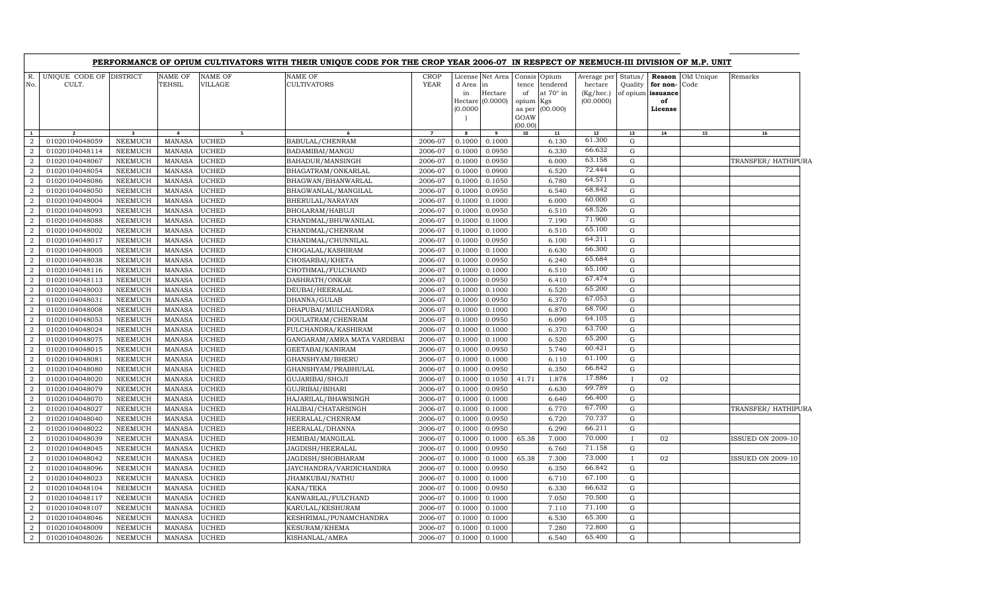|                |                                  |                                  |                                 |                    | PERFORMANCE OF OPIUM CULTIVATORS WITH THEIR UNIQUE CODE FOR THE CROP YEAR 2006-07 IN RESPECT OF NEEMUCH-III DIVISION OF M.P. UNIT |                            |                          |                                                        |                                             |                                                            |                                                  |                    |                                                                 |                    |                          |  |
|----------------|----------------------------------|----------------------------------|---------------------------------|--------------------|-----------------------------------------------------------------------------------------------------------------------------------|----------------------------|--------------------------|--------------------------------------------------------|---------------------------------------------|------------------------------------------------------------|--------------------------------------------------|--------------------|-----------------------------------------------------------------|--------------------|--------------------------|--|
| R.<br>No.      | UNIQUE CODE OF DISTRICT<br>CULT. |                                  | <b>NAME OF</b><br><b>TEHSIL</b> | NAME OF<br>VILLAGE | <b>NAME OF</b><br><b>CULTIVATORS</b>                                                                                              | <b>CROP</b><br><b>YEAR</b> | d Area<br>in<br>(0.0000) | License Net Area<br>lin<br>Hectare<br>Hectare (0.0000) | tence<br>of<br>opium Kgs<br>GOAW<br>(00.00) | Consis Opium<br>tendered<br>at 70° in<br>as per $(00.000)$ | Average per<br>hectare<br>(Kg/hec.)<br>(00.0000) | Status/<br>Quality | <b>Reason</b><br>for non-<br>of opium issuance<br>of<br>License | Old Unique<br>Code | Remarks                  |  |
| $\mathbf{1}$   | $\overline{2}$                   | $\overline{\mathbf{3}}$          | $\overline{4}$                  | 5 <sub>1</sub>     | - 6                                                                                                                               | $\overline{7}$             | 8                        | 9                                                      | 10                                          | 11                                                         | 12                                               | 13                 | 14                                                              | 15                 | 16                       |  |
| $\overline{2}$ | 01020104048059                   | <b>NEEMUCH</b>                   | <b>MANASA</b>                   | <b>UCHED</b>       | BABULAL/CHENRAM                                                                                                                   | 2006-07                    | 0.1000                   | 0.1000                                                 |                                             | 6.130                                                      | 61.300                                           | $\mathbf G$        |                                                                 |                    |                          |  |
| $\overline{2}$ | 01020104048114                   | NEEMUCH                          | <b>MANASA</b>                   | UCHED              | BADAMIBAI/MANGU                                                                                                                   | 2006-07                    | 0.1000                   | 0.0950                                                 |                                             | 6.330                                                      | 66.632                                           | G                  |                                                                 |                    |                          |  |
| $\overline{2}$ | 01020104048067                   | NEEMUCH                          | <b>MANASA</b>                   | UCHED              | BAHADUR/MANSINGH                                                                                                                  | 2006-07                    | 0.1000                   | 0.0950                                                 |                                             | 6.000                                                      | 63.158                                           | G                  |                                                                 |                    | TRANSFER/HATHIPURA       |  |
| $\overline{2}$ | 01020104048054                   | <b>NEEMUCH</b>                   | MANASA                          | UCHED              | BHAGATRAM/ONKARLAL                                                                                                                | 2006-07                    | 0.1000                   | 0.0900                                                 |                                             | 6.520                                                      | 72.444                                           | G                  |                                                                 |                    |                          |  |
| $\overline{2}$ | 01020104048086                   | NEEMUCH                          | <b>MANASA</b>                   | UCHED              | BHAGWAN/BHANWARLAL                                                                                                                | 2006-07                    | 0.1000                   | 0.1050                                                 |                                             | 6.780                                                      | 64.571<br>68.842                                 | G                  |                                                                 |                    |                          |  |
| 2              | 01020104048050                   | NEEMUCH                          | MANASA                          | UCHED              | BHAGWANLAL/MANGILAL                                                                                                               | 2006-07                    | 0.1000                   | 0.0950                                                 |                                             | 6.540                                                      | 60.000                                           | G                  |                                                                 |                    |                          |  |
| 2              | 01020104048004                   | NEEMUCH                          | <b>MANASA</b>                   | UCHED              | BHERULAL/NARAYAN                                                                                                                  | 2006-07                    | 0.1000                   | 0.1000                                                 |                                             | 6.000                                                      |                                                  | G                  |                                                                 |                    |                          |  |
| 2              | 01020104048093                   | NEEMUCH                          | MANASA                          | UCHED              | BHOLARAM/HABUJI                                                                                                                   | 2006-07                    | 0.1000                   | 0.0950                                                 |                                             | 6.510                                                      | 68.526<br>71.900                                 | G                  |                                                                 |                    |                          |  |
| 2<br>2         | 01020104048088                   | <b>NEEMUCH</b>                   | <b>MANASA</b>                   | UCHED              | CHANDMAL/BHUWANILAL                                                                                                               | 2006-07                    | 0.1000                   | 0.1000                                                 |                                             | 7.190                                                      | 65.100                                           | G                  |                                                                 |                    |                          |  |
| 2              | 01020104048002<br>01020104048017 | <b>NEEMUCH</b>                   | MANASA<br><b>MANASA</b>         | UCHED<br>UCHED     | CHANDMAL/CHENRAM                                                                                                                  | 2006-07<br>2006-07         | 0.1000                   | 0.1000<br>0.0950                                       |                                             | 6.510<br>6.100                                             | 64.211                                           | G<br>$\mathbf G$   |                                                                 |                    |                          |  |
| $\overline{2}$ | 01020104048005                   | <b>NEEMUCH</b><br><b>NEEMUCH</b> | <b>MANASA</b>                   | UCHED              | CHANDMAL/CHUNNILAL                                                                                                                | 2006-07                    | 0.1000<br>0.1000         | 0.1000                                                 |                                             | 6.630                                                      | 66.300                                           | G                  |                                                                 |                    |                          |  |
| 2              | 01020104048038                   | <b>NEEMUCH</b>                   | <b>MANASA</b>                   | UCHED              | CHOGALAL/KASHIRAM<br>CHOSARBAI/KHETA                                                                                              | 2006-07                    | 0.1000                   | 0.0950                                                 |                                             | 6.240                                                      | 65.684                                           | G                  |                                                                 |                    |                          |  |
| $\overline{2}$ | 01020104048116                   | <b>NEEMUCH</b>                   | MANASA                          | UCHED              | CHOTHMAL/FULCHAND                                                                                                                 | 2006-07                    | 0.1000                   | 0.1000                                                 |                                             | 6.510                                                      | 65.100                                           | $\mathbf G$        |                                                                 |                    |                          |  |
| $\overline{2}$ | 01020104048113                   | NEEMUCH                          | <b>MANASA</b>                   | UCHED              | DASHRATH/ONKAR                                                                                                                    | 2006-07                    | 0.1000                   | 0.0950                                                 |                                             | 6.410                                                      | 67.474                                           | G                  |                                                                 |                    |                          |  |
| <sup>2</sup>   | 01020104048003                   | NEEMUCH                          | MANASA                          | UCHED              | DEUBAI/HEERALAL                                                                                                                   | 2006-07                    | 0.1000                   | 0.1000                                                 |                                             | 6.520                                                      | 65.200                                           | $\mathbf G$        |                                                                 |                    |                          |  |
| 2              | 01020104048031                   | NEEMUCH                          | <b>MANASA</b>                   | UCHED              | DHANNA/GULAB                                                                                                                      | 2006-07                    | 0.1000                   | 0.0950                                                 |                                             | 6.370                                                      | 67.053                                           | G                  |                                                                 |                    |                          |  |
| <sup>2</sup>   | 01020104048008                   | NEEMUCH                          | MANASA                          | UCHED              | DHAPUBAI/MULCHANDRA                                                                                                               | 2006-07                    | 0.1000                   | 0.1000                                                 |                                             | 6.870                                                      | 68.700                                           | $\mathbf G$        |                                                                 |                    |                          |  |
| 2              | 01020104048053                   | NEEMUCH                          | <b>MANASA</b>                   | UCHED              | DOULATRAM/CHENRAM                                                                                                                 | 2006-07                    | 0.1000                   | 0.0950                                                 |                                             | 6.090                                                      | 64.105                                           | G                  |                                                                 |                    |                          |  |
| $\overline{2}$ | 01020104048024                   | <b>NEEMUCH</b>                   | <b>MANASA</b>                   | UCHED              | FULCHANDRA/KASHIRAM                                                                                                               | 2006-07                    | 0.1000                   | 0.1000                                                 |                                             | 6.370                                                      | 63.700                                           | G                  |                                                                 |                    |                          |  |
| 2              | 01020104048075                   | NEEMUCH                          | <b>MANASA</b>                   | UCHED              | GANGARAM/AMRA MATA VARDIBAI                                                                                                       | 2006-07                    | 0.1000                   | 0.1000                                                 |                                             | 6.520                                                      | 65.200                                           | G                  |                                                                 |                    |                          |  |
| $\overline{2}$ | 01020104048015                   | <b>NEEMUCH</b>                   | <b>MANASA</b>                   | UCHED              | GEETABAI/KANIRAM                                                                                                                  | 2006-07                    | 0.1000                   | 0.0950                                                 |                                             | 5.740                                                      | 60.421                                           | G                  |                                                                 |                    |                          |  |
| $\overline{2}$ | 01020104048081                   | <b>NEEMUCH</b>                   | <b>MANASA</b>                   | UCHED              | GHANSHYAM/BHERU                                                                                                                   | 2006-07                    | 0.1000                   | 0.1000                                                 |                                             | 6.110                                                      | 61.100                                           | ${\rm G}$          |                                                                 |                    |                          |  |
| $\overline{a}$ | 01020104048080                   | <b>NEEMUCH</b>                   | <b>MANASA</b>                   | UCHED              | GHANSHYAM/PRABHULAL                                                                                                               | 2006-07                    | 0.1000                   | 0.0950                                                 |                                             | 6.350                                                      | 66.842                                           | G                  |                                                                 |                    |                          |  |
| 2              | 01020104048020                   | NEEMUCH                          | <b>MANASA</b>                   | UCHED              | GUJARIBAI/SHOJI                                                                                                                   | 2006-07                    | 0.1000                   | 0.1050                                                 | 41.71                                       | 1.878                                                      | 17.886                                           | $\bf{I}$           | 02                                                              |                    |                          |  |
| 2              | 01020104048079                   | <b>NEEMUCH</b>                   | <b>MANASA</b>                   | UCHED              | GUJRIBAI/BIHARI                                                                                                                   | 2006-07                    | 0.1000                   | 0.0950                                                 |                                             | 6.630                                                      | 69.789                                           | G                  |                                                                 |                    |                          |  |
| 2              | 01020104048070                   | <b>NEEMUCH</b>                   | <b>MANASA</b>                   | UCHED              | HAJARILAL/BHAWSINGH                                                                                                               | 2006-07                    | 0.1000                   | 0.1000                                                 |                                             | 6.640                                                      | 66.400                                           | G                  |                                                                 |                    |                          |  |
| 2              | 01020104048027                   | <b>NEEMUCH</b>                   | <b>MANASA</b>                   | UCHED              | HALIBAI/CHATARSINGH                                                                                                               | 2006-07                    | 0.1000                   | 0.1000                                                 |                                             | 6.770                                                      | 67.700                                           | G                  |                                                                 |                    | TRANSFER/ HATHIPURA      |  |
| 2              | 01020104048040                   | NEEMUCH                          | MANASA                          | UCHED              | HEERALAL/CHENRAM                                                                                                                  | 2006-07                    | 0.1000                   | 0.0950                                                 |                                             | 6.720                                                      | 70.737                                           | G                  |                                                                 |                    |                          |  |
| 2              | 01020104048022                   | <b>NEEMUCH</b>                   | <b>MANASA</b>                   | UCHED              | HEERALAL/DHANNA                                                                                                                   | 2006-07                    | 0.1000                   | 0.0950                                                 |                                             | 6.290                                                      | 66.211                                           | $\mathbf G$        |                                                                 |                    |                          |  |
| 2              | 01020104048039                   | <b>NEEMUCH</b>                   | MANASA                          | UCHED              | HEMIBAI/MANGILAL                                                                                                                  | 2006-07                    | 0.1000                   | 0.1000                                                 | 65.38                                       | 7.000                                                      | 70.000                                           | $\mathbf{I}$       | 02                                                              |                    | <b>ISSUED ON 2009-10</b> |  |
| 2              | 01020104048045                   | <b>NEEMUCH</b>                   | <b>MANASA</b>                   | UCHED              | JAGDISH/HEERALAL                                                                                                                  | 2006-07                    | 0.1000                   | 0.0950                                                 |                                             | 6.760                                                      | 71.158                                           | G                  |                                                                 |                    |                          |  |
| $\overline{2}$ | 01020104048042                   | <b>NEEMUCH</b>                   | <b>MANASA</b>                   | UCHED              | JAGDISH/SHOBHARAM                                                                                                                 | 2006-07                    | 0.1000                   | 0.1000                                                 | 65.38                                       | 7.300                                                      | 73.000                                           | $\mathbf{I}$       | 02                                                              |                    | <b>ISSUED ON 2009-10</b> |  |
| $\overline{2}$ | 01020104048096                   | <b>NEEMUCH</b>                   | <b>MANASA</b>                   | UCHED              | JAYCHANDRA/VARDICHANDRA                                                                                                           | 2006-07                    | 0.1000                   | 0.0950                                                 |                                             | 6.350                                                      | 66.842                                           | G                  |                                                                 |                    |                          |  |
| 2              | 01020104048023                   | <b>NEEMUCH</b>                   | MANASA                          | UCHED              | JHAMKUBAI/NATHU                                                                                                                   | 2006-07                    | 0.1000                   | 0.1000                                                 |                                             | 6.710                                                      | 67.100                                           | G                  |                                                                 |                    |                          |  |
| $\overline{2}$ | 01020104048104                   | <b>NEEMUCH</b>                   | <b>MANASA</b>                   | UCHED              | KANA/TEKA                                                                                                                         | 2006-07                    | 0.1000                   | 0.0950                                                 |                                             | 6.330                                                      | 66.632                                           | G                  |                                                                 |                    |                          |  |
| 2              | 01020104048117                   | <b>NEEMUCH</b>                   | MANASA                          | UCHED              | KANWARLAL/FULCHAND                                                                                                                | 2006-07                    | 0.1000                   | 0.1000                                                 |                                             | 7.050                                                      | 70.500                                           | G                  |                                                                 |                    |                          |  |
| 2              | 01020104048107                   | <b>NEEMUCH</b>                   | <b>MANASA</b>                   | UCHED              | KARULAL/KESHURAM                                                                                                                  | 2006-07                    | 0.1000                   | 0.1000                                                 |                                             | 7.110                                                      | 71.100                                           | G                  |                                                                 |                    |                          |  |
| $\overline{2}$ | 01020104048046                   | <b>NEEMUCH</b>                   | <b>MANASA</b>                   | UCHED              | KESHRIMAL/PUNAMCHANDRA                                                                                                            | 2006-07                    | 0.1000                   | 0.1000                                                 |                                             | 6.530                                                      | 65.300                                           | G                  |                                                                 |                    |                          |  |
| $\overline{2}$ | 01020104048009                   | <b>NEEMUCH</b>                   | <b>MANASA</b>                   | UCHED              | <b>KESURAM/KHEMA</b>                                                                                                              | 2006-07                    | 0.1000                   | 0.1000                                                 |                                             | 7.280                                                      | 72.800                                           | G                  |                                                                 |                    |                          |  |
| $\overline{a}$ | 01020104048026                   | <b>NEEMUCH</b>                   | <b>MANASA</b>                   | <b>UCHED</b>       | KISHANLAL/AMRA                                                                                                                    | 2006-07                    | 0.1000                   | 0.1000                                                 |                                             | 6.540                                                      | 65.400                                           | G                  |                                                                 |                    |                          |  |
|                |                                  |                                  |                                 |                    |                                                                                                                                   |                            |                          |                                                        |                                             |                                                            |                                                  |                    |                                                                 |                    |                          |  |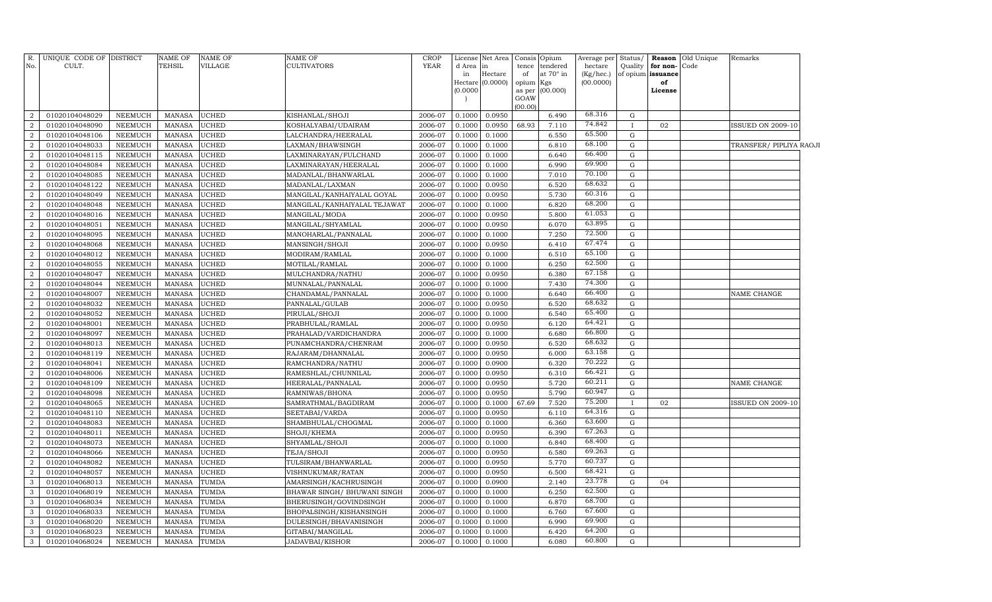| R.                               | UNIQUE CODE OF DISTRICT          |                    | <b>NAME OF</b>                 | NAME OF                      | <b>NAME OF</b>                     | <b>CROP</b>        | License          | Net Area                      | Consis      | Opium            | Average per            | Status/      |                         | <b>Reason</b> Old Unique | Remarks                  |  |
|----------------------------------|----------------------------------|--------------------|--------------------------------|------------------------------|------------------------------------|--------------------|------------------|-------------------------------|-------------|------------------|------------------------|--------------|-------------------------|--------------------------|--------------------------|--|
| No.                              | CULT.                            |                    | TEHSIL                         | VILLAGE                      | CULTIVATORS                        | <b>YEAR</b>        | d Area           | lin                           | tence       | tendered         | hectare                | Quality      | for non-                | Code                     |                          |  |
|                                  |                                  |                    |                                |                              |                                    |                    | in               | Hectare<br>Hectare $(0.0000)$ | of<br>opium | at 70° in<br>Kgs | (Kg/hec.)<br>(00.0000) |              | of opium issuance<br>of |                          |                          |  |
|                                  |                                  |                    |                                |                              |                                    |                    | (0.0000)         |                               | as per      | (00.000)         |                        |              | License                 |                          |                          |  |
|                                  |                                  |                    |                                |                              |                                    |                    |                  |                               | GOAW        |                  |                        |              |                         |                          |                          |  |
|                                  |                                  |                    |                                |                              |                                    |                    |                  |                               | 00.00       |                  |                        |              |                         |                          |                          |  |
| $\overline{2}$                   | 01020104048029                   | NEEMUCH            | <b>MANASA</b>                  | <b>UCHED</b>                 | KISHANLAL/SHOJI                    | 2006-07            | 0.1000           | 0.0950                        |             | 6.490            | 68.316                 | G            |                         |                          |                          |  |
| $\overline{2}$                   | 01020104048090                   | NEEMUCH            | <b>MANASA</b>                  | <b>UCHED</b>                 | KOSHALYABAI/UDAIRAM                | 2006-07            | 0.1000           | 0.0950                        | 68.93       | 7.110            | 74.842                 |              | 02                      |                          | <b>ISSUED ON 2009-10</b> |  |
| 2                                | 01020104048106                   | NEEMUCH            | <b>MANASA</b>                  | <b>UCHED</b>                 | LALCHANDRA/HEERALAL                | 2006-07            | 0.1000           | 0.1000                        |             | 6.550            | 65.500<br>68.100       | $\mathbf G$  |                         |                          |                          |  |
| $\overline{2}$                   | 01020104048033                   | NEEMUCH            | <b>MANASA</b>                  | <b>UCHED</b>                 | LAXMAN/BHAWSINGH                   | 2006-07            | 0.1000           | 0.1000                        |             | 6.810            | 66.400                 | $\mathbf G$  |                         |                          | TRANSFER/ PIPLIYA RAOJI  |  |
| $\overline{2}$                   | 01020104048115                   | NEEMUCH            | <b>MANASA</b>                  | <b>UCHED</b>                 | LAXMINARAYAN/FULCHAND              | 2006-07            | 0.1000           | 0.1000                        |             | 6.640            | 69.900                 | $\mathbf G$  |                         |                          |                          |  |
| 2                                | 01020104048084                   | NEEMUCH            | <b>MANASA</b>                  | <b>UCHED</b>                 | LAXMINARAYAN/HEERALAL              | 2006-07            | 0.1000           | 0.1000                        |             | 6.990            | 70.100                 | G            |                         |                          |                          |  |
| $\overline{2}$                   | 01020104048085                   | NEEMUCH            | <b>MANASA</b>                  | <b>UCHED</b>                 | MADANLAL/BHANWARLAL                | 2006-07            | 0.1000           | 0.1000                        |             | 7.010            | 68.632                 | G            |                         |                          |                          |  |
| $\overline{2}$<br>$\overline{2}$ | 01020104048122                   | NEEMUCH            | <b>MANASA</b>                  | <b>UCHED</b>                 | MADANLAL/LAXMAN                    | 2006-07            | 0.1000           | 0.0950                        |             | 6.520            | 60.316                 | $\mathbf G$  |                         |                          |                          |  |
|                                  | 01020104048049                   | NEEMUCH            | <b>MANASA</b>                  | <b>UCHED</b>                 | MANGILAL/KANHAIYALAL GOYAL         | 2006-07            | 0.1000           | 0.0950                        |             | 5.730            | 68.200                 | ${\rm G}$    |                         |                          |                          |  |
| $\overline{2}$<br>2              | 01020104048048<br>01020104048016 | NEEMUCH<br>NEEMUCH | <b>MANASA</b><br><b>MANASA</b> | <b>UCHED</b><br><b>UCHED</b> | MANGILAL/KANHAIYALAL TEJAWAT       | 2006-07<br>2006-07 | 0.1000           | 0.1000<br>0.0950              |             | 6.820<br>5.800   | 61.053                 | G<br>G       |                         |                          |                          |  |
| $\overline{2}$                   | 01020104048051                   | NEEMUCH            | <b>MANASA</b>                  | <b>UCHED</b>                 | MANGILAL/MODA<br>MANGILAL/SHYAMLAL | 2006-07            | 0.1000<br>0.1000 | 0.0950                        |             | 6.070            | 63.895                 | G            |                         |                          |                          |  |
| $\overline{2}$                   | 01020104048095                   | NEEMUCH            | <b>MANASA</b>                  | <b>UCHED</b>                 | MANOHARLAL/PANNALAL                | 2006-07            | 0.1000           | 0.1000                        |             | 7.250            | 72.500                 | $\mathbf G$  |                         |                          |                          |  |
| 2                                | 01020104048068                   | NEEMUCH            | <b>MANASA</b>                  | <b>UCHED</b>                 | MANSINGH/SHOJI                     | 2006-07            | 0.1000           | 0.0950                        |             | 6.410            | 67.474                 | ${\rm G}$    |                         |                          |                          |  |
| $\overline{2}$                   | 01020104048012                   | NEEMUCH            | <b>MANASA</b>                  | <b>UCHED</b>                 | MODIRAM/RAMLAL                     | 2006-07            | 0.1000           | 0.1000                        |             | 6.510            | 65.100                 | $\mathbf G$  |                         |                          |                          |  |
| 2                                | 01020104048055                   | NEEMUCH            | <b>MANASA</b>                  | <b>UCHED</b>                 | MOTILAL/RAMLAL                     | 2006-07            | 0.1000           | 0.1000                        |             | 6.250            | 62.500                 | G            |                         |                          |                          |  |
| 2                                | 01020104048047                   | NEEMUCH            | <b>MANASA</b>                  | <b>UCHED</b>                 | MULCHANDRA/NATHU                   | 2006-07            | 0.1000           | 0.0950                        |             | 6.380            | 67.158                 | G            |                         |                          |                          |  |
| $\overline{2}$                   | 01020104048044                   | NEEMUCH            | <b>MANASA</b>                  | <b>UCHED</b>                 | MUNNALAL/PANNALAL                  | 2006-07            | 0.1000           | 0.1000                        |             | 7.430            | 74.300                 | G            |                         |                          |                          |  |
| 2                                | 01020104048007                   | <b>NEEMUCH</b>     | <b>MANASA</b>                  | <b>UCHED</b>                 | CHANDAMAL/PANNALAL                 | 2006-07            | 0.1000           | 0.1000                        |             | 6.640            | 66.400                 | G            |                         |                          | NAME CHANGE              |  |
| $\overline{2}$                   | 01020104048032                   | NEEMUCH            | MANASA                         | <b>UCHED</b>                 | PANNALAL/GULAB                     | 2006-07            | 0.1000           | 0.0950                        |             | 6.520            | 68.632                 | G            |                         |                          |                          |  |
| $\overline{2}$                   | 01020104048052                   | NEEMUCH            | <b>MANASA</b>                  | <b>UCHED</b>                 | PIRULAL/SHOJI                      | 2006-07            | 0.1000           | 0.1000                        |             | 6.540            | 65.400                 | G            |                         |                          |                          |  |
| 2                                | 01020104048001                   | NEEMUCH            | <b>MANASA</b>                  | <b>UCHED</b>                 | PRABHULAL/RAMLAL                   | 2006-07            | 0.1000           | 0.0950                        |             | 6.120            | 64.421                 | ${\rm G}$    |                         |                          |                          |  |
| $\overline{2}$                   | 01020104048097                   | NEEMUCH            | <b>MANASA</b>                  | <b>UCHED</b>                 | PRAHALAD/VARDICHANDRA              | 2006-07            | 0.1000           | 0.1000                        |             | 6.680            | 66.800                 | $\mathbf G$  |                         |                          |                          |  |
| 2                                | 01020104048013                   | NEEMUCH            | <b>MANASA</b>                  | <b>UCHED</b>                 | PUNAMCHANDRA/CHENRAM               | 2006-07            | 0.1000           | 0.0950                        |             | 6.520            | 68.632                 | G            |                         |                          |                          |  |
| $\overline{2}$                   | 01020104048119                   | NEEMUCH            | <b>MANASA</b>                  | <b>UCHED</b>                 | RAJARAM/DHANNALAL                  | 2006-07            | 0.1000           | 0.0950                        |             | 6.000            | 63.158                 | G            |                         |                          |                          |  |
| 2                                | 01020104048041                   | <b>NEEMUCH</b>     | <b>MANASA</b>                  | <b>UCHED</b>                 | RAMCHANDRA/NATHU                   | 2006-07            | 0.1000           | 0.0900                        |             | 6.320            | 70.222                 | G            |                         |                          |                          |  |
| 2                                | 01020104048006                   | <b>NEEMUCH</b>     | <b>MANASA</b>                  | <b>UCHED</b>                 | RAMESHLAL/CHUNNILAL                | 2006-07            | 0.1000           | 0.0950                        |             | 6.310            | 66.421                 | G            |                         |                          |                          |  |
| 2                                | 01020104048109                   | NEEMUCH            | <b>MANASA</b>                  | <b>UCHED</b>                 | HEERALAL/PANNALAL                  | 2006-07            | 0.1000           | 0.0950                        |             | 5.720            | 60.211                 | G            |                         |                          | NAME CHANGE              |  |
| 2                                | 01020104048098                   | NEEMUCH            | <b>MANASA</b>                  | <b>UCHED</b>                 | RAMNIWAS/BHONA                     | 2006-07            | 0.1000           | 0.0950                        |             | 5.790            | 60.947                 | G            |                         |                          |                          |  |
| 2                                | 01020104048065                   | NEEMUCH            | <b>MANASA</b>                  | <b>UCHED</b>                 | SAMRATHMAL/BAGDIRAM                | 2006-07            | 0.1000           | 0.1000                        | 67.69       | 7.520            | 75.200                 | $\mathbf{I}$ | 02                      |                          | SSUED ON 2009-10         |  |
| 2                                | 01020104048110                   | NEEMUCH            | <b>MANASA</b>                  | <b>UCHED</b>                 | SEETABAI/VARDA                     | 2006-07            | 0.1000           | 0.0950                        |             | 6.110            | 64.316                 | G            |                         |                          |                          |  |
| 2                                | 01020104048083                   | NEEMUCH            | <b>MANASA</b>                  | <b>UCHED</b>                 | SHAMBHULAL/CHOGMAL                 | 2006-07            | 0.1000           | 0.1000                        |             | 6.360            | 63.600                 | G            |                         |                          |                          |  |
| 2                                | 01020104048011                   | <b>NEEMUCH</b>     | <b>MANASA</b>                  | UCHED                        | SHOJI/KHEMA                        | 2006-07            | 0.1000           | 0.0950                        |             | 6.390            | 67.263                 | G            |                         |                          |                          |  |
| 2                                | 01020104048073                   | ${\tt NEEMUCH}$    | <b>MANASA</b>                  | UCHED                        | SHYAMLAL/SHOJI                     | 2006-07            | 0.1000           | 0.1000                        |             | 6.840            | 68.400                 | G            |                         |                          |                          |  |
| 2                                | 01020104048066                   | NEEMUCH            | <b>MANASA</b>                  | <b>UCHED</b>                 | TEJA/SHOJI                         | 2006-07            | 0.1000           | 0.0950                        |             | 6.580            | 69.263                 | G            |                         |                          |                          |  |
| 2                                | 01020104048082                   | NEEMUCH            | <b>MANASA</b>                  | UCHED                        | TULSIRAM/BHANWARLAL                | 2006-07            | 0.1000           | 0.0950                        |             | 5.770            | 60.737                 | G            |                         |                          |                          |  |
| $\overline{2}$                   | 01020104048057                   | NEEMUCH            | <b>MANASA</b>                  | <b>UCHED</b>                 | VISHNUKUMAR/RATAN                  | 2006-07            | 0.1000           | 0.0950                        |             | 6.500            | 68.421                 | G            |                         |                          |                          |  |
| $\mathbf{3}$                     | 01020104068013                   | NEEMUCH            | <b>MANASA</b>                  | TUMDA                        | AMARSINGH/KACHRUSINGH              | 2006-07            | 0.1000           | 0.0900                        |             | 2.140            | 23.778                 | G            | 04                      |                          |                          |  |
| $\mathbf{3}$                     | 01020104068019                   | NEEMUCH            | <b>MANASA</b>                  | TUMDA                        | BHAWAR SINGH / BHUWANI SINGH       | 2006-07            | 0.1000           | 0.1000                        |             | 6.250            | 62.500                 | G            |                         |                          |                          |  |
| $\mathbf{3}$                     | 01020104068034                   | <b>NEEMUCH</b>     | <b>MANASA</b>                  | TUMDA                        | BHERUSINGH/GOVINDSINGH             | 2006-07            | 0.1000           | 0.1000                        |             | 6.870            | 68.700                 | G            |                         |                          |                          |  |
| $\overline{3}$                   | 01020104068033                   | NEEMUCH            | <b>MANASA</b>                  | TUMDA                        | BHOPALSINGH/KISHANSINGH            | 2006-07            | 0.1000           | 0.1000                        |             | 6.760            | 67.600                 | G            |                         |                          |                          |  |
| $\mathbf{3}$                     | 01020104068020                   | NEEMUCH            | <b>MANASA</b>                  | TUMDA                        | DULESINGH/BHAVANISINGH             | 2006-07            | 0.1000           | 0.1000                        |             | 6.990            | 69.900                 | G            |                         |                          |                          |  |
| $\mathbf{3}$                     | 01020104068023                   | NEEMUCH            | <b>MANASA</b>                  | TUMDA                        | GITABAI/MANGILAL                   | 2006-07            | 0.1000           | 0.1000                        |             | 6.420            | 64.200                 | G            |                         |                          |                          |  |
| $\overline{3}$                   | 01020104068024                   | NEEMUCH            | MANASA                         | <b>TUMDA</b>                 | <b>JADAVBAI/KISHOR</b>             | 2006-07            | 0.1000           | 0.1000                        |             | 6.080            | 60.800                 | G            |                         |                          |                          |  |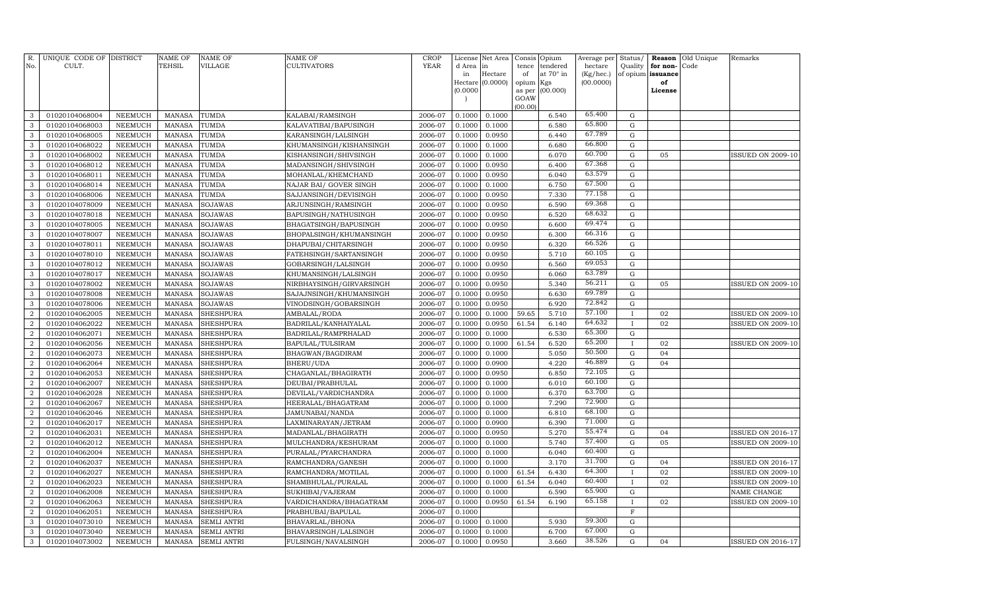| R.<br>No.                          | UNIQUE CODE OF DISTRICT<br>CULT. |                           | <b>NAME OF</b><br>TEHSIL       | <b>NAME OF</b><br><b>VILLAGE</b>     | NAME OF<br><b>CULTIVATORS</b>             | <b>CROP</b><br>YEAR | License<br>d Area | Net Area<br>in   | Consis<br>tence | Opium<br>tendered | Average per<br>hectare | Status/<br>Quality     | Reason<br>for non- | Old Unique<br>Code | Remarks                  |
|------------------------------------|----------------------------------|---------------------------|--------------------------------|--------------------------------------|-------------------------------------------|---------------------|-------------------|------------------|-----------------|-------------------|------------------------|------------------------|--------------------|--------------------|--------------------------|
|                                    |                                  |                           |                                |                                      |                                           |                     | in                | Hectare          | of              | at 70° in         | $(Kg/$ hec. $)$        |                        | of opium issuance  |                    |                          |
|                                    |                                  |                           |                                |                                      |                                           |                     |                   | Hectare (0.0000) | opium           | Kgs               | (00.0000)              |                        | of                 |                    |                          |
|                                    |                                  |                           |                                |                                      |                                           |                     | (0.0000)          |                  | as per          | (00.000)          |                        |                        | License            |                    |                          |
|                                    |                                  |                           |                                |                                      |                                           |                     |                   |                  | GOAW<br>(00.00) |                   |                        |                        |                    |                    |                          |
| 3                                  | 01020104068004                   | <b>NEEMUCH</b>            | <b>MANASA</b>                  | TUMDA                                | KALABAI/RAMSINGH                          | 2006-07             | 0.1000            | 0.1000           |                 | 6.540             | 65.400                 | ${\rm G}$              |                    |                    |                          |
| 3                                  | 01020104068003                   | <b>NEEMUCH</b>            | <b>MANASA</b>                  | TUMDA                                | KALAVATIBAI/BAPUSINGH                     | 2006-07             | 0.1000            | 0.1000           |                 | 6.580             | 65.800                 | ${\rm G}$              |                    |                    |                          |
| 3                                  | 01020104068005                   | <b>NEEMUCH</b>            | <b>MANASA</b>                  | TUMDA                                | KARANSINGH/LALSINGH                       | 2006-07             | 0.1000            | 0.0950           |                 | 6.440             | 67.789                 | ${\rm G}$              |                    |                    |                          |
| 3                                  | 01020104068022                   | <b>NEEMUCH</b>            | <b>MANASA</b>                  | <b>TUMDA</b>                         | KHUMANSINGH/KISHANSINGH                   | 2006-07             | 0.1000            | 0.1000           |                 | 6.680             | 66.800                 | ${\rm G}$              |                    |                    |                          |
| 3                                  | 01020104068002                   | <b>NEEMUCH</b>            | <b>MANASA</b>                  | TUMDA                                | KISHANSINGH/SHIVSINGH                     | 2006-07             | 0.1000            | 0.1000           |                 | 6.070             | 60.700                 | ${\bf G}$              | 05                 |                    | <b>ISSUED ON 2009-10</b> |
| 3                                  | 01020104068012                   | <b>NEEMUCH</b>            | <b>MANASA</b>                  | TUMDA                                | MADANSINGH/SHIVSINGH                      | 2006-07             | 0.1000            | 0.0950           |                 | 6.400             | 67.368                 | ${\rm G}$              |                    |                    |                          |
| 3                                  | 01020104068011                   | <b>NEEMUCH</b>            | <b>MANASA</b>                  | TUMDA                                | MOHANLAL/KHEMCHAND                        | 2006-07             | 0.1000            | 0.0950           |                 | 6.040             | 63.579                 | ${\rm G}$              |                    |                    |                          |
| 3                                  | 01020104068014                   | <b>NEEMUCH</b>            | <b>MANASA</b>                  | TUMDA                                | NAJAR BAI/ GOVER SINGH                    | 2006-07             | 0.1000            | 0.1000           |                 | 6.750             | 67.500                 | ${\rm G}$              |                    |                    |                          |
| 3                                  | 01020104068006                   | <b>NEEMUCH</b>            | <b>MANASA</b>                  | TUMDA                                | SAJJANSINGH/DEVISINGH                     | 2006-07             | 0.1000            | 0.0950           |                 | 7.330             | 77.158                 | $\mathbf G$            |                    |                    |                          |
| 3                                  | 01020104078009                   | <b>NEEMUCH</b>            | <b>MANASA</b>                  | <b>SOJAWAS</b>                       | ARJUNSINGH/RAMSINGH                       | 2006-07             | 0.1000            | 0.0950           |                 | 6.590             | 69.368                 | $\mathbf G$            |                    |                    |                          |
| 3                                  | 01020104078018                   | <b>NEEMUCH</b>            | <b>MANASA</b>                  | <b>SOJAWAS</b>                       | BAPUSINGH/NATHUSINGH                      | 2006-07             | 0.1000            | 0.0950           |                 | 6.520             | 68.632                 | ${\bf G}$              |                    |                    |                          |
| 3                                  | 01020104078005                   | <b>NEEMUCH</b>            | <b>MANASA</b>                  | <b>SOJAWAS</b>                       | BHAGATSINGH/BAPUSINGH                     | 2006-07             | 0.1000            | 0.0950           |                 | 6.600             | 69.474                 | $\mathbf G$            |                    |                    |                          |
| 3                                  | 01020104078007                   | <b>NEEMUCH</b>            | <b>MANASA</b>                  | <b>SOJAWAS</b>                       | BHOPALSINGH/KHUMANSINGH                   | 2006-07             | 0.1000            | 0.0950           |                 | 6.300             | 66.316                 | $\mathbf G$            |                    |                    |                          |
| 3                                  | 01020104078011                   | <b>NEEMUCH</b>            | <b>MANASA</b>                  | <b>SOJAWAS</b>                       | DHAPUBAI/CHITARSINGH                      | 2006-07             | 0.1000            | 0.0950           |                 | 6.320             | 66.526                 | ${\rm G}$              |                    |                    |                          |
| 3                                  | 01020104078010                   | <b>NEEMUCH</b>            | <b>MANASA</b>                  | <b>SOJAWAS</b>                       | FATEHSINGH/SARTANSINGH                    | 2006-07             | 0.1000            | 0.0950           |                 | 5.710             | 60.105                 | ${\bf G}$              |                    |                    |                          |
| 3                                  | 01020104078012                   | <b>NEEMUCH</b>            | <b>MANASA</b>                  | <b>SOJAWAS</b>                       | GOBARSINGH/LALSINGH                       | 2006-07             | 0.1000            | 0.0950           |                 | 6.560             | 69.053                 | ${\bf G}$              |                    |                    |                          |
| 3                                  | 01020104078017                   | <b>NEEMUCH</b>            | <b>MANASA</b>                  | SOJAWAS                              | KHUMANSINGH/LALSINGH                      | 2006-07             | 0.1000            | 0.0950           |                 | 6.060             | 63.789                 | ${\rm G}$              |                    |                    |                          |
| $\mathbf{3}$                       | 01020104078002                   | <b>NEEMUCH</b>            | <b>MANASA</b>                  | SOJAWAS                              | NIRBHAYSINGH/GIRVARSINGH                  | 2006-07             | 0.1000            | 0.0950           |                 | 5.340             | 56.211                 | ${\rm G}$              | 05                 |                    | <b>ISSUED ON 2009-10</b> |
| $\mathbf{3}$                       | 01020104078008                   | <b>NEEMUCH</b>            | <b>MANASA</b>                  | SOJAWAS                              | SAJAJNSINGH/KHUMANSINGH                   | 2006-07             | 0.1000            | 0.0950           |                 | 6.630             | 69.789                 | ${\bf G}$              |                    |                    |                          |
| $\mathbf{3}$                       | 01020104078006                   | <b>NEEMUCH</b>            | <b>MANASA</b>                  | SOJAWAS                              | VINODSINGH/GOBARSINGH                     | 2006-07             | 0.1000            | 0.0950           |                 | 6.920             | 72.842                 | ${\bf G}$              |                    |                    |                          |
| $\overline{2}$                     | 01020104062005                   | NEEMUCH                   | <b>MANASA</b>                  | <b>SHESHPURA</b>                     | AMBALAL/RODA                              | 2006-07             | 0.1000            | 0.1000           | 59.65           | 5.710             | 57.100                 |                        | 02                 |                    | <b>ISSUED ON 2009-10</b> |
| $\overline{2}$                     | 01020104062022                   | <b>NEEMUCH</b>            | <b>MANASA</b>                  | <b>SHESHPURA</b>                     | BADRILAL/KANHAIYALAL                      | 2006-07             | 0.1000            | 0.0950           | 61.54           | 6.140             | 64.632                 | $\mathbf I$            | 02                 |                    | <b>ISSUED ON 2009-10</b> |
| $\overline{2}$                     | 01020104062071                   | NEEMUCH                   | <b>MANASA</b>                  | <b>SHESHPURA</b>                     | BADRILAL/RAMPRHALAD                       | 2006-07             | 0.1000            | 0.1000           |                 | 6.530             | 65.300                 | $\mathbf G$            |                    |                    |                          |
| $\overline{2}$                     | 01020104062056                   | <b>NEEMUCH</b>            | <b>MANASA</b>                  | <b>SHESHPURA</b>                     | BAPULAL/TULSIRAM                          | 2006-07             | 0.1000            | 0.1000           | 61.54           | 6.520             | 65.200                 |                        | 02                 |                    | <b>ISSUED ON 2009-10</b> |
| $\overline{2}$                     | 01020104062073                   | <b>NEEMUCH</b>            | <b>MANASA</b>                  | <b>SHESHPURA</b>                     | BHAGWAN/BAGDIRAM                          | 2006-07             | 0.1000            | 0.1000           |                 | 5.050             | 50.500                 | ${\rm G}$              | 04                 |                    |                          |
| $\overline{2}$                     | 01020104062064                   | <b>NEEMUCH</b>            | <b>MANASA</b>                  | <b>SHESHPURA</b>                     | BHERU/UDA                                 | 2006-07             | 0.1000            | 0.0900           |                 | 4.220             | 46.889                 | ${\bf G}$              | 04                 |                    |                          |
| $\overline{2}$                     | 01020104062053                   | <b>NEEMUCH</b>            | <b>MANASA</b>                  | <b>SHESHPURA</b>                     | CHAGANLAL/BHAGIRATH                       | 2006-07             | 0.1000            | 0.0950           |                 | 6.850             | 72.105                 | ${\bf G}$              |                    |                    |                          |
| $\overline{2}$                     | 01020104062007                   | <b>NEEMUCH</b>            | <b>MANASA</b>                  | <b>SHESHPURA</b>                     | DEUBAI/PRABHULAL                          | 2006-07             | 0.1000            | 0.1000           |                 | 6.010             | 60.100<br>63.700       | ${\bf G}$              |                    |                    |                          |
| $\overline{2}$                     | 01020104062028                   | <b>NEEMUCH</b>            | <b>MANASA</b>                  | <b>SHESHPURA</b>                     | DEVILAL/VARDICHANDRA                      | 2006-07             | 0.1000            | 0.1000           |                 | 6.370             | 72.900                 | ${\bf G}$              |                    |                    |                          |
| $\boldsymbol{2}$<br>$\overline{2}$ | 01020104062067                   | <b>NEEMUCH</b>            | <b>MANASA</b>                  | <b>SHESHPURA</b>                     | HEERALAL/BHAGATRAM                        | 2006-07             | 0.1000            | 0.1000           |                 | 7.290<br>6.810    | 68.100                 | ${\bf G}$<br>${\bf G}$ |                    |                    |                          |
| $\overline{2}$                     | 01020104062046                   | <b>NEEMUCH</b>            | <b>MANASA</b><br><b>MANASA</b> | <b>SHESHPURA</b>                     | JAMUNABAI/NANDA                           | 2006-07             | 0.1000<br>0.1000  | 0.1000           |                 | 6.390             | 71.000                 | $\mathbf G$            |                    |                    |                          |
| $\overline{2}$                     | 01020104062017<br>01020104062031 | NEEMUCH                   | <b>MANASA</b>                  | <b>SHESHPURA</b>                     | LAXMINARAYAN/JETRAM                       | 2006-07<br>2006-07  | 0.1000            | 0.0900<br>0.0950 |                 | 5.270             | 55.474                 | ${\bf G}$              | 04                 |                    | <b>ISSUED ON 2016-17</b> |
| $\overline{2}$                     | 01020104062012                   | NEEMUCH<br><b>NEEMUCH</b> | <b>MANASA</b>                  | <b>SHESHPURA</b><br><b>SHESHPURA</b> | MADANLAL/BHAGIRATH<br>MULCHANDRA/KESHURAM | 2006-07             | 0.1000            | 0.1000           |                 | 5.740             | 57.400                 | $\mathbf G$            | 05                 |                    | <b>ISSUED ON 2009-10</b> |
| $\overline{2}$                     | 01020104062004                   | <b>NEEMUCH</b>            | <b>MANASA</b>                  | <b>SHESHPURA</b>                     | PURALAL/PYARCHANDRA                       | 2006-07             | 0.1000            | 0.1000           |                 | 6.040             | 60.400                 | ${\bf G}$              |                    |                    |                          |
| $\overline{2}$                     | 01020104062037                   | <b>NEEMUCH</b>            | <b>MANASA</b>                  | SHESHPURA                            | RAMCHANDRA/GANESH                         | 2006-07             | 0.1000            | 0.1000           |                 | 3.170             | 31.700                 | $\mathbf G$            | 04                 |                    | <b>ISSUED ON 2016-17</b> |
| $\overline{2}$                     | 01020104062027                   | <b>NEEMUCH</b>            | <b>MANASA</b>                  | <b>SHESHPURA</b>                     | RAMCHANDRA/MOTILAL                        | 2006-07             | 0.1000            | 0.1000           | 61.54           | 6.430             | 64.300                 |                        | 02                 |                    | <b>ISSUED ON 2009-10</b> |
| $\overline{2}$                     | 01020104062023                   | <b>NEEMUCH</b>            | <b>MANASA</b>                  | <b>SHESHPURA</b>                     | SHAMBHULAL/PURALAL                        | 2006-07             | 0.1000            | 0.1000           | 61.54           | 6.040             | 60.400                 |                        | 02                 |                    | <b>ISSUED ON 2009-10</b> |
| $\overline{2}$                     | 01020104062008                   | <b>NEEMUCH</b>            | <b>MANASA</b>                  | <b>SHESHPURA</b>                     | SUKHIBAI/VAJERAM                          | 2006-07             | 0.1000            | 0.1000           |                 | 6.590             | 65.900                 | $\mathbf G$            |                    |                    | NAME CHANGE              |
| $\boldsymbol{2}$                   | 01020104062063                   | <b>NEEMUCH</b>            | <b>MANASA</b>                  | <b>SHESHPURA</b>                     | VARDICHANDRA/BHAGATRAM                    | 2006-07             | 0.1000            | 0.0950           | 61.54           | 6.190             | 65.158                 |                        | 02                 |                    | <b>ISSUED ON 2009-10</b> |
| $\overline{2}$                     | 01020104062051                   | <b>NEEMUCH</b>            | <b>MANASA</b>                  | <b>SHESHPURA</b>                     | PRABHUBAI/BAPULAL                         | 2006-07             | 0.1000            |                  |                 |                   |                        | $\mathbf F$            |                    |                    |                          |
| 3                                  | 01020104073010                   | <b>NEEMUCH</b>            | <b>MANASA</b>                  | <b>SEMLI ANTRI</b>                   | BHAVARLAL/BHONA                           | 2006-07             | 0.1000            | 0.1000           |                 | 5.930             | 59.300                 | $\mathbf G$            |                    |                    |                          |
| 3                                  | 01020104073040                   | NEEMUCH                   | <b>MANASA</b>                  | <b>SEMLI ANTRI</b>                   | BHAVARSINGH/LALSINGH                      | 2006-07             | 0.1000            | 0.1000           |                 | 6.700             | 67.000                 | ${\bf G}$              |                    |                    |                          |
| $\mathbf{3}$                       | 01020104073002                   | NEEMUCH                   | <b>MANASA</b>                  | <b>SEMLI ANTRI</b>                   | FULSINGH/NAVALSINGH                       | 2006-07             | 0.1000            | 0.0950           |                 | 3.660             | 38.526                 | G                      | 04                 |                    | <b>ISSUED ON 2016-17</b> |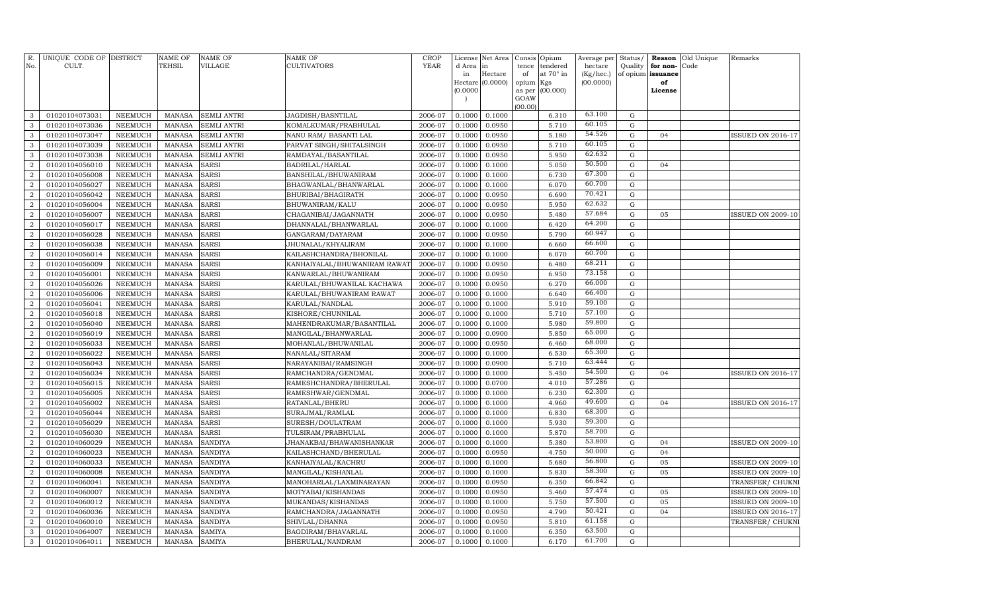| R.<br>No.           | UNIQUE CODE OF DISTRICT<br>CULT. |                                  | <b>NAME OF</b><br>TEHSIL       | <b>NAME OF</b><br><b>VILLAGE</b> | NAME OF<br><b>CULTIVATORS</b>                 | <b>CROP</b><br><b>YEAR</b> | License<br>d Area | Net Area<br>in   | Consis      | Opium<br>tendered | Average per<br>hectare | Status/<br>Quality         | Reason<br>for non- | Old Unique<br>Code | Remarks                                      |
|---------------------|----------------------------------|----------------------------------|--------------------------------|----------------------------------|-----------------------------------------------|----------------------------|-------------------|------------------|-------------|-------------------|------------------------|----------------------------|--------------------|--------------------|----------------------------------------------|
|                     |                                  |                                  |                                |                                  |                                               |                            | in                | Hectare          | tence<br>of | at 70° in         | $(Kg/$ hec. $)$        |                            | of opium issuance  |                    |                                              |
|                     |                                  |                                  |                                |                                  |                                               |                            |                   | Hectare (0.0000) | opium       | Kgs               | (00.0000)              |                            | of                 |                    |                                              |
|                     |                                  |                                  |                                |                                  |                                               |                            | (0.0000)          |                  | as per      | (00.000)          |                        |                            | License            |                    |                                              |
|                     |                                  |                                  |                                |                                  |                                               |                            |                   |                  | GOAW        |                   |                        |                            |                    |                    |                                              |
| 3                   | 01020104073031                   | <b>NEEMUCH</b>                   | <b>MANASA</b>                  | <b>SEMLI ANTRI</b>               | JAGDISH/BASNTILAL                             | 2006-07                    | 0.1000            | 0.1000           | (00.00)     | 6.310             | 63.100                 | ${\rm G}$                  |                    |                    |                                              |
| 3                   | 01020104073036                   | <b>NEEMUCH</b>                   | <b>MANASA</b>                  | <b>SEMLI ANTRI</b>               | KOMALKUMAR/PRABHULAL                          | 2006-07                    | 0.1000            | 0.0950           |             | 5.710             | 60.105                 | ${\rm G}$                  |                    |                    |                                              |
| 3                   | 01020104073047                   | <b>NEEMUCH</b>                   | <b>MANASA</b>                  | <b>SEMLI ANTRI</b>               | NANU RAM / BASANTI LAL                        | 2006-07                    | 0.1000            | 0.0950           |             | 5.180             | 54.526                 | ${\rm G}$                  | 04                 |                    | ISSUED ON 2016-17                            |
| 3                   | 01020104073039                   | <b>NEEMUCH</b>                   | <b>MANASA</b>                  | <b>SEMLI ANTRI</b>               | PARVAT SINGH/SHITALSINGH                      | 2006-07                    | 0.1000            | 0.0950           |             | 5.710             | 60.105                 | ${\rm G}$                  |                    |                    |                                              |
| 3                   | 01020104073038                   | <b>NEEMUCH</b>                   | <b>MANASA</b>                  | <b>SEMLI ANTRI</b>               | RAMDAYAL/BASANTILAL                           | 2006-07                    | 0.1000            | 0.0950           |             | 5.950             | 62.632                 | ${\rm G}$                  |                    |                    |                                              |
| $\overline{2}$      | 01020104056010                   | <b>NEEMUCH</b>                   | <b>MANASA</b>                  | <b>SARSI</b>                     | BADRILAL/HARLAL                               | 2006-07                    | 0.1000            | 0.1000           |             | 5.050             | 50.500                 | G                          | 04                 |                    |                                              |
| $\overline{2}$      | 01020104056008                   | <b>NEEMUCH</b>                   | <b>MANASA</b>                  | <b>SARSI</b>                     | BANSHILAL/BHUWANIRAM                          | 2006-07                    | 0.1000            | 0.1000           |             | 6.730             | 67.300                 | $\mathbf G$                |                    |                    |                                              |
| $\overline{2}$      | 01020104056027                   | <b>NEEMUCH</b>                   | <b>MANASA</b>                  | <b>SARSI</b>                     | BHAGWANLAL/BHANWARLAL                         | 2006-07                    | 0.1000            | 0.1000           |             | 6.070             | 60.700                 | ${\rm G}$                  |                    |                    |                                              |
| $\overline{a}$      | 01020104056042                   | <b>NEEMUCH</b>                   | <b>MANASA</b>                  | <b>SARSI</b>                     | BHURIBAI/BHAGIRATH                            | 2006-07                    | 0.1000            | 0.0950           |             | 6.690             | 70.421                 | ${\bf G}$                  |                    |                    |                                              |
| $\overline{2}$      | 01020104056004                   | <b>NEEMUCH</b>                   | <b>MANASA</b>                  | <b>SARSI</b>                     | BHUWANIRAM/KALU                               | 2006-07                    | 0.1000            | 0.0950           |             | 5.950             | 62.632                 | $\mathbf G$                |                    |                    |                                              |
| $\overline{a}$      | 01020104056007                   | <b>NEEMUCH</b>                   | <b>MANASA</b>                  | <b>SARSI</b>                     | CHAGANIBAI/JAGANNATH                          | 2006-07                    | 0.1000            | 0.0950           |             | 5.480             | 57.684                 | ${\bf G}$                  | 05                 |                    | ISSUED ON 2009-10                            |
| $\overline{2}$      | 01020104056017                   | <b>NEEMUCH</b>                   | <b>MANASA</b>                  | <b>SARSI</b>                     | DHANNALAL/BHANWARLAL                          | 2006-07                    | 0.1000            | 0.1000           |             | 6.420             | 64.200                 | ${\rm G}$                  |                    |                    |                                              |
| $\overline{a}$      | 01020104056028                   | <b>NEEMUCH</b>                   | <b>MANASA</b>                  | <b>SARSI</b>                     | GANGARAM/DAYARAM                              | 2006-07                    | 0.1000            | 0.0950           |             | 5.790             | 60.947                 | ${\rm G}$                  |                    |                    |                                              |
| $\overline{2}$      | 01020104056038                   | <b>NEEMUCH</b>                   | <b>MANASA</b>                  | <b>SARSI</b>                     | JHUNALAL/KHYALIRAM                            | 2006-07                    | 0.1000            | 0.1000           |             | 6.660             | 66.600                 | ${\rm G}$                  |                    |                    |                                              |
| $\overline{2}$      | 01020104056014                   | <b>NEEMUCH</b>                   | <b>MANASA</b>                  | <b>SARSI</b>                     | KAILASHCHANDRA/BHONILAL                       | 2006-07                    | 0.1000            | 0.1000           |             | 6.070             | 60.700                 | ${\rm G}$                  |                    |                    |                                              |
| $\overline{2}$      | 01020104056009                   | <b>NEEMUCH</b>                   | <b>MANASA</b>                  | <b>SARSI</b>                     | KANHAIYALAL/BHUWANIRAM RAWAT                  | 2006-07                    | 0.1000            | 0.0950           |             | 6.480             | 68.211                 | $\mathbf G$                |                    |                    |                                              |
| $\overline{2}$      | 01020104056001                   | <b>NEEMUCH</b>                   | <b>MANASA</b>                  | <b>SARSI</b>                     | KANWARLAL/BHUWANIRAM                          | 2006-07                    | 0.1000            | 0.0950           |             | 6.950             | 73.158                 | ${\rm G}$                  |                    |                    |                                              |
| $\overline{2}$      | 01020104056026                   | <b>NEEMUCH</b>                   | <b>MANASA</b>                  | <b>SARSI</b>                     | KARULAL/BHUWANILAL KACHAWA                    | 2006-07                    | 0.1000            | 0.0950           |             | 6.270             | 66.000                 | $\mathbf G$                |                    |                    |                                              |
| $\overline{2}$      | 01020104056006                   | <b>NEEMUCH</b>                   | <b>MANASA</b>                  | <b>SARSI</b>                     | KARULAL/BHUWANIRAM RAWAT                      | 2006-07                    | 0.1000            | 0.1000           |             | 6.640             | 66.400                 | $\mathbf G$                |                    |                    |                                              |
| $\overline{2}$      | 01020104056041                   | <b>NEEMUCH</b>                   | <b>MANASA</b>                  | <b>SARSI</b>                     | KARULAL/NANDLAL                               | 2006-07                    | 0.1000            | 0.1000           |             | 5.910             | 59.100                 | ${\rm G}$                  |                    |                    |                                              |
| $\overline{a}$      | 01020104056018                   | <b>NEEMUCH</b>                   | <b>MANASA</b>                  | <b>SARSI</b>                     | KISHORE/CHUNNILAL                             | 2006-07                    | 0.1000            | 0.1000           |             | 5.710             | 57.100                 | ${\bf G}$                  |                    |                    |                                              |
| $\overline{a}$      | 01020104056040                   | <b>NEEMUCH</b>                   | <b>MANASA</b>                  | <b>SARSI</b>                     | MAHENDRAKUMAR/BASANTILAL                      | 2006-07                    | 0.1000            | 0.1000           |             | 5.980             | 59.800                 | ${\bf G}$                  |                    |                    |                                              |
| $\overline{2}$      | 01020104056019                   | <b>NEEMUCH</b>                   | <b>MANASA</b>                  | <b>SARSI</b>                     | MANGILAL/BHANWARLAL                           | 2006-07                    | 0.1000            | 0.0900           |             | 5.850             | 65.000                 | ${\rm G}$                  |                    |                    |                                              |
| $\overline{2}$      | 01020104056033                   | <b>NEEMUCH</b>                   | <b>MANASA</b>                  | <b>SARSI</b>                     | MOHANLAL/BHUWANILAL                           | 2006-07                    | 0.1000            | 0.0950           |             | 6.460             | 68.000                 | ${\rm G}$                  |                    |                    |                                              |
| $\overline{2}$      | 01020104056022                   | <b>NEEMUCH</b>                   | <b>MANASA</b>                  | <b>SARSI</b>                     | NANALAL/SITARAM                               | 2006-07                    | 0.1000            | 0.1000           |             | 6.530             | 65.300                 | ${\rm G}$                  |                    |                    |                                              |
| $\overline{2}$      | 01020104056043                   | <b>NEEMUCH</b>                   | <b>MANASA</b>                  | <b>SARSI</b>                     | NARAYANIBAI/RAMSINGH                          | 2006-07                    | 0.1000            | 0.0900           |             | 5.710             | 63.444                 | G                          |                    |                    |                                              |
| 2                   | 01020104056034                   | <b>NEEMUCH</b>                   | <b>MANASA</b>                  | <b>SARSI</b>                     | RAMCHANDRA/GENDMAL                            | 2006-07                    | 0.1000            | 0.1000           |             | 5.450             | 54.500                 | $\mathbf G$                | 04                 |                    | <b>ISSUED ON 2016-17</b>                     |
| $\overline{2}$      | 01020104056015                   | <b>NEEMUCH</b>                   | <b>MANASA</b>                  | <b>SARSI</b>                     | RAMESHCHANDRA/BHERULAL                        | 2006-07                    | 0.1000            | 0.0700           |             | 4.010             | 57.286                 | ${\rm G}$                  |                    |                    |                                              |
| $\overline{2}$      | 01020104056005                   | <b>NEEMUCH</b>                   | <b>MANASA</b>                  | <b>SARSI</b>                     | RAMESHWAR/GENDMAL                             | 2006-07                    | 0.1000            | 0.1000           |             | 6.230             | 62.300                 | $\mathbf G$                |                    |                    |                                              |
| $\overline{2}$      | 01020104056002                   | <b>NEEMUCH</b>                   | <b>MANASA</b>                  | <b>SARSI</b>                     | RATANLAL/BHERU                                | 2006-07                    | 0.1000            | 0.1000           |             | 4.960             | 49.600                 | ${\bf G}$                  | 04                 |                    | <b>ISSUED ON 2016-17</b>                     |
| $\overline{2}$      | 01020104056044                   | <b>NEEMUCH</b>                   | <b>MANASA</b>                  | <b>SARSI</b>                     | SURAJMAL/RAMLAL                               | 2006-07                    | 0.1000            | 0.1000           |             | 6.830             | 68.300                 | ${\bf G}$                  |                    |                    |                                              |
| $\overline{2}$      | 01020104056029                   | <b>NEEMUCH</b>                   | <b>MANASA</b>                  | <b>SARSI</b>                     | SURESH/DOULATRAM                              | 2006-07                    | 0.1000            | 0.1000           |             | 5.930             | 59.300                 | ${\rm G}$                  |                    |                    |                                              |
| $\overline{2}$      | 01020104056030                   | <b>NEEMUCH</b>                   | <b>MANASA</b>                  | <b>SARSI</b>                     | TULSIRAM/PRABHULAL                            | 2006-07                    | 0.1000            | 0.1000           |             | 5.870             | 58.700<br>53.800       | ${\bf G}$                  |                    |                    |                                              |
| $\overline{2}$      | 01020104060029                   | <b>NEEMUCH</b>                   | <b>MANASA</b>                  | <b>SANDIYA</b>                   | JHANAKBAI/BHAWANISHANKAR                      | 2006-07                    | 0.1000            | 0.1000           |             | 5.380             | 50.000                 | ${\rm G}$                  | 04                 |                    | <b>ISSUED ON 2009-10</b>                     |
| 2                   | 01020104060023                   | <b>NEEMUCH</b>                   | <b>MANASA</b>                  | <b>SANDIYA</b>                   | KAILASHCHAND/BHERULAL                         | 2006-07                    | 0.1000            | 0.0950           |             | 4.750             | 56.800                 | ${\rm G}$                  | 04                 |                    |                                              |
| $\overline{2}$      | 01020104060033                   | <b>NEEMUCH</b>                   | <b>MANASA</b>                  | SANDIYA                          | KANHAIYALAL/KACHRU                            | 2006-07                    | 0.1000            | 0.1000           |             | 5.680             | 58.300                 | ${\rm G}$                  | 05                 |                    | <b>ISSUED ON 2009-10</b>                     |
| 2<br>$\overline{2}$ | 01020104060008<br>01020104060041 | <b>NEEMUCH</b><br><b>NEEMUCH</b> | <b>MANASA</b><br><b>MANASA</b> | <b>SANDIYA</b><br><b>SANDIYA</b> | MANGILAL/KISHANLAL<br>MANOHARLAL/LAXMINARAYAN | 2006-07<br>2006-07         | 0.1000<br>0.1000  | 0.1000<br>0.0950 |             | 5.830<br>6.350    | 66.842                 | $\mathbf G$<br>$\mathbf G$ | 05                 |                    | <b>ISSUED ON 2009-10</b><br>TRANSFER/ CHUKNI |
| $\overline{2}$      | 01020104060007                   | <b>NEEMUCH</b>                   | <b>MANASA</b>                  | <b>SANDIYA</b>                   | MOTYABAI/KISHANDAS                            | 2006-07                    | 0.1000            | 0.0950           |             | 5.460             | 57.474                 | ${\bf G}$                  | 05                 |                    | <b>ISSUED ON 2009-10</b>                     |
| $\overline{2}$      | 01020104060012                   | <b>NEEMUCH</b>                   | <b>MANASA</b>                  | <b>SANDIYA</b>                   | MUKANDAS/KISHANDAS                            | 2006-07                    | 0.1000            | 0.1000           |             | 5.750             | 57.500                 | ${\bf G}$                  | 05                 |                    | <b>ISSUED ON 2009-10</b>                     |
| $\overline{2}$      | 01020104060036                   | <b>NEEMUCH</b>                   | <b>MANASA</b>                  | <b>SANDIYA</b>                   | RAMCHANDRA/JAGANNATH                          | 2006-07                    | 0.1000            | 0.0950           |             | 4.790             | 50.421                 | ${\bf G}$                  | 04                 |                    | <b>ISSUED ON 2016-17</b>                     |
| $\overline{a}$      | 01020104060010                   | <b>NEEMUCH</b>                   | <b>MANASA</b>                  | <b>SANDIYA</b>                   | SHIVLAL/DHANNA                                | 2006-07                    | 0.1000            | 0.0950           |             | 5.810             | 61.158                 | ${\rm G}$                  |                    |                    | TRANSFER/ CHUKN                              |
| 3                   | 01020104064007                   | <b>NEEMUCH</b>                   | <b>MANASA</b>                  | <b>SAMIYA</b>                    | BAGDIRAM/BHAVARLAL                            | 2006-07                    | 0.1000            | 0.1000           |             | 6.350             | 63.500                 | ${\rm G}$                  |                    |                    |                                              |
| $\mathbf{3}$        | 01020104064011                   | <b>NEEMUCH</b>                   | MANASA                         | <b>SAMIYA</b>                    | BHERULAL/NANDRAM                              | 2006-07                    | 0.1000            | 0.1000           |             | 6.170             | 61.700                 | ${\rm G}$                  |                    |                    |                                              |
|                     |                                  |                                  |                                |                                  |                                               |                            |                   |                  |             |                   |                        |                            |                    |                    |                                              |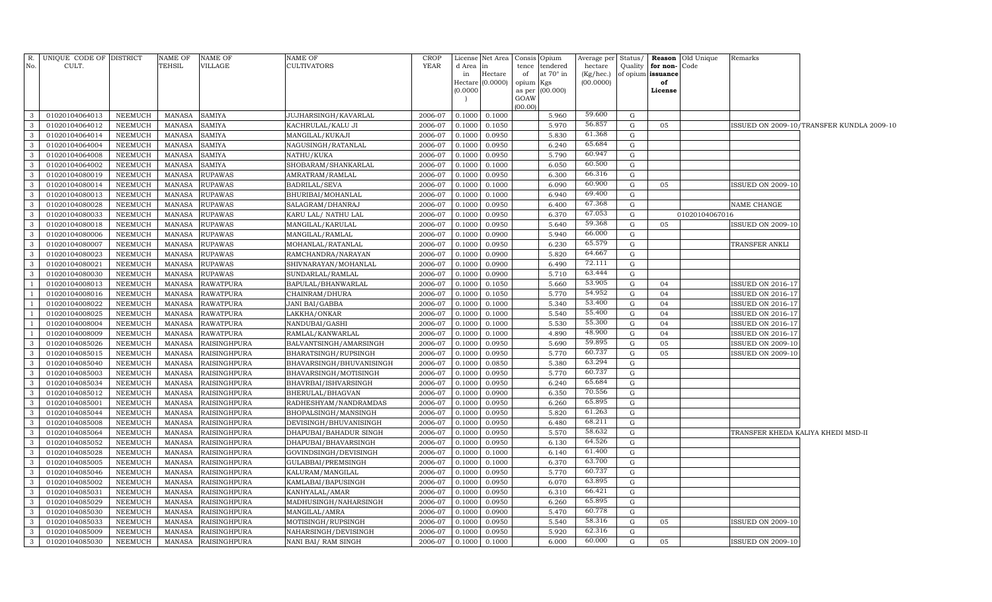| R.             | UNIQUE CODE OF DISTRICT |                | NAME OF       | NAME OF             | NAME OF                  | CROP    |          | License Net Area   | Consis         | Opium     | Average per Status/ |                   |          | <b>Reason</b> Old Unique | Remarks                            |                                           |
|----------------|-------------------------|----------------|---------------|---------------------|--------------------------|---------|----------|--------------------|----------------|-----------|---------------------|-------------------|----------|--------------------------|------------------------------------|-------------------------------------------|
| No.            | CULT.                   |                | TEHSIL        | VILLAGE             | <b>CULTIVATORS</b>       | YEAR    | d Area   | in                 | tence          | tendered  | hectare             | Quality           | for non- | Code                     |                                    |                                           |
|                |                         |                |               |                     |                          |         | in       | Hectare            | of             | at 70° in | (Kg/hec.)           | of opium issuance |          |                          |                                    |                                           |
|                |                         |                |               |                     |                          |         | (0.0000) | Hectare $(0.0000)$ | opium          | Kgs       | (00.0000)           |                   | of       |                          |                                    |                                           |
|                |                         |                |               |                     |                          |         |          |                    | as per<br>GOAW | (00.000)  |                     |                   | License  |                          |                                    |                                           |
|                |                         |                |               |                     |                          |         |          |                    | 00.00          |           |                     |                   |          |                          |                                    |                                           |
| $\mathbf{3}$   | 01020104064013          | NEEMUCH        | <b>MANASA</b> | <b>SAMIYA</b>       | JUJHARSINGH/KAVARLAL     | 2006-07 | 0.1000   | 0.1000             |                | 5.960     | 59.600              | G                 |          |                          |                                    |                                           |
| $\mathbf{3}$   | 01020104064012          | NEEMUCH        | MANASA        | <b>SAMIYA</b>       | KACHRULAL/KALU JI        | 2006-07 | 0.1000   | 0.1050             |                | 5.970     | 56.857              | G                 | 05       |                          |                                    | ISSUED ON 2009-10/TRANSFER KUNDLA 2009-10 |
| $\mathbf{3}$   | 01020104064014          | NEEMUCH        | <b>MANASA</b> | <b>SAMIYA</b>       | MANGILAL/KUKAJI          | 2006-07 | 0.1000   | 0.0950             |                | 5.830     | 61.368              | G                 |          |                          |                                    |                                           |
| $\mathbf{3}$   | 01020104064004          | NEEMUCH        | <b>MANASA</b> | <b>SAMIYA</b>       | NAGUSINGH/RATANLAL       | 2006-07 | 0.1000   | 0.0950             |                | 6.240     | 65.684              | G                 |          |                          |                                    |                                           |
| $\mathbf{3}$   | 01020104064008          | NEEMUCH        | MANASA        | SAMIYA              | NATHU/KUKA               | 2006-07 | 0.1000   | 0.0950             |                | 5.790     | 60.947              | G                 |          |                          |                                    |                                           |
| $\mathbf{3}$   | 01020104064002          | NEEMUCH        | MANASA        | <b>SAMIYA</b>       | SHOBARAM/SHANKARLAL      | 2006-07 | 0.1000   | 0.1000             |                | 6.050     | 60.500              | G                 |          |                          |                                    |                                           |
| $\mathbf{3}$   | 01020104080019          | NEEMUCH        | MANASA        | <b>RUPAWAS</b>      | AMRATRAM/RAMLAL          | 2006-07 | 0.1000   | 0.0950             |                | 6.300     | 66.316              | G                 |          |                          |                                    |                                           |
| $\mathbf{3}$   | 01020104080014          | <b>NEEMUCH</b> | MANASA        | <b>RUPAWAS</b>      | BADRILAL/SEVA            | 2006-07 | 0.1000   | 0.1000             |                | 6.090     | 60.900              | G                 | 05       |                          | <b>ISSUED ON 2009-10</b>           |                                           |
| $\mathbf{3}$   | 01020104080013          | NEEMUCH        | <b>MANASA</b> | <b>RUPAWAS</b>      | BHURIBAI/MOHANLAL        | 2006-07 | 0.1000   | 0.1000             |                | 6.940     | 69.400              | G                 |          |                          |                                    |                                           |
| $\mathbf{3}$   | 01020104080028          | NEEMUCH        | <b>MANASA</b> | <b>RUPAWAS</b>      | SALAGRAM/DHANRAJ         | 2006-07 | 0.1000   | 0.0950             |                | 6.400     | 67.368              | G                 |          |                          | NAME CHANGE                        |                                           |
| $\mathbf{3}$   | 01020104080033          | NEEMUCH        | <b>MANASA</b> | <b>RUPAWAS</b>      | KARU LAL/ NATHU LAL      | 2006-07 | 0.1000   | 0.0950             |                | 6.370     | 67.053              | G                 |          | 01020104067016           |                                    |                                           |
| $\mathbf{3}$   | 01020104080018          | NEEMUCH        | <b>MANASA</b> | <b>RUPAWAS</b>      | MANGILAL/KARULAL         | 2006-07 | 0.1000   | 0.0950             |                | 5.640     | 59.368              | G                 | 05       |                          | ISSUED ON 2009-10                  |                                           |
| $\mathbf{3}$   | 01020104080006          | NEEMUCH        | <b>MANASA</b> | <b>RUPAWAS</b>      | MANGILAL/RAMLAL          | 2006-07 | 0.1000   | 0.0900             |                | 5.940     | 66.000              | G                 |          |                          |                                    |                                           |
| $\mathbf{3}$   | 01020104080007          | NEEMUCH        | <b>MANASA</b> | <b>RUPAWAS</b>      | MOHANLAL/RATANLAL        | 2006-07 | 0.1000   | 0.0950             |                | 6.230     | 65.579              | G                 |          |                          | TRANSFER ANKLI                     |                                           |
| $\mathbf{3}$   | 01020104080023          | NEEMUCH        | <b>MANASA</b> | <b>RUPAWAS</b>      | RAMCHANDRA/NARAYAN       | 2006-07 | 0.1000   | 0.0900             |                | 5.820     | 64.667              | G                 |          |                          |                                    |                                           |
| $\mathbf{3}$   | 01020104080021          | NEEMUCH        | MANASA        | <b>RUPAWAS</b>      | SHIVNARAYAN/MOHANLAL     | 2006-07 | 0.1000   | 0.0900             |                | 6.490     | 72.111              | G                 |          |                          |                                    |                                           |
| $\mathbf{3}$   | 01020104080030          | NEEMUCH        | MANASA        | <b>RUPAWAS</b>      | SUNDARLAL/RAMLAL         | 2006-07 | 0.1000   | 0.0900             |                | 5.710     | 63.444              | G                 |          |                          |                                    |                                           |
| $\mathbf{1}$   | 01020104008013          | <b>NEEMUCH</b> | MANASA        | <b>RAWATPURA</b>    | BAPULAL/BHANWARLAL       | 2006-07 | 0.1000   | 0.1050             |                | 5.660     | 53.905              | G                 | 04       |                          | <b>ISSUED ON 2016-17</b>           |                                           |
| -1             | 01020104008016          | NEEMUCH        | <b>MANASA</b> | <b>RAWATPURA</b>    | CHAINRAM/DHURA           | 2006-07 | 0.1000   | 0.1050             |                | 5.770     | 54.952              | G                 | 04       |                          | ISSUED ON 2016-17                  |                                           |
| <sup>1</sup>   | 01020104008022          | NEEMUCH        | <b>MANASA</b> | <b>RAWATPURA</b>    | <b>JANI BAI/GABBA</b>    | 2006-07 | 0.1000   | 0.1000             |                | 5.340     | 53.400              | G                 | 04       |                          | <b>ISSUED ON 2016-17</b>           |                                           |
| $\overline{1}$ | 01020104008025          | NEEMUCH        | <b>MANASA</b> | <b>RAWATPURA</b>    | LAKKHA/ONKAR             | 2006-07 | 0.1000   | 0.1000             |                | 5.540     | 55.400              | G                 | 04       |                          | ISSUED ON 2016-17                  |                                           |
| -1             | 01020104008004          | NEEMUCH        | <b>MANASA</b> | <b>RAWATPURA</b>    | NANDUBAI/GASHI           | 2006-07 | 0.1000   | 0.1000             |                | 5.530     | 55.300              | G                 | 04       |                          | ISSUED ON 2016-17                  |                                           |
| -1             | 01020104008009          | NEEMUCH        | <b>MANASA</b> | <b>RAWATPURA</b>    | RAMLAL/KANWARLAL         | 2006-07 | 0.1000   | 0.1000             |                | 4.890     | 48.900              | G                 | 04       |                          | ISSUED ON 2016-17                  |                                           |
| $\mathbf{3}$   | 01020104085026          | NEEMUCH        | <b>MANASA</b> | <b>RAISINGHPURA</b> | BALVANTSINGH/AMARSINGH   | 2006-07 | 0.1000   | 0.0950             |                | 5.690     | 59.895              | G                 | 05       |                          | ISSUED ON 2009-10                  |                                           |
| $\mathbf{3}$   | 01020104085015          | NEEMUCH        | <b>MANASA</b> | <b>RAISINGHPURA</b> | BHARATSINGH/RUPSINGH     | 2006-07 | 0.1000   | 0.0950             |                | 5.770     | 60.737              | G                 | 05       |                          | ISSUED ON 2009-10                  |                                           |
| $\mathbf{3}$   | 01020104085040          | NEEMUCH        | MANASA        | <b>RAISINGHPURA</b> | BHAVARSINGH/BHUVANISINGH | 2006-07 | 0.1000   | 0.0850             |                | 5.380     | 63.294              | G                 |          |                          |                                    |                                           |
| $\mathbf{3}$   | 01020104085003          | NEEMUCH        | <b>MANASA</b> | <b>RAISINGHPURA</b> | BHAVARSINGH/MOTISINGH    | 2006-07 | 0.1000   | 0.0950             |                | 5.770     | 60.737              | G                 |          |                          |                                    |                                           |
| $\mathbf{3}$   | 01020104085034          | <b>NEEMUCH</b> | MANASA        | <b>RAISINGHPURA</b> | BHAVRBAI/ISHVARSINGH     | 2006-07 | 0.1000   | 0.0950             |                | 6.240     | 65.684              | G                 |          |                          |                                    |                                           |
| $\mathbf{3}$   | 01020104085012          | NEEMUCH        | <b>MANASA</b> | <b>RAISINGHPURA</b> | BHERULAL/BHAGVAN         | 2006-07 | 0.1000   | 0.0900             |                | 6.350     | 70.556              | G                 |          |                          |                                    |                                           |
| $\mathbf{3}$   | 01020104085001          | NEEMUCH        | <b>MANASA</b> | <b>RAISINGHPURA</b> | RADHESHYAM/NANDRAMDAS    | 2006-07 | 0.1000   | 0.0950             |                | 6.260     | 65.895              | G                 |          |                          |                                    |                                           |
| $\mathbf{3}$   | 01020104085044          | NEEMUCH        | <b>MANASA</b> | RAISINGHPURA        | BHOPALSINGH/MANSINGH     | 2006-07 | 0.1000   | 0.0950             |                | 5.820     | 61.263              | G                 |          |                          |                                    |                                           |
| $\mathbf{3}$   | 01020104085008          | NEEMUCH        | <b>MANASA</b> | <b>RAISINGHPURA</b> | DEVISINGH/BHUVANISINGH   | 2006-07 | 0.1000   | 0.0950             |                | 6.480     | 68.211              | G                 |          |                          |                                    |                                           |
| $\mathbf{3}$   | 01020104085064          | NEEMUCH        | <b>MANASA</b> | RAISINGHPURA        | DHAPUBAI/BAHADUR SINGH   | 2006-07 | 0.1000   | 0.0950             |                | 5.570     | 58.632              | G                 |          |                          | TRANSFER KHEDA KALIYA KHEDI MSD-II |                                           |
| $\mathbf{3}$   | 01020104085052          | NEEMUCH        | <b>MANASA</b> | <b>RAISINGHPURA</b> | DHAPUBAI/BHAVARSINGH     | 2006-07 | 0.1000   | 0.0950             |                | 6.130     | 64.526              | G                 |          |                          |                                    |                                           |
| $\mathbf{3}$   | 01020104085028          | NEEMUCH        | <b>MANASA</b> | RAISINGHPURA        | GOVINDSINGH/DEVISINGH    | 2006-07 | 0.1000   | 0.1000             |                | 6.140     | 61.400              | G                 |          |                          |                                    |                                           |
| $\mathbf{3}$   | 01020104085005          | NEEMUCH        | MANASA        | RAISINGHPURA        | GULABBAI/PREMSINGH       | 2006-07 | 0.1000   | 0.1000             |                | 6.370     | 63.700              | G                 |          |                          |                                    |                                           |
| $\mathbf{3}$   | 01020104085046          | NEEMUCH        | MANASA        | <b>RAISINGHPURA</b> | KALURAM/MANGILAL         | 2006-07 | 0.1000   | 0.0950             |                | 5.770     | 60.737              | G                 |          |                          |                                    |                                           |
| $\mathbf{3}$   | 01020104085002          | NEEMUCH        | MANASA        | <b>RAISINGHPURA</b> | KAMLABAI/BAPUSINGH       | 2006-07 | 0.1000   | 0.0950             |                | 6.070     | 63.895              | G                 |          |                          |                                    |                                           |
| $\mathbf{3}$   | 01020104085031          | NEEMUCH        | <b>MANASA</b> | <b>RAISINGHPURA</b> | KANHYALAL/AMAR           | 2006-07 | 0.1000   | 0.0950             |                | 6.310     | 66.421              | G                 |          |                          |                                    |                                           |
| $\mathbf{3}$   | 01020104085029          | NEEMUCH        | <b>MANASA</b> | RAISINGHPURA        | MADHUSINGH/NAHARSINGH    | 2006-07 | 0.1000   | 0.0950             |                | 6.260     | 65.895              | G                 |          |                          |                                    |                                           |
| $\mathbf{3}$   | 01020104085030          | NEEMUCH        | <b>MANASA</b> | RAISINGHPURA        | MANGILAL/AMRA            | 2006-07 | 0.1000   | 0.0900             |                | 5.470     | 60.778              | G                 |          |                          |                                    |                                           |
| $\mathbf{3}$   | 01020104085033          | NEEMUCH        | <b>MANASA</b> | <b>RAISINGHPURA</b> | MOTISINGH/RUPSINGH       | 2006-07 | 0.1000   | 0.0950             |                | 5.540     | 58.316              | G                 | 05       |                          | <b>ISSUED ON 2009-10</b>           |                                           |
| $\mathbf{3}$   | 01020104085009          | NEEMUCH        | <b>MANASA</b> | RAISINGHPURA        | NAHARSINGH/DEVISINGH     | 2006-07 | 0.1000   | 0.0950             |                | 5.920     | 62.316              | G                 |          |                          |                                    |                                           |
| $\mathbf{3}$   | 01020104085030          | NEEMUCH        |               | MANASA RAISINGHPURA | NANI BAI/ RAM SINGH      | 2006-07 | 0.1000   | 0.1000             |                | 6.000     | 60.000              | G                 | 05       |                          | <b>ISSUED ON 2009-10</b>           |                                           |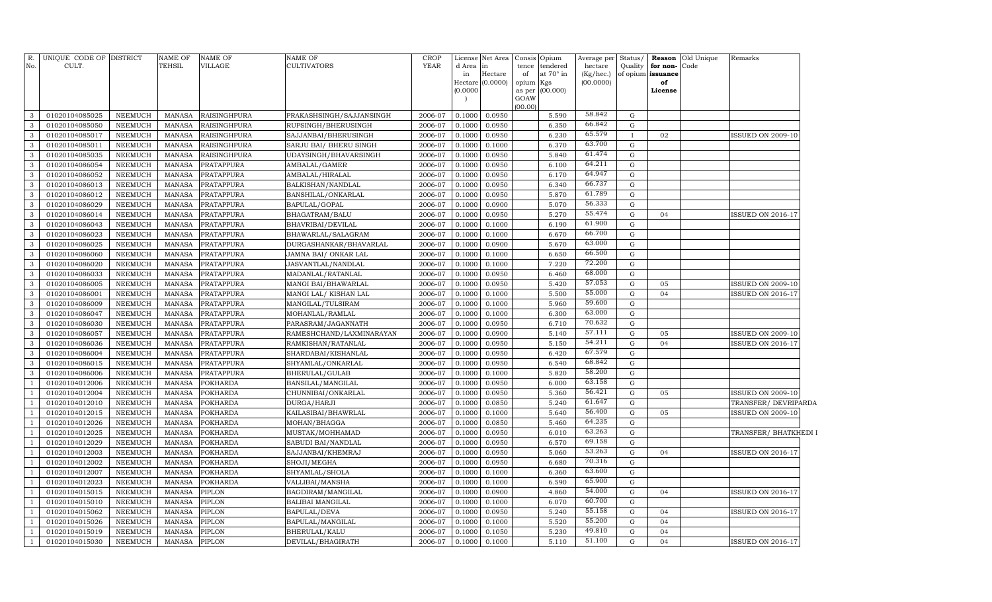| GOAW<br>(00.00)<br>58.842<br>0.0950<br>5.590<br>3<br>01020104085025<br>NEEMUCH<br><b>MANASA</b><br><b>RAISINGHPURA</b><br>PRAKASHSINGH/SAJJANSINGH<br>2006-07<br>0.1000<br>G<br>66.842<br>3<br>01020104085050<br><b>RAISINGHPURA</b><br>0.1000<br>0.0950<br>6.350<br><b>NEEMUCH</b><br><b>MANASA</b><br>RUPSINGH/BHERUSINGH<br>2006-07<br>G<br>65.579<br>3<br>01020104085017<br>0.0950<br>6.230<br><b>NEEMUCH</b><br>MANASA<br><b>RAISINGHPURA</b><br>SAJJANBAI/BHERUSINGH<br>2006-07<br>0.1000<br>$\mathbf{I}$<br>02<br><b>ISSUED ON 2009-10</b><br>63.700<br>$\mathbf{3}$<br>01020104085011<br><b>NEEMUCH</b><br>MANASA<br><b>RAISINGHPURA</b><br>SARJU BAI/ BHERU SINGH<br>2006-07<br>0.1000<br>0.1000<br>6.370<br>G<br>61.474<br>0.0950<br>5.840<br>3<br>01020104085035<br><b>NEEMUCH</b><br>MANASA<br><b>RAISINGHPURA</b><br>UDAYSINGH/BHAVARSINGH<br>2006-07<br>0.1000<br>G<br>64.211<br>0.0950<br>$\mathbf{3}$<br>01020104086054<br><b>NEEMUCH</b><br><b>MANASA</b><br>PRATAPPURA<br>AMBALAL/GAMER<br>2006-07<br>0.1000<br>6.100<br>G<br>64.947<br>0.0950<br>3<br>01020104086052<br><b>NEEMUCH</b><br>MANASA<br>PRATAPPURA<br>AMBALAL/HIRALAL<br>2006-07<br>0.1000<br>6.170<br>G<br>66.737<br>3<br>01020104086013<br><b>NEEMUCH</b><br><b>MANASA</b><br>PRATAPPURA<br>BALKISHAN/NANDLAL<br>2006-07<br>0.1000<br>0.0950<br>6.340<br>G<br>61.789<br>3<br>01020104086012<br><b>NEEMUCH</b><br><b>MANASA</b><br>PRATAPPURA<br>BANSHILAL/ONKARLAL<br>2006-07<br>0.1000<br>0.0950<br>5.870<br>G<br>56.333<br>$\mathbf{3}$<br>01020104086029<br><b>NEEMUCH</b><br><b>MANASA</b><br>PRATAPPURA<br>BAPULAL/GOPAL<br>2006-07<br>0.1000<br>0.0900<br>5.070<br>G<br>55.474<br>3<br>01020104086014<br><b>NEEMUCH</b><br><b>MANASA</b><br>PRATAPPURA<br>BHAGATRAM/BALU<br>2006-07<br>0.1000<br>0.0950<br>5.270<br>G<br>04<br><b>ISSUED ON 2016-17</b><br>61.900<br>$\mathbf{3}$<br>01020104086043<br><b>NEEMUCH</b><br><b>MANASA</b><br>PRATAPPURA<br>BHAVRIBAI/DEVILAL<br>2006-07<br>0.1000<br>0.1000<br>6.190<br>G<br>66.700<br>3<br>01020104086023<br><b>NEEMUCH</b><br><b>MANASA</b><br>PRATAPPURA<br>BHAWARLAL/SALAGRAM<br>2006-07<br>0.1000<br>0.1000<br>6.670<br>G<br>63.000<br>5.670<br>01020104086025<br><b>NEEMUCH</b><br><b>MANASA</b><br>PRATAPPURA<br>DURGASHANKAR/BHAVARLAL<br>0.1000<br>0.0900<br>G<br>3<br>2006-07<br>66.500<br>6.650<br>3<br>01020104086060<br><b>NEEMUCH</b><br>MANASA<br>PRATAPPURA<br>JAMNA BAI/ ONKAR LAL<br>2006-07<br>0.1000<br>0.1000<br>${\rm G}$<br>72.200<br>$\mathbf{3}$<br>01020104086020<br><b>NEEMUCH</b><br><b>MANASA</b><br>PRATAPPURA<br>JASVANTLAL/NANDLAL<br>2006-07<br>0.1000<br>0.1000<br>7.220<br>G<br>68.000<br>3<br>01020104086033<br>NEEMUCH<br>MANASA<br>PRATAPPURA<br>MADANLAL/RATANLAL<br>2006-07<br>0.1000<br>0.0950<br>6.460<br>G<br>57.053<br>$\mathbf{3}$<br>0.0950<br>5.420<br>05<br>01020104086005<br><b>NEEMUCH</b><br>MANASA<br>PRATAPPURA<br>MANGI BAI/BHAWARLAL<br>2006-07<br>0.1000<br>G<br><b>ISSUED ON 2009-10</b><br>55.000<br>3<br>0.1000<br>5.500<br>${\rm G}$<br>04<br>01020104086001<br><b>NEEMUCH</b><br>MANASA<br>PRATAPPURA<br>MANGI LAL/ KISHAN LAL<br>2006-07<br>0.1000<br>SSUED ON 2016-17<br>59.600<br>3<br>0.1000<br>01020104086009<br><b>NEEMUCH</b><br>MANASA<br>PRATAPPURA<br>MANGILAL/TULSIRAM<br>2006-07<br>0.1000<br>5.960<br>G<br>63.000<br>3<br>01020104086047<br><b>MANASA</b><br>$\mathbf G$<br><b>NEEMUCH</b><br>PRATAPPURA<br>MOHANLAL/RAMLAL<br>2006-07<br>0.1000<br>0.1000<br>6.300<br>70.632<br>3<br>01020104086030<br><b>NEEMUCH</b><br><b>MANASA</b><br>PRATAPPURA<br>PARASRAM/JAGANNATH<br>2006-07<br>0.1000<br>0.0950<br>6.710<br>G<br>57.111<br>3<br><b>MANASA</b><br>G<br>01020104086057<br><b>NEEMUCH</b><br>PRATAPPURA<br>RAMESHCHAND/LAXMINARAYAN<br>2006-07<br>0.1000<br>0.0900<br>5.140<br>05<br><b>ISSUED ON 2009-10</b><br>54.211<br>3<br>0.0950<br>04<br>01020104086036<br><b>NEEMUCH</b><br><b>MANASA</b><br>PRATAPPURA<br>RAMKISHAN/RATANLAL<br>2006-07<br>0.1000<br>5.150<br>G<br>SSUED ON 2016-17<br>67.579<br>3<br><b>MANASA</b><br>${\rm G}$<br>01020104086004<br><b>NEEMUCH</b><br>PRATAPPURA<br>SHARDABAI/KISHANLAL<br>2006-07<br>0.1000<br>0.0950<br>6.420<br>68.842<br>3<br><b>NEEMUCH</b><br>01020104086015<br><b>MANASA</b><br>PRATAPPURA<br>SHYAMLAL/ONKARLAL<br>2006-07<br>0.1000<br>0.0950<br>6.540<br>G<br>58.200<br>3<br>01020104086006<br><b>NEEMUCH</b><br><b>MANASA</b><br>2006-07<br>0.1000<br>5.820<br>$\mathbf G$<br>PRATAPPURA<br>BHERULAL/GULAB<br>0.1000<br>63.158<br>01020104012006<br><b>NEEMUCH</b><br><b>MANASA</b><br><b>POKHARDA</b><br>0.1000<br>0.0950<br>$\mathbf G$<br>$\overline{1}$<br>BANSILAL/MANGILAL<br>2006-07<br>6.000<br>56.421<br>01020104012004<br><b>MANASA</b><br><b>POKHARDA</b><br>0.0950<br>5.360<br>G<br><b>NEEMUCH</b><br>CHUNNIBAI/ONKARLAL<br>2006-07<br>0.1000<br>05<br><b>ISSUED ON 2009-10</b><br>61.647<br>01020104012010<br><b>NEEMUCH</b><br><b>POKHARDA</b><br>0.0850<br><b>MANASA</b><br>DURGA/HARJI<br>2006-07<br>0.1000<br>5.240<br>G<br>TRANSFER/DEVRIPARDA<br>56.400<br>01020104012015<br><b>MANASA</b><br><b>POKHARDA</b><br><b>ISSUED ON 2009-10</b><br><b>NEEMUCH</b><br>KAILASIBAI/BHAWRLAL<br>2006-07<br>0.1000<br>0.1000<br>5.640<br>$\mathbf G$<br>05<br>64.235<br>01020104012026<br><b>NEEMUCH</b><br><b>POKHARDA</b><br>0.0850<br><b>MANASA</b><br>MOHAN/BHAGGA<br>2006-07<br>0.1000<br>5.460<br>G<br>63.263<br>01020104012025<br><b>POKHARDA</b><br><b>NEEMUCH</b><br><b>MANASA</b><br>MUSTAK/MOHHAMAD<br>2006-07<br>0.1000<br>0.0950<br>6.010<br>G<br>TRANSFER/ BHATKHEDI I<br>69.158<br>01020104012029<br><b>POKHARDA</b><br>6.570<br><b>NEEMUCH</b><br><b>MANASA</b><br>SABUDI BAI/NANDLAL<br>2006-07<br>0.1000<br>0.0950<br>G<br>53.263<br>01020104012003<br><b>NEEMUCH</b><br><b>MANASA</b><br><b>POKHARDA</b><br>SAJJANBAI/KHEMRAJ<br>2006-07<br>0.1000<br>0.0950<br>5.060<br>$\mathbf G$<br>04<br>SSUED ON 2016-17<br>70.316<br>01020104012002<br><b>NEEMUCH</b><br><b>MANASA</b><br>POKHARDA<br>2006-07<br>0.1000<br>0.0950<br>6.680<br>G<br>SHOJI/MEGHA<br>63.600<br>01020104012007<br><b>NEEMUCH</b><br><b>MANASA</b><br>POKHARDA<br>SHYAMLAL/SHOLA<br>2006-07<br>0.1000<br>0.1000<br>6.360<br>G<br>65.900<br>01020104012023<br><b>NEEMUCH</b><br><b>MANASA</b><br>POKHARDA<br>VALLIBAI/MANSHA<br>2006-07<br>0.1000<br>0.1000<br>6.590<br>$\mathbf G$<br>54.000<br>01020104015015<br><b>NEEMUCH</b><br><b>MANASA</b><br>PIPLON<br>2006-07<br>0.1000<br>0.0900<br>4.860<br>G<br>04<br>SSUED ON 2016-17<br>$\overline{1}$<br>BAGDIRAM/MANGILAL<br>60.700<br>01020104015010<br><b>NEEMUCH</b><br><b>MANASA</b><br>PIPLON<br><b>BALIBAI MANGILAL</b><br>2006-07<br>0.1000<br>0.1000<br>6.070<br>G<br>$\overline{1}$<br>55.158<br>01020104015062<br><b>MANASA</b><br>PIPLON<br>2006-07<br>0.0950<br>5.240<br>G<br>SSUED ON 2016-17<br><b>NEEMUCH</b><br>BAPULAL/DEVA<br>0.1000<br>04<br>55.200<br>01020104015026<br><b>NEEMUCH</b><br><b>MANASA</b><br>PIPLON<br>0.1000<br>0.1000<br>5.520<br>04<br>$\overline{1}$<br>BAPULAL/MANGILAL<br>2006-07<br>G<br>49.810<br>01020104015019<br>PIPLON<br>2006-07<br>0.1050<br>5.230<br>$\mathbf G$<br>04<br>$\overline{1}$<br><b>NEEMUCH</b><br><b>MANASA</b><br>BHERULAL/KALU<br>0.1000<br>51.100<br>01020104015030<br><b>NEEMUCH</b><br><b>MANASA</b><br><b>PIPLON</b><br>2006-07<br>0.1000<br>0.1000<br>5.110<br>G<br>04<br>$\mathbf{1}$<br>DEVILAL/BHAGIRATH<br><b>ISSUED ON 2016-17</b> | R.<br>No. | UNIQUE CODE OF DISTRICT<br>CULT. | <b>NAME OF</b><br>TEHSIL | <b>NAME OF</b><br>VILLAGE | <b>NAME OF</b><br><b>CULTIVATORS</b> | <b>CROP</b><br><b>YEAR</b> | d Area<br>in<br>(0.0000) | License Net Area<br>in<br>Hectare<br>Hectare (0.0000) | tence<br>of<br>opium Kgs<br>as per | Consis Opium<br>tendered<br>at 70° in<br>(00.000) | Average per<br>hectare<br>(Kg/hec.)<br>(00.0000) | Quality for non-Code<br>of opium issuance<br>of<br>License | Status/ Reason Old Unique | Remarks |
|-------------------------------------------------------------------------------------------------------------------------------------------------------------------------------------------------------------------------------------------------------------------------------------------------------------------------------------------------------------------------------------------------------------------------------------------------------------------------------------------------------------------------------------------------------------------------------------------------------------------------------------------------------------------------------------------------------------------------------------------------------------------------------------------------------------------------------------------------------------------------------------------------------------------------------------------------------------------------------------------------------------------------------------------------------------------------------------------------------------------------------------------------------------------------------------------------------------------------------------------------------------------------------------------------------------------------------------------------------------------------------------------------------------------------------------------------------------------------------------------------------------------------------------------------------------------------------------------------------------------------------------------------------------------------------------------------------------------------------------------------------------------------------------------------------------------------------------------------------------------------------------------------------------------------------------------------------------------------------------------------------------------------------------------------------------------------------------------------------------------------------------------------------------------------------------------------------------------------------------------------------------------------------------------------------------------------------------------------------------------------------------------------------------------------------------------------------------------------------------------------------------------------------------------------------------------------------------------------------------------------------------------------------------------------------------------------------------------------------------------------------------------------------------------------------------------------------------------------------------------------------------------------------------------------------------------------------------------------------------------------------------------------------------------------------------------------------------------------------------------------------------------------------------------------------------------------------------------------------------------------------------------------------------------------------------------------------------------------------------------------------------------------------------------------------------------------------------------------------------------------------------------------------------------------------------------------------------------------------------------------------------------------------------------------------------------------------------------------------------------------------------------------------------------------------------------------------------------------------------------------------------------------------------------------------------------------------------------------------------------------------------------------------------------------------------------------------------------------------------------------------------------------------------------------------------------------------------------------------------------------------------------------------------------------------------------------------------------------------------------------------------------------------------------------------------------------------------------------------------------------------------------------------------------------------------------------------------------------------------------------------------------------------------------------------------------------------------------------------------------------------------------------------------------------------------------------------------------------------------------------------------------------------------------------------------------------------------------------------------------------------------------------------------------------------------------------------------------------------------------------------------------------------------------------------------------------------------------------------------------------------------------------------------------------------------------------------------------------------------------------------------------------------------------------------------------------------------------------------------------------------------------------------------------------------------------------------------------------------------------------------------------------------------------------------------------------------------------------------------------------------------------------------------------------------------------------------------------------------------------------------------------------------------------------------------------------------------------------------------------------------------------------------------------------------------------------------------------------------------------------------------------------------------------------------------------------------------------------------------------------------------------------------------------------------------------------------------------------------------------------------------------------------------------------------------------------------------------------------------------------------------------------------------------------------------------------------------------------------------------------------------------------------------------------------------------------------------------------------------------------------------------------------------------------------------------------------------------------------------------------------------------------------------------------------------------------------------------------------------------------------------------------------------------------------------------------------------------------------------------------------------------------------------------------------------------------------------------------------------------------------------------------------------------------------------------------------------------------------------------------------------------------------------------------------------|-----------|----------------------------------|--------------------------|---------------------------|--------------------------------------|----------------------------|--------------------------|-------------------------------------------------------|------------------------------------|---------------------------------------------------|--------------------------------------------------|------------------------------------------------------------|---------------------------|---------|
|                                                                                                                                                                                                                                                                                                                                                                                                                                                                                                                                                                                                                                                                                                                                                                                                                                                                                                                                                                                                                                                                                                                                                                                                                                                                                                                                                                                                                                                                                                                                                                                                                                                                                                                                                                                                                                                                                                                                                                                                                                                                                                                                                                                                                                                                                                                                                                                                                                                                                                                                                                                                                                                                                                                                                                                                                                                                                                                                                                                                                                                                                                                                                                                                                                                                                                                                                                                                                                                                                                                                                                                                                                                                                                                                                                                                                                                                                                                                                                                                                                                                                                                                                                                                                                                                                                                                                                                                                                                                                                                                                                                                                                                                                                                                                                                                                                                                                                                                                                                                                                                                                                                                                                                                                                                                                                                                                                                                                                                                                                                                                                                                                                                                                                                                                                                                                                                                                                                                                                                                                                                                                                                                                                                                                                                                                                                                                                                                                                                                                                                                                                                                                                                                                                                                                                                                                                                                                                                                                                                                                                                                                                                                                                                                                                                                                                                                                                                                                                     |           |                                  |                          |                           |                                      |                            |                          |                                                       |                                    |                                                   |                                                  |                                                            |                           |         |
|                                                                                                                                                                                                                                                                                                                                                                                                                                                                                                                                                                                                                                                                                                                                                                                                                                                                                                                                                                                                                                                                                                                                                                                                                                                                                                                                                                                                                                                                                                                                                                                                                                                                                                                                                                                                                                                                                                                                                                                                                                                                                                                                                                                                                                                                                                                                                                                                                                                                                                                                                                                                                                                                                                                                                                                                                                                                                                                                                                                                                                                                                                                                                                                                                                                                                                                                                                                                                                                                                                                                                                                                                                                                                                                                                                                                                                                                                                                                                                                                                                                                                                                                                                                                                                                                                                                                                                                                                                                                                                                                                                                                                                                                                                                                                                                                                                                                                                                                                                                                                                                                                                                                                                                                                                                                                                                                                                                                                                                                                                                                                                                                                                                                                                                                                                                                                                                                                                                                                                                                                                                                                                                                                                                                                                                                                                                                                                                                                                                                                                                                                                                                                                                                                                                                                                                                                                                                                                                                                                                                                                                                                                                                                                                                                                                                                                                                                                                                                                     |           |                                  |                          |                           |                                      |                            |                          |                                                       |                                    |                                                   |                                                  |                                                            |                           |         |
|                                                                                                                                                                                                                                                                                                                                                                                                                                                                                                                                                                                                                                                                                                                                                                                                                                                                                                                                                                                                                                                                                                                                                                                                                                                                                                                                                                                                                                                                                                                                                                                                                                                                                                                                                                                                                                                                                                                                                                                                                                                                                                                                                                                                                                                                                                                                                                                                                                                                                                                                                                                                                                                                                                                                                                                                                                                                                                                                                                                                                                                                                                                                                                                                                                                                                                                                                                                                                                                                                                                                                                                                                                                                                                                                                                                                                                                                                                                                                                                                                                                                                                                                                                                                                                                                                                                                                                                                                                                                                                                                                                                                                                                                                                                                                                                                                                                                                                                                                                                                                                                                                                                                                                                                                                                                                                                                                                                                                                                                                                                                                                                                                                                                                                                                                                                                                                                                                                                                                                                                                                                                                                                                                                                                                                                                                                                                                                                                                                                                                                                                                                                                                                                                                                                                                                                                                                                                                                                                                                                                                                                                                                                                                                                                                                                                                                                                                                                                                                     |           |                                  |                          |                           |                                      |                            |                          |                                                       |                                    |                                                   |                                                  |                                                            |                           |         |
|                                                                                                                                                                                                                                                                                                                                                                                                                                                                                                                                                                                                                                                                                                                                                                                                                                                                                                                                                                                                                                                                                                                                                                                                                                                                                                                                                                                                                                                                                                                                                                                                                                                                                                                                                                                                                                                                                                                                                                                                                                                                                                                                                                                                                                                                                                                                                                                                                                                                                                                                                                                                                                                                                                                                                                                                                                                                                                                                                                                                                                                                                                                                                                                                                                                                                                                                                                                                                                                                                                                                                                                                                                                                                                                                                                                                                                                                                                                                                                                                                                                                                                                                                                                                                                                                                                                                                                                                                                                                                                                                                                                                                                                                                                                                                                                                                                                                                                                                                                                                                                                                                                                                                                                                                                                                                                                                                                                                                                                                                                                                                                                                                                                                                                                                                                                                                                                                                                                                                                                                                                                                                                                                                                                                                                                                                                                                                                                                                                                                                                                                                                                                                                                                                                                                                                                                                                                                                                                                                                                                                                                                                                                                                                                                                                                                                                                                                                                                                                     |           |                                  |                          |                           |                                      |                            |                          |                                                       |                                    |                                                   |                                                  |                                                            |                           |         |
|                                                                                                                                                                                                                                                                                                                                                                                                                                                                                                                                                                                                                                                                                                                                                                                                                                                                                                                                                                                                                                                                                                                                                                                                                                                                                                                                                                                                                                                                                                                                                                                                                                                                                                                                                                                                                                                                                                                                                                                                                                                                                                                                                                                                                                                                                                                                                                                                                                                                                                                                                                                                                                                                                                                                                                                                                                                                                                                                                                                                                                                                                                                                                                                                                                                                                                                                                                                                                                                                                                                                                                                                                                                                                                                                                                                                                                                                                                                                                                                                                                                                                                                                                                                                                                                                                                                                                                                                                                                                                                                                                                                                                                                                                                                                                                                                                                                                                                                                                                                                                                                                                                                                                                                                                                                                                                                                                                                                                                                                                                                                                                                                                                                                                                                                                                                                                                                                                                                                                                                                                                                                                                                                                                                                                                                                                                                                                                                                                                                                                                                                                                                                                                                                                                                                                                                                                                                                                                                                                                                                                                                                                                                                                                                                                                                                                                                                                                                                                                     |           |                                  |                          |                           |                                      |                            |                          |                                                       |                                    |                                                   |                                                  |                                                            |                           |         |
|                                                                                                                                                                                                                                                                                                                                                                                                                                                                                                                                                                                                                                                                                                                                                                                                                                                                                                                                                                                                                                                                                                                                                                                                                                                                                                                                                                                                                                                                                                                                                                                                                                                                                                                                                                                                                                                                                                                                                                                                                                                                                                                                                                                                                                                                                                                                                                                                                                                                                                                                                                                                                                                                                                                                                                                                                                                                                                                                                                                                                                                                                                                                                                                                                                                                                                                                                                                                                                                                                                                                                                                                                                                                                                                                                                                                                                                                                                                                                                                                                                                                                                                                                                                                                                                                                                                                                                                                                                                                                                                                                                                                                                                                                                                                                                                                                                                                                                                                                                                                                                                                                                                                                                                                                                                                                                                                                                                                                                                                                                                                                                                                                                                                                                                                                                                                                                                                                                                                                                                                                                                                                                                                                                                                                                                                                                                                                                                                                                                                                                                                                                                                                                                                                                                                                                                                                                                                                                                                                                                                                                                                                                                                                                                                                                                                                                                                                                                                                                     |           |                                  |                          |                           |                                      |                            |                          |                                                       |                                    |                                                   |                                                  |                                                            |                           |         |
|                                                                                                                                                                                                                                                                                                                                                                                                                                                                                                                                                                                                                                                                                                                                                                                                                                                                                                                                                                                                                                                                                                                                                                                                                                                                                                                                                                                                                                                                                                                                                                                                                                                                                                                                                                                                                                                                                                                                                                                                                                                                                                                                                                                                                                                                                                                                                                                                                                                                                                                                                                                                                                                                                                                                                                                                                                                                                                                                                                                                                                                                                                                                                                                                                                                                                                                                                                                                                                                                                                                                                                                                                                                                                                                                                                                                                                                                                                                                                                                                                                                                                                                                                                                                                                                                                                                                                                                                                                                                                                                                                                                                                                                                                                                                                                                                                                                                                                                                                                                                                                                                                                                                                                                                                                                                                                                                                                                                                                                                                                                                                                                                                                                                                                                                                                                                                                                                                                                                                                                                                                                                                                                                                                                                                                                                                                                                                                                                                                                                                                                                                                                                                                                                                                                                                                                                                                                                                                                                                                                                                                                                                                                                                                                                                                                                                                                                                                                                                                     |           |                                  |                          |                           |                                      |                            |                          |                                                       |                                    |                                                   |                                                  |                                                            |                           |         |
|                                                                                                                                                                                                                                                                                                                                                                                                                                                                                                                                                                                                                                                                                                                                                                                                                                                                                                                                                                                                                                                                                                                                                                                                                                                                                                                                                                                                                                                                                                                                                                                                                                                                                                                                                                                                                                                                                                                                                                                                                                                                                                                                                                                                                                                                                                                                                                                                                                                                                                                                                                                                                                                                                                                                                                                                                                                                                                                                                                                                                                                                                                                                                                                                                                                                                                                                                                                                                                                                                                                                                                                                                                                                                                                                                                                                                                                                                                                                                                                                                                                                                                                                                                                                                                                                                                                                                                                                                                                                                                                                                                                                                                                                                                                                                                                                                                                                                                                                                                                                                                                                                                                                                                                                                                                                                                                                                                                                                                                                                                                                                                                                                                                                                                                                                                                                                                                                                                                                                                                                                                                                                                                                                                                                                                                                                                                                                                                                                                                                                                                                                                                                                                                                                                                                                                                                                                                                                                                                                                                                                                                                                                                                                                                                                                                                                                                                                                                                                                     |           |                                  |                          |                           |                                      |                            |                          |                                                       |                                    |                                                   |                                                  |                                                            |                           |         |
|                                                                                                                                                                                                                                                                                                                                                                                                                                                                                                                                                                                                                                                                                                                                                                                                                                                                                                                                                                                                                                                                                                                                                                                                                                                                                                                                                                                                                                                                                                                                                                                                                                                                                                                                                                                                                                                                                                                                                                                                                                                                                                                                                                                                                                                                                                                                                                                                                                                                                                                                                                                                                                                                                                                                                                                                                                                                                                                                                                                                                                                                                                                                                                                                                                                                                                                                                                                                                                                                                                                                                                                                                                                                                                                                                                                                                                                                                                                                                                                                                                                                                                                                                                                                                                                                                                                                                                                                                                                                                                                                                                                                                                                                                                                                                                                                                                                                                                                                                                                                                                                                                                                                                                                                                                                                                                                                                                                                                                                                                                                                                                                                                                                                                                                                                                                                                                                                                                                                                                                                                                                                                                                                                                                                                                                                                                                                                                                                                                                                                                                                                                                                                                                                                                                                                                                                                                                                                                                                                                                                                                                                                                                                                                                                                                                                                                                                                                                                                                     |           |                                  |                          |                           |                                      |                            |                          |                                                       |                                    |                                                   |                                                  |                                                            |                           |         |
|                                                                                                                                                                                                                                                                                                                                                                                                                                                                                                                                                                                                                                                                                                                                                                                                                                                                                                                                                                                                                                                                                                                                                                                                                                                                                                                                                                                                                                                                                                                                                                                                                                                                                                                                                                                                                                                                                                                                                                                                                                                                                                                                                                                                                                                                                                                                                                                                                                                                                                                                                                                                                                                                                                                                                                                                                                                                                                                                                                                                                                                                                                                                                                                                                                                                                                                                                                                                                                                                                                                                                                                                                                                                                                                                                                                                                                                                                                                                                                                                                                                                                                                                                                                                                                                                                                                                                                                                                                                                                                                                                                                                                                                                                                                                                                                                                                                                                                                                                                                                                                                                                                                                                                                                                                                                                                                                                                                                                                                                                                                                                                                                                                                                                                                                                                                                                                                                                                                                                                                                                                                                                                                                                                                                                                                                                                                                                                                                                                                                                                                                                                                                                                                                                                                                                                                                                                                                                                                                                                                                                                                                                                                                                                                                                                                                                                                                                                                                                                     |           |                                  |                          |                           |                                      |                            |                          |                                                       |                                    |                                                   |                                                  |                                                            |                           |         |
|                                                                                                                                                                                                                                                                                                                                                                                                                                                                                                                                                                                                                                                                                                                                                                                                                                                                                                                                                                                                                                                                                                                                                                                                                                                                                                                                                                                                                                                                                                                                                                                                                                                                                                                                                                                                                                                                                                                                                                                                                                                                                                                                                                                                                                                                                                                                                                                                                                                                                                                                                                                                                                                                                                                                                                                                                                                                                                                                                                                                                                                                                                                                                                                                                                                                                                                                                                                                                                                                                                                                                                                                                                                                                                                                                                                                                                                                                                                                                                                                                                                                                                                                                                                                                                                                                                                                                                                                                                                                                                                                                                                                                                                                                                                                                                                                                                                                                                                                                                                                                                                                                                                                                                                                                                                                                                                                                                                                                                                                                                                                                                                                                                                                                                                                                                                                                                                                                                                                                                                                                                                                                                                                                                                                                                                                                                                                                                                                                                                                                                                                                                                                                                                                                                                                                                                                                                                                                                                                                                                                                                                                                                                                                                                                                                                                                                                                                                                                                                     |           |                                  |                          |                           |                                      |                            |                          |                                                       |                                    |                                                   |                                                  |                                                            |                           |         |
|                                                                                                                                                                                                                                                                                                                                                                                                                                                                                                                                                                                                                                                                                                                                                                                                                                                                                                                                                                                                                                                                                                                                                                                                                                                                                                                                                                                                                                                                                                                                                                                                                                                                                                                                                                                                                                                                                                                                                                                                                                                                                                                                                                                                                                                                                                                                                                                                                                                                                                                                                                                                                                                                                                                                                                                                                                                                                                                                                                                                                                                                                                                                                                                                                                                                                                                                                                                                                                                                                                                                                                                                                                                                                                                                                                                                                                                                                                                                                                                                                                                                                                                                                                                                                                                                                                                                                                                                                                                                                                                                                                                                                                                                                                                                                                                                                                                                                                                                                                                                                                                                                                                                                                                                                                                                                                                                                                                                                                                                                                                                                                                                                                                                                                                                                                                                                                                                                                                                                                                                                                                                                                                                                                                                                                                                                                                                                                                                                                                                                                                                                                                                                                                                                                                                                                                                                                                                                                                                                                                                                                                                                                                                                                                                                                                                                                                                                                                                                                     |           |                                  |                          |                           |                                      |                            |                          |                                                       |                                    |                                                   |                                                  |                                                            |                           |         |
|                                                                                                                                                                                                                                                                                                                                                                                                                                                                                                                                                                                                                                                                                                                                                                                                                                                                                                                                                                                                                                                                                                                                                                                                                                                                                                                                                                                                                                                                                                                                                                                                                                                                                                                                                                                                                                                                                                                                                                                                                                                                                                                                                                                                                                                                                                                                                                                                                                                                                                                                                                                                                                                                                                                                                                                                                                                                                                                                                                                                                                                                                                                                                                                                                                                                                                                                                                                                                                                                                                                                                                                                                                                                                                                                                                                                                                                                                                                                                                                                                                                                                                                                                                                                                                                                                                                                                                                                                                                                                                                                                                                                                                                                                                                                                                                                                                                                                                                                                                                                                                                                                                                                                                                                                                                                                                                                                                                                                                                                                                                                                                                                                                                                                                                                                                                                                                                                                                                                                                                                                                                                                                                                                                                                                                                                                                                                                                                                                                                                                                                                                                                                                                                                                                                                                                                                                                                                                                                                                                                                                                                                                                                                                                                                                                                                                                                                                                                                                                     |           |                                  |                          |                           |                                      |                            |                          |                                                       |                                    |                                                   |                                                  |                                                            |                           |         |
|                                                                                                                                                                                                                                                                                                                                                                                                                                                                                                                                                                                                                                                                                                                                                                                                                                                                                                                                                                                                                                                                                                                                                                                                                                                                                                                                                                                                                                                                                                                                                                                                                                                                                                                                                                                                                                                                                                                                                                                                                                                                                                                                                                                                                                                                                                                                                                                                                                                                                                                                                                                                                                                                                                                                                                                                                                                                                                                                                                                                                                                                                                                                                                                                                                                                                                                                                                                                                                                                                                                                                                                                                                                                                                                                                                                                                                                                                                                                                                                                                                                                                                                                                                                                                                                                                                                                                                                                                                                                                                                                                                                                                                                                                                                                                                                                                                                                                                                                                                                                                                                                                                                                                                                                                                                                                                                                                                                                                                                                                                                                                                                                                                                                                                                                                                                                                                                                                                                                                                                                                                                                                                                                                                                                                                                                                                                                                                                                                                                                                                                                                                                                                                                                                                                                                                                                                                                                                                                                                                                                                                                                                                                                                                                                                                                                                                                                                                                                                                     |           |                                  |                          |                           |                                      |                            |                          |                                                       |                                    |                                                   |                                                  |                                                            |                           |         |
|                                                                                                                                                                                                                                                                                                                                                                                                                                                                                                                                                                                                                                                                                                                                                                                                                                                                                                                                                                                                                                                                                                                                                                                                                                                                                                                                                                                                                                                                                                                                                                                                                                                                                                                                                                                                                                                                                                                                                                                                                                                                                                                                                                                                                                                                                                                                                                                                                                                                                                                                                                                                                                                                                                                                                                                                                                                                                                                                                                                                                                                                                                                                                                                                                                                                                                                                                                                                                                                                                                                                                                                                                                                                                                                                                                                                                                                                                                                                                                                                                                                                                                                                                                                                                                                                                                                                                                                                                                                                                                                                                                                                                                                                                                                                                                                                                                                                                                                                                                                                                                                                                                                                                                                                                                                                                                                                                                                                                                                                                                                                                                                                                                                                                                                                                                                                                                                                                                                                                                                                                                                                                                                                                                                                                                                                                                                                                                                                                                                                                                                                                                                                                                                                                                                                                                                                                                                                                                                                                                                                                                                                                                                                                                                                                                                                                                                                                                                                                                     |           |                                  |                          |                           |                                      |                            |                          |                                                       |                                    |                                                   |                                                  |                                                            |                           |         |
|                                                                                                                                                                                                                                                                                                                                                                                                                                                                                                                                                                                                                                                                                                                                                                                                                                                                                                                                                                                                                                                                                                                                                                                                                                                                                                                                                                                                                                                                                                                                                                                                                                                                                                                                                                                                                                                                                                                                                                                                                                                                                                                                                                                                                                                                                                                                                                                                                                                                                                                                                                                                                                                                                                                                                                                                                                                                                                                                                                                                                                                                                                                                                                                                                                                                                                                                                                                                                                                                                                                                                                                                                                                                                                                                                                                                                                                                                                                                                                                                                                                                                                                                                                                                                                                                                                                                                                                                                                                                                                                                                                                                                                                                                                                                                                                                                                                                                                                                                                                                                                                                                                                                                                                                                                                                                                                                                                                                                                                                                                                                                                                                                                                                                                                                                                                                                                                                                                                                                                                                                                                                                                                                                                                                                                                                                                                                                                                                                                                                                                                                                                                                                                                                                                                                                                                                                                                                                                                                                                                                                                                                                                                                                                                                                                                                                                                                                                                                                                     |           |                                  |                          |                           |                                      |                            |                          |                                                       |                                    |                                                   |                                                  |                                                            |                           |         |
|                                                                                                                                                                                                                                                                                                                                                                                                                                                                                                                                                                                                                                                                                                                                                                                                                                                                                                                                                                                                                                                                                                                                                                                                                                                                                                                                                                                                                                                                                                                                                                                                                                                                                                                                                                                                                                                                                                                                                                                                                                                                                                                                                                                                                                                                                                                                                                                                                                                                                                                                                                                                                                                                                                                                                                                                                                                                                                                                                                                                                                                                                                                                                                                                                                                                                                                                                                                                                                                                                                                                                                                                                                                                                                                                                                                                                                                                                                                                                                                                                                                                                                                                                                                                                                                                                                                                                                                                                                                                                                                                                                                                                                                                                                                                                                                                                                                                                                                                                                                                                                                                                                                                                                                                                                                                                                                                                                                                                                                                                                                                                                                                                                                                                                                                                                                                                                                                                                                                                                                                                                                                                                                                                                                                                                                                                                                                                                                                                                                                                                                                                                                                                                                                                                                                                                                                                                                                                                                                                                                                                                                                                                                                                                                                                                                                                                                                                                                                                                     |           |                                  |                          |                           |                                      |                            |                          |                                                       |                                    |                                                   |                                                  |                                                            |                           |         |
|                                                                                                                                                                                                                                                                                                                                                                                                                                                                                                                                                                                                                                                                                                                                                                                                                                                                                                                                                                                                                                                                                                                                                                                                                                                                                                                                                                                                                                                                                                                                                                                                                                                                                                                                                                                                                                                                                                                                                                                                                                                                                                                                                                                                                                                                                                                                                                                                                                                                                                                                                                                                                                                                                                                                                                                                                                                                                                                                                                                                                                                                                                                                                                                                                                                                                                                                                                                                                                                                                                                                                                                                                                                                                                                                                                                                                                                                                                                                                                                                                                                                                                                                                                                                                                                                                                                                                                                                                                                                                                                                                                                                                                                                                                                                                                                                                                                                                                                                                                                                                                                                                                                                                                                                                                                                                                                                                                                                                                                                                                                                                                                                                                                                                                                                                                                                                                                                                                                                                                                                                                                                                                                                                                                                                                                                                                                                                                                                                                                                                                                                                                                                                                                                                                                                                                                                                                                                                                                                                                                                                                                                                                                                                                                                                                                                                                                                                                                                                                     |           |                                  |                          |                           |                                      |                            |                          |                                                       |                                    |                                                   |                                                  |                                                            |                           |         |
|                                                                                                                                                                                                                                                                                                                                                                                                                                                                                                                                                                                                                                                                                                                                                                                                                                                                                                                                                                                                                                                                                                                                                                                                                                                                                                                                                                                                                                                                                                                                                                                                                                                                                                                                                                                                                                                                                                                                                                                                                                                                                                                                                                                                                                                                                                                                                                                                                                                                                                                                                                                                                                                                                                                                                                                                                                                                                                                                                                                                                                                                                                                                                                                                                                                                                                                                                                                                                                                                                                                                                                                                                                                                                                                                                                                                                                                                                                                                                                                                                                                                                                                                                                                                                                                                                                                                                                                                                                                                                                                                                                                                                                                                                                                                                                                                                                                                                                                                                                                                                                                                                                                                                                                                                                                                                                                                                                                                                                                                                                                                                                                                                                                                                                                                                                                                                                                                                                                                                                                                                                                                                                                                                                                                                                                                                                                                                                                                                                                                                                                                                                                                                                                                                                                                                                                                                                                                                                                                                                                                                                                                                                                                                                                                                                                                                                                                                                                                                                     |           |                                  |                          |                           |                                      |                            |                          |                                                       |                                    |                                                   |                                                  |                                                            |                           |         |
|                                                                                                                                                                                                                                                                                                                                                                                                                                                                                                                                                                                                                                                                                                                                                                                                                                                                                                                                                                                                                                                                                                                                                                                                                                                                                                                                                                                                                                                                                                                                                                                                                                                                                                                                                                                                                                                                                                                                                                                                                                                                                                                                                                                                                                                                                                                                                                                                                                                                                                                                                                                                                                                                                                                                                                                                                                                                                                                                                                                                                                                                                                                                                                                                                                                                                                                                                                                                                                                                                                                                                                                                                                                                                                                                                                                                                                                                                                                                                                                                                                                                                                                                                                                                                                                                                                                                                                                                                                                                                                                                                                                                                                                                                                                                                                                                                                                                                                                                                                                                                                                                                                                                                                                                                                                                                                                                                                                                                                                                                                                                                                                                                                                                                                                                                                                                                                                                                                                                                                                                                                                                                                                                                                                                                                                                                                                                                                                                                                                                                                                                                                                                                                                                                                                                                                                                                                                                                                                                                                                                                                                                                                                                                                                                                                                                                                                                                                                                                                     |           |                                  |                          |                           |                                      |                            |                          |                                                       |                                    |                                                   |                                                  |                                                            |                           |         |
|                                                                                                                                                                                                                                                                                                                                                                                                                                                                                                                                                                                                                                                                                                                                                                                                                                                                                                                                                                                                                                                                                                                                                                                                                                                                                                                                                                                                                                                                                                                                                                                                                                                                                                                                                                                                                                                                                                                                                                                                                                                                                                                                                                                                                                                                                                                                                                                                                                                                                                                                                                                                                                                                                                                                                                                                                                                                                                                                                                                                                                                                                                                                                                                                                                                                                                                                                                                                                                                                                                                                                                                                                                                                                                                                                                                                                                                                                                                                                                                                                                                                                                                                                                                                                                                                                                                                                                                                                                                                                                                                                                                                                                                                                                                                                                                                                                                                                                                                                                                                                                                                                                                                                                                                                                                                                                                                                                                                                                                                                                                                                                                                                                                                                                                                                                                                                                                                                                                                                                                                                                                                                                                                                                                                                                                                                                                                                                                                                                                                                                                                                                                                                                                                                                                                                                                                                                                                                                                                                                                                                                                                                                                                                                                                                                                                                                                                                                                                                                     |           |                                  |                          |                           |                                      |                            |                          |                                                       |                                    |                                                   |                                                  |                                                            |                           |         |
|                                                                                                                                                                                                                                                                                                                                                                                                                                                                                                                                                                                                                                                                                                                                                                                                                                                                                                                                                                                                                                                                                                                                                                                                                                                                                                                                                                                                                                                                                                                                                                                                                                                                                                                                                                                                                                                                                                                                                                                                                                                                                                                                                                                                                                                                                                                                                                                                                                                                                                                                                                                                                                                                                                                                                                                                                                                                                                                                                                                                                                                                                                                                                                                                                                                                                                                                                                                                                                                                                                                                                                                                                                                                                                                                                                                                                                                                                                                                                                                                                                                                                                                                                                                                                                                                                                                                                                                                                                                                                                                                                                                                                                                                                                                                                                                                                                                                                                                                                                                                                                                                                                                                                                                                                                                                                                                                                                                                                                                                                                                                                                                                                                                                                                                                                                                                                                                                                                                                                                                                                                                                                                                                                                                                                                                                                                                                                                                                                                                                                                                                                                                                                                                                                                                                                                                                                                                                                                                                                                                                                                                                                                                                                                                                                                                                                                                                                                                                                                     |           |                                  |                          |                           |                                      |                            |                          |                                                       |                                    |                                                   |                                                  |                                                            |                           |         |
|                                                                                                                                                                                                                                                                                                                                                                                                                                                                                                                                                                                                                                                                                                                                                                                                                                                                                                                                                                                                                                                                                                                                                                                                                                                                                                                                                                                                                                                                                                                                                                                                                                                                                                                                                                                                                                                                                                                                                                                                                                                                                                                                                                                                                                                                                                                                                                                                                                                                                                                                                                                                                                                                                                                                                                                                                                                                                                                                                                                                                                                                                                                                                                                                                                                                                                                                                                                                                                                                                                                                                                                                                                                                                                                                                                                                                                                                                                                                                                                                                                                                                                                                                                                                                                                                                                                                                                                                                                                                                                                                                                                                                                                                                                                                                                                                                                                                                                                                                                                                                                                                                                                                                                                                                                                                                                                                                                                                                                                                                                                                                                                                                                                                                                                                                                                                                                                                                                                                                                                                                                                                                                                                                                                                                                                                                                                                                                                                                                                                                                                                                                                                                                                                                                                                                                                                                                                                                                                                                                                                                                                                                                                                                                                                                                                                                                                                                                                                                                     |           |                                  |                          |                           |                                      |                            |                          |                                                       |                                    |                                                   |                                                  |                                                            |                           |         |
|                                                                                                                                                                                                                                                                                                                                                                                                                                                                                                                                                                                                                                                                                                                                                                                                                                                                                                                                                                                                                                                                                                                                                                                                                                                                                                                                                                                                                                                                                                                                                                                                                                                                                                                                                                                                                                                                                                                                                                                                                                                                                                                                                                                                                                                                                                                                                                                                                                                                                                                                                                                                                                                                                                                                                                                                                                                                                                                                                                                                                                                                                                                                                                                                                                                                                                                                                                                                                                                                                                                                                                                                                                                                                                                                                                                                                                                                                                                                                                                                                                                                                                                                                                                                                                                                                                                                                                                                                                                                                                                                                                                                                                                                                                                                                                                                                                                                                                                                                                                                                                                                                                                                                                                                                                                                                                                                                                                                                                                                                                                                                                                                                                                                                                                                                                                                                                                                                                                                                                                                                                                                                                                                                                                                                                                                                                                                                                                                                                                                                                                                                                                                                                                                                                                                                                                                                                                                                                                                                                                                                                                                                                                                                                                                                                                                                                                                                                                                                                     |           |                                  |                          |                           |                                      |                            |                          |                                                       |                                    |                                                   |                                                  |                                                            |                           |         |
|                                                                                                                                                                                                                                                                                                                                                                                                                                                                                                                                                                                                                                                                                                                                                                                                                                                                                                                                                                                                                                                                                                                                                                                                                                                                                                                                                                                                                                                                                                                                                                                                                                                                                                                                                                                                                                                                                                                                                                                                                                                                                                                                                                                                                                                                                                                                                                                                                                                                                                                                                                                                                                                                                                                                                                                                                                                                                                                                                                                                                                                                                                                                                                                                                                                                                                                                                                                                                                                                                                                                                                                                                                                                                                                                                                                                                                                                                                                                                                                                                                                                                                                                                                                                                                                                                                                                                                                                                                                                                                                                                                                                                                                                                                                                                                                                                                                                                                                                                                                                                                                                                                                                                                                                                                                                                                                                                                                                                                                                                                                                                                                                                                                                                                                                                                                                                                                                                                                                                                                                                                                                                                                                                                                                                                                                                                                                                                                                                                                                                                                                                                                                                                                                                                                                                                                                                                                                                                                                                                                                                                                                                                                                                                                                                                                                                                                                                                                                                                     |           |                                  |                          |                           |                                      |                            |                          |                                                       |                                    |                                                   |                                                  |                                                            |                           |         |
|                                                                                                                                                                                                                                                                                                                                                                                                                                                                                                                                                                                                                                                                                                                                                                                                                                                                                                                                                                                                                                                                                                                                                                                                                                                                                                                                                                                                                                                                                                                                                                                                                                                                                                                                                                                                                                                                                                                                                                                                                                                                                                                                                                                                                                                                                                                                                                                                                                                                                                                                                                                                                                                                                                                                                                                                                                                                                                                                                                                                                                                                                                                                                                                                                                                                                                                                                                                                                                                                                                                                                                                                                                                                                                                                                                                                                                                                                                                                                                                                                                                                                                                                                                                                                                                                                                                                                                                                                                                                                                                                                                                                                                                                                                                                                                                                                                                                                                                                                                                                                                                                                                                                                                                                                                                                                                                                                                                                                                                                                                                                                                                                                                                                                                                                                                                                                                                                                                                                                                                                                                                                                                                                                                                                                                                                                                                                                                                                                                                                                                                                                                                                                                                                                                                                                                                                                                                                                                                                                                                                                                                                                                                                                                                                                                                                                                                                                                                                                                     |           |                                  |                          |                           |                                      |                            |                          |                                                       |                                    |                                                   |                                                  |                                                            |                           |         |
|                                                                                                                                                                                                                                                                                                                                                                                                                                                                                                                                                                                                                                                                                                                                                                                                                                                                                                                                                                                                                                                                                                                                                                                                                                                                                                                                                                                                                                                                                                                                                                                                                                                                                                                                                                                                                                                                                                                                                                                                                                                                                                                                                                                                                                                                                                                                                                                                                                                                                                                                                                                                                                                                                                                                                                                                                                                                                                                                                                                                                                                                                                                                                                                                                                                                                                                                                                                                                                                                                                                                                                                                                                                                                                                                                                                                                                                                                                                                                                                                                                                                                                                                                                                                                                                                                                                                                                                                                                                                                                                                                                                                                                                                                                                                                                                                                                                                                                                                                                                                                                                                                                                                                                                                                                                                                                                                                                                                                                                                                                                                                                                                                                                                                                                                                                                                                                                                                                                                                                                                                                                                                                                                                                                                                                                                                                                                                                                                                                                                                                                                                                                                                                                                                                                                                                                                                                                                                                                                                                                                                                                                                                                                                                                                                                                                                                                                                                                                                                     |           |                                  |                          |                           |                                      |                            |                          |                                                       |                                    |                                                   |                                                  |                                                            |                           |         |
|                                                                                                                                                                                                                                                                                                                                                                                                                                                                                                                                                                                                                                                                                                                                                                                                                                                                                                                                                                                                                                                                                                                                                                                                                                                                                                                                                                                                                                                                                                                                                                                                                                                                                                                                                                                                                                                                                                                                                                                                                                                                                                                                                                                                                                                                                                                                                                                                                                                                                                                                                                                                                                                                                                                                                                                                                                                                                                                                                                                                                                                                                                                                                                                                                                                                                                                                                                                                                                                                                                                                                                                                                                                                                                                                                                                                                                                                                                                                                                                                                                                                                                                                                                                                                                                                                                                                                                                                                                                                                                                                                                                                                                                                                                                                                                                                                                                                                                                                                                                                                                                                                                                                                                                                                                                                                                                                                                                                                                                                                                                                                                                                                                                                                                                                                                                                                                                                                                                                                                                                                                                                                                                                                                                                                                                                                                                                                                                                                                                                                                                                                                                                                                                                                                                                                                                                                                                                                                                                                                                                                                                                                                                                                                                                                                                                                                                                                                                                                                     |           |                                  |                          |                           |                                      |                            |                          |                                                       |                                    |                                                   |                                                  |                                                            |                           |         |
|                                                                                                                                                                                                                                                                                                                                                                                                                                                                                                                                                                                                                                                                                                                                                                                                                                                                                                                                                                                                                                                                                                                                                                                                                                                                                                                                                                                                                                                                                                                                                                                                                                                                                                                                                                                                                                                                                                                                                                                                                                                                                                                                                                                                                                                                                                                                                                                                                                                                                                                                                                                                                                                                                                                                                                                                                                                                                                                                                                                                                                                                                                                                                                                                                                                                                                                                                                                                                                                                                                                                                                                                                                                                                                                                                                                                                                                                                                                                                                                                                                                                                                                                                                                                                                                                                                                                                                                                                                                                                                                                                                                                                                                                                                                                                                                                                                                                                                                                                                                                                                                                                                                                                                                                                                                                                                                                                                                                                                                                                                                                                                                                                                                                                                                                                                                                                                                                                                                                                                                                                                                                                                                                                                                                                                                                                                                                                                                                                                                                                                                                                                                                                                                                                                                                                                                                                                                                                                                                                                                                                                                                                                                                                                                                                                                                                                                                                                                                                                     |           |                                  |                          |                           |                                      |                            |                          |                                                       |                                    |                                                   |                                                  |                                                            |                           |         |
|                                                                                                                                                                                                                                                                                                                                                                                                                                                                                                                                                                                                                                                                                                                                                                                                                                                                                                                                                                                                                                                                                                                                                                                                                                                                                                                                                                                                                                                                                                                                                                                                                                                                                                                                                                                                                                                                                                                                                                                                                                                                                                                                                                                                                                                                                                                                                                                                                                                                                                                                                                                                                                                                                                                                                                                                                                                                                                                                                                                                                                                                                                                                                                                                                                                                                                                                                                                                                                                                                                                                                                                                                                                                                                                                                                                                                                                                                                                                                                                                                                                                                                                                                                                                                                                                                                                                                                                                                                                                                                                                                                                                                                                                                                                                                                                                                                                                                                                                                                                                                                                                                                                                                                                                                                                                                                                                                                                                                                                                                                                                                                                                                                                                                                                                                                                                                                                                                                                                                                                                                                                                                                                                                                                                                                                                                                                                                                                                                                                                                                                                                                                                                                                                                                                                                                                                                                                                                                                                                                                                                                                                                                                                                                                                                                                                                                                                                                                                                                     |           |                                  |                          |                           |                                      |                            |                          |                                                       |                                    |                                                   |                                                  |                                                            |                           |         |
|                                                                                                                                                                                                                                                                                                                                                                                                                                                                                                                                                                                                                                                                                                                                                                                                                                                                                                                                                                                                                                                                                                                                                                                                                                                                                                                                                                                                                                                                                                                                                                                                                                                                                                                                                                                                                                                                                                                                                                                                                                                                                                                                                                                                                                                                                                                                                                                                                                                                                                                                                                                                                                                                                                                                                                                                                                                                                                                                                                                                                                                                                                                                                                                                                                                                                                                                                                                                                                                                                                                                                                                                                                                                                                                                                                                                                                                                                                                                                                                                                                                                                                                                                                                                                                                                                                                                                                                                                                                                                                                                                                                                                                                                                                                                                                                                                                                                                                                                                                                                                                                                                                                                                                                                                                                                                                                                                                                                                                                                                                                                                                                                                                                                                                                                                                                                                                                                                                                                                                                                                                                                                                                                                                                                                                                                                                                                                                                                                                                                                                                                                                                                                                                                                                                                                                                                                                                                                                                                                                                                                                                                                                                                                                                                                                                                                                                                                                                                                                     |           |                                  |                          |                           |                                      |                            |                          |                                                       |                                    |                                                   |                                                  |                                                            |                           |         |
|                                                                                                                                                                                                                                                                                                                                                                                                                                                                                                                                                                                                                                                                                                                                                                                                                                                                                                                                                                                                                                                                                                                                                                                                                                                                                                                                                                                                                                                                                                                                                                                                                                                                                                                                                                                                                                                                                                                                                                                                                                                                                                                                                                                                                                                                                                                                                                                                                                                                                                                                                                                                                                                                                                                                                                                                                                                                                                                                                                                                                                                                                                                                                                                                                                                                                                                                                                                                                                                                                                                                                                                                                                                                                                                                                                                                                                                                                                                                                                                                                                                                                                                                                                                                                                                                                                                                                                                                                                                                                                                                                                                                                                                                                                                                                                                                                                                                                                                                                                                                                                                                                                                                                                                                                                                                                                                                                                                                                                                                                                                                                                                                                                                                                                                                                                                                                                                                                                                                                                                                                                                                                                                                                                                                                                                                                                                                                                                                                                                                                                                                                                                                                                                                                                                                                                                                                                                                                                                                                                                                                                                                                                                                                                                                                                                                                                                                                                                                                                     |           |                                  |                          |                           |                                      |                            |                          |                                                       |                                    |                                                   |                                                  |                                                            |                           |         |
|                                                                                                                                                                                                                                                                                                                                                                                                                                                                                                                                                                                                                                                                                                                                                                                                                                                                                                                                                                                                                                                                                                                                                                                                                                                                                                                                                                                                                                                                                                                                                                                                                                                                                                                                                                                                                                                                                                                                                                                                                                                                                                                                                                                                                                                                                                                                                                                                                                                                                                                                                                                                                                                                                                                                                                                                                                                                                                                                                                                                                                                                                                                                                                                                                                                                                                                                                                                                                                                                                                                                                                                                                                                                                                                                                                                                                                                                                                                                                                                                                                                                                                                                                                                                                                                                                                                                                                                                                                                                                                                                                                                                                                                                                                                                                                                                                                                                                                                                                                                                                                                                                                                                                                                                                                                                                                                                                                                                                                                                                                                                                                                                                                                                                                                                                                                                                                                                                                                                                                                                                                                                                                                                                                                                                                                                                                                                                                                                                                                                                                                                                                                                                                                                                                                                                                                                                                                                                                                                                                                                                                                                                                                                                                                                                                                                                                                                                                                                                                     |           |                                  |                          |                           |                                      |                            |                          |                                                       |                                    |                                                   |                                                  |                                                            |                           |         |
|                                                                                                                                                                                                                                                                                                                                                                                                                                                                                                                                                                                                                                                                                                                                                                                                                                                                                                                                                                                                                                                                                                                                                                                                                                                                                                                                                                                                                                                                                                                                                                                                                                                                                                                                                                                                                                                                                                                                                                                                                                                                                                                                                                                                                                                                                                                                                                                                                                                                                                                                                                                                                                                                                                                                                                                                                                                                                                                                                                                                                                                                                                                                                                                                                                                                                                                                                                                                                                                                                                                                                                                                                                                                                                                                                                                                                                                                                                                                                                                                                                                                                                                                                                                                                                                                                                                                                                                                                                                                                                                                                                                                                                                                                                                                                                                                                                                                                                                                                                                                                                                                                                                                                                                                                                                                                                                                                                                                                                                                                                                                                                                                                                                                                                                                                                                                                                                                                                                                                                                                                                                                                                                                                                                                                                                                                                                                                                                                                                                                                                                                                                                                                                                                                                                                                                                                                                                                                                                                                                                                                                                                                                                                                                                                                                                                                                                                                                                                                                     |           |                                  |                          |                           |                                      |                            |                          |                                                       |                                    |                                                   |                                                  |                                                            |                           |         |
|                                                                                                                                                                                                                                                                                                                                                                                                                                                                                                                                                                                                                                                                                                                                                                                                                                                                                                                                                                                                                                                                                                                                                                                                                                                                                                                                                                                                                                                                                                                                                                                                                                                                                                                                                                                                                                                                                                                                                                                                                                                                                                                                                                                                                                                                                                                                                                                                                                                                                                                                                                                                                                                                                                                                                                                                                                                                                                                                                                                                                                                                                                                                                                                                                                                                                                                                                                                                                                                                                                                                                                                                                                                                                                                                                                                                                                                                                                                                                                                                                                                                                                                                                                                                                                                                                                                                                                                                                                                                                                                                                                                                                                                                                                                                                                                                                                                                                                                                                                                                                                                                                                                                                                                                                                                                                                                                                                                                                                                                                                                                                                                                                                                                                                                                                                                                                                                                                                                                                                                                                                                                                                                                                                                                                                                                                                                                                                                                                                                                                                                                                                                                                                                                                                                                                                                                                                                                                                                                                                                                                                                                                                                                                                                                                                                                                                                                                                                                                                     |           |                                  |                          |                           |                                      |                            |                          |                                                       |                                    |                                                   |                                                  |                                                            |                           |         |
|                                                                                                                                                                                                                                                                                                                                                                                                                                                                                                                                                                                                                                                                                                                                                                                                                                                                                                                                                                                                                                                                                                                                                                                                                                                                                                                                                                                                                                                                                                                                                                                                                                                                                                                                                                                                                                                                                                                                                                                                                                                                                                                                                                                                                                                                                                                                                                                                                                                                                                                                                                                                                                                                                                                                                                                                                                                                                                                                                                                                                                                                                                                                                                                                                                                                                                                                                                                                                                                                                                                                                                                                                                                                                                                                                                                                                                                                                                                                                                                                                                                                                                                                                                                                                                                                                                                                                                                                                                                                                                                                                                                                                                                                                                                                                                                                                                                                                                                                                                                                                                                                                                                                                                                                                                                                                                                                                                                                                                                                                                                                                                                                                                                                                                                                                                                                                                                                                                                                                                                                                                                                                                                                                                                                                                                                                                                                                                                                                                                                                                                                                                                                                                                                                                                                                                                                                                                                                                                                                                                                                                                                                                                                                                                                                                                                                                                                                                                                                                     |           |                                  |                          |                           |                                      |                            |                          |                                                       |                                    |                                                   |                                                  |                                                            |                           |         |
|                                                                                                                                                                                                                                                                                                                                                                                                                                                                                                                                                                                                                                                                                                                                                                                                                                                                                                                                                                                                                                                                                                                                                                                                                                                                                                                                                                                                                                                                                                                                                                                                                                                                                                                                                                                                                                                                                                                                                                                                                                                                                                                                                                                                                                                                                                                                                                                                                                                                                                                                                                                                                                                                                                                                                                                                                                                                                                                                                                                                                                                                                                                                                                                                                                                                                                                                                                                                                                                                                                                                                                                                                                                                                                                                                                                                                                                                                                                                                                                                                                                                                                                                                                                                                                                                                                                                                                                                                                                                                                                                                                                                                                                                                                                                                                                                                                                                                                                                                                                                                                                                                                                                                                                                                                                                                                                                                                                                                                                                                                                                                                                                                                                                                                                                                                                                                                                                                                                                                                                                                                                                                                                                                                                                                                                                                                                                                                                                                                                                                                                                                                                                                                                                                                                                                                                                                                                                                                                                                                                                                                                                                                                                                                                                                                                                                                                                                                                                                                     |           |                                  |                          |                           |                                      |                            |                          |                                                       |                                    |                                                   |                                                  |                                                            |                           |         |
|                                                                                                                                                                                                                                                                                                                                                                                                                                                                                                                                                                                                                                                                                                                                                                                                                                                                                                                                                                                                                                                                                                                                                                                                                                                                                                                                                                                                                                                                                                                                                                                                                                                                                                                                                                                                                                                                                                                                                                                                                                                                                                                                                                                                                                                                                                                                                                                                                                                                                                                                                                                                                                                                                                                                                                                                                                                                                                                                                                                                                                                                                                                                                                                                                                                                                                                                                                                                                                                                                                                                                                                                                                                                                                                                                                                                                                                                                                                                                                                                                                                                                                                                                                                                                                                                                                                                                                                                                                                                                                                                                                                                                                                                                                                                                                                                                                                                                                                                                                                                                                                                                                                                                                                                                                                                                                                                                                                                                                                                                                                                                                                                                                                                                                                                                                                                                                                                                                                                                                                                                                                                                                                                                                                                                                                                                                                                                                                                                                                                                                                                                                                                                                                                                                                                                                                                                                                                                                                                                                                                                                                                                                                                                                                                                                                                                                                                                                                                                                     |           |                                  |                          |                           |                                      |                            |                          |                                                       |                                    |                                                   |                                                  |                                                            |                           |         |
|                                                                                                                                                                                                                                                                                                                                                                                                                                                                                                                                                                                                                                                                                                                                                                                                                                                                                                                                                                                                                                                                                                                                                                                                                                                                                                                                                                                                                                                                                                                                                                                                                                                                                                                                                                                                                                                                                                                                                                                                                                                                                                                                                                                                                                                                                                                                                                                                                                                                                                                                                                                                                                                                                                                                                                                                                                                                                                                                                                                                                                                                                                                                                                                                                                                                                                                                                                                                                                                                                                                                                                                                                                                                                                                                                                                                                                                                                                                                                                                                                                                                                                                                                                                                                                                                                                                                                                                                                                                                                                                                                                                                                                                                                                                                                                                                                                                                                                                                                                                                                                                                                                                                                                                                                                                                                                                                                                                                                                                                                                                                                                                                                                                                                                                                                                                                                                                                                                                                                                                                                                                                                                                                                                                                                                                                                                                                                                                                                                                                                                                                                                                                                                                                                                                                                                                                                                                                                                                                                                                                                                                                                                                                                                                                                                                                                                                                                                                                                                     |           |                                  |                          |                           |                                      |                            |                          |                                                       |                                    |                                                   |                                                  |                                                            |                           |         |
|                                                                                                                                                                                                                                                                                                                                                                                                                                                                                                                                                                                                                                                                                                                                                                                                                                                                                                                                                                                                                                                                                                                                                                                                                                                                                                                                                                                                                                                                                                                                                                                                                                                                                                                                                                                                                                                                                                                                                                                                                                                                                                                                                                                                                                                                                                                                                                                                                                                                                                                                                                                                                                                                                                                                                                                                                                                                                                                                                                                                                                                                                                                                                                                                                                                                                                                                                                                                                                                                                                                                                                                                                                                                                                                                                                                                                                                                                                                                                                                                                                                                                                                                                                                                                                                                                                                                                                                                                                                                                                                                                                                                                                                                                                                                                                                                                                                                                                                                                                                                                                                                                                                                                                                                                                                                                                                                                                                                                                                                                                                                                                                                                                                                                                                                                                                                                                                                                                                                                                                                                                                                                                                                                                                                                                                                                                                                                                                                                                                                                                                                                                                                                                                                                                                                                                                                                                                                                                                                                                                                                                                                                                                                                                                                                                                                                                                                                                                                                                     |           |                                  |                          |                           |                                      |                            |                          |                                                       |                                    |                                                   |                                                  |                                                            |                           |         |
|                                                                                                                                                                                                                                                                                                                                                                                                                                                                                                                                                                                                                                                                                                                                                                                                                                                                                                                                                                                                                                                                                                                                                                                                                                                                                                                                                                                                                                                                                                                                                                                                                                                                                                                                                                                                                                                                                                                                                                                                                                                                                                                                                                                                                                                                                                                                                                                                                                                                                                                                                                                                                                                                                                                                                                                                                                                                                                                                                                                                                                                                                                                                                                                                                                                                                                                                                                                                                                                                                                                                                                                                                                                                                                                                                                                                                                                                                                                                                                                                                                                                                                                                                                                                                                                                                                                                                                                                                                                                                                                                                                                                                                                                                                                                                                                                                                                                                                                                                                                                                                                                                                                                                                                                                                                                                                                                                                                                                                                                                                                                                                                                                                                                                                                                                                                                                                                                                                                                                                                                                                                                                                                                                                                                                                                                                                                                                                                                                                                                                                                                                                                                                                                                                                                                                                                                                                                                                                                                                                                                                                                                                                                                                                                                                                                                                                                                                                                                                                     |           |                                  |                          |                           |                                      |                            |                          |                                                       |                                    |                                                   |                                                  |                                                            |                           |         |
|                                                                                                                                                                                                                                                                                                                                                                                                                                                                                                                                                                                                                                                                                                                                                                                                                                                                                                                                                                                                                                                                                                                                                                                                                                                                                                                                                                                                                                                                                                                                                                                                                                                                                                                                                                                                                                                                                                                                                                                                                                                                                                                                                                                                                                                                                                                                                                                                                                                                                                                                                                                                                                                                                                                                                                                                                                                                                                                                                                                                                                                                                                                                                                                                                                                                                                                                                                                                                                                                                                                                                                                                                                                                                                                                                                                                                                                                                                                                                                                                                                                                                                                                                                                                                                                                                                                                                                                                                                                                                                                                                                                                                                                                                                                                                                                                                                                                                                                                                                                                                                                                                                                                                                                                                                                                                                                                                                                                                                                                                                                                                                                                                                                                                                                                                                                                                                                                                                                                                                                                                                                                                                                                                                                                                                                                                                                                                                                                                                                                                                                                                                                                                                                                                                                                                                                                                                                                                                                                                                                                                                                                                                                                                                                                                                                                                                                                                                                                                                     |           |                                  |                          |                           |                                      |                            |                          |                                                       |                                    |                                                   |                                                  |                                                            |                           |         |
|                                                                                                                                                                                                                                                                                                                                                                                                                                                                                                                                                                                                                                                                                                                                                                                                                                                                                                                                                                                                                                                                                                                                                                                                                                                                                                                                                                                                                                                                                                                                                                                                                                                                                                                                                                                                                                                                                                                                                                                                                                                                                                                                                                                                                                                                                                                                                                                                                                                                                                                                                                                                                                                                                                                                                                                                                                                                                                                                                                                                                                                                                                                                                                                                                                                                                                                                                                                                                                                                                                                                                                                                                                                                                                                                                                                                                                                                                                                                                                                                                                                                                                                                                                                                                                                                                                                                                                                                                                                                                                                                                                                                                                                                                                                                                                                                                                                                                                                                                                                                                                                                                                                                                                                                                                                                                                                                                                                                                                                                                                                                                                                                                                                                                                                                                                                                                                                                                                                                                                                                                                                                                                                                                                                                                                                                                                                                                                                                                                                                                                                                                                                                                                                                                                                                                                                                                                                                                                                                                                                                                                                                                                                                                                                                                                                                                                                                                                                                                                     |           |                                  |                          |                           |                                      |                            |                          |                                                       |                                    |                                                   |                                                  |                                                            |                           |         |
|                                                                                                                                                                                                                                                                                                                                                                                                                                                                                                                                                                                                                                                                                                                                                                                                                                                                                                                                                                                                                                                                                                                                                                                                                                                                                                                                                                                                                                                                                                                                                                                                                                                                                                                                                                                                                                                                                                                                                                                                                                                                                                                                                                                                                                                                                                                                                                                                                                                                                                                                                                                                                                                                                                                                                                                                                                                                                                                                                                                                                                                                                                                                                                                                                                                                                                                                                                                                                                                                                                                                                                                                                                                                                                                                                                                                                                                                                                                                                                                                                                                                                                                                                                                                                                                                                                                                                                                                                                                                                                                                                                                                                                                                                                                                                                                                                                                                                                                                                                                                                                                                                                                                                                                                                                                                                                                                                                                                                                                                                                                                                                                                                                                                                                                                                                                                                                                                                                                                                                                                                                                                                                                                                                                                                                                                                                                                                                                                                                                                                                                                                                                                                                                                                                                                                                                                                                                                                                                                                                                                                                                                                                                                                                                                                                                                                                                                                                                                                                     |           |                                  |                          |                           |                                      |                            |                          |                                                       |                                    |                                                   |                                                  |                                                            |                           |         |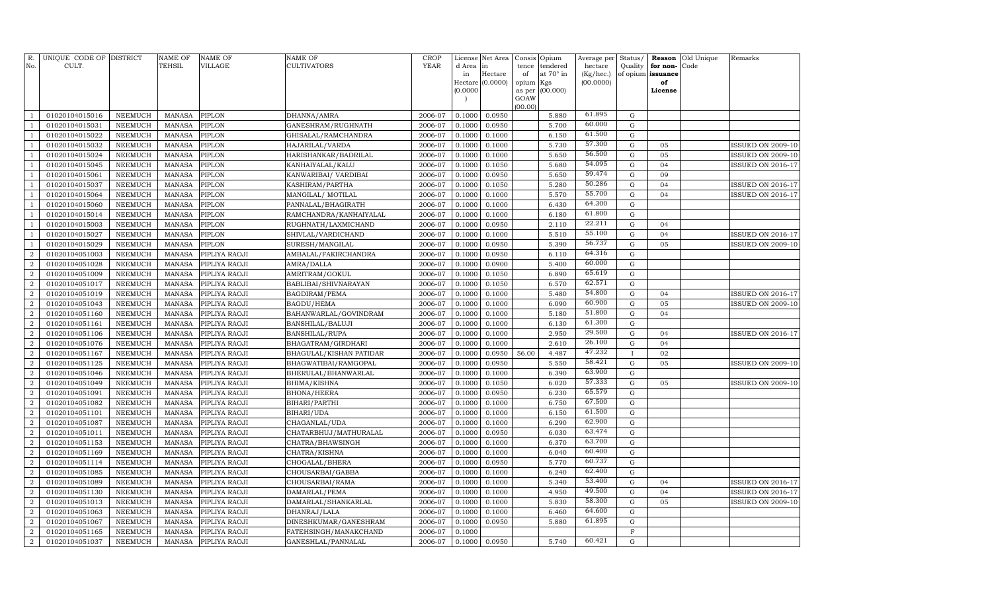| R.<br>No.        | UNIQUE CODE OF DISTRICT<br>CULT. |                | <b>NAME OF</b><br>TEHSIL | <b>NAME OF</b><br><b>VILLAGE</b> | NAME OF<br>CULTIVATORS  | <b>CROP</b><br>YEAR | License<br>d Area<br>in<br>Hectare | Net Area<br>in<br>Hectare<br>(0.0000) | Consis<br>tence<br>of<br>opium | Opium<br>tendered<br>at 70° in<br>Kgs | Average per<br>hectare<br>(Kg/hec.)<br>(00.0000) | Status/<br>Quality<br>of opium | Reason<br>for non-<br>issuance<br>of | Old Unique<br>Code | Remarks                  |
|------------------|----------------------------------|----------------|--------------------------|----------------------------------|-------------------------|---------------------|------------------------------------|---------------------------------------|--------------------------------|---------------------------------------|--------------------------------------------------|--------------------------------|--------------------------------------|--------------------|--------------------------|
|                  |                                  |                |                          |                                  |                         |                     | (0.0000)                           |                                       | as per<br>GOAW<br>(00.00)      | (00.000)                              |                                                  |                                | License                              |                    |                          |
| $\mathbf{1}$     | 01020104015016                   | NEEMUCH        | <b>MANASA</b>            | PIPLON                           | DHANNA/AMRA             | 2006-07             | 0.1000                             | 0.0950                                |                                | 5.880                                 | 61.895                                           | G                              |                                      |                    |                          |
| $\mathbf{1}$     | 01020104015031                   | <b>NEEMUCH</b> | <b>MANASA</b>            | PIPLON                           | GANESHRAM/RUGHNATH      | 2006-07             | 0.1000                             | 0.0950                                |                                | 5.700                                 | 60.000                                           | $\mathbf G$                    |                                      |                    |                          |
| $\mathbf{1}$     | 01020104015022                   | NEEMUCH        | <b>MANASA</b>            | PIPLON                           | GHISALAL/RAMCHANDRA     | 2006-07             | 0.1000                             | 0.1000                                |                                | 6.150                                 | 61.500                                           | G                              |                                      |                    |                          |
| $\mathbf{1}$     | 01020104015032                   | NEEMUCH        | <b>MANASA</b>            | PIPLON                           | HAJARILAL/VARDA         | 2006-07             | 0.1000                             | 0.1000                                |                                | 5.730                                 | 57.300                                           | G                              | 05                                   |                    | ISSUED ON 2009-10        |
| $\mathbf{1}$     | 01020104015024                   | NEEMUCH        | <b>MANASA</b>            | PIPLON                           | HARISHANKAR/BADRILAL    | 2006-07             | 0.1000                             | 0.1000                                |                                | 5.650                                 | 56.500                                           | ${\rm G}$                      | 05                                   |                    | <b>ISSUED ON 2009-10</b> |
| $\mathbf{1}$     | 01020104015045                   | NEEMUCH        | <b>MANASA</b>            | PIPLON                           | KANHAIYALAL/KALU        | 2006-07             | 0.1000                             | 0.1050                                |                                | 5.680                                 | 54.095                                           | G                              | 04                                   |                    | <b>ISSUED ON 2016-17</b> |
| $\mathbf{1}$     | 01020104015061                   | NEEMUCH        | <b>MANASA</b>            | PIPLON                           | KANWARIBAI / VARDIBAI   | 2006-07             | 0.1000                             | 0.0950                                |                                | 5.650                                 | 59.474                                           | ${\rm G}$                      | 09                                   |                    |                          |
| $\mathbf{1}$     | 01020104015037                   | NEEMUCH        | <b>MANASA</b>            | PIPLON                           | KASHIRAM/PARTHA         | 2006-07             | 0.1000                             | 0.1050                                |                                | 5.280                                 | 50.286                                           | G                              | 04                                   |                    | <b>ISSUED ON 2016-17</b> |
| $\mathbf{1}$     | 01020104015064                   | NEEMUCH        | <b>MANASA</b>            | PIPLON                           | MANGILAL/ MOTILAL       | 2006-07             | 0.1000                             | 0.1000                                |                                | 5.570                                 | 55.700                                           | G                              | 04                                   |                    | <b>ISSUED ON 2016-17</b> |
| $\mathbf{1}$     | 01020104015060                   | <b>NEEMUCH</b> | <b>MANASA</b>            | PIPLON                           | PANNALAL/BHAGIRATH      | 2006-07             | 0.1000                             | 0.1000                                |                                | 6.430                                 | 64.300                                           | G                              |                                      |                    |                          |
| $\mathbf{1}$     | 01020104015014                   | <b>NEEMUCH</b> | <b>MANASA</b>            | PIPLON                           | RAMCHANDRA/KANHAIYALAL  | 2006-07             | 0.1000                             | 0.1000                                |                                | 6.180                                 | 61.800                                           | ${\rm G}$                      |                                      |                    |                          |
| $\mathbf{1}$     | 01020104015003                   | NEEMUCH        | <b>MANASA</b>            | PIPLON                           | RUGHNATH/LAXMICHAND     | 2006-07             | 0.1000                             | 0.0950                                |                                | 2.110                                 | 22.211                                           | ${\rm G}$                      | 04                                   |                    |                          |
| $\mathbf{1}$     | 01020104015027                   | <b>NEEMUCH</b> | <b>MANASA</b>            | PIPLON                           | SHIVLAL/VARDICHAND      | 2006-07             | 0.1000                             | 0.1000                                |                                | 5.510                                 | 55.100                                           | ${\rm G}$                      | 04                                   |                    | <b>ISSUED ON 2016-17</b> |
| $\mathbf{1}$     | 01020104015029                   | NEEMUCH        | <b>MANASA</b>            | PIPLON                           | SURESH/MANGILAL         | 2006-07             | 0.1000                             | 0.0950                                |                                | 5.390                                 | 56.737                                           | ${\rm G}$                      | 05                                   |                    | <b>ISSUED ON 2009-10</b> |
| $\overline{a}$   | 01020104051003                   | NEEMUCH        | <b>MANASA</b>            | PIPLIYA RAOJI                    | AMBALAL/FAKIRCHANDRA    | 2006-07             | 0.1000                             | 0.0950                                |                                | 6.110                                 | 64.316                                           | ${\rm G}$                      |                                      |                    |                          |
| $\overline{a}$   | 01020104051028                   | NEEMUCH        | <b>MANASA</b>            | PIPLIYA RAOJI                    | AMRA/DALLA              | 2006-07             | 0.1000                             | 0.0900                                |                                | 5.400                                 | 60.000                                           | G                              |                                      |                    |                          |
| $\overline{2}$   | 01020104051009                   | NEEMUCH        | <b>MANASA</b>            | PIPLIYA RAOJI                    | AMRITRAM/GOKUL          | 2006-07             | 0.1000                             | 0.1050                                |                                | 6.890                                 | 65.619                                           | G                              |                                      |                    |                          |
| $\overline{2}$   | 01020104051017                   | NEEMUCH        | <b>MANASA</b>            | PIPLIYA RAOJI                    | BABLIBAI/SHIVNARAYAN    | 2006-07             | 0.1000                             | 0.1050                                |                                | 6.570                                 | 62.571                                           | ${\rm G}$                      |                                      |                    |                          |
| $\overline{a}$   | 01020104051019                   | NEEMUCH        | <b>MANASA</b>            | PIPLIYA RAOJI                    | BAGDIRAM/PEMA           | 2006-07             | 0.1000                             | 0.1000                                |                                | 5.480                                 | 54.800                                           | ${\rm G}$                      | 04                                   |                    | <b>ISSUED ON 2016-17</b> |
| $\overline{a}$   | 01020104051043                   | NEEMUCH        | <b>MANASA</b>            | PIPLIYA RAOJI                    | BAGDU/HEMA              | 2006-07             | 0.1000                             | 0.1000                                |                                | 6.090                                 | 60.900                                           | ${\rm G}$                      | 05                                   |                    | <b>ISSUED ON 2009-10</b> |
| $\overline{2}$   | 01020104051160                   | NEEMUCH        | <b>MANASA</b>            | PIPLIYA RAOJI                    | BAHANWARLAL/GOVINDRAM   | 2006-07             | 0.1000                             | 0.1000                                |                                | 5.180                                 | 51.800                                           | G                              | 04                                   |                    |                          |
| $\overline{2}$   | 01020104051161                   | <b>NEEMUCH</b> | <b>MANASA</b>            | PIPLIYA RAOJI                    | BANSHILAL/BALUJI        | 2006-07             | 0.1000                             | 0.1000                                |                                | 6.130                                 | 61.300                                           | ${\rm G}$                      |                                      |                    |                          |
| $\overline{a}$   | 01020104051106                   | NEEMUCH        | <b>MANASA</b>            | PIPLIYA RAOJI                    | <b>BANSHILAL/RUPA</b>   | 2006-07             | 0.1000                             | 0.1000                                |                                | 2.950                                 | 29.500                                           | ${\rm G}$                      | 04                                   |                    | <b>ISSUED ON 2016-17</b> |
| $\overline{2}$   | 01020104051076                   | <b>NEEMUCH</b> | <b>MANASA</b>            | PIPLIYA RAOJI                    | BHAGATRAM/GIRDHARI      | 2006-07             | 0.1000                             | 0.1000                                |                                | 2.610                                 | 26.100                                           | ${\rm G}$                      | 04                                   |                    |                          |
| $\overline{2}$   | 01020104051167                   | NEEMUCH        | <b>MANASA</b>            | PIPLIYA RAOJI                    | BHAGULAL/KISHAN PATIDAR | 2006-07             | 0.1000                             | 0.0950                                | 56.00                          | 4.487                                 | 47.232                                           | $\mathbf{I}$                   | 02                                   |                    |                          |
| $\overline{2}$   | 01020104051125                   | NEEMUCH        | <b>MANASA</b>            | PIPLIYA RAOJI                    | BHAGWATIBAI/RAMGOPAL    | 2006-07             | 0.1000                             | 0.0950                                |                                | 5.550                                 | 58.421                                           | ${\rm G}$                      | 05                                   |                    | <b>ISSUED ON 2009-10</b> |
| $\overline{2}$   | 01020104051046                   | <b>NEEMUCH</b> | <b>MANASA</b>            | PIPLIYA RAOJI                    | BHERULAL/BHANWARLAL     | 2006-07             | 0.1000                             | 0.1000                                |                                | 6.390                                 | 63.900                                           | ${\rm G}$                      |                                      |                    |                          |
| $\boldsymbol{2}$ | 01020104051049                   | <b>NEEMUCH</b> | <b>MANASA</b>            | PIPLIYA RAOJI                    | BHIMA/KISHNA            | 2006-07             | 0.1000                             | 0.1050                                |                                | 6.020                                 | 57.333                                           | ${\rm G}$                      | 05                                   |                    | <b>ISSUED ON 2009-10</b> |
| $\overline{2}$   | 01020104051091                   | <b>NEEMUCH</b> | <b>MANASA</b>            | PIPLIYA RAOJI                    | <b>BHONA/HEERA</b>      | 2006-07             | 0.1000                             | 0.0950                                |                                | 6.230                                 | 65.579                                           | ${\rm G}$                      |                                      |                    |                          |
| $\boldsymbol{2}$ | 01020104051082                   | NEEMUCH        | <b>MANASA</b>            | PIPLIYA RAOJI                    | BIHARI/PARTHI           | 2006-07             | 0.1000                             | 0.1000                                |                                | 6.750                                 | 67.500                                           | G                              |                                      |                    |                          |
| $\overline{2}$   | 01020104051101                   | NEEMUCH        | <b>MANASA</b>            | PIPLIYA RAOJI                    | BIHARI/UDA              | 2006-07             | 0.1000                             | 0.1000                                |                                | 6.150                                 | 61.500                                           | ${\rm G}$                      |                                      |                    |                          |
| $\overline{2}$   | 01020104051087                   | NEEMUCH        | <b>MANASA</b>            | PIPLIYA RAOJI                    | CHAGANLAL/UDA           | 2006-07             | 0.1000                             | 0.1000                                |                                | 6.290                                 | 62.900                                           | G                              |                                      |                    |                          |
| $\overline{2}$   | 01020104051011                   | NEEMUCH        | MANASA                   | PIPLIYA RAOJI                    | CHATARBHUJ/MATHURALAL   | 2006-07             | 0.1000                             | 0.0950                                |                                | 6.030                                 | 63.474                                           | ${\rm G}$                      |                                      |                    |                          |
| $\overline{2}$   | 01020104051153                   | <b>NEEMUCH</b> | <b>MANASA</b>            | PIPLIYA RAOJI                    | CHATRA/BHAWSINGH        | 2006-07             | 0.1000                             | 0.1000                                |                                | 6.370                                 | 63.700                                           | G                              |                                      |                    |                          |
| $\overline{2}$   | 01020104051169                   | <b>NEEMUCH</b> | <b>MANASA</b>            | PIPLIYA RAOJI                    | CHATRA/KISHNA           | 2006-07             | 0.1000                             | 0.1000                                |                                | 6.040                                 | 60.400                                           | ${\rm G}$                      |                                      |                    |                          |
| $\overline{2}$   | 01020104051114                   | <b>NEEMUCH</b> | <b>MANASA</b>            | PIPLIYA RAOJI                    | CHOGALAL/BHERA          | 2006-07             | 0.1000                             | 0.0950                                |                                | 5.770                                 | 60.737                                           | $\mathbf G$                    |                                      |                    |                          |
| $\overline{2}$   | 01020104051085                   | <b>NEEMUCH</b> | <b>MANASA</b>            | PIPLIYA RAOJI                    | CHOUSARBAI/GABBA        | 2006-07             | 0.1000                             | 0.1000                                |                                | 6.240                                 | 62.400                                           | ${\rm G}$                      |                                      |                    |                          |
| $\boldsymbol{2}$ | 01020104051089                   | <b>NEEMUCH</b> | <b>MANASA</b>            | PIPLIYA RAOJI                    | CHOUSARBAI/RAMA         | 2006-07             | 0.1000                             | 0.1000                                |                                | 5.340                                 | 53.400                                           | ${\rm G}$                      | 04                                   |                    | <b>ISSUED ON 2016-17</b> |
| $\overline{2}$   | 01020104051130                   | <b>NEEMUCH</b> | <b>MANASA</b>            | PIPLIYA RAOJI                    | DAMARLAL/PEMA           | 2006-07             | 0.1000                             | 0.1000                                |                                | 4.950                                 | 49.500                                           | ${\rm G}$                      | 04                                   |                    | <b>ISSUED ON 2016-17</b> |
| $\boldsymbol{2}$ | 01020104051013                   | <b>NEEMUCH</b> | <b>MANASA</b>            | PIPLIYA RAOJI                    | DAMARLAL/SHANKARLAL     | 2006-07             | 0.1000                             | 0.1000                                |                                | 5.830                                 | 58.300                                           | ${\rm G}$                      | 05                                   |                    | <b>ISSUED ON 2009-10</b> |
| $\boldsymbol{2}$ | 01020104051063                   | NEEMUCH        | <b>MANASA</b>            | PIPLIYA RAOJI                    | DHANRAJ/LALA            | 2006-07             | 0.1000                             | 0.1000                                |                                | 6.460                                 | 64.600                                           | ${\rm G}$                      |                                      |                    |                          |
| $\boldsymbol{2}$ | 01020104051067                   | <b>NEEMUCH</b> | <b>MANASA</b>            | PIPLIYA RAOJI                    | DINESHKUMAR/GANESHRAM   | 2006-07             | 0.1000                             | 0.0950                                |                                | 5.880                                 | 61.895                                           | ${\rm G}$                      |                                      |                    |                          |
| $\overline{a}$   | 01020104051165                   | <b>NEEMUCH</b> | <b>MANASA</b>            | PIPLIYA RAOJI                    | FATEHSINGH/MANAKCHAND   | 2006-07             | 0.1000                             |                                       |                                |                                       |                                                  | $\mathbf F$                    |                                      |                    |                          |
| $\overline{a}$   | 01020104051037                   | NEEMUCH        | MANASA                   | PIPLIYA RAOJI                    | GANESHLAL/PANNALAL      | 2006-07             | 0.1000                             | 0.0950                                |                                | 5.740                                 | 60.421                                           | G                              |                                      |                    |                          |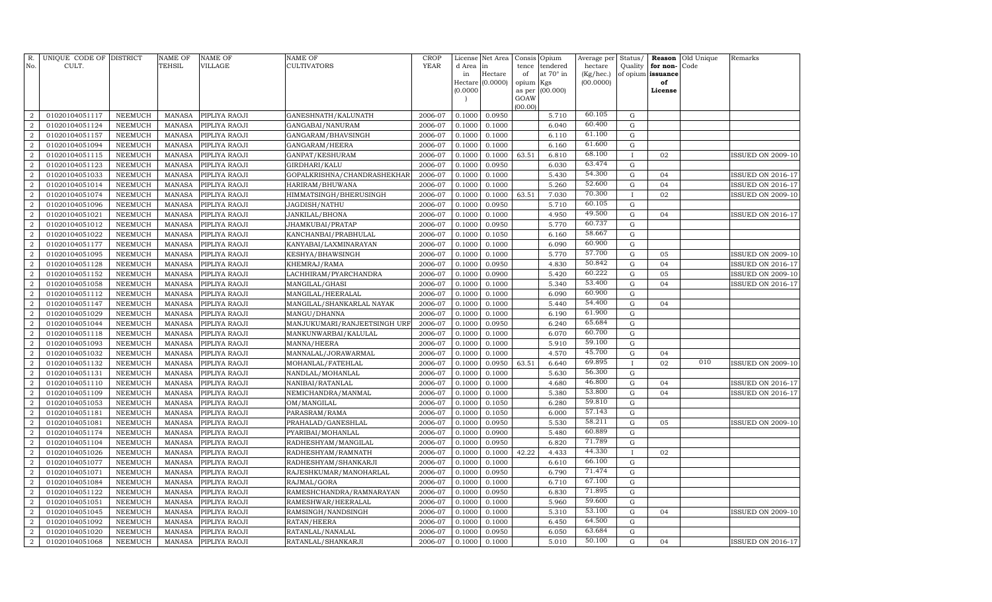| R.<br>No.        | UNIQUE CODE OF DISTRICT<br>CULT. |                | <b>NAME OF</b><br>TEHSIL | <b>NAME OF</b><br><b>VILLAGE</b> | NAME OF<br><b>CULTIVATORS</b> | <b>CROP</b><br>YEAR | License<br>d Area | Net Area<br>in   | Consis<br>tence | Opium<br>tendered | Average per<br>hectare | Status/<br>Quality | Reason<br>for non- | Old Unique<br>Code | Remarks                  |
|------------------|----------------------------------|----------------|--------------------------|----------------------------------|-------------------------------|---------------------|-------------------|------------------|-----------------|-------------------|------------------------|--------------------|--------------------|--------------------|--------------------------|
|                  |                                  |                |                          |                                  |                               |                     | in                | Hectare          | of              | at 70° in         | (Kg/hec.)              |                    | of opium issuance  |                    |                          |
|                  |                                  |                |                          |                                  |                               |                     |                   | Hectare (0.0000) | opium           | Kgs               | (00.0000)              |                    | of                 |                    |                          |
|                  |                                  |                |                          |                                  |                               |                     | (0.0000)          |                  | as per          | (00.000)          |                        |                    | License            |                    |                          |
|                  |                                  |                |                          |                                  |                               |                     |                   |                  | GOAW<br>(00.00) |                   |                        |                    |                    |                    |                          |
| $\overline{a}$   | 01020104051117                   | <b>NEEMUCH</b> | <b>MANASA</b>            | PIPLIYA RAOJI                    | GANESHNATH/KALUNATH           | 2006-07             | 0.1000            | 0.0950           |                 | 5.710             | 60.105                 | ${\rm G}$          |                    |                    |                          |
| $\overline{2}$   | 01020104051124                   | <b>NEEMUCH</b> | <b>MANASA</b>            | PIPLIYA RAOJI                    | GANGABAI/NANURAM              | 2006-07             | 0.1000            | 0.1000           |                 | 6.040             | 60.400                 | ${\rm G}$          |                    |                    |                          |
| $\overline{2}$   | 01020104051157                   | <b>NEEMUCH</b> | <b>MANASA</b>            | PIPLIYA RAOJI                    | GANGARAM/BHAVSINGH            | 2006-07             | 0.1000            | 0.1000           |                 | 6.110             | 61.100                 | ${\rm G}$          |                    |                    |                          |
| $\overline{2}$   | 01020104051094                   | <b>NEEMUCH</b> | <b>MANASA</b>            | PIPLIYA RAOJI                    | GANGARAM/HEERA                | 2006-07             | 0.1000            | 0.1000           |                 | 6.160             | 61.600                 | ${\rm G}$          |                    |                    |                          |
| $\overline{a}$   | 01020104051115                   | <b>NEEMUCH</b> | <b>MANASA</b>            | PIPLIYA RAOJI                    | GANPAT/KESHURAM               | 2006-07             | 0.1000            | 0.1000           | 63.51           | 6.810             | 68.100                 | $\mathbf{I}$       | 02                 |                    | <b>ISSUED ON 2009-10</b> |
| $\overline{a}$   | 01020104051123                   | <b>NEEMUCH</b> | <b>MANASA</b>            | PIPLIYA RAOJI                    | GIRDHARI/KALU                 | 2006-07             | 0.1000            | 0.0950           |                 | 6.030             | 63.474                 | ${\rm G}$          |                    |                    |                          |
| 2                | 01020104051033                   | <b>NEEMUCH</b> | <b>MANASA</b>            | PIPLIYA RAOJI                    | GOPALKRISHNA/CHANDRASHEKHAR   | 2006-07             | 0.1000            | 0.1000           |                 | 5.430             | 54.300                 | ${\rm G}$          | 04                 |                    | <b>ISSUED ON 2016-17</b> |
| $\overline{a}$   | 01020104051014                   | <b>NEEMUCH</b> | <b>MANASA</b>            | PIPLIYA RAOJI                    | HARIRAM/BHUWANA               | 2006-07             | 0.1000            | 0.1000           |                 | 5.260             | 52.600                 | ${\rm G}$          | 04                 |                    | ISSUED ON 2016-17        |
| $\overline{2}$   | 01020104051074                   | <b>NEEMUCH</b> | <b>MANASA</b>            | PIPLIYA RAOJI                    | HIMMATSINGH/BHERUSINGH        | 2006-07             | 0.1000            | 0.1000           | 63.51           | 7.030             | 70.300                 | $\mathbf{I}$       | 02                 |                    | <b>ISSUED ON 2009-10</b> |
| $\overline{2}$   | 01020104051096                   | <b>NEEMUCH</b> | <b>MANASA</b>            | PIPLIYA RAOJI                    | JAGDISH/NATHU                 | 2006-07             | 0.1000            | 0.0950           |                 | 5.710             | 60.105                 | $\mathbf G$        |                    |                    |                          |
| $\overline{a}$   | 01020104051021                   | <b>NEEMUCH</b> | <b>MANASA</b>            | PIPLIYA RAOJI                    | JANKILAL/BHONA                | 2006-07             | 0.1000            | 0.1000           |                 | 4.950             | 49.500                 | ${\bf G}$          | 04                 |                    | ISSUED ON 2016-17        |
| $\overline{2}$   | 01020104051012                   | <b>NEEMUCH</b> | <b>MANASA</b>            | PIPLIYA RAOJI                    | JHAMKUBAI/PRATAP              | 2006-07             | 0.1000            | 0.0950           |                 | 5.770             | 60.737                 | $\mathbf G$        |                    |                    |                          |
| $\overline{2}$   | 01020104051022                   | <b>NEEMUCH</b> | <b>MANASA</b>            | PIPLIYA RAOJI                    | KANCHANBAI/PRABHULAL          | 2006-07             | 0.1000            | 0.1050           |                 | 6.160             | 58.667                 | ${\bf G}$          |                    |                    |                          |
| $\overline{2}$   | 01020104051177                   | <b>NEEMUCH</b> | <b>MANASA</b>            | PIPLIYA RAOJI                    | KANYABAI/LAXMINARAYAN         | 2006-07             | 0.1000            | 0.1000           |                 | 6.090             | 60.900                 | ${\rm G}$          |                    |                    |                          |
| $\overline{a}$   | 01020104051095                   | <b>NEEMUCH</b> | <b>MANASA</b>            | PIPLIYA RAOJI                    | KESHYA/BHAWSINGH              | 2006-07             | 0.1000            | 0.1000           |                 | 5.770             | 57.700                 | ${\bf G}$          | 05                 |                    | <b>ISSUED ON 2009-10</b> |
| $\overline{2}$   | 01020104051128                   | <b>NEEMUCH</b> | <b>MANASA</b>            | PIPLIYA RAOJI                    | KHEMRAJ/RAMA                  | 2006-07             | 0.1000            | 0.0950           |                 | 4.830             | 50.842                 | ${\rm G}$          | 04                 |                    | ISSUED ON 2016-17        |
| $\overline{2}$   | 01020104051152                   | <b>NEEMUCH</b> | <b>MANASA</b>            | PIPLIYA RAOJI                    | LACHHIRAM/PYARCHANDRA         | 2006-07             | 0.1000            | 0.0900           |                 | 5.420             | 60.222                 | ${\rm G}$          | 05                 |                    | <b>ISSUED ON 2009-10</b> |
| $\overline{2}$   | 01020104051058                   | <b>NEEMUCH</b> | <b>MANASA</b>            | PIPLIYA RAOJI                    | MANGILAL/GHASI                | 2006-07             | 0.1000            | 0.1000           |                 | 5.340             | 53.400                 | ${\rm G}$          | 04                 |                    | ISSUED ON 2016-17        |
| $\overline{2}$   | 01020104051112                   | <b>NEEMUCH</b> | <b>MANASA</b>            | PIPLIYA RAOJI                    | MANGILAL/HEERALAL             | 2006-07             | 0.1000            | 0.1000           |                 | 6.090             | 60.900                 | ${\bf G}$          |                    |                    |                          |
| $\overline{2}$   | 01020104051147                   | <b>NEEMUCH</b> | <b>MANASA</b>            | PIPLIYA RAOJI                    | MANGILAL/SHANKARLAL NAYAK     | 2006-07             | 0.1000            | 0.1000           |                 | 5.440             | 54.400                 | ${\bf G}$          | 04                 |                    |                          |
| $\overline{2}$   | 01020104051029                   | NEEMUCH        | <b>MANASA</b>            | PIPLIYA RAOJI                    | MANGU/DHANNA                  | 2006-07             | 0.1000            | 0.1000           |                 | 6.190             | 61.900                 | $\mathbf G$        |                    |                    |                          |
| $\overline{2}$   | 01020104051044                   | NEEMUCH        | <b>MANASA</b>            | PIPLIYA RAOJI                    | MANJUKUMARI/RANJEETSINGH URF  | 2006-07             | 0.1000            | 0.0950           |                 | 6.240             | 65.684                 | ${\bf G}$          |                    |                    |                          |
| $\overline{2}$   | 01020104051118                   | NEEMUCH        | <b>MANASA</b>            | PIPLIYA RAOJI                    | MANKUNWARBAI/KALULAL          | 2006-07             | 0.1000            | 0.1000           |                 | 6.070             | 60.700                 | $\mathbf G$        |                    |                    |                          |
| $\boldsymbol{2}$ | 01020104051093                   | <b>NEEMUCH</b> | <b>MANASA</b>            | PIPLIYA RAOJI                    | MANNA/HEERA                   | 2006-07             | 0.1000            | 0.1000           |                 | 5.910             | 59.100                 | $\mathbf G$        |                    |                    |                          |
| $\overline{2}$   | 01020104051032                   | <b>NEEMUCH</b> | <b>MANASA</b>            | PIPLIYA RAOJI                    | MANNALAL/JORAWARMAL           | 2006-07             | 0.1000            | 0.1000           |                 | 4.570             | 45.700                 | ${\bf G}$          | 04                 |                    |                          |
| $\overline{2}$   | 01020104051132                   | <b>NEEMUCH</b> | <b>MANASA</b>            | PIPLIYA RAOJI                    | MOHANLAL/FATEHLAL             | 2006-07             | 0.1000            | 0.0950           | 63.51           | 6.640             | 69.895                 |                    | 02                 | 010                | <b>ISSUED ON 2009-10</b> |
| $\overline{2}$   | 01020104051131                   | <b>NEEMUCH</b> | <b>MANASA</b>            | PIPLIYA RAOJI                    | NANDLAL/MOHANLAL              | 2006-07             | 0.1000            | 0.1000           |                 | 5.630             | 56.300                 | ${\bf G}$          |                    |                    |                          |
| $\overline{2}$   | 01020104051110                   | <b>NEEMUCH</b> | <b>MANASA</b>            | PIPLIYA RAOJI                    | NANIBAI/RATANLAL              | 2006-07             | 0.1000            | 0.1000           |                 | 4.680             | 46.800                 | ${\bf G}$          | 04                 |                    | ISSUED ON 2016-17        |
| $\overline{2}$   | 01020104051109                   | <b>NEEMUCH</b> | <b>MANASA</b>            | PIPLIYA RAOJI                    | NEMICHANDRA/MANMAL            | 2006-07             | 0.1000            | 0.1000           |                 | 5.380             | 53.800                 | ${\bf G}$          | 04                 |                    | ISSUED ON 2016-17        |
| $\boldsymbol{2}$ | 01020104051053                   | <b>NEEMUCH</b> | <b>MANASA</b>            | PIPLIYA RAOJI                    | OM/MANGILAL                   | 2006-07             | 0.1000            | 0.1050           |                 | 6.280             | 59.810                 | ${\bf G}$          |                    |                    |                          |
| 2                | 01020104051181                   | <b>NEEMUCH</b> | <b>MANASA</b>            | PIPLIYA RAOJI                    | PARASRAM/RAMA                 | 2006-07             | 0.1000            | 0.1050           |                 | 6.000             | 57.143                 | ${\bf G}$          |                    |                    |                          |
| $\overline{2}$   | 01020104051081                   | NEEMUCH        | <b>MANASA</b>            | PIPLIYA RAOJI                    | PRAHALAD/GANESHLAL            | 2006-07             | 0.1000            | 0.0950           |                 | 5.530             | 58.211                 | $\mathbf G$        | 05                 |                    | <b>ISSUED ON 2009-10</b> |
| $\overline{2}$   | 01020104051174                   | NEEMUCH        | <b>MANASA</b>            | PIPLIYA RAOJI                    | PYARIBAI/MOHANLAL             | 2006-07             | 0.1000            | 0.0900           |                 | 5.480             | 60.889                 | $\mathbf G$        |                    |                    |                          |
| $\overline{2}$   | 01020104051104                   | <b>NEEMUCH</b> | <b>MANASA</b>            | PIPLIYA RAOJI                    | RADHESHYAM/MANGILAL           | 2006-07             | 0.1000            | 0.0950           |                 | 6.820             | 71.789                 | $\mathbf G$        |                    |                    |                          |
| $\overline{2}$   | 01020104051026                   | <b>NEEMUCH</b> | <b>MANASA</b>            | PIPLIYA RAOJI                    | RADHESHYAM/RAMNATH            | 2006-07             | 0.1000            | 0.1000           | 42.22           | 4.433             | 44.330                 |                    | 02                 |                    |                          |
| $\overline{2}$   | 01020104051077                   | <b>NEEMUCH</b> | <b>MANASA</b>            | PIPLIYA RAOJI                    | RADHESHYAM/SHANKARJI          | 2006-07             | 0.1000            | 0.1000           |                 | 6.610             | 66.100                 | $\mathbf G$        |                    |                    |                          |
| $\overline{2}$   | 01020104051071                   | <b>NEEMUCH</b> | <b>MANASA</b>            | PIPLIYA RAOJI                    | RAJESHKUMAR/MANOHARLAL        | 2006-07             | 0.1000            | 0.0950           |                 | 6.790             | 71.474                 | ${\bf G}$          |                    |                    |                          |
| $\boldsymbol{2}$ | 01020104051084                   | <b>NEEMUCH</b> | <b>MANASA</b>            | PIPLIYA RAOJI                    | RAJMAL/GORA                   | 2006-07             | 0.1000            | 0.1000           |                 | 6.710             | 67.100                 | ${\bf G}$          |                    |                    |                          |
| $\overline{2}$   | 01020104051122                   | <b>NEEMUCH</b> | <b>MANASA</b>            | PIPLIYA RAOJI                    | RAMESHCHANDRA/RAMNARAYAN      | 2006-07             | 0.1000            | 0.0950           |                 | 6.830             | 71.895                 | $\mathbf G$        |                    |                    |                          |
| $\boldsymbol{2}$ | 01020104051051                   | <b>NEEMUCH</b> | <b>MANASA</b>            | PIPLIYA RAOJI                    | RAMESHWAR/HEERALAL            | 2006-07             | 0.1000            | 0.1000           |                 | 5.960             | 59.600                 | ${\bf G}$          |                    |                    |                          |
| $\boldsymbol{2}$ | 01020104051045                   | <b>NEEMUCH</b> | <b>MANASA</b>            | PIPLIYA RAOJI                    | RAMSINGH/NANDSINGH            | 2006-07             | 0.1000            | 0.1000           |                 | 5.310             | 53.100                 | ${\bf G}$          | 04                 |                    | <b>ISSUED ON 2009-10</b> |
| $\boldsymbol{2}$ | 01020104051092                   | <b>NEEMUCH</b> | <b>MANASA</b>            | PIPLIYA RAOJI                    | RATAN/HEERA                   | 2006-07             | 0.1000            | 0.1000           |                 | 6.450             | 64.500                 | $\mathbf G$        |                    |                    |                          |
| $\overline{2}$   | 01020104051020                   | NEEMUCH        | <b>MANASA</b>            | PIPLIYA RAOJI                    | RATANLAL/NANALAL              | 2006-07             | 0.1000            | 0.0950           |                 | 6.050             | 63.684                 | ${\bf G}$          |                    |                    |                          |
| $\overline{a}$   | 01020104051068                   | NEEMUCH        | MANASA                   | PIPLIYA RAOJI                    | RATANLAL/SHANKARJI            | 2006-07             | 0.1000            | 0.1000           |                 | 5.010             | 50.100                 | G                  | 04                 |                    | <b>ISSUED ON 2016-17</b> |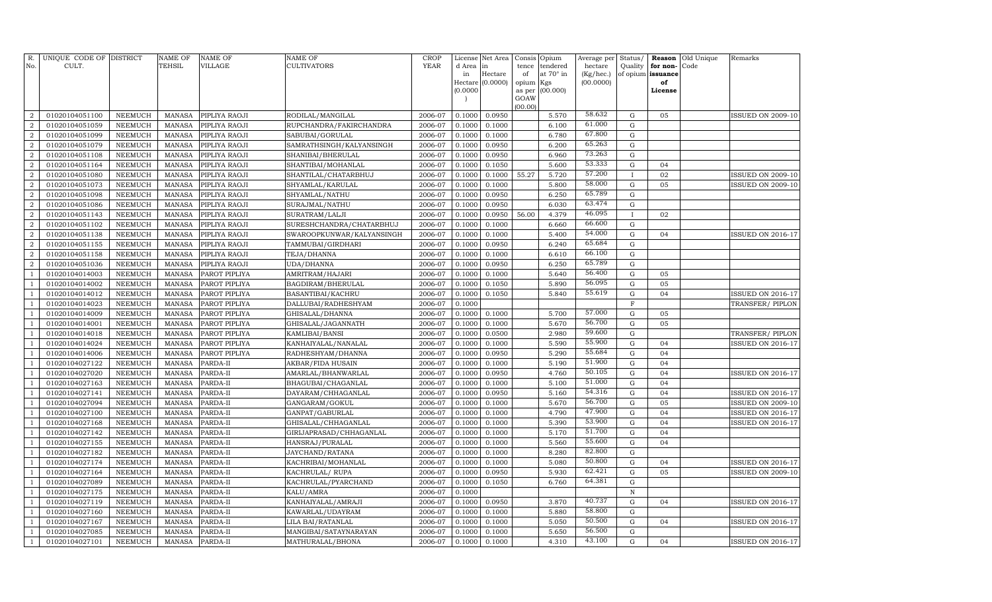| R.<br>No.        | UNIQUE CODE OF DISTRICT<br>CULT. |                | <b>NAME OF</b><br><b>TEHSIL</b> | <b>NAME OF</b><br><b>VILLAGE</b> | <b>NAME OF</b><br><b>CULTIVATORS</b> | <b>CROP</b><br><b>YEAR</b> | License<br>d Area        | Net Area<br>in   | Consis Opium<br>tence | tendered  | Average per Status/<br>hectare | Quality      | for non-          | Reason Old Unique<br>Code | Remarks                  |
|------------------|----------------------------------|----------------|---------------------------------|----------------------------------|--------------------------------------|----------------------------|--------------------------|------------------|-----------------------|-----------|--------------------------------|--------------|-------------------|---------------------------|--------------------------|
|                  |                                  |                |                                 |                                  |                                      |                            | in                       | Hectare          | of                    | at 70° in | (Kg/hec.)                      |              | of opium issuance |                           |                          |
|                  |                                  |                |                                 |                                  |                                      |                            |                          | Hectare (0.0000) | opium                 | Kgs       | (00.0000)                      |              | of                |                           |                          |
|                  |                                  |                |                                 |                                  |                                      |                            | (0.0000)                 |                  | as per                | (00.000)  |                                |              | License           |                           |                          |
|                  |                                  |                |                                 |                                  |                                      |                            | $\overline{\phantom{a}}$ |                  | GOAW<br>(00.00)       |           |                                |              |                   |                           |                          |
| $\overline{2}$   | 01020104051100                   | <b>NEEMUCH</b> | <b>MANASA</b>                   | PIPLIYA RAOJI                    | RODILAL/MANGILAL                     | 2006-07                    | 0.1000                   | 0.0950           |                       | 5.570     | 58.632                         | $\mathbf G$  | 05                |                           | ISSUED ON 2009-10        |
| $\overline{2}$   | 01020104051059                   | <b>NEEMUCH</b> | <b>MANASA</b>                   | PIPLIYA RAOJI                    | RUPCHANDRA/FAKIRCHANDRA              | 2006-07                    | 0.1000                   | 0.1000           |                       | 6.100     | 61.000                         | ${\rm G}$    |                   |                           |                          |
| $\overline{2}$   | 01020104051099                   | <b>NEEMUCH</b> | <b>MANASA</b>                   | PIPLIYA RAOJI                    | SABUBAI/GORULAL                      | 2006-07                    | 0.1000                   | 0.1000           |                       | 6.780     | 67.800                         | ${\rm G}$    |                   |                           |                          |
| $\overline{2}$   | 01020104051079                   | <b>NEEMUCH</b> | <b>MANASA</b>                   | PIPLIYA RAOJI                    | SAMRATHSINGH/KALYANSINGH             | 2006-07                    | 0.1000                   | 0.0950           |                       | 6.200     | 65.263                         | ${\rm G}$    |                   |                           |                          |
| $\overline{a}$   | 01020104051108                   | <b>NEEMUCH</b> | <b>MANASA</b>                   | PIPLIYA RAOJI                    | SHANIBAI/BHERULAL                    | 2006-07                    | 0.1000                   | 0.0950           |                       | 6.960     | 73.263                         | ${\rm G}$    |                   |                           |                          |
| $\boldsymbol{2}$ | 01020104051164                   | <b>NEEMUCH</b> | <b>MANASA</b>                   | PIPLIYA RAOJI                    | SHANTIBAI/MOHANLAL                   | 2006-07                    | 0.1000                   | 0.1050           |                       | 5.600     | 53.333                         | ${\rm G}$    | 04                |                           |                          |
| $\overline{2}$   | 01020104051080                   | <b>NEEMUCH</b> | <b>MANASA</b>                   | PIPLIYA RAOJI                    | SHANTILAL/CHATARBHUJ                 | 2006-07                    | 0.1000                   | 0.1000           | 55.27                 | 5.720     | 57.200                         | $\mathbf I$  | 02                |                           | <b>ISSUED ON 2009-10</b> |
| $\overline{2}$   | 01020104051073                   | <b>NEEMUCH</b> | <b>MANASA</b>                   | PIPLIYA RAOJI                    | SHYAMLAL/KARULAL                     | 2006-07                    | 0.1000                   | 0.1000           |                       | 5.800     | 58.000                         | ${\rm G}$    | 05                |                           | <b>ISSUED ON 2009-10</b> |
| $\overline{2}$   | 01020104051098                   | <b>NEEMUCH</b> | <b>MANASA</b>                   | PIPLIYA RAOJI                    | SHYAMLAL/NATHU                       | 2006-07                    | 0.1000                   | 0.0950           |                       | 6.250     | 65.789                         | ${\rm G}$    |                   |                           |                          |
| $\boldsymbol{2}$ | 01020104051086                   | <b>NEEMUCH</b> | <b>MANASA</b>                   | PIPLIYA RAOJI                    | SURAJMAL/NATHU                       | 2006-07                    | 0.1000                   | 0.0950           |                       | 6.030     | 63.474                         | ${\rm G}$    |                   |                           |                          |
| $\overline{2}$   | 01020104051143                   | <b>NEEMUCH</b> | <b>MANASA</b>                   | PIPLIYA RAOJI                    | SURATRAM/LALJI                       | 2006-07                    | 0.1000                   | 0.0950           | 56.00                 | 4.379     | 46.095                         | $\mathbf{I}$ | 02                |                           |                          |
| $\boldsymbol{2}$ | 01020104051102                   | <b>NEEMUCH</b> | <b>MANASA</b>                   | PIPLIYA RAOJI                    | SURESHCHANDRA/CHATARBHUJ             | 2006-07                    | 0.1000                   | 0.1000           |                       | 6.660     | 66.600                         | $\mathbf G$  |                   |                           |                          |
| $\overline{2}$   | 01020104051138                   | <b>NEEMUCH</b> | <b>MANASA</b>                   | PIPLIYA RAOJI                    | SWAROOPKUNWAR/KALYANSINGH            | 2006-07                    | 0.1000                   | 0.1000           |                       | 5.400     | 54.000                         | ${\rm G}$    | 04                |                           | <b>ISSUED ON 2016-17</b> |
| $\boldsymbol{2}$ | 01020104051155                   | <b>NEEMUCH</b> | <b>MANASA</b>                   | PIPLIYA RAOJI                    | TAMMUBAI/GIRDHARI                    | 2006-07                    | 0.1000                   | 0.0950           |                       | 6.240     | 65.684                         | ${\rm G}$    |                   |                           |                          |
| $\overline{2}$   | 01020104051158                   | NEEMUCH        | <b>MANASA</b>                   | PIPLIYA RAOJI                    | TEJA/DHANNA                          | 2006-07                    | 0.1000                   | 0.1000           |                       | 6.610     | 66.100                         | ${\rm G}$    |                   |                           |                          |
| $\boldsymbol{2}$ | 01020104051036                   | <b>NEEMUCH</b> | <b>MANASA</b>                   | PIPLIYA RAOJI                    | UDA/DHANNA                           | 2006-07                    | 0.1000                   | 0.0950           |                       | 6.250     | 65.789                         | $\mathbf G$  |                   |                           |                          |
| $\overline{1}$   | 01020104014003                   | NEEMUCH        | <b>MANASA</b>                   | PAROT PIPLIYA                    | AMRITRAM/HAJARI                      | 2006-07                    | 0.1000                   | 0.1000           |                       | 5.640     | 56.400                         | ${\rm G}$    | 05                |                           |                          |
|                  | 01020104014002                   | NEEMUCH        | <b>MANASA</b>                   | PAROT PIPLIYA                    | BAGDIRAM/BHERULAL                    | 2006-07                    | 0.1000                   | 0.1050           |                       | 5.890     | 56.095                         | ${\rm G}$    | 05                |                           |                          |
| $\overline{1}$   | 01020104014012                   | NEEMUCH        | <b>MANASA</b>                   | PAROT PIPLIYA                    | BASANTIBAI/KACHRU                    | 2006-07                    | 0.1000                   | 0.1050           |                       | 5.840     | 55.619                         | ${\rm G}$    | 04                |                           | <b>ISSUED ON 2016-17</b> |
| $\overline{1}$   | 01020104014023                   | <b>NEEMUCH</b> | <b>MANASA</b>                   | PAROT PIPLIYA                    | DALLUBAI/RADHESHYAM                  | 2006-07                    | 0.1000                   |                  |                       |           |                                | F            |                   |                           | TRANSFER/ PIPLON         |
| $\mathbf{1}$     | 01020104014009                   | NEEMUCH        | <b>MANASA</b>                   | PAROT PIPLIYA                    | GHISALAL/DHANNA                      | 2006-07                    | 0.1000                   | 0.1000           |                       | 5.700     | 57.000                         | G            | 05                |                           |                          |
|                  | 01020104014001                   | <b>NEEMUCH</b> | <b>MANASA</b>                   | PAROT PIPLIYA                    | GHISALAL/JAGANNATH                   | 2006-07                    | 0.1000                   | 0.1000           |                       | 5.670     | 56.700                         | G            | 05                |                           |                          |
|                  | 01020104014018                   | NEEMUCH        | <b>MANASA</b>                   | PAROT PIPLIYA                    | KAMLIBAI/BANSI                       | 2006-07                    | 0.1000                   | 0.0500           |                       | 2.980     | 59.600                         | ${\rm G}$    |                   |                           | TRANSFER/PIPLON          |
| 1                | 01020104014024                   | <b>NEEMUCH</b> | <b>MANASA</b>                   | PAROT PIPLIYA                    | KANHAIYALAL/NANALAL                  | 2006-07                    | 0.1000                   | 0.1000           |                       | 5.590     | 55.900                         | ${\rm G}$    | 04                |                           | <b>ISSUED ON 2016-17</b> |
|                  | 01020104014006                   | <b>NEEMUCH</b> | <b>MANASA</b>                   | PAROT PIPLIYA                    | RADHESHYAM/DHANNA                    | 2006-07                    | 0.1000                   | 0.0950           |                       | 5.290     | 55.684                         | ${\rm G}$    | 04                |                           |                          |
|                  | 01020104027122                   | <b>NEEMUCH</b> | <b>MANASA</b>                   | PARDA-II                         | AKBAR/FIDA HUSAIN                    | 2006-07                    | 0.1000                   | 0.1000           |                       | 5.190     | 51.900                         | ${\rm G}$    | 04                |                           |                          |
|                  | 01020104027020                   | <b>NEEMUCH</b> | <b>MANASA</b>                   | PARDA-II                         | AMARLAL/BHANWARLAL                   | 2006-07                    | 0.1000                   | 0.0950           |                       | 4.760     | 50.105                         | ${\rm G}$    | 04                |                           | <b>ISSUED ON 2016-17</b> |
|                  | 01020104027163                   | <b>NEEMUCH</b> | <b>MANASA</b>                   | PARDA-II                         | BHAGUBAI/CHAGANLAL                   | 2006-07                    | 0.1000                   | 0.1000           |                       | 5.100     | 51.000                         | G            | 04                |                           |                          |
|                  | 01020104027141                   | <b>NEEMUCH</b> | <b>MANASA</b>                   | PARDA-II                         | DAYARAM / CHHAGANLAL                 | 2006-07                    | 0.1000                   | 0.0950           |                       | 5.160     | 54.316                         | ${\rm G}$    | 04                |                           | ISSUED ON 2016-17        |
|                  | 01020104027094                   | <b>NEEMUCH</b> | <b>MANASA</b>                   | PARDA-II                         | GANGARAM/GOKUL                       | 2006-07                    | 0.1000                   | 0.1000           |                       | 5.670     | 56.700                         | G            | 05                |                           | <b>ISSUED ON 2009-10</b> |
|                  | 01020104027100                   | <b>NEEMUCH</b> | <b>MANASA</b>                   | PARDA-II                         | GANPAT/GABURLAL                      | 2006-07                    | 0.1000                   | 0.1000           |                       | 4.790     | 47.900                         | G            | 04                |                           | ISSUED ON 2016-17        |
|                  | 01020104027168                   | <b>NEEMUCH</b> | <b>MANASA</b>                   | PARDA-II                         | GHISALAL/CHHAGANLAL                  | 2006-07                    | 0.1000                   | 0.1000           |                       | 5.390     | 53.900                         | G            | 04                |                           | <b>ISSUED ON 2016-17</b> |
|                  | 01020104027142                   | <b>NEEMUCH</b> | <b>MANASA</b>                   | PARDA-II                         | GIRIJAPRASAD/CHHAGANLAL              | 2006-07                    | 0.1000                   | 0.1000           |                       | 5.170     | 51.700                         | G            | 04                |                           |                          |
|                  | 01020104027155                   | <b>NEEMUCH</b> | <b>MANASA</b>                   | PARDA-II                         | HANSRAJ/PURALAL                      | 2006-07                    | 0.1000                   | 0.1000           |                       | 5.560     | 55.600                         | G            | 04                |                           |                          |
|                  | 01020104027182                   | <b>NEEMUCH</b> | <b>MANASA</b>                   | PARDA-II                         | JAYCHAND/RATANA                      | 2006-07                    | 0.1000                   | 0.1000           |                       | 8.280     | 82.800                         | ${\rm G}$    |                   |                           |                          |
|                  | 01020104027174                   | <b>NEEMUCH</b> | <b>MANASA</b>                   | PARDA-II                         | KACHRIBAI/MOHANLAL                   | 2006-07                    | 0.1000                   | 0.1000           |                       | 5.080     | 50.800                         | ${\rm G}$    | 04                |                           | <b>ISSUED ON 2016-17</b> |
|                  | 01020104027164                   | NEEMUCH        | <b>MANASA</b>                   | PARDA-II                         | KACHRULAL/RUPA                       | 2006-07                    | 0.1000                   | 0.0950           |                       | 5.930     | 62.421                         | ${\rm G}$    | 05                |                           | <b>ISSUED ON 2009-10</b> |
|                  | 01020104027089                   | <b>NEEMUCH</b> | <b>MANASA</b>                   | PARDA-II                         | KACHRULAL/PYARCHAND                  | 2006-07                    | 0.1000                   | 0.1050           |                       | 6.760     | 64.381                         | $\mathbf G$  |                   |                           |                          |
| $\overline{1}$   | 01020104027175                   | <b>NEEMUCH</b> | <b>MANASA</b>                   | PARDA-II                         | KALU/AMRA                            | 2006-07                    | 0.1000                   |                  |                       |           |                                | N            |                   |                           |                          |
|                  | 01020104027119                   | <b>NEEMUCH</b> | <b>MANASA</b>                   | PARDA-II                         | KANHAIYALAL/AMRAJI                   | 2006-07                    | 0.1000                   | 0.0950           |                       | 3.870     | 40.737                         | G            | 04                |                           | <b>ISSUED ON 2016-17</b> |
| $\mathbf{1}$     | 01020104027160                   | NEEMUCH        | MANASA                          | PARDA-II                         | KAWARLAL/UDAYRAM                     | 2006-07                    | 0.1000                   | 0.1000           |                       | 5.880     | 58.800                         | G            |                   |                           |                          |
| $\mathbf{1}$     | 01020104027167                   | <b>NEEMUCH</b> | <b>MANASA</b>                   | PARDA-II                         | LILA BAI/RATANLAL                    | 2006-07                    | 0.1000                   | 0.1000           |                       | 5.050     | 50.500                         | G            | 04                |                           | ISSUED ON 2016-17        |
| $\overline{1}$   | 01020104027085                   | <b>NEEMUCH</b> | <b>MANASA</b>                   | PARDA-II                         | MANGIBAI/SATAYNARAYAN                | 2006-07                    | 0.1000                   | 0.1000           |                       | 5.650     | 56.500                         | $\mathbf G$  |                   |                           |                          |
| $\mathbf{1}$     | 01020104027101                   | <b>NEEMUCH</b> | <b>MANASA</b>                   | PARDA-II                         | MATHURALAL/BHONA                     | 2006-07                    | 0.1000                   | 0.1000           |                       | 4.310     | 43.100                         | $\mathbf G$  | 04                |                           | <b>ISSUED ON 2016-17</b> |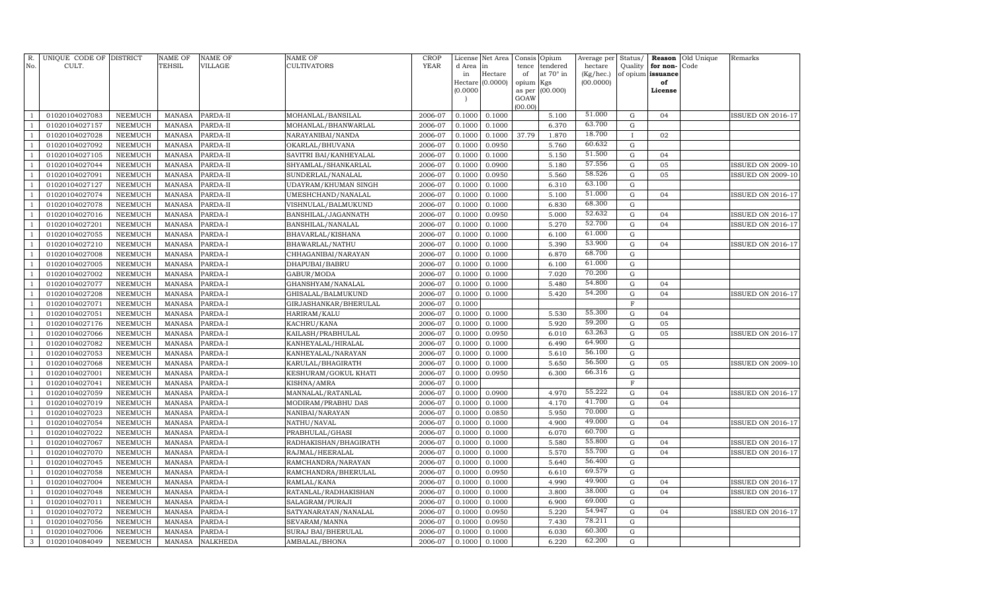| R.             | UNIQUE CODE OF DISTRICT |                | <b>NAME OF</b> | <b>NAME OF</b> | <b>NAME OF</b>              | <b>CROP</b> | License  | Net Area         | Consis         | Opium     | Average per | Status/      | Reason            | Old Unique | Remarks                  |
|----------------|-------------------------|----------------|----------------|----------------|-----------------------------|-------------|----------|------------------|----------------|-----------|-------------|--------------|-------------------|------------|--------------------------|
| No.            | CULT.                   |                | TEHSIL         | <b>VILLAGE</b> | <b>CULTIVATORS</b>          | YEAR        | d Area   | in               | tence          | tendered  | hectare     | Quality      | for non-          | Code       |                          |
|                |                         |                |                |                |                             |             | in       | Hectare          | of             | at 70° in | (Kg/hec.)   |              | of opium issuance |            |                          |
|                |                         |                |                |                |                             |             |          | Hectare (0.0000) | opium          | Kgs       | (00.0000)   |              | of                |            |                          |
|                |                         |                |                |                |                             |             | (0.0000) |                  | as per<br>GOAW | (00.000)  |             |              | License           |            |                          |
|                |                         |                |                |                |                             |             |          |                  | (00.00)        |           |             |              |                   |            |                          |
| $\overline{1}$ | 01020104027083          | <b>NEEMUCH</b> | <b>MANASA</b>  | PARDA-II       | MOHANLAL/BANSILAL           | 2006-07     | 0.1000   | 0.1000           |                | 5.100     | 51.000      | ${\bf G}$    | 04                |            | <b>ISSUED ON 2016-17</b> |
| $\overline{1}$ | 01020104027157          | <b>NEEMUCH</b> | <b>MANASA</b>  | PARDA-II       | MOHANLAL/BHANWARLAL         | 2006-07     | 0.1000   | 0.1000           |                | 6.370     | 63.700      | ${\rm G}$    |                   |            |                          |
| $\overline{1}$ | 01020104027028          | <b>NEEMUCH</b> | <b>MANASA</b>  | PARDA-II       | NARAYANIBAI/NANDA           | 2006-07     | 0.1000   | 0.1000           | 37.79          | 1.870     | 18.700      | $\mathbf{I}$ | 02                |            |                          |
| $\overline{1}$ | 01020104027092          | <b>NEEMUCH</b> | <b>MANASA</b>  | PARDA-II       | OKARLAL/BHUVANA             | 2006-07     | 0.1000   | 0.0950           |                | 5.760     | 60.632      | ${\bf G}$    |                   |            |                          |
| $\overline{1}$ | 01020104027105          | NEEMUCH        | <b>MANASA</b>  | PARDA-II       | SAVITRI BAI/KANHEYALAL      | 2006-07     | 0.1000   | 0.1000           |                | 5.150     | 51.500      | ${\bf G}$    | 04                |            |                          |
| $\mathbf{1}$   | 01020104027044          | <b>NEEMUCH</b> | <b>MANASA</b>  | PARDA-II       | SHYAMLAL/SHANKARLAL         | 2006-07     | 0.1000   | 0.0900           |                | 5.180     | 57.556      | $\mathbf G$  | 05                |            | <b>ISSUED ON 2009-10</b> |
| $\overline{1}$ | 01020104027091          | NEEMUCH        | <b>MANASA</b>  | PARDA-II       | SUNDERLAL/NANALAL           | 2006-07     | 0.1000   | 0.0950           |                | 5.560     | 58.526      | $\mathbf G$  | 05                |            | <b>ISSUED ON 2009-10</b> |
| $\overline{1}$ | 01020104027127          | <b>NEEMUCH</b> | <b>MANASA</b>  | PARDA-II       | <b>UDAYRAM/KHUMAN SINGH</b> | 2006-07     | 0.1000   | 0.1000           |                | 6.310     | 63.100      | $\mathbf G$  |                   |            |                          |
| $\overline{1}$ | 01020104027074          | <b>NEEMUCH</b> | <b>MANASA</b>  | PARDA-II       | UMESHCHAND/NANALAL          | 2006-07     | 0.1000   | 0.1000           |                | 5.100     | 51.000      | $\mathbf G$  | 04                |            | ISSUED ON 2016-17        |
| $\mathbf{1}$   | 01020104027078          | <b>NEEMUCH</b> | <b>MANASA</b>  | PARDA-II       | VISHNULAL/BALMUKUND         | 2006-07     | 0.1000   | 0.1000           |                | 6.830     | 68.300      | ${\bf G}$    |                   |            |                          |
| $\overline{1}$ | 01020104027016          | <b>NEEMUCH</b> | <b>MANASA</b>  | PARDA-I        | BANSHILAL/JAGANNATH         | 2006-07     | 0.1000   | 0.0950           |                | 5.000     | 52.632      | $\mathbf G$  | 04                |            | ISSUED ON 2016-17        |
| $\overline{1}$ | 01020104027201          | <b>NEEMUCH</b> | <b>MANASA</b>  | PARDA-I        | BANSHILAL/NANALAL           | 2006-07     | 0.1000   | 0.1000           |                | 5.270     | 52.700      | ${\bf G}$    | 04                |            | ISSUED ON 2016-17        |
| $\overline{1}$ | 01020104027055          | NEEMUCH        | <b>MANASA</b>  | PARDA-I        | BHAVARLAL/KISHANA           | 2006-07     | 0.1000   | 0.1000           |                | 6.100     | 61.000      | ${\bf G}$    |                   |            |                          |
| $\mathbf{1}$   | 01020104027210          | <b>NEEMUCH</b> | <b>MANASA</b>  | PARDA-I        | BHAWARLAL/NATHU             | 2006-07     | 0.1000   | 0.1000           |                | 5.390     | 53.900      | ${\bf G}$    | 04                |            | <b>ISSUED ON 2016-17</b> |
| $\overline{1}$ | 01020104027008          | NEEMUCH        | <b>MANASA</b>  | PARDA-I        | CHHAGANIBAI/NARAYAN         | 2006-07     | 0.1000   | 0.1000           |                | 6.870     | 68.700      | $\mathbf G$  |                   |            |                          |
| 1              | 01020104027005          | <b>NEEMUCH</b> | <b>MANASA</b>  | PARDA-I        | DHAPUBAI/BABRU              | 2006-07     | 0.1000   | 0.1000           |                | 6.100     | 61.000      | ${\rm G}$    |                   |            |                          |
| $\overline{1}$ | 01020104027002          | NEEMUCH        | <b>MANASA</b>  | PARDA-I        | GABUR/MODA                  | 2006-07     | 0.1000   | 0.1000           |                | 7.020     | 70.200      | $\mathbf G$  |                   |            |                          |
| $\overline{1}$ | 01020104027077          | <b>NEEMUCH</b> | <b>MANASA</b>  | PARDA-I        | GHANSHYAM/NANALAL           | 2006-07     | 0.1000   | 0.1000           |                | 5.480     | 54.800      | ${\rm G}$    | 04                |            |                          |
| $\overline{1}$ | 01020104027208          | <b>NEEMUCH</b> | <b>MANASA</b>  | PARDA-I        | GHISALAL/BALMUKUND          | 2006-07     | 0.1000   | 0.1000           |                | 5.420     | 54.200      | $\mathbf G$  | 04                |            | <b>ISSUED ON 2016-17</b> |
| $\overline{1}$ | 01020104027071          | <b>NEEMUCH</b> | <b>MANASA</b>  | PARDA-I        | GIRJASHANKAR/BHERULAL       | 2006-07     | 0.1000   |                  |                |           |             | $\mathbf F$  |                   |            |                          |
| $\overline{1}$ | 01020104027051          | NEEMUCH        | <b>MANASA</b>  | PARDA-I        | HARIRAM/KALU                | 2006-07     | 0.1000   | 0.1000           |                | 5.530     | 55.300      | ${\bf G}$    | 04                |            |                          |
| $\overline{1}$ | 01020104027176          | <b>NEEMUCH</b> | <b>MANASA</b>  | PARDA-I        | KACHRU/KANA                 | 2006-07     | 0.1000   | 0.1000           |                | 5.920     | 59.200      | ${\bf G}$    | 05                |            |                          |
| $\overline{1}$ | 01020104027066          | NEEMUCH        | <b>MANASA</b>  | PARDA-I        | KAILASH/PRABHULAL           | 2006-07     | 0.1000   | 0.0950           |                | 6.010     | 63.263      | $\mathbf G$  | 05                |            | <b>ISSUED ON 2016-17</b> |
| $\overline{1}$ | 01020104027082          | <b>NEEMUCH</b> | <b>MANASA</b>  | PARDA-I        | KANHEYALAL/HIRALAL          | 2006-07     | 0.1000   | 0.1000           |                | 6.490     | 64.900      | ${\rm G}$    |                   |            |                          |
| $\overline{1}$ | 01020104027053          | NEEMUCH        | <b>MANASA</b>  | PARDA-I        | KANHEYALAL/NARAYAN          | 2006-07     | 0.1000   | 0.1000           |                | 5.610     | 56.100      | $\mathbf G$  |                   |            |                          |
| $\overline{1}$ | 01020104027068          | <b>NEEMUCH</b> | <b>MANASA</b>  | PARDA-I        | KARULAL/BHAGIRATH           | 2006-07     | 0.1000   | 0.1000           |                | 5.650     | 56.500      | $\mathbf G$  | 05                |            | <b>ISSUED ON 2009-10</b> |
|                | 01020104027001          | <b>NEEMUCH</b> | <b>MANASA</b>  | PARDA-I        | KESHURAM/GOKUL KHATI        | 2006-07     | 0.1000   | 0.0950           |                | 6.300     | 66.316      | $\mathbf G$  |                   |            |                          |
| $\overline{1}$ | 01020104027041          | <b>NEEMUCH</b> | <b>MANASA</b>  | PARDA-I        | KISHNA/AMRA                 | 2006-07     | 0.1000   |                  |                |           |             | $\mathbf F$  |                   |            |                          |
| $\overline{1}$ | 01020104027059          | <b>NEEMUCH</b> | <b>MANASA</b>  | PARDA-I        | MANNALAL/RATANLAL           | 2006-07     | 0.1000   | 0.0900           |                | 4.970     | 55.222      | ${\bf G}$    | 04                |            | <b>ISSUED ON 2016-17</b> |
| $\mathbf{1}$   | 01020104027019          | <b>NEEMUCH</b> | <b>MANASA</b>  | PARDA-I        | MODIRAM/PRABHU DAS          | 2006-07     | 0.1000   | 0.1000           |                | 4.170     | 41.700      | ${\bf G}$    | 04                |            |                          |
|                | 01020104027023          | <b>NEEMUCH</b> | <b>MANASA</b>  | PARDA-I        | NANIBAI/NARAYAN             | 2006-07     | 0.1000   | 0.0850           |                | 5.950     | 70.000      | $\mathbf G$  |                   |            |                          |
| $\overline{1}$ | 01020104027054          | <b>NEEMUCH</b> | <b>MANASA</b>  | PARDA-I        | NATHU/NAVAL                 | 2006-07     | 0.1000   | 0.1000           |                | 4.900     | 49.000      | ${\bf G}$    | 04                |            | ISSUED ON 2016-17        |
| $\overline{1}$ | 01020104027022          | <b>NEEMUCH</b> | <b>MANASA</b>  | PARDA-I        | PRABHULAL/GHASI             | 2006-07     | 0.1000   | 0.1000           |                | 6.070     | 60.700      | ${\bf G}$    |                   |            |                          |
| $\mathbf{1}$   | 01020104027067          | <b>NEEMUCH</b> | <b>MANASA</b>  | PARDA-I        | RADHAKISHAN/BHAGIRATH       | 2006-07     | 0.1000   | 0.1000           |                | 5.580     | 55.800      | ${\bf G}$    | 04                |            | ISSUED ON 2016-17        |
|                | 01020104027070          | NEEMUCH        | <b>MANASA</b>  | PARDA-I        | RAJMAL/HEERALAL             | 2006-07     | 0.1000   | 0.1000           |                | 5.570     | 55.700      | $\mathbf G$  | 04                |            | <b>ISSUED ON 2016-17</b> |
| $\overline{1}$ | 01020104027045          | <b>NEEMUCH</b> | <b>MANASA</b>  | PARDA-I        | RAMCHANDRA/NARAYAN          | 2006-07     | 0.1000   | 0.1000           |                | 5.640     | 56.400      | $\mathbf G$  |                   |            |                          |
|                | 01020104027058          | NEEMUCH        | <b>MANASA</b>  | PARDA-I        | RAMCHANDRA/BHERULAL         | 2006-07     | 0.1000   | 0.0950           |                | 6.610     | 69.579      | ${\bf G}$    |                   |            |                          |
|                | 01020104027004          | <b>NEEMUCH</b> | <b>MANASA</b>  | PARDA-I        | RAMLAL/KANA                 | 2006-07     | 0.1000   | 0.1000           |                | 4.990     | 49.900      | ${\bf G}$    | 04                |            | ISSUED ON 2016-17        |
|                | 01020104027048          | <b>NEEMUCH</b> | MANASA         | PARDA-I        | RATANLAL/RADHAKISHAN        | 2006-07     | 0.1000   | 0.1000           |                | 3.800     | 38.000      | $\mathbf G$  | 04                |            | <b>ISSUED ON 2016-17</b> |
|                | 01020104027011          | <b>NEEMUCH</b> | <b>MANASA</b>  | PARDA-I        | SALAGRAM/PURAJI             | 2006-07     | 0.1000   | 0.1000           |                | 6.900     | 69.000      | $\mathbf G$  |                   |            |                          |
| $\mathbf{1}$   | 01020104027072          | <b>NEEMUCH</b> | <b>MANASA</b>  | PARDA-I        | SATYANARAYAN/NANALAL        | 2006-07     | 0.1000   | 0.0950           |                | 5.220     | 54.947      | ${\bf G}$    | 04                |            | <b>ISSUED ON 2016-17</b> |
| $\overline{1}$ | 01020104027056          | <b>NEEMUCH</b> | <b>MANASA</b>  | PARDA-I        | SEVARAM/MANNA               | 2006-07     | 0.1000   | 0.0950           |                | 7.430     | 78.211      | $\mathbf G$  |                   |            |                          |
| $\mathbf{1}$   | 01020104027006          | NEEMUCH        | <b>MANASA</b>  | PARDA-I        | SURAJ BAI/BHERULAL          | 2006-07     | 0.1000   | 0.1000           |                | 6.030     | 60.300      | ${\bf G}$    |                   |            |                          |
| $\mathbf{3}$   | 01020104084049          | NEEMUCH        | MANASA         | NALKHEDA       | AMBALAL/BHONA               | 2006-07     | 0.1000   | 0.1000           |                | 6.220     | 62.200      | G            |                   |            |                          |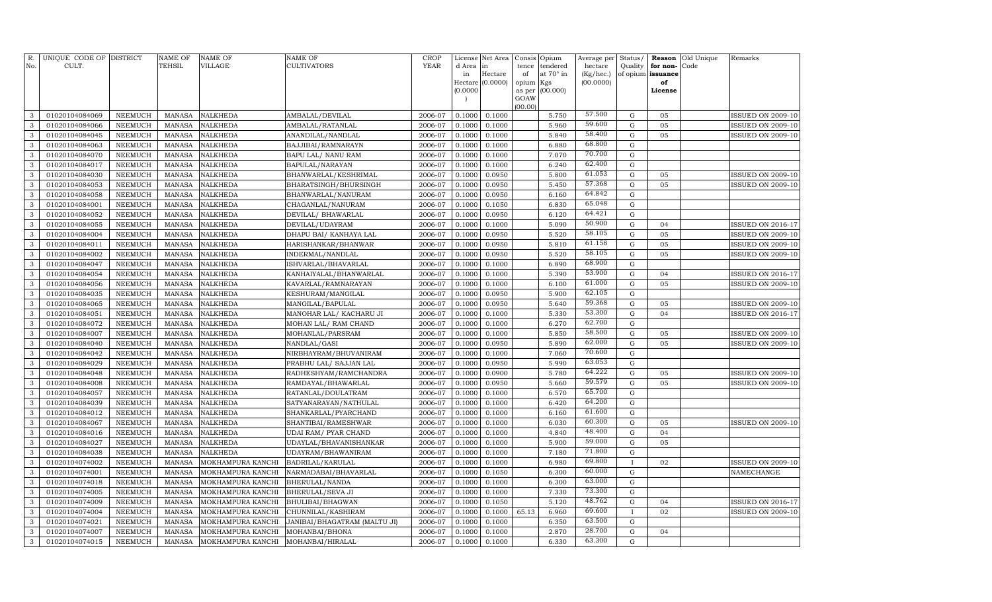| R.<br>No.    | UNIQUE CODE OF DISTRICT<br>CULT. |                                  | <b>NAME OF</b><br>TEHSIL       | <b>NAME OF</b><br><b>VILLAGE</b>       | NAME OF<br><b>CULTIVATORS</b>          | <b>CROP</b><br><b>YEAR</b> | License<br>d Area | Net Area<br>in   | Consis<br>tence | Opium<br>tendered | Average per<br>hectare | Status/<br>Quality     | Reason<br>for non- | Old Unique<br>Code | Remarks                  |
|--------------|----------------------------------|----------------------------------|--------------------------------|----------------------------------------|----------------------------------------|----------------------------|-------------------|------------------|-----------------|-------------------|------------------------|------------------------|--------------------|--------------------|--------------------------|
|              |                                  |                                  |                                |                                        |                                        |                            | in                | Hectare          | of              | at 70° in         | (Kg/hec.)              |                        | of opium issuance  |                    |                          |
|              |                                  |                                  |                                |                                        |                                        |                            |                   | Hectare (0.0000) | opium           | Kgs               | (00.0000)              |                        | of                 |                    |                          |
|              |                                  |                                  |                                |                                        |                                        |                            | (0.0000)          |                  | as per          | (00.000)          |                        |                        | License            |                    |                          |
|              |                                  |                                  |                                |                                        |                                        |                            |                   |                  | GOAW<br>(00.00) |                   |                        |                        |                    |                    |                          |
| 3            | 01020104084069                   | <b>NEEMUCH</b>                   | <b>MANASA</b>                  | <b>NALKHEDA</b>                        | AMBALAL/DEVILAL                        | 2006-07                    | 0.1000            | 0.1000           |                 | 5.750             | 57.500                 | ${\bf G}$              | 05                 |                    | <b>ISSUED ON 2009-10</b> |
| 3            | 01020104084066                   | <b>NEEMUCH</b>                   | <b>MANASA</b>                  | NALKHEDA                               | AMBALAL/RATANLAL                       | 2006-07                    | 0.1000            | 0.1000           |                 | 5.960             | 59.600                 | ${\rm G}$              | 05                 |                    | <b>ISSUED ON 2009-10</b> |
| 3            | 01020104084045                   | <b>NEEMUCH</b>                   | <b>MANASA</b>                  | <b>NALKHEDA</b>                        | ANANDILAL/NANDLAL                      | 2006-07                    | 0.1000            | 0.1000           |                 | 5.840             | 58.400                 | ${\bf G}$              | 05                 |                    | <b>ISSUED ON 2009-10</b> |
| 3            | 01020104084063                   | <b>NEEMUCH</b>                   | <b>MANASA</b>                  | <b>NALKHEDA</b>                        | BAJJIBAI/RAMNARAYN                     | 2006-07                    | 0.1000            | 0.1000           |                 | 6.880             | 68.800                 | ${\rm G}$              |                    |                    |                          |
| 3            | 01020104084070                   | <b>NEEMUCH</b>                   | <b>MANASA</b>                  | NALKHEDA                               | BAPU LAL/ NANU RAM                     | 2006-07                    | 0.1000            | 0.1000           |                 | 7.070             | 70.700                 | ${\rm G}$              |                    |                    |                          |
| 3            | 01020104084017                   | <b>NEEMUCH</b>                   | <b>MANASA</b>                  | NALKHEDA                               | BAPULAL/NARAYAN                        | 2006-07                    | 0.1000            | 0.1000           |                 | 6.240             | 62.400                 | ${\rm G}$              |                    |                    |                          |
| 3            | 01020104084030                   | <b>NEEMUCH</b>                   | <b>MANASA</b>                  | NALKHEDA                               | BHANWARLAL/KESHRIMAL                   | 2006-07                    | 0.1000            | 0.0950           |                 | 5.800             | 61.053                 | ${\rm G}$              | 05                 |                    | ISSUED ON 2009-10        |
| 3            | 01020104084053                   | <b>NEEMUCH</b>                   | <b>MANASA</b>                  | NALKHEDA                               | BHARATSINGH/BHURSINGH                  | 2006-07                    | 0.1000            | 0.0950           |                 | 5.450             | 57.368                 | ${\bf G}$              | 05                 |                    | ISSUED ON 2009-10        |
| 3            | 01020104084058                   | <b>NEEMUCH</b>                   | <b>MANASA</b>                  | NALKHEDA                               | BHANWARLAL/NANURAM                     | 2006-07                    | 0.1000            | 0.0950           |                 | 6.160             | 64.842                 | $\mathbf G$            |                    |                    |                          |
| 3            | 01020104084001                   | <b>NEEMUCH</b>                   | <b>MANASA</b>                  | <b>NALKHEDA</b>                        | CHAGANLAL/NANURAM                      | 2006-07                    | 0.1000            | 0.1050           |                 | 6.830             | 65.048                 | $\mathbf G$            |                    |                    |                          |
| 3            | 01020104084052                   | <b>NEEMUCH</b>                   | <b>MANASA</b>                  | <b>NALKHEDA</b>                        | DEVILAL/ BHAWARLAL                     | 2006-07                    | 0.1000            | 0.0950           |                 | 6.120             | 64.421                 | ${\bf G}$              |                    |                    |                          |
| 3            | 01020104084055                   | <b>NEEMUCH</b>                   | <b>MANASA</b>                  | <b>NALKHEDA</b>                        | DEVILAL/UDAYRAM                        | 2006-07                    | 0.1000            | 0.1000           |                 | 5.090             | 50.900                 | ${\bf G}$              | 04                 |                    | ISSUED ON 2016-17        |
| 3            | 01020104084004                   | <b>NEEMUCH</b>                   | <b>MANASA</b>                  | NALKHEDA                               | DHAPU BAI/ KANHAYA LAL                 | 2006-07                    | 0.1000            | 0.0950           |                 | 5.520             | 58.105                 | $\mathbf G$            | 05                 |                    | <b>ISSUED ON 2009-10</b> |
| 3            | 01020104084011                   | <b>NEEMUCH</b>                   | <b>MANASA</b>                  | <b>NALKHEDA</b>                        | HARISHANKAR/BHANWAR                    | 2006-07                    | 0.1000            | 0.0950           |                 | 5.810             | 61.158                 | ${\bf G}$              | 05                 |                    | <b>ISSUED ON 2009-10</b> |
| 3            | 01020104084002                   | <b>NEEMUCH</b>                   | <b>MANASA</b>                  | NALKHEDA                               | INDERMAL/NANDLAL                       | 2006-07                    | 0.1000            | 0.0950           |                 | 5.520             | 58.105                 | ${\bf G}$              | 05                 |                    | <b>ISSUED ON 2009-10</b> |
| 3            | 01020104084047                   | <b>NEEMUCH</b>                   | <b>MANASA</b>                  | NALKHEDA                               | ISHVARLAL/BHAVARLAL                    | 2006-07                    | 0.1000            | 0.1000           |                 | 6.890             | 68.900                 | ${\bf G}$              |                    |                    |                          |
| 3            | 01020104084054                   | <b>NEEMUCH</b>                   | <b>MANASA</b>                  | NALKHEDA                               | KANHAIYALAL/BHANWARLAL                 | 2006-07                    | 0.1000            | 0.1000           |                 | 5.390             | 53.900                 | ${\bf G}$              | 04                 |                    | <b>ISSUED ON 2016-17</b> |
| $\mathbf{3}$ | 01020104084056                   | <b>NEEMUCH</b>                   | <b>MANASA</b>                  | NALKHEDA                               | KAVARLAL/RAMNARAYAN                    | 2006-07                    | 0.1000            | 0.1000           |                 | 6.100             | 61.000                 | ${\bf G}$              | 05                 |                    | <b>ISSUED ON 2009-10</b> |
| 3            | 01020104084035                   | <b>NEEMUCH</b>                   | <b>MANASA</b>                  | NALKHEDA                               | KESHURAM/MANGILAL                      | 2006-07                    | 0.1000            | 0.0950           |                 | 5.900             | 62.105                 | ${\bf G}$              |                    |                    |                          |
| $\mathbf{3}$ | 01020104084065                   | <b>NEEMUCH</b>                   | <b>MANASA</b>                  | NALKHEDA                               | MANGILAL/BAPULAL                       | 2006-07                    | 0.1000            | 0.0950           |                 | 5.640             | 59.368                 | ${\bf G}$              | 05                 |                    | <b>ISSUED ON 2009-10</b> |
| 3            | 01020104084051                   | NEEMUCH                          | <b>MANASA</b>                  | NALKHEDA                               | MANOHAR LAL/ KACHARU JI                | 2006-07                    | 0.1000            | 0.1000           |                 | 5.330             | 53.300                 | $\mathbf G$            | 04                 |                    | ISSUED ON 2016-17        |
| 3            | 01020104084072                   | <b>NEEMUCH</b>                   | <b>MANASA</b>                  | <b>NALKHEDA</b>                        | MOHAN LAL/ RAM CHAND                   | 2006-07                    | 0.1000            | 0.1000           |                 | 6.270             | 62.700                 | ${\bf G}$              |                    |                    |                          |
| 3            | 01020104084007                   | NEEMUCH                          | MANASA                         | <b>NALKHEDA</b>                        | MOHANLAL/PARSRAM                       | 2006-07                    | 0.1000            | 0.1000           |                 | 5.850             | 58.500                 | $\mathbf G$            | 05                 |                    | <b>ISSUED ON 2009-10</b> |
| 3            | 01020104084040                   | <b>NEEMUCH</b>                   | <b>MANASA</b>                  | <b>NALKHEDA</b>                        | NANDLAL/GASI                           | 2006-07                    | 0.1000            | 0.0950           |                 | 5.890             | 62.000                 | ${\bf G}$              | 05                 |                    | <b>ISSUED ON 2009-10</b> |
| 3            | 01020104084042                   | <b>NEEMUCH</b>                   | <b>MANASA</b>                  | NALKHEDA                               | NIRBHAYRAM/BHUVANIRAM                  | 2006-07                    | 0.1000            | 0.1000           |                 | 7.060             | 70.600                 | ${\bf G}$              |                    |                    |                          |
| 3            | 01020104084029                   | <b>NEEMUCH</b>                   | <b>MANASA</b>                  | NALKHEDA                               | PRABHU LAL/ SAJJAN LAL                 | 2006-07                    | 0.1000            | 0.0950           |                 | 5.990             | 63.053                 | ${\bf G}$              |                    |                    |                          |
| 3            | 01020104084048                   | <b>NEEMUCH</b>                   | <b>MANASA</b>                  | NALKHEDA                               | RADHESHYAM/RAMCHANDRA                  | 2006-07                    | 0.1000            | 0.0900           |                 | 5.780             | 64.222                 | ${\bf G}$              | 05                 |                    | <b>ISSUED ON 2009-10</b> |
| 3            | 01020104084008                   | <b>NEEMUCH</b>                   | <b>MANASA</b>                  | NALKHEDA                               | RAMDAYAL/BHAWARLAL                     | 2006-07                    | 0.1000            | 0.0950           |                 | 5.660             | 59.579                 | $\mathbf G$            | 05                 |                    | <b>ISSUED ON 2009-10</b> |
| 3            | 01020104084057                   | <b>NEEMUCH</b>                   | <b>MANASA</b>                  | NALKHEDA                               | RATANLAL/DOULATRAM                     | 2006-07                    | 0.1000            | 0.1000           |                 | 6.570             | 65.700                 | ${\bf G}$              |                    |                    |                          |
| $\mathbf{3}$ | 01020104084039                   | <b>NEEMUCH</b>                   | <b>MANASA</b>                  | NALKHEDA                               | SATYANARAYAN/NATHULAL                  | 2006-07                    | 0.1000            | 0.1000           |                 | 6.420             | 64.200                 | ${\bf G}$              |                    |                    |                          |
| 3            | 01020104084012                   | <b>NEEMUCH</b>                   | <b>MANASA</b>                  | NALKHEDA                               | SHANKARLAL/PYARCHAND                   | 2006-07                    | 0.1000            | 0.1000           |                 | 6.160             | 61.600<br>60.300       | ${\bf G}$              |                    |                    |                          |
| 3            | 01020104084067                   | NEEMUCH                          | <b>MANASA</b>                  | NALKHEDA                               | SHANTIBAI/RAMESHWAR                    | 2006-07                    | 0.1000            | 0.1000           |                 | 6.030             | 48.400                 | $\mathbf G$            | 05                 |                    | <b>ISSUED ON 2009-10</b> |
| 3            | 01020104084016                   | NEEMUCH                          | <b>MANASA</b>                  | NALKHEDA                               | UDAI RAM/ PYAR CHAND                   | 2006-07                    | 0.1000            | 0.1000           |                 | 4.840             | 59.000                 | ${\bf G}$              | 04<br>05           |                    |                          |
| 3<br>3       | 01020104084027                   | <b>NEEMUCH</b>                   | <b>MANASA</b>                  | NALKHEDA                               | UDAYLAL/BHAVANISHANKAR                 | 2006-07                    | 0.1000            | 0.1000           |                 | 5.900             | 71.800                 | $\mathbf G$            |                    |                    |                          |
|              | 01020104084038                   | <b>NEEMUCH</b>                   | <b>MANASA</b>                  | NALKHEDA                               | UDAYRAM/BHAWANIRAM                     | 2006-07                    | 0.1000            | 0.1000           |                 | 7.180             | 69.800                 | $\mathbf G$            |                    |                    |                          |
| 3            | 01020104074002                   | <b>NEEMUCH</b>                   | <b>MANASA</b>                  | MOKHAMPURA KANCHI                      | BADRILAL/KARULAL                       | 2006-07                    | 0.1000            | 0.1000           |                 | 6.980             | 60.000                 |                        | 02                 |                    | <b>ISSUED ON 2009-10</b> |
| 3<br>3       | 01020104074001<br>01020104074018 | <b>NEEMUCH</b><br><b>NEEMUCH</b> | <b>MANASA</b><br><b>MANASA</b> | MOKHAMPURA KANCHI<br>MOKHAMPURA KANCHI | NARMADABAI/BHAVARLAL                   | 2006-07<br>2006-07         | 0.1000<br>0.1000  | 0.1050<br>0.1000 |                 | 6.300<br>6.300    | 63.000                 | ${\bf G}$<br>${\bf G}$ |                    |                    | NAMECHANGE               |
| 3            | 01020104074005                   | <b>NEEMUCH</b>                   | MANASA                         | MOKHAMPURA KANCHI                      | BHERULAL/NANDA                         | 2006-07                    | 0.1000            | 0.1000           |                 | 7.330             | 73.300                 | $\mathbf G$            |                    |                    |                          |
| 3            | 01020104074009                   | <b>NEEMUCH</b>                   | <b>MANASA</b>                  | MOKHAMPURA KANCHI                      | BHERULAL/SEVA JI                       | 2006-07                    | 0.1000            | 0.1050           |                 | 5.120             | 48.762                 | ${\bf G}$              | 04                 |                    | <b>ISSUED ON 2016-17</b> |
| 3            | 01020104074004                   | <b>NEEMUCH</b>                   | <b>MANASA</b>                  | MOKHAMPURA KANCHI                      | BHULIBAI/BHAGWAN<br>CHUNNILAL/KASHIRAM | 2006-07                    | 0.1000            | 0.1000           | 65.13           | 6.960             | 69.600                 | $\mathbf{I}$           | 02                 |                    | <b>ISSUED ON 2009-10</b> |
| $\mathbf{3}$ | 01020104074021                   | <b>NEEMUCH</b>                   | <b>MANASA</b>                  | MOKHAMPURA KANCHI                      | JANIBAI/BHAGATRAM (MALTU JI)           | 2006-07                    | 0.1000            | 0.1000           |                 | 6.350             | 63.500                 | ${\bf G}$              |                    |                    |                          |
| 3            | 01020104074007                   | NEEMUCH                          | <b>MANASA</b>                  | MOKHAMPURA KANCHI                      | MOHANBAI/BHONA                         | 2006-07                    | 0.1000            | 0.1000           |                 | 2.870             | 28.700                 | ${\bf G}$              | 04                 |                    |                          |
| $\mathbf{3}$ | 01020104074015                   | <b>NEEMUCH</b>                   | <b>MANASA</b>                  | MOKHAMPURA KANCHI                      | MOHANBAI/HIRALAL                       | 2006-07                    | 0.1000            | 0.1000           |                 | 6.330             | 63.300                 | G                      |                    |                    |                          |
|              |                                  |                                  |                                |                                        |                                        |                            |                   |                  |                 |                   |                        |                        |                    |                    |                          |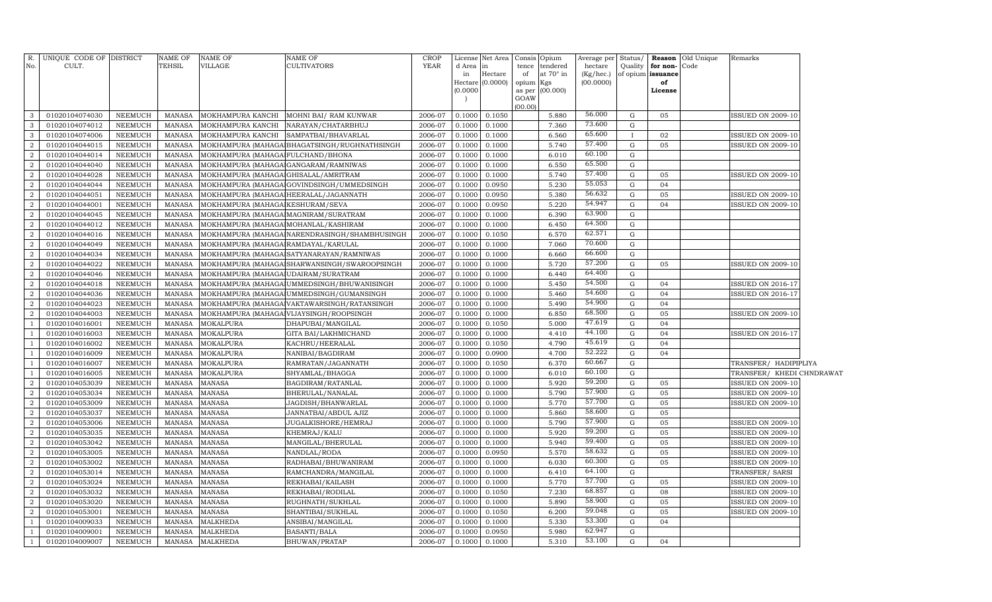|                | R. UNIQUE CODE OF DISTRICT       |                           | NAME OF                 | <b>NAME OF</b>                       | NAME OF                                       | CROP               |                  | License Net Area Consis     |                 | Opium            | Average per            | Status/      |                         | <b>Reason</b> Old Unique | Remarks                   |  |
|----------------|----------------------------------|---------------------------|-------------------------|--------------------------------------|-----------------------------------------------|--------------------|------------------|-----------------------------|-----------------|------------------|------------------------|--------------|-------------------------|--------------------------|---------------------------|--|
| No.            | CULT.                            |                           | TEHSIL                  | VILLAGE                              | <b>CULTIVATORS</b>                            | YEAR               | d Area in        |                             | tence           | tendered         | hectare                | Quality      | for non-Code            |                          |                           |  |
|                |                                  |                           |                         |                                      |                                               |                    | in               | Hectare<br>Hectare (0.0000) | of<br>opium Kgs | at $70^\circ$ in | (Kg/hec.)<br>(00.0000) |              | of opium issuance<br>of |                          |                           |  |
|                |                                  |                           |                         |                                      |                                               |                    | (0.0000)         |                             | as per          | (00.000)         |                        |              | License                 |                          |                           |  |
|                |                                  |                           |                         |                                      |                                               |                    |                  |                             | GOAW            |                  |                        |              |                         |                          |                           |  |
| 3              | 01020104074030                   | NEEMUCH                   | MANASA                  |                                      | MOKHAMPURA KANCHI MOHNI BAI/RAM KUNWAR        | 2006-07            | 0.1000           | 0.1050                      | (00.00)         | 5.880            | 56.000                 | $\mathbf G$  | 05                      |                          | <b>ISSUED ON 2009-10</b>  |  |
| 3              | 01020104074012                   | NEEMUCH                   | <b>MANASA</b>           |                                      | MOKHAMPURA KANCHI NARAYAN/CHATARBHUJ          | 2006-07            | 0.1000           | 0.1000                      |                 | 7.360            | 73.600                 | ${\rm G}$    |                         |                          |                           |  |
| 3              | 01020104074006                   | NEEMUCH                   | MANASA                  |                                      | MOKHAMPURA KANCHI SAMPATBAI/BHAVARLAL         | 2006-07            | 0.1000           | 0.1000                      |                 | 6.560            | 65.600                 | $\mathbf{I}$ | 02                      |                          | <b>ISSUED ON 2009-10</b>  |  |
| $\overline{2}$ | 01020104044015                   | NEEMUCH                   | MANASA                  |                                      | MOKHAMPURA (MAHAGA BHAGATSINGH/RUGHNATHSINGH  | 2006-07            | 0.1000           | 0.1000                      |                 | 5.740            | 57.400                 | $\mathbf G$  | 05                      |                          | <b>ISSUED ON 2009-10</b>  |  |
| $\overline{2}$ | 01020104044014                   | NEEMUCH                   | MANASA                  | MOKHAMPURA (MAHAGA FULCHAND/BHONA    |                                               | 2006-07            | 0.1000           | 0.1000                      |                 | 6.010            | 60.100                 | ${\rm G}$    |                         |                          |                           |  |
| $\overline{2}$ | 01020104044040                   | NEEMUCH                   | <b>MANASA</b>           |                                      | MOKHAMPURA (MAHAGA GANGARAM/RAMNIWAS          | 2006-07            | 0.1000           | 0.1000                      |                 | 6.550            | 65.500                 | G            |                         |                          |                           |  |
| $\overline{2}$ | 01020104044028                   | NEEMUCH                   | <b>MANASA</b>           | MOKHAMPURA (MAHAGA GHISALAL/AMRITRAM |                                               | 2006-07            | 0.1000           | 0.1000                      |                 | 5.740            | 57.400                 | $\mathbf G$  | 05                      |                          | <b>ISSUED ON 2009-10</b>  |  |
| $\overline{2}$ | 01020104044044                   | NEEMUCH                   | MANASA                  |                                      | MOKHAMPURA (MAHAGA GOVINDSINGH/UMMEDSINGH     | 2006-07            | 0.1000           | 0.0950                      |                 | 5.230            | 55.053                 | G            | 04                      |                          |                           |  |
| $\overline{2}$ | 01020104044051                   | NEEMUCH                   | MANASA                  |                                      | MOKHAMPURA (MAHAGA HEERALAL/JAGANNATH         | 2006-07            | 0.1000           | 0.0950                      |                 | 5.380            | 56.632                 | $\mathbf G$  | 05                      |                          | <b>ISSUED ON 2009-10</b>  |  |
| $\overline{2}$ | 01020104044001                   | NEEMUCH                   | <b>MANASA</b>           | MOKHAMPURA (MAHAGA KESHURAM/SEVA     |                                               | 2006-07            | 0.1000           | 0.0950                      |                 | 5.220            | 54.947                 | $\mathbf G$  | 04                      |                          | <b>ISSUED ON 2009-10</b>  |  |
| $\overline{2}$ | 01020104044045                   | NEEMUCH                   | MANASA                  |                                      | MOKHAMPURA (MAHAGA MAGNIRAM/SURATRAM          | 2006-07            | 0.1000           | 0.1000                      |                 | 6.390            | 63.900                 | $\mathbf G$  |                         |                          |                           |  |
| $\overline{2}$ | 01020104044012                   | NEEMUCH                   | <b>MANASA</b>           | MOKHAMPURA (MAHAGA MOHANLAL/KASHIRAM |                                               | 2006-07            | 0.1000           | 0.1000                      |                 | 6.450            | 64.500                 | $\mathbf G$  |                         |                          |                           |  |
| $\overline{2}$ | 01020104044016                   | NEEMUCH                   | <b>MANASA</b>           |                                      | MOKHAMPURA (MAHAGA NARENDRASINGH/SHAMBHUSINGH | 2006-07            | 0.1000           | 0.1050                      |                 | 6.570            | 62.571                 | G            |                         |                          |                           |  |
| $\overline{2}$ | 01020104044049                   | NEEMUCH                   | <b>MANASA</b>           | MOKHAMPURA (MAHAGA RAMDAYAL/KARULAL  |                                               | 2006-07            | 0.1000           | 0.1000                      |                 | 7.060            | 70.600                 | $\mathbf G$  |                         |                          |                           |  |
| $\overline{2}$ | 01020104044034                   | NEEMUCH                   | MANASA                  |                                      | MOKHAMPURA (MAHAGA SATYANARAYAN / RAMNIWAS    | 2006-07            | 0.1000           | 0.1000                      |                 | 6.660            | 66.600                 | ${\rm G}$    |                         |                          |                           |  |
| $\overline{a}$ | 01020104044022                   | NEEMUCH                   | <b>MANASA</b>           |                                      | MOKHAMPURA (MAHAGA SHARWANSINGH/SWAROOPSINGH  | 2006-07            | 0.1000           | 0.1000                      |                 | 5.720            | 57.200                 | $\mathbf G$  | 05                      |                          | <b>ISSUED ON 2009-10</b>  |  |
| $\overline{2}$ | 01020104044046                   | NEEMUCH                   | MANASA                  | MOKHAMPURA (MAHAGA UDAIRAM/SURATRAM  |                                               | 2006-07            | 0.1000           | 0.1000                      |                 | 6.440            | 64.400                 | ${\rm G}$    |                         |                          |                           |  |
| $\overline{2}$ | 01020104044018                   | NEEMUCH                   | MANASA                  |                                      | MOKHAMPURA (MAHAGA UMMEDSINGH/BHUWANISINGH    | 2006-07            | 0.1000           | 0.1000                      |                 | 5.450            | 54.500                 | G            | 0 <sub>4</sub>          |                          | ISSUED ON 2016-17         |  |
| $\overline{2}$ | 01020104044036                   | NEEMUCH                   | MANASA                  |                                      | MOKHAMPURA (MAHAGA UMMEDSINGH/GUMANSINGH      | 2006-07            | 0.1000           | 0.1000                      |                 | 5.460            | 54.600                 | G            | 04                      |                          | ISSUED ON 2016-17         |  |
| $\overline{2}$ | 01020104044023                   | <b>NEEMUCH</b>            | MANASA                  |                                      | MOKHAMPURA (MAHAGA VAKTAWARSINGH/RATANSINGH   | 2006-07            | 0.100C           | 0.1000                      |                 | 5.490            | 54.900                 | G            | 0 <sub>4</sub>          |                          |                           |  |
| $\overline{2}$ | 01020104044003                   | <b>NEEMUCH</b>            | MANASA                  |                                      | MOKHAMPURA (MAHAGA VIJAYSINGH/ROOPSINGH       | 2006-07            | 0.1000           | 0.1000                      |                 | 6.850            | 68.500                 | G            | 05                      |                          | <b>ISSUED ON 2009-10</b>  |  |
|                | 01020104016001                   | NEEMUCH                   | MANASA                  | MOKALPURA                            | DHAPUBAI/MANGILAL                             | 2006-07            | 0.1000           | 0.1050                      |                 | 5.000            | 47.619                 | G            | 04                      |                          |                           |  |
|                | 01020104016003                   | NEEMUCH                   | MANASA                  | MOKALPURA                            | GITA BAI/LAKHMICHAND                          | 2006-07            | 0.1000           | 0.1000                      |                 | 4.410            | 44.100                 | G            | 04                      |                          | <b>ISSUED ON 2016-17</b>  |  |
|                | 01020104016002                   | <b>NEEMUCH</b>            | MANASA                  | MOKALPURA                            | KACHRU/HEERALAL                               | 2006-07            | 0.1000           | 0.1050                      |                 | 4.790            | 45.619                 | $\mathbf G$  | 04                      |                          |                           |  |
|                | 01020104016009                   | NEEMUCH                   | <b>MANASA</b>           | MOKALPURA                            | NANIBAI/BAGDIRAM                              | 2006-07            | 0.1000           | 0.0900                      |                 | 4.700            | 52.222                 | $\mathbf G$  | 04                      |                          |                           |  |
|                | 01020104016007                   | NEEMUCH                   | MANASA                  | MOKALPURA                            | RAMRATAN/JAGANNATH                            | 2006-07            | 0.1000           | 0.1050                      |                 | 6.370            | 60.667                 | G            |                         |                          | TRANSFER/ HADIPIPLIYA     |  |
|                | 01020104016005                   | NEEMUCH                   | <b>MANASA</b>           | MOKALPURA                            | SHYAMLAL/BHAGGA                               | 2006-07            | 0.1000           | 0.1000                      |                 | 6.010            | 60.100                 | ${\rm G}$    |                         |                          | TRANSFER/ KHEDI CHNDRAWAT |  |
| $\overline{2}$ | 01020104053039                   | <b>NEEMUCH</b>            | <b>MANASA</b>           | <b>MANASA</b>                        | BAGDIRAM/RATANLAL                             | 2006-07            | 0.1000           | 0.1000                      |                 | 5.920            | 59.200                 | $\mathbf G$  | 05                      |                          | <b>ISSUED ON 2009-10</b>  |  |
| $\overline{2}$ | 01020104053034                   | NEEMUCH                   | <b>MANASA</b>           | MANASA                               | BHERULAL/NANALAL                              | 2006-07            | 0.1000           | 0.1000                      |                 | 5.790            | 57.900                 | ${\rm G}$    | 05                      |                          | <b>ISSUED ON 2009-10</b>  |  |
| $\overline{2}$ | 01020104053009                   | NEEMUCH                   | MANASA                  | MANASA                               | JAGDISH/BHANWARLAL                            | 2006-07            | 0.1000           | 0.1000                      |                 | 5.770            | 57.700                 | G            | 05                      |                          | <b>ISSUED ON 2009-10</b>  |  |
| $\overline{2}$ | 01020104053037                   | NEEMUCH                   | <b>MANASA</b>           | MANASA                               | JANNATBAI/ABDUL AJIZ                          | 2006-07            | 0.1000           | 0.1000                      |                 | 5.860            | 58.600                 | G            | 05                      |                          |                           |  |
| $\overline{2}$ | 01020104053006                   | NEEMUCH                   | <b>MANASA</b>           | MANASA                               | JUGALKISHORE/HEMRAJ                           | 2006-07            | 0.1000           | 0.1000                      |                 | 5.790            | 57.900                 | G            | 05                      |                          | <b>ISSUED ON 2009-10</b>  |  |
| $\overline{2}$ | 01020104053035                   | NEEMUCH                   | <b>MANASA</b>           | MANASA                               | KHEMRAJ/KALU                                  | 2006-07            | 0.1000           | 0.1000                      |                 | 5.920            | 59.200                 | G            | 05                      |                          | <b>ISSUED ON 2009-10</b>  |  |
| $\overline{2}$ | 01020104053042                   | NEEMUCH                   | <b>MANASA</b>           | MANASA                               | MANGILAL/BHERULAL                             | 2006-07            | 0.1000           | 0.1000                      |                 | 5.940            | 59.400                 | G            | 05                      |                          | <b>ISSUED ON 2009-10</b>  |  |
| $\overline{2}$ | 01020104053005                   | NEEMUCH                   | <b>MANASA</b>           | MANASA                               | NANDLAL/RODA                                  | 2006-07            | 0.1000           | 0.0950                      |                 | 5.570            | 58.632                 | G            | 05                      |                          | <b>ISSUED ON 2009-10</b>  |  |
| $\overline{2}$ | 01020104053002                   | NEEMUCH                   | <b>MANASA</b>           | <b>MANASA</b>                        | RADHABAI/BHUWANIRAM                           | 2006-07            | 0.1000           | 0.1000                      |                 | 6.030            | 60.300                 | $\mathbf G$  | 05                      |                          | <b>ISSUED ON 2009-10</b>  |  |
| $\overline{2}$ | 01020104053014                   | NEEMUCH                   | <b>MANASA</b>           | <b>MANASA</b>                        | RAMCHANDRA/MANGILAL                           | 2006-07            | 0.1000           | 0.1000                      |                 | 6.410            | 64.100                 | G            |                         |                          | TRANSFER/ SARSI           |  |
| $\overline{2}$ | 01020104053024                   | NEEMUCH                   | <b>MANASA</b>           | <b>MANASA</b>                        | REKHABAI/KAILASH                              | 2006-07            | 0.1000           | 0.1000                      |                 | 5.770            | 57.700                 | $\mathbf G$  | 05                      |                          | <b>ISSUED ON 2009-10</b>  |  |
| $\overline{2}$ | 01020104053032                   | NEEMUCH                   | MANASA                  | <b>MANASA</b>                        | REKHABAI/RODILAL                              | 2006-07            | 0.1000           | 0.1050                      |                 | 7.230            | 68.857<br>58.900       | $\mathbf G$  | 08                      |                          | <b>ISSUED ON 2009-10</b>  |  |
| $\overline{2}$ | 01020104053020                   | NEEMUCH                   | MANASA                  | <b>MANASA</b>                        | RUGHNATH/SUKHLAL                              | 2006-07            | 0.1000           | 0.1000                      |                 | 5.890            | 59.048                 | G            | 05                      |                          | <b>ISSUED ON 2009-10</b>  |  |
| $\overline{2}$ | 01020104053001<br>01020104009033 | NEEMUCH<br><b>NEEMUCH</b> | MANASA<br><b>MANASA</b> | <b>MANASA</b><br><b>MALKHEDA</b>     | SHANTIBAI/SUKHLAL<br>ANSIBAI/MANGILAL         | 2006-07<br>2006-07 | 0.1000<br>0.1000 | 0.1050<br>0.1000            |                 | 6.200<br>5.330   | 53.300                 | G<br>G       | 05<br>04                |                          | <b>ISSUED ON 2009-10</b>  |  |
|                | 01020104009001                   | <b>NEEMUCH</b>            | MANASA                  | <b>MALKHEDA</b>                      | <b>BASANTI/BALA</b>                           | 2006-07            | 0.1000           | 0.0950                      |                 | 5.980            | 62.947                 | G            |                         |                          |                           |  |
|                | 01020104009007                   | <b>NEEMUCH</b>            |                         | MANASA MALKHEDA                      |                                               | 2006-07            | 0.1000           | 0.1000                      |                 | 5.310            | 53.100                 | $\mathbf G$  | 04                      |                          |                           |  |
| $\mathbf{1}$   |                                  |                           |                         |                                      | BHUWAN/PRATAP                                 |                    |                  |                             |                 |                  |                        |              |                         |                          |                           |  |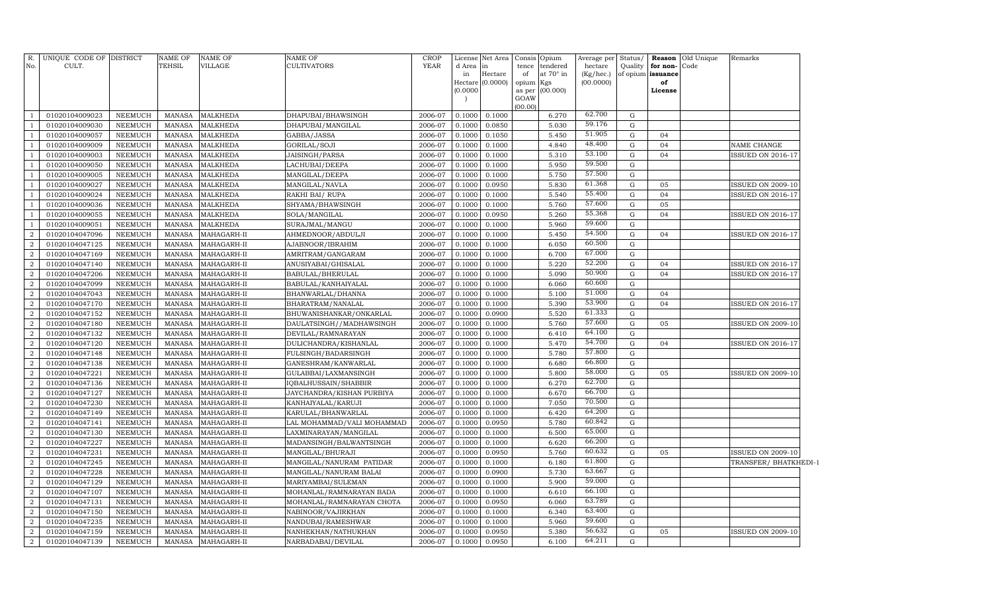| R.<br>No.            | UNIQUE CODE OF DISTRICT<br>CULT. |                           | NAME OF<br>TEHSIL              | <b>NAME OF</b><br>VILLAGE | NAME OF<br>CULTIVATORS                | CROP<br><b>YEAR</b> | d Area           | License Net Area<br>in      | Consis<br>tence     | Opium<br>tendered | Average per<br>hectare | Status/<br>Quality | for non-Code            | Reason Old Unique | Remarks                  |  |
|----------------------|----------------------------------|---------------------------|--------------------------------|---------------------------|---------------------------------------|---------------------|------------------|-----------------------------|---------------------|-------------------|------------------------|--------------------|-------------------------|-------------------|--------------------------|--|
|                      |                                  |                           |                                |                           |                                       |                     | in               | Hectare<br>Hectare (0.0000) | of                  | at 70° in         | (Kg/hec.)<br>(00.0000) |                    | of opium issuance<br>of |                   |                          |  |
|                      |                                  |                           |                                |                           |                                       |                     | (0.0000)         |                             | opium Kgs<br>as per | (00.000)          |                        |                    | License                 |                   |                          |  |
|                      |                                  |                           |                                |                           |                                       |                     |                  |                             | GOAW                |                   |                        |                    |                         |                   |                          |  |
|                      |                                  |                           |                                |                           |                                       |                     |                  |                             | (00.00)             |                   |                        |                    |                         |                   |                          |  |
| $\overline{1}$       | 01020104009023                   | <b>NEEMUCH</b>            | MANASA                         | <b>MALKHEDA</b>           | DHAPUBAI/BHAWSINGH                    | 2006-07             | 0.1000           | 0.1000                      |                     | 6.270             | 62.700                 | G                  |                         |                   |                          |  |
| -1                   | 01020104009030                   | <b>NEEMUCH</b>            | MANASA                         | <b>MALKHEDA</b>           | DHAPUBAI/MANGILAL                     | 2006-07             | 0.1000           | 0.0850                      |                     | 5.030             | 59.176                 | $\mathbf G$        |                         |                   |                          |  |
| -1                   | 01020104009057                   | <b>NEEMUCH</b>            | MANASA                         | <b>MALKHEDA</b>           | GABBA/JASSA                           | 2006-07             | 0.1000           | 0.1050                      |                     | 5.450             | 51.905<br>48.400       | G                  | 04                      |                   |                          |  |
| -1                   | 01020104009009                   | <b>NEEMUCH</b>            | MANASA                         | <b>MALKHEDA</b>           | GORILAL/SOJI                          | 2006-07             | 0.1000           | 0.1000                      |                     | 4.840             | 53.100                 | G                  | 04                      |                   | NAME CHANGE              |  |
| $\overline{1}$       | 01020104009003                   | NEEMUCH                   | <b>MANASA</b>                  | <b>MALKHEDA</b>           | <b>JAISINGH/PARSA</b>                 | 2006-07             | 0.1000           | 0.1000                      |                     | 5.310             | 59.500                 | G                  | 04                      |                   | <b>ISSUED ON 2016-17</b> |  |
| -1                   | 01020104009050                   | NEEMUCH                   | MANASA                         | <b>MALKHEDA</b>           | LACHUBAI/DEEPA                        | 2006-07             | 0.1000           | 0.1000                      |                     | 5.950             | 57.500                 | G                  |                         |                   |                          |  |
| -1                   | 01020104009005                   | NEEMUCH                   | <b>MANASA</b>                  | <b>MALKHEDA</b>           | MANGILAL/DEEPA                        | 2006-07             | 0.1000           | 0.1000                      |                     | 5.750             | 61.368                 | G                  |                         |                   |                          |  |
| -1<br>$\overline{1}$ | 01020104009027                   | <b>NEEMUCH</b>            | <b>MANASA</b>                  | <b>MALKHEDA</b>           | MANGILAL/NAVLA                        | 2006-07             | 0.1000           | 0.0950                      |                     | 5.830             | 55.400                 | G                  | 05<br>04                |                   | ISSUED ON 2009-10        |  |
| $\overline{1}$       | 01020104009024                   | NEEMUCH<br><b>NEEMUCH</b> | <b>MANASA</b><br><b>MANASA</b> | MALKHEDA                  | RAKHI BAI/RUPA                        | 2006-07<br>2006-07  | 0.1000<br>0.1000 | 0.1000                      |                     | 5.540<br>5.760    | 57.600                 | ${\rm G}$<br>G     | 05                      |                   | ISSUED ON 2016-17        |  |
| $\overline{1}$       | 01020104009036                   | <b>NEEMUCH</b>            | <b>MANASA</b>                  | MALKHEDA<br>MALKHEDA      | SHYAMA/BHAWSINGH                      | 2006-07             | 0.1000           | 0.1000                      |                     | 5.260             | 55.368                 | G                  | 04                      |                   | <b>ISSUED ON 2016-17</b> |  |
| $\overline{1}$       | 01020104009055<br>01020104009051 | NEEMUCH                   | MANASA                         | MALKHEDA                  | SOLA/MANGILAL                         | 2006-07             | 0.1000           | 0.0950<br>0.1000            |                     | 5.960             | 59.600                 | G                  |                         |                   |                          |  |
| $\overline{a}$       | 01020104047096                   | NEEMUCH                   | MANASA                         | MAHAGARH-II               | SURAJMAL/MANGU<br>AHMEDNOOR/ABDULJI   | 2006-07             | 0.1000           | 0.1000                      |                     | 5.450             | 54.500                 | G                  | 04                      |                   | ISSUED ON 2016-17        |  |
| $\boldsymbol{2}$     | 01020104047125                   | <b>NEEMUCH</b>            | <b>MANASA</b>                  | MAHAGARH-II               |                                       | 2006-07             | 0.1000           | 0.1000                      |                     | 6.050             | 60.500                 | $\mathbf G$        |                         |                   |                          |  |
| $\overline{a}$       | 01020104047169                   | <b>NEEMUCH</b>            | <b>MANASA</b>                  | MAHAGARH-II               | AJABNOOR/IBRAHIM<br>AMRITRAM/GANGARAM | 2006-07             | 0.1000           | 0.1000                      |                     | 6.700             | 67.000                 | ${\rm G}$          |                         |                   |                          |  |
| $\boldsymbol{2}$     | 01020104047140                   | <b>NEEMUCH</b>            | <b>MANASA</b>                  | MAHAGARH-II               | ANUSIYABAI/GHISALAL                   | 2006-07             | 0.1000           | 0.1000                      |                     | 5.220             | 52.200                 | $\mathbf G$        | 04                      |                   | <b>ISSUED ON 2016-17</b> |  |
| $\overline{a}$       | 01020104047206                   | <b>NEEMUCH</b>            | <b>MANASA</b>                  | MAHAGARH-II               | BABULAL/BHERULAL                      | 2006-07             | 0.1000           | 0.1000                      |                     | 5.090             | 50.900                 | ${\rm G}$          | 04                      |                   | <b>ISSUED ON 2016-17</b> |  |
| $\boldsymbol{2}$     | 01020104047099                   | <b>NEEMUCH</b>            | <b>MANASA</b>                  | MAHAGARH-II               | BABULAL/KANHAIYALAL                   | 2006-07             | 0.1000           | 0.1000                      |                     | 6.060             | 60.600                 | G                  |                         |                   |                          |  |
| $\overline{2}$       | 01020104047043                   | <b>NEEMUCH</b>            | <b>MANASA</b>                  | MAHAGARH-II               | BHANWARLAL/DHANNA                     | 2006-07             | 0.1000           | 0.1000                      |                     | 5.100             | 51.000                 | G                  | 04                      |                   |                          |  |
| $\boldsymbol{2}$     | 01020104047170                   | <b>NEEMUCH</b>            | <b>MANASA</b>                  | MAHAGARH-II               | BHARATRAM/NANALAL                     | 2006-07             | 0.1000           | 0.1000                      |                     | 5.390             | 53.900                 | G                  | 04                      |                   | <b>ISSUED ON 2016-17</b> |  |
| $\boldsymbol{2}$     | 01020104047152                   | <b>NEEMUCH</b>            | <b>MANASA</b>                  | MAHAGARH-II               | BHUWANISHANKAR/ONKARLAL               | 2006-07             | 0.1000           | 0.0900                      |                     | 5.520             | 61.333                 | G                  |                         |                   |                          |  |
| $\boldsymbol{2}$     | 01020104047180                   | <b>NEEMUCH</b>            | <b>MANASA</b>                  | MAHAGARH-II               | DAULATSINGH//MADHAWSINGH              | 2006-07             | 0.1000           | 0.1000                      |                     | 5.760             | 57.600                 | G                  | 05                      |                   | ISSUED ON 2009-10        |  |
| $\boldsymbol{2}$     | 01020104047132                   | <b>NEEMUCH</b>            | <b>MANASA</b>                  | MAHAGARH-II               | DEVILAL/RAMNARAYAN                    | 2006-07             | 0.1000           | 0.1000                      |                     | 6.410             | 64.100                 | G                  |                         |                   |                          |  |
| $\boldsymbol{2}$     | 01020104047120                   | <b>NEEMUCH</b>            | <b>MANASA</b>                  | MAHAGARH-II               | DULICHANDRA/KISHANLAL                 | 2006-07             | 0.1000           | 0.1000                      |                     | 5.470             | 54.700                 | G                  | 04                      |                   | ISSUED ON 2016-17        |  |
| $\boldsymbol{2}$     | 01020104047148                   | NEEMUCH                   | <b>MANASA</b>                  | MAHAGARH-II               | FULSINGH/BADARSINGH                   | 2006-07             | 0.1000           | 0.1000                      |                     | 5.780             | 57.800                 | ${\rm G}$          |                         |                   |                          |  |
| $\boldsymbol{2}$     | 01020104047138                   | NEEMUCH                   | <b>MANASA</b>                  | MAHAGARH-II               | GANESHRAM/KANWARLAL                   | 2006-07             | 0.1000           | 0.1000                      |                     | 6.680             | 66.800                 | G                  |                         |                   |                          |  |
| $\overline{2}$       | 01020104047221                   | NEEMUCH                   | <b>MANASA</b>                  | MAHAGARH-II               | GULABBAI/LAXMANSINGH                  | 2006-07             | 0.1000           | 0.1000                      |                     | 5.800             | 58.000                 | G                  | 05                      |                   | ISSUED ON 2009-10        |  |
| $\overline{2}$       | 01020104047136                   | NEEMUCH                   | <b>MANASA</b>                  | MAHAGARH-II               | IQBALHUSSAIN/SHABBIR                  | 2006-07             | 0.1000           | 0.1000                      |                     | 6.270             | 62.700                 | G                  |                         |                   |                          |  |
| $\overline{2}$       | 01020104047127                   | NEEMUCH                   | <b>MANASA</b>                  | MAHAGARH-II               | JAYCHANDRA/KISHAN PURBIYA             | 2006-07             | 0.1000           | 0.1000                      |                     | 6.670             | 66.700                 | G                  |                         |                   |                          |  |
| $\boldsymbol{2}$     | 01020104047230                   | <b>NEEMUCH</b>            | <b>MANASA</b>                  | MAHAGARH-II               | KANHAIYALAL/KARUJI                    | 2006-07             | 0.1000           | 0.1000                      |                     | 7.050             | 70.500                 | G                  |                         |                   |                          |  |
| $\overline{a}$       | 01020104047149                   | <b>NEEMUCH</b>            | <b>MANASA</b>                  | MAHAGARH-II               | KARULAL/BHANWARLAL                    | 2006-07             | 0.1000           | 0.1000                      |                     | 6.420             | 64.200                 | G                  |                         |                   |                          |  |
| $\boldsymbol{2}$     | 01020104047141                   | <b>NEEMUCH</b>            | <b>MANASA</b>                  | MAHAGARH-II               | LAL MOHAMMAD/VALI MOHAMMAD            | 2006-07             | 0.1000           | 0.0950                      |                     | 5.780             | 60.842                 | G                  |                         |                   |                          |  |
| $\overline{a}$       | 01020104047130                   | <b>NEEMUCH</b>            | <b>MANASA</b>                  | MAHAGARH-II               | LAXMINARAYAN/MANGILAL                 | 2006-07             | 0.1000           | 0.1000                      |                     | 6.500             | 65.000                 | G                  |                         |                   |                          |  |
| $\boldsymbol{2}$     | 01020104047227                   | <b>NEEMUCH</b>            | <b>MANASA</b>                  | MAHAGARH-II               | MADANSINGH/BALWANTSINGH               | 2006-07             | 0.1000           | 0.1000                      |                     | 6.620             | 66.200                 | G                  |                         |                   |                          |  |
| $\overline{a}$       | 01020104047231                   | <b>NEEMUCH</b>            | <b>MANASA</b>                  | MAHAGARH-II               | MANGILAL/BHURAJI                      | 2006-07             | 0.1000           | 0.0950                      |                     | 5.760             | 60.632                 | ${\rm G}$          | 05                      |                   | <b>ISSUED ON 2009-10</b> |  |
| $\boldsymbol{2}$     | 01020104047245                   | <b>NEEMUCH</b>            | <b>MANASA</b>                  | MAHAGARH-II               | MANGILAL/NANURAM PATIDAR              | 2006-07             | 0.1000           | 0.1000                      |                     | 6.180             | 61.800                 | G                  |                         |                   | TRANSFER/BHATKHEDI-1     |  |
| $\overline{2}$       | 01020104047228                   | <b>NEEMUCH</b>            | <b>MANASA</b>                  | MAHAGARH-II               | MANGILAL/NANURAM BALAI                | 2006-07             | 0.1000           | 0.0900                      |                     | 5.730             | 63.667                 | G                  |                         |                   |                          |  |
| $\boldsymbol{2}$     | 01020104047129                   | <b>NEEMUCH</b>            | <b>MANASA</b>                  | MAHAGARH-II               | MARIYAMBAI/SULEMAN                    | 2006-07             | 0.1000           | 0.1000                      |                     | 5.900             | 59.000                 | G                  |                         |                   |                          |  |
| $\overline{a}$       | 01020104047107                   | <b>NEEMUCH</b>            | <b>MANASA</b>                  | MAHAGARH-II               | MOHANLAL/RAMNARAYAN BADA              | 2006-07             | 0.1000           | 0.1000                      |                     | 6.610             | 66.100                 | G                  |                         |                   |                          |  |
| $\boldsymbol{2}$     | 01020104047131                   | <b>NEEMUCH</b>            | <b>MANASA</b>                  | MAHAGARH-II               | MOHANLAL/RAMNARAYAN CHOTA             | 2006-07             | 0.1000           | 0.0950                      |                     | 6.060             | 63.789                 | G                  |                         |                   |                          |  |
| $\boldsymbol{2}$     | 01020104047150                   | <b>NEEMUCH</b>            | <b>MANASA</b>                  | MAHAGARH-II               | NABINOOR/VAJIRKHAN                    | 2006-07             | 0.1000           | 0.1000                      |                     | 6.340             | 63.400                 | G                  |                         |                   |                          |  |
| $\boldsymbol{2}$     | 01020104047235                   | <b>NEEMUCH</b>            | <b>MANASA</b>                  | MAHAGARH-II               | NANDUBAI/RAMESHWAR                    | 2006-07             | 0.1000           | 0.1000                      |                     | 5.960             | 59.600                 | G                  |                         |                   |                          |  |
| $\overline{a}$       | 01020104047159                   | NEEMUCH                   | <b>MANASA</b>                  | MAHAGARH-II               | NANHEKHAN/NATHUKHAN                   | 2006-07             | 0.1000           | 0.0950                      |                     | 5.380             | 56.632                 | G                  | 05                      |                   | <b>ISSUED ON 2009-10</b> |  |
| $\overline{a}$       | 01020104047139                   | <b>NEEMUCH</b>            | MANASA                         | MAHAGARH-II               | NARBADABAI/DEVILAL                    | 2006-07             | 0.1000           | 0.0950                      |                     | 6.100             | 64.211                 | G                  |                         |                   |                          |  |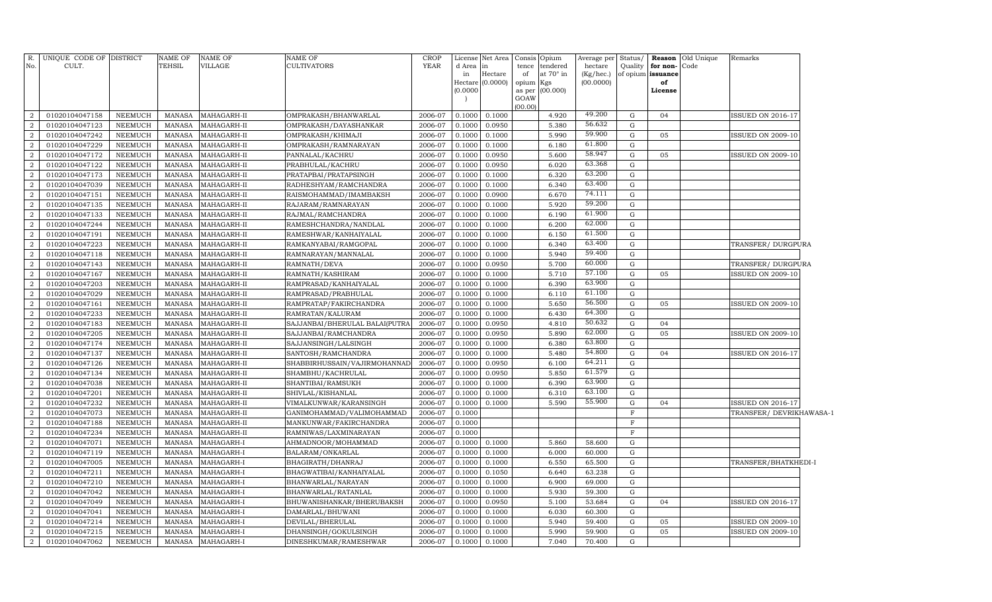| Hectare<br>of<br>at $70^\circ$ in<br>of opium issuance<br>in<br>(Kg/hec.)<br>Hectare (0.0000)<br>(00.0000)<br>opium Kgs<br>of<br>(0.0000)<br>as per<br>(00.000)<br>License<br>GOAW<br>(00.00)<br>49.200<br>0.1000<br>0.1000<br>G<br>04<br>2<br>01020104047158<br>NEEMUCH<br><b>MANASA</b><br>MAHAGARH-II<br>OMPRAKASH/BHANWARLAL<br>2006-07<br>4.920<br><b>ISSUED ON 2016-17</b><br>56.632<br>$\overline{2}$<br>01020104047123<br><b>NEEMUCH</b><br>MAHAGARH-II<br>OMPRAKASH/DAYASHANKAR<br>2006-07<br>0.1000<br>0.0950<br>5.380<br>$\mathbf G$<br><b>MANASA</b><br>$\overline{a}$<br>59.900<br>01020104047242<br>MAHAGARH-II<br>2006-07<br>5.990<br>$\mathbf G$<br>05<br><b>NEEMUCH</b><br><b>MANASA</b><br>OMPRAKASH/KHIMAJI<br>0.1000<br>0.1000<br><b>ISSUED ON 2009-10</b><br>61.800<br>$\overline{2}$<br><b>NEEMUCH</b><br>$\mathbf G$<br>01020104047229<br><b>MANASA</b><br>MAHAGARH-II<br>OMPRAKASH/RAMNARAYAN<br>2006-07<br>0.1000<br>0.1000<br>6.180<br>58.947<br>$\overline{2}$<br>2006-07<br>$\mathbf G$<br>01020104047172<br><b>NEEMUCH</b><br><b>MANASA</b><br>MAHAGARH-II<br>PANNALAL/KACHRU<br>0.1000<br>0.0950<br>5.600<br>05<br><b>ISSUED ON 2009-10</b><br>63.368<br>$\overline{a}$<br><b>NEEMUCH</b><br>0.0950<br>6.020<br>$\mathbf G$<br>01020104047122<br><b>MANASA</b><br>MAHAGARH-II<br>PRABHULAL/KACHRU<br>2006-07<br>0.1000<br>63.200<br>$\overline{2}$<br>2006-07<br>6.320<br>$\mathbf G$<br>01020104047173<br><b>NEEMUCH</b><br><b>MANASA</b><br>MAHAGARH-II<br>PRATAPBAI/PRATAPSINGH<br>0.1000<br>0.1000<br>63.400<br>$\overline{a}$<br>01020104047039<br><b>NEEMUCH</b><br><b>MANASA</b><br>MAHAGARH-II<br>RADHESHYAM/RAMCHANDRA<br>2006-07<br>0.1000<br>0.1000<br>6.340<br>G<br>74.111<br>$\overline{2}$<br>2006-07<br>01020104047151<br><b>NEEMUCH</b><br><b>MANASA</b><br>MAHAGARH-II<br>RAISMOHAMMAD/IMAMBAKSH<br>0.1000<br>0.0900<br>6.670<br>G<br>59.200<br>$\overline{a}$<br>$\mathbf G$<br>01020104047135<br><b>NEEMUCH</b><br><b>MANASA</b><br>MAHAGARH-II<br>RAJARAM/RAMNARAYAN<br>2006-07<br>0.1000<br>0.1000<br>5.920<br>61.900<br>$\overline{2}$<br>2006-07<br>01020104047133<br><b>NEEMUCH</b><br><b>MANASA</b><br>MAHAGARH-II<br>RAJMAL/RAMCHANDRA<br>0.1000<br>0.1000<br>6.190<br>G<br>62.000<br>$\overline{a}$<br>01020104047244<br><b>NEEMUCH</b><br><b>MANASA</b><br>MAHAGARH-II<br>RAMESHCHANDRA/NANDLAL<br>2006-07<br>0.1000<br>6.200<br>G<br>0.1000<br>61.500<br>$\overline{2}$<br>2006-07<br>6.150<br>${\rm G}$<br>01020104047191<br><b>NEEMUCH</b><br><b>MANASA</b><br>MAHAGARH-II<br>RAMESHWAR/KANHAIYALAL<br>0.1000<br>0.1000<br>63.400<br>$\overline{a}$<br>01020104047223<br><b>NEEMUCH</b><br><b>MANASA</b><br>MAHAGARH-II<br>RAMKANYABAI/RAMGOPAL<br>2006-07<br>0.1000<br>6.340<br>G<br>0.1000<br>TRANSFER/DURGPURA<br>$\overline{a}$<br>59.400<br>${\rm G}$<br>01020104047118<br><b>NEEMUCH</b><br><b>MANASA</b><br>MAHAGARH-II<br>RAMNARAYAN/MANNALAL<br>2006-07<br>0.1000<br>5.940<br>0.1000<br>60.000<br>5.700<br>$\mathbf G$<br>$\overline{a}$<br>01020104047143<br><b>NEEMUCH</b><br><b>MANASA</b><br>MAHAGARH-II<br>RAMNATH/DEVA<br>2006-07<br>0.0950<br>TRANSFER/DURGPURA<br>0.1000<br>57.100<br>$\overline{a}$<br><b>NEEMUCH</b><br>RAMNATH/KASHIRAM<br>2006-07<br>5.710<br>G<br>05<br>01020104047167<br><b>MANASA</b><br>MAHAGARH-II<br>0.1000<br>0.1000<br><b>ISSUED ON 2009-10</b><br>63.900<br>$\overline{a}$<br>6.390<br>G<br>01020104047203<br>NEEMUCH<br><b>MANASA</b><br>MAHAGARH-II<br>RAMPRASAD/KANHAIYALAL<br>2006-07<br>0.1000<br>0.1000<br>$\overline{a}$<br>61.100<br><b>NEEMUCH</b><br>2006-07<br>G<br>01020104047029<br><b>MANASA</b><br>MAHAGARH-II<br>RAMPRASAD/PRABHULAL<br>0.1000<br>0.1000<br>6.110<br>56.500<br>$\overline{2}$<br>G<br>01020104047161<br>NEEMUCH<br><b>MANASA</b><br>MAHAGARH-II<br>RAMPRATAP/FAKIRCHANDRA<br>2006-07<br>0.1000<br>0.1000<br>5.650<br>05<br><b>ISSUED ON 2009-10</b><br>$\overline{2}$<br>64.300<br><b>NEEMUCH</b><br>2006-07<br>6.430<br>$\mathbf G$<br>01020104047233<br><b>MANASA</b><br>MAHAGARH-II<br>RAMRATAN/KALURAM<br>0.1000<br>0.1000<br>50.632<br>$\overline{2}$<br>$\mathbf G$<br>01020104047183<br>NEEMUCH<br><b>MANASA</b><br>MAHAGARH-II<br>SAJJANBAI/BHERULAL BALAI(PUTRA<br>2006-07<br>0.1000<br>0.0950<br>4.810<br>04<br>62.000<br>$\overline{2}$<br>$\mathbf G$<br>05<br>01020104047205<br>NEEMUCH<br><b>MANASA</b><br>MAHAGARH-II<br>SAJJANBAI/RAMCHANDRA<br>2006-07<br>0.1000<br>0.0950<br>5.890<br>ISSUED ON 2009-10<br>63.800<br>$\overline{2}$<br><b>NEEMUCH</b><br>6.380<br>$\mathbf G$<br>01020104047174<br><b>MANASA</b><br>MAHAGARH-II<br>SAJJANSINGH/LALSINGH<br>2006-07<br>0.1000<br>0.1000<br>2<br>54.800<br>2006-07<br>G<br>01020104047137<br><b>NEEMUCH</b><br><b>MANASA</b><br>MAHAGARH-II<br>SANTOSH/RAMCHANDRA<br>0.1000<br>0.1000<br>5.480<br>04<br>SSUED ON 2016-17<br>64.211<br>$\mathbf G$<br>$\overline{a}$<br>01020104047126<br><b>NEEMUCH</b><br><b>MANASA</b><br>MAHAGARH-II<br>SHABBIRHUSSAIN/VAJIRMOHANNAD<br>2006-07<br>0.1000<br>0.0950<br>6.100<br>$\overline{a}$<br>61.579<br><b>NEEMUCH</b><br>2006-07<br>5.850<br>$\mathbf G$<br>01020104047134<br><b>MANASA</b><br>MAHAGARH-II<br>SHAMBHU/KACHRULAL<br>0.1000<br>0.0950<br>63.900<br>$\overline{a}$<br><b>NEEMUCH</b><br>$\mathbf G$<br>01020104047038<br><b>MANASA</b><br>MAHAGARH-II<br>SHANTIBAI/RAMSUKH<br>2006-07<br>0.1000<br>0.1000<br>6.390<br>$\overline{a}$<br>63.100<br>2006-07<br>$\mathbf G$<br>01020104047201<br><b>NEEMUCH</b><br><b>MANASA</b><br>MAHAGARH-II<br>SHIVLAL/KISHANLAL<br>0.1000<br>6.310<br>0.1000<br>$\overline{a}$<br>55.900<br>$\mathbf G$<br>01020104047232<br><b>NEEMUCH</b><br><b>MANASA</b><br>MAHAGARH-II<br>VIMALKUNWAR/KARANSINGH<br>2006-07<br>0.1000<br>0.1000<br>5.590<br>04<br><b>ISSUED ON 2016-17</b><br>$\overline{2}$<br>$\mathbf F$<br>01020104047073<br><b>NEEMUCH</b><br><b>MANASA</b><br>MAHAGARH-II<br>GANIMOHAMMAD/VALIMOHAMMAD<br>2006-07<br>0.1000<br>TRANSFER/DEVRIKHAWASA-1<br>$\overline{a}$<br><b>NEEMUCH</b><br>01020104047188<br><b>MANASA</b><br>MAHAGARH-II<br>MANKUNWAR/FAKIRCHANDRA<br>2006-07<br>0.1000<br>$\mathbf F$<br>$\overline{2}$<br>01020104047234<br><b>NEEMUCH</b><br><b>MANASA</b><br>MAHAGARH-II<br>RAMNIWAS/LAXMINARAYAN<br>2006-07<br>$\mathbf F$<br>0.1000<br>$\overline{a}$<br>01020104047071<br><b>NEEMUCH</b><br><b>MANASA</b><br>MAHAGARH-I<br>AHMADNOOR/MOHAMMAD<br>2006-07<br>0.1000<br>0.1000<br>5.860<br>58.600<br>G<br>$\overline{2}$<br>01020104047119<br><b>NEEMUCH</b><br><b>MANASA</b><br>MAHAGARH-I<br>BALARAM/ONKARLAL<br>2006-07<br>0.1000<br>0.1000<br>6.000<br>G<br>60.000<br>$\overline{a}$<br>01020104047005<br>NEEMUCH<br><b>MANASA</b><br>MAHAGARH-I<br>2006-07<br>0.1000<br>0.1000<br>6.550<br>65.500<br>G<br>TRANSFER/BHATKHEDI-I<br>BHAGIRATH/DHANRAJ<br>$\overline{2}$<br>01020104047211<br>NEEMUCH<br>MAHAGARH-I<br>BHAGWATIBAI/KANHAIYALAL<br>2006-07<br>0.1050<br>6.640<br>63.238<br>G<br><b>MANASA</b><br>0.1000<br>$\overline{2}$<br>$\mathbf G$<br>01020104047210<br>NEEMUCH<br><b>MANASA</b><br>MAHAGARH-I<br>BHANWARLAL/NARAYAN<br>2006-07<br>0.1000<br>0.1000<br>6.900<br>69.000<br>$\overline{2}$<br>01020104047042<br><b>NEEMUCH</b><br><b>MANASA</b><br>MAHAGARH-I<br>BHANWARLAL/RATANLAL<br>2006-07<br>0.1000<br>0.1000<br>5.930<br>G<br>59.300<br>$\overline{2}$<br>01020104047049<br><b>NEEMUCH</b><br><b>MANASA</b><br>MAHAGARH-I<br>BHUWANISHANKAR/BHERUBAKSH<br>2006-07<br>0.1000<br>0.0950<br>5.100<br>53.684<br>G<br>04<br><b>ISSUED ON 2016-17</b><br>$\overline{2}$<br>01020104047041<br><b>NEEMUCH</b><br><b>MANASA</b><br>MAHAGARH-I<br>DAMARLAL/BHUWANI<br>2006-07<br>0.1000<br>6.030<br>G<br>0.1000<br>60.300<br>$\overline{2}$<br>01020104047214<br><b>NEEMUCH</b><br><b>MANASA</b><br>MAHAGARH-I<br>DEVILAL/BHERULAL<br>2006-07<br>0.1000<br>0.1000<br>5.940<br>$\mathbf G$<br>59.400<br>05<br>ISSUED ON 2009-10<br>2<br>01020104047215<br><b>NEEMUCH</b><br>MAHAGARH-I<br>DHANSINGH/GOKULSINGH<br>2006-07<br>0.1000<br>5.990<br>59.900<br>$\mathbf G$<br>05<br><b>ISSUED ON 2009-10</b><br><b>MANASA</b><br>0.1000<br>$\overline{a}$<br>01020104047062<br><b>NEEMUCH</b><br><b>MANASA</b><br>2006-07<br>0.1000<br>0.1000<br>7.040<br>$\mathbf G$<br>MAHAGARH-I<br>DINESHKUMAR/RAMESHWAR<br>70.400 | R.<br>No. | UNIQUE CODE OF DISTRICT<br>CULT. | NAME OF<br>TEHSIL | <b>NAME OF</b><br>VILLAGE | NAME OF<br><b>CULTIVATORS</b> | <b>CROP</b><br><b>YEAR</b> | d Area in | License Net Area | Consis Opium<br>tence tendered | Average per<br>hectare | Status/<br>Quality | for non-Code | <b>Reason</b> Old Unique | Remarks |  |
|--------------------------------------------------------------------------------------------------------------------------------------------------------------------------------------------------------------------------------------------------------------------------------------------------------------------------------------------------------------------------------------------------------------------------------------------------------------------------------------------------------------------------------------------------------------------------------------------------------------------------------------------------------------------------------------------------------------------------------------------------------------------------------------------------------------------------------------------------------------------------------------------------------------------------------------------------------------------------------------------------------------------------------------------------------------------------------------------------------------------------------------------------------------------------------------------------------------------------------------------------------------------------------------------------------------------------------------------------------------------------------------------------------------------------------------------------------------------------------------------------------------------------------------------------------------------------------------------------------------------------------------------------------------------------------------------------------------------------------------------------------------------------------------------------------------------------------------------------------------------------------------------------------------------------------------------------------------------------------------------------------------------------------------------------------------------------------------------------------------------------------------------------------------------------------------------------------------------------------------------------------------------------------------------------------------------------------------------------------------------------------------------------------------------------------------------------------------------------------------------------------------------------------------------------------------------------------------------------------------------------------------------------------------------------------------------------------------------------------------------------------------------------------------------------------------------------------------------------------------------------------------------------------------------------------------------------------------------------------------------------------------------------------------------------------------------------------------------------------------------------------------------------------------------------------------------------------------------------------------------------------------------------------------------------------------------------------------------------------------------------------------------------------------------------------------------------------------------------------------------------------------------------------------------------------------------------------------------------------------------------------------------------------------------------------------------------------------------------------------------------------------------------------------------------------------------------------------------------------------------------------------------------------------------------------------------------------------------------------------------------------------------------------------------------------------------------------------------------------------------------------------------------------------------------------------------------------------------------------------------------------------------------------------------------------------------------------------------------------------------------------------------------------------------------------------------------------------------------------------------------------------------------------------------------------------------------------------------------------------------------------------------------------------------------------------------------------------------------------------------------------------------------------------------------------------------------------------------------------------------------------------------------------------------------------------------------------------------------------------------------------------------------------------------------------------------------------------------------------------------------------------------------------------------------------------------------------------------------------------------------------------------------------------------------------------------------------------------------------------------------------------------------------------------------------------------------------------------------------------------------------------------------------------------------------------------------------------------------------------------------------------------------------------------------------------------------------------------------------------------------------------------------------------------------------------------------------------------------------------------------------------------------------------------------------------------------------------------------------------------------------------------------------------------------------------------------------------------------------------------------------------------------------------------------------------------------------------------------------------------------------------------------------------------------------------------------------------------------------------------------------------------------------------------------------------------------------------------------------------------------------------------------------------------------------------------------------------------------------------------------------------------------------------------------------------------------------------------------------------------------------------------------------------------------------------------------------------------------------------------------------------------------------------------------------------------------------------------------------------------------------------------------------------------------------------------------------------------------------------------------------------------------------------------------------------------------------------------------------------------------------------------------------------------------------------------------------------------------------------------------------------------------------------------------------------------------------------------------------------------------------------------------------------------------------------------------------------------------------------------------------------------------------------------------------------------------------------------------------------------------------------------------------------------------------------------------------------------------------------------------------------------------------------------------------------------------------------------------------------------------------------------------------------------------------------------------------------------------------------------------------------------------------------------------------------------------------------------------------------------------------------------------|-----------|----------------------------------|-------------------|---------------------------|-------------------------------|----------------------------|-----------|------------------|--------------------------------|------------------------|--------------------|--------------|--------------------------|---------|--|
|                                                                                                                                                                                                                                                                                                                                                                                                                                                                                                                                                                                                                                                                                                                                                                                                                                                                                                                                                                                                                                                                                                                                                                                                                                                                                                                                                                                                                                                                                                                                                                                                                                                                                                                                                                                                                                                                                                                                                                                                                                                                                                                                                                                                                                                                                                                                                                                                                                                                                                                                                                                                                                                                                                                                                                                                                                                                                                                                                                                                                                                                                                                                                                                                                                                                                                                                                                                                                                                                                                                                                                                                                                                                                                                                                                                                                                                                                                                                                                                                                                                                                                                                                                                                                                                                                                                                                                                                                                                                                                                                                                                                                                                                                                                                                                                                                                                                                                                                                                                                                                                                                                                                                                                                                                                                                                                                                                                                                                                                                                                                                                                                                                                                                                                                                                                                                                                                                                                                                                                                                                                                                                                                                                                                                                                                                                                                                                                                                                                                                                                                                                                                                                                                                                                                                                                                                                                                                                                                                                                                                                                                                                                                                                                                                                                                                                                                                                                                                                                                                                                                                                                                                                                                                                                                                                                                                                                                                                                                                                                                                                                                                                                                                                                                                                                                          |           |                                  |                   |                           |                               |                            |           |                  |                                |                        |                    |              |                          |         |  |
|                                                                                                                                                                                                                                                                                                                                                                                                                                                                                                                                                                                                                                                                                                                                                                                                                                                                                                                                                                                                                                                                                                                                                                                                                                                                                                                                                                                                                                                                                                                                                                                                                                                                                                                                                                                                                                                                                                                                                                                                                                                                                                                                                                                                                                                                                                                                                                                                                                                                                                                                                                                                                                                                                                                                                                                                                                                                                                                                                                                                                                                                                                                                                                                                                                                                                                                                                                                                                                                                                                                                                                                                                                                                                                                                                                                                                                                                                                                                                                                                                                                                                                                                                                                                                                                                                                                                                                                                                                                                                                                                                                                                                                                                                                                                                                                                                                                                                                                                                                                                                                                                                                                                                                                                                                                                                                                                                                                                                                                                                                                                                                                                                                                                                                                                                                                                                                                                                                                                                                                                                                                                                                                                                                                                                                                                                                                                                                                                                                                                                                                                                                                                                                                                                                                                                                                                                                                                                                                                                                                                                                                                                                                                                                                                                                                                                                                                                                                                                                                                                                                                                                                                                                                                                                                                                                                                                                                                                                                                                                                                                                                                                                                                                                                                                                                                          |           |                                  |                   |                           |                               |                            |           |                  |                                |                        |                    |              |                          |         |  |
|                                                                                                                                                                                                                                                                                                                                                                                                                                                                                                                                                                                                                                                                                                                                                                                                                                                                                                                                                                                                                                                                                                                                                                                                                                                                                                                                                                                                                                                                                                                                                                                                                                                                                                                                                                                                                                                                                                                                                                                                                                                                                                                                                                                                                                                                                                                                                                                                                                                                                                                                                                                                                                                                                                                                                                                                                                                                                                                                                                                                                                                                                                                                                                                                                                                                                                                                                                                                                                                                                                                                                                                                                                                                                                                                                                                                                                                                                                                                                                                                                                                                                                                                                                                                                                                                                                                                                                                                                                                                                                                                                                                                                                                                                                                                                                                                                                                                                                                                                                                                                                                                                                                                                                                                                                                                                                                                                                                                                                                                                                                                                                                                                                                                                                                                                                                                                                                                                                                                                                                                                                                                                                                                                                                                                                                                                                                                                                                                                                                                                                                                                                                                                                                                                                                                                                                                                                                                                                                                                                                                                                                                                                                                                                                                                                                                                                                                                                                                                                                                                                                                                                                                                                                                                                                                                                                                                                                                                                                                                                                                                                                                                                                                                                                                                                                                          |           |                                  |                   |                           |                               |                            |           |                  |                                |                        |                    |              |                          |         |  |
|                                                                                                                                                                                                                                                                                                                                                                                                                                                                                                                                                                                                                                                                                                                                                                                                                                                                                                                                                                                                                                                                                                                                                                                                                                                                                                                                                                                                                                                                                                                                                                                                                                                                                                                                                                                                                                                                                                                                                                                                                                                                                                                                                                                                                                                                                                                                                                                                                                                                                                                                                                                                                                                                                                                                                                                                                                                                                                                                                                                                                                                                                                                                                                                                                                                                                                                                                                                                                                                                                                                                                                                                                                                                                                                                                                                                                                                                                                                                                                                                                                                                                                                                                                                                                                                                                                                                                                                                                                                                                                                                                                                                                                                                                                                                                                                                                                                                                                                                                                                                                                                                                                                                                                                                                                                                                                                                                                                                                                                                                                                                                                                                                                                                                                                                                                                                                                                                                                                                                                                                                                                                                                                                                                                                                                                                                                                                                                                                                                                                                                                                                                                                                                                                                                                                                                                                                                                                                                                                                                                                                                                                                                                                                                                                                                                                                                                                                                                                                                                                                                                                                                                                                                                                                                                                                                                                                                                                                                                                                                                                                                                                                                                                                                                                                                                                          |           |                                  |                   |                           |                               |                            |           |                  |                                |                        |                    |              |                          |         |  |
|                                                                                                                                                                                                                                                                                                                                                                                                                                                                                                                                                                                                                                                                                                                                                                                                                                                                                                                                                                                                                                                                                                                                                                                                                                                                                                                                                                                                                                                                                                                                                                                                                                                                                                                                                                                                                                                                                                                                                                                                                                                                                                                                                                                                                                                                                                                                                                                                                                                                                                                                                                                                                                                                                                                                                                                                                                                                                                                                                                                                                                                                                                                                                                                                                                                                                                                                                                                                                                                                                                                                                                                                                                                                                                                                                                                                                                                                                                                                                                                                                                                                                                                                                                                                                                                                                                                                                                                                                                                                                                                                                                                                                                                                                                                                                                                                                                                                                                                                                                                                                                                                                                                                                                                                                                                                                                                                                                                                                                                                                                                                                                                                                                                                                                                                                                                                                                                                                                                                                                                                                                                                                                                                                                                                                                                                                                                                                                                                                                                                                                                                                                                                                                                                                                                                                                                                                                                                                                                                                                                                                                                                                                                                                                                                                                                                                                                                                                                                                                                                                                                                                                                                                                                                                                                                                                                                                                                                                                                                                                                                                                                                                                                                                                                                                                                                          |           |                                  |                   |                           |                               |                            |           |                  |                                |                        |                    |              |                          |         |  |
|                                                                                                                                                                                                                                                                                                                                                                                                                                                                                                                                                                                                                                                                                                                                                                                                                                                                                                                                                                                                                                                                                                                                                                                                                                                                                                                                                                                                                                                                                                                                                                                                                                                                                                                                                                                                                                                                                                                                                                                                                                                                                                                                                                                                                                                                                                                                                                                                                                                                                                                                                                                                                                                                                                                                                                                                                                                                                                                                                                                                                                                                                                                                                                                                                                                                                                                                                                                                                                                                                                                                                                                                                                                                                                                                                                                                                                                                                                                                                                                                                                                                                                                                                                                                                                                                                                                                                                                                                                                                                                                                                                                                                                                                                                                                                                                                                                                                                                                                                                                                                                                                                                                                                                                                                                                                                                                                                                                                                                                                                                                                                                                                                                                                                                                                                                                                                                                                                                                                                                                                                                                                                                                                                                                                                                                                                                                                                                                                                                                                                                                                                                                                                                                                                                                                                                                                                                                                                                                                                                                                                                                                                                                                                                                                                                                                                                                                                                                                                                                                                                                                                                                                                                                                                                                                                                                                                                                                                                                                                                                                                                                                                                                                                                                                                                                                          |           |                                  |                   |                           |                               |                            |           |                  |                                |                        |                    |              |                          |         |  |
|                                                                                                                                                                                                                                                                                                                                                                                                                                                                                                                                                                                                                                                                                                                                                                                                                                                                                                                                                                                                                                                                                                                                                                                                                                                                                                                                                                                                                                                                                                                                                                                                                                                                                                                                                                                                                                                                                                                                                                                                                                                                                                                                                                                                                                                                                                                                                                                                                                                                                                                                                                                                                                                                                                                                                                                                                                                                                                                                                                                                                                                                                                                                                                                                                                                                                                                                                                                                                                                                                                                                                                                                                                                                                                                                                                                                                                                                                                                                                                                                                                                                                                                                                                                                                                                                                                                                                                                                                                                                                                                                                                                                                                                                                                                                                                                                                                                                                                                                                                                                                                                                                                                                                                                                                                                                                                                                                                                                                                                                                                                                                                                                                                                                                                                                                                                                                                                                                                                                                                                                                                                                                                                                                                                                                                                                                                                                                                                                                                                                                                                                                                                                                                                                                                                                                                                                                                                                                                                                                                                                                                                                                                                                                                                                                                                                                                                                                                                                                                                                                                                                                                                                                                                                                                                                                                                                                                                                                                                                                                                                                                                                                                                                                                                                                                                                          |           |                                  |                   |                           |                               |                            |           |                  |                                |                        |                    |              |                          |         |  |
|                                                                                                                                                                                                                                                                                                                                                                                                                                                                                                                                                                                                                                                                                                                                                                                                                                                                                                                                                                                                                                                                                                                                                                                                                                                                                                                                                                                                                                                                                                                                                                                                                                                                                                                                                                                                                                                                                                                                                                                                                                                                                                                                                                                                                                                                                                                                                                                                                                                                                                                                                                                                                                                                                                                                                                                                                                                                                                                                                                                                                                                                                                                                                                                                                                                                                                                                                                                                                                                                                                                                                                                                                                                                                                                                                                                                                                                                                                                                                                                                                                                                                                                                                                                                                                                                                                                                                                                                                                                                                                                                                                                                                                                                                                                                                                                                                                                                                                                                                                                                                                                                                                                                                                                                                                                                                                                                                                                                                                                                                                                                                                                                                                                                                                                                                                                                                                                                                                                                                                                                                                                                                                                                                                                                                                                                                                                                                                                                                                                                                                                                                                                                                                                                                                                                                                                                                                                                                                                                                                                                                                                                                                                                                                                                                                                                                                                                                                                                                                                                                                                                                                                                                                                                                                                                                                                                                                                                                                                                                                                                                                                                                                                                                                                                                                                                          |           |                                  |                   |                           |                               |                            |           |                  |                                |                        |                    |              |                          |         |  |
|                                                                                                                                                                                                                                                                                                                                                                                                                                                                                                                                                                                                                                                                                                                                                                                                                                                                                                                                                                                                                                                                                                                                                                                                                                                                                                                                                                                                                                                                                                                                                                                                                                                                                                                                                                                                                                                                                                                                                                                                                                                                                                                                                                                                                                                                                                                                                                                                                                                                                                                                                                                                                                                                                                                                                                                                                                                                                                                                                                                                                                                                                                                                                                                                                                                                                                                                                                                                                                                                                                                                                                                                                                                                                                                                                                                                                                                                                                                                                                                                                                                                                                                                                                                                                                                                                                                                                                                                                                                                                                                                                                                                                                                                                                                                                                                                                                                                                                                                                                                                                                                                                                                                                                                                                                                                                                                                                                                                                                                                                                                                                                                                                                                                                                                                                                                                                                                                                                                                                                                                                                                                                                                                                                                                                                                                                                                                                                                                                                                                                                                                                                                                                                                                                                                                                                                                                                                                                                                                                                                                                                                                                                                                                                                                                                                                                                                                                                                                                                                                                                                                                                                                                                                                                                                                                                                                                                                                                                                                                                                                                                                                                                                                                                                                                                                                          |           |                                  |                   |                           |                               |                            |           |                  |                                |                        |                    |              |                          |         |  |
|                                                                                                                                                                                                                                                                                                                                                                                                                                                                                                                                                                                                                                                                                                                                                                                                                                                                                                                                                                                                                                                                                                                                                                                                                                                                                                                                                                                                                                                                                                                                                                                                                                                                                                                                                                                                                                                                                                                                                                                                                                                                                                                                                                                                                                                                                                                                                                                                                                                                                                                                                                                                                                                                                                                                                                                                                                                                                                                                                                                                                                                                                                                                                                                                                                                                                                                                                                                                                                                                                                                                                                                                                                                                                                                                                                                                                                                                                                                                                                                                                                                                                                                                                                                                                                                                                                                                                                                                                                                                                                                                                                                                                                                                                                                                                                                                                                                                                                                                                                                                                                                                                                                                                                                                                                                                                                                                                                                                                                                                                                                                                                                                                                                                                                                                                                                                                                                                                                                                                                                                                                                                                                                                                                                                                                                                                                                                                                                                                                                                                                                                                                                                                                                                                                                                                                                                                                                                                                                                                                                                                                                                                                                                                                                                                                                                                                                                                                                                                                                                                                                                                                                                                                                                                                                                                                                                                                                                                                                                                                                                                                                                                                                                                                                                                                                                          |           |                                  |                   |                           |                               |                            |           |                  |                                |                        |                    |              |                          |         |  |
|                                                                                                                                                                                                                                                                                                                                                                                                                                                                                                                                                                                                                                                                                                                                                                                                                                                                                                                                                                                                                                                                                                                                                                                                                                                                                                                                                                                                                                                                                                                                                                                                                                                                                                                                                                                                                                                                                                                                                                                                                                                                                                                                                                                                                                                                                                                                                                                                                                                                                                                                                                                                                                                                                                                                                                                                                                                                                                                                                                                                                                                                                                                                                                                                                                                                                                                                                                                                                                                                                                                                                                                                                                                                                                                                                                                                                                                                                                                                                                                                                                                                                                                                                                                                                                                                                                                                                                                                                                                                                                                                                                                                                                                                                                                                                                                                                                                                                                                                                                                                                                                                                                                                                                                                                                                                                                                                                                                                                                                                                                                                                                                                                                                                                                                                                                                                                                                                                                                                                                                                                                                                                                                                                                                                                                                                                                                                                                                                                                                                                                                                                                                                                                                                                                                                                                                                                                                                                                                                                                                                                                                                                                                                                                                                                                                                                                                                                                                                                                                                                                                                                                                                                                                                                                                                                                                                                                                                                                                                                                                                                                                                                                                                                                                                                                                                          |           |                                  |                   |                           |                               |                            |           |                  |                                |                        |                    |              |                          |         |  |
|                                                                                                                                                                                                                                                                                                                                                                                                                                                                                                                                                                                                                                                                                                                                                                                                                                                                                                                                                                                                                                                                                                                                                                                                                                                                                                                                                                                                                                                                                                                                                                                                                                                                                                                                                                                                                                                                                                                                                                                                                                                                                                                                                                                                                                                                                                                                                                                                                                                                                                                                                                                                                                                                                                                                                                                                                                                                                                                                                                                                                                                                                                                                                                                                                                                                                                                                                                                                                                                                                                                                                                                                                                                                                                                                                                                                                                                                                                                                                                                                                                                                                                                                                                                                                                                                                                                                                                                                                                                                                                                                                                                                                                                                                                                                                                                                                                                                                                                                                                                                                                                                                                                                                                                                                                                                                                                                                                                                                                                                                                                                                                                                                                                                                                                                                                                                                                                                                                                                                                                                                                                                                                                                                                                                                                                                                                                                                                                                                                                                                                                                                                                                                                                                                                                                                                                                                                                                                                                                                                                                                                                                                                                                                                                                                                                                                                                                                                                                                                                                                                                                                                                                                                                                                                                                                                                                                                                                                                                                                                                                                                                                                                                                                                                                                                                                          |           |                                  |                   |                           |                               |                            |           |                  |                                |                        |                    |              |                          |         |  |
|                                                                                                                                                                                                                                                                                                                                                                                                                                                                                                                                                                                                                                                                                                                                                                                                                                                                                                                                                                                                                                                                                                                                                                                                                                                                                                                                                                                                                                                                                                                                                                                                                                                                                                                                                                                                                                                                                                                                                                                                                                                                                                                                                                                                                                                                                                                                                                                                                                                                                                                                                                                                                                                                                                                                                                                                                                                                                                                                                                                                                                                                                                                                                                                                                                                                                                                                                                                                                                                                                                                                                                                                                                                                                                                                                                                                                                                                                                                                                                                                                                                                                                                                                                                                                                                                                                                                                                                                                                                                                                                                                                                                                                                                                                                                                                                                                                                                                                                                                                                                                                                                                                                                                                                                                                                                                                                                                                                                                                                                                                                                                                                                                                                                                                                                                                                                                                                                                                                                                                                                                                                                                                                                                                                                                                                                                                                                                                                                                                                                                                                                                                                                                                                                                                                                                                                                                                                                                                                                                                                                                                                                                                                                                                                                                                                                                                                                                                                                                                                                                                                                                                                                                                                                                                                                                                                                                                                                                                                                                                                                                                                                                                                                                                                                                                                                          |           |                                  |                   |                           |                               |                            |           |                  |                                |                        |                    |              |                          |         |  |
|                                                                                                                                                                                                                                                                                                                                                                                                                                                                                                                                                                                                                                                                                                                                                                                                                                                                                                                                                                                                                                                                                                                                                                                                                                                                                                                                                                                                                                                                                                                                                                                                                                                                                                                                                                                                                                                                                                                                                                                                                                                                                                                                                                                                                                                                                                                                                                                                                                                                                                                                                                                                                                                                                                                                                                                                                                                                                                                                                                                                                                                                                                                                                                                                                                                                                                                                                                                                                                                                                                                                                                                                                                                                                                                                                                                                                                                                                                                                                                                                                                                                                                                                                                                                                                                                                                                                                                                                                                                                                                                                                                                                                                                                                                                                                                                                                                                                                                                                                                                                                                                                                                                                                                                                                                                                                                                                                                                                                                                                                                                                                                                                                                                                                                                                                                                                                                                                                                                                                                                                                                                                                                                                                                                                                                                                                                                                                                                                                                                                                                                                                                                                                                                                                                                                                                                                                                                                                                                                                                                                                                                                                                                                                                                                                                                                                                                                                                                                                                                                                                                                                                                                                                                                                                                                                                                                                                                                                                                                                                                                                                                                                                                                                                                                                                                                          |           |                                  |                   |                           |                               |                            |           |                  |                                |                        |                    |              |                          |         |  |
|                                                                                                                                                                                                                                                                                                                                                                                                                                                                                                                                                                                                                                                                                                                                                                                                                                                                                                                                                                                                                                                                                                                                                                                                                                                                                                                                                                                                                                                                                                                                                                                                                                                                                                                                                                                                                                                                                                                                                                                                                                                                                                                                                                                                                                                                                                                                                                                                                                                                                                                                                                                                                                                                                                                                                                                                                                                                                                                                                                                                                                                                                                                                                                                                                                                                                                                                                                                                                                                                                                                                                                                                                                                                                                                                                                                                                                                                                                                                                                                                                                                                                                                                                                                                                                                                                                                                                                                                                                                                                                                                                                                                                                                                                                                                                                                                                                                                                                                                                                                                                                                                                                                                                                                                                                                                                                                                                                                                                                                                                                                                                                                                                                                                                                                                                                                                                                                                                                                                                                                                                                                                                                                                                                                                                                                                                                                                                                                                                                                                                                                                                                                                                                                                                                                                                                                                                                                                                                                                                                                                                                                                                                                                                                                                                                                                                                                                                                                                                                                                                                                                                                                                                                                                                                                                                                                                                                                                                                                                                                                                                                                                                                                                                                                                                                                                          |           |                                  |                   |                           |                               |                            |           |                  |                                |                        |                    |              |                          |         |  |
|                                                                                                                                                                                                                                                                                                                                                                                                                                                                                                                                                                                                                                                                                                                                                                                                                                                                                                                                                                                                                                                                                                                                                                                                                                                                                                                                                                                                                                                                                                                                                                                                                                                                                                                                                                                                                                                                                                                                                                                                                                                                                                                                                                                                                                                                                                                                                                                                                                                                                                                                                                                                                                                                                                                                                                                                                                                                                                                                                                                                                                                                                                                                                                                                                                                                                                                                                                                                                                                                                                                                                                                                                                                                                                                                                                                                                                                                                                                                                                                                                                                                                                                                                                                                                                                                                                                                                                                                                                                                                                                                                                                                                                                                                                                                                                                                                                                                                                                                                                                                                                                                                                                                                                                                                                                                                                                                                                                                                                                                                                                                                                                                                                                                                                                                                                                                                                                                                                                                                                                                                                                                                                                                                                                                                                                                                                                                                                                                                                                                                                                                                                                                                                                                                                                                                                                                                                                                                                                                                                                                                                                                                                                                                                                                                                                                                                                                                                                                                                                                                                                                                                                                                                                                                                                                                                                                                                                                                                                                                                                                                                                                                                                                                                                                                                                                          |           |                                  |                   |                           |                               |                            |           |                  |                                |                        |                    |              |                          |         |  |
|                                                                                                                                                                                                                                                                                                                                                                                                                                                                                                                                                                                                                                                                                                                                                                                                                                                                                                                                                                                                                                                                                                                                                                                                                                                                                                                                                                                                                                                                                                                                                                                                                                                                                                                                                                                                                                                                                                                                                                                                                                                                                                                                                                                                                                                                                                                                                                                                                                                                                                                                                                                                                                                                                                                                                                                                                                                                                                                                                                                                                                                                                                                                                                                                                                                                                                                                                                                                                                                                                                                                                                                                                                                                                                                                                                                                                                                                                                                                                                                                                                                                                                                                                                                                                                                                                                                                                                                                                                                                                                                                                                                                                                                                                                                                                                                                                                                                                                                                                                                                                                                                                                                                                                                                                                                                                                                                                                                                                                                                                                                                                                                                                                                                                                                                                                                                                                                                                                                                                                                                                                                                                                                                                                                                                                                                                                                                                                                                                                                                                                                                                                                                                                                                                                                                                                                                                                                                                                                                                                                                                                                                                                                                                                                                                                                                                                                                                                                                                                                                                                                                                                                                                                                                                                                                                                                                                                                                                                                                                                                                                                                                                                                                                                                                                                                                          |           |                                  |                   |                           |                               |                            |           |                  |                                |                        |                    |              |                          |         |  |
|                                                                                                                                                                                                                                                                                                                                                                                                                                                                                                                                                                                                                                                                                                                                                                                                                                                                                                                                                                                                                                                                                                                                                                                                                                                                                                                                                                                                                                                                                                                                                                                                                                                                                                                                                                                                                                                                                                                                                                                                                                                                                                                                                                                                                                                                                                                                                                                                                                                                                                                                                                                                                                                                                                                                                                                                                                                                                                                                                                                                                                                                                                                                                                                                                                                                                                                                                                                                                                                                                                                                                                                                                                                                                                                                                                                                                                                                                                                                                                                                                                                                                                                                                                                                                                                                                                                                                                                                                                                                                                                                                                                                                                                                                                                                                                                                                                                                                                                                                                                                                                                                                                                                                                                                                                                                                                                                                                                                                                                                                                                                                                                                                                                                                                                                                                                                                                                                                                                                                                                                                                                                                                                                                                                                                                                                                                                                                                                                                                                                                                                                                                                                                                                                                                                                                                                                                                                                                                                                                                                                                                                                                                                                                                                                                                                                                                                                                                                                                                                                                                                                                                                                                                                                                                                                                                                                                                                                                                                                                                                                                                                                                                                                                                                                                                                                          |           |                                  |                   |                           |                               |                            |           |                  |                                |                        |                    |              |                          |         |  |
|                                                                                                                                                                                                                                                                                                                                                                                                                                                                                                                                                                                                                                                                                                                                                                                                                                                                                                                                                                                                                                                                                                                                                                                                                                                                                                                                                                                                                                                                                                                                                                                                                                                                                                                                                                                                                                                                                                                                                                                                                                                                                                                                                                                                                                                                                                                                                                                                                                                                                                                                                                                                                                                                                                                                                                                                                                                                                                                                                                                                                                                                                                                                                                                                                                                                                                                                                                                                                                                                                                                                                                                                                                                                                                                                                                                                                                                                                                                                                                                                                                                                                                                                                                                                                                                                                                                                                                                                                                                                                                                                                                                                                                                                                                                                                                                                                                                                                                                                                                                                                                                                                                                                                                                                                                                                                                                                                                                                                                                                                                                                                                                                                                                                                                                                                                                                                                                                                                                                                                                                                                                                                                                                                                                                                                                                                                                                                                                                                                                                                                                                                                                                                                                                                                                                                                                                                                                                                                                                                                                                                                                                                                                                                                                                                                                                                                                                                                                                                                                                                                                                                                                                                                                                                                                                                                                                                                                                                                                                                                                                                                                                                                                                                                                                                                                                          |           |                                  |                   |                           |                               |                            |           |                  |                                |                        |                    |              |                          |         |  |
|                                                                                                                                                                                                                                                                                                                                                                                                                                                                                                                                                                                                                                                                                                                                                                                                                                                                                                                                                                                                                                                                                                                                                                                                                                                                                                                                                                                                                                                                                                                                                                                                                                                                                                                                                                                                                                                                                                                                                                                                                                                                                                                                                                                                                                                                                                                                                                                                                                                                                                                                                                                                                                                                                                                                                                                                                                                                                                                                                                                                                                                                                                                                                                                                                                                                                                                                                                                                                                                                                                                                                                                                                                                                                                                                                                                                                                                                                                                                                                                                                                                                                                                                                                                                                                                                                                                                                                                                                                                                                                                                                                                                                                                                                                                                                                                                                                                                                                                                                                                                                                                                                                                                                                                                                                                                                                                                                                                                                                                                                                                                                                                                                                                                                                                                                                                                                                                                                                                                                                                                                                                                                                                                                                                                                                                                                                                                                                                                                                                                                                                                                                                                                                                                                                                                                                                                                                                                                                                                                                                                                                                                                                                                                                                                                                                                                                                                                                                                                                                                                                                                                                                                                                                                                                                                                                                                                                                                                                                                                                                                                                                                                                                                                                                                                                                                          |           |                                  |                   |                           |                               |                            |           |                  |                                |                        |                    |              |                          |         |  |
|                                                                                                                                                                                                                                                                                                                                                                                                                                                                                                                                                                                                                                                                                                                                                                                                                                                                                                                                                                                                                                                                                                                                                                                                                                                                                                                                                                                                                                                                                                                                                                                                                                                                                                                                                                                                                                                                                                                                                                                                                                                                                                                                                                                                                                                                                                                                                                                                                                                                                                                                                                                                                                                                                                                                                                                                                                                                                                                                                                                                                                                                                                                                                                                                                                                                                                                                                                                                                                                                                                                                                                                                                                                                                                                                                                                                                                                                                                                                                                                                                                                                                                                                                                                                                                                                                                                                                                                                                                                                                                                                                                                                                                                                                                                                                                                                                                                                                                                                                                                                                                                                                                                                                                                                                                                                                                                                                                                                                                                                                                                                                                                                                                                                                                                                                                                                                                                                                                                                                                                                                                                                                                                                                                                                                                                                                                                                                                                                                                                                                                                                                                                                                                                                                                                                                                                                                                                                                                                                                                                                                                                                                                                                                                                                                                                                                                                                                                                                                                                                                                                                                                                                                                                                                                                                                                                                                                                                                                                                                                                                                                                                                                                                                                                                                                                                          |           |                                  |                   |                           |                               |                            |           |                  |                                |                        |                    |              |                          |         |  |
|                                                                                                                                                                                                                                                                                                                                                                                                                                                                                                                                                                                                                                                                                                                                                                                                                                                                                                                                                                                                                                                                                                                                                                                                                                                                                                                                                                                                                                                                                                                                                                                                                                                                                                                                                                                                                                                                                                                                                                                                                                                                                                                                                                                                                                                                                                                                                                                                                                                                                                                                                                                                                                                                                                                                                                                                                                                                                                                                                                                                                                                                                                                                                                                                                                                                                                                                                                                                                                                                                                                                                                                                                                                                                                                                                                                                                                                                                                                                                                                                                                                                                                                                                                                                                                                                                                                                                                                                                                                                                                                                                                                                                                                                                                                                                                                                                                                                                                                                                                                                                                                                                                                                                                                                                                                                                                                                                                                                                                                                                                                                                                                                                                                                                                                                                                                                                                                                                                                                                                                                                                                                                                                                                                                                                                                                                                                                                                                                                                                                                                                                                                                                                                                                                                                                                                                                                                                                                                                                                                                                                                                                                                                                                                                                                                                                                                                                                                                                                                                                                                                                                                                                                                                                                                                                                                                                                                                                                                                                                                                                                                                                                                                                                                                                                                                                          |           |                                  |                   |                           |                               |                            |           |                  |                                |                        |                    |              |                          |         |  |
|                                                                                                                                                                                                                                                                                                                                                                                                                                                                                                                                                                                                                                                                                                                                                                                                                                                                                                                                                                                                                                                                                                                                                                                                                                                                                                                                                                                                                                                                                                                                                                                                                                                                                                                                                                                                                                                                                                                                                                                                                                                                                                                                                                                                                                                                                                                                                                                                                                                                                                                                                                                                                                                                                                                                                                                                                                                                                                                                                                                                                                                                                                                                                                                                                                                                                                                                                                                                                                                                                                                                                                                                                                                                                                                                                                                                                                                                                                                                                                                                                                                                                                                                                                                                                                                                                                                                                                                                                                                                                                                                                                                                                                                                                                                                                                                                                                                                                                                                                                                                                                                                                                                                                                                                                                                                                                                                                                                                                                                                                                                                                                                                                                                                                                                                                                                                                                                                                                                                                                                                                                                                                                                                                                                                                                                                                                                                                                                                                                                                                                                                                                                                                                                                                                                                                                                                                                                                                                                                                                                                                                                                                                                                                                                                                                                                                                                                                                                                                                                                                                                                                                                                                                                                                                                                                                                                                                                                                                                                                                                                                                                                                                                                                                                                                                                                          |           |                                  |                   |                           |                               |                            |           |                  |                                |                        |                    |              |                          |         |  |
|                                                                                                                                                                                                                                                                                                                                                                                                                                                                                                                                                                                                                                                                                                                                                                                                                                                                                                                                                                                                                                                                                                                                                                                                                                                                                                                                                                                                                                                                                                                                                                                                                                                                                                                                                                                                                                                                                                                                                                                                                                                                                                                                                                                                                                                                                                                                                                                                                                                                                                                                                                                                                                                                                                                                                                                                                                                                                                                                                                                                                                                                                                                                                                                                                                                                                                                                                                                                                                                                                                                                                                                                                                                                                                                                                                                                                                                                                                                                                                                                                                                                                                                                                                                                                                                                                                                                                                                                                                                                                                                                                                                                                                                                                                                                                                                                                                                                                                                                                                                                                                                                                                                                                                                                                                                                                                                                                                                                                                                                                                                                                                                                                                                                                                                                                                                                                                                                                                                                                                                                                                                                                                                                                                                                                                                                                                                                                                                                                                                                                                                                                                                                                                                                                                                                                                                                                                                                                                                                                                                                                                                                                                                                                                                                                                                                                                                                                                                                                                                                                                                                                                                                                                                                                                                                                                                                                                                                                                                                                                                                                                                                                                                                                                                                                                                                          |           |                                  |                   |                           |                               |                            |           |                  |                                |                        |                    |              |                          |         |  |
|                                                                                                                                                                                                                                                                                                                                                                                                                                                                                                                                                                                                                                                                                                                                                                                                                                                                                                                                                                                                                                                                                                                                                                                                                                                                                                                                                                                                                                                                                                                                                                                                                                                                                                                                                                                                                                                                                                                                                                                                                                                                                                                                                                                                                                                                                                                                                                                                                                                                                                                                                                                                                                                                                                                                                                                                                                                                                                                                                                                                                                                                                                                                                                                                                                                                                                                                                                                                                                                                                                                                                                                                                                                                                                                                                                                                                                                                                                                                                                                                                                                                                                                                                                                                                                                                                                                                                                                                                                                                                                                                                                                                                                                                                                                                                                                                                                                                                                                                                                                                                                                                                                                                                                                                                                                                                                                                                                                                                                                                                                                                                                                                                                                                                                                                                                                                                                                                                                                                                                                                                                                                                                                                                                                                                                                                                                                                                                                                                                                                                                                                                                                                                                                                                                                                                                                                                                                                                                                                                                                                                                                                                                                                                                                                                                                                                                                                                                                                                                                                                                                                                                                                                                                                                                                                                                                                                                                                                                                                                                                                                                                                                                                                                                                                                                                                          |           |                                  |                   |                           |                               |                            |           |                  |                                |                        |                    |              |                          |         |  |
|                                                                                                                                                                                                                                                                                                                                                                                                                                                                                                                                                                                                                                                                                                                                                                                                                                                                                                                                                                                                                                                                                                                                                                                                                                                                                                                                                                                                                                                                                                                                                                                                                                                                                                                                                                                                                                                                                                                                                                                                                                                                                                                                                                                                                                                                                                                                                                                                                                                                                                                                                                                                                                                                                                                                                                                                                                                                                                                                                                                                                                                                                                                                                                                                                                                                                                                                                                                                                                                                                                                                                                                                                                                                                                                                                                                                                                                                                                                                                                                                                                                                                                                                                                                                                                                                                                                                                                                                                                                                                                                                                                                                                                                                                                                                                                                                                                                                                                                                                                                                                                                                                                                                                                                                                                                                                                                                                                                                                                                                                                                                                                                                                                                                                                                                                                                                                                                                                                                                                                                                                                                                                                                                                                                                                                                                                                                                                                                                                                                                                                                                                                                                                                                                                                                                                                                                                                                                                                                                                                                                                                                                                                                                                                                                                                                                                                                                                                                                                                                                                                                                                                                                                                                                                                                                                                                                                                                                                                                                                                                                                                                                                                                                                                                                                                                                          |           |                                  |                   |                           |                               |                            |           |                  |                                |                        |                    |              |                          |         |  |
|                                                                                                                                                                                                                                                                                                                                                                                                                                                                                                                                                                                                                                                                                                                                                                                                                                                                                                                                                                                                                                                                                                                                                                                                                                                                                                                                                                                                                                                                                                                                                                                                                                                                                                                                                                                                                                                                                                                                                                                                                                                                                                                                                                                                                                                                                                                                                                                                                                                                                                                                                                                                                                                                                                                                                                                                                                                                                                                                                                                                                                                                                                                                                                                                                                                                                                                                                                                                                                                                                                                                                                                                                                                                                                                                                                                                                                                                                                                                                                                                                                                                                                                                                                                                                                                                                                                                                                                                                                                                                                                                                                                                                                                                                                                                                                                                                                                                                                                                                                                                                                                                                                                                                                                                                                                                                                                                                                                                                                                                                                                                                                                                                                                                                                                                                                                                                                                                                                                                                                                                                                                                                                                                                                                                                                                                                                                                                                                                                                                                                                                                                                                                                                                                                                                                                                                                                                                                                                                                                                                                                                                                                                                                                                                                                                                                                                                                                                                                                                                                                                                                                                                                                                                                                                                                                                                                                                                                                                                                                                                                                                                                                                                                                                                                                                                                          |           |                                  |                   |                           |                               |                            |           |                  |                                |                        |                    |              |                          |         |  |
|                                                                                                                                                                                                                                                                                                                                                                                                                                                                                                                                                                                                                                                                                                                                                                                                                                                                                                                                                                                                                                                                                                                                                                                                                                                                                                                                                                                                                                                                                                                                                                                                                                                                                                                                                                                                                                                                                                                                                                                                                                                                                                                                                                                                                                                                                                                                                                                                                                                                                                                                                                                                                                                                                                                                                                                                                                                                                                                                                                                                                                                                                                                                                                                                                                                                                                                                                                                                                                                                                                                                                                                                                                                                                                                                                                                                                                                                                                                                                                                                                                                                                                                                                                                                                                                                                                                                                                                                                                                                                                                                                                                                                                                                                                                                                                                                                                                                                                                                                                                                                                                                                                                                                                                                                                                                                                                                                                                                                                                                                                                                                                                                                                                                                                                                                                                                                                                                                                                                                                                                                                                                                                                                                                                                                                                                                                                                                                                                                                                                                                                                                                                                                                                                                                                                                                                                                                                                                                                                                                                                                                                                                                                                                                                                                                                                                                                                                                                                                                                                                                                                                                                                                                                                                                                                                                                                                                                                                                                                                                                                                                                                                                                                                                                                                                                                          |           |                                  |                   |                           |                               |                            |           |                  |                                |                        |                    |              |                          |         |  |
|                                                                                                                                                                                                                                                                                                                                                                                                                                                                                                                                                                                                                                                                                                                                                                                                                                                                                                                                                                                                                                                                                                                                                                                                                                                                                                                                                                                                                                                                                                                                                                                                                                                                                                                                                                                                                                                                                                                                                                                                                                                                                                                                                                                                                                                                                                                                                                                                                                                                                                                                                                                                                                                                                                                                                                                                                                                                                                                                                                                                                                                                                                                                                                                                                                                                                                                                                                                                                                                                                                                                                                                                                                                                                                                                                                                                                                                                                                                                                                                                                                                                                                                                                                                                                                                                                                                                                                                                                                                                                                                                                                                                                                                                                                                                                                                                                                                                                                                                                                                                                                                                                                                                                                                                                                                                                                                                                                                                                                                                                                                                                                                                                                                                                                                                                                                                                                                                                                                                                                                                                                                                                                                                                                                                                                                                                                                                                                                                                                                                                                                                                                                                                                                                                                                                                                                                                                                                                                                                                                                                                                                                                                                                                                                                                                                                                                                                                                                                                                                                                                                                                                                                                                                                                                                                                                                                                                                                                                                                                                                                                                                                                                                                                                                                                                                                          |           |                                  |                   |                           |                               |                            |           |                  |                                |                        |                    |              |                          |         |  |
|                                                                                                                                                                                                                                                                                                                                                                                                                                                                                                                                                                                                                                                                                                                                                                                                                                                                                                                                                                                                                                                                                                                                                                                                                                                                                                                                                                                                                                                                                                                                                                                                                                                                                                                                                                                                                                                                                                                                                                                                                                                                                                                                                                                                                                                                                                                                                                                                                                                                                                                                                                                                                                                                                                                                                                                                                                                                                                                                                                                                                                                                                                                                                                                                                                                                                                                                                                                                                                                                                                                                                                                                                                                                                                                                                                                                                                                                                                                                                                                                                                                                                                                                                                                                                                                                                                                                                                                                                                                                                                                                                                                                                                                                                                                                                                                                                                                                                                                                                                                                                                                                                                                                                                                                                                                                                                                                                                                                                                                                                                                                                                                                                                                                                                                                                                                                                                                                                                                                                                                                                                                                                                                                                                                                                                                                                                                                                                                                                                                                                                                                                                                                                                                                                                                                                                                                                                                                                                                                                                                                                                                                                                                                                                                                                                                                                                                                                                                                                                                                                                                                                                                                                                                                                                                                                                                                                                                                                                                                                                                                                                                                                                                                                                                                                                                                          |           |                                  |                   |                           |                               |                            |           |                  |                                |                        |                    |              |                          |         |  |
|                                                                                                                                                                                                                                                                                                                                                                                                                                                                                                                                                                                                                                                                                                                                                                                                                                                                                                                                                                                                                                                                                                                                                                                                                                                                                                                                                                                                                                                                                                                                                                                                                                                                                                                                                                                                                                                                                                                                                                                                                                                                                                                                                                                                                                                                                                                                                                                                                                                                                                                                                                                                                                                                                                                                                                                                                                                                                                                                                                                                                                                                                                                                                                                                                                                                                                                                                                                                                                                                                                                                                                                                                                                                                                                                                                                                                                                                                                                                                                                                                                                                                                                                                                                                                                                                                                                                                                                                                                                                                                                                                                                                                                                                                                                                                                                                                                                                                                                                                                                                                                                                                                                                                                                                                                                                                                                                                                                                                                                                                                                                                                                                                                                                                                                                                                                                                                                                                                                                                                                                                                                                                                                                                                                                                                                                                                                                                                                                                                                                                                                                                                                                                                                                                                                                                                                                                                                                                                                                                                                                                                                                                                                                                                                                                                                                                                                                                                                                                                                                                                                                                                                                                                                                                                                                                                                                                                                                                                                                                                                                                                                                                                                                                                                                                                                                          |           |                                  |                   |                           |                               |                            |           |                  |                                |                        |                    |              |                          |         |  |
|                                                                                                                                                                                                                                                                                                                                                                                                                                                                                                                                                                                                                                                                                                                                                                                                                                                                                                                                                                                                                                                                                                                                                                                                                                                                                                                                                                                                                                                                                                                                                                                                                                                                                                                                                                                                                                                                                                                                                                                                                                                                                                                                                                                                                                                                                                                                                                                                                                                                                                                                                                                                                                                                                                                                                                                                                                                                                                                                                                                                                                                                                                                                                                                                                                                                                                                                                                                                                                                                                                                                                                                                                                                                                                                                                                                                                                                                                                                                                                                                                                                                                                                                                                                                                                                                                                                                                                                                                                                                                                                                                                                                                                                                                                                                                                                                                                                                                                                                                                                                                                                                                                                                                                                                                                                                                                                                                                                                                                                                                                                                                                                                                                                                                                                                                                                                                                                                                                                                                                                                                                                                                                                                                                                                                                                                                                                                                                                                                                                                                                                                                                                                                                                                                                                                                                                                                                                                                                                                                                                                                                                                                                                                                                                                                                                                                                                                                                                                                                                                                                                                                                                                                                                                                                                                                                                                                                                                                                                                                                                                                                                                                                                                                                                                                                                                          |           |                                  |                   |                           |                               |                            |           |                  |                                |                        |                    |              |                          |         |  |
|                                                                                                                                                                                                                                                                                                                                                                                                                                                                                                                                                                                                                                                                                                                                                                                                                                                                                                                                                                                                                                                                                                                                                                                                                                                                                                                                                                                                                                                                                                                                                                                                                                                                                                                                                                                                                                                                                                                                                                                                                                                                                                                                                                                                                                                                                                                                                                                                                                                                                                                                                                                                                                                                                                                                                                                                                                                                                                                                                                                                                                                                                                                                                                                                                                                                                                                                                                                                                                                                                                                                                                                                                                                                                                                                                                                                                                                                                                                                                                                                                                                                                                                                                                                                                                                                                                                                                                                                                                                                                                                                                                                                                                                                                                                                                                                                                                                                                                                                                                                                                                                                                                                                                                                                                                                                                                                                                                                                                                                                                                                                                                                                                                                                                                                                                                                                                                                                                                                                                                                                                                                                                                                                                                                                                                                                                                                                                                                                                                                                                                                                                                                                                                                                                                                                                                                                                                                                                                                                                                                                                                                                                                                                                                                                                                                                                                                                                                                                                                                                                                                                                                                                                                                                                                                                                                                                                                                                                                                                                                                                                                                                                                                                                                                                                                                                          |           |                                  |                   |                           |                               |                            |           |                  |                                |                        |                    |              |                          |         |  |
|                                                                                                                                                                                                                                                                                                                                                                                                                                                                                                                                                                                                                                                                                                                                                                                                                                                                                                                                                                                                                                                                                                                                                                                                                                                                                                                                                                                                                                                                                                                                                                                                                                                                                                                                                                                                                                                                                                                                                                                                                                                                                                                                                                                                                                                                                                                                                                                                                                                                                                                                                                                                                                                                                                                                                                                                                                                                                                                                                                                                                                                                                                                                                                                                                                                                                                                                                                                                                                                                                                                                                                                                                                                                                                                                                                                                                                                                                                                                                                                                                                                                                                                                                                                                                                                                                                                                                                                                                                                                                                                                                                                                                                                                                                                                                                                                                                                                                                                                                                                                                                                                                                                                                                                                                                                                                                                                                                                                                                                                                                                                                                                                                                                                                                                                                                                                                                                                                                                                                                                                                                                                                                                                                                                                                                                                                                                                                                                                                                                                                                                                                                                                                                                                                                                                                                                                                                                                                                                                                                                                                                                                                                                                                                                                                                                                                                                                                                                                                                                                                                                                                                                                                                                                                                                                                                                                                                                                                                                                                                                                                                                                                                                                                                                                                                                                          |           |                                  |                   |                           |                               |                            |           |                  |                                |                        |                    |              |                          |         |  |
|                                                                                                                                                                                                                                                                                                                                                                                                                                                                                                                                                                                                                                                                                                                                                                                                                                                                                                                                                                                                                                                                                                                                                                                                                                                                                                                                                                                                                                                                                                                                                                                                                                                                                                                                                                                                                                                                                                                                                                                                                                                                                                                                                                                                                                                                                                                                                                                                                                                                                                                                                                                                                                                                                                                                                                                                                                                                                                                                                                                                                                                                                                                                                                                                                                                                                                                                                                                                                                                                                                                                                                                                                                                                                                                                                                                                                                                                                                                                                                                                                                                                                                                                                                                                                                                                                                                                                                                                                                                                                                                                                                                                                                                                                                                                                                                                                                                                                                                                                                                                                                                                                                                                                                                                                                                                                                                                                                                                                                                                                                                                                                                                                                                                                                                                                                                                                                                                                                                                                                                                                                                                                                                                                                                                                                                                                                                                                                                                                                                                                                                                                                                                                                                                                                                                                                                                                                                                                                                                                                                                                                                                                                                                                                                                                                                                                                                                                                                                                                                                                                                                                                                                                                                                                                                                                                                                                                                                                                                                                                                                                                                                                                                                                                                                                                                                          |           |                                  |                   |                           |                               |                            |           |                  |                                |                        |                    |              |                          |         |  |
|                                                                                                                                                                                                                                                                                                                                                                                                                                                                                                                                                                                                                                                                                                                                                                                                                                                                                                                                                                                                                                                                                                                                                                                                                                                                                                                                                                                                                                                                                                                                                                                                                                                                                                                                                                                                                                                                                                                                                                                                                                                                                                                                                                                                                                                                                                                                                                                                                                                                                                                                                                                                                                                                                                                                                                                                                                                                                                                                                                                                                                                                                                                                                                                                                                                                                                                                                                                                                                                                                                                                                                                                                                                                                                                                                                                                                                                                                                                                                                                                                                                                                                                                                                                                                                                                                                                                                                                                                                                                                                                                                                                                                                                                                                                                                                                                                                                                                                                                                                                                                                                                                                                                                                                                                                                                                                                                                                                                                                                                                                                                                                                                                                                                                                                                                                                                                                                                                                                                                                                                                                                                                                                                                                                                                                                                                                                                                                                                                                                                                                                                                                                                                                                                                                                                                                                                                                                                                                                                                                                                                                                                                                                                                                                                                                                                                                                                                                                                                                                                                                                                                                                                                                                                                                                                                                                                                                                                                                                                                                                                                                                                                                                                                                                                                                                                          |           |                                  |                   |                           |                               |                            |           |                  |                                |                        |                    |              |                          |         |  |
|                                                                                                                                                                                                                                                                                                                                                                                                                                                                                                                                                                                                                                                                                                                                                                                                                                                                                                                                                                                                                                                                                                                                                                                                                                                                                                                                                                                                                                                                                                                                                                                                                                                                                                                                                                                                                                                                                                                                                                                                                                                                                                                                                                                                                                                                                                                                                                                                                                                                                                                                                                                                                                                                                                                                                                                                                                                                                                                                                                                                                                                                                                                                                                                                                                                                                                                                                                                                                                                                                                                                                                                                                                                                                                                                                                                                                                                                                                                                                                                                                                                                                                                                                                                                                                                                                                                                                                                                                                                                                                                                                                                                                                                                                                                                                                                                                                                                                                                                                                                                                                                                                                                                                                                                                                                                                                                                                                                                                                                                                                                                                                                                                                                                                                                                                                                                                                                                                                                                                                                                                                                                                                                                                                                                                                                                                                                                                                                                                                                                                                                                                                                                                                                                                                                                                                                                                                                                                                                                                                                                                                                                                                                                                                                                                                                                                                                                                                                                                                                                                                                                                                                                                                                                                                                                                                                                                                                                                                                                                                                                                                                                                                                                                                                                                                                                          |           |                                  |                   |                           |                               |                            |           |                  |                                |                        |                    |              |                          |         |  |
|                                                                                                                                                                                                                                                                                                                                                                                                                                                                                                                                                                                                                                                                                                                                                                                                                                                                                                                                                                                                                                                                                                                                                                                                                                                                                                                                                                                                                                                                                                                                                                                                                                                                                                                                                                                                                                                                                                                                                                                                                                                                                                                                                                                                                                                                                                                                                                                                                                                                                                                                                                                                                                                                                                                                                                                                                                                                                                                                                                                                                                                                                                                                                                                                                                                                                                                                                                                                                                                                                                                                                                                                                                                                                                                                                                                                                                                                                                                                                                                                                                                                                                                                                                                                                                                                                                                                                                                                                                                                                                                                                                                                                                                                                                                                                                                                                                                                                                                                                                                                                                                                                                                                                                                                                                                                                                                                                                                                                                                                                                                                                                                                                                                                                                                                                                                                                                                                                                                                                                                                                                                                                                                                                                                                                                                                                                                                                                                                                                                                                                                                                                                                                                                                                                                                                                                                                                                                                                                                                                                                                                                                                                                                                                                                                                                                                                                                                                                                                                                                                                                                                                                                                                                                                                                                                                                                                                                                                                                                                                                                                                                                                                                                                                                                                                                                          |           |                                  |                   |                           |                               |                            |           |                  |                                |                        |                    |              |                          |         |  |
|                                                                                                                                                                                                                                                                                                                                                                                                                                                                                                                                                                                                                                                                                                                                                                                                                                                                                                                                                                                                                                                                                                                                                                                                                                                                                                                                                                                                                                                                                                                                                                                                                                                                                                                                                                                                                                                                                                                                                                                                                                                                                                                                                                                                                                                                                                                                                                                                                                                                                                                                                                                                                                                                                                                                                                                                                                                                                                                                                                                                                                                                                                                                                                                                                                                                                                                                                                                                                                                                                                                                                                                                                                                                                                                                                                                                                                                                                                                                                                                                                                                                                                                                                                                                                                                                                                                                                                                                                                                                                                                                                                                                                                                                                                                                                                                                                                                                                                                                                                                                                                                                                                                                                                                                                                                                                                                                                                                                                                                                                                                                                                                                                                                                                                                                                                                                                                                                                                                                                                                                                                                                                                                                                                                                                                                                                                                                                                                                                                                                                                                                                                                                                                                                                                                                                                                                                                                                                                                                                                                                                                                                                                                                                                                                                                                                                                                                                                                                                                                                                                                                                                                                                                                                                                                                                                                                                                                                                                                                                                                                                                                                                                                                                                                                                                                                          |           |                                  |                   |                           |                               |                            |           |                  |                                |                        |                    |              |                          |         |  |
|                                                                                                                                                                                                                                                                                                                                                                                                                                                                                                                                                                                                                                                                                                                                                                                                                                                                                                                                                                                                                                                                                                                                                                                                                                                                                                                                                                                                                                                                                                                                                                                                                                                                                                                                                                                                                                                                                                                                                                                                                                                                                                                                                                                                                                                                                                                                                                                                                                                                                                                                                                                                                                                                                                                                                                                                                                                                                                                                                                                                                                                                                                                                                                                                                                                                                                                                                                                                                                                                                                                                                                                                                                                                                                                                                                                                                                                                                                                                                                                                                                                                                                                                                                                                                                                                                                                                                                                                                                                                                                                                                                                                                                                                                                                                                                                                                                                                                                                                                                                                                                                                                                                                                                                                                                                                                                                                                                                                                                                                                                                                                                                                                                                                                                                                                                                                                                                                                                                                                                                                                                                                                                                                                                                                                                                                                                                                                                                                                                                                                                                                                                                                                                                                                                                                                                                                                                                                                                                                                                                                                                                                                                                                                                                                                                                                                                                                                                                                                                                                                                                                                                                                                                                                                                                                                                                                                                                                                                                                                                                                                                                                                                                                                                                                                                                                          |           |                                  |                   |                           |                               |                            |           |                  |                                |                        |                    |              |                          |         |  |
|                                                                                                                                                                                                                                                                                                                                                                                                                                                                                                                                                                                                                                                                                                                                                                                                                                                                                                                                                                                                                                                                                                                                                                                                                                                                                                                                                                                                                                                                                                                                                                                                                                                                                                                                                                                                                                                                                                                                                                                                                                                                                                                                                                                                                                                                                                                                                                                                                                                                                                                                                                                                                                                                                                                                                                                                                                                                                                                                                                                                                                                                                                                                                                                                                                                                                                                                                                                                                                                                                                                                                                                                                                                                                                                                                                                                                                                                                                                                                                                                                                                                                                                                                                                                                                                                                                                                                                                                                                                                                                                                                                                                                                                                                                                                                                                                                                                                                                                                                                                                                                                                                                                                                                                                                                                                                                                                                                                                                                                                                                                                                                                                                                                                                                                                                                                                                                                                                                                                                                                                                                                                                                                                                                                                                                                                                                                                                                                                                                                                                                                                                                                                                                                                                                                                                                                                                                                                                                                                                                                                                                                                                                                                                                                                                                                                                                                                                                                                                                                                                                                                                                                                                                                                                                                                                                                                                                                                                                                                                                                                                                                                                                                                                                                                                                                                          |           |                                  |                   |                           |                               |                            |           |                  |                                |                        |                    |              |                          |         |  |
|                                                                                                                                                                                                                                                                                                                                                                                                                                                                                                                                                                                                                                                                                                                                                                                                                                                                                                                                                                                                                                                                                                                                                                                                                                                                                                                                                                                                                                                                                                                                                                                                                                                                                                                                                                                                                                                                                                                                                                                                                                                                                                                                                                                                                                                                                                                                                                                                                                                                                                                                                                                                                                                                                                                                                                                                                                                                                                                                                                                                                                                                                                                                                                                                                                                                                                                                                                                                                                                                                                                                                                                                                                                                                                                                                                                                                                                                                                                                                                                                                                                                                                                                                                                                                                                                                                                                                                                                                                                                                                                                                                                                                                                                                                                                                                                                                                                                                                                                                                                                                                                                                                                                                                                                                                                                                                                                                                                                                                                                                                                                                                                                                                                                                                                                                                                                                                                                                                                                                                                                                                                                                                                                                                                                                                                                                                                                                                                                                                                                                                                                                                                                                                                                                                                                                                                                                                                                                                                                                                                                                                                                                                                                                                                                                                                                                                                                                                                                                                                                                                                                                                                                                                                                                                                                                                                                                                                                                                                                                                                                                                                                                                                                                                                                                                                                          |           |                                  |                   |                           |                               |                            |           |                  |                                |                        |                    |              |                          |         |  |
|                                                                                                                                                                                                                                                                                                                                                                                                                                                                                                                                                                                                                                                                                                                                                                                                                                                                                                                                                                                                                                                                                                                                                                                                                                                                                                                                                                                                                                                                                                                                                                                                                                                                                                                                                                                                                                                                                                                                                                                                                                                                                                                                                                                                                                                                                                                                                                                                                                                                                                                                                                                                                                                                                                                                                                                                                                                                                                                                                                                                                                                                                                                                                                                                                                                                                                                                                                                                                                                                                                                                                                                                                                                                                                                                                                                                                                                                                                                                                                                                                                                                                                                                                                                                                                                                                                                                                                                                                                                                                                                                                                                                                                                                                                                                                                                                                                                                                                                                                                                                                                                                                                                                                                                                                                                                                                                                                                                                                                                                                                                                                                                                                                                                                                                                                                                                                                                                                                                                                                                                                                                                                                                                                                                                                                                                                                                                                                                                                                                                                                                                                                                                                                                                                                                                                                                                                                                                                                                                                                                                                                                                                                                                                                                                                                                                                                                                                                                                                                                                                                                                                                                                                                                                                                                                                                                                                                                                                                                                                                                                                                                                                                                                                                                                                                                                          |           |                                  |                   |                           |                               |                            |           |                  |                                |                        |                    |              |                          |         |  |
|                                                                                                                                                                                                                                                                                                                                                                                                                                                                                                                                                                                                                                                                                                                                                                                                                                                                                                                                                                                                                                                                                                                                                                                                                                                                                                                                                                                                                                                                                                                                                                                                                                                                                                                                                                                                                                                                                                                                                                                                                                                                                                                                                                                                                                                                                                                                                                                                                                                                                                                                                                                                                                                                                                                                                                                                                                                                                                                                                                                                                                                                                                                                                                                                                                                                                                                                                                                                                                                                                                                                                                                                                                                                                                                                                                                                                                                                                                                                                                                                                                                                                                                                                                                                                                                                                                                                                                                                                                                                                                                                                                                                                                                                                                                                                                                                                                                                                                                                                                                                                                                                                                                                                                                                                                                                                                                                                                                                                                                                                                                                                                                                                                                                                                                                                                                                                                                                                                                                                                                                                                                                                                                                                                                                                                                                                                                                                                                                                                                                                                                                                                                                                                                                                                                                                                                                                                                                                                                                                                                                                                                                                                                                                                                                                                                                                                                                                                                                                                                                                                                                                                                                                                                                                                                                                                                                                                                                                                                                                                                                                                                                                                                                                                                                                                                                          |           |                                  |                   |                           |                               |                            |           |                  |                                |                        |                    |              |                          |         |  |
|                                                                                                                                                                                                                                                                                                                                                                                                                                                                                                                                                                                                                                                                                                                                                                                                                                                                                                                                                                                                                                                                                                                                                                                                                                                                                                                                                                                                                                                                                                                                                                                                                                                                                                                                                                                                                                                                                                                                                                                                                                                                                                                                                                                                                                                                                                                                                                                                                                                                                                                                                                                                                                                                                                                                                                                                                                                                                                                                                                                                                                                                                                                                                                                                                                                                                                                                                                                                                                                                                                                                                                                                                                                                                                                                                                                                                                                                                                                                                                                                                                                                                                                                                                                                                                                                                                                                                                                                                                                                                                                                                                                                                                                                                                                                                                                                                                                                                                                                                                                                                                                                                                                                                                                                                                                                                                                                                                                                                                                                                                                                                                                                                                                                                                                                                                                                                                                                                                                                                                                                                                                                                                                                                                                                                                                                                                                                                                                                                                                                                                                                                                                                                                                                                                                                                                                                                                                                                                                                                                                                                                                                                                                                                                                                                                                                                                                                                                                                                                                                                                                                                                                                                                                                                                                                                                                                                                                                                                                                                                                                                                                                                                                                                                                                                                                                          |           |                                  |                   |                           |                               |                            |           |                  |                                |                        |                    |              |                          |         |  |
|                                                                                                                                                                                                                                                                                                                                                                                                                                                                                                                                                                                                                                                                                                                                                                                                                                                                                                                                                                                                                                                                                                                                                                                                                                                                                                                                                                                                                                                                                                                                                                                                                                                                                                                                                                                                                                                                                                                                                                                                                                                                                                                                                                                                                                                                                                                                                                                                                                                                                                                                                                                                                                                                                                                                                                                                                                                                                                                                                                                                                                                                                                                                                                                                                                                                                                                                                                                                                                                                                                                                                                                                                                                                                                                                                                                                                                                                                                                                                                                                                                                                                                                                                                                                                                                                                                                                                                                                                                                                                                                                                                                                                                                                                                                                                                                                                                                                                                                                                                                                                                                                                                                                                                                                                                                                                                                                                                                                                                                                                                                                                                                                                                                                                                                                                                                                                                                                                                                                                                                                                                                                                                                                                                                                                                                                                                                                                                                                                                                                                                                                                                                                                                                                                                                                                                                                                                                                                                                                                                                                                                                                                                                                                                                                                                                                                                                                                                                                                                                                                                                                                                                                                                                                                                                                                                                                                                                                                                                                                                                                                                                                                                                                                                                                                                                                          |           |                                  |                   |                           |                               |                            |           |                  |                                |                        |                    |              |                          |         |  |
|                                                                                                                                                                                                                                                                                                                                                                                                                                                                                                                                                                                                                                                                                                                                                                                                                                                                                                                                                                                                                                                                                                                                                                                                                                                                                                                                                                                                                                                                                                                                                                                                                                                                                                                                                                                                                                                                                                                                                                                                                                                                                                                                                                                                                                                                                                                                                                                                                                                                                                                                                                                                                                                                                                                                                                                                                                                                                                                                                                                                                                                                                                                                                                                                                                                                                                                                                                                                                                                                                                                                                                                                                                                                                                                                                                                                                                                                                                                                                                                                                                                                                                                                                                                                                                                                                                                                                                                                                                                                                                                                                                                                                                                                                                                                                                                                                                                                                                                                                                                                                                                                                                                                                                                                                                                                                                                                                                                                                                                                                                                                                                                                                                                                                                                                                                                                                                                                                                                                                                                                                                                                                                                                                                                                                                                                                                                                                                                                                                                                                                                                                                                                                                                                                                                                                                                                                                                                                                                                                                                                                                                                                                                                                                                                                                                                                                                                                                                                                                                                                                                                                                                                                                                                                                                                                                                                                                                                                                                                                                                                                                                                                                                                                                                                                                                                          |           |                                  |                   |                           |                               |                            |           |                  |                                |                        |                    |              |                          |         |  |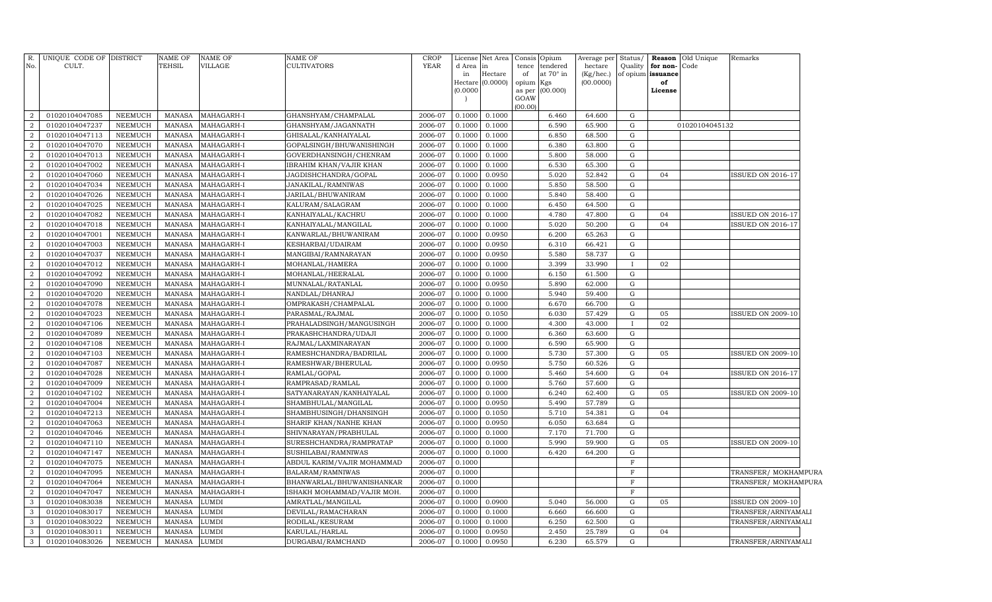| R.<br>No.                          | UNIQUE CODE OF DISTRICT<br>CULT. |                           | NAME OF<br>TEHSIL              | <b>NAME OF</b><br>VILLAGE | NAME OF<br>CULTIVATORS                          | CROP<br><b>YEAR</b> | d Area           | License Net Area<br>in      | <b>Opium</b><br>Consis<br>tendered<br>tence | Average per<br>hectare | Status/<br>Quality | for non-                | <b>Reason</b> Old Unique<br>Code | Remarks                  |
|------------------------------------|----------------------------------|---------------------------|--------------------------------|---------------------------|-------------------------------------------------|---------------------|------------------|-----------------------------|---------------------------------------------|------------------------|--------------------|-------------------------|----------------------------------|--------------------------|
|                                    |                                  |                           |                                |                           |                                                 |                     | in               | Hectare<br>Hectare (0.0000) | of<br>at 70° in<br>opium<br>Kgs             | (Kg/hec.)<br>(00.0000) |                    | of opium issuance<br>of |                                  |                          |
|                                    |                                  |                           |                                |                           |                                                 |                     | (0.0000)         |                             | (00.000)<br>as per                          |                        |                    | License                 |                                  |                          |
|                                    |                                  |                           |                                |                           |                                                 |                     |                  |                             | GOAW                                        |                        |                    |                         |                                  |                          |
|                                    |                                  |                           |                                |                           |                                                 |                     |                  |                             | (00.00)                                     |                        |                    |                         |                                  |                          |
| $\overline{a}$                     | 01020104047085                   | NEEMUCH                   | <b>MANASA</b>                  | MAHAGARH-I                | GHANSHYAM/CHAMPALAL                             | 2006-07             | 0.1000           | 0.1000                      | 6.460                                       | 64.600                 | G                  |                         |                                  |                          |
| $\boldsymbol{2}$                   | 01020104047237                   | NEEMUCH                   | <b>MANASA</b>                  | MAHAGARH-I                | GHANSHYAM/JAGANNATH                             | 2006-07             | 0.1000           | 0.1000                      | 6.590                                       | 65.900                 | G                  |                         | 01020104045132                   |                          |
| $\boldsymbol{2}$                   | 01020104047113                   | NEEMUCH                   | <b>MANASA</b>                  | MAHAGARH-I                | GHISALAL/KANHAIYALAL                            | 2006-07             | 0.1000           | 0.1000                      | 6.850                                       | 68.500                 | G                  |                         |                                  |                          |
| $\overline{2}$                     | 01020104047070                   | NEEMUCH                   | <b>MANASA</b>                  | MAHAGARH-I                | GOPALSINGH/BHUWANISHINGH                        | 2006-07             | 0.1000           | 0.1000                      | 6.380                                       | 63.800                 | G<br>G             |                         |                                  |                          |
| $\boldsymbol{2}$<br>$\overline{2}$ | 01020104047013<br>01020104047002 | NEEMUCH<br><b>NEEMUCH</b> | <b>MANASA</b><br><b>MANASA</b> | MAHAGARH-I<br>MAHAGARH-I  | GOVERDHANSINGH/CHENRAM                          | 2006-07<br>2006-07  | 0.1000<br>0.1000 | 0.1000<br>0.1000            | 5.800<br>6.530                              | 58.000<br>65.300       | G                  |                         |                                  |                          |
| $\overline{2}$                     | 01020104047060                   | <b>NEEMUCH</b>            | <b>MANASA</b>                  | MAHAGARH-I                | IBRAHIM KHAN/VAJIR KHAN<br>JAGDISHCHANDRA/GOPAL | 2006-07             | 0.1000           | 0.0950                      | 5.020                                       | 52.842                 | G                  | 04                      |                                  | <b>ISSUED ON 2016-17</b> |
| 2                                  | 01020104047034                   | NEEMUCH                   | MANASA                         | MAHAGARH-I                | JANAKILAL/RAMNIWAS                              | 2006-07             | 0.1000           | 0.1000                      | 5.850                                       | 58.500                 | G                  |                         |                                  |                          |
| $\overline{a}$                     | 01020104047026                   | <b>NEEMUCH</b>            | <b>MANASA</b>                  | MAHAGARH-I                | JARILAL/BHUWANIRAM                              | 2006-07             | 0.1000           | 0.1000                      | 5.840                                       | 58.400                 | ${\rm G}$          |                         |                                  |                          |
| $\overline{2}$                     | 01020104047025                   | <b>NEEMUCH</b>            | <b>MANASA</b>                  | MAHAGARH-I                | KALURAM/SALAGRAM                                | 2006-07             | 0.1000           | 0.1000                      | 6.450                                       | 64.500                 | G                  |                         |                                  |                          |
| $\overline{2}$                     | 01020104047082                   | NEEMUCH                   | <b>MANASA</b>                  | MAHAGARH-I                | KANHAIYALAL/KACHRU                              | 2006-07             | 0.1000           | 0.1000                      | 4.780                                       | 47.800                 | G                  | 04                      |                                  | ISSUED ON 2016-17        |
| $\boldsymbol{2}$                   | 01020104047018                   | NEEMUCH                   | <b>MANASA</b>                  | MAHAGARH-I                | KANHAIYALAL/MANGILAL                            | 2006-07             | 0.1000           | 0.1000                      | 5.020                                       | 50.200                 | G                  | 04                      |                                  | ISSUED ON 2016-17        |
| $\overline{2}$                     | 01020104047001                   | NEEMUCH                   | <b>MANASA</b>                  | MAHAGARH-I                | KANWARLAL/BHUWANIRAM                            | 2006-07             | 0.1000           | 0.0950                      | 6.200                                       | 65.263                 | G                  |                         |                                  |                          |
| $\boldsymbol{2}$                   | 01020104047003                   | <b>NEEMUCH</b>            | <b>MANASA</b>                  | MAHAGARH-I                | KESHARBAI/UDAIRAM                               | 2006-07             | 0.1000           | 0.0950                      | 6.310                                       | 66.421                 | G                  |                         |                                  |                          |
| $\boldsymbol{2}$                   | 01020104047037                   | <b>NEEMUCH</b>            | <b>MANASA</b>                  | MAHAGARH-I                | MANGIBAI/RAMNARAYAN                             | 2006-07             | 0.1000           | 0.0950                      | 5.580                                       | 58.737                 | ${\rm G}$          |                         |                                  |                          |
| $\overline{2}$                     | 01020104047012                   | NEEMUCH                   | <b>MANASA</b>                  | MAHAGARH-I                | MOHANLAL/HAMERA                                 | 2006-07             | 0.1000           | 0.1000                      | 3.399                                       | 33.990                 | $\bf{I}$           | 02                      |                                  |                          |
| $\overline{2}$                     | 01020104047092                   | NEEMUCH                   | MANASA                         | MAHAGARH-I                | MOHANLAL/HEERALAL                               | 2006-07             | 0.1000           | 0.1000                      | 6.150                                       | 61.500                 | G                  |                         |                                  |                          |
| $\boldsymbol{2}$                   | 01020104047090                   | NEEMUCH                   | <b>MANASA</b>                  | MAHAGARH-I                | MUNNALAL/RATANLAL                               | 2006-07             | 0.1000           | 0.0950                      | 5.890                                       | 62.000                 | ${\rm G}$          |                         |                                  |                          |
| 2                                  | 01020104047020                   | NEEMUCH                   | <b>MANASA</b>                  | MAHAGARH-I                | NANDLAL/DHANRAJ                                 | 2006-07             | 0.1000           | 0.1000                      | 5.940                                       | 59.400                 | G                  |                         |                                  |                          |
| $\boldsymbol{2}$                   | 01020104047078                   | NEEMUCH                   | <b>MANASA</b>                  | MAHAGARH-I                | OMPRAKASH/CHAMPALAL                             | 2006-07             | 0.1000           | 0.1000                      | 6.670                                       | 66.700                 | G                  |                         |                                  |                          |
| $\boldsymbol{2}$                   | 01020104047023                   | NEEMUCH                   | <b>MANASA</b>                  | MAHAGARH-I                | PARASMAL/RAJMAL                                 | 2006-07             | 0.1000           | 0.1050                      | 6.030                                       | 57.429                 | ${\rm G}$          | 05                      |                                  | <b>ISSUED ON 2009-10</b> |
| $\overline{2}$                     | 01020104047106                   | NEEMUCH                   | <b>MANASA</b>                  | MAHAGARH-I                | PRAHALADSINGH/MANGUSINGH                        | 2006-07             | 0.1000           | 0.1000                      | 4.300                                       | 43.000                 | $\bf{I}$           | 02                      |                                  |                          |
| $\overline{2}$                     | 01020104047089                   | <b>NEEMUCH</b>            | <b>MANASA</b>                  | MAHAGARH-I                | PRAKASHCHANDRA/UDAJI                            | 2006-07             | 0.1000           | 0.1000                      | 6.360                                       | 63.600                 | ${\rm G}$          |                         |                                  |                          |
| $\overline{2}$                     | 01020104047108                   | <b>NEEMUCH</b>            | <b>MANASA</b>                  | MAHAGARH-I                | RAJMAL/LAXMINARAYAN                             | 2006-07             | 0.1000           | 0.1000                      | 6.590                                       | 65.900                 | ${\rm G}$          |                         |                                  |                          |
| $\overline{2}$                     | 01020104047103                   | NEEMUCH                   | <b>MANASA</b>                  | MAHAGARH-I                | RAMESHCHANDRA/BADRILAL                          | 2006-07             | 0.1000           | 0.1000                      | 5.730                                       | 57.300                 | ${\rm G}$          | 05                      |                                  | <b>ISSUED ON 2009-10</b> |
| $\overline{2}$                     | 01020104047087                   | <b>NEEMUCH</b>            | <b>MANASA</b>                  | MAHAGARH-I                | RAMESHWAR/BHERULAL                              | 2006-07             | 0.1000           | 0.0950                      | 5.750                                       | 60.526                 | G                  |                         |                                  |                          |
| $\overline{2}$                     | 01020104047028                   | <b>NEEMUCH</b>            | <b>MANASA</b>                  | MAHAGARH-I                | RAMLAL/GOPAL                                    | 2006-07             | 0.1000           | 0.1000                      | 5.460                                       | 54.600                 | G                  | 04                      |                                  | ISSUED ON 2016-17        |
| $\overline{2}$                     | 01020104047009                   | <b>NEEMUCH</b>            | <b>MANASA</b>                  | MAHAGARH-I                | RAMPRASAD/RAMLAL                                | 2006-07             | 0.1000           | 0.1000                      | 5.760                                       | 57.600                 | ${\rm G}$          |                         |                                  |                          |
| $\overline{2}$                     | 01020104047102                   | NEEMUCH                   | <b>MANASA</b>                  | MAHAGARH-I                | SATYANARAYAN/KANHAIYALAL                        | 2006-07             | 0.1000           | 0.1000                      | 6.240                                       | 62.400                 | ${\rm G}$          | 05                      |                                  | <b>ISSUED ON 2009-10</b> |
| $\boldsymbol{2}$                   | 01020104047004                   | <b>NEEMUCH</b>            | <b>MANASA</b>                  | MAHAGARH-I                | SHAMBHULAL/MANGILAL                             | 2006-07             | 0.1000           | 0.0950                      | 5.490                                       | 57.789                 | ${\rm G}$          |                         |                                  |                          |
| $\overline{2}$                     | 01020104047213                   | NEEMUCH                   | <b>MANASA</b>                  | MAHAGARH-I                | SHAMBHUSINGH/DHANSINGH                          | 2006-07             | 0.1000           | 0.1050                      | 5.710                                       | 54.381                 | G                  | 04                      |                                  |                          |
| $\overline{2}$                     | 01020104047063                   | <b>NEEMUCH</b>            | <b>MANASA</b>                  | MAHAGARH-I                | SHARIF KHAN/NANHE KHAN                          | 2006-07             | 0.1000           | 0.0950                      | 6.050                                       | 63.684                 | G                  |                         |                                  |                          |
| $\overline{a}$                     | 01020104047046                   | NEEMUCH                   | <b>MANASA</b>                  | MAHAGARH-I                | SHIVNARAYAN/PRABHULAL                           | 2006-07             | 0.1000           | 0.1000                      | 7.170                                       | 71.700                 | G                  |                         |                                  |                          |
| $\overline{2}$                     | 01020104047110                   | <b>NEEMUCH</b>            | <b>MANASA</b>                  | MAHAGARH-I                | SURESHCHANDRA/RAMPRATAP                         | 2006-07             | 0.1000           | 0.1000                      | 5.990                                       | 59.900                 | ${\rm G}$          | 05                      |                                  | ISSUED ON 2009-10        |
| $\boldsymbol{2}$                   | 01020104047147                   | <b>NEEMUCH</b>            | <b>MANASA</b>                  | MAHAGARH-I                | SUSHILABAI/RAMNIWAS                             | 2006-07             | 0.1000           | 0.1000                      | 6.420                                       | 64.200                 | ${\rm G}$          |                         |                                  |                          |
| $\overline{2}$                     | 01020104047075                   | <b>NEEMUCH</b>            | <b>MANASA</b>                  | MAHAGARH-I                | ABDUL KARIM/VAJIR MOHAMMAD                      | 2006-07             | 0.1000           |                             |                                             |                        | $\mathbf F$        |                         |                                  |                          |
| $\overline{a}$                     | 01020104047095                   | NEEMUCH                   | <b>MANASA</b>                  | MAHAGARH-I                | BALARAM/RAMNIWAS                                | 2006-07             | 0.1000           |                             |                                             |                        | $\mathbf F$        |                         |                                  | TRANSFER/MOKHAMPURA      |
| $\boldsymbol{2}$                   | 01020104047064                   | NEEMUCH                   | <b>MANASA</b>                  | MAHAGARH-I                | BHANWARLAL/BHUWANISHANKAR                       | 2006-07             | 0.1000           |                             |                                             |                        | $\overline{F}$     |                         |                                  | TRANSFER/MOKHAMPURA      |
| 2                                  | 01020104047047                   | NEEMUCH                   | <b>MANASA</b>                  | MAHAGARH-I                | ISHAKH MOHAMMAD/VAJIR MOH.                      | 2006-07             | 0.1000           |                             |                                             |                        | $\mathbf F$        |                         |                                  |                          |
| $\mathbf{3}$                       | 01020104083038                   | NEEMUCH                   | <b>MANASA</b>                  | LUMDI                     | AMRATLAL/MANGILAL                               | 2006-07             | 0.1000           | 0.0900                      | 5.040                                       | 56.000                 | G                  | 05                      |                                  | <b>ISSUED ON 2009-10</b> |
| 3                                  | 01020104083017                   | NEEMUCH                   | <b>MANASA</b>                  | LUMDI                     | DEVILAL/RAMACHARAN                              | 2006-07             | 0.1000           | 0.1000                      | 6.660                                       | 66.600                 | G                  |                         |                                  | TRANSFER/ARNIYAMALI      |
| $\mathbf{3}$                       | 01020104083022                   | <b>NEEMUCH</b>            | <b>MANASA</b>                  | LUMDI                     | RODILAL/KESURAM                                 | 2006-07             | 0.1000           | 0.1000                      | 6.250                                       | 62.500                 | G                  |                         |                                  | TRANSFER/ARNIYAMALI      |
| $\mathbf{3}$                       | 01020104083011                   | <b>NEEMUCH</b>            | <b>MANASA</b>                  | LUMDI                     | KARULAL/HARLAL                                  | 2006-07             | 0.1000           | 0.0950                      | 2.450                                       | 25.789                 | ${\rm G}$          | 04                      |                                  |                          |
| $\mathbf{3}$                       | 01020104083026                   | NEEMUCH                   | <b>MANASA</b>                  | LUMDI                     | DURGABAI/RAMCHAND                               | 2006-07             | 0.1000           | 0.0950                      | 6.230                                       | 65.579                 | G                  |                         |                                  | TRANSFER/ARNIYAMALI      |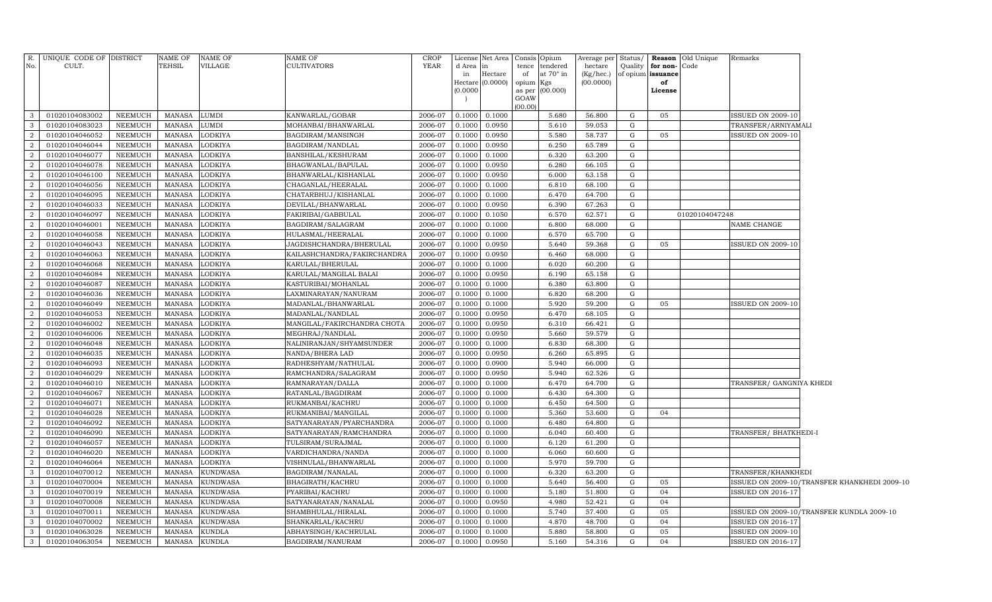| No.                 | R. UNIQUE CODE OF DISTRICT<br>CULT. |                    | <b>NAME OF</b><br><b>TEHSIL</b> | NAME OF<br>VILLAGE               | <b>NAME OF</b><br><b>CULTIVATORS</b>    | CROP<br>YEAR       | d Area              | License Net Area   Consis   Opium<br>in |                     | tence tendered   | Average per Status/<br>hectare | Quality | for non-      | Reason Old Unique<br>Code | Remarks                  |                                              |
|---------------------|-------------------------------------|--------------------|---------------------------------|----------------------------------|-----------------------------------------|--------------------|---------------------|-----------------------------------------|---------------------|------------------|--------------------------------|---------|---------------|---------------------------|--------------------------|----------------------------------------------|
|                     |                                     |                    |                                 |                                  |                                         |                    | in                  | Hectare<br>(0.0000)                     | of                  | at $70^\circ$ in | $(Kg/$ hec.) of opium issuance |         |               |                           |                          |                                              |
|                     |                                     |                    |                                 |                                  |                                         |                    | Hectare<br>(0.0000) |                                         | opium Kgs<br>as per | (00.000)         | (00.0000)                      |         | of<br>License |                           |                          |                                              |
|                     |                                     |                    |                                 |                                  |                                         |                    |                     |                                         | GOAW                |                  |                                |         |               |                           |                          |                                              |
|                     |                                     |                    |                                 |                                  |                                         |                    |                     |                                         | (00.00)             |                  |                                |         |               |                           |                          |                                              |
| $\mathbf{3}$        | 01020104083002                      | NEEMUCH            | MANASA                          | <b>LUMDI</b>                     | KANWARLAL/GOBAR                         | 2006-07            | 0.1000              | 0.1000                                  |                     | 5.680            | 56.800                         | G       | 05            |                           | <b>ISSUED ON 2009-10</b> |                                              |
| $\mathbf{3}$        | 01020104083023                      | NEEMUCH            | MANASA                          | <b>LUMDI</b>                     | MOHANBAI/BHANWARLAL                     | 2006-07            | 0.1000              | 0.0950                                  |                     | 5.610            | 59.053                         | G       |               |                           | TRANSFER/ARNIYAMALI      |                                              |
| $\overline{2}$      | 01020104046052                      | NEEMUCH            | MANASA                          | <b>LODKIYA</b>                   | BAGDIRAM/MANSINGH                       | 2006-07            | 0.1000              | 0.0950                                  |                     | 5.580            | 58.737                         | G       | 05            |                           | <b>ISSUED ON 2009-10</b> |                                              |
| $\overline{2}$      | 01020104046044                      | NEEMUCH            | MANASA                          | <b>LODKIYA</b>                   | BAGDIRAM/NANDLAL                        | 2006-07            | 0.1000              | 0.0950                                  |                     | 6.250            | 65.789                         | G       |               |                           |                          |                                              |
| $\overline{2}$      | 01020104046077                      | NEEMUCH            | MANASA                          | <b>LODKIYA</b>                   | BANSHILAL/KESHURAM                      | 2006-07            | 0.1000              | 0.1000                                  |                     | 6.320            | 63.200                         | G       |               |                           |                          |                                              |
| $\overline{2}$<br>2 | 01020104046078                      | NEEMUCH            | MANASA                          | <b>LODKIYA</b>                   | BHAGWANLAL/BAPULAL                      | 2006-07            | 0.1000              | 0.0950                                  |                     | 6.280            | 66.105                         | G       |               |                           |                          |                                              |
|                     | 01020104046100                      | NEEMUCH            | MANASA                          | <b>LODKIYA</b>                   | BHANWARLAL/KISHANLAL                    | 2006-07            | 0.1000              | 0.0950                                  |                     | 6.000            | 63.158                         | G       |               |                           |                          |                                              |
| $\overline{2}$      | 01020104046056                      | NEEMUCH            | MANASA                          | <b>LODKIYA</b>                   | CHAGANLAL/HEERALAL                      | 2006-07            | 0.1000              | 0.1000                                  |                     | 6.810            | 68.100                         | G       |               |                           |                          |                                              |
| $\overline{2}$<br>2 | 01020104046095                      | NEEMUCH            | MANASA                          | <b>LODKIYA</b>                   | CHATARBHUJ/KISHANLAL                    | 2006-07            | 0.1000              | 0.1000                                  |                     | 6.470            | 64.700                         | G<br>G  |               |                           |                          |                                              |
| $\overline{2}$      | 01020104046033                      | NEEMUCH            | MANASA                          | <b>LODKIYA</b>                   | DEVILAL/BHANWARLAL                      | 2006-07<br>2006-07 | 0.1000              | 0.0950                                  |                     | 6.390            | 67.263                         | G       |               |                           |                          |                                              |
| $\overline{2}$      | 01020104046097<br>01020104046001    | NEEMUCH<br>NEEMUCH | MANASA<br>MANASA                | <b>LODKIYA</b><br><b>LODKIYA</b> | FAKIRIBAI/GABBULAL<br>BAGDIRAM/SALAGRAM | 2006-07            | 0.1000<br>0.1000    | 0.1050<br>0.1000                        |                     | 6.570<br>6.800   | 62.571<br>68.000               | G       |               | 01020104047248            | NAME CHANGE              |                                              |
| 2                   | 01020104046058                      | NEEMUCH            | MANASA                          | <b>LODKIYA</b>                   | HULASMAL/HEERALAL                       | 2006-07            | 0.1000              | 0.1000                                  |                     | 6.570            | 65.700                         | G       |               |                           |                          |                                              |
| $\overline{2}$      | 01020104046043                      | NEEMUCH            | MANASA                          | <b>LODKIYA</b>                   | JAGDISHCHANDRA/BHERULAL                 | 2006-07            | 0.1000              | 0.0950                                  |                     | 5.640            | 59.368                         | G       | 05            |                           | <b>ISSUED ON 2009-10</b> |                                              |
| 2                   | 01020104046063                      | NEEMUCH            | <b>MANASA</b>                   | <b>LODKIYA</b>                   | KAILASHCHANDRA/FAKIRCHANDRA             | 2006-07            | 0.1000              | 0.0950                                  |                     | 6.460            | 68.000                         | G       |               |                           |                          |                                              |
| $\overline{2}$      | 01020104046068                      | NEEMUCH            | MANASA                          | <b>LODKIYA</b>                   | KARULAL/BHERULAL                        | 2006-07            | 0.1000              | 0.1000                                  |                     | 6.020            | 60.200                         | G       |               |                           |                          |                                              |
| $\overline{2}$      | 01020104046084                      | NEEMUCH            | <b>MANASA</b>                   | <b>LODKIYA</b>                   | KARULAL/MANGILAL BALAI                  | 2006-07            | 0.1000              | 0.0950                                  |                     | 6.190            | 65.158                         | G       |               |                           |                          |                                              |
| $\overline{2}$      | 01020104046087                      | NEEMUCH            | <b>MANASA</b>                   | LODKIYA                          | KASTURIBAI/MOHANLAL                     | 2006-07            | 0.1000              | 0.1000                                  |                     | 6.380            | 63.800                         | G       |               |                           |                          |                                              |
| $\overline{2}$      | 01020104046036                      | NEEMUCH            | <b>MANASA</b>                   | LODKIYA                          | LAXMINARAYAN/NANURAM                    | 2006-07            | 0.1000              | 0.1000                                  |                     | 6.820            | 68.200                         | G       |               |                           |                          |                                              |
| $\overline{2}$      | 01020104046049                      | NEEMUCH            | <b>MANASA</b>                   | LODKIYA                          | MADANLAL/BHANWARLAL                     | 2006-07            | 0.1000              | 0.1000                                  |                     | 5.920            | 59.200                         | G       | 05            |                           | <b>ISSUED ON 2009-10</b> |                                              |
| $\overline{2}$      | 01020104046053                      | NEEMUCH            | <b>MANASA</b>                   | LODKIYA                          | MADANLAL/NANDLAL                        | 2006-07            | 0.1000              | 0.0950                                  |                     | 6.470            | 68.105                         | G       |               |                           |                          |                                              |
| $\overline{a}$      | 01020104046002                      | NEEMUCH            | <b>MANASA</b>                   | LODKIYA                          | MANGILAL/FAKIRCHANDRA CHOTA             | 2006-07            | 0.1000              | 0.0950                                  |                     | 6.310            | 66.421                         | G       |               |                           |                          |                                              |
| $\overline{2}$      | 01020104046006                      | NEEMUCH            | <b>MANASA</b>                   | LODKIYA                          | MEGHRAJ/NANDLAL                         | 2006-07            | 0.1000              | 0.0950                                  |                     | 5.660            | 59.579                         | G       |               |                           |                          |                                              |
| 2                   | 01020104046048                      | NEEMUCH            | <b>MANASA</b>                   | LODKIYA                          | NALINIRANJAN/SHYAMSUNDER                | 2006-07            | 0.1000              | 0.1000                                  |                     | 6.830            | 68.300                         | G       |               |                           |                          |                                              |
| $\overline{2}$      | 01020104046035                      | NEEMUCH            | <b>MANASA</b>                   | LODKIYA                          | NANDA/BHERA LAD                         | 2006-07            | 0.1000              | 0.0950                                  |                     | 6.260            | 65.895                         | G       |               |                           |                          |                                              |
| $\overline{a}$      | 01020104046093                      | NEEMUCH            | <b>MANASA</b>                   | LODKIYA                          | RADHESHYAM/NATHULAL                     | 2006-07            | 0.1000              | 0.0900                                  |                     | 5.940            | 66.000                         | G       |               |                           |                          |                                              |
| $\overline{2}$      | 01020104046029                      | NEEMUCH            | <b>MANASA</b>                   | LODKIYA                          | RAMCHANDRA/SALAGRAM                     | 2006-07            | 0.1000              | 0.0950                                  |                     | 5.940            | 62.526                         | G       |               |                           |                          |                                              |
| 2                   | 01020104046010                      | NEEMUCH            | <b>MANASA</b>                   | LODKIYA                          | RAMNARAYAN/DALLA                        | 2006-07            | 0.1000              | 0.1000                                  |                     | 6.470            | 64.700                         | G       |               |                           | TRANSFER/ GANGNIYA KHEDI |                                              |
| $\overline{2}$      | 01020104046067                      | NEEMUCH            | <b>MANASA</b>                   | LODKIYA                          | RATANLAL/BAGDIRAM                       | 2006-07            | 0.1000              | 0.1000                                  |                     | 6.430            | 64.300                         | G       |               |                           |                          |                                              |
| -2                  | 01020104046071                      | NEEMUCH            | <b>MANASA</b>                   | <b>LODKIYA</b>                   | RUKMANBAI/KACHRU                        | 2006-07            | 0.1000              | 0.1000                                  |                     | 6.450            | 64.500                         | G       |               |                           |                          |                                              |
| $\overline{2}$      | 01020104046028                      | NEEMUCH            | <b>MANASA</b>                   | LODKIYA                          | RUKMANIBAI/MANGILAL                     | 2006-07            | 0.1000              | 0.1000                                  |                     | 5.360            | 53.600                         | G       | 04            |                           |                          |                                              |
| 2                   | 01020104046092                      | NEEMUCH            | <b>MANASA</b>                   | LODKIYA                          | SATYANARAYAN/PYARCHANDRA                | 2006-07            | 0.1000              | 0.1000                                  |                     | 6.480            | 64.800                         | G       |               |                           |                          |                                              |
| -2                  | 01020104046090                      | NEEMUCH            | <b>MANASA</b>                   | LODKIYA                          | SATYANARAYAN/RAMCHANDRA                 | 2006-07            | 0.1000              | 0.1000                                  |                     | 6.040            | 60.400                         | G       |               |                           | TRANSFER/BHATKHEDI-I     |                                              |
| 2                   | 01020104046057                      | NEEMUCH            | <b>MANASA</b>                   | <b>LODKIYA</b>                   | TULSIRAM/SURAJMAL                       | 2006-07            | 0.1000              | 0.1000                                  |                     | 6.120            | 61.200                         | G       |               |                           |                          |                                              |
| $\overline{2}$      | 01020104046020                      | NEEMUCH            | <b>MANASA</b>                   | <b>LODKIYA</b>                   | VARDICHANDRA/NANDA                      | 2006-07            | 0.1000              | 0.1000                                  |                     | 6.060            | 60.600                         | G       |               |                           |                          |                                              |
| -2                  | 01020104046064                      | NEEMUCH            | <b>MANASA</b>                   | <b>LODKIYA</b>                   | VISHNULAL/BHANWARLAL                    | 2006-07            | 0.1000              | 0.1000                                  |                     | 5.970            | 59.700                         | G       |               |                           |                          |                                              |
| $\mathbf{3}$        | 01020104070012                      | NEEMUCH            | <b>MANASA</b>                   | <b>KUNDWASA</b>                  | BAGDIRAM/NANALAL                        | 2006-07            | 0.1000              | 0.1000                                  |                     | 6.320            | 63.200                         | G       |               |                           | TRANSFER/KHANKHEDI       |                                              |
| $\mathbf{3}$        | 01020104070004                      | NEEMUCH            | <b>MANASA</b>                   | <b>KUNDWASA</b>                  | BHAGIRATH/KACHRU                        | 2006-07            | 0.1000              | 0.1000                                  |                     | 5.640            | 56.400                         | G       | 05            |                           |                          | ISSUED ON 2009-10/TRANSFER KHANKHEDI 2009-10 |
| $\mathbf{3}$        | 01020104070019                      | NEEMUCH            | <b>MANASA</b>                   | <b>KUNDWASA</b>                  | PYARIBAI/KACHRU                         | 2006-07            | 0.1000              | 0.1000                                  |                     | 5.180            | 51.800                         | G       | 04            |                           | <b>ISSUED ON 2016-17</b> |                                              |
| $\mathbf{3}$        | 01020104070008                      | NEEMUCH            | <b>MANASA</b>                   | <b>KUNDWASA</b>                  | SATYANARAYAN/NANALAL                    | 2006-07            | 0.1000              | 0.0950                                  |                     | 4.980            | 52.421                         | G       | 04            |                           |                          |                                              |
| $\mathbf{3}$        | 01020104070011                      | NEEMUCH            | <b>MANASA</b>                   | <b>KUNDWASA</b>                  | SHAMBHULAL/HIRALAL                      | 2006-07            | 0.1000              | 0.1000                                  |                     | 5.740            | 57.400                         | G       | 05            |                           |                          | ISSUED ON 2009-10/TRANSFER KUNDLA 2009-10    |
| $\mathbf{3}$        | 01020104070002                      | NEEMUCH            | <b>MANASA</b>                   | <b>KUNDWASA</b>                  | SHANKARLAL/KACHRU                       | 2006-07            | 0.1000              | 0.1000                                  |                     | 4.870            | 48.700                         | G       | 04            |                           | <b>ISSUED ON 2016-17</b> |                                              |
| $\mathbf{3}$        | 01020104063028                      | NEEMUCH            | MANASA                          | <b>KUNDLA</b>                    | ABHAYSINGH/KACHRULAL                    | 2006-07            | 0.1000              | 0.1000                                  |                     | 5.880            | 58.800                         | G       | 05            |                           | <b>ISSUED ON 2009-10</b> |                                              |
| $\mathbf{3}$        | 01020104063054                      | NEEMUCH            | MANASA KUNDLA                   |                                  | BAGDIRAM/NANURAM                        | 2006-07            | 0.1000              | 0.0950                                  |                     | 5.160            | 54.316                         | G       | 04            |                           | <b>ISSUED ON 2016-17</b> |                                              |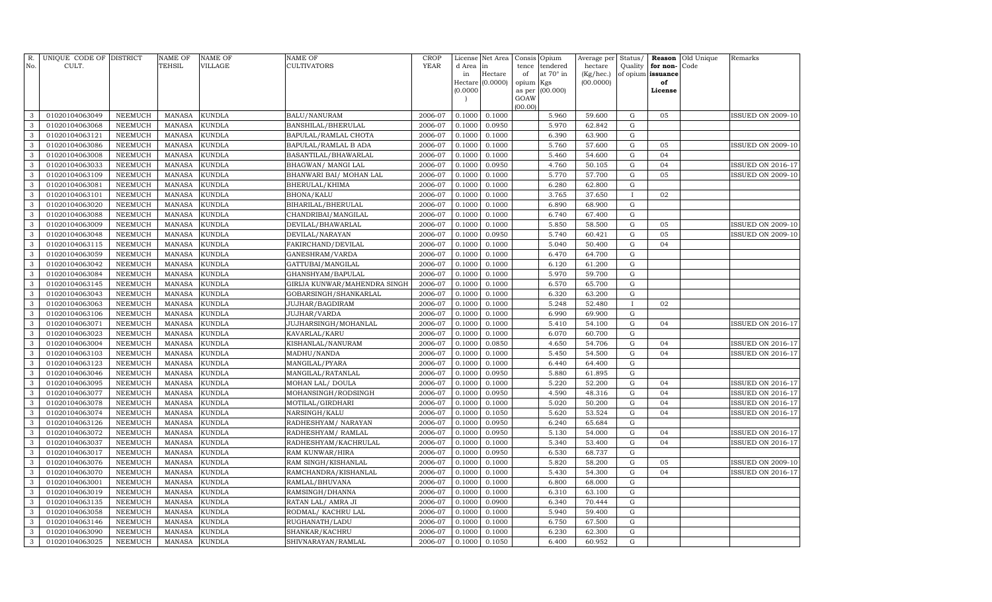| R.<br>No.    | UNIQUE CODE OF DISTRICT<br>CULT. |                | <b>NAME OF</b><br>TEHSIL | NAME OF<br><b>VILLAGE</b> | NAME OF<br><b>CULTIVATORS</b> | <b>CROP</b><br><b>YEAR</b> | License<br>d Area | Net Area<br>in   | Consis<br>tence | Opium<br>tendered | Average per<br>hectare | Status/<br>Quality | Reason<br>for non- | Old Unique<br>Code | Remarks                  |
|--------------|----------------------------------|----------------|--------------------------|---------------------------|-------------------------------|----------------------------|-------------------|------------------|-----------------|-------------------|------------------------|--------------------|--------------------|--------------------|--------------------------|
|              |                                  |                |                          |                           |                               |                            | in                | Hectare          | of              | at 70° in         | (Kg/hec.)              |                    | of opium issuance  |                    |                          |
|              |                                  |                |                          |                           |                               |                            | (0.0000)          | Hectare (0.0000) | opium           | Kgs               | (00.0000)              |                    | of                 |                    |                          |
|              |                                  |                |                          |                           |                               |                            |                   |                  | as per<br>GOAW  | (00.000)          |                        |                    | License            |                    |                          |
|              |                                  |                |                          |                           |                               |                            |                   |                  | (00.00)         |                   |                        |                    |                    |                    |                          |
| 3            | 01020104063049                   | <b>NEEMUCH</b> | <b>MANASA</b>            | <b>KUNDLA</b>             | BALU/NANURAM                  | 2006-07                    | 0.1000            | 0.1000           |                 | 5.960             | 59.600                 | ${\rm G}$          | 05                 |                    | <b>ISSUED ON 2009-10</b> |
| 3            | 01020104063068                   | <b>NEEMUCH</b> | <b>MANASA</b>            | <b>KUNDLA</b>             | BANSHILAL/BHERULAL            | 2006-07                    | 0.1000            | 0.0950           |                 | 5.970             | 62.842                 | ${\rm G}$          |                    |                    |                          |
| 3            | 01020104063121                   | <b>NEEMUCH</b> | <b>MANASA</b>            | <b>KUNDLA</b>             | BAPULAL/RAMLAL CHOTA          | 2006-07                    | 0.1000            | 0.1000           |                 | 6.390             | 63.900                 | ${\rm G}$          |                    |                    |                          |
| 3            | 01020104063086                   | <b>NEEMUCH</b> | <b>MANASA</b>            | <b>KUNDLA</b>             | BAPULAL/RAMLAL B ADA          | 2006-07                    | 0.1000            | 0.1000           |                 | 5.760             | 57.600                 | ${\rm G}$          | 05                 |                    | <b>ISSUED ON 2009-10</b> |
| 3            | 01020104063008                   | <b>NEEMUCH</b> | <b>MANASA</b>            | <b>KUNDLA</b>             | BASANTILAL/BHAWARLAL          | 2006-07                    | 0.1000            | 0.1000           |                 | 5.460             | 54.600                 | ${\rm G}$          | 04                 |                    |                          |
| 3            | 01020104063033                   | <b>NEEMUCH</b> | <b>MANASA</b>            | KUNDLA                    | BHAGWAN / MANGI LAL           | 2006-07                    | 0.1000            | 0.0950           |                 | 4.760             | 50.105                 | G                  | 04                 |                    | <b>ISSUED ON 2016-17</b> |
| 3            | 01020104063109                   | <b>NEEMUCH</b> | <b>MANASA</b>            | KUNDLA                    | BHANWARI BAI/ MOHAN LAL       | 2006-07                    | 0.1000            | 0.1000           |                 | 5.770             | 57.700                 | G                  | 05                 |                    | ISSUED ON 2009-10        |
| 3            | 01020104063081                   | <b>NEEMUCH</b> | <b>MANASA</b>            | <b>KUNDLA</b>             | BHERULAL/KHIMA                | 2006-07                    | 0.1000            | 0.1000           |                 | 6.280             | 62.800                 | ${\rm G}$          |                    |                    |                          |
| 3            | 01020104063101                   | <b>NEEMUCH</b> | <b>MANASA</b>            | <b>KUNDLA</b>             | BHONA/KALU                    | 2006-07                    | 0.1000            | 0.1000           |                 | 3.765             | 37.650                 | $\mathbf I$        | 02                 |                    |                          |
| 3            | 01020104063020                   | <b>NEEMUCH</b> | <b>MANASA</b>            | KUNDLA                    | BIHARILAL/BHERULAL            | 2006-07                    | 0.1000            | 0.1000           |                 | 6.890             | 68.900                 | ${\bf G}$          |                    |                    |                          |
| 3            | 01020104063088                   | <b>NEEMUCH</b> | <b>MANASA</b>            | <b>KUNDLA</b>             | CHANDRIBAI/MANGILAL           | 2006-07                    | 0.1000            | 0.1000           |                 | 6.740             | 67.400                 | ${\bf G}$          |                    |                    |                          |
| 3            | 01020104063009                   | <b>NEEMUCH</b> | <b>MANASA</b>            | <b>KUNDLA</b>             | DEVILAL/BHAWARLAL             | 2006-07                    | 0.1000            | 0.1000           |                 | 5.850             | 58.500                 | ${\rm G}$          | 05                 |                    | <b>ISSUED ON 2009-10</b> |
| 3            | 01020104063048                   | <b>NEEMUCH</b> | <b>MANASA</b>            | <b>KUNDLA</b>             | DEVILAL/NARAYAN               | 2006-07                    | 0.1000            | 0.0950           |                 | 5.740             | 60.421                 | ${\bf G}$          | 05                 |                    | ISSUED ON 2009-10        |
| $\mathbf{3}$ | 01020104063115                   | <b>NEEMUCH</b> | <b>MANASA</b>            | KUNDLA                    | FAKIRCHAND/DEVILAL            | 2006-07                    | 0.1000            | 0.1000           |                 | 5.040             | 50.400                 | ${\rm G}$          | 04                 |                    |                          |
| 3            | 01020104063059                   | <b>NEEMUCH</b> | <b>MANASA</b>            | KUNDLA                    | GANESHRAM/VARDA               | 2006-07                    | 0.1000            | 0.1000           |                 | 6.470             | 64.700                 | ${\rm G}$          |                    |                    |                          |
| 3            | 01020104063042                   | <b>NEEMUCH</b> | <b>MANASA</b>            | KUNDLA                    | GATTUBAI/MANGILAL             | 2006-07                    | 0.1000            | 0.1000           |                 | 6.120             | 61.200                 | G                  |                    |                    |                          |
| 3            | 01020104063084                   | <b>NEEMUCH</b> | <b>MANASA</b>            | KUNDLA                    | GHANSHYAM/BAPULAL             | 2006-07                    | 0.1000            | 0.1000           |                 | 5.970             | 59.700                 | ${\rm G}$          |                    |                    |                          |
| 3            | 01020104063145                   | <b>NEEMUCH</b> | <b>MANASA</b>            | KUNDLA                    | GIRIJA KUNWAR/MAHENDRA SINGH  | 2006-07                    | 0.1000            | 0.1000           |                 | 6.570             | 65.700                 | $\mathbf G$        |                    |                    |                          |
| 3            | 01020104063043                   | <b>NEEMUCH</b> | <b>MANASA</b>            | <b>KUNDLA</b>             | GOBARSINGH/SHANKARLAL         | 2006-07                    | 0.1000            | 0.1000           |                 | 6.320             | 63.200                 | ${\bf G}$          |                    |                    |                          |
| 3            | 01020104063063                   | <b>NEEMUCH</b> | <b>MANASA</b>            | <b>KUNDLA</b>             | JUJHAR/BAGDIRAM               | 2006-07                    | 0.1000            | 0.1000           |                 | 5.248             | 52.480                 | <b>I</b>           | 02                 |                    |                          |
| 3            | 01020104063106                   | <b>NEEMUCH</b> | <b>MANASA</b>            | KUNDLA                    | JUJHAR/VARDA                  | 2006-07                    | 0.1000            | 0.1000           |                 | 6.990             | 69.900                 | ${\bf G}$          |                    |                    |                          |
| 3            | 01020104063071                   | <b>NEEMUCH</b> | <b>MANASA</b>            | <b>KUNDLA</b>             | JUJHARSINGH/MOHANLAL          | 2006-07                    | 0.1000            | 0.1000           |                 | 5.410             | 54.100                 | ${\rm G}$          | 04                 |                    | ISSUED ON 2016-17        |
| 3            | 01020104063023                   | <b>NEEMUCH</b> | <b>MANASA</b>            | <b>KUNDLA</b>             | KAVARLAL/KARU                 | 2006-07                    | 0.1000            | 0.1000           |                 | 6.070             | 60.700                 | ${\rm G}$          |                    |                    |                          |
| 3            | 01020104063004                   | <b>NEEMUCH</b> | <b>MANASA</b>            | <b>KUNDLA</b>             | KISHANLAL/NANURAM             | 2006-07                    | 0.1000            | 0.0850           |                 | 4.650             | 54.706                 | ${\rm G}$          | 04                 |                    | ISSUED ON 2016-17        |
| 3            | 01020104063103                   | <b>NEEMUCH</b> | <b>MANASA</b>            | <b>KUNDLA</b>             | MADHU/NANDA                   | 2006-07                    | 0.1000            | 0.1000           |                 | 5.450             | 54.500                 | ${\rm G}$          | 04                 |                    | ISSUED ON 2016-17        |
| 3            | 01020104063123                   | <b>NEEMUCH</b> | <b>MANASA</b>            | <b>KUNDLA</b>             | MANGILAL/PYARA                | 2006-07                    | 0.1000            | 0.1000           |                 | 6.440             | 64.400                 | G                  |                    |                    |                          |
| 3            | 01020104063046                   | <b>NEEMUCH</b> | <b>MANASA</b>            | <b>KUNDLA</b>             | MANGILAL/RATANLAL             | 2006-07                    | 0.1000            | 0.0950           |                 | 5.880             | 61.895                 | $\mathbf G$        |                    |                    |                          |
| 3            | 01020104063095                   | <b>NEEMUCH</b> | <b>MANASA</b>            | <b>KUNDLA</b>             | MOHAN LAL/ DOULA              | 2006-07                    | 0.1000            | 0.1000           |                 | 5.220             | 52.200                 | ${\rm G}$          | 04                 |                    | ISSUED ON 2016-17        |
| 3            | 01020104063077                   | <b>NEEMUCH</b> | <b>MANASA</b>            | <b>KUNDLA</b>             | MOHANSINGH/RODSINGH           | 2006-07                    | 0.1000            | 0.0950           |                 | 4.590             | 48.316                 | $\mathbf G$        | 04                 |                    | ISSUED ON 2016-17        |
| 3            | 01020104063078                   | <b>NEEMUCH</b> | <b>MANASA</b>            | KUNDLA                    | MOTILAL/GIRDHARI              | 2006-07                    | 0.1000            | 0.1000           |                 | 5.020             | 50.200                 | ${\bf G}$          | 04                 |                    | ISSUED ON 2016-17        |
| 3            | 01020104063074                   | <b>NEEMUCH</b> | <b>MANASA</b>            | <b>KUNDLA</b>             | NARSINGH/KALU                 | 2006-07                    | 0.1000            | 0.1050           |                 | 5.620             | 53.524                 | ${\bf G}$          | 04                 |                    | ISSUED ON 2016-17        |
| 3            | 01020104063126                   | <b>NEEMUCH</b> | <b>MANASA</b>            | <b>KUNDLA</b>             | RADHESHYAM/ NARAYAN           | 2006-07                    | 0.1000            | 0.0950           |                 | 6.240             | 65.684                 | ${\rm G}$          |                    |                    |                          |
| 3            | 01020104063072                   | <b>NEEMUCH</b> | <b>MANASA</b>            | <b>KUNDLA</b>             | RADHESHYAM / RAMLAL           | 2006-07                    | 0.1000            | 0.0950           |                 | 5.130             | 54.000                 | ${\bf G}$          | 04                 |                    | ISSUED ON 2016-17        |
| 3            | 01020104063037                   | <b>NEEMUCH</b> | <b>MANASA</b>            | <b>KUNDLA</b>             | RADHESHYAM/KACHRULAL          | 2006-07                    | 0.1000            | 0.1000           |                 | 5.340             | 53.400                 | ${\rm G}$          | 04                 |                    | ISSUED ON 2016-17        |
| 3            | 01020104063017                   | <b>NEEMUCH</b> | <b>MANASA</b>            | <b>KUNDLA</b>             | RAM KUNWAR/HIRA               | 2006-07                    | 0.1000            | 0.0950           |                 | 6.530             | 68.737                 | ${\rm G}$          |                    |                    |                          |
| 3            | 01020104063076                   | <b>NEEMUCH</b> | <b>MANASA</b>            | KUNDLA                    | RAM SINGH/KISHANLAL           | 2006-07                    | 0.1000            | 0.1000           |                 | 5.820             | 58.200                 | ${\rm G}$          | 05                 |                    | <b>ISSUED ON 2009-10</b> |
| 3            | 01020104063070                   | <b>NEEMUCH</b> | <b>MANASA</b>            | KUNDLA                    | RAMCHANDRA/KISHANLAL          | 2006-07                    | 0.1000            | 0.1000           |                 | 5.430             | 54.300                 | $\mathbf G$        | 04                 |                    | ISSUED ON 2016-17        |
| 3            | 01020104063001                   | <b>NEEMUCH</b> | <b>MANASA</b>            | <b>KUNDLA</b>             | RAMLAL/BHUVANA                | 2006-07                    | 0.1000            | 0.1000           |                 | 6.800             | 68.000                 | $\mathbf G$        |                    |                    |                          |
| 3            | 01020104063019                   | <b>NEEMUCH</b> | <b>MANASA</b>            | <b>KUNDLA</b>             | RAMSINGH/DHANNA               | 2006-07                    | 0.1000            | 0.1000           |                 | 6.310             | 63.100                 | ${\bf G}$          |                    |                    |                          |
| 3            | 01020104063135                   | <b>NEEMUCH</b> | <b>MANASA</b>            | <b>KUNDLA</b>             | RATAN LAL/ AMRA JI            | 2006-07                    | 0.1000            | 0.0900           |                 | 6.340             | 70.444                 | ${\bf G}$          |                    |                    |                          |
| 3            | 01020104063058                   | <b>NEEMUCH</b> | <b>MANASA</b>            | KUNDLA                    | RODMAL/ KACHRU LAL            | 2006-07                    | 0.1000            | 0.1000           |                 | 5.940             | 59.400                 | ${\bf G}$          |                    |                    |                          |
| 3            | 01020104063146                   | <b>NEEMUCH</b> | <b>MANASA</b>            | KUNDLA                    | RUGHANATH/LADU                | 2006-07                    | 0.1000            | 0.1000           |                 | 6.750             | 67.500                 | ${\rm G}$          |                    |                    |                          |
| 3            | 01020104063090                   | <b>NEEMUCH</b> | <b>MANASA</b>            | <b>KUNDLA</b>             | SHANKAR/KACHRU                | 2006-07                    | 0.1000            | 0.1000           |                 | 6.230             | 62.300                 | ${\rm G}$          |                    |                    |                          |
| $\mathbf{3}$ | 01020104063025                   | <b>NEEMUCH</b> | <b>MANASA</b>            | <b>KUNDLA</b>             | SHIVNARAYAN/RAMLAL            | 2006-07                    | 0.1000            | 0.1050           |                 | 6.400             | 60.952                 | ${\rm G}$          |                    |                    |                          |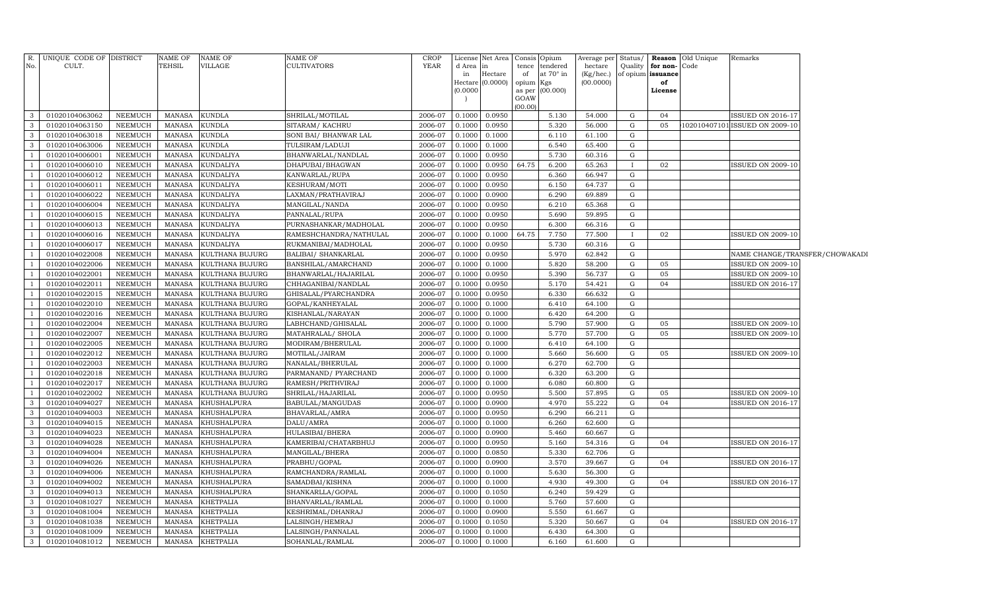| R.             | UNIQUE CODE OF DISTRICT |                | <b>NAME OF</b> | <b>NAME OF</b>     | NAME OF                | <b>CROP</b> | License             | Net Area |           | Consis Opium    | Average per | Status/     | Reason            | Old Unique | Remarks                        |  |
|----------------|-------------------------|----------------|----------------|--------------------|------------------------|-------------|---------------------|----------|-----------|-----------------|-------------|-------------|-------------------|------------|--------------------------------|--|
| No.            | CULT.                   |                | TEHSIL         | <b>VILLAGE</b>     | <b>CULTIVATORS</b>     | <b>YEAR</b> | d Area              | $\ln$    |           | tence tendered  | hectare     | Quality     | for non-          | Code       |                                |  |
|                |                         |                |                |                    |                        |             | in                  | Hectare  | of        | at 70° in       | (Kg/hec.)   |             | of opium issuance |            |                                |  |
|                |                         |                |                |                    |                        |             | Hectare<br>(0.0000) | (0.0000) | opium Kgs | as per (00.000) | (00.0000)   |             | of<br>License     |            |                                |  |
|                |                         |                |                |                    |                        |             |                     |          | GOAW      |                 |             |             |                   |            |                                |  |
|                |                         |                |                |                    |                        |             |                     |          | (00.00)   |                 |             |             |                   |            |                                |  |
| 3              | 01020104063062          | NEEMUCH        | MANASA         | <b>KUNDLA</b>      | SHRILAL/MOTILAL        | 2006-07     | 0.1000              | 0.0950   |           | 5.130           | 54.000      | G           | 04                |            | <b>ISSUED ON 2016-17</b>       |  |
| 3              | 01020104063150          | NEEMUCH        | <b>MANASA</b>  | <b>KUNDLA</b>      | SITARAM/KACHRU         | 2006-07     | 0.1000              | 0.0950   |           | 5.320           | 56.000      | G           | 05                |            | 102010407101 ISSUED ON 2009-10 |  |
| 3              | 01020104063018          | <b>NEEMUCH</b> | <b>MANASA</b>  | <b>KUNDLA</b>      | SONI BAI/ BHANWAR LAL  | 2006-07     | 0.1000              | 0.1000   |           | 6.110           | 61.100      | G           |                   |            |                                |  |
| 3              | 01020104063006          | <b>NEEMUCH</b> | <b>MANASA</b>  | <b>KUNDLA</b>      | TULSIRAM/LADUJI        | 2006-07     | 0.1000              | 0.1000   |           | 6.540           | 65.400      | G           |                   |            |                                |  |
|                | 01020104006001          | <b>NEEMUCH</b> | <b>MANASA</b>  | <b>KUNDALIYA</b>   | BHANWARLAL/NANDLAL     | 2006-07     | 0.1000              | 0.0950   |           | 5.730           | 60.316      | G           |                   |            |                                |  |
| $\mathbf{1}$   | 01020104006010          | NEEMUCH        | <b>MANASA</b>  | <b>KUNDALIYA</b>   | DHAPUBAI/BHAGWAN       | 2006-07     | 0.1000              | 0.0950   | 64.75     | 6.200           | 65.263      | $\bf{I}$    | 02                |            | <b>ISSUED ON 2009-10</b>       |  |
| $\mathbf{1}$   | 01020104006012          | <b>NEEMUCH</b> | <b>MANASA</b>  | <b>KUNDALIYA</b>   | KANWARLAL/RUPA         | 2006-07     | 0.1000              | 0.0950   |           | 6.360           | 66.947      | G           |                   |            |                                |  |
| $\mathbf{1}$   | 01020104006011          | NEEMUCH        | <b>MANASA</b>  | <b>KUNDALIYA</b>   | KESHURAM/MOTI          | 2006-07     | 0.1000              | 0.0950   |           | 6.150           | 64.737      | G           |                   |            |                                |  |
| $\mathbf{1}$   | 01020104006022          | NEEMUCH        | <b>MANASA</b>  | <b>KUNDALIYA</b>   | LAXMAN/PRATHAVIRAJ     | 2006-07     | 0.1000              | 0.0900   |           | 6.290           | 69.889      | G           |                   |            |                                |  |
|                | 01020104006004          | NEEMUCH        | <b>MANASA</b>  | <b>KUNDALIYA</b>   | MANGILAL/NANDA         | 2006-07     | 0.1000              | 0.0950   |           | 6.210           | 65.368      | G           |                   |            |                                |  |
|                | 01020104006015          | NEEMUCH        | <b>MANASA</b>  | <b>KUNDALIYA</b>   | PANNALAL/RUPA          | 2006-07     | 0.1000              | 0.0950   |           | 5.690           | 59.895      | G           |                   |            |                                |  |
|                | 01020104006013          | <b>NEEMUCH</b> | <b>MANASA</b>  | <b>KUNDALIYA</b>   | PURNASHANKAR/MADHOLAL  | 2006-07     | 0.1000              | 0.0950   |           | 6.300           | 66.316      | ${\rm G}$   |                   |            |                                |  |
|                | 01020104006016          | <b>NEEMUCH</b> | <b>MANASA</b>  | <b>KUNDALIYA</b>   | RAMESHCHANDRA/NATHULAL | 2006-07     | 0.1000              | 0.1000   | 64.75     | 7.750           | 77.500      | $\bf{I}$    | 02                |            | <b>ISSUED ON 2009-10</b>       |  |
|                | 01020104006017          | <b>NEEMUCH</b> | <b>MANASA</b>  | <b>KUNDALIYA</b>   | RUKMANIBAI/MADHOLAL    | 2006-07     | 0.1000              | 0.0950   |           | 5.730           | 60.316      | G           |                   |            |                                |  |
| $\overline{1}$ | 01020104022008          | <b>NEEMUCH</b> | <b>MANASA</b>  | KULTHANA BUJURG    | BALIBAI / SHANKARLAL   | 2006-07     | 0.1000              | 0.0950   |           | 5.970           | 62.842      | G           |                   |            | NAME CHANGE/TRANSFER/CHOWAKADI |  |
|                | 01020104022006          | <b>NEEMUCH</b> | <b>MANASA</b>  | KULTHANA BUJURG    | BANSHILAL/AMARCHAND    | 2006-07     | 0.1000              | 0.1000   |           | 5.820           | 58.200      | G           | 05                |            | <b>ISSUED ON 2009-10</b>       |  |
|                | 01020104022001          | NEEMUCH        | <b>MANASA</b>  | KULTHANA BUJURG    | BHANWARLAL/HAJARILAL   | 2006-07     | 0.1000              | 0.0950   |           | 5.390           | 56.737      | ${\rm G}$   | 05                |            | ISSUED ON 2009-10              |  |
|                | 01020104022011          | NEEMUCH        | <b>MANASA</b>  | KULTHANA BUJURG    | CHHAGANIBAI/NANDLAL    | 2006-07     | 0.1000              | 0.0950   |           | 5.170           | 54.421      | G           | 04                |            | <b>ISSUED ON 2016-17</b>       |  |
|                | 01020104022015          | NEEMUCH        | <b>MANASA</b>  | KULTHANA BUJURG    | GHISALAL/PYARCHANDRA   | 2006-07     | 0.1000              | 0.0950   |           | 6.330           | 66.632      | G           |                   |            |                                |  |
|                | 01020104022010          | NEEMUCH        | <b>MANASA</b>  | KULTHANA BUJURG    | GOPAL/KANHEYALAL       | 2006-07     | 0.1000              | 0.1000   |           | 6.410           | 64.100      | G           |                   |            |                                |  |
|                | 01020104022016          | <b>NEEMUCH</b> | <b>MANASA</b>  | KULTHANA BUJURG    | KISHANLAL/NARAYAN      | 2006-07     | 0.1000              | 0.1000   |           | 6.420           | 64.200      | ${\rm G}$   |                   |            |                                |  |
|                | 01020104022004          | NEEMUCH        | <b>MANASA</b>  | KULTHANA BUJURG    | LABHCHAND/GHISALAL     | 2006-07     | 0.1000              | 0.1000   |           | 5.790           | 57.900      | ${\rm G}$   | 05                |            | <b>ISSUED ON 2009-10</b>       |  |
|                | 01020104022007          | NEEMUCH        | <b>MANASA</b>  | KULTHANA BUJURG    | MATAHRALAL/ SHOLA      | 2006-07     | 0.1000              | 0.1000   |           | 5.770           | 57.700      | ${\rm G}$   | 05                |            | <b>ISSUED ON 2009-10</b>       |  |
|                | 01020104022005          | NEEMUCH        | <b>MANASA</b>  | KULTHANA BUJURG    | MODIRAM/BHERULAL       | 2006-07     | 0.1000              | 0.1000   |           | 6.410           | 64.100      | G           |                   |            |                                |  |
|                | 01020104022012          | NEEMUCH        | <b>MANASA</b>  | KULTHANA BUJURG    | MOTILAL/JAIRAM         | 2006-07     | 0.1000              | 0.1000   |           | 5.660           | 56.600      | ${\rm G}$   | 05                |            | <b>ISSUED ON 2009-10</b>       |  |
|                | 01020104022003          | NEEMUCH        | <b>MANASA</b>  | KULTHANA BUJURG    | NANALAL/BHERULAL       | 2006-07     | 0.1000              | 0.1000   |           | 6.270           | 62.700      | G           |                   |            |                                |  |
|                | 01020104022018          | NEEMUCH        | <b>MANASA</b>  | KULTHANA BUJURG    | PARMANAND/ PYARCHAND   | 2006-07     | 0.1000              | 0.1000   |           | 6.320           | 63.200      | G           |                   |            |                                |  |
|                | 01020104022017          | <b>NEEMUCH</b> | <b>MANASA</b>  | KULTHANA BUJURG    | RAMESH/PRITHVIRAJ      | 2006-07     | 0.1000              | 0.1000   |           | 6.080           | 60.800      | G           |                   |            |                                |  |
|                | 01020104022002          | NEEMUCH        | <b>MANASA</b>  | KULTHANA BUJURG    | SHRILAL/HAJARILAL      | 2006-07     | 0.1000              | 0.0950   |           | 5.500           | 57.895      | G           | 05                |            | <b>ISSUED ON 2009-10</b>       |  |
| 3              | 01020104094027          | NEEMUCH        | <b>MANASA</b>  | KHUSHALPURA        | BABULAL/MANGUDAS       | 2006-07     | 0.1000              | 0.0900   |           | 4.970           | 55.222      | G           | 04                |            | <b>ISSUED ON 2016-17</b>       |  |
| 3              | 01020104094003          | NEEMUCH        | <b>MANASA</b>  | KHUSHALPURA        | BHAVARLAL/AMRA         | 2006-07     | 0.1000              | 0.0950   |           | 6.290           | 66.211      | G           |                   |            |                                |  |
| 3              | 01020104094015          | NEEMUCH        | <b>MANASA</b>  | <b>KHUSHALPURA</b> | DALU/AMRA              | 2006-07     | 0.1000              | 0.1000   |           | 6.260           | 62.600      | G           |                   |            |                                |  |
| 3              | 01020104094023          | NEEMUCH        | <b>MANASA</b>  | KHUSHALPURA        | HULASIBAI/BHERA        | 2006-07     | 0.1000              | 0.0900   |           | 5.460           | 60.667      | G           |                   |            |                                |  |
| 3              | 01020104094028          | NEEMUCH        | <b>MANASA</b>  | <b>KHUSHALPURA</b> | KAMERIBAI/CHATARBHUJ   | 2006-07     | 0.1000              | 0.0950   |           | 5.160           | 54.316      | G           | 04                |            | <b>ISSUED ON 2016-17</b>       |  |
| 3              | 01020104094004          | <b>NEEMUCH</b> | <b>MANASA</b>  | <b>KHUSHALPURA</b> | MANGILAL/BHERA         | 2006-07     | 0.1000              | 0.0850   |           | 5.330           | 62.706      | $\mathbf G$ |                   |            |                                |  |
| 3              | 01020104094026          | <b>NEEMUCH</b> | <b>MANASA</b>  | <b>KHUSHALPURA</b> | PRABHU/GOPAL           | 2006-07     | 0.1000              | 0.0900   |           | 3.570           | 39.667      | $\mathbf G$ | 04                |            | ISSUED ON 2016-17              |  |
| 3              | 01020104094006          | <b>NEEMUCH</b> | <b>MANASA</b>  | <b>KHUSHALPURA</b> | RAMCHANDRA/RAMLAL      | 2006-07     | 0.1000              | 0.1000   |           | 5.630           | 56.300      | G           |                   |            |                                |  |
| 3              | 01020104094002          | <b>NEEMUCH</b> | <b>MANASA</b>  | <b>KHUSHALPURA</b> | SAMADBAI/KISHNA        | 2006-07     | 0.1000              | 0.1000   |           | 4.930           | 49.300      | G           | 04                |            | <b>ISSUED ON 2016-17</b>       |  |
| 3              | 01020104094013          | <b>NEEMUCH</b> | <b>MANASA</b>  | <b>KHUSHALPURA</b> | SHANKARLLA/GOPAL       | 2006-07     | 0.1000              | 0.1050   |           | 6.240           | 59.429      | $\mathbf G$ |                   |            |                                |  |
| 3              | 01020104081027          | <b>NEEMUCH</b> | <b>MANASA</b>  | <b>KHETPALIA</b>   | BHANVARLAL/RAMLAL      | 2006-07     | 0.1000              | 0.1000   |           | 5.760           | 57.600      | $\mathbf G$ |                   |            |                                |  |
| 3              | 01020104081004          | <b>NEEMUCH</b> | <b>MANASA</b>  | <b>KHETPALIA</b>   | KESHRIMAL/DHANRAJ      | 2006-07     | 0.1000              | 0.0900   |           | 5.550           | 61.667      | G           |                   |            |                                |  |
| 3              | 01020104081038          | <b>NEEMUCH</b> | <b>MANASA</b>  | <b>KHETPALIA</b>   | LALSINGH/HEMRAJ        | 2006-07     | 0.1000              | 0.1050   |           | 5.320           | 50.667      | ${\rm G}$   | 04                |            | ISSUED ON 2016-17              |  |
| $\mathbf{3}$   | 01020104081009          | <b>NEEMUCH</b> | <b>MANASA</b>  | <b>KHETPALIA</b>   | LALSINGH/PANNALAL      | 2006-07     | 0.1000              | 0.1000   |           | 6.430           | 64.300      | ${\rm G}$   |                   |            |                                |  |
| $\mathbf{3}$   | 01020104081012          | <b>NEEMUCH</b> | MANASA         | <b>KHETPALIA</b>   | SOHANLAL/RAMLAL        | 2006-07     | 0.1000              | 0.1000   |           | 6.160           | 61.600      | ${\rm G}$   |                   |            |                                |  |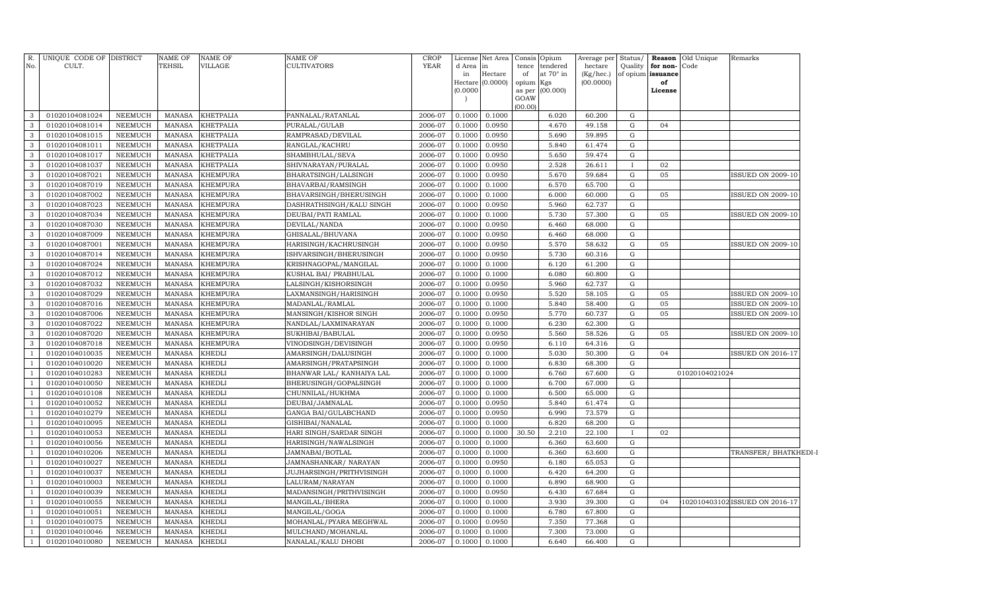| R.<br>No.      | UNIQUE CODE OF DISTRICT<br>CULT. |                | <b>NAME OF</b><br>TEHSIL | NAME OF<br>VILLAGE | <b>NAME OF</b><br>CULTIVATORS | <b>CROP</b><br><b>YEAR</b> | d Area in<br>in<br>(0.0000) | License Net Area<br>Hectare<br>Hectare (0.0000) | Consis<br>tence<br>of<br>opium<br>as per<br>GOAW | Opium<br>tendered<br>at 70° in<br>Kgs<br>(00.000) | Average per<br>hectare<br>(Kg/hec.)<br>(00.0000) | Status/      | Quality for non-Code<br>of opium issuance<br>of<br>License | <b>Reason</b> Old Unique | Remarks                        |  |
|----------------|----------------------------------|----------------|--------------------------|--------------------|-------------------------------|----------------------------|-----------------------------|-------------------------------------------------|--------------------------------------------------|---------------------------------------------------|--------------------------------------------------|--------------|------------------------------------------------------------|--------------------------|--------------------------------|--|
|                |                                  |                |                          |                    |                               |                            |                             |                                                 | (00.00)                                          |                                                   |                                                  |              |                                                            |                          |                                |  |
| 3              | 01020104081024                   | NEEMUCH        | MANASA                   | <b>KHETPALIA</b>   | PANNALAL/RATANLAL             | 2006-07                    | 0.1000                      | 0.1000                                          |                                                  | 6.020                                             | 60.200                                           | G            |                                                            |                          |                                |  |
| 3              | 01020104081014                   | <b>NEEMUCH</b> | MANASA                   | <b>KHETPALIA</b>   | PURALAL/GULAB                 | 2006-07                    | 0.1000                      | 0.0950                                          |                                                  | 4.670                                             | 49.158                                           | G            | 04                                                         |                          |                                |  |
| 3              | 01020104081015                   | <b>NEEMUCH</b> | <b>MANASA</b>            | <b>KHETPALIA</b>   | RAMPRASAD/DEVILAL             | 2006-07                    | 0.1000                      | 0.0950                                          |                                                  | 5.690                                             | 59.895                                           | G            |                                                            |                          |                                |  |
| $\mathbf{3}$   | 01020104081011                   | <b>NEEMUCH</b> | <b>MANASA</b>            | <b>KHETPALIA</b>   | RANGLAL/KACHRU                | 2006-07                    | 0.1000                      | 0.0950                                          |                                                  | 5.840                                             | 61.474                                           | G            |                                                            |                          |                                |  |
| 3              | 01020104081017                   | <b>NEEMUCH</b> | <b>MANASA</b>            | <b>KHETPALIA</b>   | SHAMBHULAL/SEVA               | 2006-07                    | 0.1000                      | 0.0950                                          |                                                  | 5.650                                             | 59.474                                           | G            |                                                            |                          |                                |  |
| $\mathbf{3}$   | 01020104081037                   | <b>NEEMUCH</b> | <b>MANASA</b>            | <b>KHETPALIA</b>   | SHIVNARAYAN/PURALAL           | 2006-07                    | 0.1000                      | 0.0950                                          |                                                  | 2.528                                             | 26.611                                           | $\mathbf{I}$ | 02                                                         |                          |                                |  |
| 3              | 01020104087021                   | <b>NEEMUCH</b> | <b>MANASA</b>            | <b>KHEMPURA</b>    | BHARATSINGH/LALSINGH          | 2006-07                    | 0.1000                      | 0.0950                                          |                                                  | 5.670                                             | 59.684                                           | ${\rm G}$    | 05                                                         |                          | <b>ISSUED ON 2009-10</b>       |  |
| $\mathbf{3}$   | 01020104087019                   | <b>NEEMUCH</b> | MANASA                   | <b>KHEMPURA</b>    | BHAVARBAI/RAMSINGH            | 2006-07                    | 0.1000                      | 0.1000                                          |                                                  | 6.570                                             | 65.700                                           | G            |                                                            |                          |                                |  |
| 3              | 01020104087002                   | <b>NEEMUCH</b> | MANASA                   | <b>KHEMPURA</b>    | BHAVARSINGH/BHERUSINGH        | 2006-07                    | 0.1000                      | 0.1000                                          |                                                  | 6.000                                             | 60.000                                           | G            | 05                                                         |                          | <b>ISSUED ON 2009-10</b>       |  |
| $\mathbf{3}$   | 01020104087023                   | <b>NEEMUCH</b> | MANASA                   | <b>KHEMPURA</b>    | DASHRATHSINGH/KALU SINGH      | 2006-07                    | 0.1000                      | 0.0950                                          |                                                  | 5.960                                             | 62.737                                           | G            |                                                            |                          |                                |  |
| 3              | 01020104087034                   | <b>NEEMUCH</b> | <b>MANASA</b>            | <b>KHEMPURA</b>    | DEUBAI/PATI RAMLAL            | 2006-07                    | 0.1000                      | 0.1000                                          |                                                  | 5.730                                             | 57.300                                           | G            | 05                                                         |                          | <b>ISSUED ON 2009-10</b>       |  |
| $\mathbf{3}$   | 01020104087030                   | <b>NEEMUCH</b> | <b>MANASA</b>            | <b>KHEMPURA</b>    | DEVILAL/NANDA                 | 2006-07                    | 0.1000                      | 0.0950                                          |                                                  | 6.460                                             | 68.000                                           | G            |                                                            |                          |                                |  |
| 3              | 01020104087009                   | <b>NEEMUCH</b> | <b>MANASA</b>            | <b>KHEMPURA</b>    | GHISALAL/BHUVANA              | 2006-07                    | 0.1000                      | 0.0950                                          |                                                  | 6.460                                             | 68.000                                           | G            |                                                            |                          |                                |  |
| $\mathbf{3}$   | 01020104087001                   | <b>NEEMUCH</b> | <b>MANASA</b>            | KHEMPURA           | HARISINGH/KACHRUSINGH         | 2006-07                    | 0.1000                      | 0.0950                                          |                                                  | 5.570                                             | 58.632                                           | G            | 05                                                         |                          | <b>ISSUED ON 2009-10</b>       |  |
| 3              | 01020104087014                   | <b>NEEMUCH</b> | MANASA                   | <b>KHEMPURA</b>    | ISHVARSINGH/BHERUSINGH        | 2006-07                    | 0.1000                      | 0.0950                                          |                                                  | 5.730                                             | 60.316                                           | ${\rm G}$    |                                                            |                          |                                |  |
| $\mathbf{3}$   | 01020104087024                   | <b>NEEMUCH</b> | <b>MANASA</b>            | KHEMPURA           | KRISHNAGOPAL/MANGILAL         | 2006-07                    | 0.1000                      | 0.1000                                          |                                                  | 6.120                                             | 61.200                                           | G            |                                                            |                          |                                |  |
| 3              | 01020104087012                   | NEEMUCH        | MANASA                   | KHEMPURA           | KUSHAL BAI/ PRABHULAL         | 2006-07                    | 0.1000                      | 0.1000                                          |                                                  | 6.080                                             | 60.800                                           | ${\rm G}$    |                                                            |                          |                                |  |
| $\mathbf{3}$   | 01020104087032                   | NEEMUCH        | <b>MANASA</b>            | KHEMPURA           | LALSINGH/KISHORSINGH          | 2006-07                    | 0.1000                      | 0.0950                                          |                                                  | 5.960                                             | 62.737                                           | G            |                                                            |                          |                                |  |
| 3              | 01020104087029                   | <b>NEEMUCH</b> | <b>MANASA</b>            | KHEMPURA           | LAXMANSINGH/HARISINGH         | 2006-07                    | 0.1000                      | 0.0950                                          |                                                  | 5.520                                             | 58.105                                           | ${\rm G}$    | 05                                                         |                          | <b>ISSUED ON 2009-10</b>       |  |
| 3              | 01020104087016                   | <b>NEEMUCH</b> | <b>MANASA</b>            | KHEMPURA           | MADANLAL/RAMLAL               | 2006-07                    | 0.1000                      | 0.1000                                          |                                                  | 5.840                                             | 58.400                                           | G            | 05                                                         |                          | <b>ISSUED ON 2009-10</b>       |  |
| 3              | 01020104087006                   | <b>NEEMUCH</b> | <b>MANASA</b>            | KHEMPURA           | MANSINGH/KISHOR SINGH         | 2006-07                    | 0.1000                      | 0.0950                                          |                                                  | 5.770                                             | 60.737                                           | G            | 05                                                         |                          | <b>ISSUED ON 2009-10</b>       |  |
| 3              | 01020104087022                   | <b>NEEMUCH</b> | <b>MANASA</b>            | KHEMPURA           | NANDLAL/LAXMINARAYAN          | 2006-07                    | 0.1000                      | 0.1000                                          |                                                  | 6.230                                             | 62.300                                           | $\mathbf G$  |                                                            |                          |                                |  |
| 3              | 01020104087020                   | <b>NEEMUCH</b> | <b>MANASA</b>            | KHEMPURA           | SUKHIBAI/BABULAL              | 2006-07                    | 0.1000                      | 0.0950                                          |                                                  | 5.560                                             | 58.526                                           | $\mathbf G$  | 05                                                         |                          | <b>ISSUED ON 2009-10</b>       |  |
| 3              | 01020104087018                   | <b>NEEMUCH</b> | <b>MANASA</b>            | KHEMPURA           | VINODSINGH/DEVISINGH          | 2006-07                    | 0.1000                      | 0.0950                                          |                                                  | 6.110                                             | 64.316                                           | $\mathbf G$  |                                                            |                          |                                |  |
|                | 01020104010035                   | <b>NEEMUCH</b> | <b>MANASA</b>            | KHEDLI             | AMARSINGH/DALUSINGH           | 2006-07                    | 0.1000                      | 0.1000                                          |                                                  | 5.030                                             | 50.300                                           | $\mathbf G$  | 04                                                         |                          | <b>ISSUED ON 2016-17</b>       |  |
|                | 01020104010020                   | <b>NEEMUCH</b> | <b>MANASA</b>            | KHEDLI             | AMARSINGH/PRATAPSINGH         | 2006-07                    | 0.1000                      | 0.1000                                          |                                                  | 6.830                                             | 68.300                                           | $\mathbf G$  |                                                            |                          |                                |  |
|                | 01020104010283                   | <b>NEEMUCH</b> | <b>MANASA</b>            | <b>KHEDLI</b>      | BHANWAR LAL/ KANHAIYA LAL     | 2006-07                    | 0.1000                      | 0.1000                                          |                                                  | 6.760                                             | 67.600                                           | $\mathbf G$  |                                                            | 01020104021024           |                                |  |
| $\overline{1}$ | 01020104010050                   | <b>NEEMUCH</b> | <b>MANASA</b>            | KHEDLI             | BHERUSINGH/GOPALSINGH         | 2006-07                    | 0.1000                      | 0.1000                                          |                                                  | 6.700                                             | 67.000                                           | G            |                                                            |                          |                                |  |
|                | 01020104010108                   | <b>NEEMUCH</b> | <b>MANASA</b>            | KHEDLI             | CHUNNILAL/HUKHMA              | 2006-07                    | 0.1000                      | 0.1000                                          |                                                  | 6.500                                             | 65.000                                           | G            |                                                            |                          |                                |  |
|                | 01020104010052                   | <b>NEEMUCH</b> | <b>MANASA</b>            | KHEDLI             | DEUBAI/JAMNALAL               | 2006-07                    | 0.1000                      | 0.0950                                          |                                                  | 5.840                                             | 61.474                                           | $\mathbf G$  |                                                            |                          |                                |  |
|                | 01020104010279                   | <b>NEEMUCH</b> | <b>MANASA</b>            | KHEDLI             | GANGA BAI/GULABCHAND          | 2006-07                    | 0.1000                      | 0.0950                                          |                                                  | 6.990                                             | 73.579                                           | $\mathbf G$  |                                                            |                          |                                |  |
|                | 01020104010095                   | <b>NEEMUCH</b> | <b>MANASA</b>            | KHEDLI             | GISHIBAI/NANALAL              | 2006-07                    | 0.1000                      | 0.1000                                          |                                                  | 6.820                                             | 68.200                                           | $\mathbf G$  |                                                            |                          |                                |  |
|                | 01020104010053                   | NEEMUCH        | <b>MANASA</b>            | KHEDLI             | HARI SINGH/SARDAR SINGH       | 2006-07                    | 0.1000                      | 0.1000                                          | 30.50                                            | 2.210                                             | 22.100                                           |              | 02                                                         |                          |                                |  |
|                | 01020104010056                   | <b>NEEMUCH</b> | <b>MANASA</b>            | KHEDLI             | HARISINGH/NAWALSINGH          | 2006-07                    | 0.1000                      | 0.1000                                          |                                                  | 6.360                                             | 63.600                                           | G            |                                                            |                          |                                |  |
|                | 01020104010206                   | <b>NEEMUCH</b> | <b>MANASA</b>            | KHEDLI             | JAMNABAI/BOTLAL               | 2006-07                    | 0.1000                      | 0.1000                                          |                                                  | 6.360                                             | 63.600                                           | G            |                                                            |                          | TRANSFER/BHATKHEDI-I           |  |
|                | 01020104010027                   | <b>NEEMUCH</b> | <b>MANASA</b>            | KHEDLI             | JAMNASHANKAR/NARAYAN          | 2006-07                    | 0.1000                      | 0.0950                                          |                                                  | 6.180                                             | 65.053                                           | $\mathbf G$  |                                                            |                          |                                |  |
|                | 01020104010037                   | NEEMUCH        | <b>MANASA</b>            | KHEDLI             | JUJHARSINGH/PRITHVISINGH      | 2006-07                    | 0.1000                      | 0.1000                                          |                                                  | 6.420                                             | 64.200                                           | G            |                                                            |                          |                                |  |
|                | 01020104010003                   | <b>NEEMUCH</b> | <b>MANASA</b>            | KHEDLI             | LALURAM/NARAYAN               | 2006-07                    | 0.1000                      | 0.1000                                          |                                                  | 6.890                                             | 68.900                                           | $\mathbf G$  |                                                            |                          |                                |  |
| $\overline{1}$ | 01020104010039                   | <b>NEEMUCH</b> | <b>MANASA</b>            | KHEDLI             | MADANSINGH/PRITHVISINGH       | 2006-07                    | 0.1000                      | 0.0950                                          |                                                  | 6.430                                             | 67.684                                           | $\mathbf G$  |                                                            |                          |                                |  |
|                | 01020104010055                   | <b>NEEMUCH</b> | <b>MANASA</b>            | KHEDLI             | MANGILAL/BHERA                | 2006-07                    | 0.1000                      | 0.1000                                          |                                                  | 3.930                                             | 39.300                                           | G            | 04                                                         |                          | 102010403102 ISSUED ON 2016-17 |  |
|                | 01020104010051                   | <b>NEEMUCH</b> | <b>MANASA</b>            | KHEDLI             | MANGILAL/GOGA                 | 2006-07                    | 0.1000                      | 0.1000                                          |                                                  | 6.780                                             | 67.800                                           | G            |                                                            |                          |                                |  |
| $\overline{1}$ | 01020104010075                   | <b>NEEMUCH</b> | <b>MANASA</b>            | KHEDLI             | MOHANLAL/PYARA MEGHWAL        | 2006-07                    | 0.1000                      | 0.0950                                          |                                                  | 7.350                                             | 77.368                                           | G            |                                                            |                          |                                |  |
| $\overline{1}$ | 01020104010046                   | <b>NEEMUCH</b> | <b>MANASA</b>            | KHEDLI             | MULCHAND/MOHANLAL             | 2006-07                    | 0.1000                      | 0.1000                                          |                                                  | 7.300                                             | 73.000                                           | G            |                                                            |                          |                                |  |
| $\mathbf{1}$   | 01020104010080                   | <b>NEEMUCH</b> | MANASA                   | <b>KHEDLI</b>      | NANALAL/KALU DHOBI            | 2006-07                    | 0.1000                      | 0.1000                                          |                                                  | 6.640                                             | 66.400                                           | G            |                                                            |                          |                                |  |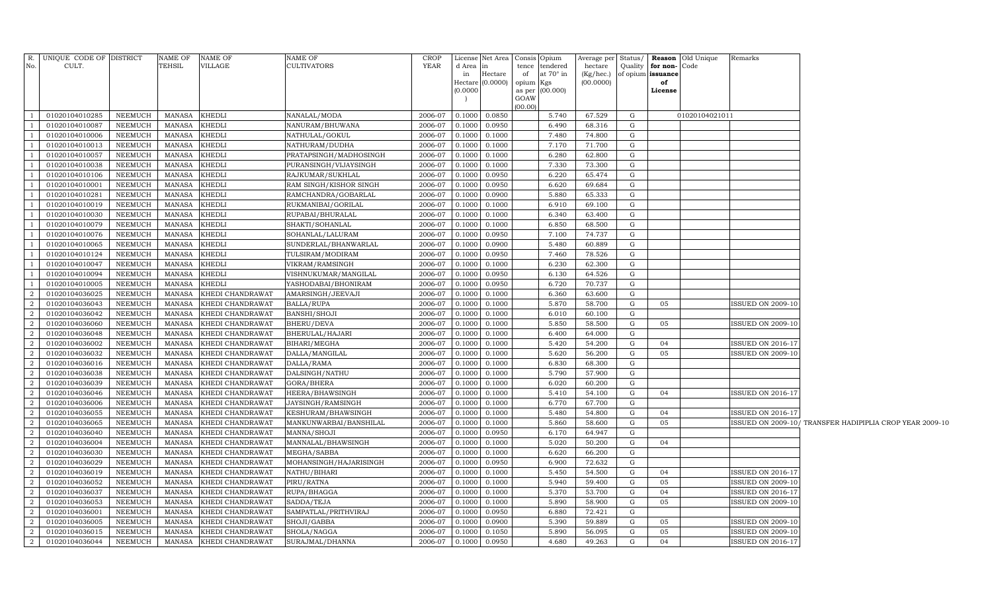| No.            | R. UNIQUE CODE OF DISTRICT<br>CULT. |                    | NAME OF<br>TEHSIL              | <b>NAME OF</b><br>VILLAGE | <b>NAME OF</b><br><b>CULTIVATORS</b>      | CROP<br>YEAR       | d Area<br>in<br>(0.0000) | License Net Area   Consis   Opium<br>in<br>Hectare<br>Hectare $(0.0000)$ | tence<br>of<br>opium Kgs<br>GOAW | tendered<br>at $70^\circ$ in<br>as per (00.000) | Average per Status/<br>hectare<br>(Kg/hec.) of opium issuance<br>(00.0000) | Quality     | for non-<br>of<br>License | <b>Reason</b> Old Unique<br>Code | Remarks                  |                                                          |
|----------------|-------------------------------------|--------------------|--------------------------------|---------------------------|-------------------------------------------|--------------------|--------------------------|--------------------------------------------------------------------------|----------------------------------|-------------------------------------------------|----------------------------------------------------------------------------|-------------|---------------------------|----------------------------------|--------------------------|----------------------------------------------------------|
|                |                                     |                    |                                |                           |                                           |                    |                          |                                                                          | (00.00)                          |                                                 |                                                                            |             |                           |                                  |                          |                                                          |
|                | 01020104010285                      | NEEMUCH            | <b>MANASA</b>                  | <b>KHEDLI</b>             | NANALAL/MODA                              | 2006-07            | 0.1000                   | 0.0850                                                                   |                                  | 5.740                                           | 67.529                                                                     | G           |                           | 01020104021011                   |                          |                                                          |
|                | 01020104010087                      | NEEMUCH            | <b>MANASA</b>                  | <b>KHEDLI</b>             | NANURAM/BHUWANA                           | 2006-07            | 0.1000                   | 0.0950                                                                   |                                  | 6.490                                           | 68.316                                                                     | G           |                           |                                  |                          |                                                          |
|                | 01020104010006                      | NEEMUCH            | <b>MANASA</b>                  | <b>KHEDLI</b>             | NATHULAL/GOKUL                            | 2006-07            | 0.1000                   | 0.1000                                                                   |                                  | 7.480                                           | 74.800                                                                     | G           |                           |                                  |                          |                                                          |
|                | 01020104010013                      | NEEMUCH            | MANASA                         | KHEDLI                    | NATHURAM/DUDHA                            | 2006-07            | 0.1000                   | 0.1000                                                                   |                                  | 7.170                                           | 71.700                                                                     | G           |                           |                                  |                          |                                                          |
|                | 01020104010057                      | NEEMUCH            | MANASA                         | <b>KHEDLI</b>             | PRATAPSINGH/MADHOSINGH                    | 2006-07            | 0.1000                   | 0.1000                                                                   |                                  | 6.280                                           | 62.800                                                                     | G           |                           |                                  |                          |                                                          |
|                | 01020104010038<br>01020104010106    | NEEMUCH<br>NEEMUCH | MANASA<br><b>MANASA</b>        | KHEDLI<br>KHEDLI          | PURANSINGH/VIJAYSINGH<br>RAJKUMAR/SUKHLAL | 2006-07<br>2006-07 | 0.1000<br>0.1000         | 0.1000                                                                   |                                  | 7.330<br>6.220                                  | 73.300<br>65.474                                                           | G<br>G      |                           |                                  |                          |                                                          |
|                | 01020104010001                      | NEEMUCH            | <b>MANASA</b>                  | <b>KHEDLI</b>             | RAM SINGH/KISHOR SINGH                    | 2006-07            | 0.1000                   | 0.0950<br>0.0950                                                         |                                  | 6.620                                           | 69.684                                                                     | G           |                           |                                  |                          |                                                          |
|                | 01020104010281                      | NEEMUCH            | <b>MANASA</b>                  | <b>KHEDLI</b>             | RAMCHANDRA/GOBARLAL                       | 2006-07            | 0.1000                   | 0.0900                                                                   |                                  | 5.880                                           | 65.333                                                                     | G           |                           |                                  |                          |                                                          |
|                | 01020104010019                      | NEEMUCH            | <b>MANASA</b>                  | <b>KHEDLI</b>             | RUKMANIBAI/GORILAL                        | 2006-07            | 0.1000                   | 0.1000                                                                   |                                  | 6.910                                           | 69.100                                                                     | G           |                           |                                  |                          |                                                          |
|                | 01020104010030                      | NEEMUCH            | <b>MANASA</b>                  | KHEDLI                    | RUPABAI/BHURALAL                          | 2006-07            | 0.1000                   | 0.1000                                                                   |                                  | 6.340                                           | 63.400                                                                     | G           |                           |                                  |                          |                                                          |
|                | 01020104010079                      | NEEMUCH            | <b>MANASA</b>                  | <b>KHEDLI</b>             | SHAKTI/SOHANLAL                           | 2006-07            | 0.1000                   | 0.1000                                                                   |                                  | 6.850                                           | 68.500                                                                     | G           |                           |                                  |                          |                                                          |
|                | 01020104010076                      | NEEMUCH            | <b>MANASA</b>                  | KHEDLI                    | SOHANLAL/LALURAM                          | 2006-07            | 0.1000                   | 0.0950                                                                   |                                  | 7.100                                           | 74.737                                                                     | G           |                           |                                  |                          |                                                          |
|                | 01020104010065                      | NEEMUCH            | <b>MANASA</b>                  | <b>KHEDLI</b>             | SUNDERLAL/BHANWARLAL                      | 2006-07            | 0.1000                   | 0.0900                                                                   |                                  | 5.480                                           | 60.889                                                                     | G           |                           |                                  |                          |                                                          |
|                | 01020104010124                      | NEEMUCH            | <b>MANASA</b>                  | KHEDLI                    | TULSIRAM/MODIRAM                          | 2006-07            | 0.1000                   | 0.0950                                                                   |                                  | 7.460                                           | 78.526                                                                     | G           |                           |                                  |                          |                                                          |
|                | 01020104010047                      | <b>NEEMUCH</b>     | <b>MANASA</b>                  | <b>KHEDLI</b>             | VIKRAM/RAMSINGH                           | 2006-07            | 0.1000                   | 0.1000                                                                   |                                  | 6.230                                           | 62.300                                                                     | G           |                           |                                  |                          |                                                          |
|                | 01020104010094                      | <b>NEEMUCH</b>     | <b>MANASA</b>                  | KHEDLI                    | VISHNUKUMAR/MANGILAL                      | 2006-07            | 0.1000                   | 0.0950                                                                   |                                  | 6.130                                           | 64.526                                                                     | G           |                           |                                  |                          |                                                          |
|                | 01020104010005                      | NEEMUCH            | <b>MANASA</b>                  | KHEDLI                    | YASHODABAI/BHONIRAM                       | 2006-07            | 0.1000                   | 0.0950                                                                   |                                  | 6.720                                           | 70.737                                                                     | G           |                           |                                  |                          |                                                          |
| $\overline{2}$ | 01020104036025                      | NEEMUCH            | <b>MANASA</b>                  | KHEDI CHANDRAWAT          | AMARSINGH/JEEVAJI                         | 2006-07            | 0.1000                   | 0.1000                                                                   |                                  | 6.360                                           | 63.600                                                                     | G           |                           |                                  |                          |                                                          |
| $\overline{2}$ | 01020104036043                      | NEEMUCH            | <b>MANASA</b>                  | KHEDI CHANDRAWAT          | <b>BALLA/RUPA</b>                         | 2006-07            | 0.1000                   | 0.1000                                                                   |                                  | 5.870                                           | 58.700                                                                     | G           | 05                        |                                  | <b>ISSUED ON 2009-10</b> |                                                          |
| $\overline{2}$ | 01020104036042                      | NEEMUCH            | <b>MANASA</b>                  | KHEDI CHANDRAWAT          | BANSHI/SHOJI                              | 2006-07            | 0.1000                   | 0.1000                                                                   |                                  | 6.010                                           | 60.100                                                                     | G           |                           |                                  |                          |                                                          |
| $\overline{2}$ | 01020104036060                      | NEEMUCH            | <b>MANASA</b>                  | KHEDI CHANDRAWAT          | <b>BHERU/DEVA</b>                         | 2006-07            | 0.1000                   | 0.1000                                                                   |                                  | 5.850                                           | 58.500                                                                     | G           | 05                        |                                  | <b>ISSUED ON 2009-10</b> |                                                          |
| 2              | 01020104036048                      | <b>NEEMUCH</b>     | <b>MANASA</b>                  | KHEDI CHANDRAWAT          | BHERULAL/HAJARI                           | 2006-07            | 0.1000                   | 0.1000                                                                   |                                  | 6.400                                           | 64.000                                                                     | G           |                           |                                  |                          |                                                          |
| 2              | 01020104036002                      | <b>NEEMUCH</b>     | <b>MANASA</b>                  | KHEDI CHANDRAWAT          | BIHARI/MEGHA                              | 2006-07            | 0.1000                   | 0.1000                                                                   |                                  | 5.420                                           | 54.200                                                                     | G           | 04                        |                                  | <b>ISSUED ON 2016-17</b> |                                                          |
| 2              | 01020104036032                      | NEEMUCH            | MANASA                         | KHEDI CHANDRAWAT          | DALLA/MANGILAL                            | 2006-07            | 0.1000                   | 0.1000                                                                   |                                  | 5.620                                           | 56.200                                                                     | G           | 05                        |                                  | ISSUED ON 2009-10        |                                                          |
| $\overline{2}$ | 01020104036016                      | NEEMUCH            | <b>MANASA</b>                  | KHEDI CHANDRAWAT          | DALLA/RAMA                                | 2006-07            | 0.1000                   | 0.1000                                                                   |                                  | 6.830                                           | 68.300                                                                     | G           |                           |                                  |                          |                                                          |
| $\overline{2}$ | 01020104036038                      | NEEMUCH            | <b>MANASA</b>                  | KHEDI CHANDRAWAT          | DALSINGH/NATHU                            | 2006-07            | 0.1000                   | 0.1000                                                                   |                                  | 5.790                                           | 57.900                                                                     | G           |                           |                                  |                          |                                                          |
| $\overline{2}$ | 01020104036039                      | NEEMUCH            | <b>MANASA</b>                  | KHEDI CHANDRAWAT          | GORA/BHERA                                | 2006-07            | 0.1000                   | 0.1000                                                                   |                                  | 6.020                                           | 60.200                                                                     | G           |                           |                                  |                          |                                                          |
| 2              | 01020104036046                      | NEEMUCH            | <b>MANASA</b>                  | KHEDI CHANDRAWAT          | HEERA/BHAWSINGH                           | 2006-07            | 0.1000                   | 0.1000                                                                   |                                  | 5.410                                           | 54.100                                                                     | G           | 04                        |                                  | <b>ISSUED ON 2016-17</b> |                                                          |
| 2              | 01020104036006                      | NEEMUCH            | <b>MANASA</b>                  | KHEDI CHANDRAWAT          | JAYSINGH/RAMSINGH                         | 2006-07            | 0.1000                   | 0.1000                                                                   |                                  | 6.770                                           | 67.700                                                                     | G           |                           |                                  |                          |                                                          |
| 2              | 01020104036055                      | <b>NEEMUCH</b>     | <b>MANASA</b>                  | KHEDI CHANDRAWAT          | KESHURAM/BHAWSINGH                        | 2006-07            | 0.1000                   | 0.1000                                                                   |                                  | 5.480                                           | 54.800                                                                     | G           | 04                        |                                  | ISSUED ON 2016-17        |                                                          |
| 2              | 01020104036065                      | <b>NEEMUCH</b>     | <b>MANASA</b>                  | KHEDI CHANDRAWAT          | MANKUNWARBAI/BANSHILAL                    | 2006-07            | 0.1000                   | 0.1000                                                                   |                                  | 5.860                                           | 58.600                                                                     | $\mathbf G$ | 05                        |                                  |                          | ISSUED ON 2009-10/ TRANSFER HADIPIPLIA CROP YEAR 2009-10 |
| $\overline{a}$ | 01020104036040                      | NEEMUCH            | <b>MANASA</b>                  | KHEDI CHANDRAWAT          | MANNA/SHOJI                               | 2006-07            | 0.1000                   | 0.0950                                                                   |                                  | 6.170                                           | 64.947                                                                     | G           |                           |                                  |                          |                                                          |
| 2              | 01020104036004                      | NEEMUCH            | <b>MANASA</b>                  | KHEDI CHANDRAWAT          | MANNALAL/BHAWSINGH                        | 2006-07            | 0.1000                   | 0.1000                                                                   |                                  | 5.020                                           | 50.200                                                                     | G           | 04                        |                                  |                          |                                                          |
| $\overline{2}$ | 01020104036030                      | NEEMUCH            | <b>MANASA</b>                  | KHEDI CHANDRAWAT          | MEGHA/SABBA                               | 2006-07            | 0.1000                   | 0.1000                                                                   |                                  | 6.620                                           | 66.200                                                                     | G           |                           |                                  |                          |                                                          |
| 2              | 01020104036029                      | NEEMUCH            | <b>MANASA</b>                  | KHEDI CHANDRAWAT          | MOHANSINGH/HAJARISINGH                    | 2006-07            | 0.1000                   | 0.0950                                                                   |                                  | 6.900                                           | 72.632                                                                     | G           |                           |                                  |                          |                                                          |
| 2              | 01020104036019                      | NEEMUCH            | <b>MANASA</b>                  | KHEDI CHANDRAWAT          | NATHU/BIHARI                              | 2006-07            | 0.1000                   | 0.1000                                                                   |                                  | 5.450                                           | 54.500                                                                     | G           | 04                        |                                  | <b>ISSUED ON 2016-17</b> |                                                          |
| $\overline{2}$ | 01020104036052                      | <b>NEEMUCH</b>     | <b>MANASA</b>                  | KHEDI CHANDRAWAT          | PIRU/RATNA                                | 2006-07            | 0.1000                   | 0.1000                                                                   |                                  | 5.940                                           | 59.400                                                                     | G           | 05                        |                                  | ISSUED ON 2009-10        |                                                          |
| $\overline{2}$ | 01020104036037                      | NEEMUCH            | <b>MANASA</b>                  | KHEDI CHANDRAWAT          | RUPA/BHAGGA                               | 2006-07            | 0.1000                   | 0.1000                                                                   |                                  | 5.370                                           | 53.700                                                                     | G           | 04                        |                                  | ISSUED ON 2016-17        |                                                          |
| $\overline{2}$ | 01020104036053                      | NEEMUCH            | MANASA                         | KHEDI CHANDRAWAT          | SADDA/TEJA                                | 2006-07            | 0.1000                   | 0.1000                                                                   |                                  | 5.890                                           | 58.900                                                                     | G           | 05                        |                                  | ISSUED ON 2009-10        |                                                          |
| $\overline{2}$ | 01020104036001                      | NEEMUCH            | MANASA                         | KHEDI CHANDRAWAT          | SAMPATLAL/PRITHVIRAJ                      | 2006-07            | 0.1000                   | 0.0950                                                                   |                                  | 6.880                                           | 72.421                                                                     | G           |                           |                                  |                          |                                                          |
| $\overline{2}$ | 01020104036005                      | NEEMUCH            | <b>MANASA</b>                  | KHEDI CHANDRAWAT          | SHOJI/GABBA                               | 2006-07            | 0.1000                   | 0.0900                                                                   |                                  | 5.390                                           | 59.889                                                                     | G           | 05                        |                                  | <b>ISSUED ON 2009-10</b> |                                                          |
| $\overline{2}$ | 01020104036015                      | NEEMUCH            | <b>MANASA</b><br><b>MANASA</b> | KHEDI CHANDRAWAT          | SHOLA/NAGGA                               | 2006-07<br>2006-07 | 0.1000                   | 0.1050                                                                   |                                  | 5.890<br>4.680                                  | 56.095                                                                     | G<br>G      | 05<br>04                  |                                  | <b>ISSUED ON 2009-10</b> |                                                          |
| $\overline{2}$ | 01020104036044                      | NEEMUCH            |                                | KHEDI CHANDRAWAT          | SURAJMAL/DHANNA                           |                    | 0.1000                   | 0.0950                                                                   |                                  |                                                 | 49.263                                                                     |             |                           |                                  | <b>ISSUED ON 2016-17</b> |                                                          |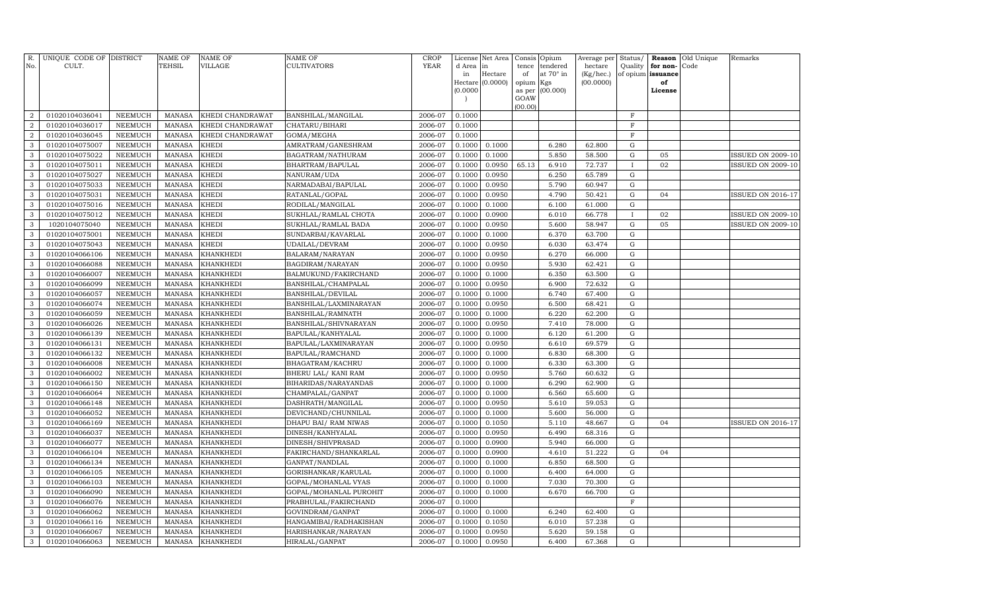| R.<br>No.      | UNIQUE CODE OF DISTRICT<br>CULT. |                | <b>NAME OF</b><br>TEHSIL | <b>NAME OF</b><br>VILLAGE | NAME OF<br>CULTIVATORS | <b>CROP</b><br><b>YEAR</b> |                 | License Net Area | Consis      | Opium                 | Average per          | Status/             |                      | <b>Reason</b> Old Unique<br>Code | Remarks                  |
|----------------|----------------------------------|----------------|--------------------------|---------------------------|------------------------|----------------------------|-----------------|------------------|-------------|-----------------------|----------------------|---------------------|----------------------|----------------------------------|--------------------------|
|                |                                  |                |                          |                           |                        |                            | d Area in<br>in | Hectare          | tence<br>of | tendered<br>at 70° in | hectare<br>(Kg/hec.) | Quality<br>of opium | for non-<br>issuance |                                  |                          |
|                |                                  |                |                          |                           |                        |                            |                 | Hectare (0.0000) | opium Kgs   |                       | (00.0000)            |                     | of                   |                                  |                          |
|                |                                  |                |                          |                           |                        |                            | (0.0000)        |                  | as per      | (00.000)              |                      |                     | License              |                                  |                          |
|                |                                  |                |                          |                           |                        |                            |                 |                  | GOAW        |                       |                      |                     |                      |                                  |                          |
| $\overline{2}$ | 01020104036041                   | NEEMUCH        | <b>MANASA</b>            | KHEDI CHANDRAWAT          | BANSHILAL/MANGILAL     | 2006-07                    | 0.1000          |                  | (00.00)     |                       |                      | $_{\rm F}$          |                      |                                  |                          |
| $\overline{2}$ | 01020104036017                   | <b>NEEMUCH</b> | <b>MANASA</b>            | KHEDI CHANDRAWAT          | CHATARU/BIHARI         | 2006-07                    | 0.1000          |                  |             |                       |                      | $\mathbf F$         |                      |                                  |                          |
| 2              | 01020104036045                   | NEEMUCH        | <b>MANASA</b>            | KHEDI CHANDRAWAT          | GOMA/MEGHA             | 2006-07                    | 0.1000          |                  |             |                       |                      | $\mathbf F$         |                      |                                  |                          |
| 3              | 01020104075007                   | <b>NEEMUCH</b> | <b>MANASA</b>            | <b>KHEDI</b>              | AMRATRAM/GANESHRAM     | 2006-07                    | 0.1000          | 0.1000           |             | 6.280                 | 62.800               | G                   |                      |                                  |                          |
| 3              | 01020104075022                   | <b>NEEMUCH</b> | <b>MANASA</b>            | <b>KHEDI</b>              | BAGATRAM/NATHURAM      | 2006-07                    | 0.1000          | 0.1000           |             | 5.850                 | 58.500               | G                   | 05                   |                                  | ISSUED ON 2009-10        |
| 3              | 01020104075011                   | <b>NEEMUCH</b> | <b>MANASA</b>            | <b>KHEDI</b>              | BHARTRAM/BAPULAL       | 2006-07                    | 0.1000          | 0.0950           | 65.13       | 6.910                 | 72.737               | $\mathbf I$         | 02                   |                                  | <b>ISSUED ON 2009-10</b> |
| $\mathbf{3}$   | 01020104075027                   | <b>NEEMUCH</b> | <b>MANASA</b>            | <b>KHEDI</b>              | NANURAM/UDA            | 2006-07                    | 0.1000          | 0.0950           |             | 6.250                 | 65.789               | $\mathbf G$         |                      |                                  |                          |
| 3              | 01020104075033                   | NEEMUCH        | <b>MANASA</b>            | <b>KHEDI</b>              | NARMADABAI/BAPULAL     | 2006-07                    | 0.1000          | 0.0950           |             | 5.790                 | 60.947               | G                   |                      |                                  |                          |
| $\mathbf{3}$   | 01020104075031                   | NEEMUCH        | <b>MANASA</b>            | <b>KHEDI</b>              | RATANLAL/GOPAL         | 2006-07                    | 0.1000          | 0.0950           |             | 4.790                 | 50.421               | $\mathbf G$         | 04                   |                                  | <b>ISSUED ON 2016-17</b> |
| $\mathbf{3}$   | 01020104075016                   | NEEMUCH        | <b>MANASA</b>            | <b>KHEDI</b>              | RODILAL/MANGILAL       | 2006-07                    | 0.1000          | 0.1000           |             | 6.100                 | 61.000               | G                   |                      |                                  |                          |
| 3              | 01020104075012                   | <b>NEEMUCH</b> | <b>MANASA</b>            | <b>KHEDI</b>              | SUKHLAL/RAMLAL CHOTA   | 2006-07                    | 0.1000          | 0.0900           |             | 6.010                 | 66.778               | $\mathbf{I}$        | 02                   |                                  | ISSUED ON 2009-10        |
| 3              | 1020104075040                    | <b>NEEMUCH</b> | <b>MANASA</b>            | KHEDI                     | SUKHLAL/RAMLAL BADA    | 2006-07                    | 0.1000          | 0.0950           |             | 5.600                 | 58.947               | G                   | 05                   |                                  | <b>ISSUED ON 2009-10</b> |
| 3              | 01020104075001                   | NEEMUCH        | <b>MANASA</b>            | <b>KHEDI</b>              | SUNDARBAI/KAVARLAL     | 2006-07                    | 0.1000          | 0.1000           |             | 6.370                 | 63.700               | G                   |                      |                                  |                          |
| 3              | 01020104075043                   | <b>NEEMUCH</b> | <b>MANASA</b>            | <b>KHEDI</b>              | UDAILAL/DEVRAM         | 2006-07                    | 0.1000          | 0.0950           |             | 6.030                 | 63.474               | G                   |                      |                                  |                          |
| 3              | 01020104066106                   | <b>NEEMUCH</b> | <b>MANASA</b>            | <b>KHANKHEDI</b>          | BALARAM/NARAYAN        | 2006-07                    | 0.1000          | 0.0950           |             | 6.270                 | 66.000               | $\mathbf G$         |                      |                                  |                          |
| 3              | 01020104066088                   | <b>NEEMUCH</b> | <b>MANASA</b>            | <b>KHANKHEDI</b>          | BAGDIRAM/NARAYAN       | 2006-07                    | 0.1000          | 0.0950           |             | 5.930                 | 62.421               | G                   |                      |                                  |                          |
| 3              | 01020104066007                   | <b>NEEMUCH</b> | <b>MANASA</b>            | <b>KHANKHEDI</b>          | BALMUKUND/FAKIRCHAND   | 2006-07                    | 0.1000          | 0.1000           |             | 6.350                 | 63.500               | $\mathbf G$         |                      |                                  |                          |
| 3              | 01020104066099                   | <b>NEEMUCH</b> | <b>MANASA</b>            | <b>KHANKHEDI</b>          | BANSHILAL/CHAMPALAL    | 2006-07                    | 0.1000          | 0.0950           |             | 6.900                 | 72.632               | G                   |                      |                                  |                          |
| 3              | 01020104066057                   | NEEMUCH        | <b>MANASA</b>            | <b>KHANKHEDI</b>          | BANSHILAL/DEVILAL      | 2006-07                    | 0.1000          | 0.1000           |             | 6.740                 | 67.400               | G                   |                      |                                  |                          |
| 3              | 01020104066074                   | <b>NEEMUCH</b> | <b>MANASA</b>            | <b>KHANKHEDI</b>          | BANSHILAL/LAXMINARAYAN | 2006-07                    | 0.1000          | 0.0950           |             | 6.500                 | 68.421               | G                   |                      |                                  |                          |
| 3              | 01020104066059                   | <b>NEEMUCH</b> | <b>MANASA</b>            | <b>KHANKHEDI</b>          | BANSHILAL/RAMNATH      | 2006-07                    | 0.1000          | 0.1000           |             | 6.220                 | 62.200               | G                   |                      |                                  |                          |
| 3              | 01020104066026                   | <b>NEEMUCH</b> | <b>MANASA</b>            | <b>KHANKHEDI</b>          | BANSHILAL/SHIVNARAYAN  | 2006-07                    | 0.1000          | 0.0950           |             | 7.410                 | 78.000               | G                   |                      |                                  |                          |
| 3              | 01020104066139                   | NEEMUCH        | <b>MANASA</b>            | <b>KHANKHEDI</b>          | BAPULAL/KANHYALAL      | 2006-07                    | 0.1000          | 0.1000           |             | 6.120                 | 61.200               | G                   |                      |                                  |                          |
| 3              | 01020104066131                   | <b>NEEMUCH</b> | <b>MANASA</b>            | <b>KHANKHEDI</b>          | BAPULAL/LAXMINARAYAN   | 2006-07                    | 0.1000          | 0.0950           |             | 6.610                 | 69.579               | G                   |                      |                                  |                          |
| 3              | 01020104066132                   | <b>NEEMUCH</b> | <b>MANASA</b>            | <b>KHANKHEDI</b>          | BAPULAL/RAMCHAND       | 2006-07                    | 0.1000          | 0.1000           |             | 6.830                 | 68.300               | $\mathbf G$         |                      |                                  |                          |
| 3              | 01020104066008                   | <b>NEEMUCH</b> | <b>MANASA</b>            | <b>KHANKHEDI</b>          | BHAGATRAM/KACHRU       | 2006-07                    | 0.1000          | 0.1000           |             | 6.330                 | 63.300               | G                   |                      |                                  |                          |
| $\mathbf{3}$   | 01020104066002                   | <b>NEEMUCH</b> | <b>MANASA</b>            | <b>KHANKHEDI</b>          | BHERU LAL/ KANI RAM    | 2006-07                    | 0.1000          | 0.0950           |             | 5.760                 | 60.632               | G                   |                      |                                  |                          |
| 3              | 01020104066150                   | <b>NEEMUCH</b> | <b>MANASA</b>            | KHANKHEDI                 | BIHARIDAS/NARAYANDAS   | 2006-07                    | 0.1000          | 0.1000           |             | 6.290                 | 62.900               | G                   |                      |                                  |                          |
| 3              | 01020104066064                   | <b>NEEMUCH</b> | <b>MANASA</b>            | <b>KHANKHEDI</b>          | CHAMPALAL/GANPAT       | 2006-07                    | 0.1000          | 0.1000           |             | 6.560                 | 65.600               | G                   |                      |                                  |                          |
| 3              | 01020104066148                   | <b>NEEMUCH</b> | <b>MANASA</b>            | <b>KHANKHEDI</b>          | DASHRATH/MANGILAL      | 2006-07                    | 0.1000          | 0.0950           |             | 5.610                 | 59.053               | G                   |                      |                                  |                          |
| 3              | 01020104066052                   | NEEMUCH        | <b>MANASA</b>            | <b>KHANKHEDI</b>          | DEVICHAND/CHUNNILAL    | 2006-07                    | 0.1000          | 0.1000           |             | 5.600                 | 56.000               | G                   |                      |                                  |                          |
| 3              | 01020104066169                   | <b>NEEMUCH</b> | <b>MANASA</b>            | <b>KHANKHEDI</b>          | DHAPU BAI/ RAM NIWAS   | 2006-07                    | 0.1000          | 0.1050           |             | 5.110                 | 48.667               | G                   | 04                   |                                  | <b>ISSUED ON 2016-17</b> |
| 3              | 01020104066037                   | <b>NEEMUCH</b> | <b>MANASA</b>            | <b>KHANKHEDI</b>          | DINESH/KANHYALAL       | 2006-07                    | 0.1000          | 0.0950           |             | 6.490                 | 68.316               | G                   |                      |                                  |                          |
| 3              | 01020104066077                   | <b>NEEMUCH</b> | <b>MANASA</b>            | <b>KHANKHEDI</b>          | DINESH/SHIVPRASAD      | 2006-07                    | 0.1000          | 0.0900           |             | 5.940                 | 66.000               | G                   |                      |                                  |                          |
| 3              | 01020104066104                   | <b>NEEMUCH</b> | <b>MANASA</b>            | <b>KHANKHEDI</b>          | FAKIRCHAND/SHANKARLAL  | 2006-07                    | 0.1000          | 0.0900           |             | 4.610                 | 51.222               | G                   | 04                   |                                  |                          |
| 3              | 01020104066134                   | <b>NEEMUCH</b> | <b>MANASA</b>            | <b>KHANKHEDI</b>          | GANPAT/NANDLAL         | 2006-07                    | 0.1000          | 0.1000           |             | 6.850                 | 68.500               | G                   |                      |                                  |                          |
| 3              | 01020104066105                   | NEEMUCH        | <b>MANASA</b>            | <b>KHANKHEDI</b>          | GORISHANKAR/KARULAL    | 2006-07                    | 0.1000          | 0.1000           |             | 6.400                 | 64.000               | G                   |                      |                                  |                          |
| 3              | 01020104066103                   | <b>NEEMUCH</b> | <b>MANASA</b>            | KHANKHEDI                 | GOPAL/MOHANLAL VYAS    | 2006-07                    | 0.1000          | 0.1000           |             | 7.030                 | 70.300               | G                   |                      |                                  |                          |
| $\mathbf{3}$   | 01020104066090                   | <b>NEEMUCH</b> | <b>MANASA</b>            | <b>KHANKHEDI</b>          | GOPAL/MOHANLAL PUROHIT | 2006-07                    | 0.1000          | 0.1000           |             | 6.670                 | 66.700               | $\mathbf G$         |                      |                                  |                          |
| 3              | 01020104066076                   | <b>NEEMUCH</b> | <b>MANASA</b>            | <b>KHANKHEDI</b>          | PRABHULAL/FAKIRCHAND   | 2006-07                    | 0.1000          |                  |             |                       |                      | $\mathbf F$         |                      |                                  |                          |
| 3              | 01020104066062                   | NEEMUCH        | <b>MANASA</b>            | <b>KHANKHEDI</b>          | GOVINDRAM/GANPAT       | 2006-07                    | 0.1000          | 0.1000           |             | 6.240                 | 62.400               | G                   |                      |                                  |                          |
| 3              | 01020104066116                   | NEEMUCH        | <b>MANASA</b>            | <b>KHANKHEDI</b>          | HANGAMIBAI/RADHAKISHAN | 2006-07                    | 0.1000          | 0.1050           |             | 6.010                 | 57.238               | G                   |                      |                                  |                          |
| 3              | 01020104066067                   | NEEMUCH        | <b>MANASA</b>            | <b>KHANKHEDI</b>          | HARISHANKAR/NARAYAN    | 2006-07                    | 0.1000          | 0.0950           |             | 5.620                 | 59.158               | G                   |                      |                                  |                          |
| 3              | 01020104066063                   | NEEMUCH        | MANASA                   | <b>KHANKHEDI</b>          | HIRALAL/GANPAT         | 2006-07                    | 0.1000          | 0.0950           |             | 6.400                 | 67.368               | G                   |                      |                                  |                          |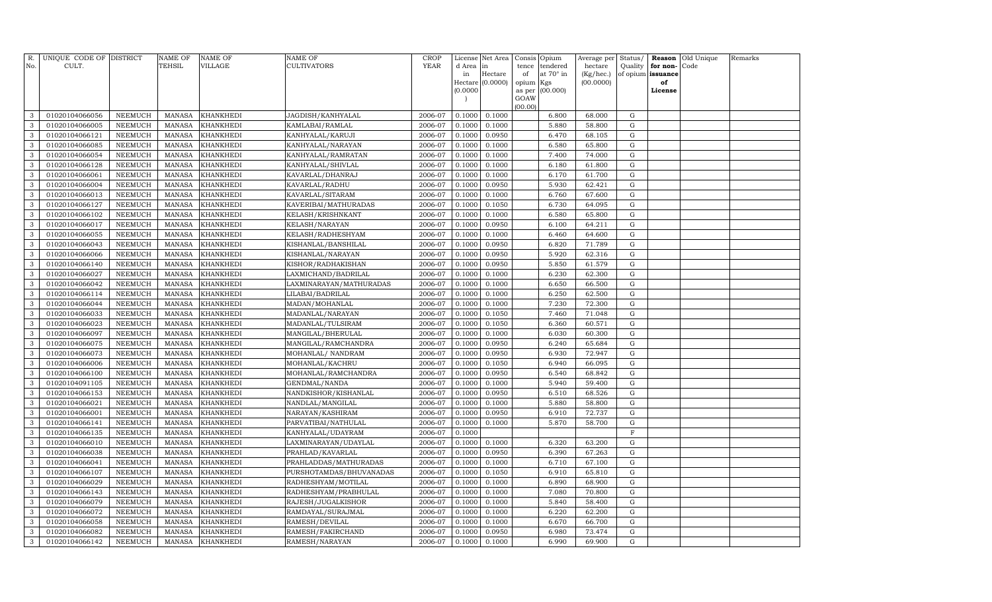| R.<br>No.    | UNIQUE CODE OF DISTRICT<br>CULT. |                | <b>NAME OF</b><br>TEHSIL | NAME OF<br><b>VILLAGE</b> | <b>NAME OF</b><br><b>CULTIVATORS</b> | <b>CROP</b><br><b>YEAR</b> | License<br>d Area | Net Area<br>in | Consis Opium<br>tence | tendered        | Average per<br>hectare | Status/<br>Quality | for non-          | <b>Reason</b> Old Unique<br>Code | Remarks |
|--------------|----------------------------------|----------------|--------------------------|---------------------------|--------------------------------------|----------------------------|-------------------|----------------|-----------------------|-----------------|------------------------|--------------------|-------------------|----------------------------------|---------|
|              |                                  |                |                          |                           |                                      |                            | in                | Hectare        | of                    | at 70° in       | (Kg/hec.)              |                    | of opium issuance |                                  |         |
|              |                                  |                |                          |                           |                                      |                            | Hectare           | (0.0000)       | opium Kgs             |                 | (00.0000)              |                    | of                |                                  |         |
|              |                                  |                |                          |                           |                                      |                            | (0.0000)          |                |                       | as per (00.000) |                        |                    | License           |                                  |         |
|              |                                  |                |                          |                           |                                      |                            |                   |                | GOAW<br>(00.00)       |                 |                        |                    |                   |                                  |         |
| 3            | 01020104066056                   | NEEMUCH        | <b>MANASA</b>            | <b>KHANKHEDI</b>          | JAGDISH/KANHYALAL                    | 2006-07                    | 0.1000            | 0.1000         |                       | 6.800           | 68.000                 | G                  |                   |                                  |         |
| $\mathbf{3}$ | 01020104066005                   | NEEMUCH        | <b>MANASA</b>            | <b>KHANKHEDI</b>          | KAMLABAI/RAMLAL                      | 2006-07                    | 0.1000            | 0.1000         |                       | 5.880           | 58.800                 | G                  |                   |                                  |         |
| 3            | 01020104066121                   | NEEMUCH        | <b>MANASA</b>            | <b>KHANKHEDI</b>          | KANHYALAL/KARUJI                     | 2006-07                    | 0.1000            | 0.0950         |                       | 6.470           | 68.105                 | G                  |                   |                                  |         |
| 3            | 01020104066085                   | <b>NEEMUCH</b> | <b>MANASA</b>            | <b>KHANKHEDI</b>          | KANHYALAL/NARAYAN                    | 2006-07                    | 0.1000            | 0.1000         |                       | 6.580           | 65.800                 | ${\rm G}$          |                   |                                  |         |
| 3            | 01020104066054                   | NEEMUCH        | <b>MANASA</b>            | <b>KHANKHEDI</b>          | KANHYALAL/RAMRATAN                   | 2006-07                    | 0.1000            | 0.1000         |                       | 7.400           | 74.000                 | ${\rm G}$          |                   |                                  |         |
| 3            | 01020104066128                   | <b>NEEMUCH</b> | <b>MANASA</b>            | <b>KHANKHEDI</b>          | KANHYALAL/SHIVLAL                    | 2006-07                    | 0.1000            | 0.1000         |                       | 6.180           | 61.800                 | ${\rm G}$          |                   |                                  |         |
| 3            | 01020104066061                   | NEEMUCH        | <b>MANASA</b>            | <b>KHANKHEDI</b>          | KAVARLAL/DHANRAJ                     | 2006-07                    | 0.1000            | 0.1000         |                       | 6.170           | 61.700                 | ${\rm G}$          |                   |                                  |         |
| 3            | 01020104066004                   | NEEMUCH        | <b>MANASA</b>            | <b>KHANKHEDI</b>          | KAVARLAL/RADHU                       | 2006-07                    | 0.1000            | 0.0950         |                       | 5.930           | 62.421                 | G                  |                   |                                  |         |
| 3            | 01020104066013                   | NEEMUCH        | <b>MANASA</b>            | KHANKHEDI                 | KAVARLAL/SITARAM                     | 2006-07                    | 0.1000            | 0.1000         |                       | 6.760           | 67.600                 | G                  |                   |                                  |         |
| 3            | 01020104066127                   | NEEMUCH        | <b>MANASA</b>            | KHANKHEDI                 | KAVERIBAI/MATHURADAS                 | 2006-07                    | 0.1000            | 0.1050         |                       | 6.730           | 64.095                 | G                  |                   |                                  |         |
| 3            | 01020104066102                   | NEEMUCH        | <b>MANASA</b>            | <b>KHANKHEDI</b>          | KELASH/KRISHNKANT                    | 2006-07                    | 0.1000            | 0.1000         |                       | 6.580           | 65.800                 | ${\rm G}$          |                   |                                  |         |
| 3            | 01020104066017                   | <b>NEEMUCH</b> | <b>MANASA</b>            | <b>KHANKHEDI</b>          | KELASH/NARAYAN                       | 2006-07                    | 0.1000            | 0.0950         |                       | 6.100           | 64.211                 | ${\rm G}$          |                   |                                  |         |
| 3            | 01020104066055                   | <b>NEEMUCH</b> | <b>MANASA</b>            | <b>KHANKHEDI</b>          | KELASH/RADHESHYAM                    | 2006-07                    | 0.1000            | 0.1000         |                       | 6.460           | 64.600                 | ${\rm G}$          |                   |                                  |         |
| 3            | 01020104066043                   | NEEMUCH        | <b>MANASA</b>            | <b>KHANKHEDI</b>          | KISHANLAL/BANSHILAL                  | 2006-07                    | 0.1000            | 0.0950         |                       | 6.820           | 71.789                 | ${\rm G}$          |                   |                                  |         |
| 3            | 01020104066066                   | <b>NEEMUCH</b> | <b>MANASA</b>            | <b>KHANKHEDI</b>          | KISHANLAL/NARAYAN                    | 2006-07                    | 0.1000            | 0.0950         |                       | 5.920           | 62.316                 | G                  |                   |                                  |         |
| 3            | 01020104066140                   | <b>NEEMUCH</b> | <b>MANASA</b>            | <b>KHANKHEDI</b>          | KISHOR/RADHAKISHAN                   | 2006-07                    | 0.1000            | 0.0950         |                       | 5.850           | 61.579                 | ${\rm G}$          |                   |                                  |         |
| 3            | 01020104066027                   | <b>NEEMUCH</b> | <b>MANASA</b>            | <b>KHANKHEDI</b>          | LAXMICHAND/BADRILAL                  | 2006-07                    | 0.1000            | 0.1000         |                       | 6.230           | 62.300                 | ${\rm G}$          |                   |                                  |         |
| $\mathbf{3}$ | 01020104066042                   | <b>NEEMUCH</b> | <b>MANASA</b>            | KHANKHEDI                 | LAXMINARAYAN/MATHURADAS              | 2006-07                    | 0.1000            | 0.1000         |                       | 6.650           | 66.500                 | ${\rm G}$          |                   |                                  |         |
| 3            | 01020104066114                   | <b>NEEMUCH</b> | <b>MANASA</b>            | KHANKHEDI                 | LILABAI/BADRILAL                     | 2006-07                    | 0.1000            | 0.1000         |                       | 6.250           | 62.500                 | ${\rm G}$          |                   |                                  |         |
| $\mathbf{3}$ | 01020104066044                   | <b>NEEMUCH</b> | <b>MANASA</b>            | KHANKHEDI                 | MADAN/MOHANLAL                       | 2006-07                    | 0.1000            | 0.1000         |                       | 7.230           | 72.300                 | ${\rm G}$          |                   |                                  |         |
| 3            | 01020104066033                   | NEEMUCH        | <b>MANASA</b>            | <b>KHANKHEDI</b>          | MADANLAL/NARAYAN                     | 2006-07                    | 0.1000            | 0.1050         |                       | 7.460           | 71.048                 | $\mathbf G$        |                   |                                  |         |
| 3            | 01020104066023                   | <b>NEEMUCH</b> | <b>MANASA</b>            | <b>KHANKHEDI</b>          | MADANLAL/TULSIRAM                    | 2006-07                    | 0.1000            | 0.1050         |                       | 6.360           | 60.571                 | ${\rm G}$          |                   |                                  |         |
| 3            | 01020104066097                   | NEEMUCH        | <b>MANASA</b>            | <b>KHANKHEDI</b>          | MANGILAL/BHERULAL                    | 2006-07                    | 0.1000            | 0.1000         |                       | 6.030           | 60.300                 | ${\rm G}$          |                   |                                  |         |
| 3            | 01020104066075                   | <b>NEEMUCH</b> | <b>MANASA</b>            | <b>KHANKHEDI</b>          | MANGILAL/RAMCHANDRA                  | 2006-07                    | 0.1000            | 0.0950         |                       | 6.240           | 65.684                 | ${\rm G}$          |                   |                                  |         |
| 3            | 01020104066073                   | <b>NEEMUCH</b> | <b>MANASA</b>            | <b>KHANKHEDI</b>          | MOHANLAL/ NANDRAM                    | 2006-07                    | 0.1000            | 0.0950         |                       | 6.930           | 72.947                 | ${\rm G}$          |                   |                                  |         |
| $\mathbf{3}$ | 01020104066006                   | <b>NEEMUCH</b> | <b>MANASA</b>            | <b>KHANKHEDI</b>          | MOHANLAL/KACHRU                      | 2006-07                    | 0.1000            | 0.1050         |                       | 6.940           | 66.095                 | G                  |                   |                                  |         |
| 3            | 01020104066100                   | <b>NEEMUCH</b> | <b>MANASA</b>            | <b>KHANKHEDI</b>          | MOHANLAL/RAMCHANDRA                  | 2006-07                    | 0.1000            | 0.0950         |                       | 6.540           | 68.842                 | ${\rm G}$          |                   |                                  |         |
| $\mathbf{3}$ | 01020104091105                   | <b>NEEMUCH</b> | <b>MANASA</b>            | KHANKHEDI                 | GENDMAL/NANDA                        | 2006-07                    | 0.1000            | 0.1000         |                       | 5.940           | 59.400                 | ${\rm G}$          |                   |                                  |         |
| 3            | 01020104066153                   | <b>NEEMUCH</b> | <b>MANASA</b>            | KHANKHEDI                 | NANDKISHOR/KISHANLAL                 | 2006-07                    | 0.1000            | 0.0950         |                       | 6.510           | 68.526                 | ${\rm G}$          |                   |                                  |         |
| $\mathbf{3}$ | 01020104066021                   | <b>NEEMUCH</b> | <b>MANASA</b>            | <b>KHANKHEDI</b>          | NANDLAL/MANGILAL                     | 2006-07                    | 0.1000            | 0.1000         |                       | 5.880           | 58.800                 | ${\rm G}$          |                   |                                  |         |
| 3            | 01020104066001                   | NEEMUCH        | MANASA                   | KHANKHEDI                 | NARAYAN/KASHIRAM                     | 2006-07                    | 0.1000            | 0.0950         |                       | 6.910           | 72.737                 | ${\rm G}$          |                   |                                  |         |
| 3            | 01020104066141                   | <b>NEEMUCH</b> | MANASA                   | <b>KHANKHEDI</b>          | PARVATIBAI/NATHULAL                  | 2006-07                    | 0.1000            | 0.1000         |                       | 5.870           | 58.700                 | ${\rm G}$          |                   |                                  |         |
| 3            | 01020104066135                   | NEEMUCH        | <b>MANASA</b>            | KHANKHEDI                 | KANHYALAL/UDAYRAM                    | 2006-07                    | 0.1000            |                |                       |                 |                        | $\mathbf F$        |                   |                                  |         |
| 3            | 01020104066010                   | <b>NEEMUCH</b> | <b>MANASA</b>            | <b>KHANKHEDI</b>          | LAXMINARAYAN/UDAYLAL                 | 2006-07                    | 0.1000            | 0.1000         |                       | 6.320           | 63.200                 | $\mathbf G$        |                   |                                  |         |
| 3            | 01020104066038                   | <b>NEEMUCH</b> | <b>MANASA</b>            | <b>KHANKHEDI</b>          | PRAHLAD/KAVARLAL                     | 2006-07                    | 0.1000            | 0.0950         |                       | 6.390           | 67.263                 | ${\rm G}$          |                   |                                  |         |
| 3            | 01020104066041                   | <b>NEEMUCH</b> | <b>MANASA</b>            | <b>KHANKHEDI</b>          | PRAHLADDAS/MATHURADAS                | 2006-07                    | 0.1000            | 0.1000         |                       | 6.710           | 67.100                 | G                  |                   |                                  |         |
| 3            | 01020104066107                   | <b>NEEMUCH</b> | <b>MANASA</b>            | KHANKHEDI                 | PURSHOTAMDAS/BHUVANADAS              | 2006-07                    | 0.1000            | 0.1050         |                       | 6.910           | 65.810                 | ${\rm G}$          |                   |                                  |         |
| 3            | 01020104066029                   | <b>NEEMUCH</b> | <b>MANASA</b>            | KHANKHEDI                 | RADHESHYAM/MOTILAL                   | 2006-07                    | 0.1000            | 0.1000         |                       | 6.890           | 68.900                 | ${\rm G}$          |                   |                                  |         |
| 3            | 01020104066143                   | <b>NEEMUCH</b> | <b>MANASA</b>            | KHANKHEDI                 | RADHESHYAM/PRABHULAL                 | 2006-07                    | 0.1000            | 0.1000         |                       | 7.080           | 70.800                 | $\mathbf G$        |                   |                                  |         |
| 3            | 01020104066079                   | <b>NEEMUCH</b> | <b>MANASA</b>            | KHANKHEDI                 | RAJESH/JUGALKISHOR                   | 2006-07                    | 0.1000            | 0.1000         |                       | 5.840           | 58.400                 | ${\rm G}$          |                   |                                  |         |
| 3            | 01020104066072                   | <b>NEEMUCH</b> | MANASA                   | KHANKHEDI                 | RAMDAYAL/SURAJMAL                    | 2006-07                    | 0.1000            | 0.1000         |                       | 6.220           | 62.200                 | ${\rm G}$          |                   |                                  |         |
| 3            | 01020104066058                   | <b>NEEMUCH</b> | <b>MANASA</b>            | KHANKHEDI                 | RAMESH/DEVILAL                       | 2006-07                    | 0.1000            | 0.1000         |                       | 6.670           | 66.700                 | ${\rm G}$          |                   |                                  |         |
| 3            | 01020104066082                   | <b>NEEMUCH</b> | <b>MANASA</b>            | KHANKHEDI                 | RAMESH/FAKIRCHAND                    | 2006-07                    | 0.1000            | 0.0950         |                       | 6.980           | 73.474                 | G                  |                   |                                  |         |
| $\mathbf{3}$ | 01020104066142                   | NEEMUCH        | MANASA                   | <b>KHANKHEDI</b>          | RAMESH/NARAYAN                       | 2006-07                    | 0.1000            | 0.1000         |                       | 6.990           | 69.900                 | G                  |                   |                                  |         |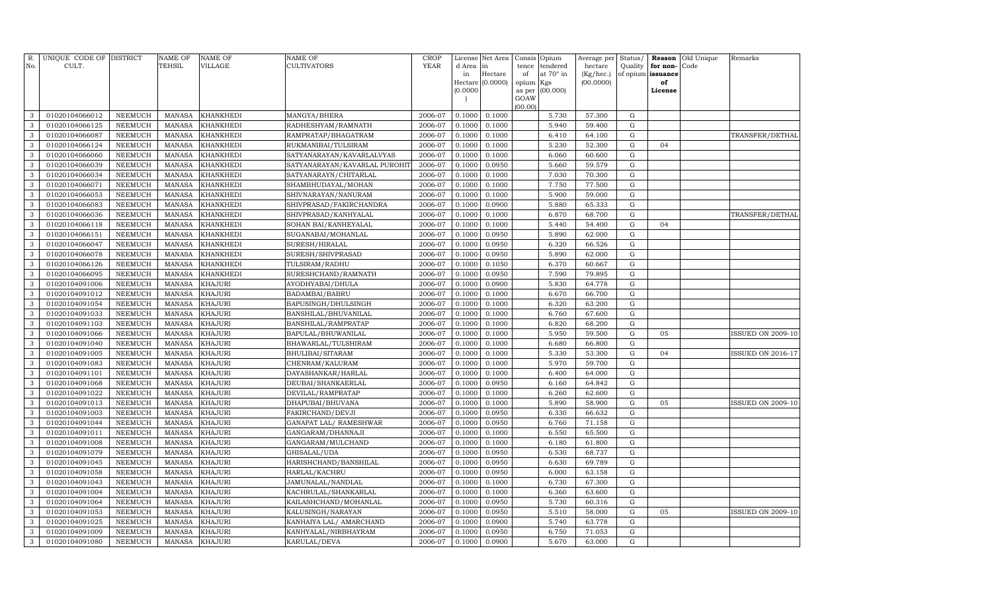| R.<br>No.    | UNIQUE CODE OF DISTRICT<br>CULT. |                                  | <b>NAME OF</b><br>TEHSIL       | <b>NAME OF</b><br><b>VILLAGE</b> | NAME OF<br>CULTIVATORS                | <b>CROP</b><br>YEAR | License<br>d Area<br>in | Net Area<br>in<br>Hectare | Consis<br>tence<br>of | Opium<br>tendered<br>at 70° in | Average per<br>hectare<br>(Kg/hec.) | Status/<br>Quality       | Reason<br>for non-<br>of opium issuance | Old Unique<br>Code | Remarks                  |
|--------------|----------------------------------|----------------------------------|--------------------------------|----------------------------------|---------------------------------------|---------------------|-------------------------|---------------------------|-----------------------|--------------------------------|-------------------------------------|--------------------------|-----------------------------------------|--------------------|--------------------------|
|              |                                  |                                  |                                |                                  |                                       |                     |                         | Hectare (0.0000)          | opium                 | Kgs                            | (00.0000)                           |                          | of                                      |                    |                          |
|              |                                  |                                  |                                |                                  |                                       |                     | (0.0000)                |                           | as per                | (00.000)                       |                                     |                          | License                                 |                    |                          |
|              |                                  |                                  |                                |                                  |                                       |                     |                         |                           | GOAW<br>(00.00)       |                                |                                     |                          |                                         |                    |                          |
| 3            | 01020104066012                   | <b>NEEMUCH</b>                   | <b>MANASA</b>                  | <b>KHANKHEDI</b>                 | MANGYA/BHERA                          | 2006-07             | 0.1000                  | 0.1000                    |                       | 5.730                          | 57.300                              | ${\rm G}$                |                                         |                    |                          |
| 3            | 01020104066125                   | <b>NEEMUCH</b>                   | <b>MANASA</b>                  | KHANKHEDI                        | RADHESHYAM/RAMNATH                    | 2006-07             | 0.1000                  | 0.1000                    |                       | 5.940                          | 59.400                              | G                        |                                         |                    |                          |
| 3            | 01020104066087                   | <b>NEEMUCH</b>                   | <b>MANASA</b>                  | <b>KHANKHEDI</b>                 | RAMPRATAP/BHAGATRAM                   | 2006-07             | 0.1000                  | 0.1000                    |                       | 6.410                          | 64.100                              | ${\bf G}$                |                                         |                    | <b>TRANSFER/DETHAI</b>   |
| 3            | 01020104066124                   | <b>NEEMUCH</b>                   | <b>MANASA</b>                  | <b>KHANKHEDI</b>                 | RUKMANIBAI/TULSIRAM                   | 2006-07             | 0.1000                  | 0.1000                    |                       | 5.230                          | 52.300                              | ${\rm G}$                | 04                                      |                    |                          |
| 3            | 01020104066060                   | <b>NEEMUCH</b>                   | <b>MANASA</b>                  | <b>KHANKHEDI</b>                 | SATYANARAYAN/KAVARLALVYAS             | 2006-07             | 0.1000                  | 0.1000                    |                       | 6.060                          | 60.600                              | ${\bf G}$                |                                         |                    |                          |
| 3            | 01020104066039                   | <b>NEEMUCH</b>                   | <b>MANASA</b>                  | <b>KHANKHEDI</b>                 | SATYANARAYAN/KAVARLAL PUROHIT         | 2006-07             | 0.1000                  | 0.0950                    |                       | 5.660                          | 59.579                              | ${\rm G}$                |                                         |                    |                          |
| 3            | 01020104066034                   | <b>NEEMUCH</b>                   | <b>MANASA</b>                  | <b>KHANKHEDI</b>                 | SATYANARAYN/CHITARLAL                 | 2006-07             | 0.1000                  | 0.1000                    |                       | 7.030                          | 70.300                              | ${\rm G}$                |                                         |                    |                          |
| 3            | 01020104066071                   | <b>NEEMUCH</b>                   | <b>MANASA</b>                  | <b>KHANKHEDI</b>                 | SHAMBHUDAYAL/MOHAN                    | 2006-07             | 0.1000                  | 0.1000                    |                       | 7.750                          | 77.500                              | ${\rm G}$                |                                         |                    |                          |
| 3            | 01020104066053                   | <b>NEEMUCH</b>                   | <b>MANASA</b>                  | KHANKHEDI                        | SHIVNARAYAN/NANURAM                   | 2006-07             | 0.1000                  | 0.1000                    |                       | 5.900                          | 59.000                              | ${\bf G}$                |                                         |                    |                          |
| $\mathbf{3}$ | 01020104066083                   | <b>NEEMUCH</b>                   | <b>MANASA</b>                  | KHANKHEDI                        | SHIVPRASAD/FAKIRCHANDRA               | 2006-07             | 0.1000                  | 0.0900                    |                       | 5.880                          | 65.333                              | ${\rm G}$                |                                         |                    |                          |
| $\mathbf{3}$ | 01020104066036                   | <b>NEEMUCH</b>                   | <b>MANASA</b>                  | KHANKHEDI                        | SHIVPRASAD/KANHYALAL                  | 2006-07             | 0.1000                  | 0.1000                    |                       | 6.870                          | 68.700                              | ${\rm G}$                |                                         |                    | TRANSFER/DETHAI          |
| 3            | 01020104066118                   | <b>NEEMUCH</b>                   | <b>MANASA</b>                  | KHANKHEDI                        | SOHAN BAI/KANHEYALAL                  | 2006-07             | 0.1000                  | 0.1000                    |                       | 5.440                          | 54.400                              | ${\rm G}$                | 04                                      |                    |                          |
| 3            | 01020104066151                   | NEEMUCH                          | <b>MANASA</b>                  | KHANKHEDI                        | SUGANABAI/MOHANLAL                    | 2006-07             | 0.1000                  | 0.0950                    |                       | 5.890                          | 62.000                              | $\mathbf G$              |                                         |                    |                          |
| 3            | 01020104066047                   | <b>NEEMUCH</b>                   | <b>MANASA</b>                  | KHANKHEDI                        | SURESH/HIRALAL                        | 2006-07             | 0.1000                  | 0.0950                    |                       | 6.320                          | 66.526                              | ${\rm G}$                |                                         |                    |                          |
| 3            | 01020104066078                   | NEEMUCH                          | <b>MANASA</b>                  | KHANKHEDI                        | SURESH/SHIVPRASAD                     | 2006-07             | 0.1000                  | 0.0950                    |                       | 5.890                          | 62.000                              | ${\bf G}$                |                                         |                    |                          |
| 3            | 01020104066126                   | <b>NEEMUCH</b>                   | <b>MANASA</b>                  | <b>KHANKHEDI</b>                 | TULSIRAM/RADHU                        | 2006-07             | 0.1000                  | 0.1050                    |                       | 6.370                          | 60.667                              | $\mathbf G$              |                                         |                    |                          |
| 3            | 01020104066095                   | <b>NEEMUCH</b>                   | <b>MANASA</b>                  | KHANKHEDI                        | SURESHCHAND/RAMNATH                   | 2006-07             | 0.1000                  | 0.0950                    |                       | 7.590                          | 79.895                              | ${\bf G}$                |                                         |                    |                          |
| 3            | 01020104091006                   | <b>NEEMUCH</b>                   | <b>MANASA</b>                  | KHAJURI                          | AYODHYABAI/DHULA                      | 2006-07             | 0.1000                  | 0.0900                    |                       | 5.830                          | 64.778                              | ${\bf G}$                |                                         |                    |                          |
| 3            | 01020104091012                   | <b>NEEMUCH</b>                   | <b>MANASA</b>                  | KHAJURI                          | BADAMBAI/BABRU                        | 2006-07             | 0.1000                  | 0.1000                    |                       | 6.670                          | 66.700                              | ${\bf G}$                |                                         |                    |                          |
| 3            | 01020104091054                   | <b>NEEMUCH</b>                   | <b>MANASA</b>                  | KHAJURI                          | BAPUSINGH/DHULSINGH                   | 2006-07             | 0.1000                  | 0.1000                    |                       | 6.320                          | 63.200                              | ${\rm G}$                |                                         |                    |                          |
| 3            | 01020104091033                   | <b>NEEMUCH</b>                   | <b>MANASA</b>                  | KHAJURI                          | BANSHILAL/BHUVANILAL                  | 2006-07             | 0.1000                  | 0.1000                    |                       | 6.760                          | 67.600                              | ${\bf G}$                |                                         |                    |                          |
| 3            | 01020104091103                   | <b>NEEMUCH</b>                   | <b>MANASA</b>                  | KHAJURI                          | BANSHILAL/RAMPRATAP                   | 2006-07             | 0.1000                  | 0.1000                    |                       | 6.820                          | 68.200                              | ${\bf G}$                |                                         |                    |                          |
| 3            | 01020104091066                   | NEEMUCH                          | <b>MANASA</b>                  | KHAJURI                          | BAPULAL/BHUWANILAL                    | 2006-07             | 0.1000                  | 0.1000                    |                       | 5.950                          | 59.500                              | ${\bf G}$                | 05                                      |                    | <b>ISSUED ON 2009-10</b> |
| 3            | 01020104091040                   | <b>NEEMUCH</b>                   | <b>MANASA</b>                  | KHAJURI                          | BHAWARLAL/TULSHIRAM                   | 2006-07             | 0.1000                  | 0.1000                    |                       | 6.680                          | 66.800                              | ${\bf G}$                |                                         |                    |                          |
| 3            | 01020104091005                   | NEEMUCH                          | <b>MANASA</b>                  | KHAJURI                          | BHULIBAI/SITARAM                      | 2006-07             | 0.1000                  | 0.1000                    |                       | 5.330                          | 53.300                              | ${\bf G}$                | 04                                      |                    | ISSUED ON 2016-17        |
| 3            | 01020104091083                   | <b>NEEMUCH</b>                   | <b>MANASA</b>                  | KHAJURI                          | CHENRAM/KALURAM                       | 2006-07             | 0.1000                  | 0.1000                    |                       | 5.970                          | 59.700                              | ${\rm G}$                |                                         |                    |                          |
| 3            | 01020104091101                   | NEEMUCH                          | <b>MANASA</b>                  | KHAJURI                          | DAYASHANKAR/HARLAL                    | 2006-07             | 0.1000                  | 0.1000                    |                       | 6.400                          | 64.000                              | ${\bf G}$                |                                         |                    |                          |
| 3            | 01020104091068                   | NEEMUCH                          | <b>MANASA</b>                  | KHAJURI                          | DEUBAI/SHANKAERLAL                    | 2006-07             | 0.1000                  | 0.0950                    |                       | 6.160                          | 64.842                              | G                        |                                         |                    |                          |
| 3            | 01020104091022                   | NEEMUCH                          | <b>MANASA</b>                  | KHAJURI                          | DEVILAL/RAMPRATAP                     | 2006-07             | 0.1000                  | 0.1000                    |                       | 6.260                          | 62.600                              | $\mathbf G$              |                                         |                    |                          |
| 3            | 01020104091013                   | NEEMUCH                          | <b>MANASA</b>                  | KHAJURI                          | DHAPUBAI/BHUVANA                      | 2006-07             | 0.1000                  | 0.1000                    |                       | 5.890                          | 58.900                              | $\mathbf G$              | 05                                      |                    | <b>ISSUED ON 2009-10</b> |
| 3            | 01020104091003                   | <b>NEEMUCH</b>                   | <b>MANASA</b>                  | KHAJURI                          | FAKIRCHAND/DEVJI                      | 2006-07             | 0.1000                  | 0.0950                    |                       | 6.330                          | 66.632                              | $\mathbf G$              |                                         |                    |                          |
| 3<br>3       | 01020104091044                   | <b>NEEMUCH</b>                   | <b>MANASA</b>                  | KHAJURI                          | GANAPAT LAL/ RAMESHWAR                | 2006-07             | 0.1000                  | 0.0950                    |                       | 6.760                          | 71.158                              | $\mathbf G$              |                                         |                    |                          |
|              | 01020104091011                   | <b>NEEMUCH</b>                   | <b>MANASA</b>                  | KHAJURI                          | GANGARAM/DHANNAJI                     | 2006-07             | 0.1000                  | 0.1000                    |                       | 6.550                          | 65.500                              | $\mathbf G$              |                                         |                    |                          |
| 3<br>3       | 01020104091008<br>01020104091079 | <b>NEEMUCH</b>                   | <b>MANASA</b>                  | KHAJURI                          | GANGARAM/MULCHAND                     | 2006-07<br>2006-07  | 0.1000<br>0.1000        | 0.1000                    |                       | 6.180<br>6.530                 | 61.800<br>68.737                    | ${\rm G}$<br>$\mathbf G$ |                                         |                    |                          |
| 3            | 01020104091045                   | <b>NEEMUCH</b><br><b>NEEMUCH</b> | <b>MANASA</b><br><b>MANASA</b> | KHAJURI<br>KHAJURI               | GHISALAL/UDA<br>HARISHCHAND/BANSHILAL | 2006-07             | 0.1000                  | 0.0950<br>0.0950          |                       | 6.630                          | 69.789                              | $\mathbf G$              |                                         |                    |                          |
| 3            | 01020104091058                   | <b>NEEMUCH</b>                   | <b>MANASA</b>                  | KHAJURI                          | HARLAL/KACHRU                         | 2006-07             | 0.1000                  | 0.0950                    |                       | 6.000                          | 63.158                              | ${\bf G}$                |                                         |                    |                          |
| 3            | 01020104091043                   | <b>NEEMUCH</b>                   | <b>MANASA</b>                  | KHAJURI                          | JAMUNALAL/NANDLAL                     | 2006-07             | 0.1000                  | 0.1000                    |                       | 6.730                          | 67.300                              | $\mathbf G$              |                                         |                    |                          |
| 3            | 01020104091004                   | <b>NEEMUCH</b>                   | <b>MANASA</b>                  | KHAJURI                          | KACHRULAL/SHANKARLAL                  | 2006-07             | 0.1000                  | 0.1000                    |                       | 6.360                          | 63.600                              | $\mathbf G$              |                                         |                    |                          |
| 3            | 01020104091064                   | <b>NEEMUCH</b>                   | <b>MANASA</b>                  | KHAJURI                          | KAILASHCHAND/MOHANLAL                 | 2006-07             | 0.1000                  | 0.0950                    |                       | 5.730                          | 60.316                              | $\mathbf G$              |                                         |                    |                          |
| 3            | 01020104091053                   | <b>NEEMUCH</b>                   | <b>MANASA</b>                  | KHAJURI                          | KALUSINGH/NARAYAN                     | 2006-07             | 0.1000                  | 0.0950                    |                       | 5.510                          | 58.000                              | G                        | 05                                      |                    | <b>ISSUED ON 2009-10</b> |
| 3            | 01020104091025                   | <b>NEEMUCH</b>                   | <b>MANASA</b>                  | KHAJURI                          | KANHAIYA LAL/ AMARCHAND               | 2006-07             | 0.1000                  | 0.0900                    |                       | 5.740                          | 63.778                              | ${\rm G}$                |                                         |                    |                          |
| 3            | 01020104091009                   | <b>NEEMUCH</b>                   | <b>MANASA</b>                  | KHAJURI                          | KANHYALAL/NIRBHAYRAM                  | 2006-07             | 0.1000                  | 0.0950                    |                       | 6.750                          | 71.053                              | G                        |                                         |                    |                          |
| $\mathbf{3}$ | 01020104091080                   | <b>NEEMUCH</b>                   | <b>MANASA</b>                  | <b>KHAJURI</b>                   | KARULAL/DEVA                          | 2006-07             | 0.1000                  | 0.0900                    |                       | 5.670                          | 63.000                              | G                        |                                         |                    |                          |
|              |                                  |                                  |                                |                                  |                                       |                     |                         |                           |                       |                                |                                     |                          |                                         |                    |                          |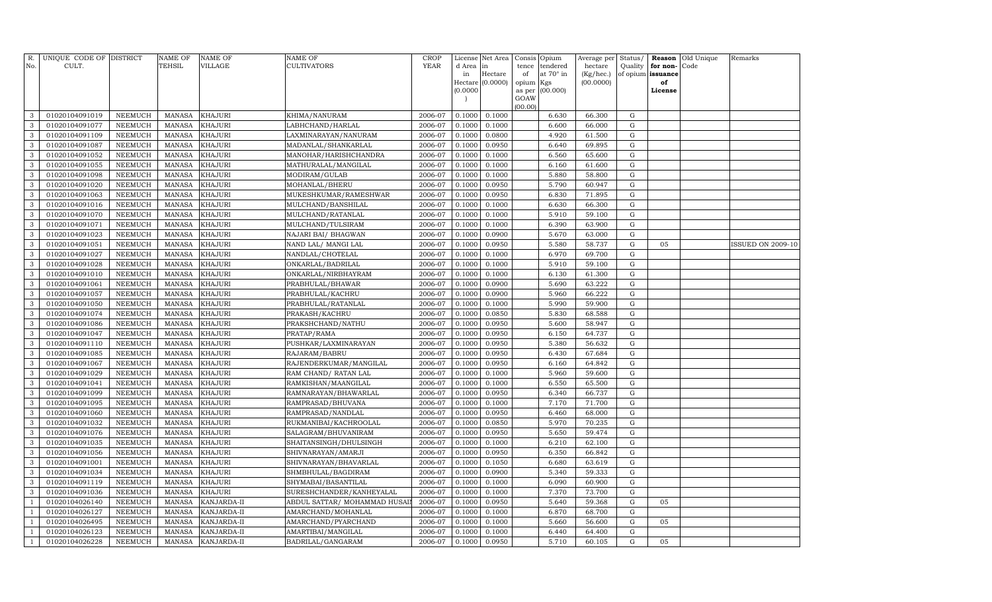| R.<br>No.      | UNIQUE CODE OF DISTRICT<br>CULT. |                | NAME OF<br>TEHSIL | <b>NAME OF</b><br>VILLAGE | <b>NAME OF</b><br>CULTIVATORS | CROP<br><b>YEAR</b> | License<br>d Area | Net Area<br>in   | Consis<br>tence | Opium<br>tendered | Average per<br>hectare | Status/<br>Quality | Reason<br>for non- | Old Unique<br>Code | Remarks                  |
|----------------|----------------------------------|----------------|-------------------|---------------------------|-------------------------------|---------------------|-------------------|------------------|-----------------|-------------------|------------------------|--------------------|--------------------|--------------------|--------------------------|
|                |                                  |                |                   |                           |                               |                     | in                | Hectare          | of              | at 70° in         | (Kg/hec.)              |                    | of opium issuance  |                    |                          |
|                |                                  |                |                   |                           |                               |                     |                   | Hectare (0.0000) | opium           | Kgs               | (00.0000)              |                    | of                 |                    |                          |
|                |                                  |                |                   |                           |                               |                     | (0.0000)          |                  | as per<br>GOAW  | (00.000)          |                        |                    | License            |                    |                          |
|                |                                  |                |                   |                           |                               |                     |                   |                  | (00.00)         |                   |                        |                    |                    |                    |                          |
| 3              | 01020104091019                   | NEEMUCH        | MANASA            | <b>KHAJURI</b>            | KHIMA/NANURAM                 | 2006-07             | 0.1000            | 0.1000           |                 | 6.630             | 66.300                 | G                  |                    |                    |                          |
| 3              | 01020104091077                   | <b>NEEMUCH</b> | <b>MANASA</b>     | KHAJURI                   | LABHCHAND/HARLAL              | 2006-07             | 0.1000            | 0.1000           |                 | 6.600             | 66.000                 | $\mathbf G$        |                    |                    |                          |
| 3              | 01020104091109                   | NEEMUCH        | MANASA            | <b>KHAJURI</b>            | LAXMINARAYAN/NANURAM          | 2006-07             | 0.1000            | 0.0800           |                 | 4.920             | 61.500                 | $\mathbf G$        |                    |                    |                          |
| 3              | 01020104091087                   | <b>NEEMUCH</b> | MANASA            | <b>KHAJURI</b>            | MADANLAL/SHANKARLAL           | 2006-07             | 0.1000            | 0.0950           |                 | 6.640             | 69.895                 | $\mathbf G$        |                    |                    |                          |
| 3              | 01020104091052                   | <b>NEEMUCH</b> | <b>MANASA</b>     | <b>KHAJURI</b>            | MANOHAR/HARISHCHANDRA         | 2006-07             | 0.1000            | 0.1000           |                 | 6.560             | 65.600                 | $\mathbf G$        |                    |                    |                          |
| 3              | 01020104091055                   | <b>NEEMUCH</b> | MANASA            | <b>KHAJURI</b>            | MATHURALAL/MANGILAL           | 2006-07             | 0.1000            | 0.1000           |                 | 6.160             | 61.600                 | $\mathbf G$        |                    |                    |                          |
| 3              | 01020104091098                   | <b>NEEMUCH</b> | MANASA            | KHAJURI                   | MODIRAM/GULAB                 | 2006-07             | 0.1000            | 0.1000           |                 | 5.880             | 58.800                 | $\mathbf G$        |                    |                    |                          |
| 3              | 01020104091020                   | <b>NEEMUCH</b> | MANASA            | KHAJURI                   | MOHANLAL/BHERU                | 2006-07             | 0.1000            | 0.0950           |                 | 5.790             | 60.947                 | $\mathbf G$        |                    |                    |                          |
| 3              | 01020104091063                   | <b>NEEMUCH</b> | <b>MANASA</b>     | KHAJURI                   | MUKESHKUMAR/RAMESHWAR         | 2006-07             | 0.1000            | 0.0950           |                 | 6.830             | 71.895                 | G                  |                    |                    |                          |
| 3              | 01020104091016                   | <b>NEEMUCH</b> | MANASA            | KHAJURI                   | MULCHAND/BANSHILAL            | 2006-07             | 0.1000            | 0.1000           |                 | 6.630             | 66.300                 | $\mathbf G$        |                    |                    |                          |
| 3              | 01020104091070                   | <b>NEEMUCH</b> | <b>MANASA</b>     | KHAJURI                   | MULCHAND/RATANLAL             | 2006-07             | 0.1000            | 0.1000           |                 | 5.910             | 59.100                 | $\mathbf G$        |                    |                    |                          |
| 3              | 01020104091071                   | <b>NEEMUCH</b> | <b>MANASA</b>     | KHAJURI                   | MULCHAND/TULSIRAM             | 2006-07             | 0.1000            | 0.1000           |                 | 6.390             | 63.900                 | $\mathbf G$        |                    |                    |                          |
| 3              | 01020104091023                   | <b>NEEMUCH</b> | <b>MANASA</b>     | <b>KHAJURI</b>            | NAJARI BAI/ BHAGWAN           | 2006-07             | 0.1000            | 0.0900           |                 | 5.670             | 63.000                 | G                  |                    |                    |                          |
| 3              | 01020104091051                   | <b>NEEMUCH</b> | MANASA            | KHAJURI                   | NAND LAL/ MANGI LAL           | 2006-07             | 0.1000            | 0.0950           |                 | 5.580             | 58.737                 | G                  | 05                 |                    | <b>ISSUED ON 2009-10</b> |
| 3              | 01020104091027                   | <b>NEEMUCH</b> | <b>MANASA</b>     | KHAJURI                   | NANDLAL/CHOTELAL              | 2006-07             | 0.1000            | 0.1000           |                 | 6.970             | 69.700                 | G                  |                    |                    |                          |
| 3              | 01020104091028                   | <b>NEEMUCH</b> | MANASA            | <b>KHAJURI</b>            | ONKARLAL/BADRILAL             | 2006-07             | 0.1000            | 0.1000           |                 | 5.910             | 59.100                 | G                  |                    |                    |                          |
| 3              | 01020104091010                   | <b>NEEMUCH</b> | <b>MANASA</b>     | <b>KHAJURI</b>            | ONKARLAL/NIRBHAYRAM           | 2006-07             | 0.1000            | 0.1000           |                 | 6.130             | 61.300                 | G                  |                    |                    |                          |
| $\mathbf{3}$   | 01020104091061                   | <b>NEEMUCH</b> | <b>MANASA</b>     | KHAJURI                   | PRABHULAL/BHAWAR              | 2006-07             | 0.1000            | 0.0900           |                 | 5.690             | 63.222                 | G                  |                    |                    |                          |
| 3              | 01020104091057                   | <b>NEEMUCH</b> | <b>MANASA</b>     | KHAJURI                   | PRABHULAL/KACHRU              | 2006-07             | 0.1000            | 0.0900           |                 | 5.960             | 66.222                 | G                  |                    |                    |                          |
| 3              | 01020104091050                   | <b>NEEMUCH</b> | <b>MANASA</b>     | KHAJURI                   | PRABHULAL/RATANLAL            | 2006-07             | 0.1000            | 0.1000           |                 | 5.990             | 59.900                 | G                  |                    |                    |                          |
| 3              | 01020104091074                   | <b>NEEMUCH</b> | <b>MANASA</b>     | <b>KHAJURI</b>            | PRAKASH/KACHRU                | 2006-07             | 0.1000            | 0.0850           |                 | 5.830             | 68.588                 | G                  |                    |                    |                          |
| 3              | 01020104091086                   | <b>NEEMUCH</b> | <b>MANASA</b>     | KHAJURI                   | PRAKSHCHAND/NATHU             | 2006-07             | 0.1000            | 0.0950           |                 | 5.600             | 58.947                 | $\mathbf G$        |                    |                    |                          |
| 3              | 01020104091047                   | NEEMUCH        | <b>MANASA</b>     | <b>KHAJURI</b>            | PRATAP/RAMA                   | 2006-07             | 0.1000            | 0.0950           |                 | 6.150             | 64.737                 | $\mathbf G$        |                    |                    |                          |
| 3              | 01020104091110                   | <b>NEEMUCH</b> | <b>MANASA</b>     | KHAJURI                   | PUSHKAR/LAXMINARAYAN          | 2006-07             | 0.1000            | 0.0950           |                 | 5.380             | 56.632                 | $\mathbf G$        |                    |                    |                          |
| 3              | 01020104091085                   | <b>NEEMUCH</b> | <b>MANASA</b>     | KHAJURI                   | RAJARAM/BABRU                 | 2006-07             | 0.1000            | 0.0950           |                 | 6.430             | 67.684                 | $\mathbf G$        |                    |                    |                          |
| 3              | 01020104091067                   | <b>NEEMUCH</b> | <b>MANASA</b>     | KHAJURI                   | RAJENDERKUMAR/MANGILAL        | 2006-07             | 0.1000            | 0.0950           |                 | 6.160             | 64.842                 | ${\rm G}$          |                    |                    |                          |
| 3              | 01020104091029                   | <b>NEEMUCH</b> | <b>MANASA</b>     | KHAJURI                   | RAM CHAND/ RATAN LAL          | 2006-07             | 0.1000            | 0.1000           |                 | 5.960             | 59.600                 | G                  |                    |                    |                          |
| $\mathbf{3}$   | 01020104091041                   | <b>NEEMUCH</b> | <b>MANASA</b>     | KHAJURI                   | RAMKISHAN/MAANGILAL           | 2006-07             | 0.1000            | 0.1000           |                 | 6.550             | 65.500                 | G                  |                    |                    |                          |
| 3              | 01020104091099                   | <b>NEEMUCH</b> | <b>MANASA</b>     | KHAJURI                   | RAMNARAYAN/BHAWARLAL          | 2006-07             | 0.1000            | 0.0950           |                 | 6.340             | 66.737                 | G                  |                    |                    |                          |
| $\mathbf{3}$   | 01020104091095                   | <b>NEEMUCH</b> | MANASA            | KHAJURI                   | RAMPRASAD/BHUVANA             | 2006-07             | 0.1000            | 0.1000           |                 | 7.170             | 71.700                 | ${\rm G}$          |                    |                    |                          |
| 3              | 01020104091060                   | NEEMUCH        | <b>MANASA</b>     | KHAJURI                   | RAMPRASAD/NANDLAL             | 2006-07             | 0.1000            | 0.0950           |                 | 6.460             | 68.000                 | G                  |                    |                    |                          |
| 3              | 01020104091032                   | <b>NEEMUCH</b> | <b>MANASA</b>     | KHAJURI                   | RUKMANIBAI/KACHROOLAL         | 2006-07             | 0.1000            | 0.0850           |                 | 5.970             | 70.235                 | G                  |                    |                    |                          |
| 3              | 01020104091076                   | NEEMUCH        | MANASA            | KHAJURI                   | SALAGRAM/BHUVANIRAM           | 2006-07             | 0.1000            | 0.0950           |                 | 5.650             | 59.474                 | G                  |                    |                    |                          |
| 3              | 01020104091035                   | <b>NEEMUCH</b> | <b>MANASA</b>     | KHAJURI                   | SHAITANSINGH/DHULSINGH        | 2006-07             | 0.1000            | 0.1000           |                 | 6.210             | 62.100                 | G                  |                    |                    |                          |
| 3              | 01020104091056                   | <b>NEEMUCH</b> | <b>MANASA</b>     | KHAJURI                   | SHIVNARAYAN/AMARJI            | 2006-07             | 0.1000            | 0.0950           |                 | 6.350             | 66.842                 | $\mathbf G$        |                    |                    |                          |
| 3              | 01020104091001                   | <b>NEEMUCH</b> | <b>MANASA</b>     | KHAJURI                   | SHIVNARAYAN/BHAVARLAL         | 2006-07             | 0.1000            | 0.1050           |                 | 6.680             | 63.619                 | G                  |                    |                    |                          |
| 3              | 01020104091034                   | <b>NEEMUCH</b> | <b>MANASA</b>     | KHAJURI                   | SHMBHULAL/BAGDIRAM            | 2006-07             | 0.1000            | 0.0900           |                 | 5.340             | 59.333                 | $\mathbf G$        |                    |                    |                          |
| 3              | 01020104091119                   | <b>NEEMUCH</b> | <b>MANASA</b>     | KHAJURI                   | SHYMABAI/BASANTILAL           | 2006-07             | 0.1000            | 0.1000           |                 | 6.090             | 60.900                 | G                  |                    |                    |                          |
| 3              | 01020104091036                   | <b>NEEMUCH</b> | <b>MANASA</b>     | KHAJURI                   | SURESHCHANDER/KANHEYALAL      | 2006-07             | 0.1000            | 0.1000           |                 | 7.370             | 73.700                 | G                  |                    |                    |                          |
|                | 01020104026140                   | <b>NEEMUCH</b> | <b>MANASA</b>     | KANJARDA-II               | ABDUL SATTAR/ MOHAMMAD HUSA   | 2006-07             | 0.1000            | 0.0950           |                 | 5.640             | 59.368                 | ${\rm G}$          | 05                 |                    |                          |
| $\mathbf{1}$   | 01020104026127                   | NEEMUCH        | MANASA            | KANJARDA-II               | AMARCHAND/MOHANLAL            | 2006-07             | 0.1000            | 0.1000           |                 | 6.870             | 68.700                 | G                  |                    |                    |                          |
| $\overline{1}$ | 01020104026495                   | <b>NEEMUCH</b> | <b>MANASA</b>     | KANJARDA-II               | AMARCHAND/PYARCHAND           | 2006-07             | 0.1000            | 0.1000           |                 | 5.660             | 56.600                 | G                  | 05                 |                    |                          |
|                | 01020104026123                   | <b>NEEMUCH</b> | <b>MANASA</b>     | KANJARDA-II               | AMARTIBAI/MANGILAL            | 2006-07             | 0.1000            | 0.1000           |                 | 6.440             | 64.400                 | G                  |                    |                    |                          |
| $\mathbf{1}$   | 01020104026228                   | <b>NEEMUCH</b> | MANASA            | KANJARDA-II               | BADRILAL/GANGARAM             | 2006-07             | 0.1000            | 0.0950           |                 | 5.710             | 60.105                 | G                  | 05                 |                    |                          |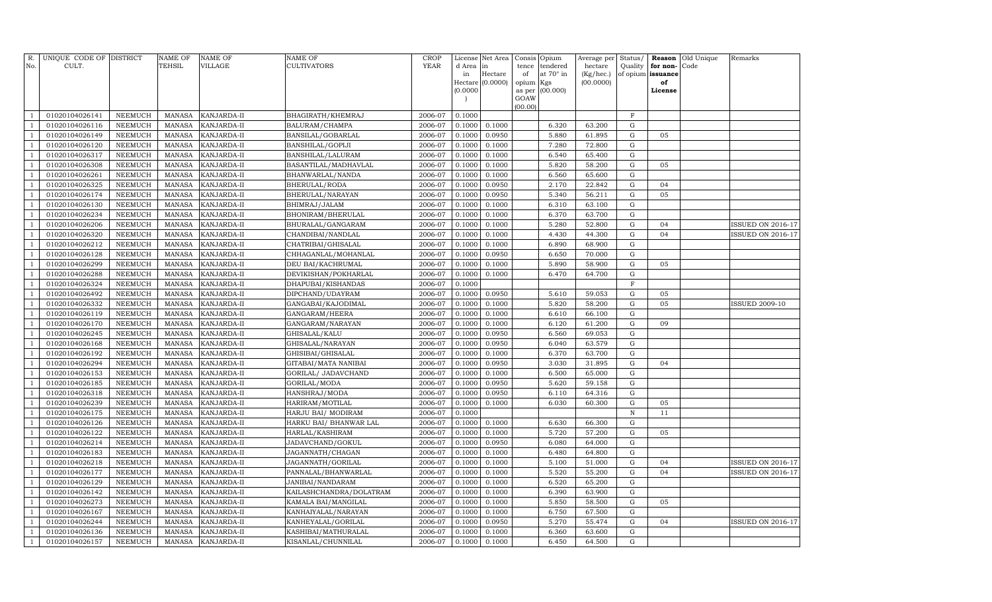| R.             | UNIQUE CODE OF DISTRICT |                | NAME OF       | <b>NAME OF</b> | <b>NAME OF</b>          | CROP        |              | License Net Area |             | Consis Opium          | Average per          | Status/             |                      | <b>Reason</b> Old Unique | Remarks                  |
|----------------|-------------------------|----------------|---------------|----------------|-------------------------|-------------|--------------|------------------|-------------|-----------------------|----------------------|---------------------|----------------------|--------------------------|--------------------------|
| No.            | CULT.                   |                | TEHSIL        | VILLAGE        | CULTIVATORS             | <b>YEAR</b> | d Area<br>in | in<br>Hectare    | tence<br>of | tendered<br>at 70° in | hectare<br>(Kg/hec.) | Quality<br>of opium | for non-<br>issuance | Code                     |                          |
|                |                         |                |               |                |                         |             |              | Hectare (0.0000) | opium Kgs   |                       | (00.0000)            |                     | of                   |                          |                          |
|                |                         |                |               |                |                         |             | (0.0000)     |                  | as per      | (00.000)              |                      |                     | License              |                          |                          |
|                |                         |                |               |                |                         |             |              |                  | GOAW        |                       |                      |                     |                      |                          |                          |
|                | 01020104026141          | NEEMUCH        | <b>MANASA</b> | KANJARDA-II    | BHAGIRATH/KHEMRAJ       | 2006-07     | 0.1000       |                  | (00.00)     |                       |                      | $\mathbf F$         |                      |                          |                          |
|                | 01020104026116          | NEEMUCH        | <b>MANASA</b> | KANJARDA-II    | BALURAM/CHAMPA          | 2006-07     | 0.1000       | 0.1000           |             | 6.320                 | 63.200               | $\mathbf G$         |                      |                          |                          |
|                | 01020104026149          | NEEMUCH        | <b>MANASA</b> | KANJARDA-II    | BANSILAL/GOBARLAL       | 2006-07     | 0.1000       | 0.0950           |             | 5.880                 | 61.895               | ${\rm G}$           | 05                   |                          |                          |
| $\overline{1}$ | 01020104026120          | NEEMUCH        | <b>MANASA</b> | KANJARDA-II    | BANSHILAL/GOPIJI        | 2006-07     | 0.1000       | 0.1000           |             | 7.280                 | 72.800               | G                   |                      |                          |                          |
|                | 01020104026317          | <b>NEEMUCH</b> | <b>MANASA</b> | KANJARDA-II    | BANSHILAL/LALURAM       | 2006-07     | 0.1000       | 0.1000           |             | 6.540                 | 65.400               | G                   |                      |                          |                          |
| -1             | 01020104026308          | <b>NEEMUCH</b> | <b>MANASA</b> | KANJARDA-II    | BASANTILAL/MADHAVLAL    | 2006-07     | 0.1000       | 0.1000           |             | 5.820                 | 58.200               | G                   | 05                   |                          |                          |
| $\overline{1}$ | 01020104026261          | NEEMUCH        | <b>MANASA</b> | KANJARDA-II    | BHANWARLAL/NANDA        | 2006-07     | 0.1000       | 0.1000           |             | 6.560                 | 65.600               | G                   |                      |                          |                          |
|                | 01020104026325          | <b>NEEMUCH</b> | MANASA        | KANJARDA-II    | BHERULAL/RODA           | 2006-07     | 0.1000       | 0.0950           |             | 2.170                 | 22.842               | G                   | 04                   |                          |                          |
|                | 01020104026174          | <b>NEEMUCH</b> | <b>MANASA</b> | KANJARDA-II    | BHERULAL/NARAYAN        | 2006-07     | 0.1000       | 0.0950           |             | 5.340                 | 56.211               | G                   | 05                   |                          |                          |
| -1             | 01020104026130          | <b>NEEMUCH</b> | <b>MANASA</b> | KANJARDA-II    | BHIMRAJ/JALAM           | 2006-07     | 0.1000       | 0.1000           |             | 6.310                 | 63.100               | G                   |                      |                          |                          |
|                | 01020104026234          | NEEMUCH        | <b>MANASA</b> | KANJARDA-II    | BHONIRAM/BHERULAL       | 2006-07     | 0.1000       | 0.1000           |             | 6.370                 | 63.700               | $\mathbf G$         |                      |                          |                          |
| $\overline{1}$ | 01020104026206          | <b>NEEMUCH</b> | <b>MANASA</b> | KANJARDA-II    | BHURALAL/GANGARAM       | 2006-07     | 0.1000       | 0.1000           |             | 5.280                 | 52.800               | $\mathbf G$         | 04                   |                          | <b>ISSUED ON 2016-17</b> |
|                | 01020104026320          | <b>NEEMUCH</b> | <b>MANASA</b> | KANJARDA-II    | CHANDIBAI/NANDLAL       | 2006-07     | 0.1000       | 0.1000           |             | 4.430                 | 44.300               | $\mathbf G$         | 04                   |                          | <b>ISSUED ON 2016-17</b> |
| -1             | 01020104026212          | <b>NEEMUCH</b> | <b>MANASA</b> | KANJARDA-II    | CHATRIBAI/GHISALAL      | 2006-07     | 0.1000       | 0.1000           |             | 6.890                 | 68.900               | ${\rm G}$           |                      |                          |                          |
| $\overline{1}$ | 01020104026128          | NEEMUCH        | <b>MANASA</b> | KANJARDA-II    | CHHAGANLAL/MOHANLAL     | 2006-07     | 0.1000       | 0.0950           |             | 6.650                 | 70.000               | G                   |                      |                          |                          |
| $\overline{1}$ | 01020104026299          | <b>NEEMUCH</b> | <b>MANASA</b> | KANJARDA-II    | DEU BAI/KACHRUMAL       | 2006-07     | 0.1000       | 0.1000           |             | 5.890                 | 58.900               | G                   | 05                   |                          |                          |
|                | 01020104026288          | <b>NEEMUCH</b> | <b>MANASA</b> | KANJARDA-II    | DEVIKISHAN/POKHARLAL    | 2006-07     | 0.1000       | 0.1000           |             | 6.470                 | 64.700               | G                   |                      |                          |                          |
|                | 01020104026324          | <b>NEEMUCH</b> | <b>MANASA</b> | KANJARDA-II    | DHAPUBAI/KISHANDAS      | 2006-07     | 0.1000       |                  |             |                       |                      | $\mathbf F$         |                      |                          |                          |
|                | 01020104026492          | NEEMUCH        | <b>MANASA</b> | KANJARDA-II    | DIPCHAND/UDAYRAM        | 2006-07     | 0.1000       | 0.0950           |             | 5.610                 | 59.053               | G                   | 05                   |                          |                          |
|                | 01020104026332          | <b>NEEMUCH</b> | <b>MANASA</b> | KANJARDA-II    | GANGABAI/KAJODIMAL      | 2006-07     | 0.1000       | 0.1000           |             | 5.820                 | 58.200               | G                   | 05                   |                          | <b>ISSUED 2009-10</b>    |
|                | 01020104026119          | <b>NEEMUCH</b> | <b>MANASA</b> | KANJARDA-II    | GANGARAM/HEERA          | 2006-07     | 0.1000       | 0.1000           |             | 6.610                 | 66.100               | ${\rm G}$           |                      |                          |                          |
|                | 01020104026170          | <b>NEEMUCH</b> | <b>MANASA</b> | KANJARDA-II    | GANGARAM/NARAYAN        | 2006-07     | 0.1000       | 0.1000           |             | 6.120                 | 61.200               | ${\rm G}$           | 09                   |                          |                          |
| $\overline{1}$ | 01020104026245          | NEEMUCH        | <b>MANASA</b> | KANJARDA-II    | GHISALAL/KALU           | 2006-07     | 0.1000       | 0.0950           |             | 6.560                 | 69.053               | $\mathbf G$         |                      |                          |                          |
|                | 01020104026168          | <b>NEEMUCH</b> | <b>MANASA</b> | KANJARDA-II    | GHISALAL/NARAYAN        | 2006-07     | 0.1000       | 0.0950           |             | 6.040                 | 63.579               | $\mathbf G$         |                      |                          |                          |
|                | 01020104026192          | <b>NEEMUCH</b> | <b>MANASA</b> | KANJARDA-II    | GHISIBAI/GHISALAL       | 2006-07     | 0.1000       | 0.1000           |             | 6.370                 | 63.700               | ${\rm G}$           |                      |                          |                          |
|                | 01020104026294          | <b>NEEMUCH</b> | <b>MANASA</b> | KANJARDA-II    | GITABAI/MATA NANIBAI    | 2006-07     | 0.1000       | 0.0950           |             | 3.030                 | 31.895               | G                   | 04                   |                          |                          |
|                | 01020104026153          | <b>NEEMUCH</b> | <b>MANASA</b> | KANJARDA-II    | GORILAL/ JADAVCHAND     | 2006-07     | 0.1000       | 0.1000           |             | 6.500                 | 65.000               | ${\rm G}$           |                      |                          |                          |
|                | 01020104026185          | <b>NEEMUCH</b> | <b>MANASA</b> | KANJARDA-II    | GORILAL/MODA            | 2006-07     | 0.1000       | 0.0950           |             | 5.620                 | 59.158               | $\mathbf G$         |                      |                          |                          |
|                | 01020104026318          | <b>NEEMUCH</b> | <b>MANASA</b> | KANJARDA-II    | HANSHRAJ/MODA           | 2006-07     | 0.1000       | 0.0950           |             | 6.110                 | 64.316               | ${\rm G}$           |                      |                          |                          |
|                | 01020104026239          | <b>NEEMUCH</b> | <b>MANASA</b> | KANJARDA-II    | HARIRAM/MOTILAL         | 2006-07     | 0.1000       | 0.1000           |             | 6.030                 | 60.300               | G                   | 05                   |                          |                          |
|                | 01020104026175          | <b>NEEMUCH</b> | <b>MANASA</b> | KANJARDA-II    | HARJU BAI/ MODIRAM      | 2006-07     | 0.1000       |                  |             |                       |                      | $\,$ N              | 11                   |                          |                          |
|                | 01020104026126          | <b>NEEMUCH</b> | MANASA        | KANJARDA-II    | HARKU BAI/ BHANWAR LAL  | 2006-07     | 0.1000       | 0.1000           |             | 6.630                 | 66.300               | $\mathbf G$         |                      |                          |                          |
|                | 01020104026122          | NEEMUCH        | <b>MANASA</b> | KANJARDA-II    | HARLAL/KASHIRAM         | 2006-07     | 0.1000       | 0.1000           |             | 5.720                 | 57.200               | ${\rm G}$           | 05                   |                          |                          |
|                | 01020104026214          | <b>NEEMUCH</b> | <b>MANASA</b> | KANJARDA-II    | JADAVCHAND/GOKUL        | 2006-07     | 0.1000       | 0.0950           |             | 6.080                 | 64.000               | G                   |                      |                          |                          |
|                | 01020104026183          | <b>NEEMUCH</b> | <b>MANASA</b> | KANJARDA-II    | JAGANNATH/CHAGAN        | 2006-07     | 0.1000       | 0.1000           |             | 6.480                 | 64.800               | $\mathbf G$         |                      |                          |                          |
|                | 01020104026218          | <b>NEEMUCH</b> | <b>MANASA</b> | KANJARDA-II    | JAGANNATH/GORILAL       | 2006-07     | 0.1000       | 0.1000           |             | 5.100                 | 51.000               | $\mathbf G$         | 04                   |                          | <b>ISSUED ON 2016-17</b> |
|                | 01020104026177          | <b>NEEMUCH</b> | <b>MANASA</b> | KANJARDA-II    | PANNALAL/BHANWARLAL     | 2006-07     | 0.1000       | 0.1000           |             | 5.520                 | 55.200               | $\mathbf G$         | 04                   |                          | <b>ISSUED ON 2016-17</b> |
|                | 01020104026129          | <b>NEEMUCH</b> | <b>MANASA</b> | KANJARDA-II    | JANIBAI/NANDARAM        | 2006-07     | 0.1000       | 0.1000           |             | 6.520                 | 65.200               | $\mathbf G$         |                      |                          |                          |
|                | 01020104026142          | <b>NEEMUCH</b> | <b>MANASA</b> | KANJARDA-II    | KAILASHCHANDRA/DOLATRAM | 2006-07     | 0.1000       | 0.1000           |             | 6.390                 | 63.900               | $\mathbf G$         |                      |                          |                          |
|                | 01020104026273          | <b>NEEMUCH</b> | <b>MANASA</b> | KANJARDA-II    | KAMALA BAI/MANGILAL     | 2006-07     | 0.1000       | 0.1000           |             | 5.850                 | 58.500               | ${\rm G}$           | 05                   |                          |                          |
|                | 01020104026167          | <b>NEEMUCH</b> | <b>MANASA</b> | KANJARDA-II    | KANHAIYALAL/NARAYAN     | 2006-07     | 0.1000       | 0.1000           |             | 6.750                 | 67.500               | ${\rm G}$           |                      |                          |                          |
|                | 01020104026244          | <b>NEEMUCH</b> | <b>MANASA</b> | KANJARDA-II    | KANHEYALAL/GORILAL      | 2006-07     | 0.1000       | 0.0950           |             | 5.270                 | 55.474               | $\mathbf G$         | 04                   |                          | <b>ISSUED ON 2016-17</b> |
|                | 01020104026136          | <b>NEEMUCH</b> | <b>MANASA</b> | KANJARDA-II    | KASHIBAI/MATHURALAL     | 2006-07     | 0.1000       | 0.1000           |             | 6.360                 | 63.600               | $\mathbf G$         |                      |                          |                          |
|                | 01020104026157          | NEEMUCH        | MANASA        | KANJARDA-II    | KISANLAL/CHUNNILAL      | 2006-07     | 0.1000       | 0.1000           |             | 6.450                 | 64.500               | G                   |                      |                          |                          |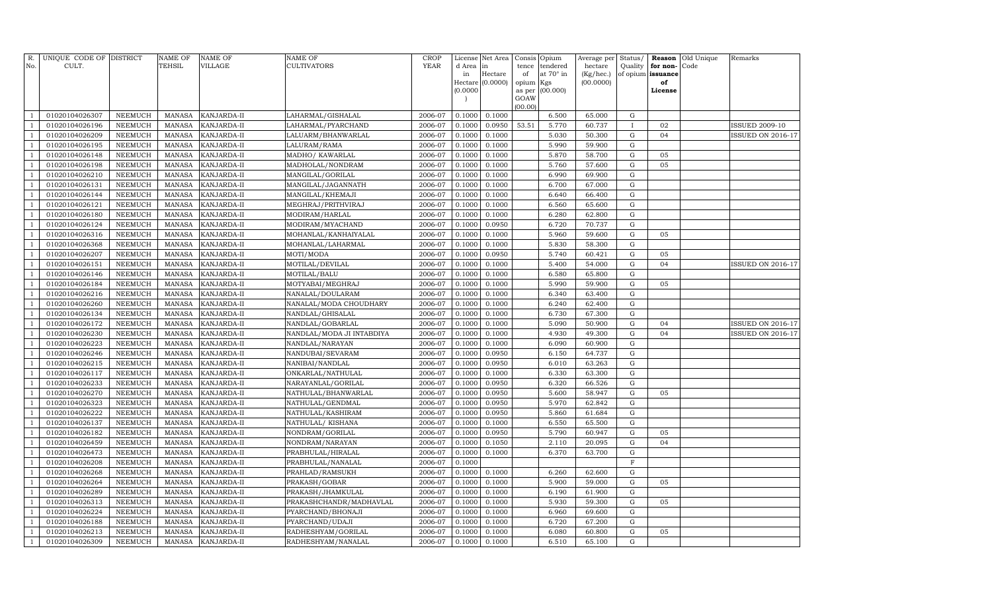| R.<br>No.      | UNIQUE CODE OF DISTRICT<br>CULT. |                           | <b>NAME OF</b><br>TEHSIL       | <b>NAME OF</b><br>VILLAGE  | <b>NAME OF</b><br>CULTIVATORS        | CROP<br><b>YEAR</b> | License<br>d Area | Net Area<br>in   | Consis<br>tence | Opium<br>tendered | Average per<br>hectare | Status/<br>Quality | Reason<br>for non- | Old Unique<br>Code | Remarks                  |
|----------------|----------------------------------|---------------------------|--------------------------------|----------------------------|--------------------------------------|---------------------|-------------------|------------------|-----------------|-------------------|------------------------|--------------------|--------------------|--------------------|--------------------------|
|                |                                  |                           |                                |                            |                                      |                     | in                | Hectare          | of              | at 70° in         | (Kg/hec.)              |                    | of opium issuance  |                    |                          |
|                |                                  |                           |                                |                            |                                      |                     |                   | Hectare (0.0000) | opium           | Kgs               | (00.0000)              |                    | of                 |                    |                          |
|                |                                  |                           |                                |                            |                                      |                     | (0.0000)          |                  | as per          | (00.000)          |                        |                    | License            |                    |                          |
|                |                                  |                           |                                |                            |                                      |                     |                   |                  | GOAW<br>(00.00) |                   |                        |                    |                    |                    |                          |
|                | 01020104026307                   | NEEMUCH                   | <b>MANASA</b>                  | KANJARDA-II                | LAHARMAL/GISHALAL                    | 2006-07             | 0.1000            | 0.1000           |                 | 6.500             | 65.000                 | G                  |                    |                    |                          |
|                | 01020104026196                   | NEEMUCH                   | <b>MANASA</b>                  | KANJARDA-II                | LAHARMAL/PYARCHAND                   | 2006-07             | 0.1000            | 0.0950           | 53.51           | 5.770             | 60.737                 | $\mathbf{I}$       | 02                 |                    | <b>ISSUED 2009-10</b>    |
| $\mathbf{1}$   | 01020104026209                   | NEEMUCH                   | <b>MANASA</b>                  | KANJARDA-II                | LALUARM/BHANWARLAL                   | 2006-07             | 0.1000            | 0.1000           |                 | 5.030             | 50.300                 | G                  | 04                 |                    | <b>ISSUED ON 2016-17</b> |
| -1             | 01020104026195                   | NEEMUCH                   | <b>MANASA</b>                  | KANJARDA-II                | LALURAM/RAMA                         | 2006-07             | 0.1000            | 0.1000           |                 | 5.990             | 59.900                 | G                  |                    |                    |                          |
|                | 01020104026148                   | <b>NEEMUCH</b>            | <b>MANASA</b>                  | KANJARDA-II                | MADHO/ KAWARLAL                      | 2006-07             | 0.1000            | 0.1000           |                 | 5.870             | 58.700                 | G                  | 05                 |                    |                          |
|                | 01020104026198                   | <b>NEEMUCH</b>            | <b>MANASA</b>                  | KANJARDA-II                | MADHOLAL/NONDRAM                     | 2006-07             | 0.1000            | 0.1000           |                 | 5.760             | 57.600                 | G                  | 05                 |                    |                          |
|                | 01020104026210                   | NEEMUCH                   | <b>MANASA</b>                  | KANJARDA-II                | MANGILAL/GORILAL                     | 2006-07             | 0.1000            | 0.1000           |                 | 6.990             | 69.900                 | G                  |                    |                    |                          |
|                | 01020104026131                   | <b>NEEMUCH</b>            | <b>MANASA</b>                  | KANJARDA-II                | MANGILAL/JAGANNATH                   | 2006-07             | 0.1000            | 0.1000           |                 | 6.700             | 67.000                 | ${\rm G}$          |                    |                    |                          |
| $\overline{1}$ | 01020104026144                   | NEEMUCH                   | <b>MANASA</b>                  | KANJARDA-II                | MANGILAL/KHEMAJI                     | 2006-07             | 0.1000            | 0.1000           |                 | 6.640             | 66.400                 | $\mathbf G$        |                    |                    |                          |
|                | 01020104026121                   | <b>NEEMUCH</b>            | <b>MANASA</b>                  | KANJARDA-II                | MEGHRAJ/PRITHVIRAJ                   | 2006-07             | 0.1000            | 0.1000           |                 | 6.560             | 65.600                 | ${\rm G}$          |                    |                    |                          |
|                | 01020104026180                   | NEEMUCH                   | <b>MANASA</b>                  | KANJARDA-II                | MODIRAM/HARLAL                       | 2006-07             | 0.1000            | 0.1000           |                 | 6.280             | 62.800                 | ${\rm G}$          |                    |                    |                          |
| $\overline{1}$ | 01020104026124                   | NEEMUCH                   | <b>MANASA</b>                  | KANJARDA-II                | MODIRAM/MYACHAND                     | 2006-07             | 0.1000            | 0.0950           |                 | 6.720             | 70.737                 | G                  |                    |                    |                          |
|                | 01020104026316                   | <b>NEEMUCH</b>            | <b>MANASA</b>                  | KANJARDA-II                | MOHANLAL/KANHAIYALAL                 | 2006-07             | 0.1000            | 0.1000           |                 | 5.960             | 59.600                 | G                  | 05                 |                    |                          |
| -1             | 01020104026368                   | NEEMUCH                   | <b>MANASA</b>                  | KANJARDA-II                | MOHANLAL/LAHARMAL                    | 2006-07             | 0.1000            | 0.1000           |                 | 5.830             | 58.300                 | G                  |                    |                    |                          |
| $\mathbf{1}$   | 01020104026207                   | NEEMUCH                   | <b>MANASA</b>                  | KANJARDA-II                | MOTI/MODA                            | 2006-07             | 0.1000            | 0.0950           |                 | 5.740             | 60.421                 | G                  | 05                 |                    |                          |
|                | 01020104026151                   | <b>NEEMUCH</b>            | <b>MANASA</b>                  | KANJARDA-II                | MOTILAL/DEVILAL                      | 2006-07             | 0.1000            | 0.1000           |                 | 5.400             | 54.000                 | G                  | 04                 |                    | <b>ISSUED ON 2016-17</b> |
|                | 01020104026146                   | NEEMUCH                   | <b>MANASA</b>                  | KANJARDA-II                | MOTILAL/BALU                         | 2006-07             | 0.1000            | 0.1000           |                 | 6.580             | 65.800                 | G                  |                    |                    |                          |
|                | 01020104026184                   | <b>NEEMUCH</b>            | <b>MANASA</b>                  | KANJARDA-II                | MOTYABAI/MEGHRAJ                     | 2006-07             | 0.1000            | 0.1000           |                 | 5.990             | 59.900                 | ${\rm G}$          | 05                 |                    |                          |
|                | 01020104026216                   | NEEMUCH                   | <b>MANASA</b>                  | KANJARDA-II                | NANALAL/DOULARAM                     | 2006-07             | 0.1000            | 0.1000           |                 | 6.340             | 63.400                 | $\mathbf G$        |                    |                    |                          |
| -1             | 01020104026260                   | <b>NEEMUCH</b>            | <b>MANASA</b>                  | KANJARDA-II                | NANALAL/MODA CHOUDHARY               | 2006-07             | 0.1000            | 0.1000           |                 | 6.240             | 62.400                 | $\mathbf G$        |                    |                    |                          |
| -1             | 01020104026134                   | NEEMUCH                   | <b>MANASA</b>                  | KANJARDA-II                | NANDLAL/GHISALAL                     | 2006-07             | 0.1000            | 0.1000           |                 | 6.730             | 67.300                 | G                  |                    |                    |                          |
| $\overline{1}$ | 01020104026172                   | NEEMUCH                   | <b>MANASA</b>                  | KANJARDA-II                | NANDLAL/GOBARLAL                     | 2006-07             | 0.1000            | 0.1000           |                 | 5.090             | 50.900                 | G                  | 04                 |                    | <b>ISSUED ON 2016-17</b> |
|                | 01020104026230                   | <b>NEEMUCH</b>            | <b>MANASA</b>                  | KANJARDA-II                | NANDLAL/MODA JI INTABDIYA            | 2006-07             | 0.1000            | 0.1000           |                 | 4.930             | 49.300                 | G                  | 04                 |                    | <b>ISSUED ON 2016-17</b> |
| -1             | 01020104026223                   | <b>NEEMUCH</b>            | <b>MANASA</b>                  | KANJARDA-II                | NANDLAL/NARAYAN                      | 2006-07             | 0.1000            | 0.1000           |                 | 6.090             | 60.900                 | G                  |                    |                    |                          |
| $\overline{1}$ | 01020104026246                   | NEEMUCH                   | <b>MANASA</b>                  | KANJARDA-II                | NANDUBAI/SEVARAM                     | 2006-07             | 0.1000            | 0.0950           |                 | 6.150             | 64.737                 | G                  |                    |                    |                          |
|                | 01020104026215                   | <b>NEEMUCH</b>            | MANASA                         | KANJARDA-II                | NANIBAI/NANDLAL                      | 2006-07             | 0.1000            | 0.0950           |                 | 6.010             | 63.263                 | G                  |                    |                    |                          |
| $\overline{1}$ | 01020104026117                   | NEEMUCH                   | <b>MANASA</b>                  | KANJARDA-II                | ONKARLAL/NATHULAL                    | 2006-07             | 0.1000            | 0.1000           |                 | 6.330             | 63.300                 | G                  |                    |                    |                          |
| -1             | 01020104026233                   | <b>NEEMUCH</b>            | <b>MANASA</b>                  | KANJARDA-II                | NARAYANLAL/GORILAL                   | 2006-07             | 0.1000            | 0.0950           |                 | 6.320             | 66.526                 | $\mathbf G$        |                    |                    |                          |
|                | 01020104026270                   | NEEMUCH                   | <b>MANASA</b>                  | KANJARDA-II                | NATHULAL/BHANWARLAL                  | 2006-07             | 0.1000            | 0.0950           |                 | 5.600             | 58.947                 | ${\rm G}$          | 05                 |                    |                          |
| $\overline{1}$ | 01020104026323                   | NEEMUCH                   | <b>MANASA</b>                  | KANJARDA-II                | NATHULAL/GENDMAL                     | 2006-07             | 0.1000            | 0.0950           |                 | 5.970             | 62.842                 | G                  |                    |                    |                          |
| -1             | 01020104026222<br>01020104026137 | <b>NEEMUCH</b><br>NEEMUCH | <b>MANASA</b><br><b>MANASA</b> | KANJARDA-II<br>KANJARDA-II | NATHULAL/KASHIRAM                    | 2006-07<br>2006-07  | 0.1000<br>0.1000  | 0.0950<br>0.1000 |                 | 5.860             | 61.684<br>65.500       | ${\rm G}$<br>G     |                    |                    |                          |
| $\overline{1}$ |                                  |                           |                                |                            | NATHULAL/KISHANA                     |                     |                   |                  |                 | 6.550             |                        |                    |                    |                    |                          |
|                | 01020104026182<br>01020104026459 | NEEMUCH<br><b>NEEMUCH</b> | <b>MANASA</b><br><b>MANASA</b> | KANJARDA-II<br>KANJARDA-II | NONDRAM/GORILAL                      | 2006-07<br>2006-07  | 0.1000<br>0.1000  | 0.0950<br>0.1050 |                 | 5.790<br>2.110    | 60.947<br>20.095       | G<br>G             | 05<br>04           |                    |                          |
|                | 01020104026473                   | NEEMUCH                   | <b>MANASA</b>                  | KANJARDA-II                | NONDRAM/NARAYAN<br>PRABHULAL/HIRALAL | 2006-07             | 0.1000            | 0.1000           |                 | 6.370             | 63.700                 | G                  |                    |                    |                          |
|                | 01020104026208                   | NEEMUCH                   | MANASA                         | KANJARDA-II                | PRABHULAL/NANALAL                    | 2006-07             | 0.1000            |                  |                 |                   |                        | $\mathbf{F}$       |                    |                    |                          |
|                | 01020104026268                   | NEEMUCH                   | <b>MANASA</b>                  | KANJARDA-II                | PRAHLAD/RAMSUKH                      | 2006-07             | 0.1000            | 0.1000           |                 | 6.260             | 62.600                 | G                  |                    |                    |                          |
| $\overline{1}$ | 01020104026264                   | <b>NEEMUCH</b>            | <b>MANASA</b>                  | KANJARDA-II                | PRAKASH/GOBAR                        | 2006-07             | 0.1000            | 0.1000           |                 | 5.900             | 59.000                 | $\mathbf G$        | 05                 |                    |                          |
|                | 01020104026289                   | NEEMUCH                   | <b>MANASA</b>                  | KANJARDA-II                | PRAKASH/JHAMKULAL                    | 2006-07             | 0.1000            | 0.1000           |                 | 6.190             | 61.900                 | ${\rm G}$          |                    |                    |                          |
| $\overline{1}$ | 01020104026313                   | NEEMUCH                   | <b>MANASA</b>                  | KANJARDA-II                | PRAKASHCHANDR/MADHAVLAL              | 2006-07             | 0.1000            | 0.1000           |                 | 5.930             | 59.300                 | G                  | 05                 |                    |                          |
|                | 01020104026224                   | <b>NEEMUCH</b>            | <b>MANASA</b>                  | KANJARDA-II                | PYARCHAND/BHONAJI                    | 2006-07             | 0.1000            | 0.1000           |                 | 6.960             | 69.600                 | G                  |                    |                    |                          |
| -1             | 01020104026188                   | NEEMUCH                   | <b>MANASA</b>                  | KANJARDA-II                | PYARCHAND/UDAJI                      | 2006-07             | 0.1000            | 0.1000           |                 | 6.720             | 67.200                 | G                  |                    |                    |                          |
|                | 01020104026213                   | <b>NEEMUCH</b>            | <b>MANASA</b>                  | KANJARDA-II                | RADHESHYAM/GORILAL                   | 2006-07             | 0.1000            | 0.1000           |                 | 6.080             | 60.800                 | G                  | 05                 |                    |                          |
| $\overline{1}$ | 01020104026309                   | NEEMUCH                   | MANASA                         | KANJARDA-II                | RADHESHYAM/NANALAL                   | 2006-07             | 0.1000            | 0.1000           |                 | 6.510             | 65.100                 | G                  |                    |                    |                          |
|                |                                  |                           |                                |                            |                                      |                     |                   |                  |                 |                   |                        |                    |                    |                    |                          |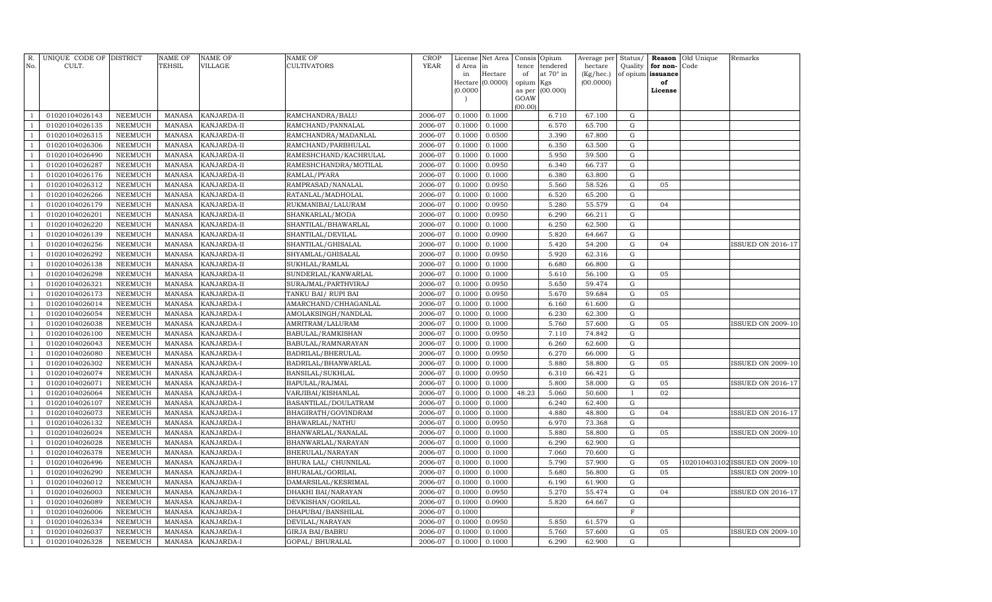| R.<br>No.      | UNIQUE CODE OF DISTRICT<br>CULT. |                | NAME OF<br>TEHSIL | <b>NAME OF</b><br>VILLAGE | NAME OF<br>CULTIVATORS | CROP<br><b>YEAR</b> | d Area   | License Net Area<br>in | Consis<br>tence | Opium<br>tendered | Average per<br>hectare | Status/<br>Quality | Reason<br>for non- | Old Unique<br>Code | Remarks                        |
|----------------|----------------------------------|----------------|-------------------|---------------------------|------------------------|---------------------|----------|------------------------|-----------------|-------------------|------------------------|--------------------|--------------------|--------------------|--------------------------------|
|                |                                  |                |                   |                           |                        |                     | in       | Hectare                | of              | at 70° in         | (Kg/hec.)              | of opium           | issuance           |                    |                                |
|                |                                  |                |                   |                           |                        |                     | Hectare  | (0.0000)               | opium           | Kgs               | (00.0000)              |                    | of                 |                    |                                |
|                |                                  |                |                   |                           |                        |                     | (0.0000) |                        | as per          | (00.000)          |                        |                    | License            |                    |                                |
|                |                                  |                |                   |                           |                        |                     |          |                        | GOAW<br>(00.00) |                   |                        |                    |                    |                    |                                |
|                | 01020104026143                   | NEEMUCH        | <b>MANASA</b>     | KANJARDA-II               | RAMCHANDRA/BALU        | 2006-07             | 0.1000   | 0.1000                 |                 | 6.710             | 67.100                 | $\mathbf G$        |                    |                    |                                |
|                | 01020104026135                   | <b>NEEMUCH</b> | <b>MANASA</b>     | KANJARDA-II               | RAMCHAND/PANNALAL      | 2006-07             | 0.1000   | 0.1000                 |                 | 6.570             | 65.700                 | G                  |                    |                    |                                |
|                | 01020104026315                   | <b>NEEMUCH</b> | <b>MANASA</b>     | KANJARDA-II               | RAMCHANDRA/MADANLAL    | 2006-07             | 0.1000   | 0.0500                 |                 | 3.390             | 67.800                 | ${\rm G}$          |                    |                    |                                |
| $\overline{1}$ | 01020104026306                   | <b>NEEMUCH</b> | MANASA            | KANJARDA-II               | RAMCHAND/PARBHULAL     | 2006-07             | 0.1000   | 0.1000                 |                 | 6.350             | 63.500                 | ${\rm G}$          |                    |                    |                                |
|                | 01020104026490                   | <b>NEEMUCH</b> | <b>MANASA</b>     | KANJARDA-II               | RAMESHCHAND/KACHRULAL  | 2006-07             | 0.1000   | 0.1000                 |                 | 5.950             | 59.500                 | ${\rm G}$          |                    |                    |                                |
| -1             | 01020104026287                   | <b>NEEMUCH</b> | <b>MANASA</b>     | KANJARDA-II               | RAMESHCHANDRA/MOTILAL  | 2006-07             | 0.1000   | 0.0950                 |                 | 6.340             | 66.737                 | ${\rm G}$          |                    |                    |                                |
| $\mathbf{1}$   | 01020104026176                   | <b>NEEMUCH</b> | <b>MANASA</b>     | KANJARDA-II               | RAMLAL/PYARA           | 2006-07             | 0.1000   | 0.1000                 |                 | 6.380             | 63.800                 | ${\rm G}$          |                    |                    |                                |
|                | 01020104026312                   | <b>NEEMUCH</b> | MANASA            | KANJARDA-II               | RAMPRASAD/NANALAL      | 2006-07             | 0.1000   | 0.0950                 |                 | 5.560             | 58.526                 | ${\rm G}$          | 05                 |                    |                                |
|                | 01020104026266                   | NEEMUCH        | <b>MANASA</b>     | KANJARDA-II               | RATANLAL/MADHOLAL      | 2006-07             | 0.1000   | 0.1000                 |                 | 6.520             | 65.200                 | G                  |                    |                    |                                |
| -1             | 01020104026179                   | <b>NEEMUCH</b> | <b>MANASA</b>     | KANJARDA-II               | RUKMANIBAI/LALURAM     | 2006-07             | 0.1000   | 0.0950                 |                 | 5.280             | 55.579                 | G                  | 04                 |                    |                                |
|                | 01020104026201                   | <b>NEEMUCH</b> | <b>MANASA</b>     | KANJARDA-II               | SHANKARLAL/MODA        | 2006-07             | 0.1000   | 0.0950                 |                 | 6.290             | 66.211                 | ${\rm G}$          |                    |                    |                                |
| -1             | 01020104026220                   | <b>NEEMUCH</b> | <b>MANASA</b>     | KANJARDA-II               | SHANTILAL/BHAWARLAL    | 2006-07             | 0.1000   | 0.1000                 |                 | 6.250             | 62.500                 | ${\rm G}$          |                    |                    |                                |
|                | 01020104026139                   | <b>NEEMUCH</b> | <b>MANASA</b>     | KANJARDA-II               | SHANTILAL/DEVILAL      | 2006-07             | 0.1000   | 0.0900                 |                 | 5.820             | 64.667                 | ${\rm G}$          |                    |                    |                                |
| -1             | 01020104026256                   | <b>NEEMUCH</b> | <b>MANASA</b>     | KANJARDA-II               | SHANTILAL/GHISALAL     | 2006-07             | 0.1000   | 0.1000                 |                 | 5.420             | 54.200                 | ${\rm G}$          | 04                 |                    | <b>ISSUED ON 2016-17</b>       |
| $\overline{1}$ | 01020104026292                   | <b>NEEMUCH</b> | <b>MANASA</b>     | KANJARDA-II               | SHYAMLAL/GHISALAL      | 2006-07             | 0.1000   | 0.0950                 |                 | 5.920             | 62.316                 | G                  |                    |                    |                                |
|                | 01020104026138                   | <b>NEEMUCH</b> | <b>MANASA</b>     | KANJARDA-II               | SUKHLAL/RAMLAL         | 2006-07             | 0.1000   | 0.1000                 |                 | 6.680             | 66.800                 | G                  |                    |                    |                                |
|                | 01020104026298                   | <b>NEEMUCH</b> | <b>MANASA</b>     | KANJARDA-II               | SUNDERLAL/KANWARLAL    | 2006-07             | 0.1000   | 0.1000                 |                 | 5.610             | 56.100                 | ${\rm G}$          | 05                 |                    |                                |
|                | 01020104026321                   | <b>NEEMUCH</b> | <b>MANASA</b>     | KANJARDA-II               | SURAJMAL/PARTHVIRAJ    | 2006-07             | 0.1000   | 0.0950                 |                 | 5.650             | 59.474                 | ${\rm G}$          |                    |                    |                                |
|                | 01020104026173                   | NEEMUCH        | <b>MANASA</b>     | KANJARDA-II               | TANKU BAI/ RUPI BAI    | 2006-07             | 0.1000   | 0.0950                 |                 | 5.670             | 59.684                 | ${\rm G}$          | 05                 |                    |                                |
|                | 01020104026014                   | <b>NEEMUCH</b> | <b>MANASA</b>     | KANJARDA-I                | AMARCHAND/CHHAGANLAL   | 2006-07             | 0.1000   | 0.1000                 |                 | 6.160             | 61.600                 | ${\rm G}$          |                    |                    |                                |
|                | 01020104026054                   | <b>NEEMUCH</b> | <b>MANASA</b>     | KANJARDA-I                | AMOLAKSINGH/NANDLAL    | 2006-07             | 0.1000   | 0.1000                 |                 | 6.230             | 62.300                 | ${\rm G}$          |                    |                    |                                |
|                | 01020104026038                   | <b>NEEMUCH</b> | <b>MANASA</b>     | KANJARDA-I                | AMRITRAM/LALURAM       | 2006-07             | 0.1000   | 0.1000                 |                 | 5.760             | 57.600                 | ${\rm G}$          | 05                 |                    | ISSUED ON 2009-10              |
| -1             | 01020104026100                   | <b>NEEMUCH</b> | <b>MANASA</b>     | KANJARDA-I                | BABULAL/RAMKISHAN      | 2006-07             | 0.1000   | 0.0950                 |                 | 7.110             | 74.842                 | ${\rm G}$          |                    |                    |                                |
|                | 01020104026043                   | <b>NEEMUCH</b> | <b>MANASA</b>     | KANJARDA-I                | BABULAL/RAMNARAYAN     | 2006-07             | 0.1000   | 0.1000                 |                 | 6.260             | 62.600                 | ${\rm G}$          |                    |                    |                                |
|                | 01020104026080                   | <b>NEEMUCH</b> | <b>MANASA</b>     | KANJARDA-I                | BADRILAL/BHERULAL      | 2006-07             | 0.1000   | 0.0950                 |                 | 6.270             | 66.000                 | ${\rm G}$          |                    |                    |                                |
|                | 01020104026302                   | <b>NEEMUCH</b> | <b>MANASA</b>     | KANJARDA-I                | BADRILAL/BHANWARLAL    | 2006-07             | 0.1000   | 0.1000                 |                 | 5.880             | 58.800                 | ${\rm G}$          | 05                 |                    | <b>ISSUED ON 2009-10</b>       |
|                | 01020104026074                   | <b>NEEMUCH</b> | <b>MANASA</b>     | KANJARDA-I                | BANSILAL/SUKHLAL       | 2006-07             | 0.1000   | 0.0950                 |                 | 6.310             | 66.421                 | ${\rm G}$          |                    |                    |                                |
|                | 01020104026071                   | <b>NEEMUCH</b> | <b>MANASA</b>     | KANJARDA-I                | BAPULAL/RAJMAL         | 2006-07             | 0.1000   | 0.1000                 |                 | 5.800             | 58.000                 | ${\rm G}$          | 05                 |                    | <b>ISSUED ON 2016-17</b>       |
|                | 01020104026064                   | <b>NEEMUCH</b> | <b>MANASA</b>     | KANJARDA-I                | VARJIBAI/KISHANLAL     | 2006-07             | 0.1000   | 0.1000                 | 48.23           | 5.060             | 50.600                 | $\mathbf{I}$       | 02                 |                    |                                |
|                | 01020104026107                   | <b>NEEMUCH</b> | <b>MANASA</b>     | KANJARDA-I                | BASANTILAL/DOULATRAM   | 2006-07             | 0.1000   | 0.1000                 |                 | 6.240             | 62.400                 | ${\rm G}$          |                    |                    |                                |
|                | 01020104026073                   | <b>NEEMUCH</b> | <b>MANASA</b>     | KANJARDA-I                | BHAGIRATH/GOVINDRAM    | 2006-07             | 0.1000   | 0.1000                 |                 | 4.880             | 48.800                 | ${\rm G}$          | 04                 |                    | <b>ISSUED ON 2016-17</b>       |
|                | 01020104026132                   | NEEMUCH        | MANASA            | KANJARDA-I                | BHAWARLAL/NATHU        | 2006-07             | 0.1000   | 0.0950                 |                 | 6.970             | 73.368                 | G                  |                    |                    |                                |
|                | 01020104026024                   | NEEMUCH        | <b>MANASA</b>     | KANJARDA-I                | BHANWARLAL/NANALAL     | 2006-07             | 0.1000   | 0.1000                 |                 | 5.880             | 58.800                 | G                  | 05                 |                    | <b>ISSUED ON 2009-10</b>       |
|                | 01020104026028                   | <b>NEEMUCH</b> | <b>MANASA</b>     | KANJARDA-I                | BHANWARLAL/NARAYAN     | 2006-07             | 0.1000   | 0.1000                 |                 | 6.290             | 62.900                 | G                  |                    |                    |                                |
|                | 01020104026378                   | NEEMUCH        | <b>MANASA</b>     | KANJARDA-I                | BHERULAL/NARAYAN       | 2006-07             | 0.1000   | 0.1000                 |                 | 7.060             | 70.600                 | ${\rm G}$          |                    |                    |                                |
|                | 01020104026496                   | <b>NEEMUCH</b> | <b>MANASA</b>     | KANJARDA-I                | BHURA LAL/ CHUNNILAL   | 2006-07             | 0.1000   | 0.1000                 |                 | 5.790             | 57.900                 | ${\rm G}$          | 05                 |                    | 102010403102 ISSUED ON 2009-10 |
|                | 01020104026290                   | <b>NEEMUCH</b> | <b>MANASA</b>     | KANJARDA-I                | BHURALAL/GORILAL       | 2006-07             | 0.1000   | 0.1000                 |                 | 5.680             | 56.800                 | ${\rm G}$          | 05                 |                    | <b>ISSUED ON 2009-10</b>       |
|                | 01020104026012                   | <b>NEEMUCH</b> | <b>MANASA</b>     | KANJARDA-I                | DAMARSILAL/KESRIMAL    | 2006-07             | 0.1000   | 0.1000                 |                 | 6.190             | 61.900                 | G                  |                    |                    |                                |
|                | 01020104026003                   | <b>NEEMUCH</b> | <b>MANASA</b>     | KANJARDA-I                | DHAKHI BAI/NARAYAN     | 2006-07             | 0.1000   | 0.0950                 |                 | 5.270             | 55.474                 | ${\rm G}$          | 04                 |                    | <b>ISSUED ON 2016-17</b>       |
|                | 01020104026089                   | <b>NEEMUCH</b> | <b>MANASA</b>     | KANJARDA-I                | DEVKISHAN/GORILAL      | 2006-07             | 0.1000   | 0.0900                 |                 | 5.820             | 64.667                 | ${\rm G}$          |                    |                    |                                |
|                | 01020104026006                   | <b>NEEMUCH</b> | <b>MANASA</b>     | KANJARDA-I                | DHAPUBAI/BANSHILAL     | 2006-07             | 0.1000   |                        |                 |                   |                        | $\mathbf F$        |                    |                    |                                |
|                | 01020104026334                   | <b>NEEMUCH</b> | <b>MANASA</b>     | KANJARDA-I                | DEVILAL/NARAYAN        | 2006-07             | 0.1000   | 0.0950                 |                 | 5.850             | 61.579                 | ${\rm G}$          |                    |                    |                                |
|                | 01020104026037                   | NEEMUCH        | <b>MANASA</b>     | KANJARDA-I                | <b>GIRJA BAI/BABRU</b> | 2006-07             | 0.1000   | 0.1000                 |                 | 5.760             | 57.600                 | ${\rm G}$          | 05                 |                    | <b>ISSUED ON 2009-10</b>       |
|                | 01020104026328                   | <b>NEEMUCH</b> | MANASA            | KANJARDA-I                | GOPAL/ BHURALAL        | 2006-07             | 0.1000   | 0.1000                 |                 | 6.290             | 62.900                 | G                  |                    |                    |                                |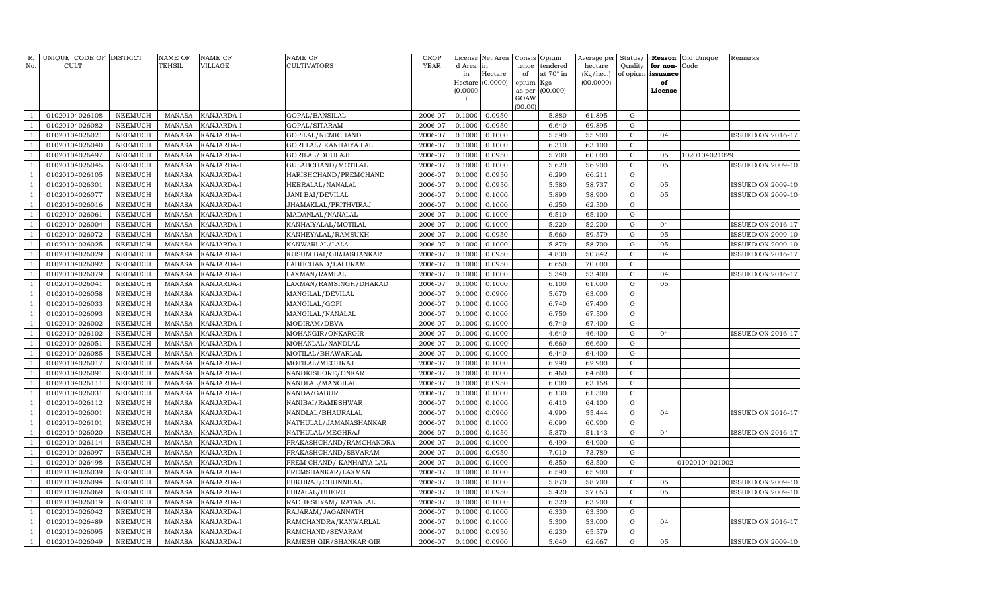| R.<br>No.      | UNIQUE CODE OF DISTRICT<br>CULT. |                                  | <b>NAME OF</b><br>TEHSIL       | <b>NAME OF</b><br><b>VILLAGE</b> | <b>NAME OF</b><br><b>CULTIVATORS</b>   | <b>CROP</b><br>YEAR | d Area           | License Net Area<br>in | Consis<br>tence | Opium<br>tendered | Average per<br>hectare | Status/<br>Quality         | Reason<br>for non- | Old Unique<br>Code | Remarks                  |
|----------------|----------------------------------|----------------------------------|--------------------------------|----------------------------------|----------------------------------------|---------------------|------------------|------------------------|-----------------|-------------------|------------------------|----------------------------|--------------------|--------------------|--------------------------|
|                |                                  |                                  |                                |                                  |                                        |                     | in               | Hectare                | of              | at 70° in         | (Kg/hec.)              |                            | of opium issuance  |                    |                          |
|                |                                  |                                  |                                |                                  |                                        |                     |                  | Hectare (0.0000)       | opium Kgs       |                   | (00.0000)              |                            | of                 |                    |                          |
|                |                                  |                                  |                                |                                  |                                        |                     | (0.0000)         |                        | as per          | (00.000)          |                        |                            | License            |                    |                          |
|                |                                  |                                  |                                |                                  |                                        |                     |                  |                        | GOAW<br>(00.00) |                   |                        |                            |                    |                    |                          |
| $\mathbf{1}$   | 01020104026108                   | <b>NEEMUCH</b>                   | <b>MANASA</b>                  | KANJARDA-I                       | GOPAL/BANSILAL                         | 2006-07             | 0.1000           | 0.0950                 |                 | 5.880             | 61.895                 | ${\rm G}$                  |                    |                    |                          |
| $\mathbf{1}$   | 01020104026082                   | <b>NEEMUCH</b>                   | <b>MANASA</b>                  | KANJARDA-I                       | GOPAL/SITARAM                          | 2006-07             | 0.1000           | 0.0950                 |                 | 6.640             | 69.895                 | ${\rm G}$                  |                    |                    |                          |
| $\mathbf{1}$   | 01020104026021                   | <b>NEEMUCH</b>                   | <b>MANASA</b>                  | KANJARDA-I                       | GOPILAL/NEMICHAND                      | 2006-07             | 0.1000           | 0.1000                 |                 | 5.590             | 55.900                 | ${\rm G}$                  | 04                 |                    | <b>ISSUED ON 2016-17</b> |
| $\mathbf{1}$   | 01020104026040                   | NEEMUCH                          | <b>MANASA</b>                  | KANJARDA-I                       | GORI LAL/ KANHAIYA LAL                 | 2006-07             | 0.1000           | 0.1000                 |                 | 6.310             | 63.100                 | ${\rm G}$                  |                    |                    |                          |
| $\mathbf{1}$   | 01020104026497                   | <b>NEEMUCH</b>                   | <b>MANASA</b>                  | KANJARDA-I                       | GORILAL/DHULAJI                        | 2006-07             | 0.1000           | 0.0950                 |                 | 5.700             | 60.000                 | ${\bf G}$                  | 05                 | 1020104021029      |                          |
| $\mathbf{1}$   | 01020104026045                   | <b>NEEMUCH</b>                   | <b>MANASA</b>                  | KANJARDA-I                       | GULABCHAND/MOTILAL                     | 2006-07             | 0.1000           | 0.1000                 |                 | 5.620             | 56.200                 | ${\rm G}$                  | 05                 |                    | <b>ISSUED ON 2009-10</b> |
| $\mathbf{1}$   | 01020104026105                   | <b>NEEMUCH</b>                   | <b>MANASA</b>                  | KANJARDA-I                       | HARISHCHAND/PREMCHAND                  | 2006-07             | 0.1000           | 0.0950                 |                 | 6.290             | 66.211                 | ${\rm G}$                  |                    |                    |                          |
| $\mathbf{1}$   | 01020104026301                   | <b>NEEMUCH</b>                   | <b>MANASA</b>                  | KANJARDA-I                       | HEERALAL/NANALAL                       | 2006-07             | 0.1000           | 0.0950                 |                 | 5.580             | 58.737                 | ${\rm G}$                  | 05                 |                    | <b>ISSUED ON 2009-10</b> |
| $\mathbf{1}$   | 01020104026077                   | <b>NEEMUCH</b>                   | <b>MANASA</b>                  | KANJARDA-I                       | <b>JANI BAI/DEVILAL</b>                | 2006-07             | 0.1000           | 0.1000                 |                 | 5.890             | 58.900                 | ${\bf G}$                  | 05                 |                    | <b>ISSUED ON 2009-10</b> |
| $\mathbf{1}$   | 01020104026016                   | <b>NEEMUCH</b>                   | <b>MANASA</b>                  | KANJARDA-I                       | JHAMAKLAL/PRITHVIRAJ                   | 2006-07             | 0.1000           | 0.1000                 |                 | 6.250             | 62.500                 | ${\rm G}$                  |                    |                    |                          |
| $\mathbf{1}$   | 01020104026061                   | <b>NEEMUCH</b>                   | <b>MANASA</b>                  | KANJARDA-I                       | MADANLAL/NANALAL                       | 2006-07             | 0.1000           | 0.1000                 |                 | 6.510             | 65.100                 | ${\rm G}$                  |                    |                    |                          |
| $\mathbf{1}$   | 01020104026004                   | <b>NEEMUCH</b>                   | <b>MANASA</b>                  | KANJARDA-I                       | KANHAIYALAL/MOTILAL                    | 2006-07             | 0.1000           | 0.1000                 |                 | 5.220             | 52.200                 | ${\bf G}$                  | 04                 |                    | ISSUED ON 2016-17        |
|                | 01020104026072                   | NEEMUCH                          | <b>MANASA</b>                  | KANJARDA-I                       | KANHEYALAL/RAMSUKH                     | 2006-07             | 0.1000           | 0.0950                 |                 | 5.660             | 59.579                 | ${\bf G}$                  | 05                 |                    | <b>ISSUED ON 2009-10</b> |
| $\overline{1}$ | 01020104026025                   | <b>NEEMUCH</b>                   | <b>MANASA</b>                  | KANJARDA-I                       | KANWARLAL/LALA                         | 2006-07             | 0.1000           | 0.1000                 |                 | 5.870             | 58.700                 | ${\rm G}$                  | 05                 |                    | <b>ISSUED ON 2009-10</b> |
| $\overline{1}$ | 01020104026029                   | <b>NEEMUCH</b>                   | <b>MANASA</b>                  | KANJARDA-I                       | KUSUM BAI/GIRJASHANKAR                 | 2006-07             | 0.1000           | 0.0950                 |                 | 4.830             | 50.842                 | ${\bf G}$                  | 04                 |                    | ISSUED ON 2016-17        |
| $\overline{1}$ | 01020104026092                   | <b>NEEMUCH</b>                   | <b>MANASA</b>                  | KANJARDA-I                       | LABHCHAND/LALURAM                      | 2006-07             | 0.1000           | 0.0950                 |                 | 6.650             | 70.000                 | ${\bf G}$                  |                    |                    |                          |
| $\overline{1}$ | 01020104026079                   | NEEMUCH                          | <b>MANASA</b>                  | KANJARDA-I                       | LAXMAN/RAMLAL                          | 2006-07             | 0.1000           | 0.1000                 |                 | 5.340             | 53.400                 | ${\bf G}$                  | 04                 |                    | <b>ISSUED ON 2016-17</b> |
| $\overline{1}$ | 01020104026041                   | NEEMUCH                          | <b>MANASA</b>                  | KANJARDA-I                       | LAXMAN/RAMSINGH/DHAKAD                 | 2006-07             | 0.1000           | 0.1000                 |                 | 6.100             | 61.000                 | ${\rm G}$                  | 05                 |                    |                          |
|                | 01020104026058                   | NEEMUCH                          | <b>MANASA</b>                  | KANJARDA-I                       | MANGILAL/DEVILAL                       | 2006-07             | 0.1000           | 0.0900                 |                 | 5.670             | 63.000                 | ${\rm G}$                  |                    |                    |                          |
|                | 01020104026033                   | <b>NEEMUCH</b>                   | <b>MANASA</b>                  | KANJARDA-I                       | MANGILAL/GOPI                          | 2006-07             | 0.1000           | 0.1000                 |                 | 6.740             | 67.400                 | ${\rm G}$                  |                    |                    |                          |
|                | 01020104026093                   | NEEMUCH                          | <b>MANASA</b>                  | KANJARDA-I                       | MANGILAL/NANALAL                       | 2006-07             | 0.1000           | 0.1000                 |                 | 6.750             | 67.500                 | $\mathbf G$                |                    |                    |                          |
| $\overline{1}$ | 01020104026002                   | NEEMUCH                          | <b>MANASA</b>                  | KANJARDA-I                       | MODIRAM/DEVA                           | 2006-07             | 0.1000           | 0.1000                 |                 | 6.740             | 67.400                 | $\mathbf G$                |                    |                    |                          |
| $\mathbf{1}$   | 01020104026102                   | NEEMUCH                          | <b>MANASA</b>                  | KANJARDA-I                       | MOHANGIR/ONKARGIR                      | 2006-07             | 0.1000           | 0.1000                 |                 | 4.640             | 46.400                 | $\mathbf G$                | 04                 |                    | <b>ISSUED ON 2016-17</b> |
|                | 01020104026051                   | <b>NEEMUCH</b>                   | <b>MANASA</b>                  | KANJARDA-I                       | MOHANLAL/NANDLAL                       | 2006-07             | 0.1000           | 0.1000                 |                 | 6.660             | 66.600                 | $\mathbf G$                |                    |                    |                          |
|                | 01020104026085                   | <b>NEEMUCH</b>                   | <b>MANASA</b>                  | KANJARDA-I                       | MOTILAL/BHAWARLAL                      | 2006-07             | 0.1000           | 0.1000                 |                 | 6.440             | 64.400                 | $\mathbf G$                |                    |                    |                          |
| $\overline{1}$ | 01020104026017                   | <b>NEEMUCH</b>                   | <b>MANASA</b>                  | KANJARDA-I                       | MOTILAL/MEGHRAJ                        | 2006-07             | 0.1000           | 0.1000                 |                 | 6.290             | 62.900                 | $\mathbf G$                |                    |                    |                          |
|                | 01020104026091                   | <b>NEEMUCH</b>                   | <b>MANASA</b>                  | KANJARDA-I                       | NANDKISHORE/ONKAR                      | 2006-07             | 0.1000           | 0.1000                 |                 | 6.460             | 64.600                 | $\mathbf G$                |                    |                    |                          |
|                | 01020104026111                   | <b>NEEMUCH</b>                   | <b>MANASA</b>                  | KANJARDA-I                       | NANDLAL/MANGILAL                       | 2006-07             | 0.1000           | 0.0950                 |                 | 6.000             | 63.158                 | $\mathbf G$                |                    |                    |                          |
|                | 01020104026031<br>01020104026112 | <b>NEEMUCH</b><br><b>NEEMUCH</b> | <b>MANASA</b><br><b>MANASA</b> | KANJARDA-I<br>KANJARDA-I         | NANDA/GABUR                            | 2006-07<br>2006-07  | 0.1000<br>0.1000 | 0.1000<br>0.1000       |                 | 6.130<br>6.410    | 61.300<br>64.100       | $\mathbf G$<br>$\mathbf G$ |                    |                    |                          |
|                | 01020104026001                   | <b>NEEMUCH</b>                   | <b>MANASA</b>                  | KANJARDA-I                       | NANIBAI/RAMESHWAR<br>NANDLAL/BHAURALAL | 2006-07             | 0.1000           | 0.0900                 |                 | 4.990             | 55.444                 | $\mathbf G$                | 04                 |                    | <b>ISSUED ON 2016-17</b> |
|                | 01020104026101                   | <b>NEEMUCH</b>                   | <b>MANASA</b>                  | KANJARDA-I                       | NATHULAL/JAMANASHANKAR                 | 2006-07             | 0.1000           | 0.1000                 |                 | 6.090             | 60.900                 | $\mathbf G$                |                    |                    |                          |
|                | 01020104026020                   | <b>NEEMUCH</b>                   | <b>MANASA</b>                  | KANJARDA-I                       | NATHULAL/MEGHRAJ                       | 2006-07             | 0.1000           | 0.1050                 |                 | 5.370             | 51.143                 | $\mathbf G$                | 04                 |                    | <b>ISSUED ON 2016-17</b> |
|                | 01020104026114                   | <b>NEEMUCH</b>                   | <b>MANASA</b>                  | KANJARDA-I                       | PRAKASHCHAND/RAMCHANDRA                | 2006-07             | 0.1000           | 0.1000                 |                 | 6.490             | 64.900                 | $\mathbf G$                |                    |                    |                          |
|                | 01020104026097                   | <b>NEEMUCH</b>                   | <b>MANASA</b>                  | KANJARDA-I                       | PRAKASHCHAND/SEVARAM                   | 2006-07             | 0.1000           | 0.0950                 |                 | 7.010             | 73.789                 | ${\bf G}$                  |                    |                    |                          |
|                | 01020104026498                   | <b>NEEMUCH</b>                   | <b>MANASA</b>                  | KANJARDA-I                       | PREM CHAND / KANHAIYA LAL              | 2006-07             | 0.1000           | 0.1000                 |                 | 6.350             | 63.500                 | G                          |                    | 01020104021002     |                          |
|                | 01020104026039                   | <b>NEEMUCH</b>                   | <b>MANASA</b>                  | KANJARDA-I                       | PREMSHANKAR/LAXMAN                     | 2006-07             | 0.1000           | 0.1000                 |                 | 6.590             | 65.900                 | $\mathbf G$                |                    |                    |                          |
|                | 01020104026094                   | <b>NEEMUCH</b>                   | <b>MANASA</b>                  | KANJARDA-I                       | PUKHRAJ/CHUNNILAL                      | 2006-07             | 0.1000           | 0.1000                 |                 | 5.870             | 58.700                 | ${\rm G}$                  | 05                 |                    | ISSUED ON 2009-10        |
| $\overline{1}$ | 01020104026069                   | <b>NEEMUCH</b>                   | <b>MANASA</b>                  | KANJARDA-I                       | PURALAL/BHERU                          | 2006-07             | 0.1000           | 0.0950                 |                 | 5.420             | 57.053                 | $\mathbf G$                | 05                 |                    | <b>ISSUED ON 2009-10</b> |
|                | 01020104026019                   | <b>NEEMUCH</b>                   | <b>MANASA</b>                  | KANJARDA-I                       | RADHESHYAM / RATANLAL                  | 2006-07             | 0.1000           | 0.1000                 |                 | 6.320             | 63.200                 | $\mathbf G$                |                    |                    |                          |
| $\mathbf{1}$   | 01020104026042                   | NEEMUCH                          | <b>MANASA</b>                  | KANJARDA-I                       | RAJARAM/JAGANNATH                      | 2006-07             | 0.1000           | 0.1000                 |                 | 6.330             | 63.300                 | $\mathbf G$                |                    |                    |                          |
| $\mathbf{1}$   | 01020104026489                   | <b>NEEMUCH</b>                   | <b>MANASA</b>                  | KANJARDA-I                       | RAMCHANDRA/KANWARLAL                   | 2006-07             | 0.1000           | 0.1000                 |                 | 5.300             | 53.000                 | $\mathbf G$                | 04                 |                    | <b>ISSUED ON 2016-17</b> |
| $\overline{1}$ | 01020104026095                   | <b>NEEMUCH</b>                   | <b>MANASA</b>                  | KANJARDA-I                       | RAMCHAND/SEVARAM                       | 2006-07             | 0.1000           | 0.0950                 |                 | 6.230             | 65.579                 | $\mathbf G$                |                    |                    |                          |
| $\mathbf{1}$   | 01020104026049                   | <b>NEEMUCH</b>                   | MANASA                         | KANJARDA-I                       | RAMESH GIR/SHANKAR GIR                 | 2006-07             | 0.1000           | 0.0900                 |                 | 5.640             | 62.667                 | $\mathbf G$                | 05                 |                    | <b>ISSUED ON 2009-10</b> |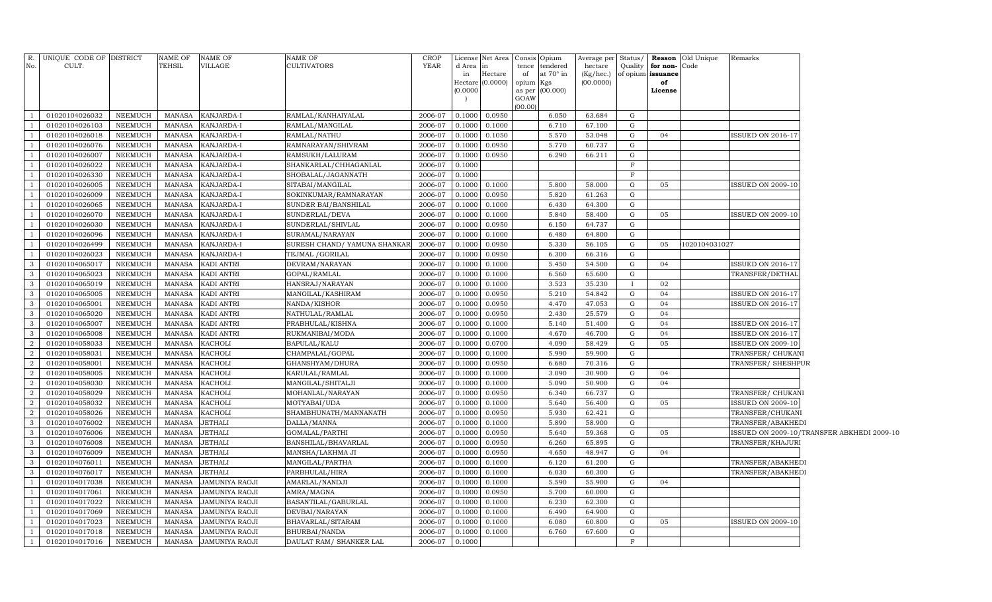|                      | R. UNIQUE CODE OF DISTRICT       |                           | NAME OF                        | NAME OF                  | NAME OF                                         | <b>CROP</b>        |                  | License Net Area Consis Opium |             |                              | Average per Status/  |              |                                   | <b>Reason</b> Old Unique | Remarks                                       |                                            |
|----------------------|----------------------------------|---------------------------|--------------------------------|--------------------------|-------------------------------------------------|--------------------|------------------|-------------------------------|-------------|------------------------------|----------------------|--------------|-----------------------------------|--------------------------|-----------------------------------------------|--------------------------------------------|
| No.                  | CULT.                            |                           | TEHSIL                         | VILLAGE                  | CULTIVATORS                                     | YEAR               | d Area<br>in     | $\ln$<br>Hectare              | tence<br>of | tendered<br>at $70^\circ$ in | hectare<br>(Kg/hec.) | Quality      | for non-Code<br>of opium issuance |                          |                                               |                                            |
|                      |                                  |                           |                                |                          |                                                 |                    |                  | $Hectare$ (0.0000)            | opium       | Kgs                          | (00.0000)            |              | of                                |                          |                                               |                                            |
|                      |                                  |                           |                                |                          |                                                 |                    | (0.0000)         |                               |             | as per (00.000)              |                      |              | License                           |                          |                                               |                                            |
|                      |                                  |                           |                                |                          |                                                 |                    |                  |                               | GOAW        |                              |                      |              |                                   |                          |                                               |                                            |
|                      |                                  |                           |                                |                          |                                                 |                    |                  |                               | (00.00)     |                              |                      |              |                                   |                          |                                               |                                            |
|                      | 01020104026032                   | NEEMUCH                   | MANASA                         | KANJARDA-I               | RAMLAL/KANHAIYALAL                              | 2006-07            | 0.1000           | 0.0950                        |             | 6.050                        | 63.684               | G            |                                   |                          |                                               |                                            |
|                      | 01020104026103                   | NEEMUCH                   | MANASA                         | KANJARDA-I               | RAMLAL/MANGILAL                                 | 2006-07            | 0.1000<br>0.1000 | 0.1000                        |             | 6.710<br>5.570               | 67.100               | G            |                                   |                          |                                               |                                            |
| -1                   | 01020104026018                   | NEEMUCH                   | MANASA                         | KANJARDA-I               | RAMLAL/NATHU                                    | 2006-07            | 0.1000           | 0.1050                        |             |                              | 53.048               | G            | 04                                |                          | <b>ISSUED ON 2016-17</b>                      |                                            |
| -1                   | 01020104026076                   | NEEMUCH                   | MANASA                         | KANJARDA-I               | RAMNARAYAN/SHIVRAM                              | 2006-07            |                  | 0.0950                        |             | 5.770                        | 60.737               | G            |                                   |                          |                                               |                                            |
| -1                   | 01020104026007                   | NEEMUCH                   | MANASA                         | KANJARDA-I               | RAMSUKH/LALURAM                                 | 2006-07            | 0.1000           | 0.0950                        |             | 6.290                        | 66.211               | G            |                                   |                          |                                               |                                            |
| -1                   | 01020104026022                   | NEEMUCH                   | MANASA                         | KANJARDA-I               | SHANKARLAL/CHHAGANLAL                           | 2006-07            | 0.1000           |                               |             |                              |                      | F            |                                   |                          |                                               |                                            |
| -1<br>$\overline{1}$ | 01020104026330                   | NEEMUCH                   | <b>MANASA</b>                  | KANJARDA-I               | SHOBALAL/JAGANNATH                              | 2006-07            | 0.1000           |                               |             |                              |                      | $_{\rm F}$   |                                   |                          |                                               |                                            |
|                      | 01020104026005                   | NEEMUCH                   | <b>MANASA</b>                  | KANJARDA-I               | SITABAI/MANGILAL                                | 2006-07            | 0.1000           | 0.1000                        |             | 5.800                        | 58.000               | G            | 05                                |                          | <b>ISSUED ON 2009-10</b>                      |                                            |
| $\overline{1}$       | 01020104026009                   | <b>NEEMUCH</b>            | <b>MANASA</b>                  | KANJARDA-I               | SOKINKUMAR/RAMNARAYAN                           | 2006-07            | 0.1000           | 0.0950                        |             | 5.820                        | 61.263               | G            |                                   |                          |                                               |                                            |
|                      | 01020104026065                   | NEEMUCH                   | <b>MANASA</b>                  | KANJARDA-I               | SUNDER BAI/BANSHILAL                            | 2006-07            | 0.1000           | 0.1000                        |             | 6.430                        | 64.300               | G            |                                   |                          |                                               |                                            |
| $\overline{1}$       | 01020104026070<br>01020104026030 | <b>NEEMUCH</b><br>NEEMUCH | <b>MANASA</b><br><b>MANASA</b> | KANJARDA-I<br>KANJARDA-I | SUNDERLAL/DEVA                                  | 2006-07<br>2006-07 | 0.1000<br>0.1000 | 0.1000                        |             | 5.840<br>6.150               | 58.400<br>64.737     | G<br>G       | 05                                |                          | ISSUED ON 2009-10                             |                                            |
|                      | 01020104026096                   | NEEMUCH                   | <b>MANASA</b>                  | KANJARDA-I               | SUNDERLAL/SHIVLAL<br>SURAMAL/NARAYAN            | 2006-07            | 0.1000           | 0.0950                        |             | 6.480                        | 64.800               | G            |                                   |                          |                                               |                                            |
|                      |                                  |                           |                                |                          |                                                 |                    |                  | 0.1000                        |             |                              |                      |              |                                   |                          |                                               |                                            |
| $\overline{1}$       | 01020104026499<br>01020104026023 | NEEMUCH<br>NEEMUCH        | <b>MANASA</b><br><b>MANASA</b> | KANJARDA-I<br>KANJARDA-I | SURESH CHAND/YAMUNA SHANKAF<br>TEJMAL / GORILAL | 2006-07<br>2006-07 | 0.1000<br>0.1000 | 0.0950<br>0.0950              |             | 5.330<br>6.300               | 56.105<br>66.316     | G<br>G       | 05                                | 1020104031027            |                                               |                                            |
| $\mathbf{3}$         |                                  |                           | <b>MANASA</b>                  |                          |                                                 | 2006-07            |                  |                               |             | 5.450                        |                      | G            | 04                                |                          | <b>ISSUED ON 2016-17</b>                      |                                            |
| 3                    | 01020104065017<br>01020104065023 | NEEMUCH                   |                                | KADI ANTRI               | DEVRAM/NARAYAN                                  | 2006-07            | 0.1000           | 0.1000                        |             |                              | 54.500               | G            |                                   |                          |                                               |                                            |
| 3                    |                                  | NEEMUCH                   | <b>MANASA</b>                  | KADI ANTRI               | GOPAL/RAMLAL                                    |                    | 0.1000           | 0.1000                        |             | 6.560                        | 65.600               | $\mathbf{I}$ | 02                                |                          | TRANSFER/DETHAL                               |                                            |
| $\mathbf{3}$         | 01020104065019                   | <b>NEEMUCH</b>            | <b>MANASA</b>                  | KADI ANTRI               | HANSRAJ/NARAYAN                                 | 2006-07            | 0.1000           | 0.1000                        |             | 3.523                        | 35.230               |              |                                   |                          |                                               |                                            |
|                      | 01020104065005                   | <b>NEEMUCH</b>            | MANASA                         | KADI ANTRI               | MANGILAL/KASHIRAM                               | 2006-07            | 0.1000           | 0.0950                        |             | 5.210                        | 54.842               | G            | 04                                |                          | <b>ISSUED ON 2016-17</b>                      |                                            |
| 3<br>$\overline{3}$  | 01020104065001                   | NEEMUCH                   | <b>MANASA</b>                  | KADI ANTRI               | NANDA/KISHOR                                    | 2006-07<br>2006-07 | 0.1000           | 0.0950                        |             | 4.470<br>2.430               | 47.053<br>25.579     | G            | 04                                |                          | <b>ISSUED ON 2016-17</b>                      |                                            |
|                      | 01020104065020                   | NEEMUCH                   | MANASA                         | KADI ANTRI               | NATHULAL/RAMLAL                                 |                    | 0.1000           | 0.0950                        |             |                              |                      | G            | 04                                |                          |                                               |                                            |
| 3<br>$\mathbf{3}$    | 01020104065007                   | NEEMUCH                   | <b>MANASA</b>                  | KADI ANTRI               | PRABHULAL/KISHNA                                | 2006-07            | 0.1000           | 0.1000                        |             | 5.140                        | 51.400               | G            | 04                                |                          | <b>ISSUED ON 2016-17</b>                      |                                            |
| 2                    | 01020104065008                   | NEEMUCH                   | <b>MANASA</b>                  | KADI ANTRI               | RUKMANIBAI/MODA                                 | 2006-07            | 0.1000           | 0.1000                        |             | 4.670                        | 46.700               | G            | 04                                |                          | <b>ISSUED ON 2016-17</b>                      |                                            |
| 2                    | 01020104058033                   | NEEMUCH                   | <b>MANASA</b>                  | KACHOLI                  | BAPULAL/KALU                                    | 2006-07            | 0.1000           | 0.0700                        |             | 4.090                        | 58.429               | G            | 05                                |                          | <b>ISSUED ON 2009-10</b>                      |                                            |
| 2                    | 01020104058031                   | NEEMUCH                   | <b>MANASA</b>                  | KACHOLI                  | CHAMPALAL/GOPAL                                 | 2006-07            | 0.1000           | 0.1000                        |             | 5.990                        | 59.900               | G            |                                   |                          | TRANSFER/ CHUKANI                             |                                            |
| 2                    | 01020104058001                   | NEEMUCH                   | <b>MANASA</b>                  | KACHOLI                  | GHANSHYAM/DHURA                                 | 2006-07            | 0.1000           | 0.0950                        |             | 6.680                        | 70.316               | G            |                                   |                          | TRANSFER/ SHESHPUR                            |                                            |
|                      | 01020104058005                   | NEEMUCH                   | <b>MANASA</b>                  | KACHOLI                  | KARULAL/RAMLAL                                  | 2006-07            | 0.1000           | 0.1000                        |             | 3.090                        | 30.900               | G            | 04                                |                          |                                               |                                            |
| 2                    | 01020104058030                   | NEEMUCH                   | <b>MANASA</b>                  | KACHOLI                  | MANGILAL/SHITALJI                               | 2006-07            | 0.1000           | 0.1000                        |             | 5.090                        | 50.900               | G            | 04                                |                          |                                               |                                            |
| 2<br>2               | 01020104058029<br>01020104058032 | NEEMUCH<br>NEEMUCH        | <b>MANASA</b><br><b>MANASA</b> | KACHOLI<br>KACHOLI       | MOHANLAL/NARAYAN<br>MOTYABAI/UDA                | 2006-07<br>2006-07 | 0.1000<br>0.1000 | 0.0950<br>0.1000              |             | 6.340<br>5.640               | 66.737<br>56.400     | G<br>G       | 05                                |                          | TRANSFER/ CHUKANI<br><b>ISSUED ON 2009-10</b> |                                            |
| 2                    | 01020104058026                   | NEEMUCH                   | <b>MANASA</b>                  | KACHOLI                  | SHAMBHUNATH/MANNANATH                           | 2006-07            | 0.1000           | 0.0950                        |             | 5.930                        | 62.421               | G            |                                   |                          | TRANSFER/CHUKANI                              |                                            |
| $\mathbf{3}$         | 01020104076002                   | NEEMUCH                   | <b>MANASA</b>                  | <b>JETHALI</b>           | DALLA/MANNA                                     | 2006-07            | 0.1000           | 0.1000                        |             | 5.890                        | 58.900               | G            |                                   |                          | TRANSFER/ABAKHEDI                             |                                            |
| $\overline{3}$       | 01020104076006                   | NEEMUCH                   | <b>MANASA</b>                  | <b>JETHALI</b>           | GOMALAL/PARTHI                                  | 2006-07            | 0.1000           | 0.0950                        |             | 5.640                        | 59.368               | G            | 05                                |                          |                                               | ISSUED ON 2009-10/TRANSFER ABKHEDI 2009-10 |
| $\mathbf{3}$         | 01020104076008                   | NEEMUCH                   | <b>MANASA</b>                  | <b>JETHALI</b>           | BANSHILAL/BHAVARLAL                             | 2006-07            | 0.1000           | 0.0950                        |             | 6.260                        | 65.895               | G            |                                   |                          | TRANSFER/KHAJURI                              |                                            |
| $\overline{3}$       | 01020104076009                   | <b>NEEMUCH</b>            | <b>MANASA</b>                  | <b>JETHALI</b>           | MANSHA/LAKHMA JI                                | 2006-07            | 0.1000           | 0.0950                        |             | 4.650                        | 48.947               | G            | 04                                |                          |                                               |                                            |
| $\mathbf{3}$         | 01020104076011                   | NEEMUCH                   | <b>MANASA</b>                  | JETHALI                  | MANGILAL/PARTHA                                 | 2006-07            | 0.1000           | 0.1000                        |             | 6.120                        | 61.200               | G            |                                   |                          | TRANSFER/ABAKHEDI                             |                                            |
| $\mathbf{3}$         | 01020104076017                   | NEEMUCH                   | MANASA                         | JETHALI                  |                                                 | 2006-07            | 0.1000           | 0.1000                        |             | 6.030                        | 60.300               | G            |                                   |                          | TRANSFER/ABAKHEDI                             |                                            |
| $\overline{1}$       | 01020104017038                   | NEEMUCH                   | <b>MANASA</b>                  | JAMUNIYA RAOJI           | PARBHULAL/HIRA<br>AMARLAL/NANDJI                | 2006-07            | 0.1000           | 0.1000                        |             | 5.590                        | 55.900               | G            | 04                                |                          |                                               |                                            |
| -1                   | 01020104017061                   | NEEMUCH                   | MANASA                         | JAMUNIYA RAOJI           | AMRA/MAGNA                                      | 2006-07            | 0.1000           | 0.0950                        |             | 5.700                        | 60.000               | G            |                                   |                          |                                               |                                            |
| -1                   | 01020104017022                   | NEEMUCH                   | <b>MANASA</b>                  | JAMUNIYA RAOJI           | BASANTILAL/GABURLAL                             | 2006-07            | 0.1000           | 0.1000                        |             | 6.230                        | 62.300               | G            |                                   |                          |                                               |                                            |
| -1                   | 01020104017069                   | NEEMUCH                   | MANASA                         | JAMUNIYA RAOJI           | DEVBAI/NARAYAN                                  | 2006-07            | 0.1000           | 0.1000                        |             | 6.490                        | 64.900               | G            |                                   |                          |                                               |                                            |
| $\mathbf{1}$         | 01020104017023                   | NEEMUCH                   | <b>MANASA</b>                  | JAMUNIYA RAOJI           | BHAVARLAL/SITARAM                               | 2006-07            | 0.1000           | 0.1000                        |             | 6.080                        | 60.800               | G            | 05                                |                          | <b>ISSUED ON 2009-10</b>                      |                                            |
| $\overline{1}$       | 01020104017018                   | NEEMUCH                   | MANASA                         | JAMUNIYA RAOJI           | BHURBAI/NANDA                                   | 2006-07            | 0.1000           | 0.1000                        |             | 6.760                        | 67.600               | G            |                                   |                          |                                               |                                            |
| $\mathbf{1}$         | 01020104017016                   | NEEMUCH                   | MANASA                         | <b>JAMUNIYA RAOJI</b>    | DAULAT RAM / SHANKER LAL                        | 2006-07            | 0.1000           |                               |             |                              |                      | $\mathbf F$  |                                   |                          |                                               |                                            |
|                      |                                  |                           |                                |                          |                                                 |                    |                  |                               |             |                              |                      |              |                                   |                          |                                               |                                            |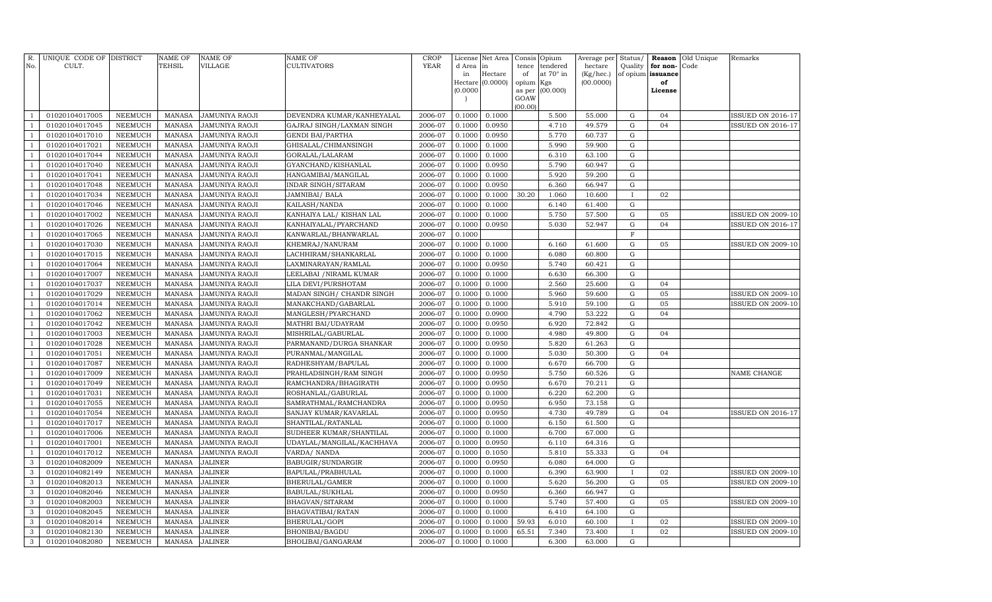| R.<br>No.      | UNIQUE CODE OF DISTRICT<br>CULT. |                | <b>NAME OF</b><br>TEHSIL | <b>NAME OF</b><br>VILLAGE | <b>NAME OF</b><br><b>CULTIVATORS</b> | <b>CROP</b><br><b>YEAR</b> | License<br>d Area | Net Area<br>in   | tence           | Consis Opium<br>tendered | Average per Status/<br>hectare | Quality      | Reason<br>for non- | Old Unique<br>Code | Remarks                  |
|----------------|----------------------------------|----------------|--------------------------|---------------------------|--------------------------------------|----------------------------|-------------------|------------------|-----------------|--------------------------|--------------------------------|--------------|--------------------|--------------------|--------------------------|
|                |                                  |                |                          |                           |                                      |                            | in                | Hectare          | of              | at 70° in                | (Kg/hec.)                      |              | of opium issuance  |                    |                          |
|                |                                  |                |                          |                           |                                      |                            |                   | Hectare (0.0000) | opium           | Kgs                      | (00.0000)                      |              | of                 |                    |                          |
|                |                                  |                |                          |                           |                                      |                            | (0.0000)          |                  | as per          | (00.000)                 |                                |              | License            |                    |                          |
|                |                                  |                |                          |                           |                                      |                            | $\overline{ }$    |                  | GOAW<br>(00.00) |                          |                                |              |                    |                    |                          |
| $\mathbf{1}$   | 01020104017005                   | <b>NEEMUCH</b> | <b>MANASA</b>            | <b>JAMUNIYA RAOJI</b>     | DEVENDRA KUMAR/KANHEYALAL            | 2006-07                    | 0.1000            | 0.1000           |                 | 5.500                    | 55.000                         | ${\rm G}$    | 04                 |                    | <b>ISSUED ON 2016-17</b> |
| $\mathbf{1}$   | 01020104017045                   | <b>NEEMUCH</b> | <b>MANASA</b>            | <b>JAMUNIYA RAOJI</b>     | GAJRAJ SINGH/LAXMAN SINGH            | 2006-07                    | 0.1000            | 0.0950           |                 | 4.710                    | 49.579                         | $\mathbf G$  | 04                 |                    | ISSUED ON 2016-17        |
| $\mathbf{1}$   | 01020104017010                   | <b>NEEMUCH</b> | <b>MANASA</b>            | <b>JAMUNIYA RAOJI</b>     | <b>GENDI BAI/PARTHA</b>              | 2006-07                    | 0.1000            | 0.0950           |                 | 5.770                    | 60.737                         | ${\rm G}$    |                    |                    |                          |
| $\mathbf{1}$   | 01020104017021                   | <b>NEEMUCH</b> | <b>MANASA</b>            | <b>JAMUNIYA RAOJI</b>     | GHISALAL/CHIMANSINGH                 | 2006-07                    | 0.1000            | 0.1000           |                 | 5.990                    | 59.900                         | ${\rm G}$    |                    |                    |                          |
| $\mathbf{1}$   | 01020104017044                   | <b>NEEMUCH</b> | <b>MANASA</b>            | <b>JAMUNIYA RAOJI</b>     | GORALAL/LALARAM                      | 2006-07                    | 0.1000            | 0.1000           |                 | 6.310                    | 63.100                         | ${\rm G}$    |                    |                    |                          |
| $\mathbf{1}$   | 01020104017040                   | <b>NEEMUCH</b> | <b>MANASA</b>            | <b>JAMUNIYA RAOJI</b>     | GYANCHAND/KISHANLAL                  | 2006-07                    | 0.1000            | 0.0950           |                 | 5.790                    | 60.947                         | ${\rm G}$    |                    |                    |                          |
| $\mathbf{1}$   | 01020104017041                   | <b>NEEMUCH</b> | <b>MANASA</b>            | <b>JAMUNIYA RAOJI</b>     | HANGAMIBAI/MANGILAL                  | 2006-07                    | 0.1000            | 0.1000           |                 | 5.920                    | 59.200                         | ${\rm G}$    |                    |                    |                          |
| $\mathbf{1}$   | 01020104017048                   | <b>NEEMUCH</b> | <b>MANASA</b>            | JAMUNIYA RAOJI            | INDAR SINGH/SITARAM                  | 2006-07                    | 0.1000            | 0.0950           |                 | 6.360                    | 66.947                         | G            |                    |                    |                          |
| $\mathbf{1}$   | 01020104017034                   | NEEMUCH        | <b>MANASA</b>            | JAMUNIYA RAOJI            | <b>JAMNIBAI/ BALA</b>                | 2006-07                    | 0.1000            | 0.1000           | 30.20           | 1.060                    | 10.600                         | $\mathbf I$  | 02                 |                    |                          |
| $\mathbf{1}$   | 01020104017046                   | <b>NEEMUCH</b> | <b>MANASA</b>            | <b>JAMUNIYA RAOJI</b>     | KAILASH/NANDA                        | 2006-07                    | 0.1000            | 0.1000           |                 | 6.140                    | 61.400                         | $\mathbf G$  |                    |                    |                          |
| $\mathbf{1}$   | 01020104017002                   | <b>NEEMUCH</b> | <b>MANASA</b>            | <b>JAMUNIYA RAOJI</b>     | KANHAIYA LAL/ KISHAN LAL             | 2006-07                    | 0.1000            | 0.1000           |                 | 5.750                    | 57.500                         | ${\rm G}$    | 05                 |                    | ISSUED ON 2009-10        |
| $\mathbf{1}$   | 01020104017026                   | <b>NEEMUCH</b> | <b>MANASA</b>            | <b>JAMUNIYA RAOJI</b>     | KANHAIYALAL/PYARCHAND                | 2006-07                    | 0.1000            | 0.0950           |                 | 5.030                    | 52.947                         | ${\rm G}$    | 04                 |                    | <b>ISSUED ON 2016-17</b> |
| $\mathbf{1}$   | 01020104017065                   | <b>NEEMUCH</b> | <b>MANASA</b>            | <b>JAMUNIYA RAOJI</b>     | KANWARLAL/BHANWARLAL                 | 2006-07                    | 0.1000            |                  |                 |                          |                                | $\mathbf{F}$ |                    |                    |                          |
| $\mathbf{1}$   | 01020104017030                   | <b>NEEMUCH</b> | <b>MANASA</b>            | <b>JAMUNIYA RAOJI</b>     | KHEMRAJ/NANURAM                      | 2006-07                    | 0.1000            | 0.1000           |                 | 6.160                    | 61.600                         | ${\rm G}$    | 05                 |                    | <b>ISSUED ON 2009-10</b> |
| $\mathbf{1}$   | 01020104017015                   | <b>NEEMUCH</b> | <b>MANASA</b>            | <b>JAMUNIYA RAOJI</b>     | LACHHIRAM/SHANKARLAL                 | 2006-07                    | 0.1000            | 0.1000           |                 | 6.080                    | 60.800                         | ${\rm G}$    |                    |                    |                          |
| $\mathbf{1}$   | 01020104017064                   | <b>NEEMUCH</b> | <b>MANASA</b>            | <b>JAMUNIYA RAOJI</b>     | LAXMINARAYAN/RAMLAL                  | 2006-07                    | 0.1000            | 0.0950           |                 | 5.740                    | 60.421                         | ${\rm G}$    |                    |                    |                          |
| $\mathbf{1}$   | 01020104017007                   | <b>NEEMUCH</b> | <b>MANASA</b>            | JAMUNIYA RAOJI            | LEELABAI / NIRAML KUMAR              | 2006-07                    | 0.1000            | 0.1000           |                 | 6.630                    | 66.300                         | ${\rm G}$    |                    |                    |                          |
| $\mathbf{1}$   | 01020104017037                   | <b>NEEMUCH</b> | <b>MANASA</b>            | JAMUNIYA RAOJI            | LILA DEVI/PURSHOTAM                  | 2006-07                    | 0.1000            | 0.1000           |                 | 2.560                    | 25.600                         | ${\rm G}$    | 04                 |                    |                          |
| $\mathbf{1}$   | 01020104017029                   | <b>NEEMUCH</b> | <b>MANASA</b>            | JAMUNIYA RAOJI            | MADAN SINGH/ CHANDR SINGH            | 2006-07                    | 0.1000            | 0.1000           |                 | 5.960                    | 59.600                         | ${\rm G}$    | 05                 |                    | ISSUED ON 2009-10        |
| $\mathbf{1}$   | 01020104017014                   | <b>NEEMUCH</b> | <b>MANASA</b>            | JAMUNIYA RAOJI            | MANAKCHAND/GABARLAL                  | 2006-07                    | 0.1000            | 0.1000           |                 | 5.910                    | 59.100                         | ${\rm G}$    | 05                 |                    | <b>ISSUED ON 2009-10</b> |
| $\mathbf{1}$   | 01020104017062                   | NEEMUCH        | <b>MANASA</b>            | <b>JAMUNIYA RAOJI</b>     | MANGLESH/PYARCHAND                   | 2006-07                    | 0.1000            | 0.0900           |                 | 4.790                    | 53.222                         | $\mathbf G$  | 04                 |                    |                          |
| $\mathbf{1}$   | 01020104017042                   | NEEMUCH        | <b>MANASA</b>            | <b>JAMUNIYA RAOJI</b>     | MATHRI BAI/UDAYRAM                   | 2006-07                    | 0.1000            | 0.0950           |                 | 6.920                    | 72.842                         | ${\rm G}$    |                    |                    |                          |
| $\overline{1}$ | 01020104017003                   | <b>NEEMUCH</b> | <b>MANASA</b>            | <b>JAMUNIYA RAOJI</b>     | MISHRILAL/GABURLAL                   | 2006-07                    | 0.1000            | 0.1000           |                 | 4.980                    | 49.800                         | ${\rm G}$    | 04                 |                    |                          |
| $\mathbf{1}$   | 01020104017028                   | <b>NEEMUCH</b> | <b>MANASA</b>            | <b>JAMUNIYA RAOJI</b>     | PARMANAND/DURGA SHANKAR              | 2006-07                    | 0.1000            | 0.0950           |                 | 5.820                    | 61.263                         | ${\rm G}$    |                    |                    |                          |
| $\mathbf{1}$   | 01020104017051                   | <b>NEEMUCH</b> | <b>MANASA</b>            | <b>JAMUNIYA RAOJI</b>     | PURANMAL/MANGILAL                    | 2006-07                    | 0.1000            | 0.1000           |                 | 5.030                    | 50.300                         | ${\rm G}$    | 04                 |                    |                          |
| $\mathbf{1}$   | 01020104017087                   | <b>NEEMUCH</b> | <b>MANASA</b>            | JAMUNIYA RAOJI            | RADHESHYAM/BAPULAL                   | 2006-07                    | 0.1000            | 0.1000           |                 | 6.670                    | 66.700                         | ${\rm G}$    |                    |                    |                          |
| $\overline{1}$ | 01020104017009                   | <b>NEEMUCH</b> | <b>MANASA</b>            | JAMUNIYA RAOJI            | PRAHLADSINGH/RAM SINGH               | 2006-07                    | 0.1000            | 0.0950           |                 | 5.750                    | 60.526                         | ${\bf G}$    |                    |                    | NAME CHANGE              |
| $\mathbf{1}$   | 01020104017049                   | <b>NEEMUCH</b> | <b>MANASA</b>            | JAMUNIYA RAOJI            | RAMCHANDRA/BHAGIRATH                 | 2006-07                    | 0.1000            | 0.0950           |                 | 6.670                    | 70.211                         | ${\rm G}$    |                    |                    |                          |
| $\overline{1}$ | 01020104017031                   | <b>NEEMUCH</b> | <b>MANASA</b>            | JAMUNIYA RAOJI            | ROSHANLAL/GABURLAL                   | 2006-07                    | 0.1000            | 0.1000           |                 | 6.220                    | 62.200                         | ${\rm G}$    |                    |                    |                          |
| $\mathbf{1}$   | 01020104017055                   | <b>NEEMUCH</b> | <b>MANASA</b>            | JAMUNIYA RAOJI            | SAMRATHMAL/RAMCHANDRA                | 2006-07                    | 0.1000            | 0.0950           |                 | 6.950                    | 73.158                         | ${\rm G}$    |                    |                    |                          |
| $\overline{1}$ | 01020104017054                   | NEEMUCH        | <b>MANASA</b>            | JAMUNIYA RAOJI            | SANJAY KUMAR/KAVARLAL                | 2006-07                    | 0.1000            | 0.0950           |                 | 4.730                    | 49.789                         | ${\rm G}$    | 04                 |                    | ISSUED ON 2016-17        |
| $\mathbf{1}$   | 01020104017017                   | <b>NEEMUCH</b> | <b>MANASA</b>            | JAMUNIYA RAOJI            | SHANTILAL/RATANLAL                   | 2006-07                    | 0.1000            | 0.1000           |                 | 6.150                    | 61.500                         | $\mathbf G$  |                    |                    |                          |
| $\overline{1}$ | 01020104017006                   | NEEMUCH        | <b>MANASA</b>            | JAMUNIYA RAOJI            | SUDHEER KUMAR/SHANTILAL              | 2006-07                    | 0.1000            | 0.1000           |                 | 6.700                    | 67.000                         | ${\rm G}$    |                    |                    |                          |
| $\mathbf{1}$   | 01020104017001                   | <b>NEEMUCH</b> | <b>MANASA</b>            | <b>JAMUNIYA RAOJI</b>     | UDAYLAL/MANGILAL/KACHHAVA            | 2006-07                    | 0.1000            | 0.0950           |                 | 6.110                    | 64.316                         | $\mathbf G$  |                    |                    |                          |
| $\mathbf{1}$   | 01020104017012                   | <b>NEEMUCH</b> | <b>MANASA</b>            | <b>JAMUNIYA RAOJI</b>     | VARDA/ NANDA                         | 2006-07                    | 0.1000            | 0.1050           |                 | 5.810                    | 55.333                         | ${\rm G}$    | 04                 |                    |                          |
| 3              | 01020104082009                   | <b>NEEMUCH</b> | <b>MANASA</b>            | <b>JALINER</b>            | BABUGIR/SUNDARGIR                    | 2006-07                    | 0.1000            | 0.0950           |                 | 6.080                    | 64.000                         | ${\rm G}$    |                    |                    |                          |
| 3              | 01020104082149                   | <b>NEEMUCH</b> | <b>MANASA</b>            | <b>JALINER</b>            | BAPULAL/PRABHULAL                    | 2006-07                    | 0.1000            | 0.1000           |                 | 6.390                    | 63.900                         | $\mathbf{I}$ | 02                 |                    | <b>ISSUED ON 2009-10</b> |
| 3              | 01020104082013                   | <b>NEEMUCH</b> | <b>MANASA</b>            | <b>JALINER</b>            | BHERULAL/GAMER                       | 2006-07                    | 0.1000            | 0.1000           |                 | 5.620                    | 56.200                         | ${\rm G}$    | 05                 |                    | <b>ISSUED ON 2009-10</b> |
| 3              | 01020104082046                   | <b>NEEMUCH</b> | <b>MANASA</b>            | <b>JALINER</b>            | BABULAL/SUKHLAL                      | 2006-07                    | 0.1000            | 0.0950           |                 | 6.360                    | 66.947                         | ${\rm G}$    |                    |                    |                          |
| 3              | 01020104082003                   | <b>NEEMUCH</b> | <b>MANASA</b>            | <b>JALINER</b>            | BHAGVAN/SITARAM                      | 2006-07                    | 0.1000            | 0.1000           |                 | 5.740                    | 57.400                         | ${\rm G}$    | 05                 |                    | <b>ISSUED ON 2009-10</b> |
| 3              | 01020104082045                   | <b>NEEMUCH</b> | <b>MANASA</b>            | <b>JALINER</b>            | BHAGVATIBAI/RATAN                    | 2006-07                    | 0.1000            | 0.1000           |                 | 6.410                    | 64.100                         | ${\rm G}$    |                    |                    |                          |
| $\mathbf{3}$   | 01020104082014                   | <b>NEEMUCH</b> | <b>MANASA</b>            | <b>JALINER</b>            | BHERULAL/GOPI                        | 2006-07                    | 0.1000            | 0.1000           | 59.93           | 6.010                    | 60.100                         | $\mathbf{I}$ | 02                 |                    | ISSUED ON 2009-10        |
| $\mathbf{3}$   | 01020104082130                   | NEEMUCH        | <b>MANASA</b>            | JALINER                   | BHONIBAI/BAGDU                       | 2006-07                    | 0.1000            | 0.1000           | 65.51           | 7.340                    | 73.400                         |              | 02                 |                    | <b>ISSUED ON 2009-10</b> |
| 3              | 01020104082080                   | NEEMUCH        | MANASA                   | <b>JALINER</b>            | BHOLIBAI/GANGARAM                    | 2006-07                    | 0.1000            | 0.1000           |                 | 6.300                    | 63.000                         | G            |                    |                    |                          |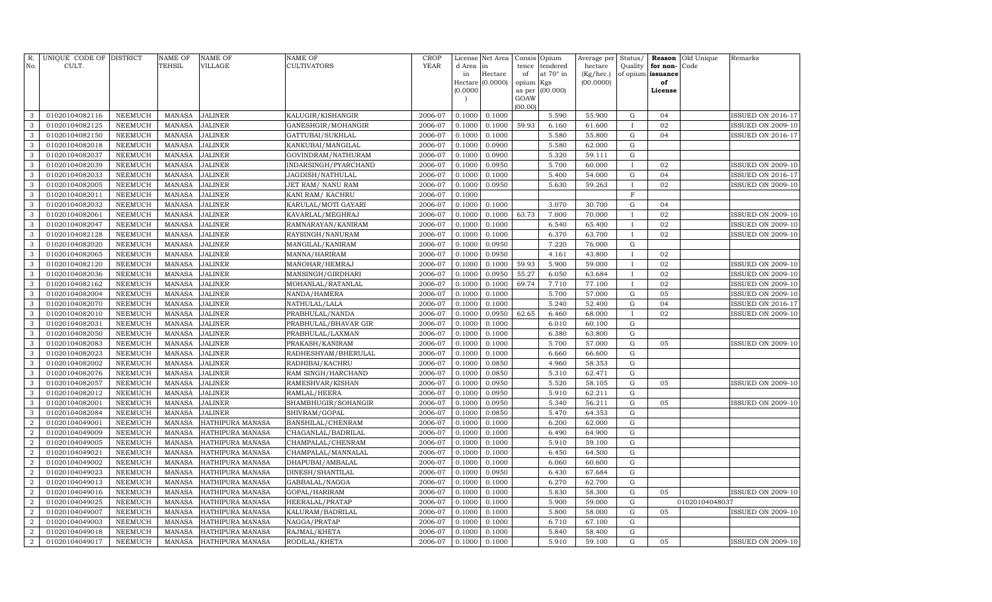| R.<br>No.                          | UNIQUE CODE OF DISTRICT<br>CULT. |                                  | <b>NAME OF</b><br><b>TEHSIL</b> | <b>NAME OF</b><br>VILLAGE                   | NAME OF<br>CULTIVATORS | <b>CROP</b><br><b>YEAR</b> | d Area in                            | License Net Area | Consis<br>tence | Opium<br>tendered | Average per<br>hectare | Status/<br>Quality         | for non- | <b>Reason</b> Old Unique<br>Code | Remarks                  |
|------------------------------------|----------------------------------|----------------------------------|---------------------------------|---------------------------------------------|------------------------|----------------------------|--------------------------------------|------------------|-----------------|-------------------|------------------------|----------------------------|----------|----------------------------------|--------------------------|
|                                    |                                  |                                  |                                 |                                             |                        |                            | in                                   | Hectare          | of              | at 70° in         | (Kg/hec.)              | of opium issuance          |          |                                  |                          |
|                                    |                                  |                                  |                                 |                                             |                        |                            |                                      | Hectare (0.0000) | opium           | Kgs               | (00.0000)              |                            | of       |                                  |                          |
|                                    |                                  |                                  |                                 |                                             |                        |                            | (0.0000)<br>$\overline{\phantom{a}}$ |                  | as per<br>GOAW  | (00.000)          |                        |                            | License  |                                  |                          |
|                                    |                                  |                                  |                                 |                                             |                        |                            |                                      |                  | (00.00)         |                   |                        |                            |          |                                  |                          |
| 3                                  | 01020104082116                   | <b>NEEMUCH</b>                   | <b>MANASA</b>                   | <b>JALINER</b>                              | KALUGIR/KISHANGIR      | 2006-07                    | 0.1000                               | 0.1000           |                 | 5.590             | 55.900                 | G                          | 04       |                                  | ISSUED ON 2016-17        |
| 3                                  | 01020104082125                   | <b>NEEMUCH</b>                   | <b>MANASA</b>                   | <b>JALINER</b>                              | GANESHGIR/MOHANGIR     | 2006-07                    | 0.1000                               | 0.1000           | 59.93           | 6.160             | 61.600                 | $\bf{I}$                   | 02       |                                  | <b>ISSUED ON 2009-10</b> |
| 3                                  | 01020104082150                   | <b>NEEMUCH</b>                   | <b>MANASA</b>                   | <b>JALINER</b>                              | GATTUBAI/SUKHLAL       | 2006-07                    | 0.1000                               | 0.1000           |                 | 5.580             | 55.800                 | $\mathbf G$                | 04       |                                  | <b>ISSUED ON 2016-17</b> |
| 3                                  | 01020104082018                   | <b>NEEMUCH</b>                   | <b>MANASA</b>                   | <b>JALINER</b>                              | KANKUBAI/MANGILAL      | 2006-07                    | 0.1000                               | 0.0900           |                 | 5.580             | 62.000                 | G                          |          |                                  |                          |
| 3                                  | 01020104082037                   | <b>NEEMUCH</b>                   | <b>MANASA</b>                   | <b>JALINER</b>                              | GOVINDRAM/NATHURAM     | 2006-07                    | 0.1000                               | 0.0900           |                 | 5.320             | 59.111                 | $\mathbf G$                |          |                                  |                          |
| 3                                  | 01020104082039                   | <b>NEEMUCH</b>                   | <b>MANASA</b>                   | <b>JALINER</b>                              | INDARSINGH/PYARCHAND   | 2006-07                    | 0.1000                               | 0.0950           |                 | 5.700             | 60.000                 | Ι                          | 02       |                                  | <b>ISSUED ON 2009-10</b> |
| 3                                  | 01020104082033                   | <b>NEEMUCH</b>                   | <b>MANASA</b>                   | <b>JALINER</b>                              | JAGDISH/NATHULAL       | 2006-07                    | 0.1000                               | 0.1000           |                 | 5.400             | 54.000                 | ${\bf G}$                  | 04       |                                  | <b>ISSUED ON 2016-17</b> |
| 3                                  | 01020104082005                   | <b>NEEMUCH</b>                   | <b>MANASA</b>                   | <b>JALINER</b>                              | JET RAM/ NANU RAM      | 2006-07                    | 0.1000                               | 0.0950           |                 | 5.630             | 59.263                 | $\mathbf I$                | 02       |                                  | <b>ISSUED ON 2009-10</b> |
| 3                                  | 01020104082011                   | <b>NEEMUCH</b>                   | <b>MANASA</b>                   | <b>JALINER</b>                              | KANI RAM/KACHRU        | 2006-07                    | 0.1000                               |                  |                 |                   |                        | $\mathbf F$                |          |                                  |                          |
| 3                                  | 01020104082032                   | <b>NEEMUCH</b>                   | <b>MANASA</b>                   | <b>JALINER</b>                              | KARULAL/MOTI GAYARI    | 2006-07                    | 0.1000                               | 0.1000           |                 | 3.070             | 30.700                 | G                          | 04       |                                  |                          |
| 3                                  | 01020104082061                   | <b>NEEMUCH</b>                   | <b>MANASA</b>                   | <b>JALINER</b>                              | KAVARLAL/MEGHRAJ       | 2006-07                    | 0.1000                               | 0.1000           | 63.73           | 7.000             | 70.000                 | $\mathbf I$                | 02       |                                  | <b>ISSUED ON 2009-10</b> |
| 3                                  | 01020104082047                   | <b>NEEMUCH</b>                   | <b>MANASA</b>                   | <b>JALINER</b>                              | RAMNARAYAN/KANIRAM     | 2006-07                    | 0.1000                               | 0.1000           |                 | 6.540             | 65.400                 | $\mathbf I$                | 02       |                                  | <b>ISSUED ON 2009-10</b> |
| 3                                  | 01020104082128                   | NEEMUCH                          | <b>MANASA</b>                   | <b>JALINER</b>                              | RAYSINGH/NANURAM       | 2006-07                    | 0.1000                               | 0.1000           |                 | 6.370             | 63.700                 | $\mathbf{I}$               | 02       |                                  | <b>ISSUED ON 2009-10</b> |
| 3                                  | 01020104082020                   | NEEMUCH                          | <b>MANASA</b>                   | <b>JALINER</b>                              | MANGILAL/KANIRAM       | 2006-07                    | 0.1000                               | 0.0950           |                 | 7.220             | 76.000                 | ${\rm G}$                  |          |                                  |                          |
| 3                                  | 01020104082065                   | NEEMUCH                          | <b>MANASA</b>                   | <b>JALINER</b>                              | MANNA/HARIRAM          | 2006-07                    | 0.1000                               | 0.0950           |                 | 4.161             | 43.800                 | $\mathbf{I}$               | 02       |                                  |                          |
| 3                                  | 01020104082120                   | NEEMUCH                          | <b>MANASA</b>                   | <b>JALINER</b>                              | MANOHAR/HEMRAJ         | 2006-07                    | 0.1000                               | 0.1000           | 59.93           | 5.900             | 59.000                 | $\bf{I}$                   | 02       |                                  | <b>ISSUED ON 2009-10</b> |
| 3                                  | 01020104082036                   | NEEMUCH                          | <b>MANASA</b>                   | <b>JALINER</b>                              | MANSINGH/GIRDHARI      | 2006-07                    | 0.1000                               | 0.0950           | 55.27           | 6.050             | 63.684                 | $\mathbf{I}$               | 02       |                                  | <b>ISSUED ON 2009-10</b> |
| 3                                  | 01020104082162                   | NEEMUCH                          | <b>MANASA</b>                   | JALINER                                     | MOHANLAL/RATANLAL      | 2006-07                    | 0.1000                               | 0.1000           | 69.74           | 7.710             | 77.100                 | T                          | 02       |                                  | ISSUED ON 2009-10        |
| 3                                  | 01020104082004                   | NEEMUCH                          | <b>MANASA</b>                   | JALINER                                     | NANDA/HAMERA           | 2006-07                    | 0.1000                               | 0.1000           |                 | 5.700             | 57.000                 | ${\rm G}$                  | 05       |                                  | <b>ISSUED ON 2009-10</b> |
| 3                                  | 01020104082070                   | <b>NEEMUCH</b>                   | <b>MANASA</b>                   | <b>JALINER</b>                              | NATHULAL/LALA          | 2006-07                    | 0.1000                               | 0.1000           |                 | 5.240             | 52.400                 | G                          | 04       |                                  | <b>ISSUED ON 2016-17</b> |
| 3                                  | 01020104082010                   | NEEMUCH                          | <b>MANASA</b>                   | <b>JALINER</b>                              | PRABHULAL/NANDA        | 2006-07                    | 0.1000                               | 0.0950           | 62.65           | 6.460             | 68.000                 | $\mathbf{I}$               | 02       |                                  | <b>ISSUED ON 2009-10</b> |
| 3                                  | 01020104082031                   | <b>NEEMUCH</b>                   | <b>MANASA</b>                   | JALINER                                     | PRABHULAL/BHAVAR GIR   | 2006-07                    | 0.1000                               | 0.1000           |                 | 6.010             | 60.100                 | $\mathbf G$                |          |                                  |                          |
| 3                                  | 01020104082050                   | <b>NEEMUCH</b>                   | <b>MANASA</b>                   | JALINER                                     | PRABHULAL/LAXMAN       | 2006-07                    | 0.1000                               | 0.1000           |                 | 6.380             | 63.800                 | G                          |          |                                  |                          |
| 3                                  | 01020104082083                   | NEEMUCH                          | <b>MANASA</b>                   | <b>JALINER</b>                              | PRAKASH/KANIRAM        | 2006-07                    | 0.1000                               | 0.1000           |                 | 5.700             | 57.000                 | G                          | 05       |                                  | ISSUED ON 2009-10        |
| 3                                  | 01020104082023                   | <b>NEEMUCH</b>                   | <b>MANASA</b>                   | <b>JALINER</b>                              | RADHESHYAM/BHERULAL    | 2006-07                    | 0.1000                               | 0.1000           |                 | 6.660             | 66.600                 | G                          |          |                                  |                          |
| 3                                  | 01020104082002                   | <b>NEEMUCH</b>                   | <b>MANASA</b>                   | <b>JALINER</b>                              | RADHIBAI/KACHRU        | 2006-07                    | 0.1000                               | 0.0850           |                 | 4.960             | 58.353                 | $\mathbf G$                |          |                                  |                          |
| 3                                  | 01020104082076                   | <b>NEEMUCH</b>                   | <b>MANASA</b>                   | <b>JALINER</b>                              | RAM SINGH/HARCHAND     | 2006-07                    | 0.1000                               | 0.0850           |                 | 5.310             | 62.471                 | $\mathbf G$                |          |                                  |                          |
| 3                                  | 01020104082057                   | <b>NEEMUCH</b>                   | <b>MANASA</b>                   | <b>JALINER</b>                              | RAMESHVAR/KISHAN       | 2006-07                    | 0.1000                               | 0.0950           |                 | 5.520             | 58.105                 | G                          | 05       |                                  | <b>ISSUED ON 2009-10</b> |
| 3                                  | 01020104082012                   | <b>NEEMUCH</b>                   | <b>MANASA</b>                   | <b>JALINER</b>                              | RAMLAL/HEERA           | 2006-07                    | 0.1000                               | 0.0950           |                 | 5.910             | 62.211                 | $\mathbf G$                |          |                                  |                          |
| 3                                  | 01020104082001                   | <b>NEEMUCH</b>                   | <b>MANASA</b>                   | <b>JALINER</b>                              | SHAMBHUGIR/SOHANGIR    | 2006-07                    | 0.1000                               | 0.0950           |                 | 5.340             | 56.211                 | $\mathbf G$                | 05       |                                  | <b>ISSUED ON 2009-10</b> |
| 3                                  | 01020104082084                   | <b>NEEMUCH</b>                   | <b>MANASA</b>                   | <b>JALINER</b>                              | SHIVRAM/GOPAL          | 2006-07                    | 0.1000                               | 0.0850           |                 | 5.470             | 64.353                 | $\mathbf G$                |          |                                  |                          |
| $\boldsymbol{2}$                   | 01020104049001                   | <b>NEEMUCH</b>                   | <b>MANASA</b>                   | HATHIPURA MANASA                            | BANSHILAL/CHENRAM      | 2006-07                    | 0.1000                               | 0.1000           |                 | 6.200             | 62.000                 | $\mathbf G$                |          |                                  |                          |
| $\overline{2}$                     | 01020104049009                   | <b>NEEMUCH</b>                   | <b>MANASA</b>                   | HATHIPURA MANASA                            | CHAGANLAL/BADRILAL     | 2006-07                    | 0.1000                               | 0.1000           |                 | 6.490             | 64.900                 | $\mathbf G$                |          |                                  |                          |
| $\overline{2}$                     | 01020104049005                   | <b>NEEMUCH</b>                   | <b>MANASA</b>                   | HATHIPURA MANASA                            | CHAMPALAL/CHENRAM      | 2006-07                    | 0.1000                               | 0.1000           |                 | 5.910             | 59.100                 | $\mathbf G$<br>$\mathbf G$ |          |                                  |                          |
| $\overline{2}$                     | 01020104049021                   | <b>NEEMUCH</b>                   | <b>MANASA</b>                   | HATHIPURA MANASA                            | CHAMPALAL/MANNALAL     | 2006-07                    | 0.1000                               | 0.1000           |                 | 6.450             | 64.500                 |                            |          |                                  |                          |
| $\overline{2}$                     | 01020104049002                   | <b>NEEMUCH</b>                   | <b>MANASA</b>                   | HATHIPURA MANASA                            | DHAPUBAI/AMBALAL       | 2006-07                    | 0.1000                               | 0.1000           |                 | 6.060             | 60.600                 | $\mathbf G$                |          |                                  |                          |
| $\overline{2}$                     | 01020104049023                   | <b>NEEMUCH</b>                   | <b>MANASA</b>                   | HATHIPURA MANASA                            | DINESH/SHANTILAL       | 2006-07                    | 0.1000                               | 0.0950           |                 | 6.430             | 67.684                 | $\mathbf G$                |          |                                  |                          |
| $\boldsymbol{2}$<br>$\overline{2}$ | 01020104049013<br>01020104049016 | <b>NEEMUCH</b><br><b>NEEMUCH</b> | <b>MANASA</b><br><b>MANASA</b>  | HATHIPURA MANASA<br>HATHIPURA MANASA        | GABBALAL/NAGGA         | 2006-07<br>2006-07         | 0.1000<br>0.1000                     | 0.1000<br>0.1000 |                 | 6.270<br>5.830    | 62.700<br>58.300       | $\mathbf G$<br>G           | 05       |                                  | <b>ISSUED ON 2009-10</b> |
|                                    |                                  |                                  |                                 |                                             | GOPAL/HARIRAM          |                            |                                      |                  |                 |                   |                        | G                          |          |                                  |                          |
| $\overline{2}$<br>$\overline{2}$   | 01020104049025                   | <b>NEEMUCH</b>                   | <b>MANASA</b><br><b>MANASA</b>  | <b>HATHIPURA MANASA</b>                     | HEERALAL/PRATAP        | 2006-07<br>2006-07         | 0.1000                               | 0.1000           |                 | 5.900<br>5.800    | 59.000                 | $\mathbf G$                | 05       | 01020104048037                   | <b>SSUED ON 2009-10</b>  |
| $\overline{2}$                     | 01020104049007<br>01020104049003 | NEEMUCH                          | <b>MANASA</b>                   | HATHIPURA MANASA                            | KALURAM/BADRILAL       | 2006-07                    | 0.1000<br>0.1000                     | 0.1000<br>0.1000 |                 | 6.710             | 58.000                 | G                          |          |                                  |                          |
| $\overline{2}$                     |                                  | <b>NEEMUCH</b><br><b>NEEMUCH</b> | <b>MANASA</b>                   | <b>HATHIPURA MANASA</b><br>HATHIPURA MANASA | NAGGA/PRATAP           | 2006-07                    | 0.1000                               | 0.1000           |                 | 5.840             | 67.100<br>58.400       | G                          |          |                                  |                          |
|                                    | 01020104049018<br>01020104049017 |                                  | <b>MANASA</b>                   |                                             | RAJMAL/KHETA           | 2006-07                    | 0.1000                               | 0.1000           |                 | 5.910             | 59.100                 | $\mathbf G$                |          |                                  |                          |
| $\boldsymbol{2}$                   |                                  | <b>NEEMUCH</b>                   |                                 | HATHIPURA MANASA                            | RODILAL/KHETA          |                            |                                      |                  |                 |                   |                        |                            | 05       |                                  | <b>ISSUED ON 2009-10</b> |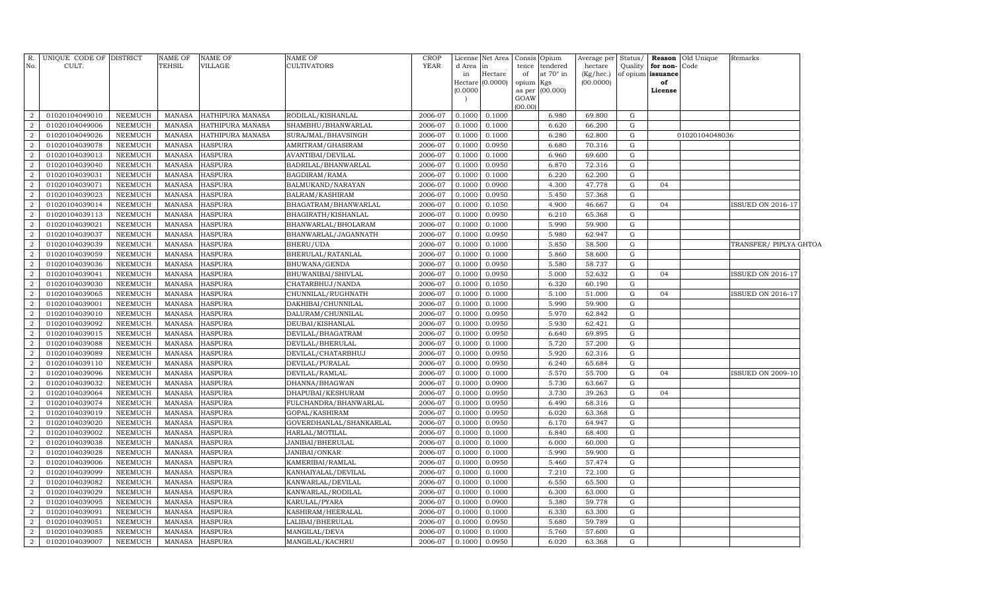| No.              | R. UNIQUE CODE OF DISTRICT<br>CULT. |                | NAME OF<br>TEHSIL | <b>NAME OF</b><br>VILLAGE | NAME OF<br>CULTIVATORS  | CROP<br>YEAR | License<br>d Area<br>in<br>(0.0000)<br>$\overline{ }$ | Net Area<br>in<br>Hectare<br>Hectare (0.0000) | Opium<br>Consis<br>tendered<br>tence<br>of<br>at 70° in<br>opium<br>Kgs<br>(00.000)<br>as per<br>GOAW | Average per<br>hectare<br>(Kg/hec.)<br>(00.0000) | Status/<br>Quality | for non-<br>of opium issuance<br>of<br>License | <b>Reason</b> Old Unique<br>Code | Remarks                  |  |
|------------------|-------------------------------------|----------------|-------------------|---------------------------|-------------------------|--------------|-------------------------------------------------------|-----------------------------------------------|-------------------------------------------------------------------------------------------------------|--------------------------------------------------|--------------------|------------------------------------------------|----------------------------------|--------------------------|--|
| $\overline{2}$   | 01020104049010                      | NEEMUCH        | MANASA            | HATHIPURA MANASA          | RODILAL/KISHANLAL       | 2006-07      | 0.1000                                                | 0.1000                                        | (00.00)<br>6.980                                                                                      | 69.800                                           | G                  |                                                |                                  |                          |  |
| $\overline{2}$   | 01020104049006                      | <b>NEEMUCH</b> | MANASA            | HATHIPURA MANASA          | SHAMBHU/BHANWARLAL      | 2006-07      | 0.1000                                                | 0.1000                                        | 6.620                                                                                                 | 66.200                                           | G                  |                                                |                                  |                          |  |
| 2                | 01020104049026                      | <b>NEEMUCH</b> | MANASA            | HATHIPURA MANASA          | SURAJMAL/BHAVSINGH      | 2006-07      | 0.1000                                                | 0.1000                                        | 6.280                                                                                                 | 62.800                                           | G                  |                                                | 01020104048036                   |                          |  |
| $\overline{2}$   | 01020104039078                      | <b>NEEMUCH</b> | MANASA            | <b>HASPURA</b>            | AMRITRAM/GHASIRAM       | 2006-07      | 0.1000                                                | 0.0950                                        | 6.680                                                                                                 | 70.316                                           | G                  |                                                |                                  |                          |  |
| 2                | 01020104039013                      | <b>NEEMUCH</b> | MANASA            | <b>HASPURA</b>            | AVANTIBAI/DEVILAL       | 2006-07      | 0.1000                                                | 0.1000                                        | 6.960                                                                                                 | 69.600                                           | G                  |                                                |                                  |                          |  |
| $\overline{2}$   | 01020104039040                      | NEEMUCH        | MANASA            | <b>HASPURA</b>            | BADRILAL/BHANWARLAL     | 2006-07      | 0.1000                                                | 0.0950                                        | 6.870                                                                                                 | 72.316                                           | G                  |                                                |                                  |                          |  |
| $\overline{2}$   | 01020104039031                      | <b>NEEMUCH</b> | MANASA            | <b>HASPURA</b>            | BAGDIRAM/RAMA           | 2006-07      | 0.1000                                                | 0.1000                                        | 6.220                                                                                                 | 62.200                                           | G                  |                                                |                                  |                          |  |
| $\overline{2}$   | 01020104039071                      | <b>NEEMUCH</b> | MANASA            | <b>HASPURA</b>            | BALMUKAND/NARAYAN       | 2006-07      | 0.1000                                                | 0.0900                                        | 4.300                                                                                                 | 47.778                                           | G                  | 04                                             |                                  |                          |  |
| $\overline{2}$   | 01020104039023                      | <b>NEEMUCH</b> | MANASA            | <b>HASPURA</b>            | BALRAM/KASHIRAM         | 2006-07      | 0.1000                                                | 0.0950                                        | 5.450                                                                                                 | 57.368                                           | G                  |                                                |                                  |                          |  |
| $\overline{2}$   | 01020104039014                      | <b>NEEMUCH</b> | MANASA            | <b>HASPURA</b>            | BHAGATRAM/BHANWARLAL    | 2006-07      | 0.1000                                                | 0.1050                                        | 4.900                                                                                                 | 46.667                                           | ${\rm G}$          | 04                                             |                                  | <b>ISSUED ON 2016-17</b> |  |
| $\overline{2}$   | 01020104039113                      | <b>NEEMUCH</b> | <b>MANASA</b>     | <b>HASPURA</b>            | BHAGIRATH/KISHANLAL     | 2006-07      | 0.1000                                                | 0.0950                                        | 6.210                                                                                                 | 65.368                                           | ${\rm G}$          |                                                |                                  |                          |  |
| $\overline{2}$   | 01020104039021                      | NEEMUCH        | MANASA            | <b>HASPURA</b>            | BHANWARLAL/BHOLARAM     | 2006-07      | 0.1000                                                | 0.1000                                        | 5.990                                                                                                 | 59.900                                           | G                  |                                                |                                  |                          |  |
| $\overline{2}$   | 01020104039037                      | <b>NEEMUCH</b> | MANASA            | <b>HASPURA</b>            | BHANWARLAL/JAGANNATH    | 2006-07      | 0.1000                                                | 0.0950                                        | 5.980                                                                                                 | 62.947                                           | G                  |                                                |                                  |                          |  |
| $\overline{2}$   | 01020104039039                      | NEEMUCH        | MANASA            | <b>HASPURA</b>            | BHERU/UDA               | 2006-07      | 0.1000                                                | 0.1000                                        | 5.850                                                                                                 | 58.500                                           | G                  |                                                |                                  | TRANSFER/ PIPLYA GHTOA   |  |
| $\overline{2}$   | 01020104039059                      | <b>NEEMUCH</b> | MANASA            | <b>HASPURA</b>            | BHERULAL/RATANLAL       | 2006-07      | 0.1000                                                | 0.1000                                        | 5.860                                                                                                 | 58.600                                           | G                  |                                                |                                  |                          |  |
| $\overline{2}$   | 01020104039036                      | <b>NEEMUCH</b> | MANASA            | <b>HASPURA</b>            | BHUWANA/GENDA           | 2006-07      | 0.1000                                                | 0.0950                                        | 5.580                                                                                                 | 58.737                                           | G                  |                                                |                                  |                          |  |
| $\overline{2}$   | 01020104039041                      | <b>NEEMUCH</b> | MANASA            | <b>HASPURA</b>            | BHUWANIBAI/SHIVLAL      | 2006-07      | 0.1000                                                | 0.0950                                        | 5.000                                                                                                 | 52.632                                           | G                  | 04                                             |                                  | <b>ISSUED ON 2016-17</b> |  |
| $\overline{2}$   | 01020104039030                      | <b>NEEMUCH</b> | MANASA            | <b>HASPURA</b>            | CHATARBHUJ/NANDA        | 2006-07      | 0.1000                                                | 0.1050                                        | 6.320                                                                                                 | 60.190                                           | ${\rm G}$          |                                                |                                  |                          |  |
| $\overline{2}$   | 01020104039065                      | <b>NEEMUCH</b> | <b>MANASA</b>     | <b>HASPURA</b>            | CHUNNILAL/RUGHNATH      | 2006-07      | 0.1000                                                | 0.1000                                        | 5.100                                                                                                 | 51.000                                           | ${\rm G}$          | 04                                             |                                  | ISSUED ON 2016-17        |  |
| $\boldsymbol{2}$ | 01020104039001                      | NEEMUCH        | <b>MANASA</b>     | <b>HASPURA</b>            | DAKHIBAI/CHUNNILAL      | 2006-07      | 0.1000                                                | 0.1000                                        | 5.990                                                                                                 | 59.900                                           | G                  |                                                |                                  |                          |  |
| $\overline{2}$   | 01020104039010                      | NEEMUCH        | MANASA            | <b>HASPURA</b>            | DALURAM/CHUNNILAL       | 2006-07      | 0.1000                                                | 0.0950                                        | 5.970                                                                                                 | 62.842                                           | G                  |                                                |                                  |                          |  |
| $\overline{2}$   | 01020104039092                      | <b>NEEMUCH</b> | MANASA            | <b>HASPURA</b>            | DEUBAI/KISHANLAL        | 2006-07      | 0.1000                                                | 0.0950                                        | 5.930                                                                                                 | 62.421                                           | G                  |                                                |                                  |                          |  |
| $\overline{2}$   | 01020104039015                      | <b>NEEMUCH</b> | MANASA            | <b>HASPURA</b>            | DEVILAL/BHAGATRAM       | 2006-07      | 0.1000                                                | 0.0950                                        | 6.640                                                                                                 | 69.895                                           | G                  |                                                |                                  |                          |  |
| $\overline{2}$   | 01020104039088                      | <b>NEEMUCH</b> | MANASA            | <b>HASPURA</b>            | DEVILAL/BHERULAL        | 2006-07      | 0.1000                                                | 0.1000                                        | 5.720                                                                                                 | 57.200                                           | G                  |                                                |                                  |                          |  |
| $\overline{2}$   | 01020104039089                      | <b>NEEMUCH</b> | <b>MANASA</b>     | <b>HASPURA</b>            | DEVILAL/CHATARBHUJ      | 2006-07      | 0.1000                                                | 0.0950                                        | 5.920                                                                                                 | 62.316                                           | G                  |                                                |                                  |                          |  |
| $\overline{2}$   | 01020104039110                      | <b>NEEMUCH</b> | MANASA            | <b>HASPURA</b>            | DEVILAL/PURALAL         | 2006-07      | 0.1000                                                | 0.0950                                        | 6.240                                                                                                 | 65.684                                           | G                  |                                                |                                  |                          |  |
| $\overline{2}$   | 01020104039096                      | <b>NEEMUCH</b> | <b>MANASA</b>     | <b>HASPURA</b>            | DEVILAL/RAMLAL          | 2006-07      | 0.1000                                                | 0.1000                                        | 5.570                                                                                                 | 55.700                                           | G                  | 04                                             |                                  | ISSUED ON 2009-10        |  |
| $\overline{a}$   | 01020104039032                      | <b>NEEMUCH</b> | MANASA            | <b>HASPURA</b>            | DHANNA/BHAGWAN          | 2006-07      | 0.1000                                                | 0.0900                                        | 5.730                                                                                                 | 63.667                                           | G                  |                                                |                                  |                          |  |
| $\overline{2}$   | 01020104039064                      | <b>NEEMUCH</b> | <b>MANASA</b>     | <b>HASPURA</b>            | DHAPUBAI/KESHURAM       | 2006-07      | 0.1000                                                | 0.0950                                        | 3.730                                                                                                 | 39.263                                           | G                  | 04                                             |                                  |                          |  |
| $\overline{2}$   | 01020104039074                      | <b>NEEMUCH</b> | MANASA            | <b>HASPURA</b>            | FULCHANDRA/BHANWARLAL   | 2006-07      | 0.1000                                                | 0.0950                                        | 6.490                                                                                                 | 68.316                                           | G                  |                                                |                                  |                          |  |
| $\overline{2}$   | 01020104039019                      | <b>NEEMUCH</b> | <b>MANASA</b>     | <b>HASPURA</b>            | GOPAL/KASHIRAM          | 2006-07      | 0.1000                                                | 0.0950                                        | 6.020                                                                                                 | 63.368                                           | G                  |                                                |                                  |                          |  |
| $\overline{2}$   | 01020104039020                      | <b>NEEMUCH</b> | MANASA            | <b>HASPURA</b>            | GOVERDHANLAL/SHANKARLAL | 2006-07      | 0.1000                                                | 0.0950                                        | 6.170                                                                                                 | 64.947                                           | G                  |                                                |                                  |                          |  |
| $\overline{2}$   | 01020104039002                      | <b>NEEMUCH</b> | MANASA            | <b>HASPURA</b>            | HARLAL/MOTILAL          | 2006-07      | 0.1000                                                | 0.1000                                        | 6.840                                                                                                 | 68.400                                           | G                  |                                                |                                  |                          |  |
| $\overline{2}$   | 01020104039038                      | <b>NEEMUCH</b> | MANASA            | <b>HASPURA</b>            | JANIBAI/BHERULAL        | 2006-07      | 0.1000                                                | 0.1000                                        | 6.000                                                                                                 | 60.000                                           | G                  |                                                |                                  |                          |  |
| $\overline{2}$   | 01020104039028                      | <b>NEEMUCH</b> | MANASA            | <b>HASPURA</b>            | JANIBAI/ONKAR           | 2006-07      | 0.1000                                                | 0.1000                                        | 5.990                                                                                                 | 59.900                                           | G                  |                                                |                                  |                          |  |
| $\overline{2}$   | 01020104039006                      | <b>NEEMUCH</b> | MANASA            | <b>HASPURA</b>            | KAMERIBAI/RAMLAL        | 2006-07      | 0.1000                                                | 0.0950                                        | 5.460                                                                                                 | 57.474                                           | G                  |                                                |                                  |                          |  |
| $\overline{2}$   | 01020104039099                      | <b>NEEMUCH</b> | MANASA            | <b>HASPURA</b>            | KANHAIYALAL/DEVILAL     | 2006-07      | 0.1000                                                | 0.1000                                        | 7.210                                                                                                 | 72.100                                           | G                  |                                                |                                  |                          |  |
| $\overline{2}$   | 01020104039082                      | <b>NEEMUCH</b> | MANASA            | <b>HASPURA</b>            | KANWARLAL/DEVILAL       | 2006-07      | 0.1000                                                | 0.1000                                        | 6.550                                                                                                 | 65.500                                           | G                  |                                                |                                  |                          |  |
| $\overline{2}$   | 01020104039029                      | <b>NEEMUCH</b> | MANASA            | <b>HASPURA</b>            | KANWARLAL/RODILAL       | 2006-07      | 0.1000                                                | 0.1000                                        | 6.300                                                                                                 | 63.000                                           | G                  |                                                |                                  |                          |  |
| $\overline{2}$   | 01020104039095                      | <b>NEEMUCH</b> | MANASA            | <b>HASPURA</b>            | KARULAL/PYARA           | 2006-07      | 0.1000                                                | 0.0900                                        | 5.380                                                                                                 | 59.778                                           | G                  |                                                |                                  |                          |  |
| $\overline{2}$   | 01020104039091                      | <b>NEEMUCH</b> | MANASA            | <b>HASPURA</b>            | KASHIRAM/HEERALAL       | 2006-07      | 0.1000                                                | 0.1000                                        | 6.330                                                                                                 | 63.300                                           | G                  |                                                |                                  |                          |  |
| $\overline{2}$   | 01020104039051                      | <b>NEEMUCH</b> | <b>MANASA</b>     | <b>HASPURA</b>            | LALIBAI/BHERULAL        | 2006-07      | 0.1000                                                | 0.0950                                        | 5.680                                                                                                 | 59.789                                           | G                  |                                                |                                  |                          |  |
| $\overline{2}$   | 01020104039085                      | <b>NEEMUCH</b> | MANASA            | <b>HASPURA</b>            | MANGILAL/DEVA           | 2006-07      | 0.1000                                                | 0.1000                                        | 5.760                                                                                                 | 57.600                                           | G                  |                                                |                                  |                          |  |
| $\overline{a}$   | 01020104039007                      | NEEMUCH        |                   | MANASA HASPURA            | MANGILAL/KACHRU         | 2006-07      | 0.1000                                                | 0.0950                                        | 6.020                                                                                                 | 63.368                                           | G                  |                                                |                                  |                          |  |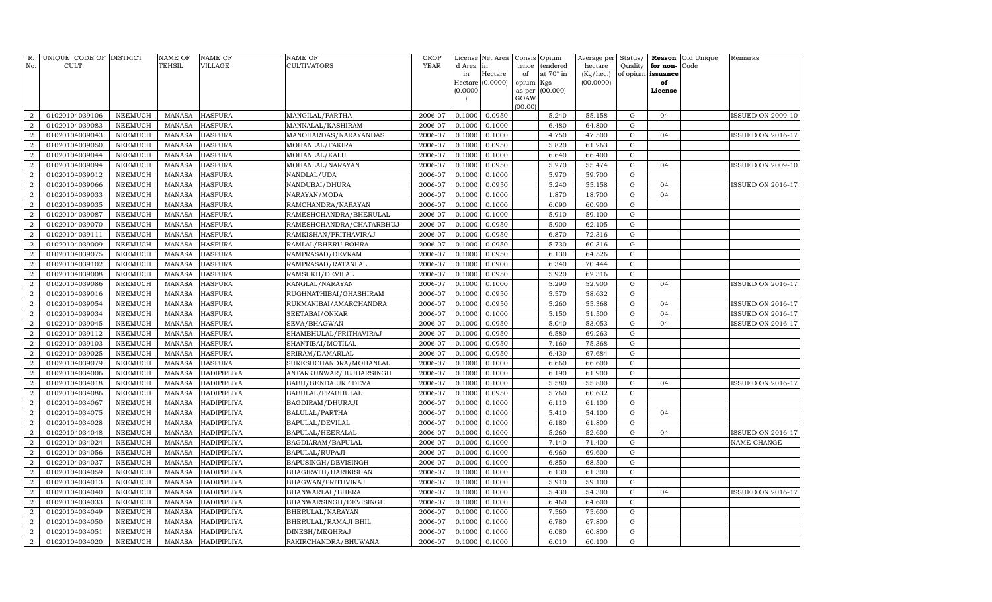| R.<br>No.        | UNIQUE CODE OF DISTRICT<br>CULT. |                | <b>NAME OF</b><br>TEHSIL | <b>NAME OF</b><br><b>VILLAGE</b> | NAME OF<br><b>CULTIVATORS</b> | <b>CROP</b><br><b>YEAR</b> | License<br>d Area | Net Area<br>in   | Consis<br>tence | Opium<br>tendered | Average per<br>hectare | Status/<br>Quality | Reason<br>for non- | Old Unique<br>Code | Remarks                  |
|------------------|----------------------------------|----------------|--------------------------|----------------------------------|-------------------------------|----------------------------|-------------------|------------------|-----------------|-------------------|------------------------|--------------------|--------------------|--------------------|--------------------------|
|                  |                                  |                |                          |                                  |                               |                            | in                | Hectare          | of              | at 70° in         | $(Kg/$ hec. $)$        |                    | of opium issuance  |                    |                          |
|                  |                                  |                |                          |                                  |                               |                            |                   | Hectare (0.0000) | opium           | Kgs               | (00.0000)              |                    | of                 |                    |                          |
|                  |                                  |                |                          |                                  |                               |                            | (0.0000)          |                  | as per<br>GOAW  | (00.000)          |                        |                    | License            |                    |                          |
|                  |                                  |                |                          |                                  |                               |                            |                   |                  | (00.00)         |                   |                        |                    |                    |                    |                          |
| $\overline{2}$   | 01020104039106                   | <b>NEEMUCH</b> | <b>MANASA</b>            | <b>HASPURA</b>                   | MANGILAL/PARTHA               | 2006-07                    | 0.1000            | 0.0950           |                 | 5.240             | 55.158                 | ${\rm G}$          | 04                 |                    | <b>ISSUED ON 2009-10</b> |
| $\overline{2}$   | 01020104039083                   | <b>NEEMUCH</b> | <b>MANASA</b>            | <b>HASPURA</b>                   | MANNALAL/KASHIRAM             | 2006-07                    | 0.1000            | 0.1000           |                 | 6.480             | 64.800                 | G                  |                    |                    |                          |
| $\overline{2}$   | 01020104039043                   | <b>NEEMUCH</b> | <b>MANASA</b>            | <b>HASPURA</b>                   | MANOHARDAS/NARAYANDAS         | 2006-07                    | 0.1000            | 0.1000           |                 | 4.750             | 47.500                 | ${\rm G}$          | 04                 |                    | ISSUED ON 2016-17        |
| $\overline{2}$   | 01020104039050                   | <b>NEEMUCH</b> | <b>MANASA</b>            | <b>HASPURA</b>                   | MOHANLAL/FAKIRA               | 2006-07                    | 0.1000            | 0.0950           |                 | 5.820             | 61.263                 | ${\rm G}$          |                    |                    |                          |
| $\overline{2}$   | 01020104039044                   | <b>NEEMUCH</b> | <b>MANASA</b>            | <b>HASPURA</b>                   | MOHANLAL/KALU                 | 2006-07                    | 0.1000            | 0.1000           |                 | 6.640             | 66.400                 | ${\rm G}$          |                    |                    |                          |
| $\overline{2}$   | 01020104039094                   | <b>NEEMUCH</b> | <b>MANASA</b>            | <b>HASPURA</b>                   | MOHANLAL/NARAYAN              | 2006-07                    | 0.1000            | 0.0950           |                 | 5.270             | 55.474                 | ${\rm G}$          | 04                 |                    | <b>ISSUED ON 2009-10</b> |
| $\overline{2}$   | 01020104039012                   | <b>NEEMUCH</b> | <b>MANASA</b>            | <b>HASPURA</b>                   | NANDLAL/UDA                   | 2006-07                    | 0.1000            | 0.1000           |                 | 5.970             | 59.700                 | $\mathbf G$        |                    |                    |                          |
| $\overline{2}$   | 01020104039066                   | <b>NEEMUCH</b> | <b>MANASA</b>            | <b>HASPURA</b>                   | NANDUBAI/DHURA                | 2006-07                    | 0.1000            | 0.0950           |                 | 5.240             | 55.158                 | ${\rm G}$          | 04                 |                    | ISSUED ON 2016-17        |
| $\overline{a}$   | 01020104039033                   | <b>NEEMUCH</b> | <b>MANASA</b>            | <b>HASPURA</b>                   | NARAYAN/MODA                  | 2006-07                    | 0.1000            | 0.1000           |                 | 1.870             | 18.700                 | ${\rm G}$          | 04                 |                    |                          |
| $\overline{2}$   | 01020104039035                   | <b>NEEMUCH</b> | <b>MANASA</b>            | <b>HASPURA</b>                   | RAMCHANDRA/NARAYAN            | 2006-07                    | 0.1000            | 0.1000           |                 | 6.090             | 60.900                 | ${\rm G}$          |                    |                    |                          |
| $\overline{2}$   | 01020104039087                   | <b>NEEMUCH</b> | <b>MANASA</b>            | <b>HASPURA</b>                   | RAMESHCHANDRA/BHERULAL        | 2006-07                    | 0.1000            | 0.1000           |                 | 5.910             | 59.100                 | ${\rm G}$          |                    |                    |                          |
| $\overline{2}$   | 01020104039070                   | <b>NEEMUCH</b> | <b>MANASA</b>            | <b>HASPURA</b>                   | RAMESHCHANDRA/CHATARBHUJ      | 2006-07                    | 0.1000            | 0.0950           |                 | 5.900             | 62.105                 | ${\rm G}$          |                    |                    |                          |
| $\overline{2}$   | 01020104039111                   | <b>NEEMUCH</b> | <b>MANASA</b>            | <b>HASPURA</b>                   | RAMKISHAN/PRITHAVIRAJ         | 2006-07                    | 0.1000            | 0.0950           |                 | 6.870             | 72.316                 | ${\rm G}$          |                    |                    |                          |
| $\overline{2}$   | 01020104039009                   | <b>NEEMUCH</b> | <b>MANASA</b>            | <b>HASPURA</b>                   | RAMLAL/BHERU BOHRA            | 2006-07                    | 0.1000            | 0.0950           |                 | 5.730             | 60.316                 | ${\rm G}$          |                    |                    |                          |
| $\overline{2}$   | 01020104039075                   | <b>NEEMUCH</b> | <b>MANASA</b>            | <b>HASPURA</b>                   | RAMPRASAD/DEVRAM              | 2006-07                    | 0.1000            | 0.0950           |                 | 6.130             | 64.526                 | ${\rm G}$          |                    |                    |                          |
| $\overline{2}$   | 01020104039102                   | <b>NEEMUCH</b> | <b>MANASA</b>            | <b>HASPURA</b>                   | RAMPRASAD/RATANLAL            | 2006-07                    | 0.1000            | 0.0900           |                 | 6.340             | 70.444                 | G                  |                    |                    |                          |
| $\overline{2}$   | 01020104039008                   | <b>NEEMUCH</b> | <b>MANASA</b>            | <b>HASPURA</b>                   | RAMSUKH/DEVILAL               | 2006-07                    | 0.1000            | 0.0950           |                 | 5.920             | 62.316                 | ${\bf G}$          |                    |                    |                          |
| $\overline{2}$   | 01020104039086                   | <b>NEEMUCH</b> | <b>MANASA</b>            | <b>HASPURA</b>                   | RANGLAL/NARAYAN               | 2006-07                    | 0.1000            | 0.1000           |                 | 5.290             | 52.900                 | ${\bf G}$          | 04                 |                    | ISSUED ON 2016-17        |
| $\overline{2}$   | 01020104039016                   | <b>NEEMUCH</b> | <b>MANASA</b>            | <b>HASPURA</b>                   | RUGHNATHIBAI/GHASHIRAM        | 2006-07                    | 0.1000            | 0.0950           |                 | 5.570             | 58.632                 | ${\bf G}$          |                    |                    |                          |
| $\overline{2}$   | 01020104039054                   | <b>NEEMUCH</b> | <b>MANASA</b>            | <b>HASPURA</b>                   | RUKMANIBAI/AMARCHANDRA        | 2006-07                    | 0.1000            | 0.0950           |                 | 5.260             | 55.368                 | ${\rm G}$          | 04                 |                    | ISSUED ON 2016-17        |
| $\overline{a}$   | 01020104039034                   | <b>NEEMUCH</b> | <b>MANASA</b>            | <b>HASPURA</b>                   | SEETABAI/ONKAR                | 2006-07                    | 0.1000            | 0.1000           |                 | 5.150             | 51.500                 | ${\bf G}$          | 04                 |                    | ISSUED ON 2016-17        |
| $\overline{a}$   | 01020104039045                   | <b>NEEMUCH</b> | <b>MANASA</b>            | <b>HASPURA</b>                   | SEVA/BHAGWAN                  | 2006-07                    | 0.1000            | 0.0950           |                 | 5.040             | 53.053                 | ${\rm G}$          | 04                 |                    | ISSUED ON 2016-17        |
| $\overline{2}$   | 01020104039112                   | <b>NEEMUCH</b> | <b>MANASA</b>            | <b>HASPURA</b>                   | SHAMBHULAL/PRITHAVIRAJ        | 2006-07                    | 0.1000            | 0.0950           |                 | 6.580             | 69.263                 | ${\rm G}$          |                    |                    |                          |
| $\overline{2}$   | 01020104039103                   | <b>NEEMUCH</b> | <b>MANASA</b>            | <b>HASPURA</b>                   | SHANTIBAI/MOTILAL             | 2006-07                    | 0.1000            | 0.0950           |                 | 7.160             | 75.368                 | ${\rm G}$          |                    |                    |                          |
| $\overline{2}$   | 01020104039025                   | <b>NEEMUCH</b> | <b>MANASA</b>            | <b>HASPURA</b>                   | SRIRAM/DAMARLAL               | 2006-07                    | 0.1000            | 0.0950           |                 | 6.430             | 67.684                 | ${\rm G}$          |                    |                    |                          |
| $\overline{2}$   | 01020104039079                   | <b>NEEMUCH</b> | <b>MANASA</b>            | <b>HASPURA</b>                   | SURESHCHANDRA/MOHANLAL        | 2006-07                    | 0.1000            | 0.1000           |                 | 6.660             | 66.600                 | G                  |                    |                    |                          |
| $\overline{2}$   | 01020104034006                   | <b>NEEMUCH</b> | <b>MANASA</b>            | HADIPIPLIYA                      | ANTARKUNWAR/JUJHARSINGH       | 2006-07                    | 0.1000            | 0.1000           |                 | 6.190             | 61.900                 | ${\bf G}$          |                    |                    |                          |
| $\overline{2}$   | 01020104034018                   | <b>NEEMUCH</b> | <b>MANASA</b>            | HADIPIPLIYA                      | BABU/GENDA URF DEVA           | 2006-07                    | 0.1000            | 0.1000           |                 | 5.580             | 55.800                 | ${\rm G}$          | 04                 |                    | <b>ISSUED ON 2016-17</b> |
| $\overline{2}$   | 01020104034086                   | <b>NEEMUCH</b> | <b>MANASA</b>            | HADIPIPLIYA                      | BABULAL/PRABHULAL             | 2006-07                    | 0.1000            | 0.0950           |                 | 5.760             | 60.632                 | $\mathbf G$        |                    |                    |                          |
| $\overline{2}$   | 01020104034067                   | <b>NEEMUCH</b> | <b>MANASA</b>            | HADIPIPLIYA                      | BAGDIRAM/DHURAJI              | 2006-07                    | 0.1000            | 0.1000           |                 | 6.110             | 61.100                 | ${\bf G}$          |                    |                    |                          |
| $\overline{2}$   | 01020104034075                   | <b>NEEMUCH</b> | <b>MANASA</b>            | HADIPIPLIYA                      | BALULAL/PARTHA                | 2006-07                    | 0.1000            | 0.1000           |                 | 5.410             | 54.100                 | ${\rm G}$          | 04                 |                    |                          |
| $\overline{2}$   | 01020104034028                   | <b>NEEMUCH</b> | <b>MANASA</b>            | HADIPIPLIYA                      | BAPULAL/DEVILAL               | 2006-07                    | 0.1000            | 0.1000           |                 | 6.180             | 61.800                 | ${\rm G}$          |                    |                    |                          |
| $\overline{2}$   | 01020104034048                   | <b>NEEMUCH</b> | <b>MANASA</b>            | HADIPIPLIYA                      | BAPULAL/HEERALAL              | 2006-07                    | 0.1000            | 0.1000           |                 | 5.260             | 52.600                 | ${\rm G}$          | 04                 |                    | <b>ISSUED ON 2016-17</b> |
| $\overline{2}$   | 01020104034024                   | <b>NEEMUCH</b> | <b>MANASA</b>            | HADIPIPLIYA                      | BAGDIARAM/BAPULAL             | 2006-07                    | 0.1000            | 0.1000           |                 | 7.140             | 71.400                 | ${\rm G}$          |                    |                    | NAME CHANGE              |
| 2                | 01020104034056                   | <b>NEEMUCH</b> | <b>MANASA</b>            | HADIPIPLIYA                      | BAPULAL/RUPAJI                | 2006-07                    | 0.1000            | 0.1000           |                 | 6.960             | 69.600                 | ${\rm G}$          |                    |                    |                          |
| $\overline{2}$   | 01020104034037                   | NEEMUCH        | <b>MANASA</b>            | HADIPIPLIYA                      | BAPUSINGH/DEVISINGH           | 2006-07                    | 0.1000            | 0.1000           |                 | 6.850             | 68.500                 | ${\rm G}$          |                    |                    |                          |
| 2                | 01020104034059                   | <b>NEEMUCH</b> | <b>MANASA</b>            | HADIPIPLIYA                      | BHAGIRATH/HARIKISHAN          | 2006-07                    | 0.1000            | 0.1000           |                 | 6.130             | 61.300                 | $\mathbf G$        |                    |                    |                          |
| $\overline{2}$   | 01020104034013                   | <b>NEEMUCH</b> | <b>MANASA</b>            | HADIPIPLIYA                      | BHAGWAN/PRITHVIRAJ            | 2006-07                    | 0.1000            | 0.1000           |                 | 5.910             | 59.100                 | $\mathbf G$        |                    |                    |                          |
| $\overline{2}$   | 01020104034040                   | <b>NEEMUCH</b> | <b>MANASA</b>            | <b>HADIPIPLIYA</b>               | BHANWARLAL/BHERA              | 2006-07                    | 0.1000            | 0.1000           |                 | 5.430             | 54.300                 | ${\rm G}$          | 04                 |                    | <b>ISSUED ON 2016-17</b> |
| $\overline{2}$   | 01020104034033                   | <b>NEEMUCH</b> | <b>MANASA</b>            | <b>HADIPIPLIYA</b>               | BHANWARSINGH/DEVISINGH        | 2006-07                    | 0.1000            | 0.1000           |                 | 6.460             | 64.600                 | ${\rm G}$          |                    |                    |                          |
| $\overline{2}$   | 01020104034049                   | <b>NEEMUCH</b> | <b>MANASA</b>            | HADIPIPLIYA                      | BHERULAL/NARAYAN              | 2006-07                    | 0.1000            | 0.1000           |                 | 7.560             | 75.600                 | ${\rm G}$          |                    |                    |                          |
| $\boldsymbol{2}$ | 01020104034050                   | <b>NEEMUCH</b> | <b>MANASA</b>            | <b>HADIPIPLIYA</b>               | BHERULAL/RAMAJI BHIL          | 2006-07                    | 0.1000            | 0.1000           |                 | 6.780             | 67.800                 | ${\rm G}$          |                    |                    |                          |
| $\overline{2}$   | 01020104034051                   | <b>NEEMUCH</b> | <b>MANASA</b>            | <b>HADIPIPLIYA</b>               | DINESH/MEGHRAJ                | 2006-07                    | 0.1000            | 0.1000           |                 | 6.080             | 60.800                 | ${\rm G}$          |                    |                    |                          |
| $\overline{2}$   | 01020104034020                   | <b>NEEMUCH</b> | <b>MANASA</b>            | HADIPIPLIYA                      | FAKIRCHANDRA/BHUWANA          | 2006-07                    | 0.1000            | 0.1000           |                 | 6.010             | 60.100                 | ${\rm G}$          |                    |                    |                          |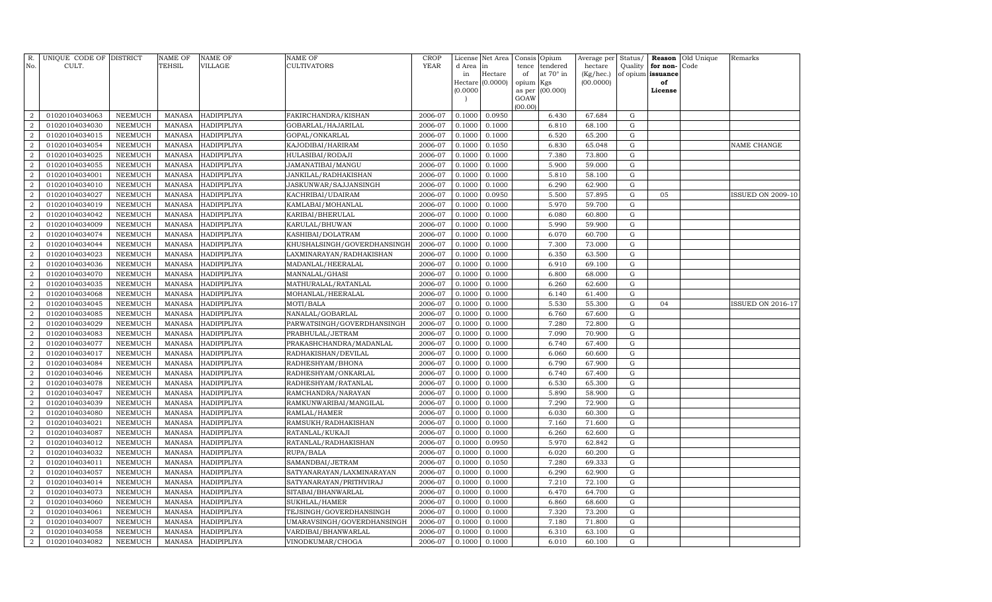| R.<br>No.      | UNIQUE CODE OF DISTRICT<br>CULT. |                | <b>NAME OF</b><br>TEHSIL | <b>NAME OF</b><br>VILLAGE | NAME OF<br>CULTIVATORS      | <b>CROP</b><br><b>YEAR</b> | d Area in | License Net Area | Consis<br>tence | Opium<br>tendered | Average per<br>hectare | Status/<br>Quality | for non-      | <b>Reason</b> Old Unique<br>Code | Remarks                  |
|----------------|----------------------------------|----------------|--------------------------|---------------------------|-----------------------------|----------------------------|-----------|------------------|-----------------|-------------------|------------------------|--------------------|---------------|----------------------------------|--------------------------|
|                |                                  |                |                          |                           |                             |                            | in        | Hectare          | of              | at 70° in         | (Kg/hec.)              | of opium           | issuance      |                                  |                          |
|                |                                  |                |                          |                           |                             |                            | (0.0000)  | Hectare (0.0000) | opium<br>as per | Kgs<br>(00.000)   | (00.0000)              |                    | of<br>License |                                  |                          |
|                |                                  |                |                          |                           |                             |                            |           |                  | GOAW            |                   |                        |                    |               |                                  |                          |
|                |                                  |                |                          |                           |                             |                            |           |                  | (00.00)         |                   |                        |                    |               |                                  |                          |
| $\overline{2}$ | 01020104034063                   | NEEMUCH        | <b>MANASA</b>            | HADIPIPLIYA               | FAKIRCHANDRA/KISHAN         | 2006-07                    | 0.1000    | 0.0950           |                 | 6.430             | 67.684                 | G                  |               |                                  |                          |
| $\overline{2}$ | 01020104034030                   | NEEMUCH        | <b>MANASA</b>            | HADIPIPLIYA               | GOBARLAL/HAJARILAL          | 2006-07                    | 0.1000    | 0.1000           |                 | 6.810             | 68.100                 | $\mathbf G$        |               |                                  |                          |
| $\overline{2}$ | 01020104034015                   | NEEMUCH        | MANASA                   | <b>HADIPIPLIYA</b>        | GOPAL/ONKARLAL              | 2006-07                    | 0.1000    | 0.1000           |                 | 6.520             | 65.200                 | G                  |               |                                  |                          |
| $\overline{2}$ | 01020104034054                   | NEEMUCH        | MANASA                   | <b>HADIPIPLIYA</b>        | KAJODIBAI/HARIRAM           | 2006-07                    | 0.1000    | 0.1050           |                 | 6.830             | 65.048                 | G                  |               |                                  | NAME CHANGE              |
| $\overline{2}$ | 01020104034025                   | <b>NEEMUCH</b> | <b>MANASA</b>            | HADIPIPLIYA               | HULASIBAI/RODAJI            | 2006-07                    | 0.1000    | 0.1000           |                 | 7.380             | 73.800                 | G                  |               |                                  |                          |
| $\overline{2}$ | 01020104034055                   | <b>NEEMUCH</b> | <b>MANASA</b>            | HADIPIPLIYA               | JAMANATIBAI/MANGU           | 2006-07                    | 0.1000    | 0.1000           |                 | 5.900             | 59.000                 | G                  |               |                                  |                          |
| 2              | 01020104034001                   | <b>NEEMUCH</b> | <b>MANASA</b>            | HADIPIPLIYA               | JANKILAL/RADHAKISHAN        | 2006-07                    | 0.1000    | 0.1000           |                 | 5.810             | 58.100                 | G                  |               |                                  |                          |
| $\overline{2}$ | 01020104034010                   | <b>NEEMUCH</b> | <b>MANASA</b>            | HADIPIPLIYA               | JASKUNWAR/SAJJANSINGH       | 2006-07                    | 0.1000    | 0.1000           |                 | 6.290             | 62.900                 | ${\rm G}$          |               |                                  |                          |
| $\overline{a}$ | 01020104034027                   | <b>NEEMUCH</b> | <b>MANASA</b>            | HADIPIPLIYA               | KACHRIBAI/UDAIRAM           | 2006-07                    | 0.1000    | 0.0950           |                 | 5.500             | 57.895                 | $\mathbf G$        | 05            |                                  | <b>ISSUED ON 2009-10</b> |
| $\overline{2}$ | 01020104034019                   | <b>NEEMUCH</b> | <b>MANASA</b>            | <b>HADIPIPLIYA</b>        | KAMLABAI/MOHANLAL           | 2006-07                    | 0.1000    | 0.1000           |                 | 5.970             | 59.700                 | $\mathbf G$        |               |                                  |                          |
| $\overline{a}$ | 01020104034042                   | NEEMUCH        | <b>MANASA</b>            | <b>HADIPIPLIYA</b>        | KARIBAI/BHERULAL            | 2006-07                    | 0.1000    | 0.1000           |                 | 6.080             | 60.800                 | G                  |               |                                  |                          |
| $\overline{a}$ | 01020104034009                   | NEEMUCH        | <b>MANASA</b>            | HADIPIPLIYA               | KARULAL/BHUWAN              | 2006-07                    | 0.1000    | 0.1000           |                 | 5.990             | 59.900                 | G                  |               |                                  |                          |
| $\overline{a}$ | 01020104034074                   | NEEMUCH        | <b>MANASA</b>            | HADIPIPLIYA               | KASHIBAI/DOLATRAM           | 2006-07                    | 0.1000    | 0.1000           |                 | 6.070             | 60.700                 | G                  |               |                                  |                          |
| $\overline{2}$ | 01020104034044                   | <b>NEEMUCH</b> | MANASA                   | <b>HADIPIPLIYA</b>        | KHUSHALSINGH/GOVERDHANSINGH | 2006-07                    | 0.1000    | 0.1000           |                 | 7.300             | 73.000                 | G                  |               |                                  |                          |
| 2              | 01020104034023                   | NEEMUCH        | <b>MANASA</b>            | HADIPIPLIYA               | LAXMINARAYAN/RADHAKISHAN    | 2006-07                    | 0.1000    | 0.1000           |                 | 6.350             | 63.500                 | G                  |               |                                  |                          |
| $\overline{2}$ | 01020104034036                   | <b>NEEMUCH</b> | <b>MANASA</b>            | HADIPIPLIYA               | MADANLAL/HEERALAL           | 2006-07                    | 0.1000    | 0.1000           |                 | 6.910             | 69.100                 | G                  |               |                                  |                          |
| 2              | 01020104034070                   | <b>NEEMUCH</b> | <b>MANASA</b>            | HADIPIPLIYA               | MANNALAL/GHASI              | 2006-07                    | 0.1000    | 0.1000           |                 | 6.800             | 68.000                 | G                  |               |                                  |                          |
| $\overline{2}$ | 01020104034035                   | <b>NEEMUCH</b> | <b>MANASA</b>            | HADIPIPLIYA               | MATHURALAL/RATANLAL         | 2006-07                    | 0.1000    | 0.1000           |                 | 6.260             | 62.600                 | ${\rm G}$          |               |                                  |                          |
| $\overline{a}$ | 01020104034068                   | NEEMUCH        | <b>MANASA</b>            | HADIPIPLIYA               | MOHANLAL/HEERALAL           | 2006-07                    | 0.1000    | 0.1000           |                 | 6.140             | 61.400                 | $\mathbf G$        |               |                                  |                          |
| $\overline{2}$ | 01020104034045                   | <b>NEEMUCH</b> | <b>MANASA</b>            | HADIPIPLIYA               | MOTI/BALA                   | 2006-07                    | 0.1000    | 0.1000           |                 | 5.530             | 55.300                 | $\mathbf G$        | 04            |                                  | <b>ISSUED ON 2016-17</b> |
| $\overline{2}$ | 01020104034085                   | NEEMUCH        | <b>MANASA</b>            | HADIPIPLIYA               | NANALAL/GOBARLAL            | 2006-07                    | 0.1000    | 0.1000           |                 | 6.760             | 67.600                 | ${\rm G}$          |               |                                  |                          |
| $\overline{2}$ | 01020104034029                   | NEEMUCH        | MANASA                   | <b>HADIPIPLIYA</b>        | PARWATSINGH/GOVERDHANSINGH  | 2006-07                    | 0.1000    | 0.1000           |                 | 7.280             | 72.800                 | G                  |               |                                  |                          |
| $\overline{2}$ | 01020104034083                   | NEEMUCH        | <b>MANASA</b>            | HADIPIPLIYA               | PRABHULAL/JETRAM            | 2006-07                    | 0.1000    | 0.1000           |                 | 7.090             | 70.900                 | ${\rm G}$          |               |                                  |                          |
| $\overline{2}$ | 01020104034077                   | NEEMUCH        | <b>MANASA</b>            | HADIPIPLIYA               | PRAKASHCHANDRA/MADANLAL     | 2006-07                    | 0.1000    | 0.1000           |                 | 6.740             | 67.400                 | G                  |               |                                  |                          |
| $\overline{2}$ | 01020104034017                   | NEEMUCH        | <b>MANASA</b>            | HADIPIPLIYA               | RADHAKISHAN/DEVILAL         | 2006-07                    | 0.1000    | 0.1000           |                 | 6.060             | 60.600                 | G                  |               |                                  |                          |
| $\overline{2}$ | 01020104034084                   | <b>NEEMUCH</b> | <b>MANASA</b>            | HADIPIPLIYA               | RADHESHYAM/BHONA            | 2006-07                    | 0.1000    | 0.1000           |                 | 6.790             | 67.900                 | G                  |               |                                  |                          |
| $\overline{2}$ | 01020104034046                   | NEEMUCH        | <b>MANASA</b>            | HADIPIPLIYA               | RADHESHYAM/ONKARLAL         | 2006-07                    | 0.1000    | 0.1000           |                 | 6.740             | 67.400                 | $\mathbf G$        |               |                                  |                          |
| $\overline{2}$ | 01020104034078                   | <b>NEEMUCH</b> | <b>MANASA</b>            | HADIPIPLIYA               | RADHESHYAM/RATANLAL         | 2006-07                    | 0.1000    | 0.1000           |                 | 6.530             | 65.300                 | $\mathbf G$        |               |                                  |                          |
| $\overline{a}$ | 01020104034047                   | <b>NEEMUCH</b> | <b>MANASA</b>            | <b>HADIPIPLIYA</b>        | RAMCHANDRA/NARAYAN          | 2006-07                    | 0.1000    | 0.1000           |                 | 5.890             | 58.900                 | ${\rm G}$          |               |                                  |                          |
| $\overline{a}$ | 01020104034039                   | <b>NEEMUCH</b> | <b>MANASA</b>            | HADIPIPLIYA               | RAMKUNWARIBAI/MANGILAL      | 2006-07                    | 0.1000    | 0.1000           |                 | 7.290             | 72.900                 | $\mathbf G$        |               |                                  |                          |
| $\overline{2}$ | 01020104034080                   | <b>NEEMUCH</b> | <b>MANASA</b>            | HADIPIPLIYA               | RAMLAL/HAMER                | 2006-07                    | 0.1000    | 0.1000           |                 | 6.030             | 60.300                 | $\mathbf G$        |               |                                  |                          |
| $\overline{2}$ | 01020104034021                   | <b>NEEMUCH</b> | <b>MANASA</b>            | <b>HADIPIPLIYA</b>        | RAMSUKH/RADHAKISHAN         | 2006-07                    | 0.1000    | 0.1000           |                 | 7.160             | 71.600                 | G                  |               |                                  |                          |
| $\overline{a}$ | 01020104034087                   | <b>NEEMUCH</b> | <b>MANASA</b>            | HADIPIPLIYA               | RATANLAL/KUKAJI             | 2006-07                    | 0.1000    | 0.1000           |                 | 6.260             | 62.600                 | G                  |               |                                  |                          |
| $\overline{a}$ | 01020104034012                   | <b>NEEMUCH</b> | <b>MANASA</b>            | <b>HADIPIPLIYA</b>        | RATANLAL/RADHAKISHAN        | 2006-07                    | 0.1000    | 0.0950           |                 | 5.970             | 62.842                 | G                  |               |                                  |                          |
| $\overline{2}$ | 01020104034032                   | <b>NEEMUCH</b> | <b>MANASA</b>            | <b>HADIPIPLIYA</b>        | RUPA/BALA                   | 2006-07                    | 0.1000    | 0.1000           |                 | 6.020             | 60.200                 | G                  |               |                                  |                          |
| $\overline{2}$ | 01020104034011                   | <b>NEEMUCH</b> | MANASA                   | HADIPIPLIYA               | SAMANDBAI/JETRAM            | 2006-07                    | 0.1000    | 0.1050           |                 | 7.280             | 69.333                 | G                  |               |                                  |                          |
| $\overline{2}$ | 01020104034057                   | <b>NEEMUCH</b> | MANASA                   | HADIPIPLIYA               | SATYANARAYAN/LAXMINARAYAN   | 2006-07                    | 0.1000    | 0.1000           |                 | 6.290             | 62.900                 | $\mathbf G$        |               |                                  |                          |
| $\overline{2}$ | 01020104034014                   | <b>NEEMUCH</b> | <b>MANASA</b>            | HADIPIPLIYA               | SATYANARAYAN/PRITHVIRAJ     | 2006-07                    | 0.1000    | 0.1000           |                 | 7.210             | 72.100                 | $\mathbf G$        |               |                                  |                          |
| $\overline{2}$ | 01020104034073                   | <b>NEEMUCH</b> | <b>MANASA</b>            | HADIPIPLIYA               | SITABAI/BHANWARLAL          | 2006-07                    | 0.1000    | 0.1000           |                 | 6.470             | 64.700                 | ${\rm G}$          |               |                                  |                          |
| $\overline{2}$ | 01020104034060                   | <b>NEEMUCH</b> | MANASA                   | <b>HADIPIPLIYA</b>        | SUKHLAL/HAMER               | 2006-07                    | 0.1000    | 0.1000           |                 | 6.860             | 68.600                 | G                  |               |                                  |                          |
| $\overline{2}$ | 01020104034061                   | <b>NEEMUCH</b> | <b>MANASA</b>            | HADIPIPLIYA               | TEJSINGH/GOVERDHANSINGH     | 2006-07                    | 0.1000    | 0.1000           |                 | 7.320             | 73.200                 | $\mathbf G$        |               |                                  |                          |
| $\overline{a}$ | 01020104034007                   | <b>NEEMUCH</b> | <b>MANASA</b>            | <b>HADIPIPLIYA</b>        | UMARAVSINGH/GOVERDHANSINGH  | 2006-07                    | 0.1000    | 0.1000           |                 | 7.180             | 71.800                 | G                  |               |                                  |                          |
| $\overline{2}$ | 01020104034058                   | <b>NEEMUCH</b> | <b>MANASA</b>            | HADIPIPLIYA               | VARDIBAI/BHANWARLAL         | 2006-07                    | 0.1000    | 0.1000           |                 | 6.310             | 63.100                 | G                  |               |                                  |                          |
| $\overline{a}$ | 01020104034082                   | <b>NEEMUCH</b> | MANASA                   | HADIPIPLIYA               | VINODKUMAR/CHOGA            | 2006-07                    | 0.1000    | 0.1000           |                 | 6.010             | 60.100                 | G                  |               |                                  |                          |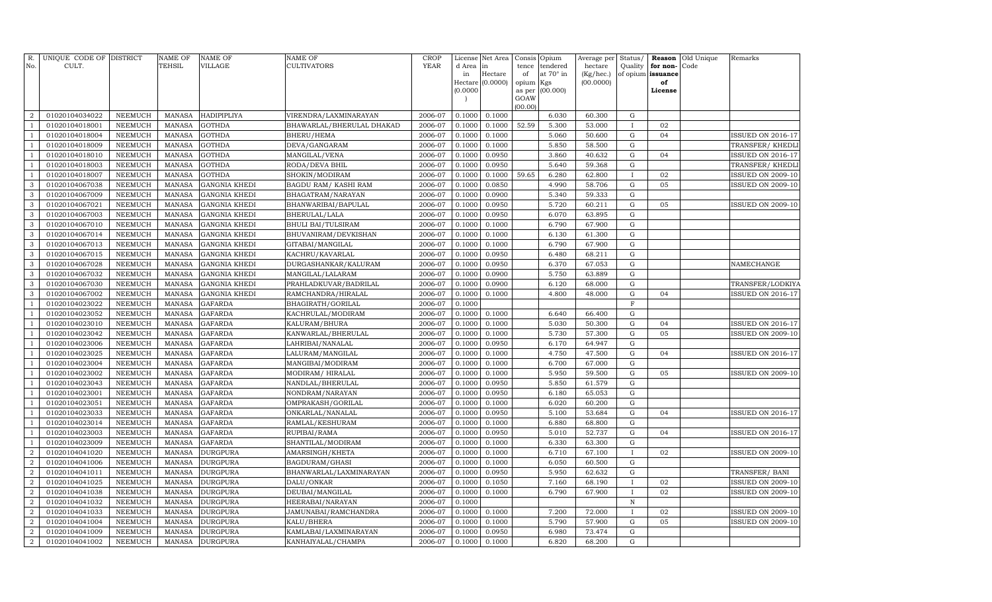| R.<br>No.                      | UNIQUE CODE OF DISTRICT<br>CULT. |                                  | <b>NAME OF</b><br>TEHSIL       | NAME OF<br><b>VILLAGE</b>        | <b>NAME OF</b><br><b>CULTIVATORS</b> | <b>CROP</b><br>YEAR | License<br>d Area | Net Area<br>in   | Consis<br>tence | Opium<br>tendered | Average per<br>hectare | Status/<br>Quality         | Reason<br>for non- | Old Unique<br>Code | Remarks                  |
|--------------------------------|----------------------------------|----------------------------------|--------------------------------|----------------------------------|--------------------------------------|---------------------|-------------------|------------------|-----------------|-------------------|------------------------|----------------------------|--------------------|--------------------|--------------------------|
|                                |                                  |                                  |                                |                                  |                                      |                     | in                | Hectare          | of              | at 70° in         | (Kg/hec.)              |                            | of opium issuance  |                    |                          |
|                                |                                  |                                  |                                |                                  |                                      |                     |                   | Hectare (0.0000) | opium Kgs       |                   | (00.0000)              |                            | of                 |                    |                          |
|                                |                                  |                                  |                                |                                  |                                      |                     | (0.0000)          |                  | as per          | (00.000)          |                        |                            | License            |                    |                          |
|                                |                                  |                                  |                                |                                  |                                      |                     |                   |                  | GOAW<br>(00.00) |                   |                        |                            |                    |                    |                          |
| $\overline{2}$                 | 01020104034022                   | <b>NEEMUCH</b>                   | <b>MANASA</b>                  | <b>HADIPIPLIYA</b>               | VIRENDRA/LAXMINARAYAN                | 2006-07             | 0.1000            | 0.1000           |                 | 6.030             | 60.300                 | ${\rm G}$                  |                    |                    |                          |
| $\mathbf{1}$                   | 01020104018001                   | <b>NEEMUCH</b>                   | <b>MANASA</b>                  | <b>GOTHDA</b>                    | BHAWARLAL/BHERULAL DHAKAD            | 2006-07             | 0.1000            | 0.1000           | 52.59           | 5.300             | 53.000                 | $\mathbf{I}$               | 02                 |                    |                          |
| $\mathbf{1}$                   | 01020104018004                   | <b>NEEMUCH</b>                   | <b>MANASA</b>                  | <b>GOTHDA</b>                    | BHERU/HEMA                           | 2006-07             | 0.1000            | 0.1000           |                 | 5.060             | 50.600                 | ${\rm G}$                  | 04                 |                    | <b>ISSUED ON 2016-17</b> |
| $\mathbf{1}$                   | 01020104018009                   | <b>NEEMUCH</b>                   | <b>MANASA</b>                  | <b>GOTHDA</b>                    | DEVA/GANGARAM                        | 2006-07             | 0.1000            | 0.1000           |                 | 5.850             | 58.500                 | ${\rm G}$                  |                    |                    | TRANSFER/KHEDLI          |
| $\mathbf{1}$                   | 01020104018010                   | <b>NEEMUCH</b>                   | <b>MANASA</b>                  | <b>GOTHDA</b>                    | MANGILAL/VENA                        | 2006-07             | 0.1000            | 0.0950           |                 | 3.860             | 40.632                 | ${\bf G}$                  | 04                 |                    | <b>ISSUED ON 2016-17</b> |
| $\mathbf{1}$                   | 01020104018003                   | <b>NEEMUCH</b>                   | <b>MANASA</b>                  | <b>GOTHDA</b>                    | RODA/DEVA BHIL                       | 2006-07             | 0.1000            | 0.0950           |                 | 5.640             | 59.368                 | ${\rm G}$                  |                    |                    | TRANSFER/KHEDLI          |
| $\mathbf{1}$                   | 01020104018007                   | <b>NEEMUCH</b>                   | <b>MANASA</b>                  | <b>GOTHDA</b>                    | SHOKIN/MODIRAM                       | 2006-07             | 0.1000            | 0.1000           | 59.65           | 6.280             | 62.800                 | $\mathbf{I}$               | 02                 |                    | <b>ISSUED ON 2009-10</b> |
| 3                              | 01020104067038                   | <b>NEEMUCH</b>                   | <b>MANASA</b>                  | <b>GANGNIA KHEDI</b>             | <b>BAGDU RAM/ KASHI RAM</b>          | 2006-07             | 0.1000            | 0.0850           |                 | 4.990             | 58.706                 | ${\rm G}$                  | 05                 |                    | <b>ISSUED ON 2009-10</b> |
| 3                              | 01020104067009                   | <b>NEEMUCH</b>                   | <b>MANASA</b>                  | <b>GANGNIA KHEDI</b>             | BHAGATRAM/NARAYAN                    | 2006-07             | 0.1000            | 0.0900           |                 | 5.340             | 59.333                 | ${\bf G}$                  |                    |                    |                          |
| $\mathbf{3}$                   | 01020104067021                   | <b>NEEMUCH</b>                   | <b>MANASA</b>                  | <b>GANGNIA KHEDI</b>             | BHANWARIBAI/BAPULAL                  | 2006-07             | 0.1000            | 0.0950           |                 | 5.720             | 60.211                 | ${\rm G}$                  | 05                 |                    | <b>ISSUED ON 2009-10</b> |
| $\mathbf{3}$                   | 01020104067003                   | <b>NEEMUCH</b>                   | <b>MANASA</b>                  | <b>GANGNIA KHEDI</b>             | BHERULAL/LALA                        | 2006-07             | 0.1000            | 0.0950           |                 | 6.070             | 63.895                 | ${\rm G}$                  |                    |                    |                          |
| 3                              | 01020104067010                   | <b>NEEMUCH</b>                   | <b>MANASA</b>                  | <b>GANGNIA KHEDI</b>             | <b>BHULI BAI/TULSIRAM</b>            | 2006-07             | 0.1000            | 0.1000           |                 | 6.790             | 67.900                 | $\mathbf G$                |                    |                    |                          |
| 3                              | 01020104067014                   | NEEMUCH                          | <b>MANASA</b>                  | <b>GANGNIA KHEDI</b>             | BHUVANIRAM/DEVKISHAN                 | 2006-07             | 0.1000            | 0.1000           |                 | 6.130             | 61.300                 | $\mathbf G$                |                    |                    |                          |
| 3                              | 01020104067013                   | <b>NEEMUCH</b>                   | <b>MANASA</b>                  | <b>GANGNIA KHEDI</b>             | GITABAI/MANGILAL                     | 2006-07             | 0.1000            | 0.1000           |                 | 6.790             | 67.900                 | ${\rm G}$                  |                    |                    |                          |
| 3                              | 01020104067015                   | NEEMUCH                          | <b>MANASA</b>                  | <b>GANGNIA KHEDI</b>             | KACHRU/KAVARLAL                      | 2006-07             | 0.1000            | 0.0950           |                 | 6.480             | 68.211                 | ${\bf G}$                  |                    |                    |                          |
| 3                              | 01020104067028                   | <b>NEEMUCH</b>                   | <b>MANASA</b>                  | <b>GANGNIA KHEDI</b>             | DURGASHANKAR/KALURAM                 | 2006-07             | 0.1000            | 0.0950           |                 | 6.370             | 67.053                 | ${\bf G}$                  |                    |                    | NAMECHANGE               |
| 3                              | 01020104067032                   | <b>NEEMUCH</b>                   | <b>MANASA</b>                  | <b>GANGNIA KHEDI</b>             | MANGILAL/LALARAM                     | 2006-07             | 0.1000            | 0.0900           |                 | 5.750             | 63.889                 | ${\bf G}$                  |                    |                    |                          |
| 3                              | 01020104067030                   | <b>NEEMUCH</b>                   | <b>MANASA</b>                  | <b>GANGNIA KHEDI</b>             | PRAHLADKUVAR/BADRILAL                | 2006-07             | 0.1000            | 0.0900           |                 | 6.120             | 68.000                 | ${\bf G}$                  |                    |                    | TRANSFER/LODKIYA         |
| 3                              | 01020104067002                   | <b>NEEMUCH</b>                   | <b>MANASA</b>                  | <b>GANGNIA KHEDI</b>             | RAMCHANDRA/HIRALAL                   | 2006-07             | 0.1000            | 0.1000           |                 | 4.800             | 48.000                 | ${\bf G}$                  | 04                 |                    | <b>ISSUED ON 2016-17</b> |
| $\mathbf{1}$                   | 01020104023022                   | <b>NEEMUCH</b>                   | <b>MANASA</b>                  | <b>GAFARDA</b>                   | BHAGIRATH/GORILAL                    | 2006-07             | 0.1000            |                  |                 |                   |                        | $\mathbf F$                |                    |                    |                          |
| $\overline{1}$                 | 01020104023052                   | <b>NEEMUCH</b>                   | <b>MANASA</b>                  | <b>GAFARDA</b>                   | KACHRULAL/MODIRAM                    | 2006-07             | 0.1000            | 0.1000           |                 | 6.640             | 66.400                 | $\mathbf G$                |                    |                    |                          |
|                                | 01020104023010                   | <b>NEEMUCH</b>                   | <b>MANASA</b>                  | <b>GAFARDA</b>                   | KALURAM/BHURA                        | 2006-07             | 0.1000            | 0.1000           |                 | 5.030             | 50.300                 | ${\bf G}$                  | 04                 |                    | ISSUED ON 2016-17        |
| $\mathbf{1}$                   | 01020104023042                   | NEEMUCH                          | <b>MANASA</b>                  | <b>GAFARDA</b>                   | KANWARLAL/BHERULAL                   | 2006-07             | 0.1000            | 0.1000           |                 | 5.730             | 57.300                 | ${\bf G}$                  | 05                 |                    | <b>ISSUED ON 2009-10</b> |
| $\overline{1}$                 | 01020104023006                   | <b>NEEMUCH</b>                   | <b>MANASA</b>                  | <b>GAFARDA</b>                   | LAHRIBAI/NANALAL                     | 2006-07             | 0.1000            | 0.0950           |                 | 6.170             | 64.947                 | ${\bf G}$                  |                    |                    |                          |
|                                | 01020104023025                   | NEEMUCH                          | MANASA                         | <b>GAFARDA</b>                   | LALURAM/MANGILAL                     | 2006-07             | 0.1000            | 0.1000           |                 | 4.750             | 47.500                 | ${\bf G}$                  | 04                 |                    | ISSUED ON 2016-17        |
| 1                              | 01020104023004                   | <b>NEEMUCH</b>                   | <b>MANASA</b>                  | <b>GAFARDA</b>                   | MANGIBAI/MODIRAM                     | 2006-07             | 0.1000            | 0.1000           |                 | 6.700             | 67.000                 | ${\rm G}$                  |                    |                    |                          |
| $\overline{1}$                 | 01020104023002                   | NEEMUCH                          | <b>MANASA</b>                  | <b>GAFARDA</b>                   | MODIRAM/HIRALAL                      | 2006-07             | 0.1000            | 0.1000           |                 | 5.950             | 59.500                 | ${\bf G}$                  | 05                 |                    | <b>ISSUED ON 2009-10</b> |
|                                | 01020104023043                   | NEEMUCH                          | <b>MANASA</b>                  | GAFARDA                          | NANDLAL/BHERULAL                     | 2006-07             | 0.1000            | 0.0950           |                 | 5.850             | 61.579                 | G                          |                    |                    |                          |
|                                | 01020104023001                   | NEEMUCH                          | <b>MANASA</b>                  | GAFARDA                          | NONDRAM/NARAYAN                      | 2006-07             | 0.1000            | 0.0950           |                 | 6.180             | 65.053                 | $\mathbf G$                |                    |                    |                          |
|                                | 01020104023051                   | NEEMUCH                          | <b>MANASA</b>                  | <b>GAFARDA</b>                   | OMPRAKASH/GORILAL                    | 2006-07             | 0.1000            | 0.1000           |                 | 6.020             | 60.200                 | $\mathbf G$<br>$\mathbf G$ |                    |                    |                          |
| $\mathbf{1}$<br>$\overline{1}$ | 01020104023033                   | <b>NEEMUCH</b><br><b>NEEMUCH</b> | <b>MANASA</b><br><b>MANASA</b> | <b>GAFARDA</b><br><b>GAFARDA</b> | ONKARLAL/NANALAL                     | 2006-07<br>2006-07  | 0.1000<br>0.1000  | 0.0950<br>0.1000 |                 | 5.100<br>6.880    | 53.684<br>68.800       | $\mathbf G$                | 04                 |                    | <b>ISSUED ON 2016-17</b> |
|                                | 01020104023014<br>01020104023003 |                                  |                                |                                  | RAMLAL/KESHURAM                      | 2006-07             | 0.1000            |                  |                 | 5.010             | 52.737                 | $\mathbf G$                | 04                 |                    | <b>ISSUED ON 2016-17</b> |
| -1                             | 01020104023009                   | <b>NEEMUCH</b><br><b>NEEMUCH</b> | <b>MANASA</b><br><b>MANASA</b> | <b>GAFARDA</b><br><b>GAFARDA</b> | RUPIBAI/RAMA                         | 2006-07             | 0.1000            | 0.0950<br>0.1000 |                 | 6.330             | 63.300                 | ${\bf G}$                  |                    |                    |                          |
| $\overline{2}$                 | 01020104041020                   | <b>NEEMUCH</b>                   | <b>MANASA</b>                  | <b>DURGPURA</b>                  | SHANTILAL/MODIRAM<br>AMARSINGH/KHETA | 2006-07             | 0.1000            | 0.1000           |                 | 6.710             | 67.100                 | $\mathbf{I}$               | 02                 |                    | <b>ISSUED ON 2009-10</b> |
| $\overline{2}$                 | 01020104041006                   | <b>NEEMUCH</b>                   | <b>MANASA</b>                  | DURGPURA                         | BAGDURAM/GHASI                       | 2006-07             | 0.1000            | 0.1000           |                 | 6.050             | 60.500                 | G                          |                    |                    |                          |
| $\overline{2}$                 | 01020104041011                   | <b>NEEMUCH</b>                   | <b>MANASA</b>                  | DURGPURA                         | BHANWARLAL/LAXMINARAYAN              | 2006-07             | 0.1000            | 0.0950           |                 | 5.950             | 62.632                 | ${\bf G}$                  |                    |                    | TRANSFER/BANI            |
| $\overline{2}$                 | 01020104041025                   | <b>NEEMUCH</b>                   | <b>MANASA</b>                  | DURGPURA                         | DALU/ONKAR                           | 2006-07             | 0.1000            | 0.1050           |                 | 7.160             | 68.190                 |                            | 02                 |                    | <b>ISSUED ON 2009-10</b> |
| $\overline{2}$                 | 01020104041038                   | <b>NEEMUCH</b>                   | <b>MANASA</b>                  | DURGPURA                         | DEUBAI/MANGILAL                      | 2006-07             | 0.1000            | 0.1000           |                 | 6.790             | 67.900                 |                            | 02                 |                    | <b>ISSUED ON 2009-10</b> |
| $\overline{2}$                 | 01020104041032                   | <b>NEEMUCH</b>                   | <b>MANASA</b>                  | DURGPURA                         | HEERABAI/NARAYAN                     | 2006-07             | 0.1000            |                  |                 |                   |                        | $\, {\bf N}$               |                    |                    |                          |
| $\overline{2}$                 | 01020104041033                   | <b>NEEMUCH</b>                   | <b>MANASA</b>                  | DURGPURA                         | JAMUNABAI/RAMCHANDRA                 | 2006-07             | 0.1000            | 0.1000           |                 | 7.200             | 72.000                 |                            | 02                 |                    | <b>ISSUED ON 2009-10</b> |
| $\boldsymbol{2}$               | 01020104041004                   | <b>NEEMUCH</b>                   | <b>MANASA</b>                  | DURGPURA                         | KALU/BHERA                           | 2006-07             | 0.1000            | 0.1000           |                 | 5.790             | 57.900                 | ${\rm G}$                  | 05                 |                    | <b>ISSUED ON 2009-10</b> |
| $\overline{2}$                 | 01020104041009                   | <b>NEEMUCH</b>                   | <b>MANASA</b>                  | DURGPURA                         | KAMLABAI/LAXMINARAYAN                | 2006-07             | 0.1000            | 0.0950           |                 | 6.980             | 73.474                 | G                          |                    |                    |                          |
| $\overline{a}$                 | 01020104041002                   | <b>NEEMUCH</b>                   | <b>MANASA</b>                  | <b>DURGPURA</b>                  | KANHAIYALAL/CHAMPA                   | 2006-07             | 0.1000            | 0.1000           |                 | 6.820             | 68.200                 | G                          |                    |                    |                          |
|                                |                                  |                                  |                                |                                  |                                      |                     |                   |                  |                 |                   |                        |                            |                    |                    |                          |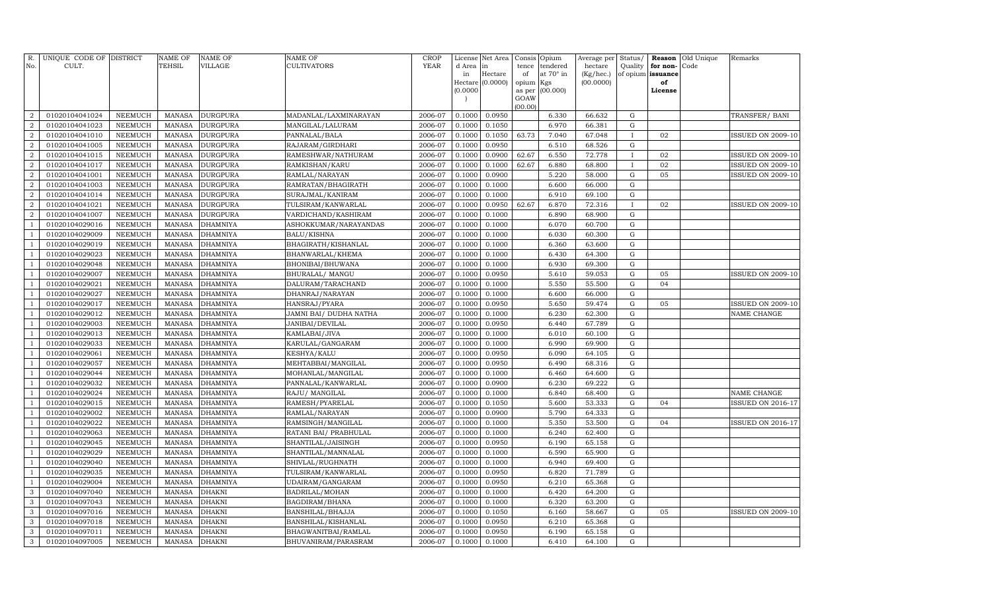| R.<br>No.                    | UNIQUE CODE OF DISTRICT<br>CULT. |                    | <b>NAME OF</b><br>TEHSIL       | NAME OF<br><b>VILLAGE</b>          | NAME OF<br>CULTIVATORS                  | <b>CROP</b><br><b>YEAR</b> | License<br>d Area<br>in<br>Hectare<br>(0.0000) | Net Area<br>in<br>Hectare<br>(0.0000) | Consis<br>tence<br>of<br>opium<br>as per | Opium<br>tendered<br>at 70° in<br>Kgs<br>(00.000) | Average per<br>hectare<br>(Kg/hec.)<br>(00.0000) | Status/<br>Quality<br>of opium | Reason<br>for non-<br>issuance<br>of<br>License | Old Unique<br>Code | Remarks                  |
|------------------------------|----------------------------------|--------------------|--------------------------------|------------------------------------|-----------------------------------------|----------------------------|------------------------------------------------|---------------------------------------|------------------------------------------|---------------------------------------------------|--------------------------------------------------|--------------------------------|-------------------------------------------------|--------------------|--------------------------|
|                              |                                  |                    |                                |                                    |                                         |                            |                                                |                                       | GOAW<br>(00.00)                          |                                                   |                                                  |                                |                                                 |                    |                          |
| $\overline{2}$               | 01020104041024                   | <b>NEEMUCH</b>     | <b>MANASA</b>                  | <b>DURGPURA</b>                    | MADANLAL/LAXMINARAYAN                   | 2006-07                    | 0.1000                                         | 0.0950                                |                                          | 6.330                                             | 66.632                                           | $\mathbf G$                    |                                                 |                    | TRANSFER/ BANI           |
| $\overline{2}$               | 01020104041023                   | <b>NEEMUCH</b>     | <b>MANASA</b>                  | <b>DURGPURA</b>                    | MANGILAL/LALURAM                        | 2006-07                    | 0.1000                                         | 0.1050                                |                                          | 6.970                                             | 66.381                                           | G                              |                                                 |                    |                          |
| $\overline{2}$               | 01020104041010                   | <b>NEEMUCH</b>     | <b>MANASA</b>                  | <b>DURGPURA</b>                    | PANNALAL/BALA                           | 2006-07                    | 0.1000                                         | 0.1050                                | 63.73                                    | 7.040                                             | 67.048                                           | $\mathbf{I}$                   | 02                                              |                    | <b>ISSUED ON 2009-10</b> |
| $\overline{2}$               | 01020104041005                   | <b>NEEMUCH</b>     | <b>MANASA</b>                  | <b>DURGPURA</b>                    | RAJARAM/GIRDHARI                        | 2006-07                    | 0.1000                                         | 0.0950                                |                                          | 6.510                                             | 68.526                                           | G                              |                                                 |                    |                          |
| 2                            | 01020104041015                   | <b>NEEMUCH</b>     | <b>MANASA</b>                  | <b>DURGPURA</b>                    | RAMESHWAR/NATHURAM                      | 2006-07                    | 0.1000                                         | 0.0900                                | 62.67                                    | 6.550                                             | 72.778                                           | $\mathbf{I}$                   | 02                                              |                    | <b>ISSUED ON 2009-10</b> |
| $\overline{2}$               | 01020104041017                   | <b>NEEMUCH</b>     | <b>MANASA</b>                  | <b>DURGPURA</b>                    | RAMKISHAN/KARU                          | 2006-07                    | 0.1000                                         | 0.1000                                | 62.67                                    | 6.880                                             | 68.800                                           | $\bf{I}$                       | 02                                              |                    | <b>ISSUED ON 2009-10</b> |
| 2                            | 01020104041001                   | <b>NEEMUCH</b>     | <b>MANASA</b>                  | <b>DURGPURA</b>                    | RAMLAL/NARAYAN                          | 2006-07                    | 0.1000                                         | 0.0900                                |                                          | 5.220                                             | 58.000                                           | G                              | 05                                              |                    | <b>ISSUED ON 2009-10</b> |
| $\overline{2}$               | 01020104041003                   | <b>NEEMUCH</b>     | <b>MANASA</b>                  | <b>DURGPURA</b>                    | RAMRATAN/BHAGIRATH                      | 2006-07                    | 0.1000                                         | 0.1000                                |                                          | 6.600                                             | 66.000                                           | $\mathbf G$                    |                                                 |                    |                          |
| $\overline{a}$               | 01020104041014                   | <b>NEEMUCH</b>     | MANASA                         | <b>DURGPURA</b>                    | SURAJMAL/KANIRAM                        | 2006-07                    | 0.1000                                         | 0.1000                                |                                          | 6.910                                             | 69.100                                           | ${\rm G}$                      |                                                 |                    |                          |
| $\overline{2}$               | 01020104041021                   | <b>NEEMUCH</b>     | <b>MANASA</b>                  | <b>DURGPURA</b>                    | TULSIRAM/KANWARLAL                      | 2006-07                    | 0.1000                                         | 0.0950                                | 62.67                                    | 6.870                                             | 72.316                                           | $\mathbf{I}$                   | 02                                              |                    | <b>ISSUED ON 2009-10</b> |
| $\overline{a}$               | 01020104041007                   | <b>NEEMUCH</b>     | <b>MANASA</b>                  | <b>DURGPURA</b>                    | VARDICHAND/KASHIRAM                     | 2006-07                    | 0.1000                                         | 0.1000                                |                                          | 6.890                                             | 68.900                                           | ${\rm G}$                      |                                                 |                    |                          |
| $\mathbf{1}$<br>$\mathbf{1}$ | 01020104029016                   | NEEMUCH            | <b>MANASA</b>                  | <b>DHAMNIYA</b>                    | ASHOKKUMAR/NARAYANDAS                   | 2006-07                    | 0.1000                                         | 0.1000                                |                                          | 6.070                                             | 60.700                                           | G                              |                                                 |                    |                          |
| $\mathbf{1}$                 | 01020104029009<br>01020104029019 | NEEMUCH<br>NEEMUCH | <b>MANASA</b><br><b>MANASA</b> | <b>DHAMNIYA</b><br><b>DHAMNIYA</b> | BALU/KISHNA                             | 2006-07<br>2006-07         | 0.1000<br>0.1000                               | 0.1000                                |                                          | 6.030                                             | 60.300                                           | G<br>G                         |                                                 |                    |                          |
| $\mathbf{1}$                 | 01020104029023                   | NEEMUCH            | <b>MANASA</b>                  | <b>DHAMNIYA</b>                    | BHAGIRATH/KISHANLAL<br>BHANWARLAL/KHEMA | 2006-07                    | 0.1000                                         | 0.1000<br>0.1000                      |                                          | 6.360<br>6.430                                    | 63.600<br>64.300                                 | G                              |                                                 |                    |                          |
| $\mathbf{1}$                 | 01020104029048                   | <b>NEEMUCH</b>     | <b>MANASA</b>                  | <b>DHAMNIYA</b>                    | BHONIBAI/BHUWANA                        | 2006-07                    | 0.1000                                         | 0.1000                                |                                          | 6.930                                             | 69.300                                           | G                              |                                                 |                    |                          |
| $\overline{1}$               | 01020104029007                   | NEEMUCH            | <b>MANASA</b>                  | <b>DHAMNIYA</b>                    | BHURALAL/ MANGU                         | 2006-07                    | 0.1000                                         | 0.0950                                |                                          | 5.610                                             | 59.053                                           | G                              | 05                                              |                    | <b>ISSUED ON 2009-10</b> |
| $\mathbf{1}$                 | 01020104029021                   | <b>NEEMUCH</b>     | <b>MANASA</b>                  | <b>DHAMNIYA</b>                    | DALURAM/TARACHAND                       | 2006-07                    | 0.1000                                         | 0.1000                                |                                          | 5.550                                             | 55.500                                           | ${\rm G}$                      | 04                                              |                    |                          |
| $\mathbf{1}$                 | 01020104029027                   | <b>NEEMUCH</b>     | <b>MANASA</b>                  | <b>DHAMNIYA</b>                    | DHANRAJ/NARAYAN                         | 2006-07                    | 0.1000                                         | 0.1000                                |                                          | 6.600                                             | 66.000                                           | ${\rm G}$                      |                                                 |                    |                          |
| $\mathbf{1}$                 | 01020104029017                   | <b>NEEMUCH</b>     | <b>MANASA</b>                  | <b>DHAMNIYA</b>                    | HANSRAJ/PYARA                           | 2006-07                    | 0.1000                                         | 0.0950                                |                                          | 5.650                                             | 59.474                                           | ${\rm G}$                      | 05                                              |                    | <b>ISSUED ON 2009-10</b> |
| $\mathbf{1}$                 | 01020104029012                   | NEEMUCH            | <b>MANASA</b>                  | <b>DHAMNIYA</b>                    | JAMNI BAI/ DUDHA NATHA                  | 2006-07                    | 0.1000                                         | 0.1000                                |                                          | 6.230                                             | 62.300                                           | ${\rm G}$                      |                                                 |                    | NAME CHANGE              |
| $\mathbf{1}$                 | 01020104029003                   | <b>NEEMUCH</b>     | <b>MANASA</b>                  | <b>DHAMNIYA</b>                    | JANIBAI/DEVILAL                         | 2006-07                    | 0.1000                                         | 0.0950                                |                                          | 6.440                                             | 67.789                                           | G                              |                                                 |                    |                          |
| $\mathbf{1}$                 | 01020104029013                   | NEEMUCH            | <b>MANASA</b>                  | <b>DHAMNIYA</b>                    | KAMLABAI/JIVA                           | 2006-07                    | 0.1000                                         | 0.1000                                |                                          | 6.010                                             | 60.100                                           | G                              |                                                 |                    |                          |
| $\mathbf{1}$                 | 01020104029033                   | NEEMUCH            | <b>MANASA</b>                  | <b>DHAMNIYA</b>                    | KARULAL/GANGARAM                        | 2006-07                    | 0.1000                                         | 0.1000                                |                                          | 6.990                                             | 69.900                                           | G                              |                                                 |                    |                          |
| $\overline{1}$               | 01020104029061                   | NEEMUCH            | <b>MANASA</b>                  | <b>DHAMNIYA</b>                    | KESHYA/KALU                             | 2006-07                    | 0.1000                                         | 0.0950                                |                                          | 6.090                                             | 64.105                                           | G                              |                                                 |                    |                          |
| $\mathbf{1}$                 | 01020104029057                   | <b>NEEMUCH</b>     | <b>MANASA</b>                  | <b>DHAMNIYA</b>                    | MEHTABBAI/MANGILAL                      | 2006-07                    | 0.1000                                         | 0.0950                                |                                          | 6.490                                             | 68.316                                           | G                              |                                                 |                    |                          |
| $\overline{1}$               | 01020104029044                   | NEEMUCH            | <b>MANASA</b>                  | <b>DHAMNIYA</b>                    | MOHANLAL/MANGILAL                       | 2006-07                    | 0.1000                                         | 0.1000                                |                                          | 6.460                                             | 64.600                                           | G                              |                                                 |                    |                          |
| $\mathbf{1}$                 | 01020104029032                   | <b>NEEMUCH</b>     | <b>MANASA</b>                  | <b>DHAMNIYA</b>                    | PANNALAL/KANWARLAL                      | 2006-07                    | 0.1000                                         | 0.0900                                |                                          | 6.230                                             | 69.222                                           | ${\rm G}$                      |                                                 |                    |                          |
| $\mathbf{1}$                 | 01020104029024                   | <b>NEEMUCH</b>     | <b>MANASA</b>                  | <b>DHAMNIYA</b>                    | RAJU/ MANGILAL                          | 2006-07                    | 0.1000                                         | 0.1000                                |                                          | 6.840                                             | 68.400                                           | ${\rm G}$                      |                                                 |                    | NAME CHANGE              |
| $\mathbf{1}$                 | 01020104029015                   | <b>NEEMUCH</b>     | <b>MANASA</b>                  | <b>DHAMNIYA</b>                    | RAMESH/PYARELAL                         | 2006-07                    | 0.1000                                         | 0.1050                                |                                          | 5.600                                             | 53.333                                           | ${\rm G}$                      | 04                                              |                    | <b>ISSUED ON 2016-17</b> |
| $\mathbf{1}$                 | 01020104029002                   | <b>NEEMUCH</b>     | <b>MANASA</b>                  | <b>DHAMNIYA</b>                    | RAMLAL/NARAYAN                          | 2006-07                    | 0.1000                                         | 0.0900                                |                                          | 5.790                                             | 64.333                                           | ${\rm G}$                      |                                                 |                    |                          |
| $\mathbf{1}$                 | 01020104029022                   | <b>NEEMUCH</b>     | <b>MANASA</b>                  | <b>DHAMNIYA</b>                    | RAMSINGH/MANGILAL                       | 2006-07                    | 0.1000                                         | 0.1000                                |                                          | 5.350                                             | 53.500                                           | ${\rm G}$                      | 04                                              |                    | <b>ISSUED ON 2016-17</b> |
| $\mathbf{1}$                 | 01020104029063                   | <b>NEEMUCH</b>     | <b>MANASA</b>                  | <b>DHAMNIYA</b>                    | RATANI BAI/ PRABHULAL                   | 2006-07                    | 0.1000                                         | 0.1000                                |                                          | 6.240                                             | 62.400                                           | ${\rm G}$                      |                                                 |                    |                          |
| $\mathbf{1}$                 | 01020104029045                   | <b>NEEMUCH</b>     | <b>MANASA</b>                  | <b>DHAMNIYA</b>                    | SHANTILAL/JAISINGH                      | 2006-07                    | 0.1000                                         | 0.0950                                |                                          | 6.190                                             | 65.158                                           | G                              |                                                 |                    |                          |
| $\overline{1}$               | 01020104029029                   | <b>NEEMUCH</b>     | <b>MANASA</b>                  | <b>DHAMNIYA</b>                    | SHANTILAL/MANNALAL                      | 2006-07                    | 0.1000                                         | 0.1000                                |                                          | 6.590                                             | 65.900                                           | G                              |                                                 |                    |                          |
| <sup>1</sup>                 | 01020104029040                   | <b>NEEMUCH</b>     | MANASA                         | <b>DHAMNIYA</b>                    | SHIVLAL/RUGHNATH                        | 2006-07                    | 0.1000                                         | 0.1000                                |                                          | 6.940                                             | 69.400                                           | ${\rm G}$                      |                                                 |                    |                          |
| $\mathbf{1}$                 | 01020104029035                   | <b>NEEMUCH</b>     | <b>MANASA</b>                  | <b>DHAMNIYA</b>                    | TULSIRAM/KANWARLAL                      | 2006-07                    | 0.1000                                         | 0.0950                                |                                          | 6.820                                             | 71.789                                           | G                              |                                                 |                    |                          |
| $\mathbf{1}$                 | 01020104029004                   | <b>NEEMUCH</b>     | <b>MANASA</b>                  | <b>DHAMNIYA</b>                    | UDAIRAM/GANGARAM                        | 2006-07                    | 0.1000                                         | 0.0950                                |                                          | 6.210                                             | 65.368                                           | $\mathbf G$                    |                                                 |                    |                          |
| 3                            | 01020104097040                   | <b>NEEMUCH</b>     | <b>MANASA</b>                  | <b>DHAKNI</b>                      | BADRILAL/MOHAN                          | 2006-07                    | 0.1000                                         | 0.1000                                |                                          | 6.420                                             | 64.200                                           | ${\rm G}$                      |                                                 |                    |                          |
| 3                            | 01020104097043                   | <b>NEEMUCH</b>     | <b>MANASA</b>                  | <b>DHAKNI</b>                      | BAGDIRAM/BHANA                          | 2006-07                    | 0.1000                                         | 0.1000                                |                                          | 6.320                                             | 63.200                                           | G                              |                                                 |                    |                          |
| 3                            | 01020104097016                   | <b>NEEMUCH</b>     | <b>MANASA</b>                  | <b>DHAKNI</b>                      | BANSHILAL/BHAJJA                        | 2006-07                    | 0.1000                                         | 0.1050                                |                                          | 6.160                                             | 58.667                                           | ${\rm G}$                      | 05                                              |                    | <b>ISSUED ON 2009-10</b> |
| 3                            | 01020104097018                   | <b>NEEMUCH</b>     | <b>MANASA</b>                  | <b>DHAKNI</b>                      | BANSHILAL/KISHANLAL                     | 2006-07                    | 0.1000                                         | 0.0950                                |                                          | 6.210                                             | 65.368                                           | G                              |                                                 |                    |                          |
| 3                            | 01020104097011                   | <b>NEEMUCH</b>     | <b>MANASA</b>                  | <b>DHAKNI</b>                      | BHAGWANITBAI/RAMLAL                     | 2006-07                    | 0.1000                                         | 0.0950                                |                                          | 6.190                                             | 65.158                                           | G                              |                                                 |                    |                          |
| $\mathbf{3}$                 | 01020104097005                   | <b>NEEMUCH</b>     | <b>MANASA</b>                  | <b>DHAKNI</b>                      | BHUVANIRAM/PARASRAM                     | 2006-07                    | 0.1000                                         | 0.1000                                |                                          | 6.410                                             | 64.100                                           | G                              |                                                 |                    |                          |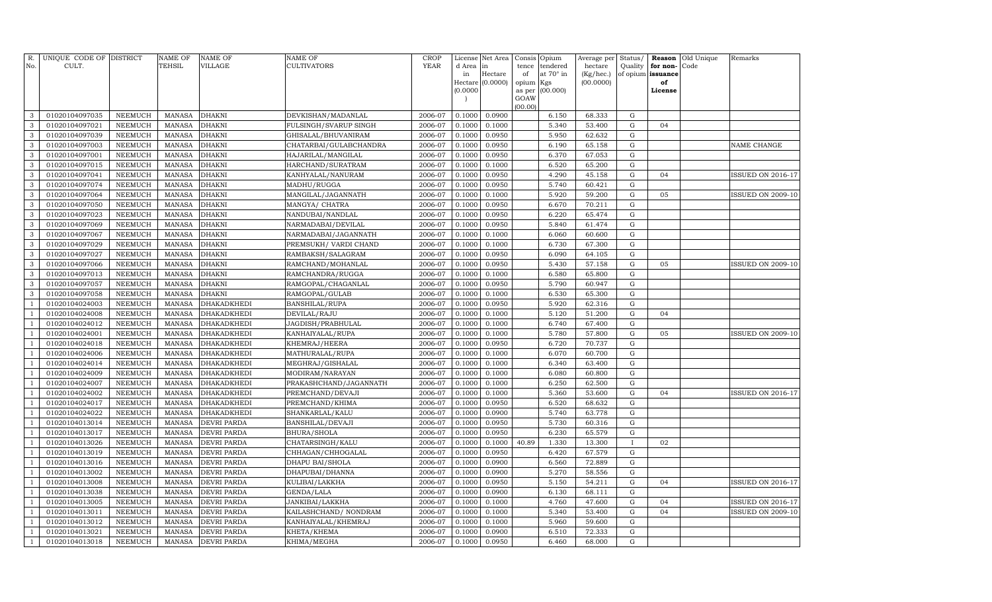| R.<br>No.      | UNIQUE CODE OF DISTRICT<br>CULT. |                                  | <b>NAME OF</b><br>TEHSIL       | <b>NAME OF</b><br><b>VILLAGE</b> | NAME OF<br><b>CULTIVATORS</b>              | <b>CROP</b><br><b>YEAR</b> | License<br>d Area | Net Area<br>in   | Consis<br>tence | Opium<br>tendered | Average per<br>hectare | Status/<br>Quality     | Reason<br>for non- | Old Unique<br>Code | Remarks                  |
|----------------|----------------------------------|----------------------------------|--------------------------------|----------------------------------|--------------------------------------------|----------------------------|-------------------|------------------|-----------------|-------------------|------------------------|------------------------|--------------------|--------------------|--------------------------|
|                |                                  |                                  |                                |                                  |                                            |                            | in                | Hectare          | of              | at 70° in         | (Kg/hec.)              |                        | of opium issuance  |                    |                          |
|                |                                  |                                  |                                |                                  |                                            |                            | (0.0000)          | Hectare (0.0000) | opium<br>as per | Kgs<br>(00.000)   | (00.0000)              |                        | of<br>License      |                    |                          |
|                |                                  |                                  |                                |                                  |                                            |                            |                   |                  | GOAW            |                   |                        |                        |                    |                    |                          |
|                |                                  |                                  |                                |                                  |                                            |                            |                   |                  | (00.00)         |                   |                        |                        |                    |                    |                          |
| 3              | 01020104097035                   | <b>NEEMUCH</b>                   | <b>MANASA</b>                  | <b>DHAKNI</b>                    | DEVKISHAN/MADANLAL                         | 2006-07                    | 0.1000            | 0.0900           |                 | 6.150             | 68.333                 | ${\rm G}$              |                    |                    |                          |
| 3              | 01020104097021                   | <b>NEEMUCH</b>                   | <b>MANASA</b>                  | <b>DHAKNI</b>                    | FULSINGH/SVARUP SINGH                      | 2006-07                    | 0.1000            | 0.1000           |                 | 5.340             | 53.400                 | ${\rm G}$              | 04                 |                    |                          |
| 3              | 01020104097039                   | <b>NEEMUCH</b>                   | <b>MANASA</b>                  | <b>DHAKNI</b>                    | GHISALAL/BHUVANIRAM                        | 2006-07                    | 0.1000            | 0.0950           |                 | 5.950             | 62.632                 | ${\rm G}$              |                    |                    |                          |
| 3              | 01020104097003                   | <b>NEEMUCH</b>                   | <b>MANASA</b>                  | <b>DHAKNI</b>                    | CHATARBAI/GULABCHANDRA                     | 2006-07                    | 0.1000            | 0.0950           |                 | 6.190             | 65.158                 | ${\rm G}$              |                    |                    | NAME CHANGE              |
| 3              | 01020104097001                   | <b>NEEMUCH</b>                   | <b>MANASA</b>                  | DHAKNI                           | HAJARILAL/MANGILAL                         | 2006-07                    | 0.1000            | 0.0950           |                 | 6.370             | 67.053                 | ${\rm G}$              |                    |                    |                          |
| 3              | 01020104097015                   | <b>NEEMUCH</b>                   | <b>MANASA</b>                  | DHAKNI                           | HARCHAND/SURATRAM                          | 2006-07                    | 0.1000            | 0.1000           |                 | 6.520             | 65.200                 | ${\rm G}$              |                    |                    |                          |
| 3              | 01020104097041                   | <b>NEEMUCH</b>                   | <b>MANASA</b>                  | <b>DHAKNI</b>                    | KANHYALAL/NANURAM                          | 2006-07                    | 0.1000            | 0.0950           |                 | 4.290             | 45.158                 | ${\rm G}$              | 04                 |                    | ISSUED ON 2016-17        |
| 3              | 01020104097074                   | <b>NEEMUCH</b>                   | <b>MANASA</b>                  | DHAKNI                           | MADHU/RUGGA                                | 2006-07                    | 0.1000            | 0.0950           |                 | 5.740             | 60.421                 | ${\rm G}$              |                    |                    |                          |
| 3              | 01020104097064                   | <b>NEEMUCH</b>                   | <b>MANASA</b>                  | DHAKNI                           | MANGILAL/JAGANNATH                         | 2006-07                    | 0.1000            | 0.1000           |                 | 5.920             | 59.200                 | $\mathbf G$            | 05                 |                    | <b>ISSUED ON 2009-10</b> |
| 3              | 01020104097050                   | <b>NEEMUCH</b>                   | <b>MANASA</b>                  | DHAKNI                           | MANGYA/ CHATRA                             | 2006-07                    | 0.1000            | 0.0950           |                 | 6.670             | 70.211                 | $\mathbf G$            |                    |                    |                          |
| 3              | 01020104097023                   | <b>NEEMUCH</b>                   | <b>MANASA</b>                  | <b>DHAKNI</b>                    | NANDUBAI/NANDLAL                           | 2006-07                    | 0.1000            | 0.0950           |                 | 6.220             | 65.474                 | ${\rm G}$              |                    |                    |                          |
| 3<br>3         | 01020104097069                   | <b>NEEMUCH</b>                   | <b>MANASA</b>                  | DHAKNI                           | NARMADABAI/DEVILAL                         | 2006-07<br>2006-07         | 0.1000            | 0.0950<br>0.1000 |                 | 5.840<br>6.060    | 61.474<br>60.600       | ${\bf G}$<br>${\bf G}$ |                    |                    |                          |
| 3              | 01020104097067<br>01020104097029 | <b>NEEMUCH</b><br><b>NEEMUCH</b> | <b>MANASA</b><br><b>MANASA</b> | DHAKNI<br>DHAKNI                 | NARMADABAI/JAGANNATH                       | 2006-07                    | 0.1000<br>0.1000  | 0.1000           |                 | 6.730             | 67.300                 | ${\rm G}$              |                    |                    |                          |
| 3              | 01020104097027                   | <b>NEEMUCH</b>                   | <b>MANASA</b>                  | DHAKNI                           | PREMSUKH/ VARDI CHAND<br>RAMBAKSH/SALAGRAM | 2006-07                    | 0.1000            | 0.0950           |                 | 6.090             | 64.105                 | ${\bf G}$              |                    |                    |                          |
| 3              | 01020104097066                   | <b>NEEMUCH</b>                   | <b>MANASA</b>                  | DHAKNI                           | RAMCHAND/MOHANLAL                          | 2006-07                    | 0.1000            | 0.0950           |                 | 5.430             | 57.158                 | ${\rm G}$              | 05                 |                    | <b>ISSUED ON 2009-10</b> |
| 3              | 01020104097013                   | <b>NEEMUCH</b>                   | <b>MANASA</b>                  | DHAKNI                           | RAMCHANDRA/RUGGA                           | 2006-07                    | 0.1000            | 0.1000           |                 | 6.580             | 65.800                 | ${\rm G}$              |                    |                    |                          |
| $\mathbf{3}$   | 01020104097057                   | <b>NEEMUCH</b>                   | <b>MANASA</b>                  | DHAKNI                           | RAMGOPAL/CHAGANLAL                         | 2006-07                    | 0.1000            | 0.0950           |                 | 5.790             | 60.947                 | ${\rm G}$              |                    |                    |                          |
| 3              | 01020104097058                   | <b>NEEMUCH</b>                   | <b>MANASA</b>                  | <b>DHAKNI</b>                    | RAMGOPAL/GULAB                             | 2006-07                    | 0.1000            | 0.1000           |                 | 6.530             | 65.300                 | ${\rm G}$              |                    |                    |                          |
| $\mathbf{1}$   | 01020104024003                   | <b>NEEMUCH</b>                   | <b>MANASA</b>                  | DHAKADKHEDI                      | BANSHILAL/RUPA                             | 2006-07                    | 0.1000            | 0.0950           |                 | 5.920             | 62.316                 | ${\rm G}$              |                    |                    |                          |
| $\overline{1}$ | 01020104024008                   | <b>NEEMUCH</b>                   | <b>MANASA</b>                  | DHAKADKHEDI                      | DEVILAL/RAJU                               | 2006-07                    | 0.1000            | 0.1000           |                 | 5.120             | 51.200                 | $\mathbf G$            | 04                 |                    |                          |
| $\mathbf{1}$   | 01020104024012                   | <b>NEEMUCH</b>                   | <b>MANASA</b>                  | DHAKADKHEDI                      | JAGDISH/PRABHULAL                          | 2006-07                    | 0.1000            | 0.1000           |                 | 6.740             | 67.400                 | ${\bf G}$              |                    |                    |                          |
| $\mathbf{1}$   | 01020104024001                   | NEEMUCH                          | <b>MANASA</b>                  | DHAKADKHEDI                      | KANHAIYALAL/RUPA                           | 2006-07                    | 0.1000            | 0.1000           |                 | 5.780             | 57.800                 | ${\bf G}$              | 05                 |                    | <b>ISSUED ON 2009-10</b> |
| $\mathbf{1}$   | 01020104024018                   | <b>NEEMUCH</b>                   | <b>MANASA</b>                  | DHAKADKHEDI                      | KHEMRAJ/HEERA                              | 2006-07                    | 0.1000            | 0.0950           |                 | 6.720             | 70.737                 | ${\rm G}$              |                    |                    |                          |
| $\mathbf{1}$   | 01020104024006                   | <b>NEEMUCH</b>                   | <b>MANASA</b>                  | DHAKADKHEDI                      | MATHURALAL/RUPA                            | 2006-07                    | 0.1000            | 0.1000           |                 | 6.070             | 60.700                 | ${\rm G}$              |                    |                    |                          |
| $\mathbf{1}$   | 01020104024014                   | <b>NEEMUCH</b>                   | <b>MANASA</b>                  | DHAKADKHEDI                      | MEGHRAJ/GISHALAL                           | 2006-07                    | 0.1000            | 0.1000           |                 | 6.340             | 63.400                 | ${\rm G}$              |                    |                    |                          |
| $\overline{1}$ | 01020104024009                   | <b>NEEMUCH</b>                   | <b>MANASA</b>                  | DHAKADKHEDI                      | MODIRAM/NARAYAN                            | 2006-07                    | 0.1000            | 0.1000           |                 | 6.080             | 60.800                 | ${\bf G}$              |                    |                    |                          |
| $\mathbf{1}$   | 01020104024007                   | <b>NEEMUCH</b>                   | <b>MANASA</b>                  | DHAKADKHEDI                      | PRAKASHCHAND/JAGANNATH                     | 2006-07                    | 0.1000            | 0.1000           |                 | 6.250             | 62.500                 | ${\bf G}$              |                    |                    |                          |
| $\overline{1}$ | 01020104024002                   | <b>NEEMUCH</b>                   | <b>MANASA</b>                  | DHAKADKHEDI                      | PREMCHAND/DEVAJI                           | 2006-07                    | 0.1000            | 0.1000           |                 | 5.360             | 53.600                 | ${\bf G}$              | 04                 |                    | ISSUED ON 2016-17        |
| $\mathbf{1}$   | 01020104024017                   | <b>NEEMUCH</b>                   | <b>MANASA</b>                  | DHAKADKHEDI                      | PREMCHAND/KHIMA                            | 2006-07                    | 0.1000            | 0.0950           |                 | 6.520             | 68.632                 | ${\rm G}$              |                    |                    |                          |
| $\overline{1}$ | 01020104024022                   | <b>NEEMUCH</b>                   | <b>MANASA</b>                  | DHAKADKHEDI                      | SHANKARLAL/KALU                            | 2006-07                    | 0.1000            | 0.0900           |                 | 5.740             | 63.778                 | ${\bf G}$              |                    |                    |                          |
| $\overline{1}$ | 01020104013014                   | NEEMUCH                          | <b>MANASA</b>                  | DEVRI PARDA                      | BANSHILAL/DEVAJI                           | 2006-07                    | 0.1000            | 0.0950           |                 | 5.730             | 60.316                 | ${\rm G}$              |                    |                    |                          |
| $\overline{1}$ | 01020104013017                   | NEEMUCH                          | <b>MANASA</b>                  | DEVRI PARDA                      | BHURA/SHOLA                                | 2006-07                    | 0.1000            | 0.0950           |                 | 6.230             | 65.579                 | ${\bf G}$              |                    |                    |                          |
| $\mathbf{1}$   | 01020104013026                   | <b>NEEMUCH</b>                   | <b>MANASA</b>                  | DEVRI PARDA                      | CHATARSINGH/KALU                           | 2006-07                    | 0.1000            | 0.1000           | 40.89           | 1.330             | 13.300                 | $\mathbf{I}$           | 02                 |                    |                          |
|                | 01020104013019                   | <b>NEEMUCH</b>                   | <b>MANASA</b>                  | DEVRI PARDA                      | CHHAGAN/CHHOGALAL                          | 2006-07                    | 0.1000            | 0.0950           |                 | 6.420             | 67.579                 | $\mathbf G$            |                    |                    |                          |
| $\overline{1}$ | 01020104013016                   | <b>NEEMUCH</b>                   | <b>MANASA</b>                  | DEVRI PARDA                      | DHAPU BAI/SHOLA                            | 2006-07                    | 0.1000            | 0.0900           |                 | 6.560             | 72.889                 | ${\rm G}$              |                    |                    |                          |
| $\overline{1}$ | 01020104013002                   | <b>NEEMUCH</b>                   | <b>MANASA</b>                  | DEVRI PARDA                      | DHAPUBAI/DHANNA                            | 2006-07                    | 0.1000            | 0.0900           |                 | 5.270             | 58.556                 | ${\bf G}$              |                    |                    |                          |
| $\overline{1}$ | 01020104013008                   | <b>NEEMUCH</b>                   | <b>MANASA</b>                  | DEVRI PARDA                      | KULIBAI/LAKKHA                             | 2006-07                    | 0.1000            | 0.0950           |                 | 5.150             | 54.211                 | ${\bf G}$              | 04                 |                    | ISSUED ON 2016-17        |
| $\overline{1}$ | 01020104013038                   | <b>NEEMUCH</b>                   | <b>MANASA</b>                  | DEVRI PARDA                      | GENDA/LALA                                 | 2006-07                    | 0.1000            | 0.0900           |                 | 6.130             | 68.111                 | $\mathbf G$            |                    |                    |                          |
|                | 01020104013005                   | <b>NEEMUCH</b>                   | <b>MANASA</b>                  | DEVRI PARDA                      | JANKIBAI/LAKKHA                            | 2006-07                    | 0.1000            | 0.1000           |                 | 4.760             | 47.600                 | ${\bf G}$              | 04                 |                    | <b>ISSUED ON 2016-17</b> |
| $\mathbf{1}$   | 01020104013011                   | NEEMUCH                          | <b>MANASA</b>                  | DEVRI PARDA                      | KAILASHCHAND/ NONDRAM                      | 2006-07                    | 0.1000            | 0.1000           |                 | 5.340             | 53.400                 | ${\bf G}$              | 04                 |                    | <b>ISSUED ON 2009-10</b> |
| $\overline{1}$ | 01020104013012                   | <b>NEEMUCH</b>                   | <b>MANASA</b>                  | DEVRI PARDA                      | KANHAIYALAL/KHEMRAJ                        | 2006-07                    | 0.1000            | 0.1000           |                 | 5.960             | 59.600                 | ${\bf G}$              |                    |                    |                          |
|                | 01020104013021                   | NEEMUCH                          | <b>MANASA</b>                  | DEVRI PARDA                      | KHETA/KHEMA                                | 2006-07                    | 0.1000            | 0.0900           |                 | 6.510             | 72.333                 | ${\bf G}$              |                    |                    |                          |
| $\mathbf{1}$   | 01020104013018                   | NEEMUCH                          | <b>MANASA</b>                  | DEVRI PARDA                      | KHIMA/MEGHA                                | 2006-07                    | 0.1000            | 0.0950           |                 | 6.460             | 68.000                 | ${\rm G}$              |                    |                    |                          |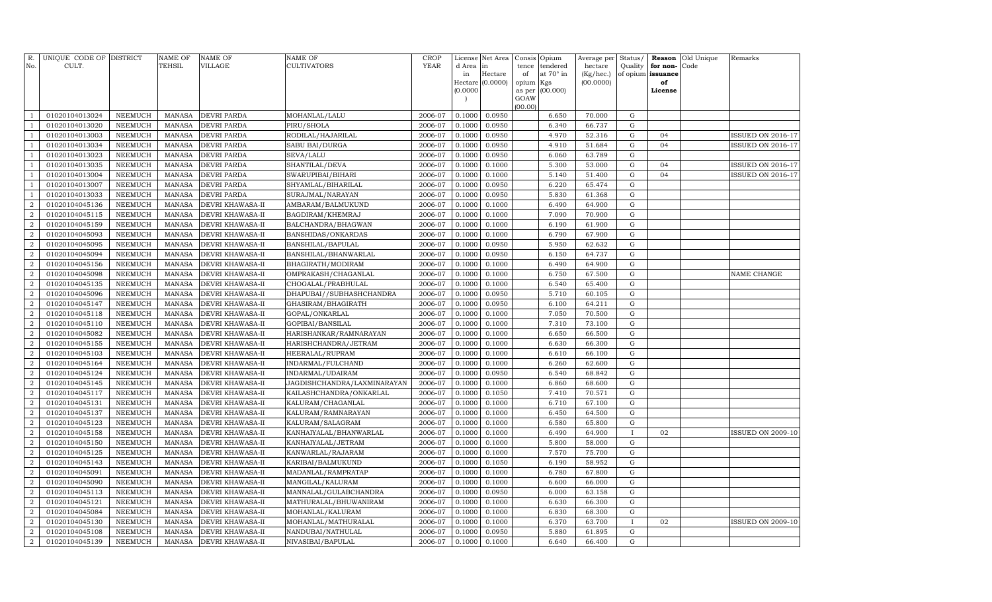| R.<br>No.                        | UNIQUE CODE OF DISTRICT<br>CULT. |                           | <b>NAME OF</b><br>TEHSIL       | <b>NAME OF</b><br><b>VILLAGE</b>     | NAME OF<br>CULTIVATORS                   | <b>CROP</b><br>YEAR | d Area<br>in               | License Net Area<br>in<br>Hectare | Consis<br>tence<br>of              | Opium<br>tendered<br>at $70^\circ$ in | Average per<br>hectare<br>(Kg/hec.) | Status/<br>Quality<br>of opium | Reason<br>for non-<br>issuance | Old Unique<br>Code | Remarks                  |
|----------------------------------|----------------------------------|---------------------------|--------------------------------|--------------------------------------|------------------------------------------|---------------------|----------------------------|-----------------------------------|------------------------------------|---------------------------------------|-------------------------------------|--------------------------------|--------------------------------|--------------------|--------------------------|
|                                  |                                  |                           |                                |                                      |                                          |                     | (0.0000)<br>$\overline{ }$ | Hectare $(0.0000)$                | opium<br>as per<br>GOAW<br>(00.00) | Kgs<br>(00.000)                       | (00.0000)                           |                                | of<br>License                  |                    |                          |
| $\mathbf{1}$                     | 01020104013024                   | NEEMUCH                   | <b>MANASA</b>                  | <b>DEVRI PARDA</b>                   | MOHANLAL/LALU                            | 2006-07             | 0.1000                     | 0.0950                            |                                    | 6.650                                 | 70.000                              | G                              |                                |                    |                          |
| $\mathbf{1}$                     | 01020104013020                   | <b>NEEMUCH</b>            | <b>MANASA</b>                  | <b>DEVRI PARDA</b>                   | PIRU/SHOLA                               | 2006-07             | 0.1000                     | 0.0950                            |                                    | 6.340                                 | 66.737                              | G                              |                                |                    |                          |
| $\mathbf{1}$                     | 01020104013003                   | <b>NEEMUCH</b>            | <b>MANASA</b>                  | DEVRI PARDA                          | RODILAL/HAJARILAL                        | 2006-07             | 0.1000                     | 0.0950                            |                                    | 4.970                                 | 52.316                              | ${\rm G}$                      | 04                             |                    | <b>ISSUED ON 2016-17</b> |
| $\mathbf{1}$                     | 01020104013034                   | NEEMUCH                   | <b>MANASA</b>                  | DEVRI PARDA                          | SABU BAI/DURGA                           | 2006-07             | 0.1000                     | 0.0950                            |                                    | 4.910                                 | 51.684                              | G                              | 04                             |                    | <b>ISSUED ON 2016-17</b> |
| $\mathbf{1}$                     | 01020104013023                   | <b>NEEMUCH</b>            | <b>MANASA</b>                  | DEVRI PARDA                          | SEVA/LALU                                | 2006-07             | 0.1000                     | 0.0950                            |                                    | 6.060                                 | 63.789                              | G                              |                                |                    |                          |
| $\mathbf{1}$                     | 01020104013035                   | <b>NEEMUCH</b>            | <b>MANASA</b>                  | <b>DEVRI PARDA</b>                   | SHANTILAL/DEVA                           | 2006-07             | 0.1000                     | 0.1000                            |                                    | 5.300                                 | 53.000                              | ${\rm G}$                      | 04                             |                    | <b>ISSUED ON 2016-17</b> |
| $\mathbf{1}$                     | 01020104013004                   | <b>NEEMUCH</b>            | <b>MANASA</b>                  | DEVRI PARDA                          | SWARUPIBAI/BIHARI                        | 2006-07             | 0.1000                     | 0.1000                            |                                    | 5.140                                 | 51.400                              | G                              | 04                             |                    | <b>ISSUED ON 2016-17</b> |
| $\mathbf{1}$                     | 01020104013007                   | <b>NEEMUCH</b>            | <b>MANASA</b>                  | DEVRI PARDA                          | SHYAMLAL/BIHARILAL                       | 2006-07             | 0.1000                     | 0.0950                            |                                    | 6.220                                 | 65.474                              | G                              |                                |                    |                          |
| $\mathbf{1}$                     | 01020104013033                   | <b>NEEMUCH</b>            | <b>MANASA</b>                  | DEVRI PARDA                          | SURAJMAL/NARAYAN                         | 2006-07             | 0.1000                     | 0.0950                            |                                    | 5.830                                 | 61.368                              | ${\rm G}$                      |                                |                    |                          |
| $\overline{2}$                   | 01020104045136                   | <b>NEEMUCH</b>            | <b>MANASA</b>                  | DEVRI KHAWASA-II                     | AMBARAM/BALMUKUND                        | 2006-07             | 0.1000                     | 0.1000                            |                                    | 6.490                                 | 64.900                              | G                              |                                |                    |                          |
| $\overline{2}$                   | 01020104045115                   | <b>NEEMUCH</b>            | <b>MANASA</b>                  | DEVRI KHAWASA-II                     | BAGDIRAM/KHEMRAJ                         | 2006-07             | 0.1000                     | 0.1000                            |                                    | 7.090                                 | 70.900                              | G                              |                                |                    |                          |
| $\boldsymbol{2}$                 | 01020104045159                   | <b>NEEMUCH</b>            | <b>MANASA</b>                  | DEVRI KHAWASA-II                     | BALCHANDRA/BHAGWAN                       | 2006-07             | 0.1000                     | 0.1000                            |                                    | 6.190                                 | 61.900                              | ${\rm G}$                      |                                |                    |                          |
| $\overline{2}$                   | 01020104045093                   | NEEMUCH                   | <b>MANASA</b>                  | DEVRI KHAWASA-II                     | BANSHIDAS/ONKARDAS                       | 2006-07             | 0.1000                     | 0.1000                            |                                    | 6.790                                 | 67.900                              | ${\rm G}$                      |                                |                    |                          |
| $\boldsymbol{2}$                 | 01020104045095                   | <b>NEEMUCH</b>            | <b>MANASA</b>                  | DEVRI KHAWASA-II                     | BANSHILAL/BAPULAL                        | 2006-07             | 0.1000                     | 0.0950                            |                                    | 5.950                                 | 62.632                              | G                              |                                |                    |                          |
| $\overline{2}$                   | 01020104045094                   | NEEMUCH                   | <b>MANASA</b>                  | DEVRI KHAWASA-II                     | BANSHILAL/BHANWARLAL                     | 2006-07             | 0.1000                     | 0.0950                            |                                    | 6.150                                 | 64.737                              | ${\rm G}$                      |                                |                    |                          |
| $\boldsymbol{2}$                 | 01020104045156                   | <b>NEEMUCH</b>            | <b>MANASA</b>                  | DEVRI KHAWASA-II                     | BHAGIRATH/MODIRAM                        | 2006-07             | 0.1000                     | 0.1000                            |                                    | 6.490                                 | 64.900                              | G                              |                                |                    |                          |
| $\boldsymbol{2}$                 | 01020104045098                   | NEEMUCH                   | <b>MANASA</b>                  | DEVRI KHAWASA-II                     | OMPRAKASH/CHAGANLAL                      | 2006-07             | 0.1000                     | 0.1000                            |                                    | 6.750                                 | 67.500                              | ${\rm G}$                      |                                |                    | NAME CHANGE              |
| $\boldsymbol{2}$                 | 01020104045135                   | NEEMUCH                   | <b>MANASA</b>                  | DEVRI KHAWASA-II                     | CHOGALAL/PRABHULAL                       | 2006-07             | 0.1000                     | 0.1000                            |                                    | 6.540                                 | 65.400                              | G                              |                                |                    |                          |
| $\boldsymbol{2}$                 | 01020104045096                   | NEEMUCH                   | <b>MANASA</b>                  | DEVRI KHAWASA-II                     | DHAPUBAI//SUBHASHCHANDRA                 | 2006-07             | 0.1000                     | 0.0950                            |                                    | 5.710                                 | 60.105                              | G                              |                                |                    |                          |
| $\overline{2}$                   | 01020104045147                   | <b>NEEMUCH</b>            | <b>MANASA</b>                  | DEVRI KHAWASA-II                     | GHASIRAM/BHAGIRATH                       | 2006-07             | 0.1000                     | 0.0950                            |                                    | 6.100                                 | 64.211                              | G                              |                                |                    |                          |
| $\overline{2}$                   | 01020104045118                   | NEEMUCH                   | <b>MANASA</b>                  | DEVRI KHAWASA-II                     | GOPAL/ONKARLAL                           | 2006-07             | 0.1000                     | 0.1000                            |                                    | 7.050                                 | 70.500                              | G                              |                                |                    |                          |
| $\overline{2}$                   | 01020104045110                   | <b>NEEMUCH</b>            | <b>MANASA</b>                  | DEVRI KHAWASA-II                     | GOPIBAI/BANSILAL                         | 2006-07             | 0.1000                     | 0.1000                            |                                    | 7.310                                 | 73.100                              | G                              |                                |                    |                          |
| 2                                | 01020104045082                   | <b>NEEMUCH</b>            | <b>MANASA</b>                  | DEVRI KHAWASA-II                     | HARISHANKAR/RAMNARAYAN                   | 2006-07             | 0.1000                     | 0.1000                            |                                    | 6.650                                 | 66.500                              | ${\rm G}$                      |                                |                    |                          |
| $\overline{2}$                   | 01020104045155                   | <b>NEEMUCH</b>            | <b>MANASA</b>                  | DEVRI KHAWASA-II                     | HARISHCHANDRA/JETRAM                     | 2006-07             | 0.1000                     | 0.1000                            |                                    | 6.630                                 | 66.300                              | G                              |                                |                    |                          |
| $\overline{2}$                   | 01020104045103                   | <b>NEEMUCH</b>            | <b>MANASA</b>                  | DEVRI KHAWASA-II                     | HEERALAL/RUPRAM                          | 2006-07             | 0.1000                     | 0.1000                            |                                    | 6.610                                 | 66.100                              | ${\rm G}$                      |                                |                    |                          |
| $\overline{2}$                   | 01020104045164                   | <b>NEEMUCH</b>            | <b>MANASA</b>                  | DEVRI KHAWASA-II                     | INDARMAL/FULCHAND                        | 2006-07             | 0.1000                     | 0.1000                            |                                    | 6.260                                 | 62.600                              | G                              |                                |                    |                          |
| $\overline{2}$                   | 01020104045124                   | <b>NEEMUCH</b>            | <b>MANASA</b>                  | DEVRI KHAWASA-II                     | INDARMAL/UDAIRAM                         | 2006-07             | 0.1000                     | 0.0950                            |                                    | 6.540                                 | 68.842                              | G                              |                                |                    |                          |
| $\overline{2}$                   | 01020104045145                   | NEEMUCH                   | <b>MANASA</b>                  | DEVRI KHAWASA-II                     | JAGDISHCHANDRA/LAXMINARAYAN              | 2006-07             | 0.1000                     | 0.1000                            |                                    | 6.860                                 | 68.600                              | G                              |                                |                    |                          |
| $\overline{2}$                   | 01020104045117                   | <b>NEEMUCH</b>            | <b>MANASA</b>                  | DEVRI KHAWASA-II                     | KAILASHCHANDRA/ONKARLAL                  | 2006-07             | 0.1000                     | 0.1050                            |                                    | 7.410                                 | 70.571                              | ${\rm G}$                      |                                |                    |                          |
| $\overline{2}$                   | 01020104045131                   | NEEMUCH                   | <b>MANASA</b>                  | DEVRI KHAWASA-II                     | KALURAM/CHAGANLAL                        | 2006-07             | 0.1000                     | 0.1000                            |                                    | 6.710                                 | 67.100                              | $\mathbf G$                    |                                |                    |                          |
| $\overline{2}$                   | 01020104045137                   | <b>NEEMUCH</b>            | <b>MANASA</b>                  | DEVRI KHAWASA-II                     | KALURAM/RAMNARAYAN                       | 2006-07             | 0.1000                     | 0.1000                            |                                    | 6.450                                 | 64.500                              | $\mathbf G$                    |                                |                    |                          |
| $\overline{2}$                   | 01020104045123                   | NEEMUCH                   | <b>MANASA</b>                  | DEVRI KHAWASA-II                     | KALURAM/SALAGRAM                         | 2006-07             | 0.1000                     | 0.1000                            |                                    | 6.580                                 | 65.800                              | $\mathbf G$                    |                                |                    |                          |
| $\overline{2}$                   | 01020104045158                   | NEEMUCH                   | <b>MANASA</b>                  | DEVRI KHAWASA-II                     | KANHAIYALAL/BHANWARLAL                   | 2006-07             | 0.1000                     | 0.1000                            |                                    | 6.490                                 | 64.900                              |                                | 02                             |                    | <b>ISSUED ON 2009-10</b> |
| $\overline{2}$                   | 01020104045150                   | <b>NEEMUCH</b>            | <b>MANASA</b>                  | DEVRI KHAWASA-II                     | KANHAIYALAL/JETRAM                       | 2006-07             | 0.1000                     | 0.1000                            |                                    | 5.800                                 | 58.000                              | $\mathbf G$                    |                                |                    |                          |
| $\overline{2}$                   | 01020104045125                   | NEEMUCH                   | <b>MANASA</b>                  | DEVRI KHAWASA-II                     | KANWARLAL/RAJARAM                        | 2006-07             | 0.1000                     | 0.1000                            |                                    | 7.570                                 | 75.700                              | $\mathbf G$                    |                                |                    |                          |
| $\overline{2}$                   | 01020104045143                   | NEEMUCH                   | <b>MANASA</b>                  | DEVRI KHAWASA-II                     | KARIBAI/BALMUKUND                        | 2006-07             | 0.1000                     | 0.1050                            |                                    | 6.190                                 | 58.952                              | G                              |                                |                    |                          |
| $\overline{2}$                   | 01020104045091                   | <b>NEEMUCH</b>            | <b>MANASA</b>                  | DEVRI KHAWASA-II                     | MADANLAL/RAMPRATAP                       | 2006-07             | 0.1000                     | 0.1000                            |                                    | 6.780                                 | 67.800                              | $\mathbf G$                    |                                |                    |                          |
| $\boldsymbol{2}$                 | 01020104045090                   | NEEMUCH                   | <b>MANASA</b>                  | DEVRI KHAWASA-II                     | MANGILAL/KALURAM                         | 2006-07             | 0.1000                     | 0.1000                            |                                    | 6.600                                 | 66.000                              | $\mathbf G$                    |                                |                    |                          |
| $\overline{2}$                   | 01020104045113                   | <b>NEEMUCH</b>            | <b>MANASA</b>                  | DEVRI KHAWASA-II                     | MANNALAL/GULABCHANDRA                    | 2006-07             | 0.1000                     | 0.0950                            |                                    | 6.000                                 | 63.158                              | $\mathbf G$                    |                                |                    |                          |
| $\overline{2}$<br>$\overline{2}$ | 01020104045121                   | <b>NEEMUCH</b>            | <b>MANASA</b>                  | DEVRI KHAWASA-II                     | MATHURALAL/BHUWANIRAM                    | 2006-07             | 0.1000                     | 0.1000                            |                                    | 6.630                                 | 66.300                              | G                              |                                |                    |                          |
| $\overline{2}$                   | 01020104045084<br>01020104045130 | NEEMUCH<br><b>NEEMUCH</b> | <b>MANASA</b><br><b>MANASA</b> | DEVRI KHAWASA-II                     | MOHANLAL/KALURAM                         | 2006-07<br>2006-07  | 0.1000<br>0.1000           | 0.1000<br>0.1000                  |                                    | 6.830<br>6.370                        | 68.300<br>63.700                    | $\mathbf G$<br>$\mathbf{I}$    | 02                             |                    |                          |
| $\overline{2}$                   | 01020104045108                   | <b>NEEMUCH</b>            | <b>MANASA</b>                  | DEVRI KHAWASA-II<br>DEVRI KHAWASA-II | MOHANLAL/MATHURALAL<br>NANDUBAI/NATHULAL | 2006-07             | 0.1000                     | 0.0950                            |                                    | 5.880                                 | 61.895                              | ${\rm G}$                      |                                |                    | <b>ISSUED ON 2009-10</b> |
| $\boldsymbol{2}$                 | 01020104045139                   | <b>NEEMUCH</b>            | MANASA                         | <b>DEVRI KHAWASA-II</b>              |                                          | 2006-07             | 0.1000                     | 0.1000                            |                                    | 6.640                                 | 66.400                              | G                              |                                |                    |                          |
|                                  |                                  |                           |                                |                                      | NIVASIBAI/BAPULAL                        |                     |                            |                                   |                                    |                                       |                                     |                                |                                |                    |                          |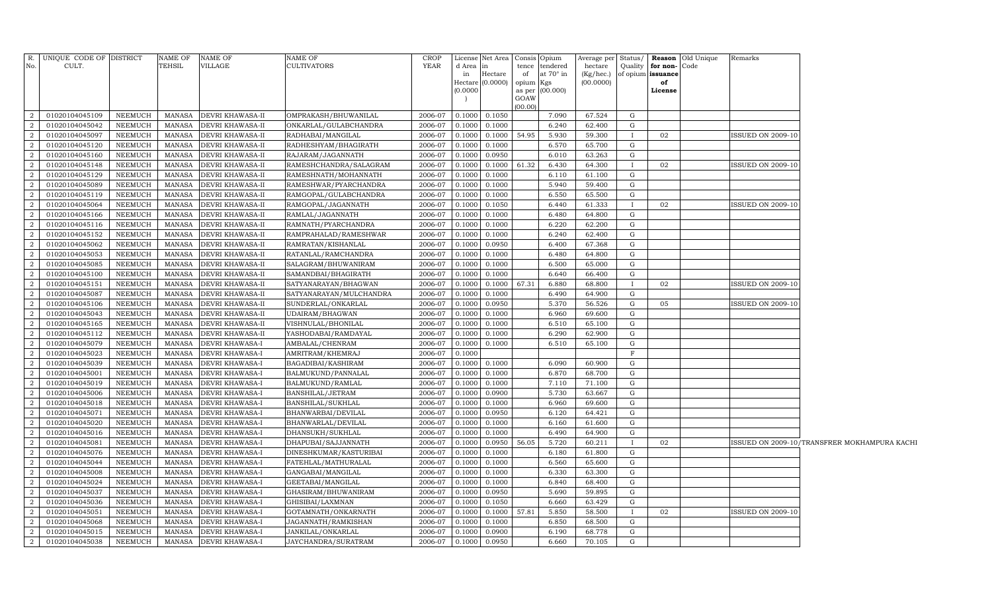| No.            | R. UNIQUE CODE OF DISTRICT<br>CULT. |                                  | <b>NAME OF</b><br><b>TEHSIL</b> | <b>NAME OF</b><br>VILLAGE                 | NAME OF<br><b>CULTIVATORS</b>          | <b>CROP</b><br>YEAR | d Area<br>in<br>(0.0000) | License Net Area<br>$\mathbf{m}$<br>Hectare<br>Hectare $(0.0000)$ | Consis Opium<br>tence<br>of<br>opium Kgs<br>GOAW<br>(00.00) | tendered<br>at $70^\circ$ in<br>as per (00.000) | Average per Status/<br>hectare<br>(Kg/hec.)<br>(00.0000) | Quality      | for non-<br>of opium issuance<br>of<br>License | <b>Reason</b> Old Unique<br>Code | Remarks                  |                                              |
|----------------|-------------------------------------|----------------------------------|---------------------------------|-------------------------------------------|----------------------------------------|---------------------|--------------------------|-------------------------------------------------------------------|-------------------------------------------------------------|-------------------------------------------------|----------------------------------------------------------|--------------|------------------------------------------------|----------------------------------|--------------------------|----------------------------------------------|
| 2              | 01020104045109                      | NEEMUCH                          | MANASA                          | <b>DEVRI KHAWASA-II</b>                   | OMPRAKASH/BHUWANILAL                   | 2006-07             | 0.1000                   | 0.1050                                                            |                                                             | 7.090                                           | 67.524                                                   | G            |                                                |                                  |                          |                                              |
| 2              | 01020104045042                      | NEEMUCH                          | MANASA                          | <b>DEVRI KHAWASA-II</b>                   | ONKARLAL/GULABCHANDRA                  | 2006-07             | 0.1000                   | 0.1000                                                            |                                                             | 6.240                                           | 62.400                                                   | G            |                                                |                                  |                          |                                              |
| 2              | 01020104045097                      | NEEMUCH                          | MANASA                          | <b>DEVRI KHAWASA-II</b>                   | RADHABAI/MANGILAL                      | 2006-07             | 0.1000                   | 0.1000                                                            | 54.95                                                       | 5.930                                           | 59.300                                                   | $\bf{I}$     | 02                                             |                                  | ISSUED ON 2009-10        |                                              |
| $\overline{2}$ | 01020104045120                      | NEEMUCH                          | MANASA                          | <b>DEVRI KHAWASA-II</b>                   | RADHESHYAM/BHAGIRATH                   | 2006-07             | 0.1000                   | 0.1000                                                            |                                                             | 6.570                                           | 65.700                                                   | G            |                                                |                                  |                          |                                              |
| 2              | 01020104045160                      | NEEMUCH                          | <b>MANASA</b>                   | <b>DEVRI KHAWASA-II</b>                   | RAJARAM/JAGANNATH                      | 2006-07             | 0.1000                   | 0.0950                                                            |                                                             | 6.010                                           | 63.263                                                   | G            |                                                |                                  |                          |                                              |
| $\overline{2}$ | 01020104045148                      | NEEMUCH                          | <b>MANASA</b>                   | <b>DEVRI KHAWASA-II</b>                   | RAMESHCHANDRA/SALAGRAM                 | 2006-07             | 0.1000                   | 0.1000                                                            | 61.32                                                       | 6.430                                           | 64.300                                                   | $\bf{I}$     | 02                                             |                                  | <b>ISSUED ON 2009-10</b> |                                              |
| 2              | 01020104045129                      | NEEMUCH                          | MANASA                          | <b>DEVRI KHAWASA-II</b>                   | RAMESHNATH/MOHANNATH                   | 2006-07             | 0.1000                   | 0.1000                                                            |                                                             | 6.110                                           | 61.100                                                   | G            |                                                |                                  |                          |                                              |
| $\overline{2}$ | 01020104045089                      | NEEMUCH                          | <b>MANASA</b>                   | <b>DEVRI KHAWASA-II</b>                   | RAMESHWAR/PYARCHANDRA                  | 2006-07             | 0.1000                   | 0.1000                                                            |                                                             | 5.940                                           | 59.400                                                   | G            |                                                |                                  |                          |                                              |
| 2              | 01020104045119                      | NEEMUCH                          | <b>MANASA</b>                   | <b>DEVRI KHAWASA-II</b>                   | RAMGOPAL/GULABCHANDRA                  | 2006-07             | 0.1000                   | 0.1000                                                            |                                                             | 6.550                                           | 65.500                                                   | G            |                                                |                                  |                          |                                              |
| 2              | 01020104045064                      | NEEMUCH                          | MANASA                          | <b>DEVRI KHAWASA-II</b>                   | RAMGOPAL/JAGANNATH                     | 2006-07             | 0.1000                   | 0.1050                                                            |                                                             | 6.440                                           | 61.333                                                   | $\bf{I}$     | 02                                             |                                  | <b>ISSUED ON 2009-10</b> |                                              |
| 2              | 01020104045166                      | <b>NEEMUCH</b>                   | <b>MANASA</b>                   | <b>DEVRI KHAWASA-II</b>                   | RAMLAL/JAGANNATH                       | 2006-07             | 0.1000                   | 0.1000                                                            |                                                             | 6.480                                           | 64.800                                                   | G            |                                                |                                  |                          |                                              |
| 2              | 01020104045116                      | <b>NEEMUCH</b>                   | <b>MANASA</b>                   | <b>DEVRI KHAWASA-II</b>                   | RAMNATH/PYARCHANDRA                    | 2006-07             | 0.1000                   | 0.1000                                                            |                                                             | 6.220                                           | 62.200                                                   | G            |                                                |                                  |                          |                                              |
| 2              | 01020104045152                      | NEEMUCH                          | MANASA                          | <b>DEVRI KHAWASA-II</b>                   | RAMPRAHALAD/RAMESHWAR                  | 2006-07             | 0.1000                   | 0.1000                                                            |                                                             | 6.240                                           | 62.400                                                   | G            |                                                |                                  |                          |                                              |
| 2              | 01020104045062                      | NEEMUCH                          | MANASA                          | DEVRI KHAWASA-II                          | RAMRATAN/KISHANLAL                     | 2006-07             | 0.1000                   | 0.0950                                                            |                                                             | 6.400                                           | 67.368                                                   | G            |                                                |                                  |                          |                                              |
| 2              | 01020104045053                      | NEEMUCH                          | <b>MANASA</b>                   | DEVRI KHAWASA-II                          | RATANLAL/RAMCHANDRA                    | 2006-07             | 0.1000                   | 0.1000                                                            |                                                             | 6.480                                           | 64.800                                                   | G            |                                                |                                  |                          |                                              |
| $\overline{2}$ | 01020104045085                      | NEEMUCH                          | MANASA                          | DEVRI KHAWASA-II                          | SALAGRAM/BHUWANIRAM                    | 2006-07             | 0.1000                   | 0.1000                                                            |                                                             | 6.500                                           | 65.000                                                   | G            |                                                |                                  |                          |                                              |
| $\mathcal{D}$  | 01020104045100                      | NEEMUCH                          | <b>MANASA</b>                   | DEVRI KHAWASA-II                          | SAMANDBAI/BHAGIRATH                    | 2006-07             | 0.1000                   | 0.1000                                                            |                                                             | 6.640                                           | 66.400                                                   | G            |                                                |                                  |                          |                                              |
| $\mathcal{D}$  | 01020104045151                      | NEEMUCH                          | MANASA                          | <b>DEVRI KHAWASA-II</b>                   | SATYANARAYAN/BHAGWAN                   | 2006-07             | 0.1000                   | 0.1000                                                            | 67.31                                                       | 6.880                                           | 68.800                                                   | $\mathbf{I}$ | 02                                             |                                  | ISSUED ON 2009-10        |                                              |
| $\overline{2}$ | 01020104045087                      | <b>NEEMUCH</b>                   | <b>MANASA</b>                   | DEVRI KHAWASA-II                          | SATYANARAYAN/MULCHANDRA                | 2006-07             | 0.1000                   | 0.1000                                                            |                                                             | 6.490                                           | 64.900                                                   | G            |                                                |                                  |                          |                                              |
| $\overline{2}$ | 01020104045106                      | <b>NEEMUCH</b>                   | <b>MANASA</b>                   | <b>DEVRI KHAWASA-II</b>                   | SUNDERLAL/ONKARLAL                     | 2006-07             | 0.1000                   | 0.0950                                                            |                                                             | 5.370                                           | 56.526                                                   | G            | 05                                             |                                  | <b>ISSUED ON 2009-10</b> |                                              |
| $\overline{2}$ | 01020104045043                      | <b>NEEMUCH</b>                   | <b>MANASA</b>                   | <b>DEVRI KHAWASA-II</b>                   | UDAIRAM/BHAGWAN                        | 2006-07             | 0.1000                   | 0.1000                                                            |                                                             | 6.960                                           | 69.600                                                   | G            |                                                |                                  |                          |                                              |
| $\mathcal{D}$  | 01020104045165                      | <b>NEEMUCH</b>                   | <b>MANASA</b>                   | <b>DEVRI KHAWASA-II</b>                   | VISHNULAL/BHONILAL                     | 2006-07             | 0.1000                   | 0.1000                                                            |                                                             | 6.510                                           | 65.100                                                   | G            |                                                |                                  |                          |                                              |
| $\mathcal{D}$  | 01020104045112                      | <b>NEEMUCH</b>                   | <b>MANASA</b>                   | <b>DEVRI KHAWASA-II</b>                   | YASHODABAI/RAMDAYAL                    | 2006-07             | 0.1000                   | 0.1000                                                            |                                                             | 6.290                                           | 62.900                                                   | G            |                                                |                                  |                          |                                              |
| $\mathcal{D}$  | 01020104045079<br>01020104045023    | <b>NEEMUCH</b>                   | <b>MANASA</b>                   | <b>DEVRI KHAWASA-I</b>                    | AMBALAL/CHENRAM                        | 2006-07             | 0.1000                   | 0.1000                                                            |                                                             | 6.510                                           | 65.100                                                   | G<br>F       |                                                |                                  |                          |                                              |
| $\mathcal{D}$  | 01020104045039                      | <b>NEEMUCH</b><br><b>NEEMUCH</b> | <b>MANASA</b><br><b>MANASA</b>  | <b>DEVRI KHAWASA-I</b>                    | AMRITRAM/KHEMRAJ<br>BAGADIBAI/KASHIRAM | 2006-07<br>2006-07  | 0.1000                   | 0.1000                                                            |                                                             | 6.090                                           | 60.900                                                   | G            |                                                |                                  |                          |                                              |
| $\overline{2}$ | 01020104045001                      | <b>NEEMUCH</b>                   | <b>MANASA</b>                   | <b>DEVRI KHAWASA-I</b><br>DEVRI KHAWASA-I | BALMUKUND/PANNALAL                     | 2006-07             | 0.1000<br>0.1000         | 0.1000                                                            |                                                             | 6.870                                           | 68.700                                                   | G            |                                                |                                  |                          |                                              |
| $\mathcal{D}$  | 01020104045019                      | <b>NEEMUCH</b>                   | <b>MANASA</b>                   | <b>DEVRI KHAWASA-I</b>                    | BALMUKUND/RAMLAL                       | 2006-07             | 0.1000                   | 0.1000                                                            |                                                             | 7.110                                           | 71.100                                                   | G            |                                                |                                  |                          |                                              |
| $\mathcal{D}$  | 01020104045006                      | <b>NEEMUCH</b>                   | <b>MANASA</b>                   | <b>DEVRI KHAWASA-I</b>                    | BANSHILAL/JETRAM                       | 2006-07             | 0.1000                   | 0.0900                                                            |                                                             | 5.730                                           | 63.667                                                   | G            |                                                |                                  |                          |                                              |
| 2              | 01020104045018                      | <b>NEEMUCH</b>                   | <b>MANASA</b>                   | <b>DEVRI KHAWASA-I</b>                    | BANSHILAL/SUKHLAL                      | 2006-07             | 0.1000                   | 0.1000                                                            |                                                             | 6.960                                           | 69.600                                                   | G            |                                                |                                  |                          |                                              |
| 2              | 01020104045071                      | <b>NEEMUCH</b>                   | <b>MANASA</b>                   | <b>DEVRI KHAWASA-I</b>                    | BHANWARBAI/DEVILAL                     | 2006-07             | 0.1000                   | 0.0950                                                            |                                                             | 6.120                                           | 64.421                                                   | G            |                                                |                                  |                          |                                              |
| 2              | 01020104045020                      | <b>NEEMUCH</b>                   | <b>MANASA</b>                   | <b>DEVRI KHAWASA-I</b>                    | BHANWARLAL/DEVILAL                     | 2006-07             | 0.1000                   | 0.1000                                                            |                                                             | 6.160                                           | 61.600                                                   | G            |                                                |                                  |                          |                                              |
| 2              | 01020104045016                      | <b>NEEMUCH</b>                   | <b>MANASA</b>                   | <b>DEVRI KHAWASA-I</b>                    | DHANSUKH/SUKHLAL                       | 2006-07             | 0.1000                   | 0.1000                                                            |                                                             | 6.490                                           | 64.900                                                   | G            |                                                |                                  |                          |                                              |
| 2              | 01020104045081                      | <b>NEEMUCH</b>                   | <b>MANASA</b>                   | <b>DEVRI KHAWASA-I</b>                    | DHAPUBAI/SAJJANNATH                    | 2006-07             | 0.1000                   | 0.0950                                                            | 56.05                                                       | 5.720                                           | 60.211                                                   | $\mathbf{I}$ | 02                                             |                                  |                          | ISSUED ON 2009-10/TRANSFRER MOKHAMPURA KACHI |
| 2              | 01020104045076                      | <b>NEEMUCH</b>                   | <b>MANASA</b>                   | <b>DEVRI KHAWASA-I</b>                    | DINESHKUMAR/KASTURIBAI                 | 2006-07             | 0.1000                   | 0.1000                                                            |                                                             | 6.180                                           | 61.800                                                   | G            |                                                |                                  |                          |                                              |
| 2              | 01020104045044                      | <b>NEEMUCH</b>                   | <b>MANASA</b>                   | <b>DEVRI KHAWASA-I</b>                    | FATEHLAL/MATHURALAL                    | 2006-07             | 0.1000                   | 0.1000                                                            |                                                             | 6.560                                           | 65.600                                                   | G            |                                                |                                  |                          |                                              |
| 2              | 01020104045008                      | <b>NEEMUCH</b>                   | <b>MANASA</b>                   | DEVRI KHAWASA-I                           | GANGABAI/MANGILAL                      | 2006-07             | 0.1000                   | 0.1000                                                            |                                                             | 6.330                                           | 63.300                                                   | G            |                                                |                                  |                          |                                              |
| 2              | 01020104045024                      | NEEMUCH                          | MANASA                          | <b>DEVRI KHAWASA-I</b>                    | GEETABAI/MANGILAL                      | 2006-07             | 0.1000                   | 0.1000                                                            |                                                             | 6.840                                           | 68.400                                                   | G            |                                                |                                  |                          |                                              |
| 2              | 01020104045037                      | NEEMUCH                          | MANASA                          | <b>DEVRI KHAWASA-I</b>                    | GHASIRAM/BHUWANIRAM                    | 2006-07             | 0.1000                   | 0.0950                                                            |                                                             | 5.690                                           | 59.895                                                   | G            |                                                |                                  |                          |                                              |
| 2              | 01020104045036                      | NEEMUCH                          | MANASA                          | <b>DEVRI KHAWASA-I</b>                    | GHISIBAI/LAXMNAN                       | 2006-07             | 0.1000                   | 0.1050                                                            |                                                             | 6.660                                           | 63.429                                                   | G            |                                                |                                  |                          |                                              |
| 2              | 01020104045051                      | NEEMUCH                          | MANASA                          | DEVRI KHAWASA-I                           | GOTAMNATH/ONKARNATH                    | 2006-07             | 0.1000                   | 0.1000                                                            | 57.81                                                       | 5.850                                           | 58.500                                                   | $\mathbf{I}$ | 02                                             |                                  | ISSUED ON 2009-10        |                                              |
| $\overline{2}$ | 01020104045068                      | NEEMUCH                          | MANASA                          | <b>DEVRI KHAWASA-I</b>                    | JAGANNATH/RAMKISHAN                    | 2006-07             | 0.1000                   | 0.1000                                                            |                                                             | 6.850                                           | 68.500                                                   | G            |                                                |                                  |                          |                                              |
| $\overline{2}$ | 01020104045015                      | <b>NEEMUCH</b>                   | MANASA                          | <b>DEVRI KHAWASA-I</b>                    | JANKILAL/ONKARLAL                      | 2006-07             | 0.1000                   | 0.0900                                                            |                                                             | 6.190                                           | 68.778                                                   | G            |                                                |                                  |                          |                                              |
| $\overline{a}$ | 01020104045038                      | NEEMUCH                          |                                 | MANASA DEVRI KHAWASA-I                    | JAYCHANDRA/SURATRAM                    | 2006-07             | 0.1000                   | 0.0950                                                            |                                                             | 6.660                                           | 70.105                                                   | G            |                                                |                                  |                          |                                              |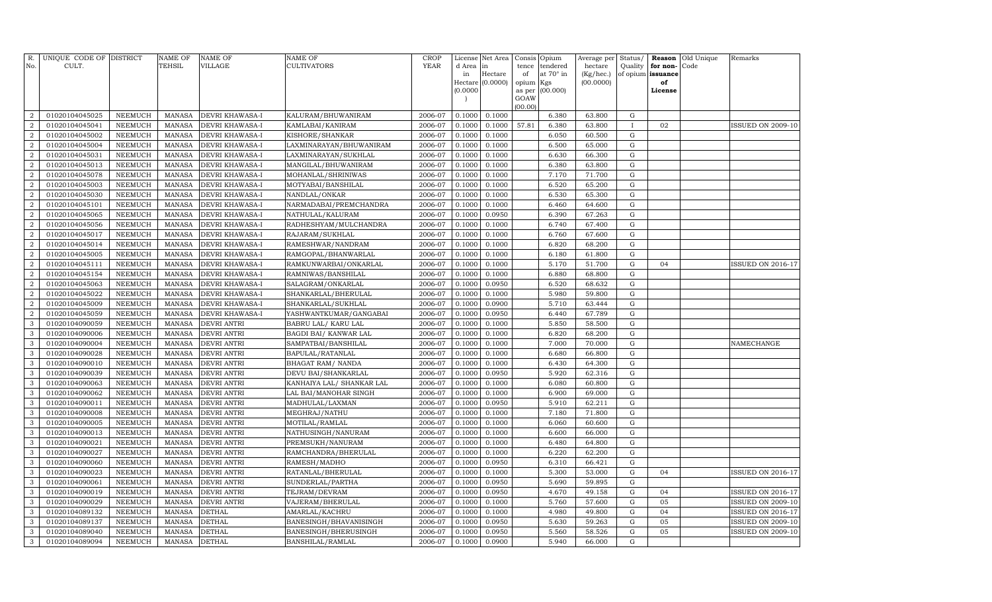| No.              | R. UNIQUE CODE OF DISTRICT<br>CULT. |                           | <b>NAME OF</b><br>TEHSIL       | NAME OF<br>VILLAGE         | <b>NAME OF</b><br><b>CULTIVATORS</b>     | CROP<br>YEAR       | License<br>d Area<br>in | Net Area<br>in<br>Hectare | tence<br>of         | Consis Opium<br>tendered<br>at 70° in | Average per<br>hectare<br>(Kg/hec.) |                            | Status/ Reason<br>Quality for non-<br>of opium issuance | Old Unique<br>Code | Remarks                                       |
|------------------|-------------------------------------|---------------------------|--------------------------------|----------------------------|------------------------------------------|--------------------|-------------------------|---------------------------|---------------------|---------------------------------------|-------------------------------------|----------------------------|---------------------------------------------------------|--------------------|-----------------------------------------------|
|                  |                                     |                           |                                |                            |                                          |                    | (0.0000)                | Hectare (0.0000)          | opium Kgs<br>as per | (00.000)                              | (00.0000)                           |                            | of<br>License                                           |                    |                                               |
|                  |                                     |                           |                                |                            |                                          |                    |                         |                           | GOAW<br>(00.00)     |                                       |                                     |                            |                                                         |                    |                                               |
| $\overline{2}$   | 01020104045025                      | <b>NEEMUCH</b>            | <b>MANASA</b>                  | <b>DEVRI KHAWASA-I</b>     | KALURAM/BHUWANIRAM                       | 2006-07            | 0.1000                  | 0.1000                    |                     | 6.380                                 | 63.800                              | $\mathbf G$                |                                                         |                    |                                               |
| $\overline{2}$   | 01020104045041                      | <b>NEEMUCH</b>            | <b>MANASA</b>                  | <b>DEVRI KHAWASA-I</b>     | KAMLABAI/KANIRAM                         | 2006-07            | 0.1000                  | 0.1000                    | 57.81               | 6.380                                 | 63.800                              | $\bf{I}$                   | 02                                                      |                    | <b>ISSUED ON 2009-10</b>                      |
| $\boldsymbol{2}$ | 01020104045002                      | <b>NEEMUCH</b>            | MANASA                         | DEVRI KHAWASA-I            | KISHORE/SHANKAR                          | 2006-07            | 0.1000                  | 0.1000                    |                     | 6.050                                 | 60.500                              | ${\rm G}$                  |                                                         |                    |                                               |
| $\boldsymbol{2}$ | 01020104045004                      | <b>NEEMUCH</b>            | MANASA                         | DEVRI KHAWASA-I            | LAXMINARAYAN/BHUWANIRAM                  | 2006-07            | 0.1000                  | 0.1000                    |                     | 6.500                                 | 65.000                              | ${\rm G}$                  |                                                         |                    |                                               |
| $\boldsymbol{2}$ | 01020104045031                      | <b>NEEMUCH</b>            | <b>MANASA</b>                  | DEVRI KHAWASA-I            | LAXMINARAYAN/SUKHLAL                     | 2006-07            | 0.1000                  | 0.1000                    |                     | 6.630                                 | 66.300                              | ${\rm G}$                  |                                                         |                    |                                               |
| $\boldsymbol{2}$ | 01020104045013                      | <b>NEEMUCH</b>            | <b>MANASA</b>                  | DEVRI KHAWASA-I            | MANGILAL/BHUWANIRAM                      | 2006-07            | 0.1000                  | 0.1000                    |                     | 6.380                                 | 63.800                              | ${\rm G}$                  |                                                         |                    |                                               |
| $\boldsymbol{2}$ | 01020104045078                      | <b>NEEMUCH</b>            | <b>MANASA</b>                  | DEVRI KHAWASA-I            | MOHANLAL/SHRINIWAS                       | 2006-07            | 0.1000                  | 0.1000                    |                     | 7.170                                 | 71.700                              | ${\rm G}$                  |                                                         |                    |                                               |
| $\boldsymbol{2}$ | 01020104045003                      | <b>NEEMUCH</b>            | <b>MANASA</b>                  | DEVRI KHAWASA-I            | MOTYABAI/BANSHILAL                       | 2006-07            | 0.1000                  | 0.1000                    |                     | 6.520                                 | 65.200                              | ${\rm G}$                  |                                                         |                    |                                               |
| $\overline{2}$   | 01020104045030                      | <b>NEEMUCH</b>            | <b>MANASA</b>                  | DEVRI KHAWASA-I            | NANDLAL/ONKAR                            | 2006-07            | 0.1000                  | 0.1000                    |                     | 6.530                                 | 65.300                              | ${\bf G}$                  |                                                         |                    |                                               |
| $\boldsymbol{2}$ | 01020104045101                      | <b>NEEMUCH</b>            | <b>MANASA</b>                  | DEVRI KHAWASA-I            | NARMADABAI/PREMCHANDRA                   | 2006-07            | 0.1000                  | 0.1000                    |                     | 6.460                                 | 64.600                              | ${\rm G}$                  |                                                         |                    |                                               |
| $\boldsymbol{2}$ | 01020104045065                      | NEEMUCH                   | <b>MANASA</b>                  | DEVRI KHAWASA-I            | NATHULAL/KALURAM                         | 2006-07            | 0.1000                  | 0.0950                    |                     | 6.390                                 | 67.263                              | ${\rm G}$                  |                                                         |                    |                                               |
| $\boldsymbol{2}$ | 01020104045056                      | NEEMUCH                   | <b>MANASA</b>                  | DEVRI KHAWASA-I            | RADHESHYAM/MULCHANDRA                    | 2006-07            | 0.1000                  | 0.1000                    |                     | 6.740                                 | 67.400                              | $\mathbf G$                |                                                         |                    |                                               |
| $\overline{2}$   | 01020104045017                      | NEEMUCH                   | <b>MANASA</b>                  | DEVRI KHAWASA-I            | RAJARAM/SUKHLAL                          | 2006-07            | 0.1000                  | 0.1000                    |                     | 6.760                                 | 67.600                              | ${\bf G}$                  |                                                         |                    |                                               |
| $\overline{a}$   | 01020104045014                      | <b>NEEMUCH</b>            | <b>MANASA</b>                  | DEVRI KHAWASA-I            | RAMESHWAR/NANDRAM                        | 2006-07            | 0.1000                  | 0.1000                    |                     | 6.820                                 | 68.200                              | $\mathbf G$                |                                                         |                    |                                               |
| $\overline{2}$   | 01020104045005                      | NEEMUCH                   | <b>MANASA</b>                  | DEVRI KHAWASA-I            | RAMGOPAL/BHANWARLAL                      | 2006-07            | 0.1000                  | 0.1000                    |                     | 6.180                                 | 61.800                              | $\mathbf G$                |                                                         |                    |                                               |
| $\boldsymbol{2}$ | 01020104045111                      | <b>NEEMUCH</b>            | <b>MANASA</b>                  | DEVRI KHAWASA-I            | RAMKUNWARBAI/ONKARLAL                    | 2006-07            | 0.1000                  | 0.1000                    |                     | 5.170                                 | 51.700                              | ${\rm G}$                  | 04                                                      |                    | <b>ISSUED ON 2016-17</b>                      |
| $\overline{2}$   | 01020104045154                      | <b>NEEMUCH</b>            | <b>MANASA</b>                  | DEVRI KHAWASA-I            | RAMNIWAS/BANSHILAL                       | 2006-07            | 0.1000                  | 0.1000                    |                     | 6.880                                 | 68.800                              | $\mathbf G$                |                                                         |                    |                                               |
| $\boldsymbol{2}$ | 01020104045063                      | <b>NEEMUCH</b>            | <b>MANASA</b>                  | DEVRI KHAWASA-I            | SALAGRAM/ONKARLAL                        | 2006-07            | 0.1000                  | 0.0950                    |                     | 6.520                                 | 68.632                              | ${\rm G}$                  |                                                         |                    |                                               |
| $\overline{2}$   | 01020104045022                      | <b>NEEMUCH</b>            | <b>MANASA</b>                  | DEVRI KHAWASA-I            | SHANKARLAL/BHERULAL                      | 2006-07            | 0.1000                  | 0.1000                    |                     | 5.980                                 | 59.800                              | ${\bf G}$                  |                                                         |                    |                                               |
| $\boldsymbol{2}$ | 01020104045009                      | <b>NEEMUCH</b>            | <b>MANASA</b>                  | DEVRI KHAWASA-I            | SHANKARLAL/SUKHLAL                       | 2006-07            | 0.1000                  | 0.0900                    |                     | 5.710                                 | 63.444                              | ${\bf G}$                  |                                                         |                    |                                               |
| $\overline{2}$   | 01020104045059                      | NEEMUCH                   | <b>MANASA</b>                  | DEVRI KHAWASA-I            | YASHWANTKUMAR/GANGABAI                   | 2006-07            | 0.1000                  | 0.0950                    |                     | 6.440                                 | 67.789                              | ${\bf G}$                  |                                                         |                    |                                               |
| 3                | 01020104090059                      | NEEMUCH                   | <b>MANASA</b>                  | DEVRI ANTRI                | BABRU LAL/ KARU LAL                      | 2006-07            | 0.1000                  | 0.1000                    |                     | 5.850                                 | 58.500                              | $\mathbf G$                |                                                         |                    |                                               |
| 3                | 01020104090006                      | NEEMUCH                   | <b>MANASA</b>                  | DEVRI ANTRI                | BAGDI BAI/ KANWAR LAL                    | 2006-07            | 0.1000                  | 0.1000                    |                     | 6.820                                 | 68.200                              | ${\bf G}$                  |                                                         |                    |                                               |
| 3                | 01020104090004                      | <b>NEEMUCH</b>            | <b>MANASA</b>                  | DEVRI ANTRI                | SAMPATBAI/BANSHILAL                      | 2006-07            | 0.1000                  | 0.1000                    |                     | 7.000                                 | 70.000                              | ${\rm G}$                  |                                                         |                    | NAMECHANGE                                    |
| 3                | 01020104090028                      | NEEMUCH                   | <b>MANASA</b>                  | DEVRI ANTRI                | BAPULAL/RATANLAL                         | 2006-07            | 0.1000                  | 0.1000                    |                     | 6.680                                 | 66.800                              | ${\bf G}$                  |                                                         |                    |                                               |
| 3                | 01020104090010                      | NEEMUCH                   | <b>MANASA</b>                  | DEVRI ANTRI                | BHAGAT RAM/ NANDA                        | 2006-07            | 0.1000                  | 0.1000                    |                     | 6.430                                 | 64.300                              | ${\bf G}$                  |                                                         |                    |                                               |
| 3                | 01020104090039                      | NEEMUCH                   | <b>MANASA</b>                  | DEVRI ANTRI                | DEVU BAI/SHANKARLAL                      | 2006-07            | 0.1000                  | 0.0950                    |                     | 5.920                                 | 62.316                              | ${\bf G}$                  |                                                         |                    |                                               |
| 3                | 01020104090063                      | <b>NEEMUCH</b>            | <b>MANASA</b>                  | DEVRI ANTRI                | KANHAIYA LAL/ SHANKAR LAL                | 2006-07            | 0.1000                  | 0.1000                    |                     | 6.080                                 | 60.800                              | $\mathbf G$                |                                                         |                    |                                               |
| 3                | 01020104090062                      | NEEMUCH                   | MANASA                         | DEVRI ANTRI                | LAL BAI/MANOHAR SINGH                    | 2006-07            | 0.1000                  | 0.1000                    |                     | 6.900                                 | 69.000                              | $\mathbf G$                |                                                         |                    |                                               |
| 3                | 01020104090011                      | <b>NEEMUCH</b>            | <b>MANASA</b>                  | DEVRI ANTRI                | MADHULAL/LAXMAN                          | 2006-07            | 0.1000                  | 0.0950                    |                     | 5.910                                 | 62.211                              | $\mathbf G$                |                                                         |                    |                                               |
| 3                | 01020104090008                      | <b>NEEMUCH</b>            | <b>MANASA</b>                  | DEVRI ANTRI                | MEGHRAJ/NATHU                            | 2006-07            | 0.1000                  | 0.1000                    |                     | 7.180                                 | 71.800                              | $\mathbf G$                |                                                         |                    |                                               |
| 3                | 01020104090005                      | NEEMUCH                   | <b>MANASA</b>                  | DEVRI ANTRI                | MOTILAL/RAMLAL                           | 2006-07            | 0.1000                  | 0.1000                    |                     | 6.060                                 | 60.600                              | $\mathbf G$                |                                                         |                    |                                               |
| 3                | 01020104090013                      | <b>NEEMUCH</b>            | <b>MANASA</b>                  | DEVRI ANTRI                | NATHUSINGH/NANURAM                       | 2006-07            | 0.1000                  | 0.1000                    |                     | 6.600                                 | 66.000                              | $\mathbf G$                |                                                         |                    |                                               |
| 3                | 01020104090021                      | <b>NEEMUCH</b>            | <b>MANASA</b>                  | DEVRI ANTRI                | PREMSUKH/NANURAM                         | 2006-07            | 0.1000                  | 0.1000                    |                     | 6.480                                 | 64.800                              | $\mathbf G$                |                                                         |                    |                                               |
| 3                | 01020104090027                      | <b>NEEMUCH</b>            | <b>MANASA</b>                  | DEVRI ANTRI                | RAMCHANDRA/BHERULAL                      | 2006-07            | 0.1000                  | 0.1000                    |                     | 6.220                                 | 62.200                              | $\mathbf G$                |                                                         |                    |                                               |
| 3                | 01020104090060                      | NEEMUCH                   | <b>MANASA</b>                  | DEVRI ANTRI                | RAMESH/MADHO                             | 2006-07            | 0.1000                  | 0.0950                    |                     | 6.310                                 | 66.421                              | $\mathbf G$                |                                                         |                    |                                               |
| 3<br>3           | 01020104090023                      | <b>NEEMUCH</b>            | <b>MANASA</b>                  | DEVRI ANTRI                | RATANLAL/BHERULAL                        | 2006-07<br>2006-07 | 0.1000<br>0.1000        | 0.1000<br>0.0950          |                     | 5.300<br>5.690                        | 53.000<br>59.895                    | $\mathbf G$<br>$\mathbf G$ | 04                                                      |                    | <b>ISSUED ON 2016-17</b>                      |
| 3                | 01020104090061<br>01020104090019    | NEEMUCH<br><b>NEEMUCH</b> | <b>MANASA</b><br><b>MANASA</b> | DEVRI ANTRI<br>DEVRI ANTRI | SUNDERLAL/PARTHA                         | 2006-07            | 0.1000                  | 0.0950                    |                     | 4.670                                 | 49.158                              | $\mathbf G$                | 04                                                      |                    |                                               |
| 3                | 01020104090029                      | <b>NEEMUCH</b>            | <b>MANASA</b>                  | DEVRI ANTRI                | TEJRAM/DEVRAM<br>VAJERAM/BHERULAL        | 2006-07            | 0.1000                  | 0.1000                    |                     | 5.760                                 | 57.600                              | $\mathbf G$                | 05                                                      |                    | ISSUED ON 2016-17<br><b>ISSUED ON 2009-10</b> |
| 3                | 01020104089132                      | NEEMUCH                   | <b>MANASA</b>                  | <b>DETHAL</b>              |                                          | 2006-07            | 0.1000                  | 0.1000                    |                     | 4.980                                 | 49.800                              | G                          | 04                                                      |                    | ISSUED ON 2016-17                             |
| 3                | 01020104089137                      | NEEMUCH                   | <b>MANASA</b>                  | <b>DETHAL</b>              | AMARLAL/KACHRU<br>BANESINGH/BHAVANISINGH | 2006-07            | 0.1000                  | 0.0950                    |                     | 5.630                                 | 59.263                              | G                          | 05                                                      |                    | <b>ISSUED ON 2009-10</b>                      |
| 3                | 01020104089040                      | <b>NEEMUCH</b>            | <b>MANASA</b>                  | <b>DETHAL</b>              | BANESINGH/BHERUSINGH                     | 2006-07            | 0.1000                  | 0.0950                    |                     | 5.560                                 | 58.526                              | G                          | 05                                                      |                    | <b>ISSUED ON 2009-10</b>                      |
| 3                | 01020104089094                      | <b>NEEMUCH</b>            | MANASA DETHAL                  |                            | BANSHILAL/RAMLAL                         | 2006-07            | 0.1000                  | 0.0900                    |                     | 5.940                                 | 66.000                              | G                          |                                                         |                    |                                               |
|                  |                                     |                           |                                |                            |                                          |                    |                         |                           |                     |                                       |                                     |                            |                                                         |                    |                                               |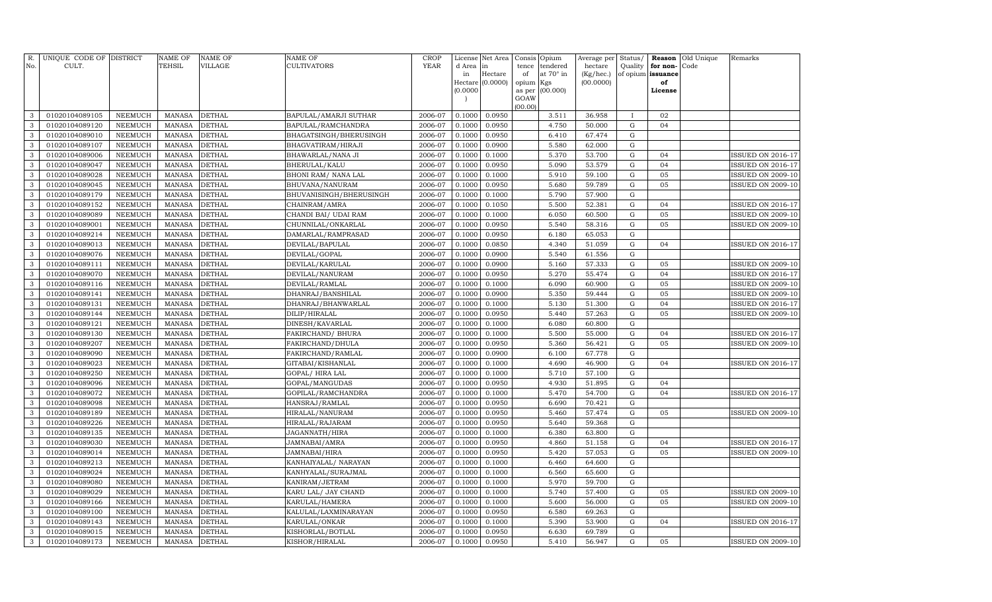| No.          | R. UNIQUE CODE OF DISTRICT<br>CULT. |                                  | <b>NAME OF</b><br>TEHSIL       | NAME OF<br>VILLAGE             | <b>NAME OF</b><br><b>CULTIVATORS</b>        | <b>CROP</b><br>YEAR | License<br>d Area | Net Area<br>in   | tence               | Consis Opium<br>tendered | Average per<br>hectare | Quality                | Status/ Reason<br>for non- | Old Unique<br>Code | Remarks                                              |
|--------------|-------------------------------------|----------------------------------|--------------------------------|--------------------------------|---------------------------------------------|---------------------|-------------------|------------------|---------------------|--------------------------|------------------------|------------------------|----------------------------|--------------------|------------------------------------------------------|
|              |                                     |                                  |                                |                                |                                             |                     | in                | Hectare          | of                  | at 70° in                | (Kg/hec.)              |                        | of opium issuance          |                    |                                                      |
|              |                                     |                                  |                                |                                |                                             |                     | (0.0000)          | Hectare (0.0000) | opium Kgs<br>as per | (00.000)                 | (00.0000)              |                        | of<br>License              |                    |                                                      |
|              |                                     |                                  |                                |                                |                                             |                     |                   |                  | GOAW                |                          |                        |                        |                            |                    |                                                      |
|              |                                     |                                  |                                |                                |                                             |                     |                   |                  | (00.00)             |                          |                        |                        |                            |                    |                                                      |
| 3            | 01020104089105                      | <b>NEEMUCH</b>                   | <b>MANASA</b>                  | <b>DETHAL</b>                  | BAPULAL/AMARJI SUTHAR                       | 2006-07             | 0.1000            | 0.0950           |                     | 3.511                    | 36.958                 | $\mathbf{I}$           | 02                         |                    |                                                      |
| 3            | 01020104089120                      | <b>NEEMUCH</b>                   | <b>MANASA</b>                  | <b>DETHAL</b>                  | BAPULAL/RAMCHANDRA                          | 2006-07             | 0.1000            | 0.0950           |                     | 4.750                    | 50.000                 | ${\rm G}$              | 04                         |                    |                                                      |
| 3            | 01020104089010                      | <b>NEEMUCH</b>                   | <b>MANASA</b>                  | <b>DETHAL</b>                  | BHAGATSINGH/BHERUSINGH                      | 2006-07             | 0.1000            | 0.0950           |                     | 6.410                    | 67.474                 | ${\bf G}$              |                            |                    |                                                      |
| $\mathbf{3}$ | 01020104089107                      | <b>NEEMUCH</b>                   | MANASA                         | <b>DETHAL</b>                  | BHAGVATIRAM/HIRAJI                          | 2006-07             | 0.1000            | 0.0900           |                     | 5.580                    | 62.000                 | ${\bf G}$              |                            |                    |                                                      |
| 3            | 01020104089006                      | <b>NEEMUCH</b>                   | <b>MANASA</b>                  | <b>DETHAL</b>                  | BHAWARLAL/NANA JI                           | 2006-07             | 0.1000            | 0.1000           |                     | 5.370                    | 53.700                 | $\mathbf G$            | 04                         |                    | <b>ISSUED ON 2016-17</b>                             |
| $\mathbf{3}$ | 01020104089047                      | <b>NEEMUCH</b>                   | <b>MANASA</b>                  | <b>DETHAL</b>                  | BHERULAL/KALU                               | 2006-07             | 0.1000            | 0.0950           |                     | 5.090                    | 53.579                 | ${\rm G}$              | 04                         |                    | ISSUED ON 2016-17                                    |
| 3            | 01020104089028                      | <b>NEEMUCH</b>                   | <b>MANASA</b>                  | <b>DETHAL</b>                  | BHONI RAM/ NANA LAL                         | 2006-07             | 0.1000            | 0.1000           |                     | 5.910                    | 59.100                 | ${\bf G}$              | 05                         |                    | <b>ISSUED ON 2009-10</b>                             |
| $\mathbf{3}$ | 01020104089045                      | <b>NEEMUCH</b>                   | <b>MANASA</b>                  | <b>DETHAL</b>                  | BHUVANA/NANURAM                             | 2006-07             | 0.1000            | 0.0950           |                     | 5.680                    | 59.789                 | ${\rm G}$              | 05                         |                    | <b>ISSUED ON 2009-10</b>                             |
| 3            | 01020104089179                      | <b>NEEMUCH</b>                   | <b>MANASA</b>                  | <b>DETHAL</b>                  | BHUVANISINGH/BHERUSINGH                     | 2006-07             | 0.1000            | 0.1000           |                     | 5.790                    | 57.900                 | ${\bf G}$              |                            |                    |                                                      |
| 3            | 01020104089152                      | <b>NEEMUCH</b>                   | <b>MANASA</b>                  | <b>DETHAL</b>                  | CHAINRAM/AMRA                               | 2006-07             | 0.1000            | 0.1050           |                     | 5.500                    | 52.381                 | ${\rm G}$              | 04                         |                    | ISSUED ON 2016-17                                    |
| 3<br>3       | 01020104089089<br>01020104089001    | <b>NEEMUCH</b><br><b>NEEMUCH</b> | <b>MANASA</b><br><b>MANASA</b> | <b>DETHAL</b><br><b>DETHAL</b> | CHANDI BAI / UDAI RAM<br>CHUNNILAL/ONKARLAL | 2006-07<br>2006-07  | 0.1000<br>0.1000  | 0.1000<br>0.0950 |                     | 6.050<br>5.540           | 60.500<br>58.316       | ${\bf G}$<br>${\bf G}$ | 05<br>05                   |                    | <b>ISSUED ON 2009-10</b><br><b>ISSUED ON 2009-10</b> |
| 3            | 01020104089214                      | NEEMUCH                          | <b>MANASA</b>                  | <b>DETHAL</b>                  | DAMARLAL/RAMPRASAD                          | 2006-07             | 0.1000            | 0.0950           |                     | 6.180                    | 65.053                 | ${\bf G}$              |                            |                    |                                                      |
| 3            | 01020104089013                      | <b>NEEMUCH</b>                   | <b>MANASA</b>                  | <b>DETHAL</b>                  | DEVILAL/BAPULAL                             | 2006-07             | 0.1000            | 0.0850           |                     | 4.340                    | 51.059                 | ${\rm G}$              | 04                         |                    | ISSUED ON 2016-17                                    |
| 3            | 01020104089076                      | NEEMUCH                          | <b>MANASA</b>                  | <b>DETHAL</b>                  | DEVILAL/GOPAL                               | 2006-07             | 0.1000            | 0.0900           |                     | 5.540                    | 61.556                 | ${\bf G}$              |                            |                    |                                                      |
| 3            | 01020104089111                      | <b>NEEMUCH</b>                   | <b>MANASA</b>                  | <b>DETHAL</b>                  | DEVILAL/KARULAL                             | 2006-07             | 0.1000            | 0.0900           |                     | 5.160                    | 57.333                 | ${\bf G}$              | 05                         |                    | <b>ISSUED ON 2009-10</b>                             |
| 3            | 01020104089070                      | NEEMUCH                          | <b>MANASA</b>                  | <b>DETHAL</b>                  | DEVILAL/NANURAM                             | 2006-07             | 0.1000            | 0.0950           |                     | 5.270                    | 55.474                 | ${\bf G}$              | 04                         |                    | <b>ISSUED ON 2016-17</b>                             |
| 3            | 01020104089116                      | NEEMUCH                          | <b>MANASA</b>                  | <b>DETHAL</b>                  | DEVILAL/RAMLAL                              | 2006-07             | 0.1000            | 0.1000           |                     | 6.090                    | 60.900                 | ${\bf G}$              | 05                         |                    | <b>ISSUED ON 2009-10</b>                             |
| 3            | 01020104089141                      | NEEMUCH                          | MANASA                         | <b>DETHAL</b>                  | DHANRAJ/BANSHILAL                           | 2006-07             | 0.1000            | 0.0900           |                     | 5.350                    | 59.444                 | ${\bf G}$              | 05                         |                    | <b>ISSUED ON 2009-10</b>                             |
| 3            | 01020104089131                      | <b>NEEMUCH</b>                   | <b>MANASA</b>                  | <b>DETHAL</b>                  | DHANRAJ/BHANWARLAL                          | 2006-07             | 0.1000            | 0.1000           |                     | 5.130                    | 51.300                 | $\mathbf G$            | 04                         |                    | <b>ISSUED ON 2016-17</b>                             |
| 3            | 01020104089144                      | NEEMUCH                          | <b>MANASA</b>                  | <b>DETHAL</b>                  | DILIP/HIRALAL                               | 2006-07             | 0.1000            | 0.0950           |                     | 5.440                    | 57.263                 | $\mathbf G$            | 05                         |                    | <b>ISSUED ON 2009-10</b>                             |
| 3            | 01020104089121                      | NEEMUCH                          | <b>MANASA</b>                  | <b>DETHAL</b>                  | DINESH/KAVARLAL                             | 2006-07             | 0.1000            | 0.1000           |                     | 6.080                    | 60.800                 | $\mathbf G$            |                            |                    |                                                      |
| 3            | 01020104089130                      | NEEMUCH                          | <b>MANASA</b>                  | <b>DETHAL</b>                  | FAKIRCHAND/ BHURA                           | 2006-07             | 0.1000            | 0.1000           |                     | 5.500                    | 55.000                 | $\mathbf G$            | 04                         |                    | ISSUED ON 2016-17                                    |
| 3            | 01020104089207                      | <b>NEEMUCH</b>                   | <b>MANASA</b>                  | <b>DETHAL</b>                  | FAKIRCHAND/DHULA                            | 2006-07             | 0.1000            | 0.0950           |                     | 5.360                    | 56.421                 | $\mathbf G$            | 05                         |                    | <b>ISSUED ON 2009-10</b>                             |
| 3            | 01020104089090                      | <b>NEEMUCH</b>                   | <b>MANASA</b>                  | <b>DETHAL</b>                  | FAKIRCHAND/RAMLAL                           | 2006-07             | 0.1000            | 0.0900           |                     | 6.100                    | 67.778                 | $\mathbf G$            |                            |                    |                                                      |
| 3            | 01020104089023                      | NEEMUCH                          | <b>MANASA</b>                  | <b>DETHAL</b>                  | GITABAI/KISHANLAL                           | 2006-07             | 0.1000            | 0.1000           |                     | 4.690                    | 46.900                 | $\mathbf G$            | 04                         |                    | ISSUED ON 2016-17                                    |
| 3            | 01020104089250                      | <b>NEEMUCH</b>                   | <b>MANASA</b>                  | <b>DETHAL</b>                  | GOPAL/HIRA LAL                              | 2006-07             | 0.1000            | 0.1000           |                     | 5.710                    | 57.100                 | $\mathbf G$            |                            |                    |                                                      |
| 3            | 01020104089096                      | <b>NEEMUCH</b>                   | <b>MANASA</b>                  | <b>DETHAL</b>                  | GOPAL/MANGUDAS                              | 2006-07             | 0.1000            | 0.0950           |                     | 4.930                    | 51.895                 | $\mathbf G$            | 04                         |                    |                                                      |
| 3            | 01020104089072                      | <b>NEEMUCH</b>                   | <b>MANASA</b>                  | <b>DETHAL</b>                  | GOPILAL/RAMCHANDRA                          | 2006-07             | 0.1000            | 0.1000           |                     | 5.470                    | 54.700                 | G                      | 04                         |                    | <b>ISSUED ON 2016-17</b>                             |
| 3            | 01020104089098                      | <b>NEEMUCH</b>                   | <b>MANASA</b>                  | <b>DETHAL</b>                  | HANSRAJ/RAMLAL                              | 2006-07             | 0.1000            | 0.0950           |                     | 6.690                    | 70.421                 | $\mathbf G$            |                            |                    |                                                      |
| 3            | 01020104089189                      | <b>NEEMUCH</b>                   | <b>MANASA</b>                  | <b>DETHAL</b>                  | HIRALAL/NANURAM                             | 2006-07             | 0.1000            | 0.0950           |                     | 5.460                    | 57.474                 | $\mathbf G$            | 05                         |                    | <b>ISSUED ON 2009-10</b>                             |
| 3            | 01020104089226                      | <b>NEEMUCH</b>                   | <b>MANASA</b>                  | <b>DETHAL</b>                  | HIRALAL/RAJARAM                             | 2006-07             | 0.1000            | 0.0950           |                     | 5.640                    | 59.368                 | $\mathbf G$            |                            |                    |                                                      |
| 3            | 01020104089135                      | <b>NEEMUCH</b>                   | <b>MANASA</b>                  | <b>DETHAL</b>                  | JAGANNATH/HIRA                              | 2006-07             | 0.1000            | 0.1000           |                     | 6.380                    | 63.800                 | $\mathbf G$            |                            |                    |                                                      |
| 3            | 01020104089030                      | <b>NEEMUCH</b>                   | <b>MANASA</b>                  | <b>DETHAL</b>                  | JAMNABAI/AMRA                               | 2006-07             | 0.1000            | 0.0950           |                     | 4.860                    | 51.158                 | $\mathbf G$            | 04                         |                    | <b>ISSUED ON 2016-17</b>                             |
| 3            | 01020104089014                      | <b>NEEMUCH</b>                   | <b>MANASA</b>                  | <b>DETHAL</b>                  | JAMNABAI/HIRA                               | 2006-07             | 0.1000            | 0.0950           |                     | 5.420                    | 57.053                 | $\mathbf G$            | 05                         |                    | <b>ISSUED ON 2009-10</b>                             |
| 3            | 01020104089213                      | <b>NEEMUCH</b>                   | <b>MANASA</b>                  | <b>DETHAL</b>                  | KANHAIYALAL/ NARAYAN                        | 2006-07             | 0.1000            | 0.1000           |                     | 6.460                    | 64.600                 | $\mathbf G$            |                            |                    |                                                      |
| 3            | 01020104089024                      | <b>NEEMUCH</b>                   | <b>MANASA</b>                  | <b>DETHAL</b>                  | KANHYALAL/SURAJMAL                          | 2006-07             | 0.1000            | 0.1000           |                     | 6.560                    | 65.600                 | $\mathbf G$            |                            |                    |                                                      |
| 3            | 01020104089080                      | <b>NEEMUCH</b>                   | <b>MANASA</b>                  | <b>DETHAL</b>                  | KANIRAM/JETRAM                              | 2006-07             | 0.1000            | 0.1000           |                     | 5.970                    | 59.700                 | $\mathbf G$            |                            |                    |                                                      |
| 3            | 01020104089029                      | <b>NEEMUCH</b>                   | <b>MANASA</b>                  | <b>DETHAL</b>                  | KARU LAL/ JAY CHAND                         | 2006-07             | 0.1000            | 0.1000           |                     | 5.740                    | 57.400                 | $\mathbf G$            | 05                         |                    | <b>ISSUED ON 2009-10</b>                             |
| 3            | 01020104089166                      | <b>NEEMUCH</b>                   | <b>MANASA</b>                  | <b>DETHAL</b>                  | KARULAL/HAMERA                              | 2006-07             | 0.1000            | 0.1000           |                     | 5.600                    | 56.000                 | $\mathbf G$            | 05                         |                    | <b>ISSUED ON 2009-10</b>                             |
| 3            | 01020104089100                      | NEEMUCH                          | <b>MANASA</b>                  | <b>DETHAL</b>                  | KALULAL/LAXMINARAYAN                        | 2006-07             | 0.1000            | 0.0950           |                     | 6.580                    | 69.263                 | $\mathbf G$            |                            |                    |                                                      |
| 3            | 01020104089143                      | <b>NEEMUCH</b>                   | <b>MANASA</b>                  | <b>DETHAL</b>                  | KARULAL/ONKAR                               | 2006-07             | 0.1000            | 0.1000           |                     | 5.390                    | 53.900                 | G                      | 04                         |                    | <b>ISSUED ON 2016-17</b>                             |
| 3            | 01020104089015                      | <b>NEEMUCH</b>                   | <b>MANASA</b>                  | <b>DETHAL</b>                  | KISHORLAL/BOTLAL                            | 2006-07             | 0.1000            | 0.0950           |                     | 6.630                    | 69.789                 | $\mathbf G$            |                            |                    |                                                      |
| $\mathbf{3}$ | 01020104089173                      | <b>NEEMUCH</b>                   | MANASA                         | <b>DETHAL</b>                  | KISHOR/HIRALAL                              | 2006-07             | 0.1000            | 0.0950           |                     | 5.410                    | 56.947                 | $\mathbf G$            | 05                         |                    | <b>ISSUED ON 2009-10</b>                             |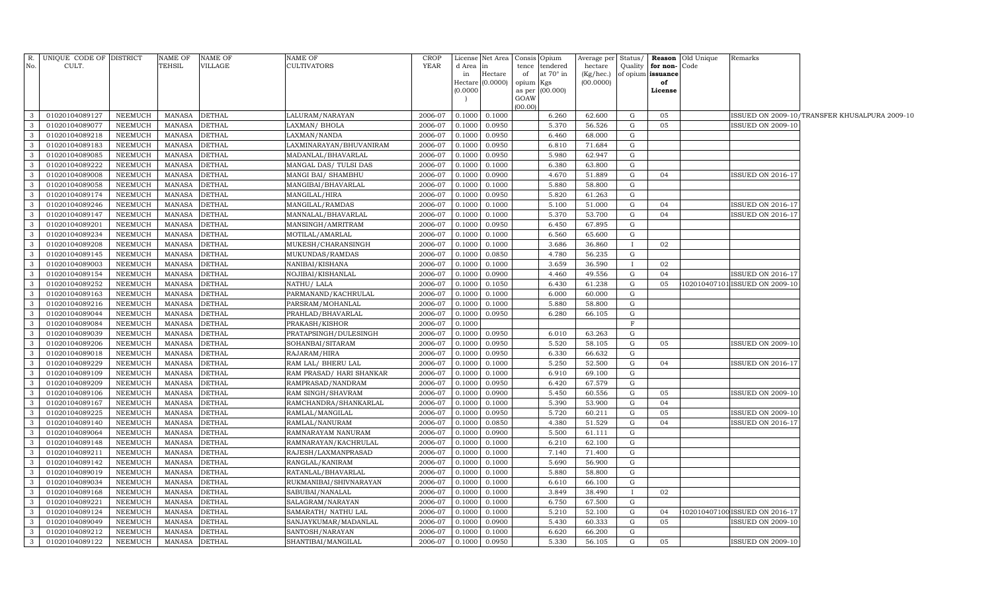| No.                          | R. UNIQUE CODE OF DISTRICT<br>CULT. |                    | NAME OF<br>TEHSIL              | <b>NAME OF</b><br><b>VILLAGE</b> | NAME OF<br><b>CULTIVATORS</b>                | <b>CROP</b><br><b>YEAR</b> | License<br>d Area | Net Area<br>in   |                 | Consis Opium<br>tence tendered | Average per Status/<br>hectare |              | Quality for non-Code | <b>Reason</b> Old Unique | Remarks                        |                                               |
|------------------------------|-------------------------------------|--------------------|--------------------------------|----------------------------------|----------------------------------------------|----------------------------|-------------------|------------------|-----------------|--------------------------------|--------------------------------|--------------|----------------------|--------------------------|--------------------------------|-----------------------------------------------|
|                              |                                     |                    |                                |                                  |                                              |                            | in                | Hectare          | of              | at 70° in                      | $(Kg/hec.)$ of opium issuance  |              |                      |                          |                                |                                               |
|                              |                                     |                    |                                |                                  |                                              |                            | Hectare           | (0.0000)         | opium Kgs       |                                | (00.0000)                      |              | of                   |                          |                                |                                               |
|                              |                                     |                    |                                |                                  |                                              |                            | (0.0000)          |                  |                 | as per (00.000)                |                                |              | License              |                          |                                |                                               |
|                              |                                     |                    |                                |                                  |                                              |                            |                   |                  | GOAW<br>(00.00) |                                |                                |              |                      |                          |                                |                                               |
| $\mathbf{3}$                 | 01020104089127                      | NEEMUCH            | MANASA                         | <b>DETHAL</b>                    | LALURAM/NARAYAN                              | 2006-07                    | 0.1000            | 0.1000           |                 | 6.260                          | 62.600                         | G            | 05                   |                          |                                | ISSUED ON 2009-10/TRANSFER KHUSALPURA 2009-10 |
| $\mathbf{3}$                 | 01020104089077                      | NEEMUCH            | MANASA                         | <b>DETHAL</b>                    | LAXMAN/ BHOLA                                | 2006-07                    | 0.1000            | 0.0950           |                 | 5.370                          | 56.526                         | G            | 05                   |                          | <b>ISSUED ON 2009-10</b>       |                                               |
| $\mathbf{3}$                 | 01020104089218                      | NEEMUCH            | MANASA                         | <b>DETHAL</b>                    | LAXMAN/NANDA                                 | 2006-07                    | 0.1000            | 0.0950           |                 | 6.460                          | 68.000                         | G            |                      |                          |                                |                                               |
| $\mathbf{3}$                 | 01020104089183                      | NEEMUCH            | <b>MANASA</b>                  | <b>DETHAL</b>                    | LAXMINARAYAN/BHUVANIRAM                      | 2006-07                    | 0.1000            | 0.0950           |                 | 6.810                          | 71.684                         | G            |                      |                          |                                |                                               |
| $\mathbf{3}$                 | 01020104089085                      | NEEMUCH            | <b>MANASA</b>                  | <b>DETHAL</b>                    | MADANLAL/BHAVARLAL                           | 2006-07                    | 0.1000            | 0.0950           |                 | 5.980                          | 62.947                         | G            |                      |                          |                                |                                               |
| $\mathbf{3}$                 | 01020104089222                      | NEEMUCH            | <b>MANASA</b>                  | <b>DETHAL</b>                    | MANGAL DAS/ TULSI DAS                        | 2006-07                    | 0.1000            | 0.1000           |                 | 6.380                          | 63.800                         | G            |                      |                          |                                |                                               |
| $\mathbf{3}$                 | 01020104089008                      | NEEMUCH            | <b>MANASA</b>                  | <b>DETHAL</b>                    | MANGI BAI/ SHAMBHU                           | 2006-07                    | 0.1000            | 0.0900           |                 | 4.670                          | 51.889                         | G            | 04                   |                          | <b>ISSUED ON 2016-17</b>       |                                               |
| $\mathbf{3}$                 | 01020104089058                      | NEEMUCH            | <b>MANASA</b>                  | <b>DETHAL</b>                    | MANGIBAI/BHAVARLAL                           | 2006-07                    | 0.1000            | 0.1000           |                 | 5.880                          | 58.800                         | G            |                      |                          |                                |                                               |
| $\mathbf{3}$                 | 01020104089174                      | NEEMUCH            | <b>MANASA</b>                  | <b>DETHAL</b>                    | MANGILAL/HIRA                                | 2006-07                    | 0.1000            | 0.0950           |                 | 5.820                          | 61.263                         | G            |                      |                          |                                |                                               |
| $\mathbf{3}$                 | 01020104089246                      | NEEMUCH            | <b>MANASA</b>                  | <b>DETHAL</b>                    | MANGILAL/RAMDAS                              | 2006-07                    | 0.1000            | 0.1000           |                 | 5.100                          | 51.000                         | G            | 04                   |                          | <b>ISSUED ON 2016-17</b>       |                                               |
| $\mathbf{3}$                 | 01020104089147                      | NEEMUCH            | <b>MANASA</b>                  | <b>DETHAL</b>                    | MANNALAL/BHAVARLAL                           | 2006-07                    | 0.1000            | 0.1000           |                 | 5.370                          | 53.700                         | G            | 04                   |                          | <b>ISSUED ON 2016-17</b>       |                                               |
| $\mathbf{3}$                 | 01020104089201                      | NEEMUCH            | <b>MANASA</b>                  | <b>DETHAL</b>                    | MANSINGH/AMRITRAM                            | 2006-07                    | 0.1000            | 0.0950           |                 | 6.450                          | 67.895                         | G            |                      |                          |                                |                                               |
| $\mathbf{3}$                 | 01020104089234                      | NEEMUCH            | MANASA                         | <b>DETHAL</b>                    | MOTILAL/AMARLAL                              | 2006-07                    | 0.1000            | 0.1000           |                 | 6.560                          | 65.600                         | G            |                      |                          |                                |                                               |
| $\mathbf{3}$                 | 01020104089208                      | NEEMUCH            | <b>MANASA</b>                  | <b>DETHAL</b>                    | MUKESH/CHARANSINGH                           | 2006-07                    | 0.1000            | 0.1000           |                 | 3.686                          | 36.860                         | $\mathbf{I}$ | 02                   |                          |                                |                                               |
| $\mathbf{3}$                 | 01020104089145                      | NEEMUCH            | <b>MANASA</b>                  | <b>DETHAL</b>                    | MUKUNDAS/RAMDAS                              | 2006-07                    | 0.1000            | 0.0850           |                 | 4.780                          | 56.235                         | G            |                      |                          |                                |                                               |
| $\mathbf{3}$                 | 01020104089003                      | NEEMUCH            | <b>MANASA</b>                  | <b>DETHAL</b>                    | NANIBAI/KISHANA                              | 2006-07                    | 0.1000            | 0.1000           |                 | 3.659                          | 36.590                         | Ι.           | 02                   |                          |                                |                                               |
| $\mathbf{3}$                 | 01020104089154                      | NEEMUCH            | <b>MANASA</b>                  | <b>DETHAL</b>                    | NOJIBAI/KISHANLAL                            | 2006-07                    | 0.1000            | 0.0900           |                 | 4.460                          | 49.556                         | G            | 04                   |                          | <b>ISSUED ON 2016-17</b>       |                                               |
| $\mathbf{3}$                 | 01020104089252                      | NEEMUCH            | <b>MANASA</b>                  | <b>DETHAL</b>                    | NATHU/ LALA                                  | 2006-07                    | 0.1000            | 0.1050           |                 | 6.430                          | 61.238                         | G            | 05                   |                          | 102010407101 ISSUED ON 2009-10 |                                               |
| $\mathbf{3}$                 | 01020104089163                      | NEEMUCH            | <b>MANASA</b>                  | <b>DETHAL</b>                    | PARMANAND/KACHRULAL                          | 2006-07                    | 0.1000            | 0.1000           |                 | 6.000                          | 60.000                         | G            |                      |                          |                                |                                               |
| $\mathbf{3}$                 | 01020104089216                      | NEEMUCH            | <b>MANASA</b>                  | <b>DETHAL</b>                    | PARSRAM/MOHANLAL                             | 2006-07                    | 0.1000            | 0.1000           |                 | 5.880                          | 58.800                         | G            |                      |                          |                                |                                               |
| 3                            | 01020104089044                      | NEEMUCH            | <b>MANASA</b>                  | <b>DETHAL</b>                    | PRAHLAD/BHAVARLAL                            | 2006-07                    | 0.1000            | 0.0950           |                 | 6.280                          | 66.105                         | G            |                      |                          |                                |                                               |
| $\mathbf{3}$                 | 01020104089084                      | NEEMUCH            | <b>MANASA</b>                  | <b>DETHAL</b>                    | PRAKASH/KISHOR                               | 2006-07                    | 0.1000            |                  |                 |                                |                                | F            |                      |                          |                                |                                               |
| $\mathbf{3}$                 | 01020104089039                      | NEEMUCH            | <b>MANASA</b>                  | <b>DETHAL</b>                    | PRATAPSINGH/DULESINGH                        | 2006-07                    | 0.1000            | 0.0950           |                 | 6.010                          | 63.263                         | G            |                      |                          |                                |                                               |
| $\overline{3}$               | 01020104089206                      | NEEMUCH            | <b>MANASA</b>                  | <b>DETHAL</b>                    | SOHANBAI/SITARAM                             | 2006-07                    | 0.1000            | 0.0950           |                 | 5.520                          | 58.105                         | G            | 05                   |                          | ISSUED ON 2009-10              |                                               |
| $\overline{3}$               | 01020104089018                      | NEEMUCH            | <b>MANASA</b>                  | <b>DETHAL</b>                    | RAJARAM/HIRA                                 | 2006-07                    | 0.1000            | 0.0950           |                 | 6.330                          | 66.632                         | G            |                      |                          |                                |                                               |
| $\mathbf{3}$                 | 01020104089229                      | NEEMUCH            | <b>MANASA</b>                  | <b>DETHAL</b>                    | RAM LAL/ BHERU LAL                           | 2006-07                    | 0.1000            | 0.1000           |                 | 5.250                          | 52.500                         | G            | 04                   |                          | <b>ISSUED ON 2016-17</b>       |                                               |
| $\mathbf{3}$                 | 01020104089109                      | NEEMUCH            | <b>MANASA</b>                  | <b>DETHAL</b>                    | RAM PRASAD/ HARI SHANKAR                     | 2006-07                    | 0.1000            | 0.1000           |                 | 6.910                          | 69.100                         | G            |                      |                          |                                |                                               |
| $\mathbf{3}$                 | 01020104089209                      | NEEMUCH            | <b>MANASA</b>                  | <b>DETHAL</b>                    | RAMPRASAD/NANDRAM                            | 2006-07                    | 0.1000            | 0.0950           |                 | 6.420                          | 67.579                         | G            |                      |                          |                                |                                               |
| $\mathbf{3}$                 | 01020104089106                      | NEEMUCH            | <b>MANASA</b>                  | <b>DETHAL</b>                    | RAM SINGH/SHAVRAM                            | 2006-07                    | 0.1000            | 0.0900           |                 | 5.450                          | 60.556                         | G            | 05                   |                          | ISSUED ON 2009-10              |                                               |
| $\mathbf{3}$                 | 01020104089167                      | NEEMUCH            | MANASA                         | <b>DETHAL</b>                    | RAMCHANDRA/SHANKARLAL                        | 2006-07                    | 0.1000            | 0.1000           |                 | 5.390                          | 53.900                         | G            | 04                   |                          |                                |                                               |
| $\mathbf{3}$                 | 01020104089225                      | NEEMUCH            | MANASA                         | <b>DETHAL</b>                    | RAMLAL/MANGILAL                              | 2006-07                    | 0.1000            | 0.0950           |                 | 5.720                          | 60.211                         | G            | 05                   |                          | ISSUED ON 2009-10              |                                               |
| $\mathbf{3}$                 | 01020104089140                      | <b>NEEMUCH</b>     | <b>MANASA</b>                  | <b>DETHAL</b>                    | RAMLAL/NANURAM                               | 2006-07                    | 0.1000            | 0.0850           |                 | 4.380                          | 51.529                         | G            | 04                   |                          | <b>ISSUED ON 2016-17</b>       |                                               |
| $\mathbf{3}$                 | 01020104089064                      | NEEMUCH            | <b>MANASA</b>                  | <b>DETHAL</b>                    | RAMNARAYAM NANURAM                           | 2006-07                    | 0.1000            | 0.0900           |                 | 5.500                          | 61.111                         | G            |                      |                          |                                |                                               |
| 3                            | 01020104089148                      | NEEMUCH            | <b>MANASA</b>                  | <b>DETHAL</b>                    | RAMNARAYAN/KACHRULAL                         | 2006-07                    | 0.1000            | 0.1000           |                 | 6.210                          | 62.100                         | G            |                      |                          |                                |                                               |
| $\mathbf{3}$                 | 01020104089211                      | NEEMUCH            | <b>MANASA</b>                  | <b>DETHAL</b>                    | RAJESH/LAXMANPRASAD                          | 2006-07                    | 0.1000            | 0.1000           |                 | 7.140                          | 71.400                         | G            |                      |                          |                                |                                               |
| $\mathbf{3}$<br>$\mathbf{3}$ | 01020104089142                      | NEEMUCH            | <b>MANASA</b>                  | <b>DETHAL</b>                    | RANGLAL/KANIRAM                              | 2006-07                    | 0.1000            | 0.1000           |                 | 5.690                          | 56.900                         | G            |                      |                          |                                |                                               |
| $\mathbf{3}$                 | 01020104089019<br>01020104089034    | NEEMUCH<br>NEEMUCH | <b>MANASA</b><br><b>MANASA</b> | <b>DETHAL</b><br><b>DETHAL</b>   | RATANLAL/BHAVARLAL<br>RUKMANIBAI/SHIVNARAYAN | 2006-07<br>2006-07         | 0.1000<br>0.1000  | 0.1000<br>0.1000 |                 | 5.880<br>6.610                 | 58.800<br>66.100               | G<br>G       |                      |                          |                                |                                               |
| $\mathbf{3}$                 | 01020104089168                      | NEEMUCH            | <b>MANASA</b>                  | <b>DETHAL</b>                    | SABUBAI/NANALAL                              | 2006-07                    | 0.1000            | 0.1000           |                 | 3.849                          | 38.490                         |              | 02                   |                          |                                |                                               |
| 3                            | 01020104089221                      | NEEMUCH            | <b>MANASA</b>                  | <b>DETHAL</b>                    | SALAGRAM/NARAYAN                             | 2006-07                    | 0.1000            | 0.1000           |                 | 6.750                          | 67.500                         | G            |                      |                          |                                |                                               |
| $\overline{3}$               | 01020104089124                      | NEEMUCH            | MANASA                         | <b>DETHAL</b>                    | SAMARATH / NATHU LAL                         | 2006-07                    | 0.1000            | 0.1000           |                 | 5.210                          | 52.100                         | G            | 04                   |                          | 102010407100 ISSUED ON 2016-17 |                                               |
| $\mathbf{3}$                 | 01020104089049                      | NEEMUCH            | <b>MANASA</b>                  | <b>DETHAL</b>                    | SANJAYKUMAR/MADANLAL                         | 2006-07                    | 0.1000            | 0.0900           |                 | 5.430                          | 60.333                         | G            | 05                   |                          | <b>ISSUED ON 2009-10</b>       |                                               |
| 3                            | 01020104089212                      | NEEMUCH            | <b>MANASA</b>                  | <b>DETHAL</b>                    | SANTOSH/NARAYAN                              | 2006-07                    | 0.1000            | 0.1000           |                 | 6.620                          | 66.200                         | G            |                      |                          |                                |                                               |
| $\mathbf{3}$                 | 01020104089122                      | NEEMUCH            | MANASA                         | <b>DETHAL</b>                    | SHANTIBAI/MANGILAL                           | 2006-07                    | 0.1000            | 0.0950           |                 | 5.330                          | 56.105                         | G            | 05                   |                          | <b>ISSUED ON 2009-10</b>       |                                               |
|                              |                                     |                    |                                |                                  |                                              |                            |                   |                  |                 |                                |                                |              |                      |                          |                                |                                               |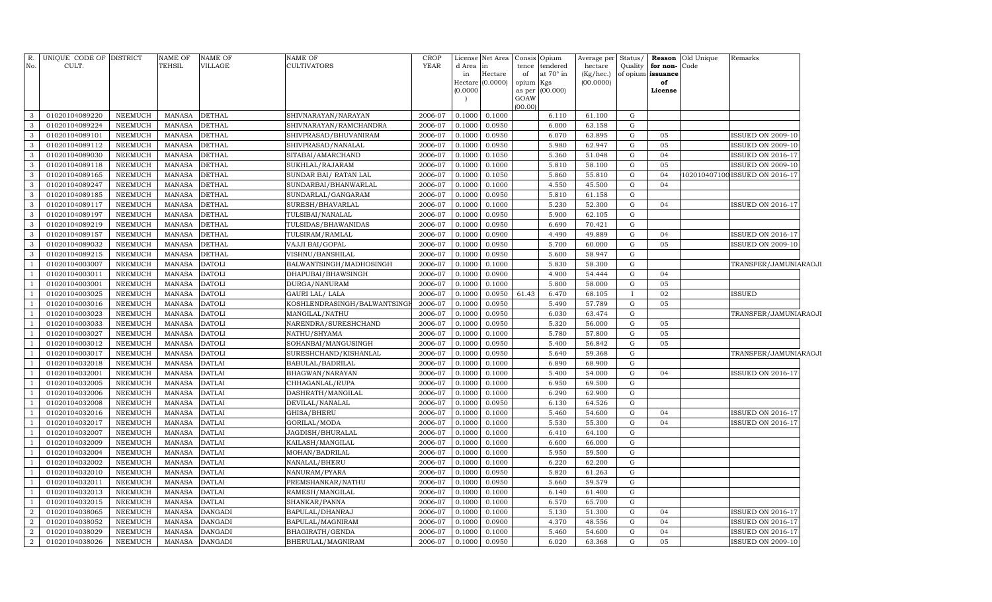| R.<br>No.      | UNIQUE CODE OF DISTRICT<br>CULT. |                | <b>NAME OF</b><br>TEHSIL | NAME OF<br>VILLAGE | NAME OF<br><b>CULTIVATORS</b> | <b>CROP</b><br><b>YEAR</b> | License<br>d Area<br>in<br>(0.0000) | Net Area<br>$\ln$<br>Hectare<br>Hectare (0.0000) | Consis<br>tence<br>of<br>opium Kgs<br>as per<br>GOAW | Opium<br>tendered<br>at 70° in<br>(00.000) | Average per<br>hectare<br>(Kg/hec.)<br>(00.0000) | Status/<br>Quality | for non-<br>of opium issuance<br>of<br>License | Reason Old Unique<br>Code | Remarks                       |  |
|----------------|----------------------------------|----------------|--------------------------|--------------------|-------------------------------|----------------------------|-------------------------------------|--------------------------------------------------|------------------------------------------------------|--------------------------------------------|--------------------------------------------------|--------------------|------------------------------------------------|---------------------------|-------------------------------|--|
|                |                                  |                |                          |                    |                               |                            |                                     |                                                  | (00.00)                                              |                                            |                                                  |                    |                                                |                           |                               |  |
| 3              | 01020104089220                   | <b>NEEMUCH</b> | <b>MANASA</b>            | <b>DETHAL</b>      | SHIVNARAYAN/NARAYAN           | 2006-07                    | 0.1000                              | 0.1000                                           |                                                      | 6.110                                      | 61.100                                           | G                  |                                                |                           |                               |  |
| 3              | 01020104089224                   | <b>NEEMUCH</b> | <b>MANASA</b>            | <b>DETHAL</b>      | SHIVNARAYAN/RAMCHANDRA        | 2006-07                    | 0.1000                              | 0.0950                                           |                                                      | 6.000                                      | 63.158                                           | ${\rm G}$          |                                                |                           |                               |  |
| 3              | 01020104089101                   | <b>NEEMUCH</b> | <b>MANASA</b>            | <b>DETHAL</b>      | SHIVPRASAD/BHUVANIRAM         | 2006-07                    | 0.1000                              | 0.0950                                           |                                                      | 6.070                                      | 63.895                                           | ${\rm G}$          | 05                                             |                           | <b>ISSUED ON 2009-10</b>      |  |
| 3              | 01020104089112                   | <b>NEEMUCH</b> | <b>MANASA</b>            | <b>DETHAL</b>      | SHIVPRASAD/NANALAL            | 2006-07                    | 0.1000                              | 0.0950                                           |                                                      | 5.980                                      | 62.947                                           | ${\rm G}$          | 05                                             |                           | <b>ISSUED ON 2009-10</b>      |  |
| 3              | 01020104089030                   | <b>NEEMUCH</b> | <b>MANASA</b>            | <b>DETHAL</b>      | SITABAI/AMARCHAND             | 2006-07                    | 0.1000                              | 0.1050                                           |                                                      | 5.360                                      | 51.048                                           | ${\rm G}$          | 04                                             |                           | <b>ISSUED ON 2016-17</b>      |  |
| $\mathbf{3}$   | 01020104089118                   | <b>NEEMUCH</b> | <b>MANASA</b>            | <b>DETHAL</b>      | SUKHLAL/RAJARAM               | 2006-07                    | 0.1000                              | 0.1000                                           |                                                      | 5.810                                      | 58.100                                           | ${\rm G}$          | 05                                             |                           | <b>ISSUED ON 2009-10</b>      |  |
| 3              | 01020104089165                   | <b>NEEMUCH</b> | <b>MANASA</b>            | <b>DETHAL</b>      | SUNDAR BAI/ RATAN LAL         | 2006-07                    | 0.1000                              | 0.1050                                           |                                                      | 5.860                                      | 55.810                                           | ${\rm G}$          | 04                                             |                           | 102010407100ISSUED ON 2016-17 |  |
| $\mathbf{3}$   | 01020104089247                   | <b>NEEMUCH</b> | <b>MANASA</b>            | <b>DETHAL</b>      | SUNDARBAI/BHANWARLAL          | 2006-07                    | 0.1000                              | 0.1000                                           |                                                      | 4.550                                      | 45.500                                           | ${\rm G}$          | 04                                             |                           |                               |  |
| 3              | 01020104089185                   | <b>NEEMUCH</b> | <b>MANASA</b>            | <b>DETHAL</b>      | SUNDARLAL/GANGARAM            | 2006-07                    | 0.1000                              | 0.0950                                           |                                                      | 5.810                                      | 61.158                                           | ${\rm G}$          |                                                |                           |                               |  |
| 3              | 01020104089117                   | <b>NEEMUCH</b> | <b>MANASA</b>            | <b>DETHAL</b>      | SURESH/BHAVARLAL              | 2006-07                    | 0.1000                              | 0.1000                                           |                                                      | 5.230                                      | 52.300                                           | ${\rm G}$          | 04                                             |                           | ISSUED ON 2016-17             |  |
| 3              | 01020104089197                   | <b>NEEMUCH</b> | <b>MANASA</b>            | <b>DETHAL</b>      | TULSIBAI/NANALAL              | 2006-07                    | 0.1000                              | 0.0950                                           |                                                      | 5.900                                      | 62.105                                           | ${\rm G}$          |                                                |                           |                               |  |
| 3              | 01020104089219                   | <b>NEEMUCH</b> | <b>MANASA</b>            | <b>DETHAL</b>      | TULSIDAS/BHAWANIDAS           | 2006-07                    | 0.1000                              | 0.0950                                           |                                                      | 6.690                                      | 70.421                                           | ${\rm G}$          |                                                |                           |                               |  |
| 3              | 01020104089157                   | <b>NEEMUCH</b> | <b>MANASA</b>            | <b>DETHAL</b>      | TULSIRAM/RAMLAL               | 2006-07                    | 0.1000                              | 0.0900                                           |                                                      | 4.490                                      | 49.889                                           | ${\rm G}$          | 04                                             |                           | <b>ISSUED ON 2016-17</b>      |  |
| 3              | 01020104089032                   | <b>NEEMUCH</b> | <b>MANASA</b>            | <b>DETHAL</b>      | VAJJI BAI/GOPAL               | 2006-07                    | 0.1000                              | 0.0950                                           |                                                      | 5.700                                      | 60.000                                           | ${\rm G}$          | 05                                             |                           | <b>ISSUED ON 2009-10</b>      |  |
| 3              | 01020104089215                   | <b>NEEMUCH</b> | <b>MANASA</b>            | <b>DETHAL</b>      | VISHNU/BANSHILAL              | 2006-07                    | 0.1000                              | 0.0950                                           |                                                      | 5.600                                      | 58.947                                           | ${\rm G}$          |                                                |                           |                               |  |
|                | 01020104003007                   | <b>NEEMUCH</b> | <b>MANASA</b>            | <b>DATOLI</b>      | BALWANTSINGH/MADHOSINGH       | 2006-07                    | 0.1000                              | 0.1000                                           |                                                      | 5.830                                      | 58.300                                           | ${\rm G}$          |                                                |                           | TRANSFER/JAMUNIARAOJI         |  |
|                | 01020104003011                   | <b>NEEMUCH</b> | <b>MANASA</b>            | <b>DATOLI</b>      | DHAPUBAI/BHAWSINGH            | 2006-07                    | 0.1000                              | 0.0900                                           |                                                      | 4.900                                      | 54.444                                           | ${\rm G}$          | 04                                             |                           |                               |  |
|                | 01020104003001                   | <b>NEEMUCH</b> | <b>MANASA</b>            | <b>DATOLI</b>      | DURGA/NANURAM                 | 2006-07                    | 0.1000                              | 0.1000                                           |                                                      | 5.800                                      | 58.000                                           | ${\rm G}$          | 05                                             |                           |                               |  |
|                | 01020104003025                   | <b>NEEMUCH</b> | <b>MANASA</b>            | <b>DATOLI</b>      | GAURI LAL/ LALA               | 2006-07                    | 0.1000                              | 0.0950                                           | 61.43                                                | 6.470                                      | 68.105                                           |                    | 02                                             |                           | <b>ISSUED</b>                 |  |
|                | 01020104003016                   | <b>NEEMUCH</b> | <b>MANASA</b>            | <b>DATOLI</b>      | KOSHLENDRASINGH/BALWANTSING   | 2006-07                    | 0.1000                              | 0.0950                                           |                                                      | 5.490                                      | 57.789                                           | G                  | 05                                             |                           |                               |  |
|                | 01020104003023                   | <b>NEEMUCH</b> | <b>MANASA</b>            | <b>DATOLI</b>      | MANGILAL/NATHU                | 2006-07                    | 0.1000                              | 0.0950                                           |                                                      | 6.030                                      | 63.474                                           | ${\rm G}$          |                                                |                           | TRANSFER/JAMUNIARAOJI         |  |
|                | 01020104003033                   | <b>NEEMUCH</b> | <b>MANASA</b>            | <b>DATOLI</b>      | NARENDRA/SURESHCHAND          | 2006-07                    | 0.1000                              | 0.0950                                           |                                                      | 5.320                                      | 56.000                                           | G                  | 05                                             |                           |                               |  |
|                | 01020104003027                   | <b>NEEMUCH</b> | <b>MANASA</b>            | <b>DATOLI</b>      | NATHU/SHYAMA                  | 2006-07                    | 0.1000                              | 0.1000                                           |                                                      | 5.780                                      | 57.800                                           | G                  | 05                                             |                           |                               |  |
|                | 01020104003012                   | <b>NEEMUCH</b> | <b>MANASA</b>            | <b>DATOLI</b>      | SOHANBAI/MANGUSINGH           | 2006-07                    | 0.1000                              | 0.0950                                           |                                                      | 5.400                                      | 56.842                                           | G                  | 05                                             |                           |                               |  |
|                | 01020104003017                   | <b>NEEMUCH</b> | <b>MANASA</b>            | <b>DATOLI</b>      | SURESHCHAND/KISHANLAL         | 2006-07                    | 0.1000                              | 0.0950                                           |                                                      | 5.640                                      | 59.368                                           | ${\rm G}$          |                                                |                           | TRANSFER/JAMUNIARAOJI         |  |
|                | 01020104032018                   | <b>NEEMUCH</b> | <b>MANASA</b>            | <b>DATLAI</b>      | BABULAL/BADRILAL              | 2006-07                    | 0.1000                              | 0.1000                                           |                                                      | 6.890                                      | 68.900                                           | ${\rm G}$          |                                                |                           |                               |  |
|                | 01020104032001                   | NEEMUCH        | <b>MANASA</b>            | <b>DATLAI</b>      | BHAGWAN/NARAYAN               | 2006-07                    | 0.1000                              | 0.1000                                           |                                                      | 5.400                                      | 54.000                                           | $\mathbf G$        | 04                                             |                           | <b>ISSUED ON 2016-17</b>      |  |
|                | 01020104032005                   | <b>NEEMUCH</b> | <b>MANASA</b>            | <b>DATLAI</b>      | CHHAGANLAL/RUPA               | 2006-07                    | 0.1000                              | 0.1000                                           |                                                      | 6.950                                      | 69.500                                           | $\mathbf G$        |                                                |                           |                               |  |
|                | 01020104032006                   | <b>NEEMUCH</b> | <b>MANASA</b>            | <b>DATLAI</b>      | DASHRATH/MANGILAL             | 2006-07                    | 0.1000                              | 0.1000                                           |                                                      | 6.290                                      | 62.900                                           | ${\rm G}$          |                                                |                           |                               |  |
|                | 01020104032008                   | <b>NEEMUCH</b> | <b>MANASA</b>            | <b>DATLAI</b>      | DEVILAL/NANALAL               | 2006-07                    | 0.1000                              | 0.0950                                           |                                                      | 6.130                                      | 64.526                                           | $\mathbf G$        |                                                |                           |                               |  |
|                | 01020104032016                   | NEEMUCH        | <b>MANASA</b>            | <b>DATLAI</b>      | GHISA/BHERU                   | 2006-07                    | 0.100                               | 0.1000                                           |                                                      | 5.460                                      | 54.600                                           | $\mathbf G$        | 04                                             |                           | <b>ISSUED ON 2016-17</b>      |  |
|                | 01020104032017                   | <b>NEEMUCH</b> | <b>MANASA</b>            | <b>DATLAI</b>      | GORILAL/MODA                  | 2006-07                    | 0.1000                              | 0.1000                                           |                                                      | 5.530                                      | 55.300                                           | $\mathbf G$        | 04                                             |                           | ISSUED ON 2016-17             |  |
|                | 01020104032007                   | <b>NEEMUCH</b> | <b>MANASA</b>            | <b>DATLAI</b>      | JAGDISH/BHURALAL              | 2006-07                    | 0.100                               | 0.1000                                           |                                                      | 6.410                                      | 64.100                                           | G                  |                                                |                           |                               |  |
|                | 01020104032009                   | <b>NEEMUCH</b> | <b>MANASA</b>            | <b>DATLAI</b>      | KAILASH/MANGILAL              | 2006-07                    | 0.1000                              | 0.1000                                           |                                                      | 6.600                                      | 66.000                                           | ${\rm G}$          |                                                |                           |                               |  |
|                | 01020104032004                   | <b>NEEMUCH</b> | <b>MANASA</b>            | <b>DATLAI</b>      | MOHAN/BADRILAL                | 2006-07                    | 0.100                               | 0.1000                                           |                                                      | 5.950                                      | 59.500                                           | G                  |                                                |                           |                               |  |
|                | 01020104032002                   | <b>NEEMUCH</b> | <b>MANASA</b>            | <b>DATLAI</b>      | NANALAL/BHERU                 | 2006-07                    | 0.1000                              | 0.1000                                           |                                                      | 6.220                                      | 62.200                                           | $\mathbf G$        |                                                |                           |                               |  |
|                | 01020104032010                   | <b>NEEMUCH</b> | <b>MANASA</b>            | <b>DATLAI</b>      | NANURAM/PYARA                 | 2006-07                    | 0.100                               | 0.0950                                           |                                                      | 5.820                                      | 61.263                                           | $\mathbf G$        |                                                |                           |                               |  |
|                | 01020104032011                   | <b>NEEMUCH</b> | <b>MANASA</b>            | <b>DATLAI</b>      | PREMSHANKAR/NATHU             | 2006-07                    | 0.1000                              | 0.0950                                           |                                                      | 5.660                                      | 59.579                                           | ${\rm G}$          |                                                |                           |                               |  |
|                | 01020104032013                   | <b>NEEMUCH</b> | <b>MANASA</b>            | <b>DATLAI</b>      | RAMESH/MANGILAL               | 2006-07                    | 0.1000                              | 0.1000                                           |                                                      | 6.140                                      | 61.400                                           | G                  |                                                |                           |                               |  |
|                | 01020104032015                   | <b>NEEMUCH</b> | <b>MANASA</b>            | <b>DATLAI</b>      | SHANKAR/PANNA                 | 2006-07                    | 0.1000                              | 0.1000                                           |                                                      | 6.570                                      | 65.700                                           | G                  |                                                |                           |                               |  |
| $\overline{2}$ | 01020104038065                   | <b>NEEMUCH</b> | <b>MANASA</b>            | DANGADI            | BAPULAL/DHANRAJ               | 2006-07                    | 0.100                               | 0.1000                                           |                                                      | 5.130                                      | 51.300                                           | $\mathbf G$        | 04                                             |                           | <b>ISSUED ON 2016-17</b>      |  |
| $\overline{2}$ | 01020104038052                   | <b>NEEMUCH</b> | <b>MANASA</b>            | <b>DANGADI</b>     | BAPULAL/MAGNIRAM              | 2006-07                    | 0.100                               | 0.0900                                           |                                                      | 4.370                                      | 48.556                                           | G                  | 04                                             |                           | <b>ISSUED ON 2016-17</b>      |  |
| $\overline{a}$ | 01020104038029                   | NEEMUCH        | <b>MANASA</b>            | <b>DANGADI</b>     | BHAGIRATH/GENDA               | 2006-07                    | 0.100                               | 0.1000                                           |                                                      | 5.460                                      | 54.600                                           | $\mathbf G$        | 04                                             |                           | <b>ISSUED ON 2016-17</b>      |  |
| $\overline{a}$ | 01020104038026                   | <b>NEEMUCH</b> | <b>MANASA</b>            | <b>DANGADI</b>     | BHERULAL/MAGNIRAM             | 2006-07                    | 0.1000                              | 0.0950                                           |                                                      | 6.020                                      | 63.368                                           | $\mathbf G$        | 05                                             |                           | <b>ISSUED ON 2009-10</b>      |  |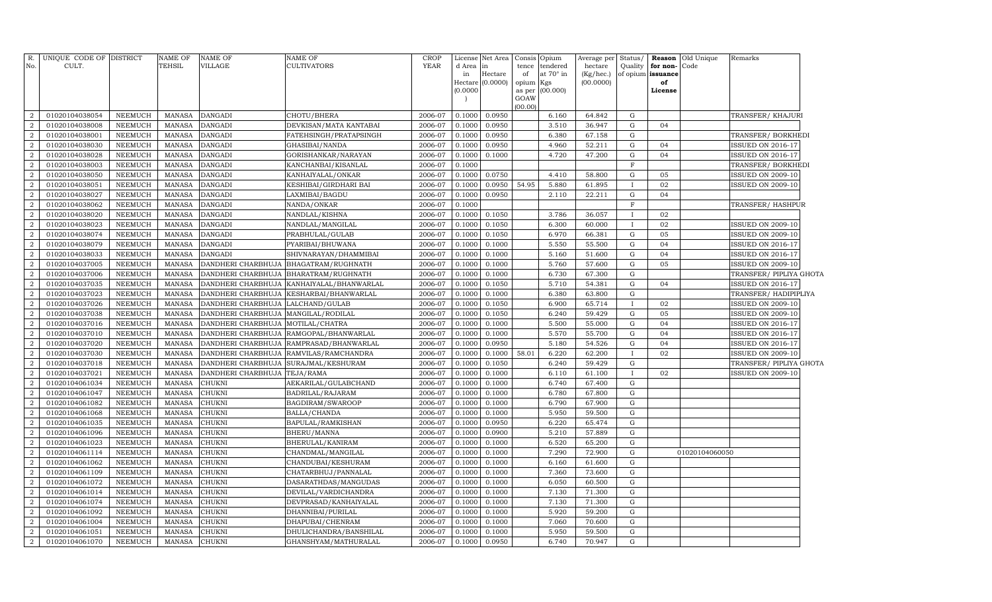| R.<br>No.                        | UNIQUE CODE OF DISTRICT<br>CULT. |                                  | NAME OF<br>TEHSIL              | <b>NAME OF</b><br>VILLAGE | <b>NAME OF</b><br>CULTIVATORS | CROP<br><b>YEAR</b> | License<br>d Area<br>in | Net Area<br>in<br>Hectare | Consis<br>tence<br>of | Opium<br>tendered<br>at 70° in | Average per<br>hectare<br>(Kg/hec.) | Status/<br>Quality<br>of opium | for non-<br>issuance | <b>Reason</b> Old Unique<br>Code | Remarks                  |  |
|----------------------------------|----------------------------------|----------------------------------|--------------------------------|---------------------------|-------------------------------|---------------------|-------------------------|---------------------------|-----------------------|--------------------------------|-------------------------------------|--------------------------------|----------------------|----------------------------------|--------------------------|--|
|                                  |                                  |                                  |                                |                           |                               |                     | Hectare                 | (0.0000)                  | opium Kgs             |                                | (00.0000)                           |                                | of                   |                                  |                          |  |
|                                  |                                  |                                  |                                |                           |                               |                     | (0.0000)                |                           | as per                | (00.000)                       |                                     |                                | License              |                                  |                          |  |
|                                  |                                  |                                  |                                |                           |                               |                     |                         |                           | GOAW                  |                                |                                     |                                |                      |                                  |                          |  |
| $\overline{2}$                   | 01020104038054                   | NEEMUCH                          | <b>MANASA</b>                  | <b>DANGADI</b>            | CHOTU/BHERA                   | 2006-07             | 0.1000                  | 0.0950                    | (00.00)               | 6.160                          | 64.842                              | G                              |                      |                                  | TRANSFER/ KHAJURI        |  |
| $\overline{2}$                   | 01020104038008                   | NEEMUCH                          | <b>MANASA</b>                  | <b>DANGADI</b>            | DEVKISAN/MATA KANTABAI        | 2006-07             | 0.1000                  | 0.0950                    |                       | 3.510                          | 36.947                              | G                              | 04                   |                                  |                          |  |
| $\overline{2}$                   | 01020104038001                   | NEEMUCH                          | <b>MANASA</b>                  | <b>DANGADI</b>            | FATEHSINGH/PRATAPSINGH        | 2006-07             | 0.1000                  | 0.0950                    |                       | 6.380                          | 67.158                              | G                              |                      |                                  | TRANSFER/ BORKHEDI       |  |
| $\overline{2}$                   | 01020104038030                   | NEEMUCH                          | <b>MANASA</b>                  | <b>DANGADI</b>            | GHASIBAI/NANDA                | 2006-07             | 0.1000                  | 0.0950                    |                       | 4.960                          | 52.211                              | G                              | 04                   |                                  | <b>ISSUED ON 2016-17</b> |  |
| $\overline{2}$                   | 01020104038028                   | NEEMUCH                          | <b>MANASA</b>                  | <b>DANGADI</b>            | GORISHANKAR/NARAYAN           | 2006-07             | 0.1000                  | 0.1000                    |                       | 4.720                          | 47.200                              | G                              | 04                   |                                  | <b>ISSUED ON 2016-17</b> |  |
| $\boldsymbol{2}$                 | 01020104038003                   | NEEMUCH                          | <b>MANASA</b>                  | <b>DANGADI</b>            | KANCHANBAI/KISANLAL           | 2006-07             | 0.1000                  |                           |                       |                                |                                     | F                              |                      |                                  | TRANSFER/ BORKHEDI       |  |
| $\overline{2}$                   | 01020104038050                   | NEEMUCH                          | <b>MANASA</b>                  | <b>DANGADI</b>            | KANHAIYALAL/ONKAR             | 2006-07             | 0.1000                  | 0.0750                    |                       | 4.410                          | 58.800                              | G                              | 05                   |                                  | <b>ISSUED ON 2009-10</b> |  |
| $\overline{a}$                   | 01020104038051                   | NEEMUCH                          | <b>MANASA</b>                  | <b>DANGADI</b>            | KESHIBAI/GIRDHARI BAI         | 2006-07             | 0.1000                  | 0.0950                    | 54.95                 | 5.880                          | 61.895                              | T                              | 02                   |                                  | <b>ISSUED ON 2009-10</b> |  |
| $\overline{2}$                   | 01020104038027                   | NEEMUCH                          | <b>MANASA</b>                  | <b>DANGADI</b>            | LAXMIBAI/BAGDU                | 2006-07             | 0.1000                  | 0.0950                    |                       | 2.110                          | 22.211                              | G                              | 04                   |                                  |                          |  |
| $\overline{2}$                   | 01020104038062                   | NEEMUCH                          | <b>MANASA</b>                  | <b>DANGADI</b>            | NANDA/ONKAR                   | 2006-07             | 0.1000                  |                           |                       |                                |                                     | F                              |                      |                                  | TRANSFER/HASHPUR         |  |
| $\overline{2}$                   | 01020104038020                   | <b>NEEMUCH</b>                   | <b>MANASA</b>                  | <b>DANGADI</b>            | NANDLAL/KISHNA                | 2006-07             | 0.1000                  | 0.1050                    |                       | 3.786                          | 36.057                              | $\mathbf{I}$                   | 02                   |                                  |                          |  |
| $\boldsymbol{2}$                 | 01020104038023                   | <b>NEEMUCH</b>                   | <b>MANASA</b>                  | <b>DANGADI</b>            | NANDLAL/MANGILAL              | 2006-07             | 0.1000                  | 0.1050                    |                       | 6.300                          | 60.000                              | T                              | 02                   |                                  | <b>ISSUED ON 2009-10</b> |  |
| $\overline{2}$                   | 01020104038074                   | NEEMUCH                          | <b>MANASA</b>                  | <b>DANGADI</b>            | PRABHULAL/GULAB               | 2006-07             | 0.1000                  | 0.1050                    |                       | 6.970                          | 66.381                              | ${\rm G}$                      | 05                   |                                  | <b>ISSUED ON 2009-10</b> |  |
| $\overline{2}$                   | 01020104038079                   | <b>NEEMUCH</b>                   | <b>MANASA</b>                  | <b>DANGADI</b>            | PYARIBAI/BHUWANA              | 2006-07             | 0.1000                  | 0.1000                    |                       | 5.550                          | 55.500                              | G                              | 04                   |                                  | <b>ISSUED ON 2016-17</b> |  |
| $\overline{2}$                   | 01020104038033                   | NEEMUCH                          | <b>MANASA</b>                  | <b>DANGADI</b>            | SHIVNARAYAN/DHAMMIBAI         | 2006-07             | 0.1000                  | 0.1000                    |                       | 5.160                          | 51.600                              | G                              | 04                   |                                  | ISSUED ON 2016-17        |  |
| $\overline{2}$                   | 01020104037005                   | NEEMUCH                          | <b>MANASA</b>                  | DANDHERI CHARBHUJA        | BHAGATRAM/RUGHNATH            | 2006-07             | 0.1000                  | 0.1000                    |                       | 5.760                          | 57.600                              | G                              | 05                   |                                  | <b>ISSUED ON 2009-10</b> |  |
| $\overline{2}$                   | 01020104037006                   | NEEMUCH                          | <b>MANASA</b>                  | DANDHERI CHARBHUJA        | BHARATRAM/RUGHNATH            | 2006-07             | 0.1000                  | 0.1000                    |                       | 6.730                          | 67.300                              | G                              |                      |                                  | TRANSFER/ PIPLIYA GHOTA  |  |
| $\boldsymbol{2}$                 | 01020104037035                   | <b>NEEMUCH</b>                   | <b>MANASA</b>                  | DANDHERI CHARBHUJA        | KANHAIYALAL/BHANWARLAL        | 2006-07             | 0.1000                  | 0.1050                    |                       | 5.710                          | 54.381                              | G                              | 04                   |                                  | <b>ISSUED ON 2016-17</b> |  |
| $\overline{2}$                   | 01020104037023                   | NEEMUCH                          | <b>MANASA</b>                  | DANDHERI CHARBHUJA        | KESHARBAI/BHANWARLAL          | 2006-07             | 0.1000                  | 0.1000                    |                       | 6.380                          | 63.800                              | G                              |                      |                                  | TRANSFER/ HADIPIPLIYA    |  |
| $\boldsymbol{2}$                 | 01020104037026                   | NEEMUCH                          | <b>MANASA</b>                  | DANDHERI CHARBHUJA        | LALCHAND/GULAB                | 2006-07             | 0.1000                  | 0.1050                    |                       | 6.900                          | 65.714                              |                                | 02                   |                                  | <b>ISSUED ON 2009-10</b> |  |
| $\overline{2}$                   | 01020104037038                   | NEEMUCH                          | <b>MANASA</b>                  | DANDHERI CHARBHUJA        | MANGILAL/RODILAL              | 2006-07             | 0.1000                  | 0.1050                    |                       | 6.240                          | 59.429                              | G                              | 05                   |                                  | ISSUED ON 2009-10        |  |
| $\overline{2}$                   | 01020104037016                   | NEEMUCH                          | <b>MANASA</b>                  | DANDHERI CHARBHUJA        | MOTILAL/CHATRA                | 2006-07             | 0.1000                  | 0.1000                    |                       | 5.500                          | 55.000                              | $\mathbf G$                    | 04                   |                                  | ISSUED ON 2016-17        |  |
| $\overline{2}$                   | 01020104037010                   | NEEMUCH                          | <b>MANASA</b>                  | DANDHERI CHARBHUJA        | RAMGOPAL/BHANWARLAL           | 2006-07             | 0.1000                  | 0.1000                    |                       | 5.570                          | 55.700                              | $\mathbf G$                    | 04                   |                                  | <b>ISSUED ON 2016-17</b> |  |
| $\boldsymbol{2}$                 | 01020104037020                   | NEEMUCH                          | <b>MANASA</b>                  | DANDHERI CHARBHUJA        | RAMPRASAD/BHANWARLAL          | 2006-07             | 0.1000                  | 0.0950                    |                       | 5.180                          | 54.526                              | $\mathbf G$                    | 04                   |                                  | <b>ISSUED ON 2016-17</b> |  |
| $\overline{2}$                   | 01020104037030                   | NEEMUCH                          | <b>MANASA</b>                  | DANDHERI CHARBHUJA        | RAMVILAS/RAMCHANDRA           | 2006-07             | 0.1000                  | 0.1000                    | 58.01                 | 6.220                          | 62.200                              | $\mathbf{I}$                   | 02                   |                                  | <b>ISSUED ON 2009-10</b> |  |
| $\overline{2}$                   | 01020104037018                   | <b>NEEMUCH</b>                   | <b>MANASA</b>                  | DANDHERI CHARBHUJA        | SURAJMAL/KESHURAM             | 2006-07             | 0.1000                  | 0.1050                    |                       | 6.240                          | 59.429                              | G                              |                      |                                  | TRANSFER/ PIPLIYA GHOTA  |  |
| $\overline{2}$                   | 01020104037021                   | <b>NEEMUCH</b>                   | <b>MANASA</b>                  | DANDHERI CHARBHUJA        | TEJA/RAMA                     | 2006-07             | 0.1000                  | 0.1000                    |                       | 6.110                          | 61.100                              | $\mathbf{I}$                   | 02                   |                                  | <b>ISSUED ON 2009-10</b> |  |
| $\overline{2}$                   | 01020104061034                   | <b>NEEMUCH</b>                   | <b>MANASA</b>                  | CHUKNI                    | AEKARILAL/GULABCHAND          | 2006-07             | 0.1000                  | 0.1000                    |                       | 6.740                          | 67.400                              | G                              |                      |                                  |                          |  |
| $\overline{2}$                   | 01020104061047                   | <b>NEEMUCH</b>                   | <b>MANASA</b>                  | CHUKNI                    | BADRILAL/RAJARAM              | 2006-07             | 0.1000                  | 0.1000                    |                       | 6.780                          | 67.800                              | G                              |                      |                                  |                          |  |
| $\boldsymbol{2}$                 | 01020104061082                   | <b>NEEMUCH</b>                   | <b>MANASA</b>                  | CHUKNI                    | BAGDIRAM/SWAROOP              | 2006-07             | 0.1000                  | 0.1000                    |                       | 6.790                          | 67.900                              | $\mathbf G$                    |                      |                                  |                          |  |
| $\overline{2}$                   | 01020104061068                   | <b>NEEMUCH</b>                   | <b>MANASA</b>                  | CHUKNI                    | BALLA/CHANDA                  | 2006-07             | 0.1000                  | 0.1000                    |                       | 5.950                          | 59.500                              | G                              |                      |                                  |                          |  |
| $\overline{2}$                   | 01020104061035                   | <b>NEEMUCH</b>                   | <b>MANASA</b>                  | CHUKNI                    | BAPULAL/RAMKISHAN             | 2006-07             | 0.1000                  | 0.0950                    |                       | 6.220                          | 65.474                              | $\mathbf G$                    |                      |                                  |                          |  |
| $\overline{2}$                   | 01020104061096                   | NEEMUCH                          | <b>MANASA</b>                  | CHUKNI                    | BHERU/MANNA                   | 2006-07             | 0.1000                  | 0.0900                    |                       | 5.210                          | 57.889                              | G                              |                      |                                  |                          |  |
| $\overline{2}$                   | 01020104061023                   | NEEMUCH                          | <b>MANASA</b>                  | CHUKNI                    | BHERULAL/KANIRAM              | 2006-07             | 0.1000                  | 0.1000                    |                       | 6.520                          | 65.200                              | G                              |                      |                                  |                          |  |
| $\overline{2}$                   | 01020104061114                   | NEEMUCH                          | <b>MANASA</b>                  | CHUKNI                    | CHANDMAL/MANGILAL             | 2006-07             | 0.1000                  | 0.1000                    |                       | 7.290                          | 72.900                              | G                              |                      | 01020104060050                   |                          |  |
| $\overline{2}$                   | 01020104061062                   | <b>NEEMUCH</b>                   | <b>MANASA</b>                  | CHUKNI                    | CHANDUBAI/KESHURAM            | 2006-07             | 0.1000                  | 0.1000                    |                       | 6.160                          | 61.600                              | $\mathbf G$                    |                      |                                  |                          |  |
| $\overline{2}$                   | 01020104061109                   | NEEMUCH                          | <b>MANASA</b>                  | CHUKNI                    | CHATARBHUJ/PANNALAL           | 2006-07             | 0.1000                  | 0.1000                    |                       | 7.360                          | 73.600                              | G                              |                      |                                  |                          |  |
| $\overline{2}$                   | 01020104061072                   | <b>NEEMUCH</b>                   | <b>MANASA</b>                  | CHUKNI                    | DASARATHDAS/MANGUDAS          | 2006-07             | 0.1000                  | 0.1000                    |                       | 6.050                          | 60.500                              | $\mathbf G$                    |                      |                                  |                          |  |
| $\overline{2}$                   | 01020104061014                   | <b>NEEMUCH</b>                   | <b>MANASA</b>                  | CHUKNI                    | DEVILAL/VARDICHANDRA          | 2006-07             | 0.1000                  | 0.1000                    |                       | 7.130                          | 71.300                              | G                              |                      |                                  |                          |  |
| $\overline{2}$                   | 01020104061074                   | <b>NEEMUCH</b>                   | <b>MANASA</b>                  | CHUKNI                    | DEVPRASAD/KANHAIYALAL         | 2006-07             | 0.1000                  | 0.1000                    |                       | 7.130                          | 71.300                              | $\mathbf G$                    |                      |                                  |                          |  |
| $\overline{2}$                   | 01020104061092                   | <b>NEEMUCH</b>                   | <b>MANASA</b>                  | CHUKNI                    | DHANNIBAI/PURILAL             | 2006-07             | 0.1000                  | 0.1000                    |                       | 5.920<br>7.060                 | 59.200                              | G<br>$\mathbf G$               |                      |                                  |                          |  |
| $\overline{a}$<br>$\overline{2}$ | 01020104061004                   | <b>NEEMUCH</b><br><b>NEEMUCH</b> | <b>MANASA</b><br><b>MANASA</b> | CHUKNI                    | DHAPUBAI/CHENRAM              | 2006-07             | 0.1000<br>0.1000        | 0.1000<br>0.1000          |                       | 5.950                          | 70.600<br>59.500                    | G                              |                      |                                  |                          |  |
|                                  | 01020104061051                   |                                  |                                | CHUKNI                    | DHULICHANDRA/BANSHILAL        | 2006-07             |                         |                           |                       | 6.740                          |                                     | G                              |                      |                                  |                          |  |
| $\overline{a}$                   | 01020104061070                   | NEEMUCH                          | MANASA                         | CHUKNI                    | GHANSHYAM/MATHURALAL          | 2006-07             | 0.1000                  | 0.0950                    |                       |                                | 70.947                              |                                |                      |                                  |                          |  |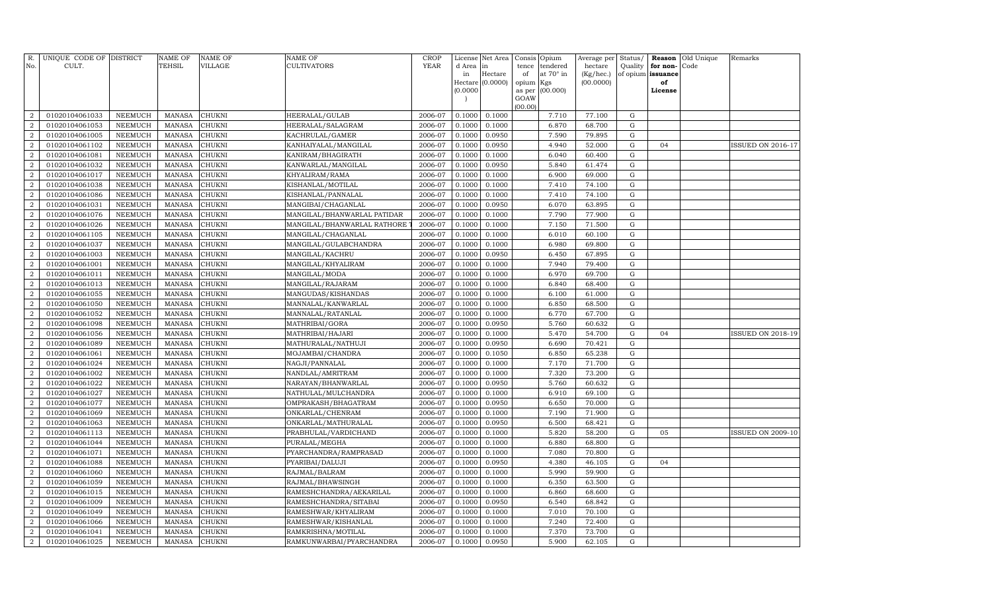| No.              | R. UNIQUE CODE OF DISTRICT<br>CULT. |                | <b>NAME OF</b><br>TEHSIL | <b>NAME OF</b><br><b>VILLAGE</b> | NAME OF<br>CULTIVATORS      | CROP<br><b>YEAR</b> | d Area in                            | License Net Area | Consis<br>tence | Opium<br>tendered | Average per<br>hectare | Status/<br>Quality | for non-          | <b>Reason</b> Old Unique<br>Code | Remarks                  |
|------------------|-------------------------------------|----------------|--------------------------|----------------------------------|-----------------------------|---------------------|--------------------------------------|------------------|-----------------|-------------------|------------------------|--------------------|-------------------|----------------------------------|--------------------------|
|                  |                                     |                |                          |                                  |                             |                     | in                                   | Hectare          | of              | at 70° in         | (Kg/hec.)              |                    | of opium issuance |                                  |                          |
|                  |                                     |                |                          |                                  |                             |                     |                                      | Hectare (0.0000) | opium           | Kgs               | (00.0000)              |                    | of                |                                  |                          |
|                  |                                     |                |                          |                                  |                             |                     | (0.0000)<br>$\overline{\phantom{a}}$ |                  | as per<br>GOAW  | (00.000)          |                        |                    | License           |                                  |                          |
|                  |                                     |                |                          |                                  |                             |                     |                                      |                  | (00.00)         |                   |                        |                    |                   |                                  |                          |
| $\overline{2}$   | 01020104061033                      | NEEMUCH        | <b>MANASA</b>            | <b>CHUKNI</b>                    | HEERALAL/GULAB              | 2006-07             | 0.1000                               | 0.1000           |                 | 7.710             | 77.100                 | G                  |                   |                                  |                          |
| $\overline{2}$   | 01020104061053                      | NEEMUCH        | <b>MANASA</b>            | CHUKNI                           | HEERALAL/SALAGRAM           | 2006-07             | 0.1000                               | 0.1000           |                 | 6.870             | 68.700                 | G                  |                   |                                  |                          |
| $\overline{2}$   | 01020104061005                      | NEEMUCH        | <b>MANASA</b>            | CHUKNI                           | KACHRULAL/GAMER             | 2006-07             | 0.1000                               | 0.0950           |                 | 7.590             | 79.895                 | ${\rm G}$          |                   |                                  |                          |
| $\overline{2}$   | 01020104061102                      | NEEMUCH        | <b>MANASA</b>            | CHUKNI                           | KANHAIYALAL/MANGILAL        | 2006-07             | 0.1000                               | 0.0950           |                 | 4.940             | 52.000                 | G                  | 04                |                                  | <b>ISSUED ON 2016-17</b> |
| $\overline{2}$   | 01020104061081                      | NEEMUCH        | <b>MANASA</b>            | CHUKNI                           | KANIRAM/BHAGIRATH           | 2006-07             | 0.1000                               | 0.1000           |                 | 6.040             | 60.400                 | G                  |                   |                                  |                          |
| $\overline{2}$   | 01020104061032                      | <b>NEEMUCH</b> | <b>MANASA</b>            | CHUKNI                           | KANWARLAL/MANGILAL          | 2006-07             | 0.1000                               | 0.0950           |                 | 5.840             | 61.474                 | G                  |                   |                                  |                          |
| $\overline{2}$   | 01020104061017                      | NEEMUCH        | <b>MANASA</b>            | CHUKNI                           | KHYALIRAM/RAMA              | 2006-07             | 0.1000                               | 0.1000           |                 | 6.900             | 69.000                 | $\mathbf G$        |                   |                                  |                          |
| $\overline{2}$   | 01020104061038                      | NEEMUCH        | <b>MANASA</b>            | CHUKNI                           | KISHANLAL/MOTILAL           | 2006-07             | 0.1000                               | 0.1000           |                 | 7.410             | 74.100                 | G                  |                   |                                  |                          |
| $\overline{2}$   | 01020104061086                      | <b>NEEMUCH</b> | <b>MANASA</b>            | CHUKNI                           | KISHANLAL/PANNALAL          | 2006-07             | 0.1000                               | 0.1000           |                 | 7.410             | 74.100                 | $\mathbf G$        |                   |                                  |                          |
| $\overline{2}$   | 01020104061031                      | NEEMUCH        | <b>MANASA</b>            | CHUKNI                           | MANGIBAI/CHAGANLAL          | 2006-07             | 0.1000                               | 0.0950           |                 | 6.070             | 63.895                 | G                  |                   |                                  |                          |
| $\overline{2}$   | 01020104061076                      | NEEMUCH        | <b>MANASA</b>            | CHUKNI                           | MANGILAL/BHANWARLAL PATIDAR | 2006-07             | 0.1000                               | 0.1000           |                 | 7.790             | 77.900                 | G                  |                   |                                  |                          |
| $\overline{2}$   | 01020104061026                      | <b>NEEMUCH</b> | <b>MANASA</b>            | CHUKNI                           | MANGILAL/BHANWARLAL RATHORE | 2006-07             | 0.1000                               | 0.1000           |                 | 7.150             | 71.500                 | G                  |                   |                                  |                          |
| $\overline{2}$   | 01020104061105                      | <b>NEEMUCH</b> | <b>MANASA</b>            | CHUKNI                           | MANGILAL/CHAGANLAL          | 2006-07             | 0.1000                               | 0.1000           |                 | 6.010             | 60.100                 | G                  |                   |                                  |                          |
| $\overline{2}$   | 01020104061037                      | <b>NEEMUCH</b> | <b>MANASA</b>            | CHUKNI                           | MANGILAL/GULABCHANDRA       | 2006-07             | 0.1000                               | 0.1000           |                 | 6.980             | 69.800                 | G                  |                   |                                  |                          |
| $\overline{2}$   | 01020104061003                      | <b>NEEMUCH</b> | <b>MANASA</b>            | CHUKNI                           | MANGILAL/KACHRU             | 2006-07             | 0.1000                               | 0.0950           |                 | 6.450             | 67.895                 | $\mathbf G$        |                   |                                  |                          |
| $\overline{2}$   | 01020104061001                      | <b>NEEMUCH</b> | <b>MANASA</b>            | CHUKNI                           | MANGILAL/KHYALIRAM          | 2006-07             | 0.1000                               | 0.1000           |                 | 7.940             | 79.400                 | G                  |                   |                                  |                          |
| $\overline{2}$   | 01020104061011                      | <b>NEEMUCH</b> | <b>MANASA</b>            | CHUKNI                           | MANGILAL/MODA               | 2006-07             | 0.1000                               | 0.1000           |                 | 6.970             | 69.700                 | $\mathbf G$        |                   |                                  |                          |
| $\overline{2}$   | 01020104061013                      | NEEMUCH        | <b>MANASA</b>            | CHUKNI                           | MANGILAL/RAJARAM            | 2006-07             | 0.1000                               | 0.1000           |                 | 6.840             | 68.400                 | G                  |                   |                                  |                          |
| $\overline{2}$   | 01020104061055                      | NEEMUCH        | <b>MANASA</b>            | CHUKNI                           | MANGUDAS/KISHANDAS          | 2006-07             | 0.1000                               | 0.1000           |                 | 6.100             | 61.000                 | G                  |                   |                                  |                          |
| $\overline{2}$   | 01020104061050                      | NEEMUCH        | <b>MANASA</b>            | CHUKNI                           | MANNALAL/KANWARLAL          | 2006-07             | 0.1000                               | 0.1000           |                 | 6.850             | 68.500                 | G                  |                   |                                  |                          |
| $\overline{2}$   | 01020104061052                      | <b>NEEMUCH</b> | <b>MANASA</b>            | CHUKNI                           | MANNALAL/RATANLAL           | 2006-07             | 0.1000                               | 0.1000           |                 | 6.770             | 67.700                 | G                  |                   |                                  |                          |
| $\overline{2}$   | 01020104061098                      | <b>NEEMUCH</b> | <b>MANASA</b>            | CHUKNI                           | MATHRIBAI/GORA              | 2006-07             | 0.1000                               | 0.0950           |                 | 5.760             | 60.632                 | G                  |                   |                                  |                          |
| $\overline{2}$   | 01020104061056                      | NEEMUCH        | <b>MANASA</b>            | CHUKNI                           | MATHRIBAI/HAJARI            | 2006-07             | 0.1000                               | 0.1000           |                 | 5.470             | 54.700                 | G                  | 04                |                                  | ISSUED ON 2018-19        |
| $\overline{2}$   | 01020104061089                      | NEEMUCH        | <b>MANASA</b>            | CHUKNI                           | MATHURALAL/NATHUJI          | 2006-07             | 0.1000                               | 0.0950           |                 | 6.690             | 70.421                 | G                  |                   |                                  |                          |
| $\overline{2}$   | 01020104061061                      | <b>NEEMUCH</b> | <b>MANASA</b>            | CHUKNI                           | MOJAMBAI/CHANDRA            | 2006-07             | 0.1000                               | 0.1050           |                 | 6.850             | 65.238                 | G                  |                   |                                  |                          |
| $\boldsymbol{2}$ | 01020104061024                      | NEEMUCH        | <b>MANASA</b>            | CHUKNI                           | NAGJI/PANNALAL              | 2006-07             | 0.1000                               | 0.1000           |                 | 7.170             | 71.700                 | G                  |                   |                                  |                          |
| $\overline{2}$   | 01020104061002                      | NEEMUCH        | <b>MANASA</b>            | CHUKNI                           | NANDLAL/AMRITRAM            | 2006-07             | 0.1000                               | 0.1000           |                 | 7.320             | 73.200                 | G                  |                   |                                  |                          |
| $\boldsymbol{2}$ | 01020104061022                      | NEEMUCH        | <b>MANASA</b>            | CHUKNI                           | NARAYAN/BHANWARLAL          | 2006-07             | 0.1000                               | 0.0950           |                 | 5.760             | 60.632                 | G                  |                   |                                  |                          |
| $\boldsymbol{2}$ | 01020104061027                      | NEEMUCH        | <b>MANASA</b>            | CHUKNI                           | NATHULAL/MULCHANDRA         | 2006-07             | 0.1000                               | 0.1000           |                 | 6.910             | 69.100                 | G                  |                   |                                  |                          |
| $\overline{2}$   | 01020104061077                      | <b>NEEMUCH</b> | <b>MANASA</b>            | CHUKNI                           | OMPRAKASH/BHAGATRAM         | 2006-07             | 0.1000                               | 0.0950           |                 | 6.650             | 70.000                 | G                  |                   |                                  |                          |
| $\overline{2}$   | 01020104061069                      | NEEMUCH        | <b>MANASA</b>            | CHUKNI                           | ONKARLAL/CHENRAM            | 2006-07             | 0.1000                               | 0.1000           |                 | 7.190             | 71.900                 | G                  |                   |                                  |                          |
| $\overline{2}$   | 01020104061063                      | <b>NEEMUCH</b> | <b>MANASA</b>            | CHUKNI                           | ONKARLAL/MATHURALAL         | 2006-07             | 0.1000                               | 0.0950           |                 | 6.500             | 68.421                 | G                  |                   |                                  |                          |
| $\overline{2}$   | 01020104061113                      | <b>NEEMUCH</b> | <b>MANASA</b>            | CHUKNI                           | PRABHULAL/VARDICHAND        | 2006-07             | 0.1000                               | 0.1000           |                 | 5.820             | 58.200                 | G                  | 05                |                                  | <b>ISSUED ON 2009-10</b> |
| $\boldsymbol{2}$ | 01020104061044                      | NEEMUCH        | <b>MANASA</b>            | CHUKNI                           | PURALAL/MEGHA               | 2006-07             | 0.1000                               | 0.1000           |                 | 6.880             | 68.800                 | G                  |                   |                                  |                          |
| $\boldsymbol{2}$ | 01020104061071                      | NEEMUCH        | <b>MANASA</b>            | CHUKNI                           | PYARCHANDRA/RAMPRASAD       | 2006-07             | 0.1000                               | 0.1000           |                 | 7.080             | 70.800                 | G                  |                   |                                  |                          |
| $\boldsymbol{2}$ | 01020104061088                      | NEEMUCH        | <b>MANASA</b>            | CHUKNI                           | PYARIBAI/DALUJI             | 2006-07             | 0.1000                               | 0.0950           |                 | 4.380             | 46.105                 | G                  | 04                |                                  |                          |
| $\overline{2}$   | 01020104061060                      | NEEMUCH        | <b>MANASA</b>            | CHUKNI                           | RAJMAL/BALRAM               | 2006-07             | 0.1000                               | 0.1000           |                 | 5.990             | 59.900                 | G                  |                   |                                  |                          |
| $\boldsymbol{2}$ | 01020104061059                      | NEEMUCH        | <b>MANASA</b>            | CHUKNI                           | RAJMAL/BHAWSINGH            | 2006-07             | 0.1000                               | 0.1000           |                 | 6.350             | 63.500                 | G                  |                   |                                  |                          |
| $\overline{2}$   | 01020104061015                      | <b>NEEMUCH</b> | <b>MANASA</b>            | CHUKNI                           | RAMESHCHANDRA/AEKARILAL     | 2006-07             | 0.1000                               | 0.1000           |                 | 6.860             | 68.600                 | $\mathbf G$        |                   |                                  |                          |
| $\boldsymbol{2}$ | 01020104061009                      | <b>NEEMUCH</b> | <b>MANASA</b>            | CHUKNI                           | RAMESHCHANDRA/SITABAI       | 2006-07             | 0.1000                               | 0.0950           |                 | 6.540             | 68.842                 | G                  |                   |                                  |                          |
| $\overline{2}$   | 01020104061049                      | <b>NEEMUCH</b> | <b>MANASA</b>            | CHUKNI                           | RAMESHWAR/KHYALIRAM         | 2006-07             | 0.1000                               | 0.1000           |                 | 7.010             | 70.100                 | G                  |                   |                                  |                          |
| $\overline{2}$   | 01020104061066                      | <b>NEEMUCH</b> | <b>MANASA</b>            | CHUKNI                           | RAMESHWAR/KISHANLAL         | 2006-07             | 0.1000                               | 0.1000           |                 | 7.240             | 72.400                 | G                  |                   |                                  |                          |
| $\boldsymbol{2}$ | 01020104061041                      | NEEMUCH        | <b>MANASA</b>            | CHUKNI                           | RAMKRISHNA/MOTILAL          | 2006-07             | 0.1000                               | 0.1000           |                 | 7.370             | 73.700                 | G                  |                   |                                  |                          |
| $\overline{a}$   | 01020104061025                      | NEEMUCH        | MANASA                   | <b>CHUKNI</b>                    | RAMKUNWARBAI/PYARCHANDRA    | 2006-07             | 0.1000                               | 0.0950           |                 | 5.900             | 62.105                 | $\mathbf G$        |                   |                                  |                          |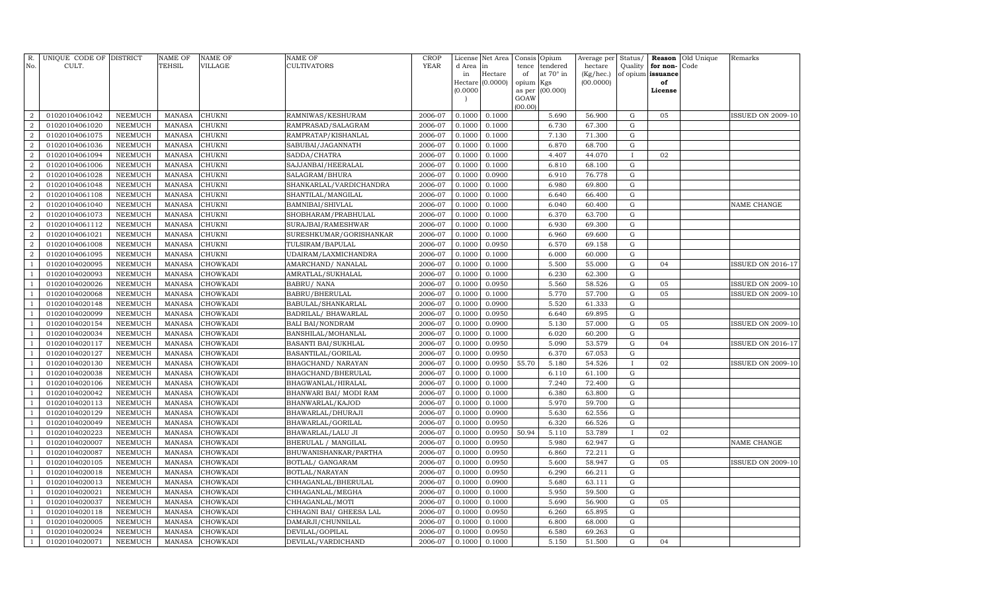| R.<br>No.        | UNIQUE CODE OF DISTRICT<br>CULT. |                                  | NAME OF<br>TEHSIL              | NAME OF<br>VILLAGE   | NAME OF<br>CULTIVATORS                     | <b>CROP</b><br>YEAR | License<br>d Area | Net Area<br>in   | Consis<br>tence | Opium<br>tendered | Average per<br>hectare | Status/<br>Quality       | Reason<br>for non- | Old Unique<br>Code | Remarks                  |
|------------------|----------------------------------|----------------------------------|--------------------------------|----------------------|--------------------------------------------|---------------------|-------------------|------------------|-----------------|-------------------|------------------------|--------------------------|--------------------|--------------------|--------------------------|
|                  |                                  |                                  |                                |                      |                                            |                     | in                | Hectare          | of              | at 70° in         | (Kg/hec.)              |                          | of opium issuance  |                    |                          |
|                  |                                  |                                  |                                |                      |                                            |                     |                   | Hectare (0.0000) | opium           | Kgs               | (00.0000)              |                          | of                 |                    |                          |
|                  |                                  |                                  |                                |                      |                                            |                     | (0.0000)          |                  | as per<br>GOAW  | (00.000)          |                        |                          | License            |                    |                          |
|                  |                                  |                                  |                                |                      |                                            |                     |                   |                  | (00.00)         |                   |                        |                          |                    |                    |                          |
| 2                | 01020104061042                   | NEEMUCH                          | <b>MANASA</b>                  | <b>CHUKNI</b>        | RAMNIWAS/KESHURAM                          | 2006-07             | 0.1000            | 0.1000           |                 | 5.690             | 56.900                 | G                        | 05                 |                    | <b>ISSUED ON 2009-10</b> |
| $\overline{2}$   | 01020104061020                   | <b>NEEMUCH</b>                   | <b>MANASA</b>                  | CHUKNI               | RAMPRASAD/SALAGRAM                         | 2006-07             | 0.1000            | 0.1000           |                 | 6.730             | 67.300                 | ${\rm G}$                |                    |                    |                          |
| $\overline{2}$   | 01020104061075                   | <b>NEEMUCH</b>                   | <b>MANASA</b>                  | <b>CHUKNI</b>        | RAMPRATAP/KISHANLAL                        | 2006-07             | 0.1000            | 0.1000           |                 | 7.130             | 71.300                 | ${\rm G}$                |                    |                    |                          |
| $\overline{a}$   | 01020104061036                   | <b>NEEMUCH</b>                   | <b>MANASA</b>                  | CHUKNI               | SABUBAI/JAGANNATH                          | 2006-07             | 0.1000            | 0.1000           |                 | 6.870             | 68.700                 | G                        |                    |                    |                          |
| $\overline{2}$   | 01020104061094                   | <b>NEEMUCH</b>                   | <b>MANASA</b>                  | <b>CHUKNI</b>        | SADDA/CHATRA                               | 2006-07             | 0.1000            | 0.1000           |                 | 4.407             | 44.070                 | $\bf{I}$                 | 02                 |                    |                          |
| $\boldsymbol{2}$ | 01020104061006                   | <b>NEEMUCH</b>                   | <b>MANASA</b>                  | <b>CHUKNI</b>        | SAJJANBAI/HEERALAL                         | 2006-07             | 0.1000            | 0.1000           |                 | 6.810             | 68.100                 | ${\rm G}$                |                    |                    |                          |
| 2                | 01020104061028                   | <b>NEEMUCH</b>                   | <b>MANASA</b>                  | <b>CHUKNI</b>        | SALAGRAM/BHURA                             | 2006-07             | 0.1000            | 0.0900           |                 | 6.910             | 76.778                 | ${\rm G}$                |                    |                    |                          |
| $\overline{a}$   | 01020104061048                   | <b>NEEMUCH</b>                   | <b>MANASA</b>                  | CHUKNI               | SHANKARLAL/VARDICHANDRA                    | 2006-07             | 0.1000            | 0.1000           |                 | 6.980             | 69.800                 | G                        |                    |                    |                          |
| $\overline{2}$   | 01020104061108                   | NEEMUCH                          | MANASA                         | CHUKNI               | SHANTILAL/MANGILAL                         | 2006-07             | 0.1000            | 0.1000           |                 | 6.640             | 66.400                 | ${\rm G}$                |                    |                    |                          |
| $\overline{2}$   | 01020104061040                   | <b>NEEMUCH</b>                   | <b>MANASA</b>                  | CHUKNI               | BAMNIBAI/SHIVLAL                           | 2006-07             | 0.1000            | 0.1000           |                 | 6.040             | 60.400                 | ${\rm G}$                |                    |                    | NAME CHANGE              |
| $\overline{2}$   | 01020104061073                   | <b>NEEMUCH</b>                   | <b>MANASA</b>                  | CHUKNI               | SHOBHARAM/PRABHULAL                        | 2006-07             | 0.1000            | 0.1000           |                 | 6.370             | 63.700                 | ${\rm G}$                |                    |                    |                          |
| $\overline{2}$   | 01020104061112                   | <b>NEEMUCH</b>                   | <b>MANASA</b>                  | CHUKNI               | SURAJBAI/RAMESHWAR                         | 2006-07             | 0.1000            | 0.1000           |                 | 6.930             | 69.300                 | ${\rm G}$                |                    |                    |                          |
| $\overline{2}$   | 01020104061021                   | <b>NEEMUCH</b>                   | <b>MANASA</b>                  | <b>CHUKNI</b>        | SURESHKUMAR/GORISHANKAR                    | 2006-07             | 0.1000            | 0.1000           |                 | 6.960             | 69.600                 | ${\rm G}$                |                    |                    |                          |
| $\overline{2}$   | 01020104061008                   | <b>NEEMUCH</b>                   | <b>MANASA</b>                  | <b>CHUKNI</b>        | TULSIRAM/BAPULAL                           | 2006-07             | 0.1000            | 0.0950           |                 | 6.570             | 69.158                 | ${\rm G}$                |                    |                    |                          |
| $\overline{2}$   | 01020104061095                   | <b>NEEMUCH</b>                   | <b>MANASA</b>                  | <b>CHUKNI</b>        | UDAIRAM/LAXMICHANDRA                       | 2006-07             | 0.1000            | 0.1000           |                 | 6.000             | 60.000                 | ${\rm G}$                |                    |                    |                          |
| $\overline{1}$   | 01020104020095                   | <b>NEEMUCH</b>                   | <b>MANASA</b>                  | CHOWKADI             | AMARCHAND/ NANALAL                         | 2006-07             | 0.1000            | 0.1000           |                 | 5.500             | 55.000                 | ${\rm G}$                | 04                 |                    | <b>ISSUED ON 2016-17</b> |
|                  | 01020104020093                   | <b>NEEMUCH</b>                   | <b>MANASA</b>                  | CHOWKADI             | AMRATLAL/SUKHALAL                          | 2006-07             | 0.1000            | 0.1000           |                 | 6.230             | 62.300                 | ${\rm G}$                |                    |                    |                          |
|                  | 01020104020026                   | <b>NEEMUCH</b>                   | <b>MANASA</b>                  | CHOWKADI             | <b>BABRU/ NANA</b>                         | 2006-07             | 0.1000            | 0.0950           |                 | 5.560             | 58.526                 | ${\rm G}$                | 05                 |                    | <b>ISSUED ON 2009-10</b> |
|                  | 01020104020068                   | <b>NEEMUCH</b>                   | <b>MANASA</b>                  | CHOWKADI             | BABRU/BHERULAL                             | 2006-07             | 0.1000            | 0.1000           |                 | 5.770             | 57.700                 | ${\rm G}$                | 05                 |                    | <b>ISSUED ON 2009-10</b> |
|                  | 01020104020148                   | <b>NEEMUCH</b>                   | <b>MANASA</b>                  | CHOWKADI             | BABULAL/SHANKARLAL                         | 2006-07             | 0.1000            | 0.0900           |                 | 5.520             | 61.333                 | ${\rm G}$                |                    |                    |                          |
|                  | 01020104020099                   | <b>NEEMUCH</b>                   | <b>MANASA</b>                  | <b>CHOWKADI</b>      | BADRILAL/ BHAWARLAL                        | 2006-07             | 0.1000            | 0.0950           |                 | 6.640             | 69.895                 | $\mathbf G$              |                    |                    |                          |
|                  | 01020104020154                   | <b>NEEMUCH</b>                   | <b>MANASA</b>                  | CHOWKADI             | <b>BALI BAI/NONDRAM</b>                    | 2006-07             | 0.1000            | 0.0900           |                 | 5.130             | 57.000                 | ${\bf G}$                | 05                 |                    | <b>ISSUED ON 2009-10</b> |
|                  | 01020104020034                   | NEEMUCH                          | <b>MANASA</b>                  | CHOWKADI             | BANSHILAL/MOHANLAL                         | 2006-07             | 0.1000            | 0.1000           |                 | 6.020             | 60.200                 | ${\bf G}$                |                    |                    |                          |
| -1               | 01020104020117                   | <b>NEEMUCH</b>                   | <b>MANASA</b>                  | CHOWKADI             | BASANTI BAI/SUKHLAL                        | 2006-07             | 0.1000            | 0.0950           |                 | 5.090             | 53.579                 | ${\rm G}$                | 04                 |                    | <b>ISSUED ON 2016-17</b> |
|                  | 01020104020127                   | <b>NEEMUCH</b>                   | <b>MANASA</b>                  | CHOWKADI             | BASANTILAL/GORILAL                         | 2006-07             | 0.1000            | 0.0950           |                 | 6.370             | 67.053                 | ${\bf G}$                |                    |                    |                          |
|                  | 01020104020130                   | <b>NEEMUCH</b>                   | <b>MANASA</b>                  | CHOWKADI             | BHAGCHAND/ NARAYAN                         | 2006-07             | 0.1000            | 0.0950           | 55.70           | 5.180             | 54.526                 |                          | 02                 |                    | <b>ISSUED ON 2009-10</b> |
|                  | 01020104020038                   | <b>NEEMUCH</b>                   | <b>MANASA</b>                  | CHOWKADI             | BHAGCHAND/BHERULAL                         | 2006-07             | 0.1000            | 0.1000           |                 | 6.110             | 61.100                 | ${\rm G}$                |                    |                    |                          |
|                  | 01020104020106                   | <b>NEEMUCH</b>                   | <b>MANASA</b>                  | CHOWKADI             | BHAGWANLAL/HIRALAL                         | 2006-07             | 0.1000            | 0.1000           |                 | 7.240             | 72.400                 | ${\rm G}$                |                    |                    |                          |
|                  | 01020104020042                   | <b>NEEMUCH</b>                   | <b>MANASA</b>                  | CHOWKADI             | BHANWARI BAI/ MODI RAM                     | 2006-07             | 0.1000            | 0.1000           |                 | 6.380             | 63.800                 | ${\rm G}$                |                    |                    |                          |
|                  | 01020104020113                   | <b>NEEMUCH</b>                   | <b>MANASA</b>                  | CHOWKADI             | BHANWARLAL/KAJOD                           | 2006-07             | 0.1000            | 0.1000           |                 | 5.970             | 59.700                 | ${\rm G}$                |                    |                    |                          |
|                  | 01020104020129                   | NEEMUCH                          | MANASA                         | CHOWKADI             | BHAWARLAL/DHURAJI                          | 2006-07             | 0.1000            | 0.0900           |                 | 5.630             | 62.556                 | ${\rm G}$                |                    |                    |                          |
|                  | 01020104020049                   | <b>NEEMUCH</b>                   | MANASA                         | CHOWKADI             | BHAWARLAL/GORILAL                          | 2006-07             | 0.1000            | 0.0950           |                 | 6.320             | 66.526                 | ${\rm G}$                |                    |                    |                          |
|                  | 01020104020223                   | NEEMUCH                          | <b>MANASA</b>                  | CHOWKADI             | BHAWARLAL/LALU JI                          | 2006-07             | 0.1000            | 0.0950           | 50.94           | 5.110             | 53.789                 | $\mathbf{I}$             | 02                 |                    |                          |
|                  | 01020104020007                   | <b>NEEMUCH</b>                   | <b>MANASA</b>                  | CHOWKADI             | BHERULAL / MANGILAL                        | 2006-07             | 0.1000            | 0.0950           |                 | 5.980             | 62.947                 | ${\rm G}$                |                    |                    | NAME CHANGE              |
|                  | 01020104020087                   | NEEMUCH                          | <b>MANASA</b>                  | CHOWKADI             | BHUWANISHANKAR/PARTHA                      | 2006-07             | 0.1000            | 0.0950           |                 | 6.860             | 72.211                 | ${\bf G}$<br>${\rm G}$   | 05                 |                    |                          |
|                  | 01020104020105                   | <b>NEEMUCH</b>                   | <b>MANASA</b>                  | CHOWKADI             | BOTLAL/ GANGARAM                           | 2006-07             | 0.1000            | 0.0950           |                 | 5.600             | 58.947                 |                          |                    |                    | <b>ISSUED ON 2009-10</b> |
|                  | 01020104020018                   | <b>NEEMUCH</b>                   | <b>MANASA</b>                  | CHOWKADI             | BOTLAL/NARAYAN                             | 2006-07             | 0.1000            | 0.0950           |                 | 6.290             | 66.211                 | ${\rm G}$                |                    |                    |                          |
|                  | 01020104020013<br>01020104020021 | <b>NEEMUCH</b><br><b>NEEMUCH</b> | <b>MANASA</b><br><b>MANASA</b> | CHOWKADI<br>CHOWKADI | CHHAGANLAL/BHERULAL                        | 2006-07<br>2006-07  | 0.1000<br>0.1000  | 0.0900<br>0.1000 |                 | 5.680<br>5.950    | 63.111<br>59.500       | ${\rm G}$<br>$\mathbf G$ |                    |                    |                          |
|                  |                                  | <b>NEEMUCH</b>                   | <b>MANASA</b>                  | CHOWKADI             | CHHAGANLAL/MEGHA                           | 2006-07             | 0.1000            | 0.1000           |                 | 5.690             | 56.900                 | ${\rm G}$                | 05                 |                    |                          |
|                  | 01020104020037<br>01020104020118 | <b>NEEMUCH</b>                   | <b>MANASA</b>                  | CHOWKADI             | CHHAGANLAL/MOTI<br>CHHAGNI BAI/ GHEESA LAL | 2006-07             | 0.1000            | 0.0950           |                 | 6.260             | 65.895                 | ${\bf G}$                |                    |                    |                          |
|                  | 01020104020005                   | <b>NEEMUCH</b>                   | <b>MANASA</b>                  | CHOWKADI             | DAMARJI/CHUNNILAL                          | 2006-07             | 0.1000            | 0.1000           |                 | 6.800             | 68.000                 | ${\rm G}$                |                    |                    |                          |
|                  | 01020104020024                   | NEEMUCH                          | <b>MANASA</b>                  | CHOWKADI             | DEVILAL/GOPILAL                            | 2006-07             | 0.1000            | 0.0950           |                 | 6.580             | 69.263                 | ${\rm G}$                |                    |                    |                          |
|                  |                                  |                                  |                                |                      |                                            | 2006-07             | 0.1000            | 0.1000           |                 | 5.150             | 51.500                 | ${\rm G}$                | 04                 |                    |                          |
|                  | 01020104020071                   | <b>NEEMUCH</b>                   | <b>MANASA</b>                  | CHOWKADI             | DEVILAL/VARDICHAND                         |                     |                   |                  |                 |                   |                        |                          |                    |                    |                          |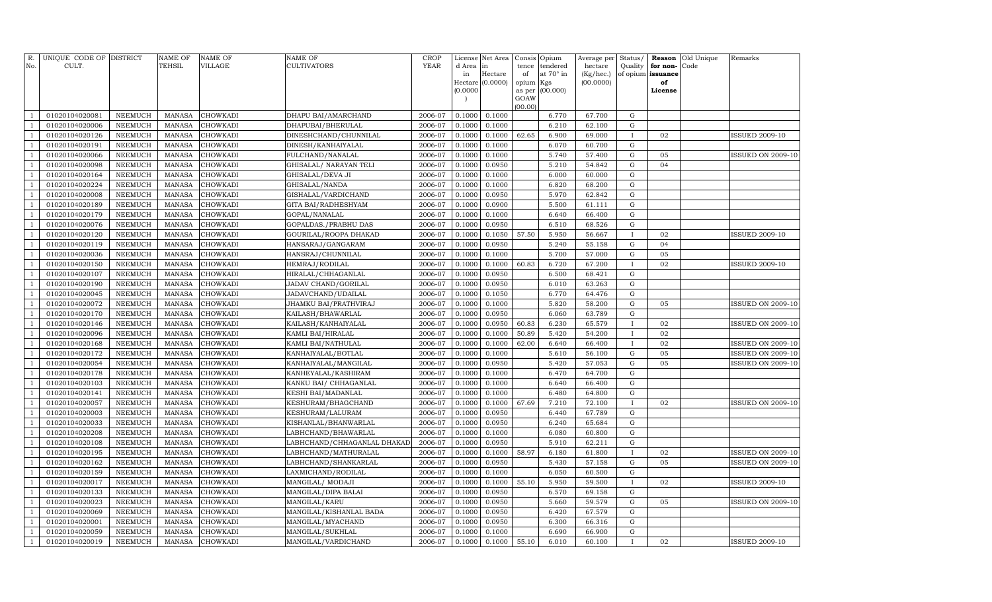| Hectare<br>at 70° in<br>(Kg/hec.)<br>of opium issuance<br>in<br>of<br>Hectare (0.0000)<br>(00.0000)<br>opium<br>Kgs<br>of<br>(0.0000)<br>(00.000)<br>as per<br>License<br>GOAW<br>(00.00)<br>2006-07<br>0.1000<br>67.700<br>${\rm G}$<br>01020104020081<br><b>NEEMUCH</b><br><b>MANASA</b><br><b>CHOWKADI</b><br>DHAPU BAI/AMARCHAND<br>0.1000<br>6.770<br>$\mathbf{1}$<br>0.1000<br>6.210<br>$\mathbf{1}$<br>01020104020006<br><b>NEEMUCH</b><br><b>MANASA</b><br><b>CHOWKADI</b><br>DHAPUBAI/BHERULAL<br>2006-07<br>0.1000<br>62.100<br>G<br>2006-07<br>0.1000<br>01020104020126<br><b>NEEMUCH</b><br><b>MANASA</b><br>CHOWKADI<br>DINESHCHAND/CHUNNILAL<br>0.1000<br>62.65<br>6.900<br>69.000<br>02<br>$\mathbf{1}$<br>$\mathbf{I}$<br>0.1000<br>01020104020191<br><b>NEEMUCH</b><br><b>MANASA</b><br><b>CHOWKADI</b><br>DINESH/KANHAIYALAL<br>2006-07<br>0.1000<br>6.070<br>60.700<br>${\rm G}$<br>$\mathbf{1}$<br>01020104020066<br><b>NEEMUCH</b><br><b>MANASA</b><br>CHOWKADI<br>FULCHAND/NANALAL<br>2006-07<br>0.1000<br>0.1000<br>5.740<br>57.400<br>${\rm G}$<br>05<br>$\mathbf{1}$<br>01020104020098<br><b>NEEMUCH</b><br><b>MANASA</b><br>CHOWKADI<br>2006-07<br>0.1000<br>0.0950<br>5.210<br>54.842<br>${\rm G}$<br>04<br>$\mathbf{1}$<br>GHISALAL/ NARAYAN TELI<br>01020104020164<br><b>NEEMUCH</b><br><b>MANASA</b><br>CHOWKADI<br>2006-07<br>0.1000<br>0.1000<br>6.000<br>60.000<br>${\rm G}$<br>$\mathbf{1}$<br>GHISALAL/DEVA JI<br>01020104020224<br><b>NEEMUCH</b><br><b>MANASA</b><br>CHOWKADI<br>2006-07<br>0.1000<br>0.1000<br>6.820<br>68.200<br>${\rm G}$<br>$\mathbf{1}$<br>GHISALAL/NANDA<br>$\mathbf G$<br>$\mathbf{1}$<br>01020104020008<br><b>NEEMUCH</b><br><b>MANASA</b><br>CHOWKADI<br>2006-07<br>0.1000<br>0.0950<br>5.970<br>62.842<br>GISHALAL/VARDICHAND<br>$\mathbf{1}$<br>01020104020189<br><b>NEEMUCH</b><br>2006-07<br>0.1000<br>0.0900<br>5.500<br>61.111<br>$\mathbf G$<br><b>MANASA</b><br><b>CHOWKADI</b><br>GITA BAI/RADHESHYAM<br>01020104020179<br><b>NEEMUCH</b><br><b>MANASA</b><br><b>CHOWKADI</b><br>2006-07<br>0.1000<br>0.1000<br>6.640<br>${\rm G}$<br>$\mathbf{1}$<br>GOPAL/NANALAL<br>66.400<br>2006-07<br>0.0950<br>6.510<br>${\bf G}$<br>$\mathbf{1}$<br>01020104020076<br><b>NEEMUCH</b><br><b>MANASA</b><br>CHOWKADI<br>GOPALDAS./PRABHU DAS<br>0.1000<br>68.526<br>2006-07<br>0.1000<br>0.1050<br>57.50<br>5.950<br>56.667<br>$\mathbf{1}$<br>01020104020120<br><b>NEEMUCH</b><br><b>MANASA</b><br>CHOWKADI<br>GOURILAL/ROOPA DHAKAD<br>02<br>$\mathbf{I}$<br>0.0950<br>5.240<br>$\mathbf{1}$<br>01020104020119<br><b>NEEMUCH</b><br><b>MANASA</b><br>CHOWKADI<br>HANSARAJ/GANGARAM<br>2006-07<br>0.1000<br>55.158<br>${\rm G}$<br>04<br>2006-07<br>0.1000<br>5.700<br>57.000<br>${\bf G}$<br>$\mathbf{1}$<br>01020104020036<br><b>NEEMUCH</b><br><b>MANASA</b><br>CHOWKADI<br>HANSRAJ/CHUNNILAL<br>0.1000<br>05<br>6.720<br>$\mathbf{1}$<br>01020104020150<br><b>NEEMUCH</b><br><b>MANASA</b><br>CHOWKADI<br>2006-07<br>0.1000<br>0.1000<br>60.83<br>67.200<br>02<br>HEMRAJ/RODILAL<br>$\mathbf{I}$<br>2006-07<br>0.0950<br>01020104020107<br><b>NEEMUCH</b><br><b>MANASA</b><br>CHOWKADI<br>HIRALAL/CHHAGANLAL<br>0.1000<br>6.500<br>68.421<br>${\rm G}$<br>$\mathbf{1}$<br>01020104020190<br><b>NEEMUCH</b><br><b>MANASA</b><br>CHOWKADI<br>2006-07<br>0.1000<br>0.0950<br>6.010<br>63.263<br>${\rm G}$<br>$\overline{1}$<br>JADAV CHAND/GORILAL<br>2006-07<br>01020104020045<br><b>NEEMUCH</b><br><b>MANASA</b><br>CHOWKADI<br>JADAVCHAND/UDAILAL<br>0.1000<br>0.1050<br>6.770<br>64.476<br>${\rm G}$<br>$\overline{1}$<br>$\mathbf{1}$<br>01020104020072<br><b>NEEMUCH</b><br><b>MANASA</b><br>CHOWKADI<br>JHAMKU BAI/PRATHVIRAJ<br>2006-07<br>0.1000<br>0.1000<br>5.820<br>58.200<br>${\rm G}$<br>05<br>63.789<br>$\mathbf G$<br><b>MANASA</b><br>CHOWKADI<br>2006-07<br>0.1000<br>0.0950<br>6.060<br>$\overline{1}$<br>01020104020170<br>NEEMUCH<br>KAILASH/BHAWARLAL<br><b>NEEMUCH</b><br>2006-07<br>0.1000<br>0.0950<br>60.83<br>6.230<br>65.579<br>$\mathbf{1}$<br>01020104020146<br><b>MANASA</b><br><b>CHOWKADI</b><br>KAILASH/KANHAIYALAL<br>02<br><b>I</b><br>MANASA<br>2006-07<br>0.1000<br>0.1000<br>50.89<br>5.420<br>54.200<br>02<br>$\mathbf{1}$<br>01020104020096<br>NEEMUCH<br><b>CHOWKADI</b><br>KAMLI BAI/HIRALAL<br>$\mathbf{I}$<br><b>NEEMUCH</b><br>2006-07<br>0.1000<br>0.1000<br>6.640<br>02<br>$\mathbf{1}$<br>01020104020168<br><b>MANASA</b><br>CHOWKADI<br>KAMLI BAI/NATHULAL<br>62.00<br>66.400<br>$\mathbf{I}$<br>2006-07<br>0.1000<br>0.1000<br>5.610<br>56.100<br>${\rm G}$<br>05<br>$\mathbf{1}$<br>01020104020172<br><b>NEEMUCH</b><br><b>MANASA</b><br>CHOWKADI<br>KANHAIYALAL/BOTLAL<br>0.0950<br>5.420<br>05<br>$\mathbf{1}$<br>01020104020054<br><b>NEEMUCH</b><br><b>MANASA</b><br>CHOWKADI<br>KANHAIYALAL/MANGILAL<br>2006-07<br>0.1000<br>57.053<br>${\rm G}$<br>2006-07<br>6.470<br>${\bf G}$<br>01020104020178<br><b>NEEMUCH</b><br><b>MANASA</b><br>CHOWKADI<br>KANHEYALAL/KASHIRAM<br>0.1000<br>0.1000<br>64.700<br>$\overline{1}$<br>${\rm G}$<br>01020104020103<br><b>NEEMUCH</b><br><b>MANASA</b><br>CHOWKADI<br>2006-07<br>0.1000<br>0.1000<br>6.640<br>66.400<br>$\mathbf{1}$<br>KANKU BAI / CHHAGANLAL<br>2006-07<br>0.1000<br>${\bf G}$<br>01020104020141<br><b>NEEMUCH</b><br><b>MANASA</b><br>CHOWKADI<br>KESHI BAI/MADANLAL<br>0.1000<br>6.480<br>64.800<br>$\overline{1}$<br>01020104020057<br><b>NEEMUCH</b><br>CHOWKADI<br>2006-07<br>0.1000<br>0.1000<br>67.69<br>7.210<br>02<br>$\mathbf{1}$<br><b>MANASA</b><br>KESHURAM/BHAGCHAND<br>72.100<br><b>ISSUED ON 2009-10</b><br>$\mathbf{I}$<br>2006-07<br>6.440<br>67.789<br>${\bf G}$<br>01020104020003<br><b>NEEMUCH</b><br><b>MANASA</b><br>CHOWKADI<br>KESHURAM/LALURAM<br>0.1000<br>0.0950<br>$\overline{1}$<br>6.240<br>${\rm G}$<br><b>NEEMUCH</b><br>CHOWKADI<br>2006-07<br>0.1000<br>0.0950<br>65.684<br>01020104020033<br><b>MANASA</b><br>KISHANLAL/BHANWARLAL<br>$\overline{1}$<br>$\mathbf G$<br><b>MANASA</b><br>CHOWKADI<br>2006-07<br>0.1000<br>0.1000<br>6.080<br>60.800<br>$\overline{1}$<br>01020104020208<br>NEEMUCH<br>LABHCHAND/BHAWARLAL<br><b>NEEMUCH</b><br>2006-07<br>0.1000<br>0.0950<br>5.910<br>62.211<br>$\mathbf G$<br>$\mathbf{1}$<br>01020104020108<br><b>MANASA</b><br><b>CHOWKADI</b><br>LABHCHAND/CHHAGANLAL DHAKAD<br>2006-07<br>0.1000<br>0.1000<br>58.97<br>6.180<br>61.800<br>01020104020195<br><b>NEEMUCH</b><br><b>MANASA</b><br>CHOWKADI<br>LABHCHAND/MATHURALAL<br>02<br><b>ISSUED ON 2009-10</b><br>5.430<br>${\rm G}$<br>05<br>$\overline{1}$<br>01020104020162<br><b>NEEMUCH</b><br><b>MANASA</b><br>CHOWKADI<br>LABHCHAND/SHANKARLAL<br>2006-07<br>0.1000<br>0.0950<br>57.158<br><b>ISSUED ON 2009-10</b><br>${\bf G}$<br>01020104020159<br><b>NEEMUCH</b><br><b>MANASA</b><br>CHOWKADI<br>LAXMICHAND/RODILAL<br>2006-07<br>0.1000<br>0.1000<br>6.050<br>60.500<br>$\overline{1}$<br>01020104020017<br><b>NEEMUCH</b><br><b>MANASA</b><br>CHOWKADI<br>MANGILAL/ MODAJI<br>2006-07<br>0.1000<br>0.1000<br>55.10<br>5.950<br>59.500<br>02<br>$\overline{1}$<br><b>ISSUED 2009-10</b><br>T<br>2006-07<br>6.570<br>69.158<br>$\mathbf G$<br>01020104020133<br><b>NEEMUCH</b><br><b>MANASA</b><br>CHOWKADI<br>MANGILAL/DIPA BALAI<br>0.1000<br>0.0950<br>$\overline{1}$<br>59.579<br>${\rm G}$<br><b>NEEMUCH</b><br>CHOWKADI<br>2006-07<br>0.1000<br>0.0950<br>5.660<br>05<br>01020104020023<br><b>MANASA</b><br>MANGILAL/KARU | R.<br>No. | UNIQUE CODE OF DISTRICT<br>CULT. | <b>NAME OF</b><br>TEHSIL | <b>NAME OF</b><br><b>VILLAGE</b> | NAME OF<br><b>CULTIVATORS</b> | <b>CROP</b><br><b>YEAR</b> | License<br>d Area | Net Area<br>in | Consis<br>tence | Opium<br>tendered | Average per<br>hectare | Status/<br>Quality | Reason<br>for non- | Old Unique<br>Code | Remarks                  |
|------------------------------------------------------------------------------------------------------------------------------------------------------------------------------------------------------------------------------------------------------------------------------------------------------------------------------------------------------------------------------------------------------------------------------------------------------------------------------------------------------------------------------------------------------------------------------------------------------------------------------------------------------------------------------------------------------------------------------------------------------------------------------------------------------------------------------------------------------------------------------------------------------------------------------------------------------------------------------------------------------------------------------------------------------------------------------------------------------------------------------------------------------------------------------------------------------------------------------------------------------------------------------------------------------------------------------------------------------------------------------------------------------------------------------------------------------------------------------------------------------------------------------------------------------------------------------------------------------------------------------------------------------------------------------------------------------------------------------------------------------------------------------------------------------------------------------------------------------------------------------------------------------------------------------------------------------------------------------------------------------------------------------------------------------------------------------------------------------------------------------------------------------------------------------------------------------------------------------------------------------------------------------------------------------------------------------------------------------------------------------------------------------------------------------------------------------------------------------------------------------------------------------------------------------------------------------------------------------------------------------------------------------------------------------------------------------------------------------------------------------------------------------------------------------------------------------------------------------------------------------------------------------------------------------------------------------------------------------------------------------------------------------------------------------------------------------------------------------------------------------------------------------------------------------------------------------------------------------------------------------------------------------------------------------------------------------------------------------------------------------------------------------------------------------------------------------------------------------------------------------------------------------------------------------------------------------------------------------------------------------------------------------------------------------------------------------------------------------------------------------------------------------------------------------------------------------------------------------------------------------------------------------------------------------------------------------------------------------------------------------------------------------------------------------------------------------------------------------------------------------------------------------------------------------------------------------------------------------------------------------------------------------------------------------------------------------------------------------------------------------------------------------------------------------------------------------------------------------------------------------------------------------------------------------------------------------------------------------------------------------------------------------------------------------------------------------------------------------------------------------------------------------------------------------------------------------------------------------------------------------------------------------------------------------------------------------------------------------------------------------------------------------------------------------------------------------------------------------------------------------------------------------------------------------------------------------------------------------------------------------------------------------------------------------------------------------------------------------------------------------------------------------------------------------------------------------------------------------------------------------------------------------------------------------------------------------------------------------------------------------------------------------------------------------------------------------------------------------------------------------------------------------------------------------------------------------------------------------------------------------------------------------------------------------------------------------------------------------------------------------------------------------------------------------------------------------------------------------------------------------------------------------------------------------------------------------------------------------------------------------------------------------------------------------------------------------------------------------------------------------------------------------------------------------------------------------------------------------------------------------------------------------------------------------------------------------------------------------------------------------------------------------------------------------------------------------------------------------------------------------------------------------------------------------------------------------------------------------------------------------------------------------------------------------------------------------------------------------------------------------------------------------------------------------------------------------------------------------------------------------------------------------------------------------------------------------------------------------------------------------------------------------------------------------------------------------------------------------------------------------------------------------------------------------------------------------|-----------|----------------------------------|--------------------------|----------------------------------|-------------------------------|----------------------------|-------------------|----------------|-----------------|-------------------|------------------------|--------------------|--------------------|--------------------|--------------------------|
|                                                                                                                                                                                                                                                                                                                                                                                                                                                                                                                                                                                                                                                                                                                                                                                                                                                                                                                                                                                                                                                                                                                                                                                                                                                                                                                                                                                                                                                                                                                                                                                                                                                                                                                                                                                                                                                                                                                                                                                                                                                                                                                                                                                                                                                                                                                                                                                                                                                                                                                                                                                                                                                                                                                                                                                                                                                                                                                                                                                                                                                                                                                                                                                                                                                                                                                                                                                                                                                                                                                                                                                                                                                                                                                                                                                                                                                                                                                                                                                                                                                                                                                                                                                                                                                                                                                                                                                                                                                                                                                                                                                                                                                                                                                                                                                                                                                                                                                                                                                                                                                                                                                                                                                                                                                                                                                                                                                                                                                                                                                                                                                                                                                                                                                                                                                                                                                                                                                                                                                                                                                                                                                                                                                                                                                                                                                                                                                                                                                                                                                                                                                                                                                                                                                                                                                                                                                                                                                                                                                                                                                                                                                                                                                                                                                                                                                                                                                                                                                      |           |                                  |                          |                                  |                               |                            |                   |                |                 |                   |                        |                    |                    |                    |                          |
|                                                                                                                                                                                                                                                                                                                                                                                                                                                                                                                                                                                                                                                                                                                                                                                                                                                                                                                                                                                                                                                                                                                                                                                                                                                                                                                                                                                                                                                                                                                                                                                                                                                                                                                                                                                                                                                                                                                                                                                                                                                                                                                                                                                                                                                                                                                                                                                                                                                                                                                                                                                                                                                                                                                                                                                                                                                                                                                                                                                                                                                                                                                                                                                                                                                                                                                                                                                                                                                                                                                                                                                                                                                                                                                                                                                                                                                                                                                                                                                                                                                                                                                                                                                                                                                                                                                                                                                                                                                                                                                                                                                                                                                                                                                                                                                                                                                                                                                                                                                                                                                                                                                                                                                                                                                                                                                                                                                                                                                                                                                                                                                                                                                                                                                                                                                                                                                                                                                                                                                                                                                                                                                                                                                                                                                                                                                                                                                                                                                                                                                                                                                                                                                                                                                                                                                                                                                                                                                                                                                                                                                                                                                                                                                                                                                                                                                                                                                                                                                      |           |                                  |                          |                                  |                               |                            |                   |                |                 |                   |                        |                    |                    |                    |                          |
|                                                                                                                                                                                                                                                                                                                                                                                                                                                                                                                                                                                                                                                                                                                                                                                                                                                                                                                                                                                                                                                                                                                                                                                                                                                                                                                                                                                                                                                                                                                                                                                                                                                                                                                                                                                                                                                                                                                                                                                                                                                                                                                                                                                                                                                                                                                                                                                                                                                                                                                                                                                                                                                                                                                                                                                                                                                                                                                                                                                                                                                                                                                                                                                                                                                                                                                                                                                                                                                                                                                                                                                                                                                                                                                                                                                                                                                                                                                                                                                                                                                                                                                                                                                                                                                                                                                                                                                                                                                                                                                                                                                                                                                                                                                                                                                                                                                                                                                                                                                                                                                                                                                                                                                                                                                                                                                                                                                                                                                                                                                                                                                                                                                                                                                                                                                                                                                                                                                                                                                                                                                                                                                                                                                                                                                                                                                                                                                                                                                                                                                                                                                                                                                                                                                                                                                                                                                                                                                                                                                                                                                                                                                                                                                                                                                                                                                                                                                                                                                      |           |                                  |                          |                                  |                               |                            |                   |                |                 |                   |                        |                    |                    |                    |                          |
|                                                                                                                                                                                                                                                                                                                                                                                                                                                                                                                                                                                                                                                                                                                                                                                                                                                                                                                                                                                                                                                                                                                                                                                                                                                                                                                                                                                                                                                                                                                                                                                                                                                                                                                                                                                                                                                                                                                                                                                                                                                                                                                                                                                                                                                                                                                                                                                                                                                                                                                                                                                                                                                                                                                                                                                                                                                                                                                                                                                                                                                                                                                                                                                                                                                                                                                                                                                                                                                                                                                                                                                                                                                                                                                                                                                                                                                                                                                                                                                                                                                                                                                                                                                                                                                                                                                                                                                                                                                                                                                                                                                                                                                                                                                                                                                                                                                                                                                                                                                                                                                                                                                                                                                                                                                                                                                                                                                                                                                                                                                                                                                                                                                                                                                                                                                                                                                                                                                                                                                                                                                                                                                                                                                                                                                                                                                                                                                                                                                                                                                                                                                                                                                                                                                                                                                                                                                                                                                                                                                                                                                                                                                                                                                                                                                                                                                                                                                                                                                      |           |                                  |                          |                                  |                               |                            |                   |                |                 |                   |                        |                    |                    |                    |                          |
|                                                                                                                                                                                                                                                                                                                                                                                                                                                                                                                                                                                                                                                                                                                                                                                                                                                                                                                                                                                                                                                                                                                                                                                                                                                                                                                                                                                                                                                                                                                                                                                                                                                                                                                                                                                                                                                                                                                                                                                                                                                                                                                                                                                                                                                                                                                                                                                                                                                                                                                                                                                                                                                                                                                                                                                                                                                                                                                                                                                                                                                                                                                                                                                                                                                                                                                                                                                                                                                                                                                                                                                                                                                                                                                                                                                                                                                                                                                                                                                                                                                                                                                                                                                                                                                                                                                                                                                                                                                                                                                                                                                                                                                                                                                                                                                                                                                                                                                                                                                                                                                                                                                                                                                                                                                                                                                                                                                                                                                                                                                                                                                                                                                                                                                                                                                                                                                                                                                                                                                                                                                                                                                                                                                                                                                                                                                                                                                                                                                                                                                                                                                                                                                                                                                                                                                                                                                                                                                                                                                                                                                                                                                                                                                                                                                                                                                                                                                                                                                      |           |                                  |                          |                                  |                               |                            |                   |                |                 |                   |                        |                    |                    |                    |                          |
|                                                                                                                                                                                                                                                                                                                                                                                                                                                                                                                                                                                                                                                                                                                                                                                                                                                                                                                                                                                                                                                                                                                                                                                                                                                                                                                                                                                                                                                                                                                                                                                                                                                                                                                                                                                                                                                                                                                                                                                                                                                                                                                                                                                                                                                                                                                                                                                                                                                                                                                                                                                                                                                                                                                                                                                                                                                                                                                                                                                                                                                                                                                                                                                                                                                                                                                                                                                                                                                                                                                                                                                                                                                                                                                                                                                                                                                                                                                                                                                                                                                                                                                                                                                                                                                                                                                                                                                                                                                                                                                                                                                                                                                                                                                                                                                                                                                                                                                                                                                                                                                                                                                                                                                                                                                                                                                                                                                                                                                                                                                                                                                                                                                                                                                                                                                                                                                                                                                                                                                                                                                                                                                                                                                                                                                                                                                                                                                                                                                                                                                                                                                                                                                                                                                                                                                                                                                                                                                                                                                                                                                                                                                                                                                                                                                                                                                                                                                                                                                      |           |                                  |                          |                                  |                               |                            |                   |                |                 |                   |                        |                    |                    |                    |                          |
|                                                                                                                                                                                                                                                                                                                                                                                                                                                                                                                                                                                                                                                                                                                                                                                                                                                                                                                                                                                                                                                                                                                                                                                                                                                                                                                                                                                                                                                                                                                                                                                                                                                                                                                                                                                                                                                                                                                                                                                                                                                                                                                                                                                                                                                                                                                                                                                                                                                                                                                                                                                                                                                                                                                                                                                                                                                                                                                                                                                                                                                                                                                                                                                                                                                                                                                                                                                                                                                                                                                                                                                                                                                                                                                                                                                                                                                                                                                                                                                                                                                                                                                                                                                                                                                                                                                                                                                                                                                                                                                                                                                                                                                                                                                                                                                                                                                                                                                                                                                                                                                                                                                                                                                                                                                                                                                                                                                                                                                                                                                                                                                                                                                                                                                                                                                                                                                                                                                                                                                                                                                                                                                                                                                                                                                                                                                                                                                                                                                                                                                                                                                                                                                                                                                                                                                                                                                                                                                                                                                                                                                                                                                                                                                                                                                                                                                                                                                                                                                      |           |                                  |                          |                                  |                               |                            |                   |                |                 |                   |                        |                    |                    |                    | <b>ISSUED 2009-10</b>    |
|                                                                                                                                                                                                                                                                                                                                                                                                                                                                                                                                                                                                                                                                                                                                                                                                                                                                                                                                                                                                                                                                                                                                                                                                                                                                                                                                                                                                                                                                                                                                                                                                                                                                                                                                                                                                                                                                                                                                                                                                                                                                                                                                                                                                                                                                                                                                                                                                                                                                                                                                                                                                                                                                                                                                                                                                                                                                                                                                                                                                                                                                                                                                                                                                                                                                                                                                                                                                                                                                                                                                                                                                                                                                                                                                                                                                                                                                                                                                                                                                                                                                                                                                                                                                                                                                                                                                                                                                                                                                                                                                                                                                                                                                                                                                                                                                                                                                                                                                                                                                                                                                                                                                                                                                                                                                                                                                                                                                                                                                                                                                                                                                                                                                                                                                                                                                                                                                                                                                                                                                                                                                                                                                                                                                                                                                                                                                                                                                                                                                                                                                                                                                                                                                                                                                                                                                                                                                                                                                                                                                                                                                                                                                                                                                                                                                                                                                                                                                                                                      |           |                                  |                          |                                  |                               |                            |                   |                |                 |                   |                        |                    |                    |                    |                          |
|                                                                                                                                                                                                                                                                                                                                                                                                                                                                                                                                                                                                                                                                                                                                                                                                                                                                                                                                                                                                                                                                                                                                                                                                                                                                                                                                                                                                                                                                                                                                                                                                                                                                                                                                                                                                                                                                                                                                                                                                                                                                                                                                                                                                                                                                                                                                                                                                                                                                                                                                                                                                                                                                                                                                                                                                                                                                                                                                                                                                                                                                                                                                                                                                                                                                                                                                                                                                                                                                                                                                                                                                                                                                                                                                                                                                                                                                                                                                                                                                                                                                                                                                                                                                                                                                                                                                                                                                                                                                                                                                                                                                                                                                                                                                                                                                                                                                                                                                                                                                                                                                                                                                                                                                                                                                                                                                                                                                                                                                                                                                                                                                                                                                                                                                                                                                                                                                                                                                                                                                                                                                                                                                                                                                                                                                                                                                                                                                                                                                                                                                                                                                                                                                                                                                                                                                                                                                                                                                                                                                                                                                                                                                                                                                                                                                                                                                                                                                                                                      |           |                                  |                          |                                  |                               |                            |                   |                |                 |                   |                        |                    |                    |                    | <b>ISSUED ON 2009-10</b> |
|                                                                                                                                                                                                                                                                                                                                                                                                                                                                                                                                                                                                                                                                                                                                                                                                                                                                                                                                                                                                                                                                                                                                                                                                                                                                                                                                                                                                                                                                                                                                                                                                                                                                                                                                                                                                                                                                                                                                                                                                                                                                                                                                                                                                                                                                                                                                                                                                                                                                                                                                                                                                                                                                                                                                                                                                                                                                                                                                                                                                                                                                                                                                                                                                                                                                                                                                                                                                                                                                                                                                                                                                                                                                                                                                                                                                                                                                                                                                                                                                                                                                                                                                                                                                                                                                                                                                                                                                                                                                                                                                                                                                                                                                                                                                                                                                                                                                                                                                                                                                                                                                                                                                                                                                                                                                                                                                                                                                                                                                                                                                                                                                                                                                                                                                                                                                                                                                                                                                                                                                                                                                                                                                                                                                                                                                                                                                                                                                                                                                                                                                                                                                                                                                                                                                                                                                                                                                                                                                                                                                                                                                                                                                                                                                                                                                                                                                                                                                                                                      |           |                                  |                          |                                  |                               |                            |                   |                |                 |                   |                        |                    |                    |                    |                          |
|                                                                                                                                                                                                                                                                                                                                                                                                                                                                                                                                                                                                                                                                                                                                                                                                                                                                                                                                                                                                                                                                                                                                                                                                                                                                                                                                                                                                                                                                                                                                                                                                                                                                                                                                                                                                                                                                                                                                                                                                                                                                                                                                                                                                                                                                                                                                                                                                                                                                                                                                                                                                                                                                                                                                                                                                                                                                                                                                                                                                                                                                                                                                                                                                                                                                                                                                                                                                                                                                                                                                                                                                                                                                                                                                                                                                                                                                                                                                                                                                                                                                                                                                                                                                                                                                                                                                                                                                                                                                                                                                                                                                                                                                                                                                                                                                                                                                                                                                                                                                                                                                                                                                                                                                                                                                                                                                                                                                                                                                                                                                                                                                                                                                                                                                                                                                                                                                                                                                                                                                                                                                                                                                                                                                                                                                                                                                                                                                                                                                                                                                                                                                                                                                                                                                                                                                                                                                                                                                                                                                                                                                                                                                                                                                                                                                                                                                                                                                                                                      |           |                                  |                          |                                  |                               |                            |                   |                |                 |                   |                        |                    |                    |                    |                          |
|                                                                                                                                                                                                                                                                                                                                                                                                                                                                                                                                                                                                                                                                                                                                                                                                                                                                                                                                                                                                                                                                                                                                                                                                                                                                                                                                                                                                                                                                                                                                                                                                                                                                                                                                                                                                                                                                                                                                                                                                                                                                                                                                                                                                                                                                                                                                                                                                                                                                                                                                                                                                                                                                                                                                                                                                                                                                                                                                                                                                                                                                                                                                                                                                                                                                                                                                                                                                                                                                                                                                                                                                                                                                                                                                                                                                                                                                                                                                                                                                                                                                                                                                                                                                                                                                                                                                                                                                                                                                                                                                                                                                                                                                                                                                                                                                                                                                                                                                                                                                                                                                                                                                                                                                                                                                                                                                                                                                                                                                                                                                                                                                                                                                                                                                                                                                                                                                                                                                                                                                                                                                                                                                                                                                                                                                                                                                                                                                                                                                                                                                                                                                                                                                                                                                                                                                                                                                                                                                                                                                                                                                                                                                                                                                                                                                                                                                                                                                                                                      |           |                                  |                          |                                  |                               |                            |                   |                |                 |                   |                        |                    |                    |                    |                          |
|                                                                                                                                                                                                                                                                                                                                                                                                                                                                                                                                                                                                                                                                                                                                                                                                                                                                                                                                                                                                                                                                                                                                                                                                                                                                                                                                                                                                                                                                                                                                                                                                                                                                                                                                                                                                                                                                                                                                                                                                                                                                                                                                                                                                                                                                                                                                                                                                                                                                                                                                                                                                                                                                                                                                                                                                                                                                                                                                                                                                                                                                                                                                                                                                                                                                                                                                                                                                                                                                                                                                                                                                                                                                                                                                                                                                                                                                                                                                                                                                                                                                                                                                                                                                                                                                                                                                                                                                                                                                                                                                                                                                                                                                                                                                                                                                                                                                                                                                                                                                                                                                                                                                                                                                                                                                                                                                                                                                                                                                                                                                                                                                                                                                                                                                                                                                                                                                                                                                                                                                                                                                                                                                                                                                                                                                                                                                                                                                                                                                                                                                                                                                                                                                                                                                                                                                                                                                                                                                                                                                                                                                                                                                                                                                                                                                                                                                                                                                                                                      |           |                                  |                          |                                  |                               |                            |                   |                |                 |                   |                        |                    |                    |                    |                          |
|                                                                                                                                                                                                                                                                                                                                                                                                                                                                                                                                                                                                                                                                                                                                                                                                                                                                                                                                                                                                                                                                                                                                                                                                                                                                                                                                                                                                                                                                                                                                                                                                                                                                                                                                                                                                                                                                                                                                                                                                                                                                                                                                                                                                                                                                                                                                                                                                                                                                                                                                                                                                                                                                                                                                                                                                                                                                                                                                                                                                                                                                                                                                                                                                                                                                                                                                                                                                                                                                                                                                                                                                                                                                                                                                                                                                                                                                                                                                                                                                                                                                                                                                                                                                                                                                                                                                                                                                                                                                                                                                                                                                                                                                                                                                                                                                                                                                                                                                                                                                                                                                                                                                                                                                                                                                                                                                                                                                                                                                                                                                                                                                                                                                                                                                                                                                                                                                                                                                                                                                                                                                                                                                                                                                                                                                                                                                                                                                                                                                                                                                                                                                                                                                                                                                                                                                                                                                                                                                                                                                                                                                                                                                                                                                                                                                                                                                                                                                                                                      |           |                                  |                          |                                  |                               |                            |                   |                |                 |                   |                        |                    |                    |                    |                          |
|                                                                                                                                                                                                                                                                                                                                                                                                                                                                                                                                                                                                                                                                                                                                                                                                                                                                                                                                                                                                                                                                                                                                                                                                                                                                                                                                                                                                                                                                                                                                                                                                                                                                                                                                                                                                                                                                                                                                                                                                                                                                                                                                                                                                                                                                                                                                                                                                                                                                                                                                                                                                                                                                                                                                                                                                                                                                                                                                                                                                                                                                                                                                                                                                                                                                                                                                                                                                                                                                                                                                                                                                                                                                                                                                                                                                                                                                                                                                                                                                                                                                                                                                                                                                                                                                                                                                                                                                                                                                                                                                                                                                                                                                                                                                                                                                                                                                                                                                                                                                                                                                                                                                                                                                                                                                                                                                                                                                                                                                                                                                                                                                                                                                                                                                                                                                                                                                                                                                                                                                                                                                                                                                                                                                                                                                                                                                                                                                                                                                                                                                                                                                                                                                                                                                                                                                                                                                                                                                                                                                                                                                                                                                                                                                                                                                                                                                                                                                                                                      |           |                                  |                          |                                  |                               |                            |                   |                |                 |                   |                        |                    |                    |                    |                          |
|                                                                                                                                                                                                                                                                                                                                                                                                                                                                                                                                                                                                                                                                                                                                                                                                                                                                                                                                                                                                                                                                                                                                                                                                                                                                                                                                                                                                                                                                                                                                                                                                                                                                                                                                                                                                                                                                                                                                                                                                                                                                                                                                                                                                                                                                                                                                                                                                                                                                                                                                                                                                                                                                                                                                                                                                                                                                                                                                                                                                                                                                                                                                                                                                                                                                                                                                                                                                                                                                                                                                                                                                                                                                                                                                                                                                                                                                                                                                                                                                                                                                                                                                                                                                                                                                                                                                                                                                                                                                                                                                                                                                                                                                                                                                                                                                                                                                                                                                                                                                                                                                                                                                                                                                                                                                                                                                                                                                                                                                                                                                                                                                                                                                                                                                                                                                                                                                                                                                                                                                                                                                                                                                                                                                                                                                                                                                                                                                                                                                                                                                                                                                                                                                                                                                                                                                                                                                                                                                                                                                                                                                                                                                                                                                                                                                                                                                                                                                                                                      |           |                                  |                          |                                  |                               |                            |                   |                |                 |                   |                        |                    |                    |                    |                          |
|                                                                                                                                                                                                                                                                                                                                                                                                                                                                                                                                                                                                                                                                                                                                                                                                                                                                                                                                                                                                                                                                                                                                                                                                                                                                                                                                                                                                                                                                                                                                                                                                                                                                                                                                                                                                                                                                                                                                                                                                                                                                                                                                                                                                                                                                                                                                                                                                                                                                                                                                                                                                                                                                                                                                                                                                                                                                                                                                                                                                                                                                                                                                                                                                                                                                                                                                                                                                                                                                                                                                                                                                                                                                                                                                                                                                                                                                                                                                                                                                                                                                                                                                                                                                                                                                                                                                                                                                                                                                                                                                                                                                                                                                                                                                                                                                                                                                                                                                                                                                                                                                                                                                                                                                                                                                                                                                                                                                                                                                                                                                                                                                                                                                                                                                                                                                                                                                                                                                                                                                                                                                                                                                                                                                                                                                                                                                                                                                                                                                                                                                                                                                                                                                                                                                                                                                                                                                                                                                                                                                                                                                                                                                                                                                                                                                                                                                                                                                                                                      |           |                                  |                          |                                  |                               |                            |                   |                |                 |                   |                        |                    |                    |                    | <b>ISSUED 2009-10</b>    |
|                                                                                                                                                                                                                                                                                                                                                                                                                                                                                                                                                                                                                                                                                                                                                                                                                                                                                                                                                                                                                                                                                                                                                                                                                                                                                                                                                                                                                                                                                                                                                                                                                                                                                                                                                                                                                                                                                                                                                                                                                                                                                                                                                                                                                                                                                                                                                                                                                                                                                                                                                                                                                                                                                                                                                                                                                                                                                                                                                                                                                                                                                                                                                                                                                                                                                                                                                                                                                                                                                                                                                                                                                                                                                                                                                                                                                                                                                                                                                                                                                                                                                                                                                                                                                                                                                                                                                                                                                                                                                                                                                                                                                                                                                                                                                                                                                                                                                                                                                                                                                                                                                                                                                                                                                                                                                                                                                                                                                                                                                                                                                                                                                                                                                                                                                                                                                                                                                                                                                                                                                                                                                                                                                                                                                                                                                                                                                                                                                                                                                                                                                                                                                                                                                                                                                                                                                                                                                                                                                                                                                                                                                                                                                                                                                                                                                                                                                                                                                                                      |           |                                  |                          |                                  |                               |                            |                   |                |                 |                   |                        |                    |                    |                    |                          |
|                                                                                                                                                                                                                                                                                                                                                                                                                                                                                                                                                                                                                                                                                                                                                                                                                                                                                                                                                                                                                                                                                                                                                                                                                                                                                                                                                                                                                                                                                                                                                                                                                                                                                                                                                                                                                                                                                                                                                                                                                                                                                                                                                                                                                                                                                                                                                                                                                                                                                                                                                                                                                                                                                                                                                                                                                                                                                                                                                                                                                                                                                                                                                                                                                                                                                                                                                                                                                                                                                                                                                                                                                                                                                                                                                                                                                                                                                                                                                                                                                                                                                                                                                                                                                                                                                                                                                                                                                                                                                                                                                                                                                                                                                                                                                                                                                                                                                                                                                                                                                                                                                                                                                                                                                                                                                                                                                                                                                                                                                                                                                                                                                                                                                                                                                                                                                                                                                                                                                                                                                                                                                                                                                                                                                                                                                                                                                                                                                                                                                                                                                                                                                                                                                                                                                                                                                                                                                                                                                                                                                                                                                                                                                                                                                                                                                                                                                                                                                                                      |           |                                  |                          |                                  |                               |                            |                   |                |                 |                   |                        |                    |                    |                    |                          |
|                                                                                                                                                                                                                                                                                                                                                                                                                                                                                                                                                                                                                                                                                                                                                                                                                                                                                                                                                                                                                                                                                                                                                                                                                                                                                                                                                                                                                                                                                                                                                                                                                                                                                                                                                                                                                                                                                                                                                                                                                                                                                                                                                                                                                                                                                                                                                                                                                                                                                                                                                                                                                                                                                                                                                                                                                                                                                                                                                                                                                                                                                                                                                                                                                                                                                                                                                                                                                                                                                                                                                                                                                                                                                                                                                                                                                                                                                                                                                                                                                                                                                                                                                                                                                                                                                                                                                                                                                                                                                                                                                                                                                                                                                                                                                                                                                                                                                                                                                                                                                                                                                                                                                                                                                                                                                                                                                                                                                                                                                                                                                                                                                                                                                                                                                                                                                                                                                                                                                                                                                                                                                                                                                                                                                                                                                                                                                                                                                                                                                                                                                                                                                                                                                                                                                                                                                                                                                                                                                                                                                                                                                                                                                                                                                                                                                                                                                                                                                                                      |           |                                  |                          |                                  |                               |                            |                   |                |                 |                   |                        |                    |                    |                    | <b>ISSUED 2009-10</b>    |
|                                                                                                                                                                                                                                                                                                                                                                                                                                                                                                                                                                                                                                                                                                                                                                                                                                                                                                                                                                                                                                                                                                                                                                                                                                                                                                                                                                                                                                                                                                                                                                                                                                                                                                                                                                                                                                                                                                                                                                                                                                                                                                                                                                                                                                                                                                                                                                                                                                                                                                                                                                                                                                                                                                                                                                                                                                                                                                                                                                                                                                                                                                                                                                                                                                                                                                                                                                                                                                                                                                                                                                                                                                                                                                                                                                                                                                                                                                                                                                                                                                                                                                                                                                                                                                                                                                                                                                                                                                                                                                                                                                                                                                                                                                                                                                                                                                                                                                                                                                                                                                                                                                                                                                                                                                                                                                                                                                                                                                                                                                                                                                                                                                                                                                                                                                                                                                                                                                                                                                                                                                                                                                                                                                                                                                                                                                                                                                                                                                                                                                                                                                                                                                                                                                                                                                                                                                                                                                                                                                                                                                                                                                                                                                                                                                                                                                                                                                                                                                                      |           |                                  |                          |                                  |                               |                            |                   |                |                 |                   |                        |                    |                    |                    |                          |
|                                                                                                                                                                                                                                                                                                                                                                                                                                                                                                                                                                                                                                                                                                                                                                                                                                                                                                                                                                                                                                                                                                                                                                                                                                                                                                                                                                                                                                                                                                                                                                                                                                                                                                                                                                                                                                                                                                                                                                                                                                                                                                                                                                                                                                                                                                                                                                                                                                                                                                                                                                                                                                                                                                                                                                                                                                                                                                                                                                                                                                                                                                                                                                                                                                                                                                                                                                                                                                                                                                                                                                                                                                                                                                                                                                                                                                                                                                                                                                                                                                                                                                                                                                                                                                                                                                                                                                                                                                                                                                                                                                                                                                                                                                                                                                                                                                                                                                                                                                                                                                                                                                                                                                                                                                                                                                                                                                                                                                                                                                                                                                                                                                                                                                                                                                                                                                                                                                                                                                                                                                                                                                                                                                                                                                                                                                                                                                                                                                                                                                                                                                                                                                                                                                                                                                                                                                                                                                                                                                                                                                                                                                                                                                                                                                                                                                                                                                                                                                                      |           |                                  |                          |                                  |                               |                            |                   |                |                 |                   |                        |                    |                    |                    |                          |
|                                                                                                                                                                                                                                                                                                                                                                                                                                                                                                                                                                                                                                                                                                                                                                                                                                                                                                                                                                                                                                                                                                                                                                                                                                                                                                                                                                                                                                                                                                                                                                                                                                                                                                                                                                                                                                                                                                                                                                                                                                                                                                                                                                                                                                                                                                                                                                                                                                                                                                                                                                                                                                                                                                                                                                                                                                                                                                                                                                                                                                                                                                                                                                                                                                                                                                                                                                                                                                                                                                                                                                                                                                                                                                                                                                                                                                                                                                                                                                                                                                                                                                                                                                                                                                                                                                                                                                                                                                                                                                                                                                                                                                                                                                                                                                                                                                                                                                                                                                                                                                                                                                                                                                                                                                                                                                                                                                                                                                                                                                                                                                                                                                                                                                                                                                                                                                                                                                                                                                                                                                                                                                                                                                                                                                                                                                                                                                                                                                                                                                                                                                                                                                                                                                                                                                                                                                                                                                                                                                                                                                                                                                                                                                                                                                                                                                                                                                                                                                                      |           |                                  |                          |                                  |                               |                            |                   |                |                 |                   |                        |                    |                    |                    |                          |
|                                                                                                                                                                                                                                                                                                                                                                                                                                                                                                                                                                                                                                                                                                                                                                                                                                                                                                                                                                                                                                                                                                                                                                                                                                                                                                                                                                                                                                                                                                                                                                                                                                                                                                                                                                                                                                                                                                                                                                                                                                                                                                                                                                                                                                                                                                                                                                                                                                                                                                                                                                                                                                                                                                                                                                                                                                                                                                                                                                                                                                                                                                                                                                                                                                                                                                                                                                                                                                                                                                                                                                                                                                                                                                                                                                                                                                                                                                                                                                                                                                                                                                                                                                                                                                                                                                                                                                                                                                                                                                                                                                                                                                                                                                                                                                                                                                                                                                                                                                                                                                                                                                                                                                                                                                                                                                                                                                                                                                                                                                                                                                                                                                                                                                                                                                                                                                                                                                                                                                                                                                                                                                                                                                                                                                                                                                                                                                                                                                                                                                                                                                                                                                                                                                                                                                                                                                                                                                                                                                                                                                                                                                                                                                                                                                                                                                                                                                                                                                                      |           |                                  |                          |                                  |                               |                            |                   |                |                 |                   |                        |                    |                    |                    | <b>ISSUED ON 2009-10</b> |
|                                                                                                                                                                                                                                                                                                                                                                                                                                                                                                                                                                                                                                                                                                                                                                                                                                                                                                                                                                                                                                                                                                                                                                                                                                                                                                                                                                                                                                                                                                                                                                                                                                                                                                                                                                                                                                                                                                                                                                                                                                                                                                                                                                                                                                                                                                                                                                                                                                                                                                                                                                                                                                                                                                                                                                                                                                                                                                                                                                                                                                                                                                                                                                                                                                                                                                                                                                                                                                                                                                                                                                                                                                                                                                                                                                                                                                                                                                                                                                                                                                                                                                                                                                                                                                                                                                                                                                                                                                                                                                                                                                                                                                                                                                                                                                                                                                                                                                                                                                                                                                                                                                                                                                                                                                                                                                                                                                                                                                                                                                                                                                                                                                                                                                                                                                                                                                                                                                                                                                                                                                                                                                                                                                                                                                                                                                                                                                                                                                                                                                                                                                                                                                                                                                                                                                                                                                                                                                                                                                                                                                                                                                                                                                                                                                                                                                                                                                                                                                                      |           |                                  |                          |                                  |                               |                            |                   |                |                 |                   |                        |                    |                    |                    |                          |
|                                                                                                                                                                                                                                                                                                                                                                                                                                                                                                                                                                                                                                                                                                                                                                                                                                                                                                                                                                                                                                                                                                                                                                                                                                                                                                                                                                                                                                                                                                                                                                                                                                                                                                                                                                                                                                                                                                                                                                                                                                                                                                                                                                                                                                                                                                                                                                                                                                                                                                                                                                                                                                                                                                                                                                                                                                                                                                                                                                                                                                                                                                                                                                                                                                                                                                                                                                                                                                                                                                                                                                                                                                                                                                                                                                                                                                                                                                                                                                                                                                                                                                                                                                                                                                                                                                                                                                                                                                                                                                                                                                                                                                                                                                                                                                                                                                                                                                                                                                                                                                                                                                                                                                                                                                                                                                                                                                                                                                                                                                                                                                                                                                                                                                                                                                                                                                                                                                                                                                                                                                                                                                                                                                                                                                                                                                                                                                                                                                                                                                                                                                                                                                                                                                                                                                                                                                                                                                                                                                                                                                                                                                                                                                                                                                                                                                                                                                                                                                                      |           |                                  |                          |                                  |                               |                            |                   |                |                 |                   |                        |                    |                    |                    | <b>ISSUED ON 2009-10</b> |
|                                                                                                                                                                                                                                                                                                                                                                                                                                                                                                                                                                                                                                                                                                                                                                                                                                                                                                                                                                                                                                                                                                                                                                                                                                                                                                                                                                                                                                                                                                                                                                                                                                                                                                                                                                                                                                                                                                                                                                                                                                                                                                                                                                                                                                                                                                                                                                                                                                                                                                                                                                                                                                                                                                                                                                                                                                                                                                                                                                                                                                                                                                                                                                                                                                                                                                                                                                                                                                                                                                                                                                                                                                                                                                                                                                                                                                                                                                                                                                                                                                                                                                                                                                                                                                                                                                                                                                                                                                                                                                                                                                                                                                                                                                                                                                                                                                                                                                                                                                                                                                                                                                                                                                                                                                                                                                                                                                                                                                                                                                                                                                                                                                                                                                                                                                                                                                                                                                                                                                                                                                                                                                                                                                                                                                                                                                                                                                                                                                                                                                                                                                                                                                                                                                                                                                                                                                                                                                                                                                                                                                                                                                                                                                                                                                                                                                                                                                                                                                                      |           |                                  |                          |                                  |                               |                            |                   |                |                 |                   |                        |                    |                    |                    |                          |
|                                                                                                                                                                                                                                                                                                                                                                                                                                                                                                                                                                                                                                                                                                                                                                                                                                                                                                                                                                                                                                                                                                                                                                                                                                                                                                                                                                                                                                                                                                                                                                                                                                                                                                                                                                                                                                                                                                                                                                                                                                                                                                                                                                                                                                                                                                                                                                                                                                                                                                                                                                                                                                                                                                                                                                                                                                                                                                                                                                                                                                                                                                                                                                                                                                                                                                                                                                                                                                                                                                                                                                                                                                                                                                                                                                                                                                                                                                                                                                                                                                                                                                                                                                                                                                                                                                                                                                                                                                                                                                                                                                                                                                                                                                                                                                                                                                                                                                                                                                                                                                                                                                                                                                                                                                                                                                                                                                                                                                                                                                                                                                                                                                                                                                                                                                                                                                                                                                                                                                                                                                                                                                                                                                                                                                                                                                                                                                                                                                                                                                                                                                                                                                                                                                                                                                                                                                                                                                                                                                                                                                                                                                                                                                                                                                                                                                                                                                                                                                                      |           |                                  |                          |                                  |                               |                            |                   |                |                 |                   |                        |                    |                    |                    | ISSUED ON 2009-10        |
|                                                                                                                                                                                                                                                                                                                                                                                                                                                                                                                                                                                                                                                                                                                                                                                                                                                                                                                                                                                                                                                                                                                                                                                                                                                                                                                                                                                                                                                                                                                                                                                                                                                                                                                                                                                                                                                                                                                                                                                                                                                                                                                                                                                                                                                                                                                                                                                                                                                                                                                                                                                                                                                                                                                                                                                                                                                                                                                                                                                                                                                                                                                                                                                                                                                                                                                                                                                                                                                                                                                                                                                                                                                                                                                                                                                                                                                                                                                                                                                                                                                                                                                                                                                                                                                                                                                                                                                                                                                                                                                                                                                                                                                                                                                                                                                                                                                                                                                                                                                                                                                                                                                                                                                                                                                                                                                                                                                                                                                                                                                                                                                                                                                                                                                                                                                                                                                                                                                                                                                                                                                                                                                                                                                                                                                                                                                                                                                                                                                                                                                                                                                                                                                                                                                                                                                                                                                                                                                                                                                                                                                                                                                                                                                                                                                                                                                                                                                                                                                      |           |                                  |                          |                                  |                               |                            |                   |                |                 |                   |                        |                    |                    |                    | <b>ISSUED ON 2009-10</b> |
|                                                                                                                                                                                                                                                                                                                                                                                                                                                                                                                                                                                                                                                                                                                                                                                                                                                                                                                                                                                                                                                                                                                                                                                                                                                                                                                                                                                                                                                                                                                                                                                                                                                                                                                                                                                                                                                                                                                                                                                                                                                                                                                                                                                                                                                                                                                                                                                                                                                                                                                                                                                                                                                                                                                                                                                                                                                                                                                                                                                                                                                                                                                                                                                                                                                                                                                                                                                                                                                                                                                                                                                                                                                                                                                                                                                                                                                                                                                                                                                                                                                                                                                                                                                                                                                                                                                                                                                                                                                                                                                                                                                                                                                                                                                                                                                                                                                                                                                                                                                                                                                                                                                                                                                                                                                                                                                                                                                                                                                                                                                                                                                                                                                                                                                                                                                                                                                                                                                                                                                                                                                                                                                                                                                                                                                                                                                                                                                                                                                                                                                                                                                                                                                                                                                                                                                                                                                                                                                                                                                                                                                                                                                                                                                                                                                                                                                                                                                                                                                      |           |                                  |                          |                                  |                               |                            |                   |                |                 |                   |                        |                    |                    |                    | <b>ISSUED ON 2009-10</b> |
|                                                                                                                                                                                                                                                                                                                                                                                                                                                                                                                                                                                                                                                                                                                                                                                                                                                                                                                                                                                                                                                                                                                                                                                                                                                                                                                                                                                                                                                                                                                                                                                                                                                                                                                                                                                                                                                                                                                                                                                                                                                                                                                                                                                                                                                                                                                                                                                                                                                                                                                                                                                                                                                                                                                                                                                                                                                                                                                                                                                                                                                                                                                                                                                                                                                                                                                                                                                                                                                                                                                                                                                                                                                                                                                                                                                                                                                                                                                                                                                                                                                                                                                                                                                                                                                                                                                                                                                                                                                                                                                                                                                                                                                                                                                                                                                                                                                                                                                                                                                                                                                                                                                                                                                                                                                                                                                                                                                                                                                                                                                                                                                                                                                                                                                                                                                                                                                                                                                                                                                                                                                                                                                                                                                                                                                                                                                                                                                                                                                                                                                                                                                                                                                                                                                                                                                                                                                                                                                                                                                                                                                                                                                                                                                                                                                                                                                                                                                                                                                      |           |                                  |                          |                                  |                               |                            |                   |                |                 |                   |                        |                    |                    |                    |                          |
|                                                                                                                                                                                                                                                                                                                                                                                                                                                                                                                                                                                                                                                                                                                                                                                                                                                                                                                                                                                                                                                                                                                                                                                                                                                                                                                                                                                                                                                                                                                                                                                                                                                                                                                                                                                                                                                                                                                                                                                                                                                                                                                                                                                                                                                                                                                                                                                                                                                                                                                                                                                                                                                                                                                                                                                                                                                                                                                                                                                                                                                                                                                                                                                                                                                                                                                                                                                                                                                                                                                                                                                                                                                                                                                                                                                                                                                                                                                                                                                                                                                                                                                                                                                                                                                                                                                                                                                                                                                                                                                                                                                                                                                                                                                                                                                                                                                                                                                                                                                                                                                                                                                                                                                                                                                                                                                                                                                                                                                                                                                                                                                                                                                                                                                                                                                                                                                                                                                                                                                                                                                                                                                                                                                                                                                                                                                                                                                                                                                                                                                                                                                                                                                                                                                                                                                                                                                                                                                                                                                                                                                                                                                                                                                                                                                                                                                                                                                                                                                      |           |                                  |                          |                                  |                               |                            |                   |                |                 |                   |                        |                    |                    |                    |                          |
|                                                                                                                                                                                                                                                                                                                                                                                                                                                                                                                                                                                                                                                                                                                                                                                                                                                                                                                                                                                                                                                                                                                                                                                                                                                                                                                                                                                                                                                                                                                                                                                                                                                                                                                                                                                                                                                                                                                                                                                                                                                                                                                                                                                                                                                                                                                                                                                                                                                                                                                                                                                                                                                                                                                                                                                                                                                                                                                                                                                                                                                                                                                                                                                                                                                                                                                                                                                                                                                                                                                                                                                                                                                                                                                                                                                                                                                                                                                                                                                                                                                                                                                                                                                                                                                                                                                                                                                                                                                                                                                                                                                                                                                                                                                                                                                                                                                                                                                                                                                                                                                                                                                                                                                                                                                                                                                                                                                                                                                                                                                                                                                                                                                                                                                                                                                                                                                                                                                                                                                                                                                                                                                                                                                                                                                                                                                                                                                                                                                                                                                                                                                                                                                                                                                                                                                                                                                                                                                                                                                                                                                                                                                                                                                                                                                                                                                                                                                                                                                      |           |                                  |                          |                                  |                               |                            |                   |                |                 |                   |                        |                    |                    |                    |                          |
|                                                                                                                                                                                                                                                                                                                                                                                                                                                                                                                                                                                                                                                                                                                                                                                                                                                                                                                                                                                                                                                                                                                                                                                                                                                                                                                                                                                                                                                                                                                                                                                                                                                                                                                                                                                                                                                                                                                                                                                                                                                                                                                                                                                                                                                                                                                                                                                                                                                                                                                                                                                                                                                                                                                                                                                                                                                                                                                                                                                                                                                                                                                                                                                                                                                                                                                                                                                                                                                                                                                                                                                                                                                                                                                                                                                                                                                                                                                                                                                                                                                                                                                                                                                                                                                                                                                                                                                                                                                                                                                                                                                                                                                                                                                                                                                                                                                                                                                                                                                                                                                                                                                                                                                                                                                                                                                                                                                                                                                                                                                                                                                                                                                                                                                                                                                                                                                                                                                                                                                                                                                                                                                                                                                                                                                                                                                                                                                                                                                                                                                                                                                                                                                                                                                                                                                                                                                                                                                                                                                                                                                                                                                                                                                                                                                                                                                                                                                                                                                      |           |                                  |                          |                                  |                               |                            |                   |                |                 |                   |                        |                    |                    |                    |                          |
|                                                                                                                                                                                                                                                                                                                                                                                                                                                                                                                                                                                                                                                                                                                                                                                                                                                                                                                                                                                                                                                                                                                                                                                                                                                                                                                                                                                                                                                                                                                                                                                                                                                                                                                                                                                                                                                                                                                                                                                                                                                                                                                                                                                                                                                                                                                                                                                                                                                                                                                                                                                                                                                                                                                                                                                                                                                                                                                                                                                                                                                                                                                                                                                                                                                                                                                                                                                                                                                                                                                                                                                                                                                                                                                                                                                                                                                                                                                                                                                                                                                                                                                                                                                                                                                                                                                                                                                                                                                                                                                                                                                                                                                                                                                                                                                                                                                                                                                                                                                                                                                                                                                                                                                                                                                                                                                                                                                                                                                                                                                                                                                                                                                                                                                                                                                                                                                                                                                                                                                                                                                                                                                                                                                                                                                                                                                                                                                                                                                                                                                                                                                                                                                                                                                                                                                                                                                                                                                                                                                                                                                                                                                                                                                                                                                                                                                                                                                                                                                      |           |                                  |                          |                                  |                               |                            |                   |                |                 |                   |                        |                    |                    |                    |                          |
|                                                                                                                                                                                                                                                                                                                                                                                                                                                                                                                                                                                                                                                                                                                                                                                                                                                                                                                                                                                                                                                                                                                                                                                                                                                                                                                                                                                                                                                                                                                                                                                                                                                                                                                                                                                                                                                                                                                                                                                                                                                                                                                                                                                                                                                                                                                                                                                                                                                                                                                                                                                                                                                                                                                                                                                                                                                                                                                                                                                                                                                                                                                                                                                                                                                                                                                                                                                                                                                                                                                                                                                                                                                                                                                                                                                                                                                                                                                                                                                                                                                                                                                                                                                                                                                                                                                                                                                                                                                                                                                                                                                                                                                                                                                                                                                                                                                                                                                                                                                                                                                                                                                                                                                                                                                                                                                                                                                                                                                                                                                                                                                                                                                                                                                                                                                                                                                                                                                                                                                                                                                                                                                                                                                                                                                                                                                                                                                                                                                                                                                                                                                                                                                                                                                                                                                                                                                                                                                                                                                                                                                                                                                                                                                                                                                                                                                                                                                                                                                      |           |                                  |                          |                                  |                               |                            |                   |                |                 |                   |                        |                    |                    |                    |                          |
|                                                                                                                                                                                                                                                                                                                                                                                                                                                                                                                                                                                                                                                                                                                                                                                                                                                                                                                                                                                                                                                                                                                                                                                                                                                                                                                                                                                                                                                                                                                                                                                                                                                                                                                                                                                                                                                                                                                                                                                                                                                                                                                                                                                                                                                                                                                                                                                                                                                                                                                                                                                                                                                                                                                                                                                                                                                                                                                                                                                                                                                                                                                                                                                                                                                                                                                                                                                                                                                                                                                                                                                                                                                                                                                                                                                                                                                                                                                                                                                                                                                                                                                                                                                                                                                                                                                                                                                                                                                                                                                                                                                                                                                                                                                                                                                                                                                                                                                                                                                                                                                                                                                                                                                                                                                                                                                                                                                                                                                                                                                                                                                                                                                                                                                                                                                                                                                                                                                                                                                                                                                                                                                                                                                                                                                                                                                                                                                                                                                                                                                                                                                                                                                                                                                                                                                                                                                                                                                                                                                                                                                                                                                                                                                                                                                                                                                                                                                                                                                      |           |                                  |                          |                                  |                               |                            |                   |                |                 |                   |                        |                    |                    |                    |                          |
|                                                                                                                                                                                                                                                                                                                                                                                                                                                                                                                                                                                                                                                                                                                                                                                                                                                                                                                                                                                                                                                                                                                                                                                                                                                                                                                                                                                                                                                                                                                                                                                                                                                                                                                                                                                                                                                                                                                                                                                                                                                                                                                                                                                                                                                                                                                                                                                                                                                                                                                                                                                                                                                                                                                                                                                                                                                                                                                                                                                                                                                                                                                                                                                                                                                                                                                                                                                                                                                                                                                                                                                                                                                                                                                                                                                                                                                                                                                                                                                                                                                                                                                                                                                                                                                                                                                                                                                                                                                                                                                                                                                                                                                                                                                                                                                                                                                                                                                                                                                                                                                                                                                                                                                                                                                                                                                                                                                                                                                                                                                                                                                                                                                                                                                                                                                                                                                                                                                                                                                                                                                                                                                                                                                                                                                                                                                                                                                                                                                                                                                                                                                                                                                                                                                                                                                                                                                                                                                                                                                                                                                                                                                                                                                                                                                                                                                                                                                                                                                      |           |                                  |                          |                                  |                               |                            |                   |                |                 |                   |                        |                    |                    |                    |                          |
|                                                                                                                                                                                                                                                                                                                                                                                                                                                                                                                                                                                                                                                                                                                                                                                                                                                                                                                                                                                                                                                                                                                                                                                                                                                                                                                                                                                                                                                                                                                                                                                                                                                                                                                                                                                                                                                                                                                                                                                                                                                                                                                                                                                                                                                                                                                                                                                                                                                                                                                                                                                                                                                                                                                                                                                                                                                                                                                                                                                                                                                                                                                                                                                                                                                                                                                                                                                                                                                                                                                                                                                                                                                                                                                                                                                                                                                                                                                                                                                                                                                                                                                                                                                                                                                                                                                                                                                                                                                                                                                                                                                                                                                                                                                                                                                                                                                                                                                                                                                                                                                                                                                                                                                                                                                                                                                                                                                                                                                                                                                                                                                                                                                                                                                                                                                                                                                                                                                                                                                                                                                                                                                                                                                                                                                                                                                                                                                                                                                                                                                                                                                                                                                                                                                                                                                                                                                                                                                                                                                                                                                                                                                                                                                                                                                                                                                                                                                                                                                      |           |                                  |                          |                                  |                               |                            |                   |                |                 |                   |                        |                    |                    |                    |                          |
|                                                                                                                                                                                                                                                                                                                                                                                                                                                                                                                                                                                                                                                                                                                                                                                                                                                                                                                                                                                                                                                                                                                                                                                                                                                                                                                                                                                                                                                                                                                                                                                                                                                                                                                                                                                                                                                                                                                                                                                                                                                                                                                                                                                                                                                                                                                                                                                                                                                                                                                                                                                                                                                                                                                                                                                                                                                                                                                                                                                                                                                                                                                                                                                                                                                                                                                                                                                                                                                                                                                                                                                                                                                                                                                                                                                                                                                                                                                                                                                                                                                                                                                                                                                                                                                                                                                                                                                                                                                                                                                                                                                                                                                                                                                                                                                                                                                                                                                                                                                                                                                                                                                                                                                                                                                                                                                                                                                                                                                                                                                                                                                                                                                                                                                                                                                                                                                                                                                                                                                                                                                                                                                                                                                                                                                                                                                                                                                                                                                                                                                                                                                                                                                                                                                                                                                                                                                                                                                                                                                                                                                                                                                                                                                                                                                                                                                                                                                                                                                      |           |                                  |                          |                                  |                               |                            |                   |                |                 |                   |                        |                    |                    |                    |                          |
|                                                                                                                                                                                                                                                                                                                                                                                                                                                                                                                                                                                                                                                                                                                                                                                                                                                                                                                                                                                                                                                                                                                                                                                                                                                                                                                                                                                                                                                                                                                                                                                                                                                                                                                                                                                                                                                                                                                                                                                                                                                                                                                                                                                                                                                                                                                                                                                                                                                                                                                                                                                                                                                                                                                                                                                                                                                                                                                                                                                                                                                                                                                                                                                                                                                                                                                                                                                                                                                                                                                                                                                                                                                                                                                                                                                                                                                                                                                                                                                                                                                                                                                                                                                                                                                                                                                                                                                                                                                                                                                                                                                                                                                                                                                                                                                                                                                                                                                                                                                                                                                                                                                                                                                                                                                                                                                                                                                                                                                                                                                                                                                                                                                                                                                                                                                                                                                                                                                                                                                                                                                                                                                                                                                                                                                                                                                                                                                                                                                                                                                                                                                                                                                                                                                                                                                                                                                                                                                                                                                                                                                                                                                                                                                                                                                                                                                                                                                                                                                      |           |                                  |                          |                                  |                               |                            |                   |                |                 |                   |                        |                    |                    |                    |                          |
|                                                                                                                                                                                                                                                                                                                                                                                                                                                                                                                                                                                                                                                                                                                                                                                                                                                                                                                                                                                                                                                                                                                                                                                                                                                                                                                                                                                                                                                                                                                                                                                                                                                                                                                                                                                                                                                                                                                                                                                                                                                                                                                                                                                                                                                                                                                                                                                                                                                                                                                                                                                                                                                                                                                                                                                                                                                                                                                                                                                                                                                                                                                                                                                                                                                                                                                                                                                                                                                                                                                                                                                                                                                                                                                                                                                                                                                                                                                                                                                                                                                                                                                                                                                                                                                                                                                                                                                                                                                                                                                                                                                                                                                                                                                                                                                                                                                                                                                                                                                                                                                                                                                                                                                                                                                                                                                                                                                                                                                                                                                                                                                                                                                                                                                                                                                                                                                                                                                                                                                                                                                                                                                                                                                                                                                                                                                                                                                                                                                                                                                                                                                                                                                                                                                                                                                                                                                                                                                                                                                                                                                                                                                                                                                                                                                                                                                                                                                                                                                      |           |                                  |                          |                                  |                               |                            |                   |                |                 |                   |                        |                    |                    |                    |                          |
|                                                                                                                                                                                                                                                                                                                                                                                                                                                                                                                                                                                                                                                                                                                                                                                                                                                                                                                                                                                                                                                                                                                                                                                                                                                                                                                                                                                                                                                                                                                                                                                                                                                                                                                                                                                                                                                                                                                                                                                                                                                                                                                                                                                                                                                                                                                                                                                                                                                                                                                                                                                                                                                                                                                                                                                                                                                                                                                                                                                                                                                                                                                                                                                                                                                                                                                                                                                                                                                                                                                                                                                                                                                                                                                                                                                                                                                                                                                                                                                                                                                                                                                                                                                                                                                                                                                                                                                                                                                                                                                                                                                                                                                                                                                                                                                                                                                                                                                                                                                                                                                                                                                                                                                                                                                                                                                                                                                                                                                                                                                                                                                                                                                                                                                                                                                                                                                                                                                                                                                                                                                                                                                                                                                                                                                                                                                                                                                                                                                                                                                                                                                                                                                                                                                                                                                                                                                                                                                                                                                                                                                                                                                                                                                                                                                                                                                                                                                                                                                      |           |                                  |                          |                                  |                               |                            |                   |                |                 |                   |                        |                    |                    |                    | <b>ISSUED ON 2009-10</b> |
| 67.579<br>${\bf G}$<br>01020104020069<br><b>NEEMUCH</b><br><b>MANASA</b><br>CHOWKADI<br>MANGILAL/KISHANLAL BADA<br>2006-07<br>0.1000<br>0.0950<br>6.420<br>$\mathbf{1}$                                                                                                                                                                                                                                                                                                                                                                                                                                                                                                                                                                                                                                                                                                                                                                                                                                                                                                                                                                                                                                                                                                                                                                                                                                                                                                                                                                                                                                                                                                                                                                                                                                                                                                                                                                                                                                                                                                                                                                                                                                                                                                                                                                                                                                                                                                                                                                                                                                                                                                                                                                                                                                                                                                                                                                                                                                                                                                                                                                                                                                                                                                                                                                                                                                                                                                                                                                                                                                                                                                                                                                                                                                                                                                                                                                                                                                                                                                                                                                                                                                                                                                                                                                                                                                                                                                                                                                                                                                                                                                                                                                                                                                                                                                                                                                                                                                                                                                                                                                                                                                                                                                                                                                                                                                                                                                                                                                                                                                                                                                                                                                                                                                                                                                                                                                                                                                                                                                                                                                                                                                                                                                                                                                                                                                                                                                                                                                                                                                                                                                                                                                                                                                                                                                                                                                                                                                                                                                                                                                                                                                                                                                                                                                                                                                                                              |           |                                  |                          |                                  |                               |                            |                   |                |                 |                   |                        |                    |                    |                    |                          |
| ${\bf G}$<br><b>NEEMUCH</b><br><b>MANASA</b><br>CHOWKADI<br>MANGILAL/MYACHAND<br>2006-07<br>0.1000<br>0.0950<br>6.300<br>66.316<br>$\overline{1}$<br>01020104020001                                                                                                                                                                                                                                                                                                                                                                                                                                                                                                                                                                                                                                                                                                                                                                                                                                                                                                                                                                                                                                                                                                                                                                                                                                                                                                                                                                                                                                                                                                                                                                                                                                                                                                                                                                                                                                                                                                                                                                                                                                                                                                                                                                                                                                                                                                                                                                                                                                                                                                                                                                                                                                                                                                                                                                                                                                                                                                                                                                                                                                                                                                                                                                                                                                                                                                                                                                                                                                                                                                                                                                                                                                                                                                                                                                                                                                                                                                                                                                                                                                                                                                                                                                                                                                                                                                                                                                                                                                                                                                                                                                                                                                                                                                                                                                                                                                                                                                                                                                                                                                                                                                                                                                                                                                                                                                                                                                                                                                                                                                                                                                                                                                                                                                                                                                                                                                                                                                                                                                                                                                                                                                                                                                                                                                                                                                                                                                                                                                                                                                                                                                                                                                                                                                                                                                                                                                                                                                                                                                                                                                                                                                                                                                                                                                                                                  |           |                                  |                          |                                  |                               |                            |                   |                |                 |                   |                        |                    |                    |                    |                          |
| ${\bf G}$<br><b>MANASA</b><br>CHOWKADI<br>2006-07<br>0.1000<br>6.690<br>66.900<br>01020104020059<br>NEEMUCH<br>MANGILAL/SUKHLAL<br>0.1000                                                                                                                                                                                                                                                                                                                                                                                                                                                                                                                                                                                                                                                                                                                                                                                                                                                                                                                                                                                                                                                                                                                                                                                                                                                                                                                                                                                                                                                                                                                                                                                                                                                                                                                                                                                                                                                                                                                                                                                                                                                                                                                                                                                                                                                                                                                                                                                                                                                                                                                                                                                                                                                                                                                                                                                                                                                                                                                                                                                                                                                                                                                                                                                                                                                                                                                                                                                                                                                                                                                                                                                                                                                                                                                                                                                                                                                                                                                                                                                                                                                                                                                                                                                                                                                                                                                                                                                                                                                                                                                                                                                                                                                                                                                                                                                                                                                                                                                                                                                                                                                                                                                                                                                                                                                                                                                                                                                                                                                                                                                                                                                                                                                                                                                                                                                                                                                                                                                                                                                                                                                                                                                                                                                                                                                                                                                                                                                                                                                                                                                                                                                                                                                                                                                                                                                                                                                                                                                                                                                                                                                                                                                                                                                                                                                                                                            |           |                                  |                          |                                  |                               |                            |                   |                |                 |                   |                        |                    |                    |                    |                          |
| $\mathbf{1}$<br>2006-07<br>0.1000<br>0.1000<br>55.10<br>6.010<br>60.100<br>01020104020019<br>NEEMUCH<br>MANASA<br><b>CHOWKADI</b><br>MANGILAL/VARDICHAND<br>02                                                                                                                                                                                                                                                                                                                                                                                                                                                                                                                                                                                                                                                                                                                                                                                                                                                                                                                                                                                                                                                                                                                                                                                                                                                                                                                                                                                                                                                                                                                                                                                                                                                                                                                                                                                                                                                                                                                                                                                                                                                                                                                                                                                                                                                                                                                                                                                                                                                                                                                                                                                                                                                                                                                                                                                                                                                                                                                                                                                                                                                                                                                                                                                                                                                                                                                                                                                                                                                                                                                                                                                                                                                                                                                                                                                                                                                                                                                                                                                                                                                                                                                                                                                                                                                                                                                                                                                                                                                                                                                                                                                                                                                                                                                                                                                                                                                                                                                                                                                                                                                                                                                                                                                                                                                                                                                                                                                                                                                                                                                                                                                                                                                                                                                                                                                                                                                                                                                                                                                                                                                                                                                                                                                                                                                                                                                                                                                                                                                                                                                                                                                                                                                                                                                                                                                                                                                                                                                                                                                                                                                                                                                                                                                                                                                                                       |           |                                  |                          |                                  |                               |                            |                   |                |                 |                   |                        |                    |                    |                    | <b>ISSUED 2009-10</b>    |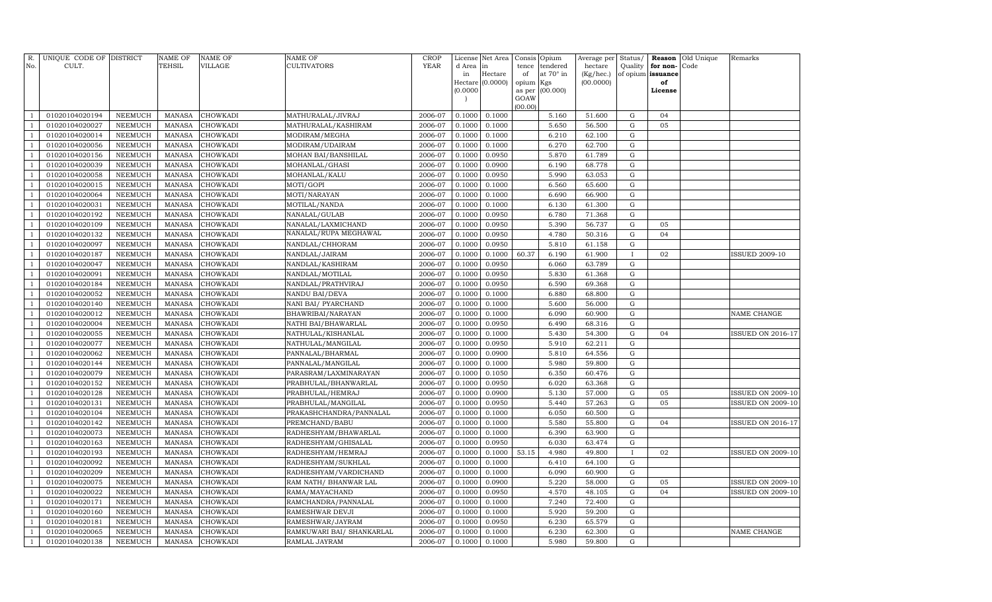| R.<br>No.      | UNIQUE CODE OF DISTRICT<br>CULT. |                | <b>NAME OF</b><br>TEHSIL | <b>NAME OF</b><br>VILLAGE | NAME OF<br>CULTIVATORS    | <b>CROP</b><br><b>YEAR</b> | d Area in | License Net Area | Consis<br>tence | Opium<br>tendered | Average per<br>hectare | Status/<br>Quality | for non- | <b>Reason</b> Old Unique<br>Code | Remarks                  |
|----------------|----------------------------------|----------------|--------------------------|---------------------------|---------------------------|----------------------------|-----------|------------------|-----------------|-------------------|------------------------|--------------------|----------|----------------------------------|--------------------------|
|                |                                  |                |                          |                           |                           |                            | in        | Hectare          | of              | at 70° in         | (Kg/hec.)              | of opium           | issuance |                                  |                          |
|                |                                  |                |                          |                           |                           |                            |           | Hectare (0.0000) | opium           | Kgs               | (00.0000)              |                    | of       |                                  |                          |
|                |                                  |                |                          |                           |                           |                            | (0.0000)  |                  | as per          | (00.000)          |                        |                    | License  |                                  |                          |
|                |                                  |                |                          |                           |                           |                            |           |                  | GOAW<br>(00.00) |                   |                        |                    |          |                                  |                          |
| $\mathbf{1}$   | 01020104020194                   | NEEMUCH        | <b>MANASA</b>            | CHOWKADI                  | MATHURALAL/JIVRAJ         | 2006-07                    | 0.1000    | 0.1000           |                 | 5.160             | 51.600                 | G                  | 04       |                                  |                          |
| $\mathbf{1}$   | 01020104020027                   | <b>NEEMUCH</b> | <b>MANASA</b>            | <b>CHOWKADI</b>           | MATHURALAL/KASHIRAM       | 2006-07                    | 0.1000    | 0.1000           |                 | 5.650             | 56.500                 | $\mathbf G$        | 05       |                                  |                          |
| $\mathbf{1}$   | 01020104020014                   | NEEMUCH        | <b>MANASA</b>            | CHOWKADI                  | MODIRAM/MEGHA             | 2006-07                    | 0.1000    | 0.1000           |                 | 6.210             | 62.100                 | G                  |          |                                  |                          |
| $\mathbf{1}$   | 01020104020056                   | <b>NEEMUCH</b> | <b>MANASA</b>            | <b>CHOWKADI</b>           | MODIRAM/UDAIRAM           | 2006-07                    | 0.1000    | 0.1000           |                 | 6.270             | 62.700                 | G                  |          |                                  |                          |
| $\mathbf{1}$   | 01020104020156                   | <b>NEEMUCH</b> | <b>MANASA</b>            | CHOWKADI                  | MOHAN BAI/BANSHILAL       | 2006-07                    | 0.1000    | 0.0950           |                 | 5.870             | 61.789                 | ${\rm G}$          |          |                                  |                          |
| $\mathbf{1}$   | 01020104020039                   | <b>NEEMUCH</b> | <b>MANASA</b>            | CHOWKADI                  | MOHANLAL/GHASI            | 2006-07                    | 0.1000    | 0.0900           |                 | 6.190             | 68.778                 | G                  |          |                                  |                          |
| $\mathbf{1}$   | 01020104020058                   | <b>NEEMUCH</b> | <b>MANASA</b>            | CHOWKADI                  | MOHANLAL/KALU             | 2006-07                    | 0.1000    | 0.0950           |                 | 5.990             | 63.053                 | G                  |          |                                  |                          |
| $\mathbf{1}$   | 01020104020015                   | <b>NEEMUCH</b> | <b>MANASA</b>            | CHOWKADI                  | MOTI/GOPI                 | 2006-07                    | 0.1000    | 0.1000           |                 | 6.560             | 65.600                 | G                  |          |                                  |                          |
| $\mathbf{1}$   | 01020104020064                   | <b>NEEMUCH</b> | <b>MANASA</b>            | CHOWKADI                  | MOTI/NARAYAN              | 2006-07                    | 0.1000    | 0.1000           |                 | 6.690             | 66.900                 | $\mathbf G$        |          |                                  |                          |
| $\mathbf{1}$   | 01020104020031                   | <b>NEEMUCH</b> | <b>MANASA</b>            | CHOWKADI                  | MOTILAL/NANDA             | 2006-07                    | 0.1000    | 0.1000           |                 | 6.130             | 61.300                 | G                  |          |                                  |                          |
| $\mathbf{1}$   | 01020104020192                   | <b>NEEMUCH</b> | <b>MANASA</b>            | <b>CHOWKADI</b>           | NANALAL/GULAB             | 2006-07                    | 0.1000    | 0.0950           |                 | 6.780             | 71.368                 | $\mathbf G$        |          |                                  |                          |
| $\mathbf{1}$   | 01020104020109                   | <b>NEEMUCH</b> | <b>MANASA</b>            | <b>CHOWKADI</b>           | NANALAL/LAXMICHAND        | 2006-07                    | 0.1000    | 0.0950           |                 | 5.390             | 56.737                 | $\mathbf G$        | 05       |                                  |                          |
| $\mathbf{1}$   | 01020104020132                   | <b>NEEMUCH</b> | <b>MANASA</b>            | CHOWKADI                  | NANALAL/RUPA MEGHAWAL     | 2006-07                    | 0.1000    | 0.0950           |                 | 4.780             | 50.316                 | ${\rm G}$          | 04       |                                  |                          |
| $\mathbf{1}$   | 01020104020097                   | <b>NEEMUCH</b> | <b>MANASA</b>            | CHOWKADI                  | NANDLAL/CHHORAM           | 2006-07                    | 0.1000    | 0.0950           |                 | 5.810             | 61.158                 | G                  |          |                                  |                          |
| $\mathbf{1}$   | 01020104020187                   | <b>NEEMUCH</b> | <b>MANASA</b>            | CHOWKADI                  | NANDLAL/JAIRAM            | 2006-07                    | 0.1000    | 0.1000           | 60.37           | 6.190             | 61.900                 | $\;$ I             | 02       |                                  | <b>ISSUED 2009-10</b>    |
| $\mathbf{1}$   | 01020104020047                   | <b>NEEMUCH</b> | <b>MANASA</b>            | CHOWKADI                  | NANDLAL/KASHIRAM          | 2006-07                    | 0.1000    | 0.0950           |                 | 6.060             | 63.789                 | G                  |          |                                  |                          |
| $\mathbf{1}$   | 01020104020091                   | <b>NEEMUCH</b> | <b>MANASA</b>            | CHOWKADI                  | NANDLAL/MOTILAL           | 2006-07                    | 0.1000    | 0.0950           |                 | 5.830             | 61.368                 | G                  |          |                                  |                          |
| $\mathbf{1}$   | 01020104020184                   | <b>NEEMUCH</b> | <b>MANASA</b>            | CHOWKADI                  | NANDLAL/PRATHVIRAJ        | 2006-07                    | 0.1000    | 0.0950           |                 | 6.590             | 69.368                 | ${\rm G}$          |          |                                  |                          |
| $\mathbf{1}$   | 01020104020052                   | <b>NEEMUCH</b> | <b>MANASA</b>            | CHOWKADI                  | NANDU BAI/DEVA            | 2006-07                    | 0.1000    | 0.1000           |                 | 6.880             | 68.800                 | ${\rm G}$          |          |                                  |                          |
| $\mathbf{1}$   | 01020104020140                   | <b>NEEMUCH</b> | <b>MANASA</b>            | CHOWKADI                  | NANI BAI/ PYARCHAND       | 2006-07                    | 0.1000    | 0.1000           |                 | 5.600             | 56.000                 | G                  |          |                                  |                          |
| $\mathbf{1}$   | 01020104020012                   | <b>NEEMUCH</b> | <b>MANASA</b>            | CHOWKADI                  | BHAWRIBAI/NARAYAN         | 2006-07                    | 0.1000    | 0.1000           |                 | 6.090             | 60.900                 | $\mathbf G$        |          |                                  | NAME CHANGE              |
| $\mathbf{1}$   | 01020104020004                   | <b>NEEMUCH</b> | MANASA                   | CHOWKADI                  | NATHI BAI/BHAWARLAL       | 2006-07                    | 0.1000    | 0.0950           |                 | 6.490             | 68.316                 | $\mathbf G$        |          |                                  |                          |
| $\mathbf{1}$   | 01020104020055                   | NEEMUCH        | <b>MANASA</b>            | <b>CHOWKADI</b>           | NATHULAL/KISHANLAL        | 2006-07                    | 0.1000    | 0.1000           |                 | 5.430             | 54.300                 | ${\bf G}$          | 04       |                                  | <b>ISSUED ON 2016-17</b> |
| $\mathbf{1}$   | 01020104020077                   | <b>NEEMUCH</b> | MANASA                   | CHOWKADI                  | NATHULAL/MANGILAL         | 2006-07                    | 0.1000    | 0.0950           |                 | 5.910             | 62.211                 | $\mathbf G$        |          |                                  |                          |
| $\mathbf{1}$   | 01020104020062                   | <b>NEEMUCH</b> | <b>MANASA</b>            | CHOWKADI                  | PANNALAL/BHARMAL          | 2006-07                    | 0.1000    | 0.0900           |                 | 5.810             | 64.556                 | $\mathbf G$        |          |                                  |                          |
| $\mathbf{1}$   | 01020104020144                   | <b>NEEMUCH</b> | <b>MANASA</b>            | CHOWKADI                  | PANNALAL/MANGILAL         | 2006-07                    | 0.1000    | 0.1000           |                 | 5.980             | 59.800                 | ${\rm G}$          |          |                                  |                          |
| $\overline{1}$ | 01020104020079                   | <b>NEEMUCH</b> | <b>MANASA</b>            | CHOWKADI                  | PARASRAM/LAXMINARAYAN     | 2006-07                    | 0.1000    | 0.1050           |                 | 6.350             | 60.476                 | $\mathbf G$        |          |                                  |                          |
| $\mathbf{1}$   | 01020104020152                   | <b>NEEMUCH</b> | <b>MANASA</b>            | CHOWKADI                  | PRABHULAL/BHANWARLAL      | 2006-07                    | 0.1000    | 0.0950           |                 | 6.020             | 63.368                 | ${\rm G}$          |          |                                  |                          |
| $\overline{1}$ | 01020104020128                   | NEEMUCH        | <b>MANASA</b>            | CHOWKADI                  | PRABHULAL/HEMRAJ          | 2006-07                    | 0.1000    | 0.0900           |                 | 5.130             | 57.000                 | $\mathbf G$        | 05       |                                  | <b>ISSUED ON 2009-10</b> |
| $\overline{1}$ | 01020104020131                   | NEEMUCH        | <b>MANASA</b>            | CHOWKADI                  | PRABHULAL/MANGILAL        | 2006-07                    | 0.1000    | 0.0950           |                 | 5.440             | 57.263                 | ${\rm G}$          | 05       |                                  | <b>ISSUED ON 2009-10</b> |
| $\overline{1}$ | 01020104020104                   | NEEMUCH        | <b>MANASA</b>            | CHOWKADI                  | PRAKASHCHANDRA/PANNALAL   | 2006-07                    | 0.1000    | 0.1000           |                 | 6.050             | 60.500                 | ${\rm G}$          |          |                                  |                          |
| $\mathbf{1}$   | 01020104020142                   | <b>NEEMUCH</b> | <b>MANASA</b>            | CHOWKADI                  | PREMCHAND/BABU            | 2006-07                    | 0.1000    | 0.1000           |                 | 5.580             | 55.800                 | $\mathbf G$        | 04       |                                  | <b>ISSUED ON 2016-17</b> |
| $\overline{1}$ | 01020104020073                   | NEEMUCH        | MANASA                   | CHOWKADI                  | RADHESHYAM/BHAWARLAL      | 2006-07                    | 0.1000    | 0.1000           |                 | 6.390             | 63.900                 | ${\rm G}$          |          |                                  |                          |
| $\mathbf{1}$   | 01020104020163                   | <b>NEEMUCH</b> | MANASA                   | CHOWKADI                  | RADHESHYAM/GHISALAL       | 2006-07                    | 0.1000    | 0.0950           |                 | 6.030             | 63.474                 | G                  |          |                                  |                          |
| $\overline{1}$ | 01020104020193                   | NEEMUCH        | <b>MANASA</b>            | CHOWKADI                  | RADHESHYAM/HEMRAJ         | 2006-07                    | 0.1000    | 0.1000           | 53.15           | 4.980             | 49.800                 |                    | 02       |                                  | <b>ISSUED ON 2009-10</b> |
| $\overline{1}$ | 01020104020092                   | <b>NEEMUCH</b> | <b>MANASA</b>            | CHOWKADI                  | RADHESHYAM/SUKHLAL        | 2006-07                    | 0.1000    | 0.1000           |                 | 6.410             | 64.100                 | G                  |          |                                  |                          |
| $\overline{1}$ | 01020104020209                   | <b>NEEMUCH</b> | <b>MANASA</b>            | CHOWKADI                  | RADHESHYAM/VARDICHAND     | 2006-07                    | 0.1000    | 0.1000           |                 | 6.090             | 60.900                 | $\mathbf G$        |          |                                  |                          |
| $\overline{1}$ | 01020104020075                   | <b>NEEMUCH</b> | <b>MANASA</b>            | CHOWKADI                  | RAM NATH / BHANWAR LAL    | 2006-07                    | 0.1000    | 0.0900           |                 | 5.220             | 58.000                 | G                  | 05       |                                  | ISSUED ON 2009-10        |
| $\mathbf{1}$   | 01020104020022                   | <b>NEEMUCH</b> | <b>MANASA</b>            | CHOWKADI                  | RAMA/MAYACHAND            | 2006-07                    | 0.1000    | 0.0950           |                 | 4.570             | 48.105                 | $\mathbf G$        | 04       |                                  | <b>ISSUED ON 2009-10</b> |
|                | 01020104020171                   | <b>NEEMUCH</b> | <b>MANASA</b>            | CHOWKADI                  | RAMCHANDRA/PANNALAL       | 2006-07                    | 0.1000    | 0.1000           |                 | 7.240             | 72.400                 | $\mathbf G$        |          |                                  |                          |
| $\overline{1}$ | 01020104020160                   | NEEMUCH        | <b>MANASA</b>            | CHOWKADI                  | RAMESHWAR DEVJI           | 2006-07                    | 0.1000    | 0.1000           |                 | 5.920             | 59.200                 | ${\rm G}$          |          |                                  |                          |
| $\overline{1}$ | 01020104020181                   | <b>NEEMUCH</b> | <b>MANASA</b>            | CHOWKADI                  | RAMESHWAR/JAYRAM          | 2006-07                    | 0.1000    | 0.0950           |                 | 6.230             | 65.579                 | ${\rm G}$          |          |                                  |                          |
|                | 01020104020065                   | <b>NEEMUCH</b> | <b>MANASA</b>            | CHOWKADI                  | RAMKUWARI BAI/ SHANKARLAL | 2006-07                    | 0.1000    | 0.1000           |                 | 6.230             | 62.300                 | $\mathbf G$        |          |                                  | NAME CHANGE              |
| $\mathbf{1}$   | 01020104020138                   | NEEMUCH        | <b>MANASA</b>            | CHOWKADI                  | RAMLAL JAYRAM             | 2006-07                    | 0.1000    | 0.1000           |                 | 5.980             | 59.800                 | G                  |          |                                  |                          |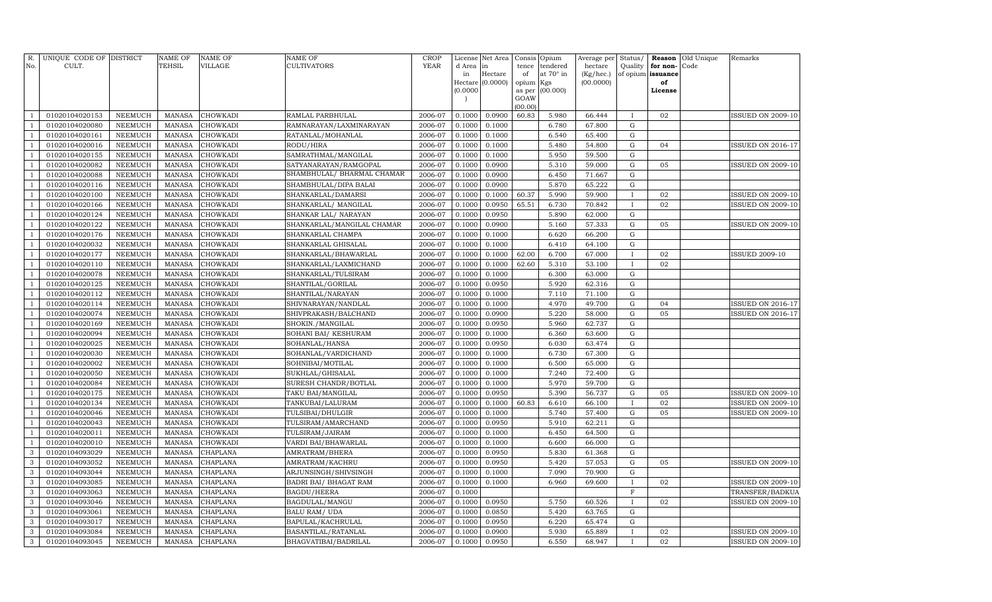| R.<br>No.                        | UNIQUE CODE OF DISTRICT<br>CULT. |                           | <b>NAME OF</b><br><b>TEHSIL</b> | <b>NAME OF</b><br>VILLAGE | <b>NAME OF</b><br>CULTIVATORS             | <b>CROP</b><br><b>YEAR</b> | d Area in<br>in  | License Net Area<br>Hectare<br>Hectare (0.0000) | Consis<br>tence<br>of<br>opium | Opium<br>tendered<br>at $70^\circ$ in<br>Kgs | Average per<br>hectare<br>(Kg/hec.)<br>(00.0000) | Status/<br>Quality<br>of opium issuance | for non-<br>of | <b>Reason</b> Old Unique<br>Code | Remarks                  |
|----------------------------------|----------------------------------|---------------------------|---------------------------------|---------------------------|-------------------------------------------|----------------------------|------------------|-------------------------------------------------|--------------------------------|----------------------------------------------|--------------------------------------------------|-----------------------------------------|----------------|----------------------------------|--------------------------|
|                                  |                                  |                           |                                 |                           |                                           |                            | (0.0000)         |                                                 | as per<br>GOAW<br>(00.00)      | (00.000)                                     |                                                  |                                         | License        |                                  |                          |
| $\mathbf{1}$                     | 01020104020153                   | NEEMUCH                   | <b>MANASA</b>                   | <b>CHOWKADI</b>           | RAMLAL PARBHULAL                          | 2006-07                    | 0.1000           | 0.0900                                          | 60.83                          | 5.980                                        | 66.444                                           | $\mathbf{I}$                            | 02             |                                  | ISSUED ON 2009-10        |
| $\mathbf{1}$                     | 01020104020080                   | <b>NEEMUCH</b>            | <b>MANASA</b>                   | <b>CHOWKADI</b>           | RAMNARAYAN/LAXMINARAYAN                   | 2006-07                    | 0.1000           | 0.1000                                          |                                | 6.780                                        | 67.800                                           | G                                       |                |                                  |                          |
| $\mathbf{1}$                     | 01020104020161                   | <b>NEEMUCH</b>            | <b>MANASA</b>                   | CHOWKADI                  | RATANLAL/MOHANLAL                         | 2006-07                    | 0.1000           | 0.1000                                          |                                | 6.540                                        | 65.400                                           | $\mathbf G$                             |                |                                  |                          |
| $\mathbf{1}$                     | 01020104020016                   | <b>NEEMUCH</b>            | <b>MANASA</b>                   | <b>CHOWKADI</b>           | RODU/HIRA                                 | 2006-07                    | 0.1000           | 0.1000                                          |                                | 5.480                                        | 54.800                                           | G                                       | 04             |                                  | <b>ISSUED ON 2016-17</b> |
| $\mathbf{1}$                     | 01020104020155                   | <b>NEEMUCH</b>            | <b>MANASA</b>                   | CHOWKADI                  | SAMRATHMAL/MANGILAL                       | 2006-07                    | 0.1000           | 0.1000                                          |                                | 5.950                                        | 59.500                                           | ${\rm G}$                               |                |                                  |                          |
| $\mathbf{1}$                     | 01020104020082                   | <b>NEEMUCH</b>            | <b>MANASA</b>                   | CHOWKADI                  | SATYANARAYAN/RAMGOPAL                     | 2006-07                    | 0.1000           | 0.0900                                          |                                | 5.310                                        | 59.000                                           | G                                       | 05             |                                  | <b>ISSUED ON 2009-10</b> |
| $\mathbf{1}$                     | 01020104020088                   | <b>NEEMUCH</b>            | <b>MANASA</b>                   | CHOWKADI                  | SHAMBHULAL/ BHARMAL CHAMAR                | 2006-07                    | 0.1000           | 0.0900                                          |                                | 6.450                                        | 71.667                                           | ${\rm G}$                               |                |                                  |                          |
| $\mathbf{1}$                     | 01020104020116                   | <b>NEEMUCH</b>            | <b>MANASA</b>                   | CHOWKADI                  | SHAMBHULAL/DIPA BALAI                     | 2006-07                    | 0.1000           | 0.0900                                          |                                | 5.870                                        | 65.222                                           | ${\rm G}$                               |                |                                  |                          |
| $\overline{1}$                   | 01020104020100                   | <b>NEEMUCH</b>            | <b>MANASA</b>                   | CHOWKADI                  | SHANKARLAL/DAMARSI                        | 2006-07                    | 0.1000           | 0.1000                                          | 60.37                          | 5.990                                        | 59.900                                           | $\mathbf{I}$                            | 02             |                                  | <b>ISSUED ON 2009-10</b> |
| $\mathbf{1}$                     | 01020104020166                   | <b>NEEMUCH</b>            | <b>MANASA</b>                   | CHOWKADI                  | SHANKARLAL/ MANGILAL                      | 2006-07                    | 0.1000           | 0.0950                                          | 65.51                          | 6.730                                        | 70.842                                           | $\mathbf{I}$                            | 02             |                                  | <b>ISSUED ON 2009-10</b> |
| $\mathbf{1}$                     | 01020104020124                   | <b>NEEMUCH</b>            | <b>MANASA</b>                   | CHOWKADI                  | SHANKAR LAL/ NARAYAN                      | 2006-07                    | 0.1000           | 0.0950                                          |                                | 5.890                                        | 62.000                                           | $\mathbf G$                             |                |                                  |                          |
| $\mathbf{1}$                     | 01020104020122                   | NEEMUCH                   | <b>MANASA</b>                   | CHOWKADI                  | SHANKARLAL/MANGILAL CHAMAR                | 2006-07                    | 0.1000           | 0.0900                                          |                                | 5.160                                        | 57.333                                           | G                                       | 05             |                                  | <b>ISSUED ON 2009-10</b> |
| $\mathbf{1}$                     | 01020104020176                   | NEEMUCH                   | <b>MANASA</b>                   | CHOWKADI                  | SHANKARLAL CHAMPA                         | 2006-07                    | 0.1000           | 0.1000                                          |                                | 6.620                                        | 66.200                                           | $\mathbf G$                             |                |                                  |                          |
| $\mathbf{1}$                     | 01020104020032                   | <b>NEEMUCH</b>            | <b>MANASA</b>                   | CHOWKADI                  | SHANKARLAL GHISALAL                       | 2006-07                    | 0.1000           | 0.1000                                          |                                | 6.410                                        | 64.100                                           | G                                       |                |                                  |                          |
| $\overline{1}$                   | 01020104020177                   | <b>NEEMUCH</b>            | <b>MANASA</b>                   | CHOWKADI                  | SHANKARLAL/BHAWARLAL                      | 2006-07                    | 0.1000           | 0.1000                                          | 62.00                          | 6.700                                        | 67.000                                           | $\mathbf I$                             | 02             |                                  | <b>ISSUED 2009-10</b>    |
| $\mathbf{1}$                     | 01020104020110                   | <b>NEEMUCH</b>            | <b>MANASA</b>                   | <b>CHOWKADI</b>           | SHANKARLAL/LAXMICHAND                     | 2006-07                    | 0.1000           | 0.1000                                          | 62.60                          | 5.310                                        | 53.100                                           | $\bf{I}$                                | 02             |                                  |                          |
| $\mathbf{1}$                     | 01020104020078                   | <b>NEEMUCH</b>            | <b>MANASA</b>                   | CHOWKADI                  | SHANKARLAL/TULSIRAM                       | 2006-07                    | 0.1000           | 0.1000                                          |                                | 6.300                                        | 63.000                                           | ${\rm G}$                               |                |                                  |                          |
| $\mathbf{1}$                     | 01020104020125                   | <b>NEEMUCH</b>            | <b>MANASA</b>                   | CHOWKADI                  | SHANTILAL/GORILAL                         | 2006-07                    | 0.1000           | 0.0950                                          |                                | 5.920                                        | 62.316                                           | ${\rm G}$                               |                |                                  |                          |
| $\overline{1}$                   | 01020104020112                   | <b>NEEMUCH</b>            | <b>MANASA</b>                   | CHOWKADI                  | SHANTILAL/NARAYAN                         | 2006-07                    | 0.1000           | 0.1000                                          |                                | 7.110                                        | 71.100                                           | $\mathbf G$                             |                |                                  |                          |
| $\overline{1}$                   | 01020104020114                   | <b>NEEMUCH</b>            | <b>MANASA</b>                   | CHOWKADI                  | SHIVNARAYAN/NANDLAL                       | 2006-07                    | 0.1000           | 0.1000                                          |                                | 4.970                                        | 49.700                                           | G                                       | 04             |                                  | <b>ISSUED ON 2016-17</b> |
|                                  | 01020104020074                   | NEEMUCH                   | <b>MANASA</b>                   | CHOWKADI                  | SHIVPRAKASH/BALCHAND                      | 2006-07                    | 0.1000           | 0.0900                                          |                                | 5.220                                        | 58.000                                           | $\mathbf G$                             | 05             |                                  | <b>ISSUED ON 2016-17</b> |
| $\mathbf{1}$                     | 01020104020169                   | NEEMUCH                   | <b>MANASA</b>                   | CHOWKADI                  | SHOKIN./MANGILAL                          | 2006-07                    | 0.1000           | 0.0950                                          |                                | 5.960                                        | 62.737                                           | $\mathbf G$                             |                |                                  |                          |
| $\overline{1}$<br>$\overline{1}$ | 01020104020094                   | NEEMUCH                   | <b>MANASA</b>                   | CHOWKADI                  | SOHANI BAI/ KESHURAM                      | 2006-07                    | 0.1000           | 0.1000                                          |                                | 6.360                                        | 63.600                                           | $\mathbf G$                             |                |                                  |                          |
| $\overline{1}$                   | 01020104020025                   | <b>NEEMUCH</b>            | <b>MANASA</b>                   | CHOWKADI                  | SOHANLAL/HANSA                            | 2006-07                    | 0.1000           | 0.0950                                          |                                | 6.030                                        | 63.474                                           | ${\rm G}$                               |                |                                  |                          |
| $\mathbf{1}$                     | 01020104020030                   | NEEMUCH                   | <b>MANASA</b>                   | CHOWKADI                  | SOHANLAL/VARDICHAND                       | 2006-07                    | 0.1000           | 0.1000                                          |                                | 6.730                                        | 67.300                                           | ${\bf G}$<br>G                          |                |                                  |                          |
|                                  | 01020104020002                   | NEEMUCH                   | <b>MANASA</b>                   | CHOWKADI                  | SOHNIBAI/MOTILAL                          | 2006-07<br>2006-07         | 0.1000           | 0.1000                                          |                                | 6.500<br>7.240                               | 65.000                                           | G                                       |                |                                  |                          |
|                                  | 01020104020050                   | NEEMUCH<br><b>NEEMUCH</b> | <b>MANASA</b><br><b>MANASA</b>  | CHOWKADI<br>CHOWKADI      | SUKHLAL/GHISALAL                          | 2006-07                    | 0.1000<br>0.1000 | 0.1000<br>0.1000                                |                                | 5.970                                        | 72.400<br>59.700                                 | G                                       |                |                                  |                          |
|                                  | 01020104020084<br>01020104020175 | <b>NEEMUCH</b>            | <b>MANASA</b>                   | CHOWKADI                  | SURESH CHANDR/BOTLAL<br>TAKU BAI/MANGILAL | 2006-07                    | 0.1000           | 0.0950                                          |                                | 5.390                                        | 56.737                                           | $\mathbf G$                             | 05             |                                  | <b>ISSUED ON 2009-10</b> |
| 1                                | 01020104020134                   | NEEMUCH                   | <b>MANASA</b>                   | CHOWKADI                  | TANKUBAI/LALURAM                          | 2006-07                    | 0.1000           | 0.1000                                          | 60.83                          | 6.610                                        | 66.100                                           | $\mathbf{I}$                            | 02             |                                  | <b>ISSUED ON 2009-10</b> |
| $\mathbf{1}$                     | 01020104020046                   | NEEMUCH                   | <b>MANASA</b>                   | CHOWKADI                  | TULSIBAI/DHULGIR                          | 2006-07                    | 0.1000           | 0.1000                                          |                                | 5.740                                        | 57.400                                           | G                                       | 05             |                                  | <b>ISSUED ON 2009-10</b> |
|                                  | 01020104020043                   | <b>NEEMUCH</b>            | <b>MANASA</b>                   | CHOWKADI                  | TULSIRAM/AMARCHAND                        | 2006-07                    | 0.1000           | 0.0950                                          |                                | 5.910                                        | 62.211                                           | G                                       |                |                                  |                          |
|                                  | 01020104020011                   | <b>NEEMUCH</b>            | <b>MANASA</b>                   | CHOWKADI                  | TULSIRAM/JAIRAM                           | 2006-07                    | 0.1000           | 0.1000                                          |                                | 6.450                                        | 64.500                                           | $\mathbf G$                             |                |                                  |                          |
| $\overline{1}$                   | 01020104020010                   | <b>NEEMUCH</b>            | <b>MANASA</b>                   | CHOWKADI                  | VARDI BAI/BHAWARLAL                       | 2006-07                    | 0.1000           | 0.1000                                          |                                | 6.600                                        | 66.000                                           | $\mathbf G$                             |                |                                  |                          |
| 3                                | 01020104093029                   | <b>NEEMUCH</b>            | <b>MANASA</b>                   | CHAPLANA                  | AMRATRAM/BHERA                            | 2006-07                    | 0.1000           | 0.0950                                          |                                | 5.830                                        | 61.368                                           | $\mathbf G$                             |                |                                  |                          |
| 3                                | 01020104093052                   | <b>NEEMUCH</b>            | <b>MANASA</b>                   | CHAPLANA                  | AMRATRAM/KACHRU                           | 2006-07                    | 0.1000           | 0.0950                                          |                                | 5.420                                        | 57.053                                           | G                                       | 05             |                                  | <b>ISSUED ON 2009-10</b> |
| 3                                | 01020104093044                   | <b>NEEMUCH</b>            | <b>MANASA</b>                   | CHAPLANA                  | ARJUNSINGH/SHIVSINGH                      | 2006-07                    | 0.1000           | 0.1000                                          |                                | 7.090                                        | 70.900                                           | $\mathbf G$                             |                |                                  |                          |
| 3                                | 01020104093085                   | <b>NEEMUCH</b>            | <b>MANASA</b>                   | CHAPLANA                  | BADRI BAI/ BHAGAT RAM                     | 2006-07                    | 0.1000           | 0.1000                                          |                                | 6.960                                        | 69.600                                           | $\mathbf{I}$                            | 02             |                                  | <b>ISSUED ON 2009-10</b> |
| 3                                | 01020104093063                   | <b>NEEMUCH</b>            | <b>MANASA</b>                   | CHAPLANA                  | <b>BAGDU/HEERA</b>                        | 2006-07                    | 0.1000           |                                                 |                                |                                              |                                                  | F                                       |                |                                  | TRANSFER/BADKUA          |
| 3                                | 01020104093046                   | <b>NEEMUCH</b>            | <b>MANASA</b>                   | CHAPLANA                  | BAGDULAL/MANGU                            | 2006-07                    | 0.1000           | 0.0950                                          |                                | 5.750                                        | 60.526                                           | $\mathbf{I}$                            | 02             |                                  | <b>ISSUED ON 2009-10</b> |
| 3                                | 01020104093061                   | <b>NEEMUCH</b>            | <b>MANASA</b>                   | CHAPLANA                  | <b>BALU RAM/ UDA</b>                      | 2006-07                    | 0.1000           | 0.0850                                          |                                | 5.420                                        | 63.765                                           | G                                       |                |                                  |                          |
| 3                                | 01020104093017                   | <b>NEEMUCH</b>            | <b>MANASA</b>                   | CHAPLANA                  | BAPULAL/KACHRULAL                         | 2006-07                    | 0.1000           | 0.0950                                          |                                | 6.220                                        | 65.474                                           | G                                       |                |                                  |                          |
| 3                                | 01020104093084                   | <b>NEEMUCH</b>            | <b>MANASA</b>                   | CHAPLANA                  | BASANTILAL/RATANLAL                       | 2006-07                    | 0.1000           | 0.0900                                          |                                | 5.930                                        | 65.889                                           | $\mathbf{I}$                            | 02             |                                  | <b>ISSUED ON 2009-10</b> |
| $\mathbf{3}$                     | 01020104093045                   | <b>NEEMUCH</b>            | MANASA                          | <b>CHAPLANA</b>           | BHAGVATIBAI/BADRILAL                      | 2006-07                    | 0.1000           | 0.0950                                          |                                | 6.550                                        | 68.947                                           | $\mathbf{I}$                            | 02             |                                  | <b>ISSUED ON 2009-10</b> |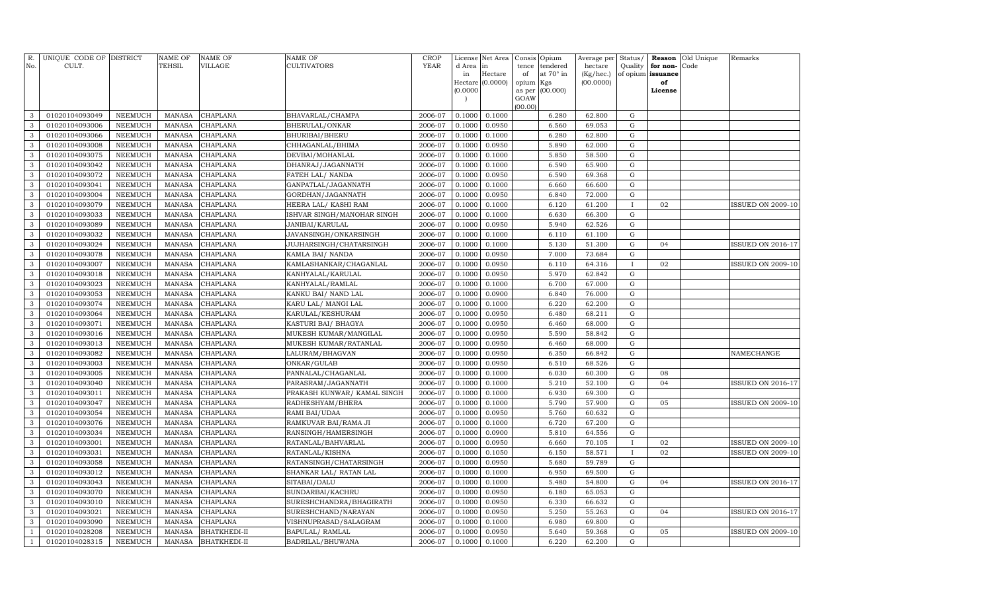| No.          | R. UNIQUE CODE OF DISTRICT<br>CULT. |                                  | <b>NAME OF</b><br>TEHSIL       | <b>NAME OF</b><br>VILLAGE | <b>NAME OF</b><br><b>CULTIVATORS</b> | <b>CROP</b><br>YEAR | License          | Net Area         | Consis      | Opium                 | Average per          | Status/                  | Reason                        | Old Unique | Remarks                  |
|--------------|-------------------------------------|----------------------------------|--------------------------------|---------------------------|--------------------------------------|---------------------|------------------|------------------|-------------|-----------------------|----------------------|--------------------------|-------------------------------|------------|--------------------------|
|              |                                     |                                  |                                |                           |                                      |                     | d Area<br>in     | in<br>Hectare    | tence<br>of | tendered<br>at 70° in | hectare<br>(Kg/hec.) | Quality                  | for non-<br>of opium issuance | Code       |                          |
|              |                                     |                                  |                                |                           |                                      |                     |                  | Hectare (0.0000) | opium       | Kgs                   | (00.0000)            |                          | of                            |            |                          |
|              |                                     |                                  |                                |                           |                                      |                     | (0.0000)         |                  | as per      | (00.000)              |                      |                          | License                       |            |                          |
|              |                                     |                                  |                                |                           |                                      |                     |                  |                  | GOAW        |                       |                      |                          |                               |            |                          |
| 3            | 01020104093049                      | <b>NEEMUCH</b>                   | <b>MANASA</b>                  | CHAPLANA                  | BHAVARLAL/CHAMPA                     | 2006-07             | 0.1000           | 0.1000           | (00.00)     | 6.280                 | 62.800               | ${\rm G}$                |                               |            |                          |
| 3            | 01020104093006                      | <b>NEEMUCH</b>                   | <b>MANASA</b>                  | CHAPLANA                  | BHERULAL/ONKAR                       | 2006-07             | 0.1000           | 0.0950           |             | 6.560                 | 69.053               | G                        |                               |            |                          |
| 3            | 01020104093066                      | <b>NEEMUCH</b>                   | <b>MANASA</b>                  | CHAPLANA                  | BHURIBAI/BHERU                       | 2006-07             | 0.1000           | 0.1000           |             | 6.280                 | 62.800               | ${\rm G}$                |                               |            |                          |
| $\mathbf{3}$ | 01020104093008                      | <b>NEEMUCH</b>                   | <b>MANASA</b>                  | CHAPLANA                  | CHHAGANLAL/BHIMA                     | 2006-07             | 0.1000           | 0.0950           |             | 5.890                 | 62.000               | ${\rm G}$                |                               |            |                          |
| 3            | 01020104093075                      | <b>NEEMUCH</b>                   | <b>MANASA</b>                  | CHAPLANA                  | DEVBAI/MOHANLAL                      | 2006-07             | 0.1000           | 0.1000           |             | 5.850                 | 58.500               | ${\rm G}$                |                               |            |                          |
| 3            | 01020104093042                      | <b>NEEMUCH</b>                   | <b>MANASA</b>                  | CHAPLANA                  | DHANRAJ/JAGANNATH                    | 2006-07             | 0.1000           | 0.1000           |             | 6.590                 | 65.900               | ${\rm G}$                |                               |            |                          |
| 3            | 01020104093072                      | <b>NEEMUCH</b>                   | <b>MANASA</b>                  | CHAPLANA                  | FATEH LAL/ NANDA                     | 2006-07             | 0.1000           | 0.0950           |             | 6.590                 | 69.368               | ${\rm G}$                |                               |            |                          |
| 3            | 01020104093041                      | <b>NEEMUCH</b>                   | <b>MANASA</b>                  | CHAPLANA                  | GANPATLAL/JAGANNATH                  | 2006-07             | 0.1000           | 0.1000           |             | 6.660                 | 66.600               | ${\rm G}$                |                               |            |                          |
| 3            | 01020104093004                      | <b>NEEMUCH</b>                   | <b>MANASA</b>                  | CHAPLANA                  | GORDHAN/JAGANNATH                    | 2006-07             | 0.1000           | 0.0950           |             | 6.840                 | 72.000               | $\mathbf G$              |                               |            |                          |
| 3            | 01020104093079                      | <b>NEEMUCH</b>                   | <b>MANASA</b>                  | CHAPLANA                  | HEERA LAL/ KASHI RAM                 | 2006-07             | 0.1000           | 0.1000           |             | 6.120                 | 61.200               | $\mathbf I$              | 02                            |            | <b>ISSUED ON 2009-10</b> |
| 3            | 01020104093033                      | <b>NEEMUCH</b>                   | <b>MANASA</b>                  | <b>CHAPLANA</b>           | ISHVAR SINGH/MANOHAR SINGH           | 2006-07             | 0.1000           | 0.1000           |             | 6.630                 | 66.300               | ${\rm G}$                |                               |            |                          |
| 3            | 01020104093089                      | <b>NEEMUCH</b>                   | <b>MANASA</b>                  | CHAPLANA                  | JANIBAI/KARULAL                      | 2006-07             | 0.1000           | 0.0950           |             | 5.940                 | 62.526               | $\mathbf G$              |                               |            |                          |
| 3            | 01020104093032                      | <b>NEEMUCH</b>                   | <b>MANASA</b>                  | CHAPLANA                  | JAVANSINGH/ONKARSINGH                | 2006-07             | 0.1000           | 0.1000           |             | 6.110                 | 61.100               | ${\bf G}$                |                               |            |                          |
| 3            | 01020104093024                      | <b>NEEMUCH</b>                   | <b>MANASA</b>                  | CHAPLANA                  | JUJHARSINGH/CHATARSINGH              | 2006-07             | 0.1000           | 0.1000           |             | 5.130                 | 51.300               | ${\bf G}$                | 04                            |            | <b>ISSUED ON 2016-17</b> |
| 3            | 01020104093078                      | <b>NEEMUCH</b>                   | <b>MANASA</b>                  | CHAPLANA                  | KAMLA BAI/ NANDA                     | 2006-07             | 0.1000           | 0.0950           |             | 7.000                 | 73.684               | ${\bf G}$                |                               |            |                          |
| 3            | 01020104093007                      | <b>NEEMUCH</b>                   | <b>MANASA</b>                  | CHAPLANA                  | KAMLASHANKAR/CHAGANLAL               | 2006-07             | 0.1000           | 0.0950           |             | 6.110                 | 64.316               | $\mathbf{I}$             | 02                            |            | <b>ISSUED ON 2009-10</b> |
| 3            | 01020104093018                      | <b>NEEMUCH</b>                   | <b>MANASA</b>                  | CHAPLANA                  | KANHYALAL/KARULAL                    | 2006-07             | 0.1000           | 0.0950           |             | 5.970                 | 62.842               | ${\rm G}$                |                               |            |                          |
| 3            | 01020104093023                      | <b>NEEMUCH</b>                   | <b>MANASA</b>                  | CHAPLANA                  | KANHYALAL/RAMLAL                     | 2006-07             | 0.1000           | 0.1000           |             | 6.700                 | 67.000               | ${\rm G}$                |                               |            |                          |
| 3            | 01020104093053                      | NEEMUCH                          | <b>MANASA</b>                  | CHAPLANA                  | KANKU BAI/ NAND LAL                  | 2006-07             | 0.1000           | 0.0900           |             | 6.840                 | 76.000               | ${\bf G}$                |                               |            |                          |
| 3            | 01020104093074                      | <b>NEEMUCH</b>                   | <b>MANASA</b>                  | CHAPLANA                  | KARU LAL/ MANGI LAL                  | 2006-07             | 0.1000           | 0.1000           |             | 6.220                 | 62.200               | ${\rm G}$                |                               |            |                          |
| 3            | 01020104093064                      | <b>NEEMUCH</b>                   | <b>MANASA</b>                  | CHAPLANA                  | KARULAL/KESHURAM                     | 2006-07             | 0.1000           | 0.0950           |             | 6.480                 | 68.211               | $\mathbf G$              |                               |            |                          |
| 3            | 01020104093071                      | NEEMUCH                          | <b>MANASA</b>                  | CHAPLANA                  | KASTURI BAI/ BHAGYA                  | 2006-07             | 0.1000           | 0.0950           |             | 6.460                 | 68.000               | ${\bf G}$                |                               |            |                          |
| 3            | 01020104093016                      | <b>NEEMUCH</b>                   | <b>MANASA</b>                  | CHAPLANA                  | MUKESH KUMAR/MANGILAL                | 2006-07             | 0.1000           | 0.0950           |             | 5.590                 | 58.842               | $\mathbf G$              |                               |            |                          |
| 3            | 01020104093013                      | <b>NEEMUCH</b>                   | <b>MANASA</b>                  | CHAPLANA                  | MUKESH KUMAR/RATANLAL                | 2006-07             | 0.1000           | 0.0950           |             | 6.460                 | 68.000               | ${\bf G}$                |                               |            |                          |
| 3            | 01020104093082                      | <b>NEEMUCH</b>                   | <b>MANASA</b>                  | CHAPLANA                  | LALURAM/BHAGVAN                      | 2006-07             | 0.1000           | 0.0950           |             | 6.350                 | 66.842               | ${\bf G}$                |                               |            | NAMECHANGE               |
| 3            | 01020104093003                      | <b>NEEMUCH</b>                   | <b>MANASA</b>                  | CHAPLANA                  | ONKAR/GULAB                          | 2006-07             | 0.1000           | 0.0950           |             | 6.510                 | 68.526               | ${\rm G}$                |                               |            |                          |
| 3            | 01020104093005                      | <b>NEEMUCH</b>                   | <b>MANASA</b>                  | CHAPLANA                  | PANNALAL/CHAGANLAL                   | 2006-07             | 0.1000           | 0.1000           |             | 6.030                 | 60.300               | ${\bf G}$                | 08                            |            |                          |
| 3            | 01020104093040                      | <b>NEEMUCH</b>                   | <b>MANASA</b>                  | CHAPLANA                  | PARASRAM/JAGANNATH                   | 2006-07             | 0.1000           | 0.1000           |             | 5.210                 | 52.100               | ${\bf G}$                | 04                            |            | ISSUED ON 2016-17        |
| 3            | 01020104093011                      | <b>NEEMUCH</b>                   | <b>MANASA</b>                  | CHAPLANA                  | PRAKASH KUNWAR/ KAMAL SINGH          | 2006-07             | 0.1000           | 0.1000           |             | 6.930                 | 69.300               | ${\bf G}$                |                               |            |                          |
| 3            | 01020104093047                      | <b>NEEMUCH</b>                   | <b>MANASA</b>                  | CHAPLANA                  | RADHESHYAM/BHERA                     | 2006-07             | 0.1000           | 0.1000           |             | 5.790                 | 57.900               | ${\rm G}$                | 05                            |            | <b>ISSUED ON 2009-10</b> |
| 3            | 01020104093054                      | NEEMUCH                          | <b>MANASA</b>                  | CHAPLANA                  | RAMI BAI/UDAA                        | 2006-07             | 0.1000           | 0.0950           |             | 5.760                 | 60.632               | ${\bf G}$                |                               |            |                          |
| 3            | 01020104093076                      | NEEMUCH                          | <b>MANASA</b>                  | CHAPLANA                  | RAMKUVAR BAI/RAMA JI                 | 2006-07             | 0.1000           | 0.1000           |             | 6.720                 | 67.200               | $\mathbf G$              |                               |            |                          |
| 3            | 01020104093034                      | NEEMUCH                          | <b>MANASA</b>                  | CHAPLANA                  | RANSINGH/HAMERSINGH                  | 2006-07             | 0.1000           | 0.0900           |             | 5.810                 | 64.556               | ${\bf G}$                |                               |            |                          |
| 3            | 01020104093001                      | <b>NEEMUCH</b>                   | <b>MANASA</b>                  | CHAPLANA                  | RATANLAL/BAHVARLAL                   | 2006-07             | 0.1000           | 0.0950           |             | 6.660                 | 70.105               | $\mathbf{I}$             | 02                            |            | <b>ISSUED ON 2009-10</b> |
| 3            | 01020104093031                      | NEEMUCH                          | <b>MANASA</b>                  | CHAPLANA                  | RATANLAL/KISHNA                      | 2006-07             | 0.1000           | 0.1050           |             | 6.150                 | 58.571               |                          | 02                            |            | <b>ISSUED ON 2009-10</b> |
| 3            | 01020104093058                      | <b>NEEMUCH</b>                   | <b>MANASA</b>                  | CHAPLANA                  | RATANSINGH/CHATARSINGH               | 2006-07             | 0.1000           | 0.0950           |             | 5.680                 | 59.789               | ${\rm G}$                |                               |            |                          |
| 3            | 01020104093012                      | <b>NEEMUCH</b>                   | <b>MANASA</b>                  | CHAPLANA                  | SHANKAR LAL/ RATAN LAL               | 2006-07             | 0.1000           | 0.1000           |             | 6.950                 | 69.500               | ${\bf G}$                | 04                            |            |                          |
| 3<br>3       | 01020104093043<br>01020104093070    | <b>NEEMUCH</b><br><b>NEEMUCH</b> | <b>MANASA</b><br><b>MANASA</b> | CHAPLANA<br>CHAPLANA      | SITABAI/DALU<br>SUNDARBAI/KACHRU     | 2006-07<br>2006-07  | 0.1000<br>0.1000 | 0.1000<br>0.0950 |             | 5.480<br>6.180        | 54.800<br>65.053     | ${\rm G}$<br>$\mathbf G$ |                               |            | ISSUED ON 2016-17        |
| 3            | 01020104093010                      | <b>NEEMUCH</b>                   | <b>MANASA</b>                  | CHAPLANA                  | SURESHCHANDRA/BHAGIRATH              | 2006-07             | 0.1000           | 0.0950           |             | 6.330                 | 66.632               | ${\bf G}$                |                               |            |                          |
| 3            | 01020104093021                      | NEEMUCH                          | <b>MANASA</b>                  | CHAPLANA                  | SURESHCHAND/NARAYAN                  | 2006-07             | 0.1000           | 0.0950           |             | 5.250                 | 55.263               | ${\bf G}$                | 04                            |            | <b>ISSUED ON 2016-17</b> |
| 3            | 01020104093090                      | <b>NEEMUCH</b>                   | <b>MANASA</b>                  | CHAPLANA                  | VISHNUPRASAD/SALAGRAM                | 2006-07             | 0.1000           | 0.1000           |             | 6.980                 | 69.800               | ${\bf G}$                |                               |            |                          |
|              | 01020104028208                      | NEEMUCH                          | <b>MANASA</b>                  | <b>BHATKHEDI-II</b>       | BAPULAL/RAMLAL                       | 2006-07             | 0.1000           | 0.0950           |             | 5.640                 | 59.368               | ${\bf G}$                | 05                            |            | <b>ISSUED ON 2009-10</b> |
| $\mathbf{1}$ | 01020104028315                      | NEEMUCH                          | MANASA                         | <b>BHATKHEDI-II</b>       | BADRILAL/BHUWANA                     | 2006-07             | 0.1000           | 0.1000           |             | 6.220                 | 62.200               | G                        |                               |            |                          |
|              |                                     |                                  |                                |                           |                                      |                     |                  |                  |             |                       |                      |                          |                               |            |                          |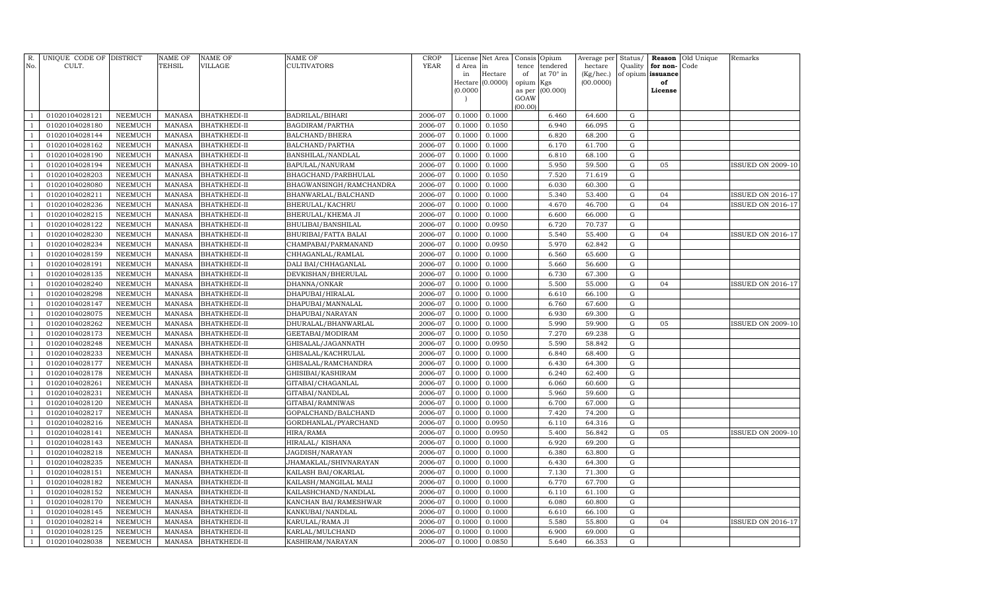| R.<br>No.      | UNIQUE CODE OF DISTRICT<br>CULT. |                                  | NAME OF<br><b>TEHSIL</b>       | <b>NAME OF</b><br>VILLAGE           | <b>NAME OF</b><br>CULTIVATORS      | CROP<br><b>YEAR</b> | d Area<br>in                         | License Net Area<br>in<br>Hectare | Consis<br>tence<br>of                  | Opium<br>tendered<br>at 70° in | Average per<br>hectare<br>(Kg/hec.) | Status/<br>Quality<br>of opium | Reason<br>for non-<br>issuance | Old Unique<br>Code | Remarks                  |
|----------------|----------------------------------|----------------------------------|--------------------------------|-------------------------------------|------------------------------------|---------------------|--------------------------------------|-----------------------------------|----------------------------------------|--------------------------------|-------------------------------------|--------------------------------|--------------------------------|--------------------|--------------------------|
|                |                                  |                                  |                                |                                     |                                    |                     | (0.0000)<br>$\overline{\phantom{a}}$ | Hectare $(0.0000)$                | opium Kgs<br>as per<br>GOAW<br>(00.00) | (00.000)                       | (00.0000)                           |                                | of<br>License                  |                    |                          |
|                | 01020104028121                   | NEEMUCH                          | MANASA                         | <b>BHATKHEDI-II</b>                 | BADRILAL/BIHARI                    | 2006-07             | 0.1000                               | 0.1000                            |                                        | 6.460                          | 64.600                              | $\mathbf G$                    |                                |                    |                          |
|                | 01020104028180                   | <b>NEEMUCH</b>                   | <b>MANASA</b>                  | <b>BHATKHEDI-II</b>                 | BAGDIRAM/PARTHA                    | 2006-07             | 0.1000                               | 0.1050                            |                                        | 6.940                          | 66.095                              | G                              |                                |                    |                          |
|                | 01020104028144                   | <b>NEEMUCH</b>                   | <b>MANASA</b>                  | <b>BHATKHEDI-II</b>                 | BALCHAND/BHERA                     | 2006-07             | 0.1000                               | 0.1000                            |                                        | 6.820                          | 68.200                              | ${\rm G}$                      |                                |                    |                          |
| $\overline{1}$ | 01020104028162                   | <b>NEEMUCH</b>                   | MANASA                         | <b>BHATKHEDI-II</b>                 | BALCHAND/PARTHA                    | 2006-07             | 0.1000                               | 0.1000                            |                                        | 6.170                          | 61.700                              | ${\rm G}$                      |                                |                    |                          |
| $\overline{1}$ | 01020104028190                   | <b>NEEMUCH</b>                   | <b>MANASA</b>                  | <b>BHATKHEDI-II</b>                 | BANSHILAL/NANDLAL                  | 2006-07             | 0.1000                               | 0.1000                            |                                        | 6.810                          | 68.100                              | G                              |                                |                    |                          |
|                | 01020104028194                   | <b>NEEMUCH</b>                   | <b>MANASA</b>                  | <b>BHATKHEDI-II</b>                 | BAPULAL/NANURAM                    | 2006-07             | 0.1000                               | 0.1000                            |                                        | 5.950                          | 59.500                              | ${\rm G}$                      | 05                             |                    | ISSUED ON 2009-10        |
| $\overline{1}$ | 01020104028203                   | <b>NEEMUCH</b>                   | <b>MANASA</b>                  | <b>BHATKHEDI-II</b>                 | BHAGCHAND/PARBHULAL                | 2006-07             | 0.1000                               | 0.1050                            |                                        | 7.520                          | 71.619                              | ${\rm G}$                      |                                |                    |                          |
|                | 01020104028080                   | <b>NEEMUCH</b>                   | <b>MANASA</b>                  | <b>BHATKHEDI-II</b>                 | BHAGWANSINGH/RAMCHANDRA            | 2006-07             | 0.1000                               | 0.1000                            |                                        | 6.030                          | 60.300                              | ${\rm G}$                      |                                |                    |                          |
|                | 01020104028211                   | <b>NEEMUCH</b>                   | <b>MANASA</b>                  | <b>BHATKHEDI-II</b>                 | BHANWARLAL/BALCHAND                | 2006-07             | 0.1000                               | 0.1000                            |                                        | 5.340                          | 53.400                              | ${\rm G}$                      | 04                             |                    | <b>ISSUED ON 2016-17</b> |
|                | 01020104028236                   | <b>NEEMUCH</b>                   | <b>MANASA</b>                  | BHATKHEDI-II                        | BHERULAL/KACHRU                    | 2006-07             | 0.1000                               | 0.1000                            |                                        | 4.670                          | 46.700                              | ${\rm G}$                      | 04                             |                    | <b>ISSUED ON 2016-17</b> |
|                | 01020104028215                   | <b>NEEMUCH</b>                   | <b>MANASA</b>                  | <b>BHATKHEDI-II</b>                 | BHERULAL/KHEMA JI                  | 2006-07             | 0.1000                               | 0.1000                            |                                        | 6.600                          | 66.000                              | ${\rm G}$                      |                                |                    |                          |
| -1             | 01020104028122                   | <b>NEEMUCH</b>                   | MANASA                         | <b>BHATKHEDI-II</b>                 | BHULIBAI/BANSHILAL                 | 2006-07             | 0.1000                               | 0.0950                            |                                        | 6.720                          | 70.737                              | G                              |                                |                    |                          |
|                | 01020104028230                   | NEEMUCH                          | <b>MANASA</b>                  | BHATKHEDI-II                        | BHURIBAI/FATTA BALAI               | 2006-07             | 0.1000                               | 0.1000                            |                                        | 5.540                          | 55.400                              | G                              | 04                             |                    | <b>ISSUED ON 2016-17</b> |
|                | 01020104028234                   | <b>NEEMUCH</b>                   | <b>MANASA</b>                  | BHATKHEDI-II                        | CHAMPABAI/PARMANAND                | 2006-07             | 0.1000                               | 0.0950                            |                                        | 5.970                          | 62.842                              | ${\rm G}$                      |                                |                    |                          |
|                | 01020104028159                   | <b>NEEMUCH</b>                   | <b>MANASA</b>                  | BHATKHEDI-II                        | CHHAGANLAL/RAMLAL                  | 2006-07             | 0.1000                               | 0.1000                            |                                        | 6.560                          | 65.600                              | ${\rm G}$                      |                                |                    |                          |
|                | 01020104028191                   | <b>NEEMUCH</b>                   | <b>MANASA</b>                  | BHATKHEDI-II                        | DALI BAI/CHHAGANLAL                | 2006-07             | 0.1000                               | 0.1000                            |                                        | 5.660                          | 56.600                              | ${\rm G}$                      |                                |                    |                          |
|                | 01020104028135                   | <b>NEEMUCH</b>                   | <b>MANASA</b>                  | <b>BHATKHEDI-II</b>                 | DEVKISHAN/BHERULAL                 | 2006-07             | 0.1000                               | 0.1000                            |                                        | 6.730                          | 67.300                              | ${\rm G}$                      |                                |                    |                          |
|                | 01020104028240                   | <b>NEEMUCH</b>                   | <b>MANASA</b>                  | <b>BHATKHEDI-II</b>                 | DHANNA/ONKAR                       | 2006-07             | 0.1000                               | 0.1000                            |                                        | 5.500                          | 55.000                              | G                              | 04                             |                    | <b>ISSUED ON 2016-17</b> |
|                | 01020104028298                   | <b>NEEMUCH</b>                   | <b>MANASA</b>                  | <b>BHATKHEDI-II</b>                 | DHAPUBAI/HIRALAL                   | 2006-07             | 0.1000                               | 0.1000                            |                                        | 6.610                          | 66.100                              | $\mathbf G$                    |                                |                    |                          |
|                | 01020104028147                   | <b>NEEMUCH</b>                   | <b>MANASA</b>                  | BHATKHEDI-II                        | DHAPUBAI/MANNALAL                  | 2006-07             | 0.1000                               | 0.1000                            |                                        | 6.760                          | 67.600                              | G                              |                                |                    |                          |
|                | 01020104028075                   | <b>NEEMUCH</b>                   | <b>MANASA</b>                  | BHATKHEDI-II                        | DHAPUBAI/NARAYAN                   | 2006-07             | 0.1000                               | 0.1000                            |                                        | 6.930                          | 69.300                              | ${\rm G}$                      |                                |                    |                          |
|                | 01020104028262                   | <b>NEEMUCH</b>                   | <b>MANASA</b>                  | BHATKHEDI-II                        | DHURALAL/BHANWARLAL                | 2006-07             | 0.1000                               | 0.1000                            |                                        | 5.990                          | 59.900                              | ${\rm G}$                      | 05                             |                    | <b>ISSUED ON 2009-10</b> |
|                | 01020104028173                   | NEEMUCH                          | <b>MANASA</b>                  | BHATKHEDI-II                        | GEETABAI/MODIRAM                   | 2006-07             | 0.1000                               | 0.1050                            |                                        | 7.270                          | 69.238                              | ${\rm G}$                      |                                |                    |                          |
|                | 01020104028248                   | <b>NEEMUCH</b>                   | <b>MANASA</b>                  | BHATKHEDI-II                        | GHISALAL/JAGANNATH                 | 2006-07             | 0.1000                               | 0.0950                            |                                        | 5.590                          | 58.842                              | G                              |                                |                    |                          |
|                | 01020104028233                   | NEEMUCH                          | <b>MANASA</b>                  | BHATKHEDI-II                        | GHISALAL/KACHRULAL                 | 2006-07             | 0.1000                               | 0.1000                            |                                        | 6.840                          | 68.400                              | ${\rm G}$                      |                                |                    |                          |
|                | 01020104028177                   | <b>NEEMUCH</b>                   | <b>MANASA</b>                  | BHATKHEDI-II                        | GHISALAL/RAMCHANDRA                | 2006-07             | 0.1000                               | 0.1000                            |                                        | 6.430                          | 64.300                              | ${\rm G}$                      |                                |                    |                          |
|                | 01020104028178                   | NEEMUCH                          | <b>MANASA</b>                  | BHATKHEDI-II                        | GHISIBAI/KASHIRAM                  | 2006-07             | 0.1000                               | 0.1000                            |                                        | 6.240                          | 62.400                              | ${\rm G}$                      |                                |                    |                          |
|                | 01020104028261                   | <b>NEEMUCH</b>                   | <b>MANASA</b>                  | BHATKHEDI-II                        | GITABAI/CHAGANLAL                  | 2006-07             | 0.1000                               | 0.1000                            |                                        | 6.060                          | 60.600                              | G                              |                                |                    |                          |
|                | 01020104028231                   | NEEMUCH                          | <b>MANASA</b>                  | BHATKHEDI-II                        | GITABAI/NANDLAL                    | 2006-07             | 0.1000                               | 0.1000                            |                                        | 5.960                          | 59.600                              | G                              |                                |                    |                          |
|                | 01020104028120                   | <b>NEEMUCH</b>                   | <b>MANASA</b>                  | BHATKHEDI-II                        | GITABAI/RAMNIWAS                   | 2006-07             | 0.1000                               | 0.1000                            |                                        | 6.700                          | 67.000                              | ${\rm G}$                      |                                |                    |                          |
|                | 01020104028217                   | <b>NEEMUCH</b>                   | <b>MANASA</b>                  | BHATKHEDI-II                        | GOPALCHAND/BALCHAND                | 2006-07             | 0.1000                               | 0.1000                            |                                        | 7.420                          | 74.200                              | ${\rm G}$<br>${\rm G}$         |                                |                    |                          |
|                | 01020104028216<br>01020104028141 | <b>NEEMUCH</b>                   | <b>MANASA</b><br><b>MANASA</b> | BHATKHEDI-II                        | GORDHANLAL/PYARCHAND               | 2006-07<br>2006-07  | 0.1000<br>0.1000                     | 0.0950                            |                                        | 6.110<br>5.400                 | 64.316<br>56.842                    | ${\rm G}$                      | 05                             |                    | <b>ISSUED ON 2009-10</b> |
|                | 01020104028143                   | <b>NEEMUCH</b><br><b>NEEMUCH</b> | <b>MANASA</b>                  | <b>BHATKHEDI-II</b><br>BHATKHEDI-II | HIRA/RAMA                          | 2006-07             | 0.1000                               | 0.0950<br>0.1000                  |                                        | 6.920                          | 69.200                              | G                              |                                |                    |                          |
|                | 01020104028218                   | <b>NEEMUCH</b>                   | <b>MANASA</b>                  | BHATKHEDI-II                        | HIRALAL/KISHANA<br>JAGDISH/NARAYAN | 2006-07             | 0.1000                               | 0.1000                            |                                        | 6.380                          | 63.800                              | ${\rm G}$                      |                                |                    |                          |
|                | 01020104028235                   | <b>NEEMUCH</b>                   | <b>MANASA</b>                  | BHATKHEDI-II                        | JHAMAKLAL/SHIVNARAYAN              | 2006-07             | 0.1000                               | 0.1000                            |                                        | 6.430                          | 64.300                              | G                              |                                |                    |                          |
|                | 01020104028151                   | <b>NEEMUCH</b>                   | <b>MANASA</b>                  | <b>BHATKHEDI-II</b>                 | KAILASH BAI/OKARLAL                | 2006-07             | 0.1000                               | 0.1000                            |                                        | 7.130                          | 71.300                              | ${\rm G}$                      |                                |                    |                          |
|                | 01020104028182                   | <b>NEEMUCH</b>                   | <b>MANASA</b>                  | BHATKHEDI-II                        | KAILASH/MANGILAL MALI              | 2006-07             | 0.1000                               | 0.1000                            |                                        | 6.770                          | 67.700                              | G                              |                                |                    |                          |
|                | 01020104028152                   | <b>NEEMUCH</b>                   | <b>MANASA</b>                  | BHATKHEDI-II                        | KAILASHCHAND/NANDLAL               | 2006-07             | 0.1000                               | 0.1000                            |                                        | 6.110                          | 61.100                              | G                              |                                |                    |                          |
|                | 01020104028170                   | <b>NEEMUCH</b>                   | <b>MANASA</b>                  | BHATKHEDI-II                        | KANCHAN BAI/RAMESHWAR              | 2006-07             | 0.1000                               | 0.1000                            |                                        | 6.080                          | 60.800                              | $\mathbf G$                    |                                |                    |                          |
|                | 01020104028145                   | <b>NEEMUCH</b>                   | <b>MANASA</b>                  | <b>BHATKHEDI-II</b>                 | KANKUBAI/NANDLAL                   | 2006-07             | 0.1000                               | 0.1000                            |                                        | 6.610                          | 66.100                              | G                              |                                |                    |                          |
|                | 01020104028214                   | <b>NEEMUCH</b>                   | <b>MANASA</b>                  | BHATKHEDI-II                        | KARULAL/RAMA JI                    | 2006-07             | 0.1000                               | 0.1000                            |                                        | 5.580                          | 55.800                              | ${\rm G}$                      | 04                             |                    | <b>ISSUED ON 2016-17</b> |
|                | 01020104028125                   | <b>NEEMUCH</b>                   | <b>MANASA</b>                  | BHATKHEDI-II                        | KARLAL/MULCHAND                    | 2006-07             | 0.1000                               | 0.1000                            |                                        | 6.900                          | 69.000                              | G                              |                                |                    |                          |
| $\overline{1}$ | 01020104028038                   | <b>NEEMUCH</b>                   | MANASA                         | <b>BHATKHEDI-II</b>                 | KASHIRAM/NARAYAN                   | 2006-07             | 0.1000                               | 0.0850                            |                                        | 5.640                          | 66.353                              | G                              |                                |                    |                          |
|                |                                  |                                  |                                |                                     |                                    |                     |                                      |                                   |                                        |                                |                                     |                                |                                |                    |                          |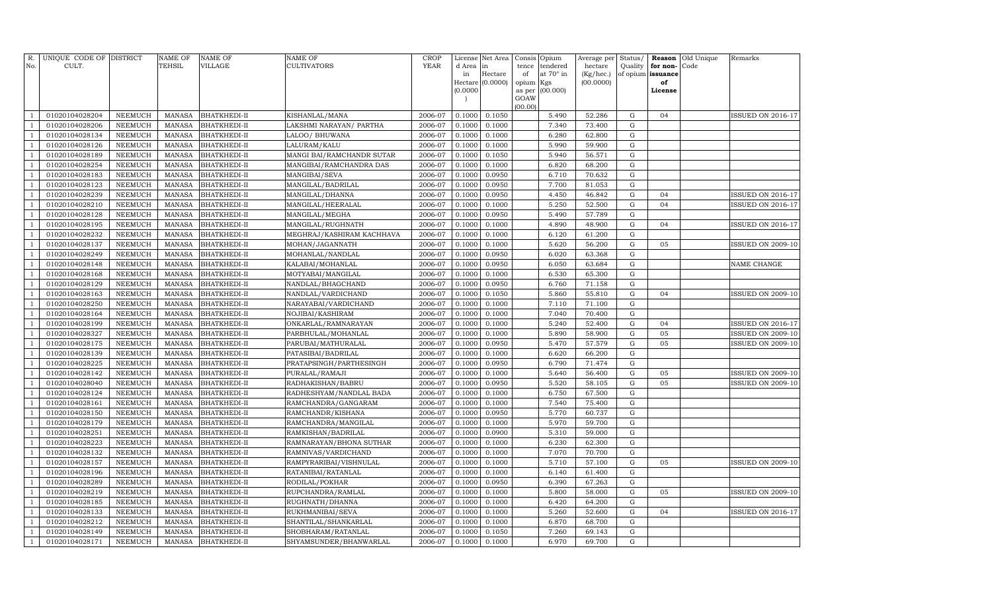| R.<br>No.                        | UNIQUE CODE OF DISTRICT<br>CULT. |                                  | <b>NAME OF</b><br>TEHSIL       | <b>NAME OF</b><br><b>VILLAGE</b> | NAME OF<br><b>CULTIVATORS</b>              | <b>CROP</b><br><b>YEAR</b> | License<br>d Area | Net Area<br>in   | Consis          | Opium<br>tendered | Average per          | Status/                | Reason                        | Old Unique<br>Code | Remarks                  |
|----------------------------------|----------------------------------|----------------------------------|--------------------------------|----------------------------------|--------------------------------------------|----------------------------|-------------------|------------------|-----------------|-------------------|----------------------|------------------------|-------------------------------|--------------------|--------------------------|
|                                  |                                  |                                  |                                |                                  |                                            |                            | in                | Hectare          | tence<br>of     | at 70° in         | hectare<br>(Kg/hec.) | Quality                | for non-<br>of opium issuance |                    |                          |
|                                  |                                  |                                  |                                |                                  |                                            |                            |                   | Hectare (0.0000) | opium           | Kgs               | (00.0000)            |                        | of                            |                    |                          |
|                                  |                                  |                                  |                                |                                  |                                            |                            | (0.0000)          |                  | as per          | (00.000)          |                      |                        | License                       |                    |                          |
|                                  |                                  |                                  |                                |                                  |                                            |                            |                   |                  | GOAW<br>(00.00) |                   |                      |                        |                               |                    |                          |
| $\mathbf{1}$                     | 01020104028204                   | <b>NEEMUCH</b>                   | <b>MANASA</b>                  | <b>BHATKHEDI-II</b>              | KISHANLAL/MANA                             | 2006-07                    | 0.1000            | 0.1050           |                 | 5.490             | 52.286               | ${\rm G}$              | 04                            |                    | <b>ISSUED ON 2016-17</b> |
| $\mathbf{1}$                     | 01020104028206                   | <b>NEEMUCH</b>                   | <b>MANASA</b>                  | <b>BHATKHEDI-II</b>              | LAKSHMI NARAYAN / PARTHA                   | 2006-07                    | 0.1000            | 0.1000           |                 | 7.340             | 73.400               | ${\rm G}$              |                               |                    |                          |
| $\mathbf{1}$                     | 01020104028134                   | <b>NEEMUCH</b>                   | <b>MANASA</b>                  | <b>BHATKHEDI-II</b>              | LALOO/ BHUWANA                             | 2006-07                    | 0.1000            | 0.1000           |                 | 6.280             | 62.800               | ${\rm G}$              |                               |                    |                          |
| $\mathbf{1}$                     | 01020104028126                   | <b>NEEMUCH</b>                   | <b>MANASA</b>                  | <b>BHATKHEDI-II</b>              | LALURAM/KALU                               | 2006-07                    | 0.1000            | 0.1000           |                 | 5.990             | 59.900               | ${\rm G}$              |                               |                    |                          |
| $\mathbf{1}$                     | 01020104028189                   | <b>NEEMUCH</b>                   | <b>MANASA</b>                  | <b>BHATKHEDI-II</b>              | MANGI BAI/RAMCHANDR SUTAR                  | 2006-07                    | 0.1000            | 0.1050           |                 | 5.940             | 56.571               | ${\rm G}$              |                               |                    |                          |
| $\mathbf{1}$                     | 01020104028254                   | <b>NEEMUCH</b>                   | <b>MANASA</b>                  | <b>BHATKHEDI-II</b>              | MANGIBAI/RAMCHANDRA DAS                    | 2006-07                    | 0.1000            | 0.1000           |                 | 6.820             | 68.200               | ${\rm G}$              |                               |                    |                          |
| $\mathbf{1}$                     | 01020104028183                   | <b>NEEMUCH</b>                   | <b>MANASA</b>                  | <b>BHATKHEDI-II</b>              | MANGIBAI/SEVA                              | 2006-07                    | 0.1000            | 0.0950           |                 | 6.710             | 70.632               | ${\rm G}$              |                               |                    |                          |
| $\mathbf{1}$                     | 01020104028123                   | <b>NEEMUCH</b>                   | <b>MANASA</b>                  | BHATKHEDI-II                     | MANGILAL/BADRILAL                          | 2006-07                    | 0.1000            | 0.0950           |                 | 7.700             | 81.053               | ${\rm G}$              |                               |                    |                          |
| $\mathbf{1}$                     | 01020104028239                   | <b>NEEMUCH</b>                   | <b>MANASA</b>                  | <b>BHATKHEDI-II</b>              | MANGILAL/DHANNA                            | 2006-07                    | 0.1000            | 0.0950           |                 | 4.450             | 46.842               | ${\bf G}$              | 04                            |                    | <b>ISSUED ON 2016-17</b> |
| $\mathbf{1}$                     | 01020104028210                   | <b>NEEMUCH</b>                   | <b>MANASA</b>                  | <b>BHATKHEDI-II</b>              | MANGILAL/HEERALAL                          | 2006-07                    | 0.1000            | 0.1000           |                 | 5.250             | 52.500               | ${\rm G}$              | 04                            |                    | ISSUED ON 2016-17        |
| $\mathbf{1}$                     | 01020104028128                   | <b>NEEMUCH</b>                   | <b>MANASA</b>                  | <b>BHATKHEDI-II</b>              | MANGILAL/MEGHA                             | 2006-07                    | 0.1000            | 0.0950           |                 | 5.490             | 57.789               | ${\bf G}$              |                               |                    |                          |
| $\mathbf{1}$                     | 01020104028195                   | <b>NEEMUCH</b>                   | <b>MANASA</b>                  | <b>BHATKHEDI-II</b>              | MANGILAL/RUGHNATH                          | 2006-07                    | 0.1000            | 0.1000           |                 | 4.890             | 48.900               | ${\bf G}$              | 04                            |                    | <b>ISSUED ON 2016-17</b> |
| $\mathbf{1}$                     | 01020104028232                   | <b>NEEMUCH</b>                   | <b>MANASA</b>                  | <b>BHATKHEDI-II</b>              | MEGHRAJ/KASHIRAM KACHHAVA                  | 2006-07                    | 0.1000            | 0.1000           |                 | 6.120             | 61.200               | ${\bf G}$              |                               |                    |                          |
| $\mathbf{1}$                     | 01020104028137                   | <b>NEEMUCH</b>                   | <b>MANASA</b>                  | <b>BHATKHEDI-II</b>              | MOHAN/JAGANNATH                            | 2006-07                    | 0.1000            | 0.1000           |                 | 5.620             | 56.200               | ${\rm G}$              | 05                            |                    | <b>ISSUED ON 2009-10</b> |
| $\mathbf{1}$                     | 01020104028249                   | <b>NEEMUCH</b>                   | <b>MANASA</b>                  | <b>BHATKHEDI-II</b>              | MOHANLAL/NANDLAL                           | 2006-07                    | 0.1000            | 0.0950           |                 | 6.020             | 63.368               | ${\rm G}$              |                               |                    |                          |
| $\mathbf{1}$                     | 01020104028148                   | <b>NEEMUCH</b>                   | <b>MANASA</b>                  | <b>BHATKHEDI-II</b>              | KALABAI/MOHANLAL                           | 2006-07                    | 0.1000            | 0.0950           |                 | 6.050             | 63.684               | ${\rm G}$              |                               |                    | NAME CHANGE              |
| $\mathbf{1}$                     | 01020104028168                   | <b>NEEMUCH</b>                   | <b>MANASA</b>                  | <b>BHATKHEDI-II</b>              | MOTYABAI/MANGILAL                          | 2006-07                    | 0.1000            | 0.1000           |                 | 6.530             | 65.300               | ${\rm G}$              |                               |                    |                          |
| $\overline{1}$                   | 01020104028129                   | <b>NEEMUCH</b>                   | <b>MANASA</b>                  | <b>BHATKHEDI-II</b>              | NANDLAL/BHAGCHAND                          | 2006-07                    | 0.1000            | 0.0950           |                 | 6.760             | 71.158               | ${\rm G}$              |                               |                    |                          |
| $\mathbf{1}$                     | 01020104028163                   | NEEMUCH                          | <b>MANASA</b>                  | BHATKHEDI-II                     | NANDLAL/VARDICHAND                         | 2006-07                    | 0.1000            | 0.1050           |                 | 5.860             | 55.810               | ${\bf G}$              | 04                            |                    | <b>ISSUED ON 2009-10</b> |
| $\mathbf{1}$                     | 01020104028250                   | <b>NEEMUCH</b>                   | <b>MANASA</b>                  | <b>BHATKHEDI-II</b>              | NARAYABAI/VARDICHAND                       | 2006-07                    | 0.1000            | 0.1000           |                 | 7.110             | 71.100               | ${\rm G}$              |                               |                    |                          |
| $\overline{1}$                   | 01020104028164                   | NEEMUCH                          | <b>MANASA</b>                  | <b>BHATKHEDI-II</b>              | NOJIBAI/KASHIRAM                           | 2006-07                    | 0.1000            | 0.1000           |                 | 7.040             | 70.400               | ${\rm G}$              |                               |                    |                          |
| $\mathbf{1}$                     | 01020104028199                   | <b>NEEMUCH</b>                   | <b>MANASA</b>                  | <b>BHATKHEDI-II</b>              | ONKARLAL/RAMNARAYAN                        | 2006-07                    | 0.1000            | 0.1000           |                 | 5.240             | 52.400               | ${\rm G}$              | 04                            |                    | <b>ISSUED ON 2016-17</b> |
| $\mathbf{1}$                     | 01020104028327                   | NEEMUCH                          | <b>MANASA</b>                  | <b>BHATKHEDI-II</b>              | PARBHULAL/MOHANLAL                         | 2006-07                    | 0.1000            | 0.1000           |                 | 5.890             | 58.900               | ${\bf G}$              | 05                            |                    | <b>ISSUED ON 2009-10</b> |
| $\mathbf{1}$                     | 01020104028175                   | <b>NEEMUCH</b>                   | <b>MANASA</b>                  | <b>BHATKHEDI-II</b>              | PARUBAI/MATHURALAL                         | 2006-07                    | 0.1000            | 0.0950           |                 | 5.470             | 57.579               | ${\bf G}$              | 05                            |                    | <b>ISSUED ON 2009-10</b> |
| $\mathbf{1}$                     | 01020104028139                   | <b>NEEMUCH</b>                   | <b>MANASA</b>                  | <b>BHATKHEDI-II</b>              | PATASIBAI/BADRILAL                         | 2006-07                    | 0.1000            | 0.1000           |                 | 6.620             | 66.200               | ${\rm G}$              |                               |                    |                          |
| $\mathbf{1}$                     | 01020104028225                   | <b>NEEMUCH</b>                   | <b>MANASA</b>                  | <b>BHATKHEDI-II</b>              | PRATAPSINGH/PARTHESINGH                    | 2006-07                    | 0.1000            | 0.0950           |                 | 6.790             | 71.474               | ${\rm G}$              |                               |                    |                          |
| $\overline{1}$                   | 01020104028142                   | <b>NEEMUCH</b>                   | <b>MANASA</b>                  | <b>BHATKHEDI-II</b>              | PURALAL/RAMAJI                             | 2006-07                    | 0.1000            | 0.1000           |                 | 5.640             | 56.400               | ${\bf G}$              | 05                            |                    | <b>ISSUED ON 2009-10</b> |
| $\mathbf{1}$                     | 01020104028040                   | <b>NEEMUCH</b>                   | <b>MANASA</b>                  | <b>BHATKHEDI-II</b>              | RADHAKISHAN/BABRU                          | 2006-07                    | 0.1000            | 0.0950           |                 | 5.520             | 58.105               | ${\rm G}$              | 05                            |                    | ISSUED ON 2009-10        |
| $\overline{1}$                   | 01020104028124                   | <b>NEEMUCH</b>                   | <b>MANASA</b>                  | <b>BHATKHEDI-II</b>              | RADHESHYAM/NANDLAL BADA                    | 2006-07                    | 0.1000            | 0.1000           |                 | 6.750             | 67.500               | ${\bf G}$              |                               |                    |                          |
| $\mathbf{1}$                     | 01020104028161                   | <b>NEEMUCH</b>                   | <b>MANASA</b>                  | BHATKHEDI-II                     | RAMCHANDRA/GANGARAM                        | 2006-07                    | 0.1000            | 0.1000           |                 | 7.540             | 75.400               | ${\bf G}$              |                               |                    |                          |
| $\overline{1}$                   | 01020104028150                   | <b>NEEMUCH</b>                   | <b>MANASA</b>                  | BHATKHEDI-II                     | RAMCHANDR/KISHANA                          | 2006-07                    | 0.1000            | 0.0950           |                 | 5.770             | 60.737               | ${\bf G}$              |                               |                    |                          |
| $\overline{1}$                   | 01020104028179                   | NEEMUCH                          | <b>MANASA</b>                  | BHATKHEDI-II                     | RAMCHANDRA/MANGILAL                        | 2006-07                    | 0.1000            | 0.1000           |                 | 5.970             | 59.700               | ${\rm G}$              |                               |                    |                          |
| $\mathbf{1}$                     | 01020104028251                   | NEEMUCH                          | <b>MANASA</b>                  | BHATKHEDI-II                     | RAMKISHAN/BADRILAL                         | 2006-07                    | 0.1000            | 0.0900           |                 | 5.310             | 59.000               | ${\bf G}$              |                               |                    |                          |
| $\mathbf{1}$                     | 01020104028223                   | <b>NEEMUCH</b>                   | <b>MANASA</b>                  | <b>BHATKHEDI-II</b>              | RAMNARAYAN/BHONA SUTHAR                    | 2006-07                    | 0.1000            | 0.1000           |                 | 6.230             | 62.300               | $\mathbf G$            |                               |                    |                          |
|                                  | 01020104028132                   | <b>NEEMUCH</b>                   | <b>MANASA</b>                  | <b>BHATKHEDI-II</b>              | RAMNIVAS/VARDICHAND                        | 2006-07                    | 0.1000            | 0.1000           |                 | 7.070             | 70.700               | ${\bf G}$              |                               |                    |                          |
| $\overline{1}$                   | 01020104028157                   | <b>NEEMUCH</b>                   | <b>MANASA</b>                  | BHATKHEDI-II                     | RAMPYRARIBAI/VISHNULAL                     | 2006-07                    | 0.1000            | 0.1000           |                 | 5.710             | 57.100               | ${\bf G}$              | 05                            |                    | <b>ISSUED ON 2009-10</b> |
| $\overline{1}$                   | 01020104028196                   | <b>NEEMUCH</b>                   | <b>MANASA</b>                  | <b>BHATKHEDI-II</b>              | RATANIBAI/RATANLAL                         | 2006-07                    | 0.1000            | 0.1000           |                 | 6.140             | 61.400               | ${\bf G}$              |                               |                    |                          |
| $\overline{1}$<br>$\overline{1}$ | 01020104028289                   | <b>NEEMUCH</b>                   | <b>MANASA</b>                  | BHATKHEDI-II                     | RODILAL/POKHAR                             | 2006-07                    | 0.1000            | 0.0950           |                 | 6.390             | 67.263               | ${\bf G}$              |                               |                    |                          |
| $\overline{1}$                   | 01020104028219                   | <b>NEEMUCH</b>                   | <b>MANASA</b>                  | BHATKHEDI-II                     | RUPCHANDRA/RAMLAL                          | 2006-07                    | 0.1000            | 0.1000           |                 | 5.800             | 58.000               | ${\rm G}$              | 05                            |                    | <b>ISSUED ON 2009-10</b> |
| $\mathbf{1}$                     | 01020104028185                   | <b>NEEMUCH</b>                   | <b>MANASA</b>                  | BHATKHEDI-II                     | RUGHNATH/DHANNA                            | 2006-07                    | 0.1000            | 0.1000           |                 | 6.420             | 64.200               | ${\bf G}$<br>${\bf G}$ |                               |                    | <b>ISSUED ON 2016-17</b> |
| $\mathbf{1}$                     | 01020104028133<br>01020104028212 | <b>NEEMUCH</b><br><b>NEEMUCH</b> | <b>MANASA</b><br><b>MANASA</b> | BHATKHEDI-II<br>BHATKHEDI-II     | RUKHMANIBAI/SEVA                           | 2006-07<br>2006-07         | 0.1000<br>0.1000  | 0.1000<br>0.1000 |                 | 5.260<br>6.870    | 52.600<br>68.700     | ${\bf G}$              | 04                            |                    |                          |
| $\mathbf{1}$                     | 01020104028149                   | NEEMUCH                          | <b>MANASA</b>                  | <b>BHATKHEDI-II</b>              | SHANTILAL/SHANKARLAL<br>SHOBHARAM/RATANLAL | 2006-07                    | 0.1000            | 0.1050           |                 | 7.260             | 69.143               | ${\bf G}$              |                               |                    |                          |
| $\mathbf{1}$                     |                                  |                                  |                                |                                  |                                            | 2006-07                    | 0.1000            | 0.1000           |                 | 6.970             | 69.700               | ${\rm G}$              |                               |                    |                          |
|                                  | 01020104028171                   | NEEMUCH                          | MANASA                         | BHATKHEDI-II                     | SHYAMSUNDER/BHANWARLAL                     |                            |                   |                  |                 |                   |                      |                        |                               |                    |                          |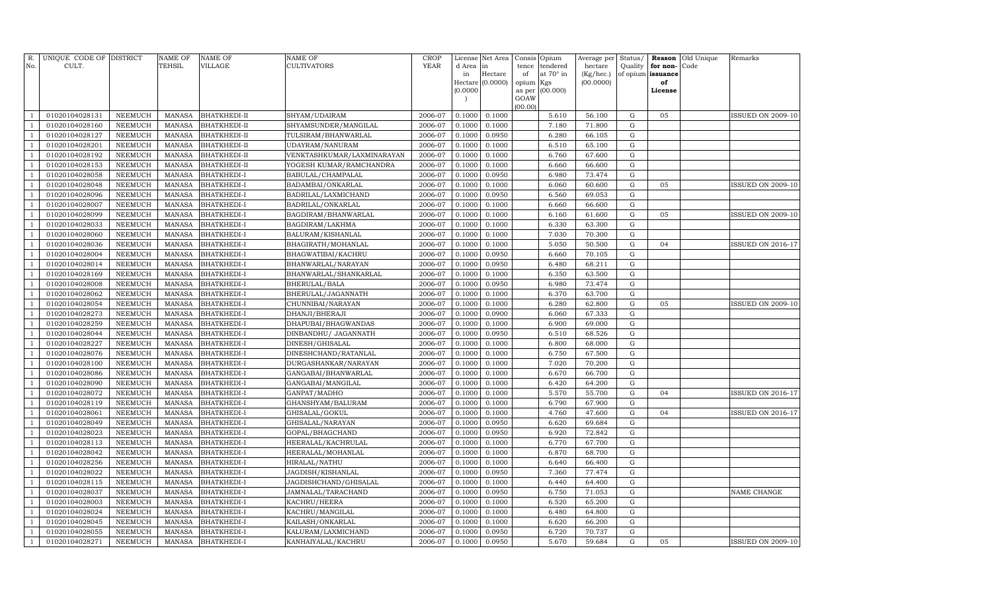| R.<br>No.      | UNIQUE CODE OF DISTRICT<br>CULT. |                | <b>NAME OF</b><br>TEHSIL | <b>NAME OF</b><br>VILLAGE | NAME OF<br><b>CULTIVATORS</b> | <b>CROP</b><br>YEAR | License<br>d Area<br>in | Net Area<br>in<br>Hectare | Consis Opium<br>tence<br>of | tendered<br>at 70° in | Average per<br>hectare<br>(Kg/hec.) | Status/<br>Quality | for non-<br>of opium issuance | <b>Reason</b> Old Unique<br>Code | Remarks                  |
|----------------|----------------------------------|----------------|--------------------------|---------------------------|-------------------------------|---------------------|-------------------------|---------------------------|-----------------------------|-----------------------|-------------------------------------|--------------------|-------------------------------|----------------------------------|--------------------------|
|                |                                  |                |                          |                           |                               |                     |                         | Hectare (0.0000)          | opium Kgs                   |                       | (00.0000)                           |                    | of                            |                                  |                          |
|                |                                  |                |                          |                           |                               |                     | (0.0000)                |                           | as per                      | (00.000)              |                                     |                    | License                       |                                  |                          |
|                |                                  |                |                          |                           |                               |                     |                         |                           | GOAW<br>(00.00)             |                       |                                     |                    |                               |                                  |                          |
|                | 01020104028131                   | NEEMUCH        | <b>MANASA</b>            | <b>BHATKHEDI-II</b>       | SHYAM/UDAIRAM                 | 2006-07             | 0.1000                  | 0.1000                    |                             | 5.610                 | 56.100                              | G                  | 05                            |                                  | <b>ISSUED ON 2009-10</b> |
|                | 01020104028160                   | NEEMUCH        | <b>MANASA</b>            | <b>BHATKHEDI-II</b>       | SHYAMSUNDER/MANGILAL          | 2006-07             | 0.1000                  | 0.1000                    |                             | 7.180                 | 71.800                              | $\mathbf G$        |                               |                                  |                          |
|                | 01020104028127                   | <b>NEEMUCH</b> | <b>MANASA</b>            | <b>BHATKHEDI-II</b>       | TULSIRAM/BHANWARLAL           | 2006-07             | 0.1000                  | 0.0950                    |                             | 6.280                 | 66.105                              | ${\bf G}$          |                               |                                  |                          |
| $\mathbf{1}$   | 01020104028201                   | NEEMUCH        | <b>MANASA</b>            | <b>BHATKHEDI-II</b>       | UDAYRAM/NANURAM               | 2006-07             | 0.1000                  | 0.1000                    |                             | 6.510                 | 65.100                              | ${\rm G}$          |                               |                                  |                          |
| $\overline{1}$ | 01020104028192                   | NEEMUCH        | <b>MANASA</b>            | <b>BHATKHEDI-II</b>       | VENKTASHKUMAR/LAXMINARAYAN    | 2006-07             | 0.1000                  | 0.1000                    |                             | 6.760                 | 67.600                              | ${\rm G}$          |                               |                                  |                          |
|                | 01020104028153                   | <b>NEEMUCH</b> | <b>MANASA</b>            | <b>BHATKHEDI-II</b>       | YOGESH KUMAR/RAMCHANDRA       | 2006-07             | 0.1000                  | 0.1000                    |                             | 6.660                 | 66.600                              | ${\rm G}$          |                               |                                  |                          |
| -1             | 01020104028058                   | <b>NEEMUCH</b> | <b>MANASA</b>            | BHATKHEDI-I               | BABULAL/CHAMPALAL             | 2006-07             | 0.1000                  | 0.0950                    |                             | 6.980                 | 73.474                              | ${\rm G}$          |                               |                                  |                          |
|                | 01020104028048                   | <b>NEEMUCH</b> | <b>MANASA</b>            | BHATKHEDI-I               | BADAMBAI/ONKARLAL             | 2006-07             | 0.1000                  | 0.1000                    |                             | 6.060                 | 60.600                              | G                  | 05                            |                                  | ISSUED ON 2009-10        |
|                | 01020104028096                   | NEEMUCH        | <b>MANASA</b>            | BHATKHEDI-I               | BADRILAL/LAXMICHAND           | 2006-07             | 0.1000                  | 0.0950                    |                             | 6.560                 | 69.053                              | ${\rm G}$          |                               |                                  |                          |
|                | 01020104028007                   | <b>NEEMUCH</b> | <b>MANASA</b>            | BHATKHEDI-I               | BADRILAL/ONKARLAL             | 2006-07             | 0.1000                  | 0.1000                    |                             | 6.660                 | 66.600                              | $\mathbf G$        |                               |                                  |                          |
| $\overline{1}$ | 01020104028099                   | <b>NEEMUCH</b> | <b>MANASA</b>            | <b>BHATKHEDI-I</b>        | BAGDIRAM/BHANWARLAL           | 2006-07             | 0.1000                  | 0.1000                    |                             | 6.160                 | 61.600                              | $\mathbf G$        | 05                            |                                  | ISSUED ON 2009-10        |
| -1             | 01020104028033                   | <b>NEEMUCH</b> | <b>MANASA</b>            | BHATKHEDI-I               | BAGDIRAM/LAKHMA               | 2006-07             | 0.1000                  | 0.1000                    |                             | 6.330                 | 63.300                              | ${\bf G}$          |                               |                                  |                          |
| $\mathbf{1}$   | 01020104028060                   | <b>NEEMUCH</b> | <b>MANASA</b>            | BHATKHEDI-I               | BALURAM/KISHANLAL             | 2006-07             | 0.1000                  | 0.1000                    |                             | 7.030                 | 70.300                              | ${\bf G}$          |                               |                                  |                          |
|                | 01020104028036                   | <b>NEEMUCH</b> | <b>MANASA</b>            | BHATKHEDI-I               | BHAGIRATH/MOHANLAL            | 2006-07             | 0.1000                  | 0.1000                    |                             | 5.050                 | 50.500                              | ${\rm G}$          | 04                            |                                  | <b>ISSUED ON 2016-17</b> |
|                | 01020104028004                   | <b>NEEMUCH</b> | <b>MANASA</b>            | BHATKHEDI-I               | BHAGWATIBAI/KACHRU            | 2006-07             | 0.1000                  | 0.0950                    |                             | 6.660                 | 70.105                              | ${\bf G}$          |                               |                                  |                          |
| $\overline{1}$ | 01020104028014                   | <b>NEEMUCH</b> | <b>MANASA</b>            | BHATKHEDI-I               | BHANWARLAL/NARAYAN            | 2006-07             | 0.1000                  | 0.0950                    |                             | 6.480                 | 68.211                              | ${\rm G}$          |                               |                                  |                          |
|                | 01020104028169                   | <b>NEEMUCH</b> | <b>MANASA</b>            | BHATKHEDI-I               | BHANWARLAL/SHANKARLAL         | 2006-07             | 0.1000                  | 0.1000                    |                             | 6.350                 | 63.500                              | ${\rm G}$          |                               |                                  |                          |
|                | 01020104028008                   | <b>NEEMUCH</b> | <b>MANASA</b>            | BHATKHEDI-I               | BHERULAL/BALA                 | 2006-07             | 0.1000                  | 0.0950                    |                             | 6.980                 | 73.474                              | ${\rm G}$          |                               |                                  |                          |
|                | 01020104028062                   | <b>NEEMUCH</b> | <b>MANASA</b>            | BHATKHEDI-I               | BHERULAL/JAGANNATH            | 2006-07             | 0.1000                  | 0.1000                    |                             | 6.370                 | 63.700                              | ${\bf G}$          |                               |                                  |                          |
|                | 01020104028054                   | <b>NEEMUCH</b> | <b>MANASA</b>            | BHATKHEDI-I               | CHUNNIBAI/NARAYAN             | 2006-07             | 0.1000                  | 0.1000                    |                             | 6.280                 | 62.800                              | ${\bf G}$          | 05                            |                                  | <b>ISSUED ON 2009-10</b> |
| -1             | 01020104028273                   | <b>NEEMUCH</b> | <b>MANASA</b>            | BHATKHEDI-I               | DHANJI/BHERAJI                | 2006-07             | 0.1000                  | 0.0900                    |                             | 6.060                 | 67.333                              | $\mathbf G$        |                               |                                  |                          |
|                | 01020104028259                   | <b>NEEMUCH</b> | <b>MANASA</b>            | BHATKHEDI-I               | DHAPUBAI/BHAGWANDAS           | 2006-07             | 0.1000                  | 0.1000                    |                             | 6.900                 | 69.000                              | $\mathbf G$        |                               |                                  |                          |
|                | 01020104028044                   | <b>NEEMUCH</b> | <b>MANASA</b>            | BHATKHEDI-I               | DINBANDHU/ JAGANNATH          | 2006-07             | 0.1000                  | 0.0950                    |                             | 6.510                 | 68.526                              | ${\bf G}$          |                               |                                  |                          |
| -1             | 01020104028227                   | <b>NEEMUCH</b> | <b>MANASA</b>            | BHATKHEDI-I               | DINESH/GHISALAL               | 2006-07             | 0.1000                  | 0.1000                    |                             | 6.800                 | 68.000                              | ${\bf G}$          |                               |                                  |                          |
| -1             | 01020104028076                   | <b>NEEMUCH</b> | <b>MANASA</b>            | BHATKHEDI-I               | DINESHCHAND/RATANLAL          | 2006-07             | 0.1000                  | 0.1000                    |                             | 6.750                 | 67.500                              | ${\bf G}$          |                               |                                  |                          |
|                | 01020104028100                   | <b>NEEMUCH</b> | <b>MANASA</b>            | BHATKHEDI-I               | DURGASHANKAR/NARAYAN          | 2006-07             | 0.1000                  | 0.1000                    |                             | 7.020                 | 70.200                              | ${\rm G}$          |                               |                                  |                          |
|                | 01020104028086                   | <b>NEEMUCH</b> | <b>MANASA</b>            | BHATKHEDI-I               | GANGABAI/BHANWARLAL           | 2006-07             | 0.1000                  | 0.1000                    |                             | 6.670                 | 66.700                              | ${\bf G}$          |                               |                                  |                          |
|                | 01020104028090                   | <b>NEEMUCH</b> | <b>MANASA</b>            | BHATKHEDI-I               | GANGABAI/MANGILAL             | 2006-07             | 0.1000                  | 0.1000                    |                             | 6.420                 | 64.200                              | ${\rm G}$          |                               |                                  |                          |
|                | 01020104028072                   | <b>NEEMUCH</b> | <b>MANASA</b>            | BHATKHEDI-I               | GANPAT/MADHO                  | 2006-07             | 0.1000                  | 0.1000                    |                             | 5.570                 | 55.700                              | ${\rm G}$          | 04                            |                                  | <b>ISSUED ON 2016-17</b> |
|                | 01020104028119                   | <b>NEEMUCH</b> | <b>MANASA</b>            | BHATKHEDI-I               | GHANSHYAM/BALURAM             | 2006-07             | 0.1000                  | 0.1000                    |                             | 6.790                 | 67.900                              | ${\rm G}$          |                               |                                  |                          |
|                | 01020104028061                   | NEEMUCH        | MANASA                   | BHATKHEDI-I               | GHISALAL/GOKUL                | 2006-07             | 0.1000                  | 0.1000                    |                             | 4.760                 | 47.600                              | ${\bf G}$          | 04                            |                                  | <b>ISSUED ON 2016-17</b> |
|                | 01020104028049                   | <b>NEEMUCH</b> | <b>MANASA</b>            | BHATKHEDI-I               | GHISALAL/NARAYAN              | 2006-07             | 0.1000                  | 0.0950                    |                             | 6.620                 | 69.684                              | $\mathbf G$        |                               |                                  |                          |
|                | 01020104028023                   | NEEMUCH        | <b>MANASA</b>            | BHATKHEDI-I               | GOPAL/BHAGCHAND               | 2006-07             | 0.1000                  | 0.0950                    |                             | 6.920                 | 72.842                              | $\mathbf G$        |                               |                                  |                          |
|                | 01020104028113                   | NEEMUCH        | <b>MANASA</b>            | BHATKHEDI-I               | HEERALAL/KACHRULAL            | 2006-07             | 0.1000                  | 0.1000                    |                             | 6.770                 | 67.700                              | $\mathbf G$        |                               |                                  |                          |
|                | 01020104028042                   | <b>NEEMUCH</b> | <b>MANASA</b>            | BHATKHEDI-I               | HEERALAL/MOHANLAL             | 2006-07             | 0.1000                  | 0.1000                    |                             | 6.870                 | 68.700                              | $\mathbf G$        |                               |                                  |                          |
|                | 01020104028256                   | <b>NEEMUCH</b> | <b>MANASA</b>            | BHATKHEDI-I               | HIRALAL/NATHU                 | 2006-07             | 0.1000                  | 0.1000                    |                             | 6.640                 | 66.400                              | $\mathbf G$        |                               |                                  |                          |
|                | 01020104028022                   | <b>NEEMUCH</b> | <b>MANASA</b>            | BHATKHEDI-I               | JAGDISH/KISHANLAL             | 2006-07             | 0.1000                  | 0.0950                    |                             | 7.360                 | 77.474                              | ${\rm G}$          |                               |                                  |                          |
|                | 01020104028115                   | <b>NEEMUCH</b> | <b>MANASA</b>            | BHATKHEDI-I               | JAGDISHCHAND/GHISALAL         | 2006-07             | 0.1000                  | 0.1000                    |                             | 6.440                 | 64.400                              | ${\bf G}$          |                               |                                  |                          |
|                | 01020104028037                   | <b>NEEMUCH</b> | <b>MANASA</b>            | BHATKHEDI-I               | JAMNALAL/TARACHAND            | 2006-07             | 0.1000                  | 0.0950                    |                             | 6.750                 | 71.053                              | $\mathbf G$        |                               |                                  | NAME CHANGE              |
|                | 01020104028003                   | <b>NEEMUCH</b> | <b>MANASA</b>            | BHATKHEDI-I               | KACHRU/HEERA                  | 2006-07             | 0.1000                  | 0.1000                    |                             | 6.520                 | 65.200                              | ${\rm G}$          |                               |                                  |                          |
|                | 01020104028024                   | <b>NEEMUCH</b> | <b>MANASA</b>            | BHATKHEDI-I               | KACHRU/MANGILAL               | 2006-07             | 0.1000                  | 0.1000                    |                             | 6.480                 | 64.800                              | ${\bf G}$          |                               |                                  |                          |
|                | 01020104028045                   | <b>NEEMUCH</b> | <b>MANASA</b>            | BHATKHEDI-I               | KAILASH/ONKARLAL              | 2006-07             | 0.1000                  | 0.1000                    |                             | 6.620                 | 66.200                              | ${\rm G}$          |                               |                                  |                          |
|                | 01020104028055                   | <b>NEEMUCH</b> | <b>MANASA</b>            | BHATKHEDI-I               | KALURAM/LAXMICHAND            | 2006-07             | 0.1000                  | 0.0950                    |                             | 6.720                 | 70.737                              | ${\bf G}$          |                               |                                  |                          |
| -1             | 01020104028271                   | <b>NEEMUCH</b> | MANASA                   | BHATKHEDI-I               | KANHAIYALAL/KACHRU            | 2006-07             | 0.1000                  | 0.0950                    |                             | 5.670                 | 59.684                              | G                  | 05                            |                                  | <b>ISSUED ON 2009-10</b> |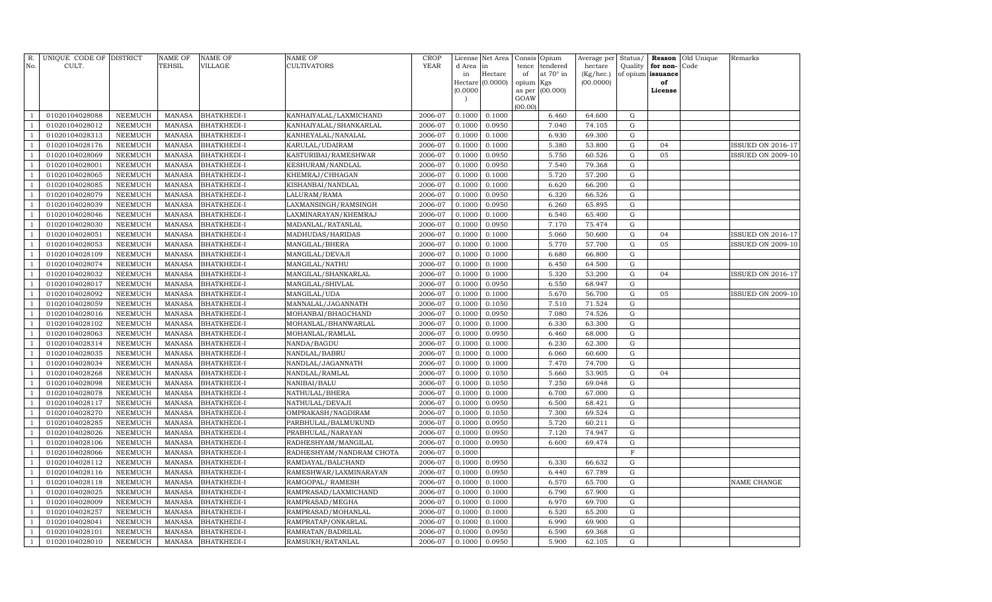| R.<br>No.      | UNIQUE CODE OF DISTRICT<br>CULT. |                    | <b>NAME OF</b><br><b>TEHSIL</b> | <b>NAME OF</b><br>VILLAGE                | <b>NAME OF</b><br>CULTIVATORS              | CROP<br><b>YEAR</b> | License<br>d Area | Net Area<br>in   | Consis<br>tence | Opium<br>tendered | Average per<br>hectare | Status/<br>Quality | Reason<br>for non- | Old Unique<br>Code | Remarks                  |
|----------------|----------------------------------|--------------------|---------------------------------|------------------------------------------|--------------------------------------------|---------------------|-------------------|------------------|-----------------|-------------------|------------------------|--------------------|--------------------|--------------------|--------------------------|
|                |                                  |                    |                                 |                                          |                                            |                     | in                | Hectare          | of              | at 70° in         | (Kg/hec.)              |                    | of opium issuance  |                    |                          |
|                |                                  |                    |                                 |                                          |                                            |                     |                   | Hectare (0.0000) | opium           | Kgs               | (00.0000)              |                    | of                 |                    |                          |
|                |                                  |                    |                                 |                                          |                                            |                     | (0.0000)          |                  | as per          | (00.000)          |                        |                    | License            |                    |                          |
|                |                                  |                    |                                 |                                          |                                            |                     |                   |                  | GOAW<br>(00.00) |                   |                        |                    |                    |                    |                          |
|                | 01020104028088                   | NEEMUCH            | <b>MANASA</b>                   | <b>BHATKHEDI-I</b>                       | KANHAIYALAL/LAXMICHAND                     | 2006-07             | 0.1000            | 0.1000           |                 | 6.460             | 64.600                 | G                  |                    |                    |                          |
|                | 01020104028012                   | NEEMUCH            | <b>MANASA</b>                   | <b>BHATKHEDI-I</b>                       | KANHAIYALAL/SHANKARLAL                     | 2006-07             | 0.1000            | 0.0950           |                 | 7.040             | 74.105                 | $\mathbf G$        |                    |                    |                          |
| $\mathbf{1}$   | 01020104028313                   | NEEMUCH            | <b>MANASA</b>                   | <b>BHATKHEDI-I</b>                       | KANHEYALAL/NANALAL                         | 2006-07             | 0.1000            | 0.1000           |                 | 6.930             | 69.300                 | G                  |                    |                    |                          |
| -1             | 01020104028176                   | NEEMUCH            | <b>MANASA</b>                   | <b>BHATKHEDI-I</b>                       | KARULAL/UDAIRAM                            | 2006-07             | 0.1000            | 0.1000           |                 | 5.380             | 53.800                 | G                  | 04                 |                    | <b>ISSUED ON 2016-17</b> |
|                | 01020104028069                   | <b>NEEMUCH</b>     | <b>MANASA</b>                   | <b>BHATKHEDI-I</b>                       | KASTURIBAI/RAMESHWAR                       | 2006-07             | 0.1000            | 0.0950           |                 | 5.750             | 60.526                 | G                  | 05                 |                    | <b>ISSUED ON 2009-10</b> |
|                | 01020104028001                   | <b>NEEMUCH</b>     | <b>MANASA</b>                   | <b>BHATKHEDI-I</b>                       | KESHURAM/NANDLAL                           | 2006-07             | 0.1000            | 0.0950           |                 | 7.540             | 79.368                 | G                  |                    |                    |                          |
|                | 01020104028065                   | NEEMUCH            | <b>MANASA</b>                   | <b>BHATKHEDI-I</b>                       | KHEMRAJ/CHHAGAN                            | 2006-07             | 0.1000            | 0.1000           |                 | 5.720             | 57.200                 | G                  |                    |                    |                          |
|                | 01020104028085                   | NEEMUCH            | <b>MANASA</b>                   | <b>BHATKHEDI-I</b>                       | KISHANBAI/NANDLAL                          | 2006-07             | 0.1000            | 0.1000           |                 | 6.620             | 66.200                 | ${\rm G}$          |                    |                    |                          |
| $\overline{1}$ | 01020104028079                   | NEEMUCH            | <b>MANASA</b>                   | <b>BHATKHEDI-I</b>                       | LALURAM/RAMA                               | 2006-07             | 0.1000            | 0.0950           |                 | 6.320             | 66.526                 | $\mathbf G$        |                    |                    |                          |
|                | 01020104028039                   | <b>NEEMUCH</b>     | <b>MANASA</b>                   | <b>BHATKHEDI-I</b>                       | LAXMANSINGH/RAMSINGH                       | 2006-07             | 0.1000            | 0.0950           |                 | 6.260             | 65.895                 | ${\rm G}$          |                    |                    |                          |
|                | 01020104028046                   | NEEMUCH            | <b>MANASA</b>                   | <b>BHATKHEDI-I</b>                       | LAXMINARAYAN/KHEMRAJ                       | 2006-07             | 0.1000            | 0.1000           |                 | 6.540             | 65.400                 | ${\rm G}$          |                    |                    |                          |
| $\overline{1}$ | 01020104028030                   | NEEMUCH            | <b>MANASA</b>                   | <b>BHATKHEDI-I</b>                       | MADANLAL/RATANLAL                          | 2006-07             | 0.1000            | 0.0950           |                 | 7.170             | 75.474                 | G                  |                    |                    |                          |
|                | 01020104028051                   | <b>NEEMUCH</b>     | <b>MANASA</b>                   | <b>BHATKHEDI-I</b>                       | MADHUDAS/HARIDAS                           | 2006-07             | 0.1000            | 0.1000           |                 | 5.060             | 50.600                 | G                  | 04                 |                    | <b>ISSUED ON 2016-17</b> |
| -1             | 01020104028053                   | NEEMUCH            | <b>MANASA</b>                   | <b>BHATKHEDI-I</b>                       | MANGILAL/BHERA                             | 2006-07             | 0.1000            | 0.1000           |                 | 5.770             | 57.700                 | G                  | 05                 |                    | <b>ISSUED ON 2009-10</b> |
|                | 01020104028109                   | NEEMUCH            | <b>MANASA</b>                   | <b>BHATKHEDI-I</b>                       | MANGILAL/DEVAJI                            | 2006-07             | 0.1000            | 0.1000           |                 | 6.680             | 66.800                 | G                  |                    |                    |                          |
|                | 01020104028074                   | <b>NEEMUCH</b>     | <b>MANASA</b>                   | <b>BHATKHEDI-I</b>                       | MANGILAL/NATHU                             | 2006-07             | 0.1000            | 0.1000           |                 | 6.450             | 64.500                 | G                  |                    |                    |                          |
|                | 01020104028032                   | NEEMUCH            | <b>MANASA</b>                   | <b>BHATKHEDI-I</b>                       | MANGILAL/SHANKARLAL                        | 2006-07             | 0.1000            | 0.1000           |                 | 5.320             | 53.200                 | G                  | 04                 |                    | <b>ISSUED ON 2016-17</b> |
|                | 01020104028017                   | NEEMUCH            | <b>MANASA</b>                   | <b>BHATKHEDI-I</b>                       | MANGILAL/SHIVLAL                           | 2006-07             | 0.1000            | 0.0950           |                 | 6.550             | 68.947                 | ${\rm G}$          |                    |                    |                          |
|                | 01020104028092                   | NEEMUCH            | <b>MANASA</b>                   | <b>BHATKHEDI-I</b>                       | MANGILAL/UDA                               | 2006-07             | 0.1000            | 0.1000           |                 | 5.670             | 56.700                 | $\mathbf G$        | 05                 |                    | <b>ISSUED ON 2009-10</b> |
| -1             | 01020104028059                   | <b>NEEMUCH</b>     | <b>MANASA</b>                   | <b>BHATKHEDI-I</b>                       | MANNALAL/JAGANNATH                         | 2006-07             | 0.1000            | 0.1050           |                 | 7.510             | 71.524                 | $\mathbf G$        |                    |                    |                          |
| -1             | 01020104028016                   | NEEMUCH            | <b>MANASA</b>                   | <b>BHATKHEDI-I</b>                       | MOHANBAI/BHAGCHAND                         | 2006-07             | 0.1000            | 0.0950           |                 | 7.080             | 74.526                 | ${\rm G}$          |                    |                    |                          |
| $\overline{1}$ | 01020104028102                   | NEEMUCH            | <b>MANASA</b>                   | <b>BHATKHEDI-I</b>                       | MOHANLAL/BHANWARLAL                        | 2006-07             | 0.1000            | 0.1000           |                 | 6.330             | 63.300                 | G                  |                    |                    |                          |
|                | 01020104028063                   | <b>NEEMUCH</b>     | <b>MANASA</b>                   | <b>BHATKHEDI-I</b>                       | MOHANLAL/RAMLAL                            | 2006-07             | 0.1000            | 0.0950           |                 | 6.460             | 68.000                 | G                  |                    |                    |                          |
| -1             | 01020104028314                   | <b>NEEMUCH</b>     | <b>MANASA</b>                   | <b>BHATKHEDI-I</b>                       | NANDA/BAGDU                                | 2006-07             | 0.1000            | 0.1000           |                 | 6.230             | 62.300                 | G                  |                    |                    |                          |
|                | 01020104028035                   | NEEMUCH            | <b>MANASA</b>                   | <b>BHATKHEDI-I</b>                       | NANDLAL/BABRU                              | 2006-07             | 0.1000            | 0.1000           |                 | 6.060             | 60.600                 | G                  |                    |                    |                          |
|                | 01020104028034                   | NEEMUCH            | MANASA                          | BHATKHEDI-I                              | NANDLAL/JAGANNATH                          | 2006-07             | 0.1000            | 0.1000           |                 | 7.470             | 74.700                 | G                  |                    |                    |                          |
| $\overline{1}$ | 01020104028268                   | NEEMUCH            | <b>MANASA</b>                   | <b>BHATKHEDI-I</b>                       | NANDLAL/RAMLAL                             | 2006-07             | 0.1000            | 0.1050           |                 | 5.660             | 53.905                 | G                  | 04                 |                    |                          |
| -1             | 01020104028098                   | <b>NEEMUCH</b>     | <b>MANASA</b>                   | <b>BHATKHEDI-I</b>                       | NANIBAI/BALU                               | 2006-07             | 0.1000            | 0.1050           |                 | 7.250             | 69.048                 | $\mathbf G$        |                    |                    |                          |
|                | 01020104028078                   | NEEMUCH            | <b>MANASA</b>                   | <b>BHATKHEDI-I</b>                       | NATHULAL/BHERA                             | 2006-07             | 0.1000            | 0.1000           |                 | 6.700             | 67.000                 | ${\rm G}$          |                    |                    |                          |
| $\overline{1}$ | 01020104028117                   | NEEMUCH            | <b>MANASA</b>                   | <b>BHATKHEDI-I</b>                       | NATHULAL/DEVAJI                            | 2006-07             | 0.1000            | 0.0950           |                 | 6.500             | 68.421                 | G                  |                    |                    |                          |
|                | 01020104028270                   | <b>NEEMUCH</b>     | <b>MANASA</b>                   | <b>BHATKHEDI-I</b>                       | OMPRAKASH/NAGDIRAM                         | 2006-07             | 0.1000            | 0.1050           |                 | 7.300             | 69.524                 | ${\rm G}$          |                    |                    |                          |
| -1             | 01020104028285                   | NEEMUCH            | <b>MANASA</b>                   | <b>BHATKHEDI-I</b>                       | PARBHULAL/BALMUKUND                        | 2006-07             | 0.1000            | 0.0950           |                 | 5.720             | 60.211                 | G                  |                    |                    |                          |
| $\overline{1}$ | 01020104028026                   | NEEMUCH            | <b>MANASA</b>                   | <b>BHATKHEDI-I</b>                       | PRABHULAL/NARAYAN                          | 2006-07             | 0.1000            | 0.0950           |                 | 7.120             | 74.947                 | G                  |                    |                    |                          |
|                | 01020104028106                   | <b>NEEMUCH</b>     | <b>MANASA</b>                   | <b>BHATKHEDI-I</b>                       | RADHESHYAM/MANGILAL                        | 2006-07             | 0.1000            | 0.0950           |                 | 6.600             | 69.474                 | G<br>$\mathbf F$   |                    |                    |                          |
|                | 01020104028066                   | NEEMUCH<br>NEEMUCH | <b>MANASA</b><br>MANASA         | <b>BHATKHEDI-I</b>                       | RADHESHYAM/NANDRAM CHOTA                   | 2006-07             | 0.1000            |                  |                 |                   |                        | G                  |                    |                    |                          |
|                | 01020104028112<br>01020104028116 | <b>NEEMUCH</b>     | <b>MANASA</b>                   | <b>BHATKHEDI-I</b>                       | RAMDAYAL/BALCHAND                          | 2006-07<br>2006-07  | 0.1000<br>0.1000  | 0.0950<br>0.0950 |                 | 6.330<br>6.440    | 66.632<br>67.789       | G                  |                    |                    |                          |
| -1             | 01020104028118                   | <b>NEEMUCH</b>     | <b>MANASA</b>                   | <b>BHATKHEDI-I</b><br><b>BHATKHEDI-I</b> | RAMESHWAR/LAXMINARAYAN<br>RAMGOPAL/ RAMESH | 2006-07             | 0.1000            | 0.1000           |                 | 6.570             | 65.700                 | $\mathbf G$        |                    |                    | NAME CHANGE              |
|                | 01020104028025                   | NEEMUCH            | <b>MANASA</b>                   | <b>BHATKHEDI-I</b>                       | RAMPRASAD/LAXMICHAND                       | 2006-07             | 0.1000            | 0.1000           |                 | 6.790             | 67.900                 | ${\rm G}$          |                    |                    |                          |
| $\overline{1}$ | 01020104028009                   | NEEMUCH            | <b>MANASA</b>                   | <b>BHATKHEDI-I</b>                       | RAMPRASAD/MEGHA                            | 2006-07             | 0.1000            | 0.1000           |                 | 6.970             | 69.700                 | G                  |                    |                    |                          |
|                | 01020104028257                   | <b>NEEMUCH</b>     | <b>MANASA</b>                   | <b>BHATKHEDI-I</b>                       | RAMPRASAD/MOHANLAL                         | 2006-07             | 0.1000            | 0.1000           |                 | 6.520             | 65.200                 | G                  |                    |                    |                          |
| -1             | 01020104028041                   | <b>NEEMUCH</b>     | <b>MANASA</b>                   | <b>BHATKHEDI-I</b>                       | RAMPRATAP/ONKARLAL                         | 2006-07             | 0.1000            | 0.1000           |                 | 6.990             | 69.900                 | G                  |                    |                    |                          |
|                | 01020104028101                   | <b>NEEMUCH</b>     | <b>MANASA</b>                   | <b>BHATKHEDI-I</b>                       | RAMRATAN/BADRILAL                          | 2006-07             | 0.1000            | 0.0950           |                 | 6.590             | 69.368                 | G                  |                    |                    |                          |
| $\overline{1}$ | 01020104028010                   | NEEMUCH            | <b>MANASA</b>                   | <b>BHATKHEDI-I</b>                       | RAMSUKH/RATANLAL                           | 2006-07             | 0.1000            | 0.0950           |                 | 5.900             | 62.105                 | ${\rm G}$          |                    |                    |                          |
|                |                                  |                    |                                 |                                          |                                            |                     |                   |                  |                 |                   |                        |                    |                    |                    |                          |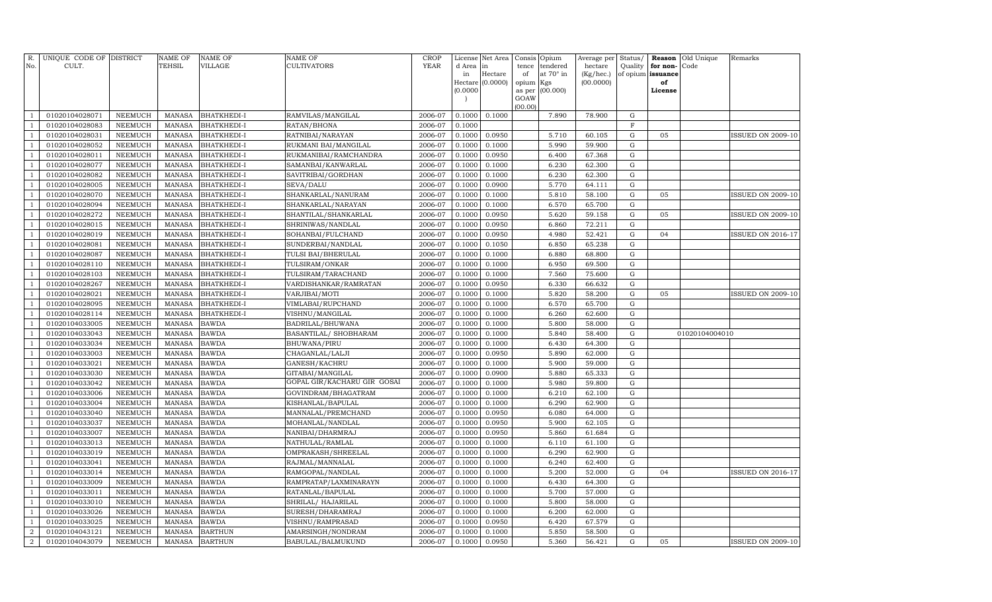| R.<br>No.      | UNIQUE CODE OF DISTRICT<br>CULT. |                | <b>NAME OF</b><br>TEHSIL | NAME OF<br><b>VILLAGE</b> | NAME OF<br><b>CULTIVATORS</b> | <b>CROP</b><br><b>YEAR</b> | License<br>d Area<br>in | Net Area<br>in<br>Hectare | Consis<br>tence<br>of | Opium<br>tendered<br>at 70° in | Average per<br>hectare<br>(Kg/hec.) | Status/<br>Quality | Reason<br>for non-<br>of opium issuance | Old Unique<br>Code | Remarks                  |
|----------------|----------------------------------|----------------|--------------------------|---------------------------|-------------------------------|----------------------------|-------------------------|---------------------------|-----------------------|--------------------------------|-------------------------------------|--------------------|-----------------------------------------|--------------------|--------------------------|
|                |                                  |                |                          |                           |                               |                            |                         | Hectare (0.0000)          | opium                 | Kgs                            | (00.0000)                           |                    | of                                      |                    |                          |
|                |                                  |                |                          |                           |                               |                            | (0.0000)                |                           | as per                | (00.000)                       |                                     |                    | License                                 |                    |                          |
|                |                                  |                |                          |                           |                               |                            |                         |                           | GOAW<br>(00.00)       |                                |                                     |                    |                                         |                    |                          |
| $\mathbf{1}$   | 01020104028071                   | <b>NEEMUCH</b> | <b>MANASA</b>            | <b>BHATKHEDI-I</b>        | RAMVILAS/MANGILAL             | 2006-07                    | 0.1000                  | 0.1000                    |                       | 7.890                          | 78.900                              | ${\rm G}$          |                                         |                    |                          |
| $\mathbf{1}$   | 01020104028083                   | <b>NEEMUCH</b> | <b>MANASA</b>            | <b>BHATKHEDI-I</b>        | RATAN/BHONA                   | 2006-07                    | 0.1000                  |                           |                       |                                |                                     | $\mathbf F$        |                                         |                    |                          |
| $\mathbf{1}$   | 01020104028031                   | <b>NEEMUCH</b> | <b>MANASA</b>            | <b>BHATKHEDI-I</b>        | RATNIBAI/NARAYAN              | 2006-07                    | 0.1000                  | 0.0950                    |                       | 5.710                          | 60.105                              | ${\rm G}$          | 05                                      |                    | <b>ISSUED ON 2009-10</b> |
| $\mathbf{1}$   | 01020104028052                   | <b>NEEMUCH</b> | <b>MANASA</b>            | BHATKHEDI-I               | RUKMANI BAI/MANGILAL          | 2006-07                    | 0.1000                  | 0.1000                    |                       | 5.990                          | 59.900                              | ${\rm G}$          |                                         |                    |                          |
| $\overline{1}$ | 01020104028011                   | <b>NEEMUCH</b> | <b>MANASA</b>            | <b>BHATKHEDI-I</b>        | RUKMANIBAI/RAMCHANDRA         | 2006-07                    | 0.1000                  | 0.0950                    |                       | 6.400                          | 67.368                              | ${\rm G}$          |                                         |                    |                          |
| $\mathbf{1}$   | 01020104028077                   | <b>NEEMUCH</b> | <b>MANASA</b>            | <b>BHATKHEDI-I</b>        | SAMANBAI/KANWARLAL            | 2006-07                    | 0.1000                  | 0.1000                    |                       | 6.230                          | 62.300                              | G                  |                                         |                    |                          |
| $\mathbf{1}$   | 01020104028082                   | <b>NEEMUCH</b> | <b>MANASA</b>            | <b>BHATKHEDI-I</b>        | SAVITRIBAI/GORDHAN            | 2006-07                    | 0.1000                  | 0.1000                    |                       | 6.230                          | 62.300                              | G                  |                                         |                    |                          |
| $\mathbf{1}$   | 01020104028005                   | <b>NEEMUCH</b> | <b>MANASA</b>            | <b>BHATKHEDI-I</b>        | SEVA/DALU                     | 2006-07                    | 0.1000                  | 0.0900                    |                       | 5.770                          | 64.111                              | ${\rm G}$          |                                         |                    |                          |
| $\mathbf{1}$   | 01020104028070                   | <b>NEEMUCH</b> | <b>MANASA</b>            | <b>BHATKHEDI-I</b>        | SHANKARLAL/NANURAM            | 2006-07                    | 0.1000                  | 0.1000                    |                       | 5.810                          | 58.100                              | ${\rm G}$          | 05                                      |                    | <b>ISSUED ON 2009-10</b> |
| $\mathbf{1}$   | 01020104028094                   | <b>NEEMUCH</b> | <b>MANASA</b>            | <b>BHATKHEDI-I</b>        | SHANKARLAL/NARAYAN            | 2006-07                    | 0.1000                  | 0.1000                    |                       | 6.570                          | 65.700                              | $\mathbf G$        |                                         |                    |                          |
| $\mathbf{1}$   | 01020104028272                   | <b>NEEMUCH</b> | <b>MANASA</b>            | <b>BHATKHEDI-I</b>        | SHANTILAL/SHANKARLAL          | 2006-07                    | 0.1000                  | 0.0950                    |                       | 5.620                          | 59.158                              | ${\rm G}$          | 05                                      |                    | <b>ISSUED ON 2009-10</b> |
| $\mathbf{1}$   | 01020104028015                   | <b>NEEMUCH</b> | <b>MANASA</b>            | BHATKHEDI-I               | SHRINIWAS/NANDLAL             | 2006-07                    | 0.1000                  | 0.0950                    |                       | 6.860                          | 72.211                              | ${\rm G}$          |                                         |                    |                          |
| $\mathbf{1}$   | 01020104028019                   | <b>NEEMUCH</b> | <b>MANASA</b>            | <b>BHATKHEDI-I</b>        | SOHANBAI/FULCHAND             | 2006-07                    | 0.1000                  | 0.0950                    |                       | 4.980                          | 52.421                              | ${\rm G}$          | 04                                      |                    | <b>ISSUED ON 2016-17</b> |
| $\mathbf{1}$   | 01020104028081                   | <b>NEEMUCH</b> | <b>MANASA</b>            | <b>BHATKHEDI-I</b>        | SUNDERBAI/NANDLAL             | 2006-07                    | 0.1000                  | 0.1050                    |                       | 6.850                          | 65.238                              | ${\rm G}$          |                                         |                    |                          |
| $\mathbf{1}$   | 01020104028087                   | <b>NEEMUCH</b> | <b>MANASA</b>            | <b>BHATKHEDI-I</b>        | TULSI BAI/BHERULAL            | 2006-07                    | 0.1000                  | 0.1000                    |                       | 6.880                          | 68.800                              | ${\rm G}$          |                                         |                    |                          |
| $\mathbf{1}$   | 01020104028110                   | <b>NEEMUCH</b> | <b>MANASA</b>            | BHATKHEDI-I               | TULSIRAM/ONKAR                | 2006-07                    | 0.1000                  | 0.1000                    |                       | 6.950                          | 69.500                              | G                  |                                         |                    |                          |
| $\overline{1}$ | 01020104028103                   | <b>NEEMUCH</b> | <b>MANASA</b>            | BHATKHEDI-I               | TULSIRAM/TARACHAND            | 2006-07                    | 0.1000                  | 0.1000                    |                       | 7.560                          | 75.600                              | ${\rm G}$          |                                         |                    |                          |
| $\mathbf{1}$   | 01020104028267                   | <b>NEEMUCH</b> | <b>MANASA</b>            | BHATKHEDI-I               | VARDISHANKAR/RAMRATAN         | 2006-07                    | 0.1000                  | 0.0950                    |                       | 6.330                          | 66.632                              | $\mathbf G$        |                                         |                    |                          |
| $\mathbf{1}$   | 01020104028021                   | <b>NEEMUCH</b> | <b>MANASA</b>            | <b>BHATKHEDI-I</b>        | VARJIBAI/MOTI                 | 2006-07                    | 0.1000                  | 0.1000                    |                       | 5.820                          | 58.200                              | ${\bf G}$          | 05                                      |                    | <b>ISSUED ON 2009-10</b> |
| $\mathbf{1}$   | 01020104028095                   | <b>NEEMUCH</b> | <b>MANASA</b>            | <b>BHATKHEDI-I</b>        | VIMLABAI/RUPCHAND             | 2006-07                    | 0.1000                  | 0.1000                    |                       | 6.570                          | 65.700                              | ${\rm G}$          |                                         |                    |                          |
| $\mathbf{1}$   | 01020104028114                   | <b>NEEMUCH</b> | <b>MANASA</b>            | <b>BHATKHEDI-I</b>        | VISHNU/MANGILAL               | 2006-07                    | 0.1000                  | 0.1000                    |                       | 6.260                          | 62.600                              | ${\rm G}$          |                                         |                    |                          |
| $\mathbf{1}$   | 01020104033005                   | <b>NEEMUCH</b> | <b>MANASA</b>            | <b>BAWDA</b>              | BADRILAL/BHUWANA              | 2006-07                    | 0.1000                  | 0.1000                    |                       | 5.800                          | 58.000                              | ${\rm G}$          |                                         |                    |                          |
| $\mathbf{1}$   | 01020104033043                   | <b>NEEMUCH</b> | <b>MANASA</b>            | <b>BAWDA</b>              | BASANTILAL/ SHOBHARAM         | 2006-07                    | 0.1000                  | 0.1000                    |                       | 5.840                          | 58.400                              | ${\rm G}$          |                                         | 01020104004010     |                          |
| $\mathbf{1}$   | 01020104033034                   | <b>NEEMUCH</b> | <b>MANASA</b>            | <b>BAWDA</b>              | BHUWANA/PIRU                  | 2006-07                    | 0.1000                  | 0.1000                    |                       | 6.430                          | 64.300                              | ${\rm G}$          |                                         |                    |                          |
| $\overline{1}$ | 01020104033003                   | <b>NEEMUCH</b> | <b>MANASA</b>            | <b>BAWDA</b>              | CHAGANLAL/LALJI               | 2006-07                    | 0.1000                  | 0.0950                    |                       | 5.890                          | 62.000                              | ${\rm G}$          |                                         |                    |                          |
| $\mathbf{1}$   | 01020104033021                   | <b>NEEMUCH</b> | <b>MANASA</b>            | <b>BAWDA</b>              | GANESH/KACHRU                 | 2006-07                    | 0.1000                  | 0.1000                    |                       | 5.900                          | 59.000                              | G                  |                                         |                    |                          |
| $\overline{1}$ | 01020104033030                   | <b>NEEMUCH</b> | <b>MANASA</b>            | <b>BAWDA</b>              | GITABAI/MANGILAL              | 2006-07                    | 0.1000                  | 0.0900                    |                       | 5.880                          | 65.333                              | ${\rm G}$          |                                         |                    |                          |
| $\mathbf{1}$   | 01020104033042                   | <b>NEEMUCH</b> | <b>MANASA</b>            | <b>BAWDA</b>              | GOPAL GIR/KACHARU GIR GOSAI   | 2006-07                    | 0.1000                  | 0.1000                    |                       | 5.980                          | 59.800                              | ${\rm G}$          |                                         |                    |                          |
| $\mathbf{1}$   | 01020104033006                   | <b>NEEMUCH</b> | <b>MANASA</b>            | <b>BAWDA</b>              | GOVINDRAM/BHAGATRAM           | 2006-07                    | 0.1000                  | 0.1000                    |                       | 6.210                          | 62.100                              | $\mathbf G$        |                                         |                    |                          |
| $\mathbf{1}$   | 01020104033004                   | <b>NEEMUCH</b> | <b>MANASA</b>            | <b>BAWDA</b>              | KISHANLAL/BAPULAL             | 2006-07                    | 0.1000                  | 0.1000                    |                       | 6.290                          | 62.900                              | ${\bf G}$          |                                         |                    |                          |
| $\mathbf{1}$   | 01020104033040                   | <b>NEEMUCH</b> | <b>MANASA</b>            | <b>BAWDA</b>              | MANNALAL/PREMCHAND            | 2006-07                    | 0.1000                  | 0.0950                    |                       | 6.080                          | 64.000                              | ${\rm G}$          |                                         |                    |                          |
| $\mathbf{1}$   | 01020104033037                   | <b>NEEMUCH</b> | <b>MANASA</b>            | <b>BAWDA</b>              | MOHANLAL/NANDLAL              | 2006-07                    | 0.1000                  | 0.0950                    |                       | 5.900                          | 62.105                              | ${\rm G}$          |                                         |                    |                          |
| $\mathbf{1}$   | 01020104033007                   | <b>NEEMUCH</b> | <b>MANASA</b>            | <b>BAWDA</b>              | NANIBAI/DHARMRAJ              | 2006-07                    | 0.1000                  | 0.0950                    |                       | 5.860                          | 61.684                              | ${\rm G}$          |                                         |                    |                          |
| $\mathbf{1}$   | 01020104033013                   | <b>NEEMUCH</b> | <b>MANASA</b>            | <b>BAWDA</b>              | NATHULAL/RAMLAL               | 2006-07                    | 0.1000                  | 0.1000                    |                       | 6.110                          | 61.100                              | ${\rm G}$          |                                         |                    |                          |
| $\overline{1}$ | 01020104033019                   | <b>NEEMUCH</b> | <b>MANASA</b>            | <b>BAWDA</b>              | OMPRAKASH/SHREELAL            | 2006-07                    | 0.1000                  | 0.1000                    |                       | 6.290                          | 62.900                              | ${\rm G}$          |                                         |                    |                          |
| <sup>1</sup>   | 01020104033041                   | <b>NEEMUCH</b> | <b>MANASA</b>            | <b>BAWDA</b>              | RAJMAL/MANNALAL               | 2006-07                    | 0.1000                  | 0.1000                    |                       | 6.240                          | 62.400                              | ${\rm G}$          |                                         |                    |                          |
| $\mathbf{1}$   | 01020104033014                   | <b>NEEMUCH</b> | <b>MANASA</b>            | <b>BAWDA</b>              | RAMGOPAL/NANDLAL              | 2006-07                    | 0.1000                  | 0.1000                    |                       | 5.200                          | 52.000                              | $\mathbf G$        | 04                                      |                    | <b>ISSUED ON 2016-17</b> |
| $\mathbf{1}$   | 01020104033009                   | <b>NEEMUCH</b> | <b>MANASA</b>            | <b>BAWDA</b>              | RAMPRATAP/LAXMINARAYN         | 2006-07                    | 0.1000                  | 0.1000                    |                       | 6.430                          | 64.300                              | $\mathbf G$        |                                         |                    |                          |
| $\mathbf{1}$   | 01020104033011                   | <b>NEEMUCH</b> | <b>MANASA</b>            | <b>BAWDA</b>              | RATANLAL/BAPULAL              | 2006-07                    | 0.1000                  | 0.1000                    |                       | 5.700                          | 57.000                              | ${\rm G}$          |                                         |                    |                          |
| $\mathbf{1}$   | 01020104033010                   | <b>NEEMUCH</b> | <b>MANASA</b>            | <b>BAWDA</b>              | SHRILAL/ HAJARILAL            | 2006-07                    | 0.1000                  | 0.1000                    |                       | 5.800                          | 58.000                              | ${\rm G}$          |                                         |                    |                          |
| $\mathbf{1}$   | 01020104033026                   | <b>NEEMUCH</b> | <b>MANASA</b>            | <b>BAWDA</b>              | SURESH/DHARAMRAJ              | 2006-07                    | 0.1000                  | 0.1000                    |                       | 6.200                          | 62.000                              | ${\rm G}$          |                                         |                    |                          |
| $\mathbf{1}$   | 01020104033025                   | <b>NEEMUCH</b> | <b>MANASA</b>            | <b>BAWDA</b>              | VISHNU/RAMPRASAD              | 2006-07                    | 0.1000                  | 0.0950                    |                       | 6.420                          | 67.579                              | ${\rm G}$          |                                         |                    |                          |
| $\overline{2}$ | 01020104043121                   | <b>NEEMUCH</b> | <b>MANASA</b>            | <b>BARTHUN</b>            | AMARSINGH/NONDRAM             | 2006-07                    | 0.1000                  | 0.1000                    |                       | 5.850                          | 58.500                              | ${\rm G}$          |                                         |                    |                          |
| $\overline{2}$ | 01020104043079                   | <b>NEEMUCH</b> | <b>MANASA</b>            | <b>BARTHUN</b>            | BABULAL/BALMUKUND             | 2006-07                    | 0.1000                  | 0.0950                    |                       | 5.360                          | 56.421                              | ${\rm G}$          | 05                                      |                    | <b>ISSUED ON 2009-10</b> |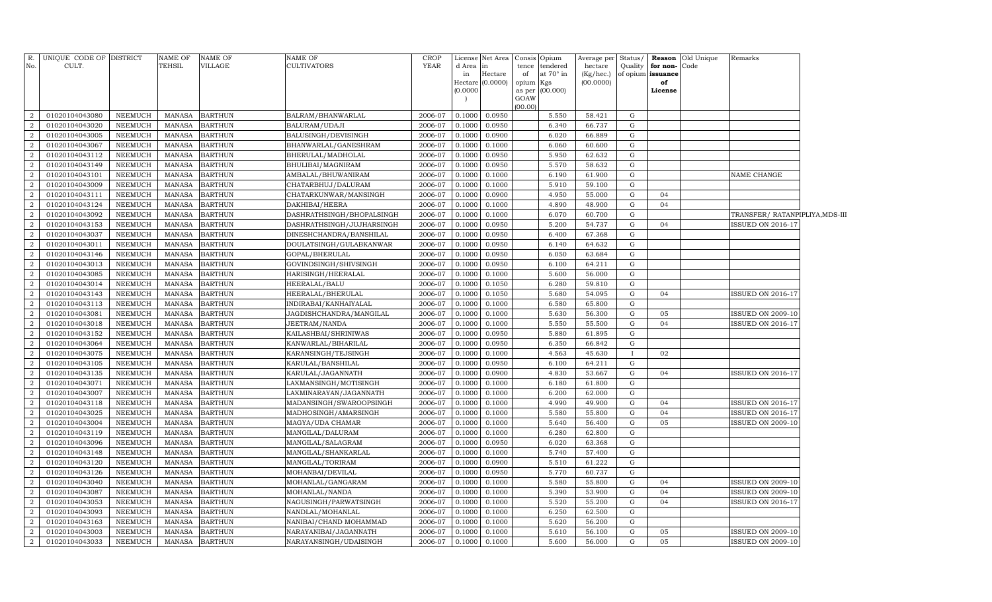| R.<br>No.      | UNIQUE CODE OF DISTRICT<br>CULT. |                | NAME OF<br>TEHSIL | <b>NAME OF</b><br>VILLAGE | <b>NAME OF</b><br><b>CULTIVATORS</b> | CROP<br><b>YEAR</b> | d Area in | License Net Area | tence     | Consis Opium<br>tendered | Average per<br>hectare | Status/<br>Quality | for non-Code      | <b>Reason</b> Old Unique | Remarks                        |  |
|----------------|----------------------------------|----------------|-------------------|---------------------------|--------------------------------------|---------------------|-----------|------------------|-----------|--------------------------|------------------------|--------------------|-------------------|--------------------------|--------------------------------|--|
|                |                                  |                |                   |                           |                                      |                     | in        | Hectare          | of        | at $70^\circ$ in         | (Kg/hec.)              |                    | of opium issuance |                          |                                |  |
|                |                                  |                |                   |                           |                                      |                     | (0.0000)  | Hectare (0.0000) | opium Kgs | as per (00.000)          | (00.0000)              |                    | of<br>License     |                          |                                |  |
|                |                                  |                |                   |                           |                                      |                     |           |                  | GOAW      |                          |                        |                    |                   |                          |                                |  |
|                |                                  |                |                   |                           |                                      |                     |           |                  | (00.00)   |                          |                        |                    |                   |                          |                                |  |
| $\overline{2}$ | 01020104043080                   | NEEMUCH        | MANASA            | <b>BARTHUN</b>            | BALRAM/BHANWARLAL                    | 2006-07             | 0.1000    | 0.0950           |           | 5.550                    | 58.421                 | G                  |                   |                          |                                |  |
| 2              | 01020104043020                   | NEEMUCH        | <b>MANASA</b>     | <b>BARTHUN</b>            | BALURAM/UDAJI                        | 2006-07             | 0.1000    | 0.0950           |           | 6.340                    | 66.737                 | G                  |                   |                          |                                |  |
| $\overline{2}$ | 01020104043005                   | <b>NEEMUCH</b> | <b>MANASA</b>     | <b>BARTHUN</b>            | BALUSINGH/DEVISINGH                  | 2006-07             | 0.1000    | 0.0900           |           | 6.020                    | 66.889                 | G                  |                   |                          |                                |  |
| 2              | 01020104043067                   | <b>NEEMUCH</b> | <b>MANASA</b>     | <b>BARTHUN</b>            | BHANWARLAL/GANESHRAM                 | 2006-07             | 0.1000    | 0.1000           |           | 6.060                    | 60.600                 | G                  |                   |                          |                                |  |
| $\overline{2}$ | 01020104043112                   | <b>NEEMUCH</b> | <b>MANASA</b>     | <b>BARTHUN</b>            | BHERULAL/MADHOLAL                    | 2006-07             | 0.1000    | 0.0950           |           | 5.950                    | 62.632                 | $\mathbf G$        |                   |                          |                                |  |
| 2              | 01020104043149                   | <b>NEEMUCH</b> | <b>MANASA</b>     | <b>BARTHUN</b>            | BHULIBAI/MAGNIRAM                    | 2006-07             | 0.1000    | 0.0950           |           | 5.570                    | 58.632                 | G                  |                   |                          |                                |  |
| $\overline{2}$ | 01020104043101                   | <b>NEEMUCH</b> | <b>MANASA</b>     | <b>BARTHUN</b>            | AMBALAL/BHUWANIRAM                   | 2006-07             | 0.1000    | 0.1000           |           | 6.190                    | 61.900                 | $\mathbf G$        |                   |                          | NAME CHANGE                    |  |
| $\overline{2}$ | 01020104043009                   | NEEMUCH        | <b>MANASA</b>     | <b>BARTHUN</b>            | CHATARBHUJ/DALURAM                   | 2006-07             | 0.1000    | 0.1000           |           | 5.910                    | 59.100                 | G                  |                   |                          |                                |  |
| 2              | 01020104043111                   | <b>NEEMUCH</b> | <b>MANASA</b>     | <b>BARTHUN</b>            | CHATARKUNWAR/MANSINGH                | 2006-07             | 0.1000    | 0.0900           |           | 4.950                    | 55.000                 | G                  | 04                |                          |                                |  |
| $\overline{a}$ | 01020104043124                   | <b>NEEMUCH</b> | <b>MANASA</b>     | <b>BARTHUN</b>            | DAKHIBAI/HEERA                       | 2006-07             | 0.1000    | 0.1000           |           | 4.890                    | 48.900                 | G                  | 04                |                          |                                |  |
| $\overline{2}$ | 01020104043092                   | NEEMUCH        | MANASA            | <b>BARTHUN</b>            | DASHRATHSINGH/BHOPALSINGH            | 2006-07             | 0.1000    | 0.1000           |           | 6.070                    | 60.700                 | G                  |                   |                          | TRANSFER/ RATANPIPLIYA,MDS-III |  |
| $\overline{2}$ | 01020104043153                   | <b>NEEMUCH</b> | <b>MANASA</b>     | <b>BARTHUN</b>            | DASHRATHSINGH/JUJHARSINGH            | 2006-07             | 0.1000    | 0.0950           |           | 5.200                    | 54.737                 | G                  | 04                |                          | <b>ISSUED ON 2016-17</b>       |  |
| 2              | 01020104043037                   | <b>NEEMUCH</b> | <b>MANASA</b>     | <b>BARTHUN</b>            | DINESHCHANDRA/BANSHILAL              | 2006-07             | 0.1000    | 0.0950           |           | 6.400                    | 67.368                 | G                  |                   |                          |                                |  |
| $\overline{2}$ | 01020104043011                   | <b>NEEMUCH</b> | <b>MANASA</b>     | <b>BARTHUN</b>            | DOULATSINGH/GULABKANWAR              | 2006-07             | 0.1000    | 0.0950           |           | 6.140                    | 64.632                 | G                  |                   |                          |                                |  |
| 2              | 01020104043146                   | <b>NEEMUCH</b> | <b>MANASA</b>     | <b>BARTHUN</b>            | GOPAL/BHERULAL                       | 2006-07             | 0.1000    | 0.0950           |           | 6.050                    | 63.684                 | G                  |                   |                          |                                |  |
| $\overline{2}$ | 01020104043013                   | <b>NEEMUCH</b> | <b>MANASA</b>     | <b>BARTHUN</b>            | GOVINDSINGH/SHIVSINGH                | 2006-07             | 0.1000    | 0.0950           |           | 6.100                    | 64.211                 | G                  |                   |                          |                                |  |
| 2              | 01020104043085                   | <b>NEEMUCH</b> | <b>MANASA</b>     | <b>BARTHUN</b>            | HARISINGH/HEERALAL                   | 2006-07             | 0.1000    | 0.1000           |           | 5.600                    | 56.000                 | G                  |                   |                          |                                |  |
| $\overline{2}$ | 01020104043014                   | <b>NEEMUCH</b> | <b>MANASA</b>     | <b>BARTHUN</b>            | HEERALAL/BALU                        | 2006-07             | 0.1000    | 0.1050           |           | 6.280                    | 59.810                 | G                  |                   |                          |                                |  |
| $\overline{2}$ | 01020104043143                   | <b>NEEMUCH</b> | <b>MANASA</b>     | <b>BARTHUN</b>            | HEERALAL/BHERULAL                    | 2006-07             | 0.1000    | 0.1050           |           | 5.680                    | 54.095                 | $\mathbf G$        | 04                |                          | <b>ISSUED ON 2016-17</b>       |  |
| $\overline{2}$ | 01020104043113                   | <b>NEEMUCH</b> | <b>MANASA</b>     | <b>BARTHUN</b>            | INDIRABAI/KANHAIYALAL                | 2006-07             | 0.1000    | 0.1000           |           | 6.580                    | 65.800                 | G                  |                   |                          |                                |  |
| $\overline{2}$ | 01020104043081                   | <b>NEEMUCH</b> | <b>MANASA</b>     | <b>BARTHUN</b>            | JAGDISHCHANDRA/MANGILAL              | 2006-07             | 0.1000    | 0.1000           |           | 5.630                    | 56.300                 | G                  | 05                |                          | <b>ISSUED ON 2009-10</b>       |  |
| $\overline{2}$ | 01020104043018                   | <b>NEEMUCH</b> | <b>MANASA</b>     | <b>BARTHUN</b>            | JEETRAM/NANDA                        | 2006-07             | 0.1000    | 0.1000           |           | 5.550                    | 55.500                 | G                  | 04                |                          | <b>ISSUED ON 2016-17</b>       |  |
| $\overline{2}$ | 01020104043152                   | <b>NEEMUCH</b> | <b>MANASA</b>     | <b>BARTHUN</b>            | KAILASHBAI/SHRINIWAS                 | 2006-07             | 0.1000    | 0.0950           |           | 5.880                    | 61.895                 | G                  |                   |                          |                                |  |
| 2              | 01020104043064                   | <b>NEEMUCH</b> | <b>MANASA</b>     | <b>BARTHUN</b>            | KANWARLAL/BIHARILAL                  | 2006-07             | 0.1000    | 0.0950           |           | 6.350                    | 66.842                 | G                  |                   |                          |                                |  |
| 2              | 01020104043075                   | <b>NEEMUCH</b> | <b>MANASA</b>     | <b>BARTHUN</b>            | KARANSINGH/TEJSINGH                  | 2006-07             | 0.1000    | 0.1000           |           | 4.563                    | 45.630                 |                    | 02                |                          |                                |  |
| $\overline{2}$ | 01020104043105                   | <b>NEEMUCH</b> | <b>MANASA</b>     | <b>BARTHUN</b>            | KARULAL/BANSHILAL                    | 2006-07             | 0.1000    | 0.0950           |           | 6.100                    | 64.211                 | G                  |                   |                          |                                |  |
| 2              | 01020104043135                   | <b>NEEMUCH</b> | <b>MANASA</b>     | <b>BARTHUN</b>            | KARULAL/JAGANNATH                    | 2006-07             | 0.1000    | 0.0900           |           | 4.830                    | 53.667                 | G                  | 04                |                          | <b>ISSUED ON 2016-17</b>       |  |
| $\overline{2}$ | 01020104043071                   | <b>NEEMUCH</b> | <b>MANASA</b>     | <b>BARTHUN</b>            | LAXMANSINGH/MOTISINGH                | 2006-07             | 0.1000    | 0.1000           |           | 6.180                    | 61.800                 | G                  |                   |                          |                                |  |
| 2              | 01020104043007                   | <b>NEEMUCH</b> | <b>MANASA</b>     | <b>BARTHUN</b>            | LAXMINARAYAN/JAGANNATH               | 2006-07             | 0.1000    | 0.1000           |           | 6.200                    | 62.000                 | $\mathbf G$        |                   |                          |                                |  |
| 2              | 01020104043118                   | <b>NEEMUCH</b> | <b>MANASA</b>     | <b>BARTHUN</b>            | MADANSINGH/SWAROOPSINGH              | 2006-07             | 0.1000    | 0.1000           |           | 4.990                    | 49.900                 | G                  | 04                |                          | <b>ISSUED ON 2016-17</b>       |  |
| $\overline{2}$ | 01020104043025                   | <b>NEEMUCH</b> | <b>MANASA</b>     | <b>BARTHUN</b>            | MADHOSINGH/AMARSINGH                 | 2006-07             | 0.1000    | 0.1000           |           | 5.580                    | 55.800                 | G                  | 04                |                          | <b>ISSUED ON 2016-17</b>       |  |
| $\overline{2}$ | 01020104043004                   | <b>NEEMUCH</b> | <b>MANASA</b>     | <b>BARTHUN</b>            | MAGYA/UDA CHAMAR                     | 2006-07             | 0.1000    | 0.1000           |           | 5.640                    | 56.400                 | G                  | 05                |                          | <b>ISSUED ON 2009-10</b>       |  |
| $\overline{2}$ | 01020104043119                   | <b>NEEMUCH</b> | <b>MANASA</b>     | <b>BARTHUN</b>            | MANGILAL/DALURAM                     | 2006-07             | 0.1000    | 0.1000           |           | 6.280                    | 62.800                 | G                  |                   |                          |                                |  |
| $\overline{2}$ | 01020104043096                   | <b>NEEMUCH</b> | <b>MANASA</b>     | <b>BARTHUN</b>            | MANGILAL/SALAGRAM                    | 2006-07             | 0.1000    | 0.0950           |           | 6.020                    | 63.368                 | G                  |                   |                          |                                |  |
| 2              | 01020104043148                   | <b>NEEMUCH</b> | <b>MANASA</b>     | <b>BARTHUN</b>            | MANGILAL/SHANKARLAL                  | 2006-07             | 0.1000    | 0.1000           |           | 5.740                    | 57.400                 | G                  |                   |                          |                                |  |
| $\overline{2}$ | 01020104043120                   | <b>NEEMUCH</b> | <b>MANASA</b>     | <b>BARTHUN</b>            | MANGILAL/TORIRAM                     | 2006-07             | 0.1000    | 0.0900           |           | 5.510                    | 61.222                 | G                  |                   |                          |                                |  |
| $\overline{2}$ | 01020104043126                   | <b>NEEMUCH</b> | <b>MANASA</b>     | <b>BARTHUN</b>            | MOHANBAI/DEVILAL                     | 2006-07             | 0.1000    | 0.0950           |           | 5.770                    | 60.737                 | G                  |                   |                          |                                |  |
| $\overline{2}$ | 01020104043040                   | <b>NEEMUCH</b> | <b>MANASA</b>     | <b>BARTHUN</b>            | MOHANLAL/GANGARAM                    | 2006-07             | 0.1000    | 0.1000           |           | 5.580                    | 55.800                 | G                  | 04                |                          | <b>ISSUED ON 2009-10</b>       |  |
| $\overline{2}$ | 01020104043087                   | <b>NEEMUCH</b> | <b>MANASA</b>     | <b>BARTHUN</b>            | MOHANLAL/NANDA                       | 2006-07             | 0.1000    | 0.1000           |           | 5.390                    | 53.900                 | G                  | 04                |                          | <b>ISSUED ON 2009-10</b>       |  |
| 2              | 01020104043053                   | NEEMUCH        | <b>MANASA</b>     | <b>BARTHUN</b>            | NAGUSINGH/PARWATSINGH                | 2006-07             | 0.1000    | 0.1000           |           | 5.520                    | 55.200                 | G                  | 04                |                          | <b>ISSUED ON 2016-17</b>       |  |
| $\overline{2}$ | 01020104043093                   | <b>NEEMUCH</b> | <b>MANASA</b>     | <b>BARTHUN</b>            | NANDLAL/MOHANLAL                     | 2006-07             | 0.1000    | 0.1000           |           | 6.250                    | 62.500                 | G                  |                   |                          |                                |  |
| 2              | 01020104043163                   | NEEMUCH        | <b>MANASA</b>     | <b>BARTHUN</b>            | NANIBAI/CHAND MOHAMMAD               | 2006-07             | 0.1000    | 0.1000           |           | 5.620                    | 56.200                 | G                  |                   |                          |                                |  |
| 2              | 01020104043003                   | <b>NEEMUCH</b> | <b>MANASA</b>     | <b>BARTHUN</b>            | NARAYANIBAI/JAGANNATH                | 2006-07             | 0.1000    | 0.1000           |           | 5.610                    | 56.100                 | $\mathbf G$        | 05                |                          | <b>ISSUED ON 2009-10</b>       |  |
| $\overline{a}$ | 01020104043033                   | NEEMUCH        | MANASA            | <b>BARTHUN</b>            | NARAYANSINGH/UDAISINGH               | 2006-07             | 0.1000    | 0.1000           |           | 5.600                    | 56.000                 | $\mathbf G$        | 05                |                          | <b>ISSUED ON 2009-10</b>       |  |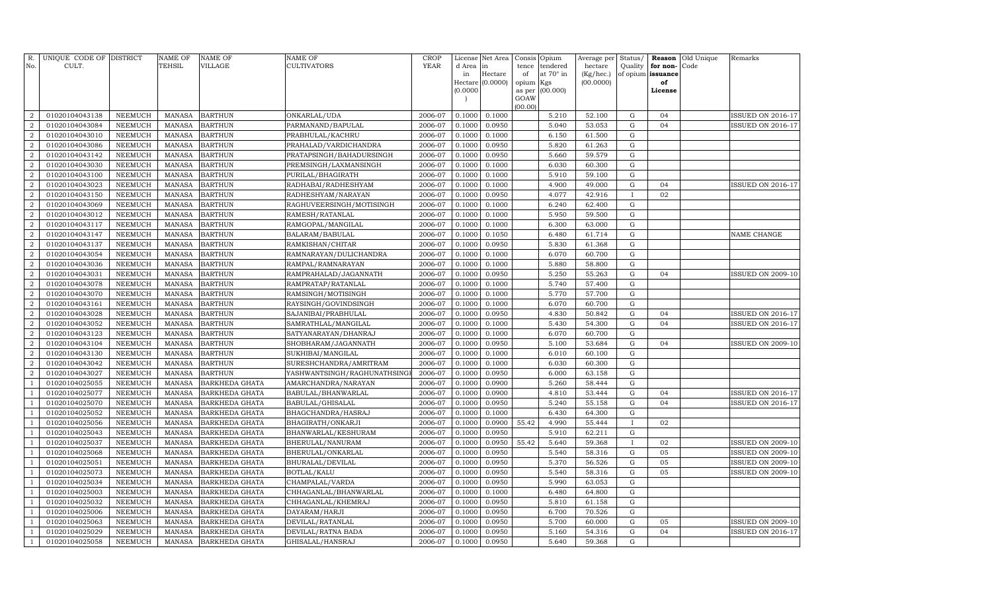| R.<br>No.                          | UNIQUE CODE OF DISTRICT<br>CULT. |                           | <b>NAME OF</b><br>TEHSIL       | <b>NAME OF</b><br><b>VILLAGE</b> | NAME OF<br>CULTIVATORS                                | <b>CROP</b><br>YEAR | License<br>d Area | Net Area<br>in   | Consis<br>tence | Opium<br>tendered | Average per<br>hectare | Status/<br>Quality     | Reason<br>for non- | Old Unique<br>Code | Remarks                  |
|------------------------------------|----------------------------------|---------------------------|--------------------------------|----------------------------------|-------------------------------------------------------|---------------------|-------------------|------------------|-----------------|-------------------|------------------------|------------------------|--------------------|--------------------|--------------------------|
|                                    |                                  |                           |                                |                                  |                                                       |                     | in                | Hectare          | of              | at 70° in         | (Kg/hec.)              |                        | of opium issuance  |                    |                          |
|                                    |                                  |                           |                                |                                  |                                                       |                     |                   | Hectare (0.0000) | opium Kgs       |                   | (00.0000)              |                        | of                 |                    |                          |
|                                    |                                  |                           |                                |                                  |                                                       |                     | (0.0000)          |                  | as per<br>GOAW  | (00.000)          |                        |                        | License            |                    |                          |
|                                    |                                  |                           |                                |                                  |                                                       |                     |                   |                  | (00.00)         |                   |                        |                        |                    |                    |                          |
| $\overline{2}$                     | 01020104043138                   | <b>NEEMUCH</b>            | <b>MANASA</b>                  | <b>BARTHUN</b>                   | ONKARLAL/UDA                                          | 2006-07             | 0.1000            | 0.1000           |                 | 5.210             | 52.100                 | G                      | 04                 |                    | <b>ISSUED ON 2016-17</b> |
| $\overline{2}$                     | 01020104043084                   | <b>NEEMUCH</b>            | <b>MANASA</b>                  | <b>BARTHUN</b>                   | PARMANAND/BAPULAL                                     | 2006-07             | 0.1000            | 0.0950           |                 | 5.040             | 53.053                 | ${\rm G}$              | 04                 |                    | <b>ISSUED ON 2016-17</b> |
| $\overline{2}$                     | 01020104043010                   | <b>NEEMUCH</b>            | <b>MANASA</b>                  | <b>BARTHUN</b>                   | PRABHULAL/KACHRU                                      | 2006-07             | 0.1000            | 0.1000           |                 | 6.150             | 61.500                 | ${\rm G}$              |                    |                    |                          |
| $\overline{2}$                     | 01020104043086                   | NEEMUCH                   | <b>MANASA</b>                  | <b>BARTHUN</b>                   | PRAHALAD/VARDICHANDRA                                 | 2006-07             | 0.1000            | 0.0950           |                 | 5.820             | 61.263                 | ${\rm G}$              |                    |                    |                          |
| $\overline{a}$                     | 01020104043142                   | <b>NEEMUCH</b>            | <b>MANASA</b>                  | <b>BARTHUN</b>                   | PRATAPSINGH/BAHADURSINGH                              | 2006-07             | 0.1000            | 0.0950           |                 | 5.660             | 59.579                 | ${\rm G}$              |                    |                    |                          |
| $\overline{a}$                     | 01020104043030                   | <b>NEEMUCH</b>            | <b>MANASA</b>                  | <b>BARTHUN</b>                   | PREMSINGH/LAXMANSINGH                                 | 2006-07             | 0.1000            | 0.1000           |                 | 6.030             | 60.300                 | ${\rm G}$              |                    |                    |                          |
| $\overline{2}$                     | 01020104043100                   | <b>NEEMUCH</b>            | <b>MANASA</b>                  | <b>BARTHUN</b>                   | PURILAL/BHAGIRATH                                     | 2006-07             | 0.1000            | 0.1000           |                 | 5.910             | 59.100                 | ${\rm G}$              |                    |                    |                          |
| $\overline{a}$                     | 01020104043023                   | <b>NEEMUCH</b>            | <b>MANASA</b>                  | <b>BARTHUN</b>                   | RADHABAI/RADHESHYAM                                   | 2006-07             | 0.1000            | 0.1000           |                 | 4.900             | 49.000                 | ${\rm G}$              | 04                 |                    | ISSUED ON 2016-17        |
| $\overline{2}$                     | 01020104043150                   | <b>NEEMUCH</b>            | <b>MANASA</b>                  | <b>BARTHUN</b>                   | RADHESHYAM/NARAYAN                                    | 2006-07             | 0.1000            | 0.0950           |                 | 4.077             | 42.916                 | $\mathbf{I}$           | 02                 |                    |                          |
| $\boldsymbol{2}$                   | 01020104043069                   | <b>NEEMUCH</b>            | <b>MANASA</b>                  | <b>BARTHUN</b>                   | RAGHUVEERSINGH/MOTISINGH                              | 2006-07             | 0.1000            | 0.1000           |                 | 6.240             | 62.400                 | ${\rm G}$              |                    |                    |                          |
| $\overline{2}$                     | 01020104043012                   | <b>NEEMUCH</b>            | <b>MANASA</b>                  | <b>BARTHUN</b>                   | RAMESH/RATANLAL                                       | 2006-07             | 0.1000            | 0.1000           |                 | 5.950             | 59.500                 | ${\rm G}$              |                    |                    |                          |
| $\overline{2}$                     | 01020104043117                   | <b>NEEMUCH</b>            | <b>MANASA</b>                  | <b>BARTHUN</b>                   | RAMGOPAL/MANGILAL                                     | 2006-07             | 0.1000            | 0.1000           |                 | 6.300             | 63.000                 | $\mathbf G$            |                    |                    |                          |
| $\overline{2}$                     | 01020104043147                   | NEEMUCH                   | <b>MANASA</b>                  | <b>BARTHUN</b>                   | BALARAM/BABULAL                                       | 2006-07             | 0.1000            | 0.1050           |                 | 6.480             | 61.714                 | $\mathbf G$            |                    |                    | NAME CHANGE              |
| $\overline{2}$                     | 01020104043137                   | <b>NEEMUCH</b>            | <b>MANASA</b>                  | <b>BARTHUN</b>                   | RAMKISHAN/CHITAR                                      | 2006-07             | 0.1000            | 0.0950           |                 | 5.830             | 61.368                 | ${\bf G}$              |                    |                    |                          |
| $\overline{2}$                     | 01020104043054                   | NEEMUCH                   | <b>MANASA</b>                  | <b>BARTHUN</b>                   | RAMNARAYAN/DULICHANDRA                                | 2006-07             | 0.1000            | 0.1000           |                 | 6.070             | 60.700                 | ${\bf G}$              |                    |                    |                          |
| $\overline{2}$                     | 01020104043036                   | <b>NEEMUCH</b>            | <b>MANASA</b>                  | <b>BARTHUN</b>                   | RAMPAL/RAMNARAYAN                                     | 2006-07             | 0.1000            | 0.1000           |                 | 5.880             | 58.800                 | $\mathbf G$            |                    |                    |                          |
| $\overline{2}$                     | 01020104043031                   | <b>NEEMUCH</b>            | <b>MANASA</b>                  | <b>BARTHUN</b>                   | RAMPRAHALAD/JAGANNATH                                 | 2006-07             | 0.1000            | 0.0950           |                 | 5.250             | 55.263                 | ${\bf G}$              | 04                 |                    | <b>ISSUED ON 2009-10</b> |
| $\overline{2}$                     | 01020104043078                   | <b>NEEMUCH</b>            | <b>MANASA</b>                  | <b>BARTHUN</b>                   | RAMPRATAP/RATANLAL                                    | 2006-07             | 0.1000            | 0.1000           |                 | 5.740             | 57.400                 | ${\bf G}$              |                    |                    |                          |
| $\overline{2}$                     | 01020104043070                   | <b>NEEMUCH</b>            | <b>MANASA</b>                  | <b>BARTHUN</b>                   | RAMSINGH/MOTISINGH                                    | 2006-07             | 0.1000            | 0.1000           |                 | 5.770             | 57.700                 | ${\bf G}$              |                    |                    |                          |
| $\boldsymbol{2}$                   | 01020104043161                   | <b>NEEMUCH</b>            | <b>MANASA</b>                  | <b>BARTHUN</b>                   | RAYSINGH/GOVINDSINGH                                  | 2006-07             | 0.1000            | 0.1000           |                 | 6.070             | 60.700                 | ${\rm G}$              |                    |                    |                          |
| $\overline{2}$                     | 01020104043028                   | <b>NEEMUCH</b>            | <b>MANASA</b>                  | <b>BARTHUN</b>                   | SAJANIBAI/PRABHULAL                                   | 2006-07             | 0.1000            | 0.0950           |                 | 4.830             | 50.842                 | ${\bf G}$              | 04                 |                    | <b>ISSUED ON 2016-17</b> |
| $\boldsymbol{2}$                   | 01020104043052                   | <b>NEEMUCH</b>            | <b>MANASA</b>                  | <b>BARTHUN</b>                   | SAMRATHLAL/MANGILAL                                   | 2006-07             | 0.1000            | 0.1000           |                 | 5.430             | 54.300                 | ${\bf G}$              | 04                 |                    | <b>ISSUED ON 2016-17</b> |
| $\overline{2}$                     | 01020104043123                   | NEEMUCH                   | <b>MANASA</b>                  | <b>BARTHUN</b>                   | SATYANARAYAN/DHANRAJ                                  | 2006-07             | 0.1000            | 0.1000           |                 | 6.070             | 60.700                 | ${\bf G}$              | 04                 |                    |                          |
| $\boldsymbol{2}$<br>$\overline{2}$ | 01020104043104                   | <b>NEEMUCH</b>            | <b>MANASA</b>                  | <b>BARTHUN</b>                   | SHOBHARAM/JAGANNATH                                   | 2006-07             | 0.1000            | 0.0950           |                 | 5.100             | 53.684<br>60.100       | ${\bf G}$<br>${\bf G}$ |                    |                    | <b>ISSUED ON 2009-10</b> |
| $\boldsymbol{2}$                   | 01020104043130<br>01020104043042 | NEEMUCH<br><b>NEEMUCH</b> | <b>MANASA</b><br><b>MANASA</b> | <b>BARTHUN</b><br><b>BARTHUN</b> | SUKHIBAI/MANGILAL                                     | 2006-07<br>2006-07  | 0.1000<br>0.1000  | 0.1000<br>0.1000 |                 | 6.010<br>6.030    | 60.300                 | ${\rm G}$              |                    |                    |                          |
| $\overline{2}$                     | 01020104043027                   | NEEMUCH                   | <b>MANASA</b>                  | <b>BARTHUN</b>                   | SURESHCHANDRA/AMRITRAM<br>YASHWANTSINGH/RAGHUNATHSING | 2006-07             | 0.1000            | 0.0950           |                 | 6.000             | 63.158                 | ${\bf G}$              |                    |                    |                          |
| $\overline{1}$                     | 01020104025055                   | NEEMUCH                   | <b>MANASA</b>                  | BARKHEDA GHATA                   | AMARCHANDRA/NARAYAN                                   | 2006-07             | 0.1000            | 0.0900           |                 | 5.260             | 58.444                 | G                      |                    |                    |                          |
|                                    | 01020104025077                   | NEEMUCH                   | <b>MANASA</b>                  | <b>BARKHEDA GHATA</b>            | BABULAL/BHANWARLAL                                    | 2006-07             | 0.1000            | 0.0900           |                 | 4.810             | 53.444                 | $\mathbf G$            | 04                 |                    | <b>ISSUED ON 2016-17</b> |
|                                    | 01020104025070                   | <b>NEEMUCH</b>            | <b>MANASA</b>                  | BARKHEDA GHATA                   | BABULAL/GHISALAL                                      | 2006-07             | 0.1000            | 0.0950           |                 | 5.240             | 55.158                 | $\mathbf G$            | 04                 |                    | <b>ISSUED ON 2016-17</b> |
| $\mathbf{1}$                       | 01020104025052                   | <b>NEEMUCH</b>            | <b>MANASA</b>                  | BARKHEDA GHATA                   | BHAGCHANDRA/HASRAJ                                    | 2006-07             | 0.1000            | 0.1000           |                 | 6.430             | 64.300                 | $\mathbf G$            |                    |                    |                          |
| $\overline{1}$                     | 01020104025056                   | <b>NEEMUCH</b>            | <b>MANASA</b>                  | BARKHEDA GHATA                   | BHAGIRATH/ONKARJI                                     | 2006-07             | 0.1000            | 0.0900           | 55.42           | 4.990             | 55.444                 | $\mathbf{I}$           | 02                 |                    |                          |
|                                    | 01020104025043                   | <b>NEEMUCH</b>            | <b>MANASA</b>                  | BARKHEDA GHATA                   | BHANWARLAL/KESHURAM                                   | 2006-07             | 0.1000            | 0.0950           |                 | 5.910             | 62.211                 | $\mathbf G$            |                    |                    |                          |
|                                    | 01020104025037                   | <b>NEEMUCH</b>            | <b>MANASA</b>                  | BARKHEDA GHATA                   | BHERULAL/NANURAM                                      | 2006-07             | 0.1000            | 0.0950           | 55.42           | 5.640             | 59.368                 |                        | 02                 |                    | <b>ISSUED ON 2009-10</b> |
|                                    | 01020104025068                   | <b>NEEMUCH</b>            | <b>MANASA</b>                  | BARKHEDA GHATA                   | BHERULAL/ONKARLAL                                     | 2006-07             | 0.1000            | 0.0950           |                 | 5.540             | 58.316                 | $\mathbf G$            | 05                 |                    | <b>ISSUED ON 2009-10</b> |
|                                    | 01020104025051                   | <b>NEEMUCH</b>            | <b>MANASA</b>                  | BARKHEDA GHATA                   | BHURALAL/DEVILAL                                      | 2006-07             | 0.1000            | 0.0950           |                 | 5.370             | 56.526                 | $\mathbf G$            | 05                 |                    | <b>ISSUED ON 2009-10</b> |
|                                    | 01020104025073                   | <b>NEEMUCH</b>            | <b>MANASA</b>                  | BARKHEDA GHATA                   | BOTLAL/KALU                                           | 2006-07             | 0.1000            | 0.0950           |                 | 5.540             | 58.316                 | $\mathbf G$            | 05                 |                    | ISSUED ON 2009-10        |
|                                    | 01020104025034                   | <b>NEEMUCH</b>            | <b>MANASA</b>                  | BARKHEDA GHATA                   | CHAMPALAL/VARDA                                       | 2006-07             | 0.1000            | 0.0950           |                 | 5.990             | 63.053                 | $\mathbf G$            |                    |                    |                          |
|                                    | 01020104025003                   | <b>NEEMUCH</b>            | <b>MANASA</b>                  | BARKHEDA GHATA                   | CHHAGANLAL/BHANWARLAL                                 | 2006-07             | 0.1000            | 0.1000           |                 | 6.480             | 64.800                 | $\mathbf G$            |                    |                    |                          |
|                                    | 01020104025032                   | <b>NEEMUCH</b>            | <b>MANASA</b>                  | BARKHEDA GHATA                   | CHHAGANLAL/KHEMRAJ                                    | 2006-07             | 0.1000            | 0.0950           |                 | 5.810             | 61.158                 | $\mathbf G$            |                    |                    |                          |
|                                    | 01020104025006                   | <b>NEEMUCH</b>            | <b>MANASA</b>                  | BARKHEDA GHATA                   | DAYARAM/HARJI                                         | 2006-07             | 0.1000            | 0.0950           |                 | 6.700             | 70.526                 | G                      |                    |                    |                          |
|                                    | 01020104025063                   | NEEMUCH                   | <b>MANASA</b>                  | BARKHEDA GHATA                   | DEVILAL/RATANLAL                                      | 2006-07             | 0.1000            | 0.0950           |                 | 5.700             | 60.000                 | ${\rm G}$              | 05                 |                    | <b>ISSUED ON 2009-10</b> |
| $\mathbf{1}$                       | 01020104025029                   | <b>NEEMUCH</b>            | <b>MANASA</b>                  | BARKHEDA GHATA                   | DEVILAL/RATNA BADA                                    | 2006-07             | 0.1000            | 0.0950           |                 | 5.160             | 54.316                 | G                      | 04                 |                    | <b>ISSUED ON 2016-17</b> |
| $\mathbf{1}$                       | 01020104025058                   | <b>NEEMUCH</b>            | <b>MANASA</b>                  | <b>BARKHEDA GHATA</b>            | GHISALAL/HANSRAJ                                      | 2006-07             | 0.1000            | 0.0950           |                 | 5.640             | 59.368                 | G                      |                    |                    |                          |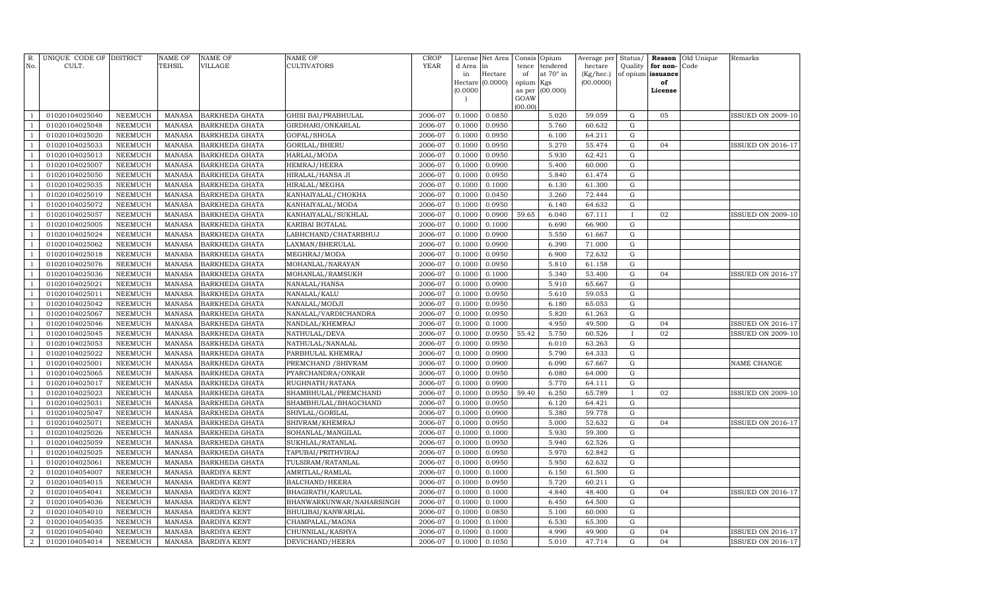| R.<br>No.                        | UNIQUE CODE OF DISTRICT<br>CULT. |                           | <b>NAME OF</b><br>TEHSIL       | <b>NAME OF</b><br><b>VILLAGE</b>           | <b>NAME OF</b><br><b>CULTIVATORS</b>          | CROP<br>YEAR       | d Area in<br>in          | License Net Area<br>Hectare | Consis<br>tence<br>of | Opium<br>tendered<br>at 70° in | Average per<br>hectare<br>(Kg/hec.) | Status/<br>Quality<br>of opium issuance | for non- | Reason Old Unique<br>Code | Remarks                  |
|----------------------------------|----------------------------------|---------------------------|--------------------------------|--------------------------------------------|-----------------------------------------------|--------------------|--------------------------|-----------------------------|-----------------------|--------------------------------|-------------------------------------|-----------------------------------------|----------|---------------------------|--------------------------|
|                                  |                                  |                           |                                |                                            |                                               |                    |                          | Hectare (0.0000)            | opium Kgs             |                                | (00.0000)                           |                                         | of       |                           |                          |
|                                  |                                  |                           |                                |                                            |                                               |                    | (0.0000)                 |                             | as per                | (00.000)                       |                                     |                                         | License  |                           |                          |
|                                  |                                  |                           |                                |                                            |                                               |                    | $\overline{\phantom{a}}$ |                             | GOAW                  |                                |                                     |                                         |          |                           |                          |
|                                  | 01020104025040                   | NEEMUCH                   | MANASA                         | <b>BARKHEDA GHATA</b>                      | <b>GHISI BAI/PRABHULAL</b>                    | 2006-07            | 0.1000                   | 0.0850                      | (00.00)               | 5.020                          | 59.059                              | G                                       | 05       |                           | ISSUED ON 2009-10        |
|                                  | 01020104025048                   | <b>NEEMUCH</b>            | <b>MANASA</b>                  | <b>BARKHEDA GHATA</b>                      | GIRDHARI/ONKARLAL                             | 2006-07            | 0.1000                   | 0.0950                      |                       | 5.760                          | 60.632                              | G                                       |          |                           |                          |
|                                  | 01020104025020                   | <b>NEEMUCH</b>            | <b>MANASA</b>                  | <b>BARKHEDA GHATA</b>                      | GOPAL/SHOLA                                   | 2006-07            | 0.1000                   | 0.0950                      |                       | 6.100                          | 64.211                              | $\mathbf G$                             |          |                           |                          |
|                                  | 01020104025033                   | <b>NEEMUCH</b>            | <b>MANASA</b>                  | <b>BARKHEDA GHATA</b>                      | GORILAL/BHERU                                 | 2006-07            | 0.1000                   | 0.0950                      |                       | 5.270                          | 55.474                              | G                                       | 04       |                           | <b>ISSUED ON 2016-17</b> |
| $\mathbf{1}$                     | 01020104025013                   | <b>NEEMUCH</b>            | <b>MANASA</b>                  | <b>BARKHEDA GHATA</b>                      | HARLAL/MODA                                   | 2006-07            | 0.1000                   | 0.0950                      |                       | 5.930                          | 62.421                              | G                                       |          |                           |                          |
| $\mathbf{1}$                     | 01020104025007                   | <b>NEEMUCH</b>            | <b>MANASA</b>                  | <b>BARKHEDA GHATA</b>                      | HEMRAJ/HEERA                                  | 2006-07            | 0.1000                   | 0.0900                      |                       | 5.400                          | 60.000                              | G                                       |          |                           |                          |
|                                  | 01020104025050                   | <b>NEEMUCH</b>            | <b>MANASA</b>                  | <b>BARKHEDA GHATA</b>                      | HIRALAL/HANSA JI                              | 2006-07            | 0.1000                   | 0.0950                      |                       | 5.840                          | 61.474                              | ${\rm G}$                               |          |                           |                          |
|                                  | 01020104025035                   | <b>NEEMUCH</b>            | <b>MANASA</b>                  | <b>BARKHEDA GHATA</b>                      | HIRALAL/MEGHA                                 | 2006-07            | 0.1000                   | 0.1000                      |                       | 6.130                          | 61.300                              | G                                       |          |                           |                          |
|                                  | 01020104025019                   | NEEMUCH                   | <b>MANASA</b>                  | <b>BARKHEDA GHATA</b>                      | KANHAIYALAL/CHOKHA                            | 2006-07            | 0.1000                   | 0.0450                      |                       | 3.260                          | 72.444                              | G                                       |          |                           |                          |
|                                  | 01020104025072                   | <b>NEEMUCH</b>            | <b>MANASA</b>                  | <b>BARKHEDA GHATA</b>                      | KANHAIYALAL/MODA                              | 2006-07            | 0.1000                   | 0.0950                      |                       | 6.140                          | 64.632                              | ${\rm G}$                               |          |                           |                          |
|                                  | 01020104025057                   | <b>NEEMUCH</b>            | <b>MANASA</b>                  | <b>BARKHEDA GHATA</b>                      | KANHAIYALAL/SUKHLAL                           | 2006-07            | 0.1000                   | 0.0900                      | 59.65                 | 6.040                          | 67.111                              | $\mathbf{I}$                            | 02       |                           | <b>ISSUED ON 2009-10</b> |
|                                  | 01020104025005                   | <b>NEEMUCH</b>            | <b>MANASA</b>                  | BARKHEDA GHATA                             | KARIBAI BOTALAL                               | 2006-07            | 0.1000                   | 0.1000                      |                       | 6.690                          | 66.900                              | G                                       |          |                           |                          |
|                                  | 01020104025024                   | NEEMUCH                   | <b>MANASA</b>                  | <b>BARKHEDA GHATA</b>                      | LABHCHAND/CHATARBHUJ                          | 2006-07            | 0.1000                   | 0.0900                      |                       | 5.550                          | 61.667                              | ${\rm G}$                               |          |                           |                          |
|                                  | 01020104025062                   | <b>NEEMUCH</b>            | <b>MANASA</b>                  | BARKHEDA GHATA                             | LAXMAN/BHERULAL                               | 2006-07            | 0.1000                   | 0.0900                      |                       | 6.390                          | 71.000                              | G                                       |          |                           |                          |
|                                  | 01020104025018                   | <b>NEEMUCH</b>            | <b>MANASA</b>                  | <b>BARKHEDA GHATA</b>                      | MEGHRAJ/MODA                                  | 2006-07            | 0.1000                   | 0.0950                      |                       | 6.900                          | 72.632                              | $\mathbf G$                             |          |                           |                          |
|                                  | 01020104025076                   | <b>NEEMUCH</b>            | <b>MANASA</b>                  | BARKHEDA GHATA                             | MOHANLAL/NARAYAN                              | 2006-07            | 0.1000                   | 0.0950                      |                       | 5.810                          | 61.158                              | ${\rm G}$                               |          |                           |                          |
|                                  | 01020104025036                   | NEEMUCH                   | <b>MANASA</b>                  | <b>BARKHEDA GHATA</b>                      | MOHANLAL/RAMSUKH                              | 2006-07            | 0.1000                   | 0.1000                      |                       | 5.340                          | 53.400                              | G                                       | 04       |                           | <b>ISSUED ON 2016-17</b> |
|                                  | 01020104025021                   | <b>NEEMUCH</b>            | <b>MANASA</b>                  | BARKHEDA GHATA                             | NANALAL/HANSA                                 | 2006-07            | 0.1000                   | 0.0900                      |                       | 5.910                          | 65.667                              | G                                       |          |                           |                          |
|                                  | 01020104025011                   | NEEMUCH                   | <b>MANASA</b>                  | <b>BARKHEDA GHATA</b>                      | NANALAL/KALU                                  | 2006-07            | 0.1000                   | 0.0950                      |                       | 5.610                          | 59.053                              | G                                       |          |                           |                          |
|                                  | 01020104025042                   | <b>NEEMUCH</b>            | <b>MANASA</b>                  | BARKHEDA GHATA                             | NANALAL/MODJI                                 | 2006-07            | 0.1000                   | 0.0950                      |                       | 6.180                          | 65.053                              | G                                       |          |                           |                          |
|                                  | 01020104025067                   | <b>NEEMUCH</b>            | <b>MANASA</b>                  | BARKHEDA GHATA                             | NANALAL/VARDICHANDRA                          | 2006-07            | 0.1000                   | 0.0950                      |                       | 5.820                          | 61.263                              | G                                       |          |                           |                          |
|                                  | 01020104025046                   | <b>NEEMUCH</b>            | <b>MANASA</b>                  | BARKHEDA GHATA                             | NANDLAL/KHEMRAJ                               | 2006-07            | 0.1000                   | 0.1000                      |                       | 4.950                          | 49.500                              | G                                       | 04       |                           | <b>ISSUED ON 2016-17</b> |
|                                  | 01020104025045                   | <b>NEEMUCH</b>            | <b>MANASA</b>                  | BARKHEDA GHATA                             | NATHULAL/DEVA                                 | 2006-07            | 0.1000                   | 0.0950                      | 55.42                 | 5.750                          | 60.526                              | $\mathbf{I}$                            | 02       |                           | <b>ISSUED ON 2009-10</b> |
|                                  | 01020104025053                   | <b>NEEMUCH</b>            | <b>MANASA</b>                  | BARKHEDA GHATA                             | NATHULAL/NANALAL                              | 2006-07            | 0.1000                   | 0.0950                      |                       | 6.010                          | 63.263                              | G                                       |          |                           |                          |
|                                  | 01020104025022                   | <b>NEEMUCH</b>            | <b>MANASA</b>                  | BARKHEDA GHATA                             | PARBHULAL KHEMRAJ                             | 2006-07            | 0.1000                   | 0.0900                      |                       | 5.790                          | 64.333                              | G                                       |          |                           |                          |
|                                  | 01020104025001                   | <b>NEEMUCH</b>            | <b>MANASA</b>                  | BARKHEDA GHATA                             | PREMCHAND / SHIVRAM                           | 2006-07            | 0.1000                   | 0.0900                      |                       | 6.090                          | 67.667                              | G                                       |          |                           | NAME CHANGE              |
|                                  | 01020104025065                   | <b>NEEMUCH</b>            | <b>MANASA</b>                  | <b>BARKHEDA GHATA</b>                      | PYARCHANDRA/ONKAR                             | 2006-07            | 0.1000                   | 0.0950                      |                       | 6.080                          | 64.000                              | G                                       |          |                           |                          |
|                                  | 01020104025017                   | <b>NEEMUCH</b>            | <b>MANASA</b>                  | BARKHEDA GHATA                             | RUGHNATH/RATANA                               | 2006-07            | 0.1000                   | 0.0900                      |                       | 5.770                          | 64.111                              | G                                       |          |                           |                          |
|                                  | 01020104025023                   | <b>NEEMUCH</b>            | <b>MANASA</b>                  | BARKHEDA GHATA                             | SHAMBHULAL/PREMCHAND                          | 2006-07            | 0.1000                   | 0.0950                      | 59.40                 | 6.250                          | 65.789                              |                                         | 02       |                           | <b>ISSUED ON 2009-10</b> |
|                                  | 01020104025031                   | <b>NEEMUCH</b>            | <b>MANASA</b>                  | <b>BARKHEDA GHATA</b>                      | SHAMBHULAL/BHAGCHAND                          | 2006-07            | 0.1000                   | 0.0950                      |                       | 6.120                          | 64.421                              | $\mathbf G$                             |          |                           |                          |
|                                  | 01020104025047                   | <b>NEEMUCH</b>            | <b>MANASA</b>                  | BARKHEDA GHATA                             | SHIVLAL/GORILAL                               | 2006-07            | 0.1000                   | 0.0900                      |                       | 5.380                          | 59.778                              | $\mathbf G$                             |          |                           |                          |
|                                  | 01020104025071                   | <b>NEEMUCH</b>            | <b>MANASA</b>                  | <b>BARKHEDA GHATA</b>                      | SHIVRAM/KHEMRAJ                               | 2006-07            | 0.1000                   | 0.0950                      |                       | 5.000                          | 52.632                              | $\mathbf G$                             | 04       |                           | <b>ISSUED ON 2016-17</b> |
|                                  | 01020104025026                   | <b>NEEMUCH</b>            | <b>MANASA</b>                  | BARKHEDA GHATA                             | SOHANLAL/MANGILAL                             | 2006-07            | 0.1000                   | 0.1000                      |                       | 5.930                          | 59.300                              | $\mathbf G$                             |          |                           |                          |
|                                  | 01020104025059                   | <b>NEEMUCH</b>            | <b>MANASA</b>                  | <b>BARKHEDA GHATA</b>                      | SUKHLAL/RATANLAL                              | 2006-07            | 0.1000                   | 0.0950                      |                       | 5.940                          | 62.526                              | $\mathbf G$                             |          |                           |                          |
|                                  | 01020104025025                   | <b>NEEMUCH</b>            | <b>MANASA</b>                  | BARKHEDA GHATA                             | TAPUBAI/PRITHVIRAJ                            | 2006-07            | 0.1000                   | 0.0950                      |                       | 5.970                          | 62.842                              | G                                       |          |                           |                          |
|                                  | 01020104025061                   | <b>NEEMUCH</b>            | <b>MANASA</b>                  | <b>BARKHEDA GHATA</b>                      | TULSIRAM/RATANLAL                             | 2006-07            | 0.1000                   | 0.0950                      |                       | 5.950                          | 62.632                              | G                                       |          |                           |                          |
| $\overline{2}$                   | 01020104054007                   | NEEMUCH                   | <b>MANASA</b>                  | <b>BARDIYA KENT</b>                        | AMRITLAL/RAMLAL                               | 2006-07            | 0.1000                   | 0.1000                      |                       | 6.150                          | 61.500                              | $\mathbf G$                             |          |                           |                          |
| $\overline{2}$<br>$\overline{2}$ | 01020104054015                   | <b>NEEMUCH</b>            | <b>MANASA</b><br><b>MANASA</b> | <b>BARDIYA KENT</b><br><b>BARDIYA KENT</b> | BALCHAND/HEERA                                | 2006-07<br>2006-07 | 0.1000<br>0.1000         | 0.0950<br>0.1000            |                       | 5.720<br>4.840                 | 60.211<br>48.400                    | $\mathbf G$<br>G                        | 04       |                           | <b>ISSUED ON 2016-17</b> |
| $\overline{2}$                   | 01020104054041<br>01020104054036 | NEEMUCH<br><b>NEEMUCH</b> | <b>MANASA</b>                  |                                            | BHAGIRATH/KARULAL<br>BHANWARKUNWAR/NAHARSINGH | 2006-07            | 0.1000                   | 0.1000                      |                       | 6.450                          | 64.500                              | G                                       |          |                           |                          |
| $\overline{2}$                   | 01020104054010                   | NEEMUCH                   | <b>MANASA</b>                  | <b>BARDIYA KENT</b><br><b>BARDIYA KENT</b> | BHULIBAI/KANWARLAL                            | 2006-07            | 0.1000                   | 0.0850                      |                       | 5.100                          | 60.000                              | G                                       |          |                           |                          |
| $\overline{2}$                   | 01020104054035                   | <b>NEEMUCH</b>            | <b>MANASA</b>                  | <b>BARDIYA KENT</b>                        | CHAMPALAL/MAGNA                               | 2006-07            | 0.1000                   | 0.1000                      |                       | 6.530                          | 65.300                              | G                                       |          |                           |                          |
| $\overline{2}$                   | 01020104054040                   | <b>NEEMUCH</b>            | <b>MANASA</b>                  | <b>BARDIYA KENT</b>                        | CHUNNILAL/KASHYA                              | 2006-07            | 0.1000                   | 0.1000                      |                       | 4.990                          | 49.900                              | G                                       | 04       |                           | <b>ISSUED ON 2016-17</b> |
| $\boldsymbol{2}$                 | 01020104054014                   | <b>NEEMUCH</b>            | MANASA                         | <b>BARDIYA KENT</b>                        | DEVICHAND/HEERA                               | 2006-07            | 0.1000                   | 0.1050                      |                       | 5.010                          | 47.714                              | G                                       | 04       |                           | <b>ISSUED ON 2016-17</b> |
|                                  |                                  |                           |                                |                                            |                                               |                    |                          |                             |                       |                                |                                     |                                         |          |                           |                          |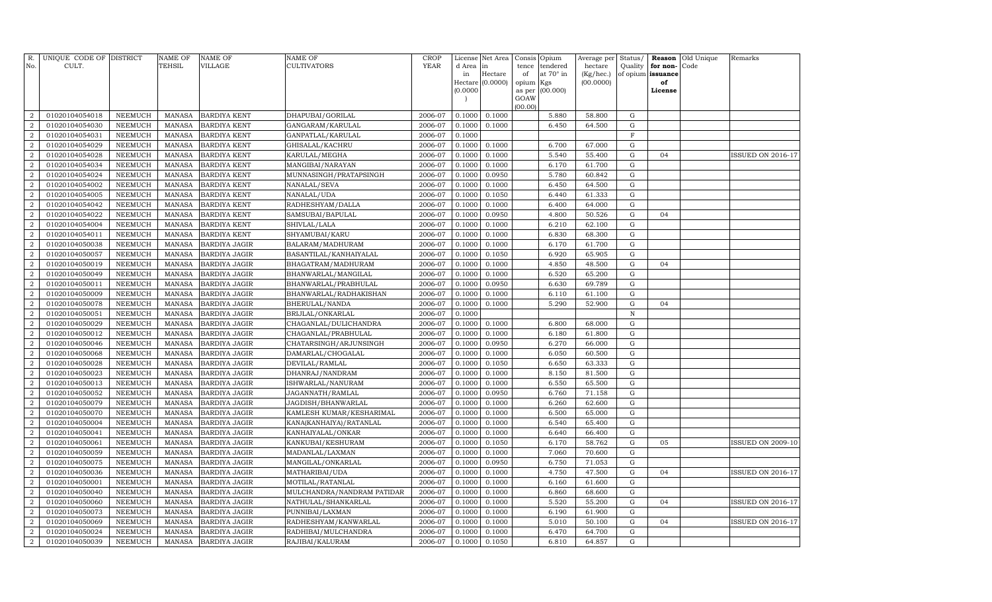| R.<br>No.                          | UNIQUE CODE OF DISTRICT<br>CULT. |                                  | <b>NAME OF</b><br>TEHSIL       | <b>NAME OF</b><br><b>VILLAGE</b>             | NAME OF<br>CULTIVATORS                            | <b>CROP</b><br>YEAR | d Area           | License Net Area<br>in        | Consis<br>tence | Opium<br>tendered | Average per<br>hectare | Status/<br>Quality | Reason<br>for non- | Old Unique<br>Code | Remarks                  |
|------------------------------------|----------------------------------|----------------------------------|--------------------------------|----------------------------------------------|---------------------------------------------------|---------------------|------------------|-------------------------------|-----------------|-------------------|------------------------|--------------------|--------------------|--------------------|--------------------------|
|                                    |                                  |                                  |                                |                                              |                                                   |                     | in               | Hectare<br>Hectare $(0.0000)$ | of<br>opium     | at 70° in<br>Kgs  | (Kg/hec.)<br>(00.0000) | of opium           | issuance<br>of     |                    |                          |
|                                    |                                  |                                  |                                |                                              |                                                   |                     | (0.0000)         |                               | as per          | (00.000)          |                        |                    | License            |                    |                          |
|                                    |                                  |                                  |                                |                                              |                                                   |                     |                  |                               | GOAW            |                   |                        |                    |                    |                    |                          |
| $\overline{2}$                     | 01020104054018                   | NEEMUCH                          | <b>MANASA</b>                  | <b>BARDIYA KENT</b>                          | DHAPUBAI/GORILAL                                  | 2006-07             | 0.1000           | 0.1000                        | (00.00)         | 5.880             | 58.800                 | G                  |                    |                    |                          |
| $\overline{2}$                     | 01020104054030                   | NEEMUCH                          | <b>MANASA</b>                  | <b>BARDIYA KENT</b>                          | GANGARAM/KARULAL                                  | 2006-07             | 0.1000           | 0.1000                        |                 | 6.450             | 64.500                 | G                  |                    |                    |                          |
| $\overline{2}$                     | 01020104054031                   | <b>NEEMUCH</b>                   | <b>MANASA</b>                  | <b>BARDIYA KENT</b>                          | GANPATLAL/KARULAL                                 | 2006-07             | 0.1000           |                               |                 |                   |                        | $\mathbf F$        |                    |                    |                          |
| $\overline{2}$                     | 01020104054029                   | NEEMUCH                          | <b>MANASA</b>                  | <b>BARDIYA KENT</b>                          | GHISALAL/KACHRU                                   | 2006-07             | 0.1000           | 0.1000                        |                 | 6.700             | 67.000                 | G                  |                    |                    |                          |
| $\overline{a}$                     | 01020104054028                   | <b>NEEMUCH</b>                   | <b>MANASA</b>                  | <b>BARDIYA KENT</b>                          | KARULAL/MEGHA                                     | 2006-07             | 0.1000           | 0.1000                        |                 | 5.540             | 55.400                 | G                  | 04                 |                    | <b>ISSUED ON 2016-17</b> |
| $\overline{2}$                     | 01020104054034                   | <b>NEEMUCH</b>                   | <b>MANASA</b>                  | <b>BARDIYA KENT</b>                          | MANGIBAI/NARAYAN                                  | 2006-07             | 0.1000           | 0.1000                        |                 | 6.170             | 61.700                 | G                  |                    |                    |                          |
| $\overline{a}$                     | 01020104054024                   | <b>NEEMUCH</b>                   | <b>MANASA</b>                  | <b>BARDIYA KENT</b>                          | MUNNASINGH/PRATAPSINGH                            | 2006-07             | 0.1000           | 0.0950                        |                 | 5.780             | 60.842                 | G                  |                    |                    |                          |
| $\overline{a}$                     | 01020104054002                   | <b>NEEMUCH</b>                   | <b>MANASA</b>                  | <b>BARDIYA KENT</b>                          | NANALAL/SEVA                                      | 2006-07             | 0.1000           | 0.1000                        |                 | 6.450             | 64.500                 | G                  |                    |                    |                          |
| $\overline{2}$                     | 01020104054005                   | <b>NEEMUCH</b>                   | <b>MANASA</b>                  | <b>BARDIYA KENT</b>                          | NANALAL/UDA                                       | 2006-07             | 0.1000           | 0.1050                        |                 | 6.440             | 61.333                 | G                  |                    |                    |                          |
| $\overline{2}$                     | 01020104054042                   | <b>NEEMUCH</b>                   | <b>MANASA</b>                  | <b>BARDIYA KENT</b>                          | RADHESHYAM/DALLA                                  | 2006-07             | 0.1000           | 0.1000                        |                 | 6.400             | 64.000                 | G                  |                    |                    |                          |
| $\overline{2}$                     | 01020104054022                   | <b>NEEMUCH</b>                   | <b>MANASA</b>                  | <b>BARDIYA KENT</b>                          | SAMSUBAI/BAPULAL                                  | 2006-07             | 0.1000           | 0.0950                        |                 | 4.800             | 50.526                 | G                  | 04                 |                    |                          |
| $\boldsymbol{2}$                   | 01020104054004                   | <b>NEEMUCH</b>                   | <b>MANASA</b>                  | <b>BARDIYA KENT</b>                          | SHIVLAL/LALA                                      | 2006-07             | 0.1000           | 0.1000                        |                 | 6.210             | 62.100                 | G                  |                    |                    |                          |
| $\overline{2}$                     | 01020104054011                   | NEEMUCH                          | <b>MANASA</b>                  | BARDIYA KENT                                 | SHYAMUBAI/KARU                                    | 2006-07             | 0.1000           | 0.1000                        |                 | 6.830             | 68.300                 | ${\rm G}$          |                    |                    |                          |
| $\boldsymbol{2}$                   | 01020104050038                   | <b>NEEMUCH</b>                   | <b>MANASA</b>                  | <b>BARDIYA JAGIR</b>                         | BALARAM/MADHURAM                                  | 2006-07             | 0.1000           | 0.1000                        |                 | 6.170             | 61.700                 | G                  |                    |                    |                          |
| $\overline{2}$                     | 01020104050057                   | <b>NEEMUCH</b>                   | <b>MANASA</b>                  | BARDIYA JAGIR                                | BASANTILAL/KANHAIYALAL                            | 2006-07             | 0.1000           | 0.1050                        |                 | 6.920             | 65.905                 | G                  |                    |                    |                          |
| $\boldsymbol{2}$                   | 01020104050019                   | <b>NEEMUCH</b>                   | <b>MANASA</b>                  | <b>BARDIYA JAGIR</b>                         | BHAGATRAM/MADHURAM                                | 2006-07             | 0.1000           | 0.1000                        |                 | 4.850             | 48.500                 | G                  | 04                 |                    |                          |
| $\boldsymbol{2}$                   | 01020104050049                   | NEEMUCH                          | <b>MANASA</b>                  | <b>BARDIYA JAGIR</b>                         | BHANWARLAL/MANGILAL                               | 2006-07             | 0.1000           | 0.1000                        |                 | 6.520             | 65.200                 | G                  |                    |                    |                          |
| $\boldsymbol{2}$                   | 01020104050011                   | <b>NEEMUCH</b>                   | <b>MANASA</b>                  | <b>BARDIYA JAGIR</b>                         | BHANWARLAL/PRABHULAL                              | 2006-07             | 0.1000           | 0.0950                        |                 | 6.630             | 69.789                 | G                  |                    |                    |                          |
| $\boldsymbol{2}$                   | 01020104050009                   | NEEMUCH                          | <b>MANASA</b>                  | <b>BARDIYA JAGIR</b>                         | BHANWARLAL/RADHAKISHAN                            | 2006-07             | 0.1000           | 0.1000                        |                 | 6.110             | 61.100                 | G                  |                    |                    |                          |
| $\overline{2}$                     | 01020104050078                   | <b>NEEMUCH</b>                   | <b>MANASA</b>                  | <b>BARDIYA JAGIR</b>                         | BHERULAL/NANDA                                    | 2006-07             | 0.1000           | 0.1000                        |                 | 5.290             | 52.900                 | G                  | 04                 |                    |                          |
| $\overline{2}$                     | 01020104050051                   | <b>NEEMUCH</b>                   | <b>MANASA</b>                  | <b>BARDIYA JAGIR</b>                         | BRIJLAL/ONKARLAL                                  | 2006-07             | 0.1000           |                               |                 |                   |                        | $\mathbb N$        |                    |                    |                          |
| $\overline{2}$                     | 01020104050029                   | <b>NEEMUCH</b>                   | <b>MANASA</b>                  | <b>BARDIYA JAGIR</b>                         | CHAGANLAL/DULICHANDRA                             | 2006-07             | 0.1000           | 0.1000                        |                 | 6.800             | 68.000                 | G                  |                    |                    |                          |
| 2                                  | 01020104050012                   | <b>NEEMUCH</b>                   | <b>MANASA</b>                  | <b>BARDIYA JAGIR</b>                         | CHAGANLAL/PRABHULAL                               | 2006-07             | 0.1000           | 0.1000                        |                 | 6.180             | 61.800                 | ${\rm G}$          |                    |                    |                          |
| $\overline{2}$                     | 01020104050046                   | <b>NEEMUCH</b>                   | <b>MANASA</b>                  | <b>BARDIYA JAGIR</b>                         | CHATARSINGH/ARJUNSINGH                            | 2006-07             | 0.1000           | 0.0950                        |                 | 6.270             | 66.000                 | G                  |                    |                    |                          |
| $\overline{2}$                     | 01020104050068                   | <b>NEEMUCH</b>                   | <b>MANASA</b>                  | <b>BARDIYA JAGIR</b>                         | DAMARLAL/CHOGALAL                                 | 2006-07             | 0.1000           | 0.1000                        |                 | 6.050             | 60.500                 | G                  |                    |                    |                          |
| $\overline{2}$                     | 01020104050028                   | <b>NEEMUCH</b>                   | <b>MANASA</b>                  | <b>BARDIYA JAGIR</b>                         | DEVILAL/RAMLAL                                    | 2006-07             | 0.1000           | 0.1050                        |                 | 6.650             | 63.333                 | G                  |                    |                    |                          |
| $\overline{2}$                     | 01020104050023                   | <b>NEEMUCH</b>                   | <b>MANASA</b>                  | <b>BARDIYA JAGIR</b>                         | DHANRAJ/NANDRAM                                   | 2006-07             | 0.1000           | 0.1000                        |                 | 8.150             | 81.500                 | G                  |                    |                    |                          |
| $\overline{2}$                     | 01020104050013                   | <b>NEEMUCH</b>                   | <b>MANASA</b>                  | <b>BARDIYA JAGIR</b>                         | SHWARLAL/NANURAM                                  | 2006-07             | 0.1000           | 0.1000                        |                 | 6.550             | 65.500                 | G                  |                    |                    |                          |
| $\overline{2}$                     | 01020104050052                   | <b>NEEMUCH</b>                   | <b>MANASA</b>                  | <b>BARDIYA JAGIR</b>                         | JAGANNATH/RAMLAL                                  | 2006-07             | 0.1000           | 0.0950                        |                 | 6.760             | 71.158                 | ${\rm G}$          |                    |                    |                          |
| $\overline{2}$                     | 01020104050079                   | <b>NEEMUCH</b>                   | <b>MANASA</b>                  | <b>BARDIYA JAGIR</b>                         | JAGDISH/BHANWARLAL                                | 2006-07             | 0.1000           | 0.1000                        |                 | 6.260             | 62.600                 | G                  |                    |                    |                          |
| $\overline{2}$                     | 01020104050070                   | <b>NEEMUCH</b>                   | <b>MANASA</b>                  | <b>BARDIYA JAGIR</b>                         | KAMLESH KUMAR/KESHARIMAL                          | 2006-07             | 0.1000           | 0.1000                        |                 | 6.500             | 65.000                 | G                  |                    |                    |                          |
| $\overline{2}$                     | 01020104050004                   | <b>NEEMUCH</b>                   | <b>MANASA</b>                  | <b>BARDIYA JAGIR</b>                         | KANA(KANHAIYA)/RATANLAL                           | 2006-07             | 0.1000           | 0.1000                        |                 | 6.540             | 65.400                 | G                  |                    |                    |                          |
| $\overline{2}$                     | 01020104050041                   | <b>NEEMUCH</b>                   | <b>MANASA</b>                  | <b>BARDIYA JAGIR</b>                         | KANHAIYALAL/ONKAR                                 | 2006-07             | 0.1000           | 0.1000                        |                 | 6.640             | 66.400                 | G                  |                    |                    |                          |
| $\overline{2}$                     | 01020104050061                   | <b>NEEMUCH</b>                   | <b>MANASA</b>                  | <b>BARDIYA JAGIR</b>                         | KANKUBAI/KESHURAM                                 | 2006-07             | 0.1000           | 0.1050                        |                 | 6.170             | 58.762                 | G                  | 05                 |                    | <b>ISSUED ON 2009-10</b> |
| $\overline{2}$                     | 01020104050059                   | <b>NEEMUCH</b>                   | <b>MANASA</b>                  | <b>BARDIYA JAGIR</b>                         | MADANLAL/LAXMAN                                   | 2006-07             | 0.1000           | 0.1000                        |                 | 7.060             | 70.600                 | G                  |                    |                    |                          |
| $\overline{2}$                     | 01020104050075                   | <b>NEEMUCH</b>                   | <b>MANASA</b>                  | <b>BARDIYA JAGIR</b>                         | MANGILAL/ONKARLAL                                 | 2006-07             | 0.1000           | 0.0950                        |                 | 6.750             | 71.053                 | G                  |                    |                    |                          |
| $\overline{2}$                     | 01020104050036                   | <b>NEEMUCH</b>                   | <b>MANASA</b>                  | <b>BARDIYA JAGIR</b>                         | MATHARIBAI/UDA                                    | 2006-07             | 0.1000           | 0.1000                        |                 | 4.750             | 47.500                 | G                  | 04                 |                    | <b>ISSUED ON 2016-17</b> |
| $\boldsymbol{2}$<br>$\overline{2}$ | 01020104050001                   | <b>NEEMUCH</b><br><b>NEEMUCH</b> | <b>MANASA</b><br><b>MANASA</b> | <b>BARDIYA JAGIR</b>                         | MOTILAL/RATANLAL                                  | 2006-07<br>2006-07  | 0.1000<br>0.1000 | 0.1000<br>0.1000              |                 | 6.160<br>6.860    | 61.600<br>68.600       | G<br>G             |                    |                    |                          |
| $\overline{2}$                     | 01020104050040<br>01020104050060 | <b>NEEMUCH</b>                   | <b>MANASA</b>                  | <b>BARDIYA JAGIR</b><br><b>BARDIYA JAGIR</b> | MULCHANDRA/NANDRAM PATIDAR<br>NATHULAL/SHANKARLAL | 2006-07             | 0.1000           | 0.1000                        |                 | 5.520             | 55.200                 | G                  | 04                 |                    | <b>ISSUED ON 2016-17</b> |
| $\overline{2}$                     | 01020104050073                   | NEEMUCH                          | <b>MANASA</b>                  |                                              | PUNNIBAI/LAXMAN                                   | 2006-07             | 0.1000           | 0.1000                        |                 | 6.190             | 61.900                 | $\mathbf G$        |                    |                    |                          |
| $\overline{2}$                     | 01020104050069                   | <b>NEEMUCH</b>                   | <b>MANASA</b>                  | <b>BARDIYA JAGIR</b><br><b>BARDIYA JAGIR</b> | RADHESHYAM/KANWARLAL                              | 2006-07             | 0.1000           | 0.1000                        |                 | 5.010             | 50.100                 | $\mathbf G$        | 04                 |                    | <b>ISSUED ON 2016-17</b> |
| $\overline{2}$                     | 01020104050024                   | <b>NEEMUCH</b>                   | <b>MANASA</b>                  | <b>BARDIYA JAGIR</b>                         | RADHIBAI/MULCHANDRA                               | 2006-07             | 0.1000           | 0.1000                        |                 | 6.470             | 64.700                 | ${\rm G}$          |                    |                    |                          |
| $\overline{a}$                     | 01020104050039                   | <b>NEEMUCH</b>                   | MANASA                         | <b>BARDIYA JAGIR</b>                         | RAJIBAI/KALURAM                                   | 2006-07             | 0.1000           | 0.1050                        |                 | 6.810             | 64.857                 | G                  |                    |                    |                          |
|                                    |                                  |                                  |                                |                                              |                                                   |                     |                  |                               |                 |                   |                        |                    |                    |                    |                          |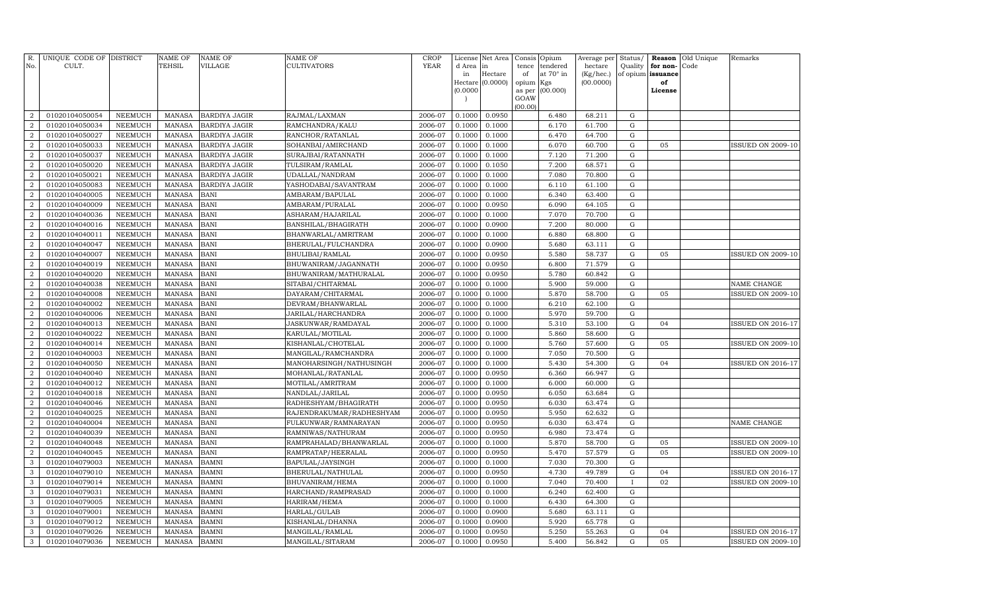| Hectare<br>of<br>at 70° in<br>(Kg/hec.)<br>of opium issuance<br>in<br>Hectare (0.0000)<br>(00.0000)<br>opium<br>Kgs<br>of<br>(0.0000)<br>(00.000)<br>as per<br>License<br>GOAW<br>(00.00)<br>2006-07<br>0.0950<br>68.211<br>${\rm G}$<br>$\overline{a}$<br>01020104050054<br><b>NEEMUCH</b><br><b>MANASA</b><br><b>BARDIYA JAGIR</b><br>RAJMAL/LAXMAN<br>0.1000<br>6.480<br>2006-07<br>0.1000<br>6.170<br>61.700<br>${\rm G}$<br>$\overline{2}$<br>01020104050034<br><b>NEEMUCH</b><br><b>MANASA</b><br><b>BARDIYA JAGIR</b><br>RAMCHANDRA/KALU<br>0.1000<br>2006-07<br>0.1000<br>64.700<br>${\rm G}$<br>$\overline{2}$<br>01020104050027<br><b>NEEMUCH</b><br><b>MANASA</b><br><b>BARDIYA JAGIR</b><br>RANCHOR/RATANLAL<br>0.1000<br>6.470<br>0.1000<br>$\overline{2}$<br>01020104050033<br><b>NEEMUCH</b><br><b>MANASA</b><br><b>BARDIYA JAGIR</b><br>SOHANBAI/AMIRCHAND<br>2006-07<br>0.1000<br>6.070<br>60.700<br>${\rm G}$<br>05<br>${\rm G}$<br>$\overline{a}$<br>01020104050037<br><b>NEEMUCH</b><br><b>MANASA</b><br><b>BARDIYA JAGIR</b><br>SURAJBAI/RATANNATH<br>2006-07<br>0.1000<br>0.1000<br>7.120<br>71.200<br>$\overline{a}$<br>01020104050020<br><b>NEEMUCH</b><br><b>MANASA</b><br>2006-07<br>0.1000<br>0.1050<br>7.200<br>68.571<br>${\rm G}$<br><b>BARDIYA JAGIR</b><br>TULSIRAM/RAMLAL<br>$\overline{2}$<br>01020104050021<br><b>NEEMUCH</b><br><b>MANASA</b><br><b>BARDIYA JAGIR</b><br>UDALLAL/NANDRAM<br>2006-07<br>0.1000<br>0.1000<br>7.080<br>70.800<br>${\rm G}$<br>01020104050083<br><b>NEEMUCH</b><br><b>MANASA</b><br>2006-07<br>0.1000<br>0.1000<br>6.110<br>61.100<br>${\rm G}$<br>$\overline{2}$<br><b>BARDIYA JAGIR</b><br>YASHODABAI/SAVANTRAM<br>$\mathbf G$<br>$\overline{2}$<br>01020104040005<br><b>NEEMUCH</b><br><b>MANASA</b><br><b>BANI</b><br>2006-07<br>0.1000<br>0.1000<br>6.340<br>63.400<br>AMBARAM/BAPULAL<br>$\overline{2}$<br>01020104040009<br><b>NEEMUCH</b><br><b>BANI</b><br>2006-07<br>0.1000<br>0.0950<br>6.090<br>$\mathbf G$<br><b>MANASA</b><br>AMBARAM/PURALAL<br>64.105<br>$\overline{2}$<br>01020104040036<br><b>NEEMUCH</b><br><b>MANASA</b><br><b>BANI</b><br>2006-07<br>0.1000<br>0.1000<br>7.070<br>70.700<br>${\rm G}$<br>ASHARAM/HAJARILAL<br><b>BANI</b><br>2006-07<br>0.0900<br>7.200<br>${\bf G}$<br>$\overline{2}$<br>01020104040016<br><b>NEEMUCH</b><br><b>MANASA</b><br>BANSHILAL/BHAGIRATH<br>0.1000<br>80.000<br><b>MANASA</b><br><b>BANI</b><br>2006-07<br>0.1000<br>0.1000<br>6.880<br>68.800<br>${\bf G}$<br>$\overline{2}$<br>01020104040011<br><b>NEEMUCH</b><br>BHANWARLAL/AMRITRAM<br><b>BANI</b><br>2006-07<br>0.0900<br>5.680<br>${\rm G}$<br>$\overline{2}$<br>01020104040047<br><b>NEEMUCH</b><br><b>MANASA</b><br>BHERULAL/FULCHANDRA<br>0.1000<br>63.111<br><b>BANI</b><br>2006-07<br>0.0950<br>5.580<br>${\bf G}$<br>$\overline{2}$<br>01020104040007<br><b>NEEMUCH</b><br><b>MANASA</b><br>BHULIBAI/RAMLAL<br>0.1000<br>58.737<br>05<br>71.579<br>$\overline{a}$<br>01020104040019<br><b>NEEMUCH</b><br><b>MANASA</b><br><b>BANI</b><br>BHUWANIRAM/JAGANNATH<br>2006-07<br>0.1000<br>0.0950<br>6.800<br>${\rm G}$<br>2006-07<br>5.780<br>$\overline{2}$<br>01020104040020<br><b>NEEMUCH</b><br><b>MANASA</b><br><b>BANI</b><br>BHUWANIRAM/MATHURALAL<br>0.1000<br>0.0950<br>60.842<br>${\rm G}$<br><b>BANI</b><br>$\overline{2}$<br>01020104040038<br><b>NEEMUCH</b><br><b>MANASA</b><br>SITABAI/CHITARMAL<br>2006-07<br>0.1000<br>0.1000<br>5.900<br>59.000<br>${\rm G}$<br>NAME CHANGE<br>2006-07<br>${\bf G}$<br>$\overline{2}$<br>01020104040008<br><b>NEEMUCH</b><br><b>MANASA</b><br><b>BANI</b><br>DAYARAM/CHITARMAL<br>0.1000<br>0.1000<br>5.870<br>58.700<br>05<br>$\boldsymbol{2}$<br>01020104040002<br><b>NEEMUCH</b><br><b>MANASA</b><br><b>BANI</b><br>2006-07<br>0.1000<br>0.1000<br>6.210<br>62.100<br>${\rm G}$<br>DEVRAM/BHANWARLAL<br>5.970<br>59.700<br>$\mathbf G$<br>$\overline{2}$<br><b>MANASA</b><br><b>BANI</b><br>2006-07<br>0.1000<br>0.1000<br>01020104040006<br><b>NEEMUCH</b><br>JARILAL/HARCHANDRA<br><b>NEEMUCH</b><br><b>BANI</b><br>2006-07<br>0.1000<br>0.1000<br>5.310<br>53.100<br>${\bf G}$<br>$\overline{2}$<br>01020104040013<br><b>MANASA</b><br>JASKUNWAR/RAMDAYAL<br>04<br>$\mathbf G$<br>$\overline{2}$<br>MANASA<br><b>BANI</b><br>2006-07<br>0.1000<br>0.1000<br>5.860<br>58.600<br>01020104040022<br>NEEMUCH<br>KARULAL/MOTILAL<br>5.760<br><b>NEEMUCH</b><br><b>BANI</b><br>2006-07<br>0.1000<br>0.1000<br>57.600<br>${\bf G}$<br>$\overline{2}$<br>01020104040014<br><b>MANASA</b><br>KISHANLAL/CHOTELAL<br>05<br><b>ISSUED ON 2009-10</b><br><b>BANI</b><br>2006-07<br>0.1000<br>0.1000<br>7.050<br>70.500<br>${\bf G}$<br>$\overline{2}$<br>01020104040003<br><b>NEEMUCH</b><br><b>MANASA</b><br>MANGILAL/RAMCHANDRA<br><b>BANI</b><br>0.1000<br>5.430<br>$\overline{2}$<br>01020104040050<br><b>NEEMUCH</b><br><b>MANASA</b><br>MANOHARSINGH/NATHUSINGH<br>2006-07<br>0.1000<br>54.300<br>${\rm G}$<br>04<br><b>ISSUED ON 2016-17</b><br>2006-07<br>${\bf G}$<br>$\overline{2}$<br>01020104040040<br><b>NEEMUCH</b><br><b>MANASA</b><br><b>BANI</b><br>MOHANLAL/RATANLAL<br>0.1000<br>0.0950<br>6.360<br>66.947<br><b>BANI</b><br>2006-07<br>6.000<br>${\bf G}$<br>$\overline{2}$<br>01020104040012<br><b>NEEMUCH</b><br><b>MANASA</b><br>MOTILAL/AMRITRAM<br>0.1000<br>0.1000<br>60.000<br><b>BANI</b><br>2006-07<br>0.0950<br>${\bf G}$<br>$\overline{2}$<br>01020104040018<br><b>NEEMUCH</b><br><b>MANASA</b><br>NANDLAL/JARILAL<br>0.1000<br>6.050<br>63.684<br><b>BANI</b><br>${\bf G}$<br>01020104040046<br><b>NEEMUCH</b><br><b>MANASA</b><br>2006-07<br>0.1000<br>0.0950<br>6.030<br>63.474<br>$\boldsymbol{2}$<br>RADHESHYAM/BHAGIRATH<br>2006-07<br>5.950<br>62.632<br>${\bf G}$<br>$\overline{2}$<br>01020104040025<br><b>NEEMUCH</b><br><b>MANASA</b><br><b>BANI</b><br>RAJENDRAKUMAR/RADHESHYAM<br>0.1000<br>0.0950<br>6.030<br>63.474<br>${\rm G}$<br>$\overline{2}$<br>NEEMUCH<br><b>MANASA</b><br><b>BANI</b><br>2006-07<br>0.1000<br>0.0950<br>NAME CHANGE<br>01020104040004<br>FULKUNWAR/RAMNARAYAN<br>6.980<br>${\bf G}$<br>$\overline{2}$<br>01020104040039<br><b>MANASA</b><br><b>BANI</b><br>2006-07<br>0.1000<br>0.0950<br>73.474<br>NEEMUCH<br>RAMNIWAS/NATHURAM<br><b>NEEMUCH</b><br><b>BANI</b><br>2006-07<br>0.1000<br>0.1000<br>5.870<br>58.700<br>${\rm G}$<br>05<br>$\overline{2}$<br>01020104040048<br><b>MANASA</b><br>RAMPRAHALAD/BHANWARLAL<br><b>ISSUED ON 2009-10</b><br>5.470<br>57.579<br>${\rm G}$<br>05<br>$\overline{2}$<br>BANI<br>2006-07<br>0.1000<br>0.0950<br>01020104040045<br><b>NEEMUCH</b><br><b>MANASA</b><br>RAMPRATAP/HEERALAL<br><b>ISSUED ON 2009-10</b><br>3<br>7.030<br>$\mathbf G$<br>01020104079003<br><b>NEEMUCH</b><br><b>MANASA</b><br>BAMNI<br>BAPULAL/JAYSINGH<br>2006-07<br>0.1000<br>0.1000<br>70.300<br>2006-07<br>4.730<br>${\bf G}$<br>3<br>01020104079010<br><b>NEEMUCH</b><br><b>MANASA</b><br><b>BAMNI</b><br>BHERULAL/NATHULAL<br>0.1000<br>0.0950<br>49.789<br>04<br><b>ISSUED ON 2016-17</b><br>02<br>3<br>01020104079014<br><b>NEEMUCH</b><br><b>MANASA</b><br>BAMNI<br>BHUVANIRAM/HEMA<br>2006-07<br>0.1000<br>0.1000<br>7.040<br>70.400<br><b>ISSUED ON 2009-10</b><br>3<br>BAMNI<br>2006-07<br>0.1000<br>6.240<br>62.400<br>$\mathbf G$<br>01020104079031<br><b>NEEMUCH</b><br><b>MANASA</b><br>HARCHAND/RAMPRASAD<br>0.1000<br>6.430<br>${\rm G}$<br>3<br>01020104079005<br><b>NEEMUCH</b><br><b>MANASA</b><br>BAMNI<br>2006-07<br>0.1000<br>0.1000<br>64.300<br>HARIRAM/HEMA<br>${\bf G}$<br>3<br>01020104079001<br><b>NEEMUCH</b><br><b>MANASA</b><br>BAMNI<br>2006-07<br>0.1000<br>0.0900<br>5.680<br>63.111<br>HARLAL/GULAB<br>BAMNI<br>5.920<br>65.778<br>${\bf G}$<br>3<br><b>NEEMUCH</b><br><b>MANASA</b><br>2006-07<br>0.1000<br>0.0900<br>01020104079012<br>KISHANLAL/DHANNA<br>5.250<br>55.263<br>${\bf G}$<br>3<br><b>MANASA</b><br>BAMNI<br>2006-07<br>0.1000<br>0.0950<br>01020104079026<br><b>NEEMUCH</b><br>MANGILAL/RAMLAL<br>04 | R.<br>No.    | UNIQUE CODE OF DISTRICT<br>CULT. |         | <b>NAME OF</b><br>TEHSIL | <b>NAME OF</b><br><b>VILLAGE</b> | NAME OF<br><b>CULTIVATORS</b> | <b>CROP</b><br><b>YEAR</b> | License<br>d Area | Net Area<br>in | Consis<br>tence | Opium<br>tendered | Average per<br>hectare | Status/<br>Quality | Reason<br>for non- | Old Unique<br>Code | Remarks                  |
|-----------------------------------------------------------------------------------------------------------------------------------------------------------------------------------------------------------------------------------------------------------------------------------------------------------------------------------------------------------------------------------------------------------------------------------------------------------------------------------------------------------------------------------------------------------------------------------------------------------------------------------------------------------------------------------------------------------------------------------------------------------------------------------------------------------------------------------------------------------------------------------------------------------------------------------------------------------------------------------------------------------------------------------------------------------------------------------------------------------------------------------------------------------------------------------------------------------------------------------------------------------------------------------------------------------------------------------------------------------------------------------------------------------------------------------------------------------------------------------------------------------------------------------------------------------------------------------------------------------------------------------------------------------------------------------------------------------------------------------------------------------------------------------------------------------------------------------------------------------------------------------------------------------------------------------------------------------------------------------------------------------------------------------------------------------------------------------------------------------------------------------------------------------------------------------------------------------------------------------------------------------------------------------------------------------------------------------------------------------------------------------------------------------------------------------------------------------------------------------------------------------------------------------------------------------------------------------------------------------------------------------------------------------------------------------------------------------------------------------------------------------------------------------------------------------------------------------------------------------------------------------------------------------------------------------------------------------------------------------------------------------------------------------------------------------------------------------------------------------------------------------------------------------------------------------------------------------------------------------------------------------------------------------------------------------------------------------------------------------------------------------------------------------------------------------------------------------------------------------------------------------------------------------------------------------------------------------------------------------------------------------------------------------------------------------------------------------------------------------------------------------------------------------------------------------------------------------------------------------------------------------------------------------------------------------------------------------------------------------------------------------------------------------------------------------------------------------------------------------------------------------------------------------------------------------------------------------------------------------------------------------------------------------------------------------------------------------------------------------------------------------------------------------------------------------------------------------------------------------------------------------------------------------------------------------------------------------------------------------------------------------------------------------------------------------------------------------------------------------------------------------------------------------------------------------------------------------------------------------------------------------------------------------------------------------------------------------------------------------------------------------------------------------------------------------------------------------------------------------------------------------------------------------------------------------------------------------------------------------------------------------------------------------------------------------------------------------------------------------------------------------------------------------------------------------------------------------------------------------------------------------------------------------------------------------------------------------------------------------------------------------------------------------------------------------------------------------------------------------------------------------------------------------------------------------------------------------------------------------------------------------------------------------------------------------------------------------------------------------------------------------------------------------------------------------------------------------------------------------------------------------------------------------------------------------------------------------------------------------------------------------------------------------------------------------------------------------------------------------------------------------------------------------------------------------------------------------------------------------------------------------------------------------------------------------------------------------------------------------------------------------------------------------------------------------------------------------------------------------------------------------------------------------------------------------------------------------------------------------------------------------------------------------------------------------------------------------------------------------------------------------------------------------------------------------------------------------------------------------------------------------------------------------------------------------------------------------------------------------------------------------------------------------------------------------------------------------------------------------------------------------------------------------------------------------------------------------------------------------------------------------------------------------------------------------------------------------------------------------------------------------------------------------------------------------------------------------------------------------------------------------------------------------------------------------------------------------------------------------------------------------------------------------------------------------------------------------------------------------|--------------|----------------------------------|---------|--------------------------|----------------------------------|-------------------------------|----------------------------|-------------------|----------------|-----------------|-------------------|------------------------|--------------------|--------------------|--------------------|--------------------------|
|                                                                                                                                                                                                                                                                                                                                                                                                                                                                                                                                                                                                                                                                                                                                                                                                                                                                                                                                                                                                                                                                                                                                                                                                                                                                                                                                                                                                                                                                                                                                                                                                                                                                                                                                                                                                                                                                                                                                                                                                                                                                                                                                                                                                                                                                                                                                                                                                                                                                                                                                                                                                                                                                                                                                                                                                                                                                                                                                                                                                                                                                                                                                                                                                                                                                                                                                                                                                                                                                                                                                                                                                                                                                                                                                                                                                                                                                                                                                                                                                                                                                                                                                                                                                                                                                                                                                                                                                                                                                                                                                                                                                                                                                                                                                                                                                                                                                                                                                                                                                                                                                                                                                                                                                                                                                                                                                                                                                                                                                                                                                                                                                                                                                                                                                                                                                                                                                                                                                                                                                                                                                                                                                                                                                                                                                                                                                                                                                                                                                                                                                                                                                                                                                                                                                                                                                                                                                                                                                                                                                                                                                                                                                                                                                                                                                                                                                                                                                                                                                                                                                                                                                                                                                                                                                                                                                                                                                                                                                                                                   |              |                                  |         |                          |                                  |                               |                            |                   |                |                 |                   |                        |                    |                    |                    |                          |
|                                                                                                                                                                                                                                                                                                                                                                                                                                                                                                                                                                                                                                                                                                                                                                                                                                                                                                                                                                                                                                                                                                                                                                                                                                                                                                                                                                                                                                                                                                                                                                                                                                                                                                                                                                                                                                                                                                                                                                                                                                                                                                                                                                                                                                                                                                                                                                                                                                                                                                                                                                                                                                                                                                                                                                                                                                                                                                                                                                                                                                                                                                                                                                                                                                                                                                                                                                                                                                                                                                                                                                                                                                                                                                                                                                                                                                                                                                                                                                                                                                                                                                                                                                                                                                                                                                                                                                                                                                                                                                                                                                                                                                                                                                                                                                                                                                                                                                                                                                                                                                                                                                                                                                                                                                                                                                                                                                                                                                                                                                                                                                                                                                                                                                                                                                                                                                                                                                                                                                                                                                                                                                                                                                                                                                                                                                                                                                                                                                                                                                                                                                                                                                                                                                                                                                                                                                                                                                                                                                                                                                                                                                                                                                                                                                                                                                                                                                                                                                                                                                                                                                                                                                                                                                                                                                                                                                                                                                                                                                                   |              |                                  |         |                          |                                  |                               |                            |                   |                |                 |                   |                        |                    |                    |                    |                          |
|                                                                                                                                                                                                                                                                                                                                                                                                                                                                                                                                                                                                                                                                                                                                                                                                                                                                                                                                                                                                                                                                                                                                                                                                                                                                                                                                                                                                                                                                                                                                                                                                                                                                                                                                                                                                                                                                                                                                                                                                                                                                                                                                                                                                                                                                                                                                                                                                                                                                                                                                                                                                                                                                                                                                                                                                                                                                                                                                                                                                                                                                                                                                                                                                                                                                                                                                                                                                                                                                                                                                                                                                                                                                                                                                                                                                                                                                                                                                                                                                                                                                                                                                                                                                                                                                                                                                                                                                                                                                                                                                                                                                                                                                                                                                                                                                                                                                                                                                                                                                                                                                                                                                                                                                                                                                                                                                                                                                                                                                                                                                                                                                                                                                                                                                                                                                                                                                                                                                                                                                                                                                                                                                                                                                                                                                                                                                                                                                                                                                                                                                                                                                                                                                                                                                                                                                                                                                                                                                                                                                                                                                                                                                                                                                                                                                                                                                                                                                                                                                                                                                                                                                                                                                                                                                                                                                                                                                                                                                                                                   |              |                                  |         |                          |                                  |                               |                            |                   |                |                 |                   |                        |                    |                    |                    |                          |
|                                                                                                                                                                                                                                                                                                                                                                                                                                                                                                                                                                                                                                                                                                                                                                                                                                                                                                                                                                                                                                                                                                                                                                                                                                                                                                                                                                                                                                                                                                                                                                                                                                                                                                                                                                                                                                                                                                                                                                                                                                                                                                                                                                                                                                                                                                                                                                                                                                                                                                                                                                                                                                                                                                                                                                                                                                                                                                                                                                                                                                                                                                                                                                                                                                                                                                                                                                                                                                                                                                                                                                                                                                                                                                                                                                                                                                                                                                                                                                                                                                                                                                                                                                                                                                                                                                                                                                                                                                                                                                                                                                                                                                                                                                                                                                                                                                                                                                                                                                                                                                                                                                                                                                                                                                                                                                                                                                                                                                                                                                                                                                                                                                                                                                                                                                                                                                                                                                                                                                                                                                                                                                                                                                                                                                                                                                                                                                                                                                                                                                                                                                                                                                                                                                                                                                                                                                                                                                                                                                                                                                                                                                                                                                                                                                                                                                                                                                                                                                                                                                                                                                                                                                                                                                                                                                                                                                                                                                                                                                                   |              |                                  |         |                          |                                  |                               |                            |                   |                |                 |                   |                        |                    |                    |                    |                          |
|                                                                                                                                                                                                                                                                                                                                                                                                                                                                                                                                                                                                                                                                                                                                                                                                                                                                                                                                                                                                                                                                                                                                                                                                                                                                                                                                                                                                                                                                                                                                                                                                                                                                                                                                                                                                                                                                                                                                                                                                                                                                                                                                                                                                                                                                                                                                                                                                                                                                                                                                                                                                                                                                                                                                                                                                                                                                                                                                                                                                                                                                                                                                                                                                                                                                                                                                                                                                                                                                                                                                                                                                                                                                                                                                                                                                                                                                                                                                                                                                                                                                                                                                                                                                                                                                                                                                                                                                                                                                                                                                                                                                                                                                                                                                                                                                                                                                                                                                                                                                                                                                                                                                                                                                                                                                                                                                                                                                                                                                                                                                                                                                                                                                                                                                                                                                                                                                                                                                                                                                                                                                                                                                                                                                                                                                                                                                                                                                                                                                                                                                                                                                                                                                                                                                                                                                                                                                                                                                                                                                                                                                                                                                                                                                                                                                                                                                                                                                                                                                                                                                                                                                                                                                                                                                                                                                                                                                                                                                                                                   |              |                                  |         |                          |                                  |                               |                            |                   |                |                 |                   |                        |                    |                    |                    |                          |
|                                                                                                                                                                                                                                                                                                                                                                                                                                                                                                                                                                                                                                                                                                                                                                                                                                                                                                                                                                                                                                                                                                                                                                                                                                                                                                                                                                                                                                                                                                                                                                                                                                                                                                                                                                                                                                                                                                                                                                                                                                                                                                                                                                                                                                                                                                                                                                                                                                                                                                                                                                                                                                                                                                                                                                                                                                                                                                                                                                                                                                                                                                                                                                                                                                                                                                                                                                                                                                                                                                                                                                                                                                                                                                                                                                                                                                                                                                                                                                                                                                                                                                                                                                                                                                                                                                                                                                                                                                                                                                                                                                                                                                                                                                                                                                                                                                                                                                                                                                                                                                                                                                                                                                                                                                                                                                                                                                                                                                                                                                                                                                                                                                                                                                                                                                                                                                                                                                                                                                                                                                                                                                                                                                                                                                                                                                                                                                                                                                                                                                                                                                                                                                                                                                                                                                                                                                                                                                                                                                                                                                                                                                                                                                                                                                                                                                                                                                                                                                                                                                                                                                                                                                                                                                                                                                                                                                                                                                                                                                                   |              |                                  |         |                          |                                  |                               |                            |                   |                |                 |                   |                        |                    |                    |                    |                          |
|                                                                                                                                                                                                                                                                                                                                                                                                                                                                                                                                                                                                                                                                                                                                                                                                                                                                                                                                                                                                                                                                                                                                                                                                                                                                                                                                                                                                                                                                                                                                                                                                                                                                                                                                                                                                                                                                                                                                                                                                                                                                                                                                                                                                                                                                                                                                                                                                                                                                                                                                                                                                                                                                                                                                                                                                                                                                                                                                                                                                                                                                                                                                                                                                                                                                                                                                                                                                                                                                                                                                                                                                                                                                                                                                                                                                                                                                                                                                                                                                                                                                                                                                                                                                                                                                                                                                                                                                                                                                                                                                                                                                                                                                                                                                                                                                                                                                                                                                                                                                                                                                                                                                                                                                                                                                                                                                                                                                                                                                                                                                                                                                                                                                                                                                                                                                                                                                                                                                                                                                                                                                                                                                                                                                                                                                                                                                                                                                                                                                                                                                                                                                                                                                                                                                                                                                                                                                                                                                                                                                                                                                                                                                                                                                                                                                                                                                                                                                                                                                                                                                                                                                                                                                                                                                                                                                                                                                                                                                                                                   |              |                                  |         |                          |                                  |                               |                            |                   |                |                 |                   |                        |                    |                    |                    |                          |
|                                                                                                                                                                                                                                                                                                                                                                                                                                                                                                                                                                                                                                                                                                                                                                                                                                                                                                                                                                                                                                                                                                                                                                                                                                                                                                                                                                                                                                                                                                                                                                                                                                                                                                                                                                                                                                                                                                                                                                                                                                                                                                                                                                                                                                                                                                                                                                                                                                                                                                                                                                                                                                                                                                                                                                                                                                                                                                                                                                                                                                                                                                                                                                                                                                                                                                                                                                                                                                                                                                                                                                                                                                                                                                                                                                                                                                                                                                                                                                                                                                                                                                                                                                                                                                                                                                                                                                                                                                                                                                                                                                                                                                                                                                                                                                                                                                                                                                                                                                                                                                                                                                                                                                                                                                                                                                                                                                                                                                                                                                                                                                                                                                                                                                                                                                                                                                                                                                                                                                                                                                                                                                                                                                                                                                                                                                                                                                                                                                                                                                                                                                                                                                                                                                                                                                                                                                                                                                                                                                                                                                                                                                                                                                                                                                                                                                                                                                                                                                                                                                                                                                                                                                                                                                                                                                                                                                                                                                                                                                                   |              |                                  |         |                          |                                  |                               |                            |                   |                |                 |                   |                        |                    |                    |                    | <b>ISSUED ON 2009-10</b> |
|                                                                                                                                                                                                                                                                                                                                                                                                                                                                                                                                                                                                                                                                                                                                                                                                                                                                                                                                                                                                                                                                                                                                                                                                                                                                                                                                                                                                                                                                                                                                                                                                                                                                                                                                                                                                                                                                                                                                                                                                                                                                                                                                                                                                                                                                                                                                                                                                                                                                                                                                                                                                                                                                                                                                                                                                                                                                                                                                                                                                                                                                                                                                                                                                                                                                                                                                                                                                                                                                                                                                                                                                                                                                                                                                                                                                                                                                                                                                                                                                                                                                                                                                                                                                                                                                                                                                                                                                                                                                                                                                                                                                                                                                                                                                                                                                                                                                                                                                                                                                                                                                                                                                                                                                                                                                                                                                                                                                                                                                                                                                                                                                                                                                                                                                                                                                                                                                                                                                                                                                                                                                                                                                                                                                                                                                                                                                                                                                                                                                                                                                                                                                                                                                                                                                                                                                                                                                                                                                                                                                                                                                                                                                                                                                                                                                                                                                                                                                                                                                                                                                                                                                                                                                                                                                                                                                                                                                                                                                                                                   |              |                                  |         |                          |                                  |                               |                            |                   |                |                 |                   |                        |                    |                    |                    |                          |
|                                                                                                                                                                                                                                                                                                                                                                                                                                                                                                                                                                                                                                                                                                                                                                                                                                                                                                                                                                                                                                                                                                                                                                                                                                                                                                                                                                                                                                                                                                                                                                                                                                                                                                                                                                                                                                                                                                                                                                                                                                                                                                                                                                                                                                                                                                                                                                                                                                                                                                                                                                                                                                                                                                                                                                                                                                                                                                                                                                                                                                                                                                                                                                                                                                                                                                                                                                                                                                                                                                                                                                                                                                                                                                                                                                                                                                                                                                                                                                                                                                                                                                                                                                                                                                                                                                                                                                                                                                                                                                                                                                                                                                                                                                                                                                                                                                                                                                                                                                                                                                                                                                                                                                                                                                                                                                                                                                                                                                                                                                                                                                                                                                                                                                                                                                                                                                                                                                                                                                                                                                                                                                                                                                                                                                                                                                                                                                                                                                                                                                                                                                                                                                                                                                                                                                                                                                                                                                                                                                                                                                                                                                                                                                                                                                                                                                                                                                                                                                                                                                                                                                                                                                                                                                                                                                                                                                                                                                                                                                                   |              |                                  |         |                          |                                  |                               |                            |                   |                |                 |                   |                        |                    |                    |                    |                          |
|                                                                                                                                                                                                                                                                                                                                                                                                                                                                                                                                                                                                                                                                                                                                                                                                                                                                                                                                                                                                                                                                                                                                                                                                                                                                                                                                                                                                                                                                                                                                                                                                                                                                                                                                                                                                                                                                                                                                                                                                                                                                                                                                                                                                                                                                                                                                                                                                                                                                                                                                                                                                                                                                                                                                                                                                                                                                                                                                                                                                                                                                                                                                                                                                                                                                                                                                                                                                                                                                                                                                                                                                                                                                                                                                                                                                                                                                                                                                                                                                                                                                                                                                                                                                                                                                                                                                                                                                                                                                                                                                                                                                                                                                                                                                                                                                                                                                                                                                                                                                                                                                                                                                                                                                                                                                                                                                                                                                                                                                                                                                                                                                                                                                                                                                                                                                                                                                                                                                                                                                                                                                                                                                                                                                                                                                                                                                                                                                                                                                                                                                                                                                                                                                                                                                                                                                                                                                                                                                                                                                                                                                                                                                                                                                                                                                                                                                                                                                                                                                                                                                                                                                                                                                                                                                                                                                                                                                                                                                                                                   |              |                                  |         |                          |                                  |                               |                            |                   |                |                 |                   |                        |                    |                    |                    |                          |
|                                                                                                                                                                                                                                                                                                                                                                                                                                                                                                                                                                                                                                                                                                                                                                                                                                                                                                                                                                                                                                                                                                                                                                                                                                                                                                                                                                                                                                                                                                                                                                                                                                                                                                                                                                                                                                                                                                                                                                                                                                                                                                                                                                                                                                                                                                                                                                                                                                                                                                                                                                                                                                                                                                                                                                                                                                                                                                                                                                                                                                                                                                                                                                                                                                                                                                                                                                                                                                                                                                                                                                                                                                                                                                                                                                                                                                                                                                                                                                                                                                                                                                                                                                                                                                                                                                                                                                                                                                                                                                                                                                                                                                                                                                                                                                                                                                                                                                                                                                                                                                                                                                                                                                                                                                                                                                                                                                                                                                                                                                                                                                                                                                                                                                                                                                                                                                                                                                                                                                                                                                                                                                                                                                                                                                                                                                                                                                                                                                                                                                                                                                                                                                                                                                                                                                                                                                                                                                                                                                                                                                                                                                                                                                                                                                                                                                                                                                                                                                                                                                                                                                                                                                                                                                                                                                                                                                                                                                                                                                                   |              |                                  |         |                          |                                  |                               |                            |                   |                |                 |                   |                        |                    |                    |                    |                          |
|                                                                                                                                                                                                                                                                                                                                                                                                                                                                                                                                                                                                                                                                                                                                                                                                                                                                                                                                                                                                                                                                                                                                                                                                                                                                                                                                                                                                                                                                                                                                                                                                                                                                                                                                                                                                                                                                                                                                                                                                                                                                                                                                                                                                                                                                                                                                                                                                                                                                                                                                                                                                                                                                                                                                                                                                                                                                                                                                                                                                                                                                                                                                                                                                                                                                                                                                                                                                                                                                                                                                                                                                                                                                                                                                                                                                                                                                                                                                                                                                                                                                                                                                                                                                                                                                                                                                                                                                                                                                                                                                                                                                                                                                                                                                                                                                                                                                                                                                                                                                                                                                                                                                                                                                                                                                                                                                                                                                                                                                                                                                                                                                                                                                                                                                                                                                                                                                                                                                                                                                                                                                                                                                                                                                                                                                                                                                                                                                                                                                                                                                                                                                                                                                                                                                                                                                                                                                                                                                                                                                                                                                                                                                                                                                                                                                                                                                                                                                                                                                                                                                                                                                                                                                                                                                                                                                                                                                                                                                                                                   |              |                                  |         |                          |                                  |                               |                            |                   |                |                 |                   |                        |                    |                    |                    |                          |
|                                                                                                                                                                                                                                                                                                                                                                                                                                                                                                                                                                                                                                                                                                                                                                                                                                                                                                                                                                                                                                                                                                                                                                                                                                                                                                                                                                                                                                                                                                                                                                                                                                                                                                                                                                                                                                                                                                                                                                                                                                                                                                                                                                                                                                                                                                                                                                                                                                                                                                                                                                                                                                                                                                                                                                                                                                                                                                                                                                                                                                                                                                                                                                                                                                                                                                                                                                                                                                                                                                                                                                                                                                                                                                                                                                                                                                                                                                                                                                                                                                                                                                                                                                                                                                                                                                                                                                                                                                                                                                                                                                                                                                                                                                                                                                                                                                                                                                                                                                                                                                                                                                                                                                                                                                                                                                                                                                                                                                                                                                                                                                                                                                                                                                                                                                                                                                                                                                                                                                                                                                                                                                                                                                                                                                                                                                                                                                                                                                                                                                                                                                                                                                                                                                                                                                                                                                                                                                                                                                                                                                                                                                                                                                                                                                                                                                                                                                                                                                                                                                                                                                                                                                                                                                                                                                                                                                                                                                                                                                                   |              |                                  |         |                          |                                  |                               |                            |                   |                |                 |                   |                        |                    |                    |                    |                          |
|                                                                                                                                                                                                                                                                                                                                                                                                                                                                                                                                                                                                                                                                                                                                                                                                                                                                                                                                                                                                                                                                                                                                                                                                                                                                                                                                                                                                                                                                                                                                                                                                                                                                                                                                                                                                                                                                                                                                                                                                                                                                                                                                                                                                                                                                                                                                                                                                                                                                                                                                                                                                                                                                                                                                                                                                                                                                                                                                                                                                                                                                                                                                                                                                                                                                                                                                                                                                                                                                                                                                                                                                                                                                                                                                                                                                                                                                                                                                                                                                                                                                                                                                                                                                                                                                                                                                                                                                                                                                                                                                                                                                                                                                                                                                                                                                                                                                                                                                                                                                                                                                                                                                                                                                                                                                                                                                                                                                                                                                                                                                                                                                                                                                                                                                                                                                                                                                                                                                                                                                                                                                                                                                                                                                                                                                                                                                                                                                                                                                                                                                                                                                                                                                                                                                                                                                                                                                                                                                                                                                                                                                                                                                                                                                                                                                                                                                                                                                                                                                                                                                                                                                                                                                                                                                                                                                                                                                                                                                                                                   |              |                                  |         |                          |                                  |                               |                            |                   |                |                 |                   |                        |                    |                    |                    |                          |
|                                                                                                                                                                                                                                                                                                                                                                                                                                                                                                                                                                                                                                                                                                                                                                                                                                                                                                                                                                                                                                                                                                                                                                                                                                                                                                                                                                                                                                                                                                                                                                                                                                                                                                                                                                                                                                                                                                                                                                                                                                                                                                                                                                                                                                                                                                                                                                                                                                                                                                                                                                                                                                                                                                                                                                                                                                                                                                                                                                                                                                                                                                                                                                                                                                                                                                                                                                                                                                                                                                                                                                                                                                                                                                                                                                                                                                                                                                                                                                                                                                                                                                                                                                                                                                                                                                                                                                                                                                                                                                                                                                                                                                                                                                                                                                                                                                                                                                                                                                                                                                                                                                                                                                                                                                                                                                                                                                                                                                                                                                                                                                                                                                                                                                                                                                                                                                                                                                                                                                                                                                                                                                                                                                                                                                                                                                                                                                                                                                                                                                                                                                                                                                                                                                                                                                                                                                                                                                                                                                                                                                                                                                                                                                                                                                                                                                                                                                                                                                                                                                                                                                                                                                                                                                                                                                                                                                                                                                                                                                                   |              |                                  |         |                          |                                  |                               |                            |                   |                |                 |                   |                        |                    |                    |                    |                          |
|                                                                                                                                                                                                                                                                                                                                                                                                                                                                                                                                                                                                                                                                                                                                                                                                                                                                                                                                                                                                                                                                                                                                                                                                                                                                                                                                                                                                                                                                                                                                                                                                                                                                                                                                                                                                                                                                                                                                                                                                                                                                                                                                                                                                                                                                                                                                                                                                                                                                                                                                                                                                                                                                                                                                                                                                                                                                                                                                                                                                                                                                                                                                                                                                                                                                                                                                                                                                                                                                                                                                                                                                                                                                                                                                                                                                                                                                                                                                                                                                                                                                                                                                                                                                                                                                                                                                                                                                                                                                                                                                                                                                                                                                                                                                                                                                                                                                                                                                                                                                                                                                                                                                                                                                                                                                                                                                                                                                                                                                                                                                                                                                                                                                                                                                                                                                                                                                                                                                                                                                                                                                                                                                                                                                                                                                                                                                                                                                                                                                                                                                                                                                                                                                                                                                                                                                                                                                                                                                                                                                                                                                                                                                                                                                                                                                                                                                                                                                                                                                                                                                                                                                                                                                                                                                                                                                                                                                                                                                                                                   |              |                                  |         |                          |                                  |                               |                            |                   |                |                 |                   |                        |                    |                    |                    |                          |
|                                                                                                                                                                                                                                                                                                                                                                                                                                                                                                                                                                                                                                                                                                                                                                                                                                                                                                                                                                                                                                                                                                                                                                                                                                                                                                                                                                                                                                                                                                                                                                                                                                                                                                                                                                                                                                                                                                                                                                                                                                                                                                                                                                                                                                                                                                                                                                                                                                                                                                                                                                                                                                                                                                                                                                                                                                                                                                                                                                                                                                                                                                                                                                                                                                                                                                                                                                                                                                                                                                                                                                                                                                                                                                                                                                                                                                                                                                                                                                                                                                                                                                                                                                                                                                                                                                                                                                                                                                                                                                                                                                                                                                                                                                                                                                                                                                                                                                                                                                                                                                                                                                                                                                                                                                                                                                                                                                                                                                                                                                                                                                                                                                                                                                                                                                                                                                                                                                                                                                                                                                                                                                                                                                                                                                                                                                                                                                                                                                                                                                                                                                                                                                                                                                                                                                                                                                                                                                                                                                                                                                                                                                                                                                                                                                                                                                                                                                                                                                                                                                                                                                                                                                                                                                                                                                                                                                                                                                                                                                                   |              |                                  |         |                          |                                  |                               |                            |                   |                |                 |                   |                        |                    |                    |                    |                          |
|                                                                                                                                                                                                                                                                                                                                                                                                                                                                                                                                                                                                                                                                                                                                                                                                                                                                                                                                                                                                                                                                                                                                                                                                                                                                                                                                                                                                                                                                                                                                                                                                                                                                                                                                                                                                                                                                                                                                                                                                                                                                                                                                                                                                                                                                                                                                                                                                                                                                                                                                                                                                                                                                                                                                                                                                                                                                                                                                                                                                                                                                                                                                                                                                                                                                                                                                                                                                                                                                                                                                                                                                                                                                                                                                                                                                                                                                                                                                                                                                                                                                                                                                                                                                                                                                                                                                                                                                                                                                                                                                                                                                                                                                                                                                                                                                                                                                                                                                                                                                                                                                                                                                                                                                                                                                                                                                                                                                                                                                                                                                                                                                                                                                                                                                                                                                                                                                                                                                                                                                                                                                                                                                                                                                                                                                                                                                                                                                                                                                                                                                                                                                                                                                                                                                                                                                                                                                                                                                                                                                                                                                                                                                                                                                                                                                                                                                                                                                                                                                                                                                                                                                                                                                                                                                                                                                                                                                                                                                                                                   |              |                                  |         |                          |                                  |                               |                            |                   |                |                 |                   |                        |                    |                    |                    | <b>ISSUED ON 2009-10</b> |
|                                                                                                                                                                                                                                                                                                                                                                                                                                                                                                                                                                                                                                                                                                                                                                                                                                                                                                                                                                                                                                                                                                                                                                                                                                                                                                                                                                                                                                                                                                                                                                                                                                                                                                                                                                                                                                                                                                                                                                                                                                                                                                                                                                                                                                                                                                                                                                                                                                                                                                                                                                                                                                                                                                                                                                                                                                                                                                                                                                                                                                                                                                                                                                                                                                                                                                                                                                                                                                                                                                                                                                                                                                                                                                                                                                                                                                                                                                                                                                                                                                                                                                                                                                                                                                                                                                                                                                                                                                                                                                                                                                                                                                                                                                                                                                                                                                                                                                                                                                                                                                                                                                                                                                                                                                                                                                                                                                                                                                                                                                                                                                                                                                                                                                                                                                                                                                                                                                                                                                                                                                                                                                                                                                                                                                                                                                                                                                                                                                                                                                                                                                                                                                                                                                                                                                                                                                                                                                                                                                                                                                                                                                                                                                                                                                                                                                                                                                                                                                                                                                                                                                                                                                                                                                                                                                                                                                                                                                                                                                                   |              |                                  |         |                          |                                  |                               |                            |                   |                |                 |                   |                        |                    |                    |                    |                          |
|                                                                                                                                                                                                                                                                                                                                                                                                                                                                                                                                                                                                                                                                                                                                                                                                                                                                                                                                                                                                                                                                                                                                                                                                                                                                                                                                                                                                                                                                                                                                                                                                                                                                                                                                                                                                                                                                                                                                                                                                                                                                                                                                                                                                                                                                                                                                                                                                                                                                                                                                                                                                                                                                                                                                                                                                                                                                                                                                                                                                                                                                                                                                                                                                                                                                                                                                                                                                                                                                                                                                                                                                                                                                                                                                                                                                                                                                                                                                                                                                                                                                                                                                                                                                                                                                                                                                                                                                                                                                                                                                                                                                                                                                                                                                                                                                                                                                                                                                                                                                                                                                                                                                                                                                                                                                                                                                                                                                                                                                                                                                                                                                                                                                                                                                                                                                                                                                                                                                                                                                                                                                                                                                                                                                                                                                                                                                                                                                                                                                                                                                                                                                                                                                                                                                                                                                                                                                                                                                                                                                                                                                                                                                                                                                                                                                                                                                                                                                                                                                                                                                                                                                                                                                                                                                                                                                                                                                                                                                                                                   |              |                                  |         |                          |                                  |                               |                            |                   |                |                 |                   |                        |                    |                    |                    |                          |
|                                                                                                                                                                                                                                                                                                                                                                                                                                                                                                                                                                                                                                                                                                                                                                                                                                                                                                                                                                                                                                                                                                                                                                                                                                                                                                                                                                                                                                                                                                                                                                                                                                                                                                                                                                                                                                                                                                                                                                                                                                                                                                                                                                                                                                                                                                                                                                                                                                                                                                                                                                                                                                                                                                                                                                                                                                                                                                                                                                                                                                                                                                                                                                                                                                                                                                                                                                                                                                                                                                                                                                                                                                                                                                                                                                                                                                                                                                                                                                                                                                                                                                                                                                                                                                                                                                                                                                                                                                                                                                                                                                                                                                                                                                                                                                                                                                                                                                                                                                                                                                                                                                                                                                                                                                                                                                                                                                                                                                                                                                                                                                                                                                                                                                                                                                                                                                                                                                                                                                                                                                                                                                                                                                                                                                                                                                                                                                                                                                                                                                                                                                                                                                                                                                                                                                                                                                                                                                                                                                                                                                                                                                                                                                                                                                                                                                                                                                                                                                                                                                                                                                                                                                                                                                                                                                                                                                                                                                                                                                                   |              |                                  |         |                          |                                  |                               |                            |                   |                |                 |                   |                        |                    |                    |                    |                          |
|                                                                                                                                                                                                                                                                                                                                                                                                                                                                                                                                                                                                                                                                                                                                                                                                                                                                                                                                                                                                                                                                                                                                                                                                                                                                                                                                                                                                                                                                                                                                                                                                                                                                                                                                                                                                                                                                                                                                                                                                                                                                                                                                                                                                                                                                                                                                                                                                                                                                                                                                                                                                                                                                                                                                                                                                                                                                                                                                                                                                                                                                                                                                                                                                                                                                                                                                                                                                                                                                                                                                                                                                                                                                                                                                                                                                                                                                                                                                                                                                                                                                                                                                                                                                                                                                                                                                                                                                                                                                                                                                                                                                                                                                                                                                                                                                                                                                                                                                                                                                                                                                                                                                                                                                                                                                                                                                                                                                                                                                                                                                                                                                                                                                                                                                                                                                                                                                                                                                                                                                                                                                                                                                                                                                                                                                                                                                                                                                                                                                                                                                                                                                                                                                                                                                                                                                                                                                                                                                                                                                                                                                                                                                                                                                                                                                                                                                                                                                                                                                                                                                                                                                                                                                                                                                                                                                                                                                                                                                                                                   |              |                                  |         |                          |                                  |                               |                            |                   |                |                 |                   |                        |                    |                    |                    | <b>ISSUED ON 2009-10</b> |
|                                                                                                                                                                                                                                                                                                                                                                                                                                                                                                                                                                                                                                                                                                                                                                                                                                                                                                                                                                                                                                                                                                                                                                                                                                                                                                                                                                                                                                                                                                                                                                                                                                                                                                                                                                                                                                                                                                                                                                                                                                                                                                                                                                                                                                                                                                                                                                                                                                                                                                                                                                                                                                                                                                                                                                                                                                                                                                                                                                                                                                                                                                                                                                                                                                                                                                                                                                                                                                                                                                                                                                                                                                                                                                                                                                                                                                                                                                                                                                                                                                                                                                                                                                                                                                                                                                                                                                                                                                                                                                                                                                                                                                                                                                                                                                                                                                                                                                                                                                                                                                                                                                                                                                                                                                                                                                                                                                                                                                                                                                                                                                                                                                                                                                                                                                                                                                                                                                                                                                                                                                                                                                                                                                                                                                                                                                                                                                                                                                                                                                                                                                                                                                                                                                                                                                                                                                                                                                                                                                                                                                                                                                                                                                                                                                                                                                                                                                                                                                                                                                                                                                                                                                                                                                                                                                                                                                                                                                                                                                                   |              |                                  |         |                          |                                  |                               |                            |                   |                |                 |                   |                        |                    |                    |                    |                          |
|                                                                                                                                                                                                                                                                                                                                                                                                                                                                                                                                                                                                                                                                                                                                                                                                                                                                                                                                                                                                                                                                                                                                                                                                                                                                                                                                                                                                                                                                                                                                                                                                                                                                                                                                                                                                                                                                                                                                                                                                                                                                                                                                                                                                                                                                                                                                                                                                                                                                                                                                                                                                                                                                                                                                                                                                                                                                                                                                                                                                                                                                                                                                                                                                                                                                                                                                                                                                                                                                                                                                                                                                                                                                                                                                                                                                                                                                                                                                                                                                                                                                                                                                                                                                                                                                                                                                                                                                                                                                                                                                                                                                                                                                                                                                                                                                                                                                                                                                                                                                                                                                                                                                                                                                                                                                                                                                                                                                                                                                                                                                                                                                                                                                                                                                                                                                                                                                                                                                                                                                                                                                                                                                                                                                                                                                                                                                                                                                                                                                                                                                                                                                                                                                                                                                                                                                                                                                                                                                                                                                                                                                                                                                                                                                                                                                                                                                                                                                                                                                                                                                                                                                                                                                                                                                                                                                                                                                                                                                                                                   |              |                                  |         |                          |                                  |                               |                            |                   |                |                 |                   |                        |                    |                    |                    |                          |
|                                                                                                                                                                                                                                                                                                                                                                                                                                                                                                                                                                                                                                                                                                                                                                                                                                                                                                                                                                                                                                                                                                                                                                                                                                                                                                                                                                                                                                                                                                                                                                                                                                                                                                                                                                                                                                                                                                                                                                                                                                                                                                                                                                                                                                                                                                                                                                                                                                                                                                                                                                                                                                                                                                                                                                                                                                                                                                                                                                                                                                                                                                                                                                                                                                                                                                                                                                                                                                                                                                                                                                                                                                                                                                                                                                                                                                                                                                                                                                                                                                                                                                                                                                                                                                                                                                                                                                                                                                                                                                                                                                                                                                                                                                                                                                                                                                                                                                                                                                                                                                                                                                                                                                                                                                                                                                                                                                                                                                                                                                                                                                                                                                                                                                                                                                                                                                                                                                                                                                                                                                                                                                                                                                                                                                                                                                                                                                                                                                                                                                                                                                                                                                                                                                                                                                                                                                                                                                                                                                                                                                                                                                                                                                                                                                                                                                                                                                                                                                                                                                                                                                                                                                                                                                                                                                                                                                                                                                                                                                                   |              |                                  |         |                          |                                  |                               |                            |                   |                |                 |                   |                        |                    |                    |                    | <b>ISSUED ON 2016-17</b> |
|                                                                                                                                                                                                                                                                                                                                                                                                                                                                                                                                                                                                                                                                                                                                                                                                                                                                                                                                                                                                                                                                                                                                                                                                                                                                                                                                                                                                                                                                                                                                                                                                                                                                                                                                                                                                                                                                                                                                                                                                                                                                                                                                                                                                                                                                                                                                                                                                                                                                                                                                                                                                                                                                                                                                                                                                                                                                                                                                                                                                                                                                                                                                                                                                                                                                                                                                                                                                                                                                                                                                                                                                                                                                                                                                                                                                                                                                                                                                                                                                                                                                                                                                                                                                                                                                                                                                                                                                                                                                                                                                                                                                                                                                                                                                                                                                                                                                                                                                                                                                                                                                                                                                                                                                                                                                                                                                                                                                                                                                                                                                                                                                                                                                                                                                                                                                                                                                                                                                                                                                                                                                                                                                                                                                                                                                                                                                                                                                                                                                                                                                                                                                                                                                                                                                                                                                                                                                                                                                                                                                                                                                                                                                                                                                                                                                                                                                                                                                                                                                                                                                                                                                                                                                                                                                                                                                                                                                                                                                                                                   |              |                                  |         |                          |                                  |                               |                            |                   |                |                 |                   |                        |                    |                    |                    |                          |
|                                                                                                                                                                                                                                                                                                                                                                                                                                                                                                                                                                                                                                                                                                                                                                                                                                                                                                                                                                                                                                                                                                                                                                                                                                                                                                                                                                                                                                                                                                                                                                                                                                                                                                                                                                                                                                                                                                                                                                                                                                                                                                                                                                                                                                                                                                                                                                                                                                                                                                                                                                                                                                                                                                                                                                                                                                                                                                                                                                                                                                                                                                                                                                                                                                                                                                                                                                                                                                                                                                                                                                                                                                                                                                                                                                                                                                                                                                                                                                                                                                                                                                                                                                                                                                                                                                                                                                                                                                                                                                                                                                                                                                                                                                                                                                                                                                                                                                                                                                                                                                                                                                                                                                                                                                                                                                                                                                                                                                                                                                                                                                                                                                                                                                                                                                                                                                                                                                                                                                                                                                                                                                                                                                                                                                                                                                                                                                                                                                                                                                                                                                                                                                                                                                                                                                                                                                                                                                                                                                                                                                                                                                                                                                                                                                                                                                                                                                                                                                                                                                                                                                                                                                                                                                                                                                                                                                                                                                                                                                                   |              |                                  |         |                          |                                  |                               |                            |                   |                |                 |                   |                        |                    |                    |                    |                          |
|                                                                                                                                                                                                                                                                                                                                                                                                                                                                                                                                                                                                                                                                                                                                                                                                                                                                                                                                                                                                                                                                                                                                                                                                                                                                                                                                                                                                                                                                                                                                                                                                                                                                                                                                                                                                                                                                                                                                                                                                                                                                                                                                                                                                                                                                                                                                                                                                                                                                                                                                                                                                                                                                                                                                                                                                                                                                                                                                                                                                                                                                                                                                                                                                                                                                                                                                                                                                                                                                                                                                                                                                                                                                                                                                                                                                                                                                                                                                                                                                                                                                                                                                                                                                                                                                                                                                                                                                                                                                                                                                                                                                                                                                                                                                                                                                                                                                                                                                                                                                                                                                                                                                                                                                                                                                                                                                                                                                                                                                                                                                                                                                                                                                                                                                                                                                                                                                                                                                                                                                                                                                                                                                                                                                                                                                                                                                                                                                                                                                                                                                                                                                                                                                                                                                                                                                                                                                                                                                                                                                                                                                                                                                                                                                                                                                                                                                                                                                                                                                                                                                                                                                                                                                                                                                                                                                                                                                                                                                                                                   |              |                                  |         |                          |                                  |                               |                            |                   |                |                 |                   |                        |                    |                    |                    |                          |
|                                                                                                                                                                                                                                                                                                                                                                                                                                                                                                                                                                                                                                                                                                                                                                                                                                                                                                                                                                                                                                                                                                                                                                                                                                                                                                                                                                                                                                                                                                                                                                                                                                                                                                                                                                                                                                                                                                                                                                                                                                                                                                                                                                                                                                                                                                                                                                                                                                                                                                                                                                                                                                                                                                                                                                                                                                                                                                                                                                                                                                                                                                                                                                                                                                                                                                                                                                                                                                                                                                                                                                                                                                                                                                                                                                                                                                                                                                                                                                                                                                                                                                                                                                                                                                                                                                                                                                                                                                                                                                                                                                                                                                                                                                                                                                                                                                                                                                                                                                                                                                                                                                                                                                                                                                                                                                                                                                                                                                                                                                                                                                                                                                                                                                                                                                                                                                                                                                                                                                                                                                                                                                                                                                                                                                                                                                                                                                                                                                                                                                                                                                                                                                                                                                                                                                                                                                                                                                                                                                                                                                                                                                                                                                                                                                                                                                                                                                                                                                                                                                                                                                                                                                                                                                                                                                                                                                                                                                                                                                                   |              |                                  |         |                          |                                  |                               |                            |                   |                |                 |                   |                        |                    |                    |                    |                          |
|                                                                                                                                                                                                                                                                                                                                                                                                                                                                                                                                                                                                                                                                                                                                                                                                                                                                                                                                                                                                                                                                                                                                                                                                                                                                                                                                                                                                                                                                                                                                                                                                                                                                                                                                                                                                                                                                                                                                                                                                                                                                                                                                                                                                                                                                                                                                                                                                                                                                                                                                                                                                                                                                                                                                                                                                                                                                                                                                                                                                                                                                                                                                                                                                                                                                                                                                                                                                                                                                                                                                                                                                                                                                                                                                                                                                                                                                                                                                                                                                                                                                                                                                                                                                                                                                                                                                                                                                                                                                                                                                                                                                                                                                                                                                                                                                                                                                                                                                                                                                                                                                                                                                                                                                                                                                                                                                                                                                                                                                                                                                                                                                                                                                                                                                                                                                                                                                                                                                                                                                                                                                                                                                                                                                                                                                                                                                                                                                                                                                                                                                                                                                                                                                                                                                                                                                                                                                                                                                                                                                                                                                                                                                                                                                                                                                                                                                                                                                                                                                                                                                                                                                                                                                                                                                                                                                                                                                                                                                                                                   |              |                                  |         |                          |                                  |                               |                            |                   |                |                 |                   |                        |                    |                    |                    |                          |
|                                                                                                                                                                                                                                                                                                                                                                                                                                                                                                                                                                                                                                                                                                                                                                                                                                                                                                                                                                                                                                                                                                                                                                                                                                                                                                                                                                                                                                                                                                                                                                                                                                                                                                                                                                                                                                                                                                                                                                                                                                                                                                                                                                                                                                                                                                                                                                                                                                                                                                                                                                                                                                                                                                                                                                                                                                                                                                                                                                                                                                                                                                                                                                                                                                                                                                                                                                                                                                                                                                                                                                                                                                                                                                                                                                                                                                                                                                                                                                                                                                                                                                                                                                                                                                                                                                                                                                                                                                                                                                                                                                                                                                                                                                                                                                                                                                                                                                                                                                                                                                                                                                                                                                                                                                                                                                                                                                                                                                                                                                                                                                                                                                                                                                                                                                                                                                                                                                                                                                                                                                                                                                                                                                                                                                                                                                                                                                                                                                                                                                                                                                                                                                                                                                                                                                                                                                                                                                                                                                                                                                                                                                                                                                                                                                                                                                                                                                                                                                                                                                                                                                                                                                                                                                                                                                                                                                                                                                                                                                                   |              |                                  |         |                          |                                  |                               |                            |                   |                |                 |                   |                        |                    |                    |                    |                          |
|                                                                                                                                                                                                                                                                                                                                                                                                                                                                                                                                                                                                                                                                                                                                                                                                                                                                                                                                                                                                                                                                                                                                                                                                                                                                                                                                                                                                                                                                                                                                                                                                                                                                                                                                                                                                                                                                                                                                                                                                                                                                                                                                                                                                                                                                                                                                                                                                                                                                                                                                                                                                                                                                                                                                                                                                                                                                                                                                                                                                                                                                                                                                                                                                                                                                                                                                                                                                                                                                                                                                                                                                                                                                                                                                                                                                                                                                                                                                                                                                                                                                                                                                                                                                                                                                                                                                                                                                                                                                                                                                                                                                                                                                                                                                                                                                                                                                                                                                                                                                                                                                                                                                                                                                                                                                                                                                                                                                                                                                                                                                                                                                                                                                                                                                                                                                                                                                                                                                                                                                                                                                                                                                                                                                                                                                                                                                                                                                                                                                                                                                                                                                                                                                                                                                                                                                                                                                                                                                                                                                                                                                                                                                                                                                                                                                                                                                                                                                                                                                                                                                                                                                                                                                                                                                                                                                                                                                                                                                                                                   |              |                                  |         |                          |                                  |                               |                            |                   |                |                 |                   |                        |                    |                    |                    |                          |
|                                                                                                                                                                                                                                                                                                                                                                                                                                                                                                                                                                                                                                                                                                                                                                                                                                                                                                                                                                                                                                                                                                                                                                                                                                                                                                                                                                                                                                                                                                                                                                                                                                                                                                                                                                                                                                                                                                                                                                                                                                                                                                                                                                                                                                                                                                                                                                                                                                                                                                                                                                                                                                                                                                                                                                                                                                                                                                                                                                                                                                                                                                                                                                                                                                                                                                                                                                                                                                                                                                                                                                                                                                                                                                                                                                                                                                                                                                                                                                                                                                                                                                                                                                                                                                                                                                                                                                                                                                                                                                                                                                                                                                                                                                                                                                                                                                                                                                                                                                                                                                                                                                                                                                                                                                                                                                                                                                                                                                                                                                                                                                                                                                                                                                                                                                                                                                                                                                                                                                                                                                                                                                                                                                                                                                                                                                                                                                                                                                                                                                                                                                                                                                                                                                                                                                                                                                                                                                                                                                                                                                                                                                                                                                                                                                                                                                                                                                                                                                                                                                                                                                                                                                                                                                                                                                                                                                                                                                                                                                                   |              |                                  |         |                          |                                  |                               |                            |                   |                |                 |                   |                        |                    |                    |                    |                          |
|                                                                                                                                                                                                                                                                                                                                                                                                                                                                                                                                                                                                                                                                                                                                                                                                                                                                                                                                                                                                                                                                                                                                                                                                                                                                                                                                                                                                                                                                                                                                                                                                                                                                                                                                                                                                                                                                                                                                                                                                                                                                                                                                                                                                                                                                                                                                                                                                                                                                                                                                                                                                                                                                                                                                                                                                                                                                                                                                                                                                                                                                                                                                                                                                                                                                                                                                                                                                                                                                                                                                                                                                                                                                                                                                                                                                                                                                                                                                                                                                                                                                                                                                                                                                                                                                                                                                                                                                                                                                                                                                                                                                                                                                                                                                                                                                                                                                                                                                                                                                                                                                                                                                                                                                                                                                                                                                                                                                                                                                                                                                                                                                                                                                                                                                                                                                                                                                                                                                                                                                                                                                                                                                                                                                                                                                                                                                                                                                                                                                                                                                                                                                                                                                                                                                                                                                                                                                                                                                                                                                                                                                                                                                                                                                                                                                                                                                                                                                                                                                                                                                                                                                                                                                                                                                                                                                                                                                                                                                                                                   |              |                                  |         |                          |                                  |                               |                            |                   |                |                 |                   |                        |                    |                    |                    |                          |
|                                                                                                                                                                                                                                                                                                                                                                                                                                                                                                                                                                                                                                                                                                                                                                                                                                                                                                                                                                                                                                                                                                                                                                                                                                                                                                                                                                                                                                                                                                                                                                                                                                                                                                                                                                                                                                                                                                                                                                                                                                                                                                                                                                                                                                                                                                                                                                                                                                                                                                                                                                                                                                                                                                                                                                                                                                                                                                                                                                                                                                                                                                                                                                                                                                                                                                                                                                                                                                                                                                                                                                                                                                                                                                                                                                                                                                                                                                                                                                                                                                                                                                                                                                                                                                                                                                                                                                                                                                                                                                                                                                                                                                                                                                                                                                                                                                                                                                                                                                                                                                                                                                                                                                                                                                                                                                                                                                                                                                                                                                                                                                                                                                                                                                                                                                                                                                                                                                                                                                                                                                                                                                                                                                                                                                                                                                                                                                                                                                                                                                                                                                                                                                                                                                                                                                                                                                                                                                                                                                                                                                                                                                                                                                                                                                                                                                                                                                                                                                                                                                                                                                                                                                                                                                                                                                                                                                                                                                                                                                                   |              |                                  |         |                          |                                  |                               |                            |                   |                |                 |                   |                        |                    |                    |                    |                          |
|                                                                                                                                                                                                                                                                                                                                                                                                                                                                                                                                                                                                                                                                                                                                                                                                                                                                                                                                                                                                                                                                                                                                                                                                                                                                                                                                                                                                                                                                                                                                                                                                                                                                                                                                                                                                                                                                                                                                                                                                                                                                                                                                                                                                                                                                                                                                                                                                                                                                                                                                                                                                                                                                                                                                                                                                                                                                                                                                                                                                                                                                                                                                                                                                                                                                                                                                                                                                                                                                                                                                                                                                                                                                                                                                                                                                                                                                                                                                                                                                                                                                                                                                                                                                                                                                                                                                                                                                                                                                                                                                                                                                                                                                                                                                                                                                                                                                                                                                                                                                                                                                                                                                                                                                                                                                                                                                                                                                                                                                                                                                                                                                                                                                                                                                                                                                                                                                                                                                                                                                                                                                                                                                                                                                                                                                                                                                                                                                                                                                                                                                                                                                                                                                                                                                                                                                                                                                                                                                                                                                                                                                                                                                                                                                                                                                                                                                                                                                                                                                                                                                                                                                                                                                                                                                                                                                                                                                                                                                                                                   |              |                                  |         |                          |                                  |                               |                            |                   |                |                 |                   |                        |                    |                    |                    |                          |
|                                                                                                                                                                                                                                                                                                                                                                                                                                                                                                                                                                                                                                                                                                                                                                                                                                                                                                                                                                                                                                                                                                                                                                                                                                                                                                                                                                                                                                                                                                                                                                                                                                                                                                                                                                                                                                                                                                                                                                                                                                                                                                                                                                                                                                                                                                                                                                                                                                                                                                                                                                                                                                                                                                                                                                                                                                                                                                                                                                                                                                                                                                                                                                                                                                                                                                                                                                                                                                                                                                                                                                                                                                                                                                                                                                                                                                                                                                                                                                                                                                                                                                                                                                                                                                                                                                                                                                                                                                                                                                                                                                                                                                                                                                                                                                                                                                                                                                                                                                                                                                                                                                                                                                                                                                                                                                                                                                                                                                                                                                                                                                                                                                                                                                                                                                                                                                                                                                                                                                                                                                                                                                                                                                                                                                                                                                                                                                                                                                                                                                                                                                                                                                                                                                                                                                                                                                                                                                                                                                                                                                                                                                                                                                                                                                                                                                                                                                                                                                                                                                                                                                                                                                                                                                                                                                                                                                                                                                                                                                                   |              |                                  |         |                          |                                  |                               |                            |                   |                |                 |                   |                        |                    |                    |                    |                          |
|                                                                                                                                                                                                                                                                                                                                                                                                                                                                                                                                                                                                                                                                                                                                                                                                                                                                                                                                                                                                                                                                                                                                                                                                                                                                                                                                                                                                                                                                                                                                                                                                                                                                                                                                                                                                                                                                                                                                                                                                                                                                                                                                                                                                                                                                                                                                                                                                                                                                                                                                                                                                                                                                                                                                                                                                                                                                                                                                                                                                                                                                                                                                                                                                                                                                                                                                                                                                                                                                                                                                                                                                                                                                                                                                                                                                                                                                                                                                                                                                                                                                                                                                                                                                                                                                                                                                                                                                                                                                                                                                                                                                                                                                                                                                                                                                                                                                                                                                                                                                                                                                                                                                                                                                                                                                                                                                                                                                                                                                                                                                                                                                                                                                                                                                                                                                                                                                                                                                                                                                                                                                                                                                                                                                                                                                                                                                                                                                                                                                                                                                                                                                                                                                                                                                                                                                                                                                                                                                                                                                                                                                                                                                                                                                                                                                                                                                                                                                                                                                                                                                                                                                                                                                                                                                                                                                                                                                                                                                                                                   |              |                                  |         |                          |                                  |                               |                            |                   |                |                 |                   |                        |                    |                    |                    |                          |
|                                                                                                                                                                                                                                                                                                                                                                                                                                                                                                                                                                                                                                                                                                                                                                                                                                                                                                                                                                                                                                                                                                                                                                                                                                                                                                                                                                                                                                                                                                                                                                                                                                                                                                                                                                                                                                                                                                                                                                                                                                                                                                                                                                                                                                                                                                                                                                                                                                                                                                                                                                                                                                                                                                                                                                                                                                                                                                                                                                                                                                                                                                                                                                                                                                                                                                                                                                                                                                                                                                                                                                                                                                                                                                                                                                                                                                                                                                                                                                                                                                                                                                                                                                                                                                                                                                                                                                                                                                                                                                                                                                                                                                                                                                                                                                                                                                                                                                                                                                                                                                                                                                                                                                                                                                                                                                                                                                                                                                                                                                                                                                                                                                                                                                                                                                                                                                                                                                                                                                                                                                                                                                                                                                                                                                                                                                                                                                                                                                                                                                                                                                                                                                                                                                                                                                                                                                                                                                                                                                                                                                                                                                                                                                                                                                                                                                                                                                                                                                                                                                                                                                                                                                                                                                                                                                                                                                                                                                                                                                                   |              |                                  |         |                          |                                  |                               |                            |                   |                |                 |                   |                        |                    |                    |                    |                          |
|                                                                                                                                                                                                                                                                                                                                                                                                                                                                                                                                                                                                                                                                                                                                                                                                                                                                                                                                                                                                                                                                                                                                                                                                                                                                                                                                                                                                                                                                                                                                                                                                                                                                                                                                                                                                                                                                                                                                                                                                                                                                                                                                                                                                                                                                                                                                                                                                                                                                                                                                                                                                                                                                                                                                                                                                                                                                                                                                                                                                                                                                                                                                                                                                                                                                                                                                                                                                                                                                                                                                                                                                                                                                                                                                                                                                                                                                                                                                                                                                                                                                                                                                                                                                                                                                                                                                                                                                                                                                                                                                                                                                                                                                                                                                                                                                                                                                                                                                                                                                                                                                                                                                                                                                                                                                                                                                                                                                                                                                                                                                                                                                                                                                                                                                                                                                                                                                                                                                                                                                                                                                                                                                                                                                                                                                                                                                                                                                                                                                                                                                                                                                                                                                                                                                                                                                                                                                                                                                                                                                                                                                                                                                                                                                                                                                                                                                                                                                                                                                                                                                                                                                                                                                                                                                                                                                                                                                                                                                                                                   |              |                                  |         |                          |                                  |                               |                            |                   |                |                 |                   |                        |                    |                    |                    |                          |
|                                                                                                                                                                                                                                                                                                                                                                                                                                                                                                                                                                                                                                                                                                                                                                                                                                                                                                                                                                                                                                                                                                                                                                                                                                                                                                                                                                                                                                                                                                                                                                                                                                                                                                                                                                                                                                                                                                                                                                                                                                                                                                                                                                                                                                                                                                                                                                                                                                                                                                                                                                                                                                                                                                                                                                                                                                                                                                                                                                                                                                                                                                                                                                                                                                                                                                                                                                                                                                                                                                                                                                                                                                                                                                                                                                                                                                                                                                                                                                                                                                                                                                                                                                                                                                                                                                                                                                                                                                                                                                                                                                                                                                                                                                                                                                                                                                                                                                                                                                                                                                                                                                                                                                                                                                                                                                                                                                                                                                                                                                                                                                                                                                                                                                                                                                                                                                                                                                                                                                                                                                                                                                                                                                                                                                                                                                                                                                                                                                                                                                                                                                                                                                                                                                                                                                                                                                                                                                                                                                                                                                                                                                                                                                                                                                                                                                                                                                                                                                                                                                                                                                                                                                                                                                                                                                                                                                                                                                                                                                                   |              |                                  |         |                          |                                  |                               |                            |                   |                |                 |                   |                        |                    |                    |                    |                          |
|                                                                                                                                                                                                                                                                                                                                                                                                                                                                                                                                                                                                                                                                                                                                                                                                                                                                                                                                                                                                                                                                                                                                                                                                                                                                                                                                                                                                                                                                                                                                                                                                                                                                                                                                                                                                                                                                                                                                                                                                                                                                                                                                                                                                                                                                                                                                                                                                                                                                                                                                                                                                                                                                                                                                                                                                                                                                                                                                                                                                                                                                                                                                                                                                                                                                                                                                                                                                                                                                                                                                                                                                                                                                                                                                                                                                                                                                                                                                                                                                                                                                                                                                                                                                                                                                                                                                                                                                                                                                                                                                                                                                                                                                                                                                                                                                                                                                                                                                                                                                                                                                                                                                                                                                                                                                                                                                                                                                                                                                                                                                                                                                                                                                                                                                                                                                                                                                                                                                                                                                                                                                                                                                                                                                                                                                                                                                                                                                                                                                                                                                                                                                                                                                                                                                                                                                                                                                                                                                                                                                                                                                                                                                                                                                                                                                                                                                                                                                                                                                                                                                                                                                                                                                                                                                                                                                                                                                                                                                                                                   |              |                                  |         |                          |                                  |                               |                            |                   |                |                 |                   |                        |                    |                    |                    |                          |
|                                                                                                                                                                                                                                                                                                                                                                                                                                                                                                                                                                                                                                                                                                                                                                                                                                                                                                                                                                                                                                                                                                                                                                                                                                                                                                                                                                                                                                                                                                                                                                                                                                                                                                                                                                                                                                                                                                                                                                                                                                                                                                                                                                                                                                                                                                                                                                                                                                                                                                                                                                                                                                                                                                                                                                                                                                                                                                                                                                                                                                                                                                                                                                                                                                                                                                                                                                                                                                                                                                                                                                                                                                                                                                                                                                                                                                                                                                                                                                                                                                                                                                                                                                                                                                                                                                                                                                                                                                                                                                                                                                                                                                                                                                                                                                                                                                                                                                                                                                                                                                                                                                                                                                                                                                                                                                                                                                                                                                                                                                                                                                                                                                                                                                                                                                                                                                                                                                                                                                                                                                                                                                                                                                                                                                                                                                                                                                                                                                                                                                                                                                                                                                                                                                                                                                                                                                                                                                                                                                                                                                                                                                                                                                                                                                                                                                                                                                                                                                                                                                                                                                                                                                                                                                                                                                                                                                                                                                                                                                                   |              |                                  |         |                          |                                  |                               |                            |                   |                |                 |                   |                        |                    |                    |                    |                          |
|                                                                                                                                                                                                                                                                                                                                                                                                                                                                                                                                                                                                                                                                                                                                                                                                                                                                                                                                                                                                                                                                                                                                                                                                                                                                                                                                                                                                                                                                                                                                                                                                                                                                                                                                                                                                                                                                                                                                                                                                                                                                                                                                                                                                                                                                                                                                                                                                                                                                                                                                                                                                                                                                                                                                                                                                                                                                                                                                                                                                                                                                                                                                                                                                                                                                                                                                                                                                                                                                                                                                                                                                                                                                                                                                                                                                                                                                                                                                                                                                                                                                                                                                                                                                                                                                                                                                                                                                                                                                                                                                                                                                                                                                                                                                                                                                                                                                                                                                                                                                                                                                                                                                                                                                                                                                                                                                                                                                                                                                                                                                                                                                                                                                                                                                                                                                                                                                                                                                                                                                                                                                                                                                                                                                                                                                                                                                                                                                                                                                                                                                                                                                                                                                                                                                                                                                                                                                                                                                                                                                                                                                                                                                                                                                                                                                                                                                                                                                                                                                                                                                                                                                                                                                                                                                                                                                                                                                                                                                                                                   |              |                                  |         |                          |                                  |                               |                            |                   |                |                 |                   |                        |                    |                    |                    |                          |
|                                                                                                                                                                                                                                                                                                                                                                                                                                                                                                                                                                                                                                                                                                                                                                                                                                                                                                                                                                                                                                                                                                                                                                                                                                                                                                                                                                                                                                                                                                                                                                                                                                                                                                                                                                                                                                                                                                                                                                                                                                                                                                                                                                                                                                                                                                                                                                                                                                                                                                                                                                                                                                                                                                                                                                                                                                                                                                                                                                                                                                                                                                                                                                                                                                                                                                                                                                                                                                                                                                                                                                                                                                                                                                                                                                                                                                                                                                                                                                                                                                                                                                                                                                                                                                                                                                                                                                                                                                                                                                                                                                                                                                                                                                                                                                                                                                                                                                                                                                                                                                                                                                                                                                                                                                                                                                                                                                                                                                                                                                                                                                                                                                                                                                                                                                                                                                                                                                                                                                                                                                                                                                                                                                                                                                                                                                                                                                                                                                                                                                                                                                                                                                                                                                                                                                                                                                                                                                                                                                                                                                                                                                                                                                                                                                                                                                                                                                                                                                                                                                                                                                                                                                                                                                                                                                                                                                                                                                                                                                                   |              |                                  |         |                          |                                  |                               |                            |                   |                |                 |                   |                        |                    |                    |                    | <b>ISSUED ON 2016-17</b> |
|                                                                                                                                                                                                                                                                                                                                                                                                                                                                                                                                                                                                                                                                                                                                                                                                                                                                                                                                                                                                                                                                                                                                                                                                                                                                                                                                                                                                                                                                                                                                                                                                                                                                                                                                                                                                                                                                                                                                                                                                                                                                                                                                                                                                                                                                                                                                                                                                                                                                                                                                                                                                                                                                                                                                                                                                                                                                                                                                                                                                                                                                                                                                                                                                                                                                                                                                                                                                                                                                                                                                                                                                                                                                                                                                                                                                                                                                                                                                                                                                                                                                                                                                                                                                                                                                                                                                                                                                                                                                                                                                                                                                                                                                                                                                                                                                                                                                                                                                                                                                                                                                                                                                                                                                                                                                                                                                                                                                                                                                                                                                                                                                                                                                                                                                                                                                                                                                                                                                                                                                                                                                                                                                                                                                                                                                                                                                                                                                                                                                                                                                                                                                                                                                                                                                                                                                                                                                                                                                                                                                                                                                                                                                                                                                                                                                                                                                                                                                                                                                                                                                                                                                                                                                                                                                                                                                                                                                                                                                                                                   | $\mathbf{3}$ | 01020104079036                   | NEEMUCH | <b>MANASA</b>            | <b>BAMNI</b>                     | MANGILAL/SITARAM              | 2006-07                    | 0.1000            | 0.0950         |                 | 5.400             | 56.842                 | ${\rm G}$          | 05                 |                    | <b>ISSUED ON 2009-10</b> |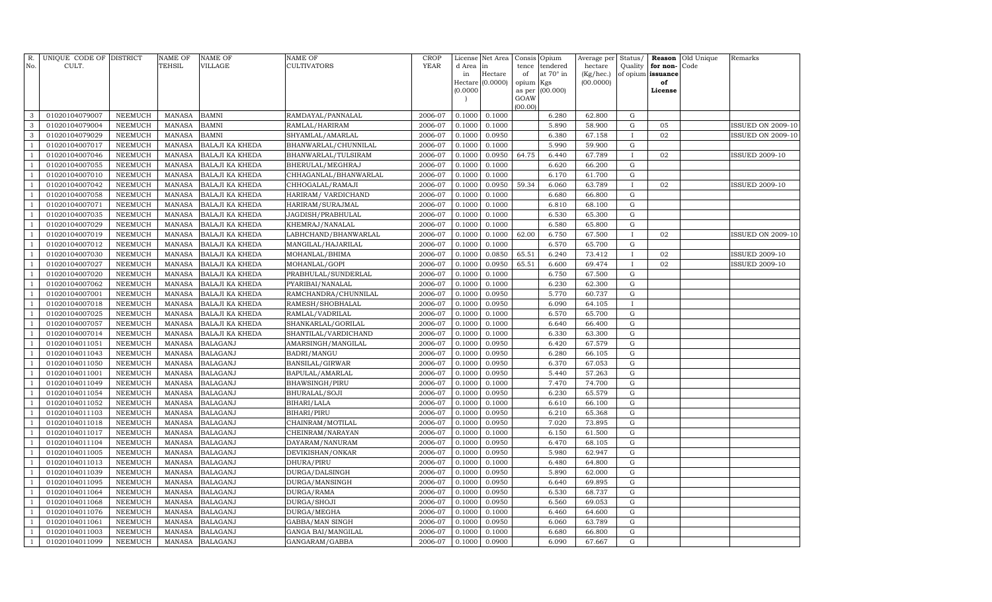| R.<br>No.                        | UNIQUE CODE OF DISTRICT<br>CULT. |                           | NAME OF<br><b>TEHSIL</b>       | <b>NAME OF</b><br>VILLAGE          | <b>NAME OF</b><br>CULTIVATORS       | CROP<br><b>YEAR</b> | License<br>d Area | Net Area<br>in   | Consis<br>tence | Opium<br>tendered | Average per<br>hectare | Status/<br>Quality | Reason<br>for non- | Old Unique<br>Code | Remarks                  |
|----------------------------------|----------------------------------|---------------------------|--------------------------------|------------------------------------|-------------------------------------|---------------------|-------------------|------------------|-----------------|-------------------|------------------------|--------------------|--------------------|--------------------|--------------------------|
|                                  |                                  |                           |                                |                                    |                                     |                     | in                | Hectare          | of              | at 70° in         | (Kg/hec.)              | of opium           | issuance           |                    |                          |
|                                  |                                  |                           |                                |                                    |                                     |                     |                   | Hectare (0.0000) | opium           | Kgs               | (00.0000)              |                    | of                 |                    |                          |
|                                  |                                  |                           |                                |                                    |                                     |                     | (0.0000)          |                  | as per          | (00.000)          |                        |                    | License            |                    |                          |
|                                  |                                  |                           |                                |                                    |                                     |                     |                   |                  | GOAW<br>(00.00) |                   |                        |                    |                    |                    |                          |
| 3                                | 01020104079007                   | <b>NEEMUCH</b>            | <b>MANASA</b>                  | <b>BAMNI</b>                       | RAMDAYAL/PANNALAL                   | 2006-07             | 0.1000            | 0.1000           |                 | 6.280             | 62.800                 | G                  |                    |                    |                          |
| 3                                | 01020104079004                   | <b>NEEMUCH</b>            | <b>MANASA</b>                  | <b>BAMNI</b>                       | RAMLAL/HARIRAM                      | 2006-07             | 0.1000            | 0.1000           |                 | 5.890             | 58.900                 | $\mathbf G$        | 05                 |                    | <b>ISSUED ON 2009-10</b> |
| 3                                | 01020104079029                   | NEEMUCH                   | MANASA                         | <b>BAMNI</b>                       | SHYAMLAL/AMARLAL                    | 2006-07             | 0.1000            | 0.0950           |                 | 6.380             | 67.158                 | $\mathbf{I}$       | 02                 |                    | <b>ISSUED ON 2009-10</b> |
| $\mathbf{1}$                     | 01020104007017                   | <b>NEEMUCH</b>            | MANASA                         | <b>BALAJI KA KHEDA</b>             | BHANWARLAL/CHUNNILAL                | 2006-07             | 0.1000            | 0.1000           |                 | 5.990             | 59.900                 | G                  |                    |                    |                          |
| $\mathbf{1}$                     | 01020104007046                   | <b>NEEMUCH</b>            | <b>MANASA</b>                  | <b>BALAJI KA KHEDA</b>             | BHANWARLAL/TULSIRAM                 | 2006-07             | 0.1000            | 0.0950           | 64.75           | 6.440             | 67.789                 | $\mathbf{I}$       | 02                 |                    | <b>ISSUED 2009-10</b>    |
| $\mathbf{1}$                     | 01020104007055                   | <b>NEEMUCH</b>            | MANASA                         | <b>BALAJI KA KHEDA</b>             | BHERULAL/MEGHRAJ                    | 2006-07             | 0.1000            | 0.1000           |                 | 6.620             | 66.200                 | G                  |                    |                    |                          |
| $\mathbf{1}$                     | 01020104007010                   | <b>NEEMUCH</b>            | MANASA                         | <b>BALAJI KA KHEDA</b>             | CHHAGANLAL/BHANWARLAL               | 2006-07             | 0.1000            | 0.1000           |                 | 6.170             | 61.700                 | G                  |                    |                    |                          |
| <sup>1</sup>                     | 01020104007042                   | <b>NEEMUCH</b>            | MANASA                         | <b>BALAJI KA KHEDA</b>             | CHHOGALAL/RAMAJI                    | 2006-07             | 0.1000            | 0.0950           | 59.34           | 6.060             | 63.789                 | $\mathbf{I}$       | 02                 |                    | <b>ISSUED 2009-10</b>    |
| $\mathbf{1}$                     | 01020104007058                   | <b>NEEMUCH</b>            | <b>MANASA</b>                  | <b>BALAJI KA KHEDA</b>             | HARIRAM / VARDICHAND                | 2006-07             | 0.1000            | 0.1000           |                 | 6.680             | 66.800                 | G                  |                    |                    |                          |
| $\mathbf{1}$                     | 01020104007071                   | <b>NEEMUCH</b>            | MANASA                         | <b>BALAJI KA KHEDA</b>             | HARIRAM/SURAJMAL                    | 2006-07             | 0.1000            | 0.1000           |                 | 6.810             | 68.100                 | G                  |                    |                    |                          |
| $\mathbf{1}$                     | 01020104007035                   | <b>NEEMUCH</b>            | <b>MANASA</b>                  | <b>BALAJI KA KHEDA</b>             | JAGDISH/PRABHULAL                   | 2006-07             | 0.1000            | 0.1000           |                 | 6.530             | 65.300                 | $\mathbf G$        |                    |                    |                          |
| $\mathbf{1}$                     | 01020104007029                   | <b>NEEMUCH</b>            | <b>MANASA</b>                  | BALAJI KA KHEDA                    | KHEMRAJ/NANALAL                     | 2006-07             | 0.1000            | 0.1000           |                 | 6.580             | 65.800                 | $\mathbf G$        |                    |                    |                          |
| $\mathbf{1}$                     | 01020104007019                   | <b>NEEMUCH</b>            | <b>MANASA</b>                  | <b>BALAJI KA KHEDA</b>             | LABHCHAND/BHANWARLAL                | 2006-07             | 0.1000            | 0.1000           | 62.00           | 6.750             | 67.500                 | $\mathbf{I}$       | 02                 |                    | <b>ISSUED ON 2009-10</b> |
| $\mathbf{1}$                     | 01020104007012                   | <b>NEEMUCH</b>            | MANASA                         | <b>BALAJI KA KHEDA</b>             | MANGILAL/HAJARILAL                  | 2006-07             | 0.1000            | 0.1000           |                 | 6.570             | 65.700                 | G                  |                    |                    |                          |
| $\mathbf{1}$                     | 01020104007030                   | <b>NEEMUCH</b>            | <b>MANASA</b>                  | <b>BALAJI KA KHEDA</b>             | MOHANLAL/BHIMA                      | 2006-07             | 0.1000            | 0.0850           | 65.51           | 6.240             | 73.412                 | $\mathbf{I}$       | 02                 |                    | <b>ISSUED 2009-10</b>    |
| $\mathbf{1}$                     | 01020104007027                   | <b>NEEMUCH</b>            | MANASA                         | <b>BALAJI KA KHEDA</b>             | MOHANLAL/GOPI                       | 2006-07             | 0.1000            | 0.0950           | 65.51           | 6.600             | 69.474                 | $\mathbf{I}$       | 02                 |                    | <b>ISSUED 2009-10</b>    |
| $\mathbf{1}$                     | 01020104007020                   | <b>NEEMUCH</b>            | <b>MANASA</b>                  | <b>BALAJI KA KHEDA</b>             | PRABHULAL/SUNDERLAL                 | 2006-07             | 0.1000            | 0.1000           |                 | 6.750             | 67.500                 | $\mathbf G$        |                    |                    |                          |
| $\mathbf{1}$                     | 01020104007062                   | <b>NEEMUCH</b>            | <b>MANASA</b>                  | <b>BALAJI KA KHEDA</b>             | PYARIBAI/NANALAL                    | 2006-07             | 0.1000            | 0.1000           |                 | 6.230             | 62.300                 | $\mathbf G$        |                    |                    |                          |
| $\mathbf{1}$                     | 01020104007001                   | <b>NEEMUCH</b>            | <b>MANASA</b>                  | BALAJI KA KHEDA                    | RAMCHANDRA/CHUNNILAL                | 2006-07             | 0.1000            | 0.0950           |                 | 5.770             | 60.737                 | $\mathbf G$        |                    |                    |                          |
| <sup>1</sup>                     | 01020104007018                   | <b>NEEMUCH</b>            | <b>MANASA</b>                  | BALAJI KA KHEDA                    | RAMESH/SHOBHALAL                    | 2006-07             | 0.1000            | 0.0950           |                 | 6.090             | 64.105                 | $\mathbf{I}$       |                    |                    |                          |
| $\mathbf{1}$                     | 01020104007025                   | <b>NEEMUCH</b>            | <b>MANASA</b>                  | BALAJI KA KHEDA                    | RAMLAL/VADRILAL                     | 2006-07             | 0.1000            | 0.1000           |                 | 6.570             | 65.700                 | G                  |                    |                    |                          |
| $\mathbf{1}$                     | 01020104007057                   | <b>NEEMUCH</b>            | <b>MANASA</b>                  | <b>BALAJI KA KHEDA</b>             | SHANKARLAL/GORILAL                  | 2006-07             | 0.1000            | 0.1000           |                 | 6.640             | 66.400                 | $\mathbf G$        |                    |                    |                          |
| $\mathbf{1}$                     | 01020104007014                   | NEEMUCH                   | <b>MANASA</b>                  | BALAJI KA KHEDA                    | SHANTILAL/VARDICHAND                | 2006-07             | 0.1000            | 0.1000           |                 | 6.330             | 63.300                 | ${\rm G}$          |                    |                    |                          |
| $\mathbf{1}$                     | 01020104011051                   | <b>NEEMUCH</b>            | <b>MANASA</b>                  | <b>BALAGANJ</b>                    | AMARSINGH/MANGILAL                  | 2006-07             | 0.1000            | 0.0950           |                 | 6.420             | 67.579                 | $\mathbf G$        |                    |                    |                          |
| $\mathbf{1}$                     | 01020104011043                   | <b>NEEMUCH</b>            | <b>MANASA</b>                  | <b>BALAGANJ</b>                    | BADRI/MANGU                         | 2006-07             | 0.1000            | 0.0950           |                 | 6.280             | 66.105                 | $\mathbf G$        |                    |                    |                          |
| $\mathbf{1}$                     | 01020104011050                   | <b>NEEMUCH</b>            | <b>MANASA</b>                  | <b>BALAGANJ</b>                    | BANSILAL/GIRWAR                     | 2006-07             | 0.1000            | 0.0950           |                 | 6.370             | 67.053                 | ${\rm G}$          |                    |                    |                          |
| $\mathbf{1}$                     | 01020104011001                   | <b>NEEMUCH</b>            | <b>MANASA</b>                  | <b>BALAGANJ</b>                    | BAPULAL/AMARLAL                     | 2006-07             | 0.1000            | 0.0950           |                 | 5.440             | 57.263                 | ${\rm G}$          |                    |                    |                          |
| $\mathbf{1}$                     | 01020104011049                   | <b>NEEMUCH</b>            | <b>MANASA</b>                  | <b>BALAGANJ</b>                    | BHAWSINGH/PIRU                      | 2006-07             | 0.1000            | 0.1000           |                 | 7.470             | 74.700                 | G                  |                    |                    |                          |
| $\overline{1}$<br>$\overline{1}$ | 01020104011054                   | <b>NEEMUCH</b>            | <b>MANASA</b>                  | <b>BALAGANJ</b>                    | BHURALAL/SOJI                       | 2006-07             | 0.1000            | 0.0950           |                 | 6.230             | 65.579                 | ${\rm G}$          |                    |                    |                          |
| $\overline{1}$                   | 01020104011052                   | NEEMUCH                   | MANASA                         | <b>BALAGANJ</b>                    | BIHARI/LALA                         | 2006-07             | 0.1000            | 0.1000           |                 | 6.610<br>6.210    | 66.100                 | ${\rm G}$          |                    |                    |                          |
| $\mathbf{1}$                     | 01020104011103<br>01020104011018 | NEEMUCH<br><b>NEEMUCH</b> | <b>MANASA</b><br><b>MANASA</b> | <b>BALAGANJ</b><br><b>BALAGANJ</b> | BIHARI/PIRU                         | 2006-07<br>2006-07  | 0.1000<br>0.1000  | 0.0950<br>0.0950 |                 | 7.020             | 65.368<br>73.895       | G<br>$\mathbf G$   |                    |                    |                          |
| $\overline{1}$                   |                                  |                           |                                |                                    | CHAINRAM/MOTILAL                    |                     |                   |                  |                 | 6.150             | 61.500                 | G                  |                    |                    |                          |
| $\mathbf{1}$                     | 01020104011017<br>01020104011104 | NEEMUCH<br><b>NEEMUCH</b> | MANASA<br><b>MANASA</b>        | <b>BALAGANJ</b><br><b>BALAGANJ</b> | CHEINRAM/NARAYAN<br>DAYARAM/NANURAM | 2006-07<br>2006-07  | 0.1000<br>0.1000  | 0.1000<br>0.0950 |                 | 6.470             | 68.105                 | G                  |                    |                    |                          |
| $\overline{1}$                   | 01020104011005                   | <b>NEEMUCH</b>            | <b>MANASA</b>                  | <b>BALAGANJ</b>                    | DEVIKISHAN/ONKAR                    | 2006-07             | 0.1000            | 0.0950           |                 | 5.980             | 62.947                 | $\mathbf G$        |                    |                    |                          |
| $\overline{1}$                   | 01020104011013                   | <b>NEEMUCH</b>            | <b>MANASA</b>                  | <b>BALAGANJ</b>                    | DHURA/PIRU                          | 2006-07             | 0.1000            | 0.1000           |                 | 6.480             | 64.800                 | G                  |                    |                    |                          |
| $\overline{1}$                   | 01020104011039                   | <b>NEEMUCH</b>            | <b>MANASA</b>                  | <b>BALAGANJ</b>                    | DURGA/DALSINGH                      | 2006-07             | 0.1000            | 0.0950           |                 | 5.890             | 62.000                 | $\mathbf G$        |                    |                    |                          |
| $\mathbf{1}$                     | 01020104011095                   | <b>NEEMUCH</b>            | <b>MANASA</b>                  | <b>BALAGANJ</b>                    | DURGA/MANSINGH                      | 2006-07             | 0.1000            | 0.0950           |                 | 6.640             | 69.895                 | G                  |                    |                    |                          |
| $\mathbf{1}$                     | 01020104011064                   | <b>NEEMUCH</b>            | <b>MANASA</b>                  | <b>BALAGANJ</b>                    | DURGA/RAMA                          | 2006-07             | 0.1000            | 0.0950           |                 | 6.530             | 68.737                 | $\mathbf G$        |                    |                    |                          |
|                                  | 01020104011068                   | <b>NEEMUCH</b>            | <b>MANASA</b>                  | <b>BALAGANJ</b>                    | DURGA/SHOJI                         | 2006-07             | 0.1000            | 0.0950           |                 | 6.560             | 69.053                 | $\mathbf G$        |                    |                    |                          |
| $\mathbf{1}$                     | 01020104011076                   | NEEMUCH                   | MANASA                         | <b>BALAGANJ</b>                    | DURGA/MEGHA                         | 2006-07             | 0.1000            | 0.1000           |                 | 6.460             | 64.600                 | G                  |                    |                    |                          |
| $\mathbf{1}$                     | 01020104011061                   | <b>NEEMUCH</b>            | <b>MANASA</b>                  | <b>BALAGANJ</b>                    | GABBA/MAN SINGH                     | 2006-07             | 0.1000            | 0.0950           |                 | 6.060             | 63.789                 | G                  |                    |                    |                          |
|                                  | 01020104011003                   | <b>NEEMUCH</b>            | <b>MANASA</b>                  | <b>BALAGANJ</b>                    | GANGA BAI/MANGILAL                  | 2006-07             | 0.1000            | 0.1000           |                 | 6.680             | 66.800                 | G                  |                    |                    |                          |
| $\mathbf{1}$                     | 01020104011099                   | <b>NEEMUCH</b>            | MANASA                         | <b>BALAGANJ</b>                    | GANGARAM/GABBA                      | 2006-07             | 0.1000            | 0.0900           |                 | 6.090             | 67.667                 | G                  |                    |                    |                          |
|                                  |                                  |                           |                                |                                    |                                     |                     |                   |                  |                 |                   |                        |                    |                    |                    |                          |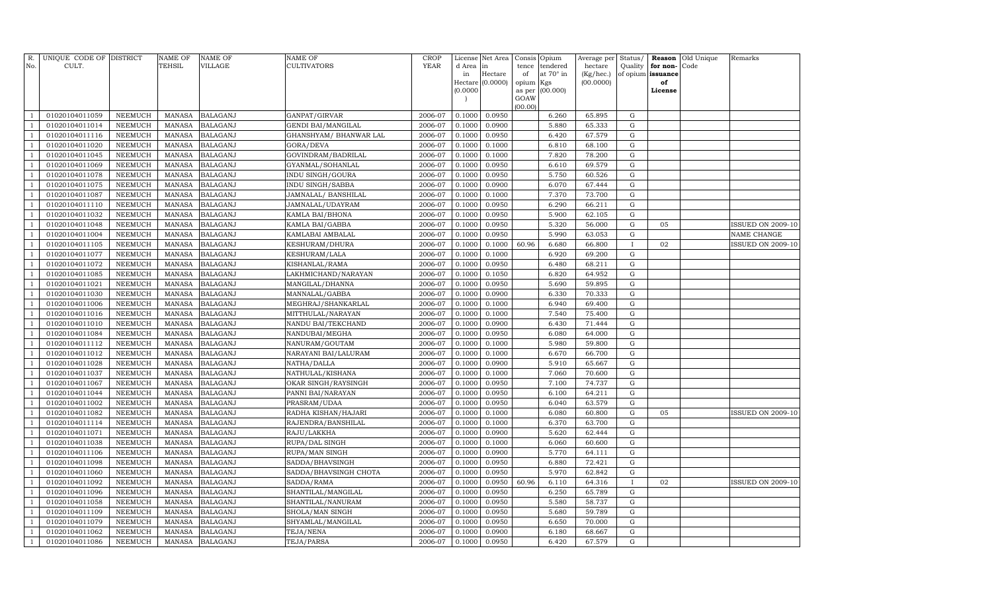| R.<br>No.      | UNIQUE CODE OF DISTRICT<br>CULT. |                | <b>NAME OF</b><br>TEHSIL | <b>NAME OF</b><br>VILLAGE | NAME OF<br>CULTIVATORS    | <b>CROP</b><br><b>YEAR</b> | d Area in | License Net Area | Consis<br>tence | Opium<br>tendered | Average per<br>hectare | Status/<br>Quality | for non-          | Reason Old Unique<br>Code | Remarks                  |
|----------------|----------------------------------|----------------|--------------------------|---------------------------|---------------------------|----------------------------|-----------|------------------|-----------------|-------------------|------------------------|--------------------|-------------------|---------------------------|--------------------------|
|                |                                  |                |                          |                           |                           |                            | in        | Hectare          | of              | at 70° in         | (Kg/hec.)              |                    | of opium issuance |                           |                          |
|                |                                  |                |                          |                           |                           |                            |           | Hectare (0.0000) | opium Kgs       |                   | (00.0000)              |                    | of                |                           |                          |
|                |                                  |                |                          |                           |                           |                            | (0.0000)  |                  | as per          | (00.000)          |                        |                    | License           |                           |                          |
|                |                                  |                |                          |                           |                           |                            |           |                  | GOAW<br>(00.00) |                   |                        |                    |                   |                           |                          |
| $\mathbf{1}$   | 01020104011059                   | NEEMUCH        | MANASA                   | <b>BALAGANJ</b>           | GANPAT/GIRVAR             | 2006-07                    | 0.1000    | 0.0950           |                 | 6.260             | 65.895                 | G                  |                   |                           |                          |
| $\mathbf{1}$   | 01020104011014                   | NEEMUCH        | <b>MANASA</b>            | <b>BALAGANJ</b>           | <b>GENDI BAI/MANGILAL</b> | 2006-07                    | 0.1000    | 0.0900           |                 | 5.880             | 65.333                 | G                  |                   |                           |                          |
| $\mathbf{1}$   | 01020104011116                   | NEEMUCH        | MANASA                   | <b>BALAGANJ</b>           | GHANSHYAM / BHANWAR LAL   | 2006-07                    | 0.1000    | 0.0950           |                 | 6.420             | 67.579                 | G                  |                   |                           |                          |
| $\mathbf{1}$   | 01020104011020                   | NEEMUCH        | <b>MANASA</b>            | <b>BALAGANJ</b>           | GORA/DEVA                 | 2006-07                    | 0.1000    | 0.1000           |                 | 6.810             | 68.100                 | G                  |                   |                           |                          |
| $\mathbf{1}$   | 01020104011045                   | <b>NEEMUCH</b> | <b>MANASA</b>            | <b>BALAGANJ</b>           | GOVINDRAM/BADRILAL        | 2006-07                    | 0.1000    | 0.1000           |                 | 7.820             | 78.200                 | G                  |                   |                           |                          |
| $\mathbf{1}$   | 01020104011069                   | <b>NEEMUCH</b> | <b>MANASA</b>            | <b>BALAGANJ</b>           | GYANMAL/SOHANLAL          | 2006-07                    | 0.1000    | 0.0950           |                 | 6.610             | 69.579                 | G                  |                   |                           |                          |
| $\mathbf{1}$   | 01020104011078                   | <b>NEEMUCH</b> | <b>MANASA</b>            | <b>BALAGANJ</b>           | INDU SINGH/GOURA          | 2006-07                    | 0.1000    | 0.0950           |                 | 5.750             | 60.526                 | $\mathbf G$        |                   |                           |                          |
| $\mathbf{1}$   | 01020104011075                   | <b>NEEMUCH</b> | <b>MANASA</b>            | <b>BALAGANJ</b>           | INDU SINGH/SABBA          | 2006-07                    | 0.1000    | 0.0900           |                 | 6.070             | 67.444                 | G                  |                   |                           |                          |
| $\mathbf{1}$   | 01020104011087                   | <b>NEEMUCH</b> | <b>MANASA</b>            | <b>BALAGANJ</b>           | JAMNALAL/ BANSHILAL       | 2006-07                    | 0.1000    | 0.1000           |                 | 7.370             | 73.700                 | $\mathbf G$        |                   |                           |                          |
| $\mathbf{1}$   | 01020104011110                   | <b>NEEMUCH</b> | <b>MANASA</b>            | <b>BALAGANJ</b>           | JAMNALAL/UDAYRAM          | 2006-07                    | 0.1000    | 0.0950           |                 | 6.290             | 66.211                 | G                  |                   |                           |                          |
| $\mathbf{1}$   | 01020104011032                   | <b>NEEMUCH</b> | <b>MANASA</b>            | <b>BALAGANJ</b>           | KAMLA BAI/BHONA           | 2006-07                    | 0.1000    | 0.0950           |                 | 5.900             | 62.105                 | G                  |                   |                           |                          |
| $\mathbf{1}$   | 01020104011048                   | <b>NEEMUCH</b> | <b>MANASA</b>            | <b>BALAGANJ</b>           | KAMLA BAI/GABBA           | 2006-07                    | 0.1000    | 0.0950           |                 | 5.320             | 56.000                 | G                  | 05                |                           | ISSUED ON 2009-10        |
| $\overline{1}$ | 01020104011004                   | NEEMUCH        | <b>MANASA</b>            | <b>BALAGANJ</b>           | KAMLABAI AMBALAL          | 2006-07                    | 0.1000    | 0.0950           |                 | 5.990             | 63.053                 | G                  |                   |                           | NAME CHANGE              |
| $\mathbf{1}$   | 01020104011105                   | <b>NEEMUCH</b> | <b>MANASA</b>            | <b>BALAGANJ</b>           | KESHURAM/DHURA            | 2006-07                    | 0.1000    | 0.1000           | 60.96           | 6.680             | 66.800                 | $\mathbf I$        | 02                |                           | ISSUED ON 2009-10        |
| 1              | 01020104011077                   | <b>NEEMUCH</b> | <b>MANASA</b>            | <b>BALAGANJ</b>           | KESHURAM/LALA             | 2006-07                    | 0.1000    | 0.1000           |                 | 6.920             | 69.200                 | $\mathbf G$        |                   |                           |                          |
| $\mathbf{1}$   | 01020104011072                   | <b>NEEMUCH</b> | <b>MANASA</b>            | <b>BALAGANJ</b>           | KISHANLAL/RAMA            | 2006-07                    | 0.1000    | 0.0950           |                 | 6.480             | 68.211                 | G                  |                   |                           |                          |
| $\mathbf{1}$   | 01020104011085                   | <b>NEEMUCH</b> | <b>MANASA</b>            | <b>BALAGANJ</b>           | LAKHMICHAND/NARAYAN       | 2006-07                    | 0.1000    | 0.1050           |                 | 6.820             | 64.952                 | $\mathbf G$        |                   |                           |                          |
| $\mathbf{1}$   | 01020104011021                   | NEEMUCH        | <b>MANASA</b>            | <b>BALAGANJ</b>           | MANGILAL/DHANNA           | 2006-07                    | 0.1000    | 0.0950           |                 | 5.690             | 59.895                 | G                  |                   |                           |                          |
| $\mathbf{1}$   | 01020104011030                   | NEEMUCH        | <b>MANASA</b>            | <b>BALAGANJ</b>           | MANNALAL/GABBA            | 2006-07                    | 0.1000    | 0.0900           |                 | 6.330             | 70.333                 | $\mathbf G$        |                   |                           |                          |
| $\mathbf{1}$   | 01020104011006                   | NEEMUCH        | <b>MANASA</b>            | <b>BALAGANJ</b>           | MEGHRAJ/SHANKARLAL        | 2006-07                    | 0.1000    | 0.1000           |                 | 6.940             | 69.400                 | G                  |                   |                           |                          |
| $\overline{1}$ | 01020104011016                   | <b>NEEMUCH</b> | <b>MANASA</b>            | <b>BALAGANJ</b>           | MITTHULAL/NARAYAN         | 2006-07                    | 0.1000    | 0.1000           |                 | 7.540             | 75.400                 | G                  |                   |                           |                          |
| $\mathbf{1}$   | 01020104011010                   | <b>NEEMUCH</b> | <b>MANASA</b>            | <b>BALAGANJ</b>           | NANDU BAI/TEKCHAND        | 2006-07                    | 0.1000    | 0.0900           |                 | 6.430             | 71.444                 | G                  |                   |                           |                          |
| 1              | 01020104011084                   | <b>NEEMUCH</b> | <b>MANASA</b>            | <b>BALAGANJ</b>           | NANDUBAI/MEGHA            | 2006-07                    | 0.1000    | 0.0950           |                 | 6.080             | 64.000                 | $\mathbf G$        |                   |                           |                          |
| $\mathbf{1}$   | 01020104011112                   | <b>NEEMUCH</b> | <b>MANASA</b>            | <b>BALAGANJ</b>           | NANURAM/GOUTAM            | 2006-07                    | 0.1000    | 0.1000           |                 | 5.980             | 59.800                 | G                  |                   |                           |                          |
| $\mathbf{1}$   | 01020104011012                   | <b>NEEMUCH</b> | <b>MANASA</b>            | <b>BALAGANJ</b>           | NARAYANI BAI/LALURAM      | 2006-07                    | 0.1000    | 0.1000           |                 | 6.670             | 66.700                 | $\mathbf G$        |                   |                           |                          |
| $\mathbf{1}$   | 01020104011028                   | NEEMUCH        | <b>MANASA</b>            | <b>BALAGANJ</b>           | NATHA/DALLA               | 2006-07                    | 0.1000    | 0.0900           |                 | 5.910             | 65.667                 | G                  |                   |                           |                          |
| $\mathbf{1}$   | 01020104011037                   | NEEMUCH        | <b>MANASA</b>            | <b>BALAGANJ</b>           | NATHULAL/KISHANA          | 2006-07                    | 0.1000    | 0.1000           |                 | 7.060             | 70.600                 | ${\rm G}$          |                   |                           |                          |
| $\mathbf{1}$   | 01020104011067                   | NEEMUCH        | <b>MANASA</b>            | <b>BALAGANJ</b>           | OKAR SINGH/RAYSINGH       | 2006-07                    | 0.1000    | 0.0950           |                 | 7.100             | 74.737                 | G                  |                   |                           |                          |
| $\overline{1}$ | 01020104011044                   | NEEMUCH        | <b>MANASA</b>            | <b>BALAGANJ</b>           | PANNI BAI/NARAYAN         | 2006-07                    | 0.1000    | 0.0950           |                 | 6.100             | 64.211                 | G                  |                   |                           |                          |
| $\mathbf{1}$   | 01020104011002                   | <b>NEEMUCH</b> | <b>MANASA</b>            | <b>BALAGANJ</b>           | PRASRAM/UDAA              | 2006-07                    | 0.1000    | 0.0950           |                 | 6.040             | 63.579                 | G                  |                   |                           |                          |
| $\mathbf{1}$   | 01020104011082                   | <b>NEEMUCH</b> | <b>MANASA</b>            | <b>BALAGANJ</b>           | RADHA KISHAN/HAJARI       | 2006-07                    | 0.1000    | 0.1000           |                 | 6.080             | 60.800                 | $\mathbf G$        | 05                |                           | <b>ISSUED ON 2009-10</b> |
| $\mathbf{1}$   | 01020104011114                   | <b>NEEMUCH</b> | <b>MANASA</b>            | <b>BALAGANJ</b>           | RAJENDRA/BANSHILAL        | 2006-07                    | 0.1000    | 0.1000           |                 | 6.370             | 63.700                 | $\mathbf G$        |                   |                           |                          |
| $\mathbf{1}$   | 01020104011071                   | NEEMUCH        | <b>MANASA</b>            | <b>BALAGANJ</b>           | RAJU/LAKKHA               | 2006-07                    | 0.1000    | 0.0900           |                 | 5.620             | 62.444                 | G                  |                   |                           |                          |
| $\mathbf{1}$   | 01020104011038                   | NEEMUCH        | <b>MANASA</b>            | <b>BALAGANJ</b>           | RUPA/DAL SINGH            | 2006-07                    | 0.1000    | 0.1000           |                 | 6.060             | 60.600                 | G                  |                   |                           |                          |
| $\mathbf{1}$   | 01020104011106                   | NEEMUCH        | <b>MANASA</b>            | <b>BALAGANJ</b>           | RUPA/MAN SINGH            | 2006-07                    | 0.1000    | 0.0900           |                 | 5.770             | 64.111                 | ${\rm G}$          |                   |                           |                          |
| $\mathbf{1}$   | 01020104011098                   | NEEMUCH        | <b>MANASA</b>            | <b>BALAGANJ</b>           | SADDA/BHAVSINGH           | 2006-07                    | 0.1000    | 0.0950           |                 | 6.880             | 72.421                 | G                  |                   |                           |                          |
| $\overline{1}$ | 01020104011060                   | NEEMUCH        | <b>MANASA</b>            | <b>BALAGANJ</b>           | SADDA/BHAVSINGH CHOTA     | 2006-07                    | 0.1000    | 0.0950           |                 | 5.970             | 62.842                 | ${\rm G}$          |                   |                           |                          |
| $\mathbf{1}$   | 01020104011092                   | <b>NEEMUCH</b> | <b>MANASA</b>            | <b>BALAGANJ</b>           | SADDA/RAMA                | 2006-07                    | 0.1000    | 0.0950           | 60.96           | 6.110             | 64.316                 | $\mathbf{I}$       | 02                |                           | ISSUED ON 2009-10        |
| $\mathbf{1}$   | 01020104011096                   | <b>NEEMUCH</b> | <b>MANASA</b>            | <b>BALAGANJ</b>           | SHANTILAL/MANGILAL        | 2006-07                    | 0.1000    | 0.0950           |                 | 6.250             | 65.789                 | $\mathbf G$        |                   |                           |                          |
| $\mathbf{1}$   | 01020104011058                   | <b>NEEMUCH</b> | <b>MANASA</b>            | <b>BALAGANJ</b>           | SHANTILAL/NANURAM         | 2006-07                    | 0.1000    | 0.0950           |                 | 5.580             | 58.737                 | $\mathbf G$        |                   |                           |                          |
| $\mathbf{1}$   | 01020104011109                   | NEEMUCH        | <b>MANASA</b>            | <b>BALAGANJ</b>           | SHOLA/MAN SINGH           | 2006-07                    | 0.1000    | 0.0950           |                 | 5.680             | 59.789                 | G                  |                   |                           |                          |
| $\mathbf{1}$   | 01020104011079                   | <b>NEEMUCH</b> | <b>MANASA</b>            | <b>BALAGANJ</b>           | SHYAMLAL/MANGILAL         | 2006-07                    | 0.1000    | 0.0950           |                 | 6.650             | 70.000                 | G                  |                   |                           |                          |
| $\mathbf{1}$   | 01020104011062                   | NEEMUCH        | <b>MANASA</b>            | <b>BALAGANJ</b>           | TEJA/NENA                 | 2006-07                    | 0.1000    | 0.0900           |                 | 6.180             | 68.667                 | G                  |                   |                           |                          |
| $\mathbf{1}$   | 01020104011086                   | NEEMUCH        | MANASA                   | <b>BALAGANJ</b>           | TEJA/PARSA                | 2006-07                    | 0.1000    | 0.0950           |                 | 6.420             | 67.579                 | $\mathbf G$        |                   |                           |                          |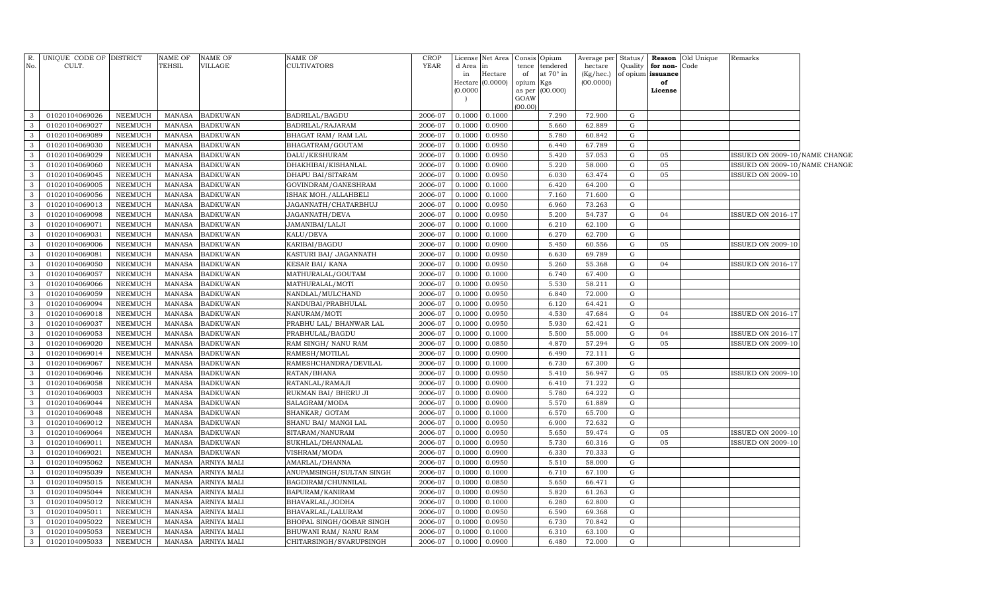| R.                | UNIQUE CODE OF DISTRICT          |                    | <b>NAME OF</b>                 | <b>NAME OF</b>                    | <b>NAME OF</b>                        | <b>CROP</b>        | License          | Net Area         | Consis      | Opium                 | Average per          | Status/          | Reason                        | Old Unique | Remarks                       |  |
|-------------------|----------------------------------|--------------------|--------------------------------|-----------------------------------|---------------------------------------|--------------------|------------------|------------------|-------------|-----------------------|----------------------|------------------|-------------------------------|------------|-------------------------------|--|
| No.               | CULT.                            |                    | TEHSIL                         | VILLAGE                           | <b>CULTIVATORS</b>                    | <b>YEAR</b>        | d Area<br>in     | $\ln$<br>Hectare | tence<br>of | tendered<br>at 70° in | hectare<br>(Kg/hec.) | Quality          | for non-<br>of opium issuance | Code       |                               |  |
|                   |                                  |                    |                                |                                   |                                       |                    | Hectare          | (0.0000)         | opium       | Kgs                   | (00.0000)            |                  | of                            |            |                               |  |
|                   |                                  |                    |                                |                                   |                                       |                    | (0.0000)         |                  | as per      | (00.000)              |                      |                  | License                       |            |                               |  |
|                   |                                  |                    |                                |                                   |                                       |                    |                  |                  | GOAW        |                       |                      |                  |                               |            |                               |  |
| 3                 | 01020104069026                   | NEEMUCH            | MANASA                         | <b>BADKUWAN</b>                   | BADRILAL/BAGDU                        | 2006-07            | 0.1000           | 0.1000           | (00.00)     | 7.290                 | 72.900               | G                |                               |            |                               |  |
| 3                 | 01020104069027                   | NEEMUCH            | <b>MANASA</b>                  | <b>BADKUWAN</b>                   | BADRILAL/RAJARAM                      | 2006-07            | 0.1000           | 0.0900           |             | 5.660                 | 62.889               | G                |                               |            |                               |  |
| 3                 | 01020104069089                   | NEEMUCH            | <b>MANASA</b>                  | <b>BADKUWAN</b>                   | BHAGAT RAM / RAM LAL                  | 2006-07            | 0.1000           | 0.0950           |             | 5.780                 | 60.842               | G                |                               |            |                               |  |
| 3                 | 01020104069030                   | NEEMUCH            | <b>MANASA</b>                  | <b>BADKUWAN</b>                   | BHAGATRAM/GOUTAM                      | 2006-07            | 0.1000           | 0.0950           |             | 6.440                 | 67.789               | G                |                               |            |                               |  |
| 3                 | 01020104069029                   | NEEMUCH            | <b>MANASA</b>                  | <b>BADKUWAN</b>                   | DALU/KESHURAM                         | 2006-07            | 0.1000           | 0.0950           |             | 5.420                 | 57.053               | G                | 05                            |            | ISSUED ON 2009-10/NAME CHANGE |  |
| 3                 | 01020104069060                   | <b>NEEMUCH</b>     | <b>MANASA</b>                  | <b>BADKUWAN</b>                   | DHAKHIBAI/KISHANLAL                   | 2006-07            | 0.1000           | 0.0900           |             | 5.220                 | 58.000               | G                | 05                            |            | ISSUED ON 2009-10/NAME CHANGE |  |
| $\mathbf{3}$      | 01020104069045                   | <b>NEEMUCH</b>     | <b>MANASA</b>                  | <b>BADKUWAN</b>                   | DHAPU BAI/SITARAM                     | 2006-07            | 0.1000           | 0.0950           |             | 6.030                 | 63.474               | G                | 05                            |            | <b>ISSUED ON 2009-10</b>      |  |
| $\mathbf{3}$      | 01020104069005                   | <b>NEEMUCH</b>     | MANASA                         | <b>BADKUWAN</b>                   | GOVINDRAM/GANESHRAM                   | 2006-07            | 0.1000           | 0.1000           |             | 6.420                 | 64.200               | G                |                               |            |                               |  |
| $\mathbf{3}$      | 01020104069056                   | NEEMUCH            | <b>MANASA</b>                  | <b>BADKUWAN</b>                   | ISHAK MOH./ALLAHBELI                  | 2006-07            | 0.1000           | 0.1000           |             | 7.160                 | 71.600               | G                |                               |            |                               |  |
| $\mathbf{3}$      | 01020104069013                   | <b>NEEMUCH</b>     | <b>MANASA</b>                  | <b>BADKUWAN</b>                   | JAGANNATH/CHATARBHUJ                  | 2006-07            | 0.1000           | 0.0950           |             | 6.960                 | 73.263               | G                |                               |            |                               |  |
| $\mathbf{3}$      | 01020104069098                   | NEEMUCH            | <b>MANASA</b>                  | <b>BADKUWAN</b>                   | JAGANNATH/DEVA                        | 2006-07            | 0.1000           | 0.0950           |             | 5.200                 | 54.737               | G                | 04                            |            | <b>ISSUED ON 2016-17</b>      |  |
| 3                 | 01020104069071                   | NEEMUCH            | MANASA                         | <b>BADKUWAN</b>                   | JAMANIBAI/LALJI                       | 2006-07            | 0.1000           | 0.1000           |             | 6.210                 | 62.100               | G                |                               |            |                               |  |
| 3                 | 01020104069031                   | <b>NEEMUCH</b>     | <b>MANASA</b>                  | <b>BADKUWAN</b>                   | KALU/DEVA                             | 2006-07            | 0.1000           | 0.1000           |             | 6.270                 | 62.700               | G                |                               |            |                               |  |
| 3                 | 01020104069006                   | <b>NEEMUCH</b>     | <b>MANASA</b>                  | <b>BADKUWAN</b>                   | KARIBAI/BAGDU                         | 2006-07            | 0.1000           | 0.0900           |             | 5.450                 | 60.556               | G                | 05                            |            | <b>ISSUED ON 2009-10</b>      |  |
| $\mathbf{3}$      | 01020104069081                   | <b>NEEMUCH</b>     | MANASA                         | <b>BADKUWAN</b>                   | KASTURI BAI/ JAGANNATH                | 2006-07            | 0.1000           | 0.0950           |             | 6.630                 | 69.789               | G                |                               |            |                               |  |
| $\mathbf{3}$      | 01020104069050                   | <b>NEEMUCH</b>     | <b>MANASA</b>                  | <b>BADKUWAN</b>                   | <b>KESAR BAI/ KANA</b>                | 2006-07            | 0.1000           | 0.0950           |             | 5.260                 | 55.368               | G                | 04                            |            | <b>ISSUED ON 2016-17</b>      |  |
| $\mathbf{3}$      | 01020104069057                   | <b>NEEMUCH</b>     | <b>MANASA</b>                  | <b>BADKUWAN</b>                   | MATHURALAL/GOUTAM                     | 2006-07            | 0.1000           | 0.1000           |             | 6.740                 | 67.400               | G                |                               |            |                               |  |
| $\mathbf{3}$      | 01020104069066                   | NEEMUCH            | <b>MANASA</b>                  | <b>BADKUWAN</b>                   | MATHURALAL/MOTI                       | 2006-07            | 0.1000           | 0.0950           |             | 5.530                 | 58.211               | G                |                               |            |                               |  |
| 3                 | 01020104069059                   | NEEMUCH            | <b>MANASA</b>                  | <b>BADKUWAN</b>                   | NANDLAL/MULCHAND                      | 2006-07            | 0.1000           | 0.0950           |             | 6.840                 | 72.000               | G                |                               |            |                               |  |
| $\mathbf{3}$      | 01020104069094                   | NEEMUCH            | <b>MANASA</b>                  | <b>BADKUWAN</b>                   | NANDUBAI/PRABHULAL                    | 2006-07            | 0.1000           | 0.0950           |             | 6.120                 | 64.421               | G                |                               |            |                               |  |
| $\mathbf{3}$      | 01020104069018                   | NEEMUCH            | <b>MANASA</b>                  | <b>BADKUWAN</b>                   | NANURAM/MOTI                          | 2006-07            | 0.1000           | 0.0950           |             | 4.530                 | 47.684               | G                | 04                            |            | <b>ISSUED ON 2016-17</b>      |  |
| 3                 | 01020104069037                   | NEEMUCH            | <b>MANASA</b>                  | <b>BADKUWAN</b>                   | PRABHU LAL/ BHANWAR LAL               | 2006-07            | 0.1000           | 0.0950           |             | 5.930                 | 62.421               | G                |                               |            |                               |  |
| 3                 | 01020104069053                   | <b>NEEMUCH</b>     | <b>MANASA</b>                  | <b>BADKUWAN</b>                   | PRABHULAL/BAGDU                       | 2006-07            | 0.1000           | 0.1000           |             | 5.500                 | 55.000               | G                | 04                            |            | <b>ISSUED ON 2016-17</b>      |  |
| $\mathbf{3}$      | 01020104069020                   | <b>NEEMUCH</b>     | <b>MANASA</b>                  | <b>BADKUWAN</b>                   | RAM SINGH/ NANU RAM                   | 2006-07            | 0.1000           | 0.0850           |             | 4.870                 | 57.294               | G                | 05                            |            | <b>ISSUED ON 2009-10</b>      |  |
| $\mathbf{3}$      | 01020104069014                   | <b>NEEMUCH</b>     | <b>MANASA</b>                  | <b>BADKUWAN</b>                   | RAMESH/MOTILAL                        | 2006-07            | 0.1000           | 0.0900           |             | 6.490                 | 72.111               | G                |                               |            |                               |  |
| $\mathbf{3}$      | 01020104069067                   | <b>NEEMUCH</b>     | <b>MANASA</b>                  | <b>BADKUWAN</b>                   | RAMESHCHANDRA/DEVILAL                 | 2006-07            | 0.1000           | 0.1000           |             | 6.730                 | 67.300               | G                |                               |            |                               |  |
| 3                 | 01020104069046                   | NEEMUCH            | <b>MANASA</b>                  | <b>BADKUWAN</b>                   | RATAN/BHANA                           | 2006-07            | 0.1000           | 0.0950           |             | 5.410                 | 56.947               | G                | 05                            |            | ISSUED ON 2009-10             |  |
| $\mathbf{3}$      | 01020104069058                   | NEEMUCH            | <b>MANASA</b>                  | <b>BADKUWAN</b>                   | RATANLAL/RAMAJI                       | 2006-07            | 0.1000           | 0.0900           |             | 6.410                 | 71.222               | $\mathbf G$      |                               |            |                               |  |
| 3                 | 01020104069003                   | NEEMUCH            | <b>MANASA</b>                  | <b>BADKUWAN</b>                   | RUKMAN BAI/ BHERU JI                  | 2006-07            | 0.1000           | 0.0900           |             | 5.780                 | 64.222               | $\mathbf{G}$     |                               |            |                               |  |
| 3                 | 01020104069044                   | <b>NEEMUCH</b>     | <b>MANASA</b>                  | <b>BADKUWAN</b>                   | SALAGRAM/MODA                         | 2006-07            | 0.1000           | 0.0900           |             | 5.570                 | 61.889               | G                |                               |            |                               |  |
| 3                 | 01020104069048                   | <b>NEEMUCH</b>     | <b>MANASA</b>                  | <b>BADKUWAN</b>                   | SHANKAR/ GOTAM                        | 2006-07            | 0.1000           | 0.1000           |             | 6.570                 | 65.700               | G                |                               |            |                               |  |
| $\mathbf{3}$      | 01020104069012                   | <b>NEEMUCH</b>     | <b>MANASA</b>                  | <b>BADKUWAN</b>                   | SHANU BAI/ MANGI LAL                  | 2006-07            | 0.1000           | 0.0950           |             | 6.900                 | 72.632               | G                |                               |            |                               |  |
| $\mathbf{3}$      | 01020104069064                   | <b>NEEMUCH</b>     | <b>MANASA</b>                  | <b>BADKUWAN</b>                   | SITARAM/NANURAM                       | 2006-07            | 0.1000           | 0.0950           |             | 5.650                 | 59.474               | G                | 05                            |            | ISSUED ON 2009-10             |  |
| $\mathbf{3}$      | 01020104069011                   | <b>NEEMUCH</b>     | <b>MANASA</b>                  | <b>BADKUWAN</b>                   | SUKHLAL/DHANNALAL                     | 2006-07            | 0.1000           | 0.0950           |             | 5.730                 | 60.316               | G                | 05                            |            | ISSUED ON 2009-10             |  |
| $\mathbf{3}$      | 01020104069021                   | <b>NEEMUCH</b>     | <b>MANASA</b>                  | <b>BADKUWAN</b>                   | VISHRAM/MODA                          | 2006-07            | 0.1000           | 0.0900           |             | 6.330                 | 70.333               | G                |                               |            |                               |  |
| $\mathbf{3}$      | 01020104095062                   | NEEMUCH            | <b>MANASA</b>                  | ARNIYA MALI                       | AMARLAL/DHANNA                        | 2006-07            | 0.1000           | 0.0950           |             | 5.510                 | 58.000               | G                |                               |            |                               |  |
| $\mathbf{3}$      | 01020104095039                   | NEEMUCH            | <b>MANASA</b>                  | ARNIYA MALI                       | ANUPAMSINGH/SULTAN SINGH              | 2006-07            | 0.1000           | 0.1000           |             | 6.710                 | 67.100               | G                |                               |            |                               |  |
| 3<br>$\mathbf{3}$ | 01020104095015<br>01020104095044 | NEEMUCH<br>NEEMUCH | <b>MANASA</b><br><b>MANASA</b> | <b>ARNIYA MALI</b><br>ARNIYA MALI | BAGDIRAM/CHUNNILAL<br>BAPURAM/KANIRAM | 2006-07<br>2006-07 | 0.1000<br>0.1000 | 0.0850<br>0.0950 |             | 5.650<br>5.820        | 66.471<br>61.263     | $\mathbf G$<br>G |                               |            |                               |  |
| $\mathbf{3}$      | 01020104095012                   | <b>NEEMUCH</b>     | <b>MANASA</b>                  | ARNIYA MALI                       | BHAVARLAL/JODHA                       | 2006-07            | 0.1000           | 0.1000           |             | 6.280                 | 62.800               | G                |                               |            |                               |  |
| $\mathbf{3}$      | 01020104095011                   | NEEMUCH            | <b>MANASA</b>                  | ARNIYA MALI                       | BHAVARLAL/LALURAM                     | 2006-07            | 0.1000           | 0.0950           |             | 6.590                 | 69.368               | G                |                               |            |                               |  |
| $\mathbf{3}$      | 01020104095022                   | <b>NEEMUCH</b>     | <b>MANASA</b>                  | ARNIYA MALI                       | BHOPAL SINGH/GOBAR SINGH              | 2006-07            | 0.1000           | 0.0950           |             | 6.730                 | 70.842               | G                |                               |            |                               |  |
| 3                 | 01020104095053                   | NEEMUCH            | <b>MANASA</b>                  | ARNIYA MALI                       | BHUWANI RAM/ NANU RAM                 | 2006-07            | 0.1000           | 0.1000           |             | 6.310                 | 63.100               | G                |                               |            |                               |  |
| $\mathbf{3}$      | 01020104095033                   | NEEMUCH            | MANASA                         | ARNIYA MALI                       | CHITARSINGH/SVARUPSINGH               | 2006-07            | 0.1000           | 0.0900           |             | 6.480                 | 72.000               | G                |                               |            |                               |  |
|                   |                                  |                    |                                |                                   |                                       |                    |                  |                  |             |                       |                      |                  |                               |            |                               |  |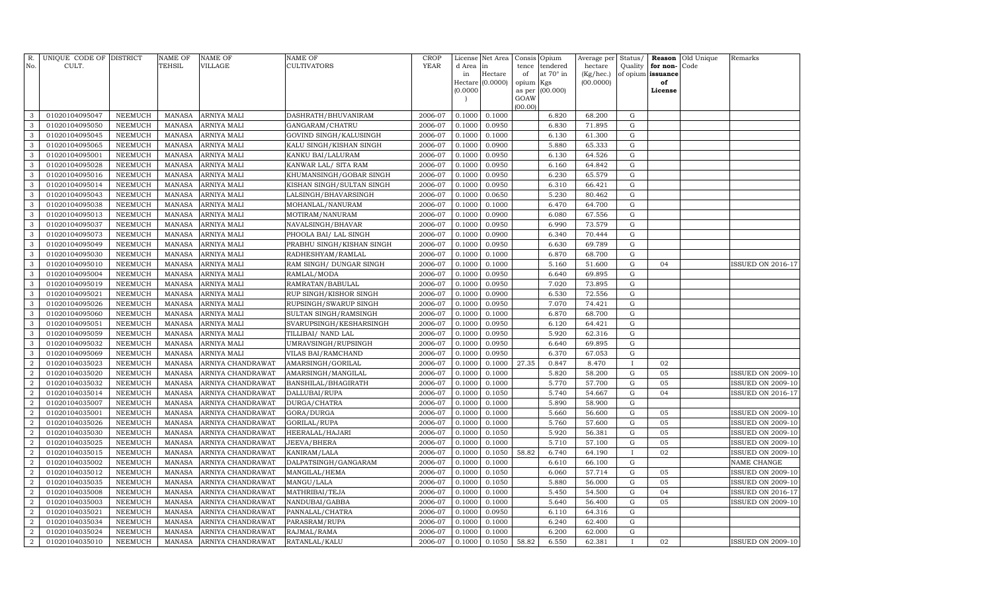| R.<br>No.                          | UNIQUE CODE OF DISTRICT<br>CULT. |                                  | <b>NAME OF</b><br>TEHSIL       | <b>NAME OF</b><br><b>VILLAGE</b>       | NAME OF<br>CULTIVATORS               | <b>CROP</b><br>YEAR | License<br>d Area   | Net Area<br>in   | Consis<br>tence | Opium<br>tendered | Average per<br>hectare | Status/<br>Quality | Reason<br>for non- | Old Unique<br>Code | Remarks                  |
|------------------------------------|----------------------------------|----------------------------------|--------------------------------|----------------------------------------|--------------------------------------|---------------------|---------------------|------------------|-----------------|-------------------|------------------------|--------------------|--------------------|--------------------|--------------------------|
|                                    |                                  |                                  |                                |                                        |                                      |                     | in                  | Hectare          | of              | at 70° in         | (Kg/hec.)              | of opium           | issuance           |                    |                          |
|                                    |                                  |                                  |                                |                                        |                                      |                     | Hectare<br>(0.0000) | (0.0000)         | opium<br>as per | Kgs<br>(00.000)   | (00.0000)              |                    | of<br>License      |                    |                          |
|                                    |                                  |                                  |                                |                                        |                                      |                     |                     |                  | GOAW            |                   |                        |                    |                    |                    |                          |
|                                    |                                  |                                  |                                |                                        |                                      |                     |                     |                  | (00.00)         |                   |                        |                    |                    |                    |                          |
| 3                                  | 01020104095047                   | <b>NEEMUCH</b>                   | <b>MANASA</b>                  | <b>ARNIYA MALI</b>                     | DASHRATH/BHUVANIRAM                  | 2006-07             | 0.1000              | 0.1000           |                 | 6.820             | 68.200                 | G                  |                    |                    |                          |
| 3                                  | 01020104095050                   | <b>NEEMUCH</b>                   | <b>MANASA</b>                  | <b>ARNIYA MALI</b>                     | GANGARAM/CHATRU                      | 2006-07             | 0.1000              | 0.0950           |                 | 6.830             | 71.895                 | G                  |                    |                    |                          |
| 3                                  | 01020104095045                   | <b>NEEMUCH</b>                   | <b>MANASA</b>                  | ARNIYA MALI                            | GOVIND SINGH/KALUSINGH               | 2006-07             | 0.1000              | 0.1000           |                 | 6.130             | 61.300                 | G                  |                    |                    |                          |
| 3                                  | 01020104095065                   | <b>NEEMUCH</b>                   | <b>MANASA</b>                  | ARNIYA MALI                            | KALU SINGH/KISHAN SINGH              | 2006-07             | 0.1000              | 0.0900           |                 | 5.880             | 65.333                 | G                  |                    |                    |                          |
| 3                                  | 01020104095001                   | <b>NEEMUCH</b>                   | <b>MANASA</b>                  | ARNIYA MALI                            | KANKU BAI/LALURAM                    | 2006-07             | 0.1000              | 0.0950           |                 | 6.130             | 64.526                 | G                  |                    |                    |                          |
| 3                                  | 01020104095028                   | <b>NEEMUCH</b>                   | <b>MANASA</b>                  | ARNIYA MALI                            | KANWAR LAL/ SITA RAM                 | 2006-07             | 0.1000              | 0.0950           |                 | 6.160             | 64.842                 | G                  |                    |                    |                          |
| 3                                  | 01020104095016                   | <b>NEEMUCH</b>                   | <b>MANASA</b>                  | ARNIYA MALI                            | KHUMANSINGH/GOBAR SINGH              | 2006-07             | 0.1000              | 0.0950           |                 | 6.230             | 65.579                 | G                  |                    |                    |                          |
| 3                                  | 01020104095014                   | <b>NEEMUCH</b>                   | MANASA                         | ARNIYA MALI                            | KISHAN SINGH/SULTAN SINGH            | 2006-07             | 0.1000              | 0.0950           |                 | 6.310             | 66.421                 | G                  |                    |                    |                          |
| 3<br>3                             | 01020104095043                   | <b>NEEMUCH</b><br><b>NEEMUCH</b> | <b>MANASA</b>                  | ARNIYA MALI                            | LALSINGH/BHAVARSINGH                 | 2006-07             | 0.1000              | 0.0650           |                 | 5.230             | 80.462                 | G<br>G             |                    |                    |                          |
| $\mathbf{3}$                       | 01020104095038<br>01020104095013 | <b>NEEMUCH</b>                   | <b>MANASA</b><br><b>MANASA</b> | ARNIYA MALI<br><b>ARNIYA MALI</b>      | MOHANLAL/NANURAM                     | 2006-07<br>2006-07  | 0.1000<br>0.1000    | 0.1000<br>0.0900 |                 | 6.470<br>6.080    | 64.700<br>67.556       | ${\rm G}$          |                    |                    |                          |
| 3                                  | 01020104095037                   | <b>NEEMUCH</b>                   | <b>MANASA</b>                  | ARNIYA MALI                            | MOTIRAM/NANURAM<br>NAVALSINGH/BHAVAR | 2006-07             | 0.1000              | 0.0950           |                 | 6.990             | 73.579                 | G                  |                    |                    |                          |
| 3                                  | 01020104095073                   | <b>NEEMUCH</b>                   | <b>MANASA</b>                  | ARNIYA MALI                            | PHOOLA BAI/ LAL SINGH                | 2006-07             | 0.1000              | 0.0900           |                 | 6.340             | 70.444                 | G                  |                    |                    |                          |
| 3                                  | 01020104095049                   | <b>NEEMUCH</b>                   | <b>MANASA</b>                  | ARNIYA MALI                            | PRABHU SINGH/KISHAN SINGH            | 2006-07             | 0.1000              | 0.0950           |                 | 6.630             | 69.789                 | ${\rm G}$          |                    |                    |                          |
| 3                                  | 01020104095030                   | <b>NEEMUCH</b>                   | <b>MANASA</b>                  | ARNIYA MALI                            | RADHESHYAM/RAMLAL                    | 2006-07             | 0.1000              | 0.1000           |                 | 6.870             | 68.700                 | G                  |                    |                    |                          |
| 3                                  | 01020104095010                   | <b>NEEMUCH</b>                   | <b>MANASA</b>                  | ARNIYA MALI                            | RAM SINGH/ DUNGAR SINGH              | 2006-07             | 0.1000              | 0.1000           |                 | 5.160             | 51.600                 | G                  | 04                 |                    | ISSUED ON 2016-17        |
| 3                                  | 01020104095004                   | <b>NEEMUCH</b>                   | <b>MANASA</b>                  | ARNIYA MALI                            | RAMLAL/MODA                          | 2006-07             | 0.1000              | 0.0950           |                 | 6.640             | 69.895                 | G                  |                    |                    |                          |
| $\mathbf{3}$                       | 01020104095019                   | <b>NEEMUCH</b>                   | <b>MANASA</b>                  | ARNIYA MALI                            | RAMRATAN/BABULAL                     | 2006-07             | 0.1000              | 0.0950           |                 | 7.020             | 73.895                 | G                  |                    |                    |                          |
| 3                                  | 01020104095021                   | <b>NEEMUCH</b>                   | <b>MANASA</b>                  | ARNIYA MALI                            | RUP SINGH/KISHOR SINGH               | 2006-07             | 0.1000              | 0.0900           |                 | 6.530             | 72.556                 | G                  |                    |                    |                          |
| 3                                  | 01020104095026                   | <b>NEEMUCH</b>                   | <b>MANASA</b>                  | ARNIYA MALI                            | RUPSINGH/SWARUP SINGH                | 2006-07             | 0.1000              | 0.0950           |                 | 7.070             | 74.421                 | G                  |                    |                    |                          |
| 3                                  | 01020104095060                   | NEEMUCH                          | <b>MANASA</b>                  | ARNIYA MALI                            | SULTAN SINGH/RAMSINGH                | 2006-07             | 0.1000              | 0.1000           |                 | 6.870             | 68.700                 | G                  |                    |                    |                          |
| 3                                  | 01020104095051                   | <b>NEEMUCH</b>                   | <b>MANASA</b>                  | ARNIYA MALI                            | SVARUPSINGH/KESHARSINGH              | 2006-07             | 0.1000              | 0.0950           |                 | 6.120             | 64.421                 | ${\rm G}$          |                    |                    |                          |
| 3                                  | 01020104095059                   | NEEMUCH                          | <b>MANASA</b>                  | ARNIYA MALI                            | TILLIBAI/ NAND LAL                   | 2006-07             | 0.1000              | 0.0950           |                 | 5.920             | 62.316                 | G                  |                    |                    |                          |
| 3                                  | 01020104095032                   | <b>NEEMUCH</b>                   | <b>MANASA</b>                  | ARNIYA MALI                            | UMRAVSINGH/RUPSINGH                  | 2006-07             | 0.1000              | 0.0950           |                 | 6.640             | 69.895                 | G                  |                    |                    |                          |
| 3                                  | 01020104095069                   | <b>NEEMUCH</b>                   | <b>MANASA</b>                  | ARNIYA MALI                            | VILAS BAI/RAMCHAND                   | 2006-07             | 0.1000              | 0.0950           |                 | 6.370             | 67.053                 | ${\rm G}$          |                    |                    |                          |
| $\overline{2}$                     | 01020104035023                   | <b>NEEMUCH</b>                   | <b>MANASA</b>                  | ARNIYA CHANDRAWAT                      | AMARSINGH/GORILAL                    | 2006-07             | 0.1000              | 0.1000           | 27.35           | 0.847             | 8.470                  | и.                 | 02                 |                    |                          |
| $\overline{2}$                     | 01020104035020                   | <b>NEEMUCH</b>                   | <b>MANASA</b>                  | ARNIYA CHANDRAWAT                      | AMARSINGH/MANGILAL                   | 2006-07             | 0.1000              | 0.1000           |                 | 5.820             | 58.200                 | ${\rm G}$          | 05                 |                    | <b>ISSUED ON 2009-10</b> |
| $\overline{2}$                     | 01020104035032                   | <b>NEEMUCH</b>                   | <b>MANASA</b>                  | ARNIYA CHANDRAWAT                      | BANSHILAL/BHAGIRATH                  | 2006-07             | 0.1000              | 0.1000           |                 | 5.770             | 57.700                 | ${\rm G}$          | 05                 |                    | <b>ISSUED ON 2009-10</b> |
| $\overline{2}$                     | 01020104035014                   | <b>NEEMUCH</b>                   | <b>MANASA</b>                  | ARNIYA CHANDRAWAT                      | DALLUBAI/RUPA                        | 2006-07             | 0.1000              | 0.1050           |                 | 5.740             | 54.667                 | G                  | 04                 |                    | <b>ISSUED ON 2016-17</b> |
| $\boldsymbol{2}$                   | 01020104035007                   | <b>NEEMUCH</b>                   | <b>MANASA</b>                  | ARNIYA CHANDRAWAT                      | DURGA/CHATRA                         | 2006-07             | 0.1000              | 0.1000           |                 | 5.890             | 58.900                 | G                  |                    |                    |                          |
| 2                                  | 01020104035001                   | <b>NEEMUCH</b>                   | <b>MANASA</b>                  | ARNIYA CHANDRAWAT                      | GORA/DURGA                           | 2006-07             | 0.1000              | 0.1000           |                 | 5.660             | 56.600                 | ${\rm G}$          | 05                 |                    | <b>ISSUED ON 2009-10</b> |
| $\overline{2}$                     | 01020104035026                   | NEEMUCH                          | <b>MANASA</b>                  | ARNIYA CHANDRAWAT                      | GORILAL/RUPA                         | 2006-07             | 0.1000              | 0.1000           |                 | 5.760             | 57.600                 | G                  | 05                 |                    | <b>ISSUED ON 2009-10</b> |
| $\overline{2}$                     | 01020104035030                   | NEEMUCH                          | MANASA                         | ARNIYA CHANDRAWAT                      | HEERALAL/HAJARI                      | 2006-07             | 0.1000              | 0.1050           |                 | 5.920             | 56.381                 | G                  | 05                 |                    | <b>ISSUED ON 2009-10</b> |
| $\overline{2}$                     | 01020104035025                   | <b>NEEMUCH</b>                   | <b>MANASA</b>                  | ARNIYA CHANDRAWAT                      | JEEVA/BHERA                          | 2006-07             | 0.1000              | 0.1000           |                 | 5.710             | 57.100                 | G                  | 05                 |                    | ISSUED ON 2009-10        |
| $\overline{2}$                     | 01020104035015                   | NEEMUCH                          | <b>MANASA</b>                  | ARNIYA CHANDRAWAT                      | KANIRAM/LALA                         | 2006-07             | 0.1000              | 0.1050           | 58.82           | 6.740             | 64.190                 |                    | 02                 |                    | <b>ISSUED ON 2009-10</b> |
| $\overline{2}$                     | 01020104035002                   | <b>NEEMUCH</b>                   | <b>MANASA</b>                  | ARNIYA CHANDRAWAT                      | DALPATSINGH/GANGARAM                 | 2006-07             | 0.1000              | 0.1000           |                 | 6.610             | 66.100                 | G                  |                    |                    | NAME CHANGE              |
| $\overline{2}$                     | 01020104035012                   | <b>NEEMUCH</b>                   | <b>MANASA</b>                  | ARNIYA CHANDRAWAT                      | MANGILAL/HEMA                        | 2006-07             | 0.1000              | 0.1050           |                 | 6.060             | 57.714                 | ${\rm G}$          | 05                 |                    | <b>ISSUED ON 2009-10</b> |
| $\boldsymbol{2}$                   | 01020104035035                   | <b>NEEMUCH</b>                   | <b>MANASA</b>                  | ARNIYA CHANDRAWAT                      | MANGU/LALA                           | 2006-07             | 0.1000              | 0.1050           |                 | 5.880             | 56.000                 | G                  | 05<br>04           |                    | <b>ISSUED ON 2009-10</b> |
| $\overline{2}$                     | 01020104035008                   | <b>NEEMUCH</b>                   | <b>MANASA</b>                  | ARNIYA CHANDRAWAT                      | MATHRIBAI/TEJA                       | 2006-07             | 0.1000              | 0.1000           |                 | 5.450             | 54.500                 | ${\rm G}$          | 05                 |                    | <b>ISSUED ON 2016-17</b> |
| $\boldsymbol{2}$<br>$\overline{2}$ | 01020104035003                   | <b>NEEMUCH</b>                   | <b>MANASA</b>                  | ARNIYA CHANDRAWAT                      | NANDUBAI/GABBA                       | 2006-07<br>2006-07  | 0.1000              | 0.1000           |                 | 5.640             | 56.400                 | ${\rm G}$          |                    |                    | <b>ISSUED ON 2009-10</b> |
| $\boldsymbol{2}$                   | 01020104035021<br>01020104035034 | <b>NEEMUCH</b><br><b>NEEMUCH</b> | <b>MANASA</b><br><b>MANASA</b> | ARNIYA CHANDRAWAT<br>ARNIYA CHANDRAWAT | PANNALAL/CHATRA<br>PARASRAM/RUPA     | 2006-07             | 0.1000<br>0.1000    | 0.0950<br>0.1000 |                 | 6.110<br>6.240    | 64.316<br>62.400       | G<br>G             |                    |                    |                          |
| $\overline{2}$                     | 01020104035024                   | <b>NEEMUCH</b>                   | <b>MANASA</b>                  | ARNIYA CHANDRAWAT                      | RAJMAL/RAMA                          | 2006-07             | 0.1000              | 0.1000           |                 | 6.200             | 62.000                 | ${\rm G}$          |                    |                    |                          |
| $\overline{a}$                     | 01020104035010                   | NEEMUCH                          | <b>MANASA</b>                  | ARNIYA CHANDRAWAT                      | RATANLAL/KALU                        | 2006-07             | 0.1000              | 0.1050           | 58.82           | 6.550             | 62.381                 | $\mathbf{I}$       | 02                 |                    | <b>ISSUED ON 2009-10</b> |
|                                    |                                  |                                  |                                |                                        |                                      |                     |                     |                  |                 |                   |                        |                    |                    |                    |                          |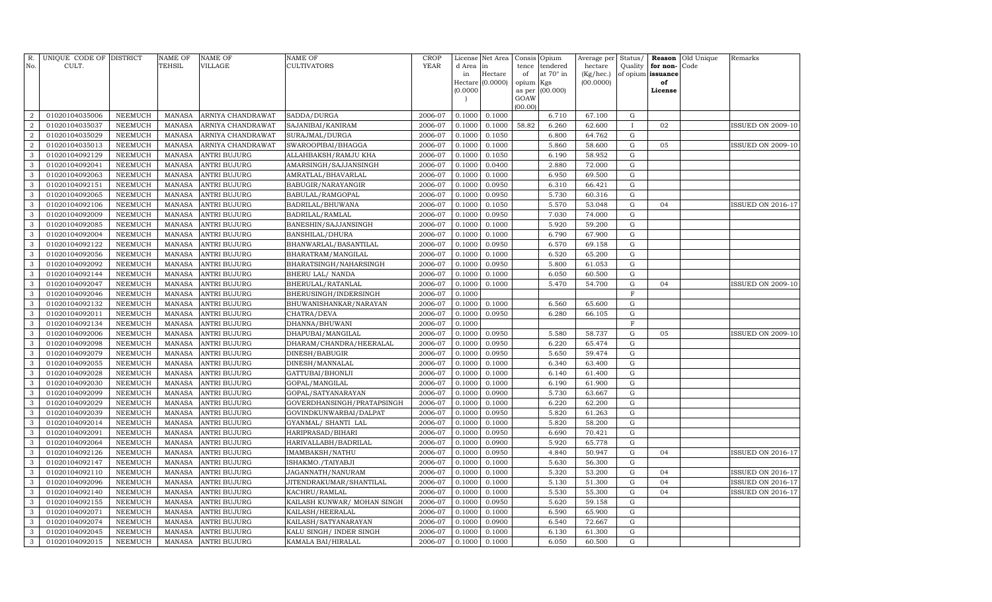| R.<br>No.      | UNIQUE CODE OF DISTRICT<br>CULT. |                | <b>NAME OF</b><br>TEHSIL | <b>NAME OF</b><br><b>VILLAGE</b> | NAME OF<br><b>CULTIVATORS</b> | <b>CROP</b><br>YEAR | License<br>d Area | Net Area<br>in   | Consis<br>tence | Opium<br>tendered | Average per<br>hectare | Status/<br>Quality | Reason<br>for non- | Old Unique<br>Code | Remarks                  |
|----------------|----------------------------------|----------------|--------------------------|----------------------------------|-------------------------------|---------------------|-------------------|------------------|-----------------|-------------------|------------------------|--------------------|--------------------|--------------------|--------------------------|
|                |                                  |                |                          |                                  |                               |                     | in                | Hectare          | of              | at 70° in         | $(Kg/$ hec.)           |                    | of opium issuance  |                    |                          |
|                |                                  |                |                          |                                  |                               |                     |                   | Hectare (0.0000) | opium           | Kgs               | (00.0000)              |                    | of                 |                    |                          |
|                |                                  |                |                          |                                  |                               |                     | (0.0000)          |                  | as per          | (00.000)          |                        |                    | License            |                    |                          |
|                |                                  |                |                          |                                  |                               |                     |                   |                  | GOAW<br>(00.00) |                   |                        |                    |                    |                    |                          |
| $\overline{2}$ | 01020104035006                   | <b>NEEMUCH</b> | <b>MANASA</b>            | ARNIYA CHANDRAWAT                | SADDA/DURGA                   | 2006-07             | 0.1000            | 0.1000           |                 | 6.710             | 67.100                 | ${\rm G}$          |                    |                    |                          |
| $\overline{2}$ | 01020104035037                   | <b>NEEMUCH</b> | <b>MANASA</b>            | ARNIYA CHANDRAWAT                | SAJANIBAI/KANIRAM             | 2006-07             | 0.1000            | 0.1000           | 58.82           | 6.260             | 62.600                 | $\mathbf{I}$       | 02                 |                    | <b>ISSUED ON 2009-10</b> |
| $\overline{2}$ | 01020104035029                   | <b>NEEMUCH</b> | <b>MANASA</b>            | ARNIYA CHANDRAWAT                | SURAJMAL/DURGA                | 2006-07             | 0.1000            | 0.1050           |                 | 6.800             | 64.762                 | ${\rm G}$          |                    |                    |                          |
| $\overline{2}$ | 01020104035013                   | <b>NEEMUCH</b> | <b>MANASA</b>            | ARNIYA CHANDRAWAT                | SWAROOPIBAI/BHAGGA            | 2006-07             | 0.1000            | 0.1000           |                 | 5.860             | 58.600                 | ${\rm G}$          | 05                 |                    | <b>ISSUED ON 2009-10</b> |
| 3              | 01020104092129                   | <b>NEEMUCH</b> | <b>MANASA</b>            | <b>ANTRI BUJURG</b>              | ALLAHBAKSH/RAMJU KHA          | 2006-07             | 0.1000            | 0.1050           |                 | 6.190             | 58.952                 | ${\rm G}$          |                    |                    |                          |
| 3              | 01020104092041                   | <b>NEEMUCH</b> | <b>MANASA</b>            | <b>ANTRI BUJURG</b>              | AMARSINGH/SAJJANSINGH         | 2006-07             | 0.1000            | 0.0400           |                 | 2.880             | 72.000                 | ${\rm G}$          |                    |                    |                          |
| 3              | 01020104092063                   | <b>NEEMUCH</b> | <b>MANASA</b>            | <b>ANTRI BUJURG</b>              | AMRATLAL/BHAVARLAL            | 2006-07             | 0.1000            | 0.1000           |                 | 6.950             | 69.500                 | ${\rm G}$          |                    |                    |                          |
| 3              | 01020104092151                   | <b>NEEMUCH</b> | MANASA                   | ANTRI BUJURG                     | BABUGIR/NARAYANGIR            | 2006-07             | 0.1000            | 0.0950           |                 | 6.310             | 66.421                 | ${\rm G}$          |                    |                    |                          |
| 3              | 01020104092065                   | <b>NEEMUCH</b> | <b>MANASA</b>            | ANTRI BUJURG                     | BABULAL/RAMGOPAL              | 2006-07             | 0.1000            | 0.0950           |                 | 5.730             | 60.316                 | ${\bf G}$          |                    |                    |                          |
| 3              | 01020104092106                   | <b>NEEMUCH</b> | <b>MANASA</b>            | <b>ANTRI BUJURG</b>              | BADRILAL/BHUWANA              | 2006-07             | 0.1000            | 0.1050           |                 | 5.570             | 53.048                 | ${\rm G}$          | 04                 |                    | <b>ISSUED ON 2016-17</b> |
| 3              | 01020104092009                   | <b>NEEMUCH</b> | <b>MANASA</b>            | <b>ANTRI BUJURG</b>              | BADRILAL/RAMLAL               | 2006-07             | 0.1000            | 0.0950           |                 | 7.030             | 74.000                 | ${\rm G}$          |                    |                    |                          |
| 3              | 01020104092085                   | <b>NEEMUCH</b> | <b>MANASA</b>            | <b>ANTRI BUJURG</b>              | BANESHIN/SAJJANSINGH          | 2006-07             | 0.1000            | 0.1000           |                 | 5.920             | 59.200                 | ${\bf G}$          |                    |                    |                          |
| 3              | 01020104092004                   | <b>NEEMUCH</b> | <b>MANASA</b>            | <b>ANTRI BUJURG</b>              | BANSHILAL/DHURA               | 2006-07             | 0.1000            | 0.1000           |                 | 6.790             | 67.900                 | ${\bf G}$          |                    |                    |                          |
| 3              | 01020104092122                   | <b>NEEMUCH</b> | <b>MANASA</b>            | <b>ANTRI BUJURG</b>              | BHANWARLAL/BASANTILAL         | 2006-07             | 0.1000            | 0.0950           |                 | 6.570             | 69.158                 | ${\rm G}$          |                    |                    |                          |
| 3              | 01020104092056                   | <b>NEEMUCH</b> | <b>MANASA</b>            | <b>ANTRI BUJURG</b>              | BHARATRAM/MANGILAL            | 2006-07             | 0.1000            | 0.1000           |                 | 6.520             | 65.200                 | ${\rm G}$          |                    |                    |                          |
| 3              | 01020104092092                   | <b>NEEMUCH</b> | <b>MANASA</b>            | <b>ANTRI BUJURG</b>              | BHARATSINGH/NAHARSINGH        | 2006-07             | 0.1000            | 0.0950           |                 | 5.800             | 61.053                 | ${\rm G}$          |                    |                    |                          |
| 3              | 01020104092144                   | <b>NEEMUCH</b> | <b>MANASA</b>            | <b>ANTRI BUJURG</b>              | BHERU LAL/ NANDA              | 2006-07             | 0.1000            | 0.1000           |                 | 6.050             | 60.500                 | ${\rm G}$          |                    |                    |                          |
| $\mathbf{3}$   | 01020104092047                   | <b>NEEMUCH</b> | <b>MANASA</b>            | ANTRI BUJURG                     | BHERULAL/RATANLAL             | 2006-07             | 0.1000            | 0.1000           |                 | 5.470             | 54.700                 | ${\rm G}$          | 04                 |                    | <b>ISSUED ON 2009-10</b> |
| 3              | 01020104092046                   | NEEMUCH        | <b>MANASA</b>            | ANTRI BUJURG                     | BHERUSINGH/INDERSINGH         | 2006-07             | 0.1000            |                  |                 |                   |                        | $\mathbf F$        |                    |                    |                          |
| $\mathbf{3}$   | 01020104092132                   | <b>NEEMUCH</b> | <b>MANASA</b>            | <b>ANTRI BUJURG</b>              | BHUWANISHANKAR/NARAYAN        | 2006-07             | 0.1000            | 0.1000           |                 | 6.560             | 65.600                 | ${\rm G}$          |                    |                    |                          |
| 3              | 01020104092011                   | NEEMUCH        | <b>MANASA</b>            | <b>ANTRI BUJURG</b>              | CHATRA/DEVA                   | 2006-07             | 0.1000            | 0.0950           |                 | 6.280             | 66.105                 | ${\rm G}$          |                    |                    |                          |
| 3              | 01020104092134                   | NEEMUCH        | <b>MANASA</b>            | <b>ANTRI BUJURG</b>              | DHANNA/BHUWANI                | 2006-07             | 0.1000            |                  |                 |                   |                        | $\mathbf F$        |                    |                    |                          |
| 3              | 01020104092006                   | NEEMUCH        | <b>MANASA</b>            | <b>ANTRI BUJURG</b>              | DHAPUBAI/MANGILAL             | 2006-07             | 0.1000            | 0.0950           |                 | 5.580             | 58.737                 | ${\bf G}$          | 05                 |                    | ISSUED ON 2009-10        |
| 3              | 01020104092098                   | <b>NEEMUCH</b> | <b>MANASA</b>            | <b>ANTRI BUJURG</b>              | DHARAM/CHANDRA/HEERALAL       | 2006-07             | 0.1000            | 0.0950           |                 | 6.220             | 65.474                 | ${\bf G}$          |                    |                    |                          |
| 3              | 01020104092079                   | <b>NEEMUCH</b> | <b>MANASA</b>            | <b>ANTRI BUJURG</b>              | DINESH/BABUGIR                | 2006-07             | 0.1000            | 0.0950           |                 | 5.650             | 59.474                 | ${\rm G}$          |                    |                    |                          |
| 3              | 01020104092055                   | <b>NEEMUCH</b> | <b>MANASA</b>            | <b>ANTRI BUJURG</b>              | DINESH/MANNALAL               | 2006-07             | 0.1000            | 0.1000           |                 | 6.340             | 63.400                 | ${\rm G}$          |                    |                    |                          |
| 3              | 01020104092028                   | <b>NEEMUCH</b> | <b>MANASA</b>            | <b>ANTRI BUJURG</b>              | GATTUBAI/BHONIJI              | 2006-07             | 0.1000            | 0.1000           |                 | 6.140             | 61.400                 | ${\rm G}$          |                    |                    |                          |
| 3              | 01020104092030                   | <b>NEEMUCH</b> | <b>MANASA</b>            | <b>ANTRI BUJURG</b>              | GOPAL/MANGILAL                | 2006-07             | 0.1000            | 0.1000           |                 | 6.190             | 61.900                 | ${\rm G}$          |                    |                    |                          |
| 3              | 01020104092099                   | <b>NEEMUCH</b> | <b>MANASA</b>            | <b>ANTRI BUJURG</b>              | GOPAL/SATYANARAYAN            | 2006-07             | 0.1000            | 0.0900           |                 | 5.730             | 63.667                 | ${\bf G}$          |                    |                    |                          |
| 3              | 01020104092029                   | <b>NEEMUCH</b> | <b>MANASA</b>            | ANTRI BUJURG                     | GOVERDHANSINGH/PRATAPSINGH    | 2006-07             | 0.1000            | 0.1000           |                 | 6.220             | 62.200                 | ${\rm G}$          |                    |                    |                          |
| 3              | 01020104092039                   | <b>NEEMUCH</b> | <b>MANASA</b>            | <b>ANTRI BUJURG</b>              | GOVINDKUNWARBAI/DALPAT        | 2006-07             | 0.1000            | 0.0950           |                 | 5.820             | 61.263                 | ${\bf G}$          |                    |                    |                          |
| 3              | 01020104092014                   | NEEMUCH        | <b>MANASA</b>            | ANTRI BUJURG                     | GYANMAL/ SHANTI LAL           | 2006-07             | 0.1000            | 0.1000           |                 | 5.820             | 58.200                 | ${\rm G}$          |                    |                    |                          |
| 3              | 01020104092091                   | NEEMUCH        | <b>MANASA</b>            | ANTRI BUJURG                     | HARIPRASAD/BIHARI             | 2006-07             | 0.1000            | 0.0950           |                 | 6.690             | 70.421                 | ${\bf G}$          |                    |                    |                          |
| 3              | 01020104092064                   | <b>NEEMUCH</b> | <b>MANASA</b>            | <b>ANTRI BUJURG</b>              | HARIVALLABH/BADRILAL          | 2006-07             | 0.1000            | 0.0900           |                 | 5.920             | 65.778                 | ${\rm G}$          |                    |                    |                          |
| 3              | 01020104092126                   | <b>NEEMUCH</b> | <b>MANASA</b>            | <b>ANTRI BUJURG</b>              | IMAMBAKSH/NATHU               | 2006-07             | 0.1000            | 0.0950           |                 | 4.840             | 50.947                 | ${\rm G}$          | 04                 |                    | <b>ISSUED ON 2016-17</b> |
| 3              | 01020104092147                   | <b>NEEMUCH</b> | <b>MANASA</b>            | ANTRI BUJURG                     | ISHAKMO./TAIYABJI             | 2006-07             | 0.1000            | 0.1000           |                 | 5.630             | 56.300                 | $\mathbf G$        |                    |                    |                          |
| 3              | 01020104092110                   | <b>NEEMUCH</b> | <b>MANASA</b>            | <b>ANTRI BUJURG</b>              | JAGANNATH/NANURAM             | 2006-07             | 0.1000            | 0.1000           |                 | 5.320             | 53.200                 | ${\rm G}$          | 04                 |                    | <b>ISSUED ON 2016-17</b> |
| 3              | 01020104092096                   | <b>NEEMUCH</b> | <b>MANASA</b>            | <b>ANTRI BUJURG</b>              | JITENDRAKUMAR/SHANTILAL       | 2006-07             | 0.1000            | 0.1000           |                 | 5.130             | 51.300                 | ${\rm G}$          | 04                 |                    | ISSUED ON 2016-17        |
| 3              | 01020104092140                   | <b>NEEMUCH</b> | <b>MANASA</b>            | <b>ANTRI BUJURG</b>              | KACHRU/RAMLAL                 | 2006-07             | 0.1000            | 0.1000           |                 | 5.530             | 55.300                 | $\mathbf G$        | 04                 |                    | <b>ISSUED ON 2016-17</b> |
| 3              | 01020104092155                   | <b>NEEMUCH</b> | <b>MANASA</b>            | ANTRI BUJURG                     | KAILASH KUNWAR/ MOHAN SINGH   | 2006-07             | 0.1000            | 0.0950           |                 | 5.620             | 59.158                 | ${\rm G}$          |                    |                    |                          |
| 3              | 01020104092071                   | NEEMUCH        | <b>MANASA</b>            | <b>ANTRI BUJURG</b>              | KAILASH/HEERALAL              | 2006-07             | 0.1000            | 0.1000           |                 | 6.590             | 65.900                 | ${\bf G}$          |                    |                    |                          |
| $\mathbf{3}$   | 01020104092074                   | <b>NEEMUCH</b> | <b>MANASA</b>            | ANTRI BUJURG                     | KAILASH/SATYANARAYAN          | 2006-07             | 0.1000            | 0.0900           |                 | 6.540             | 72.667                 | ${\bf G}$          |                    |                    |                          |
| 3              | 01020104092045                   | NEEMUCH        | <b>MANASA</b>            | ANTRI BUJURG                     | KALU SINGH/ INDER SINGH       | 2006-07             | 0.1000            | 0.1000           |                 | 6.130             | 61.300                 | ${\bf G}$          |                    |                    |                          |
| $\mathbf{3}$   | 01020104092015                   | NEEMUCH        | MANASA                   | <b>ANTRI BUJURG</b>              | KAMALA BAI/HIRALAL            | 2006-07             | 0.1000            | 0.1000           |                 | 6.050             | 60.500                 | ${\rm G}$          |                    |                    |                          |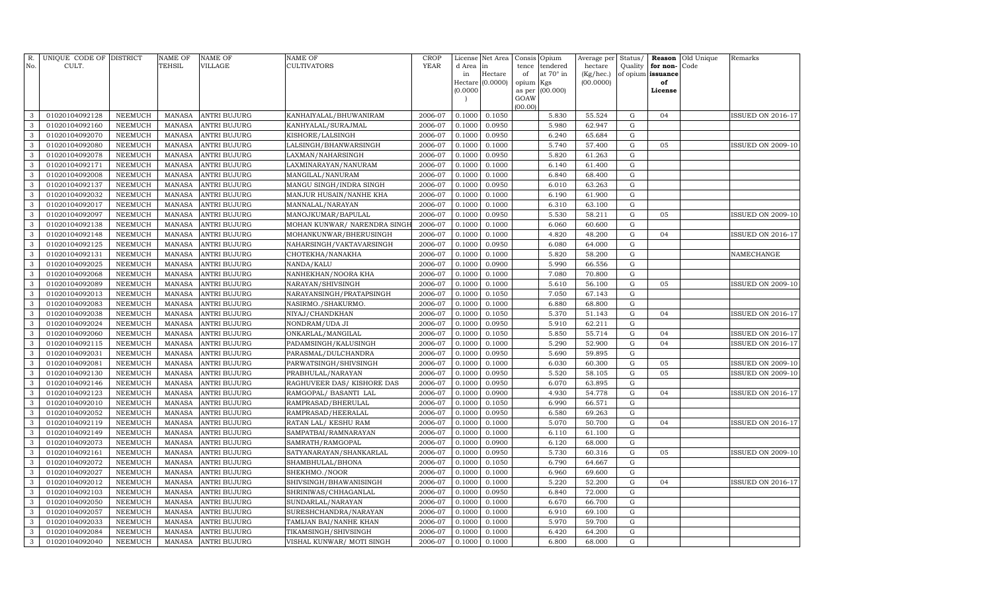| R.<br>No.      | UNIQUE CODE OF DISTRICT<br>CULT. |                | <b>NAME OF</b><br>TEHSIL | <b>NAME OF</b><br><b>VILLAGE</b> | <b>NAME OF</b><br><b>CULTIVATORS</b> | <b>CROP</b><br><b>YEAR</b> | License<br>d Area        | Net Area<br>in   | Consis Opium<br>tence | tendered  | Average per Status/<br>hectare | Quality     | for non-          | <b>Reason</b> Old Unique<br>Code | Remarks                  |
|----------------|----------------------------------|----------------|--------------------------|----------------------------------|--------------------------------------|----------------------------|--------------------------|------------------|-----------------------|-----------|--------------------------------|-------------|-------------------|----------------------------------|--------------------------|
|                |                                  |                |                          |                                  |                                      |                            | in                       | Hectare          | of                    | at 70° in | (Kg/hec.)                      |             | of opium issuance |                                  |                          |
|                |                                  |                |                          |                                  |                                      |                            |                          | Hectare (0.0000) | opium                 | Kgs       | (00.0000)                      |             | of                |                                  |                          |
|                |                                  |                |                          |                                  |                                      |                            | (0.0000)                 |                  | as per                | (00.000)  |                                |             | License           |                                  |                          |
|                |                                  |                |                          |                                  |                                      |                            | $\overline{\phantom{a}}$ |                  | GOAW<br>(00.00)       |           |                                |             |                   |                                  |                          |
| 3              | 01020104092128                   | <b>NEEMUCH</b> | <b>MANASA</b>            | <b>ANTRI BUJURG</b>              | KANHAIYALAL/BHUWANIRAM               | 2006-07                    | 0.1000                   | 0.1050           |                       | 5.830     | 55.524                         | ${\rm G}$   | 04                |                                  | <b>ISSUED ON 2016-17</b> |
| 3              | 01020104092160                   | <b>NEEMUCH</b> | <b>MANASA</b>            | <b>ANTRI BUJURG</b>              | KANHYALAL/SURAJMAL                   | 2006-07                    | 0.1000                   | 0.0950           |                       | 5.980     | 62.947                         | $\mathbf G$ |                   |                                  |                          |
| 3              | 01020104092070                   | NEEMUCH        | <b>MANASA</b>            | <b>ANTRI BUJURG</b>              | KISHORE/LALSINGH                     | 2006-07                    | 0.1000                   | 0.0950           |                       | 6.240     | 65.684                         | ${\rm G}$   |                   |                                  |                          |
| 3              | 01020104092080                   | <b>NEEMUCH</b> | <b>MANASA</b>            | <b>ANTRI BUJURG</b>              | LALSINGH/BHANWARSINGH                | 2006-07                    | 0.1000                   | 0.1000           |                       | 5.740     | 57.400                         | G           | 05                |                                  | ISSUED ON 2009-10        |
| 3              | 01020104092078                   | <b>NEEMUCH</b> | <b>MANASA</b>            | <b>ANTRI BUJURG</b>              | LAXMAN/NAHARSINGH                    | 2006-07                    | 0.1000                   | 0.0950           |                       | 5.820     | 61.263                         | G           |                   |                                  |                          |
| 3              | 01020104092171                   | <b>NEEMUCH</b> | <b>MANASA</b>            | <b>ANTRI BUJURG</b>              | LAXMINARAYAN/NANURAM                 | 2006-07                    | 0.1000                   | 0.1000           |                       | 6.140     | 61.400                         | G           |                   |                                  |                          |
| 3              | 01020104092008                   | <b>NEEMUCH</b> | <b>MANASA</b>            | <b>ANTRI BUJURG</b>              | MANGILAL/NANURAM                     | 2006-07                    | 0.1000                   | 0.1000           |                       | 6.840     | 68.400                         | $\mathbf G$ |                   |                                  |                          |
| 3              | 01020104092137                   | <b>NEEMUCH</b> | <b>MANASA</b>            | <b>ANTRI BUJURG</b>              | MANGU SINGH/INDRA SINGH              | 2006-07                    | 0.1000                   | 0.0950           |                       | 6.010     | 63.263                         | $\mathbf G$ |                   |                                  |                          |
| $\mathbf{3}$   | 01020104092032                   | <b>NEEMUCH</b> | <b>MANASA</b>            | <b>ANTRI BUJURG</b>              | MANJUR HUSAIN/NANHE KHA              | 2006-07                    | 0.1000                   | 0.1000           |                       | 6.190     | 61.900                         | ${\rm G}$   |                   |                                  |                          |
| 3              | 01020104092017                   | <b>NEEMUCH</b> | <b>MANASA</b>            | <b>ANTRI BUJURG</b>              | MANNALAL/NARAYAN                     | 2006-07                    | 0.1000                   | 0.1000           |                       | 6.310     | 63.100                         | G           |                   |                                  |                          |
| 3              | 01020104092097                   | <b>NEEMUCH</b> | <b>MANASA</b>            | <b>ANTRI BUJURG</b>              | MANOJKUMAR/BAPULAL                   | 2006-07                    | 0.1000                   | 0.0950           |                       | 5.530     | 58.211                         | ${\rm G}$   | 05                |                                  | <b>ISSUED ON 2009-10</b> |
| 3              | 01020104092138                   | <b>NEEMUCH</b> | <b>MANASA</b>            | <b>ANTRI BUJURG</b>              | MOHAN KUNWAR/ NARENDRA SINGF         | 2006-07                    | 0.1000                   | 0.1000           |                       | 6.060     | 60.600                         | G           |                   |                                  |                          |
| 3              | 01020104092148                   | <b>NEEMUCH</b> | <b>MANASA</b>            | ANTRI BUJURG                     | MOHANKUNWAR/BHERUSINGH               | 2006-07                    | 0.1000                   | 0.1000           |                       | 4.820     | 48.200                         | G           | 04                |                                  | ISSUED ON 2016-17        |
| 3              | 01020104092125                   | <b>NEEMUCH</b> | <b>MANASA</b>            | <b>ANTRI BUJURG</b>              | NAHARSINGH/VAKTAVARSINGH             | 2006-07                    | 0.1000                   | 0.0950           |                       | 6.080     | 64.000                         | G           |                   |                                  |                          |
| 3              | 01020104092131                   | <b>NEEMUCH</b> | <b>MANASA</b>            | <b>ANTRI BUJURG</b>              | CHOTEKHA/NANAKHA                     | 2006-07                    | 0.1000                   | 0.1000           |                       | 5.820     | 58.200                         | $\mathbf G$ |                   |                                  | NAMECHANGE               |
| 3              | 01020104092025                   | <b>NEEMUCH</b> | <b>MANASA</b>            | <b>ANTRI BUJURG</b>              | NANDA/KALU                           | 2006-07                    | 0.1000                   | 0.0900           |                       | 5.990     | 66.556                         | ${\rm G}$   |                   |                                  |                          |
| 3              | 01020104092068                   | <b>NEEMUCH</b> | <b>MANASA</b>            | <b>ANTRI BUJURG</b>              | NANHEKHAN/NOORA KHA                  | 2006-07                    | 0.1000                   | 0.1000           |                       | 7.080     | 70.800                         | ${\rm G}$   |                   |                                  |                          |
| 3              | 01020104092089                   | <b>NEEMUCH</b> | <b>MANASA</b>            | <b>ANTRI BUJURG</b>              | NARAYAN/SHIVSINGH                    | 2006-07                    | 0.1000                   | 0.1000           |                       | 5.610     | 56.100                         | ${\rm G}$   | 05                |                                  | <b>ISSUED ON 2009-10</b> |
| 3              | 01020104092013                   | <b>NEEMUCH</b> | <b>MANASA</b>            | <b>ANTRI BUJURG</b>              | NARAYANSINGH/PRATAPSINGH             | 2006-07                    | 0.1000                   | 0.1050           |                       | 7.050     | 67.143                         | $\mathbf G$ |                   |                                  |                          |
| 3              | 01020104092083                   | <b>NEEMUCH</b> | <b>MANASA</b>            | <b>ANTRI BUJURG</b>              | NASIRMO./SHAKURMO.                   | 2006-07                    | 0.1000                   | 0.1000           |                       | 6.880     | 68.800                         | ${\rm G}$   |                   |                                  |                          |
| 3              | 01020104092038                   | <b>NEEMUCH</b> | <b>MANASA</b>            | ANTRI BUJURG                     | NIYAJ/CHANDKHAN                      | 2006-07                    | 0.1000                   | 0.1050           |                       | 5.370     | 51.143                         | G           | 04                |                                  | ISSUED ON 2016-17        |
| 3              | 01020104092024                   | <b>NEEMUCH</b> | <b>MANASA</b>            | <b>ANTRI BUJURG</b>              | NONDRAM/UDA JI                       | 2006-07                    | 0.1000                   | 0.0950           |                       | 5.910     | 62.211                         | G           |                   |                                  |                          |
| 3              | 01020104092060                   | NEEMUCH        | <b>MANASA</b>            | <b>ANTRI BUJURG</b>              | ONKARLAL/MANGILAL                    | 2006-07                    | 0.1000                   | 0.1050           |                       | 5.850     | 55.714                         | G           | 04                |                                  | ISSUED ON 2016-17        |
| 3              | 01020104092115                   | <b>NEEMUCH</b> | <b>MANASA</b>            | <b>ANTRI BUJURG</b>              | PADAMSINGH/KALUSINGH                 | 2006-07                    | 0.1000                   | 0.1000           |                       | 5.290     | 52.900                         | ${\rm G}$   | 04                |                                  | <b>ISSUED ON 2016-17</b> |
| 3              | 01020104092031                   | <b>NEEMUCH</b> | <b>MANASA</b>            | <b>ANTRI BUJURG</b>              | PARASMAL/DULCHANDRA                  | 2006-07                    | 0.1000                   | 0.0950           |                       | 5.690     | 59.895                         | $\mathbf G$ |                   |                                  |                          |
| 3              | 01020104092081                   | <b>NEEMUCH</b> | <b>MANASA</b>            | <b>ANTRI BUJURG</b>              | PARWATSINGH/SHIVSINGH                | 2006-07                    | 0.1000                   | 0.1000           |                       | 6.030     | 60.300                         | ${\rm G}$   | 05                |                                  | <b>ISSUED ON 2009-10</b> |
| 3              | 01020104092130                   | <b>NEEMUCH</b> | <b>MANASA</b>            | <b>ANTRI BUJURG</b>              | PRABHULAL/NARAYAN                    | 2006-07                    | 0.1000                   | 0.0950           |                       | 5.520     | 58.105                         | ${\rm G}$   | 05                |                                  | <b>ISSUED ON 2009-10</b> |
| 3              | 01020104092146                   | <b>NEEMUCH</b> | <b>MANASA</b>            | <b>ANTRI BUJURG</b>              | RAGHUVEER DAS/ KISHORE DAS           | 2006-07                    | 0.1000                   | 0.0950           |                       | 6.070     | 63.895                         | ${\rm G}$   |                   |                                  |                          |
| 3              | 01020104092123                   | <b>NEEMUCH</b> | <b>MANASA</b>            | <b>ANTRI BUJURG</b>              | RAMGOPAL/ BASANTI LAL                | 2006-07                    | 0.1000                   | 0.0900           |                       | 4.930     | 54.778                         | ${\rm G}$   | 04                |                                  | <b>ISSUED ON 2016-17</b> |
| 3              | 01020104092010                   | <b>NEEMUCH</b> | <b>MANASA</b>            | <b>ANTRI BUJURG</b>              | RAMPRASAD/BHERULAL                   | 2006-07                    | 0.1000                   | 0.1050           |                       | 6.990     | 66.571                         | G           |                   |                                  |                          |
| 3              | 01020104092052                   | NEEMUCH        | <b>MANASA</b>            | <b>ANTRI BUJURG</b>              | RAMPRASAD/HEERALAL                   | 2006-07                    | 0.1000                   | 0.0950           |                       | 6.580     | 69.263                         | G           |                   |                                  |                          |
| 3              | 01020104092119                   | <b>NEEMUCH</b> | <b>MANASA</b>            | <b>ANTRI BUJURG</b>              | RATAN LAL/ KESHU RAM                 | 2006-07                    | 0.1000                   | 0.1000           |                       | 5.070     | 50.700                         | ${\rm G}$   | 04                |                                  | <b>ISSUED ON 2016-17</b> |
| 3              | 01020104092149                   | <b>NEEMUCH</b> | <b>MANASA</b>            | <b>ANTRI BUJURG</b>              | SAMPATBAI/RAMNARAYAN                 | 2006-07                    | 0.1000                   | 0.1000           |                       | 6.110     | 61.100                         | $\mathbf G$ |                   |                                  |                          |
| 3              | 01020104092073                   | <b>NEEMUCH</b> | <b>MANASA</b>            | <b>ANTRI BUJURG</b>              | SAMRATH/RAMGOPAL                     | 2006-07                    | 0.1000                   | 0.0900           |                       | 6.120     | 68.000                         | ${\rm G}$   |                   |                                  |                          |
| 3              | 01020104092161                   | <b>NEEMUCH</b> | <b>MANASA</b>            | <b>ANTRI BUJURG</b>              | SATYANARAYAN/SHANKARLAL              | 2006-07                    | 0.1000                   | 0.0950           |                       | 5.730     | 60.316                         | ${\rm G}$   | 05                |                                  | <b>ISSUED ON 2009-10</b> |
| 3              | 01020104092072                   | <b>NEEMUCH</b> | <b>MANASA</b>            | <b>ANTRI BUJURG</b>              | SHAMBHULAL/BHONA                     | 2006-07                    | 0.1000                   | 0.1050           |                       | 6.790     | 64.667                         | $\mathbf G$ |                   |                                  |                          |
| 3              | 01020104092027                   | <b>NEEMUCH</b> | <b>MANASA</b>            | <b>ANTRI BUJURG</b>              | SHEKHMO./NOOR                        | 2006-07                    | 0.1000                   | 0.1000           |                       | 6.960     | 69.600                         | ${\rm G}$   |                   |                                  |                          |
| 3              | 01020104092012                   | <b>NEEMUCH</b> | <b>MANASA</b>            | <b>ANTRI BUJURG</b>              | SHIVSINGH/BHAWANISINGH               | 2006-07                    | 0.1000                   | 0.1000           |                       | 5.220     | 52.200                         | G           | 04                |                                  | <b>ISSUED ON 2016-17</b> |
| 3              | 01020104092103                   | NEEMUCH        | <b>MANASA</b>            | <b>ANTRI BUJURG</b>              | SHRINIWAS/CHHAGANLAL                 | 2006-07                    | 0.1000                   | 0.0950           |                       | 6.840     | 72.000                         | G           |                   |                                  |                          |
| 3              | 01020104092050                   | <b>NEEMUCH</b> | <b>MANASA</b>            | <b>ANTRI BUJURG</b>              | SUNDARLAL/NARAYAN                    | 2006-07                    | 0.1000                   | 0.1000           |                       | 6.670     | 66.700                         | ${\rm G}$   |                   |                                  |                          |
| 3              | 01020104092057                   | <b>NEEMUCH</b> | <b>MANASA</b>            | <b>ANTRI BUJURG</b>              | SURESHCHANDRA/NARAYAN                | 2006-07                    | 0.1000                   | 0.1000           |                       | 6.910     | 69.100                         | $\mathbf G$ |                   |                                  |                          |
| 3              | 01020104092033                   | <b>NEEMUCH</b> | <b>MANASA</b>            | <b>ANTRI BUJURG</b>              | TAMIJAN BAI/NANHE KHAN               | 2006-07                    | 0.1000                   | 0.1000           |                       | 5.970     | 59.700                         | ${\rm G}$   |                   |                                  |                          |
| $\mathbf{3}$   | 01020104092084                   | <b>NEEMUCH</b> | <b>MANASA</b>            | <b>ANTRI BUJURG</b>              | TIKAMSINGH/SHIVSINGH                 | 2006-07                    | 0.1000                   | 0.1000           |                       | 6.420     | 64.200                         | ${\rm G}$   |                   |                                  |                          |
| 3 <sup>1</sup> | 01020104092040                   | NEEMUCH        | MANASA                   | <b>ANTRI BUJURG</b>              | VISHAL KUNWAR/ MOTI SINGH            | 2006-07                    | 0.1000                   | 0.1000           |                       | 6.800     | 68.000                         | $\mathbf G$ |                   |                                  |                          |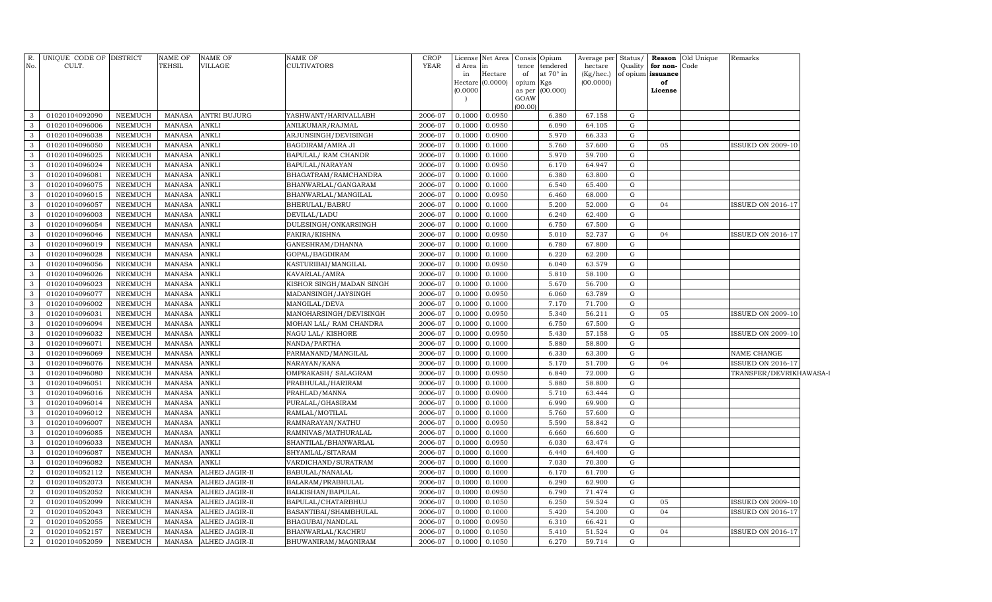| R.                           | UNIQUE CODE OF DISTRICT          |                                  | <b>NAME OF</b>                 | NAME OF               | NAME OF                                 | <b>CROP</b>        | License                  | Net Area         |           | Consis Opium    | Average per      | Status/        |                      | <b>Reason</b> Old Unique | Remarks                  |
|------------------------------|----------------------------------|----------------------------------|--------------------------------|-----------------------|-----------------------------------------|--------------------|--------------------------|------------------|-----------|-----------------|------------------|----------------|----------------------|--------------------------|--------------------------|
| No.                          | CULT.                            |                                  | <b>TEHSIL</b>                  | VILLAGE               | <b>CULTIVATORS</b>                      | <b>YEAR</b>        | d Area in                |                  |           | tence tendered  | hectare          |                | Quality for non-Code |                          |                          |
|                              |                                  |                                  |                                |                       |                                         |                    | in<br>Hectare $(0.0000)$ | Hectare          | of        | at 70° in       | (Kg/hec.)        |                | of opium issuance    |                          |                          |
|                              |                                  |                                  |                                |                       |                                         |                    | (0.0000)                 |                  | opium Kgs | as per (00.000) | (00.0000)        |                | of<br>License        |                          |                          |
|                              |                                  |                                  |                                |                       |                                         |                    |                          |                  | GOAW      |                 |                  |                |                      |                          |                          |
|                              |                                  |                                  |                                |                       |                                         |                    |                          |                  | (00.00)   |                 |                  |                |                      |                          |                          |
| 3                            | 01020104092090                   | NEEMUCH                          | MANASA                         | <b>ANTRI BUJURG</b>   | YASHWANT/HARIVALLABH                    | 2006-07            | 0.1000                   | 0.0950           |           | 6.380           | 67.158           | G              |                      |                          |                          |
| $\mathbf{3}$                 | 01020104096006                   | NEEMUCH                          | MANASA                         | ANKLI                 | ANILKUMAR/RAJMAL                        | 2006-07            | 0.1000                   | 0.0950           |           | 6.090           | 64.105           | G              |                      |                          |                          |
| $\mathbf{3}$                 | 01020104096038                   | NEEMUCH                          | MANASA                         | <b>ANKLI</b>          | ARJUNSINGH/DEVISINGH                    | 2006-07            | 0.1000                   | 0.0900           |           | 5.970           | 66.333           | G              |                      |                          |                          |
| 3                            | 01020104096050                   | NEEMUCH                          | MANASA                         | ANKLI                 | BAGDIRAM/AMRA JI                        | 2006-07            | 0.1000                   | 0.1000           |           | 5.760           | 57.600           | G              | 05                   |                          | <b>ISSUED ON 2009-10</b> |
| $\mathbf{3}$                 | 01020104096025                   | NEEMUCH                          | MANASA                         | ANKLI                 | BAPULAL/ RAM CHANDR                     | 2006-07            | 0.1000                   | 0.1000           |           | 5.970           | 59.700           | G              |                      |                          |                          |
| 3                            | 01020104096024                   | NEEMUCH                          | MANASA                         | ANKLI                 | BAPULAL/NARAYAN                         | 2006-07            | 0.1000                   | 0.0950           |           | 6.170           | 64.947           | G              |                      |                          |                          |
| 3                            | 01020104096081                   | NEEMUCH                          | MANASA                         | ANKLI                 | BHAGATRAM/RAMCHANDRA                    | 2006-07            | 0.1000                   | 0.1000           |           | 6.380           | 63.800           | G              |                      |                          |                          |
| $\mathbf{3}$                 | 01020104096075                   | <b>NEEMUCH</b>                   | MANASA                         | ANKLI                 | BHANWARLAL/GANGARAM                     | 2006-07            | 0.1000                   | 0.1000           |           | 6.540           | 65.400           | G              |                      |                          |                          |
| $\mathbf{3}$                 | 01020104096015                   | NEEMUCH                          | <b>MANASA</b>                  | ANKLI                 | BHANWARLAL/MANGILAL                     | 2006-07            | 0.1000                   | 0.0950           |           | 6.460           | 68.000           | G              |                      |                          |                          |
| $\mathbf{3}$                 | 01020104096057                   | <b>NEEMUCH</b>                   | MANASA                         | ANKLI                 | BHERULAL/BABRU                          | 2006-07            | 0.1000                   | 0.1000           |           | 5.200           | 52.000           | G              | 04                   |                          | ISSUED ON 2016-17        |
| $\mathbf{3}$                 | 01020104096003                   | <b>NEEMUCH</b>                   | MANASA                         | ANKLI                 | DEVILAL/LADU                            | 2006-07            | 0.1000                   | 0.1000           |           | 6.240           | 62.400           | ${\rm G}$      |                      |                          |                          |
| $\mathbf{3}$<br>$\mathbf{3}$ | 01020104096054                   | <b>NEEMUCH</b>                   | <b>MANASA</b>                  | ANKLI                 | DULESINGH/ONKARSINGH                    | 2006-07            | 0.1000                   | 0.1000           |           | 6.750           | 67.500           | G<br>${\rm G}$ |                      |                          |                          |
|                              | 01020104096046                   | <b>NEEMUCH</b>                   | <b>MANASA</b>                  | ANKLI                 | FAKIRA/KISHNA                           | 2006-07            | 0.1000                   | 0.0950           |           | 5.010           | 52.737           |                | 04                   |                          | <b>ISSUED ON 2016-17</b> |
| $\mathbf{3}$<br>$\mathbf{3}$ | 01020104096019                   | <b>NEEMUCH</b>                   | <b>MANASA</b>                  | ANKLI<br>ANKLI        | GANESHRAM/DHANNA                        | 2006-07            | 0.1000                   | 0.1000           |           | 6.780<br>6.220  | 67.800           | G<br>G         |                      |                          |                          |
| $\mathbf{3}$                 | 01020104096028                   | <b>NEEMUCH</b>                   | <b>MANASA</b>                  | ANKLI                 | GOPAL/BAGDIRAM                          | 2006-07            | 0.1000                   | 0.1000           |           |                 | 62.200<br>63.579 | G              |                      |                          |                          |
|                              | 01020104096056                   | <b>NEEMUCH</b>                   | <b>MANASA</b>                  |                       | KASTURIBAI/MANGILAL                     | 2006-07            | 0.1000                   | 0.0950           |           | 6.040           |                  |                |                      |                          |                          |
| $\mathbf{3}$                 | 01020104096026                   | <b>NEEMUCH</b>                   | <b>MANASA</b>                  | ANKLI                 | KAVARLAL/AMRA                           | 2006-07            | 0.1000                   | 0.1000           |           | 5.810           | 58.100           | ${\rm G}$      |                      |                          |                          |
| $\mathbf{3}$<br>$\mathbf{3}$ | 01020104096023                   | <b>NEEMUCH</b>                   | <b>MANASA</b>                  | ANKLI                 | KISHOR SINGH/MADAN SINGH                | 2006-07            | 0.1000                   | 0.1000           |           | 5.670           | 56.700           | G              |                      |                          |                          |
|                              | 01020104096077                   | <b>NEEMUCH</b>                   | <b>MANASA</b>                  | ANKLI                 | MADANSINGH/JAYSINGH                     | 2006-07            | 0.1000                   | 0.0950           |           | 6.060           | 63.789           | ${\rm G}$<br>G |                      |                          |                          |
| $\mathbf{3}$<br>$\mathbf{3}$ | 01020104096002<br>01020104096031 | <b>NEEMUCH</b><br><b>NEEMUCH</b> | <b>MANASA</b><br><b>MANASA</b> | ANKLI<br>ANKLI        | MANGILAL/DEVA<br>MANOHARSINGH/DEVISINGH | 2006-07<br>2006-07 | 0.1000<br>0.1000         | 0.1000<br>0.0950 |           | 7.170<br>5.340  | 71.700<br>56.211 | ${\rm G}$      | 05                   |                          | <b>ISSUED ON 2009-10</b> |
| $\mathbf{3}$                 | 01020104096094                   | NEEMUCH                          | <b>MANASA</b>                  | ANKLI                 | MOHAN LAL/ RAM CHANDRA                  | 2006-07            | 0.1000                   | 0.1000           |           | 6.750           | 67.500           | G              |                      |                          |                          |
| $\mathbf{3}$                 | 01020104096032                   | <b>NEEMUCH</b>                   | <b>MANASA</b>                  | ANKLI                 | NAGU LAL/KISHORE                        | 2006-07            | 0.1000                   | 0.0950           |           | 5.430           | 57.158           | ${\rm G}$      | 05                   |                          | <b>ISSUED ON 2009-10</b> |
| $\mathbf{3}$                 | 01020104096071                   | NEEMUCH                          | <b>MANASA</b>                  | ANKLI                 | NANDA/PARTHA                            | 2006-07            | 0.1000                   | 0.1000           |           | 5.880           | 58.800           | ${\rm G}$      |                      |                          |                          |
| $\mathbf{3}$                 | 01020104096069                   | <b>NEEMUCH</b>                   | <b>MANASA</b>                  | ANKLI                 | PARMANAND/MANGILAL                      | 2006-07            | 0.1000                   | 0.1000           |           | 6.330           | 63.300           | ${\rm G}$      |                      |                          | NAME CHANGE              |
| $\mathbf{3}$                 | 01020104096076                   | NEEMUCH                          | <b>MANASA</b>                  | ANKLI                 | NARAYAN/KANA                            | 2006-07            | 0.1000                   | 0.1000           |           | 5.170           | 51.700           | G              | 04                   |                          | ISSUED ON 2016-17        |
| $\mathbf{3}$                 | 01020104096080                   | <b>NEEMUCH</b>                   | <b>MANASA</b>                  | ANKLI                 | OMPRAKASH / SALAGRAM                    | 2006-07            | 0.1000                   | 0.0950           |           | 6.840           | 72.000           | ${\rm G}$      |                      |                          | TRANSFER/DEVRIKHAWASA-1  |
| $\mathbf{3}$                 | 01020104096051                   | NEEMUCH                          | <b>MANASA</b>                  | ANKLI                 | PRABHULAL/HARIRAM                       | 2006-07            | 0.1000                   | 0.1000           |           | 5.880           | 58.800           | G              |                      |                          |                          |
| $\mathbf{3}$                 | 01020104096016                   | <b>NEEMUCH</b>                   | MANASA                         | ANKLI                 | PRAHLAD/MANNA                           | 2006-07            | 0.1000                   | 0.0900           |           | 5.710           | 63.444           | G              |                      |                          |                          |
| $\mathbf{3}$                 | 01020104096014                   | <b>NEEMUCH</b>                   | <b>MANASA</b>                  | ANKLI                 | PURALAL/GHASIRAM                        | 2006-07            | 0.1000                   | 0.1000           |           | 6.990           | 69.900           | G              |                      |                          |                          |
| $\mathbf{3}$                 | 01020104096012                   | <b>NEEMUCH</b>                   | <b>MANASA</b>                  | ANKLI                 | RAMLAL/MOTILAL                          | 2006-07            | 0.1000                   | 0.1000           |           | 5.760           | 57.600           | ${\rm G}$      |                      |                          |                          |
| $\mathbf{3}$                 | 01020104096007                   | <b>NEEMUCH</b>                   | <b>MANASA</b>                  | ANKLI                 | RAMNARAYAN/NATHU                        | 2006-07            | 0.1000                   | 0.0950           |           | 5.590           | 58.842           | G              |                      |                          |                          |
| $\mathbf{3}$                 | 01020104096085                   | <b>NEEMUCH</b>                   | <b>MANASA</b>                  | ANKLI                 | RAMNIVAS/MATHURALAL                     | 2006-07            | 0.1000                   | 0.1000           |           | 6.660           | 66.600           | G              |                      |                          |                          |
| $\mathbf{3}$                 | 01020104096033                   | <b>NEEMUCH</b>                   | <b>MANASA</b>                  | ANKLI                 | SHANTILAL/BHANWARLAL                    | 2006-07            | 0.1000                   | 0.0950           |           | 6.030           | 63.474           | G              |                      |                          |                          |
| $\mathbf{3}$                 | 01020104096087                   | NEEMUCH                          | <b>MANASA</b>                  | ANKLI                 | SHYAMLAL/SITARAM                        | 2006-07            | 0.1000                   | 0.1000           |           | 6.440           | 64.400           | G              |                      |                          |                          |
| $\mathbf{3}$                 | 01020104096082                   | <b>NEEMUCH</b>                   | MANASA                         | ANKLI                 | VARDICHAND/SURATRAM                     | 2006-07            | 0.1000                   | 0.1000           |           | 7.030           | 70.300           | G              |                      |                          |                          |
| $\overline{2}$               | 01020104052112                   | <b>NEEMUCH</b>                   | <b>MANASA</b>                  | ALHED JAGIR-II        | BABULAL/NANALAL                         | 2006-07            | 0.1000                   | 0.1000           |           | 6.170           | 61.700           | G              |                      |                          |                          |
| $\overline{2}$               | 01020104052073                   | <b>NEEMUCH</b>                   | <b>MANASA</b>                  | ALHED JAGIR-II        | BALARAM/PRABHULAL                       | 2006-07            | 0.1000                   | 0.1000           |           | 6.290           | 62.900           | G              |                      |                          |                          |
| $\overline{2}$               | 01020104052052                   | <b>NEEMUCH</b>                   | <b>MANASA</b>                  | ALHED JAGIR-II        | BALKISHAN/BAPULAL                       | 2006-07            | 0.1000                   | 0.0950           |           | 6.790           | 71.474           | ${\rm G}$      |                      |                          |                          |
| $\overline{2}$               | 01020104052099                   | <b>NEEMUCH</b>                   | <b>MANASA</b>                  | ALHED JAGIR-II        | BAPULAL/CHATARBHUJ                      | 2006-07            | 0.1000                   | 0.1050           |           | 6.250           | 59.524           | G              | 05                   |                          | <b>ISSUED ON 2009-10</b> |
| $\overline{2}$               | 01020104052043                   | <b>NEEMUCH</b>                   | MANASA                         | ALHED JAGIR-II        | BASANTIBAI/SHAMBHULAL                   | 2006-07            | 0.1000                   | 0.1000           |           | 5.420           | 54.200           | G              | 04                   |                          | ISSUED ON 2016-17        |
| $\overline{2}$               | 01020104052055                   | <b>NEEMUCH</b>                   | <b>MANASA</b>                  | ALHED JAGIR-II        | BHAGUBAI/NANDLAL                        | 2006-07            | 0.1000                   | 0.0950           |           | 6.310           | 66.421           | G              |                      |                          |                          |
| 2                            | 01020104052157                   | <b>NEEMUCH</b>                   | MANASA                         | ALHED JAGIR-II        | BHANWARLAL/KACHRU                       | 2006-07            | 0.1000                   | 0.1050           |           | 5.410           | 51.524           | G              | 04                   |                          | ISSUED ON 2016-17        |
| $\overline{a}$               | 01020104052059                   | NEEMUCH                          | <b>MANASA</b>                  | <b>ALHED JAGIR-II</b> | BHUWANIRAM / MAGNIRAM                   | 2006-07            | 0.1000                   | 0.1050           |           | 6.270           | 59.714           | G              |                      |                          |                          |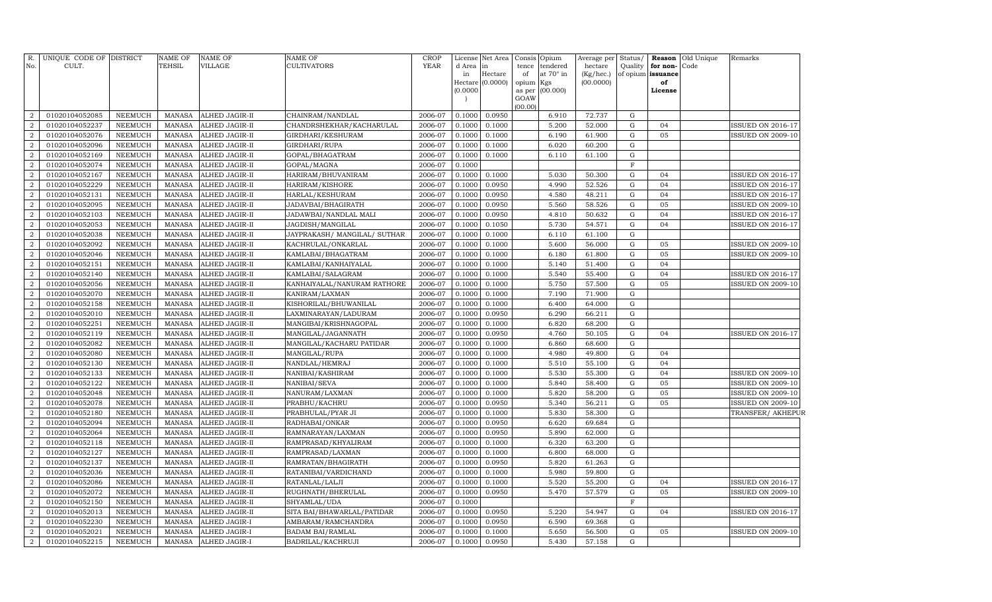| R.<br>No.                        | UNIQUE CODE OF DISTRICT<br>CULT. |                                  | <b>NAME OF</b><br>TEHSIL       | <b>NAME OF</b><br><b>VILLAGE</b> | NAME OF<br>CULTIVATORS                           | <b>CROP</b><br>YEAR | d Area           | License Net Area Consis Opium<br>lin | tence          | tendered       | Average per<br>hectare | Status/<br>Quality | for non-Code      | <b>Reason</b> Old Unique | Remarks                  |
|----------------------------------|----------------------------------|----------------------------------|--------------------------------|----------------------------------|--------------------------------------------------|---------------------|------------------|--------------------------------------|----------------|----------------|------------------------|--------------------|-------------------|--------------------------|--------------------------|
|                                  |                                  |                                  |                                |                                  |                                                  |                     | in               | Hectare                              | of             | at 70° in      | (Kg/hec.)              |                    | of opium issuance |                          |                          |
|                                  |                                  |                                  |                                |                                  |                                                  |                     | Hectare          | (0.0000)                             | opium          | Kgs            | (00.0000)              |                    | of                |                          |                          |
|                                  |                                  |                                  |                                |                                  |                                                  |                     | (0.0000)         |                                      | as per<br>GOAW | (00.000)       |                        |                    | License           |                          |                          |
|                                  |                                  |                                  |                                |                                  |                                                  |                     |                  |                                      | (00.00)        |                |                        |                    |                   |                          |                          |
| 2                                | 01020104052085                   | <b>NEEMUCH</b>                   | <b>MANASA</b>                  | ALHED JAGIR-II                   | CHAINRAM/NANDLAL                                 | 2006-07             | 0.1000           | 0.0950                               |                | 6.910          | 72.737                 | $\mathbf G$        |                   |                          |                          |
| $\overline{2}$                   | 01020104052237                   | <b>NEEMUCH</b>                   | <b>MANASA</b>                  | ALHED JAGIR-II                   | CHANDRSHEKHAR/KACHARULAL                         | 2006-07             | 0.1000           | 0.1000                               |                | 5.200          | 52.000                 | G                  | 04                |                          | <b>ISSUED ON 2016-17</b> |
| $\overline{2}$                   | 01020104052076                   | NEEMUCH                          | <b>MANASA</b>                  | ALHED JAGIR-II                   | GIRDHARI/KESHURAM                                | 2006-07             | 0.1000           | 0.1000                               |                | 6.190          | 61.900                 | G                  | 05                |                          | <b>ISSUED ON 2009-10</b> |
| $\overline{2}$                   | 01020104052096                   | <b>NEEMUCH</b>                   | <b>MANASA</b>                  | ALHED JAGIR-II                   | GIRDHARI/RUPA                                    | 2006-07             | 0.1000           | 0.1000                               |                | 6.020          | 60.200                 | G                  |                   |                          |                          |
| $\overline{2}$                   | 01020104052169                   | <b>NEEMUCH</b>                   | <b>MANASA</b>                  | ALHED JAGIR-II                   | GOPAL/BHAGATRAM                                  | 2006-07             | 0.1000           | 0.1000                               |                | 6.110          | 61.100                 | G                  |                   |                          |                          |
| $\overline{2}$                   | 01020104052074                   | <b>NEEMUCH</b>                   | <b>MANASA</b>                  | ALHED JAGIR-II                   | GOPAL/MAGNA                                      | 2006-07             | 0.1000           |                                      |                |                |                        | $\mathbf F$        |                   |                          |                          |
| $\overline{2}$                   | 01020104052167                   | <b>NEEMUCH</b>                   | <b>MANASA</b>                  | ALHED JAGIR-II                   | HARIRAM/BHUVANIRAM                               | 2006-07             | 0.1000           | 0.1000                               |                | 5.030          | 50.300                 | ${\rm G}$          | 04                |                          | <b>ISSUED ON 2016-17</b> |
| $\overline{2}$                   | 01020104052229                   | <b>NEEMUCH</b>                   | <b>MANASA</b>                  | ALHED JAGIR-II                   | HARIRAM/KISHORE                                  | 2006-07             | 0.1000           | 0.0950                               |                | 4.990          | 52.526                 | G                  | 04                |                          | <b>ISSUED ON 2016-17</b> |
| $\overline{2}$                   | 01020104052131                   | <b>NEEMUCH</b>                   | <b>MANASA</b>                  | ALHED JAGIR-II                   | HARLAL/KESHURAM                                  | 2006-07             | 0.1000           | 0.0950                               |                | 4.580          | 48.211                 | ${\rm G}$          | 04                |                          | <b>ISSUED ON 2016-17</b> |
| $\overline{2}$                   | 01020104052095                   | <b>NEEMUCH</b>                   | <b>MANASA</b>                  | ALHED JAGIR-II                   | JADAVBAI/BHAGIRATH                               | 2006-07             | 0.1000           | 0.0950                               |                | 5.560          | 58.526                 | G                  | 05                |                          | <b>ISSUED ON 2009-10</b> |
| $\overline{2}$                   | 01020104052103                   | <b>NEEMUCH</b>                   | <b>MANASA</b>                  | ALHED JAGIR-II                   | JADAWBAI/NANDLAL MALI                            | 2006-07             | 0.1000           | 0.0950                               |                | 4.810          | 50.632                 | ${\rm G}$          | 04                |                          | <b>ISSUED ON 2016-17</b> |
| $\overline{2}$                   | 01020104052053                   | NEEMUCH                          | <b>MANASA</b>                  | ALHED JAGIR-II                   | JAGDISH/MANGILAL                                 | 2006-07             | 0.1000           | 0.1050                               |                | 5.730          | 54.571                 | G                  | 04                |                          | <b>ISSUED ON 2016-17</b> |
| $\overline{2}$                   | 01020104052038                   | NEEMUCH                          | <b>MANASA</b>                  | ALHED JAGIR-II                   | JAYPRAKASH/ MANGILAL/ SUTHAR                     | 2006-07             | 0.1000           | 0.1000                               |                | 6.110          | 61.100                 | G                  |                   |                          |                          |
| $\overline{2}$                   | 01020104052092                   | <b>NEEMUCH</b>                   | <b>MANASA</b>                  | ALHED JAGIR-II                   | KACHRULAL/ONKARLAL                               | 2006-07             | 0.1000           | 0.1000                               |                | 5.600          | 56.000                 | G                  | 05                |                          | <b>ISSUED ON 2009-10</b> |
| $\overline{2}$                   | 01020104052046                   | NEEMUCH                          | <b>MANASA</b>                  | ALHED JAGIR-II                   | KAMLABAI/BHAGATRAM                               | 2006-07             | 0.1000           | 0.1000                               |                | 6.180          | 61.800                 | ${\rm G}$          | 05                |                          | <b>ISSUED ON 2009-10</b> |
| $\overline{2}$                   | 01020104052151                   | <b>NEEMUCH</b>                   | <b>MANASA</b>                  | ALHED JAGIR-II                   | KAMLABAI/KANHAIYALAL                             | 2006-07             | 0.1000           | 0.1000                               |                | 5.140          | 51.400                 | G                  | 04                |                          |                          |
| $\overline{2}$                   | 01020104052140                   | <b>NEEMUCH</b>                   | <b>MANASA</b>                  | ALHED JAGIR-II                   | KAMLABAI/SALAGRAM                                | 2006-07             | 0.1000           | 0.1000                               |                | 5.540          | 55.400                 | G                  | 04                |                          | <b>ISSUED ON 2016-17</b> |
| $\overline{2}$                   | 01020104052056                   | <b>NEEMUCH</b>                   | <b>MANASA</b>                  | ALHED JAGIR-II                   | KANHAIYALAL/NANURAM RATHORE                      | 2006-07             | 0.1000           | 0.1000                               |                | 5.750          | 57.500                 | G                  | 05                |                          | <b>ISSUED ON 2009-10</b> |
| $\overline{2}$                   | 01020104052070                   | <b>NEEMUCH</b>                   | <b>MANASA</b>                  | ALHED JAGIR-II                   | KANIRAM/LAXMAN                                   | 2006-07             | 0.1000           | 0.1000                               |                | 7.190          | 71.900                 | G                  |                   |                          |                          |
| $\boldsymbol{2}$                 | 01020104052158                   | <b>NEEMUCH</b>                   | <b>MANASA</b>                  | ALHED JAGIR-II                   | KISHORILAL/BHUWANILAL                            | 2006-07             | 0.1000           | 0.1000                               |                | 6.400          | 64.000                 | G                  |                   |                          |                          |
| $\overline{2}$                   | 01020104052010                   | <b>NEEMUCH</b>                   | <b>MANASA</b>                  | ALHED JAGIR-II                   | LAXMINARAYAN/LADURAM                             | 2006-07             | 0.1000           | 0.0950                               |                | 6.290          | 66.211                 | ${\rm G}$          |                   |                          |                          |
| $\overline{2}$                   | 01020104052251                   | <b>NEEMUCH</b>                   | <b>MANASA</b>                  | ALHED JAGIR-II                   | MANGIBAI/KRISHNAGOPAL                            | 2006-07             | 0.1000           | 0.1000                               |                | 6.820          | 68.200                 | G                  |                   |                          |                          |
| $\overline{2}$                   | 01020104052119                   | <b>NEEMUCH</b>                   | <b>MANASA</b>                  | ALHED JAGIR-II                   | MANGILAL/JAGANNATH                               | 2006-07             | 0.100            | 0.0950                               |                | 4.760          | 50.105                 | ${\rm G}$          | 04                |                          | <b>ISSUED ON 2016-17</b> |
| $\boldsymbol{2}$                 | 01020104052082                   | <b>NEEMUCH</b>                   | <b>MANASA</b>                  | ALHED JAGIR-II                   | MANGILAL/KACHARU PATIDAR                         | 2006-07             | 0.1000           | 0.1000                               |                | 6.860          | 68.600                 | G                  |                   |                          |                          |
| $\overline{2}$                   | 01020104052080                   | <b>NEEMUCH</b>                   | <b>MANASA</b>                  | ALHED JAGIR-II                   | MANGILAL/RUPA                                    | 2006-07             | 0.1000           | 0.1000                               |                | 4.980          | 49.800                 | G                  | 04                |                          |                          |
| $\boldsymbol{2}$                 | 01020104052130                   | NEEMUCH                          | <b>MANASA</b>                  | ALHED JAGIR-II                   | NANDLAL/HEMRAJ                                   | 2006-07             | 0.1000           | 0.1000                               |                | 5.510          | 55.100                 | G                  | 04                |                          |                          |
| $\boldsymbol{2}$                 | 01020104052133                   | NEEMUCH                          | <b>MANASA</b>                  | ALHED JAGIR-II                   | NANIBAI/KASHIRAM                                 | 2006-07             | 0.1000           | 0.1000                               |                | 5.530          | 55.300                 | G                  | 04                |                          | <b>ISSUED ON 2009-10</b> |
| $\overline{2}$                   | 01020104052122                   | <b>NEEMUCH</b>                   | <b>MANASA</b>                  | ALHED JAGIR-II                   | NANIBAI/SEVA                                     | 2006-07             | 0.1000           | 0.1000                               |                | 5.840          | 58.400                 | G                  | 05                |                          | <b>ISSUED ON 2009-10</b> |
| $\overline{2}$                   | 01020104052048                   | <b>NEEMUCH</b>                   | <b>MANASA</b>                  | ALHED JAGIR-II                   | NANURAM/LAXMAN                                   | 2006-07             | 0.100            | 0.1000                               |                | 5.820          | 58.200                 | G                  | 05                |                          | <b>ISSUED ON 2009-10</b> |
| $\overline{2}$                   | 01020104052078                   | NEEMUCH                          | <b>MANASA</b>                  | ALHED JAGIR-II                   | PRABHU/KACHRU                                    | 2006-07             | 0.1000           | 0.0950                               |                | 5.340          | 56.211                 | G                  | 05                |                          | <b>ISSUED ON 2009-10</b> |
| $\overline{2}$                   | 01020104052180                   | <b>NEEMUCH</b>                   | <b>MANASA</b>                  | ALHED JAGIR-II                   | PRABHULAL/PYAR JI                                | 2006-07             | 0.1000           | 0.1000                               |                | 5.830          | 58.300                 | G                  |                   |                          | TRANSFER/ AKHEPUR        |
| $\overline{2}$                   | 01020104052094                   | <b>NEEMUCH</b>                   | <b>MANASA</b>                  | ALHED JAGIR-II                   | RADHABAI/ONKAR                                   | 2006-07             | 0.1000           | 0.0950                               |                | 6.620          | 69.684                 | G                  |                   |                          |                          |
| $\overline{a}$                   | 01020104052064                   | <b>NEEMUCH</b>                   | <b>MANASA</b>                  | ALHED JAGIR-II                   | RAMNARAYAN/LAXMAN                                | 2006-07             | 0.100            | 0.0950                               |                | 5.890          | 62.000                 | G                  |                   |                          |                          |
| $\overline{2}$                   | 01020104052118                   | <b>NEEMUCH</b>                   | <b>MANASA</b>                  | ALHED JAGIR-II                   | RAMPRASAD/KHYALIRAM                              | 2006-07             | 0.1000           | 0.1000                               |                | 6.320          | 63.200                 | G                  |                   |                          |                          |
| $\overline{2}$<br>$\overline{2}$ | 01020104052127                   | <b>NEEMUCH</b>                   | <b>MANASA</b>                  | ALHED JAGIR-II                   | RAMPRASAD/LAXMAN                                 | 2006-07             | 0.1000           | 0.1000                               |                | 6.800          | 68.000                 | G<br>G             |                   |                          |                          |
| $\overline{2}$                   | 01020104052137                   | <b>NEEMUCH</b>                   | <b>MANASA</b>                  | ALHED JAGIR-II                   | RAMRATAN/BHAGIRATH                               | 2006-07             | 0.1000           | 0.0950                               |                | 5.820          | 61.263                 |                    |                   |                          |                          |
| $\boldsymbol{2}$                 | 01020104052036<br>01020104052086 | <b>NEEMUCH</b><br><b>NEEMUCH</b> | <b>MANASA</b><br><b>MANASA</b> | ALHED JAGIR-II<br>ALHED JAGIR-II | RATANIBAI/VARDICHAND<br>RATANLAL/LALJI           | 2006-07<br>2006-07  | 0.1000<br>0.1000 | 0.1000<br>0.1000                     |                | 5.980<br>5.520 | 59.800<br>55.200       | G<br>G             | 04                |                          | <b>ISSUED ON 2016-17</b> |
| $\overline{2}$                   | 01020104052072                   |                                  | <b>MANASA</b>                  | ALHED JAGIR-II                   | RUGHNATH/BHERULAL                                | 2006-07             | 0.100            | 0.0950                               |                | 5.470          | 57.579                 | G                  | 05                |                          | ISSUED ON 2009-10        |
| $\boldsymbol{2}$                 | 01020104052150                   | NEEMUCH<br><b>NEEMUCH</b>        | <b>MANASA</b>                  | ALHED JAGIR-II                   | SHYAMLAL/UDA                                     | 2006-07             | 0.1000           |                                      |                |                |                        | F                  |                   |                          |                          |
| $\overline{2}$                   | 01020104052013                   | <b>NEEMUCH</b>                   | <b>MANASA</b>                  | ALHED JAGIR-II                   |                                                  | 2006-07             | 0.1000           | 0.0950                               |                | 5.220          | 54.947                 | G                  | 04                |                          | <b>ISSUED ON 2016-17</b> |
| $\overline{2}$                   | 01020104052230                   | <b>NEEMUCH</b>                   | <b>MANASA</b>                  | ALHED JAGIR-I                    | SITA BAI/BHAWARLAL/PATIDAR<br>AMBARAM/RAMCHANDRA | 2006-07             | 0.1000           | 0.0950                               |                | 6.590          | 69.368                 | G                  |                   |                          |                          |
| 2                                | 01020104052021                   | <b>NEEMUCH</b>                   | <b>MANASA</b>                  | ALHED JAGIR-I                    | <b>BADAM BAI/RAMLAL</b>                          | 2006-07             | 0.100            | 0.1000                               |                | 5.650          | 56.500                 | G                  | 05                |                          | <b>ISSUED ON 2009-10</b> |
| $\sqrt{2}$                       | 01020104052215                   | NEEMUCH                          | <b>MANASA</b>                  | ALHED JAGIR-I                    | BADRILAL/KACHRUJI                                | 2006-07             | 0.1000           | 0.0950                               |                | 5.430          | 57.158                 | G                  |                   |                          |                          |
|                                  |                                  |                                  |                                |                                  |                                                  |                     |                  |                                      |                |                |                        |                    |                   |                          |                          |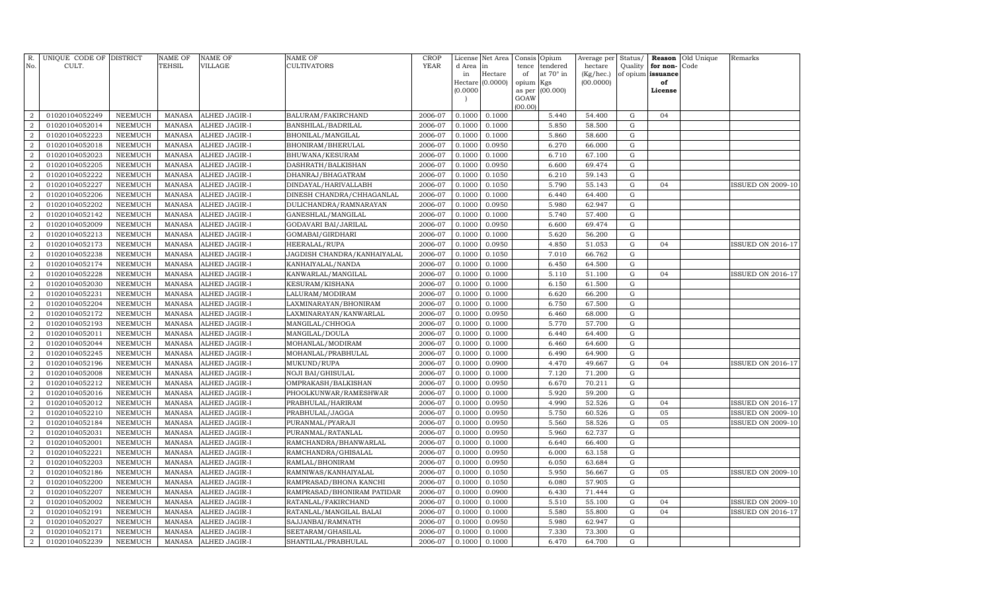| R.<br>No.        | UNIQUE CODE OF DISTRICT<br>CULT. |                | <b>NAME OF</b><br>TEHSIL | <b>NAME OF</b><br><b>VILLAGE</b> | NAME OF<br><b>CULTIVATORS</b> | <b>CROP</b><br>YEAR | License<br>d Area | Net Area<br>in   | Consis<br>tence | Opium<br>tendered | Average per<br>hectare | Status/<br>Quality | Reason<br>for non- | Old Unique<br>Code | Remarks                  |
|------------------|----------------------------------|----------------|--------------------------|----------------------------------|-------------------------------|---------------------|-------------------|------------------|-----------------|-------------------|------------------------|--------------------|--------------------|--------------------|--------------------------|
|                  |                                  |                |                          |                                  |                               |                     | in                | Hectare          | of              | at 70° in         | $(Kg/$ hec.)           |                    | of opium issuance  |                    |                          |
|                  |                                  |                |                          |                                  |                               |                     |                   | Hectare (0.0000) | opium           | Kgs               | (00.0000)              |                    | of                 |                    |                          |
|                  |                                  |                |                          |                                  |                               |                     | (0.0000)          |                  | as per          | (00.000)          |                        |                    | License            |                    |                          |
|                  |                                  |                |                          |                                  |                               |                     |                   |                  | GOAW<br>(00.00) |                   |                        |                    |                    |                    |                          |
| $\overline{a}$   | 01020104052249                   | <b>NEEMUCH</b> | <b>MANASA</b>            | ALHED JAGIR-I                    | BALURAM/FAKIRCHAND            | 2006-07             | 0.1000            | 0.1000           |                 | 5.440             | 54.400                 | ${\rm G}$          | 04                 |                    |                          |
| $\overline{2}$   | 01020104052014                   | <b>NEEMUCH</b> | <b>MANASA</b>            | ALHED JAGIR-I                    | BANSHILAL/BADRILAL            | 2006-07             | 0.1000            | 0.1000           |                 | 5.850             | 58.500                 | G                  |                    |                    |                          |
| $\overline{2}$   | 01020104052223                   | <b>NEEMUCH</b> | <b>MANASA</b>            | ALHED JAGIR-I                    | BHONILAL/MANGILAL             | 2006-07             | 0.1000            | 0.1000           |                 | 5.860             | 58.600                 | ${\rm G}$          |                    |                    |                          |
| $\overline{2}$   | 01020104052018                   | <b>NEEMUCH</b> | <b>MANASA</b>            | ALHED JAGIR-I                    | BHONIRAM/BHERULAL             | 2006-07             | 0.1000            | 0.0950           |                 | 6.270             | 66.000                 | ${\rm G}$          |                    |                    |                          |
| $\overline{a}$   | 01020104052023                   | <b>NEEMUCH</b> | <b>MANASA</b>            | ALHED JAGIR-I                    | BHUWANA/KESURAM               | 2006-07             | 0.1000            | 0.1000           |                 | 6.710             | 67.100                 | ${\rm G}$          |                    |                    |                          |
| $\overline{2}$   | 01020104052205                   | <b>NEEMUCH</b> | <b>MANASA</b>            | ALHED JAGIR-I                    | DASHRATH/BALKISHAN            | 2006-07             | 0.1000            | 0.0950           |                 | 6.600             | 69.474                 | ${\rm G}$          |                    |                    |                          |
| 2                | 01020104052222                   | <b>NEEMUCH</b> | <b>MANASA</b>            | ALHED JAGIR-I                    | DHANRAJ/BHAGATRAM             | 2006-07             | 0.1000            | 0.1050           |                 | 6.210             | 59.143                 | ${\rm G}$          |                    |                    |                          |
| $\overline{2}$   | 01020104052227                   | <b>NEEMUCH</b> | <b>MANASA</b>            | ALHED JAGIR-I                    | DINDAYAL/HARIVALLABH          | 2006-07             | 0.1000            | 0.1050           |                 | 5.790             | 55.143                 | ${\rm G}$          | 04                 |                    | <b>ISSUED ON 2009-10</b> |
| $\overline{2}$   | 01020104052206                   | <b>NEEMUCH</b> | <b>MANASA</b>            | ALHED JAGIR-I                    | DINESH CHANDRA/CHHAGANLAL     | 2006-07             | 0.1000            | 0.1000           |                 | 6.440             | 64.400                 | $\mathbf G$        |                    |                    |                          |
| $\overline{2}$   | 01020104052202                   | <b>NEEMUCH</b> | <b>MANASA</b>            | ALHED JAGIR-I                    | DULICHANDRA/RAMNARAYAN        | 2006-07             | 0.1000            | 0.0950           |                 | 5.980             | 62.947                 | G                  |                    |                    |                          |
| $\overline{a}$   | 01020104052142                   | <b>NEEMUCH</b> | <b>MANASA</b>            | ALHED JAGIR-I                    | GANESHLAL/MANGILAL            | 2006-07             | 0.1000            | 0.1000           |                 | 5.740             | 57.400                 | ${\rm G}$          |                    |                    |                          |
| $\overline{2}$   | 01020104052009                   | <b>NEEMUCH</b> | <b>MANASA</b>            | ALHED JAGIR-I                    | GODAVARI BAI/JARILAL          | 2006-07             | 0.1000            | 0.0950           |                 | 6.600             | 69.474                 | ${\bf G}$          |                    |                    |                          |
| $\overline{2}$   | 01020104052213                   | <b>NEEMUCH</b> | <b>MANASA</b>            | ALHED JAGIR-I                    | GOMABAI/GIRDHARI              | 2006-07             | 0.1000            | 0.1000           |                 | 5.620             | 56.200                 | ${\bf G}$          |                    |                    |                          |
| $\overline{2}$   | 01020104052173                   | <b>NEEMUCH</b> | <b>MANASA</b>            | ALHED JAGIR-I                    | HEERALAL/RUPA                 | 2006-07             | 0.1000            | 0.0950           |                 | 4.850             | 51.053                 | ${\rm G}$          | 04                 |                    | <b>ISSUED ON 2016-17</b> |
| $\overline{a}$   | 01020104052238                   | <b>NEEMUCH</b> | <b>MANASA</b>            | ALHED JAGIR-I                    | JAGDISH CHANDRA/KANHAIYALAL   | 2006-07             | 0.1000            | 0.1050           |                 | 7.010             | 66.762                 | ${\rm G}$          |                    |                    |                          |
| $\overline{2}$   | 01020104052174                   | <b>NEEMUCH</b> | <b>MANASA</b>            | ALHED JAGIR-I                    | KANHAIYALAL/NANDA             | 2006-07             | 0.1000            | 0.1000           |                 | 6.450             | 64.500                 | ${\rm G}$          |                    |                    |                          |
| $\overline{2}$   | 01020104052228                   | <b>NEEMUCH</b> | <b>MANASA</b>            | ALHED JAGIR-I                    | KANWARLAL/MANGILAL            | 2006-07             | 0.1000            | 0.1000           |                 | 5.110             | 51.100                 | ${\rm G}$          | 04                 |                    | ISSUED ON 2016-17        |
| $\overline{2}$   | 01020104052030                   | <b>NEEMUCH</b> | <b>MANASA</b>            | ALHED JAGIR-I                    | KESURAM/KISHANA               | 2006-07             | 0.1000            | 0.1000           |                 | 6.150             | 61.500                 | ${\rm G}$          |                    |                    |                          |
| $\overline{a}$   | 01020104052231                   | NEEMUCH        | <b>MANASA</b>            | ALHED JAGIR-I                    | LALURAM/MODIRAM               | 2006-07             | 0.1000            | 0.1000           |                 | 6.620             | 66.200                 | ${\bf G}$          |                    |                    |                          |
| $\overline{a}$   | 01020104052204                   | <b>NEEMUCH</b> | <b>MANASA</b>            | ALHED JAGIR-I                    | LAXMINARAYAN/BHONIRAM         | 2006-07             | 0.1000            | 0.1000           |                 | 6.750             | 67.500                 | ${\rm G}$          |                    |                    |                          |
| $\overline{2}$   | 01020104052172                   | NEEMUCH        | <b>MANASA</b>            | ALHED JAGIR-I                    | LAXMINARAYAN/KANWARLAL        | 2006-07             | 0.1000            | 0.0950           |                 | 6.460             | 68.000                 | ${\rm G}$          |                    |                    |                          |
| $\overline{2}$   | 01020104052193                   | <b>NEEMUCH</b> | <b>MANASA</b>            | ALHED JAGIR-I                    | MANGILAL/CHHOGA               | 2006-07             | 0.1000            | 0.1000           |                 | 5.770             | 57.700                 | ${\bf G}$          |                    |                    |                          |
| $\overline{2}$   | 01020104052011                   | NEEMUCH        | <b>MANASA</b>            | ALHED JAGIR-I                    | MANGILAL/DOULA                | 2006-07             | 0.1000            | 0.1000           |                 | 6.440             | 64.400                 | ${\bf G}$          |                    |                    |                          |
| $\overline{2}$   | 01020104052044                   | <b>NEEMUCH</b> | <b>MANASA</b>            | ALHED JAGIR-I                    | MOHANLAL/MODIRAM              | 2006-07             | 0.1000            | 0.1000           |                 | 6.460             | 64.600                 | ${\bf G}$          |                    |                    |                          |
| $\overline{2}$   | 01020104052245                   | <b>NEEMUCH</b> | <b>MANASA</b>            | ALHED JAGIR-I                    | MOHANLAL/PRABHULAL            | 2006-07             | 0.1000            | 0.1000           |                 | 6.490             | 64.900                 | ${\bf G}$          |                    |                    |                          |
| $\overline{2}$   | 01020104052196                   | <b>NEEMUCH</b> | <b>MANASA</b>            | ALHED JAGIR-I                    | MUKUND/RUPA                   | 2006-07             | 0.1000            | 0.0900           |                 | 4.470             | 49.667                 | ${\rm G}$          | 04                 |                    | <b>ISSUED ON 2016-17</b> |
| $\overline{2}$   | 01020104052008                   | <b>NEEMUCH</b> | <b>MANASA</b>            | ALHED JAGIR-I                    | NOJI BAI/GHISULAL             | 2006-07             | 0.1000            | 0.1000           |                 | 7.120             | 71.200                 | ${\rm G}$          |                    |                    |                          |
| $\overline{2}$   | 01020104052212                   | <b>NEEMUCH</b> | <b>MANASA</b>            | ALHED JAGIR-I                    | OMPRAKASH/BALKISHAN           | 2006-07             | 0.1000            | 0.0950           |                 | 6.670             | 70.211                 | ${\rm G}$          |                    |                    |                          |
| $\overline{2}$   | 01020104052016                   | <b>NEEMUCH</b> | <b>MANASA</b>            | ALHED JAGIR-I                    | PHOOLKUNWAR/RAMESHWAR         | 2006-07             | 0.1000            | 0.1000           |                 | 5.920             | 59.200                 | ${\bf G}$          |                    |                    |                          |
| $\boldsymbol{2}$ | 01020104052012                   | <b>NEEMUCH</b> | <b>MANASA</b>            | ALHED JAGIR-I                    | PRABHULAL/HARIRAM             | 2006-07             | 0.1000            | 0.0950           |                 | 4.990             | 52.526                 | ${\bf G}$          | 04                 |                    | ISSUED ON 2016-17        |
| $\overline{2}$   | 01020104052210                   | <b>NEEMUCH</b> | <b>MANASA</b>            | ALHED JAGIR-I                    | PRABHULAL/JAGGA               | 2006-07             | 0.1000            | 0.0950           |                 | 5.750             | 60.526                 | ${\bf G}$          | 05                 |                    | <b>ISSUED ON 2009-10</b> |
| $\overline{2}$   | 01020104052184                   | NEEMUCH        | <b>MANASA</b>            | ALHED JAGIR-I                    | PURANMAL/PYARAJI              | 2006-07             | 0.1000            | 0.0950           |                 | 5.560             | 58.526                 | ${\rm G}$          | 05                 |                    | <b>ISSUED ON 2009-10</b> |
| $\overline{2}$   | 01020104052031                   | NEEMUCH        | <b>MANASA</b>            | ALHED JAGIR-I                    | PURANMAL/RATANLAL             | 2006-07             | 0.1000            | 0.0950           |                 | 5.960             | 62.737                 | ${\bf G}$          |                    |                    |                          |
| $\overline{2}$   | 01020104052001                   | <b>NEEMUCH</b> | <b>MANASA</b>            | ALHED JAGIR-I                    | RAMCHANDRA/BHANWARLAL         | 2006-07             | 0.1000            | 0.1000           |                 | 6.640             | 66.400                 | ${\rm G}$          |                    |                    |                          |
| $\overline{2}$   | 01020104052221                   | <b>NEEMUCH</b> | <b>MANASA</b>            | ALHED JAGIR-I                    | RAMCHANDRA/GHISALAL           | 2006-07             | 0.1000            | 0.0950           |                 | 6.000             | 63.158                 | ${\rm G}$          |                    |                    |                          |
| $\overline{2}$   | 01020104052203                   | <b>NEEMUCH</b> | <b>MANASA</b>            | ALHED JAGIR-I                    | RAMLAL/BHONIRAM               | 2006-07             | 0.1000            | 0.0950           |                 | 6.050             | 63.684                 | ${\bf G}$          |                    |                    |                          |
| $\overline{2}$   | 01020104052186                   | <b>NEEMUCH</b> | <b>MANASA</b>            | ALHED JAGIR-I                    | RAMNIWAS/KANHAIYALAL          | 2006-07             | 0.1000            | 0.1050           |                 | 5.950             | 56.667                 | ${\bf G}$          | 05                 |                    | <b>ISSUED ON 2009-10</b> |
| $\boldsymbol{2}$ | 01020104052200                   | <b>NEEMUCH</b> | <b>MANASA</b>            | ALHED JAGIR-I                    | RAMPRASAD/BHONA KANCHI        | 2006-07             | 0.1000            | 0.1050           |                 | 6.080             | 57.905                 | ${\rm G}$          |                    |                    |                          |
| $\overline{2}$   | 01020104052207                   | <b>NEEMUCH</b> | <b>MANASA</b>            | ALHED JAGIR-I                    | RAMPRASAD/BHONIRAM PATIDAR    | 2006-07             | 0.1000            | 0.0900           |                 | 6.430             | 71.444                 | $\mathbf G$        |                    |                    |                          |
| $\boldsymbol{2}$ | 01020104052002                   | <b>NEEMUCH</b> | <b>MANASA</b>            | ALHED JAGIR-I                    | RATANLAL/FAKIRCHAND           | 2006-07             | 0.1000            | 0.1000           |                 | 5.510             | 55.100                 | ${\rm G}$          | 04                 |                    | <b>ISSUED ON 2009-10</b> |
| $\boldsymbol{2}$ | 01020104052191                   | <b>NEEMUCH</b> | <b>MANASA</b>            | ALHED JAGIR-I                    | RATANLAL/MANGILAL BALAI       | 2006-07             | 0.1000            | 0.1000           |                 | 5.580             | 55.800                 | ${\bf G}$          | 04                 |                    | ISSUED ON 2016-17        |
| $\boldsymbol{2}$ | 01020104052027                   | <b>NEEMUCH</b> | <b>MANASA</b>            | ALHED JAGIR-I                    | SAJJANBAI/RAMNATH             | 2006-07             | 0.1000            | 0.0950           |                 | 5.980             | 62.947                 | ${\bf G}$          |                    |                    |                          |
| $\boldsymbol{2}$ | 01020104052171                   | NEEMUCH        | <b>MANASA</b>            | ALHED JAGIR-I                    | SEETARAM/GHASILAL             | 2006-07             | 0.1000            | 0.1000           |                 | 7.330             | 73.300                 | ${\bf G}$          |                    |                    |                          |
| $\overline{a}$   | 01020104052239                   | NEEMUCH        | <b>MANASA</b>            | ALHED JAGIR-I                    | SHANTILAL/PRABHULAL           | 2006-07             | 0.1000            | 0.1000           |                 | 6.470             | 64.700                 | ${\rm G}$          |                    |                    |                          |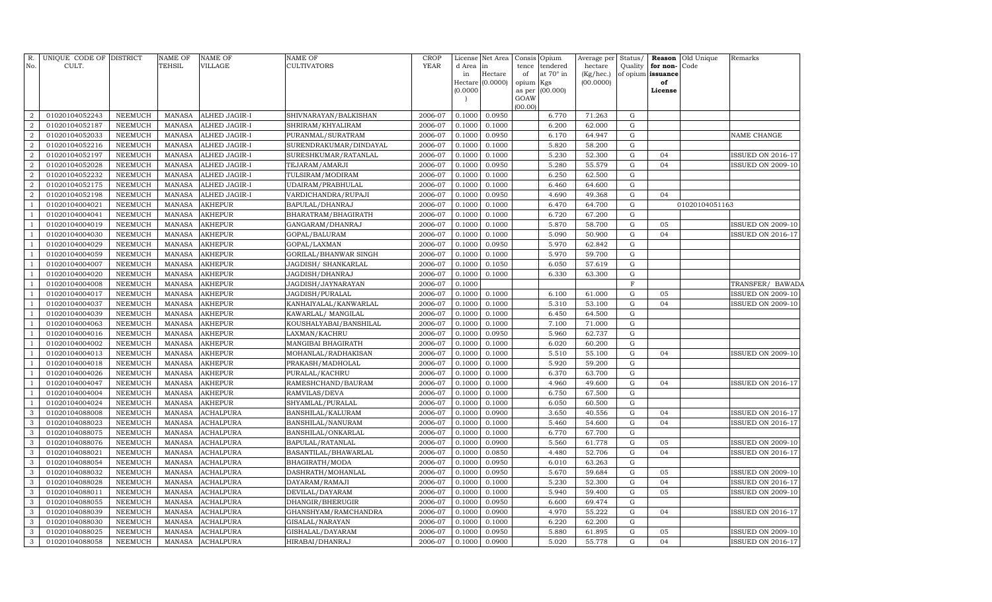| R.<br>No.        | UNIQUE CODE OF DISTRICT<br>CULT. |                                  | <b>NAME OF</b><br>TEHSIL       | <b>NAME OF</b><br><b>VILLAGE</b>     | NAME OF<br>CULTIVATORS                     | <b>CROP</b><br><b>YEAR</b> | d Area in<br>in<br>(0.0000) | License Net Area<br>Hectare<br>Hectare (0.0000) | Consis<br>tence<br>of<br>opium Kgs<br>as per<br>GOAW | Opium<br>tendered<br>at 70° in<br>(00.000) | Average per <b> </b><br>hectare<br>(Kg/hec.)<br>(00.0000) |                | Quality for non-Code<br>of opium issuance<br>of<br>License | Status/ Reason Old Unique | Remarks                                       |
|------------------|----------------------------------|----------------------------------|--------------------------------|--------------------------------------|--------------------------------------------|----------------------------|-----------------------------|-------------------------------------------------|------------------------------------------------------|--------------------------------------------|-----------------------------------------------------------|----------------|------------------------------------------------------------|---------------------------|-----------------------------------------------|
| $\overline{2}$   | 01020104052243                   |                                  | <b>MANASA</b>                  |                                      |                                            | 2006-07                    | 0.1000                      | 0.0950                                          | (00.00)                                              |                                            | 71.263                                                    | G              |                                                            |                           |                                               |
| $\overline{2}$   | 01020104052187                   | <b>NEEMUCH</b><br><b>NEEMUCH</b> | <b>MANASA</b>                  | ALHED JAGIR-I<br>ALHED JAGIR-I       | SHIVNARAYAN/BALKISHAN<br>SHRIRAM/KHYALIRAM | 2006-07                    | 0.1000                      | 0.1000                                          |                                                      | 6.770<br>6.200                             | 62.000                                                    | G              |                                                            |                           |                                               |
| $\overline{2}$   | 01020104052033                   | NEEMUCH                          | MANASA                         | ALHED JAGIR-I                        | PURANMAL/SURATRAM                          | 2006-07                    | 0.1000                      | 0.0950                                          |                                                      | 6.170                                      | 64.947                                                    | G              |                                                            |                           | NAME CHANGE                                   |
| $\boldsymbol{2}$ | 01020104052216                   | <b>NEEMUCH</b>                   | <b>MANASA</b>                  | ALHED JAGIR-I                        | SURENDRAKUMAR/DINDAYAL                     | 2006-07                    | 0.1000                      | 0.1000                                          |                                                      | 5.820                                      | 58.200                                                    | G              |                                                            |                           |                                               |
| $\overline{2}$   | 01020104052197                   | <b>NEEMUCH</b>                   | <b>MANASA</b>                  | ALHED JAGIR-I                        | SURESHKUMAR/RATANLAL                       | 2006-07                    | 0.1000                      | 0.1000                                          |                                                      | 5.230                                      | 52.300                                                    | G              | 04                                                         |                           | <b>ISSUED ON 2016-17</b>                      |
| $\overline{2}$   | 01020104052028                   | <b>NEEMUCH</b>                   | MANASA                         | ALHED JAGIR-I                        | TEJARAM/AMARJI                             | 2006-07                    | 0.1000                      | 0.0950                                          |                                                      | 5.280                                      | 55.579                                                    | G              | 04                                                         |                           | <b>ISSUED ON 2009-10</b>                      |
| $\overline{2}$   | 01020104052232                   | <b>NEEMUCH</b>                   | <b>MANASA</b>                  | ALHED JAGIR-I                        | TULSIRAM/MODIRAM                           | 2006-07                    | 0.1000                      | 0.1000                                          |                                                      | 6.250                                      | 62.500                                                    | G              |                                                            |                           |                                               |
| $\overline{2}$   | 01020104052175                   | <b>NEEMUCH</b>                   | <b>MANASA</b>                  | ALHED JAGIR-I                        | UDAIRAM/PRABHULAL                          | 2006-07                    | 0.1000                      | 0.1000                                          |                                                      | 6.460                                      | 64.600                                                    | G              |                                                            |                           |                                               |
| $\overline{2}$   | 01020104052198                   | <b>NEEMUCH</b>                   | <b>MANASA</b>                  | ALHED JAGIR-I                        | VARDICHANDRA/RUPAJI                        | 2006-07                    | 0.1000                      | 0.0950                                          |                                                      | 4.690                                      | 49.368                                                    | ${\rm G}$      | 04                                                         |                           |                                               |
| $\mathbf{1}$     | 01020104004021                   | <b>NEEMUCH</b>                   | <b>MANASA</b>                  | AKHEPUR                              | BAPULAL/DHANRAJ                            | 2006-07                    | 0.1000                      | 0.1000                                          |                                                      | 6.470                                      | 64.700                                                    | ${\rm G}$      |                                                            | 01020104051163            |                                               |
| $\mathbf{1}$     | 01020104004041                   | <b>NEEMUCH</b>                   | <b>MANASA</b>                  | AKHEPUR                              | BHARATRAM/BHAGIRATH                        | 2006-07                    | 0.1000                      | 0.1000                                          |                                                      | 6.720                                      | 67.200                                                    | ${\rm G}$      |                                                            |                           |                                               |
| $\mathbf{1}$     | 01020104004019                   | <b>NEEMUCH</b>                   | <b>MANASA</b>                  | AKHEPUR                              | GANGARAM / DHANRAJ                         | 2006-07                    | 0.1000                      | 0.1000                                          |                                                      | 5.870                                      | 58.700                                                    | G              | 05                                                         |                           | <b>ISSUED ON 2009-10</b>                      |
| $\overline{1}$   | 01020104004030                   | NEEMUCH                          | <b>MANASA</b>                  | <b>AKHEPUR</b>                       | GOPAL/BALURAM                              | 2006-07                    | 0.1000                      | 0.1000                                          |                                                      | 5.090                                      | 50.900                                                    | ${\rm G}$      | 04                                                         |                           | ISSUED ON 2016-17                             |
| $\overline{1}$   | 01020104004029                   | <b>NEEMUCH</b>                   | <b>MANASA</b>                  | AKHEPUR                              | GOPAL/LAXMAN                               | 2006-07                    | 0.1000                      | 0.0950                                          |                                                      | 5.970                                      | 62.842                                                    | ${\rm G}$      |                                                            |                           |                                               |
| $\overline{1}$   | 01020104004059                   | NEEMUCH                          | MANASA                         | AKHEPUR                              | GORILAL/BHANWAR SINGH                      | 2006-07                    | 0.1000                      | 0.1000                                          |                                                      | 5.970                                      | 59.700                                                    | ${\rm G}$      |                                                            |                           |                                               |
| $\mathbf{1}$     | 01020104004007                   | <b>NEEMUCH</b>                   | <b>MANASA</b>                  | AKHEPUR                              | JAGDISH/ SHANKARLAL                        | 2006-07                    | 0.1000                      | 0.1050                                          |                                                      | 6.050                                      | 57.619                                                    | G              |                                                            |                           |                                               |
|                  | 01020104004020                   | NEEMUCH                          | <b>MANASA</b>                  | AKHEPUR                              | JAGDISH/DHANRAJ                            | 2006-07                    | 0.1000                      | 0.1000                                          |                                                      | 6.330                                      | 63.300                                                    | ${\rm G}$      |                                                            |                           |                                               |
|                  | 01020104004008                   | NEEMUCH                          | <b>MANASA</b>                  | AKHEPUR                              | JAGDISH/JAYNARAYAN                         | 2006-07                    | 0.1000                      |                                                 |                                                      |                                            |                                                           | F              |                                                            |                           | TRANSFER/ BAWADA                              |
| $\overline{1}$   | 01020104004017                   | NEEMUCH                          | <b>MANASA</b>                  | AKHEPUR                              | JAGDISH/PURALAL                            | 2006-07                    | 0.1000                      | 0.1000                                          |                                                      | 6.100                                      | 61.000                                                    | ${\rm G}$      | 05                                                         |                           | <b>ISSUED ON 2009-10</b>                      |
| $\overline{1}$   | 01020104004037                   | <b>NEEMUCH</b>                   | <b>MANASA</b>                  | AKHEPUR                              | KANHAIYALAL/KANWARLAL                      | 2006-07                    | 0.1000                      | 0.1000                                          |                                                      | 5.310                                      | 53.100                                                    | G              | 04                                                         |                           | <b>ISSUED ON 2009-10</b>                      |
| $\mathbf{1}$     | 01020104004039                   | <b>NEEMUCH</b>                   | <b>MANASA</b>                  | AKHEPUR                              | KAWARLAL/MANGILAL                          | 2006-07                    | 0.1000                      | 0.1000                                          |                                                      | 6.450                                      | 64.500                                                    | ${\rm G}$      |                                                            |                           |                                               |
| $\overline{1}$   | 01020104004063                   | <b>NEEMUCH</b>                   | <b>MANASA</b>                  | <b>AKHEPUR</b>                       | KOUSHALYABAI/BANSHILAL                     | 2006-07                    | 0.1000                      | 0.1000                                          |                                                      | 7.100                                      | 71.000                                                    | G              |                                                            |                           |                                               |
|                  | 01020104004016                   | <b>NEEMUCH</b>                   | <b>MANASA</b>                  | AKHEPUR                              | LAXMAN/KACHRU                              | 2006-07                    | 0.1000                      | 0.0950                                          |                                                      | 5.960                                      | 62.737                                                    | ${\rm G}$      |                                                            |                           |                                               |
| $\overline{1}$   | 01020104004002                   | <b>NEEMUCH</b>                   | <b>MANASA</b>                  | <b>AKHEPUR</b>                       | MANGIBAI BHAGIRATH                         | 2006-07                    | 0.1000                      | 0.1000                                          |                                                      | 6.020                                      | 60.200                                                    | ${\rm G}$      |                                                            |                           |                                               |
| $\mathbf{1}$     | 01020104004013                   | <b>NEEMUCH</b>                   | <b>MANASA</b>                  | <b>AKHEPUR</b>                       | MOHANLAL/RADHAKISAN                        | 2006-07                    | 0.1000                      | 0.1000                                          |                                                      | 5.510                                      | 55.100                                                    | ${\rm G}$      | 04                                                         |                           | <b>ISSUED ON 2009-10</b>                      |
| $\overline{1}$   | 01020104004018                   | <b>NEEMUCH</b>                   | <b>MANASA</b>                  | AKHEPUR                              | PRAKASH/MADHOLAL                           | 2006-07                    | 0.1000                      | 0.1000                                          |                                                      | 5.920                                      | 59.200                                                    | $\mathbf G$    |                                                            |                           |                                               |
|                  | 01020104004026                   | <b>NEEMUCH</b>                   | <b>MANASA</b>                  | AKHEPUR                              | PURALAL/KACHRU                             | 2006-07                    | 0.1000                      | 0.1000                                          |                                                      | 6.370                                      | 63.700                                                    | ${\rm G}$      |                                                            |                           |                                               |
|                  | 01020104004047                   | <b>NEEMUCH</b>                   | <b>MANASA</b>                  | AKHEPUR                              | RAMESHCHAND/BAURAM                         | 2006-07                    | 0.1000                      | 0.1000                                          |                                                      | 4.960                                      | 49.600                                                    | ${\rm G}$      | 04                                                         |                           | <b>ISSUED ON 2016-17</b>                      |
|                  | 01020104004004                   | <b>NEEMUCH</b>                   | <b>MANASA</b>                  | AKHEPUR                              | RAMVILAS/DEVA                              | 2006-07                    | 0.1000                      | 0.1000                                          |                                                      | 6.750                                      | 67.500                                                    | ${\rm G}$      |                                                            |                           |                                               |
|                  | 01020104004024                   | <b>NEEMUCH</b>                   | <b>MANASA</b>                  | AKHEPUR                              | SHYAMLAL/PURALAL                           | 2006-07                    | 0.1000                      | 0.1000                                          |                                                      | 6.050                                      | 60.500                                                    | G              |                                                            |                           |                                               |
| 3                | 01020104088008                   | <b>NEEMUCH</b>                   | <b>MANASA</b>                  | <b>ACHALPURA</b>                     | BANSHILAL/KALURAM                          | 2006-07                    | 0.1000                      | 0.0900                                          |                                                      | 3.650                                      | 40.556                                                    | G              | 04                                                         |                           | <b>ISSUED ON 2016-17</b>                      |
| 3                | 01020104088023                   | <b>NEEMUCH</b>                   | <b>MANASA</b>                  | <b>ACHALPURA</b>                     | BANSHILAL/NANURAM                          | 2006-07                    | 0.100C                      | 0.1000                                          |                                                      | 5.460                                      | 54.600                                                    | $\mathbf G$    | 04                                                         |                           | ISSUED ON 2016-17                             |
| 3<br>3           | 01020104088075                   | <b>NEEMUCH</b>                   | <b>MANASA</b>                  | <b>ACHALPURA</b>                     | BANSHILAL/ONKARLAL                         | 2006-07                    | 0.1000                      | 0.1000                                          |                                                      | 6.770<br>5.560                             | 67.700                                                    | ${\rm G}$      |                                                            |                           |                                               |
| 3                | 01020104088076<br>01020104088021 | <b>NEEMUCH</b>                   | <b>MANASA</b><br><b>MANASA</b> | <b>ACHALPURA</b><br><b>ACHALPURA</b> | BAPULAL/RATANLAL                           | 2006-07<br>2006-07         | 0.1000<br>0.1000            | 0.0900<br>0.0850                                |                                                      | 4.480                                      | 61.778<br>52.706                                          | G<br>${\rm G}$ | 05<br>04                                                   |                           | <b>ISSUED ON 2009-10</b><br>ISSUED ON 2016-17 |
| 3                | 01020104088054                   | NEEMUCH<br><b>NEEMUCH</b>        | <b>MANASA</b>                  | <b>ACHALPURA</b>                     | BASANTILAL/BHAWARLAL                       | 2006-07                    | 0.1000                      | 0.0950                                          |                                                      | 6.010                                      | 63.263                                                    | G              |                                                            |                           |                                               |
| 3                | 01020104088032                   | NEEMUCH                          | <b>MANASA</b>                  | <b>ACHALPURA</b>                     | BHAGIRATH/MODA                             | 2006-07                    | 0.1000                      | 0.0950                                          |                                                      | 5.670                                      | 59.684                                                    | ${\rm G}$      | 05                                                         |                           | <b>ISSUED ON 2009-10</b>                      |
| 3                | 01020104088028                   | <b>NEEMUCH</b>                   | <b>MANASA</b>                  | <b>ACHALPURA</b>                     | DASHRATH/MOHANLAL<br>DAYARAM/RAMAJI        | 2006-07                    | 0.1000                      | 0.1000                                          |                                                      | 5.230                                      | 52.300                                                    | G              | 04                                                         |                           | ISSUED ON 2016-17                             |
| 3                | 01020104088011                   | <b>NEEMUCH</b>                   | <b>MANASA</b>                  | ACHALPURA                            | DEVILAL/DAYARAM                            | 2006-07                    | 0.1000                      | 0.1000                                          |                                                      | 5.940                                      | 59.400                                                    | G              | 05                                                         |                           | <b>ISSUED ON 2009-10</b>                      |
| 3                | 01020104088055                   | <b>NEEMUCH</b>                   | <b>MANASA</b>                  | ACHALPURA                            | DHANGIR/BHERUGIR                           | 2006-07                    | 0.1000                      | 0.0950                                          |                                                      | 6.600                                      | 69.474                                                    | G              |                                                            |                           |                                               |
| 3                | 01020104088039                   | <b>NEEMUCH</b>                   | <b>MANASA</b>                  | ACHALPURA                            | GHANSHYAM/RAMCHANDRA                       | 2006-07                    | 0.1000                      | 0.0900                                          |                                                      | 4.970                                      | 55.222                                                    | G              | 04                                                         |                           | <b>ISSUED ON 2016-17</b>                      |
| 3                | 01020104088030                   | <b>NEEMUCH</b>                   | <b>MANASA</b>                  | <b>ACHALPURA</b>                     | GISALAL/NARAYAN                            | 2006-07                    | 0.1000                      | 0.1000                                          |                                                      | 6.220                                      | 62.200                                                    | G              |                                                            |                           |                                               |
| 3                | 01020104088025                   | <b>NEEMUCH</b>                   | <b>MANASA</b>                  | <b>ACHALPURA</b>                     | GISHALAL/DAYARAM                           | 2006-07                    | 0.1000                      | 0.0950                                          |                                                      | 5.880                                      | 61.895                                                    | G              | 05                                                         |                           | <b>ISSUED ON 2009-10</b>                      |
| $\mathbf{3}$     | 01020104088058                   | <b>NEEMUCH</b>                   | <b>MANASA</b>                  | <b>ACHALPURA</b>                     | HIRABAI/DHANRAJ                            | 2006-07                    | 0.1000                      | 0.0900                                          |                                                      | 5.020                                      | 55.778                                                    | G              | 04                                                         |                           | <b>ISSUED ON 2016-17</b>                      |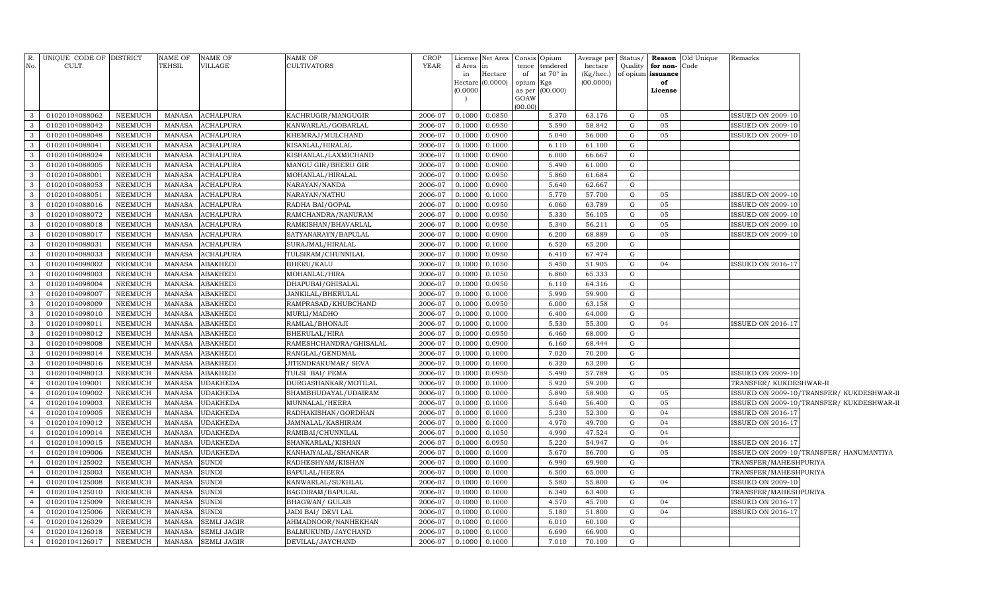| TEHSIL<br><b>CULTIVATORS</b><br><b>YEAR</b><br>No.<br>CULT.<br>VILLAGE<br>d Area<br>tendered<br>Quality<br>for non-Code<br>tence<br>hectare<br>$\ln$<br>at $70^\circ$ in<br>of opium issuance<br>in<br>Hectare<br>of<br>$(Kg/$ hec.)<br>(00.0000)<br>Hectare (0.0000)<br>opium Kgs<br>of<br>(0.0000)<br>as per (00.000)<br>License<br>GOAW<br>(00.00)<br>0.0850<br>$\mathbf{3}$<br>01020104088062<br><b>NEEMUCH</b><br><b>ACHALPURA</b><br>KACHRUGIR/MANGUGIR<br>2006-07<br>0.1000<br>5.370<br>63.176<br>G<br>05<br><b>ISSUED ON 2009-10</b><br>MANASA<br>$\mathbf{3}$<br>5.590<br>01020104088042<br>NEEMUCH<br><b>MANASA</b><br><b>ACHALPURA</b><br>KANWARLAL/GOBARLAL<br>0.1000<br>0.0950<br>$\mathbf G$<br>05<br><b>ISSUED ON 2009-10</b><br>2006-07<br>58.842<br>$\mathbf{3}$<br>01020104088048<br>NEEMUCH<br><b>MANASA</b><br>ACHALPURA<br>KHEMRAJ/MULCHAND<br>2006-07<br>0.1000<br>0.0900<br>5.040<br>56.000<br>G<br>05<br><b>ISSUED ON 2009-10</b><br>$\mathbf{3}$<br>01020104088041<br>NEEMUCH<br><b>MANASA</b><br>ACHALPURA<br>KISANLAL/HIRALAL<br>2006-07<br>0.1000<br>0.1000<br>6.110<br>61.100<br>G<br>$\mathbf{3}$<br>01020104088024<br><b>NEEMUCH</b><br><b>MANASA</b><br>ACHALPURA<br>KISHANLAL/LAXMICHAND<br>2006-07<br>0.1000<br>0.0900<br>6.000<br>66.667<br>G<br>$\mathbf{3}$<br>01020104088005<br>NEEMUCH<br><b>MANASA</b><br>ACHALPURA<br>MANGU GIR/BHERU GIR<br>2006-07<br>0.0900<br>5.490<br>G<br>0.1000<br>61.000<br>$\mathbf{3}$<br>01020104088001<br>NEEMUCH<br><b>MANASA</b><br><b>ACHALPURA</b><br>MOHANLAL/HIRALAL<br>2006-07<br>0.1000<br>0.0950<br>5.860<br>61.684<br>G<br>$\mathbf{3}$<br>01020104088053<br>NEEMUCH<br><b>MANASA</b><br><b>ACHALPURA</b><br>NARAYAN/NANDA<br>2006-07<br>0.1000<br>0.0900<br>5.640<br>62.667<br>G<br>$\mathbf{3}$<br>01020104088051<br>NEEMUCH<br><b>MANASA</b><br><b>ACHALPURA</b><br>NARAYAN/NATHU<br>2006-07<br>0.1000<br>0.1000<br>5.770<br>57.700<br>G<br>05<br><b>ISSUED ON 2009-10</b><br>$\mathbf{3}$<br>01020104088016<br>NEEMUCH<br><b>MANASA</b><br>ACHALPURA<br>RADHA BAI/GOPAL<br>2006-07<br>0.1000<br>0.0950<br>6.060<br>63.789<br>$\mathbf G$<br>05<br>SSUED ON 2009-10<br>$\mathbf{3}$<br>0.0950<br>5.330<br>01020104088072<br>NEEMUCH<br><b>MANASA</b><br><b>ACHALPURA</b><br>RAMCHANDRA/NANURAM<br>2006-07<br>0.1000<br>56.105<br>G<br>05<br><b>ISSUED ON 2009-10</b><br>$\mathbf{3}$<br>01020104088018<br>NEEMUCH<br><b>MANASA</b><br><b>ACHALPURA</b><br>RAMKISHAN/BHAVARLAL<br>2006-07<br>0.0950<br>5.340<br>$\mathbf G$<br>05<br><b>ISSUED ON 2009-10</b><br>0.1000<br>56.211<br>$\mathbf{3}$<br><b>ACHALPURA</b><br>6.200<br>05<br>01020104088017<br><b>NEEMUCH</b><br><b>MANASA</b><br>SATYANARAYN/BAPULAL<br>2006-07<br>0.1000<br>0.0900<br>68.889<br>G<br><b>ISSUED ON 2009-10</b><br>$\mathbf{3}$<br>${\rm G}$<br>01020104088031<br>NEEMUCH<br><b>MANASA</b><br><b>ACHALPURA</b><br>SURAJMAL/HIRALAL<br>2006-07<br>0.1000<br>0.1000<br>6.520<br>65.200<br>$\mathbf{3}$<br>01020104088033<br><b>NEEMUCH</b><br><b>MANASA</b><br><b>ACHALPURA</b><br>TULSIRAM/CHUNNILAL<br>2006-07<br>0.1000<br>0.0950<br>6.410<br>67.474<br>G<br>5.450<br>$\mathbf{3}$<br>01020104098002<br>NEEMUCH<br><b>MANASA</b><br>ABAKHEDI<br><b>BHERU/KALU</b><br>2006-07<br>0.1000<br>0.1050<br>51.905<br>$\mathbf G$<br>04<br><b>ISSUED ON 2016-17</b><br>$\mathbf{3}$<br>01020104098003<br><b>NEEMUCH</b><br><b>MANASA</b><br><b>ABAKHEDI</b><br>MOHANLAL/HIRA<br>2006-07<br>0.1000<br>0.1050<br>6.860<br>65.333<br>G<br>$\overline{\mathbf{3}}$<br>NEEMUCH<br><b>MANASA</b><br>ABAKHEDI<br>DHAPUBAI/GHISALAL<br>2006-07<br>0.0950<br>6.110<br>G<br>01020104098004<br>0.1000<br>64.316<br>$\overline{\mathbf{3}}$<br>5.990<br>01020104098007<br><b>NEEMUCH</b><br><b>MANASA</b><br><b>ABAKHEDI</b><br>JANKILAL/BHERULAL<br>2006-07<br>0.1000<br>59.900<br>G<br>0.1000<br>$\overline{\mathbf{3}}$<br>01020104098009<br><b>NEEMUCH</b><br><b>MANASA</b><br><b>ABAKHEDI</b><br>RAMPRASAD/KHUBCHAND<br>2006-07<br>0.0950<br>6.000<br>63.158<br>G<br>0.1000<br>$\overline{3}$<br><b>ABAKHEDI</b><br>6.400<br>G<br>01020104098010<br><b>NEEMUCH</b><br><b>MANASA</b><br>MURLI/MADHO<br>2006-07<br>0.1000<br>64.000<br>0.1000<br>$\mathbf{3}$<br>NEEMUCH<br><b>MANASA</b><br><b>ABAKHEDI</b><br>RAMLAL/BHONAJI<br>2006-07<br>0.1000<br>5.530<br>55.300<br>G<br>04<br><b>SSUED ON 2016-17</b><br>01020104098011<br>0.1000<br>$\mathbf{3}$<br>G<br>01020104098012<br><b>NEEMUCH</b><br><b>MANASA</b><br><b>ABAKHEDI</b><br>BHERULAL/HIRA<br>2006-07<br>0.0950<br>6.460<br>68.000<br>0.1000 |  |
|------------------------------------------------------------------------------------------------------------------------------------------------------------------------------------------------------------------------------------------------------------------------------------------------------------------------------------------------------------------------------------------------------------------------------------------------------------------------------------------------------------------------------------------------------------------------------------------------------------------------------------------------------------------------------------------------------------------------------------------------------------------------------------------------------------------------------------------------------------------------------------------------------------------------------------------------------------------------------------------------------------------------------------------------------------------------------------------------------------------------------------------------------------------------------------------------------------------------------------------------------------------------------------------------------------------------------------------------------------------------------------------------------------------------------------------------------------------------------------------------------------------------------------------------------------------------------------------------------------------------------------------------------------------------------------------------------------------------------------------------------------------------------------------------------------------------------------------------------------------------------------------------------------------------------------------------------------------------------------------------------------------------------------------------------------------------------------------------------------------------------------------------------------------------------------------------------------------------------------------------------------------------------------------------------------------------------------------------------------------------------------------------------------------------------------------------------------------------------------------------------------------------------------------------------------------------------------------------------------------------------------------------------------------------------------------------------------------------------------------------------------------------------------------------------------------------------------------------------------------------------------------------------------------------------------------------------------------------------------------------------------------------------------------------------------------------------------------------------------------------------------------------------------------------------------------------------------------------------------------------------------------------------------------------------------------------------------------------------------------------------------------------------------------------------------------------------------------------------------------------------------------------------------------------------------------------------------------------------------------------------------------------------------------------------------------------------------------------------------------------------------------------------------------------------------------------------------------------------------------------------------------------------------------------------------------------------------------------------------------------------------------------------------------------------------------------------------------------------------------------------------------------------------------------------------------------------------------------------------------------------------------------------------------------------------------------------------------------------------------------------------------------------------------------------------------------------------------------------------------------------------------------------------------------------|--|
|                                                                                                                                                                                                                                                                                                                                                                                                                                                                                                                                                                                                                                                                                                                                                                                                                                                                                                                                                                                                                                                                                                                                                                                                                                                                                                                                                                                                                                                                                                                                                                                                                                                                                                                                                                                                                                                                                                                                                                                                                                                                                                                                                                                                                                                                                                                                                                                                                                                                                                                                                                                                                                                                                                                                                                                                                                                                                                                                                                                                                                                                                                                                                                                                                                                                                                                                                                                                                                                                                                                                                                                                                                                                                                                                                                                                                                                                                                                                                                                                                                                                                                                                                                                                                                                                                                                                                                                                                                                                                                                                                      |  |
|                                                                                                                                                                                                                                                                                                                                                                                                                                                                                                                                                                                                                                                                                                                                                                                                                                                                                                                                                                                                                                                                                                                                                                                                                                                                                                                                                                                                                                                                                                                                                                                                                                                                                                                                                                                                                                                                                                                                                                                                                                                                                                                                                                                                                                                                                                                                                                                                                                                                                                                                                                                                                                                                                                                                                                                                                                                                                                                                                                                                                                                                                                                                                                                                                                                                                                                                                                                                                                                                                                                                                                                                                                                                                                                                                                                                                                                                                                                                                                                                                                                                                                                                                                                                                                                                                                                                                                                                                                                                                                                                                      |  |
|                                                                                                                                                                                                                                                                                                                                                                                                                                                                                                                                                                                                                                                                                                                                                                                                                                                                                                                                                                                                                                                                                                                                                                                                                                                                                                                                                                                                                                                                                                                                                                                                                                                                                                                                                                                                                                                                                                                                                                                                                                                                                                                                                                                                                                                                                                                                                                                                                                                                                                                                                                                                                                                                                                                                                                                                                                                                                                                                                                                                                                                                                                                                                                                                                                                                                                                                                                                                                                                                                                                                                                                                                                                                                                                                                                                                                                                                                                                                                                                                                                                                                                                                                                                                                                                                                                                                                                                                                                                                                                                                                      |  |
|                                                                                                                                                                                                                                                                                                                                                                                                                                                                                                                                                                                                                                                                                                                                                                                                                                                                                                                                                                                                                                                                                                                                                                                                                                                                                                                                                                                                                                                                                                                                                                                                                                                                                                                                                                                                                                                                                                                                                                                                                                                                                                                                                                                                                                                                                                                                                                                                                                                                                                                                                                                                                                                                                                                                                                                                                                                                                                                                                                                                                                                                                                                                                                                                                                                                                                                                                                                                                                                                                                                                                                                                                                                                                                                                                                                                                                                                                                                                                                                                                                                                                                                                                                                                                                                                                                                                                                                                                                                                                                                                                      |  |
|                                                                                                                                                                                                                                                                                                                                                                                                                                                                                                                                                                                                                                                                                                                                                                                                                                                                                                                                                                                                                                                                                                                                                                                                                                                                                                                                                                                                                                                                                                                                                                                                                                                                                                                                                                                                                                                                                                                                                                                                                                                                                                                                                                                                                                                                                                                                                                                                                                                                                                                                                                                                                                                                                                                                                                                                                                                                                                                                                                                                                                                                                                                                                                                                                                                                                                                                                                                                                                                                                                                                                                                                                                                                                                                                                                                                                                                                                                                                                                                                                                                                                                                                                                                                                                                                                                                                                                                                                                                                                                                                                      |  |
|                                                                                                                                                                                                                                                                                                                                                                                                                                                                                                                                                                                                                                                                                                                                                                                                                                                                                                                                                                                                                                                                                                                                                                                                                                                                                                                                                                                                                                                                                                                                                                                                                                                                                                                                                                                                                                                                                                                                                                                                                                                                                                                                                                                                                                                                                                                                                                                                                                                                                                                                                                                                                                                                                                                                                                                                                                                                                                                                                                                                                                                                                                                                                                                                                                                                                                                                                                                                                                                                                                                                                                                                                                                                                                                                                                                                                                                                                                                                                                                                                                                                                                                                                                                                                                                                                                                                                                                                                                                                                                                                                      |  |
|                                                                                                                                                                                                                                                                                                                                                                                                                                                                                                                                                                                                                                                                                                                                                                                                                                                                                                                                                                                                                                                                                                                                                                                                                                                                                                                                                                                                                                                                                                                                                                                                                                                                                                                                                                                                                                                                                                                                                                                                                                                                                                                                                                                                                                                                                                                                                                                                                                                                                                                                                                                                                                                                                                                                                                                                                                                                                                                                                                                                                                                                                                                                                                                                                                                                                                                                                                                                                                                                                                                                                                                                                                                                                                                                                                                                                                                                                                                                                                                                                                                                                                                                                                                                                                                                                                                                                                                                                                                                                                                                                      |  |
|                                                                                                                                                                                                                                                                                                                                                                                                                                                                                                                                                                                                                                                                                                                                                                                                                                                                                                                                                                                                                                                                                                                                                                                                                                                                                                                                                                                                                                                                                                                                                                                                                                                                                                                                                                                                                                                                                                                                                                                                                                                                                                                                                                                                                                                                                                                                                                                                                                                                                                                                                                                                                                                                                                                                                                                                                                                                                                                                                                                                                                                                                                                                                                                                                                                                                                                                                                                                                                                                                                                                                                                                                                                                                                                                                                                                                                                                                                                                                                                                                                                                                                                                                                                                                                                                                                                                                                                                                                                                                                                                                      |  |
|                                                                                                                                                                                                                                                                                                                                                                                                                                                                                                                                                                                                                                                                                                                                                                                                                                                                                                                                                                                                                                                                                                                                                                                                                                                                                                                                                                                                                                                                                                                                                                                                                                                                                                                                                                                                                                                                                                                                                                                                                                                                                                                                                                                                                                                                                                                                                                                                                                                                                                                                                                                                                                                                                                                                                                                                                                                                                                                                                                                                                                                                                                                                                                                                                                                                                                                                                                                                                                                                                                                                                                                                                                                                                                                                                                                                                                                                                                                                                                                                                                                                                                                                                                                                                                                                                                                                                                                                                                                                                                                                                      |  |
|                                                                                                                                                                                                                                                                                                                                                                                                                                                                                                                                                                                                                                                                                                                                                                                                                                                                                                                                                                                                                                                                                                                                                                                                                                                                                                                                                                                                                                                                                                                                                                                                                                                                                                                                                                                                                                                                                                                                                                                                                                                                                                                                                                                                                                                                                                                                                                                                                                                                                                                                                                                                                                                                                                                                                                                                                                                                                                                                                                                                                                                                                                                                                                                                                                                                                                                                                                                                                                                                                                                                                                                                                                                                                                                                                                                                                                                                                                                                                                                                                                                                                                                                                                                                                                                                                                                                                                                                                                                                                                                                                      |  |
|                                                                                                                                                                                                                                                                                                                                                                                                                                                                                                                                                                                                                                                                                                                                                                                                                                                                                                                                                                                                                                                                                                                                                                                                                                                                                                                                                                                                                                                                                                                                                                                                                                                                                                                                                                                                                                                                                                                                                                                                                                                                                                                                                                                                                                                                                                                                                                                                                                                                                                                                                                                                                                                                                                                                                                                                                                                                                                                                                                                                                                                                                                                                                                                                                                                                                                                                                                                                                                                                                                                                                                                                                                                                                                                                                                                                                                                                                                                                                                                                                                                                                                                                                                                                                                                                                                                                                                                                                                                                                                                                                      |  |
|                                                                                                                                                                                                                                                                                                                                                                                                                                                                                                                                                                                                                                                                                                                                                                                                                                                                                                                                                                                                                                                                                                                                                                                                                                                                                                                                                                                                                                                                                                                                                                                                                                                                                                                                                                                                                                                                                                                                                                                                                                                                                                                                                                                                                                                                                                                                                                                                                                                                                                                                                                                                                                                                                                                                                                                                                                                                                                                                                                                                                                                                                                                                                                                                                                                                                                                                                                                                                                                                                                                                                                                                                                                                                                                                                                                                                                                                                                                                                                                                                                                                                                                                                                                                                                                                                                                                                                                                                                                                                                                                                      |  |
|                                                                                                                                                                                                                                                                                                                                                                                                                                                                                                                                                                                                                                                                                                                                                                                                                                                                                                                                                                                                                                                                                                                                                                                                                                                                                                                                                                                                                                                                                                                                                                                                                                                                                                                                                                                                                                                                                                                                                                                                                                                                                                                                                                                                                                                                                                                                                                                                                                                                                                                                                                                                                                                                                                                                                                                                                                                                                                                                                                                                                                                                                                                                                                                                                                                                                                                                                                                                                                                                                                                                                                                                                                                                                                                                                                                                                                                                                                                                                                                                                                                                                                                                                                                                                                                                                                                                                                                                                                                                                                                                                      |  |
|                                                                                                                                                                                                                                                                                                                                                                                                                                                                                                                                                                                                                                                                                                                                                                                                                                                                                                                                                                                                                                                                                                                                                                                                                                                                                                                                                                                                                                                                                                                                                                                                                                                                                                                                                                                                                                                                                                                                                                                                                                                                                                                                                                                                                                                                                                                                                                                                                                                                                                                                                                                                                                                                                                                                                                                                                                                                                                                                                                                                                                                                                                                                                                                                                                                                                                                                                                                                                                                                                                                                                                                                                                                                                                                                                                                                                                                                                                                                                                                                                                                                                                                                                                                                                                                                                                                                                                                                                                                                                                                                                      |  |
|                                                                                                                                                                                                                                                                                                                                                                                                                                                                                                                                                                                                                                                                                                                                                                                                                                                                                                                                                                                                                                                                                                                                                                                                                                                                                                                                                                                                                                                                                                                                                                                                                                                                                                                                                                                                                                                                                                                                                                                                                                                                                                                                                                                                                                                                                                                                                                                                                                                                                                                                                                                                                                                                                                                                                                                                                                                                                                                                                                                                                                                                                                                                                                                                                                                                                                                                                                                                                                                                                                                                                                                                                                                                                                                                                                                                                                                                                                                                                                                                                                                                                                                                                                                                                                                                                                                                                                                                                                                                                                                                                      |  |
|                                                                                                                                                                                                                                                                                                                                                                                                                                                                                                                                                                                                                                                                                                                                                                                                                                                                                                                                                                                                                                                                                                                                                                                                                                                                                                                                                                                                                                                                                                                                                                                                                                                                                                                                                                                                                                                                                                                                                                                                                                                                                                                                                                                                                                                                                                                                                                                                                                                                                                                                                                                                                                                                                                                                                                                                                                                                                                                                                                                                                                                                                                                                                                                                                                                                                                                                                                                                                                                                                                                                                                                                                                                                                                                                                                                                                                                                                                                                                                                                                                                                                                                                                                                                                                                                                                                                                                                                                                                                                                                                                      |  |
|                                                                                                                                                                                                                                                                                                                                                                                                                                                                                                                                                                                                                                                                                                                                                                                                                                                                                                                                                                                                                                                                                                                                                                                                                                                                                                                                                                                                                                                                                                                                                                                                                                                                                                                                                                                                                                                                                                                                                                                                                                                                                                                                                                                                                                                                                                                                                                                                                                                                                                                                                                                                                                                                                                                                                                                                                                                                                                                                                                                                                                                                                                                                                                                                                                                                                                                                                                                                                                                                                                                                                                                                                                                                                                                                                                                                                                                                                                                                                                                                                                                                                                                                                                                                                                                                                                                                                                                                                                                                                                                                                      |  |
|                                                                                                                                                                                                                                                                                                                                                                                                                                                                                                                                                                                                                                                                                                                                                                                                                                                                                                                                                                                                                                                                                                                                                                                                                                                                                                                                                                                                                                                                                                                                                                                                                                                                                                                                                                                                                                                                                                                                                                                                                                                                                                                                                                                                                                                                                                                                                                                                                                                                                                                                                                                                                                                                                                                                                                                                                                                                                                                                                                                                                                                                                                                                                                                                                                                                                                                                                                                                                                                                                                                                                                                                                                                                                                                                                                                                                                                                                                                                                                                                                                                                                                                                                                                                                                                                                                                                                                                                                                                                                                                                                      |  |
|                                                                                                                                                                                                                                                                                                                                                                                                                                                                                                                                                                                                                                                                                                                                                                                                                                                                                                                                                                                                                                                                                                                                                                                                                                                                                                                                                                                                                                                                                                                                                                                                                                                                                                                                                                                                                                                                                                                                                                                                                                                                                                                                                                                                                                                                                                                                                                                                                                                                                                                                                                                                                                                                                                                                                                                                                                                                                                                                                                                                                                                                                                                                                                                                                                                                                                                                                                                                                                                                                                                                                                                                                                                                                                                                                                                                                                                                                                                                                                                                                                                                                                                                                                                                                                                                                                                                                                                                                                                                                                                                                      |  |
|                                                                                                                                                                                                                                                                                                                                                                                                                                                                                                                                                                                                                                                                                                                                                                                                                                                                                                                                                                                                                                                                                                                                                                                                                                                                                                                                                                                                                                                                                                                                                                                                                                                                                                                                                                                                                                                                                                                                                                                                                                                                                                                                                                                                                                                                                                                                                                                                                                                                                                                                                                                                                                                                                                                                                                                                                                                                                                                                                                                                                                                                                                                                                                                                                                                                                                                                                                                                                                                                                                                                                                                                                                                                                                                                                                                                                                                                                                                                                                                                                                                                                                                                                                                                                                                                                                                                                                                                                                                                                                                                                      |  |
|                                                                                                                                                                                                                                                                                                                                                                                                                                                                                                                                                                                                                                                                                                                                                                                                                                                                                                                                                                                                                                                                                                                                                                                                                                                                                                                                                                                                                                                                                                                                                                                                                                                                                                                                                                                                                                                                                                                                                                                                                                                                                                                                                                                                                                                                                                                                                                                                                                                                                                                                                                                                                                                                                                                                                                                                                                                                                                                                                                                                                                                                                                                                                                                                                                                                                                                                                                                                                                                                                                                                                                                                                                                                                                                                                                                                                                                                                                                                                                                                                                                                                                                                                                                                                                                                                                                                                                                                                                                                                                                                                      |  |
|                                                                                                                                                                                                                                                                                                                                                                                                                                                                                                                                                                                                                                                                                                                                                                                                                                                                                                                                                                                                                                                                                                                                                                                                                                                                                                                                                                                                                                                                                                                                                                                                                                                                                                                                                                                                                                                                                                                                                                                                                                                                                                                                                                                                                                                                                                                                                                                                                                                                                                                                                                                                                                                                                                                                                                                                                                                                                                                                                                                                                                                                                                                                                                                                                                                                                                                                                                                                                                                                                                                                                                                                                                                                                                                                                                                                                                                                                                                                                                                                                                                                                                                                                                                                                                                                                                                                                                                                                                                                                                                                                      |  |
|                                                                                                                                                                                                                                                                                                                                                                                                                                                                                                                                                                                                                                                                                                                                                                                                                                                                                                                                                                                                                                                                                                                                                                                                                                                                                                                                                                                                                                                                                                                                                                                                                                                                                                                                                                                                                                                                                                                                                                                                                                                                                                                                                                                                                                                                                                                                                                                                                                                                                                                                                                                                                                                                                                                                                                                                                                                                                                                                                                                                                                                                                                                                                                                                                                                                                                                                                                                                                                                                                                                                                                                                                                                                                                                                                                                                                                                                                                                                                                                                                                                                                                                                                                                                                                                                                                                                                                                                                                                                                                                                                      |  |
|                                                                                                                                                                                                                                                                                                                                                                                                                                                                                                                                                                                                                                                                                                                                                                                                                                                                                                                                                                                                                                                                                                                                                                                                                                                                                                                                                                                                                                                                                                                                                                                                                                                                                                                                                                                                                                                                                                                                                                                                                                                                                                                                                                                                                                                                                                                                                                                                                                                                                                                                                                                                                                                                                                                                                                                                                                                                                                                                                                                                                                                                                                                                                                                                                                                                                                                                                                                                                                                                                                                                                                                                                                                                                                                                                                                                                                                                                                                                                                                                                                                                                                                                                                                                                                                                                                                                                                                                                                                                                                                                                      |  |
|                                                                                                                                                                                                                                                                                                                                                                                                                                                                                                                                                                                                                                                                                                                                                                                                                                                                                                                                                                                                                                                                                                                                                                                                                                                                                                                                                                                                                                                                                                                                                                                                                                                                                                                                                                                                                                                                                                                                                                                                                                                                                                                                                                                                                                                                                                                                                                                                                                                                                                                                                                                                                                                                                                                                                                                                                                                                                                                                                                                                                                                                                                                                                                                                                                                                                                                                                                                                                                                                                                                                                                                                                                                                                                                                                                                                                                                                                                                                                                                                                                                                                                                                                                                                                                                                                                                                                                                                                                                                                                                                                      |  |
|                                                                                                                                                                                                                                                                                                                                                                                                                                                                                                                                                                                                                                                                                                                                                                                                                                                                                                                                                                                                                                                                                                                                                                                                                                                                                                                                                                                                                                                                                                                                                                                                                                                                                                                                                                                                                                                                                                                                                                                                                                                                                                                                                                                                                                                                                                                                                                                                                                                                                                                                                                                                                                                                                                                                                                                                                                                                                                                                                                                                                                                                                                                                                                                                                                                                                                                                                                                                                                                                                                                                                                                                                                                                                                                                                                                                                                                                                                                                                                                                                                                                                                                                                                                                                                                                                                                                                                                                                                                                                                                                                      |  |
|                                                                                                                                                                                                                                                                                                                                                                                                                                                                                                                                                                                                                                                                                                                                                                                                                                                                                                                                                                                                                                                                                                                                                                                                                                                                                                                                                                                                                                                                                                                                                                                                                                                                                                                                                                                                                                                                                                                                                                                                                                                                                                                                                                                                                                                                                                                                                                                                                                                                                                                                                                                                                                                                                                                                                                                                                                                                                                                                                                                                                                                                                                                                                                                                                                                                                                                                                                                                                                                                                                                                                                                                                                                                                                                                                                                                                                                                                                                                                                                                                                                                                                                                                                                                                                                                                                                                                                                                                                                                                                                                                      |  |
| $\mathbf G$<br>$\mathbf{3}$<br><b>NEEMUCH</b><br><b>MANASA</b><br>ABAKHEDI<br>2006-07<br>0.0900<br>6.160<br>68.444<br>01020104098008<br>RAMESHCHANDRA/GHISALAL<br>0.1000                                                                                                                                                                                                                                                                                                                                                                                                                                                                                                                                                                                                                                                                                                                                                                                                                                                                                                                                                                                                                                                                                                                                                                                                                                                                                                                                                                                                                                                                                                                                                                                                                                                                                                                                                                                                                                                                                                                                                                                                                                                                                                                                                                                                                                                                                                                                                                                                                                                                                                                                                                                                                                                                                                                                                                                                                                                                                                                                                                                                                                                                                                                                                                                                                                                                                                                                                                                                                                                                                                                                                                                                                                                                                                                                                                                                                                                                                                                                                                                                                                                                                                                                                                                                                                                                                                                                                                             |  |
| $\overline{3}$<br>7.020<br>01020104098014<br>NEEMUCH<br><b>MANASA</b><br><b>ABAKHEDI</b><br>RANGLAL/GENDMAL<br>2006-07<br>0.1000<br>70.200<br>G<br>0.1000                                                                                                                                                                                                                                                                                                                                                                                                                                                                                                                                                                                                                                                                                                                                                                                                                                                                                                                                                                                                                                                                                                                                                                                                                                                                                                                                                                                                                                                                                                                                                                                                                                                                                                                                                                                                                                                                                                                                                                                                                                                                                                                                                                                                                                                                                                                                                                                                                                                                                                                                                                                                                                                                                                                                                                                                                                                                                                                                                                                                                                                                                                                                                                                                                                                                                                                                                                                                                                                                                                                                                                                                                                                                                                                                                                                                                                                                                                                                                                                                                                                                                                                                                                                                                                                                                                                                                                                            |  |
| $\mathbf{3}$<br>$\mathbf G$<br><b>NEEMUCH</b><br><b>MANASA</b><br><b>ABAKHEDI</b><br>2006-07<br>0.1000<br>6.320<br>63.200<br>01020104098016<br>JITENDRAKUMAR/ SEVA<br>0.1000                                                                                                                                                                                                                                                                                                                                                                                                                                                                                                                                                                                                                                                                                                                                                                                                                                                                                                                                                                                                                                                                                                                                                                                                                                                                                                                                                                                                                                                                                                                                                                                                                                                                                                                                                                                                                                                                                                                                                                                                                                                                                                                                                                                                                                                                                                                                                                                                                                                                                                                                                                                                                                                                                                                                                                                                                                                                                                                                                                                                                                                                                                                                                                                                                                                                                                                                                                                                                                                                                                                                                                                                                                                                                                                                                                                                                                                                                                                                                                                                                                                                                                                                                                                                                                                                                                                                                                         |  |
| $\overline{3}$<br>2006-07<br>5.490<br>G<br>01020104098013<br><b>NEEMUCH</b><br><b>MANASA</b><br>ABAKHEDI<br>TULSI BAI/ PEMA<br>0.0950<br>57.789<br>05<br><b>SSUED ON 2009-10</b><br>0.1000                                                                                                                                                                                                                                                                                                                                                                                                                                                                                                                                                                                                                                                                                                                                                                                                                                                                                                                                                                                                                                                                                                                                                                                                                                                                                                                                                                                                                                                                                                                                                                                                                                                                                                                                                                                                                                                                                                                                                                                                                                                                                                                                                                                                                                                                                                                                                                                                                                                                                                                                                                                                                                                                                                                                                                                                                                                                                                                                                                                                                                                                                                                                                                                                                                                                                                                                                                                                                                                                                                                                                                                                                                                                                                                                                                                                                                                                                                                                                                                                                                                                                                                                                                                                                                                                                                                                                           |  |
| $\overline{4}$<br><b>NEEMUCH</b><br>5.920<br>$\mathbf G$<br>01020104109001<br><b>MANASA</b><br><b>UDAKHEDA</b><br>DURGASHANKAR/MOTILAL<br>2006-07<br>0.1000<br>59.200<br>TRANSFER/KUKDESHWAR-II<br>0.1000                                                                                                                                                                                                                                                                                                                                                                                                                                                                                                                                                                                                                                                                                                                                                                                                                                                                                                                                                                                                                                                                                                                                                                                                                                                                                                                                                                                                                                                                                                                                                                                                                                                                                                                                                                                                                                                                                                                                                                                                                                                                                                                                                                                                                                                                                                                                                                                                                                                                                                                                                                                                                                                                                                                                                                                                                                                                                                                                                                                                                                                                                                                                                                                                                                                                                                                                                                                                                                                                                                                                                                                                                                                                                                                                                                                                                                                                                                                                                                                                                                                                                                                                                                                                                                                                                                                                            |  |
| $\overline{4}$<br>5.890<br>${\rm G}$<br>01020104109002<br>NEEMUCH<br><b>MANASA</b><br><b>JDAKHEDA</b><br>SHAMBHUDAYAL/UDAIRAM<br>2006-07<br>0.1000<br>58.900<br>05<br>SSUED ON 2009-10/TRANSFER/ KUKDESHWAR-II<br>0.1000                                                                                                                                                                                                                                                                                                                                                                                                                                                                                                                                                                                                                                                                                                                                                                                                                                                                                                                                                                                                                                                                                                                                                                                                                                                                                                                                                                                                                                                                                                                                                                                                                                                                                                                                                                                                                                                                                                                                                                                                                                                                                                                                                                                                                                                                                                                                                                                                                                                                                                                                                                                                                                                                                                                                                                                                                                                                                                                                                                                                                                                                                                                                                                                                                                                                                                                                                                                                                                                                                                                                                                                                                                                                                                                                                                                                                                                                                                                                                                                                                                                                                                                                                                                                                                                                                                                             |  |
| <b>NEEMUCH</b><br><b>MANASA</b><br>5.640<br>05<br>SSUED ON 2009-10/TRANSFER/ KUKDESHWAR-II<br>$\overline{4}$<br>01020104109003<br><b>JDAKHEDA</b><br>MUNNALAL/HEERA<br>2006-07<br>0.1000<br>56.400<br>G<br>0.1000                                                                                                                                                                                                                                                                                                                                                                                                                                                                                                                                                                                                                                                                                                                                                                                                                                                                                                                                                                                                                                                                                                                                                                                                                                                                                                                                                                                                                                                                                                                                                                                                                                                                                                                                                                                                                                                                                                                                                                                                                                                                                                                                                                                                                                                                                                                                                                                                                                                                                                                                                                                                                                                                                                                                                                                                                                                                                                                                                                                                                                                                                                                                                                                                                                                                                                                                                                                                                                                                                                                                                                                                                                                                                                                                                                                                                                                                                                                                                                                                                                                                                                                                                                                                                                                                                                                                    |  |
| $\overline{4}$<br><b>JDAKHEDA</b><br>5.230<br>04<br>01020104109005<br>NEEMUCH<br><b>MANASA</b><br>RADHAKISHAN/GORDHAN<br>2006-07<br>0.1000<br>52.300<br>G<br><b>SSUED ON 2016-17</b><br>0.1000                                                                                                                                                                                                                                                                                                                                                                                                                                                                                                                                                                                                                                                                                                                                                                                                                                                                                                                                                                                                                                                                                                                                                                                                                                                                                                                                                                                                                                                                                                                                                                                                                                                                                                                                                                                                                                                                                                                                                                                                                                                                                                                                                                                                                                                                                                                                                                                                                                                                                                                                                                                                                                                                                                                                                                                                                                                                                                                                                                                                                                                                                                                                                                                                                                                                                                                                                                                                                                                                                                                                                                                                                                                                                                                                                                                                                                                                                                                                                                                                                                                                                                                                                                                                                                                                                                                                                       |  |
| <b>NEEMUCH</b><br><b>MANASA</b><br><b>JDAKHEDA</b><br>0.1000<br>4.970<br>49.700<br>04<br>SSUED ON 2016-17<br>$\overline{4}$<br>01020104109012<br>JAMNALAL/KASHIRAM<br>2006-07<br>0.1000<br>G                                                                                                                                                                                                                                                                                                                                                                                                                                                                                                                                                                                                                                                                                                                                                                                                                                                                                                                                                                                                                                                                                                                                                                                                                                                                                                                                                                                                                                                                                                                                                                                                                                                                                                                                                                                                                                                                                                                                                                                                                                                                                                                                                                                                                                                                                                                                                                                                                                                                                                                                                                                                                                                                                                                                                                                                                                                                                                                                                                                                                                                                                                                                                                                                                                                                                                                                                                                                                                                                                                                                                                                                                                                                                                                                                                                                                                                                                                                                                                                                                                                                                                                                                                                                                                                                                                                                                         |  |
| RAMIBAI/CHUNNILAL<br>2006-07<br>4.990<br>04<br>$\overline{4}$<br>01020104109014<br>NEEMUCH<br><b>MANASA</b><br><b>JDAKHEDA</b><br>0.1000<br>0.1050<br>47.524<br>G                                                                                                                                                                                                                                                                                                                                                                                                                                                                                                                                                                                                                                                                                                                                                                                                                                                                                                                                                                                                                                                                                                                                                                                                                                                                                                                                                                                                                                                                                                                                                                                                                                                                                                                                                                                                                                                                                                                                                                                                                                                                                                                                                                                                                                                                                                                                                                                                                                                                                                                                                                                                                                                                                                                                                                                                                                                                                                                                                                                                                                                                                                                                                                                                                                                                                                                                                                                                                                                                                                                                                                                                                                                                                                                                                                                                                                                                                                                                                                                                                                                                                                                                                                                                                                                                                                                                                                                    |  |
| 01020104109015<br><b>NEEMUCH</b><br><b>MANASA</b><br><b>JDAKHEDA</b><br>2006-07<br>0.0950<br>5.220<br>54.947<br>04<br>$\overline{4}$<br>SHANKARLAL/KISHAN<br>0.1000<br>G<br>SSUED ON 2016-17                                                                                                                                                                                                                                                                                                                                                                                                                                                                                                                                                                                                                                                                                                                                                                                                                                                                                                                                                                                                                                                                                                                                                                                                                                                                                                                                                                                                                                                                                                                                                                                                                                                                                                                                                                                                                                                                                                                                                                                                                                                                                                                                                                                                                                                                                                                                                                                                                                                                                                                                                                                                                                                                                                                                                                                                                                                                                                                                                                                                                                                                                                                                                                                                                                                                                                                                                                                                                                                                                                                                                                                                                                                                                                                                                                                                                                                                                                                                                                                                                                                                                                                                                                                                                                                                                                                                                         |  |
| $\overline{4}$<br>2006-07<br>5.670<br>05<br>01020104109006<br><b>NEEMUCH</b><br><b>MANASA</b><br><b>JDAKHEDA</b><br>KANHAIYALAL/SHANKAR<br>0.1000<br>0.1000<br>56.700<br>G<br>ISSUED ON 2009-10/TRANSFER/ HANUMANTIYA                                                                                                                                                                                                                                                                                                                                                                                                                                                                                                                                                                                                                                                                                                                                                                                                                                                                                                                                                                                                                                                                                                                                                                                                                                                                                                                                                                                                                                                                                                                                                                                                                                                                                                                                                                                                                                                                                                                                                                                                                                                                                                                                                                                                                                                                                                                                                                                                                                                                                                                                                                                                                                                                                                                                                                                                                                                                                                                                                                                                                                                                                                                                                                                                                                                                                                                                                                                                                                                                                                                                                                                                                                                                                                                                                                                                                                                                                                                                                                                                                                                                                                                                                                                                                                                                                                                                |  |
| $\overline{4}$<br>01020104125002<br><b>NEEMUCH</b><br>MANASA<br>6.990<br>SUNDI<br>RADHESHYAM/KISHAN<br>2006-07<br>0.1000<br>69.900<br>G<br>TRANSFER/MAHESHPURIYA<br>0.1000                                                                                                                                                                                                                                                                                                                                                                                                                                                                                                                                                                                                                                                                                                                                                                                                                                                                                                                                                                                                                                                                                                                                                                                                                                                                                                                                                                                                                                                                                                                                                                                                                                                                                                                                                                                                                                                                                                                                                                                                                                                                                                                                                                                                                                                                                                                                                                                                                                                                                                                                                                                                                                                                                                                                                                                                                                                                                                                                                                                                                                                                                                                                                                                                                                                                                                                                                                                                                                                                                                                                                                                                                                                                                                                                                                                                                                                                                                                                                                                                                                                                                                                                                                                                                                                                                                                                                                           |  |
| $\overline{4}$<br><b>MANASA</b><br>6.500<br>01020104125003<br><b>NEEMUCH</b><br><b>SUNDI</b><br><b>BAPULAL/HEERA</b><br>2006-07<br>0.1000<br>65.000<br>G<br>TRANSFER/MAHESHPURIYA<br>0.1000                                                                                                                                                                                                                                                                                                                                                                                                                                                                                                                                                                                                                                                                                                                                                                                                                                                                                                                                                                                                                                                                                                                                                                                                                                                                                                                                                                                                                                                                                                                                                                                                                                                                                                                                                                                                                                                                                                                                                                                                                                                                                                                                                                                                                                                                                                                                                                                                                                                                                                                                                                                                                                                                                                                                                                                                                                                                                                                                                                                                                                                                                                                                                                                                                                                                                                                                                                                                                                                                                                                                                                                                                                                                                                                                                                                                                                                                                                                                                                                                                                                                                                                                                                                                                                                                                                                                                          |  |
| $\overline{4}$<br>01020104125008<br><b>NEEMUCH</b><br><b>MANASA</b><br>5.580<br><b>SUNDI</b><br>KANWARLAL/SUKHLAL<br>2006-07<br>0.1000<br>55.800<br>G<br>04<br><b>ISSUED ON 2009-10</b><br>0.1000                                                                                                                                                                                                                                                                                                                                                                                                                                                                                                                                                                                                                                                                                                                                                                                                                                                                                                                                                                                                                                                                                                                                                                                                                                                                                                                                                                                                                                                                                                                                                                                                                                                                                                                                                                                                                                                                                                                                                                                                                                                                                                                                                                                                                                                                                                                                                                                                                                                                                                                                                                                                                                                                                                                                                                                                                                                                                                                                                                                                                                                                                                                                                                                                                                                                                                                                                                                                                                                                                                                                                                                                                                                                                                                                                                                                                                                                                                                                                                                                                                                                                                                                                                                                                                                                                                                                                    |  |
| $\overline{4}$<br>01020104125010<br><b>NEEMUCH</b><br><b>MANASA</b><br>SUNDI<br>BAGDIRAM/BAPULAL<br>2006-07<br>0.1000<br>0.1000<br>6.340<br>63.400<br>G<br>TRANSFER/MAHESHPURIYA                                                                                                                                                                                                                                                                                                                                                                                                                                                                                                                                                                                                                                                                                                                                                                                                                                                                                                                                                                                                                                                                                                                                                                                                                                                                                                                                                                                                                                                                                                                                                                                                                                                                                                                                                                                                                                                                                                                                                                                                                                                                                                                                                                                                                                                                                                                                                                                                                                                                                                                                                                                                                                                                                                                                                                                                                                                                                                                                                                                                                                                                                                                                                                                                                                                                                                                                                                                                                                                                                                                                                                                                                                                                                                                                                                                                                                                                                                                                                                                                                                                                                                                                                                                                                                                                                                                                                                     |  |
| <b>NEEMUCH</b><br><b>SUNDI</b><br>4.570<br>$\overline{4}$<br>01020104125009<br><b>MANASA</b><br><b>BHAGWAN/ GULAB</b><br>2006-07<br>0.1000<br>0.1000<br>45.700<br>G<br>04<br><b>SSUED ON 2016-17</b>                                                                                                                                                                                                                                                                                                                                                                                                                                                                                                                                                                                                                                                                                                                                                                                                                                                                                                                                                                                                                                                                                                                                                                                                                                                                                                                                                                                                                                                                                                                                                                                                                                                                                                                                                                                                                                                                                                                                                                                                                                                                                                                                                                                                                                                                                                                                                                                                                                                                                                                                                                                                                                                                                                                                                                                                                                                                                                                                                                                                                                                                                                                                                                                                                                                                                                                                                                                                                                                                                                                                                                                                                                                                                                                                                                                                                                                                                                                                                                                                                                                                                                                                                                                                                                                                                                                                                 |  |
| <b>SSUED ON 2016-17</b><br>$\overline{4}$<br>01020104125006<br><b>NEEMUCH</b><br><b>MANASA</b><br>SUNDI<br>JADI BAI/ DEVI LAL<br>2006-07<br>0.1000<br>0.1000<br>5.180<br>51.800<br>G<br>04                                                                                                                                                                                                                                                                                                                                                                                                                                                                                                                                                                                                                                                                                                                                                                                                                                                                                                                                                                                                                                                                                                                                                                                                                                                                                                                                                                                                                                                                                                                                                                                                                                                                                                                                                                                                                                                                                                                                                                                                                                                                                                                                                                                                                                                                                                                                                                                                                                                                                                                                                                                                                                                                                                                                                                                                                                                                                                                                                                                                                                                                                                                                                                                                                                                                                                                                                                                                                                                                                                                                                                                                                                                                                                                                                                                                                                                                                                                                                                                                                                                                                                                                                                                                                                                                                                                                                           |  |
| <b>NEEMUCH</b><br>SEMLI JAGIR<br>$\overline{4}$<br>01020104126029<br><b>MANASA</b><br>AHMADNOOR/NANHEKHAN<br>2006-07<br>0.1000<br>0.1000<br>6.010<br>60.100<br>G                                                                                                                                                                                                                                                                                                                                                                                                                                                                                                                                                                                                                                                                                                                                                                                                                                                                                                                                                                                                                                                                                                                                                                                                                                                                                                                                                                                                                                                                                                                                                                                                                                                                                                                                                                                                                                                                                                                                                                                                                                                                                                                                                                                                                                                                                                                                                                                                                                                                                                                                                                                                                                                                                                                                                                                                                                                                                                                                                                                                                                                                                                                                                                                                                                                                                                                                                                                                                                                                                                                                                                                                                                                                                                                                                                                                                                                                                                                                                                                                                                                                                                                                                                                                                                                                                                                                                                                     |  |
| <b>SEMLI JAGIR</b><br>$\overline{4}$<br>01020104126018<br><b>NEEMUCH</b><br><b>MANASA</b><br>BALMUKUND/JAYCHAND<br>2006-07<br>0.1000<br>0.1000<br>6.690<br>66.900<br>G                                                                                                                                                                                                                                                                                                                                                                                                                                                                                                                                                                                                                                                                                                                                                                                                                                                                                                                                                                                                                                                                                                                                                                                                                                                                                                                                                                                                                                                                                                                                                                                                                                                                                                                                                                                                                                                                                                                                                                                                                                                                                                                                                                                                                                                                                                                                                                                                                                                                                                                                                                                                                                                                                                                                                                                                                                                                                                                                                                                                                                                                                                                                                                                                                                                                                                                                                                                                                                                                                                                                                                                                                                                                                                                                                                                                                                                                                                                                                                                                                                                                                                                                                                                                                                                                                                                                                                               |  |
| $\overline{4}$<br>01020104126017<br><b>NEEMUCH</b><br><b>MANASA</b><br><b>SEMLI JAGIR</b><br>DEVILAL/JAYCHAND<br>2006-07<br>0.1000<br>0.1000<br>7.010<br>G<br>70.100                                                                                                                                                                                                                                                                                                                                                                                                                                                                                                                                                                                                                                                                                                                                                                                                                                                                                                                                                                                                                                                                                                                                                                                                                                                                                                                                                                                                                                                                                                                                                                                                                                                                                                                                                                                                                                                                                                                                                                                                                                                                                                                                                                                                                                                                                                                                                                                                                                                                                                                                                                                                                                                                                                                                                                                                                                                                                                                                                                                                                                                                                                                                                                                                                                                                                                                                                                                                                                                                                                                                                                                                                                                                                                                                                                                                                                                                                                                                                                                                                                                                                                                                                                                                                                                                                                                                                                                 |  |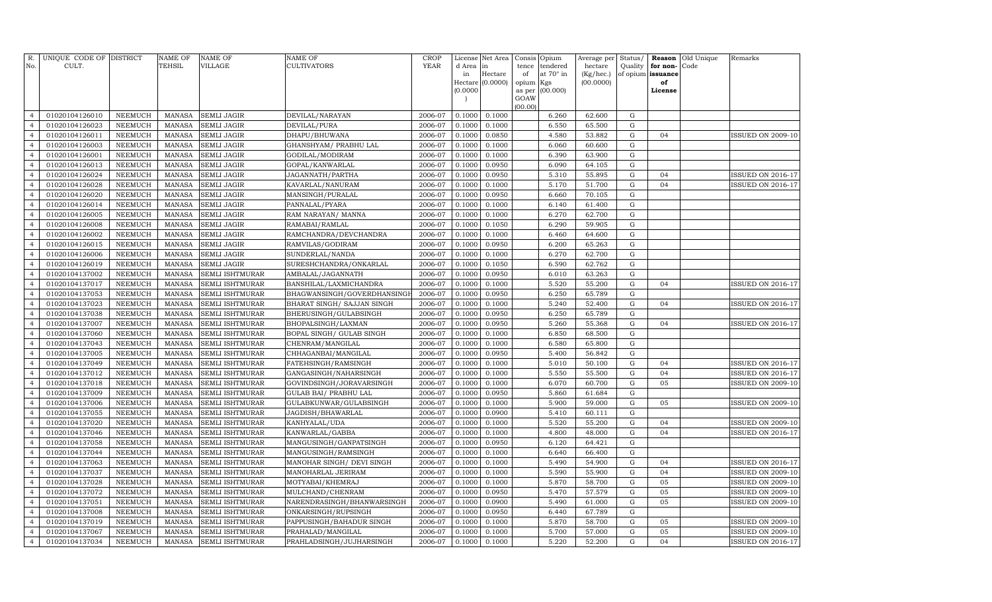| Quality for non-<br>Hectare<br>at 70° in<br>(Kg/hec.)<br>of opium issuance<br>in<br>of<br>Hectare (0.0000)<br>(00.0000)<br>opium Kgs<br>of<br>(0.0000)<br>(00.000)<br>as per<br>License<br>GOAW<br>(00.00)<br>2006-07<br>0.1000<br>G<br>01020104126010<br><b>NEEMUCH</b><br><b>MANASA</b><br><b>SEMLI JAGIR</b><br>DEVILAL/NARAYAN<br>0.1000<br>6.260<br>62.600<br>$\overline{4}$<br>01020104126023<br>2006-07<br>0.1000<br>6.550<br><b>NEEMUCH</b><br><b>MANASA</b><br><b>SEMLI JAGIR</b><br>DEVILAL/PURA<br>0.1000<br>65.500<br>G<br>$\overline{4}$<br>2006-07<br>4.580<br>${\rm G}$<br>01020104126011<br><b>NEEMUCH</b><br><b>MANASA</b><br><b>SEMLI JAGIR</b><br>DHAPU/BHUWANA<br>0.1000<br>0.0850<br>53.882<br>04<br><b>ISSUED ON 2009-10</b><br>$\overline{4}$<br>01020104126003<br><b>NEEMUCH</b><br>MANASA<br><b>SEMLI JAGIR</b><br>GHANSHYAM / PRABHU LAL<br>2006-07<br>0.1000<br>0.1000<br>6.060<br>60.600<br>${\rm G}$<br>$\overline{4}$<br>MANASA<br>2006-07<br>6.390<br>$\mathbf G$<br>01020104126001<br><b>NEEMUCH</b><br><b>SEMLI JAGIR</b><br>GODILAL/MODIRAM<br>0.1000<br>0.1000<br>63.900<br>$\overline{4}$<br>0.0950<br>01020104126013<br><b>NEEMUCH</b><br><b>MANASA</b><br><b>SEMLI JAGIR</b><br>GOPAL/KANWARLAL<br>2006-07<br>0.1000<br>6.090<br>64.105<br>${\rm G}$<br>$\overline{4}$<br><b>MANASA</b><br>2006-07<br>5.310<br>01020104126024<br><b>NEEMUCH</b><br><b>SEMLI JAGIR</b><br>JAGANNATH/PARTHA<br>0.1000<br>0.0950<br>55.895<br>${\rm G}$<br>04<br><b>ISSUED ON 2016-17</b><br>$\overline{4}$<br>01020104126028<br><b>NEEMUCH</b><br><b>MANASA</b><br><b>SEMLI JAGIR</b><br>KAVARLAL/NANURAM<br>2006-07<br>0.1000<br>0.1000<br>5.170<br>51.700<br>${\rm G}$<br>04<br>ISSUED ON 2016-17<br>$\overline{4}$<br>${\bf G}$<br>01020104126020<br><b>NEEMUCH</b><br><b>MANASA</b><br><b>SEMLI JAGIR</b><br>MANSINGH/PURALAL<br>2006-07<br>0.1000<br>0.0950<br>6.660<br>70.105<br>$\overline{4}$<br>01020104126014<br><b>NEEMUCH</b><br><b>MANASA</b><br><b>SEMLI JAGIR</b><br>2006-07<br>0.1000<br>0.1000<br>6.140<br>61.400<br>${\rm G}$<br>$\overline{4}$<br>PANNALAL/PYARA<br>01020104126005<br><b>NEEMUCH</b><br><b>MANASA</b><br><b>SEMLI JAGIR</b><br>RAM NARAYAN/ MANNA<br>2006-07<br>0.1000<br>0.1000<br>6.270<br>62.700<br>${\rm G}$<br>$\overline{4}$<br>6.290<br>${\bf G}$<br>01020104126008<br>NEEMUCH<br><b>MANASA</b><br><b>SEMLI JAGIR</b><br>2006-07<br>0.1000<br>0.1050<br>59.905<br>RAMABAI/RAMLAL<br>$\overline{4}$<br>${\bf G}$<br>01020104126002<br><b>NEEMUCH</b><br><b>MANASA</b><br><b>SEMLI JAGIR</b><br>RAMCHANDRA/DEVCHANDRA<br>2006-07<br>0.1000<br>0.1000<br>6.460<br>64.600<br>$\overline{4}$<br>01020104126015<br><b>NEEMUCH</b><br>2006-07<br>0.0950<br>6.200<br>${\rm G}$<br><b>MANASA</b><br><b>SEMLI JAGIR</b><br>RAMVILAS/GODIRAM<br>0.1000<br>65.263<br>$\overline{4}$<br>6.270<br>${\bf G}$<br>01020104126006<br>NEEMUCH<br><b>MANASA</b><br><b>SEMLI JAGIR</b><br>SUNDERLAL/NANDA<br>2006-07<br>0.1000<br>0.1000<br>62.700<br>$\overline{4}$<br>6.590<br>${\bf G}$<br>01020104126019<br><b>NEEMUCH</b><br><b>MANASA</b><br>2006-07<br>0.1000<br>0.1050<br>62.762<br><b>SEMLI JAGIR</b><br>SURESHCHANDRA/ONKARLAL<br>$\overline{4}$<br>${\bf G}$<br>01020104137002<br><b>MANASA</b><br>2006-07<br>0.0950<br>6.010<br>63.263<br>NEEMUCH<br>SEMLI ISHTMURAR<br>AMBALAL/JAGANNATH<br>0.1000<br>$\overline{4}$<br>5.520<br>${\rm G}$<br>$\overline{4}$<br>01020104137017<br>NEEMUCH<br><b>MANASA</b><br>SEMLI ISHTMURAR<br>BANSHILAL/LAXMICHANDRA<br>2006-07<br>0.1000<br>0.1000<br>55.200<br>04<br>ISSUED ON 2016-17<br>6.250<br>65.789<br>${\rm G}$<br>01020104137053<br>NEEMUCH<br><b>MANASA</b><br>SEMLI ISHTMURAR<br>BHAGWANSINGH/GOVERDHANSINGF<br>2006-07<br>0.1000<br>0.0950<br>$\overline{4}$<br>5.240<br>$\mathbf G$<br>01020104137023<br><b>NEEMUCH</b><br><b>MANASA</b><br><b>SEMLI ISHTMURAR</b><br>BHARAT SINGH / SAJJAN SINGH<br>2006-07<br>0.1000<br>0.1000<br>52.400<br>04<br><b>ISSUED ON 2016-17</b><br>$\overline{4}$<br>2006-07<br>6.250<br>65.789<br>G<br>$\overline{4}$<br>01020104137038<br>NEEMUCH<br><b>MANASA</b><br>SEMLI ISHTMURAR<br>BHERUSINGH/GULABSINGH<br>0.1000<br>0.0950<br>$\mathbf G$<br>01020104137007<br><b>NEEMUCH</b><br><b>MANASA</b><br>2006-07<br>0.1000<br>0.0950<br>5.260<br>55.368<br>ISSUED ON 2016-17<br>SEMLI ISHTMURAR<br>BHOPALSINGH/LAXMAN<br>04<br>$\overline{4}$<br>$\mathbf G$<br>01020104137060<br>NEEMUCH<br><b>MANASA</b><br>SEMLI ISHTMURAR<br>2006-07<br>0.1000<br>0.1000<br>6.850<br>68.500<br>$\overline{4}$<br>BOPAL SINGH / GULAB SINGH<br>6.580<br>$\mathbf G$<br>01020104137043<br><b>NEEMUCH</b><br><b>MANASA</b><br>SEMLI ISHTMURAR<br>2006-07<br>0.1000<br>0.1000<br>65.800<br>$\overline{4}$<br>CHENRAM/MANGILAL<br>$\mathbf G$<br>01020104137005<br><b>NEEMUCH</b><br><b>MANASA</b><br>CHHAGANBAI/MANGILAL<br>2006-07<br>0.1000<br>0.0950<br>5.400<br>56.842<br>SEMLI ISHTMURAR<br>$\overline{4}$<br>$\mathbf G$<br>01020104137049<br>NEEMUCH<br><b>MANASA</b><br>2006-07<br>0.1000<br>0.1000<br>5.010<br>50.100<br>04<br><b>ISSUED ON 2016-17</b><br>$\overline{4}$<br>SEMLI ISHTMURAR<br>FATEHSINGH/RAMSINGH<br>2006-07<br>5.550<br>$\mathbf G$<br>01020104137012<br><b>NEEMUCH</b><br><b>MANASA</b><br>SEMLI ISHTMURAR<br>GANGASINGH/NAHARSINGH<br>0.1000<br>0.1000<br>55.500<br>04<br>$\overline{4}$<br><b>ISSUED ON 2016-17</b><br>6.070<br>$\mathbf G$<br>05<br>01020104137018<br><b>NEEMUCH</b><br><b>MANASA</b><br>2006-07<br>0.1000<br>0.1000<br>60.700<br><b>ISSUED ON 2009-10</b><br>$\overline{4}$<br>SEMLI ISHTMURAR<br>GOVINDSINGH/JORAVARSINGH<br>5.860<br>$\mathbf G$<br>$\overline{4}$<br>01020104137009<br><b>NEEMUCH</b><br><b>MANASA</b><br>SEMLI ISHTMURAR<br>GULAB BAI / PRABHU LAL<br>2006-07<br>0.1000<br>0.0950<br>61.684<br>01020104137006<br><b>NEEMUCH</b><br><b>MANASA</b><br>GULABKUNWAR/GULABSINGH<br>2006-07<br>0.1000<br>0.1000<br>5.900<br>59.000<br>$\mathbf G$<br>05<br>SEMLI ISHTMURAR<br><b>ISSUED ON 2009-10</b><br>$\overline{4}$<br>5.410<br>$\mathbf G$<br>01020104137055<br><b>NEEMUCH</b><br><b>MANASA</b><br>SEMLI ISHTMURAR<br>JAGDISH/BHAWARLAL<br>2006-07<br>0.1000<br>0.0900<br>60.111<br>$\overline{4}$<br>5.520<br>01020104137020<br><b>NEEMUCH</b><br><b>MANASA</b><br>2006-07<br>0.1000<br>0.1000<br>55.200<br>$\mathbf G$<br><b>ISSUED ON 2009-10</b><br>$\overline{4}$<br>SEMLI ISHTMURAR<br>KANHYALAL/UDA<br>04<br>01020104137046<br><b>NEEMUCH</b><br><b>MANASA</b><br>SEMLI ISHTMURAR<br>KANWARLAL/GABBA<br>2006-07<br>0.1000<br>0.1000<br>4.800<br>48.000<br>$\mathbf G$<br>04<br><b>ISSUED ON 2016-17</b><br>$\overline{4}$<br>01020104137058<br><b>NEEMUCH</b><br><b>MANASA</b><br>2006-07<br>0.1000<br>0.0950<br>6.120<br>64.421<br>$\mathbf G$<br>SEMLI ISHTMURAR<br>MANGUSINGH/GANPATSINGH<br>$\overline{4}$<br>01020104137044<br><b>NEEMUCH</b><br><b>MANASA</b><br>2006-07<br>0.1000<br>0.1000<br>6.640<br>$\mathbf G$<br>$\overline{4}$<br>SEMLI ISHTMURAR<br>MANGUSINGH/RAMSINGH<br>66.400<br>01020104137063<br><b>NEEMUCH</b><br><b>MANASA</b><br>2006-07<br>0.1000<br>0.1000<br>5.490<br>54.900<br>$\mathbf G$<br>04<br>$\overline{4}$<br>SEMLI ISHTMURAR<br>MANOHAR SINGH/ DEVI SINGH<br><b>ISSUED ON 2016-17</b><br>01020104137037<br><b>NEEMUCH</b><br><b>MANASA</b><br>SEMLI ISHTMURAR<br>2006-07<br>0.1000<br>0.1000<br>5.590<br>55.900<br>$\mathbf G$<br>04<br><b>ISSUED ON 2009-10</b><br>$\overline{4}$<br>MANOHARLAL JERIRAM<br>01020104137028<br><b>NEEMUCH</b><br><b>MANASA</b><br>2006-07<br>0.1000<br>0.1000<br>5.870<br>58.700<br>$\mathbf G$<br>05<br>$\overline{4}$<br>SEMLI ISHTMURAR<br>MOTYABAI/KHEMRAJ<br><b>ISSUED ON 2009-10</b><br>01020104137072<br><b>NEEMUCH</b><br><b>MANASA</b><br><b>SEMLI ISHTMURAR</b><br>2006-07<br>0.1000<br>0.0950<br>5.470<br>57.579<br>$\mathbf G$<br>05<br>$\overline{4}$<br>MULCHAND/CHENRAM<br><b>ISSUED ON 2009-10</b><br>01020104137051<br><b>NEEMUCH</b><br><b>MANASA</b><br>2006-07<br>0.1000<br>0.0900<br>5.490<br>61.000<br>$\mathbf G$<br>05<br><b>ISSUED ON 2009-10</b><br>$\overline{4}$<br><b>SEMLI ISHTMURAR</b><br>NARENDRASINGH/BHANWARSINGH<br>01020104137008<br>NEEMUCH<br><b>MANASA</b><br>ONKARSINGH/RUPSINGH<br>2006-07<br>0.0950<br>6.440<br>67.789<br>$\mathbf G$<br><b>SEMLI ISHTMURAR</b><br>0.1000<br>$\overline{4}$<br>01020104137019<br><b>NEEMUCH</b><br><b>MANASA</b><br>0.1000<br>5.870<br>$\overline{4}$<br><b>SEMLI ISHTMURAR</b><br>PAPPUSINGH/BAHADUR SINGH<br>2006-07<br>0.1000<br>58.700<br>G<br>05<br><b>ISSUED ON 2009-10</b><br><b>MANASA</b><br>2006-07<br>5.700<br>$\mathbf G$<br>05<br>$\overline{4}$<br>01020104137067<br><b>NEEMUCH</b><br><b>SEMLI ISHTMURAR</b><br>PRAHALAD/MANGILAL<br>0.1000<br>0.1000<br>57.000<br><b>ISSUED ON 2009-10</b> |                | R. UNIQUE CODE OF DISTRICT |                | <b>NAME OF</b> | <b>NAME OF</b>         | <b>NAME OF</b>           | <b>CROP</b> | License | Net Area |       | Consis Opium | Average per |             | Status/ Reason | Old Unique | Remarks                  |
|--------------------------------------------------------------------------------------------------------------------------------------------------------------------------------------------------------------------------------------------------------------------------------------------------------------------------------------------------------------------------------------------------------------------------------------------------------------------------------------------------------------------------------------------------------------------------------------------------------------------------------------------------------------------------------------------------------------------------------------------------------------------------------------------------------------------------------------------------------------------------------------------------------------------------------------------------------------------------------------------------------------------------------------------------------------------------------------------------------------------------------------------------------------------------------------------------------------------------------------------------------------------------------------------------------------------------------------------------------------------------------------------------------------------------------------------------------------------------------------------------------------------------------------------------------------------------------------------------------------------------------------------------------------------------------------------------------------------------------------------------------------------------------------------------------------------------------------------------------------------------------------------------------------------------------------------------------------------------------------------------------------------------------------------------------------------------------------------------------------------------------------------------------------------------------------------------------------------------------------------------------------------------------------------------------------------------------------------------------------------------------------------------------------------------------------------------------------------------------------------------------------------------------------------------------------------------------------------------------------------------------------------------------------------------------------------------------------------------------------------------------------------------------------------------------------------------------------------------------------------------------------------------------------------------------------------------------------------------------------------------------------------------------------------------------------------------------------------------------------------------------------------------------------------------------------------------------------------------------------------------------------------------------------------------------------------------------------------------------------------------------------------------------------------------------------------------------------------------------------------------------------------------------------------------------------------------------------------------------------------------------------------------------------------------------------------------------------------------------------------------------------------------------------------------------------------------------------------------------------------------------------------------------------------------------------------------------------------------------------------------------------------------------------------------------------------------------------------------------------------------------------------------------------------------------------------------------------------------------------------------------------------------------------------------------------------------------------------------------------------------------------------------------------------------------------------------------------------------------------------------------------------------------------------------------------------------------------------------------------------------------------------------------------------------------------------------------------------------------------------------------------------------------------------------------------------------------------------------------------------------------------------------------------------------------------------------------------------------------------------------------------------------------------------------------------------------------------------------------------------------------------------------------------------------------------------------------------------------------------------------------------------------------------------------------------------------------------------------------------------------------------------------------------------------------------------------------------------------------------------------------------------------------------------------------------------------------------------------------------------------------------------------------------------------------------------------------------------------------------------------------------------------------------------------------------------------------------------------------------------------------------------------------------------------------------------------------------------------------------------------------------------------------------------------------------------------------------------------------------------------------------------------------------------------------------------------------------------------------------------------------------------------------------------------------------------------------------------------------------------------------------------------------------------------------------------------------------------------------------------------------------------------------------------------------------------------------------------------------------------------------------------------------------------------------------------------------------------------------------------------------------------------------------------------------------------------------------------------------------------------------------------------------------------------------------------------------------------------------------------------------------------------------------------------------------------------------------------------------------------------------------------------------------------------------------------------------------------------------------------------------------------------------------------------------------------------------------------------------------------------------------------------------------------------------------------------------------------------------------------------------------------------------------------------------------------------------------------------------------------------------------------------------------------------------------------------------------------------------------------------------------------------------------------------------------------------------------------------------------------------------------------------------------------------------------------------------------------------------------------------------------------------------------------------------------------------------------------------------------------------------------------------------------------------------------------------------------------------------------------------------------------------------------------------------------------------------------------------------------------------------------------------------------------------------------------------------------------------------------------------------------------------------------------------------------------------------------------------------------------------------------------------------------------------------------------------------------------------------------------------------------|----------------|----------------------------|----------------|----------------|------------------------|--------------------------|-------------|---------|----------|-------|--------------|-------------|-------------|----------------|------------|--------------------------|
|                                                                                                                                                                                                                                                                                                                                                                                                                                                                                                                                                                                                                                                                                                                                                                                                                                                                                                                                                                                                                                                                                                                                                                                                                                                                                                                                                                                                                                                                                                                                                                                                                                                                                                                                                                                                                                                                                                                                                                                                                                                                                                                                                                                                                                                                                                                                                                                                                                                                                                                                                                                                                                                                                                                                                                                                                                                                                                                                                                                                                                                                                                                                                                                                                                                                                                                                                                                                                                                                                                                                                                                                                                                                                                                                                                                                                                                                                                                                                                                                                                                                                                                                                                                                                                                                                                                                                                                                                                                                                                                                                                                                                                                                                                                                                                                                                                                                                                                                                                                                                                                                                                                                                                                                                                                                                                                                                                                                                                                                                                                                                                                                                                                                                                                                                                                                                                                                                                                                                                                                                                                                                                                                                                                                                                                                                                                                                                                                                                                                                                                                                                                                                                                                                                                                                                                                                                                                                                                                                                                                                                                                                                                                                                                                                                                                                                                                                                                                                                                                                                                                                                                                                                                                                                                                                                                                                                                                                                                                                                                                                                                                                                                                                                                                                                                                                                                                                                                                                                                                                                                                                                                                                                                                                                                                                              | No.            | CULT.                      |                | TEHSIL         | VILLAGE                | <b>CULTIVATORS</b>       | YEAR        | d Area  | in       | tence | tendered     | hectare     |             |                | Code       |                          |
|                                                                                                                                                                                                                                                                                                                                                                                                                                                                                                                                                                                                                                                                                                                                                                                                                                                                                                                                                                                                                                                                                                                                                                                                                                                                                                                                                                                                                                                                                                                                                                                                                                                                                                                                                                                                                                                                                                                                                                                                                                                                                                                                                                                                                                                                                                                                                                                                                                                                                                                                                                                                                                                                                                                                                                                                                                                                                                                                                                                                                                                                                                                                                                                                                                                                                                                                                                                                                                                                                                                                                                                                                                                                                                                                                                                                                                                                                                                                                                                                                                                                                                                                                                                                                                                                                                                                                                                                                                                                                                                                                                                                                                                                                                                                                                                                                                                                                                                                                                                                                                                                                                                                                                                                                                                                                                                                                                                                                                                                                                                                                                                                                                                                                                                                                                                                                                                                                                                                                                                                                                                                                                                                                                                                                                                                                                                                                                                                                                                                                                                                                                                                                                                                                                                                                                                                                                                                                                                                                                                                                                                                                                                                                                                                                                                                                                                                                                                                                                                                                                                                                                                                                                                                                                                                                                                                                                                                                                                                                                                                                                                                                                                                                                                                                                                                                                                                                                                                                                                                                                                                                                                                                                                                                                                                                              |                |                            |                |                |                        |                          |             |         |          |       |              |             |             |                |            |                          |
|                                                                                                                                                                                                                                                                                                                                                                                                                                                                                                                                                                                                                                                                                                                                                                                                                                                                                                                                                                                                                                                                                                                                                                                                                                                                                                                                                                                                                                                                                                                                                                                                                                                                                                                                                                                                                                                                                                                                                                                                                                                                                                                                                                                                                                                                                                                                                                                                                                                                                                                                                                                                                                                                                                                                                                                                                                                                                                                                                                                                                                                                                                                                                                                                                                                                                                                                                                                                                                                                                                                                                                                                                                                                                                                                                                                                                                                                                                                                                                                                                                                                                                                                                                                                                                                                                                                                                                                                                                                                                                                                                                                                                                                                                                                                                                                                                                                                                                                                                                                                                                                                                                                                                                                                                                                                                                                                                                                                                                                                                                                                                                                                                                                                                                                                                                                                                                                                                                                                                                                                                                                                                                                                                                                                                                                                                                                                                                                                                                                                                                                                                                                                                                                                                                                                                                                                                                                                                                                                                                                                                                                                                                                                                                                                                                                                                                                                                                                                                                                                                                                                                                                                                                                                                                                                                                                                                                                                                                                                                                                                                                                                                                                                                                                                                                                                                                                                                                                                                                                                                                                                                                                                                                                                                                                                                              |                |                            |                |                |                        |                          |             |         |          |       |              |             |             |                |            |                          |
|                                                                                                                                                                                                                                                                                                                                                                                                                                                                                                                                                                                                                                                                                                                                                                                                                                                                                                                                                                                                                                                                                                                                                                                                                                                                                                                                                                                                                                                                                                                                                                                                                                                                                                                                                                                                                                                                                                                                                                                                                                                                                                                                                                                                                                                                                                                                                                                                                                                                                                                                                                                                                                                                                                                                                                                                                                                                                                                                                                                                                                                                                                                                                                                                                                                                                                                                                                                                                                                                                                                                                                                                                                                                                                                                                                                                                                                                                                                                                                                                                                                                                                                                                                                                                                                                                                                                                                                                                                                                                                                                                                                                                                                                                                                                                                                                                                                                                                                                                                                                                                                                                                                                                                                                                                                                                                                                                                                                                                                                                                                                                                                                                                                                                                                                                                                                                                                                                                                                                                                                                                                                                                                                                                                                                                                                                                                                                                                                                                                                                                                                                                                                                                                                                                                                                                                                                                                                                                                                                                                                                                                                                                                                                                                                                                                                                                                                                                                                                                                                                                                                                                                                                                                                                                                                                                                                                                                                                                                                                                                                                                                                                                                                                                                                                                                                                                                                                                                                                                                                                                                                                                                                                                                                                                                                                              |                |                            |                |                |                        |                          |             |         |          |       |              |             |             |                |            |                          |
|                                                                                                                                                                                                                                                                                                                                                                                                                                                                                                                                                                                                                                                                                                                                                                                                                                                                                                                                                                                                                                                                                                                                                                                                                                                                                                                                                                                                                                                                                                                                                                                                                                                                                                                                                                                                                                                                                                                                                                                                                                                                                                                                                                                                                                                                                                                                                                                                                                                                                                                                                                                                                                                                                                                                                                                                                                                                                                                                                                                                                                                                                                                                                                                                                                                                                                                                                                                                                                                                                                                                                                                                                                                                                                                                                                                                                                                                                                                                                                                                                                                                                                                                                                                                                                                                                                                                                                                                                                                                                                                                                                                                                                                                                                                                                                                                                                                                                                                                                                                                                                                                                                                                                                                                                                                                                                                                                                                                                                                                                                                                                                                                                                                                                                                                                                                                                                                                                                                                                                                                                                                                                                                                                                                                                                                                                                                                                                                                                                                                                                                                                                                                                                                                                                                                                                                                                                                                                                                                                                                                                                                                                                                                                                                                                                                                                                                                                                                                                                                                                                                                                                                                                                                                                                                                                                                                                                                                                                                                                                                                                                                                                                                                                                                                                                                                                                                                                                                                                                                                                                                                                                                                                                                                                                                                                              |                |                            |                |                |                        |                          |             |         |          |       |              |             |             |                |            |                          |
|                                                                                                                                                                                                                                                                                                                                                                                                                                                                                                                                                                                                                                                                                                                                                                                                                                                                                                                                                                                                                                                                                                                                                                                                                                                                                                                                                                                                                                                                                                                                                                                                                                                                                                                                                                                                                                                                                                                                                                                                                                                                                                                                                                                                                                                                                                                                                                                                                                                                                                                                                                                                                                                                                                                                                                                                                                                                                                                                                                                                                                                                                                                                                                                                                                                                                                                                                                                                                                                                                                                                                                                                                                                                                                                                                                                                                                                                                                                                                                                                                                                                                                                                                                                                                                                                                                                                                                                                                                                                                                                                                                                                                                                                                                                                                                                                                                                                                                                                                                                                                                                                                                                                                                                                                                                                                                                                                                                                                                                                                                                                                                                                                                                                                                                                                                                                                                                                                                                                                                                                                                                                                                                                                                                                                                                                                                                                                                                                                                                                                                                                                                                                                                                                                                                                                                                                                                                                                                                                                                                                                                                                                                                                                                                                                                                                                                                                                                                                                                                                                                                                                                                                                                                                                                                                                                                                                                                                                                                                                                                                                                                                                                                                                                                                                                                                                                                                                                                                                                                                                                                                                                                                                                                                                                                                                              |                |                            |                |                |                        |                          |             |         |          |       |              |             |             |                |            |                          |
|                                                                                                                                                                                                                                                                                                                                                                                                                                                                                                                                                                                                                                                                                                                                                                                                                                                                                                                                                                                                                                                                                                                                                                                                                                                                                                                                                                                                                                                                                                                                                                                                                                                                                                                                                                                                                                                                                                                                                                                                                                                                                                                                                                                                                                                                                                                                                                                                                                                                                                                                                                                                                                                                                                                                                                                                                                                                                                                                                                                                                                                                                                                                                                                                                                                                                                                                                                                                                                                                                                                                                                                                                                                                                                                                                                                                                                                                                                                                                                                                                                                                                                                                                                                                                                                                                                                                                                                                                                                                                                                                                                                                                                                                                                                                                                                                                                                                                                                                                                                                                                                                                                                                                                                                                                                                                                                                                                                                                                                                                                                                                                                                                                                                                                                                                                                                                                                                                                                                                                                                                                                                                                                                                                                                                                                                                                                                                                                                                                                                                                                                                                                                                                                                                                                                                                                                                                                                                                                                                                                                                                                                                                                                                                                                                                                                                                                                                                                                                                                                                                                                                                                                                                                                                                                                                                                                                                                                                                                                                                                                                                                                                                                                                                                                                                                                                                                                                                                                                                                                                                                                                                                                                                                                                                                                                              |                |                            |                |                |                        |                          |             |         |          |       |              |             |             |                |            |                          |
|                                                                                                                                                                                                                                                                                                                                                                                                                                                                                                                                                                                                                                                                                                                                                                                                                                                                                                                                                                                                                                                                                                                                                                                                                                                                                                                                                                                                                                                                                                                                                                                                                                                                                                                                                                                                                                                                                                                                                                                                                                                                                                                                                                                                                                                                                                                                                                                                                                                                                                                                                                                                                                                                                                                                                                                                                                                                                                                                                                                                                                                                                                                                                                                                                                                                                                                                                                                                                                                                                                                                                                                                                                                                                                                                                                                                                                                                                                                                                                                                                                                                                                                                                                                                                                                                                                                                                                                                                                                                                                                                                                                                                                                                                                                                                                                                                                                                                                                                                                                                                                                                                                                                                                                                                                                                                                                                                                                                                                                                                                                                                                                                                                                                                                                                                                                                                                                                                                                                                                                                                                                                                                                                                                                                                                                                                                                                                                                                                                                                                                                                                                                                                                                                                                                                                                                                                                                                                                                                                                                                                                                                                                                                                                                                                                                                                                                                                                                                                                                                                                                                                                                                                                                                                                                                                                                                                                                                                                                                                                                                                                                                                                                                                                                                                                                                                                                                                                                                                                                                                                                                                                                                                                                                                                                                                              |                |                            |                |                |                        |                          |             |         |          |       |              |             |             |                |            |                          |
|                                                                                                                                                                                                                                                                                                                                                                                                                                                                                                                                                                                                                                                                                                                                                                                                                                                                                                                                                                                                                                                                                                                                                                                                                                                                                                                                                                                                                                                                                                                                                                                                                                                                                                                                                                                                                                                                                                                                                                                                                                                                                                                                                                                                                                                                                                                                                                                                                                                                                                                                                                                                                                                                                                                                                                                                                                                                                                                                                                                                                                                                                                                                                                                                                                                                                                                                                                                                                                                                                                                                                                                                                                                                                                                                                                                                                                                                                                                                                                                                                                                                                                                                                                                                                                                                                                                                                                                                                                                                                                                                                                                                                                                                                                                                                                                                                                                                                                                                                                                                                                                                                                                                                                                                                                                                                                                                                                                                                                                                                                                                                                                                                                                                                                                                                                                                                                                                                                                                                                                                                                                                                                                                                                                                                                                                                                                                                                                                                                                                                                                                                                                                                                                                                                                                                                                                                                                                                                                                                                                                                                                                                                                                                                                                                                                                                                                                                                                                                                                                                                                                                                                                                                                                                                                                                                                                                                                                                                                                                                                                                                                                                                                                                                                                                                                                                                                                                                                                                                                                                                                                                                                                                                                                                                                                                              |                |                            |                |                |                        |                          |             |         |          |       |              |             |             |                |            |                          |
|                                                                                                                                                                                                                                                                                                                                                                                                                                                                                                                                                                                                                                                                                                                                                                                                                                                                                                                                                                                                                                                                                                                                                                                                                                                                                                                                                                                                                                                                                                                                                                                                                                                                                                                                                                                                                                                                                                                                                                                                                                                                                                                                                                                                                                                                                                                                                                                                                                                                                                                                                                                                                                                                                                                                                                                                                                                                                                                                                                                                                                                                                                                                                                                                                                                                                                                                                                                                                                                                                                                                                                                                                                                                                                                                                                                                                                                                                                                                                                                                                                                                                                                                                                                                                                                                                                                                                                                                                                                                                                                                                                                                                                                                                                                                                                                                                                                                                                                                                                                                                                                                                                                                                                                                                                                                                                                                                                                                                                                                                                                                                                                                                                                                                                                                                                                                                                                                                                                                                                                                                                                                                                                                                                                                                                                                                                                                                                                                                                                                                                                                                                                                                                                                                                                                                                                                                                                                                                                                                                                                                                                                                                                                                                                                                                                                                                                                                                                                                                                                                                                                                                                                                                                                                                                                                                                                                                                                                                                                                                                                                                                                                                                                                                                                                                                                                                                                                                                                                                                                                                                                                                                                                                                                                                                                                              |                |                            |                |                |                        |                          |             |         |          |       |              |             |             |                |            |                          |
|                                                                                                                                                                                                                                                                                                                                                                                                                                                                                                                                                                                                                                                                                                                                                                                                                                                                                                                                                                                                                                                                                                                                                                                                                                                                                                                                                                                                                                                                                                                                                                                                                                                                                                                                                                                                                                                                                                                                                                                                                                                                                                                                                                                                                                                                                                                                                                                                                                                                                                                                                                                                                                                                                                                                                                                                                                                                                                                                                                                                                                                                                                                                                                                                                                                                                                                                                                                                                                                                                                                                                                                                                                                                                                                                                                                                                                                                                                                                                                                                                                                                                                                                                                                                                                                                                                                                                                                                                                                                                                                                                                                                                                                                                                                                                                                                                                                                                                                                                                                                                                                                                                                                                                                                                                                                                                                                                                                                                                                                                                                                                                                                                                                                                                                                                                                                                                                                                                                                                                                                                                                                                                                                                                                                                                                                                                                                                                                                                                                                                                                                                                                                                                                                                                                                                                                                                                                                                                                                                                                                                                                                                                                                                                                                                                                                                                                                                                                                                                                                                                                                                                                                                                                                                                                                                                                                                                                                                                                                                                                                                                                                                                                                                                                                                                                                                                                                                                                                                                                                                                                                                                                                                                                                                                                                                              |                |                            |                |                |                        |                          |             |         |          |       |              |             |             |                |            |                          |
|                                                                                                                                                                                                                                                                                                                                                                                                                                                                                                                                                                                                                                                                                                                                                                                                                                                                                                                                                                                                                                                                                                                                                                                                                                                                                                                                                                                                                                                                                                                                                                                                                                                                                                                                                                                                                                                                                                                                                                                                                                                                                                                                                                                                                                                                                                                                                                                                                                                                                                                                                                                                                                                                                                                                                                                                                                                                                                                                                                                                                                                                                                                                                                                                                                                                                                                                                                                                                                                                                                                                                                                                                                                                                                                                                                                                                                                                                                                                                                                                                                                                                                                                                                                                                                                                                                                                                                                                                                                                                                                                                                                                                                                                                                                                                                                                                                                                                                                                                                                                                                                                                                                                                                                                                                                                                                                                                                                                                                                                                                                                                                                                                                                                                                                                                                                                                                                                                                                                                                                                                                                                                                                                                                                                                                                                                                                                                                                                                                                                                                                                                                                                                                                                                                                                                                                                                                                                                                                                                                                                                                                                                                                                                                                                                                                                                                                                                                                                                                                                                                                                                                                                                                                                                                                                                                                                                                                                                                                                                                                                                                                                                                                                                                                                                                                                                                                                                                                                                                                                                                                                                                                                                                                                                                                                                              |                |                            |                |                |                        |                          |             |         |          |       |              |             |             |                |            |                          |
|                                                                                                                                                                                                                                                                                                                                                                                                                                                                                                                                                                                                                                                                                                                                                                                                                                                                                                                                                                                                                                                                                                                                                                                                                                                                                                                                                                                                                                                                                                                                                                                                                                                                                                                                                                                                                                                                                                                                                                                                                                                                                                                                                                                                                                                                                                                                                                                                                                                                                                                                                                                                                                                                                                                                                                                                                                                                                                                                                                                                                                                                                                                                                                                                                                                                                                                                                                                                                                                                                                                                                                                                                                                                                                                                                                                                                                                                                                                                                                                                                                                                                                                                                                                                                                                                                                                                                                                                                                                                                                                                                                                                                                                                                                                                                                                                                                                                                                                                                                                                                                                                                                                                                                                                                                                                                                                                                                                                                                                                                                                                                                                                                                                                                                                                                                                                                                                                                                                                                                                                                                                                                                                                                                                                                                                                                                                                                                                                                                                                                                                                                                                                                                                                                                                                                                                                                                                                                                                                                                                                                                                                                                                                                                                                                                                                                                                                                                                                                                                                                                                                                                                                                                                                                                                                                                                                                                                                                                                                                                                                                                                                                                                                                                                                                                                                                                                                                                                                                                                                                                                                                                                                                                                                                                                                                              |                |                            |                |                |                        |                          |             |         |          |       |              |             |             |                |            |                          |
|                                                                                                                                                                                                                                                                                                                                                                                                                                                                                                                                                                                                                                                                                                                                                                                                                                                                                                                                                                                                                                                                                                                                                                                                                                                                                                                                                                                                                                                                                                                                                                                                                                                                                                                                                                                                                                                                                                                                                                                                                                                                                                                                                                                                                                                                                                                                                                                                                                                                                                                                                                                                                                                                                                                                                                                                                                                                                                                                                                                                                                                                                                                                                                                                                                                                                                                                                                                                                                                                                                                                                                                                                                                                                                                                                                                                                                                                                                                                                                                                                                                                                                                                                                                                                                                                                                                                                                                                                                                                                                                                                                                                                                                                                                                                                                                                                                                                                                                                                                                                                                                                                                                                                                                                                                                                                                                                                                                                                                                                                                                                                                                                                                                                                                                                                                                                                                                                                                                                                                                                                                                                                                                                                                                                                                                                                                                                                                                                                                                                                                                                                                                                                                                                                                                                                                                                                                                                                                                                                                                                                                                                                                                                                                                                                                                                                                                                                                                                                                                                                                                                                                                                                                                                                                                                                                                                                                                                                                                                                                                                                                                                                                                                                                                                                                                                                                                                                                                                                                                                                                                                                                                                                                                                                                                                                              |                |                            |                |                |                        |                          |             |         |          |       |              |             |             |                |            |                          |
|                                                                                                                                                                                                                                                                                                                                                                                                                                                                                                                                                                                                                                                                                                                                                                                                                                                                                                                                                                                                                                                                                                                                                                                                                                                                                                                                                                                                                                                                                                                                                                                                                                                                                                                                                                                                                                                                                                                                                                                                                                                                                                                                                                                                                                                                                                                                                                                                                                                                                                                                                                                                                                                                                                                                                                                                                                                                                                                                                                                                                                                                                                                                                                                                                                                                                                                                                                                                                                                                                                                                                                                                                                                                                                                                                                                                                                                                                                                                                                                                                                                                                                                                                                                                                                                                                                                                                                                                                                                                                                                                                                                                                                                                                                                                                                                                                                                                                                                                                                                                                                                                                                                                                                                                                                                                                                                                                                                                                                                                                                                                                                                                                                                                                                                                                                                                                                                                                                                                                                                                                                                                                                                                                                                                                                                                                                                                                                                                                                                                                                                                                                                                                                                                                                                                                                                                                                                                                                                                                                                                                                                                                                                                                                                                                                                                                                                                                                                                                                                                                                                                                                                                                                                                                                                                                                                                                                                                                                                                                                                                                                                                                                                                                                                                                                                                                                                                                                                                                                                                                                                                                                                                                                                                                                                                                              |                |                            |                |                |                        |                          |             |         |          |       |              |             |             |                |            |                          |
|                                                                                                                                                                                                                                                                                                                                                                                                                                                                                                                                                                                                                                                                                                                                                                                                                                                                                                                                                                                                                                                                                                                                                                                                                                                                                                                                                                                                                                                                                                                                                                                                                                                                                                                                                                                                                                                                                                                                                                                                                                                                                                                                                                                                                                                                                                                                                                                                                                                                                                                                                                                                                                                                                                                                                                                                                                                                                                                                                                                                                                                                                                                                                                                                                                                                                                                                                                                                                                                                                                                                                                                                                                                                                                                                                                                                                                                                                                                                                                                                                                                                                                                                                                                                                                                                                                                                                                                                                                                                                                                                                                                                                                                                                                                                                                                                                                                                                                                                                                                                                                                                                                                                                                                                                                                                                                                                                                                                                                                                                                                                                                                                                                                                                                                                                                                                                                                                                                                                                                                                                                                                                                                                                                                                                                                                                                                                                                                                                                                                                                                                                                                                                                                                                                                                                                                                                                                                                                                                                                                                                                                                                                                                                                                                                                                                                                                                                                                                                                                                                                                                                                                                                                                                                                                                                                                                                                                                                                                                                                                                                                                                                                                                                                                                                                                                                                                                                                                                                                                                                                                                                                                                                                                                                                                                                              |                |                            |                |                |                        |                          |             |         |          |       |              |             |             |                |            |                          |
|                                                                                                                                                                                                                                                                                                                                                                                                                                                                                                                                                                                                                                                                                                                                                                                                                                                                                                                                                                                                                                                                                                                                                                                                                                                                                                                                                                                                                                                                                                                                                                                                                                                                                                                                                                                                                                                                                                                                                                                                                                                                                                                                                                                                                                                                                                                                                                                                                                                                                                                                                                                                                                                                                                                                                                                                                                                                                                                                                                                                                                                                                                                                                                                                                                                                                                                                                                                                                                                                                                                                                                                                                                                                                                                                                                                                                                                                                                                                                                                                                                                                                                                                                                                                                                                                                                                                                                                                                                                                                                                                                                                                                                                                                                                                                                                                                                                                                                                                                                                                                                                                                                                                                                                                                                                                                                                                                                                                                                                                                                                                                                                                                                                                                                                                                                                                                                                                                                                                                                                                                                                                                                                                                                                                                                                                                                                                                                                                                                                                                                                                                                                                                                                                                                                                                                                                                                                                                                                                                                                                                                                                                                                                                                                                                                                                                                                                                                                                                                                                                                                                                                                                                                                                                                                                                                                                                                                                                                                                                                                                                                                                                                                                                                                                                                                                                                                                                                                                                                                                                                                                                                                                                                                                                                                                                              |                |                            |                |                |                        |                          |             |         |          |       |              |             |             |                |            |                          |
|                                                                                                                                                                                                                                                                                                                                                                                                                                                                                                                                                                                                                                                                                                                                                                                                                                                                                                                                                                                                                                                                                                                                                                                                                                                                                                                                                                                                                                                                                                                                                                                                                                                                                                                                                                                                                                                                                                                                                                                                                                                                                                                                                                                                                                                                                                                                                                                                                                                                                                                                                                                                                                                                                                                                                                                                                                                                                                                                                                                                                                                                                                                                                                                                                                                                                                                                                                                                                                                                                                                                                                                                                                                                                                                                                                                                                                                                                                                                                                                                                                                                                                                                                                                                                                                                                                                                                                                                                                                                                                                                                                                                                                                                                                                                                                                                                                                                                                                                                                                                                                                                                                                                                                                                                                                                                                                                                                                                                                                                                                                                                                                                                                                                                                                                                                                                                                                                                                                                                                                                                                                                                                                                                                                                                                                                                                                                                                                                                                                                                                                                                                                                                                                                                                                                                                                                                                                                                                                                                                                                                                                                                                                                                                                                                                                                                                                                                                                                                                                                                                                                                                                                                                                                                                                                                                                                                                                                                                                                                                                                                                                                                                                                                                                                                                                                                                                                                                                                                                                                                                                                                                                                                                                                                                                                                              |                |                            |                |                |                        |                          |             |         |          |       |              |             |             |                |            |                          |
|                                                                                                                                                                                                                                                                                                                                                                                                                                                                                                                                                                                                                                                                                                                                                                                                                                                                                                                                                                                                                                                                                                                                                                                                                                                                                                                                                                                                                                                                                                                                                                                                                                                                                                                                                                                                                                                                                                                                                                                                                                                                                                                                                                                                                                                                                                                                                                                                                                                                                                                                                                                                                                                                                                                                                                                                                                                                                                                                                                                                                                                                                                                                                                                                                                                                                                                                                                                                                                                                                                                                                                                                                                                                                                                                                                                                                                                                                                                                                                                                                                                                                                                                                                                                                                                                                                                                                                                                                                                                                                                                                                                                                                                                                                                                                                                                                                                                                                                                                                                                                                                                                                                                                                                                                                                                                                                                                                                                                                                                                                                                                                                                                                                                                                                                                                                                                                                                                                                                                                                                                                                                                                                                                                                                                                                                                                                                                                                                                                                                                                                                                                                                                                                                                                                                                                                                                                                                                                                                                                                                                                                                                                                                                                                                                                                                                                                                                                                                                                                                                                                                                                                                                                                                                                                                                                                                                                                                                                                                                                                                                                                                                                                                                                                                                                                                                                                                                                                                                                                                                                                                                                                                                                                                                                                                                              |                |                            |                |                |                        |                          |             |         |          |       |              |             |             |                |            |                          |
|                                                                                                                                                                                                                                                                                                                                                                                                                                                                                                                                                                                                                                                                                                                                                                                                                                                                                                                                                                                                                                                                                                                                                                                                                                                                                                                                                                                                                                                                                                                                                                                                                                                                                                                                                                                                                                                                                                                                                                                                                                                                                                                                                                                                                                                                                                                                                                                                                                                                                                                                                                                                                                                                                                                                                                                                                                                                                                                                                                                                                                                                                                                                                                                                                                                                                                                                                                                                                                                                                                                                                                                                                                                                                                                                                                                                                                                                                                                                                                                                                                                                                                                                                                                                                                                                                                                                                                                                                                                                                                                                                                                                                                                                                                                                                                                                                                                                                                                                                                                                                                                                                                                                                                                                                                                                                                                                                                                                                                                                                                                                                                                                                                                                                                                                                                                                                                                                                                                                                                                                                                                                                                                                                                                                                                                                                                                                                                                                                                                                                                                                                                                                                                                                                                                                                                                                                                                                                                                                                                                                                                                                                                                                                                                                                                                                                                                                                                                                                                                                                                                                                                                                                                                                                                                                                                                                                                                                                                                                                                                                                                                                                                                                                                                                                                                                                                                                                                                                                                                                                                                                                                                                                                                                                                                                                              |                |                            |                |                |                        |                          |             |         |          |       |              |             |             |                |            |                          |
|                                                                                                                                                                                                                                                                                                                                                                                                                                                                                                                                                                                                                                                                                                                                                                                                                                                                                                                                                                                                                                                                                                                                                                                                                                                                                                                                                                                                                                                                                                                                                                                                                                                                                                                                                                                                                                                                                                                                                                                                                                                                                                                                                                                                                                                                                                                                                                                                                                                                                                                                                                                                                                                                                                                                                                                                                                                                                                                                                                                                                                                                                                                                                                                                                                                                                                                                                                                                                                                                                                                                                                                                                                                                                                                                                                                                                                                                                                                                                                                                                                                                                                                                                                                                                                                                                                                                                                                                                                                                                                                                                                                                                                                                                                                                                                                                                                                                                                                                                                                                                                                                                                                                                                                                                                                                                                                                                                                                                                                                                                                                                                                                                                                                                                                                                                                                                                                                                                                                                                                                                                                                                                                                                                                                                                                                                                                                                                                                                                                                                                                                                                                                                                                                                                                                                                                                                                                                                                                                                                                                                                                                                                                                                                                                                                                                                                                                                                                                                                                                                                                                                                                                                                                                                                                                                                                                                                                                                                                                                                                                                                                                                                                                                                                                                                                                                                                                                                                                                                                                                                                                                                                                                                                                                                                                                              |                |                            |                |                |                        |                          |             |         |          |       |              |             |             |                |            |                          |
|                                                                                                                                                                                                                                                                                                                                                                                                                                                                                                                                                                                                                                                                                                                                                                                                                                                                                                                                                                                                                                                                                                                                                                                                                                                                                                                                                                                                                                                                                                                                                                                                                                                                                                                                                                                                                                                                                                                                                                                                                                                                                                                                                                                                                                                                                                                                                                                                                                                                                                                                                                                                                                                                                                                                                                                                                                                                                                                                                                                                                                                                                                                                                                                                                                                                                                                                                                                                                                                                                                                                                                                                                                                                                                                                                                                                                                                                                                                                                                                                                                                                                                                                                                                                                                                                                                                                                                                                                                                                                                                                                                                                                                                                                                                                                                                                                                                                                                                                                                                                                                                                                                                                                                                                                                                                                                                                                                                                                                                                                                                                                                                                                                                                                                                                                                                                                                                                                                                                                                                                                                                                                                                                                                                                                                                                                                                                                                                                                                                                                                                                                                                                                                                                                                                                                                                                                                                                                                                                                                                                                                                                                                                                                                                                                                                                                                                                                                                                                                                                                                                                                                                                                                                                                                                                                                                                                                                                                                                                                                                                                                                                                                                                                                                                                                                                                                                                                                                                                                                                                                                                                                                                                                                                                                                                                              |                |                            |                |                |                        |                          |             |         |          |       |              |             |             |                |            |                          |
|                                                                                                                                                                                                                                                                                                                                                                                                                                                                                                                                                                                                                                                                                                                                                                                                                                                                                                                                                                                                                                                                                                                                                                                                                                                                                                                                                                                                                                                                                                                                                                                                                                                                                                                                                                                                                                                                                                                                                                                                                                                                                                                                                                                                                                                                                                                                                                                                                                                                                                                                                                                                                                                                                                                                                                                                                                                                                                                                                                                                                                                                                                                                                                                                                                                                                                                                                                                                                                                                                                                                                                                                                                                                                                                                                                                                                                                                                                                                                                                                                                                                                                                                                                                                                                                                                                                                                                                                                                                                                                                                                                                                                                                                                                                                                                                                                                                                                                                                                                                                                                                                                                                                                                                                                                                                                                                                                                                                                                                                                                                                                                                                                                                                                                                                                                                                                                                                                                                                                                                                                                                                                                                                                                                                                                                                                                                                                                                                                                                                                                                                                                                                                                                                                                                                                                                                                                                                                                                                                                                                                                                                                                                                                                                                                                                                                                                                                                                                                                                                                                                                                                                                                                                                                                                                                                                                                                                                                                                                                                                                                                                                                                                                                                                                                                                                                                                                                                                                                                                                                                                                                                                                                                                                                                                                                              |                |                            |                |                |                        |                          |             |         |          |       |              |             |             |                |            |                          |
|                                                                                                                                                                                                                                                                                                                                                                                                                                                                                                                                                                                                                                                                                                                                                                                                                                                                                                                                                                                                                                                                                                                                                                                                                                                                                                                                                                                                                                                                                                                                                                                                                                                                                                                                                                                                                                                                                                                                                                                                                                                                                                                                                                                                                                                                                                                                                                                                                                                                                                                                                                                                                                                                                                                                                                                                                                                                                                                                                                                                                                                                                                                                                                                                                                                                                                                                                                                                                                                                                                                                                                                                                                                                                                                                                                                                                                                                                                                                                                                                                                                                                                                                                                                                                                                                                                                                                                                                                                                                                                                                                                                                                                                                                                                                                                                                                                                                                                                                                                                                                                                                                                                                                                                                                                                                                                                                                                                                                                                                                                                                                                                                                                                                                                                                                                                                                                                                                                                                                                                                                                                                                                                                                                                                                                                                                                                                                                                                                                                                                                                                                                                                                                                                                                                                                                                                                                                                                                                                                                                                                                                                                                                                                                                                                                                                                                                                                                                                                                                                                                                                                                                                                                                                                                                                                                                                                                                                                                                                                                                                                                                                                                                                                                                                                                                                                                                                                                                                                                                                                                                                                                                                                                                                                                                                                              |                |                            |                |                |                        |                          |             |         |          |       |              |             |             |                |            |                          |
|                                                                                                                                                                                                                                                                                                                                                                                                                                                                                                                                                                                                                                                                                                                                                                                                                                                                                                                                                                                                                                                                                                                                                                                                                                                                                                                                                                                                                                                                                                                                                                                                                                                                                                                                                                                                                                                                                                                                                                                                                                                                                                                                                                                                                                                                                                                                                                                                                                                                                                                                                                                                                                                                                                                                                                                                                                                                                                                                                                                                                                                                                                                                                                                                                                                                                                                                                                                                                                                                                                                                                                                                                                                                                                                                                                                                                                                                                                                                                                                                                                                                                                                                                                                                                                                                                                                                                                                                                                                                                                                                                                                                                                                                                                                                                                                                                                                                                                                                                                                                                                                                                                                                                                                                                                                                                                                                                                                                                                                                                                                                                                                                                                                                                                                                                                                                                                                                                                                                                                                                                                                                                                                                                                                                                                                                                                                                                                                                                                                                                                                                                                                                                                                                                                                                                                                                                                                                                                                                                                                                                                                                                                                                                                                                                                                                                                                                                                                                                                                                                                                                                                                                                                                                                                                                                                                                                                                                                                                                                                                                                                                                                                                                                                                                                                                                                                                                                                                                                                                                                                                                                                                                                                                                                                                                                              |                |                            |                |                |                        |                          |             |         |          |       |              |             |             |                |            |                          |
|                                                                                                                                                                                                                                                                                                                                                                                                                                                                                                                                                                                                                                                                                                                                                                                                                                                                                                                                                                                                                                                                                                                                                                                                                                                                                                                                                                                                                                                                                                                                                                                                                                                                                                                                                                                                                                                                                                                                                                                                                                                                                                                                                                                                                                                                                                                                                                                                                                                                                                                                                                                                                                                                                                                                                                                                                                                                                                                                                                                                                                                                                                                                                                                                                                                                                                                                                                                                                                                                                                                                                                                                                                                                                                                                                                                                                                                                                                                                                                                                                                                                                                                                                                                                                                                                                                                                                                                                                                                                                                                                                                                                                                                                                                                                                                                                                                                                                                                                                                                                                                                                                                                                                                                                                                                                                                                                                                                                                                                                                                                                                                                                                                                                                                                                                                                                                                                                                                                                                                                                                                                                                                                                                                                                                                                                                                                                                                                                                                                                                                                                                                                                                                                                                                                                                                                                                                                                                                                                                                                                                                                                                                                                                                                                                                                                                                                                                                                                                                                                                                                                                                                                                                                                                                                                                                                                                                                                                                                                                                                                                                                                                                                                                                                                                                                                                                                                                                                                                                                                                                                                                                                                                                                                                                                                                              |                |                            |                |                |                        |                          |             |         |          |       |              |             |             |                |            |                          |
|                                                                                                                                                                                                                                                                                                                                                                                                                                                                                                                                                                                                                                                                                                                                                                                                                                                                                                                                                                                                                                                                                                                                                                                                                                                                                                                                                                                                                                                                                                                                                                                                                                                                                                                                                                                                                                                                                                                                                                                                                                                                                                                                                                                                                                                                                                                                                                                                                                                                                                                                                                                                                                                                                                                                                                                                                                                                                                                                                                                                                                                                                                                                                                                                                                                                                                                                                                                                                                                                                                                                                                                                                                                                                                                                                                                                                                                                                                                                                                                                                                                                                                                                                                                                                                                                                                                                                                                                                                                                                                                                                                                                                                                                                                                                                                                                                                                                                                                                                                                                                                                                                                                                                                                                                                                                                                                                                                                                                                                                                                                                                                                                                                                                                                                                                                                                                                                                                                                                                                                                                                                                                                                                                                                                                                                                                                                                                                                                                                                                                                                                                                                                                                                                                                                                                                                                                                                                                                                                                                                                                                                                                                                                                                                                                                                                                                                                                                                                                                                                                                                                                                                                                                                                                                                                                                                                                                                                                                                                                                                                                                                                                                                                                                                                                                                                                                                                                                                                                                                                                                                                                                                                                                                                                                                                                              |                |                            |                |                |                        |                          |             |         |          |       |              |             |             |                |            |                          |
|                                                                                                                                                                                                                                                                                                                                                                                                                                                                                                                                                                                                                                                                                                                                                                                                                                                                                                                                                                                                                                                                                                                                                                                                                                                                                                                                                                                                                                                                                                                                                                                                                                                                                                                                                                                                                                                                                                                                                                                                                                                                                                                                                                                                                                                                                                                                                                                                                                                                                                                                                                                                                                                                                                                                                                                                                                                                                                                                                                                                                                                                                                                                                                                                                                                                                                                                                                                                                                                                                                                                                                                                                                                                                                                                                                                                                                                                                                                                                                                                                                                                                                                                                                                                                                                                                                                                                                                                                                                                                                                                                                                                                                                                                                                                                                                                                                                                                                                                                                                                                                                                                                                                                                                                                                                                                                                                                                                                                                                                                                                                                                                                                                                                                                                                                                                                                                                                                                                                                                                                                                                                                                                                                                                                                                                                                                                                                                                                                                                                                                                                                                                                                                                                                                                                                                                                                                                                                                                                                                                                                                                                                                                                                                                                                                                                                                                                                                                                                                                                                                                                                                                                                                                                                                                                                                                                                                                                                                                                                                                                                                                                                                                                                                                                                                                                                                                                                                                                                                                                                                                                                                                                                                                                                                                                                              |                |                            |                |                |                        |                          |             |         |          |       |              |             |             |                |            |                          |
|                                                                                                                                                                                                                                                                                                                                                                                                                                                                                                                                                                                                                                                                                                                                                                                                                                                                                                                                                                                                                                                                                                                                                                                                                                                                                                                                                                                                                                                                                                                                                                                                                                                                                                                                                                                                                                                                                                                                                                                                                                                                                                                                                                                                                                                                                                                                                                                                                                                                                                                                                                                                                                                                                                                                                                                                                                                                                                                                                                                                                                                                                                                                                                                                                                                                                                                                                                                                                                                                                                                                                                                                                                                                                                                                                                                                                                                                                                                                                                                                                                                                                                                                                                                                                                                                                                                                                                                                                                                                                                                                                                                                                                                                                                                                                                                                                                                                                                                                                                                                                                                                                                                                                                                                                                                                                                                                                                                                                                                                                                                                                                                                                                                                                                                                                                                                                                                                                                                                                                                                                                                                                                                                                                                                                                                                                                                                                                                                                                                                                                                                                                                                                                                                                                                                                                                                                                                                                                                                                                                                                                                                                                                                                                                                                                                                                                                                                                                                                                                                                                                                                                                                                                                                                                                                                                                                                                                                                                                                                                                                                                                                                                                                                                                                                                                                                                                                                                                                                                                                                                                                                                                                                                                                                                                                                              |                |                            |                |                |                        |                          |             |         |          |       |              |             |             |                |            |                          |
|                                                                                                                                                                                                                                                                                                                                                                                                                                                                                                                                                                                                                                                                                                                                                                                                                                                                                                                                                                                                                                                                                                                                                                                                                                                                                                                                                                                                                                                                                                                                                                                                                                                                                                                                                                                                                                                                                                                                                                                                                                                                                                                                                                                                                                                                                                                                                                                                                                                                                                                                                                                                                                                                                                                                                                                                                                                                                                                                                                                                                                                                                                                                                                                                                                                                                                                                                                                                                                                                                                                                                                                                                                                                                                                                                                                                                                                                                                                                                                                                                                                                                                                                                                                                                                                                                                                                                                                                                                                                                                                                                                                                                                                                                                                                                                                                                                                                                                                                                                                                                                                                                                                                                                                                                                                                                                                                                                                                                                                                                                                                                                                                                                                                                                                                                                                                                                                                                                                                                                                                                                                                                                                                                                                                                                                                                                                                                                                                                                                                                                                                                                                                                                                                                                                                                                                                                                                                                                                                                                                                                                                                                                                                                                                                                                                                                                                                                                                                                                                                                                                                                                                                                                                                                                                                                                                                                                                                                                                                                                                                                                                                                                                                                                                                                                                                                                                                                                                                                                                                                                                                                                                                                                                                                                                                                              |                |                            |                |                |                        |                          |             |         |          |       |              |             |             |                |            |                          |
|                                                                                                                                                                                                                                                                                                                                                                                                                                                                                                                                                                                                                                                                                                                                                                                                                                                                                                                                                                                                                                                                                                                                                                                                                                                                                                                                                                                                                                                                                                                                                                                                                                                                                                                                                                                                                                                                                                                                                                                                                                                                                                                                                                                                                                                                                                                                                                                                                                                                                                                                                                                                                                                                                                                                                                                                                                                                                                                                                                                                                                                                                                                                                                                                                                                                                                                                                                                                                                                                                                                                                                                                                                                                                                                                                                                                                                                                                                                                                                                                                                                                                                                                                                                                                                                                                                                                                                                                                                                                                                                                                                                                                                                                                                                                                                                                                                                                                                                                                                                                                                                                                                                                                                                                                                                                                                                                                                                                                                                                                                                                                                                                                                                                                                                                                                                                                                                                                                                                                                                                                                                                                                                                                                                                                                                                                                                                                                                                                                                                                                                                                                                                                                                                                                                                                                                                                                                                                                                                                                                                                                                                                                                                                                                                                                                                                                                                                                                                                                                                                                                                                                                                                                                                                                                                                                                                                                                                                                                                                                                                                                                                                                                                                                                                                                                                                                                                                                                                                                                                                                                                                                                                                                                                                                                                                              |                |                            |                |                |                        |                          |             |         |          |       |              |             |             |                |            |                          |
|                                                                                                                                                                                                                                                                                                                                                                                                                                                                                                                                                                                                                                                                                                                                                                                                                                                                                                                                                                                                                                                                                                                                                                                                                                                                                                                                                                                                                                                                                                                                                                                                                                                                                                                                                                                                                                                                                                                                                                                                                                                                                                                                                                                                                                                                                                                                                                                                                                                                                                                                                                                                                                                                                                                                                                                                                                                                                                                                                                                                                                                                                                                                                                                                                                                                                                                                                                                                                                                                                                                                                                                                                                                                                                                                                                                                                                                                                                                                                                                                                                                                                                                                                                                                                                                                                                                                                                                                                                                                                                                                                                                                                                                                                                                                                                                                                                                                                                                                                                                                                                                                                                                                                                                                                                                                                                                                                                                                                                                                                                                                                                                                                                                                                                                                                                                                                                                                                                                                                                                                                                                                                                                                                                                                                                                                                                                                                                                                                                                                                                                                                                                                                                                                                                                                                                                                                                                                                                                                                                                                                                                                                                                                                                                                                                                                                                                                                                                                                                                                                                                                                                                                                                                                                                                                                                                                                                                                                                                                                                                                                                                                                                                                                                                                                                                                                                                                                                                                                                                                                                                                                                                                                                                                                                                                                              |                |                            |                |                |                        |                          |             |         |          |       |              |             |             |                |            |                          |
|                                                                                                                                                                                                                                                                                                                                                                                                                                                                                                                                                                                                                                                                                                                                                                                                                                                                                                                                                                                                                                                                                                                                                                                                                                                                                                                                                                                                                                                                                                                                                                                                                                                                                                                                                                                                                                                                                                                                                                                                                                                                                                                                                                                                                                                                                                                                                                                                                                                                                                                                                                                                                                                                                                                                                                                                                                                                                                                                                                                                                                                                                                                                                                                                                                                                                                                                                                                                                                                                                                                                                                                                                                                                                                                                                                                                                                                                                                                                                                                                                                                                                                                                                                                                                                                                                                                                                                                                                                                                                                                                                                                                                                                                                                                                                                                                                                                                                                                                                                                                                                                                                                                                                                                                                                                                                                                                                                                                                                                                                                                                                                                                                                                                                                                                                                                                                                                                                                                                                                                                                                                                                                                                                                                                                                                                                                                                                                                                                                                                                                                                                                                                                                                                                                                                                                                                                                                                                                                                                                                                                                                                                                                                                                                                                                                                                                                                                                                                                                                                                                                                                                                                                                                                                                                                                                                                                                                                                                                                                                                                                                                                                                                                                                                                                                                                                                                                                                                                                                                                                                                                                                                                                                                                                                                                                              |                |                            |                |                |                        |                          |             |         |          |       |              |             |             |                |            |                          |
|                                                                                                                                                                                                                                                                                                                                                                                                                                                                                                                                                                                                                                                                                                                                                                                                                                                                                                                                                                                                                                                                                                                                                                                                                                                                                                                                                                                                                                                                                                                                                                                                                                                                                                                                                                                                                                                                                                                                                                                                                                                                                                                                                                                                                                                                                                                                                                                                                                                                                                                                                                                                                                                                                                                                                                                                                                                                                                                                                                                                                                                                                                                                                                                                                                                                                                                                                                                                                                                                                                                                                                                                                                                                                                                                                                                                                                                                                                                                                                                                                                                                                                                                                                                                                                                                                                                                                                                                                                                                                                                                                                                                                                                                                                                                                                                                                                                                                                                                                                                                                                                                                                                                                                                                                                                                                                                                                                                                                                                                                                                                                                                                                                                                                                                                                                                                                                                                                                                                                                                                                                                                                                                                                                                                                                                                                                                                                                                                                                                                                                                                                                                                                                                                                                                                                                                                                                                                                                                                                                                                                                                                                                                                                                                                                                                                                                                                                                                                                                                                                                                                                                                                                                                                                                                                                                                                                                                                                                                                                                                                                                                                                                                                                                                                                                                                                                                                                                                                                                                                                                                                                                                                                                                                                                                                                              |                |                            |                |                |                        |                          |             |         |          |       |              |             |             |                |            |                          |
|                                                                                                                                                                                                                                                                                                                                                                                                                                                                                                                                                                                                                                                                                                                                                                                                                                                                                                                                                                                                                                                                                                                                                                                                                                                                                                                                                                                                                                                                                                                                                                                                                                                                                                                                                                                                                                                                                                                                                                                                                                                                                                                                                                                                                                                                                                                                                                                                                                                                                                                                                                                                                                                                                                                                                                                                                                                                                                                                                                                                                                                                                                                                                                                                                                                                                                                                                                                                                                                                                                                                                                                                                                                                                                                                                                                                                                                                                                                                                                                                                                                                                                                                                                                                                                                                                                                                                                                                                                                                                                                                                                                                                                                                                                                                                                                                                                                                                                                                                                                                                                                                                                                                                                                                                                                                                                                                                                                                                                                                                                                                                                                                                                                                                                                                                                                                                                                                                                                                                                                                                                                                                                                                                                                                                                                                                                                                                                                                                                                                                                                                                                                                                                                                                                                                                                                                                                                                                                                                                                                                                                                                                                                                                                                                                                                                                                                                                                                                                                                                                                                                                                                                                                                                                                                                                                                                                                                                                                                                                                                                                                                                                                                                                                                                                                                                                                                                                                                                                                                                                                                                                                                                                                                                                                                                                              |                |                            |                |                |                        |                          |             |         |          |       |              |             |             |                |            |                          |
|                                                                                                                                                                                                                                                                                                                                                                                                                                                                                                                                                                                                                                                                                                                                                                                                                                                                                                                                                                                                                                                                                                                                                                                                                                                                                                                                                                                                                                                                                                                                                                                                                                                                                                                                                                                                                                                                                                                                                                                                                                                                                                                                                                                                                                                                                                                                                                                                                                                                                                                                                                                                                                                                                                                                                                                                                                                                                                                                                                                                                                                                                                                                                                                                                                                                                                                                                                                                                                                                                                                                                                                                                                                                                                                                                                                                                                                                                                                                                                                                                                                                                                                                                                                                                                                                                                                                                                                                                                                                                                                                                                                                                                                                                                                                                                                                                                                                                                                                                                                                                                                                                                                                                                                                                                                                                                                                                                                                                                                                                                                                                                                                                                                                                                                                                                                                                                                                                                                                                                                                                                                                                                                                                                                                                                                                                                                                                                                                                                                                                                                                                                                                                                                                                                                                                                                                                                                                                                                                                                                                                                                                                                                                                                                                                                                                                                                                                                                                                                                                                                                                                                                                                                                                                                                                                                                                                                                                                                                                                                                                                                                                                                                                                                                                                                                                                                                                                                                                                                                                                                                                                                                                                                                                                                                                                              |                |                            |                |                |                        |                          |             |         |          |       |              |             |             |                |            |                          |
|                                                                                                                                                                                                                                                                                                                                                                                                                                                                                                                                                                                                                                                                                                                                                                                                                                                                                                                                                                                                                                                                                                                                                                                                                                                                                                                                                                                                                                                                                                                                                                                                                                                                                                                                                                                                                                                                                                                                                                                                                                                                                                                                                                                                                                                                                                                                                                                                                                                                                                                                                                                                                                                                                                                                                                                                                                                                                                                                                                                                                                                                                                                                                                                                                                                                                                                                                                                                                                                                                                                                                                                                                                                                                                                                                                                                                                                                                                                                                                                                                                                                                                                                                                                                                                                                                                                                                                                                                                                                                                                                                                                                                                                                                                                                                                                                                                                                                                                                                                                                                                                                                                                                                                                                                                                                                                                                                                                                                                                                                                                                                                                                                                                                                                                                                                                                                                                                                                                                                                                                                                                                                                                                                                                                                                                                                                                                                                                                                                                                                                                                                                                                                                                                                                                                                                                                                                                                                                                                                                                                                                                                                                                                                                                                                                                                                                                                                                                                                                                                                                                                                                                                                                                                                                                                                                                                                                                                                                                                                                                                                                                                                                                                                                                                                                                                                                                                                                                                                                                                                                                                                                                                                                                                                                                                                              |                |                            |                |                |                        |                          |             |         |          |       |              |             |             |                |            |                          |
|                                                                                                                                                                                                                                                                                                                                                                                                                                                                                                                                                                                                                                                                                                                                                                                                                                                                                                                                                                                                                                                                                                                                                                                                                                                                                                                                                                                                                                                                                                                                                                                                                                                                                                                                                                                                                                                                                                                                                                                                                                                                                                                                                                                                                                                                                                                                                                                                                                                                                                                                                                                                                                                                                                                                                                                                                                                                                                                                                                                                                                                                                                                                                                                                                                                                                                                                                                                                                                                                                                                                                                                                                                                                                                                                                                                                                                                                                                                                                                                                                                                                                                                                                                                                                                                                                                                                                                                                                                                                                                                                                                                                                                                                                                                                                                                                                                                                                                                                                                                                                                                                                                                                                                                                                                                                                                                                                                                                                                                                                                                                                                                                                                                                                                                                                                                                                                                                                                                                                                                                                                                                                                                                                                                                                                                                                                                                                                                                                                                                                                                                                                                                                                                                                                                                                                                                                                                                                                                                                                                                                                                                                                                                                                                                                                                                                                                                                                                                                                                                                                                                                                                                                                                                                                                                                                                                                                                                                                                                                                                                                                                                                                                                                                                                                                                                                                                                                                                                                                                                                                                                                                                                                                                                                                                                                              |                |                            |                |                |                        |                          |             |         |          |       |              |             |             |                |            |                          |
|                                                                                                                                                                                                                                                                                                                                                                                                                                                                                                                                                                                                                                                                                                                                                                                                                                                                                                                                                                                                                                                                                                                                                                                                                                                                                                                                                                                                                                                                                                                                                                                                                                                                                                                                                                                                                                                                                                                                                                                                                                                                                                                                                                                                                                                                                                                                                                                                                                                                                                                                                                                                                                                                                                                                                                                                                                                                                                                                                                                                                                                                                                                                                                                                                                                                                                                                                                                                                                                                                                                                                                                                                                                                                                                                                                                                                                                                                                                                                                                                                                                                                                                                                                                                                                                                                                                                                                                                                                                                                                                                                                                                                                                                                                                                                                                                                                                                                                                                                                                                                                                                                                                                                                                                                                                                                                                                                                                                                                                                                                                                                                                                                                                                                                                                                                                                                                                                                                                                                                                                                                                                                                                                                                                                                                                                                                                                                                                                                                                                                                                                                                                                                                                                                                                                                                                                                                                                                                                                                                                                                                                                                                                                                                                                                                                                                                                                                                                                                                                                                                                                                                                                                                                                                                                                                                                                                                                                                                                                                                                                                                                                                                                                                                                                                                                                                                                                                                                                                                                                                                                                                                                                                                                                                                                                                              |                |                            |                |                |                        |                          |             |         |          |       |              |             |             |                |            |                          |
|                                                                                                                                                                                                                                                                                                                                                                                                                                                                                                                                                                                                                                                                                                                                                                                                                                                                                                                                                                                                                                                                                                                                                                                                                                                                                                                                                                                                                                                                                                                                                                                                                                                                                                                                                                                                                                                                                                                                                                                                                                                                                                                                                                                                                                                                                                                                                                                                                                                                                                                                                                                                                                                                                                                                                                                                                                                                                                                                                                                                                                                                                                                                                                                                                                                                                                                                                                                                                                                                                                                                                                                                                                                                                                                                                                                                                                                                                                                                                                                                                                                                                                                                                                                                                                                                                                                                                                                                                                                                                                                                                                                                                                                                                                                                                                                                                                                                                                                                                                                                                                                                                                                                                                                                                                                                                                                                                                                                                                                                                                                                                                                                                                                                                                                                                                                                                                                                                                                                                                                                                                                                                                                                                                                                                                                                                                                                                                                                                                                                                                                                                                                                                                                                                                                                                                                                                                                                                                                                                                                                                                                                                                                                                                                                                                                                                                                                                                                                                                                                                                                                                                                                                                                                                                                                                                                                                                                                                                                                                                                                                                                                                                                                                                                                                                                                                                                                                                                                                                                                                                                                                                                                                                                                                                                                                              |                |                            |                |                |                        |                          |             |         |          |       |              |             |             |                |            |                          |
|                                                                                                                                                                                                                                                                                                                                                                                                                                                                                                                                                                                                                                                                                                                                                                                                                                                                                                                                                                                                                                                                                                                                                                                                                                                                                                                                                                                                                                                                                                                                                                                                                                                                                                                                                                                                                                                                                                                                                                                                                                                                                                                                                                                                                                                                                                                                                                                                                                                                                                                                                                                                                                                                                                                                                                                                                                                                                                                                                                                                                                                                                                                                                                                                                                                                                                                                                                                                                                                                                                                                                                                                                                                                                                                                                                                                                                                                                                                                                                                                                                                                                                                                                                                                                                                                                                                                                                                                                                                                                                                                                                                                                                                                                                                                                                                                                                                                                                                                                                                                                                                                                                                                                                                                                                                                                                                                                                                                                                                                                                                                                                                                                                                                                                                                                                                                                                                                                                                                                                                                                                                                                                                                                                                                                                                                                                                                                                                                                                                                                                                                                                                                                                                                                                                                                                                                                                                                                                                                                                                                                                                                                                                                                                                                                                                                                                                                                                                                                                                                                                                                                                                                                                                                                                                                                                                                                                                                                                                                                                                                                                                                                                                                                                                                                                                                                                                                                                                                                                                                                                                                                                                                                                                                                                                                                              |                |                            |                |                |                        |                          |             |         |          |       |              |             |             |                |            |                          |
|                                                                                                                                                                                                                                                                                                                                                                                                                                                                                                                                                                                                                                                                                                                                                                                                                                                                                                                                                                                                                                                                                                                                                                                                                                                                                                                                                                                                                                                                                                                                                                                                                                                                                                                                                                                                                                                                                                                                                                                                                                                                                                                                                                                                                                                                                                                                                                                                                                                                                                                                                                                                                                                                                                                                                                                                                                                                                                                                                                                                                                                                                                                                                                                                                                                                                                                                                                                                                                                                                                                                                                                                                                                                                                                                                                                                                                                                                                                                                                                                                                                                                                                                                                                                                                                                                                                                                                                                                                                                                                                                                                                                                                                                                                                                                                                                                                                                                                                                                                                                                                                                                                                                                                                                                                                                                                                                                                                                                                                                                                                                                                                                                                                                                                                                                                                                                                                                                                                                                                                                                                                                                                                                                                                                                                                                                                                                                                                                                                                                                                                                                                                                                                                                                                                                                                                                                                                                                                                                                                                                                                                                                                                                                                                                                                                                                                                                                                                                                                                                                                                                                                                                                                                                                                                                                                                                                                                                                                                                                                                                                                                                                                                                                                                                                                                                                                                                                                                                                                                                                                                                                                                                                                                                                                                                                              |                |                            |                |                |                        |                          |             |         |          |       |              |             |             |                |            |                          |
|                                                                                                                                                                                                                                                                                                                                                                                                                                                                                                                                                                                                                                                                                                                                                                                                                                                                                                                                                                                                                                                                                                                                                                                                                                                                                                                                                                                                                                                                                                                                                                                                                                                                                                                                                                                                                                                                                                                                                                                                                                                                                                                                                                                                                                                                                                                                                                                                                                                                                                                                                                                                                                                                                                                                                                                                                                                                                                                                                                                                                                                                                                                                                                                                                                                                                                                                                                                                                                                                                                                                                                                                                                                                                                                                                                                                                                                                                                                                                                                                                                                                                                                                                                                                                                                                                                                                                                                                                                                                                                                                                                                                                                                                                                                                                                                                                                                                                                                                                                                                                                                                                                                                                                                                                                                                                                                                                                                                                                                                                                                                                                                                                                                                                                                                                                                                                                                                                                                                                                                                                                                                                                                                                                                                                                                                                                                                                                                                                                                                                                                                                                                                                                                                                                                                                                                                                                                                                                                                                                                                                                                                                                                                                                                                                                                                                                                                                                                                                                                                                                                                                                                                                                                                                                                                                                                                                                                                                                                                                                                                                                                                                                                                                                                                                                                                                                                                                                                                                                                                                                                                                                                                                                                                                                                                                              |                |                            |                |                |                        |                          |             |         |          |       |              |             |             |                |            |                          |
|                                                                                                                                                                                                                                                                                                                                                                                                                                                                                                                                                                                                                                                                                                                                                                                                                                                                                                                                                                                                                                                                                                                                                                                                                                                                                                                                                                                                                                                                                                                                                                                                                                                                                                                                                                                                                                                                                                                                                                                                                                                                                                                                                                                                                                                                                                                                                                                                                                                                                                                                                                                                                                                                                                                                                                                                                                                                                                                                                                                                                                                                                                                                                                                                                                                                                                                                                                                                                                                                                                                                                                                                                                                                                                                                                                                                                                                                                                                                                                                                                                                                                                                                                                                                                                                                                                                                                                                                                                                                                                                                                                                                                                                                                                                                                                                                                                                                                                                                                                                                                                                                                                                                                                                                                                                                                                                                                                                                                                                                                                                                                                                                                                                                                                                                                                                                                                                                                                                                                                                                                                                                                                                                                                                                                                                                                                                                                                                                                                                                                                                                                                                                                                                                                                                                                                                                                                                                                                                                                                                                                                                                                                                                                                                                                                                                                                                                                                                                                                                                                                                                                                                                                                                                                                                                                                                                                                                                                                                                                                                                                                                                                                                                                                                                                                                                                                                                                                                                                                                                                                                                                                                                                                                                                                                                                              |                |                            |                |                |                        |                          |             |         |          |       |              |             |             |                |            |                          |
|                                                                                                                                                                                                                                                                                                                                                                                                                                                                                                                                                                                                                                                                                                                                                                                                                                                                                                                                                                                                                                                                                                                                                                                                                                                                                                                                                                                                                                                                                                                                                                                                                                                                                                                                                                                                                                                                                                                                                                                                                                                                                                                                                                                                                                                                                                                                                                                                                                                                                                                                                                                                                                                                                                                                                                                                                                                                                                                                                                                                                                                                                                                                                                                                                                                                                                                                                                                                                                                                                                                                                                                                                                                                                                                                                                                                                                                                                                                                                                                                                                                                                                                                                                                                                                                                                                                                                                                                                                                                                                                                                                                                                                                                                                                                                                                                                                                                                                                                                                                                                                                                                                                                                                                                                                                                                                                                                                                                                                                                                                                                                                                                                                                                                                                                                                                                                                                                                                                                                                                                                                                                                                                                                                                                                                                                                                                                                                                                                                                                                                                                                                                                                                                                                                                                                                                                                                                                                                                                                                                                                                                                                                                                                                                                                                                                                                                                                                                                                                                                                                                                                                                                                                                                                                                                                                                                                                                                                                                                                                                                                                                                                                                                                                                                                                                                                                                                                                                                                                                                                                                                                                                                                                                                                                                                                              |                |                            |                |                |                        |                          |             |         |          |       |              |             |             |                |            |                          |
|                                                                                                                                                                                                                                                                                                                                                                                                                                                                                                                                                                                                                                                                                                                                                                                                                                                                                                                                                                                                                                                                                                                                                                                                                                                                                                                                                                                                                                                                                                                                                                                                                                                                                                                                                                                                                                                                                                                                                                                                                                                                                                                                                                                                                                                                                                                                                                                                                                                                                                                                                                                                                                                                                                                                                                                                                                                                                                                                                                                                                                                                                                                                                                                                                                                                                                                                                                                                                                                                                                                                                                                                                                                                                                                                                                                                                                                                                                                                                                                                                                                                                                                                                                                                                                                                                                                                                                                                                                                                                                                                                                                                                                                                                                                                                                                                                                                                                                                                                                                                                                                                                                                                                                                                                                                                                                                                                                                                                                                                                                                                                                                                                                                                                                                                                                                                                                                                                                                                                                                                                                                                                                                                                                                                                                                                                                                                                                                                                                                                                                                                                                                                                                                                                                                                                                                                                                                                                                                                                                                                                                                                                                                                                                                                                                                                                                                                                                                                                                                                                                                                                                                                                                                                                                                                                                                                                                                                                                                                                                                                                                                                                                                                                                                                                                                                                                                                                                                                                                                                                                                                                                                                                                                                                                                                                              |                |                            |                |                |                        |                          |             |         |          |       |              |             |             |                |            |                          |
|                                                                                                                                                                                                                                                                                                                                                                                                                                                                                                                                                                                                                                                                                                                                                                                                                                                                                                                                                                                                                                                                                                                                                                                                                                                                                                                                                                                                                                                                                                                                                                                                                                                                                                                                                                                                                                                                                                                                                                                                                                                                                                                                                                                                                                                                                                                                                                                                                                                                                                                                                                                                                                                                                                                                                                                                                                                                                                                                                                                                                                                                                                                                                                                                                                                                                                                                                                                                                                                                                                                                                                                                                                                                                                                                                                                                                                                                                                                                                                                                                                                                                                                                                                                                                                                                                                                                                                                                                                                                                                                                                                                                                                                                                                                                                                                                                                                                                                                                                                                                                                                                                                                                                                                                                                                                                                                                                                                                                                                                                                                                                                                                                                                                                                                                                                                                                                                                                                                                                                                                                                                                                                                                                                                                                                                                                                                                                                                                                                                                                                                                                                                                                                                                                                                                                                                                                                                                                                                                                                                                                                                                                                                                                                                                                                                                                                                                                                                                                                                                                                                                                                                                                                                                                                                                                                                                                                                                                                                                                                                                                                                                                                                                                                                                                                                                                                                                                                                                                                                                                                                                                                                                                                                                                                                                                              | $\overline{4}$ | 01020104137034             | <b>NEEMUCH</b> | <b>MANASA</b>  | <b>SEMLI ISHTMURAR</b> | PRAHLADSINGH/JUJHARSINGH | 2006-07     | 0.1000  | 0.1000   |       | 5.220        | 52.200      | $\mathbf G$ | 04             |            | <b>ISSUED ON 2016-17</b> |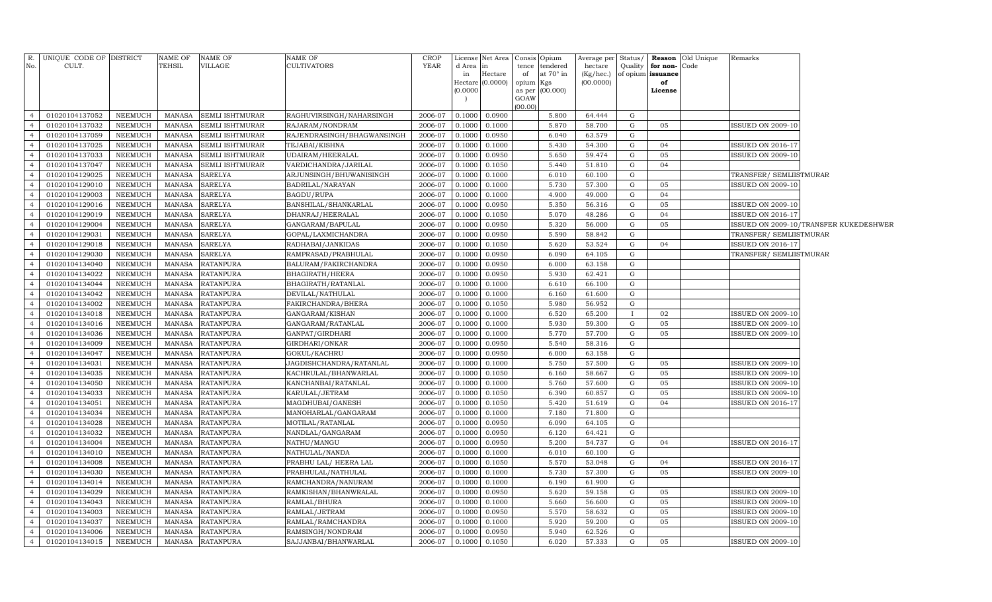| CULT.<br><b>TEHSIL</b><br>VILLAGE<br>CULTIVATORS<br>No.<br>d Area<br>hectare<br>Quality<br>for non-<br>Code<br>tence<br>tendered<br>lin.<br>at 70° in<br>of opium issuance<br>Hectare<br>of<br>(Kg/hec.)<br>in<br>Hectare $(0.0000)$<br>(00.0000)<br>opium Kgs<br>of<br>(0.0000)<br>as per (00.000)<br>License<br>GOAW<br>(00.00)<br>01020104137052<br><b>SEMLI ISHTMURAR</b><br>2006-07<br>0.1000<br>0.0900<br>5.800<br>64.444<br>G<br>NEEMUCH<br>MANASA<br>RAGHUVIRSINGH/NAHARSINGH<br>$\overline{4}$<br>01020104137032<br>NEEMUCH<br><b>SEMLI ISHTMURAR</b><br>2006-07<br>0.1000<br>0.1000<br>5.870<br>58.700<br>05<br>MANASA<br>RAJARAM/NONDRAM<br>G<br><b>ISSUED ON 2009-10</b><br>$\overline{4}$<br>01020104137059<br>2006-07<br>6.040<br>63.579<br>$\overline{4}$<br>NEEMUCH<br>MANASA<br>SEMLI ISHTMURAR<br>RAJENDRASINGH/BHAGWANSINGH<br>0.1000<br>0.0950<br>G<br>2006-07<br>$\overline{4}$<br>01020104137025<br>NEEMUCH<br>MANASA<br><b>SEMLI ISHTMURAR</b><br>TEJABAI/KISHNA<br>0.1000<br>0.1000<br>5.430<br>54.300<br>G<br>04<br><b>ISSUED ON 2016-17</b><br>01020104137033<br>UDAIRAM/HEERALAL<br>2006-07<br>5.650<br>59.474<br>NEEMUCH<br>MANASA<br>SEMLI ISHTMURAR<br>0.1000<br>0.0950<br>G<br>05<br><b>ISSUED ON 2009-10</b><br>$\overline{4}$<br>SEMLI ISHTMURAR<br>2006-07<br>$\overline{4}$<br>01020104137047<br>NEEMUCH<br>MANASA<br>VARDICHANDRA/JARILAL<br>0.1000<br>0.1050<br>5.440<br>51.810<br>G<br>04<br>01020104129025<br>MANASA<br>2006-07<br>$\overline{4}$<br>NEEMUCH<br><b>SARELYA</b><br>ARJUNSINGH/BHUWANISINGH<br>0.1000<br>0.1000<br>6.010<br>60.100<br>G<br>TRANSFER/ SEMLIISTMURAR<br>2006-07<br>01020104129010<br>NEEMUCH<br>MANASA<br><b>SARELYA</b><br>BADRILAL/NARAYAN<br>0.1000<br>0.1000<br>5.730<br>57.300<br>G<br>05<br><b>ISSUED ON 2009-10</b><br>$\overline{4}$<br>01020104129003<br><b>MANASA</b><br><b>SARELYA</b><br>BAGDU/RUPA<br>2006-07<br>0.1000<br>4.900<br>49.000<br>04<br>NEEMUCH<br>0.1000<br>G<br>$\overline{4}$<br>01020104129016<br>2006-07<br>0.0950<br>5.350<br>NEEMUCH<br>MANASA<br><b>SARELYA</b><br>BANSHILAL/SHANKARLAL<br>0.1000<br>56.316<br>G<br>05<br><b>ISSUED ON 2009-10</b><br>$\overline{4}$<br>01020104129019<br><b>MANASA</b><br><b>SARELYA</b><br>2006-07<br>5.070<br>48.286<br>04<br>$\overline{4}$<br>NEEMUCH<br>DHANRAJ/HEERALAL<br>0.1000<br>0.1050<br>G<br><b>ISSUED ON 2016-17</b><br>2006-07<br>5.320<br>05<br>01020104129004<br>NEEMUCH<br>MANASA<br><b>SARELYA</b><br>GANGARAM/BAPULAL<br>0.1000<br>0.0950<br>56.000<br>G<br>ISSUED ON 2009-10/TRANSFER KUKEDESHWER<br>$\overline{4}$<br><b>MANASA</b><br><b>SARELYA</b><br>2006-07<br>5.590<br>58.842<br>TRANSFER/ SEMLIISTMURAR<br>01020104129031<br>NEEMUCH<br>GOPAL/LAXMICHANDRA<br>0.1000<br>0.0950<br>G<br>$\overline{4}$<br>01020104129018<br>NEEMUCH<br>MANASA<br><b>SARELYA</b><br>RADHABAI/JANKIDAS<br>2006-07<br>0.1000<br>0.1050<br>5.620<br>53.524<br>G<br>04<br>ISSUED ON 2016-17<br>$\overline{4}$<br><b>SARELYA</b><br>2006-07<br>TRANSFER/ SEMLIISTMURAR<br>$\overline{4}$<br>01020104129030<br>NEEMUCH<br>MANASA<br>RAMPRASAD/PRABHULAL<br>0.1000<br>0.0950<br>6.090<br>64.105<br>G<br>2006-07<br>01020104134040<br>NEEMUCH<br>MANASA<br><b>RATANPURA</b><br>BALURAM/FAKIRCHANDRA<br>0.1000<br>0.0950<br>6.000<br>63.158<br>G<br>$\overline{4}$<br>2006-07<br>01020104134022<br>NEEMUCH<br><b>MANASA</b><br><b>RATANPURA</b><br>BHAGIRATH/HEERA<br>0.1000<br>0.0950<br>5.930<br>62.421<br>G<br>$\overline{4}$<br>01020104134044<br>NEEMUCH<br>MANASA<br><b>RATANPURA</b><br>BHAGIRATH / RATANLAL<br>2006-07<br>0.1000<br>0.1000<br>6.610<br>$\overline{4}$<br>66.100<br>G<br>2006-07<br>01020104134042<br><b>NEEMUCH</b><br><b>MANASA</b><br><b>RATANPURA</b><br>DEVILAL/NATHULAL<br>0.1000<br>0.1000<br>6.160<br>61.600<br>G<br>$\overline{4}$<br>01020104134002<br><b>NEEMUCH</b><br><b>MANASA</b><br><b>RATANPURA</b><br>FAKIRCHANDRA/BHERA<br>2006-07<br>0.1000<br>0.1050<br>5.980<br>56.952<br>G<br>$\overline{4}$<br>01020104134018<br><b>MANASA</b><br><b>RATANPURA</b><br>GANGARAM/KISHAN<br>2006-07<br>6.520<br>65.200<br>02<br>$\overline{4}$<br>NEEMUCH<br>0.1000<br>0.1000<br><b>ISSUED ON 2009-10</b><br>$\mathbf{I}$<br>05<br>01020104134016<br><b>NEEMUCH</b><br><b>MANASA</b><br><b>RATANPURA</b><br>2006-07<br>5.930<br><b>ISSUED ON 2009-10</b><br>GANGARAM/RATANLAL<br>0.1000<br>0.1000<br>59.300<br>G<br>2006-07<br>57.700<br>05<br>01020104134036<br>NEEMUCH<br><b>MANASA</b><br><b>RATANPURA</b><br>GANPAT/GIRDHARI<br>0.1000<br>5.770<br>G<br><b>ISSUED ON 2009-10</b><br>$\overline{4}$<br>0.1000<br>01020104134009<br><b>NEEMUCH</b><br><b>MANASA</b><br><b>RATANPURA</b><br>GIRDHARI/ONKAR<br>2006-07<br>0.0950<br>5.540<br>58.316<br>$\overline{4}$<br>0.1000<br>G<br>01020104134047<br><b>MANASA</b><br><b>RATANPURA</b><br>GOKUL/KACHRU<br>2006-07<br>6.000<br>63.158<br>G<br>$\overline{4}$<br>NEEMUCH<br>0.1000<br>0.0950<br>01020104134031<br>NEEMUCH<br><b>MANASA</b><br><b>RATANPURA</b><br>JAGDISHCHANDRA/RATANLAL<br>2006-07<br>5.750<br>57.500<br>05<br><b>ISSUED ON 2009-10</b><br>$\overline{4}$<br>0.1000<br>0.1000<br>G<br>05<br>$\overline{4}$<br>01020104134035<br>NEEMUCH<br><b>RATANPURA</b><br>2006-07<br>58.667<br>${\rm G}$<br>MANASA<br>KACHRULAL/BHANWARLAL<br>0.1000<br>0.1050<br>6.160<br>ISSUED ON 2009-10<br>01020104134050<br><b>NEEMUCH</b><br>MANASA<br><b>RATANPURA</b><br>2006-07<br>0.1000<br>5.760<br>57.600<br>G<br>05<br>KANCHANBAI/RATANLAL<br>0.1000<br>ISSUED ON 2009-10<br>01020104134033<br>NEEMUCH<br><b>RATANPURA</b><br>2006-07<br>6.390<br>60.857<br>05<br>$\overline{4}$<br>MANASA<br>KARULAL/JETRAM<br>0.1000<br>0.1050<br>G<br>ISSUED ON 2009-10<br>01020104134051<br><b>NEEMUCH</b><br><b>MANASA</b><br><b>RATANPURA</b><br>2006-07<br>5.420<br>G<br>04<br>$\overline{4}$<br>MAGDHUBAI/GANESH<br>0.1000<br>0.1050<br>51.619<br>ISSUED ON 2016-17<br>$\overline{4}$<br>01020104134034<br><b>NEEMUCH</b><br><b>MANASA</b><br><b>RATANPURA</b><br>2006-07<br>7.180<br>71.800<br>G<br>MANOHARLAL/GANGARAM<br>0.1000<br>0.1000<br>01020104134028<br><b>NEEMUCH</b><br><b>MANASA</b><br><b>RATANPURA</b><br>2006-07<br>0.0950<br>MOTILAL/RATANLAL<br>0.1000<br>6.090<br>64.105<br>G<br>$\overline{4}$<br>01020104134032<br><b>MANASA</b><br><b>RATANPURA</b><br>NANDLAL/GANGARAM<br>2006-07<br>64.421<br>G<br>$\overline{4}$<br>NEEMUCH<br>0.1000<br>0.0950<br>6.120<br>01020104134004<br><b>NEEMUCH</b><br>MANASA<br><b>RATANPURA</b><br>2006-07<br>0.0950<br>5.200<br>54.737<br>G<br>04<br>$\overline{4}$<br>NATHU/MANGU<br>0.1000<br>ISSUED ON 2016-17<br>01020104134010<br><b>RATANPURA</b><br>2006-07<br>$\overline{4}$<br>NEEMUCH<br>MANASA<br>NATHULAL/NANDA<br>0.1000<br>0.1000<br>6.010<br>60.100<br>G<br>01020104134008<br><b>NEEMUCH</b><br><b>MANASA</b><br><b>RATANPURA</b><br>2006-07<br>5.570<br>G<br>04<br>$\overline{4}$<br>PRABHU LAL/ HEERA LAL<br>0.1000<br>0.1050<br>53.048<br>ISSUED ON 2016-17<br>$\overline{4}$<br>01020104134030<br>NEEMUCH<br>MANASA<br><b>RATANPURA</b><br>PRABHULAL/NATHULAL<br>2006-07<br>5.730<br>57.300<br>${\rm G}$<br>05<br><b>ISSUED ON 2009-10</b><br>0.1000<br>0.1000<br>01020104134014<br>NEEMUCH<br><b>MANASA</b><br><b>RATANPURA</b><br>0.1000<br>6.190<br>$\overline{4}$<br>RAMCHANDRA/NANURAM<br>2006-07<br>0.1000<br>61.900<br>G<br>01020104134029<br><b>NEEMUCH</b><br><b>MANASA</b><br><b>RATANPURA</b><br>2006-07<br>59.158<br>${\rm G}$<br>$\overline{4}$<br>RAMKISHAN/BHANWRALAL<br>0.1000<br>0.0950<br>5.620<br>05<br>ISSUED ON 2009-10<br>01020104134043<br><b>NEEMUCH</b><br><b>MANASA</b><br><b>RATANPURA</b><br>RAMLAL/BHURA<br>2006-07<br>0.1000<br>0.1000<br>5.660<br>56.600<br>05<br><b>ISSUED ON 2009-10</b><br>$\overline{4}$<br>G<br>01020104134003<br><b>NEEMUCH</b><br><b>MANASA</b><br><b>RATANPURA</b><br>RAMLAL/JETRAM<br>2006-07<br>$\overline{4}$<br>0.1000<br>0.0950<br>5.570<br>58.632<br>G<br>05<br><b>ISSUED ON 2009-10</b><br><b>NEEMUCH</b><br><b>MANASA</b><br><b>RATANPURA</b><br>5.920<br>05<br>$\overline{4}$<br>01020104134037<br>RAMLAL/RAMCHANDRA<br>2006-07<br>0.1000<br>0.1000<br>59.200<br>G<br><b>ISSUED ON 2009-10</b><br><b>NEEMUCH</b><br><b>MANASA</b><br><b>RATANPURA</b><br>5.940<br>62.526<br>$\overline{4}$<br>01020104134006<br>RAMSINGH/NONDRAM<br>2006-07<br>0.1000<br>0.0950<br>G<br>01020104134015<br><b>NEEMUCH</b><br>MANASA<br><b>RATANPURA</b><br>2006-07<br>0.1000<br>6.020<br>G<br>$\overline{4}$<br>SAJJANBAI/BHANWARLAL<br>0.1050<br>57.333<br>05<br><b>ISSUED ON 2009-10</b> | R. UNIQUE CODE OF DISTRICT | <b>NAME OF</b> | <b>NAME OF</b> | <b>NAME OF</b> | <b>CROP</b> | License Net Area Consis Opium |  | Average per | Status/ | <b>Reason</b> Old Unique | Remarks |  |
|--------------------------------------------------------------------------------------------------------------------------------------------------------------------------------------------------------------------------------------------------------------------------------------------------------------------------------------------------------------------------------------------------------------------------------------------------------------------------------------------------------------------------------------------------------------------------------------------------------------------------------------------------------------------------------------------------------------------------------------------------------------------------------------------------------------------------------------------------------------------------------------------------------------------------------------------------------------------------------------------------------------------------------------------------------------------------------------------------------------------------------------------------------------------------------------------------------------------------------------------------------------------------------------------------------------------------------------------------------------------------------------------------------------------------------------------------------------------------------------------------------------------------------------------------------------------------------------------------------------------------------------------------------------------------------------------------------------------------------------------------------------------------------------------------------------------------------------------------------------------------------------------------------------------------------------------------------------------------------------------------------------------------------------------------------------------------------------------------------------------------------------------------------------------------------------------------------------------------------------------------------------------------------------------------------------------------------------------------------------------------------------------------------------------------------------------------------------------------------------------------------------------------------------------------------------------------------------------------------------------------------------------------------------------------------------------------------------------------------------------------------------------------------------------------------------------------------------------------------------------------------------------------------------------------------------------------------------------------------------------------------------------------------------------------------------------------------------------------------------------------------------------------------------------------------------------------------------------------------------------------------------------------------------------------------------------------------------------------------------------------------------------------------------------------------------------------------------------------------------------------------------------------------------------------------------------------------------------------------------------------------------------------------------------------------------------------------------------------------------------------------------------------------------------------------------------------------------------------------------------------------------------------------------------------------------------------------------------------------------------------------------------------------------------------------------------------------------------------------------------------------------------------------------------------------------------------------------------------------------------------------------------------------------------------------------------------------------------------------------------------------------------------------------------------------------------------------------------------------------------------------------------------------------------------------------------------------------------------------------------------------------------------------------------------------------------------------------------------------------------------------------------------------------------------------------------------------------------------------------------------------------------------------------------------------------------------------------------------------------------------------------------------------------------------------------------------------------------------------------------------------------------------------------------------------------------------------------------------------------------------------------------------------------------------------------------------------------------------------------------------------------------------------------------------------------------------------------------------------------------------------------------------------------------------------------------------------------------------------------------------------------------------------------------------------------------------------------------------------------------------------------------------------------------------------------------------------------------------------------------------------------------------------------------------------------------------------------------------------------------------------------------------------------------------------------------------------------------------------------------------------------------------------------------------------------------------------------------------------------------------------------------------------------------------------------------------------------------------------------------------------------------------------------------------------------------------------------------------------------------------------------------------------------------------------------------------------------------------------------------------------------------------------------------------------------------------------------------------------------------------------------------------------------------------------------------------------------------------------------------------------------------------------------------------------------------------------------------------------------------------------------------------------------------------------------------------------------------------------------------------------------------------------------------------------------------------------------------------------------------------------------------------------------------------------------------------------------------------------------------------------------------------------------------------------------------------------------------------------------------------------------------------------------------------------------------------------------------------------------------------------------------------------------------------------------------------------------------------------------------------------------------------------------------------------------------------------------------------------------------------------------------------------------------------------------------------------------------------------------------------------------------------------------------------------------------------------------------------------------------------------------------------------------------------------------------------------------------------------------------------------------------------------------------------------------------------------------------------------------------------------------------------------------------------------------------------------------------------------------------------------------------------------------|----------------------------|----------------|----------------|----------------|-------------|-------------------------------|--|-------------|---------|--------------------------|---------|--|
|                                                                                                                                                                                                                                                                                                                                                                                                                                                                                                                                                                                                                                                                                                                                                                                                                                                                                                                                                                                                                                                                                                                                                                                                                                                                                                                                                                                                                                                                                                                                                                                                                                                                                                                                                                                                                                                                                                                                                                                                                                                                                                                                                                                                                                                                                                                                                                                                                                                                                                                                                                                                                                                                                                                                                                                                                                                                                                                                                                                                                                                                                                                                                                                                                                                                                                                                                                                                                                                                                                                                                                                                                                                                                                                                                                                                                                                                                                                                                                                                                                                                                                                                                                                                                                                                                                                                                                                                                                                                                                                                                                                                                                                                                                                                                                                                                                                                                                                                                                                                                                                                                                                                                                                                                                                                                                                                                                                                                                                                                                                                                                                                                                                                                                                                                                                                                                                                                                                                                                                                                                                                                                                                                                                                                                                                                                                                                                                                                                                                                                                                                                                                                                                                                                                                                                                                                                                                                                                                                                                                                                                                                                                                                                                                                                                                                                                                                                                                                                                                                                                                                                                                                                                                                                                                                                                                                                                                                                                                                                                                                                                                                                                                                                                                                                                                                                                                                                                                                                                                                                                                      |                            |                |                |                | <b>YEAR</b> |                               |  |             |         |                          |         |  |
|                                                                                                                                                                                                                                                                                                                                                                                                                                                                                                                                                                                                                                                                                                                                                                                                                                                                                                                                                                                                                                                                                                                                                                                                                                                                                                                                                                                                                                                                                                                                                                                                                                                                                                                                                                                                                                                                                                                                                                                                                                                                                                                                                                                                                                                                                                                                                                                                                                                                                                                                                                                                                                                                                                                                                                                                                                                                                                                                                                                                                                                                                                                                                                                                                                                                                                                                                                                                                                                                                                                                                                                                                                                                                                                                                                                                                                                                                                                                                                                                                                                                                                                                                                                                                                                                                                                                                                                                                                                                                                                                                                                                                                                                                                                                                                                                                                                                                                                                                                                                                                                                                                                                                                                                                                                                                                                                                                                                                                                                                                                                                                                                                                                                                                                                                                                                                                                                                                                                                                                                                                                                                                                                                                                                                                                                                                                                                                                                                                                                                                                                                                                                                                                                                                                                                                                                                                                                                                                                                                                                                                                                                                                                                                                                                                                                                                                                                                                                                                                                                                                                                                                                                                                                                                                                                                                                                                                                                                                                                                                                                                                                                                                                                                                                                                                                                                                                                                                                                                                                                                                                      |                            |                |                |                |             |                               |  |             |         |                          |         |  |
|                                                                                                                                                                                                                                                                                                                                                                                                                                                                                                                                                                                                                                                                                                                                                                                                                                                                                                                                                                                                                                                                                                                                                                                                                                                                                                                                                                                                                                                                                                                                                                                                                                                                                                                                                                                                                                                                                                                                                                                                                                                                                                                                                                                                                                                                                                                                                                                                                                                                                                                                                                                                                                                                                                                                                                                                                                                                                                                                                                                                                                                                                                                                                                                                                                                                                                                                                                                                                                                                                                                                                                                                                                                                                                                                                                                                                                                                                                                                                                                                                                                                                                                                                                                                                                                                                                                                                                                                                                                                                                                                                                                                                                                                                                                                                                                                                                                                                                                                                                                                                                                                                                                                                                                                                                                                                                                                                                                                                                                                                                                                                                                                                                                                                                                                                                                                                                                                                                                                                                                                                                                                                                                                                                                                                                                                                                                                                                                                                                                                                                                                                                                                                                                                                                                                                                                                                                                                                                                                                                                                                                                                                                                                                                                                                                                                                                                                                                                                                                                                                                                                                                                                                                                                                                                                                                                                                                                                                                                                                                                                                                                                                                                                                                                                                                                                                                                                                                                                                                                                                                                                      |                            |                |                |                |             |                               |  |             |         |                          |         |  |
|                                                                                                                                                                                                                                                                                                                                                                                                                                                                                                                                                                                                                                                                                                                                                                                                                                                                                                                                                                                                                                                                                                                                                                                                                                                                                                                                                                                                                                                                                                                                                                                                                                                                                                                                                                                                                                                                                                                                                                                                                                                                                                                                                                                                                                                                                                                                                                                                                                                                                                                                                                                                                                                                                                                                                                                                                                                                                                                                                                                                                                                                                                                                                                                                                                                                                                                                                                                                                                                                                                                                                                                                                                                                                                                                                                                                                                                                                                                                                                                                                                                                                                                                                                                                                                                                                                                                                                                                                                                                                                                                                                                                                                                                                                                                                                                                                                                                                                                                                                                                                                                                                                                                                                                                                                                                                                                                                                                                                                                                                                                                                                                                                                                                                                                                                                                                                                                                                                                                                                                                                                                                                                                                                                                                                                                                                                                                                                                                                                                                                                                                                                                                                                                                                                                                                                                                                                                                                                                                                                                                                                                                                                                                                                                                                                                                                                                                                                                                                                                                                                                                                                                                                                                                                                                                                                                                                                                                                                                                                                                                                                                                                                                                                                                                                                                                                                                                                                                                                                                                                                                                      |                            |                |                |                |             |                               |  |             |         |                          |         |  |
|                                                                                                                                                                                                                                                                                                                                                                                                                                                                                                                                                                                                                                                                                                                                                                                                                                                                                                                                                                                                                                                                                                                                                                                                                                                                                                                                                                                                                                                                                                                                                                                                                                                                                                                                                                                                                                                                                                                                                                                                                                                                                                                                                                                                                                                                                                                                                                                                                                                                                                                                                                                                                                                                                                                                                                                                                                                                                                                                                                                                                                                                                                                                                                                                                                                                                                                                                                                                                                                                                                                                                                                                                                                                                                                                                                                                                                                                                                                                                                                                                                                                                                                                                                                                                                                                                                                                                                                                                                                                                                                                                                                                                                                                                                                                                                                                                                                                                                                                                                                                                                                                                                                                                                                                                                                                                                                                                                                                                                                                                                                                                                                                                                                                                                                                                                                                                                                                                                                                                                                                                                                                                                                                                                                                                                                                                                                                                                                                                                                                                                                                                                                                                                                                                                                                                                                                                                                                                                                                                                                                                                                                                                                                                                                                                                                                                                                                                                                                                                                                                                                                                                                                                                                                                                                                                                                                                                                                                                                                                                                                                                                                                                                                                                                                                                                                                                                                                                                                                                                                                                                                      |                            |                |                |                |             |                               |  |             |         |                          |         |  |
|                                                                                                                                                                                                                                                                                                                                                                                                                                                                                                                                                                                                                                                                                                                                                                                                                                                                                                                                                                                                                                                                                                                                                                                                                                                                                                                                                                                                                                                                                                                                                                                                                                                                                                                                                                                                                                                                                                                                                                                                                                                                                                                                                                                                                                                                                                                                                                                                                                                                                                                                                                                                                                                                                                                                                                                                                                                                                                                                                                                                                                                                                                                                                                                                                                                                                                                                                                                                                                                                                                                                                                                                                                                                                                                                                                                                                                                                                                                                                                                                                                                                                                                                                                                                                                                                                                                                                                                                                                                                                                                                                                                                                                                                                                                                                                                                                                                                                                                                                                                                                                                                                                                                                                                                                                                                                                                                                                                                                                                                                                                                                                                                                                                                                                                                                                                                                                                                                                                                                                                                                                                                                                                                                                                                                                                                                                                                                                                                                                                                                                                                                                                                                                                                                                                                                                                                                                                                                                                                                                                                                                                                                                                                                                                                                                                                                                                                                                                                                                                                                                                                                                                                                                                                                                                                                                                                                                                                                                                                                                                                                                                                                                                                                                                                                                                                                                                                                                                                                                                                                                                                      |                            |                |                |                |             |                               |  |             |         |                          |         |  |
|                                                                                                                                                                                                                                                                                                                                                                                                                                                                                                                                                                                                                                                                                                                                                                                                                                                                                                                                                                                                                                                                                                                                                                                                                                                                                                                                                                                                                                                                                                                                                                                                                                                                                                                                                                                                                                                                                                                                                                                                                                                                                                                                                                                                                                                                                                                                                                                                                                                                                                                                                                                                                                                                                                                                                                                                                                                                                                                                                                                                                                                                                                                                                                                                                                                                                                                                                                                                                                                                                                                                                                                                                                                                                                                                                                                                                                                                                                                                                                                                                                                                                                                                                                                                                                                                                                                                                                                                                                                                                                                                                                                                                                                                                                                                                                                                                                                                                                                                                                                                                                                                                                                                                                                                                                                                                                                                                                                                                                                                                                                                                                                                                                                                                                                                                                                                                                                                                                                                                                                                                                                                                                                                                                                                                                                                                                                                                                                                                                                                                                                                                                                                                                                                                                                                                                                                                                                                                                                                                                                                                                                                                                                                                                                                                                                                                                                                                                                                                                                                                                                                                                                                                                                                                                                                                                                                                                                                                                                                                                                                                                                                                                                                                                                                                                                                                                                                                                                                                                                                                                                                      |                            |                |                |                |             |                               |  |             |         |                          |         |  |
|                                                                                                                                                                                                                                                                                                                                                                                                                                                                                                                                                                                                                                                                                                                                                                                                                                                                                                                                                                                                                                                                                                                                                                                                                                                                                                                                                                                                                                                                                                                                                                                                                                                                                                                                                                                                                                                                                                                                                                                                                                                                                                                                                                                                                                                                                                                                                                                                                                                                                                                                                                                                                                                                                                                                                                                                                                                                                                                                                                                                                                                                                                                                                                                                                                                                                                                                                                                                                                                                                                                                                                                                                                                                                                                                                                                                                                                                                                                                                                                                                                                                                                                                                                                                                                                                                                                                                                                                                                                                                                                                                                                                                                                                                                                                                                                                                                                                                                                                                                                                                                                                                                                                                                                                                                                                                                                                                                                                                                                                                                                                                                                                                                                                                                                                                                                                                                                                                                                                                                                                                                                                                                                                                                                                                                                                                                                                                                                                                                                                                                                                                                                                                                                                                                                                                                                                                                                                                                                                                                                                                                                                                                                                                                                                                                                                                                                                                                                                                                                                                                                                                                                                                                                                                                                                                                                                                                                                                                                                                                                                                                                                                                                                                                                                                                                                                                                                                                                                                                                                                                                                      |                            |                |                |                |             |                               |  |             |         |                          |         |  |
|                                                                                                                                                                                                                                                                                                                                                                                                                                                                                                                                                                                                                                                                                                                                                                                                                                                                                                                                                                                                                                                                                                                                                                                                                                                                                                                                                                                                                                                                                                                                                                                                                                                                                                                                                                                                                                                                                                                                                                                                                                                                                                                                                                                                                                                                                                                                                                                                                                                                                                                                                                                                                                                                                                                                                                                                                                                                                                                                                                                                                                                                                                                                                                                                                                                                                                                                                                                                                                                                                                                                                                                                                                                                                                                                                                                                                                                                                                                                                                                                                                                                                                                                                                                                                                                                                                                                                                                                                                                                                                                                                                                                                                                                                                                                                                                                                                                                                                                                                                                                                                                                                                                                                                                                                                                                                                                                                                                                                                                                                                                                                                                                                                                                                                                                                                                                                                                                                                                                                                                                                                                                                                                                                                                                                                                                                                                                                                                                                                                                                                                                                                                                                                                                                                                                                                                                                                                                                                                                                                                                                                                                                                                                                                                                                                                                                                                                                                                                                                                                                                                                                                                                                                                                                                                                                                                                                                                                                                                                                                                                                                                                                                                                                                                                                                                                                                                                                                                                                                                                                                                                      |                            |                |                |                |             |                               |  |             |         |                          |         |  |
|                                                                                                                                                                                                                                                                                                                                                                                                                                                                                                                                                                                                                                                                                                                                                                                                                                                                                                                                                                                                                                                                                                                                                                                                                                                                                                                                                                                                                                                                                                                                                                                                                                                                                                                                                                                                                                                                                                                                                                                                                                                                                                                                                                                                                                                                                                                                                                                                                                                                                                                                                                                                                                                                                                                                                                                                                                                                                                                                                                                                                                                                                                                                                                                                                                                                                                                                                                                                                                                                                                                                                                                                                                                                                                                                                                                                                                                                                                                                                                                                                                                                                                                                                                                                                                                                                                                                                                                                                                                                                                                                                                                                                                                                                                                                                                                                                                                                                                                                                                                                                                                                                                                                                                                                                                                                                                                                                                                                                                                                                                                                                                                                                                                                                                                                                                                                                                                                                                                                                                                                                                                                                                                                                                                                                                                                                                                                                                                                                                                                                                                                                                                                                                                                                                                                                                                                                                                                                                                                                                                                                                                                                                                                                                                                                                                                                                                                                                                                                                                                                                                                                                                                                                                                                                                                                                                                                                                                                                                                                                                                                                                                                                                                                                                                                                                                                                                                                                                                                                                                                                                                      |                            |                |                |                |             |                               |  |             |         |                          |         |  |
|                                                                                                                                                                                                                                                                                                                                                                                                                                                                                                                                                                                                                                                                                                                                                                                                                                                                                                                                                                                                                                                                                                                                                                                                                                                                                                                                                                                                                                                                                                                                                                                                                                                                                                                                                                                                                                                                                                                                                                                                                                                                                                                                                                                                                                                                                                                                                                                                                                                                                                                                                                                                                                                                                                                                                                                                                                                                                                                                                                                                                                                                                                                                                                                                                                                                                                                                                                                                                                                                                                                                                                                                                                                                                                                                                                                                                                                                                                                                                                                                                                                                                                                                                                                                                                                                                                                                                                                                                                                                                                                                                                                                                                                                                                                                                                                                                                                                                                                                                                                                                                                                                                                                                                                                                                                                                                                                                                                                                                                                                                                                                                                                                                                                                                                                                                                                                                                                                                                                                                                                                                                                                                                                                                                                                                                                                                                                                                                                                                                                                                                                                                                                                                                                                                                                                                                                                                                                                                                                                                                                                                                                                                                                                                                                                                                                                                                                                                                                                                                                                                                                                                                                                                                                                                                                                                                                                                                                                                                                                                                                                                                                                                                                                                                                                                                                                                                                                                                                                                                                                                                                      |                            |                |                |                |             |                               |  |             |         |                          |         |  |
|                                                                                                                                                                                                                                                                                                                                                                                                                                                                                                                                                                                                                                                                                                                                                                                                                                                                                                                                                                                                                                                                                                                                                                                                                                                                                                                                                                                                                                                                                                                                                                                                                                                                                                                                                                                                                                                                                                                                                                                                                                                                                                                                                                                                                                                                                                                                                                                                                                                                                                                                                                                                                                                                                                                                                                                                                                                                                                                                                                                                                                                                                                                                                                                                                                                                                                                                                                                                                                                                                                                                                                                                                                                                                                                                                                                                                                                                                                                                                                                                                                                                                                                                                                                                                                                                                                                                                                                                                                                                                                                                                                                                                                                                                                                                                                                                                                                                                                                                                                                                                                                                                                                                                                                                                                                                                                                                                                                                                                                                                                                                                                                                                                                                                                                                                                                                                                                                                                                                                                                                                                                                                                                                                                                                                                                                                                                                                                                                                                                                                                                                                                                                                                                                                                                                                                                                                                                                                                                                                                                                                                                                                                                                                                                                                                                                                                                                                                                                                                                                                                                                                                                                                                                                                                                                                                                                                                                                                                                                                                                                                                                                                                                                                                                                                                                                                                                                                                                                                                                                                                                                      |                            |                |                |                |             |                               |  |             |         |                          |         |  |
|                                                                                                                                                                                                                                                                                                                                                                                                                                                                                                                                                                                                                                                                                                                                                                                                                                                                                                                                                                                                                                                                                                                                                                                                                                                                                                                                                                                                                                                                                                                                                                                                                                                                                                                                                                                                                                                                                                                                                                                                                                                                                                                                                                                                                                                                                                                                                                                                                                                                                                                                                                                                                                                                                                                                                                                                                                                                                                                                                                                                                                                                                                                                                                                                                                                                                                                                                                                                                                                                                                                                                                                                                                                                                                                                                                                                                                                                                                                                                                                                                                                                                                                                                                                                                                                                                                                                                                                                                                                                                                                                                                                                                                                                                                                                                                                                                                                                                                                                                                                                                                                                                                                                                                                                                                                                                                                                                                                                                                                                                                                                                                                                                                                                                                                                                                                                                                                                                                                                                                                                                                                                                                                                                                                                                                                                                                                                                                                                                                                                                                                                                                                                                                                                                                                                                                                                                                                                                                                                                                                                                                                                                                                                                                                                                                                                                                                                                                                                                                                                                                                                                                                                                                                                                                                                                                                                                                                                                                                                                                                                                                                                                                                                                                                                                                                                                                                                                                                                                                                                                                                                      |                            |                |                |                |             |                               |  |             |         |                          |         |  |
|                                                                                                                                                                                                                                                                                                                                                                                                                                                                                                                                                                                                                                                                                                                                                                                                                                                                                                                                                                                                                                                                                                                                                                                                                                                                                                                                                                                                                                                                                                                                                                                                                                                                                                                                                                                                                                                                                                                                                                                                                                                                                                                                                                                                                                                                                                                                                                                                                                                                                                                                                                                                                                                                                                                                                                                                                                                                                                                                                                                                                                                                                                                                                                                                                                                                                                                                                                                                                                                                                                                                                                                                                                                                                                                                                                                                                                                                                                                                                                                                                                                                                                                                                                                                                                                                                                                                                                                                                                                                                                                                                                                                                                                                                                                                                                                                                                                                                                                                                                                                                                                                                                                                                                                                                                                                                                                                                                                                                                                                                                                                                                                                                                                                                                                                                                                                                                                                                                                                                                                                                                                                                                                                                                                                                                                                                                                                                                                                                                                                                                                                                                                                                                                                                                                                                                                                                                                                                                                                                                                                                                                                                                                                                                                                                                                                                                                                                                                                                                                                                                                                                                                                                                                                                                                                                                                                                                                                                                                                                                                                                                                                                                                                                                                                                                                                                                                                                                                                                                                                                                                                      |                            |                |                |                |             |                               |  |             |         |                          |         |  |
|                                                                                                                                                                                                                                                                                                                                                                                                                                                                                                                                                                                                                                                                                                                                                                                                                                                                                                                                                                                                                                                                                                                                                                                                                                                                                                                                                                                                                                                                                                                                                                                                                                                                                                                                                                                                                                                                                                                                                                                                                                                                                                                                                                                                                                                                                                                                                                                                                                                                                                                                                                                                                                                                                                                                                                                                                                                                                                                                                                                                                                                                                                                                                                                                                                                                                                                                                                                                                                                                                                                                                                                                                                                                                                                                                                                                                                                                                                                                                                                                                                                                                                                                                                                                                                                                                                                                                                                                                                                                                                                                                                                                                                                                                                                                                                                                                                                                                                                                                                                                                                                                                                                                                                                                                                                                                                                                                                                                                                                                                                                                                                                                                                                                                                                                                                                                                                                                                                                                                                                                                                                                                                                                                                                                                                                                                                                                                                                                                                                                                                                                                                                                                                                                                                                                                                                                                                                                                                                                                                                                                                                                                                                                                                                                                                                                                                                                                                                                                                                                                                                                                                                                                                                                                                                                                                                                                                                                                                                                                                                                                                                                                                                                                                                                                                                                                                                                                                                                                                                                                                                                      |                            |                |                |                |             |                               |  |             |         |                          |         |  |
|                                                                                                                                                                                                                                                                                                                                                                                                                                                                                                                                                                                                                                                                                                                                                                                                                                                                                                                                                                                                                                                                                                                                                                                                                                                                                                                                                                                                                                                                                                                                                                                                                                                                                                                                                                                                                                                                                                                                                                                                                                                                                                                                                                                                                                                                                                                                                                                                                                                                                                                                                                                                                                                                                                                                                                                                                                                                                                                                                                                                                                                                                                                                                                                                                                                                                                                                                                                                                                                                                                                                                                                                                                                                                                                                                                                                                                                                                                                                                                                                                                                                                                                                                                                                                                                                                                                                                                                                                                                                                                                                                                                                                                                                                                                                                                                                                                                                                                                                                                                                                                                                                                                                                                                                                                                                                                                                                                                                                                                                                                                                                                                                                                                                                                                                                                                                                                                                                                                                                                                                                                                                                                                                                                                                                                                                                                                                                                                                                                                                                                                                                                                                                                                                                                                                                                                                                                                                                                                                                                                                                                                                                                                                                                                                                                                                                                                                                                                                                                                                                                                                                                                                                                                                                                                                                                                                                                                                                                                                                                                                                                                                                                                                                                                                                                                                                                                                                                                                                                                                                                                                      |                            |                |                |                |             |                               |  |             |         |                          |         |  |
|                                                                                                                                                                                                                                                                                                                                                                                                                                                                                                                                                                                                                                                                                                                                                                                                                                                                                                                                                                                                                                                                                                                                                                                                                                                                                                                                                                                                                                                                                                                                                                                                                                                                                                                                                                                                                                                                                                                                                                                                                                                                                                                                                                                                                                                                                                                                                                                                                                                                                                                                                                                                                                                                                                                                                                                                                                                                                                                                                                                                                                                                                                                                                                                                                                                                                                                                                                                                                                                                                                                                                                                                                                                                                                                                                                                                                                                                                                                                                                                                                                                                                                                                                                                                                                                                                                                                                                                                                                                                                                                                                                                                                                                                                                                                                                                                                                                                                                                                                                                                                                                                                                                                                                                                                                                                                                                                                                                                                                                                                                                                                                                                                                                                                                                                                                                                                                                                                                                                                                                                                                                                                                                                                                                                                                                                                                                                                                                                                                                                                                                                                                                                                                                                                                                                                                                                                                                                                                                                                                                                                                                                                                                                                                                                                                                                                                                                                                                                                                                                                                                                                                                                                                                                                                                                                                                                                                                                                                                                                                                                                                                                                                                                                                                                                                                                                                                                                                                                                                                                                                                                      |                            |                |                |                |             |                               |  |             |         |                          |         |  |
|                                                                                                                                                                                                                                                                                                                                                                                                                                                                                                                                                                                                                                                                                                                                                                                                                                                                                                                                                                                                                                                                                                                                                                                                                                                                                                                                                                                                                                                                                                                                                                                                                                                                                                                                                                                                                                                                                                                                                                                                                                                                                                                                                                                                                                                                                                                                                                                                                                                                                                                                                                                                                                                                                                                                                                                                                                                                                                                                                                                                                                                                                                                                                                                                                                                                                                                                                                                                                                                                                                                                                                                                                                                                                                                                                                                                                                                                                                                                                                                                                                                                                                                                                                                                                                                                                                                                                                                                                                                                                                                                                                                                                                                                                                                                                                                                                                                                                                                                                                                                                                                                                                                                                                                                                                                                                                                                                                                                                                                                                                                                                                                                                                                                                                                                                                                                                                                                                                                                                                                                                                                                                                                                                                                                                                                                                                                                                                                                                                                                                                                                                                                                                                                                                                                                                                                                                                                                                                                                                                                                                                                                                                                                                                                                                                                                                                                                                                                                                                                                                                                                                                                                                                                                                                                                                                                                                                                                                                                                                                                                                                                                                                                                                                                                                                                                                                                                                                                                                                                                                                                                      |                            |                |                |                |             |                               |  |             |         |                          |         |  |
|                                                                                                                                                                                                                                                                                                                                                                                                                                                                                                                                                                                                                                                                                                                                                                                                                                                                                                                                                                                                                                                                                                                                                                                                                                                                                                                                                                                                                                                                                                                                                                                                                                                                                                                                                                                                                                                                                                                                                                                                                                                                                                                                                                                                                                                                                                                                                                                                                                                                                                                                                                                                                                                                                                                                                                                                                                                                                                                                                                                                                                                                                                                                                                                                                                                                                                                                                                                                                                                                                                                                                                                                                                                                                                                                                                                                                                                                                                                                                                                                                                                                                                                                                                                                                                                                                                                                                                                                                                                                                                                                                                                                                                                                                                                                                                                                                                                                                                                                                                                                                                                                                                                                                                                                                                                                                                                                                                                                                                                                                                                                                                                                                                                                                                                                                                                                                                                                                                                                                                                                                                                                                                                                                                                                                                                                                                                                                                                                                                                                                                                                                                                                                                                                                                                                                                                                                                                                                                                                                                                                                                                                                                                                                                                                                                                                                                                                                                                                                                                                                                                                                                                                                                                                                                                                                                                                                                                                                                                                                                                                                                                                                                                                                                                                                                                                                                                                                                                                                                                                                                                                      |                            |                |                |                |             |                               |  |             |         |                          |         |  |
|                                                                                                                                                                                                                                                                                                                                                                                                                                                                                                                                                                                                                                                                                                                                                                                                                                                                                                                                                                                                                                                                                                                                                                                                                                                                                                                                                                                                                                                                                                                                                                                                                                                                                                                                                                                                                                                                                                                                                                                                                                                                                                                                                                                                                                                                                                                                                                                                                                                                                                                                                                                                                                                                                                                                                                                                                                                                                                                                                                                                                                                                                                                                                                                                                                                                                                                                                                                                                                                                                                                                                                                                                                                                                                                                                                                                                                                                                                                                                                                                                                                                                                                                                                                                                                                                                                                                                                                                                                                                                                                                                                                                                                                                                                                                                                                                                                                                                                                                                                                                                                                                                                                                                                                                                                                                                                                                                                                                                                                                                                                                                                                                                                                                                                                                                                                                                                                                                                                                                                                                                                                                                                                                                                                                                                                                                                                                                                                                                                                                                                                                                                                                                                                                                                                                                                                                                                                                                                                                                                                                                                                                                                                                                                                                                                                                                                                                                                                                                                                                                                                                                                                                                                                                                                                                                                                                                                                                                                                                                                                                                                                                                                                                                                                                                                                                                                                                                                                                                                                                                                                                      |                            |                |                |                |             |                               |  |             |         |                          |         |  |
|                                                                                                                                                                                                                                                                                                                                                                                                                                                                                                                                                                                                                                                                                                                                                                                                                                                                                                                                                                                                                                                                                                                                                                                                                                                                                                                                                                                                                                                                                                                                                                                                                                                                                                                                                                                                                                                                                                                                                                                                                                                                                                                                                                                                                                                                                                                                                                                                                                                                                                                                                                                                                                                                                                                                                                                                                                                                                                                                                                                                                                                                                                                                                                                                                                                                                                                                                                                                                                                                                                                                                                                                                                                                                                                                                                                                                                                                                                                                                                                                                                                                                                                                                                                                                                                                                                                                                                                                                                                                                                                                                                                                                                                                                                                                                                                                                                                                                                                                                                                                                                                                                                                                                                                                                                                                                                                                                                                                                                                                                                                                                                                                                                                                                                                                                                                                                                                                                                                                                                                                                                                                                                                                                                                                                                                                                                                                                                                                                                                                                                                                                                                                                                                                                                                                                                                                                                                                                                                                                                                                                                                                                                                                                                                                                                                                                                                                                                                                                                                                                                                                                                                                                                                                                                                                                                                                                                                                                                                                                                                                                                                                                                                                                                                                                                                                                                                                                                                                                                                                                                                                      |                            |                |                |                |             |                               |  |             |         |                          |         |  |
|                                                                                                                                                                                                                                                                                                                                                                                                                                                                                                                                                                                                                                                                                                                                                                                                                                                                                                                                                                                                                                                                                                                                                                                                                                                                                                                                                                                                                                                                                                                                                                                                                                                                                                                                                                                                                                                                                                                                                                                                                                                                                                                                                                                                                                                                                                                                                                                                                                                                                                                                                                                                                                                                                                                                                                                                                                                                                                                                                                                                                                                                                                                                                                                                                                                                                                                                                                                                                                                                                                                                                                                                                                                                                                                                                                                                                                                                                                                                                                                                                                                                                                                                                                                                                                                                                                                                                                                                                                                                                                                                                                                                                                                                                                                                                                                                                                                                                                                                                                                                                                                                                                                                                                                                                                                                                                                                                                                                                                                                                                                                                                                                                                                                                                                                                                                                                                                                                                                                                                                                                                                                                                                                                                                                                                                                                                                                                                                                                                                                                                                                                                                                                                                                                                                                                                                                                                                                                                                                                                                                                                                                                                                                                                                                                                                                                                                                                                                                                                                                                                                                                                                                                                                                                                                                                                                                                                                                                                                                                                                                                                                                                                                                                                                                                                                                                                                                                                                                                                                                                                                                      |                            |                |                |                |             |                               |  |             |         |                          |         |  |
|                                                                                                                                                                                                                                                                                                                                                                                                                                                                                                                                                                                                                                                                                                                                                                                                                                                                                                                                                                                                                                                                                                                                                                                                                                                                                                                                                                                                                                                                                                                                                                                                                                                                                                                                                                                                                                                                                                                                                                                                                                                                                                                                                                                                                                                                                                                                                                                                                                                                                                                                                                                                                                                                                                                                                                                                                                                                                                                                                                                                                                                                                                                                                                                                                                                                                                                                                                                                                                                                                                                                                                                                                                                                                                                                                                                                                                                                                                                                                                                                                                                                                                                                                                                                                                                                                                                                                                                                                                                                                                                                                                                                                                                                                                                                                                                                                                                                                                                                                                                                                                                                                                                                                                                                                                                                                                                                                                                                                                                                                                                                                                                                                                                                                                                                                                                                                                                                                                                                                                                                                                                                                                                                                                                                                                                                                                                                                                                                                                                                                                                                                                                                                                                                                                                                                                                                                                                                                                                                                                                                                                                                                                                                                                                                                                                                                                                                                                                                                                                                                                                                                                                                                                                                                                                                                                                                                                                                                                                                                                                                                                                                                                                                                                                                                                                                                                                                                                                                                                                                                                                                      |                            |                |                |                |             |                               |  |             |         |                          |         |  |
|                                                                                                                                                                                                                                                                                                                                                                                                                                                                                                                                                                                                                                                                                                                                                                                                                                                                                                                                                                                                                                                                                                                                                                                                                                                                                                                                                                                                                                                                                                                                                                                                                                                                                                                                                                                                                                                                                                                                                                                                                                                                                                                                                                                                                                                                                                                                                                                                                                                                                                                                                                                                                                                                                                                                                                                                                                                                                                                                                                                                                                                                                                                                                                                                                                                                                                                                                                                                                                                                                                                                                                                                                                                                                                                                                                                                                                                                                                                                                                                                                                                                                                                                                                                                                                                                                                                                                                                                                                                                                                                                                                                                                                                                                                                                                                                                                                                                                                                                                                                                                                                                                                                                                                                                                                                                                                                                                                                                                                                                                                                                                                                                                                                                                                                                                                                                                                                                                                                                                                                                                                                                                                                                                                                                                                                                                                                                                                                                                                                                                                                                                                                                                                                                                                                                                                                                                                                                                                                                                                                                                                                                                                                                                                                                                                                                                                                                                                                                                                                                                                                                                                                                                                                                                                                                                                                                                                                                                                                                                                                                                                                                                                                                                                                                                                                                                                                                                                                                                                                                                                                                      |                            |                |                |                |             |                               |  |             |         |                          |         |  |
|                                                                                                                                                                                                                                                                                                                                                                                                                                                                                                                                                                                                                                                                                                                                                                                                                                                                                                                                                                                                                                                                                                                                                                                                                                                                                                                                                                                                                                                                                                                                                                                                                                                                                                                                                                                                                                                                                                                                                                                                                                                                                                                                                                                                                                                                                                                                                                                                                                                                                                                                                                                                                                                                                                                                                                                                                                                                                                                                                                                                                                                                                                                                                                                                                                                                                                                                                                                                                                                                                                                                                                                                                                                                                                                                                                                                                                                                                                                                                                                                                                                                                                                                                                                                                                                                                                                                                                                                                                                                                                                                                                                                                                                                                                                                                                                                                                                                                                                                                                                                                                                                                                                                                                                                                                                                                                                                                                                                                                                                                                                                                                                                                                                                                                                                                                                                                                                                                                                                                                                                                                                                                                                                                                                                                                                                                                                                                                                                                                                                                                                                                                                                                                                                                                                                                                                                                                                                                                                                                                                                                                                                                                                                                                                                                                                                                                                                                                                                                                                                                                                                                                                                                                                                                                                                                                                                                                                                                                                                                                                                                                                                                                                                                                                                                                                                                                                                                                                                                                                                                                                                      |                            |                |                |                |             |                               |  |             |         |                          |         |  |
|                                                                                                                                                                                                                                                                                                                                                                                                                                                                                                                                                                                                                                                                                                                                                                                                                                                                                                                                                                                                                                                                                                                                                                                                                                                                                                                                                                                                                                                                                                                                                                                                                                                                                                                                                                                                                                                                                                                                                                                                                                                                                                                                                                                                                                                                                                                                                                                                                                                                                                                                                                                                                                                                                                                                                                                                                                                                                                                                                                                                                                                                                                                                                                                                                                                                                                                                                                                                                                                                                                                                                                                                                                                                                                                                                                                                                                                                                                                                                                                                                                                                                                                                                                                                                                                                                                                                                                                                                                                                                                                                                                                                                                                                                                                                                                                                                                                                                                                                                                                                                                                                                                                                                                                                                                                                                                                                                                                                                                                                                                                                                                                                                                                                                                                                                                                                                                                                                                                                                                                                                                                                                                                                                                                                                                                                                                                                                                                                                                                                                                                                                                                                                                                                                                                                                                                                                                                                                                                                                                                                                                                                                                                                                                                                                                                                                                                                                                                                                                                                                                                                                                                                                                                                                                                                                                                                                                                                                                                                                                                                                                                                                                                                                                                                                                                                                                                                                                                                                                                                                                                                      |                            |                |                |                |             |                               |  |             |         |                          |         |  |
|                                                                                                                                                                                                                                                                                                                                                                                                                                                                                                                                                                                                                                                                                                                                                                                                                                                                                                                                                                                                                                                                                                                                                                                                                                                                                                                                                                                                                                                                                                                                                                                                                                                                                                                                                                                                                                                                                                                                                                                                                                                                                                                                                                                                                                                                                                                                                                                                                                                                                                                                                                                                                                                                                                                                                                                                                                                                                                                                                                                                                                                                                                                                                                                                                                                                                                                                                                                                                                                                                                                                                                                                                                                                                                                                                                                                                                                                                                                                                                                                                                                                                                                                                                                                                                                                                                                                                                                                                                                                                                                                                                                                                                                                                                                                                                                                                                                                                                                                                                                                                                                                                                                                                                                                                                                                                                                                                                                                                                                                                                                                                                                                                                                                                                                                                                                                                                                                                                                                                                                                                                                                                                                                                                                                                                                                                                                                                                                                                                                                                                                                                                                                                                                                                                                                                                                                                                                                                                                                                                                                                                                                                                                                                                                                                                                                                                                                                                                                                                                                                                                                                                                                                                                                                                                                                                                                                                                                                                                                                                                                                                                                                                                                                                                                                                                                                                                                                                                                                                                                                                                                      |                            |                |                |                |             |                               |  |             |         |                          |         |  |
|                                                                                                                                                                                                                                                                                                                                                                                                                                                                                                                                                                                                                                                                                                                                                                                                                                                                                                                                                                                                                                                                                                                                                                                                                                                                                                                                                                                                                                                                                                                                                                                                                                                                                                                                                                                                                                                                                                                                                                                                                                                                                                                                                                                                                                                                                                                                                                                                                                                                                                                                                                                                                                                                                                                                                                                                                                                                                                                                                                                                                                                                                                                                                                                                                                                                                                                                                                                                                                                                                                                                                                                                                                                                                                                                                                                                                                                                                                                                                                                                                                                                                                                                                                                                                                                                                                                                                                                                                                                                                                                                                                                                                                                                                                                                                                                                                                                                                                                                                                                                                                                                                                                                                                                                                                                                                                                                                                                                                                                                                                                                                                                                                                                                                                                                                                                                                                                                                                                                                                                                                                                                                                                                                                                                                                                                                                                                                                                                                                                                                                                                                                                                                                                                                                                                                                                                                                                                                                                                                                                                                                                                                                                                                                                                                                                                                                                                                                                                                                                                                                                                                                                                                                                                                                                                                                                                                                                                                                                                                                                                                                                                                                                                                                                                                                                                                                                                                                                                                                                                                                                                      |                            |                |                |                |             |                               |  |             |         |                          |         |  |
|                                                                                                                                                                                                                                                                                                                                                                                                                                                                                                                                                                                                                                                                                                                                                                                                                                                                                                                                                                                                                                                                                                                                                                                                                                                                                                                                                                                                                                                                                                                                                                                                                                                                                                                                                                                                                                                                                                                                                                                                                                                                                                                                                                                                                                                                                                                                                                                                                                                                                                                                                                                                                                                                                                                                                                                                                                                                                                                                                                                                                                                                                                                                                                                                                                                                                                                                                                                                                                                                                                                                                                                                                                                                                                                                                                                                                                                                                                                                                                                                                                                                                                                                                                                                                                                                                                                                                                                                                                                                                                                                                                                                                                                                                                                                                                                                                                                                                                                                                                                                                                                                                                                                                                                                                                                                                                                                                                                                                                                                                                                                                                                                                                                                                                                                                                                                                                                                                                                                                                                                                                                                                                                                                                                                                                                                                                                                                                                                                                                                                                                                                                                                                                                                                                                                                                                                                                                                                                                                                                                                                                                                                                                                                                                                                                                                                                                                                                                                                                                                                                                                                                                                                                                                                                                                                                                                                                                                                                                                                                                                                                                                                                                                                                                                                                                                                                                                                                                                                                                                                                                                      |                            |                |                |                |             |                               |  |             |         |                          |         |  |
|                                                                                                                                                                                                                                                                                                                                                                                                                                                                                                                                                                                                                                                                                                                                                                                                                                                                                                                                                                                                                                                                                                                                                                                                                                                                                                                                                                                                                                                                                                                                                                                                                                                                                                                                                                                                                                                                                                                                                                                                                                                                                                                                                                                                                                                                                                                                                                                                                                                                                                                                                                                                                                                                                                                                                                                                                                                                                                                                                                                                                                                                                                                                                                                                                                                                                                                                                                                                                                                                                                                                                                                                                                                                                                                                                                                                                                                                                                                                                                                                                                                                                                                                                                                                                                                                                                                                                                                                                                                                                                                                                                                                                                                                                                                                                                                                                                                                                                                                                                                                                                                                                                                                                                                                                                                                                                                                                                                                                                                                                                                                                                                                                                                                                                                                                                                                                                                                                                                                                                                                                                                                                                                                                                                                                                                                                                                                                                                                                                                                                                                                                                                                                                                                                                                                                                                                                                                                                                                                                                                                                                                                                                                                                                                                                                                                                                                                                                                                                                                                                                                                                                                                                                                                                                                                                                                                                                                                                                                                                                                                                                                                                                                                                                                                                                                                                                                                                                                                                                                                                                                                      |                            |                |                |                |             |                               |  |             |         |                          |         |  |
|                                                                                                                                                                                                                                                                                                                                                                                                                                                                                                                                                                                                                                                                                                                                                                                                                                                                                                                                                                                                                                                                                                                                                                                                                                                                                                                                                                                                                                                                                                                                                                                                                                                                                                                                                                                                                                                                                                                                                                                                                                                                                                                                                                                                                                                                                                                                                                                                                                                                                                                                                                                                                                                                                                                                                                                                                                                                                                                                                                                                                                                                                                                                                                                                                                                                                                                                                                                                                                                                                                                                                                                                                                                                                                                                                                                                                                                                                                                                                                                                                                                                                                                                                                                                                                                                                                                                                                                                                                                                                                                                                                                                                                                                                                                                                                                                                                                                                                                                                                                                                                                                                                                                                                                                                                                                                                                                                                                                                                                                                                                                                                                                                                                                                                                                                                                                                                                                                                                                                                                                                                                                                                                                                                                                                                                                                                                                                                                                                                                                                                                                                                                                                                                                                                                                                                                                                                                                                                                                                                                                                                                                                                                                                                                                                                                                                                                                                                                                                                                                                                                                                                                                                                                                                                                                                                                                                                                                                                                                                                                                                                                                                                                                                                                                                                                                                                                                                                                                                                                                                                                                      |                            |                |                |                |             |                               |  |             |         |                          |         |  |
|                                                                                                                                                                                                                                                                                                                                                                                                                                                                                                                                                                                                                                                                                                                                                                                                                                                                                                                                                                                                                                                                                                                                                                                                                                                                                                                                                                                                                                                                                                                                                                                                                                                                                                                                                                                                                                                                                                                                                                                                                                                                                                                                                                                                                                                                                                                                                                                                                                                                                                                                                                                                                                                                                                                                                                                                                                                                                                                                                                                                                                                                                                                                                                                                                                                                                                                                                                                                                                                                                                                                                                                                                                                                                                                                                                                                                                                                                                                                                                                                                                                                                                                                                                                                                                                                                                                                                                                                                                                                                                                                                                                                                                                                                                                                                                                                                                                                                                                                                                                                                                                                                                                                                                                                                                                                                                                                                                                                                                                                                                                                                                                                                                                                                                                                                                                                                                                                                                                                                                                                                                                                                                                                                                                                                                                                                                                                                                                                                                                                                                                                                                                                                                                                                                                                                                                                                                                                                                                                                                                                                                                                                                                                                                                                                                                                                                                                                                                                                                                                                                                                                                                                                                                                                                                                                                                                                                                                                                                                                                                                                                                                                                                                                                                                                                                                                                                                                                                                                                                                                                                                      |                            |                |                |                |             |                               |  |             |         |                          |         |  |
|                                                                                                                                                                                                                                                                                                                                                                                                                                                                                                                                                                                                                                                                                                                                                                                                                                                                                                                                                                                                                                                                                                                                                                                                                                                                                                                                                                                                                                                                                                                                                                                                                                                                                                                                                                                                                                                                                                                                                                                                                                                                                                                                                                                                                                                                                                                                                                                                                                                                                                                                                                                                                                                                                                                                                                                                                                                                                                                                                                                                                                                                                                                                                                                                                                                                                                                                                                                                                                                                                                                                                                                                                                                                                                                                                                                                                                                                                                                                                                                                                                                                                                                                                                                                                                                                                                                                                                                                                                                                                                                                                                                                                                                                                                                                                                                                                                                                                                                                                                                                                                                                                                                                                                                                                                                                                                                                                                                                                                                                                                                                                                                                                                                                                                                                                                                                                                                                                                                                                                                                                                                                                                                                                                                                                                                                                                                                                                                                                                                                                                                                                                                                                                                                                                                                                                                                                                                                                                                                                                                                                                                                                                                                                                                                                                                                                                                                                                                                                                                                                                                                                                                                                                                                                                                                                                                                                                                                                                                                                                                                                                                                                                                                                                                                                                                                                                                                                                                                                                                                                                                                      |                            |                |                |                |             |                               |  |             |         |                          |         |  |
|                                                                                                                                                                                                                                                                                                                                                                                                                                                                                                                                                                                                                                                                                                                                                                                                                                                                                                                                                                                                                                                                                                                                                                                                                                                                                                                                                                                                                                                                                                                                                                                                                                                                                                                                                                                                                                                                                                                                                                                                                                                                                                                                                                                                                                                                                                                                                                                                                                                                                                                                                                                                                                                                                                                                                                                                                                                                                                                                                                                                                                                                                                                                                                                                                                                                                                                                                                                                                                                                                                                                                                                                                                                                                                                                                                                                                                                                                                                                                                                                                                                                                                                                                                                                                                                                                                                                                                                                                                                                                                                                                                                                                                                                                                                                                                                                                                                                                                                                                                                                                                                                                                                                                                                                                                                                                                                                                                                                                                                                                                                                                                                                                                                                                                                                                                                                                                                                                                                                                                                                                                                                                                                                                                                                                                                                                                                                                                                                                                                                                                                                                                                                                                                                                                                                                                                                                                                                                                                                                                                                                                                                                                                                                                                                                                                                                                                                                                                                                                                                                                                                                                                                                                                                                                                                                                                                                                                                                                                                                                                                                                                                                                                                                                                                                                                                                                                                                                                                                                                                                                                                      |                            |                |                |                |             |                               |  |             |         |                          |         |  |
|                                                                                                                                                                                                                                                                                                                                                                                                                                                                                                                                                                                                                                                                                                                                                                                                                                                                                                                                                                                                                                                                                                                                                                                                                                                                                                                                                                                                                                                                                                                                                                                                                                                                                                                                                                                                                                                                                                                                                                                                                                                                                                                                                                                                                                                                                                                                                                                                                                                                                                                                                                                                                                                                                                                                                                                                                                                                                                                                                                                                                                                                                                                                                                                                                                                                                                                                                                                                                                                                                                                                                                                                                                                                                                                                                                                                                                                                                                                                                                                                                                                                                                                                                                                                                                                                                                                                                                                                                                                                                                                                                                                                                                                                                                                                                                                                                                                                                                                                                                                                                                                                                                                                                                                                                                                                                                                                                                                                                                                                                                                                                                                                                                                                                                                                                                                                                                                                                                                                                                                                                                                                                                                                                                                                                                                                                                                                                                                                                                                                                                                                                                                                                                                                                                                                                                                                                                                                                                                                                                                                                                                                                                                                                                                                                                                                                                                                                                                                                                                                                                                                                                                                                                                                                                                                                                                                                                                                                                                                                                                                                                                                                                                                                                                                                                                                                                                                                                                                                                                                                                                                      |                            |                |                |                |             |                               |  |             |         |                          |         |  |
|                                                                                                                                                                                                                                                                                                                                                                                                                                                                                                                                                                                                                                                                                                                                                                                                                                                                                                                                                                                                                                                                                                                                                                                                                                                                                                                                                                                                                                                                                                                                                                                                                                                                                                                                                                                                                                                                                                                                                                                                                                                                                                                                                                                                                                                                                                                                                                                                                                                                                                                                                                                                                                                                                                                                                                                                                                                                                                                                                                                                                                                                                                                                                                                                                                                                                                                                                                                                                                                                                                                                                                                                                                                                                                                                                                                                                                                                                                                                                                                                                                                                                                                                                                                                                                                                                                                                                                                                                                                                                                                                                                                                                                                                                                                                                                                                                                                                                                                                                                                                                                                                                                                                                                                                                                                                                                                                                                                                                                                                                                                                                                                                                                                                                                                                                                                                                                                                                                                                                                                                                                                                                                                                                                                                                                                                                                                                                                                                                                                                                                                                                                                                                                                                                                                                                                                                                                                                                                                                                                                                                                                                                                                                                                                                                                                                                                                                                                                                                                                                                                                                                                                                                                                                                                                                                                                                                                                                                                                                                                                                                                                                                                                                                                                                                                                                                                                                                                                                                                                                                                                                      |                            |                |                |                |             |                               |  |             |         |                          |         |  |
|                                                                                                                                                                                                                                                                                                                                                                                                                                                                                                                                                                                                                                                                                                                                                                                                                                                                                                                                                                                                                                                                                                                                                                                                                                                                                                                                                                                                                                                                                                                                                                                                                                                                                                                                                                                                                                                                                                                                                                                                                                                                                                                                                                                                                                                                                                                                                                                                                                                                                                                                                                                                                                                                                                                                                                                                                                                                                                                                                                                                                                                                                                                                                                                                                                                                                                                                                                                                                                                                                                                                                                                                                                                                                                                                                                                                                                                                                                                                                                                                                                                                                                                                                                                                                                                                                                                                                                                                                                                                                                                                                                                                                                                                                                                                                                                                                                                                                                                                                                                                                                                                                                                                                                                                                                                                                                                                                                                                                                                                                                                                                                                                                                                                                                                                                                                                                                                                                                                                                                                                                                                                                                                                                                                                                                                                                                                                                                                                                                                                                                                                                                                                                                                                                                                                                                                                                                                                                                                                                                                                                                                                                                                                                                                                                                                                                                                                                                                                                                                                                                                                                                                                                                                                                                                                                                                                                                                                                                                                                                                                                                                                                                                                                                                                                                                                                                                                                                                                                                                                                                                                      |                            |                |                |                |             |                               |  |             |         |                          |         |  |
|                                                                                                                                                                                                                                                                                                                                                                                                                                                                                                                                                                                                                                                                                                                                                                                                                                                                                                                                                                                                                                                                                                                                                                                                                                                                                                                                                                                                                                                                                                                                                                                                                                                                                                                                                                                                                                                                                                                                                                                                                                                                                                                                                                                                                                                                                                                                                                                                                                                                                                                                                                                                                                                                                                                                                                                                                                                                                                                                                                                                                                                                                                                                                                                                                                                                                                                                                                                                                                                                                                                                                                                                                                                                                                                                                                                                                                                                                                                                                                                                                                                                                                                                                                                                                                                                                                                                                                                                                                                                                                                                                                                                                                                                                                                                                                                                                                                                                                                                                                                                                                                                                                                                                                                                                                                                                                                                                                                                                                                                                                                                                                                                                                                                                                                                                                                                                                                                                                                                                                                                                                                                                                                                                                                                                                                                                                                                                                                                                                                                                                                                                                                                                                                                                                                                                                                                                                                                                                                                                                                                                                                                                                                                                                                                                                                                                                                                                                                                                                                                                                                                                                                                                                                                                                                                                                                                                                                                                                                                                                                                                                                                                                                                                                                                                                                                                                                                                                                                                                                                                                                                      |                            |                |                |                |             |                               |  |             |         |                          |         |  |
|                                                                                                                                                                                                                                                                                                                                                                                                                                                                                                                                                                                                                                                                                                                                                                                                                                                                                                                                                                                                                                                                                                                                                                                                                                                                                                                                                                                                                                                                                                                                                                                                                                                                                                                                                                                                                                                                                                                                                                                                                                                                                                                                                                                                                                                                                                                                                                                                                                                                                                                                                                                                                                                                                                                                                                                                                                                                                                                                                                                                                                                                                                                                                                                                                                                                                                                                                                                                                                                                                                                                                                                                                                                                                                                                                                                                                                                                                                                                                                                                                                                                                                                                                                                                                                                                                                                                                                                                                                                                                                                                                                                                                                                                                                                                                                                                                                                                                                                                                                                                                                                                                                                                                                                                                                                                                                                                                                                                                                                                                                                                                                                                                                                                                                                                                                                                                                                                                                                                                                                                                                                                                                                                                                                                                                                                                                                                                                                                                                                                                                                                                                                                                                                                                                                                                                                                                                                                                                                                                                                                                                                                                                                                                                                                                                                                                                                                                                                                                                                                                                                                                                                                                                                                                                                                                                                                                                                                                                                                                                                                                                                                                                                                                                                                                                                                                                                                                                                                                                                                                                                                      |                            |                |                |                |             |                               |  |             |         |                          |         |  |
|                                                                                                                                                                                                                                                                                                                                                                                                                                                                                                                                                                                                                                                                                                                                                                                                                                                                                                                                                                                                                                                                                                                                                                                                                                                                                                                                                                                                                                                                                                                                                                                                                                                                                                                                                                                                                                                                                                                                                                                                                                                                                                                                                                                                                                                                                                                                                                                                                                                                                                                                                                                                                                                                                                                                                                                                                                                                                                                                                                                                                                                                                                                                                                                                                                                                                                                                                                                                                                                                                                                                                                                                                                                                                                                                                                                                                                                                                                                                                                                                                                                                                                                                                                                                                                                                                                                                                                                                                                                                                                                                                                                                                                                                                                                                                                                                                                                                                                                                                                                                                                                                                                                                                                                                                                                                                                                                                                                                                                                                                                                                                                                                                                                                                                                                                                                                                                                                                                                                                                                                                                                                                                                                                                                                                                                                                                                                                                                                                                                                                                                                                                                                                                                                                                                                                                                                                                                                                                                                                                                                                                                                                                                                                                                                                                                                                                                                                                                                                                                                                                                                                                                                                                                                                                                                                                                                                                                                                                                                                                                                                                                                                                                                                                                                                                                                                                                                                                                                                                                                                                                                      |                            |                |                |                |             |                               |  |             |         |                          |         |  |
|                                                                                                                                                                                                                                                                                                                                                                                                                                                                                                                                                                                                                                                                                                                                                                                                                                                                                                                                                                                                                                                                                                                                                                                                                                                                                                                                                                                                                                                                                                                                                                                                                                                                                                                                                                                                                                                                                                                                                                                                                                                                                                                                                                                                                                                                                                                                                                                                                                                                                                                                                                                                                                                                                                                                                                                                                                                                                                                                                                                                                                                                                                                                                                                                                                                                                                                                                                                                                                                                                                                                                                                                                                                                                                                                                                                                                                                                                                                                                                                                                                                                                                                                                                                                                                                                                                                                                                                                                                                                                                                                                                                                                                                                                                                                                                                                                                                                                                                                                                                                                                                                                                                                                                                                                                                                                                                                                                                                                                                                                                                                                                                                                                                                                                                                                                                                                                                                                                                                                                                                                                                                                                                                                                                                                                                                                                                                                                                                                                                                                                                                                                                                                                                                                                                                                                                                                                                                                                                                                                                                                                                                                                                                                                                                                                                                                                                                                                                                                                                                                                                                                                                                                                                                                                                                                                                                                                                                                                                                                                                                                                                                                                                                                                                                                                                                                                                                                                                                                                                                                                                                      |                            |                |                |                |             |                               |  |             |         |                          |         |  |
|                                                                                                                                                                                                                                                                                                                                                                                                                                                                                                                                                                                                                                                                                                                                                                                                                                                                                                                                                                                                                                                                                                                                                                                                                                                                                                                                                                                                                                                                                                                                                                                                                                                                                                                                                                                                                                                                                                                                                                                                                                                                                                                                                                                                                                                                                                                                                                                                                                                                                                                                                                                                                                                                                                                                                                                                                                                                                                                                                                                                                                                                                                                                                                                                                                                                                                                                                                                                                                                                                                                                                                                                                                                                                                                                                                                                                                                                                                                                                                                                                                                                                                                                                                                                                                                                                                                                                                                                                                                                                                                                                                                                                                                                                                                                                                                                                                                                                                                                                                                                                                                                                                                                                                                                                                                                                                                                                                                                                                                                                                                                                                                                                                                                                                                                                                                                                                                                                                                                                                                                                                                                                                                                                                                                                                                                                                                                                                                                                                                                                                                                                                                                                                                                                                                                                                                                                                                                                                                                                                                                                                                                                                                                                                                                                                                                                                                                                                                                                                                                                                                                                                                                                                                                                                                                                                                                                                                                                                                                                                                                                                                                                                                                                                                                                                                                                                                                                                                                                                                                                                                                      |                            |                |                |                |             |                               |  |             |         |                          |         |  |
|                                                                                                                                                                                                                                                                                                                                                                                                                                                                                                                                                                                                                                                                                                                                                                                                                                                                                                                                                                                                                                                                                                                                                                                                                                                                                                                                                                                                                                                                                                                                                                                                                                                                                                                                                                                                                                                                                                                                                                                                                                                                                                                                                                                                                                                                                                                                                                                                                                                                                                                                                                                                                                                                                                                                                                                                                                                                                                                                                                                                                                                                                                                                                                                                                                                                                                                                                                                                                                                                                                                                                                                                                                                                                                                                                                                                                                                                                                                                                                                                                                                                                                                                                                                                                                                                                                                                                                                                                                                                                                                                                                                                                                                                                                                                                                                                                                                                                                                                                                                                                                                                                                                                                                                                                                                                                                                                                                                                                                                                                                                                                                                                                                                                                                                                                                                                                                                                                                                                                                                                                                                                                                                                                                                                                                                                                                                                                                                                                                                                                                                                                                                                                                                                                                                                                                                                                                                                                                                                                                                                                                                                                                                                                                                                                                                                                                                                                                                                                                                                                                                                                                                                                                                                                                                                                                                                                                                                                                                                                                                                                                                                                                                                                                                                                                                                                                                                                                                                                                                                                                                                      |                            |                |                |                |             |                               |  |             |         |                          |         |  |
|                                                                                                                                                                                                                                                                                                                                                                                                                                                                                                                                                                                                                                                                                                                                                                                                                                                                                                                                                                                                                                                                                                                                                                                                                                                                                                                                                                                                                                                                                                                                                                                                                                                                                                                                                                                                                                                                                                                                                                                                                                                                                                                                                                                                                                                                                                                                                                                                                                                                                                                                                                                                                                                                                                                                                                                                                                                                                                                                                                                                                                                                                                                                                                                                                                                                                                                                                                                                                                                                                                                                                                                                                                                                                                                                                                                                                                                                                                                                                                                                                                                                                                                                                                                                                                                                                                                                                                                                                                                                                                                                                                                                                                                                                                                                                                                                                                                                                                                                                                                                                                                                                                                                                                                                                                                                                                                                                                                                                                                                                                                                                                                                                                                                                                                                                                                                                                                                                                                                                                                                                                                                                                                                                                                                                                                                                                                                                                                                                                                                                                                                                                                                                                                                                                                                                                                                                                                                                                                                                                                                                                                                                                                                                                                                                                                                                                                                                                                                                                                                                                                                                                                                                                                                                                                                                                                                                                                                                                                                                                                                                                                                                                                                                                                                                                                                                                                                                                                                                                                                                                                                      |                            |                |                |                |             |                               |  |             |         |                          |         |  |
|                                                                                                                                                                                                                                                                                                                                                                                                                                                                                                                                                                                                                                                                                                                                                                                                                                                                                                                                                                                                                                                                                                                                                                                                                                                                                                                                                                                                                                                                                                                                                                                                                                                                                                                                                                                                                                                                                                                                                                                                                                                                                                                                                                                                                                                                                                                                                                                                                                                                                                                                                                                                                                                                                                                                                                                                                                                                                                                                                                                                                                                                                                                                                                                                                                                                                                                                                                                                                                                                                                                                                                                                                                                                                                                                                                                                                                                                                                                                                                                                                                                                                                                                                                                                                                                                                                                                                                                                                                                                                                                                                                                                                                                                                                                                                                                                                                                                                                                                                                                                                                                                                                                                                                                                                                                                                                                                                                                                                                                                                                                                                                                                                                                                                                                                                                                                                                                                                                                                                                                                                                                                                                                                                                                                                                                                                                                                                                                                                                                                                                                                                                                                                                                                                                                                                                                                                                                                                                                                                                                                                                                                                                                                                                                                                                                                                                                                                                                                                                                                                                                                                                                                                                                                                                                                                                                                                                                                                                                                                                                                                                                                                                                                                                                                                                                                                                                                                                                                                                                                                                                                      |                            |                |                |                |             |                               |  |             |         |                          |         |  |
|                                                                                                                                                                                                                                                                                                                                                                                                                                                                                                                                                                                                                                                                                                                                                                                                                                                                                                                                                                                                                                                                                                                                                                                                                                                                                                                                                                                                                                                                                                                                                                                                                                                                                                                                                                                                                                                                                                                                                                                                                                                                                                                                                                                                                                                                                                                                                                                                                                                                                                                                                                                                                                                                                                                                                                                                                                                                                                                                                                                                                                                                                                                                                                                                                                                                                                                                                                                                                                                                                                                                                                                                                                                                                                                                                                                                                                                                                                                                                                                                                                                                                                                                                                                                                                                                                                                                                                                                                                                                                                                                                                                                                                                                                                                                                                                                                                                                                                                                                                                                                                                                                                                                                                                                                                                                                                                                                                                                                                                                                                                                                                                                                                                                                                                                                                                                                                                                                                                                                                                                                                                                                                                                                                                                                                                                                                                                                                                                                                                                                                                                                                                                                                                                                                                                                                                                                                                                                                                                                                                                                                                                                                                                                                                                                                                                                                                                                                                                                                                                                                                                                                                                                                                                                                                                                                                                                                                                                                                                                                                                                                                                                                                                                                                                                                                                                                                                                                                                                                                                                                                                      |                            |                |                |                |             |                               |  |             |         |                          |         |  |
|                                                                                                                                                                                                                                                                                                                                                                                                                                                                                                                                                                                                                                                                                                                                                                                                                                                                                                                                                                                                                                                                                                                                                                                                                                                                                                                                                                                                                                                                                                                                                                                                                                                                                                                                                                                                                                                                                                                                                                                                                                                                                                                                                                                                                                                                                                                                                                                                                                                                                                                                                                                                                                                                                                                                                                                                                                                                                                                                                                                                                                                                                                                                                                                                                                                                                                                                                                                                                                                                                                                                                                                                                                                                                                                                                                                                                                                                                                                                                                                                                                                                                                                                                                                                                                                                                                                                                                                                                                                                                                                                                                                                                                                                                                                                                                                                                                                                                                                                                                                                                                                                                                                                                                                                                                                                                                                                                                                                                                                                                                                                                                                                                                                                                                                                                                                                                                                                                                                                                                                                                                                                                                                                                                                                                                                                                                                                                                                                                                                                                                                                                                                                                                                                                                                                                                                                                                                                                                                                                                                                                                                                                                                                                                                                                                                                                                                                                                                                                                                                                                                                                                                                                                                                                                                                                                                                                                                                                                                                                                                                                                                                                                                                                                                                                                                                                                                                                                                                                                                                                                                                      |                            |                |                |                |             |                               |  |             |         |                          |         |  |
|                                                                                                                                                                                                                                                                                                                                                                                                                                                                                                                                                                                                                                                                                                                                                                                                                                                                                                                                                                                                                                                                                                                                                                                                                                                                                                                                                                                                                                                                                                                                                                                                                                                                                                                                                                                                                                                                                                                                                                                                                                                                                                                                                                                                                                                                                                                                                                                                                                                                                                                                                                                                                                                                                                                                                                                                                                                                                                                                                                                                                                                                                                                                                                                                                                                                                                                                                                                                                                                                                                                                                                                                                                                                                                                                                                                                                                                                                                                                                                                                                                                                                                                                                                                                                                                                                                                                                                                                                                                                                                                                                                                                                                                                                                                                                                                                                                                                                                                                                                                                                                                                                                                                                                                                                                                                                                                                                                                                                                                                                                                                                                                                                                                                                                                                                                                                                                                                                                                                                                                                                                                                                                                                                                                                                                                                                                                                                                                                                                                                                                                                                                                                                                                                                                                                                                                                                                                                                                                                                                                                                                                                                                                                                                                                                                                                                                                                                                                                                                                                                                                                                                                                                                                                                                                                                                                                                                                                                                                                                                                                                                                                                                                                                                                                                                                                                                                                                                                                                                                                                                                                      |                            |                |                |                |             |                               |  |             |         |                          |         |  |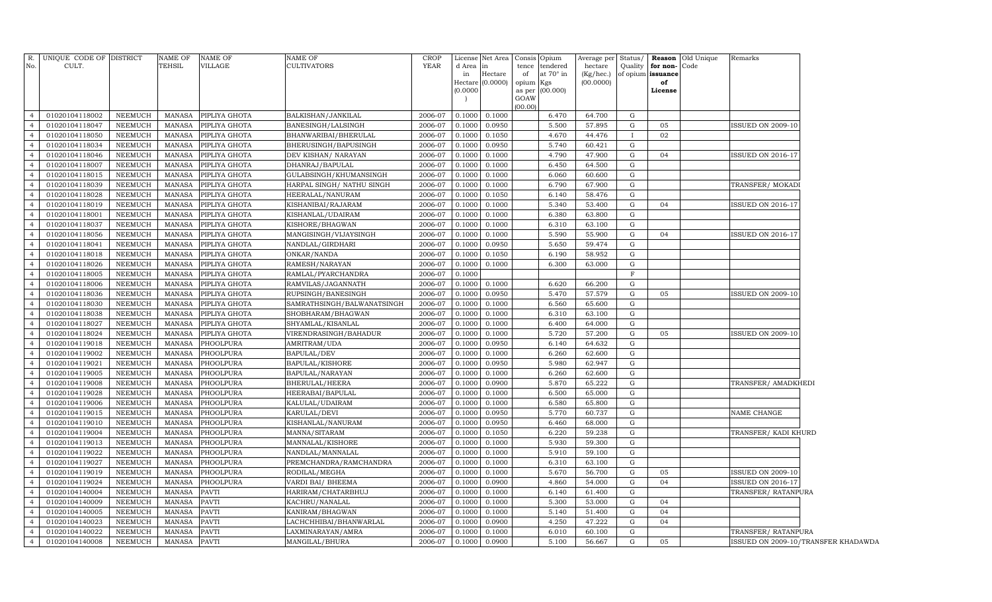| R.<br>No.                        | UNIQUE CODE OF DISTRICT<br>CULT. |                           | <b>NAME OF</b><br><b>TEHSIL</b> | NAME OF<br><b>VILLAGE</b> | NAME OF<br><b>CULTIVATORS</b>           | <b>CROP</b><br>YEAR | d Area in        | License Net Area   Consis   Opium | tence           | tendered         | Average per             | Status/     |                               | <b>Reason</b> Old Unique<br>Code | Remarks                             |
|----------------------------------|----------------------------------|---------------------------|---------------------------------|---------------------------|-----------------------------------------|---------------------|------------------|-----------------------------------|-----------------|------------------|-------------------------|-------------|-------------------------------|----------------------------------|-------------------------------------|
|                                  |                                  |                           |                                 |                           |                                         |                     | in               | Hectare                           | of              | at $70^\circ$ in | hectare<br>$(Kg/$ hec.) | Quality     | for non-<br>of opium issuance |                                  |                                     |
|                                  |                                  |                           |                                 |                           |                                         |                     |                  | Hectare (0.0000)                  | opium Kgs       |                  | (00.0000)               |             | of                            |                                  |                                     |
|                                  |                                  |                           |                                 |                           |                                         |                     | (0.0000)         |                                   |                 | as per (00.000)  |                         |             | License                       |                                  |                                     |
|                                  |                                  |                           |                                 |                           |                                         |                     |                  |                                   | GOAW<br>(00.00) |                  |                         |             |                               |                                  |                                     |
| $\overline{4}$                   | 01020104118002                   | NEEMUCH                   | <b>MANASA</b>                   | PIPLIYA GHOTA             | BALKISHAN/JANKILAL                      | 2006-07             | 0.1000           | 0.1000                            |                 | 6.470            | 64.700                  | G           |                               |                                  |                                     |
| $\overline{4}$                   | 01020104118047                   | <b>NEEMUCH</b>            | <b>MANASA</b>                   | PIPLIYA GHOTA             | BANESINGH/LALSINGH                      | 2006-07             | 0.1000           | 0.0950                            |                 | 5.500            | 57.895                  | G           | 05                            |                                  | <b>ISSUED ON 2009-10</b>            |
| $\overline{4}$                   | 01020104118050                   | NEEMUCH                   | MANASA                          | PIPLIYA GHOTA             | BHANWARIBAI/BHERULAL                    | 2006-07             | 0.1000           | 0.1050                            |                 | 4.670            | 44.476                  | $\mathbf I$ | 02                            |                                  |                                     |
| $\overline{4}$                   | 01020104118034                   | NEEMUCH                   | MANASA                          | PIPLIYA GHOTA             | BHERUSINGH/BAPUSINGH                    | 2006-07             | 0.1000           | 0.0950                            |                 | 5.740            | 60.421                  | G           |                               |                                  |                                     |
| $\overline{4}$                   | 01020104118046                   | <b>NEEMUCH</b>            | MANASA                          | PIPLIYA GHOTA             | DEV KISHAN/ NARAYAN                     | 2006-07             | 0.1000           | 0.1000                            |                 | 4.790            | 47.900                  | G           | 04                            |                                  | <b>ISSUED ON 2016-17</b>            |
| $\overline{4}$                   | 01020104118007                   | NEEMUCH                   | <b>MANASA</b>                   | PIPLIYA GHOTA             | DHANRAJ/BAPULAL                         | 2006-07             | 0.1000           | 0.1000                            |                 | 6.450            | 64.500                  | G           |                               |                                  |                                     |
| $\overline{4}$                   | 01020104118015                   | NEEMUCH                   | MANASA                          | PIPLIYA GHOTA             | GULABSINGH/KHUMANSINGH                  | 2006-07             | 0.1000           | 0.1000                            |                 | 6.060            | 60.600                  | G           |                               |                                  |                                     |
| $\overline{4}$                   | 01020104118039                   | NEEMUCH                   | MANASA                          | PIPLIYA GHOTA             | HARPAL SINGH / NATHU SINGH              | 2006-07             | 0.1000           | 0.1000                            |                 | 6.790            | 67.900                  | G           |                               |                                  | TRANSFER/ MOKADI                    |
| $\overline{4}$                   | 01020104118028                   | NEEMUCH                   | MANASA                          | PIPLIYA GHOTA             | HEERALAL/NANURAM                        | 2006-07             | 0.1000           | 0.1050                            |                 | 6.140            | 58.476                  | G           |                               |                                  |                                     |
| $\overline{4}$                   | 01020104118019                   | NEEMUCH                   | MANASA                          | PIPLIYA GHOTA             | KISHANIBAI/RAJARAM                      | 2006-07             | 0.1000           | 0.1000                            |                 | 5.340            | 53.400                  | G           | 04                            |                                  | <b>ISSUED ON 2016-17</b>            |
| $\overline{4}$                   | 01020104118001                   | NEEMUCH                   | MANASA                          | PIPLIYA GHOTA             | KISHANLAL/UDAIRAM                       | 2006-07             | 0.1000           | 0.1000                            |                 | 6.380            | 63.800                  | G           |                               |                                  |                                     |
| $\overline{4}$                   | 01020104118037                   | NEEMUCH                   | MANASA                          | PIPLIYA GHOTA             | KISHORE/BHAGWAN                         | 2006-07             | 0.1000           | 0.1000                            |                 | 6.310            | 63.100                  | G           |                               |                                  |                                     |
| $\overline{4}$                   | 01020104118056                   | NEEMUCH                   | MANASA                          | PIPLIYA GHOTA             | MANGISINGH/VIJAYSINGH                   | 2006-07             | 0.1000           | 0.1000                            |                 | 5.590            | 55.900                  | G           | 04                            |                                  | <b>ISSUED ON 2016-17</b>            |
| $\overline{4}$                   | 01020104118041                   | NEEMUCH                   | MANASA                          | PIPLIYA GHOTA             | NANDLAL/GIRDHARI                        | 2006-07             | 0.1000           | 0.0950                            |                 | 5.650            | 59.474                  | G           |                               |                                  |                                     |
| $\overline{4}$                   | 01020104118018                   | NEEMUCH                   | MANASA                          | PIPLIYA GHOTA             | ONKAR/NANDA                             | 2006-07             | 0.1000           | 0.1050                            |                 | 6.190            | 58.952                  | G           |                               |                                  |                                     |
| $\overline{4}$                   | 01020104118026                   | <b>NEEMUCH</b>            | MANASA                          | PIPLIYA GHOTA             | RAMESH/NARAYAN                          | 2006-07             | 0.1000           | 0.1000                            |                 | 6.300            | 63.000                  | G           |                               |                                  |                                     |
| $\overline{4}$                   | 01020104118005                   | NEEMUCH                   | MANASA                          | PIPLIYA GHOTA             | RAMLAL/PYARCHANDRA                      | 2006-07             | 0.1000           |                                   |                 |                  |                         | $\mathbf F$ |                               |                                  |                                     |
| $\overline{4}$                   | 01020104118006                   | <b>NEEMUCH</b>            | MANASA                          | PIPLIYA GHOTA             | RAMVILAS/JAGANNATH                      | 2006-07             | 0.1000           | 0.1000                            |                 | 6.620            | 66.200                  | G           |                               |                                  |                                     |
| $\overline{4}$                   | 01020104118036                   | NEEMUCH                   | MANASA                          | PIPLIYA GHOTA             | RUPSINGH/BANESINGH                      | 2006-07             | 0.1000           | 0.0950                            |                 | 5.470            | 57.579                  | G           | 05                            |                                  | <b>ISSUED ON 2009-10</b>            |
| $\overline{4}$                   | 01020104118030                   | NEEMUCH                   | MANASA                          | PIPLIYA GHOTA             | SAMRATHSINGH/BALWANATSINGH              | 2006-07             | 0.1000           | 0.1000                            |                 | 6.560            | 65.600                  | G           |                               |                                  |                                     |
| $\overline{4}$                   | 01020104118038                   | NEEMUCH                   | MANASA                          | PIPLIYA GHOTA             | SHOBHARAM/BHAGWAN                       | 2006-07             | 0.1000           | 0.1000                            |                 | 6.310            | 63.100                  | G           |                               |                                  |                                     |
| $\overline{4}$                   | 01020104118027                   | NEEMUCH                   | MANASA                          | PIPLIYA GHOTA             | SHYAMLAL/KISANLAL                       | 2006-07             | 0.1000           | 0.1000                            |                 | 6.400            | 64.000                  | G           |                               |                                  |                                     |
| $\overline{4}$                   | 01020104118024                   | NEEMUCH                   | MANASA                          | PIPLIYA GHOTA             | VIRENDRASINGH/BAHADUR                   | 2006-07             | 0.1000           | 0.1000                            |                 | 5.720            | 57.200                  | G           | 05                            |                                  | <b>ISSUED ON 2009-10</b>            |
| $\overline{4}$                   | 01020104119018                   | NEEMUCH                   | MANASA                          | PHOOLPURA                 | AMRITRAM/UDA                            | 2006-07             | 0.1000           | 0.0950                            |                 | 6.140            | 64.632                  | G           |                               |                                  |                                     |
| $\overline{4}$                   | 01020104119002                   | NEEMUCH                   | MANASA                          | PHOOLPURA                 | BAPULAL/DEV                             | 2006-07             | 0.1000           | 0.1000                            |                 | 6.260            | 62.600                  | G           |                               |                                  |                                     |
| $\overline{4}$                   | 01020104119021                   | NEEMUCH                   | MANASA                          | PHOOLPURA                 | BAPULAL/KISHORE                         | 2006-07             | 0.1000           | 0.0950                            |                 | 5.980            | 62.947                  | G           |                               |                                  |                                     |
| $\overline{4}$                   | 01020104119005                   | NEEMUCH                   | MANASA                          | PHOOLPURA                 | BAPULAL/NARAYAN                         | 2006-07             | 0.1000           | 0.1000                            |                 | 6.260            | 62.600                  | G           |                               |                                  |                                     |
| $\overline{4}$                   | 01020104119008                   | NEEMUCH                   | MANASA                          | PHOOLPURA                 | BHERULAL/HEERA                          | 2006-07             | 0.1000           | 0.0900                            |                 | 5.870            | 65.222                  | G           |                               |                                  | TRANSFER/ AMADKHEDI                 |
| $\overline{4}$                   | 01020104119028                   | <b>NEEMUCH</b>            | MANASA                          | PHOOLPURA                 | HEERABAI/BAPULAL                        | 2006-07             | 0.1000           | 0.1000                            |                 | 6.500            | 65.000                  | G           |                               |                                  |                                     |
| $\overline{4}$                   | 01020104119006                   | NEEMUCH                   | <b>MANASA</b>                   | PHOOLPURA                 | KALULAL/UDAIRAM                         | 2006-07             | 0.1000           | 0.1000                            |                 | 6.580            | 65.800                  | G           |                               |                                  |                                     |
| $\overline{4}$                   | 01020104119015                   | NEEMUCH                   | <b>MANASA</b>                   | PHOOLPURA                 | KARULAL/DEVI                            | 2006-07             | 0.1000           | 0.0950                            |                 | 5.770            | 60.737                  | G           |                               |                                  | NAME CHANGE                         |
| $\overline{4}$                   | 01020104119010                   | <b>NEEMUCH</b>            | <b>MANASA</b>                   | PHOOLPURA                 | KISHANLAL/NANURAM                       | 2006-07             | 0.1000           | 0.0950                            |                 | 6.460            | 68.000                  | G           |                               |                                  |                                     |
| $\overline{4}$                   | 01020104119004                   | NEEMUCH                   | <b>MANASA</b>                   | PHOOLPURA                 | MANNA/SITARAM                           | 2006-07             | 0.1000           | 0.1050                            |                 | 6.220            | 59.238                  | G           |                               |                                  | TRANSFER/KADI KHURD                 |
| $\overline{4}$<br>$\overline{4}$ | 01020104119013                   | NEEMUCH                   | <b>MANASA</b>                   | PHOOLPURA                 | MANNALAL/KISHORE                        | 2006-07             | 0.1000           | 0.1000                            |                 | 5.930            | 59.300                  | G           |                               |                                  |                                     |
| $\overline{4}$                   | 01020104119022                   | <b>NEEMUCH</b>            | <b>MANASA</b><br><b>MANASA</b>  | PHOOLPURA                 | NANDLAL/MANNALAL                        | 2006-07             | 0.1000           | 0.1000                            |                 | 5.910            | 59.100                  | G<br>G      |                               |                                  |                                     |
| $\overline{4}$                   | 01020104119027<br>01020104119019 | NEEMUCH                   |                                 | PHOOLPURA<br>PHOOLPURA    | PREMCHANDRA/RAMCHANDRA                  | 2006-07             | 0.1000           | 0.1000                            |                 | 6.310<br>5.670   | 63.100                  | G           | 05                            |                                  | <b>ISSUED ON 2009-10</b>            |
| $\overline{4}$                   | 01020104119024                   | NEEMUCH<br><b>NEEMUCH</b> | <b>MANASA</b><br><b>MANASA</b>  | PHOOLPURA                 | RODILAL/MEGHA                           | 2006-07<br>2006-07  | 0.1000<br>0.1000 | 0.1000<br>0.0900                  |                 | 4.860            | 56.700<br>54.000        | G           | 04                            |                                  | <b>ISSUED ON 2016-17</b>            |
| $\overline{4}$                   | 01020104140004                   | <b>NEEMUCH</b>            | <b>MANASA</b>                   | <b>PAVTI</b>              | VARDI BAI/ BHEEMA<br>HARIRAM/CHATARBHUJ | 2006-07             | 0.1000           | 0.1000                            |                 | 6.140            | 61.400                  | G           |                               |                                  | TRANSFER/ RATANPURA                 |
| $\overline{4}$                   | 01020104140009                   | <b>NEEMUCH</b>            | <b>MANASA</b>                   | <b>PAVTI</b>              | KACHRU/NANALAL                          | 2006-07             | 0.1000           | 0.1000                            |                 | 5.300            | 53.000                  | G           | 04                            |                                  |                                     |
| $\overline{4}$                   | 01020104140005                   | <b>NEEMUCH</b>            | <b>MANASA</b>                   | PAVTI                     | KANIRAM/BHAGWAN                         | 2006-07             | 0.1000           | 0.1000                            |                 | 5.140            | 51.400                  | G           | 04                            |                                  |                                     |
| $\overline{4}$                   | 01020104140023                   | <b>NEEMUCH</b>            | <b>MANASA</b>                   | PAVTI                     | LACHCHHIBAI/BHANWARLAL                  | 2006-07             | 0.1000           | 0.0900                            |                 | 4.250            | 47.222                  | G           | 04                            |                                  |                                     |
| $\overline{4}$                   | 01020104140022                   | <b>NEEMUCH</b>            | <b>MANASA</b>                   | <b>PAVTI</b>              | LAXMINARAYAN/AMRA                       | 2006-07             | 0.1000           | 0.1000                            |                 | 6.010            | 60.100                  | G           |                               |                                  | TRANSFER/ RATANPURA                 |
| $\overline{4}$                   | 01020104140008                   | NEEMUCH                   | <b>MANASA</b>                   | <b>PAVTI</b>              | MANGILAL/BHURA                          | 2006-07             | 0.1000 0.0900    |                                   |                 | 5.100            | 56.667                  | G           | 05                            |                                  | ISSUED ON 2009-10/TRANSFER KHADAWDA |
|                                  |                                  |                           |                                 |                           |                                         |                     |                  |                                   |                 |                  |                         |             |                               |                                  |                                     |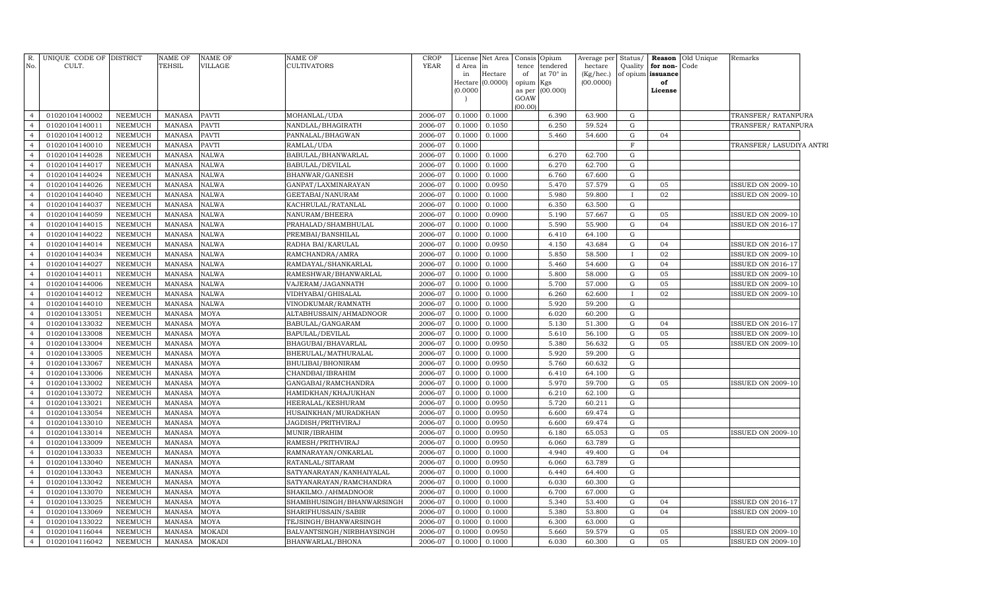| R.             | UNIQUE CODE OF DISTRICT |                | <b>NAME OF</b> | <b>NAME OF</b> | NAME OF                   | CROP        | License             | Net Area | Consis    | Opium           | Average per | Status/     | Reason            | Old Unique | Remarks                  |  |
|----------------|-------------------------|----------------|----------------|----------------|---------------------------|-------------|---------------------|----------|-----------|-----------------|-------------|-------------|-------------------|------------|--------------------------|--|
| No.            | CULT.                   |                | <b>TEHSIL</b>  | VILLAGE        | CULTIVATORS               | <b>YEAR</b> | d Area              | in       |           | tence tendered  | hectare     | Quality     | for non-          | Code       |                          |  |
|                |                         |                |                |                |                           |             | in                  | Hectare  | of        | at 70° in       | (Kg/hec.)   |             | of opium issuance |            |                          |  |
|                |                         |                |                |                |                           |             | Hectare<br>(0.0000) | (0.0000) | opium Kgs | as per (00.000) | (00.0000)   |             | of<br>License     |            |                          |  |
|                |                         |                |                |                |                           |             |                     |          | GOAW      |                 |             |             |                   |            |                          |  |
|                |                         |                |                |                |                           |             |                     |          | (00.00)   |                 |             |             |                   |            |                          |  |
| $\overline{4}$ | 01020104140002          | <b>NEEMUCH</b> | <b>MANASA</b>  | PAVTI          | MOHANLAL/UDA              | 2006-07     | 0.1000              | 0.1000   |           | 6.390           | 63.900      | G           |                   |            | TRANSFER/RATANPURA       |  |
| $\overline{4}$ | 01020104140011          | NEEMUCH        | <b>MANASA</b>  | <b>PAVTI</b>   | NANDLAL/BHAGIRATH         | 2006-07     | 0.1000              | 0.1050   |           | 6.250           | 59.524      | G           |                   |            | TRANSFER/RATANPURA       |  |
| $\overline{4}$ | 01020104140012          | <b>NEEMUCH</b> | <b>MANASA</b>  | PAVTI          | PANNALAL/BHAGWAN          | 2006-07     | 0.1000              | 0.1000   |           | 5.460           | 54.600      | $\mathbf G$ | 04                |            |                          |  |
| $\overline{4}$ | 01020104140010          | <b>NEEMUCH</b> | <b>MANASA</b>  | PAVTI          | RAMLAL/UDA                | 2006-07     | 0.1000              |          |           |                 |             | $\mathbf F$ |                   |            | TRANSFER/ LASUDIYA ANTRI |  |
| $\overline{4}$ | 01020104144028          | <b>NEEMUCH</b> | <b>MANASA</b>  | NALWA          | BABULAL/BHANWARLAL        | 2006-07     | 0.1000              | 0.1000   |           | 6.270           | 62.700      | $\mathbf G$ |                   |            |                          |  |
| $\overline{4}$ | 01020104144017          | NEEMUCH        | <b>MANASA</b>  | <b>NALWA</b>   | BABULAL/DEVILAL           | 2006-07     | 0.1000              | 0.1000   |           | 6.270           | 62.700      | ${\rm G}$   |                   |            |                          |  |
| $\overline{4}$ | 01020104144024          | NEEMUCH        | <b>MANASA</b>  | <b>NALWA</b>   | BHANWAR/GANESH            | 2006-07     | 0.1000              | 0.1000   |           | 6.760           | 67.600      | ${\bf G}$   |                   |            |                          |  |
| $\overline{4}$ | 01020104144026          | NEEMUCH        | <b>MANASA</b>  | <b>NALWA</b>   | GANPAT/LAXMINARAYAN       | 2006-07     | 0.1000              | 0.0950   |           | 5.470           | 57.579      | G           | 05                |            | <b>ISSUED ON 2009-10</b> |  |
| $\overline{4}$ | 01020104144040          | <b>NEEMUCH</b> | <b>MANASA</b>  | <b>NALWA</b>   | GEETABAI/NANURAM          | 2006-07     | 0.1000              | 0.1000   |           | 5.980           | 59.800      |             | 02                |            | <b>ISSUED ON 2009-10</b> |  |
| $\overline{4}$ | 01020104144037          | NEEMUCH        | <b>MANASA</b>  | NALWA          | KACHRULAL/RATANLAL        | 2006-07     | 0.1000              | 0.1000   |           | 6.350           | 63.500      | G           |                   |            |                          |  |
| $\overline{4}$ | 01020104144059          | <b>NEEMUCH</b> | <b>MANASA</b>  | <b>NALWA</b>   | NANURAM/BHEERA            | 2006-07     | 0.1000              | 0.0900   |           | 5.190           | 57.667      | $\mathbf G$ | 05                |            | <b>ISSUED ON 2009-10</b> |  |
| $\overline{4}$ | 01020104144015          | NEEMUCH        | <b>MANASA</b>  | <b>NALWA</b>   | PRAHALAD/SHAMBHULAL       | 2006-07     | 0.1000              | 0.1000   |           | 5.590           | 55.900      | ${\rm G}$   | 04                |            | <b>ISSUED ON 2016-17</b> |  |
| $\overline{4}$ | 01020104144022          | <b>NEEMUCH</b> | <b>MANASA</b>  | NALWA          | PREMBAI/BANSHILAL         | 2006-07     | 0.1000              | 0.1000   |           | 6.410           | 64.100      | $\mathbf G$ |                   |            |                          |  |
| $\overline{4}$ | 01020104144014          | NEEMUCH        | <b>MANASA</b>  | <b>NALWA</b>   | RADHA BAI/KARULAL         | 2006-07     | 0.1000              | 0.0950   |           | 4.150           | 43.684      | ${\rm G}$   | 04                |            | ISSUED ON 2016-17        |  |
| $\overline{4}$ | 01020104144034          | <b>NEEMUCH</b> | <b>MANASA</b>  | <b>NALWA</b>   | RAMCHANDRA/AMRA           | 2006-07     | 0.1000              | 0.1000   |           | 5.850           | 58.500      |             | 02                |            | <b>ISSUED ON 2009-10</b> |  |
| $\overline{4}$ | 01020104144027          | <b>NEEMUCH</b> | <b>MANASA</b>  | NALWA          | RAMDAYAL/SHANKARLAL       | 2006-07     | 0.1000              | 0.1000   |           | 5.460           | 54.600      | G           | 04                |            | ISSUED ON 2016-17        |  |
| $\overline{4}$ | 01020104144011          | <b>NEEMUCH</b> | <b>MANASA</b>  | <b>NALWA</b>   | RAMESHWAR/BHANWARLAL      | 2006-07     | 0.1000              | 0.1000   |           | 5.800           | 58.000      | $\mathbf G$ | 05                |            | <b>ISSUED ON 2009-10</b> |  |
| $\overline{4}$ | 01020104144006          | NEEMUCH        | <b>MANASA</b>  | NALWA          | VAJERAM/JAGANNATH         | 2006-07     | 0.1000              | 0.1000   |           | 5.700           | 57.000      | $\mathbf G$ | 05                |            | ISSUED ON 2009-10        |  |
| $\overline{4}$ | 01020104144012          | <b>NEEMUCH</b> | <b>MANASA</b>  | <b>NALWA</b>   | VIDHYABAI/GHISALAL        | 2006-07     | 0.1000              | 0.1000   |           | 6.260           | 62.600      |             | 02                |            | <b>ISSUED ON 2009-10</b> |  |
| $\overline{4}$ | 01020104144010          | <b>NEEMUCH</b> | <b>MANASA</b>  | <b>NALWA</b>   | VINODKUMAR/RAMNATH        | 2006-07     | 0.1000              | 0.1000   |           | 5.920           | 59.200      | G           |                   |            |                          |  |
| $\overline{4}$ | 01020104133051          | <b>NEEMUCH</b> | <b>MANASA</b>  | MOYA           | ALTABHUSSAIN/AHMADNOOR    | 2006-07     | 0.1000              | 0.1000   |           | 6.020           | 60.200      | ${\rm G}$   |                   |            |                          |  |
| $\overline{4}$ | 01020104133032          | NEEMUCH        | <b>MANASA</b>  | MOYA           | BABULAL/GANGARAM          | 2006-07     | 0.1000              | 0.1000   |           | 5.130           | 51.300      | ${\bf G}$   | 04                |            | ISSUED ON 2016-17        |  |
| $\overline{4}$ | 01020104133008          | <b>NEEMUCH</b> | <b>MANASA</b>  | MOYA           | BAPULAL/DEVILAL           | 2006-07     | 0.1000              | 0.1000   |           | 5.610           | 56.100      | $\mathbf G$ | 05                |            | <b>ISSUED ON 2009-10</b> |  |
| $\overline{4}$ | 01020104133004          | <b>NEEMUCH</b> | <b>MANASA</b>  | MOYA           | BHAGUBAI/BHAVARLAL        | 2006-07     | 0.1000              | 0.0950   |           | 5.380           | 56.632      | G           | 05                |            | <b>ISSUED ON 2009-10</b> |  |
| $\overline{4}$ | 01020104133005          | <b>NEEMUCH</b> | <b>MANASA</b>  | MOYA           | BHERULAL/MATHURALAL       | 2006-07     | 0.1000              | 0.1000   |           | 5.920           | 59.200      | ${\rm G}$   |                   |            |                          |  |
| $\overline{4}$ | 01020104133067          | <b>NEEMUCH</b> | <b>MANASA</b>  | MOYA           | BHULIBAI/BHONIRAM         | 2006-07     | 0.1000              | 0.0950   |           | 5.760           | 60.632      | ${\rm G}$   |                   |            |                          |  |
| $\overline{4}$ | 01020104133006          | <b>NEEMUCH</b> | <b>MANASA</b>  | MOYA           | CHANDBAI/IBRAHIM          | 2006-07     | 0.1000              | 0.1000   |           | 6.410           | 64.100      | ${\rm G}$   |                   |            |                          |  |
| $\overline{4}$ | 01020104133002          | <b>NEEMUCH</b> | <b>MANASA</b>  | MOYA           | GANGABAI/RAMCHANDRA       | 2006-07     | 0.1000              | 0.1000   |           | 5.970           | 59.700      | ${\rm G}$   | 05                |            | <b>ISSUED ON 2009-10</b> |  |
| $\overline{4}$ | 01020104133072          | <b>NEEMUCH</b> | <b>MANASA</b>  | MOYA           | HAMIDKHAN/KHAJUKHAN       | 2006-07     | 0.1000              | 0.1000   |           | 6.210           | 62.100      | ${\bf G}$   |                   |            |                          |  |
| $\overline{4}$ | 01020104133021          | NEEMUCH        | <b>MANASA</b>  | MOYA           | HEERALAL/KESHURAM         | 2006-07     | 0.1000              | 0.0950   |           | 5.720           | 60.211      | ${\bf G}$   |                   |            |                          |  |
| $\overline{4}$ | 01020104133054          | <b>NEEMUCH</b> | <b>MANASA</b>  | MOYA           | HUSAINKHAN/MURADKHAN      | 2006-07     | 0.1000              | 0.0950   |           | 6.600           | 69.474      | $\mathbf G$ |                   |            |                          |  |
| $\overline{4}$ | 01020104133010          | <b>NEEMUCH</b> | <b>MANASA</b>  | MOYA           | JAGDISH/PRITHVIRAJ        | 2006-07     | 0.1000              | 0.0950   |           | 6.600           | 69.474      | ${\rm G}$   |                   |            |                          |  |
| $\overline{4}$ | 01020104133014          | <b>NEEMUCH</b> | <b>MANASA</b>  | MOYA           | MUNIR/IBRAHIM             | 2006-07     | 0.1000              | 0.0950   |           | 6.180           | 65.053      | $\mathbf G$ | 05                |            | <b>ISSUED ON 2009-10</b> |  |
| $\overline{4}$ | 01020104133009          | <b>NEEMUCH</b> | <b>MANASA</b>  | MOYA           | RAMESH/PRITHVIRAJ         | 2006-07     | 0.1000              | 0.0950   |           | 6.060           | 63.789      | $\mathbf G$ |                   |            |                          |  |
| $\overline{4}$ | 01020104133033          | <b>NEEMUCH</b> | <b>MANASA</b>  | MOYA           | RAMNARAYAN/ONKARLAL       | 2006-07     | 0.1000              | 0.1000   |           | 4.940           | 49.400      | $\mathbf G$ | 04                |            |                          |  |
| $\overline{4}$ | 01020104133040          | <b>NEEMUCH</b> | <b>MANASA</b>  | MOYA           | RATANLAL/SITARAM          | 2006-07     | 0.1000              | 0.0950   |           | 6.060           | 63.789      | ${\rm G}$   |                   |            |                          |  |
| $\overline{4}$ | 01020104133043          | NEEMUCH        | <b>MANASA</b>  | MOYA           | SATYANARAYAN/KANHAIYALAL  | 2006-07     | 0.1000              | 0.1000   |           | 6.440           | 64.400      | ${\rm G}$   |                   |            |                          |  |
| $\overline{4}$ | 01020104133042          | NEEMUCH        | <b>MANASA</b>  | MOYA           | SATYANARAYAN/RAMCHANDRA   | 2006-07     | 0.1000              | 0.1000   |           | 6.030           | 60.300      | ${\rm G}$   |                   |            |                          |  |
| $\overline{4}$ | 01020104133070          | <b>NEEMUCH</b> | <b>MANASA</b>  | MOYA           | SHAKILMO./AHMADNOOR       | 2006-07     | 0.1000              | 0.1000   |           | 6.700           | 67.000      | ${\rm G}$   |                   |            |                          |  |
| $\overline{4}$ | 01020104133025          | <b>NEEMUCH</b> | <b>MANASA</b>  | MOYA           | SHAMBHUSINGH/BHANWARSINGH | 2006-07     | 0.1000              | 0.1000   |           | 5.340           | 53.400      | ${\rm G}$   | 04                |            | ISSUED ON 2016-17        |  |
| $\overline{4}$ | 01020104133069          | <b>NEEMUCH</b> | <b>MANASA</b>  | MOYA           | SHARIFHUSSAIN/SABIR       | 2006-07     | 0.1000              | 0.1000   |           | 5.380           | 53.800      | $\mathbf G$ | 04                |            | <b>ISSUED ON 2009-10</b> |  |
| $\overline{4}$ | 01020104133022          | NEEMUCH        | <b>MANASA</b>  | MOYA           | TEJSINGH/BHANWARSINGH     | 2006-07     | 0.1000              | 0.1000   |           | 6.300           | 63.000      | G           |                   |            |                          |  |
| $\overline{4}$ | 01020104116044          | <b>NEEMUCH</b> | <b>MANASA</b>  | MOKADI         | BALVANTSINGH/NIRBHAYSINGH | 2006-07     | 0.1000              | 0.0950   |           | 5.660           | 59.579      | $\mathbf G$ | 05                |            | <b>ISSUED ON 2009-10</b> |  |
| $\overline{4}$ | 01020104116042          | NEEMUCH        | <b>MANASA</b>  | MOKADI         | BHANWARLAL/BHONA          | 2006-07     | 0.1000              | 0.1000   |           | 6.030           | 60.300      | G           | 05                |            | <b>ISSUED ON 2009-10</b> |  |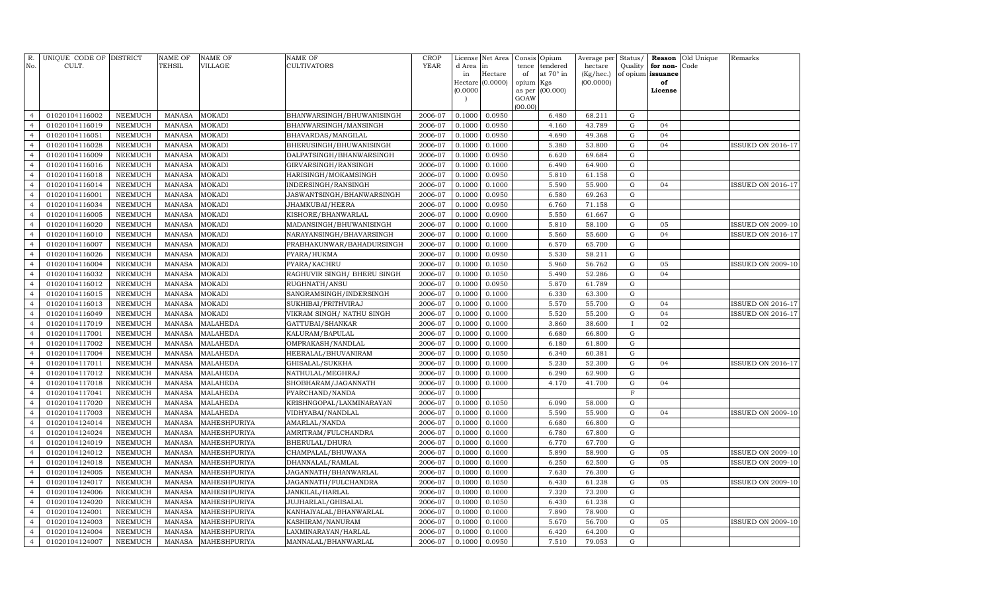| R.<br>No.      | UNIQUE CODE OF DISTRICT<br>CULT. |                | <b>NAME OF</b><br><b>TEHSIL</b> | <b>NAME OF</b><br><b>VILLAGE</b> | NAME OF<br><b>CULTIVATORS</b> | <b>CROP</b><br><b>YEAR</b> | License<br>d Area | Net Area<br>in   | Consis<br>tence | Opium<br>tendered | Average per<br>hectare | Status/<br>Quality | Reason<br>for non- | Old Unique<br>Code | Remarks                  |
|----------------|----------------------------------|----------------|---------------------------------|----------------------------------|-------------------------------|----------------------------|-------------------|------------------|-----------------|-------------------|------------------------|--------------------|--------------------|--------------------|--------------------------|
|                |                                  |                |                                 |                                  |                               |                            | in                | Hectare          | of              | at 70° in         | (Kg/hec.)              |                    | of opium issuance  |                    |                          |
|                |                                  |                |                                 |                                  |                               |                            |                   | Hectare (0.0000) | opium           | Kgs               | (00.0000)              |                    | of                 |                    |                          |
|                |                                  |                |                                 |                                  |                               |                            | (0.0000)          |                  | as per          | (00.000)          |                        |                    | License            |                    |                          |
|                |                                  |                |                                 |                                  |                               |                            |                   |                  | GOAW<br>(00.00) |                   |                        |                    |                    |                    |                          |
| $\overline{4}$ | 01020104116002                   | <b>NEEMUCH</b> | <b>MANASA</b>                   | <b>MOKADI</b>                    | BHANWARSINGH/BHUWANISINGH     | 2006-07                    | 0.1000            | 0.0950           |                 | 6.480             | 68.211                 | ${\rm G}$          |                    |                    |                          |
| $\overline{4}$ | 01020104116019                   | <b>NEEMUCH</b> | <b>MANASA</b>                   | <b>MOKADI</b>                    | BHANWARSINGH/MANSINGH         | 2006-07                    | 0.1000            | 0.0950           |                 | 4.160             | 43.789                 | ${\rm G}$          | 04                 |                    |                          |
| $\overline{4}$ | 01020104116051                   | <b>NEEMUCH</b> | <b>MANASA</b>                   | <b>MOKADI</b>                    | BHAVARDAS/MANGILAL            | 2006-07                    | 0.1000            | 0.0950           |                 | 4.690             | 49.368                 | ${\rm G}$          | 04                 |                    |                          |
| $\overline{4}$ | 01020104116028                   | <b>NEEMUCH</b> | <b>MANASA</b>                   | <b>MOKADI</b>                    | BHERUSINGH/BHUWANISINGH       | 2006-07                    | 0.1000            | 0.1000           |                 | 5.380             | 53.800                 | ${\rm G}$          | 04                 |                    | <b>ISSUED ON 2016-17</b> |
| $\overline{4}$ | 01020104116009                   | <b>NEEMUCH</b> | <b>MANASA</b>                   | <b>MOKADI</b>                    | DALPATSINGH/BHANWARSINGH      | 2006-07                    | 0.1000            | 0.0950           |                 | 6.620             | 69.684                 | ${\rm G}$          |                    |                    |                          |
| $\overline{4}$ | 01020104116016                   | <b>NEEMUCH</b> | <b>MANASA</b>                   | <b>MOKADI</b>                    | GIRVARSINGH/RANSINGH          | 2006-07                    | 0.1000            | 0.1000           |                 | 6.490             | 64.900                 | ${\rm G}$          |                    |                    |                          |
| $\overline{4}$ | 01020104116018                   | <b>NEEMUCH</b> | <b>MANASA</b>                   | <b>MOKADI</b>                    | HARISINGH/MOKAMSINGH          | 2006-07                    | 0.1000            | 0.0950           |                 | 5.810             | 61.158                 | ${\rm G}$          |                    |                    |                          |
| $\overline{4}$ | 01020104116014                   | <b>NEEMUCH</b> | <b>MANASA</b>                   | <b>MOKADI</b>                    | INDERSINGH/RANSINGH           | 2006-07                    | 0.1000            | 0.1000           |                 | 5.590             | 55.900                 | ${\rm G}$          | 04                 |                    | <b>ISSUED ON 2016-17</b> |
| $\overline{4}$ | 01020104116001                   | <b>NEEMUCH</b> | <b>MANASA</b>                   | <b>MOKADI</b>                    | JASWANTSINGH/BHANWARSINGH     | 2006-07                    | 0.1000            | 0.0950           |                 | 6.580             | 69.263                 | $\mathbf G$        |                    |                    |                          |
| $\overline{4}$ | 01020104116034                   | <b>NEEMUCH</b> | <b>MANASA</b>                   | <b>MOKADI</b>                    | JHAMKUBAI/HEERA               | 2006-07                    | 0.1000            | 0.0950           |                 | 6.760             | 71.158                 | G                  |                    |                    |                          |
| $\overline{4}$ | 01020104116005                   | <b>NEEMUCH</b> | <b>MANASA</b>                   | <b>MOKADI</b>                    | KISHORE/BHANWARLAL            | 2006-07                    | 0.1000            | 0.0900           |                 | 5.550             | 61.667                 | ${\rm G}$          |                    |                    |                          |
| $\overline{4}$ | 01020104116020                   | <b>NEEMUCH</b> | <b>MANASA</b>                   | <b>MOKADI</b>                    | MADANSINGH/BHUWANISINGH       | 2006-07                    | 0.1000            | 0.1000           |                 | 5.810             | 58.100                 | ${\bf G}$          | 05                 |                    | <b>ISSUED ON 2009-10</b> |
| $\overline{4}$ | 01020104116010                   | <b>NEEMUCH</b> | <b>MANASA</b>                   | <b>MOKADI</b>                    | NARAYANSINGH/BHAVARSINGH      | 2006-07                    | 0.1000            | 0.1000           |                 | 5.560             | 55.600                 | $\mathbf G$        | 04                 |                    | ISSUED ON 2016-17        |
| $\overline{4}$ | 01020104116007                   | <b>NEEMUCH</b> | <b>MANASA</b>                   | <b>MOKADI</b>                    | PRABHAKUNWAR/BAHADURSINGH     | 2006-07                    | 0.1000            | 0.1000           |                 | 6.570             | 65.700                 | ${\rm G}$          |                    |                    |                          |
| $\overline{4}$ | 01020104116026                   | <b>NEEMUCH</b> | <b>MANASA</b>                   | <b>MOKADI</b>                    | PYARA/HUKMA                   | 2006-07                    | 0.1000            | 0.0950           |                 | 5.530             | 58.211                 | ${\bf G}$          |                    |                    |                          |
| $\overline{4}$ | 01020104116004                   | <b>NEEMUCH</b> | <b>MANASA</b>                   | <b>MOKADI</b>                    | PYARA/KACHRU                  | 2006-07                    | 0.1000            | 0.1050           |                 | 5.960             | 56.762                 | ${\rm G}$          | 05                 |                    | <b>ISSUED ON 2009-10</b> |
| $\overline{4}$ | 01020104116032                   | <b>NEEMUCH</b> | <b>MANASA</b>                   | <b>MOKADI</b>                    | RAGHUVIR SINGH/ BHERU SINGH   | 2006-07                    | 0.1000            | 0.1050           |                 | 5.490             | 52.286                 | ${\rm G}$          | 04                 |                    |                          |
| $\overline{4}$ | 01020104116012                   | <b>NEEMUCH</b> | <b>MANASA</b>                   | <b>MOKADI</b>                    | RUGHNATH/ANSU                 | 2006-07                    | 0.1000            | 0.0950           |                 | 5.870             | 61.789                 | ${\rm G}$          |                    |                    |                          |
| $\overline{4}$ | 01020104116015                   | <b>NEEMUCH</b> | <b>MANASA</b>                   | <b>MOKADI</b>                    | SANGRAMSINGH/INDERSINGH       | 2006-07                    | 0.1000            | 0.1000           |                 | 6.330             | 63.300                 | ${\bf G}$          |                    |                    |                          |
| $\overline{4}$ | 01020104116013                   | <b>NEEMUCH</b> | <b>MANASA</b>                   | <b>MOKADI</b>                    | SUKHIBAI/PRITHVIRAJ           | 2006-07                    | 0.1000            | 0.1000           |                 | 5.570             | 55.700                 | ${\rm G}$          | 04                 |                    | ISSUED ON 2016-17        |
| $\overline{4}$ | 01020104116049                   | <b>NEEMUCH</b> | <b>MANASA</b>                   | <b>MOKADI</b>                    | VIKRAM SINGH/ NATHU SINGH     | 2006-07                    | 0.1000            | 0.1000           |                 | 5.520             | 55.200                 | $\mathbf G$        | 04                 |                    | <b>ISSUED ON 2016-17</b> |
| $\overline{4}$ | 01020104117019                   | <b>NEEMUCH</b> | <b>MANASA</b>                   | <b>MALAHEDA</b>                  | GATTUBAI/SHANKAR              | 2006-07                    | 0.1000            | 0.1000           |                 | 3.860             | 38.600                 | <b>I</b>           | 02                 |                    |                          |
| $\overline{4}$ | 01020104117001                   | NEEMUCH        | <b>MANASA</b>                   | <b>MALAHEDA</b>                  | KALURAM/BAPULAL               | 2006-07                    | 0.1000            | 0.1000           |                 | 6.680             | 66.800                 | $\mathbf G$        |                    |                    |                          |
| $\overline{4}$ | 01020104117002                   | <b>NEEMUCH</b> | <b>MANASA</b>                   | <b>MALAHEDA</b>                  | OMPRAKASH/NANDLAL             | 2006-07                    | 0.1000            | 0.1000           |                 | 6.180             | 61.800                 | $\mathbf G$        |                    |                    |                          |
| $\overline{4}$ | 01020104117004                   | <b>NEEMUCH</b> | <b>MANASA</b>                   | <b>MALAHEDA</b>                  | HEERALAL/BHUVANIRAM           | 2006-07                    | 0.1000            | 0.1050           |                 | 6.340             | 60.381                 | ${\bf G}$          |                    |                    |                          |
| $\overline{4}$ | 01020104117011                   | <b>NEEMUCH</b> | <b>MANASA</b>                   | <b>MALAHEDA</b>                  | GHISALAL/SUKKHA               | 2006-07                    | 0.1000            | 0.1000           |                 | 5.230             | 52.300                 | ${\rm G}$          | 04                 |                    | <b>ISSUED ON 2016-17</b> |
| $\overline{4}$ | 01020104117012                   | <b>NEEMUCH</b> | <b>MANASA</b>                   | <b>MALAHEDA</b>                  | NATHULAL/MEGHRAJ              | 2006-07                    | 0.1000            | 0.1000           |                 | 6.290             | 62.900                 | ${\bf G}$          |                    |                    |                          |
| $\overline{4}$ | 01020104117018                   | <b>NEEMUCH</b> | <b>MANASA</b>                   | MALAHEDA                         | SHOBHARAM/JAGANNATH           | 2006-07                    | 0.1000            | 0.1000           |                 | 4.170             | 41.700                 | ${\bf G}$          | 04                 |                    |                          |
| $\overline{4}$ | 01020104117041                   | <b>NEEMUCH</b> | <b>MANASA</b>                   | <b>MALAHEDA</b>                  | PYARCHAND/NANDA               | 2006-07                    | 0.1000            |                  |                 |                   |                        | $\mathbf F$        |                    |                    |                          |
| $\overline{4}$ | 01020104117020                   | <b>NEEMUCH</b> | <b>MANASA</b>                   | MALAHEDA                         | KRISHNGOPAL/LAXMINARAYAN      | 2006-07                    | 0.1000            | 0.1050           |                 | 6.090             | 58.000                 | ${\rm G}$          |                    |                    |                          |
| $\overline{4}$ | 01020104117003                   | <b>NEEMUCH</b> | <b>MANASA</b>                   | MALAHEDA                         | VIDHYABAI/NANDLAL             | 2006-07                    | 0.1000            | 0.1000           |                 | 5.590             | 55.900                 | ${\bf G}$          | 04                 |                    | <b>ISSUED ON 2009-10</b> |
| $\overline{4}$ | 01020104124014                   | <b>NEEMUCH</b> | <b>MANASA</b>                   | MAHESHPURIYA                     | AMARLAL/NANDA                 | 2006-07                    | 0.1000            | 0.1000           |                 | 6.680             | 66.800                 | $\mathbf G$        |                    |                    |                          |
| $\overline{4}$ | 01020104124024                   | NEEMUCH        | <b>MANASA</b>                   | MAHESHPURIYA                     | AMRITRAM/FULCHANDRA           | 2006-07                    | 0.1000            | 0.1000           |                 | 6.780             | 67.800                 | ${\bf G}$          |                    |                    |                          |
| $\overline{4}$ | 01020104124019                   | <b>NEEMUCH</b> | <b>MANASA</b>                   | MAHESHPURIYA                     | BHERULAL/DHURA                | 2006-07                    | 0.1000            | 0.1000           |                 | 6.770             | 67.700                 | $\mathbf G$        |                    |                    |                          |
| $\overline{4}$ | 01020104124012                   | <b>NEEMUCH</b> | <b>MANASA</b>                   | MAHESHPURIYA                     | CHAMPALAL/BHUWANA             | 2006-07                    | 0.1000            | 0.1000           |                 | 5.890             | 58.900                 | $\mathbf G$        | 05                 |                    | <b>ISSUED ON 2009-10</b> |
| $\overline{4}$ | 01020104124018                   | <b>NEEMUCH</b> | <b>MANASA</b>                   | MAHESHPURIYA                     | DHANNALAL/RAMLAL              | 2006-07                    | 0.1000            | 0.1000           |                 | 6.250             | 62.500                 | $\mathbf G$        | 05                 |                    | <b>ISSUED ON 2009-10</b> |
| $\overline{4}$ | 01020104124005                   | <b>NEEMUCH</b> | <b>MANASA</b>                   | MAHESHPURIYA                     | JAGANNATH/BHANWARLAL          | 2006-07                    | 0.1000            | 0.1000           |                 | 7.630             | 76.300                 | ${\bf G}$          |                    |                    |                          |
| $\overline{4}$ | 01020104124017                   | <b>NEEMUCH</b> | <b>MANASA</b>                   | MAHESHPURIYA                     | JAGANNATH/FULCHANDRA          | 2006-07                    | 0.1000            | 0.1050           |                 | 6.430             | 61.238                 | ${\rm G}$          | 05                 |                    | <b>ISSUED ON 2009-10</b> |
| $\overline{4}$ | 01020104124006                   | <b>NEEMUCH</b> | <b>MANASA</b>                   | MAHESHPURIYA                     | JANKILAL/HARLAL               | 2006-07                    | 0.1000            | 0.1000           |                 | 7.320             | 73.200                 | $\mathbf G$        |                    |                    |                          |
| $\overline{4}$ | 01020104124020                   | <b>NEEMUCH</b> | <b>MANASA</b>                   | MAHESHPURIYA                     | JUJHARLAL/GHISALAL            | 2006-07                    | 0.1000            | 0.1050           |                 | 6.430             | 61.238                 | ${\rm G}$          |                    |                    |                          |
| $\overline{4}$ | 01020104124001                   | <b>NEEMUCH</b> | <b>MANASA</b>                   | MAHESHPURIYA                     | KANHAIYALAL/BHANWARLAL        | 2006-07                    | 0.1000            | 0.1000           |                 | 7.890             | 78.900                 | ${\bf G}$          |                    |                    |                          |
| $\overline{4}$ | 01020104124003                   | <b>NEEMUCH</b> | <b>MANASA</b>                   | MAHESHPURIYA                     | KASHIRAM/NANURAM              | 2006-07                    | 0.1000            | 0.1000           |                 | 5.670             | 56.700                 | ${\bf G}$          | 05                 |                    | <b>ISSUED ON 2009-10</b> |
| $\overline{4}$ | 01020104124004                   | <b>NEEMUCH</b> | <b>MANASA</b>                   | MAHESHPURIYA                     | LAXMINARAYAN/HARLAL           | 2006-07                    | 0.1000            | 0.1000           |                 | 6.420             | 64.200                 | ${\bf G}$          |                    |                    |                          |
| $\overline{4}$ | 01020104124007                   | NEEMUCH        | <b>MANASA</b>                   | MAHESHPURIYA                     | MANNALAL/BHANWARLAL           | 2006-07                    | 0.1000            | 0.0950           |                 | 7.510             | 79.053                 | $\mathbf G$        |                    |                    |                          |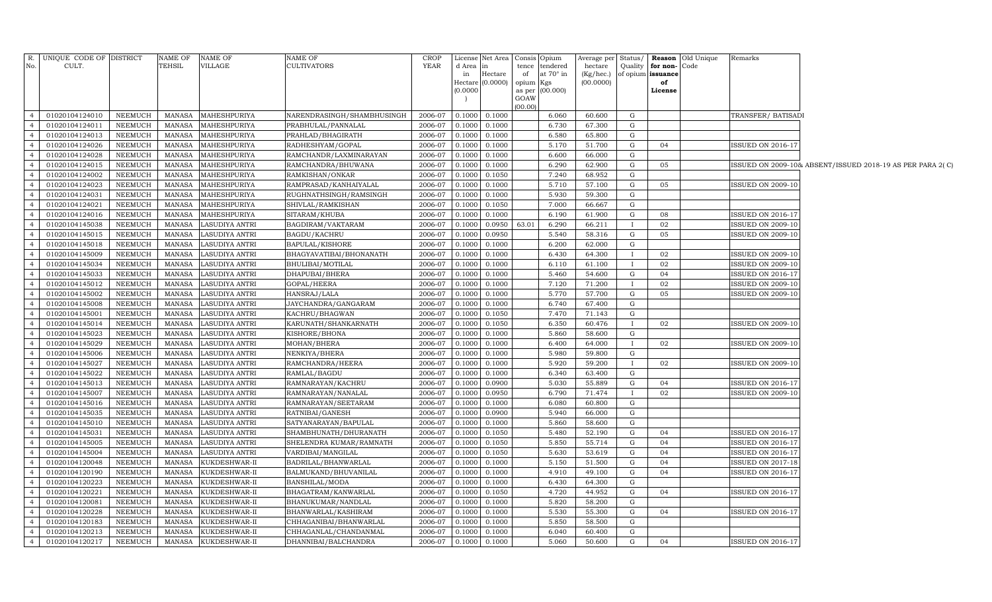|                                  | R. UNIQUE CODE OF DISTRICT       |                                  | NAME OF                        | NAME OF                          | NAME OF                                       | <b>CROP</b>        |                  | License Net Area            |                 | Consis Opium    | Average per Status/          |              |                | <b>Reason</b> Old Unique | Remarks                                              |                                                           |
|----------------------------------|----------------------------------|----------------------------------|--------------------------------|----------------------------------|-----------------------------------------------|--------------------|------------------|-----------------------------|-----------------|-----------------|------------------------------|--------------|----------------|--------------------------|------------------------------------------------------|-----------------------------------------------------------|
| No.                              | CULT.                            |                                  | TEHSIL                         | VILLAGE                          | <b>CULTIVATORS</b>                            | YEAR               | d Area           | in                          |                 | tence tendered  | hectare                      | Quality      | for non-Code   |                          |                                                      |                                                           |
|                                  |                                  |                                  |                                |                                  |                                               |                    | in               | Hectare<br>Hectare (0.0000) | of<br>opium Kgs | at 70° in       | $(Kg/$ hec. $)$<br>(00.0000) | of opium     | issuance<br>of |                          |                                                      |                                                           |
|                                  |                                  |                                  |                                |                                  |                                               |                    | (0.0000)         |                             |                 | as per (00.000) |                              |              | License        |                          |                                                      |                                                           |
|                                  |                                  |                                  |                                |                                  |                                               |                    |                  |                             | GOAW            |                 |                              |              |                |                          |                                                      |                                                           |
|                                  |                                  |                                  |                                |                                  |                                               |                    |                  |                             | (00.00)         |                 |                              |              |                |                          |                                                      |                                                           |
| 4                                | 01020104124010                   | <b>NEEMUCH</b>                   | MANASA                         | MAHESHPURIYA                     | NARENDRASINGH/SHAMBHUSINGH                    | 2006-07            | 0.1000           | 0.1000                      |                 | 6.060           | 60.600                       | G            |                |                          | TRANSFER/ BATISADI                                   |                                                           |
| 4                                | 01020104124011                   | NEEMUCH                          | MANASA                         | MAHESHPURIYA                     | PRABHULAL/PANNALAL                            | 2006-07            | 0.1000           | 0.1000                      |                 | 6.730           | 67.300                       | G            |                |                          |                                                      |                                                           |
| $\overline{4}$                   | 01020104124013                   | <b>NEEMUCH</b>                   | MANASA                         | MAHESHPURIYA                     | PRAHLAD/BHAGIRATH                             | 2006-07            | 0.1000           | 0.1000                      |                 | 6.580           | 65.800                       | G            |                |                          |                                                      |                                                           |
| 4<br>4                           | 01020104124026                   | <b>NEEMUCH</b>                   | MANASA                         | MAHESHPURIYA                     | RADHESHYAM/GOPAL                              | 2006-07            | 0.1000           | 0.1000                      |                 | 5.170           | 51.700                       | G<br>G       | 04             |                          | <b>ISSUED ON 2016-17</b>                             |                                                           |
| 4                                | 01020104124028<br>01020104124015 | <b>NEEMUCH</b><br><b>NEEMUCH</b> | MANASA<br>MANASA               | MAHESHPURIYA<br>MAHESHPURIYA     | RAMCHANDR/LAXMINARAYAN<br>RAMCHANDRA/BHUWANA  | 2006-07<br>2006-07 | 0.1000<br>0.1000 | 0.1000<br>0.1000            |                 | 6.600<br>6.290  | 66.000<br>62.900             | G            | 05             |                          |                                                      |                                                           |
| $\overline{4}$                   | 01020104124002                   | <b>NEEMUCH</b>                   | <b>MANASA</b>                  | MAHESHPURIYA                     | RAMKISHAN/ONKAR                               | 2006-07            | 0.1000           | 0.1050                      |                 | 7.240           | 68.952                       | G            |                |                          |                                                      | ISSUED ON 2009-10& ABSENT/ISSUED 2018-19 AS PER PARA 2(C) |
| $\overline{4}$                   | 01020104124023                   | <b>NEEMUCH</b>                   | MANASA                         | MAHESHPURIYA                     | RAMPRASAD/KANHAIYALAL                         | 2006-07            | 0.1000           | 0.1000                      |                 | 5.710           | 57.100                       | G            | 05             |                          | <b>ISSUED ON 2009-10</b>                             |                                                           |
| $\overline{4}$                   | 01020104124031                   | <b>NEEMUCH</b>                   | <b>MANASA</b>                  | MAHESHPURIYA                     | RUGHNATHSINGH/RAMSINGH                        | 2006-07            | 0.1000           | 0.1000                      |                 | 5.930           | 59.300                       | G            |                |                          |                                                      |                                                           |
| $\overline{4}$                   | 01020104124021                   | <b>NEEMUCH</b>                   | <b>MANASA</b>                  | MAHESHPURIYA                     | SHIVLAL/RAMKISHAN                             | 2006-07            | 0.1000           | 0.1050                      |                 | 7.000           | 66.667                       | G            |                |                          |                                                      |                                                           |
| $\overline{4}$                   | 01020104124016                   | <b>NEEMUCH</b>                   | <b>MANASA</b>                  | MAHESHPURIYA                     | SITARAM/KHUBA                                 | 2006-07            | 0.1000           | 0.1000                      |                 | 6.190           | 61.900                       | G            | 08             |                          | <b>ISSUED ON 2016-17</b>                             |                                                           |
| $\overline{4}$                   | 01020104145038                   | <b>NEEMUCH</b>                   | <b>MANASA</b>                  | LASUDIYA ANTRI                   | BAGDIRAM/VAKTARAM                             | 2006-07            | 0.1000           | 0.0950                      | 63.01           | 6.290           | 66.211                       | $\bf{I}$     | 02             |                          | ISSUED ON 2009-10                                    |                                                           |
| $\overline{4}$                   | 01020104145015                   | <b>NEEMUCH</b>                   | <b>MANASA</b>                  | LASUDIYA ANTRI                   | BAGDU/KACHRU                                  | 2006-07            | 0.1000           | 0.0950                      |                 | 5.540           | 58.316                       | G            | 05             |                          | <b>ISSUED ON 2009-10</b>                             |                                                           |
| $\overline{4}$                   | 01020104145018                   | <b>NEEMUCH</b>                   | <b>MANASA</b>                  | LASUDIYA ANTRI                   | <b>BAPULAL/KISHORE</b>                        | 2006-07            | 0.1000           | 0.1000                      |                 | 6.200           | 62.000                       | G            |                |                          |                                                      |                                                           |
| $\overline{4}$                   | 01020104145009                   | NEEMUCH                          | MANASA                         | LASUDIYA ANTRI                   | BHAGYAVATIBAI/BHONANATH                       | 2006-07            | 0.1000           | 0.1000                      |                 | 6.430           | 64.300                       | $\mathbf{I}$ | 02             |                          | <b>ISSUED ON 2009-10</b>                             |                                                           |
| $\overline{4}$                   | 01020104145034                   | <b>NEEMUCH</b>                   | <b>MANASA</b>                  | LASUDIYA ANTRI                   | BHULIBAI/MOTILAL                              | 2006-07            | 0.1000           | 0.1000                      |                 | 6.110           | 61.100                       |              | 02             |                          | <b>ISSUED ON 2009-10</b>                             |                                                           |
| $\overline{4}$                   | 01020104145033                   | <b>NEEMUCH</b>                   | <b>MANASA</b>                  | LASUDIYA ANTRI                   | DHAPUBAI/BHERA                                | 2006-07            | 0.1000           | 0.1000                      |                 | 5.460           | 54.600                       | G            | 04             |                          | <b>ISSUED ON 2016-17</b>                             |                                                           |
| $\overline{4}$                   | 01020104145012                   | <b>NEEMUCH</b>                   | <b>MANASA</b>                  | LASUDIYA ANTRI                   | GOPAL/HEERA                                   | 2006-07            | 0.1000           | 0.1000                      |                 | 7.120           | 71.200                       | $\mathbf{I}$ | 02             |                          | <b>ISSUED ON 2009-10</b>                             |                                                           |
| $\overline{4}$                   | 01020104145002                   | <b>NEEMUCH</b>                   | MANASA                         | LASUDIYA ANTRI                   | HANSRAJ/LALA                                  | 2006-07            | 0.1000           | 0.1000                      |                 | 5.770           | 57.700                       | G            | 05             |                          | <b>ISSUED ON 2009-10</b>                             |                                                           |
| $\overline{4}$                   | 01020104145008                   | <b>NEEMUCH</b>                   | <b>MANASA</b>                  | LASUDIYA ANTRI                   | JAYCHANDRA/GANGARAM                           | 2006-07            | 0.1000           | 0.1000                      |                 | 6.740           | 67.400                       | G            |                |                          |                                                      |                                                           |
| $\overline{4}$                   | 01020104145001                   | <b>NEEMUCH</b>                   | <b>MANASA</b>                  | LASUDIYA ANTRI                   | KACHRU/BHAGWAN                                | 2006-07            | 0.1000           | 0.1050                      |                 | 7.470           | 71.143                       | G            |                |                          |                                                      |                                                           |
| $\overline{4}$                   | 01020104145014                   | <b>NEEMUCH</b>                   | <b>MANASA</b>                  | LASUDIYA ANTRI                   | KARUNATH/SHANKARNATH                          | 2006-07            | 0.1000           | 0.1050                      |                 | 6.350           | 60.476                       | T            | 02             |                          | ISSUED ON 2009-10                                    |                                                           |
| $\overline{4}$                   | 01020104145023                   | <b>NEEMUCH</b>                   | <b>MANASA</b>                  | LASUDIYA ANTRI                   | KISHORE/BHONA                                 | 2006-07            | 0.1000           | 0.1000                      |                 | 5.860           | 58.600                       | G            |                |                          |                                                      |                                                           |
| $\overline{4}$                   | 01020104145029                   | <b>NEEMUCH</b>                   | <b>MANASA</b>                  | LASUDIYA ANTRI                   | MOHAN/BHERA                                   | 2006-07            | 0.1000           | 0.1000                      |                 | 6.400           | 64.000                       | $\mathbf{I}$ | 02             |                          | <b>ISSUED ON 2009-10</b>                             |                                                           |
| $\overline{4}$                   | 01020104145006                   | <b>NEEMUCH</b>                   | <b>MANASA</b>                  | LASUDIYA ANTRI                   | NENKIYA/BHERA                                 | 2006-07            | 0.1000           | 0.1000                      |                 | 5.980           | 59.800                       | G            |                |                          |                                                      |                                                           |
| $\overline{4}$                   | 01020104145027                   | <b>NEEMUCH</b>                   | <b>MANASA</b>                  | LASUDIYA ANTRI                   | RAMCHANDRA/HEERA                              | 2006-07            | 0.1000           | 0.1000                      |                 | 5.920           | 59.200                       | $\bf{I}$     | 02             |                          | <b>ISSUED ON 2009-10</b>                             |                                                           |
| $\overline{4}$                   | 01020104145022                   | <b>NEEMUCH</b>                   | <b>MANASA</b>                  | LASUDIYA ANTRI                   | RAMLAL/BAGDU                                  | 2006-07            | 0.1000           | 0.1000                      |                 | 6.340           | 63.400                       | G            |                |                          |                                                      |                                                           |
| $\overline{4}$                   | 01020104145013                   | <b>NEEMUCH</b>                   | <b>MANASA</b>                  | LASUDIYA ANTRI                   | RAMNARAYAN/KACHRU                             | 2006-07            | 0.1000           | 0.0900                      |                 | 5.030           | 55.889                       | G            | 04             |                          | <b>ISSUED ON 2016-17</b>                             |                                                           |
| $\overline{4}$                   | 01020104145007                   | <b>NEEMUCH</b>                   | <b>MANASA</b>                  | LASUDIYA ANTRI                   | RAMNARAYAN/NANALAL                            | 2006-07            | 0.1000           | 0.0950                      |                 | 6.790           | 71.474                       |              | 02             |                          | <b>ISSUED ON 2009-10</b>                             |                                                           |
| $\overline{4}$                   | 01020104145016                   | <b>NEEMUCH</b>                   | <b>MANASA</b>                  | LASUDIYA ANTRI                   | RAMNARAYAN/SEETARAM                           | 2006-07            | 0.1000           | 0.1000                      |                 | 6.080           | 60.800                       | G            |                |                          |                                                      |                                                           |
| $\overline{4}$<br>$\overline{4}$ | 01020104145035                   | <b>NEEMUCH</b>                   | <b>MANASA</b>                  | LASUDIYA ANTRI                   | RATNIBAI/GANESH                               | 2006-07            | 0.1000           | 0.0900                      |                 | 5.940           | 66.000                       | G            |                |                          |                                                      |                                                           |
| $\overline{4}$                   | 01020104145010<br>01020104145031 | <b>NEEMUCH</b><br><b>NEEMUCH</b> | <b>MANASA</b><br><b>MANASA</b> | LASUDIYA ANTRI<br>LASUDIYA ANTRI | SATYANARAYAN/BAPULAL<br>SHAMBHUNATH/DHURANATH | 2006-07<br>2006-07 | 0.1000<br>0.1000 | 0.1000                      |                 | 5.860<br>5.480  | 58.600<br>52.190             | G<br>G       | 04             |                          |                                                      |                                                           |
| $\overline{4}$                   | 01020104145005                   | <b>NEEMUCH</b>                   | <b>MANASA</b>                  | LASUDIYA ANTRI                   | SHELENDRA KUMAR/RAMNATH                       | 2006-07            | 0.1000           | 0.1050<br>0.1050            |                 | 5.850           | 55.714                       | G            | 04             |                          | <b>ISSUED ON 2016-17</b><br><b>ISSUED ON 2016-17</b> |                                                           |
| $\overline{4}$                   | 01020104145004                   | <b>NEEMUCH</b>                   | <b>MANASA</b>                  | LASUDIYA ANTRI                   | VARDIBAI/MANGILAL                             | 2006-07            | 0.1000           | 0.1050                      |                 | 5.630           | 53.619                       | G            | 04             |                          | <b>ISSUED ON 2016-17</b>                             |                                                           |
| $\overline{4}$                   | 01020104120048                   | <b>NEEMUCH</b>                   | <b>MANASA</b>                  | KUKDESHWAR-II                    | BADRILAL/BHANWARLAL                           | 2006-07            | 0.1000           | 0.1000                      |                 | 5.150           | 51.500                       | G            | 04             |                          | <b>ISSUED ON 2017-18</b>                             |                                                           |
| $\overline{4}$                   | 01020104120190                   | <b>NEEMUCH</b>                   | MANASA                         | KUKDESHWAR-II                    | BALMUKAND/BHUVANILAL                          | 2006-07            | 0.1000           | 0.1000                      |                 | 4.910           | 49.100                       | G            | 04             |                          | <b>ISSUED ON 2016-17</b>                             |                                                           |
| $\overline{4}$                   | 01020104120223                   | <b>NEEMUCH</b>                   | <b>MANASA</b>                  | KUKDESHWAR-II                    | BANSHILAL/MODA                                | 2006-07            | 0.1000           | 0.1000                      |                 | 6.430           | 64.300                       | G            |                |                          |                                                      |                                                           |
| $\overline{4}$                   | 01020104120221                   | <b>NEEMUCH</b>                   | <b>MANASA</b>                  | KUKDESHWAR-II                    | BHAGATRAM/KANWARLAL                           | 2006-07            | 0.1000           | 0.1050                      |                 | 4.720           | 44.952                       | G            | 04             |                          | <b>ISSUED ON 2016-17</b>                             |                                                           |
| $\overline{4}$                   | 01020104120081                   | <b>NEEMUCH</b>                   | <b>MANASA</b>                  | KUKDESHWAR-II                    | BHANUKUMAR/NANDLAL                            | 2006-07            | 0.1000           | 0.1000                      |                 | 5.820           | 58.200                       | G            |                |                          |                                                      |                                                           |
| $\overline{4}$                   | 01020104120228                   | <b>NEEMUCH</b>                   | MANASA                         | KUKDESHWAR-II                    | BHANWARLAL/KASHIRAM                           | 2006-07            | 0.1000           | 0.1000                      |                 | 5.530           | 55.300                       | G            | 04             |                          | <b>ISSUED ON 2016-17</b>                             |                                                           |
| $\overline{4}$                   | 01020104120183                   | <b>NEEMUCH</b>                   | <b>MANASA</b>                  | KUKDESHWAR-II                    | CHHAGANIBAI/BHANWARLAL                        | 2006-07            | 0.1000           | 0.1000                      |                 | 5.850           | 58.500                       | G            |                |                          |                                                      |                                                           |
| $\overline{4}$                   | 01020104120213                   | <b>NEEMUCH</b>                   | <b>MANASA</b>                  | KUKDESHWAR-II                    | CHHAGANLAL/CHANDANMAL                         | 2006-07            | 0.1000           | 0.1000                      |                 | 6.040           | 60.400                       | G            |                |                          |                                                      |                                                           |
| $\overline{4}$                   | 01020104120217                   | <b>NEEMUCH</b>                   | MANASA                         | KUKDESHWAR-II                    | DHANNIBAI/BALCHANDRA                          | 2006-07            | 0.1000           | 0.1000                      |                 | 5.060           | 50.600                       | G            | 04             |                          | <b>ISSUED ON 2016-17</b>                             |                                                           |
|                                  |                                  |                                  |                                |                                  |                                               |                    |                  |                             |                 |                 |                              |              |                |                          |                                                      |                                                           |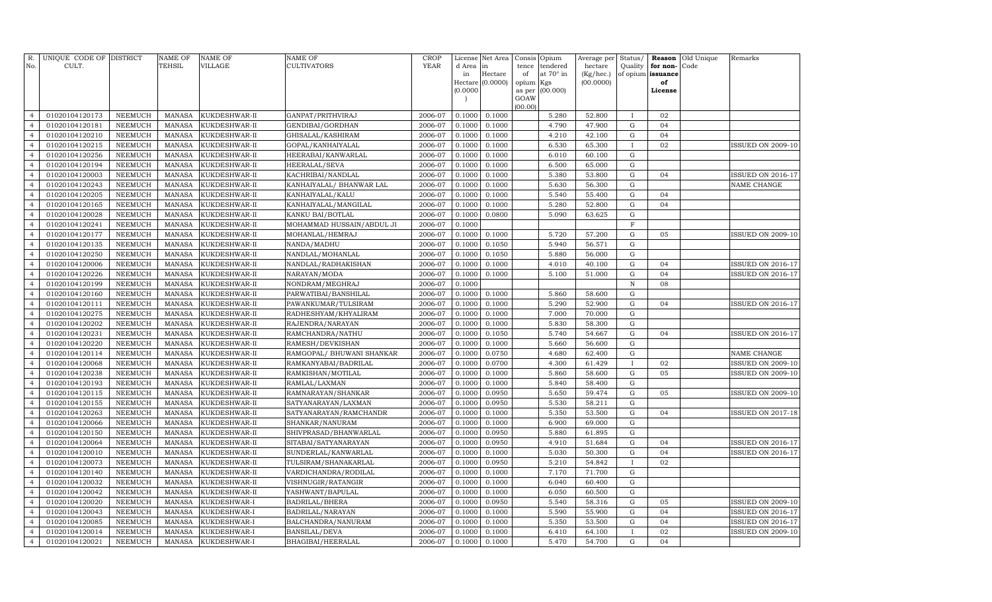| R.<br>No.      | UNIQUE CODE OF DISTRICT<br>CULT. |                | <b>NAME OF</b><br>TEHSIL | <b>NAME OF</b><br><b>VILLAGE</b> | <b>NAME OF</b><br><b>CULTIVATORS</b> | <b>CROP</b><br>YEAR | License<br>d Area | Net Area         | Consis          | Opium<br>tendered | Average per<br>hectare | Status/<br>Quality | Reason<br>for non- | Old Unique<br>Code | Remarks                  |
|----------------|----------------------------------|----------------|--------------------------|----------------------------------|--------------------------------------|---------------------|-------------------|------------------|-----------------|-------------------|------------------------|--------------------|--------------------|--------------------|--------------------------|
|                |                                  |                |                          |                                  |                                      |                     | in                | in<br>Hectare    | tence<br>of     | at 70° in         | (Kg/hec.)              |                    | of opium issuance  |                    |                          |
|                |                                  |                |                          |                                  |                                      |                     |                   | Hectare (0.0000) | opium Kgs       |                   | (00.0000)              |                    | of                 |                    |                          |
|                |                                  |                |                          |                                  |                                      |                     | (0.0000)          |                  | as per          | (00.000)          |                        |                    | License            |                    |                          |
|                |                                  |                |                          |                                  |                                      |                     |                   |                  | GOAW<br>(00.00) |                   |                        |                    |                    |                    |                          |
| $\overline{4}$ | 01020104120173                   | <b>NEEMUCH</b> | <b>MANASA</b>            | KUKDESHWAR-II                    | GANPAT/PRITHVIRAJ                    | 2006-07             | 0.1000            | 0.1000           |                 | 5.280             | 52.800                 | $\mathbf{I}$       | 02                 |                    |                          |
| $\overline{4}$ | 01020104120181                   | <b>NEEMUCH</b> | <b>MANASA</b>            | KUKDESHWAR-II                    | GENDIBAI/GORDHAN                     | 2006-07             | 0.1000            | 0.1000           |                 | 4.790             | 47.900                 | ${\rm G}$          | 04                 |                    |                          |
| $\overline{4}$ | 01020104120210                   | <b>NEEMUCH</b> | <b>MANASA</b>            | KUKDESHWAR-II                    | GHISALAL/KASHIRAM                    | 2006-07             | 0.1000            | 0.1000           |                 | 4.210             | 42.100                 | ${\bf G}$          | 04                 |                    |                          |
| $\overline{4}$ | 01020104120215                   | NEEMUCH        | <b>MANASA</b>            | KUKDESHWAR-II                    | GOPAL/KANHAIYALAL                    | 2006-07             | 0.1000            | 0.1000           |                 | 6.530             | 65.300                 | $\bf{I}$           | 02                 |                    | <b>ISSUED ON 2009-10</b> |
| $\overline{4}$ | 01020104120256                   | <b>NEEMUCH</b> | <b>MANASA</b>            | KUKDESHWAR-II                    | HEERABAI/KANWARLAL                   | 2006-07             | 0.1000            | 0.1000           |                 | 6.010             | 60.100                 | ${\rm G}$          |                    |                    |                          |
| $\overline{4}$ | 01020104120194                   | <b>NEEMUCH</b> | <b>MANASA</b>            | KUKDESHWAR-II                    | HEERALAL/SEVA                        | 2006-07             | 0.1000            | 0.1000           |                 | 6.500             | 65.000                 | ${\rm G}$          |                    |                    |                          |
| $\overline{4}$ | 01020104120003                   | <b>NEEMUCH</b> | <b>MANASA</b>            | KUKDESHWAR-II                    | KACHRIBAI/NANDLAL                    | 2006-07             | 0.1000            | 0.1000           |                 | 5.380             | 53.800                 | ${\rm G}$          | 04                 |                    | <b>ISSUED ON 2016-17</b> |
| $\overline{4}$ | 01020104120243                   | <b>NEEMUCH</b> | <b>MANASA</b>            | KUKDESHWAR-II                    | KANHAIYALAL/ BHANWAR LAL             | 2006-07             | 0.1000            | 0.1000           |                 | 5.630             | 56.300                 | ${\rm G}$          |                    |                    | NAME CHANGE              |
| $\overline{4}$ | 01020104120205                   | <b>NEEMUCH</b> | <b>MANASA</b>            | KUKDESHWAR-II                    | KANHAIYALAL/KALU                     | 2006-07             | 0.1000            | 0.1000           |                 | 5.540             | 55.400                 | ${\bf G}$          | 04                 |                    |                          |
| $\overline{4}$ | 01020104120165                   | <b>NEEMUCH</b> | <b>MANASA</b>            | KUKDESHWAR-II                    | KANHAIYALAL/MANGILAL                 | 2006-07             | 0.1000            | 0.1000           |                 | 5.280             | 52.800                 | ${\rm G}$          | 04                 |                    |                          |
| $\overline{4}$ | 01020104120028                   | <b>NEEMUCH</b> | <b>MANASA</b>            | KUKDESHWAR-II                    | KANKU BAI/BOTLAL                     | 2006-07             | 0.1000            | 0.0800           |                 | 5.090             | 63.625                 | ${\rm G}$          |                    |                    |                          |
| $\overline{4}$ | 01020104120241                   | <b>NEEMUCH</b> | <b>MANASA</b>            | KUKDESHWAR-II                    | MOHAMMAD HUSSAIN/ABDUL JI            | 2006-07             | 0.1000            |                  |                 |                   |                        | $\mathbf F$        |                    |                    |                          |
| $\overline{4}$ | 01020104120177                   | NEEMUCH        | <b>MANASA</b>            | KUKDESHWAR-II                    | MOHANLAL/HEMRAJ                      | 2006-07             | 0.1000            | 0.1000           |                 | 5.720             | 57.200                 | ${\bf G}$          | 05                 |                    | <b>ISSUED ON 2009-10</b> |
| $\overline{4}$ | 01020104120135                   | <b>NEEMUCH</b> | <b>MANASA</b>            | KUKDESHWAR-II                    | NANDA/MADHU                          | 2006-07             | 0.1000            | 0.1050           |                 | 5.940             | 56.571                 | ${\rm G}$          |                    |                    |                          |
| $\overline{4}$ | 01020104120250                   | <b>NEEMUCH</b> | <b>MANASA</b>            | KUKDESHWAR-II                    | NANDLAL/MOHANLAL                     | 2006-07             | 0.1000            | 0.1050           |                 | 5.880             | 56.000                 | ${\bf G}$          |                    |                    |                          |
| $\overline{4}$ | 01020104120006                   | <b>NEEMUCH</b> | <b>MANASA</b>            | KUKDESHWAR-II                    | NANDLAL/RADHAKISHAN                  | 2006-07             | 0.1000            | 0.1000           |                 | 4.010             | 40.100                 | ${\rm G}$          | 04                 |                    | ISSUED ON 2016-17        |
| $\overline{4}$ | 01020104120226                   | NEEMUCH        | <b>MANASA</b>            | KUKDESHWAR-II                    | NARAYAN/MODA                         | 2006-07             | 0.1000            | 0.1000           |                 | 5.100             | 51.000                 | ${\bf G}$          | 04                 |                    | <b>ISSUED ON 2016-17</b> |
| $\overline{4}$ | 01020104120199                   | NEEMUCH        | <b>MANASA</b>            | KUKDESHWAR-II                    | NONDRAM/MEGHRAJ                      | 2006-07             | 0.1000            |                  |                 |                   |                        | $\mathbb N$        | 08                 |                    |                          |
| $\overline{4}$ | 01020104120160                   | NEEMUCH        | <b>MANASA</b>            | KUKDESHWAR-II                    | PARWATIBAI/BANSHILAL                 | 2006-07             | 0.1000            | 0.1000           |                 | 5.860             | 58.600                 | ${\rm G}$          |                    |                    |                          |
| $\overline{4}$ | 01020104120111                   | <b>NEEMUCH</b> | <b>MANASA</b>            | KUKDESHWAR-II                    | PAWANKUMAR/TULSIRAM                  | 2006-07             | 0.1000            | 0.1000           |                 | 5.290             | 52.900                 | ${\rm G}$          | 04                 |                    | <b>ISSUED ON 2016-17</b> |
| $\overline{4}$ | 01020104120275                   | <b>NEEMUCH</b> | <b>MANASA</b>            | KUKDESHWAR-II                    | RADHESHYAM/KHYALIRAM                 | 2006-07             | 0.1000            | 0.1000           |                 | 7.000             | 70.000                 | $\mathbf G$        |                    |                    |                          |
| $\overline{4}$ | 01020104120202                   | NEEMUCH        | <b>MANASA</b>            | KUKDESHWAR-II                    | RAJENDRA/NARAYAN                     | 2006-07             | 0.1000            | 0.1000           |                 | 5.830             | 58.300                 | $\mathbf G$        |                    |                    |                          |
| $\overline{4}$ | 01020104120231                   | NEEMUCH        | <b>MANASA</b>            | KUKDESHWAR-II                    | RAMCHANDRA/NATHU                     | 2006-07             | 0.1000            | 0.1050           |                 | 5.740             | 54.667                 | $\mathbf G$        | 04                 |                    | <b>ISSUED ON 2016-17</b> |
| $\overline{4}$ | 01020104120220                   | <b>NEEMUCH</b> | <b>MANASA</b>            | KUKDESHWAR-II                    | RAMESH/DEVKISHAN                     | 2006-07             | 0.1000            | 0.1000           |                 | 5.660             | 56.600                 | $\mathbf G$        |                    |                    |                          |
| $\overline{4}$ | 01020104120114                   | <b>NEEMUCH</b> | <b>MANASA</b>            | KUKDESHWAR-II                    | RAMGOPAL/ BHUWANI SHANKAR            | 2006-07             | 0.1000            | 0.0750           |                 | 4.680             | 62.400                 | ${\bf G}$          |                    |                    | NAME CHANGE              |
| $\overline{4}$ | 01020104120068                   | <b>NEEMUCH</b> | <b>MANASA</b>            | KUKDESHWAR-II                    | RAMKANYABAI/BADRILAL                 | 2006-07             | 0.1000            | 0.0700           |                 | 4.300             | 61.429                 |                    | 02                 |                    | <b>ISSUED ON 2009-10</b> |
| $\overline{4}$ | 01020104120238                   | <b>NEEMUCH</b> | <b>MANASA</b>            | KUKDESHWAR-II                    | RAMKISHAN/MOTILAL                    | 2006-07             | 0.1000            | 0.1000           |                 | 5.860             | 58.600                 | $\mathbf G$        | 05                 |                    | <b>ISSUED ON 2009-10</b> |
| $\overline{4}$ | 01020104120193                   | <b>NEEMUCH</b> | <b>MANASA</b>            | KUKDESHWAR-II                    | RAMLAL/LAXMAN                        | 2006-07             | 0.1000            | 0.1000           |                 | 5.840             | 58.400                 | $\mathbf G$        |                    |                    |                          |
| $\overline{4}$ | 01020104120115                   | <b>NEEMUCH</b> | <b>MANASA</b>            | KUKDESHWAR-II                    | RAMNARAYAN/SHANKAR                   | 2006-07             | 0.1000            | 0.0950           |                 | 5.650             | 59.474                 | $\mathbf G$        | 05                 |                    | <b>ISSUED ON 2009-10</b> |
| $\overline{4}$ | 01020104120155                   | <b>NEEMUCH</b> | <b>MANASA</b>            | KUKDESHWAR-II                    | SATYANARAYAN/LAXMAN                  | 2006-07             | 0.1000            | 0.0950           |                 | 5.530             | 58.211                 | $\mathbf G$        |                    |                    |                          |
| $\overline{4}$ | 01020104120263                   | <b>NEEMUCH</b> | <b>MANASA</b>            | KUKDESHWAR-II                    | SATYANARAYAN/RAMCHANDR               | 2006-07             | 0.1000            | 0.1000           |                 | 5.350             | 53.500                 | $\mathbf G$        | 04                 |                    | <b>ISSUED ON 2017-18</b> |
| $\overline{4}$ | 01020104120066                   | <b>NEEMUCH</b> | <b>MANASA</b>            | KUKDESHWAR-II                    | SHANKAR/NANURAM                      | 2006-07             | 0.1000            | 0.1000           |                 | 6.900             | 69.000                 | $\mathbf G$        |                    |                    |                          |
| $\overline{4}$ | 01020104120150                   | <b>NEEMUCH</b> | <b>MANASA</b>            | KUKDESHWAR-II                    | SHIVPRASAD/BHANWARLAL                | 2006-07             | 0.1000            | 0.0950           |                 | 5.880             | 61.895                 | $\mathbf G$        |                    |                    |                          |
| $\overline{4}$ | 01020104120064                   | <b>NEEMUCH</b> | <b>MANASA</b>            | KUKDESHWAR-II                    | SITABAI/SATYANARAYAN                 | 2006-07             | 0.1000            | 0.0950           |                 | 4.910             | 51.684                 | $\mathbf G$        | 04                 |                    | <b>ISSUED ON 2016-17</b> |
| $\overline{4}$ | 01020104120010                   | <b>NEEMUCH</b> | <b>MANASA</b>            | KUKDESHWAR-II                    | SUNDERLAL/KANWARLAL                  | 2006-07             | 0.1000            | 0.1000           |                 | 5.030             | 50.300                 | $\mathbf G$        | 04                 |                    | <b>ISSUED ON 2016-17</b> |
| $\overline{4}$ | 01020104120073                   | <b>NEEMUCH</b> | <b>MANASA</b>            | KUKDESHWAR-II                    | TULSIRAM/SHANAKARLAL                 | 2006-07             | 0.1000            | 0.0950           |                 | 5.210             | 54.842                 |                    | 02                 |                    |                          |
| $\overline{4}$ | 01020104120140                   | <b>NEEMUCH</b> | <b>MANASA</b>            | KUKDESHWAR-II                    | VARDICHANDRA/RODILAL                 | 2006-07             | 0.1000            | 0.1000           |                 | 7.170             | 71.700                 | $\mathbf G$        |                    |                    |                          |
| $\overline{4}$ | 01020104120032                   | <b>NEEMUCH</b> | <b>MANASA</b>            | KUKDESHWAR-II                    | VISHNUGIR/RATANGIR                   | 2006-07             | 0.1000            | 0.1000           |                 | 6.040             | 60.400                 | ${\rm G}$          |                    |                    |                          |
| $\overline{4}$ | 01020104120042                   | <b>NEEMUCH</b> | <b>MANASA</b>            | KUKDESHWAR-II                    | YASHWANT/BAPULAL                     | 2006-07             | 0.1000            | 0.1000           |                 | 6.050             | 60.500                 | $\mathbf G$        |                    |                    |                          |
| $\overline{4}$ | 01020104120020                   | <b>NEEMUCH</b> | <b>MANASA</b>            | KUKDESHWAR-I                     | BADRILAL/BHERA                       | 2006-07             | 0.1000            | 0.0950           |                 | 5.540             | 58.316                 | $\mathbf G$        | 05                 |                    | <b>ISSUED ON 2009-10</b> |
| $\overline{4}$ | 01020104120043                   | NEEMUCH        | <b>MANASA</b>            | KUKDESHWAR-I                     | BADRILAL/NARAYAN                     | 2006-07             | 0.1000            | 0.1000           |                 | 5.590             | 55.900                 | $\mathbf G$        | 04                 |                    | <b>ISSUED ON 2016-17</b> |
| $\overline{4}$ | 01020104120085                   | <b>NEEMUCH</b> | <b>MANASA</b>            | KUKDESHWAR-I                     | BALCHANDRA/NANURAM                   | 2006-07             | 0.1000            | 0.1000           |                 | 5.350             | 53.500                 | $\mathbf G$        | 04                 |                    | <b>ISSUED ON 2016-17</b> |
| $\overline{4}$ | 01020104120014                   | <b>NEEMUCH</b> | <b>MANASA</b>            | KUKDESHWAR-I                     | <b>BANSILAL/DEVA</b>                 | 2006-07             | 0.1000            | 0.1000           |                 | 6.410             | 64.100                 |                    | 02                 |                    | <b>ISSUED ON 2009-10</b> |
| $\overline{4}$ | 01020104120021                   | <b>NEEMUCH</b> | <b>MANASA</b>            | KUKDESHWAR-I                     | BHAGIBAI/HEERALAL                    | 2006-07             | 0.1000            | 0.1000           |                 | 5.470             | 54.700                 | $\mathbf G$        | 04                 |                    |                          |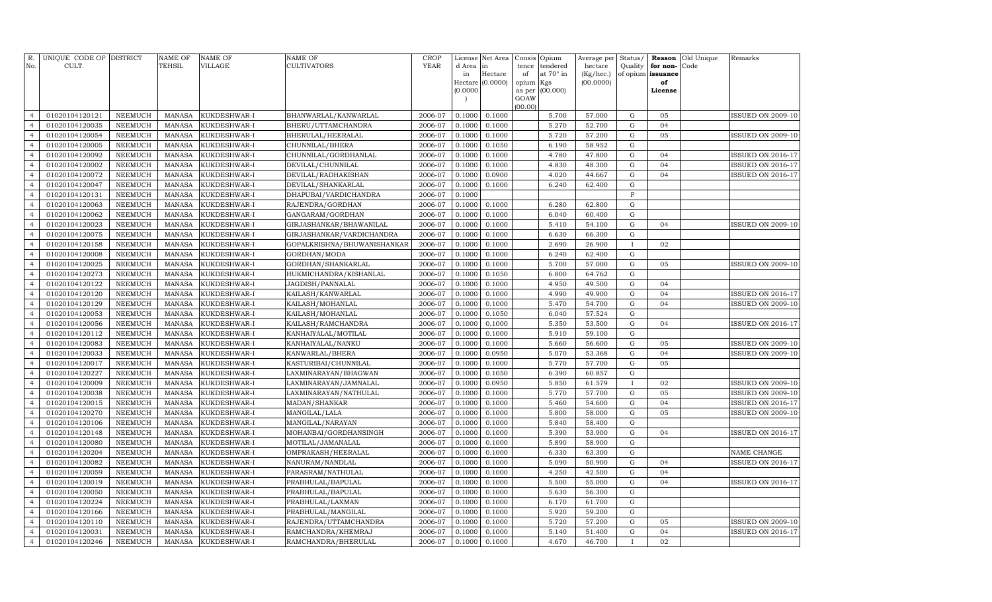| Hectare<br>at 70° in<br>of opium issuance<br>in<br>of<br>(Kg/hec.)<br>Hectare (0.0000)<br>(00.0000)<br>opium Kgs<br>of<br>(0.0000)<br>(00.000)<br>as per<br>License<br>GOAW<br>(00.00)<br>2006-07<br>0.1000<br>01020104120121<br><b>NEEMUCH</b><br><b>MANASA</b><br>KUKDESHWAR-I<br>BHANWARLAL/KANWARLAL<br>0.1000<br>5.700<br>57.000<br>G<br>05<br>$\overline{4}$<br>0.1000<br>5.270<br>52.700<br>01020104120035<br><b>NEEMUCH</b><br><b>MANASA</b><br>KUKDESHWAR-I<br>BHERU/UTTAMCHANDRA<br>2006-07<br>0.1000<br>G<br>04<br>$\overline{4}$<br>5.720<br>${\bf G}$<br>05<br>01020104120054<br><b>NEEMUCH</b><br><b>MANASA</b><br>KUKDESHWAR-I<br>BHERULAL/HEERALAL<br>2006-07<br>0.1000<br>0.1000<br>57.200<br>$\overline{4}$<br>01020104120005<br><b>NEEMUCH</b><br>MANASA<br>CHUNNILAL/BHERA<br>2006-07<br>0.1000<br>0.1050<br>6.190<br>58.952<br>${\rm G}$<br>$\overline{4}$<br>KUKDESHWAR-I<br>2006-07<br>4.780<br>${\bf G}$<br>01020104120092<br><b>NEEMUCH</b><br><b>MANASA</b><br>KUKDESHWAR-I<br>CHUNNILAL/GORDHANLAL<br>0.1000<br>0.1000<br>47.800<br>04<br>$\overline{4}$<br>01020104120002<br><b>NEEMUCH</b><br><b>MANASA</b><br>DEVILAL/CHUNNILAL<br>2006-07<br>0.1000<br>0.1000<br>4.830<br>48.300<br>${\rm G}$<br>04<br>$\overline{4}$<br>KUKDESHWAR-I<br>01020104120072<br><b>NEEMUCH</b><br><b>MANASA</b><br>KUKDESHWAR-I<br>DEVILAL/RADHAKISHAN<br>2006-07<br>0.1000<br>0.0900<br>4.020<br>44.667<br>${\rm G}$<br>04<br>$\overline{4}$<br>01020104120047<br><b>NEEMUCH</b><br><b>MANASA</b><br>2006-07<br>0.1000<br>0.1000<br>6.240<br>62.400<br>${\rm G}$<br>$\overline{4}$<br>KUKDESHWAR-I<br>DEVILAL/SHANKARLAL<br>01020104120131<br><b>NEEMUCH</b><br><b>MANASA</b><br>DHAPUBAI/VARDICHANDRA<br>2006-07<br>0.1000<br>$\mathbf F$<br>KUKDESHWAR-I<br>$\overline{4}$<br>01020104120063<br><b>NEEMUCH</b><br><b>MANASA</b><br>2006-07<br>0.1000<br>0.1000<br>6.280<br>62.800<br>${\rm G}$<br>$\overline{4}$<br>KUKDESHWAR-I<br>RAJENDRA/GORDHAN<br>01020104120062<br>NEEMUCH<br><b>MANASA</b><br>2006-07<br>0.1000<br>0.1000<br>6.040<br>60.400<br>${\rm G}$<br>KUKDESHWAR-I<br>GANGARAM/GORDHAN<br>$\overline{4}$<br><b>NEEMUCH</b><br>2006-07<br>0.1000<br>5.410<br>$\mathbf G$<br>01020104120023<br><b>MANASA</b><br>KUKDESHWAR-I<br>GIRJASHANKAR/BHAWANILAL<br>0.1000<br>54.100<br>04<br>$\overline{4}$<br>${\bf G}$<br>01020104120075<br><b>MANASA</b><br>2006-07<br>0.1000<br>0.1000<br>6.630<br>66.300<br>NEEMUCH<br>KUKDESHWAR-I<br>GIRJASHANKAR/VARDICHANDRA<br>$\overline{4}$<br>01020104120158<br>2006-07<br>0.1000<br>2.690<br><b>NEEMUCH</b><br><b>MANASA</b><br>KUKDESHWAR-I<br>GOPALKRISHNA/BHUWANISHANKAR<br>0.1000<br>26.900<br>02<br>$\overline{4}$<br>$\bf{I}$<br>6.240<br>$\mathbf G$<br><b>MANASA</b><br>2006-07<br>0.1000<br>62.400<br>01020104120008<br>NEEMUCH<br>KUKDESHWAR-I<br>GORDHAN/MODA<br>0.1000<br>$\overline{4}$<br>2006-07<br>0.1000<br>5.700<br>${\rm G}$<br>01020104120025<br><b>NEEMUCH</b><br><b>MANASA</b><br>KUKDESHWAR-I<br>GORDHAN/SHANKARLAL<br>0.1000<br>57.000<br>05<br>$\overline{4}$<br><b>MANASA</b><br>2006-07<br>0.1050<br>6.800<br>64.762<br>$\mathbf G$<br>01020104120273<br><b>NEEMUCH</b><br>KUKDESHWAR-I<br>HUKMICHANDRA/KISHANLAL<br>0.1000<br>$\overline{4}$<br>01020104120122<br><b>NEEMUCH</b><br><b>MANASA</b><br>2006-07<br>0.1000<br>0.1000<br>4.950<br>49.500<br>${\rm G}$<br>$\overline{4}$<br>KUKDESHWAR-I<br>JAGDISH/PANNALAL<br>04<br>${\bf G}$<br>01020104120120<br><b>NEEMUCH</b><br><b>MANASA</b><br>KUKDESHWAR-I<br>KAILASH/KANWARLAL<br>2006-07<br>0.1000<br>0.1000<br>4.990<br>49.900<br>04<br>$\overline{4}$<br>${\bf G}$<br>01020104120129<br><b>NEEMUCH</b><br><b>MANASA</b><br>KAILASH/MOHANLAL<br>2006-07<br>0.1000<br>0.1000<br>5.470<br>54.700<br>04<br>$\overline{4}$<br>KUKDESHWAR-I<br>${\bf G}$<br>01020104120053<br><b>NEEMUCH</b><br><b>MANASA</b><br>2006-07<br>0.1000<br>0.1050<br>6.040<br>57.524<br>KUKDESHWAR-I<br>KAILASH/MOHANLAL<br>$\overline{4}$<br>01020104120056<br>NEEMUCH<br><b>MANASA</b><br>2006-07<br>0.1000<br>0.1000<br>5.350<br>53.500<br>${\rm G}$<br>KUKDESHWAR-I<br>KAILASH/RAMCHANDRA<br>04<br>$\overline{4}$<br>5.910<br>59.100<br>${\bf G}$<br>01020104120112<br><b>NEEMUCH</b><br><b>MANASA</b><br>2006-07<br>0.1000<br>0.1000<br>KUKDESHWAR-I<br>KANHAIYALAL/MOTILAL<br>$\overline{4}$<br><b>NEEMUCH</b><br><b>MANASA</b><br>2006-07<br>0.1000<br>0.1000<br>5.660<br>56.600<br>${\rm G}$<br>01020104120083<br>KUKDESHWAR-I<br>KANHAIYALAL/NANKU<br>05<br>$\overline{4}$<br>5.070<br>${\bf G}$<br>04<br>01020104120033<br>NEEMUCH<br><b>MANASA</b><br>KANWARLAL/BHERA<br>2006-07<br>0.1000<br>0.0950<br>53.368<br>KUKDESHWAR-I<br><b>ISSUED ON 2009-10</b><br>$\overline{4}$<br>5.770<br>05<br>2006-07<br>0.1000<br>57.700<br>${\bf G}$<br>01020104120017<br>NEEMUCH<br><b>MANASA</b><br>KUKDESHWAR-I<br>KASTURIBAI/CHUNNILAL<br>0.1000<br>$\overline{4}$<br>${\bf G}$<br>6.390<br>60.857<br>$\overline{4}$<br>01020104120227<br>NEEMUCH<br><b>MANASA</b><br>KUKDESHWAR-I<br>LAXMINARAYAN/BHAGWAN<br>2006-07<br>0.1000<br>0.1050<br>5.850<br>61.579<br>$\overline{4}$<br>01020104120009<br><b>NEEMUCH</b><br><b>MANASA</b><br>KUKDESHWAR-I<br>LAXMINARAYAN/JAMNALAL<br>2006-07<br>0.1000<br>0.0950<br>02<br><b>ISSUED ON 2009-10</b><br>$\mathbf{I}$<br>5.770<br>$\mathbf G$<br>05<br>01020104120038<br>NEEMUCH<br><b>MANASA</b><br>KUKDESHWAR-I<br>LAXMINARAYAN/NATHULAL<br>2006-07<br>0.1000<br>0.1000<br>57.700<br><b>ISSUED ON 2009-10</b><br>$\overline{4}$<br>$\mathbf G$<br>04<br>01020104120015<br><b>NEEMUCH</b><br><b>MANASA</b><br>MADAN/SHANKAR<br>2006-07<br>0.1000<br>0.1000<br>5.460<br>54.600<br><b>ISSUED ON 2016-17</b><br>$\overline{4}$<br>KUKDESHWAR-I<br>5.800<br>$\mathbf G$<br>05<br>01020104120270<br><b>NEEMUCH</b><br><b>MANASA</b><br>KUKDESHWAR-I<br>2006-07<br>0.1000<br>0.1000<br>58.000<br><b>ISSUED ON 2009-10</b><br>$\overline{4}$<br>MANGILAL/LALA<br>$\mathbf G$<br>01020104120106<br><b>NEEMUCH</b><br><b>MANASA</b><br>2006-07<br>0.1000<br>0.1000<br>5.840<br>58.400<br>KUKDESHWAR-I<br>MANGILAL/NARAYAN<br>$\overline{4}$<br>$\mathbf G$<br>01020104120148<br><b>NEEMUCH</b><br><b>MANASA</b><br>MOHANBAI/GORDHANSINGH<br>2006-07<br>0.1000<br>0.1000<br>5.390<br>53.900<br>04<br><b>ISSUED ON 2016-17</b><br>$\overline{4}$<br>KUKDESHWAR-I<br>$\mathbf G$<br>01020104120080<br><b>NEEMUCH</b><br><b>MANASA</b><br>MOTILAL/JAMANALAL<br>2006-07<br>0.1000<br>0.1000<br>5.890<br>58.900<br>$\overline{4}$<br>KUKDESHWAR-I<br>6.330<br>$\mathbf G$<br>01020104120204<br><b>NEEMUCH</b><br><b>MANASA</b><br>KUKDESHWAR-I<br>OMPRAKASH/HEERALAL<br>2006-07<br>0.1000<br>0.1000<br>63.300<br>NAME CHANGE<br>$\overline{4}$<br>$\mathbf G$<br>01020104120082<br><b>NEEMUCH</b><br><b>MANASA</b><br>2006-07<br>0.1000<br>0.1000<br>5.090<br>50.900<br>04<br><b>ISSUED ON 2016-17</b><br>$\overline{4}$<br>KUKDESHWAR-I<br>NANURAM/NANDLAL<br>4.250<br>$\mathbf G$<br>01020104120059<br><b>NEEMUCH</b><br><b>MANASA</b><br>2006-07<br>0.1000<br>0.1000<br>42.500<br>04<br>$\overline{4}$<br>KUKDESHWAR-I<br>PARASRAM/NATHULAL<br>$\mathbf G$<br>2006-07<br>0.1000<br>0.1000<br>5.500<br>04<br>$\overline{4}$<br>01020104120019<br><b>NEEMUCH</b><br><b>MANASA</b><br>KUKDESHWAR-I<br>PRABHULAL/BAPULAL<br>55.000<br>ISSUED ON 2016-17<br>$\mathbf G$<br>01020104120050<br><b>NEEMUCH</b><br><b>MANASA</b><br>2006-07<br>0.1000<br>0.1000<br>5.630<br>56.300<br>KUKDESHWAR-I<br>PRABHULAL/BAPULAL<br>$\overline{4}$<br><b>NEEMUCH</b><br><b>MANASA</b><br>2006-07<br>0.1000<br>6.170<br>61.700<br>$\mathbf G$<br>01020104120224<br>KUKDESHWAR-I<br>PRABHULAL/LAXMAN<br>0.1000<br>$\overline{4}$<br>01020104120166<br><b>MANASA</b><br>2006-07<br>0.1000<br>0.1000<br>5.920<br>59.200<br>G<br>$\overline{4}$<br><b>NEEMUCH</b><br>KUKDESHWAR-I<br>PRABHULAL/MANGILAL<br>0.1000<br>5.720<br>57.200<br>${\bf G}$<br>01020104120110<br><b>NEEMUCH</b><br><b>MANASA</b><br>KUKDESHWAR-I<br>RAJENDRA/UTTAMCHANDRA<br>2006-07<br>0.1000<br>05<br>$\overline{4}$<br><b>MANASA</b><br>2006-07<br>0.1000<br>5.140<br>G<br>04<br>$\overline{4}$<br>01020104120031<br><b>NEEMUCH</b><br>KUKDESHWAR-I<br>RAMCHANDRA/KHEMRAJ<br>0.1000<br>51.400 | No.            | R. UNIQUE CODE OF DISTRICT<br>CULT. |                | <b>NAME OF</b><br>TEHSIL | NAME OF<br>VILLAGE | <b>NAME OF</b><br><b>CULTIVATORS</b> | <b>CROP</b><br>YEAR | License | Net Area | Consis Opium | tendered | Average per | Status/ | Reason   | Old Unique<br>Code | Remarks                  |
|---------------------------------------------------------------------------------------------------------------------------------------------------------------------------------------------------------------------------------------------------------------------------------------------------------------------------------------------------------------------------------------------------------------------------------------------------------------------------------------------------------------------------------------------------------------------------------------------------------------------------------------------------------------------------------------------------------------------------------------------------------------------------------------------------------------------------------------------------------------------------------------------------------------------------------------------------------------------------------------------------------------------------------------------------------------------------------------------------------------------------------------------------------------------------------------------------------------------------------------------------------------------------------------------------------------------------------------------------------------------------------------------------------------------------------------------------------------------------------------------------------------------------------------------------------------------------------------------------------------------------------------------------------------------------------------------------------------------------------------------------------------------------------------------------------------------------------------------------------------------------------------------------------------------------------------------------------------------------------------------------------------------------------------------------------------------------------------------------------------------------------------------------------------------------------------------------------------------------------------------------------------------------------------------------------------------------------------------------------------------------------------------------------------------------------------------------------------------------------------------------------------------------------------------------------------------------------------------------------------------------------------------------------------------------------------------------------------------------------------------------------------------------------------------------------------------------------------------------------------------------------------------------------------------------------------------------------------------------------------------------------------------------------------------------------------------------------------------------------------------------------------------------------------------------------------------------------------------------------------------------------------------------------------------------------------------------------------------------------------------------------------------------------------------------------------------------------------------------------------------------------------------------------------------------------------------------------------------------------------------------------------------------------------------------------------------------------------------------------------------------------------------------------------------------------------------------------------------------------------------------------------------------------------------------------------------------------------------------------------------------------------------------------------------------------------------------------------------------------------------------------------------------------------------------------------------------------------------------------------------------------------------------------------------------------------------------------------------------------------------------------------------------------------------------------------------------------------------------------------------------------------------------------------------------------------------------------------------------------------------------------------------------------------------------------------------------------------------------------------------------------------------------------------------------------------------------------------------------------------------------------------------------------------------------------------------------------------------------------------------------------------------------------------------------------------------------------------------------------------------------------------------------------------------------------------------------------------------------------------------------------------------------------------------------------------------------------------------------------------------------------------------------------------------------------------------------------------------------------------------------------------------------------------------------------------------------------------------------------------------------------------------------------------------------------------------------------------------------------------------------------------------------------------------------------------------------------------------------------------------------------------------------------------------------------------------------------------------------------------------------------------------------------------------------------------------------------------------------------------------------------------------------------------------------------------------------------------------------------------------------------------------------------------------------------------------------------------------------------------------------------------------------------------------------------------------------------------------------------------------------------------------------------------------------------------------------------------------------------------------------------------------------------------------------------------------------------------------------------------------------------------------------------------------------------------------------------------------------------------------------------------------------------------------------------------------------------------------------------------------------------------------------------------------------------------------------------------------------------------------------------------------------------------------------------------------------------------------------------------------------------------------------------------------------------------------------------------------------------------------------------------------------------------------------------------------------------------------------------------------------------------------------------------------------------------------------------------------------------------------------------------------------------------------------------------------------------------------------------------------------------------------------------------------------------------------------------------------------------------------------------------------------------------------------------------------------------------------------------------------------------------------------------------------------------------------------------------------------------------------------------------------------------------------------------------------------------|----------------|-------------------------------------|----------------|--------------------------|--------------------|--------------------------------------|---------------------|---------|----------|--------------|----------|-------------|---------|----------|--------------------|--------------------------|
|                                                                                                                                                                                                                                                                                                                                                                                                                                                                                                                                                                                                                                                                                                                                                                                                                                                                                                                                                                                                                                                                                                                                                                                                                                                                                                                                                                                                                                                                                                                                                                                                                                                                                                                                                                                                                                                                                                                                                                                                                                                                                                                                                                                                                                                                                                                                                                                                                                                                                                                                                                                                                                                                                                                                                                                                                                                                                                                                                                                                                                                                                                                                                                                                                                                                                                                                                                                                                                                                                                                                                                                                                                                                                                                                                                                                                                                                                                                                                                                                                                                                                                                                                                                                                                                                                                                                                                                                                                                                                                                                                                                                                                                                                                                                                                                                                                                                                                                                                                                                                                                                                                                                                                                                                                                                                                                                                                                                                                                                                                                                                                                                                                                                                                                                                                                                                                                                                                                                                                                                                                                                                                                                                                                                                                                                                                                                                                                                                                                                                                                                                                                                                                                                                                                                                                                                                                                                                                                                                                                                                                                                                                                                                                                                                                                                                                                                                                                                                                                                                                                                                                                                                                                                                                                                                                                                                                                                                                                                                                                                                                                                                                                                                                                                         |                |                                     |                |                          |                    |                                      |                     | d Area  | in       | tence        |          | hectare     | Quality | for non- |                    |                          |
|                                                                                                                                                                                                                                                                                                                                                                                                                                                                                                                                                                                                                                                                                                                                                                                                                                                                                                                                                                                                                                                                                                                                                                                                                                                                                                                                                                                                                                                                                                                                                                                                                                                                                                                                                                                                                                                                                                                                                                                                                                                                                                                                                                                                                                                                                                                                                                                                                                                                                                                                                                                                                                                                                                                                                                                                                                                                                                                                                                                                                                                                                                                                                                                                                                                                                                                                                                                                                                                                                                                                                                                                                                                                                                                                                                                                                                                                                                                                                                                                                                                                                                                                                                                                                                                                                                                                                                                                                                                                                                                                                                                                                                                                                                                                                                                                                                                                                                                                                                                                                                                                                                                                                                                                                                                                                                                                                                                                                                                                                                                                                                                                                                                                                                                                                                                                                                                                                                                                                                                                                                                                                                                                                                                                                                                                                                                                                                                                                                                                                                                                                                                                                                                                                                                                                                                                                                                                                                                                                                                                                                                                                                                                                                                                                                                                                                                                                                                                                                                                                                                                                                                                                                                                                                                                                                                                                                                                                                                                                                                                                                                                                                                                                                                                         |                |                                     |                |                          |                    |                                      |                     |         |          |              |          |             |         |          |                    |                          |
|                                                                                                                                                                                                                                                                                                                                                                                                                                                                                                                                                                                                                                                                                                                                                                                                                                                                                                                                                                                                                                                                                                                                                                                                                                                                                                                                                                                                                                                                                                                                                                                                                                                                                                                                                                                                                                                                                                                                                                                                                                                                                                                                                                                                                                                                                                                                                                                                                                                                                                                                                                                                                                                                                                                                                                                                                                                                                                                                                                                                                                                                                                                                                                                                                                                                                                                                                                                                                                                                                                                                                                                                                                                                                                                                                                                                                                                                                                                                                                                                                                                                                                                                                                                                                                                                                                                                                                                                                                                                                                                                                                                                                                                                                                                                                                                                                                                                                                                                                                                                                                                                                                                                                                                                                                                                                                                                                                                                                                                                                                                                                                                                                                                                                                                                                                                                                                                                                                                                                                                                                                                                                                                                                                                                                                                                                                                                                                                                                                                                                                                                                                                                                                                                                                                                                                                                                                                                                                                                                                                                                                                                                                                                                                                                                                                                                                                                                                                                                                                                                                                                                                                                                                                                                                                                                                                                                                                                                                                                                                                                                                                                                                                                                                                                         |                |                                     |                |                          |                    |                                      |                     |         |          |              |          |             |         |          |                    |                          |
|                                                                                                                                                                                                                                                                                                                                                                                                                                                                                                                                                                                                                                                                                                                                                                                                                                                                                                                                                                                                                                                                                                                                                                                                                                                                                                                                                                                                                                                                                                                                                                                                                                                                                                                                                                                                                                                                                                                                                                                                                                                                                                                                                                                                                                                                                                                                                                                                                                                                                                                                                                                                                                                                                                                                                                                                                                                                                                                                                                                                                                                                                                                                                                                                                                                                                                                                                                                                                                                                                                                                                                                                                                                                                                                                                                                                                                                                                                                                                                                                                                                                                                                                                                                                                                                                                                                                                                                                                                                                                                                                                                                                                                                                                                                                                                                                                                                                                                                                                                                                                                                                                                                                                                                                                                                                                                                                                                                                                                                                                                                                                                                                                                                                                                                                                                                                                                                                                                                                                                                                                                                                                                                                                                                                                                                                                                                                                                                                                                                                                                                                                                                                                                                                                                                                                                                                                                                                                                                                                                                                                                                                                                                                                                                                                                                                                                                                                                                                                                                                                                                                                                                                                                                                                                                                                                                                                                                                                                                                                                                                                                                                                                                                                                                                         |                |                                     |                |                          |                    |                                      |                     |         |          |              |          |             |         |          |                    |                          |
|                                                                                                                                                                                                                                                                                                                                                                                                                                                                                                                                                                                                                                                                                                                                                                                                                                                                                                                                                                                                                                                                                                                                                                                                                                                                                                                                                                                                                                                                                                                                                                                                                                                                                                                                                                                                                                                                                                                                                                                                                                                                                                                                                                                                                                                                                                                                                                                                                                                                                                                                                                                                                                                                                                                                                                                                                                                                                                                                                                                                                                                                                                                                                                                                                                                                                                                                                                                                                                                                                                                                                                                                                                                                                                                                                                                                                                                                                                                                                                                                                                                                                                                                                                                                                                                                                                                                                                                                                                                                                                                                                                                                                                                                                                                                                                                                                                                                                                                                                                                                                                                                                                                                                                                                                                                                                                                                                                                                                                                                                                                                                                                                                                                                                                                                                                                                                                                                                                                                                                                                                                                                                                                                                                                                                                                                                                                                                                                                                                                                                                                                                                                                                                                                                                                                                                                                                                                                                                                                                                                                                                                                                                                                                                                                                                                                                                                                                                                                                                                                                                                                                                                                                                                                                                                                                                                                                                                                                                                                                                                                                                                                                                                                                                                                         |                |                                     |                |                          |                    |                                      |                     |         |          |              |          |             |         |          |                    | ISSUED ON 2009-10        |
|                                                                                                                                                                                                                                                                                                                                                                                                                                                                                                                                                                                                                                                                                                                                                                                                                                                                                                                                                                                                                                                                                                                                                                                                                                                                                                                                                                                                                                                                                                                                                                                                                                                                                                                                                                                                                                                                                                                                                                                                                                                                                                                                                                                                                                                                                                                                                                                                                                                                                                                                                                                                                                                                                                                                                                                                                                                                                                                                                                                                                                                                                                                                                                                                                                                                                                                                                                                                                                                                                                                                                                                                                                                                                                                                                                                                                                                                                                                                                                                                                                                                                                                                                                                                                                                                                                                                                                                                                                                                                                                                                                                                                                                                                                                                                                                                                                                                                                                                                                                                                                                                                                                                                                                                                                                                                                                                                                                                                                                                                                                                                                                                                                                                                                                                                                                                                                                                                                                                                                                                                                                                                                                                                                                                                                                                                                                                                                                                                                                                                                                                                                                                                                                                                                                                                                                                                                                                                                                                                                                                                                                                                                                                                                                                                                                                                                                                                                                                                                                                                                                                                                                                                                                                                                                                                                                                                                                                                                                                                                                                                                                                                                                                                                                                         |                |                                     |                |                          |                    |                                      |                     |         |          |              |          |             |         |          |                    |                          |
|                                                                                                                                                                                                                                                                                                                                                                                                                                                                                                                                                                                                                                                                                                                                                                                                                                                                                                                                                                                                                                                                                                                                                                                                                                                                                                                                                                                                                                                                                                                                                                                                                                                                                                                                                                                                                                                                                                                                                                                                                                                                                                                                                                                                                                                                                                                                                                                                                                                                                                                                                                                                                                                                                                                                                                                                                                                                                                                                                                                                                                                                                                                                                                                                                                                                                                                                                                                                                                                                                                                                                                                                                                                                                                                                                                                                                                                                                                                                                                                                                                                                                                                                                                                                                                                                                                                                                                                                                                                                                                                                                                                                                                                                                                                                                                                                                                                                                                                                                                                                                                                                                                                                                                                                                                                                                                                                                                                                                                                                                                                                                                                                                                                                                                                                                                                                                                                                                                                                                                                                                                                                                                                                                                                                                                                                                                                                                                                                                                                                                                                                                                                                                                                                                                                                                                                                                                                                                                                                                                                                                                                                                                                                                                                                                                                                                                                                                                                                                                                                                                                                                                                                                                                                                                                                                                                                                                                                                                                                                                                                                                                                                                                                                                                                         |                |                                     |                |                          |                    |                                      |                     |         |          |              |          |             |         |          |                    | <b>ISSUED ON 2009-10</b> |
|                                                                                                                                                                                                                                                                                                                                                                                                                                                                                                                                                                                                                                                                                                                                                                                                                                                                                                                                                                                                                                                                                                                                                                                                                                                                                                                                                                                                                                                                                                                                                                                                                                                                                                                                                                                                                                                                                                                                                                                                                                                                                                                                                                                                                                                                                                                                                                                                                                                                                                                                                                                                                                                                                                                                                                                                                                                                                                                                                                                                                                                                                                                                                                                                                                                                                                                                                                                                                                                                                                                                                                                                                                                                                                                                                                                                                                                                                                                                                                                                                                                                                                                                                                                                                                                                                                                                                                                                                                                                                                                                                                                                                                                                                                                                                                                                                                                                                                                                                                                                                                                                                                                                                                                                                                                                                                                                                                                                                                                                                                                                                                                                                                                                                                                                                                                                                                                                                                                                                                                                                                                                                                                                                                                                                                                                                                                                                                                                                                                                                                                                                                                                                                                                                                                                                                                                                                                                                                                                                                                                                                                                                                                                                                                                                                                                                                                                                                                                                                                                                                                                                                                                                                                                                                                                                                                                                                                                                                                                                                                                                                                                                                                                                                                                         |                |                                     |                |                          |                    |                                      |                     |         |          |              |          |             |         |          |                    |                          |
|                                                                                                                                                                                                                                                                                                                                                                                                                                                                                                                                                                                                                                                                                                                                                                                                                                                                                                                                                                                                                                                                                                                                                                                                                                                                                                                                                                                                                                                                                                                                                                                                                                                                                                                                                                                                                                                                                                                                                                                                                                                                                                                                                                                                                                                                                                                                                                                                                                                                                                                                                                                                                                                                                                                                                                                                                                                                                                                                                                                                                                                                                                                                                                                                                                                                                                                                                                                                                                                                                                                                                                                                                                                                                                                                                                                                                                                                                                                                                                                                                                                                                                                                                                                                                                                                                                                                                                                                                                                                                                                                                                                                                                                                                                                                                                                                                                                                                                                                                                                                                                                                                                                                                                                                                                                                                                                                                                                                                                                                                                                                                                                                                                                                                                                                                                                                                                                                                                                                                                                                                                                                                                                                                                                                                                                                                                                                                                                                                                                                                                                                                                                                                                                                                                                                                                                                                                                                                                                                                                                                                                                                                                                                                                                                                                                                                                                                                                                                                                                                                                                                                                                                                                                                                                                                                                                                                                                                                                                                                                                                                                                                                                                                                                                                         |                |                                     |                |                          |                    |                                      |                     |         |          |              |          |             |         |          |                    | ISSUED ON 2016-17        |
|                                                                                                                                                                                                                                                                                                                                                                                                                                                                                                                                                                                                                                                                                                                                                                                                                                                                                                                                                                                                                                                                                                                                                                                                                                                                                                                                                                                                                                                                                                                                                                                                                                                                                                                                                                                                                                                                                                                                                                                                                                                                                                                                                                                                                                                                                                                                                                                                                                                                                                                                                                                                                                                                                                                                                                                                                                                                                                                                                                                                                                                                                                                                                                                                                                                                                                                                                                                                                                                                                                                                                                                                                                                                                                                                                                                                                                                                                                                                                                                                                                                                                                                                                                                                                                                                                                                                                                                                                                                                                                                                                                                                                                                                                                                                                                                                                                                                                                                                                                                                                                                                                                                                                                                                                                                                                                                                                                                                                                                                                                                                                                                                                                                                                                                                                                                                                                                                                                                                                                                                                                                                                                                                                                                                                                                                                                                                                                                                                                                                                                                                                                                                                                                                                                                                                                                                                                                                                                                                                                                                                                                                                                                                                                                                                                                                                                                                                                                                                                                                                                                                                                                                                                                                                                                                                                                                                                                                                                                                                                                                                                                                                                                                                                                                         |                |                                     |                |                          |                    |                                      |                     |         |          |              |          |             |         |          |                    | ISSUED ON 2016-17        |
|                                                                                                                                                                                                                                                                                                                                                                                                                                                                                                                                                                                                                                                                                                                                                                                                                                                                                                                                                                                                                                                                                                                                                                                                                                                                                                                                                                                                                                                                                                                                                                                                                                                                                                                                                                                                                                                                                                                                                                                                                                                                                                                                                                                                                                                                                                                                                                                                                                                                                                                                                                                                                                                                                                                                                                                                                                                                                                                                                                                                                                                                                                                                                                                                                                                                                                                                                                                                                                                                                                                                                                                                                                                                                                                                                                                                                                                                                                                                                                                                                                                                                                                                                                                                                                                                                                                                                                                                                                                                                                                                                                                                                                                                                                                                                                                                                                                                                                                                                                                                                                                                                                                                                                                                                                                                                                                                                                                                                                                                                                                                                                                                                                                                                                                                                                                                                                                                                                                                                                                                                                                                                                                                                                                                                                                                                                                                                                                                                                                                                                                                                                                                                                                                                                                                                                                                                                                                                                                                                                                                                                                                                                                                                                                                                                                                                                                                                                                                                                                                                                                                                                                                                                                                                                                                                                                                                                                                                                                                                                                                                                                                                                                                                                                                         |                |                                     |                |                          |                    |                                      |                     |         |          |              |          |             |         |          |                    | ISSUED ON 2016-17        |
|                                                                                                                                                                                                                                                                                                                                                                                                                                                                                                                                                                                                                                                                                                                                                                                                                                                                                                                                                                                                                                                                                                                                                                                                                                                                                                                                                                                                                                                                                                                                                                                                                                                                                                                                                                                                                                                                                                                                                                                                                                                                                                                                                                                                                                                                                                                                                                                                                                                                                                                                                                                                                                                                                                                                                                                                                                                                                                                                                                                                                                                                                                                                                                                                                                                                                                                                                                                                                                                                                                                                                                                                                                                                                                                                                                                                                                                                                                                                                                                                                                                                                                                                                                                                                                                                                                                                                                                                                                                                                                                                                                                                                                                                                                                                                                                                                                                                                                                                                                                                                                                                                                                                                                                                                                                                                                                                                                                                                                                                                                                                                                                                                                                                                                                                                                                                                                                                                                                                                                                                                                                                                                                                                                                                                                                                                                                                                                                                                                                                                                                                                                                                                                                                                                                                                                                                                                                                                                                                                                                                                                                                                                                                                                                                                                                                                                                                                                                                                                                                                                                                                                                                                                                                                                                                                                                                                                                                                                                                                                                                                                                                                                                                                                                                         |                |                                     |                |                          |                    |                                      |                     |         |          |              |          |             |         |          |                    |                          |
|                                                                                                                                                                                                                                                                                                                                                                                                                                                                                                                                                                                                                                                                                                                                                                                                                                                                                                                                                                                                                                                                                                                                                                                                                                                                                                                                                                                                                                                                                                                                                                                                                                                                                                                                                                                                                                                                                                                                                                                                                                                                                                                                                                                                                                                                                                                                                                                                                                                                                                                                                                                                                                                                                                                                                                                                                                                                                                                                                                                                                                                                                                                                                                                                                                                                                                                                                                                                                                                                                                                                                                                                                                                                                                                                                                                                                                                                                                                                                                                                                                                                                                                                                                                                                                                                                                                                                                                                                                                                                                                                                                                                                                                                                                                                                                                                                                                                                                                                                                                                                                                                                                                                                                                                                                                                                                                                                                                                                                                                                                                                                                                                                                                                                                                                                                                                                                                                                                                                                                                                                                                                                                                                                                                                                                                                                                                                                                                                                                                                                                                                                                                                                                                                                                                                                                                                                                                                                                                                                                                                                                                                                                                                                                                                                                                                                                                                                                                                                                                                                                                                                                                                                                                                                                                                                                                                                                                                                                                                                                                                                                                                                                                                                                                                         |                |                                     |                |                          |                    |                                      |                     |         |          |              |          |             |         |          |                    |                          |
|                                                                                                                                                                                                                                                                                                                                                                                                                                                                                                                                                                                                                                                                                                                                                                                                                                                                                                                                                                                                                                                                                                                                                                                                                                                                                                                                                                                                                                                                                                                                                                                                                                                                                                                                                                                                                                                                                                                                                                                                                                                                                                                                                                                                                                                                                                                                                                                                                                                                                                                                                                                                                                                                                                                                                                                                                                                                                                                                                                                                                                                                                                                                                                                                                                                                                                                                                                                                                                                                                                                                                                                                                                                                                                                                                                                                                                                                                                                                                                                                                                                                                                                                                                                                                                                                                                                                                                                                                                                                                                                                                                                                                                                                                                                                                                                                                                                                                                                                                                                                                                                                                                                                                                                                                                                                                                                                                                                                                                                                                                                                                                                                                                                                                                                                                                                                                                                                                                                                                                                                                                                                                                                                                                                                                                                                                                                                                                                                                                                                                                                                                                                                                                                                                                                                                                                                                                                                                                                                                                                                                                                                                                                                                                                                                                                                                                                                                                                                                                                                                                                                                                                                                                                                                                                                                                                                                                                                                                                                                                                                                                                                                                                                                                                                         |                |                                     |                |                          |                    |                                      |                     |         |          |              |          |             |         |          |                    |                          |
|                                                                                                                                                                                                                                                                                                                                                                                                                                                                                                                                                                                                                                                                                                                                                                                                                                                                                                                                                                                                                                                                                                                                                                                                                                                                                                                                                                                                                                                                                                                                                                                                                                                                                                                                                                                                                                                                                                                                                                                                                                                                                                                                                                                                                                                                                                                                                                                                                                                                                                                                                                                                                                                                                                                                                                                                                                                                                                                                                                                                                                                                                                                                                                                                                                                                                                                                                                                                                                                                                                                                                                                                                                                                                                                                                                                                                                                                                                                                                                                                                                                                                                                                                                                                                                                                                                                                                                                                                                                                                                                                                                                                                                                                                                                                                                                                                                                                                                                                                                                                                                                                                                                                                                                                                                                                                                                                                                                                                                                                                                                                                                                                                                                                                                                                                                                                                                                                                                                                                                                                                                                                                                                                                                                                                                                                                                                                                                                                                                                                                                                                                                                                                                                                                                                                                                                                                                                                                                                                                                                                                                                                                                                                                                                                                                                                                                                                                                                                                                                                                                                                                                                                                                                                                                                                                                                                                                                                                                                                                                                                                                                                                                                                                                                                         |                |                                     |                |                          |                    |                                      |                     |         |          |              |          |             |         |          |                    |                          |
|                                                                                                                                                                                                                                                                                                                                                                                                                                                                                                                                                                                                                                                                                                                                                                                                                                                                                                                                                                                                                                                                                                                                                                                                                                                                                                                                                                                                                                                                                                                                                                                                                                                                                                                                                                                                                                                                                                                                                                                                                                                                                                                                                                                                                                                                                                                                                                                                                                                                                                                                                                                                                                                                                                                                                                                                                                                                                                                                                                                                                                                                                                                                                                                                                                                                                                                                                                                                                                                                                                                                                                                                                                                                                                                                                                                                                                                                                                                                                                                                                                                                                                                                                                                                                                                                                                                                                                                                                                                                                                                                                                                                                                                                                                                                                                                                                                                                                                                                                                                                                                                                                                                                                                                                                                                                                                                                                                                                                                                                                                                                                                                                                                                                                                                                                                                                                                                                                                                                                                                                                                                                                                                                                                                                                                                                                                                                                                                                                                                                                                                                                                                                                                                                                                                                                                                                                                                                                                                                                                                                                                                                                                                                                                                                                                                                                                                                                                                                                                                                                                                                                                                                                                                                                                                                                                                                                                                                                                                                                                                                                                                                                                                                                                                                         |                |                                     |                |                          |                    |                                      |                     |         |          |              |          |             |         |          |                    | <b>ISSUED ON 2009-10</b> |
|                                                                                                                                                                                                                                                                                                                                                                                                                                                                                                                                                                                                                                                                                                                                                                                                                                                                                                                                                                                                                                                                                                                                                                                                                                                                                                                                                                                                                                                                                                                                                                                                                                                                                                                                                                                                                                                                                                                                                                                                                                                                                                                                                                                                                                                                                                                                                                                                                                                                                                                                                                                                                                                                                                                                                                                                                                                                                                                                                                                                                                                                                                                                                                                                                                                                                                                                                                                                                                                                                                                                                                                                                                                                                                                                                                                                                                                                                                                                                                                                                                                                                                                                                                                                                                                                                                                                                                                                                                                                                                                                                                                                                                                                                                                                                                                                                                                                                                                                                                                                                                                                                                                                                                                                                                                                                                                                                                                                                                                                                                                                                                                                                                                                                                                                                                                                                                                                                                                                                                                                                                                                                                                                                                                                                                                                                                                                                                                                                                                                                                                                                                                                                                                                                                                                                                                                                                                                                                                                                                                                                                                                                                                                                                                                                                                                                                                                                                                                                                                                                                                                                                                                                                                                                                                                                                                                                                                                                                                                                                                                                                                                                                                                                                                                         |                |                                     |                |                          |                    |                                      |                     |         |          |              |          |             |         |          |                    |                          |
|                                                                                                                                                                                                                                                                                                                                                                                                                                                                                                                                                                                                                                                                                                                                                                                                                                                                                                                                                                                                                                                                                                                                                                                                                                                                                                                                                                                                                                                                                                                                                                                                                                                                                                                                                                                                                                                                                                                                                                                                                                                                                                                                                                                                                                                                                                                                                                                                                                                                                                                                                                                                                                                                                                                                                                                                                                                                                                                                                                                                                                                                                                                                                                                                                                                                                                                                                                                                                                                                                                                                                                                                                                                                                                                                                                                                                                                                                                                                                                                                                                                                                                                                                                                                                                                                                                                                                                                                                                                                                                                                                                                                                                                                                                                                                                                                                                                                                                                                                                                                                                                                                                                                                                                                                                                                                                                                                                                                                                                                                                                                                                                                                                                                                                                                                                                                                                                                                                                                                                                                                                                                                                                                                                                                                                                                                                                                                                                                                                                                                                                                                                                                                                                                                                                                                                                                                                                                                                                                                                                                                                                                                                                                                                                                                                                                                                                                                                                                                                                                                                                                                                                                                                                                                                                                                                                                                                                                                                                                                                                                                                                                                                                                                                                                         |                |                                     |                |                          |                    |                                      |                     |         |          |              |          |             |         |          |                    |                          |
|                                                                                                                                                                                                                                                                                                                                                                                                                                                                                                                                                                                                                                                                                                                                                                                                                                                                                                                                                                                                                                                                                                                                                                                                                                                                                                                                                                                                                                                                                                                                                                                                                                                                                                                                                                                                                                                                                                                                                                                                                                                                                                                                                                                                                                                                                                                                                                                                                                                                                                                                                                                                                                                                                                                                                                                                                                                                                                                                                                                                                                                                                                                                                                                                                                                                                                                                                                                                                                                                                                                                                                                                                                                                                                                                                                                                                                                                                                                                                                                                                                                                                                                                                                                                                                                                                                                                                                                                                                                                                                                                                                                                                                                                                                                                                                                                                                                                                                                                                                                                                                                                                                                                                                                                                                                                                                                                                                                                                                                                                                                                                                                                                                                                                                                                                                                                                                                                                                                                                                                                                                                                                                                                                                                                                                                                                                                                                                                                                                                                                                                                                                                                                                                                                                                                                                                                                                                                                                                                                                                                                                                                                                                                                                                                                                                                                                                                                                                                                                                                                                                                                                                                                                                                                                                                                                                                                                                                                                                                                                                                                                                                                                                                                                                                         |                |                                     |                |                          |                    |                                      |                     |         |          |              |          |             |         |          |                    |                          |
|                                                                                                                                                                                                                                                                                                                                                                                                                                                                                                                                                                                                                                                                                                                                                                                                                                                                                                                                                                                                                                                                                                                                                                                                                                                                                                                                                                                                                                                                                                                                                                                                                                                                                                                                                                                                                                                                                                                                                                                                                                                                                                                                                                                                                                                                                                                                                                                                                                                                                                                                                                                                                                                                                                                                                                                                                                                                                                                                                                                                                                                                                                                                                                                                                                                                                                                                                                                                                                                                                                                                                                                                                                                                                                                                                                                                                                                                                                                                                                                                                                                                                                                                                                                                                                                                                                                                                                                                                                                                                                                                                                                                                                                                                                                                                                                                                                                                                                                                                                                                                                                                                                                                                                                                                                                                                                                                                                                                                                                                                                                                                                                                                                                                                                                                                                                                                                                                                                                                                                                                                                                                                                                                                                                                                                                                                                                                                                                                                                                                                                                                                                                                                                                                                                                                                                                                                                                                                                                                                                                                                                                                                                                                                                                                                                                                                                                                                                                                                                                                                                                                                                                                                                                                                                                                                                                                                                                                                                                                                                                                                                                                                                                                                                                                         |                |                                     |                |                          |                    |                                      |                     |         |          |              |          |             |         |          |                    | <b>ISSUED ON 2009-10</b> |
|                                                                                                                                                                                                                                                                                                                                                                                                                                                                                                                                                                                                                                                                                                                                                                                                                                                                                                                                                                                                                                                                                                                                                                                                                                                                                                                                                                                                                                                                                                                                                                                                                                                                                                                                                                                                                                                                                                                                                                                                                                                                                                                                                                                                                                                                                                                                                                                                                                                                                                                                                                                                                                                                                                                                                                                                                                                                                                                                                                                                                                                                                                                                                                                                                                                                                                                                                                                                                                                                                                                                                                                                                                                                                                                                                                                                                                                                                                                                                                                                                                                                                                                                                                                                                                                                                                                                                                                                                                                                                                                                                                                                                                                                                                                                                                                                                                                                                                                                                                                                                                                                                                                                                                                                                                                                                                                                                                                                                                                                                                                                                                                                                                                                                                                                                                                                                                                                                                                                                                                                                                                                                                                                                                                                                                                                                                                                                                                                                                                                                                                                                                                                                                                                                                                                                                                                                                                                                                                                                                                                                                                                                                                                                                                                                                                                                                                                                                                                                                                                                                                                                                                                                                                                                                                                                                                                                                                                                                                                                                                                                                                                                                                                                                                                         |                |                                     |                |                          |                    |                                      |                     |         |          |              |          |             |         |          |                    |                          |
|                                                                                                                                                                                                                                                                                                                                                                                                                                                                                                                                                                                                                                                                                                                                                                                                                                                                                                                                                                                                                                                                                                                                                                                                                                                                                                                                                                                                                                                                                                                                                                                                                                                                                                                                                                                                                                                                                                                                                                                                                                                                                                                                                                                                                                                                                                                                                                                                                                                                                                                                                                                                                                                                                                                                                                                                                                                                                                                                                                                                                                                                                                                                                                                                                                                                                                                                                                                                                                                                                                                                                                                                                                                                                                                                                                                                                                                                                                                                                                                                                                                                                                                                                                                                                                                                                                                                                                                                                                                                                                                                                                                                                                                                                                                                                                                                                                                                                                                                                                                                                                                                                                                                                                                                                                                                                                                                                                                                                                                                                                                                                                                                                                                                                                                                                                                                                                                                                                                                                                                                                                                                                                                                                                                                                                                                                                                                                                                                                                                                                                                                                                                                                                                                                                                                                                                                                                                                                                                                                                                                                                                                                                                                                                                                                                                                                                                                                                                                                                                                                                                                                                                                                                                                                                                                                                                                                                                                                                                                                                                                                                                                                                                                                                                                         |                |                                     |                |                          |                    |                                      |                     |         |          |              |          |             |         |          |                    |                          |
|                                                                                                                                                                                                                                                                                                                                                                                                                                                                                                                                                                                                                                                                                                                                                                                                                                                                                                                                                                                                                                                                                                                                                                                                                                                                                                                                                                                                                                                                                                                                                                                                                                                                                                                                                                                                                                                                                                                                                                                                                                                                                                                                                                                                                                                                                                                                                                                                                                                                                                                                                                                                                                                                                                                                                                                                                                                                                                                                                                                                                                                                                                                                                                                                                                                                                                                                                                                                                                                                                                                                                                                                                                                                                                                                                                                                                                                                                                                                                                                                                                                                                                                                                                                                                                                                                                                                                                                                                                                                                                                                                                                                                                                                                                                                                                                                                                                                                                                                                                                                                                                                                                                                                                                                                                                                                                                                                                                                                                                                                                                                                                                                                                                                                                                                                                                                                                                                                                                                                                                                                                                                                                                                                                                                                                                                                                                                                                                                                                                                                                                                                                                                                                                                                                                                                                                                                                                                                                                                                                                                                                                                                                                                                                                                                                                                                                                                                                                                                                                                                                                                                                                                                                                                                                                                                                                                                                                                                                                                                                                                                                                                                                                                                                                                         |                |                                     |                |                          |                    |                                      |                     |         |          |              |          |             |         |          |                    | <b>ISSUED ON 2016-17</b> |
|                                                                                                                                                                                                                                                                                                                                                                                                                                                                                                                                                                                                                                                                                                                                                                                                                                                                                                                                                                                                                                                                                                                                                                                                                                                                                                                                                                                                                                                                                                                                                                                                                                                                                                                                                                                                                                                                                                                                                                                                                                                                                                                                                                                                                                                                                                                                                                                                                                                                                                                                                                                                                                                                                                                                                                                                                                                                                                                                                                                                                                                                                                                                                                                                                                                                                                                                                                                                                                                                                                                                                                                                                                                                                                                                                                                                                                                                                                                                                                                                                                                                                                                                                                                                                                                                                                                                                                                                                                                                                                                                                                                                                                                                                                                                                                                                                                                                                                                                                                                                                                                                                                                                                                                                                                                                                                                                                                                                                                                                                                                                                                                                                                                                                                                                                                                                                                                                                                                                                                                                                                                                                                                                                                                                                                                                                                                                                                                                                                                                                                                                                                                                                                                                                                                                                                                                                                                                                                                                                                                                                                                                                                                                                                                                                                                                                                                                                                                                                                                                                                                                                                                                                                                                                                                                                                                                                                                                                                                                                                                                                                                                                                                                                                                                         |                |                                     |                |                          |                    |                                      |                     |         |          |              |          |             |         |          |                    | <b>ISSUED ON 2009-10</b> |
|                                                                                                                                                                                                                                                                                                                                                                                                                                                                                                                                                                                                                                                                                                                                                                                                                                                                                                                                                                                                                                                                                                                                                                                                                                                                                                                                                                                                                                                                                                                                                                                                                                                                                                                                                                                                                                                                                                                                                                                                                                                                                                                                                                                                                                                                                                                                                                                                                                                                                                                                                                                                                                                                                                                                                                                                                                                                                                                                                                                                                                                                                                                                                                                                                                                                                                                                                                                                                                                                                                                                                                                                                                                                                                                                                                                                                                                                                                                                                                                                                                                                                                                                                                                                                                                                                                                                                                                                                                                                                                                                                                                                                                                                                                                                                                                                                                                                                                                                                                                                                                                                                                                                                                                                                                                                                                                                                                                                                                                                                                                                                                                                                                                                                                                                                                                                                                                                                                                                                                                                                                                                                                                                                                                                                                                                                                                                                                                                                                                                                                                                                                                                                                                                                                                                                                                                                                                                                                                                                                                                                                                                                                                                                                                                                                                                                                                                                                                                                                                                                                                                                                                                                                                                                                                                                                                                                                                                                                                                                                                                                                                                                                                                                                                                         |                |                                     |                |                          |                    |                                      |                     |         |          |              |          |             |         |          |                    |                          |
|                                                                                                                                                                                                                                                                                                                                                                                                                                                                                                                                                                                                                                                                                                                                                                                                                                                                                                                                                                                                                                                                                                                                                                                                                                                                                                                                                                                                                                                                                                                                                                                                                                                                                                                                                                                                                                                                                                                                                                                                                                                                                                                                                                                                                                                                                                                                                                                                                                                                                                                                                                                                                                                                                                                                                                                                                                                                                                                                                                                                                                                                                                                                                                                                                                                                                                                                                                                                                                                                                                                                                                                                                                                                                                                                                                                                                                                                                                                                                                                                                                                                                                                                                                                                                                                                                                                                                                                                                                                                                                                                                                                                                                                                                                                                                                                                                                                                                                                                                                                                                                                                                                                                                                                                                                                                                                                                                                                                                                                                                                                                                                                                                                                                                                                                                                                                                                                                                                                                                                                                                                                                                                                                                                                                                                                                                                                                                                                                                                                                                                                                                                                                                                                                                                                                                                                                                                                                                                                                                                                                                                                                                                                                                                                                                                                                                                                                                                                                                                                                                                                                                                                                                                                                                                                                                                                                                                                                                                                                                                                                                                                                                                                                                                                                         |                |                                     |                |                          |                    |                                      |                     |         |          |              |          |             |         |          |                    | ISSUED ON 2016-17        |
|                                                                                                                                                                                                                                                                                                                                                                                                                                                                                                                                                                                                                                                                                                                                                                                                                                                                                                                                                                                                                                                                                                                                                                                                                                                                                                                                                                                                                                                                                                                                                                                                                                                                                                                                                                                                                                                                                                                                                                                                                                                                                                                                                                                                                                                                                                                                                                                                                                                                                                                                                                                                                                                                                                                                                                                                                                                                                                                                                                                                                                                                                                                                                                                                                                                                                                                                                                                                                                                                                                                                                                                                                                                                                                                                                                                                                                                                                                                                                                                                                                                                                                                                                                                                                                                                                                                                                                                                                                                                                                                                                                                                                                                                                                                                                                                                                                                                                                                                                                                                                                                                                                                                                                                                                                                                                                                                                                                                                                                                                                                                                                                                                                                                                                                                                                                                                                                                                                                                                                                                                                                                                                                                                                                                                                                                                                                                                                                                                                                                                                                                                                                                                                                                                                                                                                                                                                                                                                                                                                                                                                                                                                                                                                                                                                                                                                                                                                                                                                                                                                                                                                                                                                                                                                                                                                                                                                                                                                                                                                                                                                                                                                                                                                                                         |                |                                     |                |                          |                    |                                      |                     |         |          |              |          |             |         |          |                    |                          |
|                                                                                                                                                                                                                                                                                                                                                                                                                                                                                                                                                                                                                                                                                                                                                                                                                                                                                                                                                                                                                                                                                                                                                                                                                                                                                                                                                                                                                                                                                                                                                                                                                                                                                                                                                                                                                                                                                                                                                                                                                                                                                                                                                                                                                                                                                                                                                                                                                                                                                                                                                                                                                                                                                                                                                                                                                                                                                                                                                                                                                                                                                                                                                                                                                                                                                                                                                                                                                                                                                                                                                                                                                                                                                                                                                                                                                                                                                                                                                                                                                                                                                                                                                                                                                                                                                                                                                                                                                                                                                                                                                                                                                                                                                                                                                                                                                                                                                                                                                                                                                                                                                                                                                                                                                                                                                                                                                                                                                                                                                                                                                                                                                                                                                                                                                                                                                                                                                                                                                                                                                                                                                                                                                                                                                                                                                                                                                                                                                                                                                                                                                                                                                                                                                                                                                                                                                                                                                                                                                                                                                                                                                                                                                                                                                                                                                                                                                                                                                                                                                                                                                                                                                                                                                                                                                                                                                                                                                                                                                                                                                                                                                                                                                                                                         |                |                                     |                |                          |                    |                                      |                     |         |          |              |          |             |         |          |                    | <b>ISSUED ON 2009-10</b> |
|                                                                                                                                                                                                                                                                                                                                                                                                                                                                                                                                                                                                                                                                                                                                                                                                                                                                                                                                                                                                                                                                                                                                                                                                                                                                                                                                                                                                                                                                                                                                                                                                                                                                                                                                                                                                                                                                                                                                                                                                                                                                                                                                                                                                                                                                                                                                                                                                                                                                                                                                                                                                                                                                                                                                                                                                                                                                                                                                                                                                                                                                                                                                                                                                                                                                                                                                                                                                                                                                                                                                                                                                                                                                                                                                                                                                                                                                                                                                                                                                                                                                                                                                                                                                                                                                                                                                                                                                                                                                                                                                                                                                                                                                                                                                                                                                                                                                                                                                                                                                                                                                                                                                                                                                                                                                                                                                                                                                                                                                                                                                                                                                                                                                                                                                                                                                                                                                                                                                                                                                                                                                                                                                                                                                                                                                                                                                                                                                                                                                                                                                                                                                                                                                                                                                                                                                                                                                                                                                                                                                                                                                                                                                                                                                                                                                                                                                                                                                                                                                                                                                                                                                                                                                                                                                                                                                                                                                                                                                                                                                                                                                                                                                                                                                         |                |                                     |                |                          |                    |                                      |                     |         |          |              |          |             |         |          |                    |                          |
|                                                                                                                                                                                                                                                                                                                                                                                                                                                                                                                                                                                                                                                                                                                                                                                                                                                                                                                                                                                                                                                                                                                                                                                                                                                                                                                                                                                                                                                                                                                                                                                                                                                                                                                                                                                                                                                                                                                                                                                                                                                                                                                                                                                                                                                                                                                                                                                                                                                                                                                                                                                                                                                                                                                                                                                                                                                                                                                                                                                                                                                                                                                                                                                                                                                                                                                                                                                                                                                                                                                                                                                                                                                                                                                                                                                                                                                                                                                                                                                                                                                                                                                                                                                                                                                                                                                                                                                                                                                                                                                                                                                                                                                                                                                                                                                                                                                                                                                                                                                                                                                                                                                                                                                                                                                                                                                                                                                                                                                                                                                                                                                                                                                                                                                                                                                                                                                                                                                                                                                                                                                                                                                                                                                                                                                                                                                                                                                                                                                                                                                                                                                                                                                                                                                                                                                                                                                                                                                                                                                                                                                                                                                                                                                                                                                                                                                                                                                                                                                                                                                                                                                                                                                                                                                                                                                                                                                                                                                                                                                                                                                                                                                                                                                                         |                |                                     |                |                          |                    |                                      |                     |         |          |              |          |             |         |          |                    |                          |
|                                                                                                                                                                                                                                                                                                                                                                                                                                                                                                                                                                                                                                                                                                                                                                                                                                                                                                                                                                                                                                                                                                                                                                                                                                                                                                                                                                                                                                                                                                                                                                                                                                                                                                                                                                                                                                                                                                                                                                                                                                                                                                                                                                                                                                                                                                                                                                                                                                                                                                                                                                                                                                                                                                                                                                                                                                                                                                                                                                                                                                                                                                                                                                                                                                                                                                                                                                                                                                                                                                                                                                                                                                                                                                                                                                                                                                                                                                                                                                                                                                                                                                                                                                                                                                                                                                                                                                                                                                                                                                                                                                                                                                                                                                                                                                                                                                                                                                                                                                                                                                                                                                                                                                                                                                                                                                                                                                                                                                                                                                                                                                                                                                                                                                                                                                                                                                                                                                                                                                                                                                                                                                                                                                                                                                                                                                                                                                                                                                                                                                                                                                                                                                                                                                                                                                                                                                                                                                                                                                                                                                                                                                                                                                                                                                                                                                                                                                                                                                                                                                                                                                                                                                                                                                                                                                                                                                                                                                                                                                                                                                                                                                                                                                                                         |                |                                     |                |                          |                    |                                      |                     |         |          |              |          |             |         |          |                    |                          |
|                                                                                                                                                                                                                                                                                                                                                                                                                                                                                                                                                                                                                                                                                                                                                                                                                                                                                                                                                                                                                                                                                                                                                                                                                                                                                                                                                                                                                                                                                                                                                                                                                                                                                                                                                                                                                                                                                                                                                                                                                                                                                                                                                                                                                                                                                                                                                                                                                                                                                                                                                                                                                                                                                                                                                                                                                                                                                                                                                                                                                                                                                                                                                                                                                                                                                                                                                                                                                                                                                                                                                                                                                                                                                                                                                                                                                                                                                                                                                                                                                                                                                                                                                                                                                                                                                                                                                                                                                                                                                                                                                                                                                                                                                                                                                                                                                                                                                                                                                                                                                                                                                                                                                                                                                                                                                                                                                                                                                                                                                                                                                                                                                                                                                                                                                                                                                                                                                                                                                                                                                                                                                                                                                                                                                                                                                                                                                                                                                                                                                                                                                                                                                                                                                                                                                                                                                                                                                                                                                                                                                                                                                                                                                                                                                                                                                                                                                                                                                                                                                                                                                                                                                                                                                                                                                                                                                                                                                                                                                                                                                                                                                                                                                                                                         |                |                                     |                |                          |                    |                                      |                     |         |          |              |          |             |         |          |                    |                          |
|                                                                                                                                                                                                                                                                                                                                                                                                                                                                                                                                                                                                                                                                                                                                                                                                                                                                                                                                                                                                                                                                                                                                                                                                                                                                                                                                                                                                                                                                                                                                                                                                                                                                                                                                                                                                                                                                                                                                                                                                                                                                                                                                                                                                                                                                                                                                                                                                                                                                                                                                                                                                                                                                                                                                                                                                                                                                                                                                                                                                                                                                                                                                                                                                                                                                                                                                                                                                                                                                                                                                                                                                                                                                                                                                                                                                                                                                                                                                                                                                                                                                                                                                                                                                                                                                                                                                                                                                                                                                                                                                                                                                                                                                                                                                                                                                                                                                                                                                                                                                                                                                                                                                                                                                                                                                                                                                                                                                                                                                                                                                                                                                                                                                                                                                                                                                                                                                                                                                                                                                                                                                                                                                                                                                                                                                                                                                                                                                                                                                                                                                                                                                                                                                                                                                                                                                                                                                                                                                                                                                                                                                                                                                                                                                                                                                                                                                                                                                                                                                                                                                                                                                                                                                                                                                                                                                                                                                                                                                                                                                                                                                                                                                                                                                         |                |                                     |                |                          |                    |                                      |                     |         |          |              |          |             |         |          |                    |                          |
|                                                                                                                                                                                                                                                                                                                                                                                                                                                                                                                                                                                                                                                                                                                                                                                                                                                                                                                                                                                                                                                                                                                                                                                                                                                                                                                                                                                                                                                                                                                                                                                                                                                                                                                                                                                                                                                                                                                                                                                                                                                                                                                                                                                                                                                                                                                                                                                                                                                                                                                                                                                                                                                                                                                                                                                                                                                                                                                                                                                                                                                                                                                                                                                                                                                                                                                                                                                                                                                                                                                                                                                                                                                                                                                                                                                                                                                                                                                                                                                                                                                                                                                                                                                                                                                                                                                                                                                                                                                                                                                                                                                                                                                                                                                                                                                                                                                                                                                                                                                                                                                                                                                                                                                                                                                                                                                                                                                                                                                                                                                                                                                                                                                                                                                                                                                                                                                                                                                                                                                                                                                                                                                                                                                                                                                                                                                                                                                                                                                                                                                                                                                                                                                                                                                                                                                                                                                                                                                                                                                                                                                                                                                                                                                                                                                                                                                                                                                                                                                                                                                                                                                                                                                                                                                                                                                                                                                                                                                                                                                                                                                                                                                                                                                                         |                |                                     |                |                          |                    |                                      |                     |         |          |              |          |             |         |          |                    |                          |
|                                                                                                                                                                                                                                                                                                                                                                                                                                                                                                                                                                                                                                                                                                                                                                                                                                                                                                                                                                                                                                                                                                                                                                                                                                                                                                                                                                                                                                                                                                                                                                                                                                                                                                                                                                                                                                                                                                                                                                                                                                                                                                                                                                                                                                                                                                                                                                                                                                                                                                                                                                                                                                                                                                                                                                                                                                                                                                                                                                                                                                                                                                                                                                                                                                                                                                                                                                                                                                                                                                                                                                                                                                                                                                                                                                                                                                                                                                                                                                                                                                                                                                                                                                                                                                                                                                                                                                                                                                                                                                                                                                                                                                                                                                                                                                                                                                                                                                                                                                                                                                                                                                                                                                                                                                                                                                                                                                                                                                                                                                                                                                                                                                                                                                                                                                                                                                                                                                                                                                                                                                                                                                                                                                                                                                                                                                                                                                                                                                                                                                                                                                                                                                                                                                                                                                                                                                                                                                                                                                                                                                                                                                                                                                                                                                                                                                                                                                                                                                                                                                                                                                                                                                                                                                                                                                                                                                                                                                                                                                                                                                                                                                                                                                                                         |                |                                     |                |                          |                    |                                      |                     |         |          |              |          |             |         |          |                    |                          |
|                                                                                                                                                                                                                                                                                                                                                                                                                                                                                                                                                                                                                                                                                                                                                                                                                                                                                                                                                                                                                                                                                                                                                                                                                                                                                                                                                                                                                                                                                                                                                                                                                                                                                                                                                                                                                                                                                                                                                                                                                                                                                                                                                                                                                                                                                                                                                                                                                                                                                                                                                                                                                                                                                                                                                                                                                                                                                                                                                                                                                                                                                                                                                                                                                                                                                                                                                                                                                                                                                                                                                                                                                                                                                                                                                                                                                                                                                                                                                                                                                                                                                                                                                                                                                                                                                                                                                                                                                                                                                                                                                                                                                                                                                                                                                                                                                                                                                                                                                                                                                                                                                                                                                                                                                                                                                                                                                                                                                                                                                                                                                                                                                                                                                                                                                                                                                                                                                                                                                                                                                                                                                                                                                                                                                                                                                                                                                                                                                                                                                                                                                                                                                                                                                                                                                                                                                                                                                                                                                                                                                                                                                                                                                                                                                                                                                                                                                                                                                                                                                                                                                                                                                                                                                                                                                                                                                                                                                                                                                                                                                                                                                                                                                                                                         |                |                                     |                |                          |                    |                                      |                     |         |          |              |          |             |         |          |                    |                          |
|                                                                                                                                                                                                                                                                                                                                                                                                                                                                                                                                                                                                                                                                                                                                                                                                                                                                                                                                                                                                                                                                                                                                                                                                                                                                                                                                                                                                                                                                                                                                                                                                                                                                                                                                                                                                                                                                                                                                                                                                                                                                                                                                                                                                                                                                                                                                                                                                                                                                                                                                                                                                                                                                                                                                                                                                                                                                                                                                                                                                                                                                                                                                                                                                                                                                                                                                                                                                                                                                                                                                                                                                                                                                                                                                                                                                                                                                                                                                                                                                                                                                                                                                                                                                                                                                                                                                                                                                                                                                                                                                                                                                                                                                                                                                                                                                                                                                                                                                                                                                                                                                                                                                                                                                                                                                                                                                                                                                                                                                                                                                                                                                                                                                                                                                                                                                                                                                                                                                                                                                                                                                                                                                                                                                                                                                                                                                                                                                                                                                                                                                                                                                                                                                                                                                                                                                                                                                                                                                                                                                                                                                                                                                                                                                                                                                                                                                                                                                                                                                                                                                                                                                                                                                                                                                                                                                                                                                                                                                                                                                                                                                                                                                                                                                         |                |                                     |                |                          |                    |                                      |                     |         |          |              |          |             |         |          |                    |                          |
|                                                                                                                                                                                                                                                                                                                                                                                                                                                                                                                                                                                                                                                                                                                                                                                                                                                                                                                                                                                                                                                                                                                                                                                                                                                                                                                                                                                                                                                                                                                                                                                                                                                                                                                                                                                                                                                                                                                                                                                                                                                                                                                                                                                                                                                                                                                                                                                                                                                                                                                                                                                                                                                                                                                                                                                                                                                                                                                                                                                                                                                                                                                                                                                                                                                                                                                                                                                                                                                                                                                                                                                                                                                                                                                                                                                                                                                                                                                                                                                                                                                                                                                                                                                                                                                                                                                                                                                                                                                                                                                                                                                                                                                                                                                                                                                                                                                                                                                                                                                                                                                                                                                                                                                                                                                                                                                                                                                                                                                                                                                                                                                                                                                                                                                                                                                                                                                                                                                                                                                                                                                                                                                                                                                                                                                                                                                                                                                                                                                                                                                                                                                                                                                                                                                                                                                                                                                                                                                                                                                                                                                                                                                                                                                                                                                                                                                                                                                                                                                                                                                                                                                                                                                                                                                                                                                                                                                                                                                                                                                                                                                                                                                                                                                                         |                |                                     |                |                          |                    |                                      |                     |         |          |              |          |             |         |          |                    |                          |
|                                                                                                                                                                                                                                                                                                                                                                                                                                                                                                                                                                                                                                                                                                                                                                                                                                                                                                                                                                                                                                                                                                                                                                                                                                                                                                                                                                                                                                                                                                                                                                                                                                                                                                                                                                                                                                                                                                                                                                                                                                                                                                                                                                                                                                                                                                                                                                                                                                                                                                                                                                                                                                                                                                                                                                                                                                                                                                                                                                                                                                                                                                                                                                                                                                                                                                                                                                                                                                                                                                                                                                                                                                                                                                                                                                                                                                                                                                                                                                                                                                                                                                                                                                                                                                                                                                                                                                                                                                                                                                                                                                                                                                                                                                                                                                                                                                                                                                                                                                                                                                                                                                                                                                                                                                                                                                                                                                                                                                                                                                                                                                                                                                                                                                                                                                                                                                                                                                                                                                                                                                                                                                                                                                                                                                                                                                                                                                                                                                                                                                                                                                                                                                                                                                                                                                                                                                                                                                                                                                                                                                                                                                                                                                                                                                                                                                                                                                                                                                                                                                                                                                                                                                                                                                                                                                                                                                                                                                                                                                                                                                                                                                                                                                                                         |                |                                     |                |                          |                    |                                      |                     |         |          |              |          |             |         |          |                    |                          |
|                                                                                                                                                                                                                                                                                                                                                                                                                                                                                                                                                                                                                                                                                                                                                                                                                                                                                                                                                                                                                                                                                                                                                                                                                                                                                                                                                                                                                                                                                                                                                                                                                                                                                                                                                                                                                                                                                                                                                                                                                                                                                                                                                                                                                                                                                                                                                                                                                                                                                                                                                                                                                                                                                                                                                                                                                                                                                                                                                                                                                                                                                                                                                                                                                                                                                                                                                                                                                                                                                                                                                                                                                                                                                                                                                                                                                                                                                                                                                                                                                                                                                                                                                                                                                                                                                                                                                                                                                                                                                                                                                                                                                                                                                                                                                                                                                                                                                                                                                                                                                                                                                                                                                                                                                                                                                                                                                                                                                                                                                                                                                                                                                                                                                                                                                                                                                                                                                                                                                                                                                                                                                                                                                                                                                                                                                                                                                                                                                                                                                                                                                                                                                                                                                                                                                                                                                                                                                                                                                                                                                                                                                                                                                                                                                                                                                                                                                                                                                                                                                                                                                                                                                                                                                                                                                                                                                                                                                                                                                                                                                                                                                                                                                                                                         |                |                                     |                |                          |                    |                                      |                     |         |          |              |          |             |         |          |                    |                          |
|                                                                                                                                                                                                                                                                                                                                                                                                                                                                                                                                                                                                                                                                                                                                                                                                                                                                                                                                                                                                                                                                                                                                                                                                                                                                                                                                                                                                                                                                                                                                                                                                                                                                                                                                                                                                                                                                                                                                                                                                                                                                                                                                                                                                                                                                                                                                                                                                                                                                                                                                                                                                                                                                                                                                                                                                                                                                                                                                                                                                                                                                                                                                                                                                                                                                                                                                                                                                                                                                                                                                                                                                                                                                                                                                                                                                                                                                                                                                                                                                                                                                                                                                                                                                                                                                                                                                                                                                                                                                                                                                                                                                                                                                                                                                                                                                                                                                                                                                                                                                                                                                                                                                                                                                                                                                                                                                                                                                                                                                                                                                                                                                                                                                                                                                                                                                                                                                                                                                                                                                                                                                                                                                                                                                                                                                                                                                                                                                                                                                                                                                                                                                                                                                                                                                                                                                                                                                                                                                                                                                                                                                                                                                                                                                                                                                                                                                                                                                                                                                                                                                                                                                                                                                                                                                                                                                                                                                                                                                                                                                                                                                                                                                                                                                         |                |                                     |                |                          |                    |                                      |                     |         |          |              |          |             |         |          |                    |                          |
|                                                                                                                                                                                                                                                                                                                                                                                                                                                                                                                                                                                                                                                                                                                                                                                                                                                                                                                                                                                                                                                                                                                                                                                                                                                                                                                                                                                                                                                                                                                                                                                                                                                                                                                                                                                                                                                                                                                                                                                                                                                                                                                                                                                                                                                                                                                                                                                                                                                                                                                                                                                                                                                                                                                                                                                                                                                                                                                                                                                                                                                                                                                                                                                                                                                                                                                                                                                                                                                                                                                                                                                                                                                                                                                                                                                                                                                                                                                                                                                                                                                                                                                                                                                                                                                                                                                                                                                                                                                                                                                                                                                                                                                                                                                                                                                                                                                                                                                                                                                                                                                                                                                                                                                                                                                                                                                                                                                                                                                                                                                                                                                                                                                                                                                                                                                                                                                                                                                                                                                                                                                                                                                                                                                                                                                                                                                                                                                                                                                                                                                                                                                                                                                                                                                                                                                                                                                                                                                                                                                                                                                                                                                                                                                                                                                                                                                                                                                                                                                                                                                                                                                                                                                                                                                                                                                                                                                                                                                                                                                                                                                                                                                                                                                                         |                |                                     |                |                          |                    |                                      |                     |         |          |              |          |             |         |          |                    |                          |
|                                                                                                                                                                                                                                                                                                                                                                                                                                                                                                                                                                                                                                                                                                                                                                                                                                                                                                                                                                                                                                                                                                                                                                                                                                                                                                                                                                                                                                                                                                                                                                                                                                                                                                                                                                                                                                                                                                                                                                                                                                                                                                                                                                                                                                                                                                                                                                                                                                                                                                                                                                                                                                                                                                                                                                                                                                                                                                                                                                                                                                                                                                                                                                                                                                                                                                                                                                                                                                                                                                                                                                                                                                                                                                                                                                                                                                                                                                                                                                                                                                                                                                                                                                                                                                                                                                                                                                                                                                                                                                                                                                                                                                                                                                                                                                                                                                                                                                                                                                                                                                                                                                                                                                                                                                                                                                                                                                                                                                                                                                                                                                                                                                                                                                                                                                                                                                                                                                                                                                                                                                                                                                                                                                                                                                                                                                                                                                                                                                                                                                                                                                                                                                                                                                                                                                                                                                                                                                                                                                                                                                                                                                                                                                                                                                                                                                                                                                                                                                                                                                                                                                                                                                                                                                                                                                                                                                                                                                                                                                                                                                                                                                                                                                                                         |                |                                     |                |                          |                    |                                      |                     |         |          |              |          |             |         |          |                    |                          |
|                                                                                                                                                                                                                                                                                                                                                                                                                                                                                                                                                                                                                                                                                                                                                                                                                                                                                                                                                                                                                                                                                                                                                                                                                                                                                                                                                                                                                                                                                                                                                                                                                                                                                                                                                                                                                                                                                                                                                                                                                                                                                                                                                                                                                                                                                                                                                                                                                                                                                                                                                                                                                                                                                                                                                                                                                                                                                                                                                                                                                                                                                                                                                                                                                                                                                                                                                                                                                                                                                                                                                                                                                                                                                                                                                                                                                                                                                                                                                                                                                                                                                                                                                                                                                                                                                                                                                                                                                                                                                                                                                                                                                                                                                                                                                                                                                                                                                                                                                                                                                                                                                                                                                                                                                                                                                                                                                                                                                                                                                                                                                                                                                                                                                                                                                                                                                                                                                                                                                                                                                                                                                                                                                                                                                                                                                                                                                                                                                                                                                                                                                                                                                                                                                                                                                                                                                                                                                                                                                                                                                                                                                                                                                                                                                                                                                                                                                                                                                                                                                                                                                                                                                                                                                                                                                                                                                                                                                                                                                                                                                                                                                                                                                                                                         |                |                                     |                |                          |                    |                                      |                     |         |          |              |          |             |         |          |                    |                          |
|                                                                                                                                                                                                                                                                                                                                                                                                                                                                                                                                                                                                                                                                                                                                                                                                                                                                                                                                                                                                                                                                                                                                                                                                                                                                                                                                                                                                                                                                                                                                                                                                                                                                                                                                                                                                                                                                                                                                                                                                                                                                                                                                                                                                                                                                                                                                                                                                                                                                                                                                                                                                                                                                                                                                                                                                                                                                                                                                                                                                                                                                                                                                                                                                                                                                                                                                                                                                                                                                                                                                                                                                                                                                                                                                                                                                                                                                                                                                                                                                                                                                                                                                                                                                                                                                                                                                                                                                                                                                                                                                                                                                                                                                                                                                                                                                                                                                                                                                                                                                                                                                                                                                                                                                                                                                                                                                                                                                                                                                                                                                                                                                                                                                                                                                                                                                                                                                                                                                                                                                                                                                                                                                                                                                                                                                                                                                                                                                                                                                                                                                                                                                                                                                                                                                                                                                                                                                                                                                                                                                                                                                                                                                                                                                                                                                                                                                                                                                                                                                                                                                                                                                                                                                                                                                                                                                                                                                                                                                                                                                                                                                                                                                                                                                         |                |                                     |                |                          |                    |                                      |                     |         |          |              |          |             |         |          |                    | <b>ISSUED ON 2009-10</b> |
|                                                                                                                                                                                                                                                                                                                                                                                                                                                                                                                                                                                                                                                                                                                                                                                                                                                                                                                                                                                                                                                                                                                                                                                                                                                                                                                                                                                                                                                                                                                                                                                                                                                                                                                                                                                                                                                                                                                                                                                                                                                                                                                                                                                                                                                                                                                                                                                                                                                                                                                                                                                                                                                                                                                                                                                                                                                                                                                                                                                                                                                                                                                                                                                                                                                                                                                                                                                                                                                                                                                                                                                                                                                                                                                                                                                                                                                                                                                                                                                                                                                                                                                                                                                                                                                                                                                                                                                                                                                                                                                                                                                                                                                                                                                                                                                                                                                                                                                                                                                                                                                                                                                                                                                                                                                                                                                                                                                                                                                                                                                                                                                                                                                                                                                                                                                                                                                                                                                                                                                                                                                                                                                                                                                                                                                                                                                                                                                                                                                                                                                                                                                                                                                                                                                                                                                                                                                                                                                                                                                                                                                                                                                                                                                                                                                                                                                                                                                                                                                                                                                                                                                                                                                                                                                                                                                                                                                                                                                                                                                                                                                                                                                                                                                                         |                |                                     |                |                          |                    |                                      |                     |         |          |              |          |             |         |          |                    | <b>ISSUED ON 2016-17</b> |
|                                                                                                                                                                                                                                                                                                                                                                                                                                                                                                                                                                                                                                                                                                                                                                                                                                                                                                                                                                                                                                                                                                                                                                                                                                                                                                                                                                                                                                                                                                                                                                                                                                                                                                                                                                                                                                                                                                                                                                                                                                                                                                                                                                                                                                                                                                                                                                                                                                                                                                                                                                                                                                                                                                                                                                                                                                                                                                                                                                                                                                                                                                                                                                                                                                                                                                                                                                                                                                                                                                                                                                                                                                                                                                                                                                                                                                                                                                                                                                                                                                                                                                                                                                                                                                                                                                                                                                                                                                                                                                                                                                                                                                                                                                                                                                                                                                                                                                                                                                                                                                                                                                                                                                                                                                                                                                                                                                                                                                                                                                                                                                                                                                                                                                                                                                                                                                                                                                                                                                                                                                                                                                                                                                                                                                                                                                                                                                                                                                                                                                                                                                                                                                                                                                                                                                                                                                                                                                                                                                                                                                                                                                                                                                                                                                                                                                                                                                                                                                                                                                                                                                                                                                                                                                                                                                                                                                                                                                                                                                                                                                                                                                                                                                                                         | $\overline{4}$ | 01020104120246                      | <b>NEEMUCH</b> | MANASA                   | KUKDESHWAR-I       | RAMCHANDRA/BHERULAL                  | 2006-07             | 0.1000  | 0.1000   |              | 4.670    | 46.700      |         | 02       |                    |                          |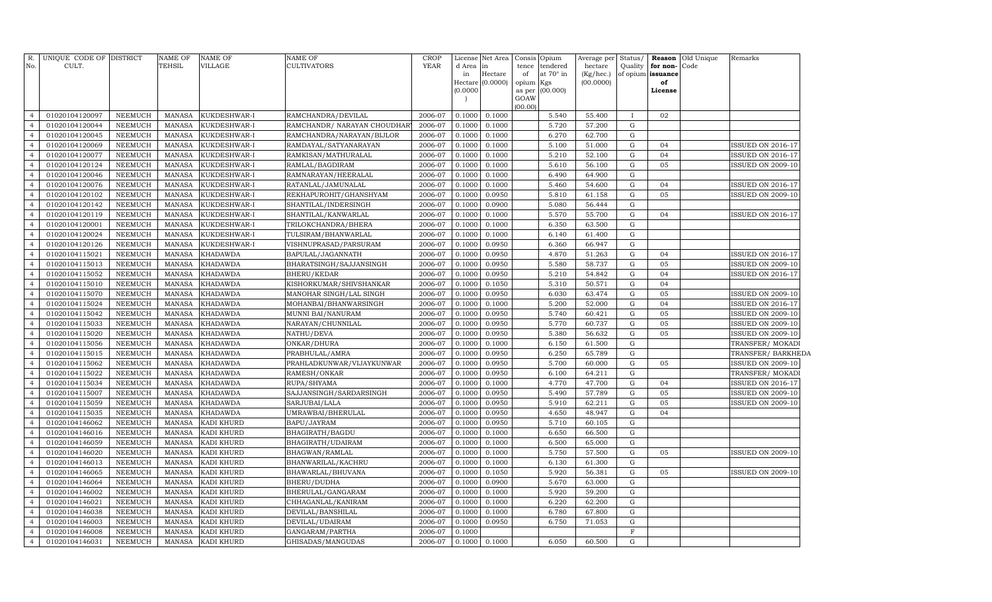| No.                              | R. UNIQUE CODE OF DISTRICT<br>CULT. |                    | <b>NAME OF</b><br>TEHSIL       | <b>NAME OF</b><br>VILLAGE | <b>NAME OF</b><br>CULTIVATORS    | <b>CROP</b><br>YEAR | d Area in<br>in<br>(0.0000) | License Net Area<br>Hectare<br>Hectare $(0.0000)$ | Consis Opium<br>tence<br>of<br>opium | tendered<br>at 70° in<br>Kgs<br>as per (00.000) | Average per<br>hectare<br>(Kg/hec.)<br>(00.0000) | Status/<br>Quality | for non-<br>of opium issuance<br>of<br>License | Reason Old Unique<br>Code | Remarks                  |
|----------------------------------|-------------------------------------|--------------------|--------------------------------|---------------------------|----------------------------------|---------------------|-----------------------------|---------------------------------------------------|--------------------------------------|-------------------------------------------------|--------------------------------------------------|--------------------|------------------------------------------------|---------------------------|--------------------------|
|                                  |                                     |                    |                                |                           |                                  |                     |                             |                                                   | GOAW<br>(00.00)                      |                                                 |                                                  |                    |                                                |                           |                          |
| $\overline{4}$                   | 01020104120097                      | NEEMUCH            | <b>MANASA</b>                  | KUKDESHWAR-I              | RAMCHANDRA/DEVILAL               | 2006-07             | 0.1000                      | 0.1000                                            |                                      | 5.540                                           | 55.400                                           |                    | 02                                             |                           |                          |
| $\overline{4}$                   | 01020104120044                      | NEEMUCH            | <b>MANASA</b>                  | KUKDESHWAR-I              | RAMCHANDR/ NARAYAN CHOUDHAR'     | 2006-07             | 0.1000                      | 0.1000                                            |                                      | 5.720                                           | 57.200                                           | ${\rm G}$          |                                                |                           |                          |
| $\overline{4}$                   | 01020104120045                      | NEEMUCH            | MANASA                         | KUKDESHWAR-I              | RAMCHANDRA/NARAYAN/BIJLOR        | 2006-07             | 0.1000                      | 0.1000                                            |                                      | 6.270                                           | 62.700                                           | G                  |                                                |                           |                          |
| $\overline{4}$                   | 01020104120069                      | NEEMUCH            | MANASA                         | KUKDESHWAR-I              | RAMDAYAL/SATYANARAYAN            | 2006-07             | 0.1000                      | 0.1000                                            |                                      | 5.100                                           | 51.000                                           | G                  | 04                                             |                           | ISSUED ON 2016-17        |
| $\overline{4}$                   | 01020104120077                      | <b>NEEMUCH</b>     | <b>MANASA</b>                  | KUKDESHWAR-I              | RAMKISAN/MATHURALAL              | 2006-07             | 0.1000                      | 0.1000                                            |                                      | 5.210                                           | 52.100                                           | G                  | 04                                             |                           | ISSUED ON 2016-17        |
| $\overline{4}$                   | 01020104120124                      | <b>NEEMUCH</b>     | <b>MANASA</b>                  | KUKDESHWAR-I              | RAMLAL/BAGDIRAM                  | 2006-07             | 0.1000                      | 0.1000                                            |                                      | 5.610                                           | 56.100                                           | G                  | 05                                             |                           | ISSUED ON 2009-10        |
| $\overline{4}$                   | 01020104120046                      | <b>NEEMUCH</b>     | <b>MANASA</b>                  | KUKDESHWAR-I              | RAMNARAYAN/HEERALAL              | 2006-07             | 0.1000                      | 0.1000                                            |                                      | 6.490                                           | 64.900                                           | G                  |                                                |                           |                          |
| $\overline{4}$                   | 01020104120076                      | NEEMUCH            | <b>MANASA</b>                  | KUKDESHWAR-I              | RATANLAL/JAMUNALAL               | 2006-07             | 0.1000                      | 0.1000                                            |                                      | 5.460                                           | 54.600                                           | G                  | 04                                             |                           | ISSUED ON 2016-17        |
| $\overline{4}$                   | 01020104120102                      | NEEMUCH            | <b>MANASA</b>                  | KUKDESHWAR-I              | REKHAPUROHIT/GHANSHYAM           | 2006-07             | 0.1000                      | 0.0950                                            |                                      | 5.810                                           | 61.158                                           | G                  | 05                                             |                           | <b>ISSUED ON 2009-10</b> |
| $\overline{4}$                   | 01020104120142                      | NEEMUCH            | <b>MANASA</b>                  | KUKDESHWAR-I              | SHANTILAL/INDERSINGH             | 2006-07             | 0.1000                      | 0.0900                                            |                                      | 5.080                                           | 56.444                                           | G                  |                                                |                           |                          |
| $\overline{4}$                   | 01020104120119                      | <b>NEEMUCH</b>     | <b>MANASA</b>                  | KUKDESHWAR-I              | SHANTILAL/KANWARLAL              | 2006-07             | 0.1000                      | 0.1000                                            |                                      | 5.570                                           | 55.700                                           | G                  | 04                                             |                           | ISSUED ON 2016-17        |
| $\overline{4}$                   | 01020104120001                      | <b>NEEMUCH</b>     | <b>MANASA</b>                  | KUKDESHWAR-I              | TRILOKCHANDRA/BHERA              | 2006-07             | 0.1000                      | 0.1000                                            |                                      | 6.350                                           | 63.500                                           | ${\rm G}$          |                                                |                           |                          |
| $\overline{4}$                   | 01020104120024                      | <b>NEEMUCH</b>     | <b>MANASA</b>                  | KUKDESHWAR-I              | TULSIRAM/BHANWARLAL              | 2006-07             | 0.1000                      | 0.1000                                            |                                      | 6.140                                           | 61.400                                           | ${\rm G}$          |                                                |                           |                          |
| $\overline{4}$                   | 01020104120126                      | <b>NEEMUCH</b>     | <b>MANASA</b>                  | KUKDESHWAR-I              | VISHNUPRASAD/PARSURAM            | 2006-07             | 0.1000                      | 0.0950                                            |                                      | 6.360                                           | 66.947                                           | G                  |                                                |                           |                          |
| $\overline{4}$                   | 01020104115021                      | <b>NEEMUCH</b>     | <b>MANASA</b>                  | <b>KHADAWDA</b>           | BAPULAL/JAGANNATH                | 2006-07             | 0.1000                      | 0.0950                                            |                                      | 4.870                                           | 51.263                                           | G                  | 04                                             |                           | <b>ISSUED ON 2016-17</b> |
| $\overline{4}$                   | 01020104115013                      | NEEMUCH            | <b>MANASA</b>                  | <b>KHADAWDA</b>           | BHARATSINGH/SAJJANSINGH          | 2006-07             | 0.1000                      | 0.0950                                            |                                      | 5.580                                           | 58.737                                           | G                  | 05                                             |                           | <b>ISSUED ON 2009-10</b> |
| $\overline{4}$                   | 01020104115052                      | <b>NEEMUCH</b>     | <b>MANASA</b>                  | <b>KHADAWDA</b>           | BHERU/KEDAR                      | 2006-07             | 0.1000                      | 0.0950                                            |                                      | 5.210                                           | 54.842                                           | G                  | 04                                             |                           | ISSUED ON 2016-17        |
| $\overline{4}$                   | 01020104115010                      | NEEMUCH            | MANASA                         | <b>KHADAWDA</b>           | KISHORKUMAR/SHIVSHANKAR          | 2006-07             | 0.1000                      | 0.1050                                            |                                      | 5.310                                           | 50.571                                           | G                  | 04                                             |                           |                          |
| $\overline{4}$                   | 01020104115070                      | NEEMUCH            | MANASA                         | <b>KHADAWDA</b>           | MANOHAR SINGH/LAL SINGH          | 2006-07             | 0.1000                      | 0.0950                                            |                                      | 6.030                                           | 63.474                                           | G                  | 05                                             |                           | ISSUED ON 2009-10        |
| $\overline{4}$                   | 01020104115024                      | NEEMUCH            | MANASA                         | <b>KHADAWDA</b>           | MOHANBAI/BHANWARSINGH            | 2006-07             | 0.1000                      | 0.1000                                            |                                      | 5.200                                           | 52.000                                           | G                  | 04                                             |                           | <b>ISSUED ON 2016-17</b> |
| $\overline{4}$                   | 01020104115042                      | NEEMUCH            | <b>MANASA</b>                  | KHADAWDA                  | MUNNI BAI/NANURAM                | 2006-07             | 0.1000                      | 0.0950                                            |                                      | 5.740                                           | 60.421                                           | G                  | 05                                             |                           | <b>ISSUED ON 2009-10</b> |
| $\overline{4}$                   | 01020104115033                      | NEEMUCH            | <b>MANASA</b>                  | <b>KHADAWDA</b>           | NARAYAN/CHUNNILAL                | 2006-07             | 0.1000                      | 0.0950                                            |                                      | 5.770                                           | 60.737                                           | ${\rm G}$          | 05                                             |                           | <b>ISSUED ON 2009-10</b> |
| $\overline{4}$                   | 01020104115020                      | NEEMUCH            | <b>MANASA</b>                  | <b>KHADAWDA</b>           | NATHU/DEVA                       | 2006-07             | 0.1000                      | 0.0950                                            |                                      | 5.380                                           | 56.632                                           | G                  | 05                                             |                           | <b>ISSUED ON 2009-10</b> |
| $\overline{4}$                   | 01020104115056                      | NEEMUCH            | <b>MANASA</b>                  | <b>KHADAWDA</b>           | ONKAR/DHURA                      | 2006-07             | 0.1000                      | 0.1000                                            |                                      | 6.150                                           | 61.500                                           | G                  |                                                |                           | TRANSFER/MOKADI          |
| $\overline{4}$                   | 01020104115015                      | <b>NEEMUCH</b>     | <b>MANASA</b>                  | <b>KHADAWDA</b>           | PRABHULAL/AMRA                   | 2006-07             | 0.1000                      | 0.0950                                            |                                      | 6.250                                           | 65.789                                           | ${\rm G}$          |                                                |                           | TRANSFER/BARKHEDA        |
| $\overline{4}$                   | 01020104115062                      | NEEMUCH            | <b>MANASA</b>                  | <b>KHADAWDA</b>           | PRAHLADKUNWAR/VIJAYKUNWAR        | 2006-07             | 0.1000                      | 0.0950                                            |                                      | 5.700                                           | 60.000                                           | ${\rm G}$          | 05                                             |                           | <b>ISSUED ON 2009-10</b> |
| $\overline{4}$                   | 01020104115022                      | NEEMUCH            | <b>MANASA</b>                  | <b>KHADAWDA</b>           | RAMESH/ONKAR                     | 2006-07             | 0.1000                      | 0.0950                                            |                                      | 6.100                                           | 64.211                                           | G                  |                                                |                           | TRANSFER/MOKADI          |
| $\overline{4}$                   | 01020104115034                      | NEEMUCH            | <b>MANASA</b>                  | <b>KHADAWDA</b>           | RUPA/SHYAMA                      | 2006-07             | 0.1000                      | 0.1000                                            |                                      | 4.770                                           | 47.700                                           | ${\rm G}$          | 04                                             |                           | ISSUED ON 2016-17        |
| $\overline{a}$                   | 01020104115007                      | <b>NEEMUCH</b>     | <b>MANASA</b>                  | <b>KHADAWDA</b>           | SAJJANSINGH/SARDARSINGH          | 2006-07             | 0.1000                      | 0.0950                                            |                                      | 5.490                                           | 57.789                                           | G                  | 05                                             |                           | <b>ISSUED ON 2009-10</b> |
| $\overline{4}$                   | 01020104115059                      | NEEMUCH            | MANASA                         | <b>KHADAWDA</b>           | SARJUBAI/LALA                    | 2006-07             | 0.1000                      | 0.0950                                            |                                      | 5.910                                           | 62.211                                           | G                  | 05                                             |                           | <b>ISSUED ON 2009-10</b> |
| $\overline{4}$                   | 01020104115035                      | NEEMUCH            | MANASA                         | <b>KHADAWDA</b>           | UMRAWBAI/BHERULAL                | 2006-07             | 0.1000                      | 0.0950                                            |                                      | 4.650                                           | 48.947                                           | ${\rm G}$          | 04                                             |                           |                          |
| $\overline{4}$                   | 01020104146062                      | <b>NEEMUCH</b>     | <b>MANASA</b>                  | KADI KHURD                | BAPU/JAYRAM                      | 2006-07             | 0.1000                      | 0.0950                                            |                                      | 5.710                                           | 60.105                                           | G                  |                                                |                           |                          |
| $\overline{4}$                   | 01020104146016                      | NEEMUCH            | <b>MANASA</b>                  | KADI KHURD                | BHAGIRATH/BAGDU                  | 2006-07             | 0.1000                      | 0.1000                                            |                                      | 6.650                                           | 66.500                                           | G                  |                                                |                           |                          |
| $\overline{4}$<br>$\overline{4}$ | 01020104146059                      | NEEMUCH            | <b>MANASA</b>                  | KADI KHURD                | BHAGIRATH/UDAIRAM                | 2006-07             | 0.1000                      | 0.1000                                            |                                      | 6.500                                           | 65.000                                           | G<br>G             |                                                |                           |                          |
| $\overline{a}$                   | 01020104146020                      | NEEMUCH            | <b>MANASA</b>                  | KADI KHURD                | BHAGWAN/RAMLAL                   | 2006-07             | 0.1000                      | 0.1000                                            |                                      | 5.750                                           | 57.500                                           | G                  | 05                                             |                           | ISSUED ON 2009-10        |
| $\overline{4}$                   | 01020104146013                      | NEEMUCH            | <b>MANASA</b>                  | KADI KHURD                | BHANWARILAL/KACHRU               | 2006-07<br>2006-07  | 0.1000                      | 0.1000                                            |                                      | 6.130<br>5.920                                  | 61.300                                           | G                  | 05                                             |                           |                          |
| $\overline{a}$                   | 01020104146065<br>01020104146064    | NEEMUCH<br>NEEMUCH | <b>MANASA</b><br><b>MANASA</b> | KADI KHURD<br>KADI KHURD  | BHAWARLAL/BHUVANA<br>BHERU/DUDHA | 2006-07             | 0.1000<br>0.1000            | 0.1050<br>0.0900                                  |                                      | 5.670                                           | 56.381<br>63.000                                 | G                  |                                                |                           | <b>ISSUED ON 2009-10</b> |
| $\overline{4}$                   | 01020104146002                      | NEEMUCH            | <b>MANASA</b>                  | KADI KHURD                | BHERULAL/GANGARAM                | 2006-07             | 0.1000                      | 0.1000                                            |                                      | 5.920                                           | 59.200                                           | G                  |                                                |                           |                          |
| $\overline{4}$                   | 01020104146021                      | NEEMUCH            | <b>MANASA</b>                  | KADI KHURD                | CHHAGANLAL/KANIRAM               | 2006-07             | 0.1000                      | 0.1000                                            |                                      | 6.220                                           | 62.200                                           | G                  |                                                |                           |                          |
| $\overline{4}$                   | 01020104146038                      | NEEMUCH            | <b>MANASA</b>                  | KADI KHURD                | DEVILAL/BANSHILAL                | 2006-07             | 0.1000                      | 0.1000                                            |                                      | 6.780                                           | 67.800                                           | G                  |                                                |                           |                          |
| $\overline{4}$                   | 01020104146003                      | NEEMUCH            | <b>MANASA</b>                  | KADI KHURD                | DEVILAL/UDAIRAM                  | 2006-07             | 0.1000                      | 0.0950                                            |                                      | 6.750                                           | 71.053                                           | G                  |                                                |                           |                          |
| $\overline{4}$                   | 01020104146008                      | NEEMUCH            | <b>MANASA</b>                  | KADI KHURD                | GANGARAM/PARTHA                  | 2006-07             | 0.1000                      |                                                   |                                      |                                                 |                                                  | F                  |                                                |                           |                          |
| $\overline{4}$                   | 01020104146031                      | NEEMUCH            | MANASA                         | KADI KHURD                | GHISADAS/MANGUDAS                | 2006-07             | 0.1000                      | 0.1000                                            |                                      | 6.050                                           | 60.500                                           | G                  |                                                |                           |                          |
|                                  |                                     |                    |                                |                           |                                  |                     |                             |                                                   |                                      |                                                 |                                                  |                    |                                                |                           |                          |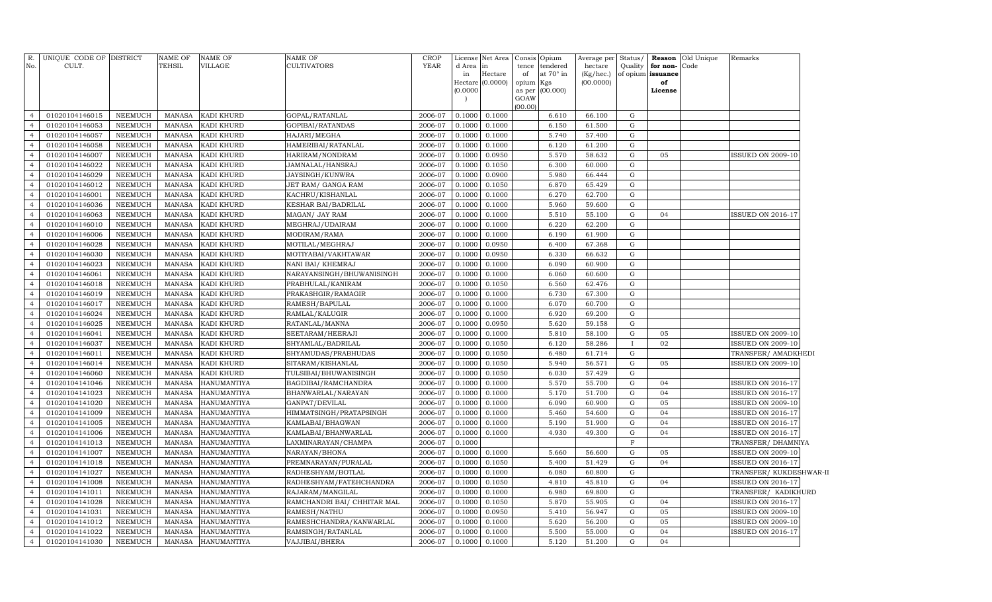| R.<br>No.                        | UNIQUE CODE OF DISTRICT<br>CULT. |                                  | <b>NAME OF</b><br><b>TEHSIL</b> | <b>NAME OF</b><br>VILLAGE         | <b>NAME OF</b><br>CULTIVATORS        | <b>CROP</b><br><b>YEAR</b> | d Area in<br>in<br>(0.0000) | License Net Area<br>Hectare<br>Hectare (0.0000) | Consis Opium<br>tence<br>of<br>opium Kgs<br>GOAW | tendered<br>at 70° in<br>as per (00.000) | Average per<br>hectare<br>(Kg/hec.)<br>(00.0000) | Status/<br>Quality       | for non-<br>of opium issuance<br>of<br>License | <b>Reason</b> Old Unique<br>Code | Remarks                                              |
|----------------------------------|----------------------------------|----------------------------------|---------------------------------|-----------------------------------|--------------------------------------|----------------------------|-----------------------------|-------------------------------------------------|--------------------------------------------------|------------------------------------------|--------------------------------------------------|--------------------------|------------------------------------------------|----------------------------------|------------------------------------------------------|
| $\overline{4}$                   | 01020104146015                   | NEEMUCH                          | MANASA                          | KADI KHURD                        | GOPAL/RATANLAL                       | 2006-07                    | 0.1000                      | 0.1000                                          | (00.00)                                          | 6.610                                    | 66.100                                           | G                        |                                                |                                  |                                                      |
| $\overline{4}$                   | 01020104146053                   | <b>NEEMUCH</b>                   | MANASA                          | KADI KHURD                        | GOPIBAI/RATANDAS                     | 2006-07                    | 0.1000                      | 0.1000                                          |                                                  | 6.150                                    | 61.500                                           | G                        |                                                |                                  |                                                      |
| $\overline{4}$                   | 01020104146057                   | <b>NEEMUCH</b>                   | MANASA                          | KADI KHURD                        | HAJARI/MEGHA                         | 2006-07                    | 0.1000                      | 0.1000                                          |                                                  | 5.740                                    | 57.400                                           | ${\rm G}$                |                                                |                                  |                                                      |
| $\overline{4}$                   | 01020104146058                   | <b>NEEMUCH</b>                   | MANASA                          | KADI KHURD                        | HAMERIBAI/RATANLAL                   | 2006-07                    | 0.1000                      | 0.1000                                          |                                                  | 6.120                                    | 61.200                                           | G                        |                                                |                                  |                                                      |
| $\overline{4}$                   | 01020104146007                   | <b>NEEMUCH</b>                   | MANASA                          | KADI KHURD                        | HARIRAM/NONDRAM                      | 2006-07                    | 0.1000                      | 0.0950                                          |                                                  | 5.570                                    | 58.632                                           | $\mathbf G$              | 05                                             |                                  | <b>ISSUED ON 2009-10</b>                             |
| $\overline{4}$                   | 01020104146022                   | <b>NEEMUCH</b>                   | MANASA                          | KADI KHURD                        | JAMNALAL/HANSRAJ                     | 2006-07                    | 0.1000                      | 0.1050                                          |                                                  | 6.300                                    | 60.000                                           | ${\rm G}$                |                                                |                                  |                                                      |
| $\overline{4}$                   | 01020104146029                   | <b>NEEMUCH</b>                   | MANASA                          | KADI KHURD                        | JAYSINGH/KUNWRA                      | 2006-07                    | 0.1000                      | 0.0900                                          |                                                  | 5.980                                    | 66.444                                           | ${\rm G}$                |                                                |                                  |                                                      |
| $\overline{4}$                   | 01020104146012                   | <b>NEEMUCH</b>                   | MANASA                          | KADI KHURD                        | JET RAM / GANGA RAM                  | 2006-07                    | 0.1000                      | 0.1050                                          |                                                  | 6.870                                    | 65.429                                           | $\mathbf G$              |                                                |                                  |                                                      |
| $\overline{4}$                   | 01020104146001                   | <b>NEEMUCH</b>                   | MANASA                          | KADI KHURD                        | KACHRU/KISHANLAL                     | 2006-07                    | 0.1000                      | 0.1000                                          |                                                  | 6.270                                    | 62.700                                           | ${\rm G}$                |                                                |                                  |                                                      |
| $\overline{4}$                   | 01020104146036                   | <b>NEEMUCH</b>                   | MANASA                          | KADI KHURD                        | KESHAR BAI/BADRILAL                  | 2006-07                    | 0.1000                      | 0.1000                                          |                                                  | 5.960                                    | 59.600                                           | ${\rm G}$                |                                                |                                  |                                                      |
| $\overline{4}$                   | 01020104146063                   | <b>NEEMUCH</b>                   | MANASA                          | KADI KHURD                        | MAGAN/ JAY RAM                       | 2006-07                    | 0.1000                      | 0.1000                                          |                                                  | 5.510                                    | 55.100                                           | ${\rm G}$                | 04                                             |                                  | <b>ISSUED ON 2016-17</b>                             |
| $\overline{4}$                   | 01020104146010                   | <b>NEEMUCH</b>                   | MANASA                          | KADI KHURD                        | MEGHRAJ/UDAIRAM                      | 2006-07                    | 0.1000                      | 0.1000                                          |                                                  | 6.220                                    | 62.200                                           | $\mathbf G$              |                                                |                                  |                                                      |
| $\overline{4}$                   | 01020104146006                   | <b>NEEMUCH</b>                   | MANASA                          | KADI KHURD                        | MODIRAM/RAMA                         | 2006-07                    | 0.1000                      | 0.1000                                          |                                                  | 6.190                                    | 61.900                                           | ${\rm G}$                |                                                |                                  |                                                      |
| $\overline{4}$                   | 01020104146028                   | <b>NEEMUCH</b>                   | <b>MANASA</b>                   | KADI KHURD                        | MOTILAL/MEGHRAJ                      | 2006-07                    | 0.1000                      | 0.0950                                          |                                                  | 6.400                                    | 67.368                                           | G                        |                                                |                                  |                                                      |
| $\overline{4}$                   | 01020104146030                   | <b>NEEMUCH</b>                   | MANASA                          | KADI KHURD                        | MOTIYABAI/VAKHTAWAR                  | 2006-07                    | 0.1000                      | 0.0950                                          |                                                  | 6.330                                    | 66.632                                           | $\mathbf G$              |                                                |                                  |                                                      |
| $\overline{4}$                   | 01020104146023                   | <b>NEEMUCH</b>                   | MANASA                          | KADI KHURD                        | NANI BAI/ KHEMRAJ                    | 2006-07                    | 0.1000                      | 0.1000                                          |                                                  | 6.090                                    | 60.900                                           | ${\rm G}$                |                                                |                                  |                                                      |
| $\overline{4}$                   | 01020104146061                   | NEEMUCH                          | <b>MANASA</b>                   | KADI KHURD                        | NARAYANSINGH/BHUWANISINGH            | 2006-07                    | 0.1000                      | 0.1000                                          |                                                  | 6.060                                    | 60.600                                           | ${\rm G}$                |                                                |                                  |                                                      |
| $\overline{4}$                   | 01020104146018                   | <b>NEEMUCH</b>                   | <b>MANASA</b>                   | KADI KHURD                        | PRABHULAL/KANIRAM                    | 2006-07                    | 0.1000                      | 0.1050                                          |                                                  | 6.560                                    | 62.476                                           | G                        |                                                |                                  |                                                      |
| $\overline{4}$                   | 01020104146019                   | <b>NEEMUCH</b>                   | <b>MANASA</b>                   | KADI KHURD                        | PRAKASHGIR/RAMAGIR                   | 2006-07                    | 0.1000                      | 0.1000                                          |                                                  | 6.730                                    | 67.300                                           | ${\rm G}$                |                                                |                                  |                                                      |
| $\overline{4}$                   | 01020104146017                   | <b>NEEMUCH</b>                   | <b>MANASA</b>                   | KADI KHURD                        | RAMESH/BAPULAL                       | 2006-07                    | 0.1000                      | 0.1000                                          |                                                  | 6.070                                    | 60.700                                           | G                        |                                                |                                  |                                                      |
| $\overline{4}$                   | 01020104146024                   | <b>NEEMUCH</b>                   | <b>MANASA</b>                   | KADI KHURD                        | RAMLAL/KALUGIR                       | 2006-07                    | 0.1000                      | 0.1000                                          |                                                  | 6.920                                    | 69.200                                           | ${\rm G}$                |                                                |                                  |                                                      |
| $\overline{4}$                   | 01020104146025                   | <b>NEEMUCH</b>                   | <b>MANASA</b>                   | KADI KHURD                        | RATANLAL/MANNA                       | 2006-07                    | 0.1000                      | 0.0950                                          |                                                  | 5.620                                    | 59.158                                           | $\mathbf G$              |                                                |                                  |                                                      |
| $\overline{4}$                   | 01020104146041                   | NEEMUCH                          | <b>MANASA</b>                   | KADI KHURD                        | SEETARAM/HEERAJI                     | 2006-07                    | 0.1000                      | 0.1000                                          |                                                  | 5.810                                    | 58.100                                           | $\mathbf G$              | 05                                             |                                  | <b>ISSUED ON 2009-10</b>                             |
| $\overline{4}$                   | 01020104146037                   | <b>NEEMUCH</b>                   | <b>MANASA</b>                   | KADI KHURD                        | SHYAMLAL/BADRILAL                    | 2006-07                    | 0.1000                      | 0.1050                                          |                                                  | 6.120                                    | 58.286                                           | $\mathbf{I}$             | 02                                             |                                  | <b>ISSUED ON 2009-10</b>                             |
| $\overline{4}$                   | 01020104146011                   | <b>NEEMUCH</b>                   | <b>MANASA</b>                   | KADI KHURD                        | SHYAMUDAS/PRABHUDAS                  | 2006-07                    | 0.1000                      | 0.1050                                          |                                                  | 6.480                                    | 61.714                                           | ${\rm G}$                |                                                |                                  | TRANSFER/ AMADKHEDI                                  |
| $\overline{4}$                   | 01020104146014                   | <b>NEEMUCH</b>                   | <b>MANASA</b>                   | KADI KHURD                        | SITARAM/KISHANLAL                    | 2006-07                    | 0.1000                      | 0.1050                                          |                                                  | 5.940                                    | 56.571                                           | $\mathbf G$              | 05                                             |                                  | <b>ISSUED ON 2009-10</b>                             |
| $\overline{4}$                   | 01020104146060                   | NEEMUCH                          | <b>MANASA</b>                   | KADI KHURD                        | TULSIBAI/BHUWANISINGH                | 2006-07                    | 0.1000                      | 0.1050                                          |                                                  | 6.030                                    | 57.429                                           | ${\rm G}$                |                                                |                                  |                                                      |
| $\overline{4}$<br>$\overline{4}$ | 01020104141046                   | <b>NEEMUCH</b>                   | <b>MANASA</b>                   | <b>HANUMANTIYA</b>                | BAGDIBAI/RAMCHANDRA                  | 2006-07                    | 0.1000                      | 0.1000                                          |                                                  | 5.570<br>5.170                           | 55.700                                           | ${\rm G}$<br>$\mathbf G$ | 04<br>04                                       |                                  | <b>ISSUED ON 2016-17</b>                             |
| $\overline{4}$                   | 01020104141023<br>01020104141020 | <b>NEEMUCH</b><br><b>NEEMUCH</b> | <b>MANASA</b><br><b>MANASA</b>  | HANUMANTIYA<br><b>HANUMANTIYA</b> | BHANWARLAL/NARAYAN<br>GANPAT/DEVILAL | 2006-07<br>2006-07         | 0.1000<br>0.1000            | 0.1000<br>0.1000                                |                                                  | 6.090                                    | 51.700<br>60.900                                 | G                        | 05                                             |                                  | <b>ISSUED ON 2016-17</b><br><b>ISSUED ON 2009-10</b> |
| $\overline{4}$                   | 01020104141009                   | <b>NEEMUCH</b>                   | <b>MANASA</b>                   | <b>HANUMANTIYA</b>                | HIMMATSINGH/PRATAPSINGH              | 2006-07                    | 0.1000                      | 0.1000                                          |                                                  | 5.460                                    | 54.600                                           | $\mathbf G$              | 04                                             |                                  | <b>ISSUED ON 2016-17</b>                             |
| $\overline{4}$                   | 01020104141005                   | <b>NEEMUCH</b>                   | <b>MANASA</b>                   | <b>HANUMANTIYA</b>                | KAMLABAI/BHAGWAN                     | 2006-07                    | 0.1000                      | 0.1000                                          |                                                  | 5.190                                    | 51.900                                           | G                        | 04                                             |                                  | <b>ISSUED ON 2016-17</b>                             |
| $\overline{4}$                   | 01020104141006                   | NEEMUCH                          | <b>MANASA</b>                   | <b>HANUMANTIYA</b>                | KAMLABAI/BHANWARLAL                  | 2006-07                    | 0.1000                      | 0.1000                                          |                                                  | 4.930                                    | 49.300                                           | $\mathbf G$              | 04                                             |                                  | <b>ISSUED ON 2016-17</b>                             |
| $\overline{4}$                   | 01020104141013                   | <b>NEEMUCH</b>                   | <b>MANASA</b>                   | <b>HANUMANTIYA</b>                | LAXMINARAYAN/CHAMPA                  | 2006-07                    | 0.1000                      |                                                 |                                                  |                                          |                                                  | F                        |                                                |                                  | TRANSFER/DHAMNIYA                                    |
| $\overline{4}$                   | 01020104141007                   | <b>NEEMUCH</b>                   | <b>MANASA</b>                   | <b>HANUMANTIYA</b>                | NARAYAN/BHONA                        | 2006-07                    | 0.1000                      | 0.1000                                          |                                                  | 5.660                                    | 56.600                                           | $\mathbf G$              | 05                                             |                                  | <b>ISSUED ON 2009-10</b>                             |
| $\overline{4}$                   | 01020104141018                   | <b>NEEMUCH</b>                   | MANASA                          | HANUMANTIYA                       | PREMNARAYAN/PURALAL                  | 2006-07                    | 0.1000                      | 0.1050                                          |                                                  | 5.400                                    | 51.429                                           | $\mathbf G$              | 04                                             |                                  | <b>ISSUED ON 2016-17</b>                             |
| $\overline{4}$                   | 01020104141027                   | <b>NEEMUCH</b>                   | MANASA                          | HANUMANTIYA                       | RADHESHYAM/BOTLAL                    | 2006-07                    | 0.1000                      | 0.1000                                          |                                                  | 6.080                                    | 60.800                                           | $\mathbf G$              |                                                |                                  | TRANSFER/KUKDESHWAR-II                               |
| $\overline{4}$                   | 01020104141008                   | <b>NEEMUCH</b>                   | <b>MANASA</b>                   | HANUMANTIYA                       | RADHESHYAM/FATEHCHANDRA              | 2006-07                    | 0.1000                      | 0.1050                                          |                                                  | 4.810                                    | 45.810                                           | $\mathbf G$              | 04                                             |                                  | ISSUED ON 2016-17                                    |
| $\overline{4}$                   | 01020104141011                   | <b>NEEMUCH</b>                   | <b>MANASA</b>                   | HANUMANTIYA                       | RAJARAM/MANGILAL                     | 2006-07                    | 0.1000                      | 0.1000                                          |                                                  | 6.980                                    | 69.800                                           | G                        |                                                |                                  | TRANSFER/ KADIKHURD                                  |
| $\overline{4}$                   | 01020104141028                   | <b>NEEMUCH</b>                   | <b>MANASA</b>                   | HANUMANTIYA                       | RAMCHANDRI BAI / CHHITAR MAL         | 2006-07                    | 0.1000                      | 0.1050                                          |                                                  | 5.870                                    | 55.905                                           | G                        | 04                                             |                                  | <b>ISSUED ON 2016-17</b>                             |
| $\overline{4}$                   | 01020104141031                   | NEEMUCH                          | <b>MANASA</b>                   | HANUMANTIYA                       | RAMESH/NATHU                         | 2006-07                    | 0.1000                      | 0.0950                                          |                                                  | 5.410                                    | 56.947                                           | G                        | 05                                             |                                  | ISSUED ON 2009-10                                    |
| $\overline{4}$                   | 01020104141012                   | <b>NEEMUCH</b>                   | <b>MANASA</b>                   | HANUMANTIYA                       | RAMESHCHANDRA/KANWARLAL              | 2006-07                    | 0.1000                      | 0.1000                                          |                                                  | 5.620                                    | 56.200                                           | $\mathbf G$              | 05                                             |                                  | ISSUED ON 2009-10                                    |
| $\overline{4}$                   | 01020104141022                   | <b>NEEMUCH</b>                   | <b>MANASA</b>                   | HANUMANTIYA                       | RAMSINGH/RATANLAL                    | 2006-07                    | 0.1000                      | 0.1000                                          |                                                  | 5.500                                    | 55.000                                           | $\mathbf G$              | 04                                             |                                  | <b>ISSUED ON 2016-17</b>                             |
| $\overline{4}$                   | 01020104141030                   | <b>NEEMUCH</b>                   | MANASA                          | <b>HANUMANTIYA</b>                | VAJJIBAI/BHERA                       | 2006-07                    | 0.1000                      | 0.1000                                          |                                                  | 5.120                                    | 51.200                                           | ${\rm G}$                | 04                                             |                                  |                                                      |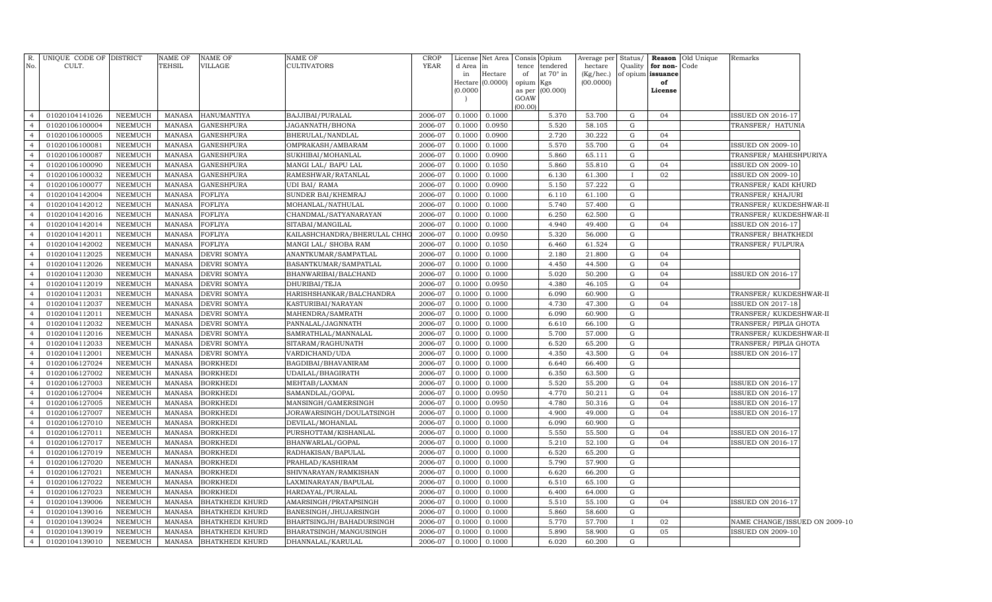| R.             | UNIQUE CODE OF DISTRICT |                | <b>NAME OF</b> | NAME OF                | <b>NAME OF</b>               | CROP    | License  | Net Area                    | Consis      | Opium            | Average per            | Status/      | Reason                  | Old Unique | Remarks                       |  |
|----------------|-------------------------|----------------|----------------|------------------------|------------------------------|---------|----------|-----------------------------|-------------|------------------|------------------------|--------------|-------------------------|------------|-------------------------------|--|
| No.            | CULT.                   |                | TEHSIL         | <b>VILLAGE</b>         | <b>CULTIVATORS</b>           | YEAR    | d Area   | in                          | tence       | tendered         | hectare                | Quality      | for non-                | Code       |                               |  |
|                |                         |                |                |                        |                              |         | in       | Hectare<br>Hectare (0.0000) | of<br>opium | at 70° in<br>Kgs | (Kg/hec.)<br>(00.0000) |              | of opium issuance<br>of |            |                               |  |
|                |                         |                |                |                        |                              |         | (0.0000) |                             | as per      | (00.000)         |                        |              | License                 |            |                               |  |
|                |                         |                |                |                        |                              |         |          |                             | GOAW        |                  |                        |              |                         |            |                               |  |
| $\overline{4}$ | 01020104141026          | NEEMUCH        | MANASA         | <b>HANUMANTIYA</b>     | BAJJIBAI/PURALAL             | 2006-07 | 0.1000   | 0.1000                      | (00.00)     | 5.370            | 53.700                 | G            | 04                      |            | <b>ISSUED ON 2016-17</b>      |  |
| $\overline{4}$ | 01020106100004          | <b>NEEMUCH</b> | <b>MANASA</b>  | <b>GANESHPURA</b>      | JAGANNATH/BHONA              | 2006-07 | 0.1000   | 0.0950                      |             | 5.520            | 58.105                 | G            |                         |            | TRANSFER/ HATUNIA             |  |
| $\overline{4}$ | 01020106100005          | NEEMUCH        | <b>MANASA</b>  | <b>GANESHPURA</b>      | BHERULAL/NANDLAL             | 2006-07 | 0.1000   | 0.0900                      |             | 2.720            | 30.222                 | G            | 04                      |            |                               |  |
| $\overline{4}$ | 01020106100081          | NEEMUCH        | <b>MANASA</b>  | <b>GANESHPURA</b>      | OMPRAKASH/AMBARAM            | 2006-07 | 0.1000   | 0.1000                      |             | 5.570            | 55.700                 | $\mathbf G$  | 04                      |            | <b>ISSUED ON 2009-10</b>      |  |
| $\overline{4}$ | 01020106100087          | <b>NEEMUCH</b> | <b>MANASA</b>  | <b>GANESHPURA</b>      | SUKHIBAI/MOHANLAL            | 2006-07 | 0.1000   | 0.0900                      |             | 5.860            | 65.111                 | G            |                         |            | TRANSFER/ MAHESHPURIYA        |  |
| $\overline{4}$ | 01020106100090          | NEEMUCH        | <b>MANASA</b>  | <b>GANESHPURA</b>      | MANGI LAL/ BAPU LAL          | 2006-07 | 0.1000   | 0.1050                      |             | 5.860            | 55.810                 | G            | 04                      |            | <b>ISSUED ON 2009-10</b>      |  |
| $\overline{4}$ | 01020106100032          | <b>NEEMUCH</b> | <b>MANASA</b>  | <b>GANESHPURA</b>      | RAMESHWAR/RATANLAL           | 2006-07 | 0.1000   | 0.1000                      |             | 6.130            | 61.300                 | $\mathbf{I}$ | 02                      |            | ISSUED ON 2009-10             |  |
| $\overline{4}$ | 01020106100077          | <b>NEEMUCH</b> | <b>MANASA</b>  | <b>GANESHPURA</b>      | UDI BAI/RAMA                 | 2006-07 | 0.1000   | 0.0900                      |             | 5.150            | 57.222                 | G            |                         |            | TRANSFER/ KADI KHURD          |  |
| $\overline{4}$ | 01020104142004          | <b>NEEMUCH</b> | <b>MANASA</b>  | FOFLIYA                | SUNDER BAI/KHEMRAJ           | 2006-07 | 0.1000   | 0.1000                      |             | 6.110            | 61.100                 | G            |                         |            | TRANSFER/ KHAJURI             |  |
| $\overline{4}$ | 01020104142012          | NEEMUCH        | <b>MANASA</b>  | FOFLIYA                | MOHANLAL/NATHULAL            | 2006-07 | 0.1000   | 0.1000                      |             | 5.740            | 57.400                 | G            |                         |            | TRANSFER/KUKDESHWAR-II        |  |
| $\overline{4}$ | 01020104142016          | <b>NEEMUCH</b> | <b>MANASA</b>  | FOFLIYA                | CHANDMAL/SATYANARAYAN        | 2006-07 | 0.1000   | 0.1000                      |             | 6.250            | 62.500                 | G            |                         |            | TRANSFER/KUKDESHWAR-II        |  |
| $\overline{4}$ | 01020104142014          | NEEMUCH        | <b>MANASA</b>  | <b>FOFLIYA</b>         | SITABAI/MANGILAL             | 2006-07 | 0.1000   | 0.1000                      |             | 4.940            | 49.400                 | G            | 04                      |            | <b>ISSUED ON 2016-17</b>      |  |
| $\overline{4}$ | 01020104142011          | NEEMUCH        | <b>MANASA</b>  | FOFLIYA                | KAILASHCHANDRA/BHERULAL CHHC | 2006-07 | 0.1000   | 0.0950                      |             | 5.320            | 56.000                 | G            |                         |            | TRANSFER/ BHATKHEDI           |  |
| $\overline{4}$ | 01020104142002          | <b>NEEMUCH</b> | <b>MANASA</b>  | <b>FOFLIYA</b>         | MANGI LAL/ SHOBA RAM         | 2006-07 | 0.1000   | 0.1050                      |             | 6.460            | 61.524                 | G            |                         |            | TRANSFER/FULPURA              |  |
| $\overline{4}$ | 01020104112025          | NEEMUCH        | <b>MANASA</b>  | DEVRI SOMYA            | ANANTKUMAR/SAMPATLAL         | 2006-07 | 0.1000   | 0.1000                      |             | 2.180            | 21.800                 | G            | 04                      |            |                               |  |
| $\overline{4}$ | 01020104112026          | NEEMUCH        | <b>MANASA</b>  | DEVRI SOMYA            | BASANTKUMAR/SAMPATLAL        | 2006-07 | 0.1000   | 0.1000                      |             | 4.450            | 44.500                 | G            | 04                      |            |                               |  |
| $\overline{4}$ | 01020104112030          | NEEMUCH        | <b>MANASA</b>  | DEVRI SOMYA            | BHANWARIBAI/BALCHAND         | 2006-07 | 0.1000   | 0.1000                      |             | 5.020            | 50.200                 | G            | 04                      |            | <b>ISSUED ON 2016-17</b>      |  |
| $\overline{4}$ | 01020104112019          | NEEMUCH        | <b>MANASA</b>  | DEVRI SOMYA            | DHURIBAI/TEJA                | 2006-07 | 0.1000   | 0.0950                      |             | 4.380            | 46.105                 | G            | 04                      |            |                               |  |
| $\overline{4}$ | 01020104112031          | NEEMUCH        | <b>MANASA</b>  | DEVRI SOMYA            | HARISHSHANKAR/BALCHANDRA     | 2006-07 | 0.1000   | 0.1000                      |             | 6.090            | 60.900                 | G            |                         |            | TRANSFER/KUKDESHWAR-II        |  |
| $\overline{4}$ | 01020104112037          | <b>NEEMUCH</b> | <b>MANASA</b>  | DEVRI SOMYA            | KASTURIBAI/NARAYAN           | 2006-07 | 0.1000   | 0.1000                      |             | 4.730            | 47.300                 | $\mathbf G$  | 04                      |            | <b>ISSUED ON 2017-18</b>      |  |
| $\overline{4}$ | 01020104112011          | <b>NEEMUCH</b> | <b>MANASA</b>  | <b>DEVRI SOMYA</b>     | MAHENDRA/SAMRATH             | 2006-07 | 0.1000   | 0.1000                      |             | 6.090            | 60.900                 | $\mathbf G$  |                         |            | TRANSFER/KUKDESHWAR-II        |  |
| $\overline{4}$ | 01020104112032          | <b>NEEMUCH</b> | <b>MANASA</b>  | DEVRI SOMYA            | PANNALAL/JAGNNATH            | 2006-07 | 0.1000   | 0.1000                      |             | 6.610            | 66.100                 | $\mathbf G$  |                         |            | TRANSFER/ PIPLIA GHOTA        |  |
| $\overline{4}$ | 01020104112016          | <b>NEEMUCH</b> | <b>MANASA</b>  | <b>DEVRI SOMYA</b>     | SAMRATHLAL/MANNALAL          | 2006-07 | 0.1000   | 0.1000                      |             | 5.700            | 57.000                 | G            |                         |            | TRANSFER/KUKDESHWAR-II        |  |
| $\overline{4}$ | 01020104112033          | <b>NEEMUCH</b> | <b>MANASA</b>  | DEVRI SOMYA            | SITARAM/RAGHUNATH            | 2006-07 | 0.1000   | 0.1000                      |             | 6.520            | 65.200                 | $\mathbf G$  |                         |            | TRANSFER/ PIPLIA GHOTA        |  |
| $\overline{4}$ | 01020104112001          | NEEMUCH        | <b>MANASA</b>  | DEVRI SOMYA            | VARDICHAND/UDA               | 2006-07 | 0.1000   | 0.1000                      |             | 4.350            | 43.500                 | G            | 04                      |            | <b>ISSUED ON 2016-17</b>      |  |
| $\overline{4}$ | 01020106127024          | <b>NEEMUCH</b> | <b>MANASA</b>  | <b>BORKHEDI</b>        | BAGDIBAI/BHAVANIRAM          | 2006-07 | 0.1000   | 0.1000                      |             | 6.640            | 66.400                 | $\mathbf G$  |                         |            |                               |  |
| $\overline{4}$ | 01020106127002          | <b>NEEMUCH</b> | <b>MANASA</b>  | <b>BORKHEDI</b>        | UDAILAL/BHAGIRATH            | 2006-07 | 0.1000   | 0.1000                      |             | 6.350            | 63.500                 | G            |                         |            |                               |  |
|                | 01020106127003          | <b>NEEMUCH</b> | <b>MANASA</b>  | <b>BORKHEDI</b>        | MEHTAB/LAXMAN                | 2006-07 | 0.1000   | 0.1000                      |             | 5.520            | 55.200                 | G            | 04                      |            | <b>ISSUED ON 2016-17</b>      |  |
| $\overline{4}$ | 01020106127004          | <b>NEEMUCH</b> | <b>MANASA</b>  | <b>BORKHEDI</b>        | SAMANDLAL/GOPAL              | 2006-07 | 0.1000   | 0.0950                      |             | 4.770            | 50.211                 | G            | 04                      |            | <b>ISSUED ON 2016-17</b>      |  |
| $\overline{4}$ | 01020106127005          | <b>NEEMUCH</b> | <b>MANASA</b>  | <b>BORKHEDI</b>        | MANSINGH/GAMERSINGH          | 2006-07 | 0.1000   | 0.0950                      |             | 4.780            | 50.316                 | G            | 04                      |            | ISSUED ON 2016-17             |  |
| $\overline{4}$ | 01020106127007          | <b>NEEMUCH</b> | <b>MANASA</b>  | <b>BORKHEDI</b>        | JORAWARSINGH/DOULATSINGH     | 2006-07 | 0.1000   | 0.1000                      |             | 4.900            | 49.000                 | G            | 04                      |            | <b>ISSUED ON 2016-17</b>      |  |
| $\overline{4}$ | 01020106127010          | <b>NEEMUCH</b> | <b>MANASA</b>  | <b>BORKHEDI</b>        | DEVILAL/MOHANLAL             | 2006-07 | 0.1000   | 0.1000                      |             | 6.090            | 60.900                 | G            |                         |            |                               |  |
| $\overline{4}$ | 01020106127011          | NEEMUCH        | <b>MANASA</b>  | <b>BORKHEDI</b>        | PURSHOTTAM/KISHANLAL         | 2006-07 | 0.1000   | 0.1000                      |             | 5.550            | 55.500                 | G            | 04                      |            | ISSUED ON 2016-17             |  |
| $\overline{4}$ | 01020106127017          | <b>NEEMUCH</b> | <b>MANASA</b>  | <b>BORKHEDI</b>        | BHANWARLAL/GOPAL             | 2006-07 | 0.1000   | 0.1000                      |             | 5.210            | 52.100                 | G            | 04                      |            | <b>ISSUED ON 2016-17</b>      |  |
| $\overline{4}$ | 01020106127019          | NEEMUCH        | <b>MANASA</b>  | <b>BORKHEDI</b>        | RADHAKISAN/BAPULAL           | 2006-07 | 0.1000   | 0.1000                      |             | 6.520            | 65.200                 | G            |                         |            |                               |  |
| $\overline{4}$ | 01020106127020          | <b>NEEMUCH</b> | <b>MANASA</b>  | <b>BORKHEDI</b>        | PRAHLAD/KASHIRAM             | 2006-07 | 0.1000   | 0.1000                      |             | 5.790            | 57.900                 | G            |                         |            |                               |  |
| $\overline{4}$ | 01020106127021          | <b>NEEMUCH</b> | <b>MANASA</b>  | <b>BORKHEDI</b>        | SHIVNARAYAN/RAMKISHAN        | 2006-07 | 0.1000   | 0.1000                      |             | 6.620            | 66.200                 | G            |                         |            |                               |  |
| $\overline{4}$ | 01020106127022          | NEEMUCH        | <b>MANASA</b>  | <b>BORKHEDI</b>        | LAXMINARAYAN/BAPULAL         | 2006-07 | 0.1000   | 0.1000                      |             | 6.510            | 65.100                 | G            |                         |            |                               |  |
| $\overline{4}$ | 01020106127023          | NEEMUCH        | <b>MANASA</b>  | <b>BORKHEDI</b>        | HARDAYAL/PURALAL             | 2006-07 | 0.1000   | 0.1000                      |             | 6.400            | 64.000                 | G            |                         |            |                               |  |
| $\overline{4}$ | 01020104139006          | <b>NEEMUCH</b> | <b>MANASA</b>  | <b>BHATKHEDI KHURD</b> | AMARSINGH/PRATAPSINGH        | 2006-07 | 0.1000   | 0.1000                      |             | 5.510            | 55.100                 | G            | 04                      |            | <b>ISSUED ON 2016-17</b>      |  |
| $\overline{4}$ | 01020104139016          | NEEMUCH        | <b>MANASA</b>  | <b>BHATKHEDI KHURD</b> | BANESINGH/JHUJARSINGH        | 2006-07 | 0.1000   | 0.1000                      |             | 5.860            | 58.600                 | G            |                         |            |                               |  |
| $\overline{4}$ | 01020104139024          | <b>NEEMUCH</b> | <b>MANASA</b>  | <b>BHATKHEDI KHURD</b> | BHARTSINGJH/BAHADURSINGH     | 2006-07 | 0.1000   | 0.1000                      |             | 5.770            | 57.700                 |              | 02                      |            | NAME CHANGE/ISSUED ON 2009-10 |  |
| $\overline{4}$ | 01020104139019          | <b>NEEMUCH</b> | <b>MANASA</b>  | <b>BHATKHEDI KHURD</b> | BHARATSINGH/MANGUSINGH       | 2006-07 | 0.1000   | 0.1000                      |             | 5.890            | 58.900                 | G            | 05                      |            | <b>ISSUED ON 2009-10</b>      |  |
| $\overline{4}$ | 01020104139010          | <b>NEEMUCH</b> | <b>MANASA</b>  | <b>BHATKHEDI KHURD</b> | DHANNALAL/KARULAL            | 2006-07 | 0.1000   | 0.1000                      |             | 6.020            | 60.200                 | G            |                         |            |                               |  |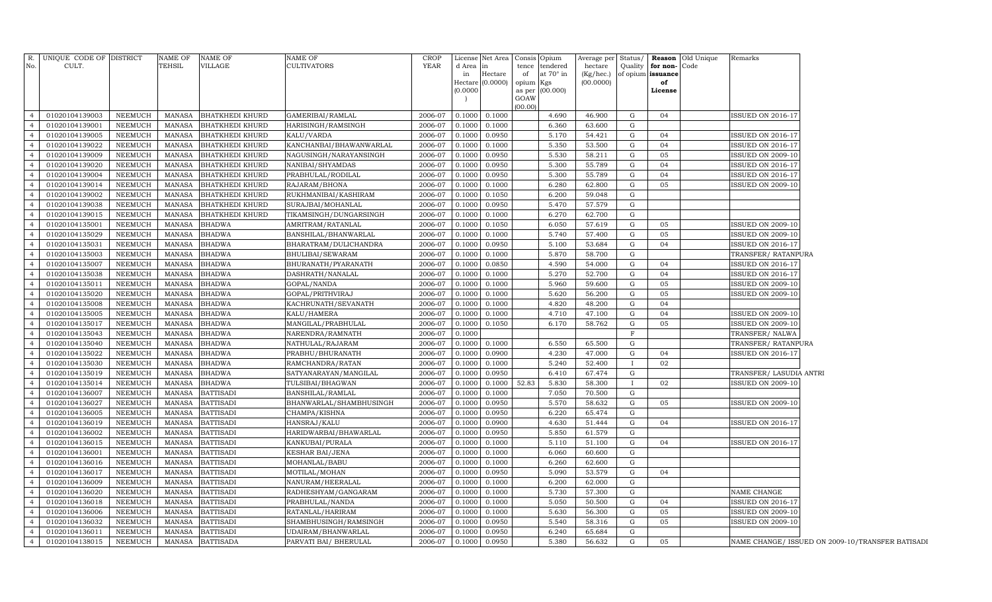|                | R. UNIQUE CODE OF DISTRICT |                    | NAME OF       | <b>NAME OF</b>                       | <b>NAME OF</b>                | <b>CROP</b> |                 | License Net Area | Consis Opium   |                  | Average per Status/ |              | <b>Reason</b> Old Unique | Remarks                                          |
|----------------|----------------------------|--------------------|---------------|--------------------------------------|-------------------------------|-------------|-----------------|------------------|----------------|------------------|---------------------|--------------|--------------------------|--------------------------------------------------|
| No.            | CULT.                      |                    | TEHSIL        | VILLAGE                              | <b>CULTIVATORS</b>            | YEAR        | d Area          | $\ln$            | tence          | tendered         | hectare             | Quality      | for non-<br>Code         |                                                  |
|                |                            |                    |               |                                      |                               |             | in              | Hectare          | of             | at $70^\circ$ in | (Kg/hec.)           |              | of opium issuance        |                                                  |
|                |                            |                    |               |                                      |                               |             |                 | Hectare (0.0000) | opium          | Kgs              | (00.0000)           |              | of                       |                                                  |
|                |                            |                    |               |                                      |                               |             | (0.0000)        |                  | as per<br>GOAW | (00.000)         |                     |              | License                  |                                                  |
|                |                            |                    |               |                                      |                               |             |                 |                  | (00.00)        |                  |                     |              |                          |                                                  |
| $\overline{4}$ | 01020104139003             | NEEMUCH            | MANASA        | <b>BHATKHEDI KHURD</b>               | GAMERIBAI/RAMLAL              | 2006-07     | 0.1000          | 0.1000           |                | 4.690            | 46.900              | G            | 04                       | <b>ISSUED ON 2016-17</b>                         |
| $\overline{4}$ | 01020104139001             | NEEMUCH            | <b>MANASA</b> | <b>BHATKHEDI KHURD</b>               | HARISINGH/RAMSINGH            | 2006-07     | 0.1000          | 0.1000           |                | 6.360            | 63.600              | G            |                          |                                                  |
| $\overline{4}$ | 01020104139005             | <b>NEEMUCH</b>     | <b>MANASA</b> | <b>BHATKHEDI KHURD</b>               | KALU/VARDA                    | 2006-07     | 0.1000          | 0.0950           |                | 5.170            | 54.421              | G            | 04                       | <b>ISSUED ON 2016-17</b>                         |
| $\overline{4}$ | 01020104139022             | NEEMUCH            | <b>MANASA</b> | <b>BHATKHEDI KHURD</b>               | KANCHANBAI/BHAWANWARLAL       | 2006-07     | 0.1000          | 0.1000           |                | 5.350            | 53.500              | G            | 04                       | <b>ISSUED ON 2016-17</b>                         |
| $\overline{4}$ | 01020104139009             | NEEMUCH            | <b>MANASA</b> | <b>BHATKHEDI KHURD</b>               | NAGUSINGH/NARAYANSINGH        | 2006-07     | 0.1000          | 0.0950           |                | 5.530            | 58.211              | G            | 05                       | <b>ISSUED ON 2009-10</b>                         |
| $\overline{4}$ | 01020104139020             | NEEMUCH            | <b>MANASA</b> | <b>BHATKHEDI KHURD</b>               | NANIBAI/SHYAMDAS              | 2006-07     | 0.1000          | 0.0950           |                | 5.300            | 55.789              | G            | 04                       | <b>ISSUED ON 2016-17</b>                         |
| $\overline{4}$ | 01020104139004             | <b>NEEMUCH</b>     | <b>MANASA</b> | <b>BHATKHEDI KHURD</b>               | PRABHULAL/RODILAL             | 2006-07     | 0.1000          | 0.0950           |                | 5.300            | 55.789              | G            | 04                       | <b>ISSUED ON 2016-17</b>                         |
| $\overline{4}$ | 01020104139014             | NEEMUCH            | MANASA        | <b>BHATKHEDI KHURD</b>               | RAJARAM/BHONA                 | 2006-07     | 0.1000          | 0.1000           |                | 6.280            | 62.800              | G            | 05                       | ISSUED ON 2009-10                                |
| $\overline{4}$ | 01020104139002             | NEEMUCH            | <b>MANASA</b> | <b>BHATKHEDI KHURD</b>               | RUKHMANIBAI/KASHIRAM          | 2006-07     | 0.1000          | 0.1050           |                | 6.200            | 59.048              | G            |                          |                                                  |
| $\overline{4}$ | 01020104139038             | NEEMUCH            | MANASA        | <b>BHATKHEDI KHURD</b>               | SURAJBAI/MOHANLAL             | 2006-07     | 0.1000          | 0.0950           |                | 5.470            | 57.579              | G            |                          |                                                  |
| $\overline{4}$ | 01020104139015             | NEEMUCH            | <b>MANASA</b> | <b>BHATKHEDI KHURD</b>               | TIKAMSINGH/DUNGARSINGH        | 2006-07     | 0.1000          | 0.1000           |                | 6.270            | 62.700              | G            |                          |                                                  |
| $\overline{4}$ | 01020104135001             | NEEMUCH            | <b>MANASA</b> | <b>BHADWA</b>                        | AMRITRAM / RATANLAL           | 2006-07     | 0.1000          | 0.1050           |                | 6.050            | 57.619              | G            | 05                       | <b>ISSUED ON 2009-10</b>                         |
| $\overline{4}$ | 01020104135029             | <b>NEEMUCH</b>     | <b>MANASA</b> | <b>BHADWA</b>                        | BANSHILAL/BHANWARLAL          | 2006-07     | 0.1000          | 0.1000           |                | 5.740            | 57.400              | G            | 05                       | <b>ISSUED ON 2009-10</b>                         |
| $\overline{4}$ | 01020104135031             | NEEMUCH            | <b>MANASA</b> | <b>BHADWA</b>                        | BHARATRAM/DULICHANDRA         | 2006-07     | 0.1000          | 0.0950           |                | 5.100            | 53.684              | G            | 04                       | <b>ISSUED ON 2016-17</b>                         |
| $\overline{4}$ | 01020104135003             | NEEMUCH            | <b>MANASA</b> | <b>BHADWA</b>                        | BHULIBAI/SEWARAM              | 2006-07     | 0.1000          | 0.1000           |                | 5.870            | 58.700              | G            |                          | TRANSFER/ RATANPURA                              |
| $\overline{4}$ | 01020104135007             | NEEMUCH            | <b>MANASA</b> | <b>BHADWA</b>                        | BHURANATH/PYARANATH           | 2006-07     | 0.1000          | 0.0850           |                | 4.590            | 54.000              | G            | 04                       | <b>ISSUED ON 2016-17</b>                         |
| $\overline{4}$ | 01020104135038             | NEEMUCH            | <b>MANASA</b> | <b>BHADWA</b>                        | DASHRATH/NANALAL              | 2006-07     | 0.1000          | 0.1000           |                | 5.270            | 52.700              | G            | 04                       | <b>ISSUED ON 2016-17</b>                         |
| $\overline{4}$ | 01020104135011             | NEEMUCH            | <b>MANASA</b> | <b>BHADWA</b>                        | GOPAL/NANDA                   | 2006-07     | 0.1000          | 0.1000           |                | 5.960            | 59.600              | G            | 05                       | ISSUED ON 2009-10                                |
| $\overline{4}$ | 01020104135020             | NEEMUCH            | <b>MANASA</b> | <b>BHADWA</b>                        | GOPAL/PRITHVIRAJ              | 2006-07     | 0.1000          | 0.1000           |                | 5.620            | 56.200              | G            | 05                       | <b>ISSUED ON 2009-10</b>                         |
| $\overline{4}$ | 01020104135008             | <b>NEEMUCH</b>     | <b>MANASA</b> | <b>BHADWA</b>                        | KACHRUNATH/SEVANATH           | 2006-07     | 0.1000          | 0.1000           |                | 4.820            | 48.200              | G            | 04                       |                                                  |
| $\overline{4}$ | 01020104135005             | NEEMUCH            | <b>MANASA</b> | <b>BHADWA</b>                        | KALU/HAMERA                   | 2006-07     | 0.1000          | 0.1000           |                | 4.710            | 47.100              | G            | 04                       | ISSUED ON 2009-10                                |
| $\overline{4}$ | 01020104135017             | NEEMUCH            | <b>MANASA</b> | <b>BHADWA</b>                        | MANGILAL/PRABHULAL            | 2006-07     | 0.1000          | 0.1050           |                | 6.170            | 58.762              | G            | 05                       | ISSUED ON 2009-10                                |
| $\overline{4}$ | 01020104135043             | NEEMUCH            | <b>MANASA</b> | <b>BHADWA</b>                        | NARENDRA/RAMNATH              | 2006-07     | 0.1000          |                  |                |                  |                     | $\mathbf F$  |                          | TRANSFER/ NALWA                                  |
| $\overline{4}$ | 01020104135040             | NEEMUCH            | MANASA        | <b>BHADWA</b>                        | NATHULAL/RAJARAM              | 2006-07     | 0.1000          | 0.1000           |                | 6.550            | 65.500              | G            |                          | TRANSFER/RATANPURA                               |
| $\overline{4}$ | 01020104135022             | NEEMUCH            | <b>MANASA</b> | BHADWA                               | PRABHU/BHURANATH              | 2006-07     | 0.1000          | 0.0900           |                | 4.230            | 47.000              | G            | 04                       | <b>ISSUED ON 2016-17</b>                         |
| $\overline{4}$ | 01020104135030             | NEEMUCH            | MANASA        | <b>BHADWA</b>                        | RAMCHANDRA/RATAN              | 2006-07     | 0.1000          | 0.1000           |                | 5.240            | 52.400              |              | 02                       |                                                  |
| $\overline{4}$ | 01020104135019             | NEEMUCH            | MANASA        | <b>BHADWA</b>                        | SATYANARAYAN/MANGILAL         | 2006-07     | 0.1000          | 0.0950           |                | 6.410            | 67.474              | G            |                          | TRANSFER/ LASUDIA ANTRI                          |
| $\overline{4}$ | 01020104135014             | ${\tt NEEMUCH}$    | MANASA        | <b>BHADWA</b>                        | TULSIBAI/BHAGWAN              | 2006-07     | 0.1000          | 0.1000           | 52.83          | 5.830            | 58.300              | $\mathbf{I}$ | 02                       | ISSUED ON 2009-10                                |
| $\overline{4}$ | 01020104136007             |                    | <b>MANASA</b> |                                      |                               | 2006-07     |                 |                  |                | 7.050            |                     | G            |                          |                                                  |
| $\overline{4}$ | 01020104136027             | NEEMUCH<br>NEEMUCH | <b>MANASA</b> | <b>BATTISADI</b><br><b>BATTISADI</b> | BANSHILAL/RAMLAL              | 2006-07     | 0.1000          | 0.1000<br>0.0950 |                | 5.570            | 70.500<br>58.632    | G            | 05                       | <b>ISSUED ON 2009-10</b>                         |
| $\overline{4}$ | 01020104136005             | NEEMUCH            | <b>MANASA</b> | <b>BATTISADI</b>                     | BHANWARLAL/SHAMBHUSINGH       | 2006-07     | 0.1000<br>0.100 | 0.0950           |                | 6.220            | 65.474              | G            |                          |                                                  |
| $\overline{4}$ | 01020104136019             | <b>NEEMUCH</b>     | <b>MANASA</b> | <b>BATTISADI</b>                     | CHAMPA/KISHNA<br>HANSRAJ/KALU | 2006-07     | 0.1000          | 0.0900           |                | 4.630            | 51.444              | G            | 04                       | ISSUED ON 2016-17                                |
| $\overline{4}$ | 01020104136002             | NEEMUCH            | <b>MANASA</b> | <b>BATTISADI</b>                     |                               | 2006-07     | 0.1000          | 0.0950           |                | 5.850            | 61.579              | G            |                          |                                                  |
| $\overline{4}$ | 01020104136015             | NEEMUCH            | <b>MANASA</b> | <b>BATTISADI</b>                     | HARIDWARBAI/BHAWARLAL         | 2006-07     |                 | 0.1000           |                | 5.110            | 51.100              | G            | 04                       | ISSUED ON 2016-17                                |
| $\overline{4}$ |                            |                    |               |                                      | KANKUBAI/PURALA               |             | 0.1000          |                  |                |                  |                     |              |                          |                                                  |
|                | 01020104136001             | NEEMUCH            | <b>MANASA</b> | <b>BATTISADI</b>                     | KESHAR BAI/JENA               | 2006-07     | 0.1000          | 0.1000           |                | 6.060            | 60.600              | G            |                          |                                                  |
| $\overline{4}$ | 01020104136016             | <b>NEEMUCH</b>     | <b>MANASA</b> | <b>BATTISADI</b>                     | MOHANLAL/BABU                 | 2006-07     | 0.1000          | 0.1000           |                | 6.260            | 62.600              | G            |                          |                                                  |
|                | 01020104136017             | NEEMUCH            | <b>MANASA</b> | <b>BATTISADI</b>                     | MOTILAL/MOHAN                 | 2006-07     | 0.1000          | 0.0950           |                | 5.090            | 53.579              | G            | 04                       |                                                  |
| $\overline{4}$ | 01020104136009             | <b>NEEMUCH</b>     | <b>MANASA</b> | <b>BATTISADI</b>                     | NANURAM/HEERALAL              | 2006-07     | 0.1000          | 0.1000           |                | 6.200            | 62.000              | G            |                          |                                                  |
| $\overline{4}$ | 01020104136020             | <b>NEEMUCH</b>     | <b>MANASA</b> | <b>BATTISADI</b>                     | RADHESHYAM/GANGARAM           | 2006-07     | 0.1000          | 0.1000           |                | 5.730            | 57.300              | G            |                          | NAME CHANGE                                      |
| $\overline{4}$ | 01020104136018             | <b>NEEMUCH</b>     | <b>MANASA</b> | <b>BATTISADI</b>                     | PRABHULAL/NANDA               | 2006-07     | 0.1000          | 0.1000           |                | 5.050            | 50.500              | G            | 04                       | <b>ISSUED ON 2016-17</b>                         |
| $\overline{4}$ | 01020104136006             | <b>NEEMUCH</b>     | <b>MANASA</b> | <b>BATTISADI</b>                     | RATANLAL/HARIRAM              | 2006-07     | 0.1000          | 0.1000           |                | 5.630            | 56.300              | G            | 05                       | ISSUED ON 2009-10                                |
| $\overline{4}$ | 01020104136032             | <b>NEEMUCH</b>     | <b>MANASA</b> | <b>BATTISADI</b>                     | SHAMBHUSINGH/RAMSINGH         | 2006-07     | 0.1000          | 0.0950           |                | 5.540            | 58.316              | G            | 05                       | <b>ISSUED ON 2009-10</b>                         |
| $\overline{4}$ | 01020104136011             | <b>NEEMUCH</b>     | <b>MANASA</b> | <b>BATTISADI</b>                     | UDAIRAM/BHANWARLAL            | 2006-07     | 0.1000          | 0.0950           |                | 6.240            | 65.684              | G            |                          |                                                  |
| $\overline{4}$ | 01020104138015             | NEEMUCH            | MANASA        | <b>BATTISADA</b>                     | PARVATI BAI / BHERULAL        | 2006-07     | 0.1000          | 0.0950           |                | 5.380            | 56.632              | G            | 05                       | NAME CHANGE/ ISSUED ON 2009-10/TRANSFER BATISADI |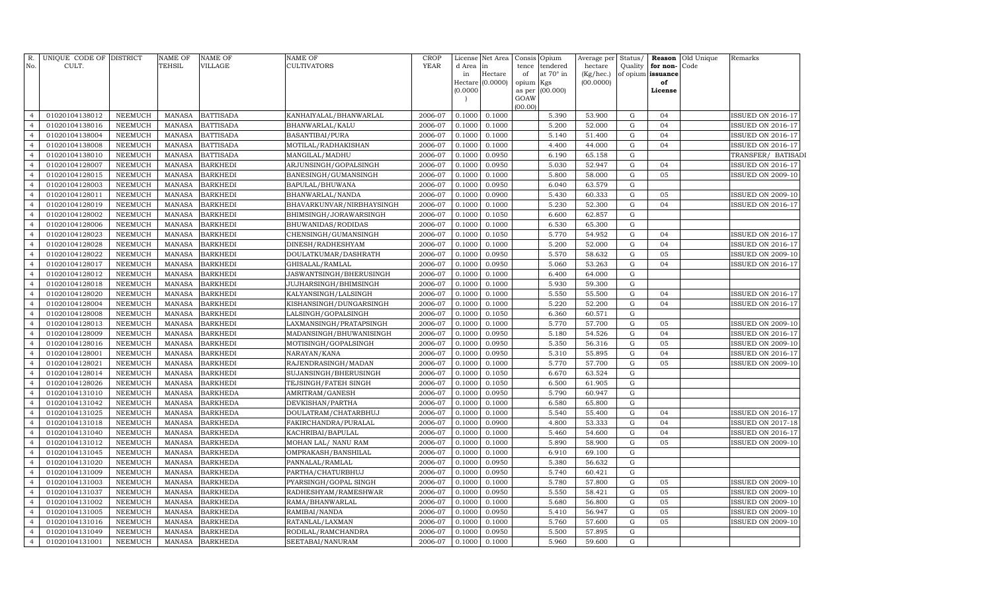| R.<br>No.                        | UNIQUE CODE OF DISTRICT<br>CULT. |                           | NAME OF<br>TEHSIL              | <b>NAME OF</b><br>VILLAGE          | NAME OF<br><b>CULTIVATORS</b>       | CROP<br><b>YEAR</b> | d Area<br>in       | License Net Area<br>in<br>Hectare | Consis<br>tence<br>of | )pium<br>tendered<br>at 70° in | Average per<br>hectare<br>(Kg/hec.) | Status/<br>Quality     | for non-Code<br>of opium issuance | <b>Reason</b> Old Unique | Remarks                  |
|----------------------------------|----------------------------------|---------------------------|--------------------------------|------------------------------------|-------------------------------------|---------------------|--------------------|-----------------------------------|-----------------------|--------------------------------|-------------------------------------|------------------------|-----------------------------------|--------------------------|--------------------------|
|                                  |                                  |                           |                                |                                    |                                     |                     | Hectare $(0.0000)$ |                                   | opium                 | Kgs                            | (00.0000)                           |                        | of                                |                          |                          |
|                                  |                                  |                           |                                |                                    |                                     |                     | (0.0000)           |                                   | as per<br>GOAW        | (00.000)                       |                                     |                        | License                           |                          |                          |
|                                  |                                  |                           |                                |                                    |                                     |                     |                    |                                   | (00.00)               |                                |                                     |                        |                                   |                          |                          |
| $\overline{4}$                   | 01020104138012                   | NEEMUCH                   | <b>MANASA</b>                  | <b>BATTISADA</b>                   | KANHAIYALAL/BHANWARLAL              | 2006-07             | 0.1000             | 0.1000                            |                       | 5.390                          | 53.900                              | $\mathbf G$            | 04                                |                          | <b>ISSUED ON 2016-17</b> |
| $\overline{4}$                   | 01020104138016                   | <b>NEEMUCH</b>            | <b>MANASA</b>                  | <b>BATTISADA</b>                   | BHANWARLAL/KALU                     | 2006-07             | 0.1000             | 0.1000                            |                       | 5.200                          | 52.000                              | $\mathbf G$            | 04                                |                          | <b>ISSUED ON 2016-17</b> |
| $\overline{4}$                   | 01020104138004                   | NEEMUCH                   | <b>MANASA</b>                  | <b>BATTISADA</b>                   | <b>BASANTIBAI/PURA</b>              | 2006-07             | 0.1000             | 0.1000                            |                       | 5.140                          | 51.400                              | G                      | 04                                |                          | <b>ISSUED ON 2016-17</b> |
| $\overline{4}$                   | 01020104138008                   | NEEMUCH                   | <b>MANASA</b>                  | <b>BATTISADA</b>                   | MOTILAL/RADHAKISHAN                 | 2006-07             | 0.1000             | 0.1000                            |                       | 4.400                          | 44.000                              | ${\rm G}$              | 04                                |                          | <b>ISSUED ON 2016-17</b> |
| $\overline{4}$                   | 01020104138010                   | <b>NEEMUCH</b>            | <b>MANASA</b>                  | <b>BATTISADA</b>                   | MANGILAL/MADHU                      | 2006-07             | 0.1000             | 0.0950                            |                       | 6.190                          | 65.158                              | ${\rm G}$              |                                   |                          | TRANSFER/ BATISADI       |
| $\overline{4}$                   | 01020104128007                   | <b>NEEMUCH</b>            | <b>MANASA</b>                  | <b>BARKHEDI</b>                    | ARJUNSINGH/GOPALSINGH               | 2006-07             | 0.1000             | 0.0950                            |                       | 5.030                          | 52.947                              | ${\rm G}$              | 04                                |                          | <b>ISSUED ON 2016-17</b> |
| $\overline{4}$                   | 01020104128015                   | <b>NEEMUCH</b>            | <b>MANASA</b>                  | <b>BARKHEDI</b>                    | BANESINGH/GUMANSINGH                | 2006-07             | 0.1000             | 0.1000                            |                       | 5.800                          | 58.000                              | G                      | 05                                |                          | <b>ISSUED ON 2009-10</b> |
| $\overline{4}$                   | 01020104128003                   | NEEMUCH                   | <b>MANASA</b>                  | <b>BARKHEDI</b>                    | BAPULAL/BHUWANA                     | 2006-07             | 0.1000             | 0.0950                            |                       | 6.040                          | 63.579                              | G                      |                                   |                          |                          |
| $\overline{4}$                   | 01020104128011                   | NEEMUCH                   | <b>MANASA</b>                  | <b>BARKHEDI</b>                    | BHANWARLAL/NANDA                    | 2006-07             | 0.1000             | 0.0900                            |                       | 5.430                          | 60.333                              | G                      | 05                                |                          | <b>ISSUED ON 2009-10</b> |
| $\overline{4}$                   | 01020104128019                   | <b>NEEMUCH</b>            | <b>MANASA</b>                  | <b>BARKHEDI</b>                    | BHAVARKUNVAR/NIRBHAYSINGH           | 2006-07             | 0.1000             | 0.1000                            |                       | 5.230                          | 52.300                              | G                      | 04                                |                          | <b>ISSUED ON 2016-17</b> |
| $\overline{4}$                   | 01020104128002                   | <b>NEEMUCH</b>            | <b>MANASA</b>                  | <b>BARKHEDI</b>                    | BHIMSINGH/JORAWARSINGH              | 2006-07             | 0.1000             | 0.1050                            |                       | 6.600                          | 62.857                              | ${\rm G}$              |                                   |                          |                          |
| $\overline{4}$                   | 01020104128006                   | <b>NEEMUCH</b>            | <b>MANASA</b>                  | <b>BARKHEDI</b>                    | BHUWANIDAS/RODIDAS                  | 2006-07             | 0.1000             | 0.1000                            |                       | 6.530                          | 65.300                              | $\mathbf G$            |                                   |                          |                          |
| $\overline{4}$                   | 01020104128023                   | <b>NEEMUCH</b>            | <b>MANASA</b>                  | <b>BARKHEDI</b>                    | CHENSINGH/GUMANSINGH                | 2006-07             | 0.1000             | 0.1050                            |                       | 5.770                          | 54.952                              | ${\rm G}$              | 04                                |                          | <b>ISSUED ON 2016-17</b> |
| $\overline{4}$                   | 01020104128028                   | <b>NEEMUCH</b>            | <b>MANASA</b>                  | <b>BARKHEDI</b>                    | DINESH/RADHESHYAM                   | 2006-07             | 0.1000             | 0.1000                            |                       | 5.200                          | 52.000                              | ${\rm G}$              | 04                                |                          | <b>ISSUED ON 2016-17</b> |
| $\overline{4}$                   | 01020104128022                   | NEEMUCH                   | MANASA                         | <b>BARKHEDI</b>                    | DOULATKUMAR/DASHRATH                | 2006-07             | 0.1000             | 0.0950                            |                       | 5.570                          | 58.632                              | ${\rm G}$              | 05                                |                          | <b>ISSUED ON 2009-10</b> |
| $\overline{4}$                   | 01020104128017                   | <b>NEEMUCH</b>            | <b>MANASA</b>                  | <b>BARKHEDI</b>                    | GHISALAL/RAMLAL                     | 2006-07             | 0.1000             | 0.0950                            |                       | 5.060                          | 53.263                              | ${\rm G}$              | 04                                |                          | <b>ISSUED ON 2016-17</b> |
| $\overline{4}$                   | 01020104128012                   | <b>NEEMUCH</b>            | <b>MANASA</b>                  | <b>BARKHEDI</b>                    | JASWANTSINGH/BHERUSINGH             | 2006-07             | 0.1000             | 0.1000                            |                       | 6.400                          | 64.000                              | ${\rm G}$              |                                   |                          |                          |
| $\overline{4}$                   | 01020104128018                   | NEEMUCH                   | <b>MANASA</b>                  | <b>BARKHEDI</b>                    | JUJHARSINGH/BHIMSINGH               | 2006-07             | 0.1000             | 0.1000                            |                       | 5.930                          | 59.300                              | ${\rm G}$              |                                   |                          |                          |
| $\overline{4}$                   | 01020104128020                   | <b>NEEMUCH</b>            | <b>MANASA</b>                  | <b>BARKHEDI</b>                    | KALYANSINGH/LALSINGH                | 2006-07             | 0.1000             | 0.1000                            |                       | 5.550                          | 55.500                              | ${\rm G}$              | 04                                |                          | <b>ISSUED ON 2016-17</b> |
| $\overline{4}$                   | 01020104128004                   | <b>NEEMUCH</b>            | <b>MANASA</b>                  | <b>BARKHEDI</b>                    | KISHANSINGH/DUNGARSINGH             | 2006-07             | 0.1000             | 0.1000                            |                       | 5.220                          | 52.200                              | ${\rm G}$              | 04                                |                          | <b>ISSUED ON 2016-17</b> |
| $\overline{4}$                   | 01020104128008                   | <b>NEEMUCH</b>            | <b>MANASA</b>                  | <b>BARKHEDI</b>                    | LALSINGH/GOPALSINGH                 | 2006-07             | 0.1000             | 0.1050                            |                       | 6.360                          | 60.571                              | ${\rm G}$              |                                   |                          |                          |
| $\overline{4}$                   | 01020104128013                   | <b>NEEMUCH</b>            | <b>MANASA</b>                  | <b>BARKHEDI</b>                    | LAXMANSINGH/PRATAPSINGH             | 2006-07             | 0.1000             | 0.1000                            |                       | 5.770                          | 57.700                              | $\mathbf G$            | 05                                |                          | ISSUED ON 2009-10        |
| $\overline{4}$                   | 01020104128009                   | <b>NEEMUCH</b>            | <b>MANASA</b>                  | <b>BARKHEDI</b>                    | MADANSINGH/BHUWANISINGH             | 2006-07             | 0.1000             | 0.0950                            |                       | 5.180                          | 54.526                              | ${\rm G}$              | 04                                |                          | <b>ISSUED ON 2016-17</b> |
| $\overline{4}$                   | 01020104128016                   | <b>NEEMUCH</b>            | MANASA                         | <b>BARKHEDI</b>                    | MOTISINGH/GOPALSINGH                | 2006-07             | 0.1000             | 0.0950                            |                       | 5.350                          | 56.316                              | ${\rm G}$              | 05                                |                          | <b>ISSUED ON 2009-10</b> |
| $\overline{4}$                   | 01020104128001                   | <b>NEEMUCH</b>            | <b>MANASA</b>                  | <b>BARKHEDI</b>                    | NARAYAN/KANA                        | 2006-07             | 0.1000             | 0.0950                            |                       | 5.310                          | 55.895                              | ${\rm G}$              | 04                                |                          | <b>ISSUED ON 2016-17</b> |
| $\overline{4}$<br>$\overline{4}$ | 01020104128021                   | <b>NEEMUCH</b>            | <b>MANASA</b>                  | <b>BARKHEDI</b>                    | RAJENDRASINGH/MADAN                 | 2006-07             | 0.1000             | 0.1000                            |                       | 5.770                          | 57.700                              | $\mathbf G$            | 05                                |                          | <b>ISSUED ON 2009-10</b> |
|                                  | 01020104128014                   | <b>NEEMUCH</b>            | <b>MANASA</b>                  | <b>BARKHEDI</b>                    | SUJANSINGH/BHERUSINGH               | 2006-07             | 0.1000             | 0.1050                            |                       | 6.670                          | 63.524                              | G                      |                                   |                          |                          |
| $\overline{4}$<br>$\overline{4}$ | 01020104128026                   | NEEMUCH                   | <b>MANASA</b>                  | <b>BARKHEDI</b>                    | TEJSINGH/FATEH SINGH                | 2006-07<br>2006-07  | 0.1000             | 0.1050<br>0.0950                  |                       | 6.500<br>5.790                 | 61.905<br>60.947                    | ${\rm G}$<br>${\rm G}$ |                                   |                          |                          |
| $\overline{4}$                   | 01020104131010<br>01020104131042 | <b>NEEMUCH</b><br>NEEMUCH | <b>MANASA</b><br><b>MANASA</b> | <b>BARKHEDA</b><br><b>BARKHEDA</b> | AMRITRAM/GANESH<br>DEVKISHAN/PARTHA | 2006-07             | 0.1000<br>0.1000   | 0.1000                            |                       | 6.580                          | 65.800                              | ${\rm G}$              |                                   |                          |                          |
| $\overline{4}$                   | 01020104131025                   | NEEMUCH                   | <b>MANASA</b>                  | <b>BARKHEDA</b>                    | DOULATRAM/CHATARBHUJ                | 2006-07             | 0.100              | 0.1000                            |                       | 5.540                          | 55.400                              | ${\rm G}$              | 04                                |                          | <b>ISSUED ON 2016-17</b> |
| $\overline{4}$                   | 01020104131018                   | <b>NEEMUCH</b>            | <b>MANASA</b>                  | <b>BARKHEDA</b>                    | FAKIRCHANDRA/PURALAL                | 2006-07             | 0.1000             | 0.0900                            |                       | 4.800                          | 53.333                              | $\mathbf G$            | 04                                |                          | <b>ISSUED ON 2017-18</b> |
| $\overline{4}$                   | 01020104131040                   | NEEMUCH                   | <b>MANASA</b>                  | <b>BARKHEDA</b>                    | KACHRIBAI/BAPULAL                   | 2006-07             | 0.1000             | 0.1000                            |                       | 5.460                          | 54.600                              | ${\rm G}$              | 04                                |                          | <b>ISSUED ON 2016-17</b> |
| $\overline{4}$                   | 01020104131012                   | <b>NEEMUCH</b>            | <b>MANASA</b>                  | <b>BARKHEDA</b>                    | MOHAN LAL/ NANU RAM                 | 2006-07             | 0.1000             | 0.1000                            |                       | 5.890                          | 58.900                              | G                      | 05                                |                          | <b>ISSUED ON 2009-10</b> |
| $\overline{4}$                   | 01020104131045                   | <b>NEEMUCH</b>            | <b>MANASA</b>                  | <b>BARKHEDA</b>                    | OMPRAKASH/BANSHILAL                 | 2006-07             | 0.1000             | 0.1000                            |                       | 6.910                          | 69.100                              | ${\rm G}$              |                                   |                          |                          |
| $\overline{4}$                   | 01020104131020                   | NEEMUCH                   | <b>MANASA</b>                  | <b>BARKHEDA</b>                    | PANNALAL/RAMLAL                     | 2006-07             | 0.1000             | 0.0950                            |                       | 5.380                          | 56.632                              | $\mathbf G$            |                                   |                          |                          |
| $\overline{4}$                   | 01020104131009                   | NEEMUCH                   | <b>MANASA</b>                  | <b>BARKHEDA</b>                    | PARTHA/CHATURBHUJ                   | 2006-07             | 0.1000             | 0.0950                            |                       | 5.740                          | 60.421                              | ${\rm G}$              |                                   |                          |                          |
| $\overline{4}$                   | 01020104131003                   | NEEMUCH                   | <b>MANASA</b>                  | <b>BARKHEDA</b>                    | PYARSINGH/GOPAL SINGH               | 2006-07             | 0.1000             | 0.1000                            |                       | 5.780                          | 57.800                              | ${\rm G}$              | 05                                |                          | <b>ISSUED ON 2009-10</b> |
| $\overline{4}$                   | 01020104131037                   | NEEMUCH                   | <b>MANASA</b>                  | <b>BARKHEDA</b>                    | RADHESHYAM/RAMESHWAR                | 2006-07             | 0.1000             | 0.0950                            |                       | 5.550                          | 58.421                              | ${\rm G}$              | 05                                |                          | <b>ISSUED ON 2009-10</b> |
| $\overline{4}$                   | 01020104131002                   | NEEMUCH                   | <b>MANASA</b>                  | <b>BARKHEDA</b>                    | RAMA/BHANWARLAL                     | 2006-07             | 0.1000             | 0.1000                            |                       | 5.680                          | 56.800                              | $\mathbf G$            | 05                                |                          | <b>ISSUED ON 2009-10</b> |
| $\overline{4}$                   | 01020104131005                   | NEEMUCH                   | <b>MANASA</b>                  | <b>BARKHEDA</b>                    | RAMIBAI/NANDA                       | 2006-07             | 0.100              | 0.0950                            |                       | 5.410                          | 56.947                              | ${\rm G}$              | 05                                |                          | <b>ISSUED ON 2009-10</b> |
| $\overline{4}$                   | 01020104131016                   | NEEMUCH                   | <b>MANASA</b>                  | <b>BARKHEDA</b>                    | RATANLAL/LAXMAN                     | 2006-07             | 0.100              | 0.1000                            |                       | 5.760                          | 57.600                              | ${\rm G}$              | 05                                |                          | <b>ISSUED ON 2009-10</b> |
| $\overline{4}$                   | 01020104131049                   | NEEMUCH                   | <b>MANASA</b>                  | <b>BARKHEDA</b>                    | RODILAL/RAMCHANDRA                  | 2006-07             | 0.1000             | 0.0950                            |                       | 5.500                          | 57.895                              | ${\rm G}$              |                                   |                          |                          |
| $\overline{4}$                   | 01020104131001                   | NEEMUCH                   | MANASA                         | <b>BARKHEDA</b>                    | SEETABAI/NANURAM                    | 2006-07             | 0.1000             | 0.1000                            |                       | 5.960                          | 59.600                              | G                      |                                   |                          |                          |